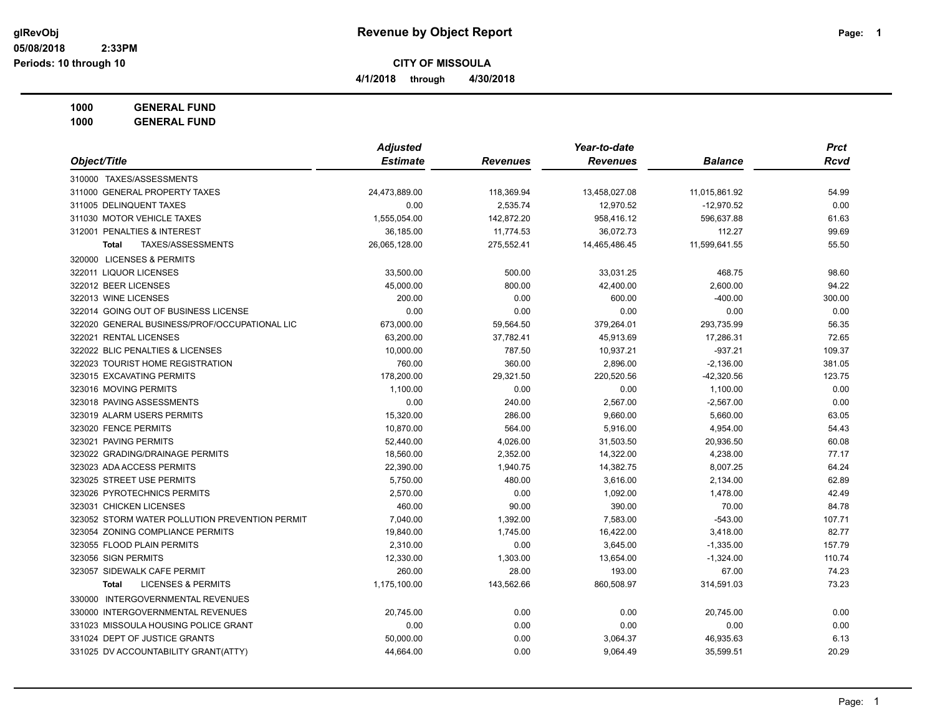**4/1/2018 through 4/30/2018**

**1000 GENERAL FUND**

| Object/Title                                   | <b>Adjusted</b> |                 | Year-to-date    |                | <b>Prct</b> |
|------------------------------------------------|-----------------|-----------------|-----------------|----------------|-------------|
|                                                | <b>Estimate</b> | <b>Revenues</b> | <b>Revenues</b> | <b>Balance</b> | <b>Rcvd</b> |
| 310000 TAXES/ASSESSMENTS                       |                 |                 |                 |                |             |
| 311000 GENERAL PROPERTY TAXES                  | 24,473,889.00   | 118,369.94      | 13,458,027.08   | 11,015,861.92  | 54.99       |
| 311005 DELINQUENT TAXES                        | 0.00            | 2,535.74        | 12,970.52       | $-12,970.52$   | 0.00        |
| 311030 MOTOR VEHICLE TAXES                     | 1,555,054.00    | 142,872.20      | 958,416.12      | 596,637.88     | 61.63       |
| 312001 PENALTIES & INTEREST                    | 36,185.00       | 11,774.53       | 36,072.73       | 112.27         | 99.69       |
| TAXES/ASSESSMENTS<br>Total                     | 26,065,128.00   | 275,552.41      | 14,465,486.45   | 11,599,641.55  | 55.50       |
| 320000 LICENSES & PERMITS                      |                 |                 |                 |                |             |
| 322011 LIQUOR LICENSES                         | 33,500.00       | 500.00          | 33,031.25       | 468.75         | 98.60       |
| 322012 BEER LICENSES                           | 45,000.00       | 800.00          | 42,400.00       | 2,600.00       | 94.22       |
| 322013 WINE LICENSES                           | 200.00          | 0.00            | 600.00          | $-400.00$      | 300.00      |
| 322014 GOING OUT OF BUSINESS LICENSE           | 0.00            | 0.00            | 0.00            | 0.00           | 0.00        |
| 322020 GENERAL BUSINESS/PROF/OCCUPATIONAL LIC  | 673,000.00      | 59,564.50       | 379,264.01      | 293,735.99     | 56.35       |
| 322021 RENTAL LICENSES                         | 63,200.00       | 37,782.41       | 45,913.69       | 17,286.31      | 72.65       |
| 322022 BLIC PENALTIES & LICENSES               | 10,000.00       | 787.50          | 10,937.21       | $-937.21$      | 109.37      |
| 322023 TOURIST HOME REGISTRATION               | 760.00          | 360.00          | 2,896.00        | $-2,136.00$    | 381.05      |
| 323015 EXCAVATING PERMITS                      | 178,200.00      | 29,321.50       | 220,520.56      | $-42,320.56$   | 123.75      |
| 323016 MOVING PERMITS                          | 1,100.00        | 0.00            | 0.00            | 1,100.00       | 0.00        |
| 323018 PAVING ASSESSMENTS                      | 0.00            | 240.00          | 2,567.00        | $-2,567.00$    | 0.00        |
| 323019 ALARM USERS PERMITS                     | 15,320.00       | 286.00          | 9,660.00        | 5,660.00       | 63.05       |
| 323020 FENCE PERMITS                           | 10,870.00       | 564.00          | 5,916.00        | 4,954.00       | 54.43       |
| 323021 PAVING PERMITS                          | 52,440.00       | 4,026.00        | 31,503.50       | 20,936.50      | 60.08       |
| 323022 GRADING/DRAINAGE PERMITS                | 18,560.00       | 2,352.00        | 14,322.00       | 4,238.00       | 77.17       |
| 323023 ADA ACCESS PERMITS                      | 22,390.00       | 1,940.75        | 14,382.75       | 8,007.25       | 64.24       |
| 323025 STREET USE PERMITS                      | 5,750.00        | 480.00          | 3,616.00        | 2,134.00       | 62.89       |
| 323026 PYROTECHNICS PERMITS                    | 2,570.00        | 0.00            | 1,092.00        | 1,478.00       | 42.49       |
| 323031 CHICKEN LICENSES                        | 460.00          | 90.00           | 390.00          | 70.00          | 84.78       |
| 323052 STORM WATER POLLUTION PREVENTION PERMIT | 7,040.00        | 1,392.00        | 7,583.00        | $-543.00$      | 107.71      |
| 323054 ZONING COMPLIANCE PERMITS               | 19,840.00       | 1,745.00        | 16,422.00       | 3,418.00       | 82.77       |
| 323055 FLOOD PLAIN PERMITS                     | 2,310.00        | 0.00            | 3,645.00        | $-1,335.00$    | 157.79      |
| 323056 SIGN PERMITS                            | 12,330.00       | 1,303.00        | 13,654.00       | $-1,324.00$    | 110.74      |
| 323057 SIDEWALK CAFE PERMIT                    | 260.00          | 28.00           | 193.00          | 67.00          | 74.23       |
| <b>LICENSES &amp; PERMITS</b><br><b>Total</b>  | 1,175,100.00    | 143,562.66      | 860,508.97      | 314,591.03     | 73.23       |
| 330000 INTERGOVERNMENTAL REVENUES              |                 |                 |                 |                |             |
| 330000 INTERGOVERNMENTAL REVENUES              | 20,745.00       | 0.00            | 0.00            | 20,745.00      | 0.00        |
| 331023 MISSOULA HOUSING POLICE GRANT           | 0.00            | 0.00            | 0.00            | 0.00           | 0.00        |
| 331024 DEPT OF JUSTICE GRANTS                  | 50,000.00       | 0.00            | 3,064.37        | 46,935.63      | 6.13        |
| 331025 DV ACCOUNTABILITY GRANT(ATTY)           | 44,664.00       | 0.00            | 9,064.49        | 35,599.51      | 20.29       |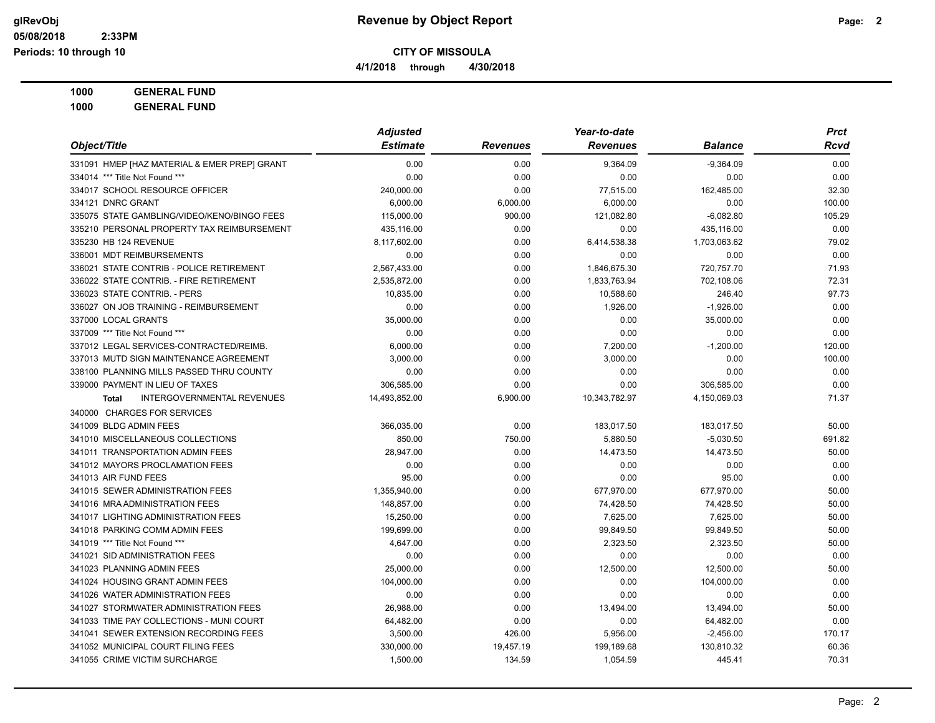**4/1/2018 through 4/30/2018**

## **1000 GENERAL FUND**

|                                                   | <b>Adjusted</b> |                 | Year-to-date    | <b>Prct</b>    |        |
|---------------------------------------------------|-----------------|-----------------|-----------------|----------------|--------|
| Object/Title                                      | <b>Estimate</b> | <b>Revenues</b> | <b>Revenues</b> | <b>Balance</b> | Rcvd   |
| 331091 HMEP [HAZ MATERIAL & EMER PREP] GRANT      | 0.00            | 0.00            | 9,364.09        | $-9,364.09$    | 0.00   |
| 334014 *** Title Not Found ***                    | 0.00            | 0.00            | 0.00            | 0.00           | 0.00   |
| 334017 SCHOOL RESOURCE OFFICER                    | 240,000.00      | 0.00            | 77,515.00       | 162,485.00     | 32.30  |
| 334121 DNRC GRANT                                 | 6,000.00        | 6,000.00        | 6,000.00        | 0.00           | 100.00 |
| 335075 STATE GAMBLING/VIDEO/KENO/BINGO FEES       | 115,000.00      | 900.00          | 121,082.80      | $-6,082.80$    | 105.29 |
| 335210 PERSONAL PROPERTY TAX REIMBURSEMENT        | 435,116.00      | 0.00            | 0.00            | 435,116.00     | 0.00   |
| 335230 HB 124 REVENUE                             | 8,117,602.00    | 0.00            | 6,414,538.38    | 1,703,063.62   | 79.02  |
| 336001 MDT REIMBURSEMENTS                         | 0.00            | 0.00            | 0.00            | 0.00           | 0.00   |
| 336021 STATE CONTRIB - POLICE RETIREMENT          | 2,567,433.00    | 0.00            | 1,846,675.30    | 720,757.70     | 71.93  |
| 336022 STATE CONTRIB. - FIRE RETIREMENT           | 2,535,872.00    | 0.00            | 1,833,763.94    | 702,108.06     | 72.31  |
| 336023 STATE CONTRIB. - PERS                      | 10,835.00       | 0.00            | 10,588.60       | 246.40         | 97.73  |
| 336027 ON JOB TRAINING - REIMBURSEMENT            | 0.00            | 0.00            | 1,926.00        | $-1,926.00$    | 0.00   |
| 337000 LOCAL GRANTS                               | 35,000.00       | 0.00            | 0.00            | 35,000.00      | 0.00   |
| 337009 *** Title Not Found ***                    | 0.00            | 0.00            | 0.00            | 0.00           | 0.00   |
| 337012 LEGAL SERVICES-CONTRACTED/REIMB.           | 6,000.00        | 0.00            | 7,200.00        | $-1,200.00$    | 120.00 |
| 337013 MUTD SIGN MAINTENANCE AGREEMENT            | 3,000.00        | 0.00            | 3,000.00        | 0.00           | 100.00 |
| 338100 PLANNING MILLS PASSED THRU COUNTY          | 0.00            | 0.00            | 0.00            | 0.00           | 0.00   |
| 339000 PAYMENT IN LIEU OF TAXES                   | 306,585.00      | 0.00            | 0.00            | 306,585.00     | 0.00   |
| <b>INTERGOVERNMENTAL REVENUES</b><br><b>Total</b> | 14,493,852.00   | 6,900.00        | 10,343,782.97   | 4,150,069.03   | 71.37  |
| 340000 CHARGES FOR SERVICES                       |                 |                 |                 |                |        |
| 341009 BLDG ADMIN FEES                            | 366,035.00      | 0.00            | 183,017.50      | 183,017.50     | 50.00  |
| 341010 MISCELLANEOUS COLLECTIONS                  | 850.00          | 750.00          | 5,880.50        | $-5,030.50$    | 691.82 |
| 341011 TRANSPORTATION ADMIN FEES                  | 28,947.00       | 0.00            | 14,473.50       | 14,473.50      | 50.00  |
| 341012 MAYORS PROCLAMATION FEES                   | 0.00            | 0.00            | 0.00            | 0.00           | 0.00   |
| 341013 AIR FUND FEES                              | 95.00           | 0.00            | 0.00            | 95.00          | 0.00   |
| 341015 SEWER ADMINISTRATION FEES                  | 1,355,940.00    | 0.00            | 677,970.00      | 677,970.00     | 50.00  |
| 341016 MRA ADMINISTRATION FEES                    | 148,857.00      | 0.00            | 74,428.50       | 74,428.50      | 50.00  |
| 341017 LIGHTING ADMINISTRATION FEES               | 15,250.00       | 0.00            | 7,625.00        | 7,625.00       | 50.00  |
| 341018 PARKING COMM ADMIN FEES                    | 199,699.00      | 0.00            | 99,849.50       | 99,849.50      | 50.00  |
| 341019 *** Title Not Found ***                    | 4.647.00        | 0.00            | 2.323.50        | 2,323.50       | 50.00  |
| 341021 SID ADMINISTRATION FEES                    | 0.00            | 0.00            | 0.00            | 0.00           | 0.00   |
| 341023 PLANNING ADMIN FEES                        | 25,000.00       | 0.00            | 12,500.00       | 12,500.00      | 50.00  |
| 341024 HOUSING GRANT ADMIN FEES                   | 104,000.00      | 0.00            | 0.00            | 104,000.00     | 0.00   |
| 341026 WATER ADMINISTRATION FEES                  | 0.00            | 0.00            | 0.00            | 0.00           | 0.00   |
| 341027 STORMWATER ADMINISTRATION FEES             | 26,988.00       | 0.00            | 13,494.00       | 13,494.00      | 50.00  |
| 341033 TIME PAY COLLECTIONS - MUNI COURT          | 64,482.00       | 0.00            | 0.00            | 64,482.00      | 0.00   |
| 341041 SEWER EXTENSION RECORDING FEES             | 3,500.00        | 426.00          | 5,956.00        | $-2,456.00$    | 170.17 |
| 341052 MUNICIPAL COURT FILING FEES                | 330,000.00      | 19,457.19       | 199,189.68      | 130,810.32     | 60.36  |
| 341055 CRIME VICTIM SURCHARGE                     | 1,500.00        | 134.59          | 1,054.59        | 445.41         | 70.31  |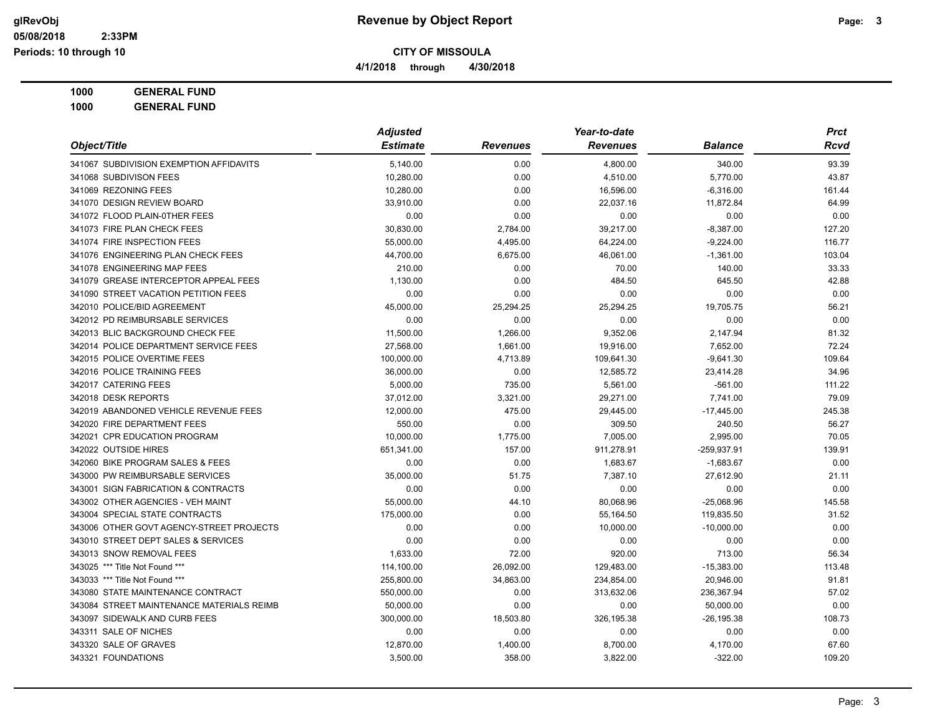**4/1/2018 through 4/30/2018**

### **1000 GENERAL FUND**

|                                           | <b>Adjusted</b> | Year-to-date    |                 |                | <b>Prct</b> |  |
|-------------------------------------------|-----------------|-----------------|-----------------|----------------|-------------|--|
| Object/Title                              | <b>Estimate</b> | <b>Revenues</b> | <b>Revenues</b> | <b>Balance</b> | Rcvd        |  |
| 341067 SUBDIVISION EXEMPTION AFFIDAVITS   | 5,140.00        | 0.00            | 4,800.00        | 340.00         | 93.39       |  |
| 341068 SUBDIVISON FEES                    | 10,280.00       | 0.00            | 4,510.00        | 5,770.00       | 43.87       |  |
| 341069 REZONING FEES                      | 10,280.00       | 0.00            | 16,596.00       | $-6,316.00$    | 161.44      |  |
| 341070 DESIGN REVIEW BOARD                | 33,910.00       | 0.00            | 22,037.16       | 11,872.84      | 64.99       |  |
| 341072 FLOOD PLAIN-0THER FEES             | 0.00            | 0.00            | 0.00            | 0.00           | 0.00        |  |
| 341073 FIRE PLAN CHECK FEES               | 30,830.00       | 2,784.00        | 39,217.00       | $-8,387.00$    | 127.20      |  |
| 341074 FIRE INSPECTION FEES               | 55,000.00       | 4,495.00        | 64,224.00       | $-9,224.00$    | 116.77      |  |
| 341076 ENGINEERING PLAN CHECK FEES        | 44,700.00       | 6,675.00        | 46,061.00       | $-1,361.00$    | 103.04      |  |
| 341078 ENGINEERING MAP FEES               | 210.00          | 0.00            | 70.00           | 140.00         | 33.33       |  |
| 341079 GREASE INTERCEPTOR APPEAL FEES     | 1,130.00        | 0.00            | 484.50          | 645.50         | 42.88       |  |
| 341090 STREET VACATION PETITION FEES      | 0.00            | 0.00            | 0.00            | 0.00           | 0.00        |  |
| 342010 POLICE/BID AGREEMENT               | 45,000.00       | 25,294.25       | 25,294.25       | 19,705.75      | 56.21       |  |
| 342012 PD REIMBURSABLE SERVICES           | 0.00            | 0.00            | 0.00            | 0.00           | 0.00        |  |
| 342013 BLIC BACKGROUND CHECK FEE          | 11,500.00       | 1,266.00        | 9,352.06        | 2,147.94       | 81.32       |  |
| 342014 POLICE DEPARTMENT SERVICE FEES     | 27,568.00       | 1,661.00        | 19,916.00       | 7,652.00       | 72.24       |  |
| 342015 POLICE OVERTIME FEES               | 100,000.00      | 4,713.89        | 109,641.30      | $-9,641.30$    | 109.64      |  |
| 342016 POLICE TRAINING FEES               | 36,000.00       | 0.00            | 12,585.72       | 23,414.28      | 34.96       |  |
| 342017 CATERING FEES                      | 5,000.00        | 735.00          | 5,561.00        | $-561.00$      | 111.22      |  |
| 342018 DESK REPORTS                       | 37,012.00       | 3,321.00        | 29,271.00       | 7,741.00       | 79.09       |  |
| 342019 ABANDONED VEHICLE REVENUE FEES     | 12,000.00       | 475.00          | 29,445.00       | $-17,445.00$   | 245.38      |  |
| 342020 FIRE DEPARTMENT FEES               | 550.00          | 0.00            | 309.50          | 240.50         | 56.27       |  |
| 342021 CPR EDUCATION PROGRAM              | 10,000.00       | 1,775.00        | 7,005.00        | 2,995.00       | 70.05       |  |
| 342022 OUTSIDE HIRES                      | 651,341.00      | 157.00          | 911,278.91      | -259,937.91    | 139.91      |  |
| 342060 BIKE PROGRAM SALES & FEES          | 0.00            | 0.00            | 1,683.67        | $-1,683.67$    | 0.00        |  |
| 343000 PW REIMBURSABLE SERVICES           | 35,000.00       | 51.75           | 7,387.10        | 27,612.90      | 21.11       |  |
| 343001 SIGN FABRICATION & CONTRACTS       | 0.00            | 0.00            | 0.00            | 0.00           | 0.00        |  |
| 343002 OTHER AGENCIES - VEH MAINT         | 55,000.00       | 44.10           | 80,068.96       | $-25,068.96$   | 145.58      |  |
| 343004 SPECIAL STATE CONTRACTS            | 175,000.00      | 0.00            | 55,164.50       | 119,835.50     | 31.52       |  |
| 343006 OTHER GOVT AGENCY-STREET PROJECTS  | 0.00            | 0.00            | 10,000.00       | $-10,000.00$   | 0.00        |  |
| 343010 STREET DEPT SALES & SERVICES       | 0.00            | 0.00            | 0.00            | 0.00           | 0.00        |  |
| 343013 SNOW REMOVAL FEES                  | 1,633.00        | 72.00           | 920.00          | 713.00         | 56.34       |  |
| 343025 *** Title Not Found ***            | 114,100.00      | 26,092.00       | 129,483.00      | $-15,383.00$   | 113.48      |  |
| 343033 *** Title Not Found ***            | 255,800.00      | 34,863.00       | 234,854.00      | 20,946.00      | 91.81       |  |
| 343080 STATE MAINTENANCE CONTRACT         | 550,000.00      | 0.00            | 313,632.06      | 236,367.94     | 57.02       |  |
| 343084 STREET MAINTENANCE MATERIALS REIMB | 50,000.00       | 0.00            | 0.00            | 50,000.00      | 0.00        |  |
| 343097 SIDEWALK AND CURB FEES             | 300,000.00      | 18,503.80       | 326,195.38      | $-26, 195.38$  | 108.73      |  |
| 343311 SALE OF NICHES                     | 0.00            | 0.00            | 0.00            | 0.00           | 0.00        |  |
| 343320 SALE OF GRAVES                     | 12,870.00       | 1,400.00        | 8,700.00        | 4,170.00       | 67.60       |  |
| 343321 FOUNDATIONS                        | 3,500.00        | 358.00          | 3,822.00        | $-322.00$      | 109.20      |  |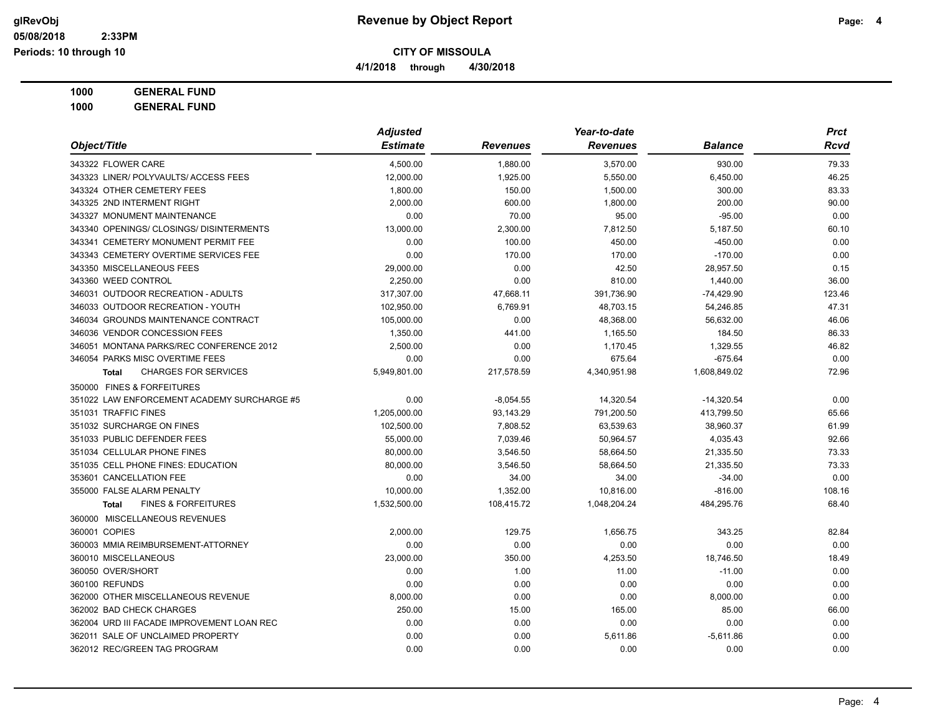**4/1/2018 through 4/30/2018**

**1000 GENERAL FUND**

| Object/Title                                   | <b>Adjusted</b> | Year-to-date    |                 |                | <b>Prct</b> |  |
|------------------------------------------------|-----------------|-----------------|-----------------|----------------|-------------|--|
|                                                | <b>Estimate</b> | <b>Revenues</b> | <b>Revenues</b> | <b>Balance</b> | <b>Rcvd</b> |  |
| 343322 FLOWER CARE                             | 4,500.00        | 1,880.00        | 3,570.00        | 930.00         | 79.33       |  |
| 343323 LINER/ POLYVAULTS/ ACCESS FEES          | 12,000.00       | 1,925.00        | 5,550.00        | 6,450.00       | 46.25       |  |
| 343324 OTHER CEMETERY FEES                     | 1,800.00        | 150.00          | 1,500.00        | 300.00         | 83.33       |  |
| 343325 2ND INTERMENT RIGHT                     | 2,000.00        | 600.00          | 1,800.00        | 200.00         | 90.00       |  |
| 343327 MONUMENT MAINTENANCE                    | 0.00            | 70.00           | 95.00           | $-95.00$       | 0.00        |  |
| 343340 OPENINGS/ CLOSINGS/ DISINTERMENTS       | 13,000.00       | 2,300.00        | 7,812.50        | 5,187.50       | 60.10       |  |
| 343341 CEMETERY MONUMENT PERMIT FEE            | 0.00            | 100.00          | 450.00          | $-450.00$      | 0.00        |  |
| 343343 CEMETERY OVERTIME SERVICES FEE          | 0.00            | 170.00          | 170.00          | $-170.00$      | 0.00        |  |
| 343350 MISCELLANEOUS FEES                      | 29.000.00       | 0.00            | 42.50           | 28,957.50      | 0.15        |  |
| 343360 WEED CONTROL                            | 2.250.00        | 0.00            | 810.00          | 1,440.00       | 36.00       |  |
| 346031 OUTDOOR RECREATION - ADULTS             | 317.307.00      | 47,668.11       | 391,736.90      | $-74,429.90$   | 123.46      |  |
| 346033 OUTDOOR RECREATION - YOUTH              | 102,950.00      | 6,769.91        | 48,703.15       | 54,246.85      | 47.31       |  |
| 346034 GROUNDS MAINTENANCE CONTRACT            | 105,000.00      | 0.00            | 48,368.00       | 56,632.00      | 46.06       |  |
| 346036 VENDOR CONCESSION FEES                  | 1,350.00        | 441.00          | 1,165.50        | 184.50         | 86.33       |  |
| 346051 MONTANA PARKS/REC CONFERENCE 2012       | 2,500.00        | 0.00            | 1,170.45        | 1,329.55       | 46.82       |  |
| 346054 PARKS MISC OVERTIME FEES                | 0.00            | 0.00            | 675.64          | $-675.64$      | 0.00        |  |
| <b>CHARGES FOR SERVICES</b><br>Total           | 5,949,801.00    | 217,578.59      | 4,340,951.98    | 1,608,849.02   | 72.96       |  |
| 350000 FINES & FORFEITURES                     |                 |                 |                 |                |             |  |
| 351022 LAW ENFORCEMENT ACADEMY SURCHARGE #5    | 0.00            | $-8,054.55$     | 14,320.54       | $-14,320.54$   | 0.00        |  |
| 351031 TRAFFIC FINES                           | 1,205,000.00    | 93,143.29       | 791,200.50      | 413,799.50     | 65.66       |  |
| 351032 SURCHARGE ON FINES                      | 102,500.00      | 7,808.52        | 63,539.63       | 38,960.37      | 61.99       |  |
| 351033 PUBLIC DEFENDER FEES                    | 55,000.00       | 7,039.46        | 50,964.57       | 4,035.43       | 92.66       |  |
| 351034 CELLULAR PHONE FINES                    | 80,000.00       | 3,546.50        | 58,664.50       | 21,335.50      | 73.33       |  |
| 351035 CELL PHONE FINES: EDUCATION             | 80,000.00       | 3,546.50        | 58,664.50       | 21,335.50      | 73.33       |  |
| 353601 CANCELLATION FEE                        | 0.00            | 34.00           | 34.00           | $-34.00$       | 0.00        |  |
| 355000 FALSE ALARM PENALTY                     | 10,000.00       | 1,352.00        | 10,816.00       | $-816.00$      | 108.16      |  |
| <b>FINES &amp; FORFEITURES</b><br><b>Total</b> | 1,532,500.00    | 108,415.72      | 1,048,204.24    | 484,295.76     | 68.40       |  |
| 360000 MISCELLANEOUS REVENUES                  |                 |                 |                 |                |             |  |
| 360001 COPIES                                  | 2.000.00        | 129.75          | 1,656.75        | 343.25         | 82.84       |  |
| 360003 MMIA REIMBURSEMENT-ATTORNEY             | 0.00            | 0.00            | 0.00            | 0.00           | 0.00        |  |
| 360010 MISCELLANEOUS                           | 23,000.00       | 350.00          | 4,253.50        | 18,746.50      | 18.49       |  |
| 360050 OVER/SHORT                              | 0.00            | 1.00            | 11.00           | $-11.00$       | 0.00        |  |
| 360100 REFUNDS                                 | 0.00            | 0.00            | 0.00            | 0.00           | 0.00        |  |
| 362000 OTHER MISCELLANEOUS REVENUE             | 8,000.00        | 0.00            | 0.00            | 8,000.00       | 0.00        |  |
| 362002 BAD CHECK CHARGES                       | 250.00          | 15.00           | 165.00          | 85.00          | 66.00       |  |
| 362004 URD III FACADE IMPROVEMENT LOAN REC     | 0.00            | 0.00            | 0.00            | 0.00           | 0.00        |  |
| 362011 SALE OF UNCLAIMED PROPERTY              | 0.00            | 0.00            | 5,611.86        | $-5,611.86$    | 0.00        |  |
| 362012 REC/GREEN TAG PROGRAM                   | 0.00            | 0.00            | 0.00            | 0.00           | 0.00        |  |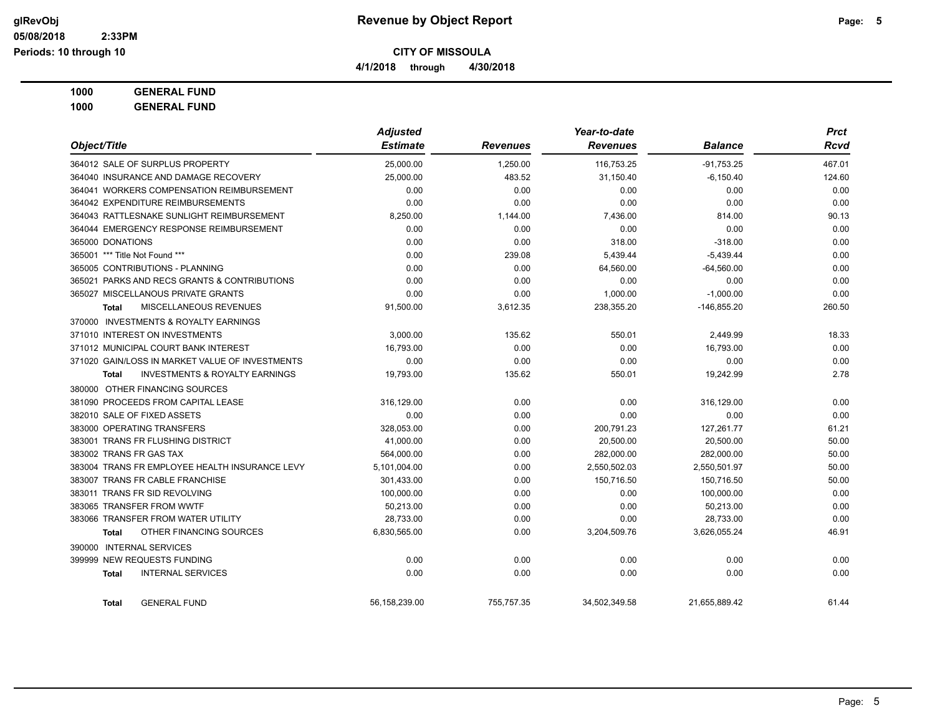**4/1/2018 through 4/30/2018**

**1000 GENERAL FUND**

|                                                           | <b>Adjusted</b> |                 | Year-to-date    |                | <b>Prct</b> |
|-----------------------------------------------------------|-----------------|-----------------|-----------------|----------------|-------------|
| Object/Title                                              | <b>Estimate</b> | <b>Revenues</b> | <b>Revenues</b> | <b>Balance</b> | Rcvd        |
| 364012 SALE OF SURPLUS PROPERTY                           | 25,000.00       | 1,250.00        | 116,753.25      | $-91,753.25$   | 467.01      |
| 364040 INSURANCE AND DAMAGE RECOVERY                      | 25,000.00       | 483.52          | 31,150.40       | $-6, 150.40$   | 124.60      |
| 364041 WORKERS COMPENSATION REIMBURSEMENT                 | 0.00            | 0.00            | 0.00            | 0.00           | 0.00        |
| 364042 EXPENDITURE REIMBURSEMENTS                         | 0.00            | 0.00            | 0.00            | 0.00           | 0.00        |
| 364043 RATTLESNAKE SUNLIGHT REIMBURSEMENT                 | 8,250.00        | 1,144.00        | 7,436.00        | 814.00         | 90.13       |
| 364044 EMERGENCY RESPONSE REIMBURSEMENT                   | 0.00            | 0.00            | 0.00            | 0.00           | 0.00        |
| 365000 DONATIONS                                          | 0.00            | 0.00            | 318.00          | $-318.00$      | 0.00        |
| 365001 *** Title Not Found ***                            | 0.00            | 239.08          | 5,439.44        | $-5,439.44$    | 0.00        |
| 365005 CONTRIBUTIONS - PLANNING                           | 0.00            | 0.00            | 64,560.00       | $-64,560.00$   | 0.00        |
| 365021 PARKS AND RECS GRANTS & CONTRIBUTIONS              | 0.00            | 0.00            | 0.00            | 0.00           | 0.00        |
| 365027 MISCELLANOUS PRIVATE GRANTS                        | 0.00            | 0.00            | 1,000.00        | $-1,000.00$    | 0.00        |
| <b>MISCELLANEOUS REVENUES</b><br><b>Total</b>             | 91,500.00       | 3,612.35        | 238,355.20      | $-146,855.20$  | 260.50      |
| 370000 INVESTMENTS & ROYALTY EARNINGS                     |                 |                 |                 |                |             |
| 371010 INTEREST ON INVESTMENTS                            | 3,000.00        | 135.62          | 550.01          | 2,449.99       | 18.33       |
| 371012 MUNICIPAL COURT BANK INTEREST                      | 16,793.00       | 0.00            | 0.00            | 16,793.00      | 0.00        |
| 371020 GAIN/LOSS IN MARKET VALUE OF INVESTMENTS           | 0.00            | 0.00            | 0.00            | 0.00           | 0.00        |
| <b>INVESTMENTS &amp; ROYALTY EARNINGS</b><br><b>Total</b> | 19,793.00       | 135.62          | 550.01          | 19,242.99      | 2.78        |
| 380000 OTHER FINANCING SOURCES                            |                 |                 |                 |                |             |
| 381090 PROCEEDS FROM CAPITAL LEASE                        | 316,129.00      | 0.00            | 0.00            | 316,129.00     | 0.00        |
| 382010 SALE OF FIXED ASSETS                               | 0.00            | 0.00            | 0.00            | 0.00           | 0.00        |
| 383000 OPERATING TRANSFERS                                | 328.053.00      | 0.00            | 200,791.23      | 127,261.77     | 61.21       |
| 383001 TRANS FR FLUSHING DISTRICT                         | 41.000.00       | 0.00            | 20,500.00       | 20,500.00      | 50.00       |
| 383002 TRANS FR GAS TAX                                   | 564,000.00      | 0.00            | 282,000.00      | 282,000.00     | 50.00       |
| 383004 TRANS FR EMPLOYEE HEALTH INSURANCE LEVY            | 5,101,004.00    | 0.00            | 2,550,502.03    | 2,550,501.97   | 50.00       |
| 383007 TRANS FR CABLE FRANCHISE                           | 301,433.00      | 0.00            | 150,716.50      | 150,716.50     | 50.00       |
| 383011 TRANS FR SID REVOLVING                             | 100,000.00      | 0.00            | 0.00            | 100,000.00     | 0.00        |
| 383065 TRANSFER FROM WWTF                                 | 50.213.00       | 0.00            | 0.00            | 50,213.00      | 0.00        |
| 383066 TRANSFER FROM WATER UTILITY                        | 28,733.00       | 0.00            | 0.00            | 28,733.00      | 0.00        |
| OTHER FINANCING SOURCES<br><b>Total</b>                   | 6,830,565.00    | 0.00            | 3,204,509.76    | 3,626,055.24   | 46.91       |
| 390000 INTERNAL SERVICES                                  |                 |                 |                 |                |             |
| 399999 NEW REQUESTS FUNDING                               | 0.00            | 0.00            | 0.00            | 0.00           | 0.00        |
| <b>INTERNAL SERVICES</b><br><b>Total</b>                  | 0.00            | 0.00            | 0.00            | 0.00           | 0.00        |
| <b>GENERAL FUND</b><br><b>Total</b>                       | 56,158,239.00   | 755,757.35      | 34,502,349.58   | 21,655,889.42  | 61.44       |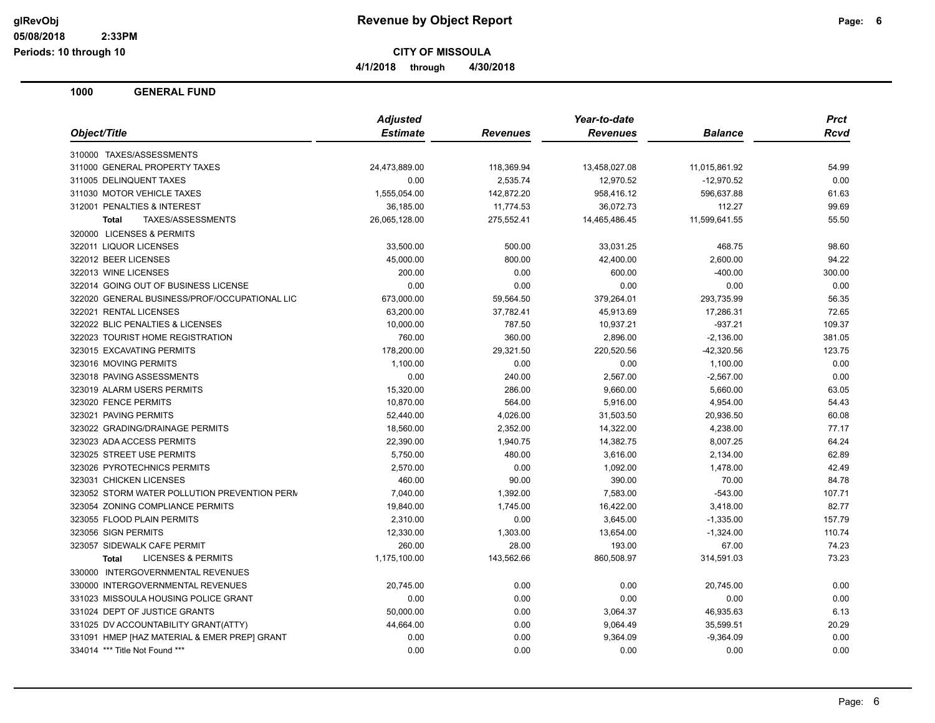**CITY OF MISSOULA**

**4/1/2018 through 4/30/2018**

 **2:33PM**

|                                               | <b>Adjusted</b> |                 | Year-to-date    | <b>Prct</b>    |        |
|-----------------------------------------------|-----------------|-----------------|-----------------|----------------|--------|
| Object/Title                                  | <b>Estimate</b> | <b>Revenues</b> | <b>Revenues</b> | <b>Balance</b> | Rcvd   |
| 310000 TAXES/ASSESSMENTS                      |                 |                 |                 |                |        |
| 311000 GENERAL PROPERTY TAXES                 | 24,473,889.00   | 118,369.94      | 13,458,027.08   | 11,015,861.92  | 54.99  |
| 311005 DELINQUENT TAXES                       | 0.00            | 2,535.74        | 12,970.52       | $-12,970.52$   | 0.00   |
| 311030 MOTOR VEHICLE TAXES                    | 1,555,054.00    | 142,872.20      | 958,416.12      | 596,637.88     | 61.63  |
| 312001 PENALTIES & INTEREST                   | 36,185.00       | 11,774.53       | 36,072.73       | 112.27         | 99.69  |
| TAXES/ASSESSMENTS<br><b>Total</b>             | 26,065,128.00   | 275,552.41      | 14,465,486.45   | 11,599,641.55  | 55.50  |
| 320000 LICENSES & PERMITS                     |                 |                 |                 |                |        |
| 322011 LIQUOR LICENSES                        | 33,500.00       | 500.00          | 33,031.25       | 468.75         | 98.60  |
| 322012 BEER LICENSES                          | 45,000.00       | 800.00          | 42,400.00       | 2,600.00       | 94.22  |
| 322013 WINE LICENSES                          | 200.00          | 0.00            | 600.00          | $-400.00$      | 300.00 |
| 322014 GOING OUT OF BUSINESS LICENSE          | 0.00            | 0.00            | 0.00            | 0.00           | 0.00   |
| 322020 GENERAL BUSINESS/PROF/OCCUPATIONAL LIC | 673,000.00      | 59,564.50       | 379,264.01      | 293,735.99     | 56.35  |
| 322021 RENTAL LICENSES                        | 63,200.00       | 37,782.41       | 45,913.69       | 17,286.31      | 72.65  |
| 322022 BLIC PENALTIES & LICENSES              | 10,000.00       | 787.50          | 10,937.21       | $-937.21$      | 109.37 |
| 322023 TOURIST HOME REGISTRATION              | 760.00          | 360.00          | 2,896.00        | $-2,136.00$    | 381.05 |
| 323015 EXCAVATING PERMITS                     | 178,200.00      | 29,321.50       | 220,520.56      | $-42,320.56$   | 123.75 |
| 323016 MOVING PERMITS                         | 1,100.00        | 0.00            | 0.00            | 1,100.00       | 0.00   |
| 323018 PAVING ASSESSMENTS                     | 0.00            | 240.00          | 2,567.00        | $-2,567.00$    | 0.00   |
| 323019 ALARM USERS PERMITS                    | 15,320.00       | 286.00          | 9,660.00        | 5,660.00       | 63.05  |
| 323020 FENCE PERMITS                          | 10,870.00       | 564.00          | 5,916.00        | 4,954.00       | 54.43  |
| 323021 PAVING PERMITS                         | 52,440.00       | 4,026.00        | 31,503.50       | 20,936.50      | 60.08  |
| 323022 GRADING/DRAINAGE PERMITS               | 18,560.00       | 2,352.00        | 14,322.00       | 4,238.00       | 77.17  |
| 323023 ADA ACCESS PERMITS                     | 22,390.00       | 1,940.75        | 14,382.75       | 8,007.25       | 64.24  |
| 323025 STREET USE PERMITS                     | 5,750.00        | 480.00          | 3,616.00        | 2,134.00       | 62.89  |
| 323026 PYROTECHNICS PERMITS                   | 2,570.00        | 0.00            | 1,092.00        | 1,478.00       | 42.49  |
| 323031 CHICKEN LICENSES                       | 460.00          | 90.00           | 390.00          | 70.00          | 84.78  |
| 323052 STORM WATER POLLUTION PREVENTION PERM  | 7,040.00        | 1,392.00        | 7,583.00        | $-543.00$      | 107.71 |
| 323054 ZONING COMPLIANCE PERMITS              | 19,840.00       | 1,745.00        | 16,422.00       | 3,418.00       | 82.77  |
| 323055 FLOOD PLAIN PERMITS                    | 2,310.00        | 0.00            | 3,645.00        | $-1,335.00$    | 157.79 |
| 323056 SIGN PERMITS                           | 12,330.00       | 1,303.00        | 13,654.00       | $-1,324.00$    | 110.74 |
| 323057 SIDEWALK CAFE PERMIT                   | 260.00          | 28.00           | 193.00          | 67.00          | 74.23  |
| <b>Total</b><br><b>LICENSES &amp; PERMITS</b> | 1,175,100.00    | 143,562.66      | 860,508.97      | 314,591.03     | 73.23  |
| 330000 INTERGOVERNMENTAL REVENUES             |                 |                 |                 |                |        |
| 330000 INTERGOVERNMENTAL REVENUES             | 20,745.00       | 0.00            | 0.00            | 20,745.00      | 0.00   |
| 331023 MISSOULA HOUSING POLICE GRANT          | 0.00            | 0.00            | 0.00            | 0.00           | 0.00   |
| 331024 DEPT OF JUSTICE GRANTS                 | 50,000.00       | 0.00            | 3,064.37        | 46,935.63      | 6.13   |
| 331025 DV ACCOUNTABILITY GRANT(ATTY)          | 44,664.00       | 0.00            | 9,064.49        | 35,599.51      | 20.29  |
| 331091 HMEP [HAZ MATERIAL & EMER PREP] GRANT  | 0.00            | 0.00            | 9,364.09        | $-9,364.09$    | 0.00   |
| 334014 *** Title Not Found ***                | 0.00            | 0.00            | 0.00            | 0.00           | 0.00   |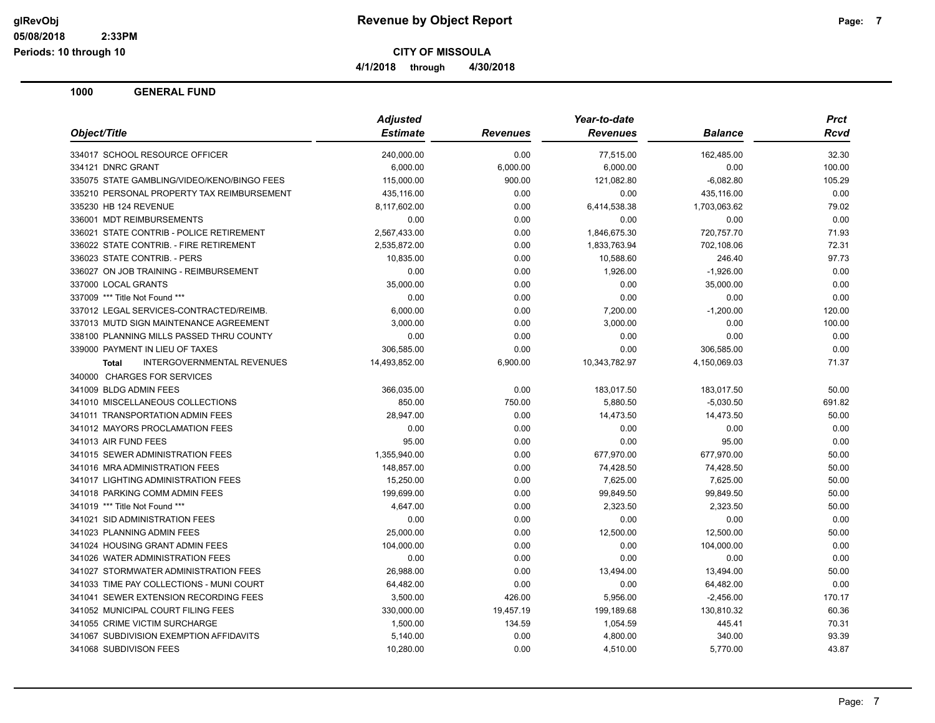**CITY OF MISSOULA**

**4/1/2018 through 4/30/2018**

| Object/Title                                      | <b>Adjusted</b> | Year-to-date    |                 |                | <b>Prct</b> |
|---------------------------------------------------|-----------------|-----------------|-----------------|----------------|-------------|
|                                                   | <b>Estimate</b> | <b>Revenues</b> | <b>Revenues</b> | <b>Balance</b> | <b>Rcvd</b> |
| 334017 SCHOOL RESOURCE OFFICER                    | 240,000.00      | 0.00            | 77,515.00       | 162,485.00     | 32.30       |
| 334121 DNRC GRANT                                 | 6,000.00        | 6,000.00        | 6,000.00        | 0.00           | 100.00      |
| 335075 STATE GAMBLING/VIDEO/KENO/BINGO FEES       | 115,000.00      | 900.00          | 121,082.80      | $-6,082.80$    | 105.29      |
| 335210 PERSONAL PROPERTY TAX REIMBURSEMENT        | 435,116.00      | 0.00            | 0.00            | 435,116.00     | 0.00        |
| 335230 HB 124 REVENUE                             | 8,117,602.00    | 0.00            | 6,414,538.38    | 1,703,063.62   | 79.02       |
| 336001 MDT REIMBURSEMENTS                         | 0.00            | 0.00            | 0.00            | 0.00           | 0.00        |
| 336021 STATE CONTRIB - POLICE RETIREMENT          | 2,567,433.00    | 0.00            | 1,846,675.30    | 720,757.70     | 71.93       |
| 336022 STATE CONTRIB. - FIRE RETIREMENT           | 2,535,872.00    | 0.00            | 1,833,763.94    | 702,108.06     | 72.31       |
| 336023 STATE CONTRIB. - PERS                      | 10,835.00       | 0.00            | 10,588.60       | 246.40         | 97.73       |
| 336027 ON JOB TRAINING - REIMBURSEMENT            | 0.00            | 0.00            | 1,926.00        | $-1,926.00$    | 0.00        |
| 337000 LOCAL GRANTS                               | 35,000.00       | 0.00            | 0.00            | 35,000.00      | 0.00        |
| 337009 *** Title Not Found ***                    | 0.00            | 0.00            | 0.00            | 0.00           | 0.00        |
| 337012 LEGAL SERVICES-CONTRACTED/REIMB.           | 6,000.00        | 0.00            | 7,200.00        | $-1,200.00$    | 120.00      |
| 337013 MUTD SIGN MAINTENANCE AGREEMENT            | 3,000.00        | 0.00            | 3,000.00        | 0.00           | 100.00      |
| 338100 PLANNING MILLS PASSED THRU COUNTY          | 0.00            | 0.00            | 0.00            | 0.00           | 0.00        |
| 339000 PAYMENT IN LIEU OF TAXES                   | 306,585.00      | 0.00            | 0.00            | 306,585.00     | 0.00        |
| <b>INTERGOVERNMENTAL REVENUES</b><br><b>Total</b> | 14,493,852.00   | 6,900.00        | 10,343,782.97   | 4,150,069.03   | 71.37       |
| 340000 CHARGES FOR SERVICES                       |                 |                 |                 |                |             |
| 341009 BLDG ADMIN FEES                            | 366,035.00      | 0.00            | 183,017.50      | 183,017.50     | 50.00       |
| 341010 MISCELLANEOUS COLLECTIONS                  | 850.00          | 750.00          | 5,880.50        | $-5,030.50$    | 691.82      |
| 341011 TRANSPORTATION ADMIN FEES                  | 28,947.00       | 0.00            | 14,473.50       | 14,473.50      | 50.00       |
| 341012 MAYORS PROCLAMATION FEES                   | 0.00            | 0.00            | 0.00            | 0.00           | 0.00        |
| 341013 AIR FUND FEES                              | 95.00           | 0.00            | 0.00            | 95.00          | 0.00        |
| 341015 SEWER ADMINISTRATION FEES                  | 1,355,940.00    | 0.00            | 677,970.00      | 677,970.00     | 50.00       |
| 341016 MRA ADMINISTRATION FEES                    | 148,857.00      | 0.00            | 74,428.50       | 74,428.50      | 50.00       |
| 341017 LIGHTING ADMINISTRATION FEES               | 15,250.00       | 0.00            | 7,625.00        | 7,625.00       | 50.00       |
| 341018 PARKING COMM ADMIN FEES                    | 199,699.00      | 0.00            | 99,849.50       | 99,849.50      | 50.00       |
| 341019 *** Title Not Found ***                    | 4,647.00        | 0.00            | 2,323.50        | 2,323.50       | 50.00       |
| 341021 SID ADMINISTRATION FEES                    | 0.00            | 0.00            | 0.00            | 0.00           | 0.00        |
| 341023 PLANNING ADMIN FEES                        | 25,000.00       | 0.00            | 12,500.00       | 12,500.00      | 50.00       |
| 341024 HOUSING GRANT ADMIN FEES                   | 104,000.00      | 0.00            | 0.00            | 104,000.00     | 0.00        |
| 341026 WATER ADMINISTRATION FEES                  | 0.00            | 0.00            | 0.00            | 0.00           | 0.00        |
| 341027 STORMWATER ADMINISTRATION FEES             | 26,988.00       | 0.00            | 13,494.00       | 13,494.00      | 50.00       |
| 341033 TIME PAY COLLECTIONS - MUNI COURT          | 64,482.00       | 0.00            | 0.00            | 64,482.00      | 0.00        |
| 341041 SEWER EXTENSION RECORDING FEES             | 3,500.00        | 426.00          | 5,956.00        | $-2,456.00$    | 170.17      |
| 341052 MUNICIPAL COURT FILING FEES                | 330,000.00      | 19,457.19       | 199,189.68      | 130,810.32     | 60.36       |
| 341055 CRIME VICTIM SURCHARGE                     | 1,500.00        | 134.59          | 1,054.59        | 445.41         | 70.31       |
| 341067 SUBDIVISION EXEMPTION AFFIDAVITS           | 5,140.00        | 0.00            | 4,800.00        | 340.00         | 93.39       |
| 341068 SUBDIVISON FEES                            | 10,280.00       | 0.00            | 4.510.00        | 5.770.00       | 43.87       |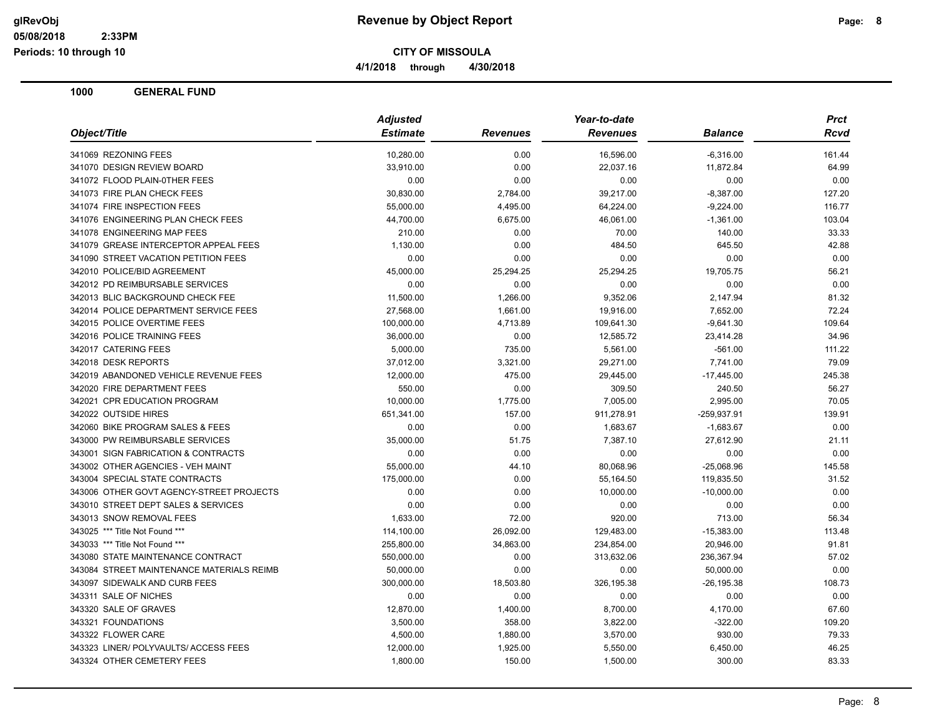**CITY OF MISSOULA**

**4/1/2018 through 4/30/2018**

#### **1000 GENERAL FUND**

 **2:33PM**

|                                           | <b>Adjusted</b> |                 | Year-to-date    |                | <b>Prct</b> |
|-------------------------------------------|-----------------|-----------------|-----------------|----------------|-------------|
| Object/Title                              | <b>Estimate</b> | <b>Revenues</b> | <b>Revenues</b> | <b>Balance</b> | <b>Rcvd</b> |
| 341069 REZONING FEES                      | 10,280.00       | 0.00            | 16,596.00       | $-6,316.00$    | 161.44      |
| 341070 DESIGN REVIEW BOARD                | 33,910.00       | 0.00            | 22,037.16       | 11,872.84      | 64.99       |
| 341072 FLOOD PLAIN-0THER FEES             | 0.00            | 0.00            | 0.00            | 0.00           | 0.00        |
| 341073 FIRE PLAN CHECK FEES               | 30,830.00       | 2,784.00        | 39,217.00       | $-8,387.00$    | 127.20      |
| 341074 FIRE INSPECTION FEES               | 55,000.00       | 4,495.00        | 64,224.00       | $-9,224.00$    | 116.77      |
| 341076 ENGINEERING PLAN CHECK FEES        | 44,700.00       | 6,675.00        | 46,061.00       | $-1,361.00$    | 103.04      |
| 341078 ENGINEERING MAP FEES               | 210.00          | 0.00            | 70.00           | 140.00         | 33.33       |
| 341079 GREASE INTERCEPTOR APPEAL FEES     | 1,130.00        | 0.00            | 484.50          | 645.50         | 42.88       |
| 341090 STREET VACATION PETITION FEES      | 0.00            | 0.00            | 0.00            | 0.00           | 0.00        |
| 342010 POLICE/BID AGREEMENT               | 45,000.00       | 25,294.25       | 25,294.25       | 19,705.75      | 56.21       |
| 342012 PD REIMBURSABLE SERVICES           | 0.00            | 0.00            | 0.00            | 0.00           | 0.00        |
| 342013 BLIC BACKGROUND CHECK FEE          | 11,500.00       | 1,266.00        | 9,352.06        | 2,147.94       | 81.32       |
| 342014 POLICE DEPARTMENT SERVICE FEES     | 27,568.00       | 1,661.00        | 19,916.00       | 7,652.00       | 72.24       |
| 342015 POLICE OVERTIME FEES               | 100,000.00      | 4,713.89        | 109,641.30      | $-9,641.30$    | 109.64      |
| 342016 POLICE TRAINING FEES               | 36,000.00       | 0.00            | 12,585.72       | 23,414.28      | 34.96       |
| 342017 CATERING FEES                      | 5,000.00        | 735.00          | 5,561.00        | $-561.00$      | 111.22      |
| 342018 DESK REPORTS                       | 37,012.00       | 3,321.00        | 29,271.00       | 7,741.00       | 79.09       |
| 342019 ABANDONED VEHICLE REVENUE FEES     | 12,000.00       | 475.00          | 29,445.00       | $-17,445.00$   | 245.38      |
| 342020 FIRE DEPARTMENT FEES               | 550.00          | 0.00            | 309.50          | 240.50         | 56.27       |
| 342021 CPR EDUCATION PROGRAM              | 10,000.00       | 1,775.00        | 7,005.00        | 2,995.00       | 70.05       |
| 342022 OUTSIDE HIRES                      | 651,341.00      | 157.00          | 911,278.91      | $-259,937.91$  | 139.91      |
| 342060 BIKE PROGRAM SALES & FEES          | 0.00            | 0.00            | 1,683.67        | $-1,683.67$    | 0.00        |
| 343000 PW REIMBURSABLE SERVICES           | 35,000.00       | 51.75           | 7,387.10        | 27,612.90      | 21.11       |
| 343001 SIGN FABRICATION & CONTRACTS       | 0.00            | 0.00            | 0.00            | 0.00           | 0.00        |
| 343002 OTHER AGENCIES - VEH MAINT         | 55,000.00       | 44.10           | 80,068.96       | $-25,068.96$   | 145.58      |
| 343004 SPECIAL STATE CONTRACTS            | 175,000.00      | 0.00            | 55,164.50       | 119,835.50     | 31.52       |
| 343006 OTHER GOVT AGENCY-STREET PROJECTS  | 0.00            | 0.00            | 10,000.00       | $-10,000.00$   | 0.00        |
| 343010 STREET DEPT SALES & SERVICES       | 0.00            | 0.00            | 0.00            | 0.00           | 0.00        |
| 343013 SNOW REMOVAL FEES                  | 1,633.00        | 72.00           | 920.00          | 713.00         | 56.34       |
| 343025 *** Title Not Found ***            | 114,100.00      | 26,092.00       | 129,483.00      | $-15,383.00$   | 113.48      |
| 343033 *** Title Not Found ***            | 255,800.00      | 34,863.00       | 234,854.00      | 20,946.00      | 91.81       |
| 343080 STATE MAINTENANCE CONTRACT         | 550,000.00      | 0.00            | 313,632.06      | 236,367.94     | 57.02       |
| 343084 STREET MAINTENANCE MATERIALS REIMB | 50,000.00       | 0.00            | 0.00            | 50,000.00      | 0.00        |
| 343097 SIDEWALK AND CURB FEES             | 300,000.00      | 18,503.80       | 326,195.38      | $-26, 195.38$  | 108.73      |
| 343311 SALE OF NICHES                     | 0.00            | 0.00            | 0.00            | 0.00           | 0.00        |
| 343320 SALE OF GRAVES                     | 12,870.00       | 1,400.00        | 8,700.00        | 4,170.00       | 67.60       |
| 343321 FOUNDATIONS                        | 3,500.00        | 358.00          | 3,822.00        | $-322.00$      | 109.20      |
| 343322 FLOWER CARE                        | 4,500.00        | 1,880.00        | 3,570.00        | 930.00         | 79.33       |
| 343323 LINER/ POLYVAULTS/ ACCESS FEES     | 12,000.00       | 1,925.00        | 5,550.00        | 6,450.00       | 46.25       |
| 343324 OTHER CEMETERY FEES                | 1,800.00        | 150.00          | 1,500.00        | 300.00         | 83.33       |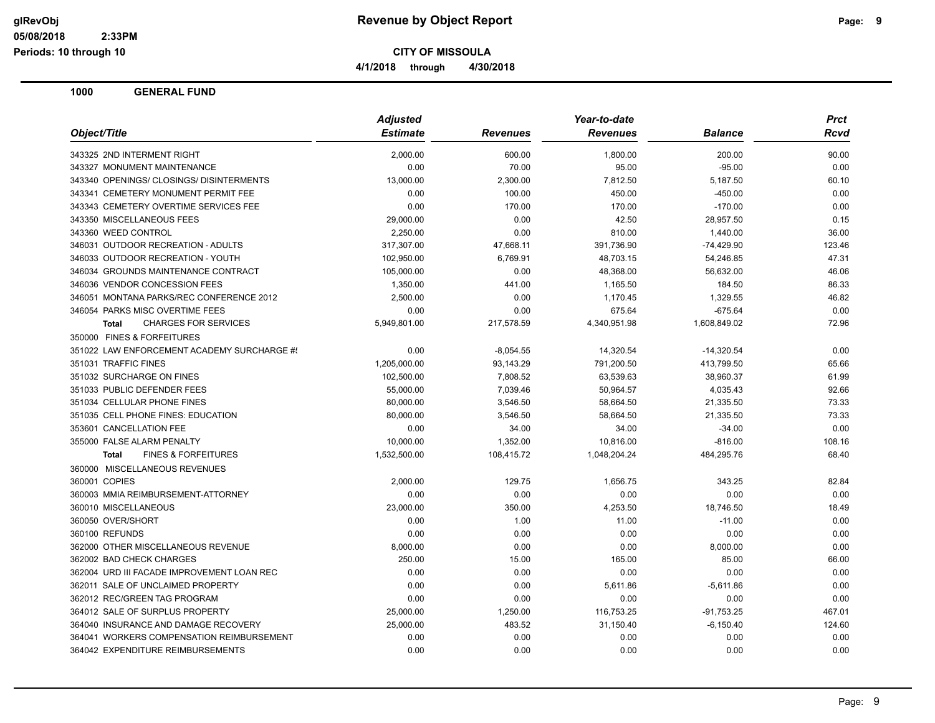**CITY OF MISSOULA**

**4/1/2018 through 4/30/2018**

|                                                | <b>Adjusted</b> |             | Year-to-date    |                | <b>Prct</b> |
|------------------------------------------------|-----------------|-------------|-----------------|----------------|-------------|
| Object/Title                                   | <b>Estimate</b> | Revenues    | <b>Revenues</b> | <b>Balance</b> | <b>Rcvd</b> |
| 343325 2ND INTERMENT RIGHT                     | 2,000.00        | 600.00      | 1,800.00        | 200.00         | 90.00       |
| 343327 MONUMENT MAINTENANCE                    | 0.00            | 70.00       | 95.00           | $-95.00$       | 0.00        |
| 343340 OPENINGS/ CLOSINGS/ DISINTERMENTS       | 13,000.00       | 2,300.00    | 7,812.50        | 5,187.50       | 60.10       |
| 343341 CEMETERY MONUMENT PERMIT FEE            | 0.00            | 100.00      | 450.00          | $-450.00$      | 0.00        |
| 343343 CEMETERY OVERTIME SERVICES FEE          | 0.00            | 170.00      | 170.00          | $-170.00$      | 0.00        |
| 343350 MISCELLANEOUS FEES                      | 29,000.00       | 0.00        | 42.50           | 28,957.50      | 0.15        |
| 343360 WEED CONTROL                            | 2,250.00        | 0.00        | 810.00          | 1,440.00       | 36.00       |
| 346031 OUTDOOR RECREATION - ADULTS             | 317,307.00      | 47,668.11   | 391,736.90      | $-74,429.90$   | 123.46      |
| 346033 OUTDOOR RECREATION - YOUTH              | 102,950.00      | 6,769.91    | 48,703.15       | 54,246.85      | 47.31       |
| 346034 GROUNDS MAINTENANCE CONTRACT            | 105,000.00      | 0.00        | 48,368.00       | 56,632.00      | 46.06       |
| 346036 VENDOR CONCESSION FEES                  | 1,350.00        | 441.00      | 1,165.50        | 184.50         | 86.33       |
| 346051 MONTANA PARKS/REC CONFERENCE 2012       | 2,500.00        | 0.00        | 1,170.45        | 1,329.55       | 46.82       |
| 346054 PARKS MISC OVERTIME FEES                | 0.00            | 0.00        | 675.64          | $-675.64$      | 0.00        |
| <b>CHARGES FOR SERVICES</b><br><b>Total</b>    | 5,949,801.00    | 217,578.59  | 4,340,951.98    | 1,608,849.02   | 72.96       |
| 350000 FINES & FORFEITURES                     |                 |             |                 |                |             |
| 351022 LAW ENFORCEMENT ACADEMY SURCHARGE #!    | 0.00            | $-8,054.55$ | 14,320.54       | $-14,320.54$   | 0.00        |
| 351031 TRAFFIC FINES                           | 1,205,000.00    | 93,143.29   | 791,200.50      | 413,799.50     | 65.66       |
| 351032 SURCHARGE ON FINES                      | 102,500.00      | 7,808.52    | 63,539.63       | 38,960.37      | 61.99       |
| 351033 PUBLIC DEFENDER FEES                    | 55,000.00       | 7,039.46    | 50,964.57       | 4,035.43       | 92.66       |
| 351034 CELLULAR PHONE FINES                    | 80,000.00       | 3,546.50    | 58,664.50       | 21,335.50      | 73.33       |
| 351035 CELL PHONE FINES: EDUCATION             | 80,000.00       | 3,546.50    | 58,664.50       | 21,335.50      | 73.33       |
| 353601 CANCELLATION FEE                        | 0.00            | 34.00       | 34.00           | $-34.00$       | 0.00        |
| 355000 FALSE ALARM PENALTY                     | 10,000.00       | 1,352.00    | 10,816.00       | $-816.00$      | 108.16      |
| <b>FINES &amp; FORFEITURES</b><br><b>Total</b> | 1,532,500.00    | 108,415.72  | 1,048,204.24    | 484,295.76     | 68.40       |
| 360000 MISCELLANEOUS REVENUES                  |                 |             |                 |                |             |
| 360001 COPIES                                  | 2,000.00        | 129.75      | 1,656.75        | 343.25         | 82.84       |
| 360003 MMIA REIMBURSEMENT-ATTORNEY             | 0.00            | 0.00        | 0.00            | 0.00           | 0.00        |
| 360010 MISCELLANEOUS                           | 23,000.00       | 350.00      | 4,253.50        | 18,746.50      | 18.49       |
| 360050 OVER/SHORT                              | 0.00            | 1.00        | 11.00           | $-11.00$       | 0.00        |
| 360100 REFUNDS                                 | 0.00            | 0.00        | 0.00            | 0.00           | 0.00        |
| 362000 OTHER MISCELLANEOUS REVENUE             | 8,000.00        | 0.00        | 0.00            | 8,000.00       | 0.00        |
| 362002 BAD CHECK CHARGES                       | 250.00          | 15.00       | 165.00          | 85.00          | 66.00       |
| 362004 URD III FACADE IMPROVEMENT LOAN REC     | 0.00            | 0.00        | 0.00            | 0.00           | 0.00        |
| 362011 SALE OF UNCLAIMED PROPERTY              | 0.00            | 0.00        | 5,611.86        | $-5,611.86$    | 0.00        |
| 362012 REC/GREEN TAG PROGRAM                   | 0.00            | 0.00        | 0.00            | 0.00           | 0.00        |
| 364012 SALE OF SURPLUS PROPERTY                | 25,000.00       | 1,250.00    | 116,753.25      | $-91,753.25$   | 467.01      |
| 364040 INSURANCE AND DAMAGE RECOVERY           | 25,000.00       | 483.52      | 31,150.40       | $-6, 150.40$   | 124.60      |
| 364041 WORKERS COMPENSATION REIMBURSEMENT      | 0.00            | 0.00        | 0.00            | 0.00           | 0.00        |
| 364042 EXPENDITURE REIMBURSEMENTS              | 0.00            | 0.00        | 0.00            | 0.00           | 0.00        |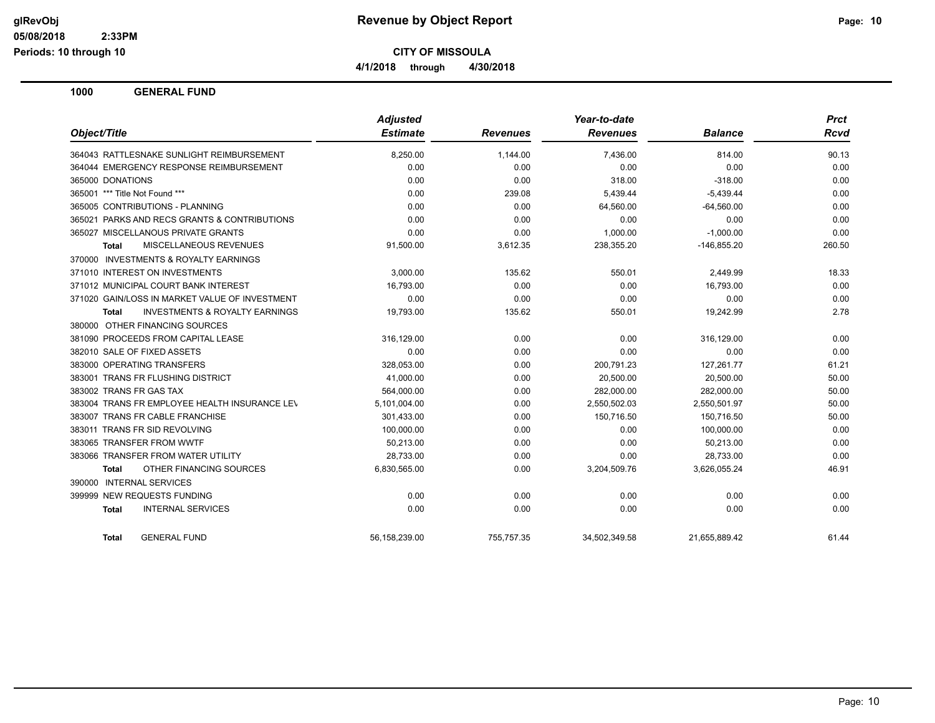**4/1/2018 through 4/30/2018**

|                                                           | <b>Adjusted</b> |                 | Year-to-date    |                | <b>Prct</b> |
|-----------------------------------------------------------|-----------------|-----------------|-----------------|----------------|-------------|
| Object/Title                                              | <b>Estimate</b> | <b>Revenues</b> | <b>Revenues</b> | <b>Balance</b> | <b>Rcvd</b> |
| 364043 RATTLESNAKE SUNLIGHT REIMBURSEMENT                 | 8,250.00        | 1,144.00        | 7,436.00        | 814.00         | 90.13       |
| 364044 EMERGENCY RESPONSE REIMBURSEMENT                   | 0.00            | 0.00            | 0.00            | 0.00           | 0.00        |
| 365000 DONATIONS                                          | 0.00            | 0.00            | 318.00          | $-318.00$      | 0.00        |
| 365001 *** Title Not Found ***                            | 0.00            | 239.08          | 5,439.44        | $-5,439.44$    | 0.00        |
| 365005 CONTRIBUTIONS - PLANNING                           | 0.00            | 0.00            | 64,560.00       | $-64,560.00$   | 0.00        |
| 365021 PARKS AND RECS GRANTS & CONTRIBUTIONS              | 0.00            | 0.00            | 0.00            | 0.00           | 0.00        |
| 365027 MISCELLANOUS PRIVATE GRANTS                        | 0.00            | 0.00            | 1,000.00        | $-1,000.00$    | 0.00        |
| <b>MISCELLANEOUS REVENUES</b><br>Total                    | 91,500.00       | 3,612.35        | 238,355.20      | $-146,855.20$  | 260.50      |
| 370000 INVESTMENTS & ROYALTY EARNINGS                     |                 |                 |                 |                |             |
| 371010 INTEREST ON INVESTMENTS                            | 3.000.00        | 135.62          | 550.01          | 2,449.99       | 18.33       |
| 371012 MUNICIPAL COURT BANK INTEREST                      | 16,793.00       | 0.00            | 0.00            | 16,793.00      | 0.00        |
| 371020 GAIN/LOSS IN MARKET VALUE OF INVESTMENT            | 0.00            | 0.00            | 0.00            | 0.00           | 0.00        |
| <b>INVESTMENTS &amp; ROYALTY EARNINGS</b><br><b>Total</b> | 19,793.00       | 135.62          | 550.01          | 19,242.99      | 2.78        |
| 380000 OTHER FINANCING SOURCES                            |                 |                 |                 |                |             |
| 381090 PROCEEDS FROM CAPITAL LEASE                        | 316,129.00      | 0.00            | 0.00            | 316,129.00     | 0.00        |
| 382010 SALE OF FIXED ASSETS                               | 0.00            | 0.00            | 0.00            | 0.00           | 0.00        |
| 383000 OPERATING TRANSFERS                                | 328,053.00      | 0.00            | 200,791.23      | 127,261.77     | 61.21       |
| 383001 TRANS FR FLUSHING DISTRICT                         | 41,000.00       | 0.00            | 20,500.00       | 20,500.00      | 50.00       |
| 383002 TRANS FR GAS TAX                                   | 564,000.00      | 0.00            | 282,000.00      | 282,000.00     | 50.00       |
| 383004 TRANS FR EMPLOYEE HEALTH INSURANCE LEV             | 5,101,004.00    | 0.00            | 2,550,502.03    | 2,550,501.97   | 50.00       |
| 383007 TRANS FR CABLE FRANCHISE                           | 301,433.00      | 0.00            | 150,716.50      | 150,716.50     | 50.00       |
| 383011 TRANS FR SID REVOLVING                             | 100,000.00      | 0.00            | 0.00            | 100,000.00     | 0.00        |
| 383065 TRANSFER FROM WWTF                                 | 50,213.00       | 0.00            | 0.00            | 50,213.00      | 0.00        |
| 383066 TRANSFER FROM WATER UTILITY                        | 28,733.00       | 0.00            | 0.00            | 28,733.00      | 0.00        |
| OTHER FINANCING SOURCES<br><b>Total</b>                   | 6,830,565.00    | 0.00            | 3,204,509.76    | 3,626,055.24   | 46.91       |
| 390000 INTERNAL SERVICES                                  |                 |                 |                 |                |             |
| 399999 NEW REQUESTS FUNDING                               | 0.00            | 0.00            | 0.00            | 0.00           | 0.00        |
| <b>INTERNAL SERVICES</b><br><b>Total</b>                  | 0.00            | 0.00            | 0.00            | 0.00           | 0.00        |
| <b>GENERAL FUND</b><br><b>Total</b>                       | 56,158,239.00   | 755.757.35      | 34,502,349.58   | 21,655,889.42  | 61.44       |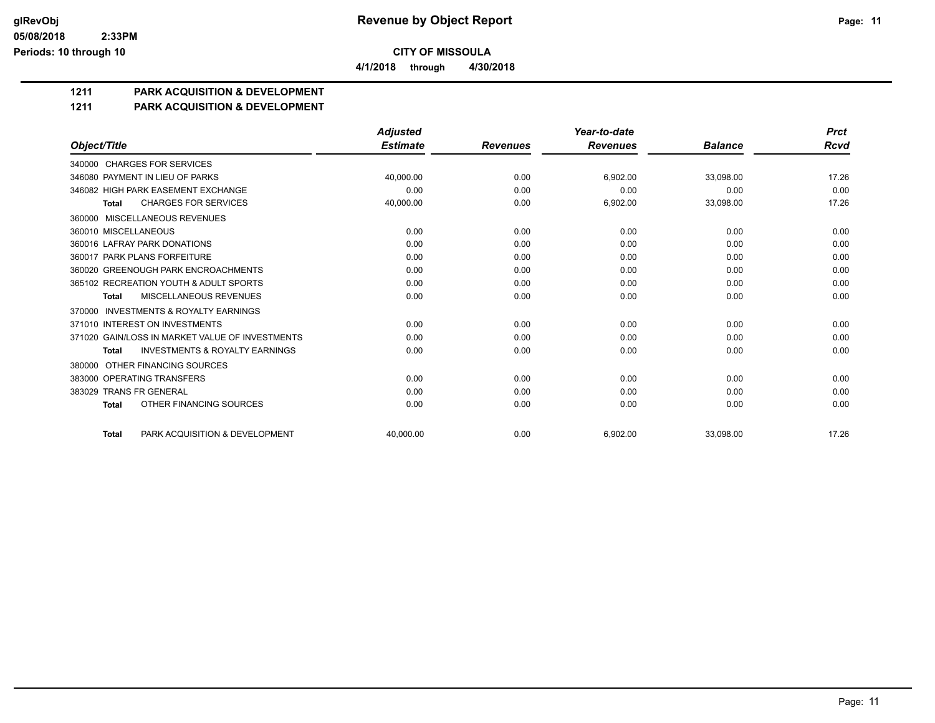**4/1/2018 through 4/30/2018**

# **1211 PARK ACQUISITION & DEVELOPMENT**

#### **1211 PARK ACQUISITION & DEVELOPMENT**

|                                                           | <b>Adjusted</b> |                 | Year-to-date    |                | <b>Prct</b> |
|-----------------------------------------------------------|-----------------|-----------------|-----------------|----------------|-------------|
| Object/Title                                              | <b>Estimate</b> | <b>Revenues</b> | <b>Revenues</b> | <b>Balance</b> | Rcvd        |
| 340000 CHARGES FOR SERVICES                               |                 |                 |                 |                |             |
| 346080 PAYMENT IN LIEU OF PARKS                           | 40,000.00       | 0.00            | 6,902.00        | 33,098.00      | 17.26       |
| 346082 HIGH PARK EASEMENT EXCHANGE                        | 0.00            | 0.00            | 0.00            | 0.00           | 0.00        |
| <b>CHARGES FOR SERVICES</b><br><b>Total</b>               | 40,000.00       | 0.00            | 6,902.00        | 33,098.00      | 17.26       |
| 360000 MISCELLANEOUS REVENUES                             |                 |                 |                 |                |             |
| 360010 MISCELLANEOUS                                      | 0.00            | 0.00            | 0.00            | 0.00           | 0.00        |
| 360016 LAFRAY PARK DONATIONS                              | 0.00            | 0.00            | 0.00            | 0.00           | 0.00        |
| 360017 PARK PLANS FORFEITURE                              | 0.00            | 0.00            | 0.00            | 0.00           | 0.00        |
| 360020 GREENOUGH PARK ENCROACHMENTS                       | 0.00            | 0.00            | 0.00            | 0.00           | 0.00        |
| 365102 RECREATION YOUTH & ADULT SPORTS                    | 0.00            | 0.00            | 0.00            | 0.00           | 0.00        |
| MISCELLANEOUS REVENUES<br><b>Total</b>                    | 0.00            | 0.00            | 0.00            | 0.00           | 0.00        |
| <b>INVESTMENTS &amp; ROYALTY EARNINGS</b><br>370000       |                 |                 |                 |                |             |
| 371010 INTEREST ON INVESTMENTS                            | 0.00            | 0.00            | 0.00            | 0.00           | 0.00        |
| 371020 GAIN/LOSS IN MARKET VALUE OF INVESTMENTS           | 0.00            | 0.00            | 0.00            | 0.00           | 0.00        |
| <b>INVESTMENTS &amp; ROYALTY EARNINGS</b><br><b>Total</b> | 0.00            | 0.00            | 0.00            | 0.00           | 0.00        |
| OTHER FINANCING SOURCES<br>380000                         |                 |                 |                 |                |             |
| 383000 OPERATING TRANSFERS                                | 0.00            | 0.00            | 0.00            | 0.00           | 0.00        |
| 383029 TRANS FR GENERAL                                   | 0.00            | 0.00            | 0.00            | 0.00           | 0.00        |
| OTHER FINANCING SOURCES<br><b>Total</b>                   | 0.00            | 0.00            | 0.00            | 0.00           | 0.00        |
| PARK ACQUISITION & DEVELOPMENT<br>Total                   | 40,000.00       | 0.00            | 6,902.00        | 33,098.00      | 17.26       |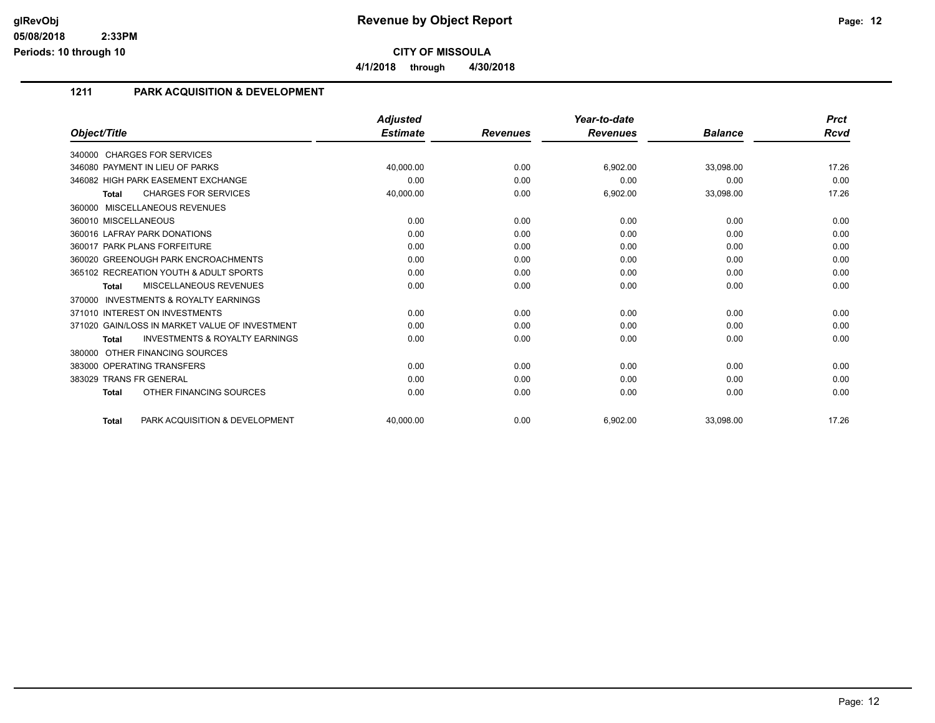**4/1/2018 through 4/30/2018**

### **1211 PARK ACQUISITION & DEVELOPMENT**

|                                                           | <b>Adjusted</b> |                 | Year-to-date    |                | <b>Prct</b> |
|-----------------------------------------------------------|-----------------|-----------------|-----------------|----------------|-------------|
| Object/Title                                              | <b>Estimate</b> | <b>Revenues</b> | <b>Revenues</b> | <b>Balance</b> | Rcvd        |
| 340000 CHARGES FOR SERVICES                               |                 |                 |                 |                |             |
| 346080 PAYMENT IN LIEU OF PARKS                           | 40.000.00       | 0.00            | 6,902.00        | 33,098.00      | 17.26       |
| 346082 HIGH PARK EASEMENT EXCHANGE                        | 0.00            | 0.00            | 0.00            | 0.00           | 0.00        |
| <b>CHARGES FOR SERVICES</b><br><b>Total</b>               | 40,000.00       | 0.00            | 6,902.00        | 33,098.00      | 17.26       |
| 360000 MISCELLANEOUS REVENUES                             |                 |                 |                 |                |             |
| 360010 MISCELLANEOUS                                      | 0.00            | 0.00            | 0.00            | 0.00           | 0.00        |
| 360016 LAFRAY PARK DONATIONS                              | 0.00            | 0.00            | 0.00            | 0.00           | 0.00        |
| 360017 PARK PLANS FORFEITURE                              | 0.00            | 0.00            | 0.00            | 0.00           | 0.00        |
| 360020 GREENOUGH PARK ENCROACHMENTS                       | 0.00            | 0.00            | 0.00            | 0.00           | 0.00        |
| 365102 RECREATION YOUTH & ADULT SPORTS                    | 0.00            | 0.00            | 0.00            | 0.00           | 0.00        |
| <b>MISCELLANEOUS REVENUES</b><br><b>Total</b>             | 0.00            | 0.00            | 0.00            | 0.00           | 0.00        |
| <b>INVESTMENTS &amp; ROYALTY EARNINGS</b><br>370000       |                 |                 |                 |                |             |
| 371010 INTEREST ON INVESTMENTS                            | 0.00            | 0.00            | 0.00            | 0.00           | 0.00        |
| 371020 GAIN/LOSS IN MARKET VALUE OF INVESTMENT            | 0.00            | 0.00            | 0.00            | 0.00           | 0.00        |
| <b>INVESTMENTS &amp; ROYALTY EARNINGS</b><br><b>Total</b> | 0.00            | 0.00            | 0.00            | 0.00           | 0.00        |
| OTHER FINANCING SOURCES<br>380000                         |                 |                 |                 |                |             |
| 383000 OPERATING TRANSFERS                                | 0.00            | 0.00            | 0.00            | 0.00           | 0.00        |
| 383029 TRANS FR GENERAL                                   | 0.00            | 0.00            | 0.00            | 0.00           | 0.00        |
| OTHER FINANCING SOURCES<br><b>Total</b>                   | 0.00            | 0.00            | 0.00            | 0.00           | 0.00        |
| PARK ACQUISITION & DEVELOPMENT<br><b>Total</b>            | 40,000.00       | 0.00            | 6,902.00        | 33,098.00      | 17.26       |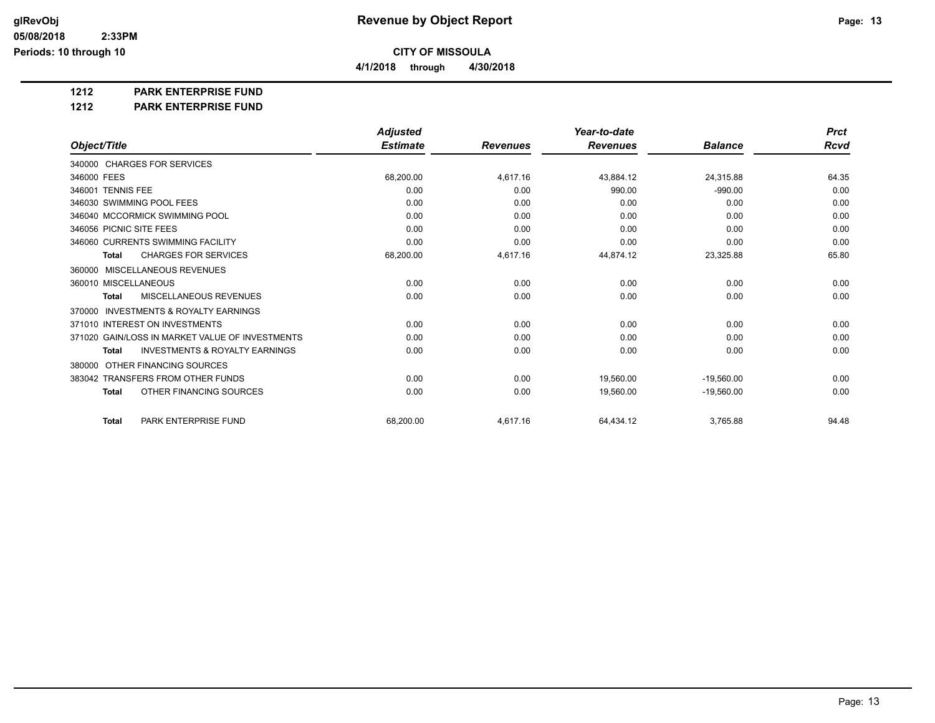**4/1/2018 through 4/30/2018**

**1212 PARK ENTERPRISE FUND**

**1212 PARK ENTERPRISE FUND**

|                                                           | <b>Adjusted</b> |                 | Year-to-date    |                | <b>Prct</b> |
|-----------------------------------------------------------|-----------------|-----------------|-----------------|----------------|-------------|
| Object/Title                                              | <b>Estimate</b> | <b>Revenues</b> | <b>Revenues</b> | <b>Balance</b> | <b>Rcvd</b> |
| 340000 CHARGES FOR SERVICES                               |                 |                 |                 |                |             |
| 346000 FEES                                               | 68,200.00       | 4,617.16        | 43,884.12       | 24,315.88      | 64.35       |
| 346001 TENNIS FEE                                         | 0.00            | 0.00            | 990.00          | $-990.00$      | 0.00        |
| 346030 SWIMMING POOL FEES                                 | 0.00            | 0.00            | 0.00            | 0.00           | 0.00        |
| 346040 MCCORMICK SWIMMING POOL                            | 0.00            | 0.00            | 0.00            | 0.00           | 0.00        |
| 346056 PICNIC SITE FEES                                   | 0.00            | 0.00            | 0.00            | 0.00           | 0.00        |
| 346060 CURRENTS SWIMMING FACILITY                         | 0.00            | 0.00            | 0.00            | 0.00           | 0.00        |
| <b>CHARGES FOR SERVICES</b><br><b>Total</b>               | 68,200.00       | 4,617.16        | 44,874.12       | 23,325.88      | 65.80       |
| MISCELLANEOUS REVENUES<br>360000                          |                 |                 |                 |                |             |
| 360010 MISCELLANEOUS                                      | 0.00            | 0.00            | 0.00            | 0.00           | 0.00        |
| <b>MISCELLANEOUS REVENUES</b><br><b>Total</b>             | 0.00            | 0.00            | 0.00            | 0.00           | 0.00        |
| INVESTMENTS & ROYALTY EARNINGS<br>370000                  |                 |                 |                 |                |             |
| 371010 INTEREST ON INVESTMENTS                            | 0.00            | 0.00            | 0.00            | 0.00           | 0.00        |
| 371020 GAIN/LOSS IN MARKET VALUE OF INVESTMENTS           | 0.00            | 0.00            | 0.00            | 0.00           | 0.00        |
| <b>INVESTMENTS &amp; ROYALTY EARNINGS</b><br><b>Total</b> | 0.00            | 0.00            | 0.00            | 0.00           | 0.00        |
| OTHER FINANCING SOURCES<br>380000                         |                 |                 |                 |                |             |
| 383042 TRANSFERS FROM OTHER FUNDS                         | 0.00            | 0.00            | 19.560.00       | $-19,560.00$   | 0.00        |
| OTHER FINANCING SOURCES<br><b>Total</b>                   | 0.00            | 0.00            | 19,560.00       | $-19,560.00$   | 0.00        |
| PARK ENTERPRISE FUND<br><b>Total</b>                      | 68,200.00       | 4,617.16        | 64,434.12       | 3,765.88       | 94.48       |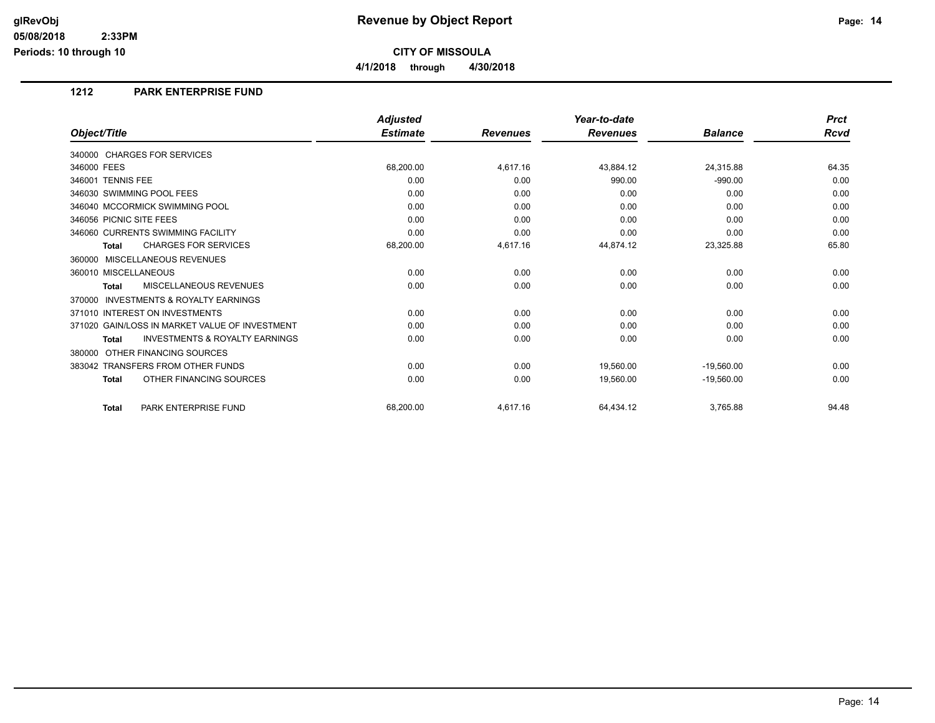**4/1/2018 through 4/30/2018**

#### **1212 PARK ENTERPRISE FUND**

|                                                     | <b>Adjusted</b> |                 | Year-to-date    |                | <b>Prct</b> |
|-----------------------------------------------------|-----------------|-----------------|-----------------|----------------|-------------|
| Object/Title                                        | <b>Estimate</b> | <b>Revenues</b> | <b>Revenues</b> | <b>Balance</b> | Rcvd        |
| 340000 CHARGES FOR SERVICES                         |                 |                 |                 |                |             |
| 346000 FEES                                         | 68,200.00       | 4,617.16        | 43,884.12       | 24,315.88      | 64.35       |
| 346001 TENNIS FEE                                   | 0.00            | 0.00            | 990.00          | $-990.00$      | 0.00        |
| 346030 SWIMMING POOL FEES                           | 0.00            | 0.00            | 0.00            | 0.00           | 0.00        |
| 346040 MCCORMICK SWIMMING POOL                      | 0.00            | 0.00            | 0.00            | 0.00           | 0.00        |
| 346056 PICNIC SITE FEES                             | 0.00            | 0.00            | 0.00            | 0.00           | 0.00        |
| 346060 CURRENTS SWIMMING FACILITY                   | 0.00            | 0.00            | 0.00            | 0.00           | 0.00        |
| <b>CHARGES FOR SERVICES</b><br><b>Total</b>         | 68,200.00       | 4,617.16        | 44,874.12       | 23,325.88      | 65.80       |
| 360000 MISCELLANEOUS REVENUES                       |                 |                 |                 |                |             |
| 360010 MISCELLANEOUS                                | 0.00            | 0.00            | 0.00            | 0.00           | 0.00        |
| MISCELLANEOUS REVENUES<br>Total                     | 0.00            | 0.00            | 0.00            | 0.00           | 0.00        |
| <b>INVESTMENTS &amp; ROYALTY EARNINGS</b><br>370000 |                 |                 |                 |                |             |
| 371010 INTEREST ON INVESTMENTS                      | 0.00            | 0.00            | 0.00            | 0.00           | 0.00        |
| 371020 GAIN/LOSS IN MARKET VALUE OF INVESTMENT      | 0.00            | 0.00            | 0.00            | 0.00           | 0.00        |
| <b>INVESTMENTS &amp; ROYALTY EARNINGS</b><br>Total  | 0.00            | 0.00            | 0.00            | 0.00           | 0.00        |
| OTHER FINANCING SOURCES<br>380000                   |                 |                 |                 |                |             |
| 383042 TRANSFERS FROM OTHER FUNDS                   | 0.00            | 0.00            | 19,560.00       | $-19,560.00$   | 0.00        |
| OTHER FINANCING SOURCES<br><b>Total</b>             | 0.00            | 0.00            | 19,560.00       | $-19,560.00$   | 0.00        |
| PARK ENTERPRISE FUND<br><b>Total</b>                | 68.200.00       | 4,617.16        | 64,434.12       | 3.765.88       | 94.48       |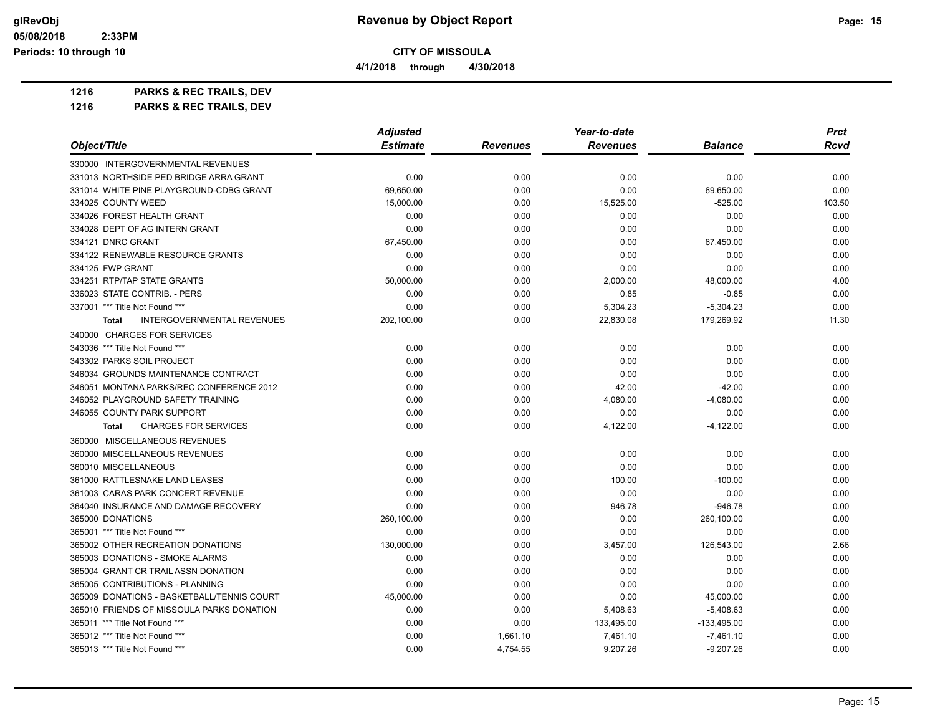**4/1/2018 through 4/30/2018**

**1216 PARKS & REC TRAILS, DEV**

|                                                   | <b>Adjusted</b> |                 | Year-to-date    |                | <b>Prct</b> |
|---------------------------------------------------|-----------------|-----------------|-----------------|----------------|-------------|
| Object/Title                                      | <b>Estimate</b> | <b>Revenues</b> | <b>Revenues</b> | <b>Balance</b> | <b>Rcvd</b> |
| 330000 INTERGOVERNMENTAL REVENUES                 |                 |                 |                 |                |             |
| 331013 NORTHSIDE PED BRIDGE ARRA GRANT            | 0.00            | 0.00            | 0.00            | 0.00           | 0.00        |
| 331014 WHITE PINE PLAYGROUND-CDBG GRANT           | 69,650.00       | 0.00            | 0.00            | 69,650.00      | 0.00        |
| 334025 COUNTY WEED                                | 15.000.00       | 0.00            | 15,525.00       | $-525.00$      | 103.50      |
| 334026 FOREST HEALTH GRANT                        | 0.00            | 0.00            | 0.00            | 0.00           | 0.00        |
| 334028 DEPT OF AG INTERN GRANT                    | 0.00            | 0.00            | 0.00            | 0.00           | 0.00        |
| 334121 DNRC GRANT                                 | 67,450.00       | 0.00            | 0.00            | 67,450.00      | 0.00        |
| 334122 RENEWABLE RESOURCE GRANTS                  | 0.00            | 0.00            | 0.00            | 0.00           | 0.00        |
| 334125 FWP GRANT                                  | 0.00            | 0.00            | 0.00            | 0.00           | 0.00        |
| 334251 RTP/TAP STATE GRANTS                       | 50,000.00       | 0.00            | 2,000.00        | 48,000.00      | 4.00        |
| 336023 STATE CONTRIB. - PERS                      | 0.00            | 0.00            | 0.85            | $-0.85$        | 0.00        |
| 337001 *** Title Not Found ***                    | 0.00            | 0.00            | 5,304.23        | $-5,304.23$    | 0.00        |
| <b>INTERGOVERNMENTAL REVENUES</b><br><b>Total</b> | 202,100.00      | 0.00            | 22,830.08       | 179,269.92     | 11.30       |
| 340000 CHARGES FOR SERVICES                       |                 |                 |                 |                |             |
| 343036 *** Title Not Found ***                    | 0.00            | 0.00            | 0.00            | 0.00           | 0.00        |
| 343302 PARKS SOIL PROJECT                         | 0.00            | 0.00            | 0.00            | 0.00           | 0.00        |
| 346034 GROUNDS MAINTENANCE CONTRACT               | 0.00            | 0.00            | 0.00            | 0.00           | 0.00        |
| 346051 MONTANA PARKS/REC CONFERENCE 2012          | 0.00            | 0.00            | 42.00           | $-42.00$       | 0.00        |
| 346052 PLAYGROUND SAFETY TRAINING                 | 0.00            | 0.00            | 4,080.00        | $-4,080.00$    | 0.00        |
| 346055 COUNTY PARK SUPPORT                        | 0.00            | 0.00            | 0.00            | 0.00           | 0.00        |
| <b>CHARGES FOR SERVICES</b><br>Total              | 0.00            | 0.00            | 4,122.00        | $-4,122.00$    | 0.00        |
| 360000 MISCELLANEOUS REVENUES                     |                 |                 |                 |                |             |
| 360000 MISCELLANEOUS REVENUES                     | 0.00            | 0.00            | 0.00            | 0.00           | 0.00        |
| 360010 MISCELLANEOUS                              | 0.00            | 0.00            | 0.00            | 0.00           | 0.00        |
| 361000 RATTLESNAKE LAND LEASES                    | 0.00            | 0.00            | 100.00          | $-100.00$      | 0.00        |
| 361003 CARAS PARK CONCERT REVENUE                 | 0.00            | 0.00            | 0.00            | 0.00           | 0.00        |
| 364040 INSURANCE AND DAMAGE RECOVERY              | 0.00            | 0.00            | 946.78          | $-946.78$      | 0.00        |
| 365000 DONATIONS                                  | 260,100.00      | 0.00            | 0.00            | 260,100.00     | 0.00        |
| 365001 *** Title Not Found ***                    | 0.00            | 0.00            | 0.00            | 0.00           | 0.00        |
| 365002 OTHER RECREATION DONATIONS                 | 130,000.00      | 0.00            | 3,457.00        | 126,543.00     | 2.66        |
| 365003 DONATIONS - SMOKE ALARMS                   | 0.00            | 0.00            | 0.00            | 0.00           | 0.00        |
| 365004 GRANT CR TRAIL ASSN DONATION               | 0.00            | 0.00            | 0.00            | 0.00           | 0.00        |
| 365005 CONTRIBUTIONS - PLANNING                   | 0.00            | 0.00            | 0.00            | 0.00           | 0.00        |
| 365009 DONATIONS - BASKETBALL/TENNIS COURT        | 45,000.00       | 0.00            | 0.00            | 45,000.00      | 0.00        |
| 365010 FRIENDS OF MISSOULA PARKS DONATION         | 0.00            | 0.00            | 5,408.63        | $-5,408.63$    | 0.00        |
| 365011 *** Title Not Found ***                    | 0.00            | 0.00            | 133,495.00      | $-133,495.00$  | 0.00        |
| 365012 *** Title Not Found ***                    | 0.00            | 1,661.10        | 7,461.10        | $-7,461.10$    | 0.00        |
| 365013 *** Title Not Found ***                    | 0.00            | 4,754.55        | 9,207.26        | $-9,207.26$    | 0.00        |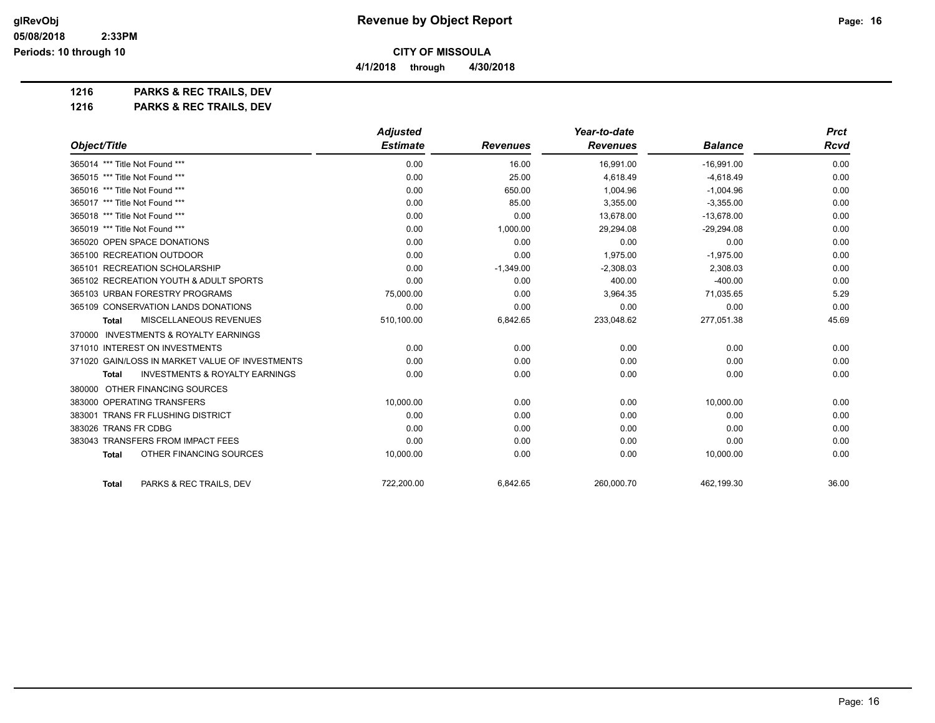**4/1/2018 through 4/30/2018**

**1216 PARKS & REC TRAILS, DEV**

|                                                           | <b>Adjusted</b> |                 | Year-to-date    |                | <b>Prct</b> |
|-----------------------------------------------------------|-----------------|-----------------|-----------------|----------------|-------------|
| Object/Title                                              | <b>Estimate</b> | <b>Revenues</b> | <b>Revenues</b> | <b>Balance</b> | Rcvd        |
| 365014 *** Title Not Found ***                            | 0.00            | 16.00           | 16,991.00       | $-16,991.00$   | 0.00        |
| 365015 *** Title Not Found ***                            | 0.00            | 25.00           | 4,618.49        | $-4,618.49$    | 0.00        |
| 365016 *** Title Not Found ***                            | 0.00            | 650.00          | 1,004.96        | $-1,004.96$    | 0.00        |
| 365017 *** Title Not Found ***                            | 0.00            | 85.00           | 3,355.00        | $-3,355.00$    | 0.00        |
| 365018 *** Title Not Found ***                            | 0.00            | 0.00            | 13,678.00       | $-13,678.00$   | 0.00        |
| 365019 *** Title Not Found ***                            | 0.00            | 1,000.00        | 29,294.08       | $-29,294.08$   | 0.00        |
| 365020 OPEN SPACE DONATIONS                               | 0.00            | 0.00            | 0.00            | 0.00           | 0.00        |
| 365100 RECREATION OUTDOOR                                 | 0.00            | 0.00            | 1,975.00        | $-1,975.00$    | 0.00        |
| 365101 RECREATION SCHOLARSHIP                             | 0.00            | $-1,349.00$     | $-2,308.03$     | 2,308.03       | 0.00        |
| 365102 RECREATION YOUTH & ADULT SPORTS                    | 0.00            | 0.00            | 400.00          | $-400.00$      | 0.00        |
| 365103 URBAN FORESTRY PROGRAMS                            | 75,000.00       | 0.00            | 3,964.35        | 71,035.65      | 5.29        |
| 365109 CONSERVATION LANDS DONATIONS                       | 0.00            | 0.00            | 0.00            | 0.00           | 0.00        |
| MISCELLANEOUS REVENUES<br><b>Total</b>                    | 510,100.00      | 6,842.65        | 233,048.62      | 277,051.38     | 45.69       |
| 370000 INVESTMENTS & ROYALTY EARNINGS                     |                 |                 |                 |                |             |
| 371010 INTEREST ON INVESTMENTS                            | 0.00            | 0.00            | 0.00            | 0.00           | 0.00        |
| 371020 GAIN/LOSS IN MARKET VALUE OF INVESTMENTS           | 0.00            | 0.00            | 0.00            | 0.00           | 0.00        |
| <b>INVESTMENTS &amp; ROYALTY EARNINGS</b><br><b>Total</b> | 0.00            | 0.00            | 0.00            | 0.00           | 0.00        |
| OTHER FINANCING SOURCES<br>380000                         |                 |                 |                 |                |             |
| 383000 OPERATING TRANSFERS                                | 10,000.00       | 0.00            | 0.00            | 10,000.00      | 0.00        |
| 383001 TRANS FR FLUSHING DISTRICT                         | 0.00            | 0.00            | 0.00            | 0.00           | 0.00        |
| 383026 TRANS FR CDBG                                      | 0.00            | 0.00            | 0.00            | 0.00           | 0.00        |
| 383043 TRANSFERS FROM IMPACT FEES                         | 0.00            | 0.00            | 0.00            | 0.00           | 0.00        |
| OTHER FINANCING SOURCES<br><b>Total</b>                   | 10,000.00       | 0.00            | 0.00            | 10,000.00      | 0.00        |
| PARKS & REC TRAILS, DEV<br>Total                          | 722,200.00      | 6,842.65        | 260,000.70      | 462,199.30     | 36.00       |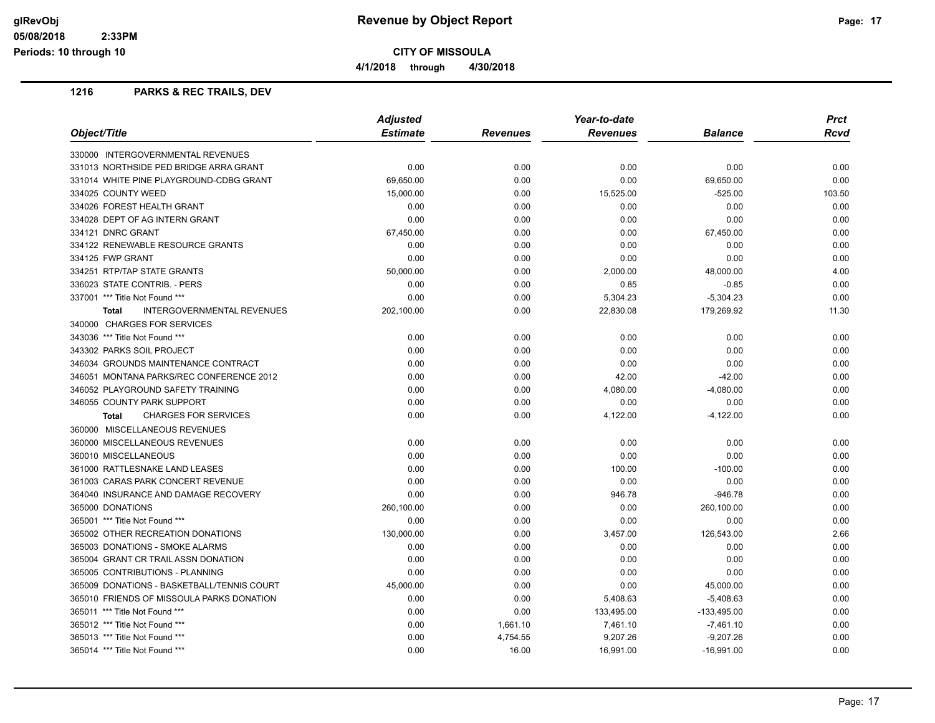**4/1/2018 through 4/30/2018**

|                                                   | <b>Adjusted</b> |          | Year-to-date    |                |        |
|---------------------------------------------------|-----------------|----------|-----------------|----------------|--------|
| Object/Title                                      | <b>Estimate</b> | Revenues | <b>Revenues</b> | <b>Balance</b> | Rcvd   |
| 330000 INTERGOVERNMENTAL REVENUES                 |                 |          |                 |                |        |
| 331013 NORTHSIDE PED BRIDGE ARRA GRANT            | 0.00            | 0.00     | 0.00            | 0.00           | 0.00   |
| 331014 WHITE PINE PLAYGROUND-CDBG GRANT           | 69,650.00       | 0.00     | 0.00            | 69,650.00      | 0.00   |
| 334025 COUNTY WEED                                | 15,000.00       | 0.00     | 15,525.00       | $-525.00$      | 103.50 |
| 334026 FOREST HEALTH GRANT                        | 0.00            | 0.00     | 0.00            | 0.00           | 0.00   |
| 334028 DEPT OF AG INTERN GRANT                    | 0.00            | 0.00     | 0.00            | 0.00           | 0.00   |
| 334121 DNRC GRANT                                 | 67,450.00       | 0.00     | 0.00            | 67,450.00      | 0.00   |
| 334122 RENEWABLE RESOURCE GRANTS                  | 0.00            | 0.00     | 0.00            | 0.00           | 0.00   |
| 334125 FWP GRANT                                  | 0.00            | 0.00     | 0.00            | 0.00           | 0.00   |
| 334251 RTP/TAP STATE GRANTS                       | 50,000.00       | 0.00     | 2,000.00        | 48,000.00      | 4.00   |
| 336023 STATE CONTRIB. - PERS                      | 0.00            | 0.00     | 0.85            | $-0.85$        | 0.00   |
| 337001 *** Title Not Found ***                    | 0.00            | 0.00     | 5,304.23        | $-5,304.23$    | 0.00   |
| <b>INTERGOVERNMENTAL REVENUES</b><br><b>Total</b> | 202,100.00      | 0.00     | 22,830.08       | 179,269.92     | 11.30  |
| 340000 CHARGES FOR SERVICES                       |                 |          |                 |                |        |
| 343036 *** Title Not Found ***                    | 0.00            | 0.00     | 0.00            | 0.00           | 0.00   |
| 343302 PARKS SOIL PROJECT                         | 0.00            | 0.00     | 0.00            | 0.00           | 0.00   |
| 346034 GROUNDS MAINTENANCE CONTRACT               | 0.00            | 0.00     | 0.00            | 0.00           | 0.00   |
| 346051 MONTANA PARKS/REC CONFERENCE 2012          | 0.00            | 0.00     | 42.00           | $-42.00$       | 0.00   |
| 346052 PLAYGROUND SAFETY TRAINING                 | 0.00            | 0.00     | 4,080.00        | $-4,080.00$    | 0.00   |
| 346055 COUNTY PARK SUPPORT                        | 0.00            | 0.00     | 0.00            | 0.00           | 0.00   |
| <b>CHARGES FOR SERVICES</b><br><b>Total</b>       | 0.00            | 0.00     | 4,122.00        | $-4,122.00$    | 0.00   |
| 360000 MISCELLANEOUS REVENUES                     |                 |          |                 |                |        |
| 360000 MISCELLANEOUS REVENUES                     | 0.00            | 0.00     | 0.00            | 0.00           | 0.00   |
| 360010 MISCELLANEOUS                              | 0.00            | 0.00     | 0.00            | 0.00           | 0.00   |
| 361000 RATTLESNAKE LAND LEASES                    | 0.00            | 0.00     | 100.00          | $-100.00$      | 0.00   |
| 361003 CARAS PARK CONCERT REVENUE                 | 0.00            | 0.00     | 0.00            | 0.00           | 0.00   |
| 364040 INSURANCE AND DAMAGE RECOVERY              | 0.00            | 0.00     | 946.78          | $-946.78$      | 0.00   |
| 365000 DONATIONS                                  | 260,100.00      | 0.00     | 0.00            | 260,100.00     | 0.00   |
| 365001 *** Title Not Found ***                    | 0.00            | 0.00     | 0.00            | 0.00           | 0.00   |
| 365002 OTHER RECREATION DONATIONS                 | 130,000.00      | 0.00     | 3,457.00        | 126,543.00     | 2.66   |
| 365003 DONATIONS - SMOKE ALARMS                   | 0.00            | 0.00     | 0.00            | 0.00           | 0.00   |
| 365004 GRANT CR TRAIL ASSN DONATION               | 0.00            | 0.00     | 0.00            | 0.00           | 0.00   |
| 365005 CONTRIBUTIONS - PLANNING                   | 0.00            | 0.00     | 0.00            | 0.00           | 0.00   |
| 365009 DONATIONS - BASKETBALL/TENNIS COURT        | 45,000.00       | 0.00     | 0.00            | 45,000.00      | 0.00   |
| 365010 FRIENDS OF MISSOULA PARKS DONATION         | 0.00            | 0.00     | 5,408.63        | $-5,408.63$    | 0.00   |
| 365011 *** Title Not Found ***                    | 0.00            | 0.00     | 133,495.00      | $-133,495.00$  | 0.00   |
| 365012 *** Title Not Found ***                    | 0.00            | 1,661.10 | 7,461.10        | $-7,461.10$    | 0.00   |
| 365013 *** Title Not Found ***                    | 0.00            | 4,754.55 | 9,207.26        | $-9,207.26$    | 0.00   |
| 365014 *** Title Not Found ***                    | 0.00            | 16.00    | 16,991.00       | $-16.991.00$   | 0.00   |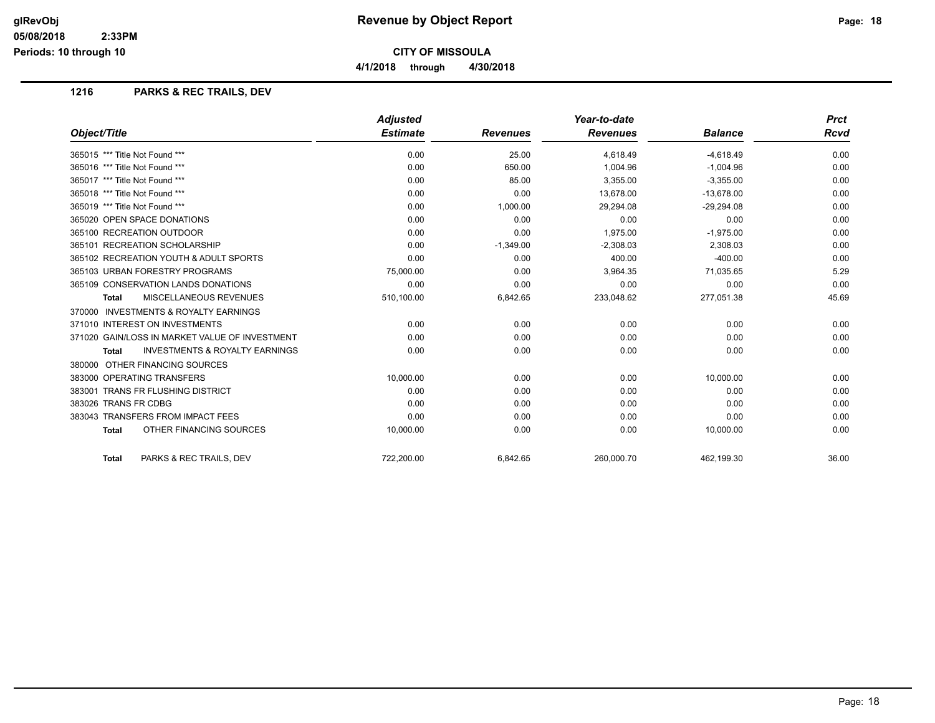**4/1/2018 through 4/30/2018**

|                                                           | <b>Adjusted</b> |                 | Year-to-date    |                | <b>Prct</b> |
|-----------------------------------------------------------|-----------------|-----------------|-----------------|----------------|-------------|
| Object/Title                                              | <b>Estimate</b> | <b>Revenues</b> | <b>Revenues</b> | <b>Balance</b> | <b>Rcvd</b> |
| 365015 *** Title Not Found ***                            | 0.00            | 25.00           | 4,618.49        | $-4,618.49$    | 0.00        |
| 365016 *** Title Not Found ***                            | 0.00            | 650.00          | 1,004.96        | $-1,004.96$    | 0.00        |
| 365017 *** Title Not Found ***                            | 0.00            | 85.00           | 3,355.00        | $-3,355.00$    | 0.00        |
| 365018 *** Title Not Found ***                            | 0.00            | 0.00            | 13,678.00       | $-13,678.00$   | 0.00        |
| 365019 *** Title Not Found ***                            | 0.00            | 1,000.00        | 29,294.08       | $-29,294.08$   | 0.00        |
| 365020 OPEN SPACE DONATIONS                               | 0.00            | 0.00            | 0.00            | 0.00           | 0.00        |
| 365100 RECREATION OUTDOOR                                 | 0.00            | 0.00            | 1.975.00        | $-1,975.00$    | 0.00        |
| 365101 RECREATION SCHOLARSHIP                             | 0.00            | $-1,349.00$     | $-2,308.03$     | 2,308.03       | 0.00        |
| 365102 RECREATION YOUTH & ADULT SPORTS                    | 0.00            | 0.00            | 400.00          | $-400.00$      | 0.00        |
| 365103 URBAN FORESTRY PROGRAMS                            | 75,000.00       | 0.00            | 3,964.35        | 71,035.65      | 5.29        |
| 365109 CONSERVATION LANDS DONATIONS                       | 0.00            | 0.00            | 0.00            | 0.00           | 0.00        |
| <b>MISCELLANEOUS REVENUES</b><br><b>Total</b>             | 510,100.00      | 6,842.65        | 233,048.62      | 277,051.38     | 45.69       |
| 370000 INVESTMENTS & ROYALTY EARNINGS                     |                 |                 |                 |                |             |
| 371010 INTEREST ON INVESTMENTS                            | 0.00            | 0.00            | 0.00            | 0.00           | 0.00        |
| 371020 GAIN/LOSS IN MARKET VALUE OF INVESTMENT            | 0.00            | 0.00            | 0.00            | 0.00           | 0.00        |
| <b>INVESTMENTS &amp; ROYALTY EARNINGS</b><br><b>Total</b> | 0.00            | 0.00            | 0.00            | 0.00           | 0.00        |
| 380000 OTHER FINANCING SOURCES                            |                 |                 |                 |                |             |
| 383000 OPERATING TRANSFERS                                | 10,000.00       | 0.00            | 0.00            | 10,000.00      | 0.00        |
| 383001 TRANS FR FLUSHING DISTRICT                         | 0.00            | 0.00            | 0.00            | 0.00           | 0.00        |
| 383026 TRANS FR CDBG                                      | 0.00            | 0.00            | 0.00            | 0.00           | 0.00        |
| 383043 TRANSFERS FROM IMPACT FEES                         | 0.00            | 0.00            | 0.00            | 0.00           | 0.00        |
| OTHER FINANCING SOURCES<br><b>Total</b>                   | 10,000.00       | 0.00            | 0.00            | 10,000.00      | 0.00        |
| PARKS & REC TRAILS, DEV<br><b>Total</b>                   | 722,200.00      | 6,842.65        | 260,000.70      | 462,199.30     | 36.00       |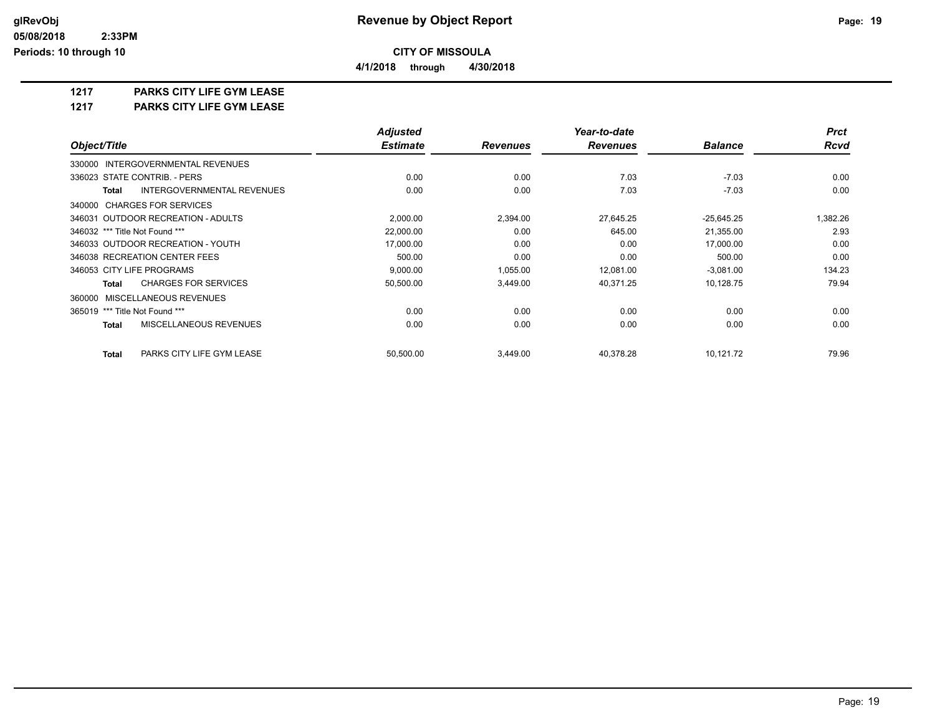**4/1/2018 through 4/30/2018**

#### **1217 PARKS CITY LIFE GYM LEASE**

**1217 PARKS CITY LIFE GYM LEASE**

|                                                   | <b>Adjusted</b> |                 | Year-to-date    |                | <b>Prct</b> |
|---------------------------------------------------|-----------------|-----------------|-----------------|----------------|-------------|
| Object/Title                                      | <b>Estimate</b> | <b>Revenues</b> | <b>Revenues</b> | <b>Balance</b> | <b>Rcvd</b> |
| 330000 INTERGOVERNMENTAL REVENUES                 |                 |                 |                 |                |             |
| 336023 STATE CONTRIB. - PERS                      | 0.00            | 0.00            | 7.03            | $-7.03$        | 0.00        |
| <b>INTERGOVERNMENTAL REVENUES</b><br><b>Total</b> | 0.00            | 0.00            | 7.03            | $-7.03$        | 0.00        |
| 340000 CHARGES FOR SERVICES                       |                 |                 |                 |                |             |
| 346031 OUTDOOR RECREATION - ADULTS                | 2,000.00        | 2,394.00        | 27,645.25       | $-25,645.25$   | 1,382.26    |
| 346032 *** Title Not Found ***                    | 22,000.00       | 0.00            | 645.00          | 21,355.00      | 2.93        |
| 346033 OUTDOOR RECREATION - YOUTH                 | 17.000.00       | 0.00            | 0.00            | 17,000.00      | 0.00        |
| 346038 RECREATION CENTER FEES                     | 500.00          | 0.00            | 0.00            | 500.00         | 0.00        |
| 346053 CITY LIFE PROGRAMS                         | 9,000.00        | 1,055.00        | 12,081.00       | $-3,081.00$    | 134.23      |
| <b>CHARGES FOR SERVICES</b><br><b>Total</b>       | 50,500.00       | 3,449.00        | 40,371.25       | 10,128.75      | 79.94       |
| MISCELLANEOUS REVENUES<br>360000                  |                 |                 |                 |                |             |
| 365019 *** Title Not Found ***                    | 0.00            | 0.00            | 0.00            | 0.00           | 0.00        |
| MISCELLANEOUS REVENUES<br>Total                   | 0.00            | 0.00            | 0.00            | 0.00           | 0.00        |
| PARKS CITY LIFE GYM LEASE<br><b>Total</b>         | 50,500.00       | 3.449.00        | 40.378.28       | 10.121.72      | 79.96       |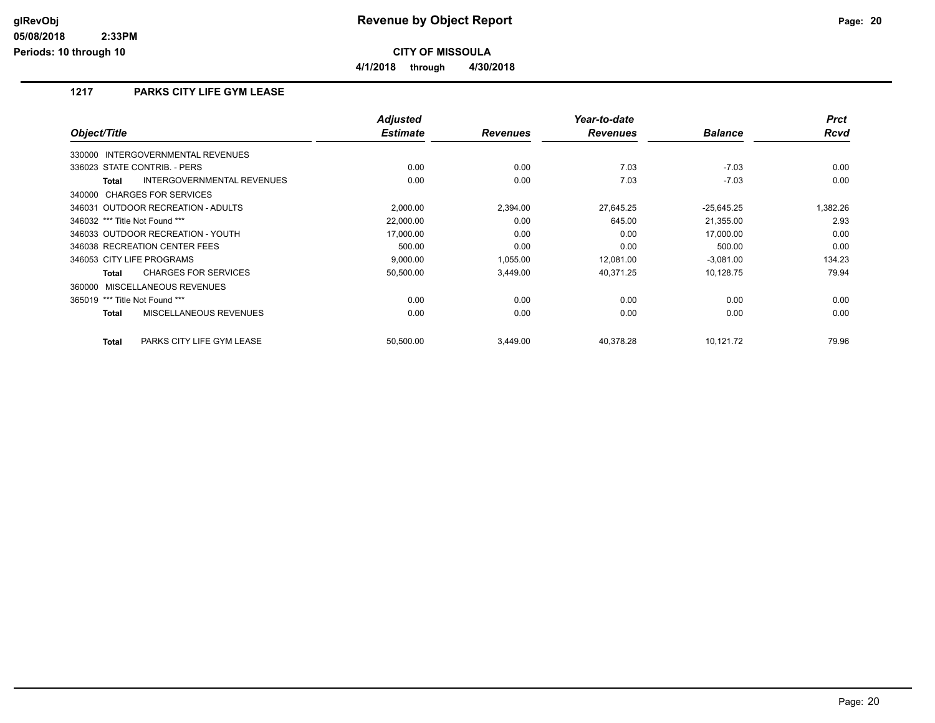**4/1/2018 through 4/30/2018**

## **1217 PARKS CITY LIFE GYM LEASE**

|                                             | <b>Adjusted</b> |                 | Year-to-date    |                | <b>Prct</b> |
|---------------------------------------------|-----------------|-----------------|-----------------|----------------|-------------|
| Object/Title                                | <b>Estimate</b> | <b>Revenues</b> | <b>Revenues</b> | <b>Balance</b> | <b>Rcvd</b> |
| INTERGOVERNMENTAL REVENUES<br>330000        |                 |                 |                 |                |             |
| 336023 STATE CONTRIB. - PERS                | 0.00            | 0.00            | 7.03            | $-7.03$        | 0.00        |
| INTERGOVERNMENTAL REVENUES<br><b>Total</b>  | 0.00            | 0.00            | 7.03            | $-7.03$        | 0.00        |
| 340000 CHARGES FOR SERVICES                 |                 |                 |                 |                |             |
| 346031 OUTDOOR RECREATION - ADULTS          | 2,000.00        | 2,394.00        | 27,645.25       | $-25,645.25$   | 1,382.26    |
| 346032 *** Title Not Found ***              | 22,000.00       | 0.00            | 645.00          | 21,355.00      | 2.93        |
| 346033 OUTDOOR RECREATION - YOUTH           | 17,000.00       | 0.00            | 0.00            | 17,000.00      | 0.00        |
| 346038 RECREATION CENTER FEES               | 500.00          | 0.00            | 0.00            | 500.00         | 0.00        |
| 346053 CITY LIFE PROGRAMS                   | 9,000.00        | 1,055.00        | 12,081.00       | $-3,081.00$    | 134.23      |
| <b>CHARGES FOR SERVICES</b><br><b>Total</b> | 50,500.00       | 3,449.00        | 40,371.25       | 10,128.75      | 79.94       |
| MISCELLANEOUS REVENUES<br>360000            |                 |                 |                 |                |             |
| 365019 *** Title Not Found ***              | 0.00            | 0.00            | 0.00            | 0.00           | 0.00        |
| MISCELLANEOUS REVENUES<br><b>Total</b>      | 0.00            | 0.00            | 0.00            | 0.00           | 0.00        |
| PARKS CITY LIFE GYM LEASE<br><b>Total</b>   | 50,500.00       | 3,449.00        | 40.378.28       | 10,121.72      | 79.96       |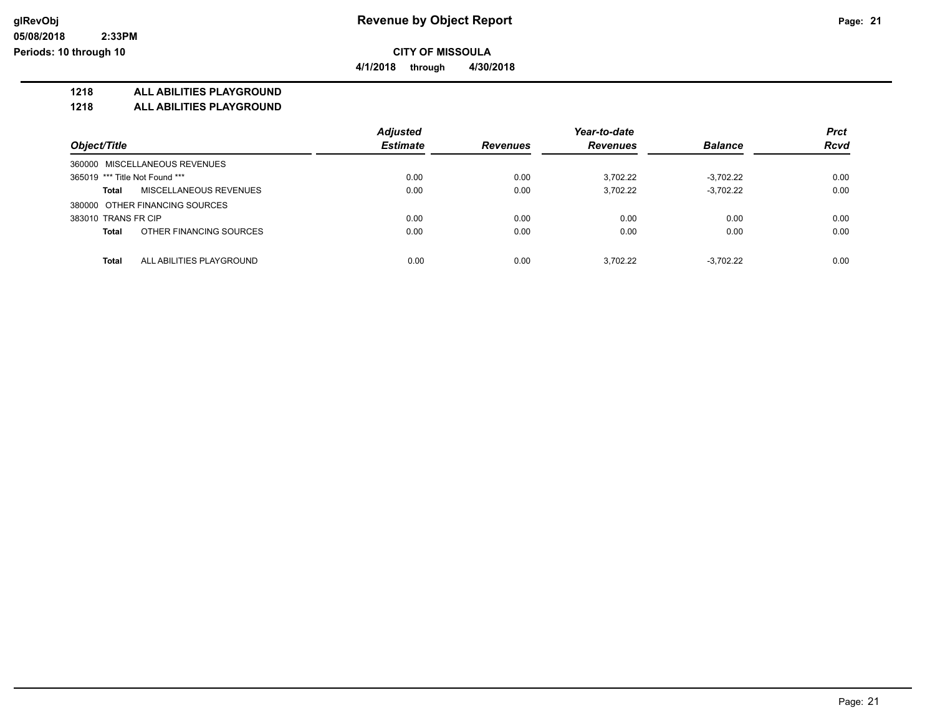**4/1/2018 through 4/30/2018**

**1218 ALL ABILITIES PLAYGROUND**

**1218 ALL ABILITIES PLAYGROUND**

|                                               | <b>Adjusted</b> |                 | Year-to-date    |                | <b>Prct</b> |
|-----------------------------------------------|-----------------|-----------------|-----------------|----------------|-------------|
| Object/Title                                  | <b>Estimate</b> | <b>Revenues</b> | <b>Revenues</b> | <b>Balance</b> | <b>Rcvd</b> |
| 360000 MISCELLANEOUS REVENUES                 |                 |                 |                 |                |             |
| 365019 *** Title Not Found ***                | 0.00            | 0.00            | 3,702.22        | $-3.702.22$    | 0.00        |
| <b>MISCELLANEOUS REVENUES</b><br><b>Total</b> | 0.00            | 0.00            | 3,702.22        | $-3.702.22$    | 0.00        |
| 380000 OTHER FINANCING SOURCES                |                 |                 |                 |                |             |
| 383010 TRANS FR CIP                           | 0.00            | 0.00            | 0.00            | 0.00           | 0.00        |
| OTHER FINANCING SOURCES<br><b>Total</b>       | 0.00            | 0.00            | 0.00            | 0.00           | 0.00        |
|                                               |                 |                 |                 |                |             |
| <b>Total</b><br>ALL ABILITIES PLAYGROUND      | 0.00            | 0.00            | 3.702.22        | $-3.702.22$    | 0.00        |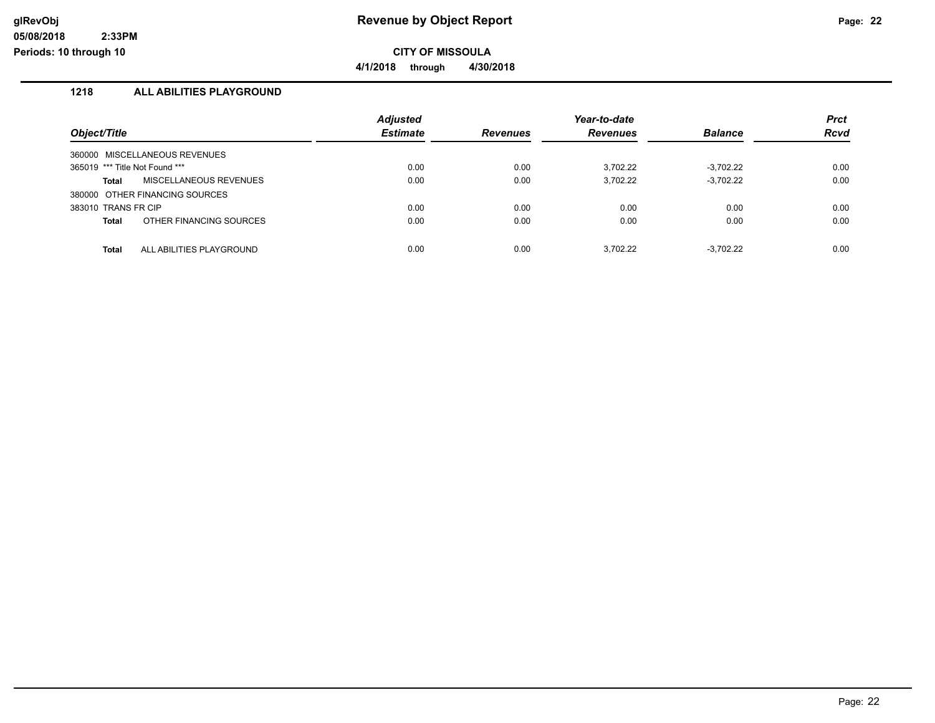**4/1/2018 through 4/30/2018**

### **1218 ALL ABILITIES PLAYGROUND**

| Object/Title                   |                                | <b>Adjusted</b><br><b>Estimate</b> | Revenues | Year-to-date<br><b>Revenues</b> | <b>Balance</b> | <b>Prct</b><br><b>Rcvd</b> |
|--------------------------------|--------------------------------|------------------------------------|----------|---------------------------------|----------------|----------------------------|
|                                | 360000 MISCELLANEOUS REVENUES  |                                    |          |                                 |                |                            |
| 365019 *** Title Not Found *** |                                | 0.00                               | 0.00     | 3.702.22                        | $-3.702.22$    | 0.00                       |
| <b>Total</b>                   | MISCELLANEOUS REVENUES         | 0.00                               | 0.00     | 3,702.22                        | $-3,702.22$    | 0.00                       |
|                                | 380000 OTHER FINANCING SOURCES |                                    |          |                                 |                |                            |
| 383010 TRANS FR CIP            |                                | 0.00                               | 0.00     | 0.00                            | 0.00           | 0.00                       |
| <b>Total</b>                   | OTHER FINANCING SOURCES        | 0.00                               | 0.00     | 0.00                            | 0.00           | 0.00                       |
| <b>Total</b>                   | ALL ABILITIES PLAYGROUND       | 0.00                               | 0.00     | 3.702.22                        | $-3.702.22$    | 0.00                       |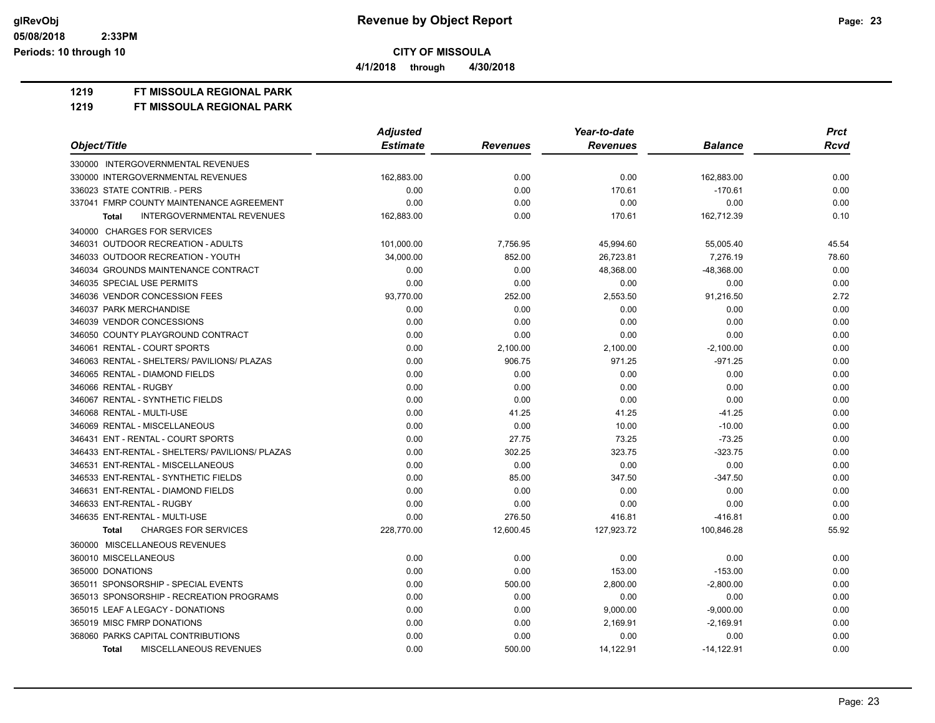**4/1/2018 through 4/30/2018**

**1219 FT MISSOULA REGIONAL PARK**

|                                                   | <b>Adjusted</b> |                 | Year-to-date    |                | <b>Prct</b> |
|---------------------------------------------------|-----------------|-----------------|-----------------|----------------|-------------|
| Object/Title                                      | <b>Estimate</b> | <b>Revenues</b> | <b>Revenues</b> | <b>Balance</b> | Rcvd        |
| 330000 INTERGOVERNMENTAL REVENUES                 |                 |                 |                 |                |             |
| 330000 INTERGOVERNMENTAL REVENUES                 | 162,883.00      | 0.00            | 0.00            | 162,883.00     | 0.00        |
| 336023 STATE CONTRIB. - PERS                      | 0.00            | 0.00            | 170.61          | $-170.61$      | 0.00        |
| 337041 FMRP COUNTY MAINTENANCE AGREEMENT          | 0.00            | 0.00            | 0.00            | 0.00           | 0.00        |
| <b>INTERGOVERNMENTAL REVENUES</b><br><b>Total</b> | 162,883.00      | 0.00            | 170.61          | 162,712.39     | 0.10        |
| 340000 CHARGES FOR SERVICES                       |                 |                 |                 |                |             |
| 346031 OUTDOOR RECREATION - ADULTS                | 101,000.00      | 7,756.95        | 45,994.60       | 55,005.40      | 45.54       |
| 346033 OUTDOOR RECREATION - YOUTH                 | 34,000.00       | 852.00          | 26,723.81       | 7,276.19       | 78.60       |
| 346034 GROUNDS MAINTENANCE CONTRACT               | 0.00            | 0.00            | 48,368.00       | $-48,368.00$   | 0.00        |
| 346035 SPECIAL USE PERMITS                        | 0.00            | 0.00            | 0.00            | 0.00           | 0.00        |
| 346036 VENDOR CONCESSION FEES                     | 93,770.00       | 252.00          | 2,553.50        | 91,216.50      | 2.72        |
| 346037 PARK MERCHANDISE                           | 0.00            | 0.00            | 0.00            | 0.00           | 0.00        |
| 346039 VENDOR CONCESSIONS                         | 0.00            | 0.00            | 0.00            | 0.00           | 0.00        |
| 346050 COUNTY PLAYGROUND CONTRACT                 | 0.00            | 0.00            | 0.00            | 0.00           | 0.00        |
| 346061 RENTAL - COURT SPORTS                      | 0.00            | 2,100.00        | 2,100.00        | $-2,100.00$    | 0.00        |
| 346063 RENTAL - SHELTERS/ PAVILIONS/ PLAZAS       | 0.00            | 906.75          | 971.25          | $-971.25$      | 0.00        |
| 346065 RENTAL - DIAMOND FIELDS                    | 0.00            | 0.00            | 0.00            | 0.00           | 0.00        |
| 346066 RENTAL - RUGBY                             | 0.00            | 0.00            | 0.00            | 0.00           | 0.00        |
| 346067 RENTAL - SYNTHETIC FIELDS                  | 0.00            | 0.00            | 0.00            | 0.00           | 0.00        |
| 346068 RENTAL - MULTI-USE                         | 0.00            | 41.25           | 41.25           | $-41.25$       | 0.00        |
| 346069 RENTAL - MISCELLANEOUS                     | 0.00            | 0.00            | 10.00           | $-10.00$       | 0.00        |
| 346431 ENT - RENTAL - COURT SPORTS                | 0.00            | 27.75           | 73.25           | $-73.25$       | 0.00        |
| 346433 ENT-RENTAL - SHELTERS/ PAVILIONS/ PLAZAS   | 0.00            | 302.25          | 323.75          | $-323.75$      | 0.00        |
| 346531 ENT-RENTAL - MISCELLANEOUS                 | 0.00            | 0.00            | 0.00            | 0.00           | 0.00        |
| 346533 ENT-RENTAL - SYNTHETIC FIELDS              | 0.00            | 85.00           | 347.50          | $-347.50$      | 0.00        |
| 346631 ENT-RENTAL - DIAMOND FIELDS                | 0.00            | 0.00            | 0.00            | 0.00           | 0.00        |
| 346633 ENT-RENTAL - RUGBY                         | 0.00            | 0.00            | 0.00            | 0.00           | 0.00        |
| 346635 ENT-RENTAL - MULTI-USE                     | 0.00            | 276.50          | 416.81          | $-416.81$      | 0.00        |
| <b>CHARGES FOR SERVICES</b><br>Total              | 228,770.00      | 12,600.45       | 127,923.72      | 100,846.28     | 55.92       |
| 360000 MISCELLANEOUS REVENUES                     |                 |                 |                 |                |             |
| 360010 MISCELLANEOUS                              | 0.00            | 0.00            | 0.00            | 0.00           | 0.00        |
| 365000 DONATIONS                                  | 0.00            | 0.00            | 153.00          | $-153.00$      | 0.00        |
| 365011 SPONSORSHIP - SPECIAL EVENTS               | 0.00            | 500.00          | 2,800.00        | $-2,800.00$    | 0.00        |
| 365013 SPONSORSHIP - RECREATION PROGRAMS          | 0.00            | 0.00            | 0.00            | 0.00           | 0.00        |
| 365015 LEAF A LEGACY - DONATIONS                  | 0.00            | 0.00            | 9,000.00        | $-9,000.00$    | 0.00        |
| 365019 MISC FMRP DONATIONS                        | 0.00            | 0.00            | 2,169.91        | $-2,169.91$    | 0.00        |
| 368060 PARKS CAPITAL CONTRIBUTIONS                | 0.00            | 0.00            | 0.00            | 0.00           | 0.00        |
| MISCELLANEOUS REVENUES<br>Total                   | 0.00            | 500.00          | 14,122.91       | -14,122.91     | 0.00        |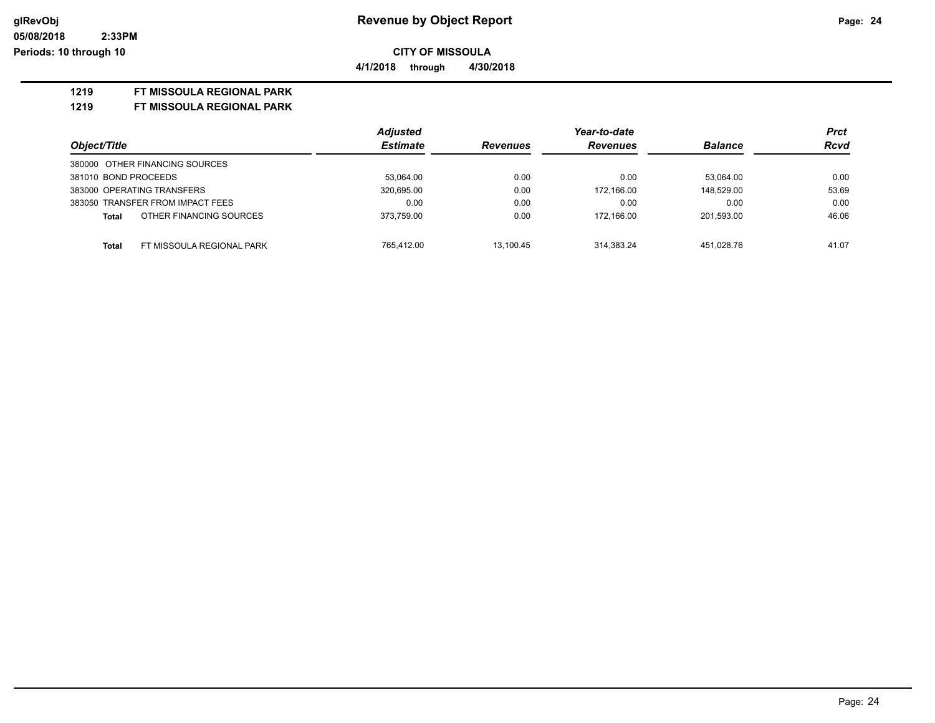**4/1/2018 through 4/30/2018**

#### **1219 FT MISSOULA REGIONAL PARK**

|                                           | <b>Adjusted</b> |                 | Year-to-date    |                | Prct  |
|-------------------------------------------|-----------------|-----------------|-----------------|----------------|-------|
| Object/Title                              | <b>Estimate</b> | <b>Revenues</b> | <b>Revenues</b> | <b>Balance</b> | Rcvd  |
| 380000 OTHER FINANCING SOURCES            |                 |                 |                 |                |       |
| 381010 BOND PROCEEDS                      | 53.064.00       | 0.00            | 0.00            | 53.064.00      | 0.00  |
| 383000 OPERATING TRANSFERS                | 320,695.00      | 0.00            | 172.166.00      | 148.529.00     | 53.69 |
| 383050 TRANSFER FROM IMPACT FEES          | 0.00            | 0.00            | 0.00            | 0.00           | 0.00  |
| OTHER FINANCING SOURCES<br>Total          | 373.759.00      | 0.00            | 172.166.00      | 201.593.00     | 46.06 |
|                                           |                 |                 |                 |                |       |
| FT MISSOULA REGIONAL PARK<br><b>Total</b> | 765.412.00      | 13.100.45       | 314.383.24      | 451.028.76     | 41.07 |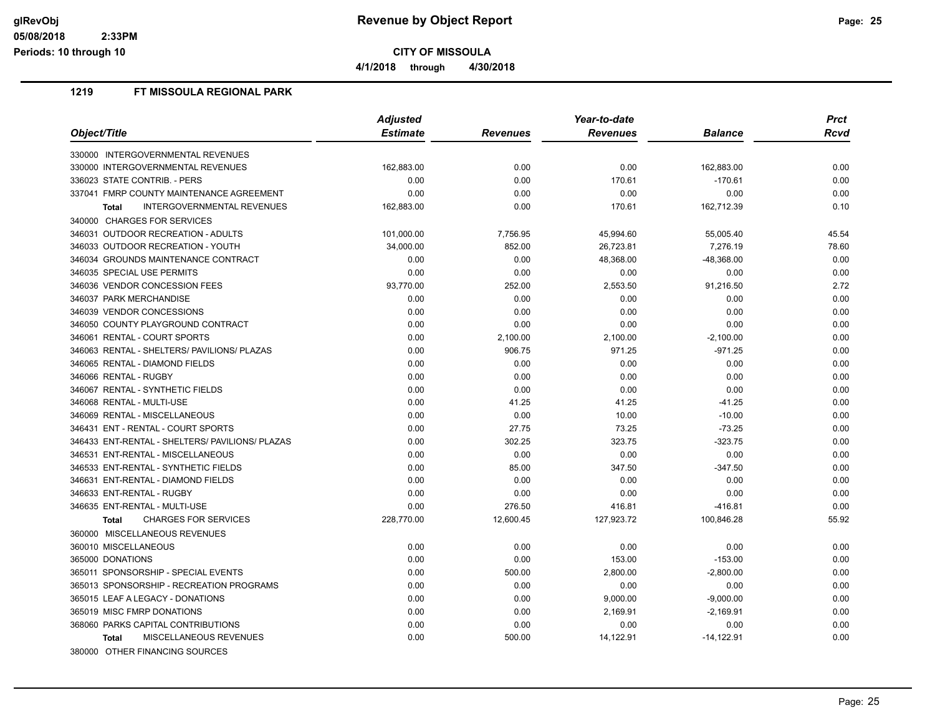**4/1/2018 through 4/30/2018**

|                                                   | <b>Adjusted</b> |                 | Year-to-date    |                | <b>Prct</b> |
|---------------------------------------------------|-----------------|-----------------|-----------------|----------------|-------------|
| Object/Title                                      | <b>Estimate</b> | <b>Revenues</b> | <b>Revenues</b> | <b>Balance</b> | <b>Rcvd</b> |
| 330000 INTERGOVERNMENTAL REVENUES                 |                 |                 |                 |                |             |
| 330000 INTERGOVERNMENTAL REVENUES                 | 162,883.00      | 0.00            | 0.00            | 162,883.00     | 0.00        |
| 336023 STATE CONTRIB. - PERS                      | 0.00            | 0.00            | 170.61          | $-170.61$      | 0.00        |
| 337041 FMRP COUNTY MAINTENANCE AGREEMENT          | 0.00            | 0.00            | 0.00            | 0.00           | 0.00        |
| <b>INTERGOVERNMENTAL REVENUES</b><br><b>Total</b> | 162,883.00      | 0.00            | 170.61          | 162,712.39     | 0.10        |
| 340000 CHARGES FOR SERVICES                       |                 |                 |                 |                |             |
| 346031 OUTDOOR RECREATION - ADULTS                | 101,000.00      | 7,756.95        | 45,994.60       | 55,005.40      | 45.54       |
| 346033 OUTDOOR RECREATION - YOUTH                 | 34.000.00       | 852.00          | 26.723.81       | 7.276.19       | 78.60       |
| 346034 GROUNDS MAINTENANCE CONTRACT               | 0.00            | 0.00            | 48,368.00       | $-48,368.00$   | 0.00        |
| 346035 SPECIAL USE PERMITS                        | 0.00            | 0.00            | 0.00            | 0.00           | 0.00        |
| 346036 VENDOR CONCESSION FEES                     | 93,770.00       | 252.00          | 2,553.50        | 91,216.50      | 2.72        |
| 346037 PARK MERCHANDISE                           | 0.00            | 0.00            | 0.00            | 0.00           | 0.00        |
| 346039 VENDOR CONCESSIONS                         | 0.00            | 0.00            | 0.00            | 0.00           | 0.00        |
| 346050 COUNTY PLAYGROUND CONTRACT                 | 0.00            | 0.00            | 0.00            | 0.00           | 0.00        |
| 346061 RENTAL - COURT SPORTS                      | 0.00            | 2,100.00        | 2,100.00        | $-2,100.00$    | 0.00        |
| 346063 RENTAL - SHELTERS/ PAVILIONS/ PLAZAS       | 0.00            | 906.75          | 971.25          | $-971.25$      | 0.00        |
| 346065 RENTAL - DIAMOND FIELDS                    | 0.00            | 0.00            | 0.00            | 0.00           | 0.00        |
| 346066 RENTAL - RUGBY                             | 0.00            | 0.00            | 0.00            | 0.00           | 0.00        |
| 346067 RENTAL - SYNTHETIC FIELDS                  | 0.00            | 0.00            | 0.00            | 0.00           | 0.00        |
| 346068 RENTAL - MULTI-USE                         | 0.00            | 41.25           | 41.25           | $-41.25$       | 0.00        |
| 346069 RENTAL - MISCELLANEOUS                     | 0.00            | 0.00            | 10.00           | $-10.00$       | 0.00        |
| 346431 ENT - RENTAL - COURT SPORTS                | 0.00            | 27.75           | 73.25           | $-73.25$       | 0.00        |
| 346433 ENT-RENTAL - SHELTERS/ PAVILIONS/ PLAZAS   | 0.00            | 302.25          | 323.75          | $-323.75$      | 0.00        |
| 346531 ENT-RENTAL - MISCELLANEOUS                 | 0.00            | 0.00            | 0.00            | 0.00           | 0.00        |
| 346533 ENT-RENTAL - SYNTHETIC FIELDS              | 0.00            | 85.00           | 347.50          | $-347.50$      | 0.00        |
| 346631 ENT-RENTAL - DIAMOND FIELDS                | 0.00            | 0.00            | 0.00            | 0.00           | 0.00        |
| 346633 ENT-RENTAL - RUGBY                         | 0.00            | 0.00            | 0.00            | 0.00           | 0.00        |
| 346635 ENT-RENTAL - MULTI-USE                     | 0.00            | 276.50          | 416.81          | $-416.81$      | 0.00        |
| <b>CHARGES FOR SERVICES</b><br><b>Total</b>       | 228,770.00      | 12,600.45       | 127,923.72      | 100,846.28     | 55.92       |
| 360000 MISCELLANEOUS REVENUES                     |                 |                 |                 |                |             |
| 360010 MISCELLANEOUS                              | 0.00            | 0.00            | 0.00            | 0.00           | 0.00        |
| 365000 DONATIONS                                  | 0.00            | 0.00            | 153.00          | $-153.00$      | 0.00        |
| 365011 SPONSORSHIP - SPECIAL EVENTS               | 0.00            | 500.00          | 2,800.00        | $-2,800.00$    | 0.00        |
| 365013 SPONSORSHIP - RECREATION PROGRAMS          | 0.00            | 0.00            | 0.00            | 0.00           | 0.00        |
| 365015 LEAF A LEGACY - DONATIONS                  | 0.00            | 0.00            | 9,000.00        | $-9,000.00$    | 0.00        |
| 365019 MISC FMRP DONATIONS                        | 0.00            | 0.00            | 2,169.91        | $-2,169.91$    | 0.00        |
| 368060 PARKS CAPITAL CONTRIBUTIONS                | 0.00            | 0.00            | 0.00            | 0.00           | 0.00        |
| MISCELLANEOUS REVENUES<br><b>Total</b>            | 0.00            | 500.00          | 14,122.91       | $-14, 122.91$  | 0.00        |
| 380000 OTHER FINANCING SOURCES                    |                 |                 |                 |                |             |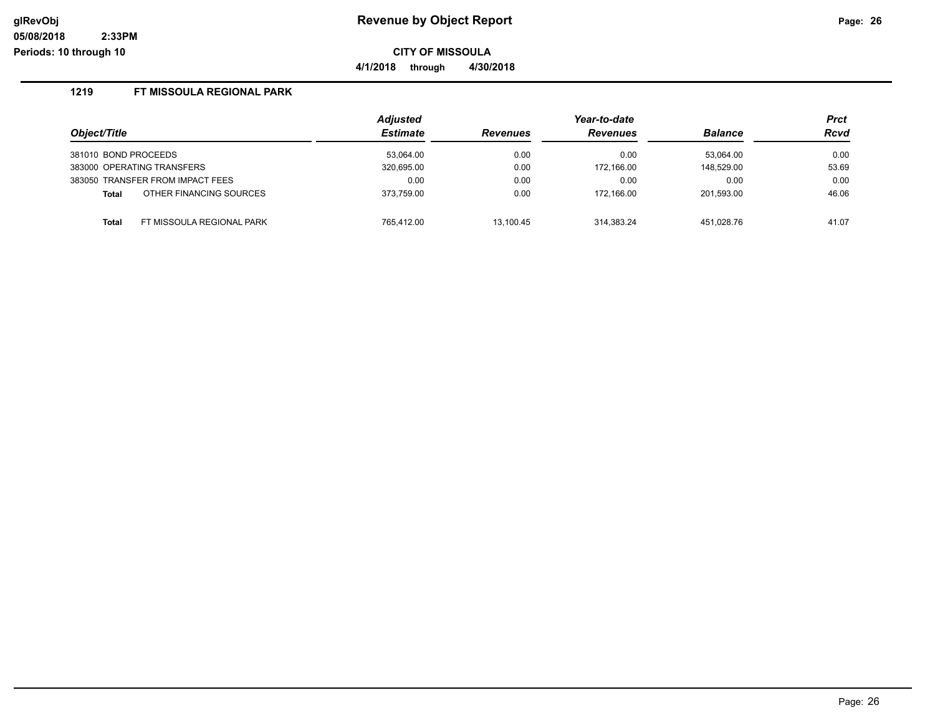**4/1/2018 through 4/30/2018**

| Object/Title                              | <b>Adjusted</b><br><b>Estimate</b> | <b>Revenues</b> | Year-to-date<br><b>Revenues</b> | <b>Balance</b> | <b>Prct</b><br><b>Rcvd</b> |
|-------------------------------------------|------------------------------------|-----------------|---------------------------------|----------------|----------------------------|
| 381010 BOND PROCEEDS                      | 53.064.00                          | 0.00            | 0.00                            | 53.064.00      | 0.00                       |
| 383000 OPERATING TRANSFERS                | 320,695.00                         | 0.00            | 172.166.00                      | 148.529.00     | 53.69                      |
| 383050 TRANSFER FROM IMPACT FEES          | 0.00                               | 0.00            | 0.00                            | 0.00           | 0.00                       |
| OTHER FINANCING SOURCES<br><b>Total</b>   | 373.759.00                         | 0.00            | 172.166.00                      | 201,593.00     | 46.06                      |
| FT MISSOULA REGIONAL PARK<br><b>Total</b> | 765.412.00                         | 13.100.45       | 314.383.24                      | 451.028.76     | 41.07                      |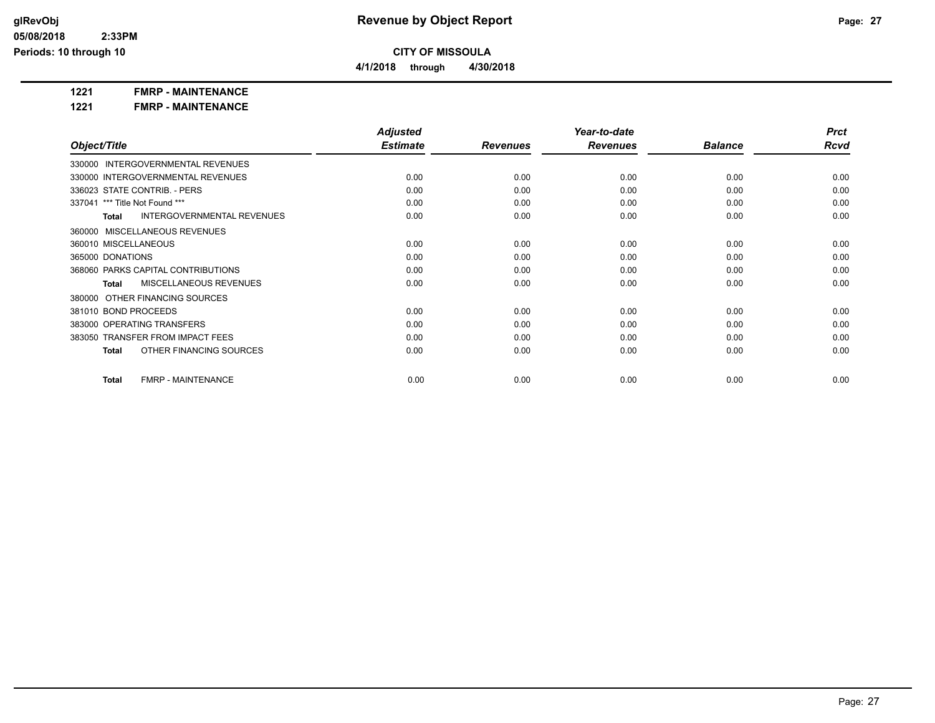**4/1/2018 through 4/30/2018**

**1221 FMRP - MAINTENANCE**

**1221 FMRP - MAINTENANCE**

|                                            | <b>Adjusted</b> |                 | Year-to-date    |                | <b>Prct</b> |
|--------------------------------------------|-----------------|-----------------|-----------------|----------------|-------------|
| Object/Title                               | <b>Estimate</b> | <b>Revenues</b> | <b>Revenues</b> | <b>Balance</b> | <b>Rcvd</b> |
| 330000 INTERGOVERNMENTAL REVENUES          |                 |                 |                 |                |             |
| 330000 INTERGOVERNMENTAL REVENUES          | 0.00            | 0.00            | 0.00            | 0.00           | 0.00        |
| 336023 STATE CONTRIB. - PERS               | 0.00            | 0.00            | 0.00            | 0.00           | 0.00        |
| 337041 *** Title Not Found ***             | 0.00            | 0.00            | 0.00            | 0.00           | 0.00        |
| <b>INTERGOVERNMENTAL REVENUES</b><br>Total | 0.00            | 0.00            | 0.00            | 0.00           | 0.00        |
| 360000 MISCELLANEOUS REVENUES              |                 |                 |                 |                |             |
| 360010 MISCELLANEOUS                       | 0.00            | 0.00            | 0.00            | 0.00           | 0.00        |
| 365000 DONATIONS                           | 0.00            | 0.00            | 0.00            | 0.00           | 0.00        |
| 368060 PARKS CAPITAL CONTRIBUTIONS         | 0.00            | 0.00            | 0.00            | 0.00           | 0.00        |
| MISCELLANEOUS REVENUES<br>Total            | 0.00            | 0.00            | 0.00            | 0.00           | 0.00        |
| 380000 OTHER FINANCING SOURCES             |                 |                 |                 |                |             |
| 381010 BOND PROCEEDS                       | 0.00            | 0.00            | 0.00            | 0.00           | 0.00        |
| 383000 OPERATING TRANSFERS                 | 0.00            | 0.00            | 0.00            | 0.00           | 0.00        |
| 383050 TRANSFER FROM IMPACT FEES           | 0.00            | 0.00            | 0.00            | 0.00           | 0.00        |
| OTHER FINANCING SOURCES<br><b>Total</b>    | 0.00            | 0.00            | 0.00            | 0.00           | 0.00        |
| <b>FMRP - MAINTENANCE</b><br><b>Total</b>  | 0.00            | 0.00            | 0.00            | 0.00           | 0.00        |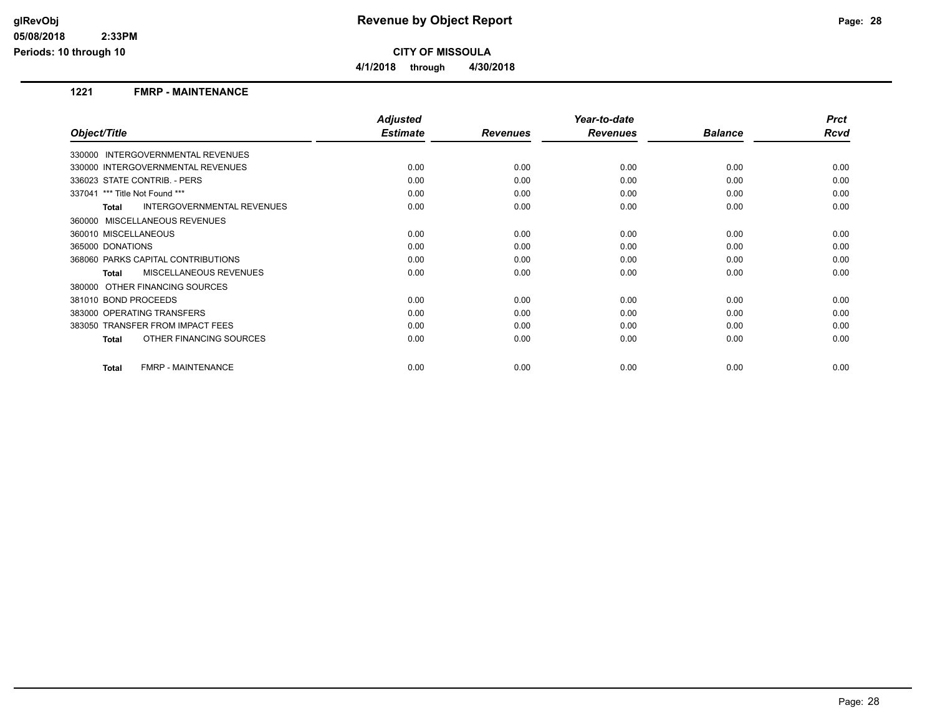**4/1/2018 through 4/30/2018**

#### **1221 FMRP - MAINTENANCE**

|                                               | <b>Adjusted</b> |                 | Year-to-date    |                | <b>Prct</b> |
|-----------------------------------------------|-----------------|-----------------|-----------------|----------------|-------------|
| Object/Title                                  | <b>Estimate</b> | <b>Revenues</b> | <b>Revenues</b> | <b>Balance</b> | Rcvd        |
| 330000 INTERGOVERNMENTAL REVENUES             |                 |                 |                 |                |             |
| 330000 INTERGOVERNMENTAL REVENUES             | 0.00            | 0.00            | 0.00            | 0.00           | 0.00        |
| 336023 STATE CONTRIB. - PERS                  | 0.00            | 0.00            | 0.00            | 0.00           | 0.00        |
| 337041 *** Title Not Found ***                | 0.00            | 0.00            | 0.00            | 0.00           | 0.00        |
| <b>INTERGOVERNMENTAL REVENUES</b><br>Total    | 0.00            | 0.00            | 0.00            | 0.00           | 0.00        |
| 360000 MISCELLANEOUS REVENUES                 |                 |                 |                 |                |             |
| 360010 MISCELLANEOUS                          | 0.00            | 0.00            | 0.00            | 0.00           | 0.00        |
| 365000 DONATIONS                              | 0.00            | 0.00            | 0.00            | 0.00           | 0.00        |
| 368060 PARKS CAPITAL CONTRIBUTIONS            | 0.00            | 0.00            | 0.00            | 0.00           | 0.00        |
| <b>MISCELLANEOUS REVENUES</b><br><b>Total</b> | 0.00            | 0.00            | 0.00            | 0.00           | 0.00        |
| 380000 OTHER FINANCING SOURCES                |                 |                 |                 |                |             |
| 381010 BOND PROCEEDS                          | 0.00            | 0.00            | 0.00            | 0.00           | 0.00        |
| 383000 OPERATING TRANSFERS                    | 0.00            | 0.00            | 0.00            | 0.00           | 0.00        |
| 383050 TRANSFER FROM IMPACT FEES              | 0.00            | 0.00            | 0.00            | 0.00           | 0.00        |
| OTHER FINANCING SOURCES<br><b>Total</b>       | 0.00            | 0.00            | 0.00            | 0.00           | 0.00        |
| <b>FMRP - MAINTENANCE</b><br><b>Total</b>     | 0.00            | 0.00            | 0.00            | 0.00           | 0.00        |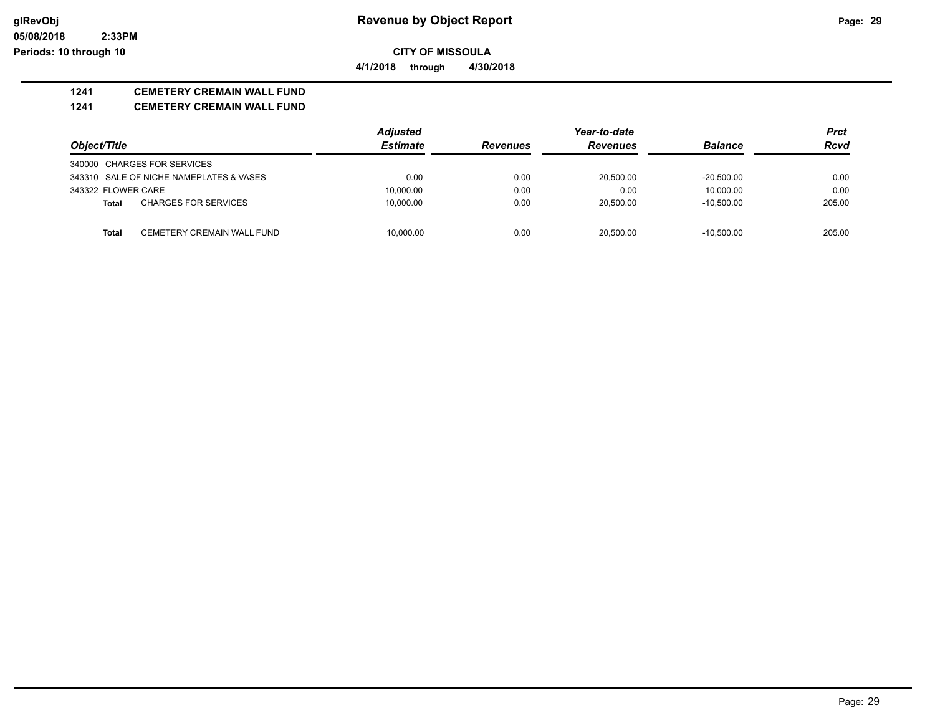**4/1/2018 through 4/30/2018**

# **1241 CEMETERY CREMAIN WALL FUND**

**1241 CEMETERY CREMAIN WALL FUND**

|                    |                                         | <b>Adjusted</b> |                 | Year-to-date    |                | Prct   |
|--------------------|-----------------------------------------|-----------------|-----------------|-----------------|----------------|--------|
| Object/Title       |                                         | <b>Estimate</b> | <b>Revenues</b> | <b>Revenues</b> | <b>Balance</b> | Rcvd   |
|                    | 340000 CHARGES FOR SERVICES             |                 |                 |                 |                |        |
|                    | 343310 SALE OF NICHE NAMEPLATES & VASES | 0.00            | 0.00            | 20.500.00       | $-20.500.00$   | 0.00   |
| 343322 FLOWER CARE |                                         | 10,000.00       | 0.00            | 0.00            | 10.000.00      | 0.00   |
| <b>Total</b>       | <b>CHARGES FOR SERVICES</b>             | 10.000.00       | 0.00            | 20.500.00       | $-10.500.00$   | 205.00 |
| <b>Total</b>       | CEMETERY CREMAIN WALL FUND              | 10.000.00       | 0.00            | 20.500.00       | $-10.500.00$   | 205.00 |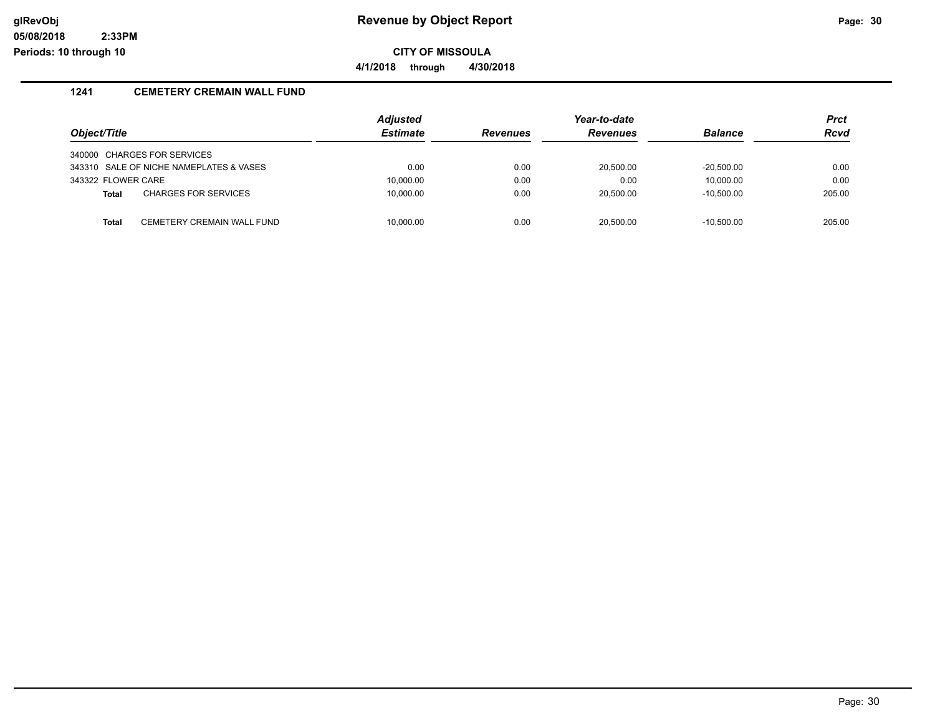**4/1/2018 through 4/30/2018**

#### **1241 CEMETERY CREMAIN WALL FUND**

| Object/Title       |                                         | <b>Adjusted</b><br><b>Estimate</b> | <b>Revenues</b> | Year-to-date<br><b>Revenues</b> | <b>Balance</b> | <b>Prct</b><br><b>Rcvd</b> |
|--------------------|-----------------------------------------|------------------------------------|-----------------|---------------------------------|----------------|----------------------------|
|                    | 340000 CHARGES FOR SERVICES             |                                    |                 |                                 |                |                            |
|                    | 343310 SALE OF NICHE NAMEPLATES & VASES | 0.00                               | 0.00            | 20.500.00                       | $-20.500.00$   | 0.00                       |
| 343322 FLOWER CARE |                                         | 10.000.00                          | 0.00            | 0.00                            | 10.000.00      | 0.00                       |
| <b>Total</b>       | <b>CHARGES FOR SERVICES</b>             | 10.000.00                          | 0.00            | 20.500.00                       | $-10.500.00$   | 205.00                     |
|                    |                                         |                                    |                 |                                 |                |                            |
| <b>Total</b>       | CEMETERY CREMAIN WALL FUND              | 10.000.00                          | 0.00            | 20.500.00                       | $-10.500.00$   | 205.00                     |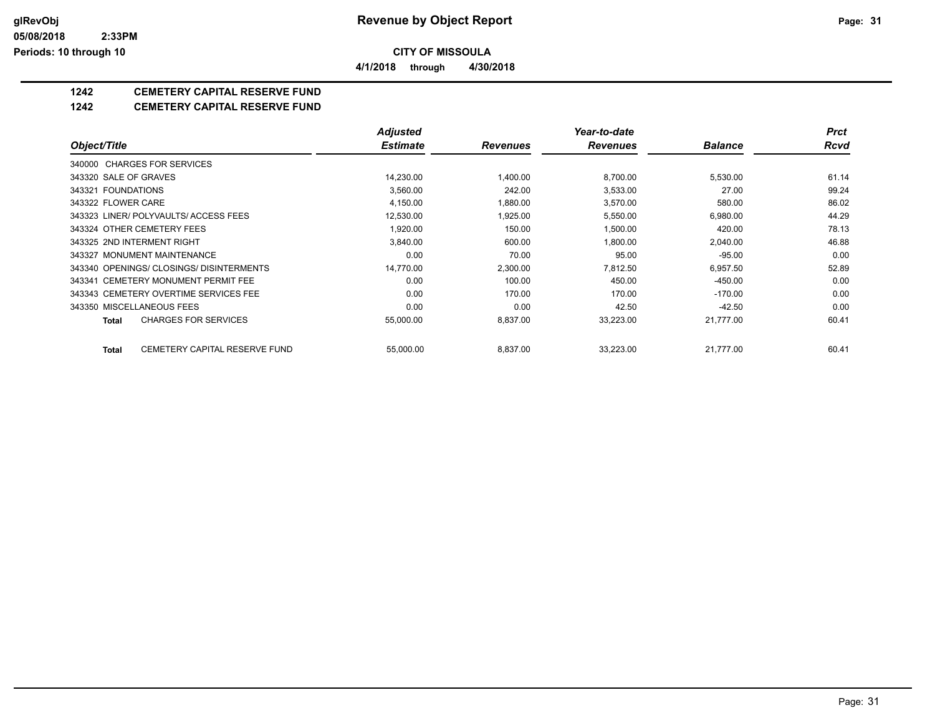**4/1/2018 through 4/30/2018**

## **1242 CEMETERY CAPITAL RESERVE FUND**

**1242 CEMETERY CAPITAL RESERVE FUND**

|                                               | <b>Adjusted</b> |                 | Year-to-date    |                | <b>Prct</b> |
|-----------------------------------------------|-----------------|-----------------|-----------------|----------------|-------------|
| Object/Title                                  | <b>Estimate</b> | <b>Revenues</b> | <b>Revenues</b> | <b>Balance</b> | <b>Rcvd</b> |
| 340000 CHARGES FOR SERVICES                   |                 |                 |                 |                |             |
| 343320 SALE OF GRAVES                         | 14,230.00       | 1,400.00        | 8,700.00        | 5,530.00       | 61.14       |
| 343321 FOUNDATIONS                            | 3.560.00        | 242.00          | 3.533.00        | 27.00          | 99.24       |
| 343322 FLOWER CARE                            | 4,150.00        | 1,880.00        | 3,570.00        | 580.00         | 86.02       |
| 343323 LINER/POLYVAULTS/ACCESS FEES           | 12,530.00       | 1,925.00        | 5,550.00        | 6,980.00       | 44.29       |
| 343324 OTHER CEMETERY FEES                    | 1,920.00        | 150.00          | 1,500.00        | 420.00         | 78.13       |
| 343325 2ND INTERMENT RIGHT                    | 3,840.00        | 600.00          | 1,800.00        | 2,040.00       | 46.88       |
| 343327 MONUMENT MAINTENANCE                   | 0.00            | 70.00           | 95.00           | $-95.00$       | 0.00        |
| 343340 OPENINGS/ CLOSINGS/ DISINTERMENTS      | 14,770.00       | 2,300.00        | 7,812.50        | 6,957.50       | 52.89       |
| 343341 CEMETERY MONUMENT PERMIT FEE           | 0.00            | 100.00          | 450.00          | $-450.00$      | 0.00        |
| 343343 CEMETERY OVERTIME SERVICES FEE         | 0.00            | 170.00          | 170.00          | $-170.00$      | 0.00        |
| 343350 MISCELLANEOUS FEES                     | 0.00            | 0.00            | 42.50           | $-42.50$       | 0.00        |
| <b>CHARGES FOR SERVICES</b><br>Total          | 55,000.00       | 8,837.00        | 33,223.00       | 21,777.00      | 60.41       |
| CEMETERY CAPITAL RESERVE FUND<br><b>Total</b> | 55,000.00       | 8,837.00        | 33,223.00       | 21.777.00      | 60.41       |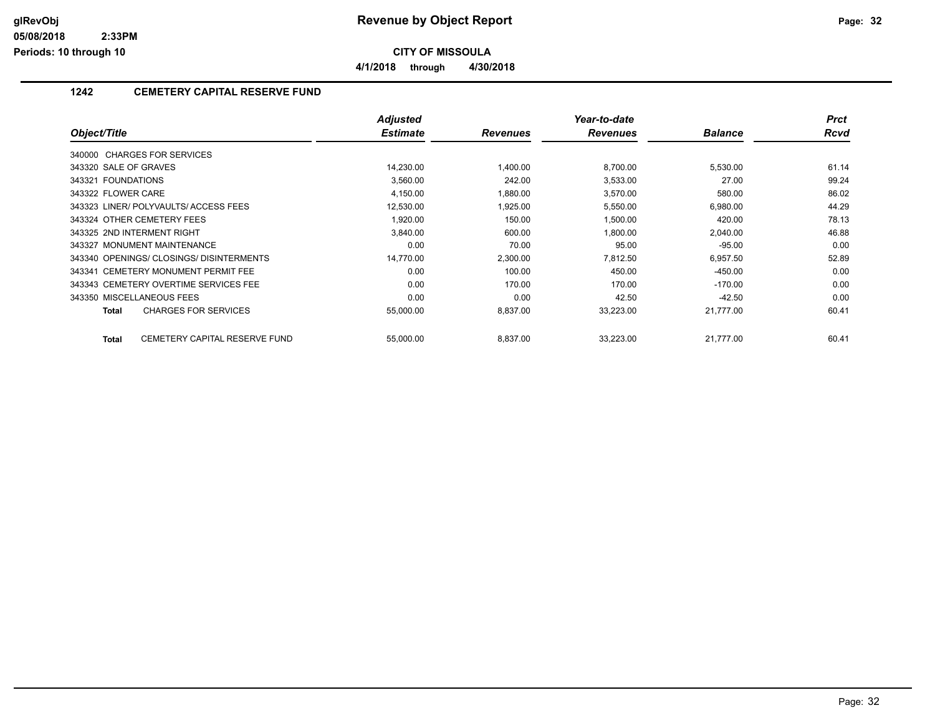**4/1/2018 through 4/30/2018**

#### **1242 CEMETERY CAPITAL RESERVE FUND**

|                                          | <b>Adjusted</b> |                 | Year-to-date    |                | <b>Prct</b> |
|------------------------------------------|-----------------|-----------------|-----------------|----------------|-------------|
| Object/Title                             | <b>Estimate</b> | <b>Revenues</b> | <b>Revenues</b> | <b>Balance</b> | <b>Rcvd</b> |
| 340000 CHARGES FOR SERVICES              |                 |                 |                 |                |             |
| 343320 SALE OF GRAVES                    | 14,230.00       | 1,400.00        | 8,700.00        | 5,530.00       | 61.14       |
| 343321 FOUNDATIONS                       | 3,560.00        | 242.00          | 3,533.00        | 27.00          | 99.24       |
| 343322 FLOWER CARE                       | 4,150.00        | 1,880.00        | 3,570.00        | 580.00         | 86.02       |
| 343323 LINER/ POLYVAULTS/ ACCESS FEES    | 12,530.00       | 1,925.00        | 5,550.00        | 6,980.00       | 44.29       |
| 343324 OTHER CEMETERY FEES               | 1,920.00        | 150.00          | 1,500.00        | 420.00         | 78.13       |
| 343325 2ND INTERMENT RIGHT               | 3,840.00        | 600.00          | 1,800.00        | 2,040.00       | 46.88       |
| 343327 MONUMENT MAINTENANCE              | 0.00            | 70.00           | 95.00           | $-95.00$       | 0.00        |
| 343340 OPENINGS/ CLOSINGS/ DISINTERMENTS | 14,770.00       | 2,300.00        | 7,812.50        | 6,957.50       | 52.89       |
| 343341 CEMETERY MONUMENT PERMIT FEE      | 0.00            | 100.00          | 450.00          | $-450.00$      | 0.00        |
| 343343 CEMETERY OVERTIME SERVICES FEE    | 0.00            | 170.00          | 170.00          | $-170.00$      | 0.00        |
| 343350 MISCELLANEOUS FEES                | 0.00            | 0.00            | 42.50           | $-42.50$       | 0.00        |
| <b>CHARGES FOR SERVICES</b><br>Total     | 55,000.00       | 8,837.00        | 33,223.00       | 21,777.00      | 60.41       |
| CEMETERY CAPITAL RESERVE FUND<br>Total   | 55,000.00       | 8,837.00        | 33,223.00       | 21,777.00      | 60.41       |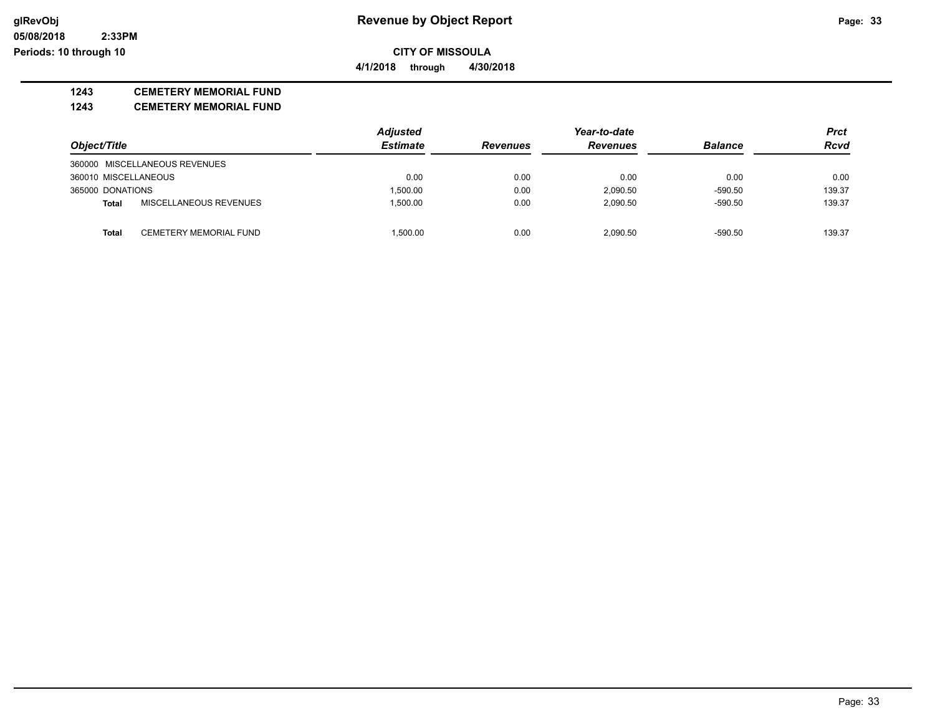**4/1/2018 through 4/30/2018**

## **1243 CEMETERY MEMORIAL FUND**

**1243 CEMETERY MEMORIAL FUND**

|                      |                               | <b>Adjusted</b> |                 | Year-to-date    |                |             |
|----------------------|-------------------------------|-----------------|-----------------|-----------------|----------------|-------------|
| Object/Title         |                               | <b>Estimate</b> | <b>Revenues</b> | <b>Revenues</b> | <b>Balance</b> | <b>Rcvd</b> |
|                      | 360000 MISCELLANEOUS REVENUES |                 |                 |                 |                |             |
| 360010 MISCELLANEOUS |                               | 0.00            | 0.00            | 0.00            | 0.00           | 0.00        |
| 365000 DONATIONS     |                               | 1.500.00        | 0.00            | 2,090.50        | $-590.50$      | 139.37      |
| <b>Total</b>         | MISCELLANEOUS REVENUES        | 1.500.00        | 0.00            | 2,090.50        | $-590.50$      | 139.37      |
|                      |                               |                 |                 |                 |                |             |
| <b>Total</b>         | <b>CEMETERY MEMORIAL FUND</b> | 1.500.00        | 0.00            | 2.090.50        | $-590.50$      | 139.37      |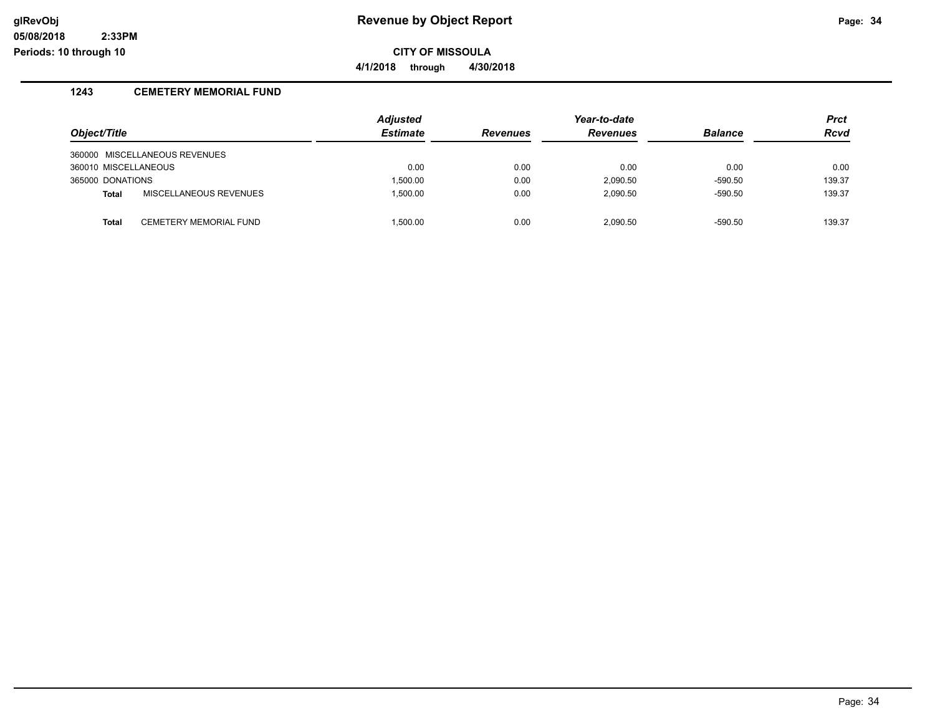**4/1/2018 through 4/30/2018**

#### **1243 CEMETERY MEMORIAL FUND**

| Object/Title         |                               | <b>Adjusted</b><br><b>Estimate</b> | <b>Revenues</b> | Year-to-date<br><b>Revenues</b> | <b>Balance</b> | <b>Prct</b><br><b>Rcvd</b> |
|----------------------|-------------------------------|------------------------------------|-----------------|---------------------------------|----------------|----------------------------|
|                      | 360000 MISCELLANEOUS REVENUES |                                    |                 |                                 |                |                            |
| 360010 MISCELLANEOUS |                               | 0.00                               | 0.00            | 0.00                            | 0.00           | 0.00                       |
| 365000 DONATIONS     |                               | 1.500.00                           | 0.00            | 2.090.50                        | $-590.50$      | 139.37                     |
| <b>Total</b>         | MISCELLANEOUS REVENUES        | 1.500.00                           | 0.00            | 2.090.50                        | $-590.50$      | 139.37                     |
| <b>Total</b>         | CEMETERY MEMORIAL FUND        | 1.500.00                           | 0.00            | 2.090.50                        | $-590.50$      | 139.37                     |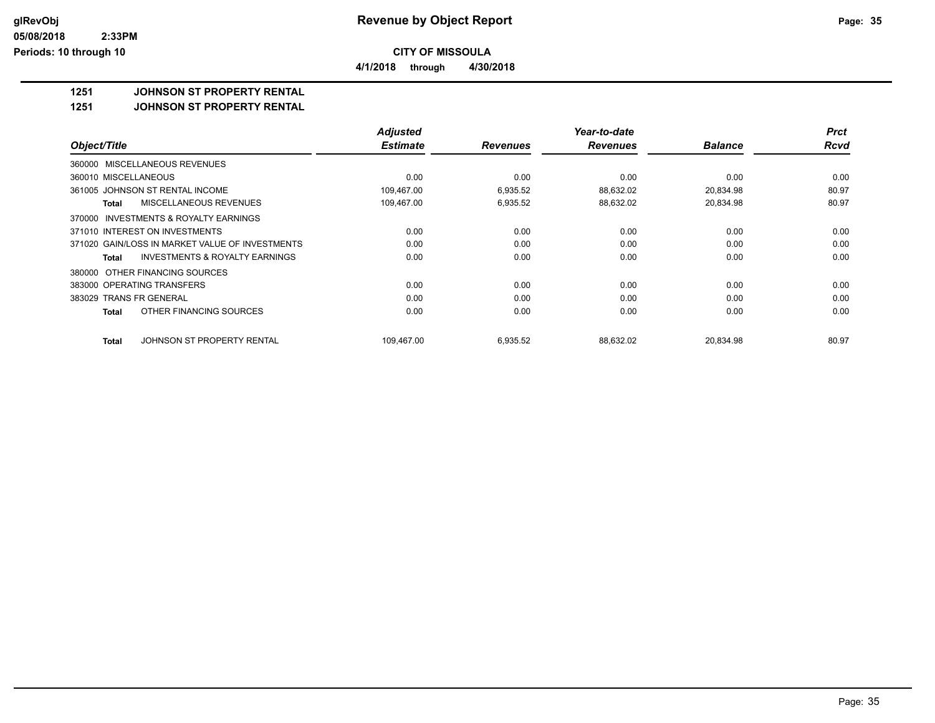**4/1/2018 through 4/30/2018**

## **1251 JOHNSON ST PROPERTY RENTAL**

**1251 JOHNSON ST PROPERTY RENTAL**

|                                                    | <b>Adjusted</b> |                 | Year-to-date    |                | <b>Prct</b> |
|----------------------------------------------------|-----------------|-----------------|-----------------|----------------|-------------|
| Object/Title                                       | <b>Estimate</b> | <b>Revenues</b> | <b>Revenues</b> | <b>Balance</b> | <b>Rcvd</b> |
| 360000 MISCELLANEOUS REVENUES                      |                 |                 |                 |                |             |
| 360010 MISCELLANEOUS                               | 0.00            | 0.00            | 0.00            | 0.00           | 0.00        |
| 361005 JOHNSON ST RENTAL INCOME                    | 109,467.00      | 6,935.52        | 88,632.02       | 20,834.98      | 80.97       |
| MISCELLANEOUS REVENUES<br>Total                    | 109,467.00      | 6,935.52        | 88,632.02       | 20,834.98      | 80.97       |
| 370000 INVESTMENTS & ROYALTY EARNINGS              |                 |                 |                 |                |             |
| 371010 INTEREST ON INVESTMENTS                     | 0.00            | 0.00            | 0.00            | 0.00           | 0.00        |
| 371020 GAIN/LOSS IN MARKET VALUE OF INVESTMENTS    | 0.00            | 0.00            | 0.00            | 0.00           | 0.00        |
| <b>INVESTMENTS &amp; ROYALTY EARNINGS</b><br>Total | 0.00            | 0.00            | 0.00            | 0.00           | 0.00        |
| 380000 OTHER FINANCING SOURCES                     |                 |                 |                 |                |             |
| 383000 OPERATING TRANSFERS                         | 0.00            | 0.00            | 0.00            | 0.00           | 0.00        |
| 383029 TRANS FR GENERAL                            | 0.00            | 0.00            | 0.00            | 0.00           | 0.00        |
| OTHER FINANCING SOURCES<br>Total                   | 0.00            | 0.00            | 0.00            | 0.00           | 0.00        |
| JOHNSON ST PROPERTY RENTAL<br><b>Total</b>         | 109.467.00      | 6,935.52        | 88,632.02       | 20,834.98      | 80.97       |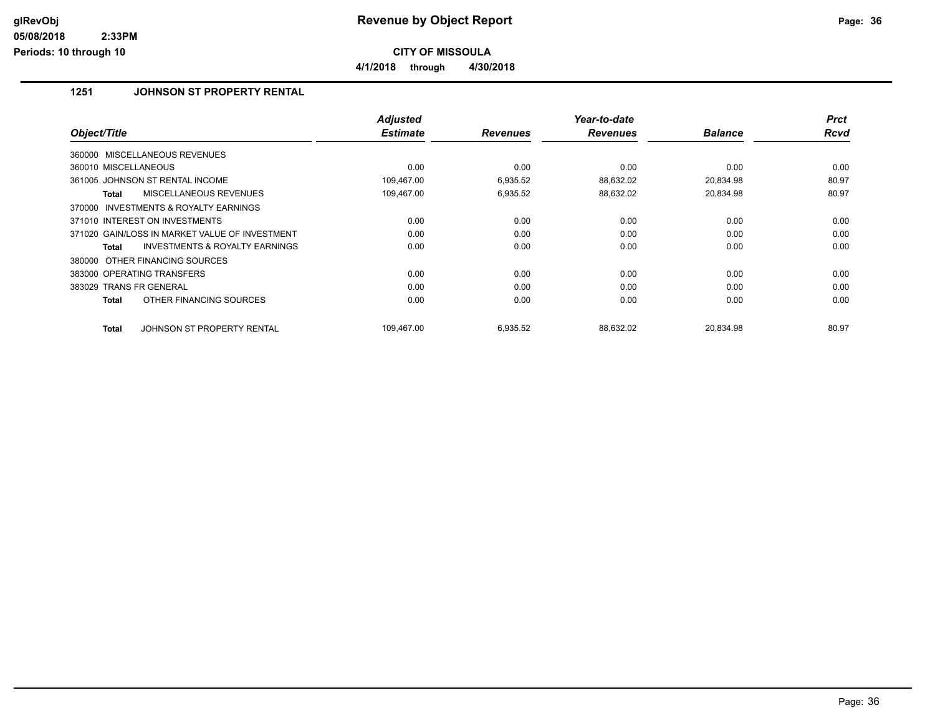**4/1/2018 through 4/30/2018**

### **1251 JOHNSON ST PROPERTY RENTAL**

| Object/Title                                        | <b>Adjusted</b><br><b>Estimate</b> | <b>Revenues</b> | Year-to-date<br><b>Revenues</b> | <b>Balance</b> | <b>Prct</b><br><b>Rcvd</b> |
|-----------------------------------------------------|------------------------------------|-----------------|---------------------------------|----------------|----------------------------|
|                                                     |                                    |                 |                                 |                |                            |
| 360000 MISCELLANEOUS REVENUES                       |                                    |                 |                                 |                |                            |
| 360010 MISCELLANEOUS                                | 0.00                               | 0.00            | 0.00                            | 0.00           | 0.00                       |
| 361005 JOHNSON ST RENTAL INCOME                     | 109,467.00                         | 6,935.52        | 88,632.02                       | 20,834.98      | 80.97                      |
| <b>MISCELLANEOUS REVENUES</b><br>Total              | 109,467.00                         | 6,935.52        | 88,632.02                       | 20,834.98      | 80.97                      |
| <b>INVESTMENTS &amp; ROYALTY EARNINGS</b><br>370000 |                                    |                 |                                 |                |                            |
| 371010 INTEREST ON INVESTMENTS                      | 0.00                               | 0.00            | 0.00                            | 0.00           | 0.00                       |
| 371020 GAIN/LOSS IN MARKET VALUE OF INVESTMENT      | 0.00                               | 0.00            | 0.00                            | 0.00           | 0.00                       |
| <b>INVESTMENTS &amp; ROYALTY EARNINGS</b><br>Total  | 0.00                               | 0.00            | 0.00                            | 0.00           | 0.00                       |
| 380000 OTHER FINANCING SOURCES                      |                                    |                 |                                 |                |                            |
| 383000 OPERATING TRANSFERS                          | 0.00                               | 0.00            | 0.00                            | 0.00           | 0.00                       |
| 383029 TRANS FR GENERAL                             | 0.00                               | 0.00            | 0.00                            | 0.00           | 0.00                       |
| OTHER FINANCING SOURCES<br>Total                    | 0.00                               | 0.00            | 0.00                            | 0.00           | 0.00                       |
|                                                     |                                    |                 |                                 |                |                            |
| JOHNSON ST PROPERTY RENTAL<br>Total                 | 109.467.00                         | 6,935.52        | 88,632.02                       | 20,834.98      | 80.97                      |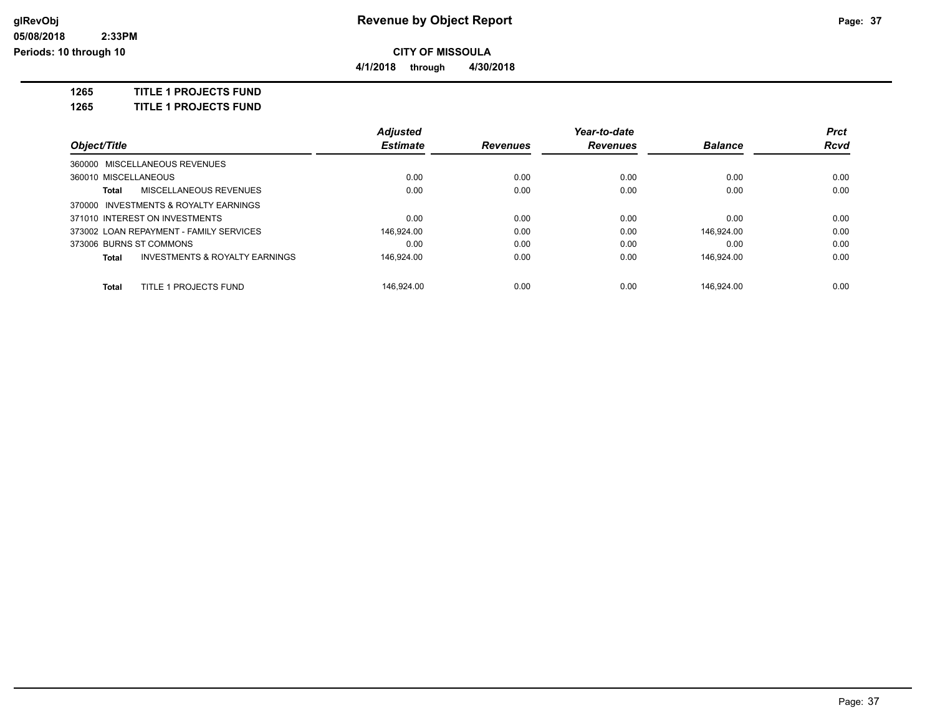**4/1/2018 through 4/30/2018**

**1265 TITLE 1 PROJECTS FUND**

**1265 TITLE 1 PROJECTS FUND**

|                                                    | <b>Adjusted</b> |                 | Year-to-date    |                |      |
|----------------------------------------------------|-----------------|-----------------|-----------------|----------------|------|
| Object/Title                                       | <b>Estimate</b> | <b>Revenues</b> | <b>Revenues</b> | <b>Balance</b> | Rcvd |
| 360000 MISCELLANEOUS REVENUES                      |                 |                 |                 |                |      |
| 360010 MISCELLANEOUS                               | 0.00            | 0.00            | 0.00            | 0.00           | 0.00 |
| MISCELLANEOUS REVENUES<br>Total                    | 0.00            | 0.00            | 0.00            | 0.00           | 0.00 |
| 370000 INVESTMENTS & ROYALTY EARNINGS              |                 |                 |                 |                |      |
| 371010 INTEREST ON INVESTMENTS                     | 0.00            | 0.00            | 0.00            | 0.00           | 0.00 |
| 373002 LOAN REPAYMENT - FAMILY SERVICES            | 146.924.00      | 0.00            | 0.00            | 146.924.00     | 0.00 |
| 373006 BURNS ST COMMONS                            | 0.00            | 0.00            | 0.00            | 0.00           | 0.00 |
| <b>INVESTMENTS &amp; ROYALTY EARNINGS</b><br>Total | 146,924.00      | 0.00            | 0.00            | 146.924.00     | 0.00 |
| TITLE 1 PROJECTS FUND<br>Total                     | 146.924.00      | 0.00            | 0.00            | 146.924.00     | 0.00 |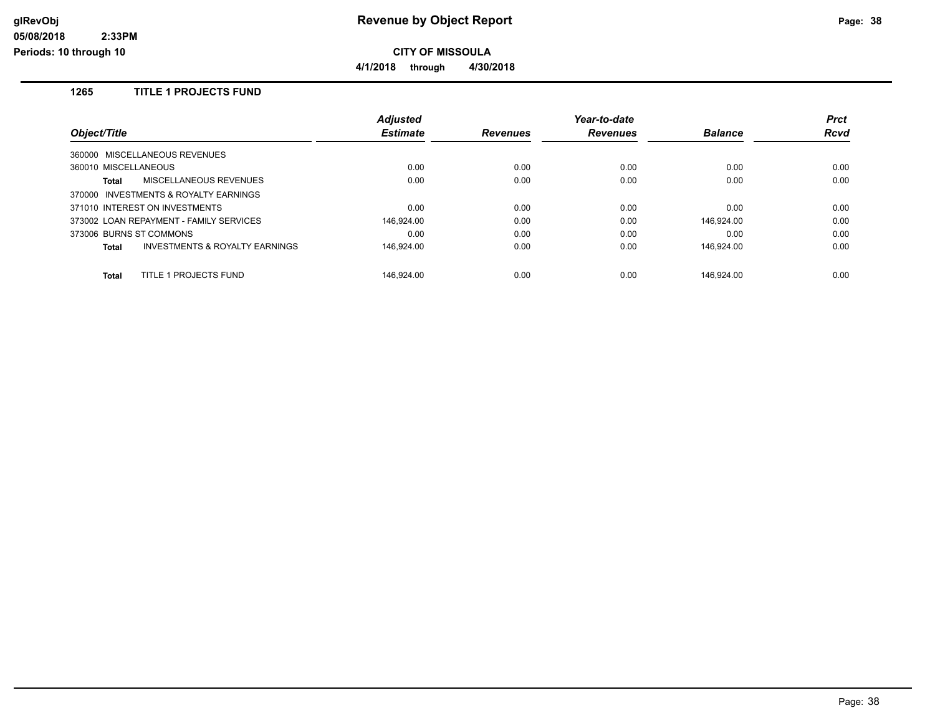**4/1/2018 through 4/30/2018**

## **1265 TITLE 1 PROJECTS FUND**

|                                         |                                | <b>Adjusted</b> |                 | Year-to-date    |                | <b>Prct</b> |
|-----------------------------------------|--------------------------------|-----------------|-----------------|-----------------|----------------|-------------|
| Object/Title                            |                                | <b>Estimate</b> | <b>Revenues</b> | <b>Revenues</b> | <b>Balance</b> | <b>Rcvd</b> |
| 360000 MISCELLANEOUS REVENUES           |                                |                 |                 |                 |                |             |
| 360010 MISCELLANEOUS                    |                                | 0.00            | 0.00            | 0.00            | 0.00           | 0.00        |
| MISCELLANEOUS REVENUES<br>Total         |                                | 0.00            | 0.00            | 0.00            | 0.00           | 0.00        |
| 370000 INVESTMENTS & ROYALTY EARNINGS   |                                |                 |                 |                 |                |             |
| 371010 INTEREST ON INVESTMENTS          |                                | 0.00            | 0.00            | 0.00            | 0.00           | 0.00        |
| 373002 LOAN REPAYMENT - FAMILY SERVICES |                                | 146.924.00      | 0.00            | 0.00            | 146.924.00     | 0.00        |
| 373006 BURNS ST COMMONS                 |                                | 0.00            | 0.00            | 0.00            | 0.00           | 0.00        |
| Total                                   | INVESTMENTS & ROYALTY EARNINGS | 146.924.00      | 0.00            | 0.00            | 146.924.00     | 0.00        |
| TITLE 1 PROJECTS FUND<br><b>Total</b>   |                                | 146.924.00      | 0.00            | 0.00            | 146.924.00     | 0.00        |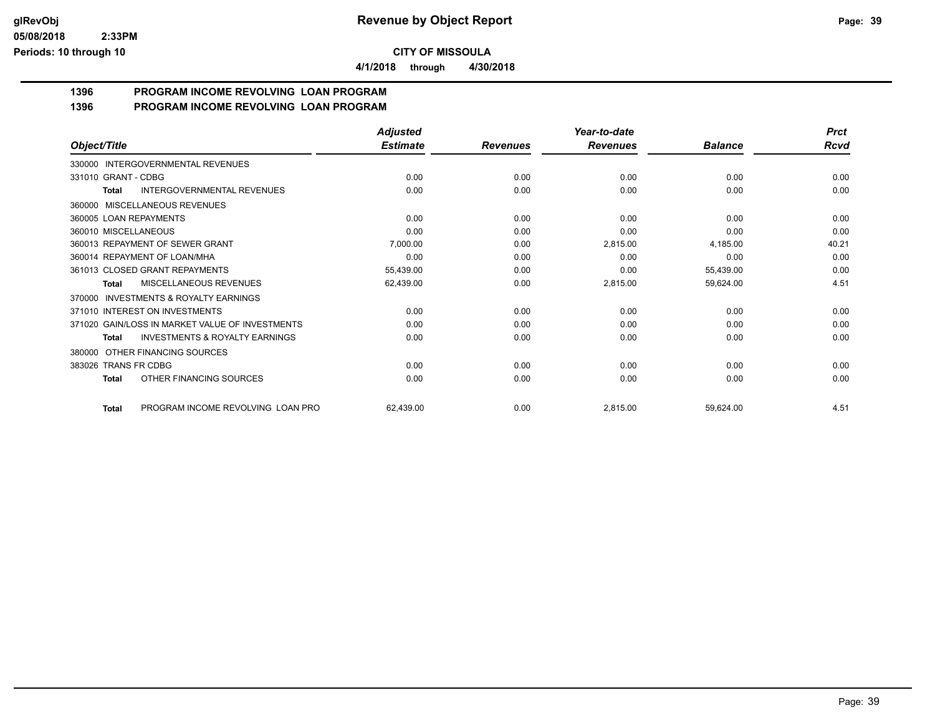**4/1/2018 through 4/30/2018**

# **1396 PROGRAM INCOME REVOLVING LOAN PROGRAM**

| 1396 | <b>PROGRAM INCOME REVOLVING LOAN PROGRAM</b> |  |
|------|----------------------------------------------|--|
|      |                                              |  |

|                                                           | <b>Adjusted</b> |                 | Year-to-date    |                | <b>Prct</b> |
|-----------------------------------------------------------|-----------------|-----------------|-----------------|----------------|-------------|
| Object/Title                                              | <b>Estimate</b> | <b>Revenues</b> | <b>Revenues</b> | <b>Balance</b> | <b>Rcvd</b> |
| 330000 INTERGOVERNMENTAL REVENUES                         |                 |                 |                 |                |             |
| 331010 GRANT - CDBG                                       | 0.00            | 0.00            | 0.00            | 0.00           | 0.00        |
| <b>INTERGOVERNMENTAL REVENUES</b><br><b>Total</b>         | 0.00            | 0.00            | 0.00            | 0.00           | 0.00        |
| MISCELLANEOUS REVENUES<br>360000                          |                 |                 |                 |                |             |
| 360005 LOAN REPAYMENTS                                    | 0.00            | 0.00            | 0.00            | 0.00           | 0.00        |
| 360010 MISCELLANEOUS                                      | 0.00            | 0.00            | 0.00            | 0.00           | 0.00        |
| 360013 REPAYMENT OF SEWER GRANT                           | 7,000.00        | 0.00            | 2,815.00        | 4,185.00       | 40.21       |
| 360014 REPAYMENT OF LOAN/MHA                              | 0.00            | 0.00            | 0.00            | 0.00           | 0.00        |
| 361013 CLOSED GRANT REPAYMENTS                            | 55,439.00       | 0.00            | 0.00            | 55,439.00      | 0.00        |
| MISCELLANEOUS REVENUES<br><b>Total</b>                    | 62,439.00       | 0.00            | 2,815.00        | 59,624.00      | 4.51        |
| INVESTMENTS & ROYALTY EARNINGS<br>370000                  |                 |                 |                 |                |             |
| 371010 INTEREST ON INVESTMENTS                            | 0.00            | 0.00            | 0.00            | 0.00           | 0.00        |
| 371020 GAIN/LOSS IN MARKET VALUE OF INVESTMENTS           | 0.00            | 0.00            | 0.00            | 0.00           | 0.00        |
| <b>INVESTMENTS &amp; ROYALTY EARNINGS</b><br><b>Total</b> | 0.00            | 0.00            | 0.00            | 0.00           | 0.00        |
| OTHER FINANCING SOURCES<br>380000                         |                 |                 |                 |                |             |
| 383026 TRANS FR CDBG                                      | 0.00            | 0.00            | 0.00            | 0.00           | 0.00        |
| OTHER FINANCING SOURCES<br><b>Total</b>                   | 0.00            | 0.00            | 0.00            | 0.00           | 0.00        |
| PROGRAM INCOME REVOLVING LOAN PRO<br><b>Total</b>         | 62,439.00       | 0.00            | 2,815.00        | 59,624.00      | 4.51        |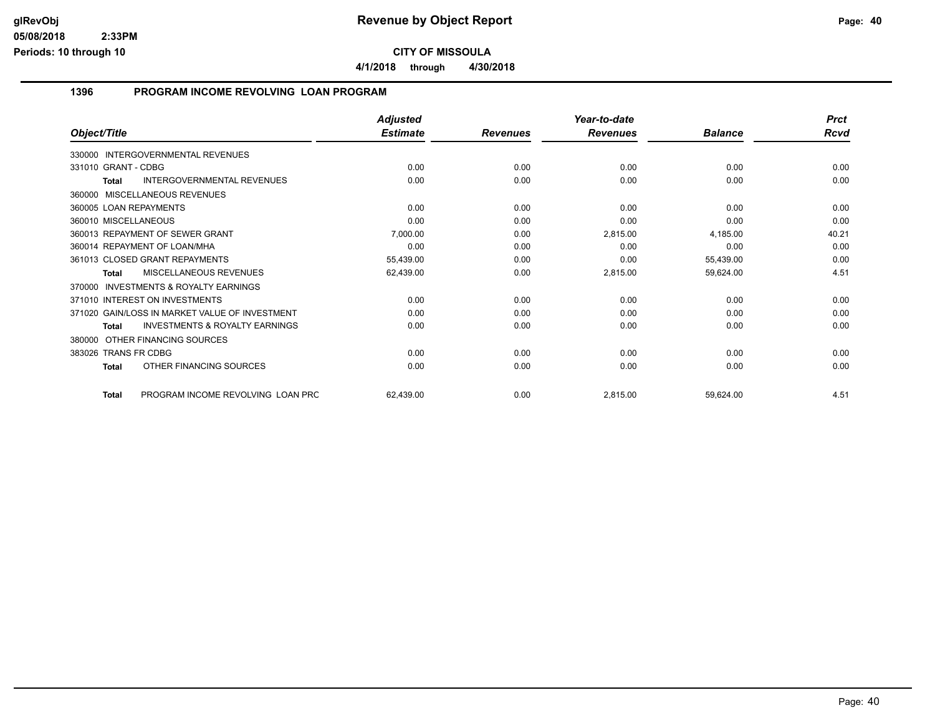**4/1/2018 through 4/30/2018**

## **1396 PROGRAM INCOME REVOLVING LOAN PROGRAM**

|                                                     | <b>Adjusted</b> |                 | Year-to-date    |                | <b>Prct</b> |
|-----------------------------------------------------|-----------------|-----------------|-----------------|----------------|-------------|
| Object/Title                                        | <b>Estimate</b> | <b>Revenues</b> | <b>Revenues</b> | <b>Balance</b> | <b>Rcvd</b> |
| 330000 INTERGOVERNMENTAL REVENUES                   |                 |                 |                 |                |             |
| 331010 GRANT - CDBG                                 | 0.00            | 0.00            | 0.00            | 0.00           | 0.00        |
| <b>INTERGOVERNMENTAL REVENUES</b><br>Total          | 0.00            | 0.00            | 0.00            | 0.00           | 0.00        |
| 360000 MISCELLANEOUS REVENUES                       |                 |                 |                 |                |             |
| 360005 LOAN REPAYMENTS                              | 0.00            | 0.00            | 0.00            | 0.00           | 0.00        |
| 360010 MISCELLANEOUS                                | 0.00            | 0.00            | 0.00            | 0.00           | 0.00        |
| 360013 REPAYMENT OF SEWER GRANT                     | 7,000.00        | 0.00            | 2,815.00        | 4,185.00       | 40.21       |
| 360014 REPAYMENT OF LOAN/MHA                        | 0.00            | 0.00            | 0.00            | 0.00           | 0.00        |
| 361013 CLOSED GRANT REPAYMENTS                      | 55,439.00       | 0.00            | 0.00            | 55,439.00      | 0.00        |
| <b>MISCELLANEOUS REVENUES</b><br><b>Total</b>       | 62,439.00       | 0.00            | 2,815.00        | 59,624.00      | 4.51        |
| <b>INVESTMENTS &amp; ROYALTY EARNINGS</b><br>370000 |                 |                 |                 |                |             |
| 371010 INTEREST ON INVESTMENTS                      | 0.00            | 0.00            | 0.00            | 0.00           | 0.00        |
| 371020 GAIN/LOSS IN MARKET VALUE OF INVESTMENT      | 0.00            | 0.00            | 0.00            | 0.00           | 0.00        |
| <b>INVESTMENTS &amp; ROYALTY EARNINGS</b><br>Total  | 0.00            | 0.00            | 0.00            | 0.00           | 0.00        |
| 380000 OTHER FINANCING SOURCES                      |                 |                 |                 |                |             |
| 383026 TRANS FR CDBG                                | 0.00            | 0.00            | 0.00            | 0.00           | 0.00        |
| OTHER FINANCING SOURCES<br><b>Total</b>             | 0.00            | 0.00            | 0.00            | 0.00           | 0.00        |
| PROGRAM INCOME REVOLVING LOAN PRC<br><b>Total</b>   | 62,439.00       | 0.00            | 2,815.00        | 59,624.00      | 4.51        |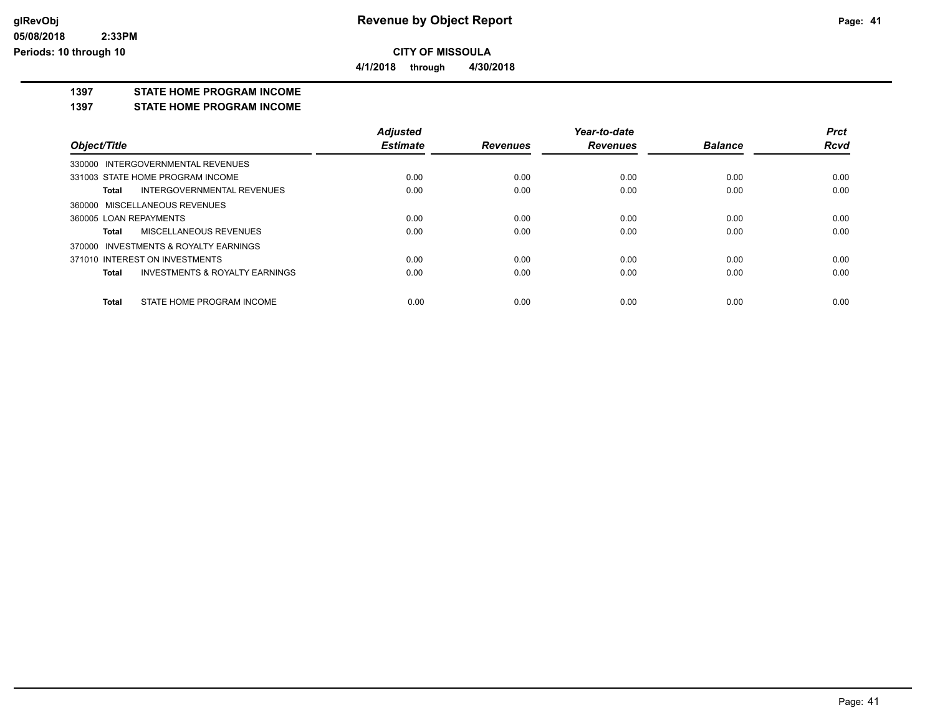**4/1/2018 through 4/30/2018**

## **1397 STATE HOME PROGRAM INCOME**

### **1397 STATE HOME PROGRAM INCOME**

|                                                           | <b>Adjusted</b> |                 | Year-to-date    |                | <b>Prct</b> |
|-----------------------------------------------------------|-----------------|-----------------|-----------------|----------------|-------------|
| Object/Title                                              | <b>Estimate</b> | <b>Revenues</b> | <b>Revenues</b> | <b>Balance</b> | <b>Rcvd</b> |
| 330000 INTERGOVERNMENTAL REVENUES                         |                 |                 |                 |                |             |
| 331003 STATE HOME PROGRAM INCOME                          | 0.00            | 0.00            | 0.00            | 0.00           | 0.00        |
| INTERGOVERNMENTAL REVENUES<br>Total                       | 0.00            | 0.00            | 0.00            | 0.00           | 0.00        |
| 360000 MISCELLANEOUS REVENUES                             |                 |                 |                 |                |             |
| 360005 LOAN REPAYMENTS                                    | 0.00            | 0.00            | 0.00            | 0.00           | 0.00        |
| MISCELLANEOUS REVENUES<br>Total                           | 0.00            | 0.00            | 0.00            | 0.00           | 0.00        |
| 370000 INVESTMENTS & ROYALTY EARNINGS                     |                 |                 |                 |                |             |
| 371010 INTEREST ON INVESTMENTS                            | 0.00            | 0.00            | 0.00            | 0.00           | 0.00        |
| <b>INVESTMENTS &amp; ROYALTY EARNINGS</b><br><b>Total</b> | 0.00            | 0.00            | 0.00            | 0.00           | 0.00        |
| STATE HOME PROGRAM INCOME<br><b>Total</b>                 | 0.00            | 0.00            | 0.00            | 0.00           | 0.00        |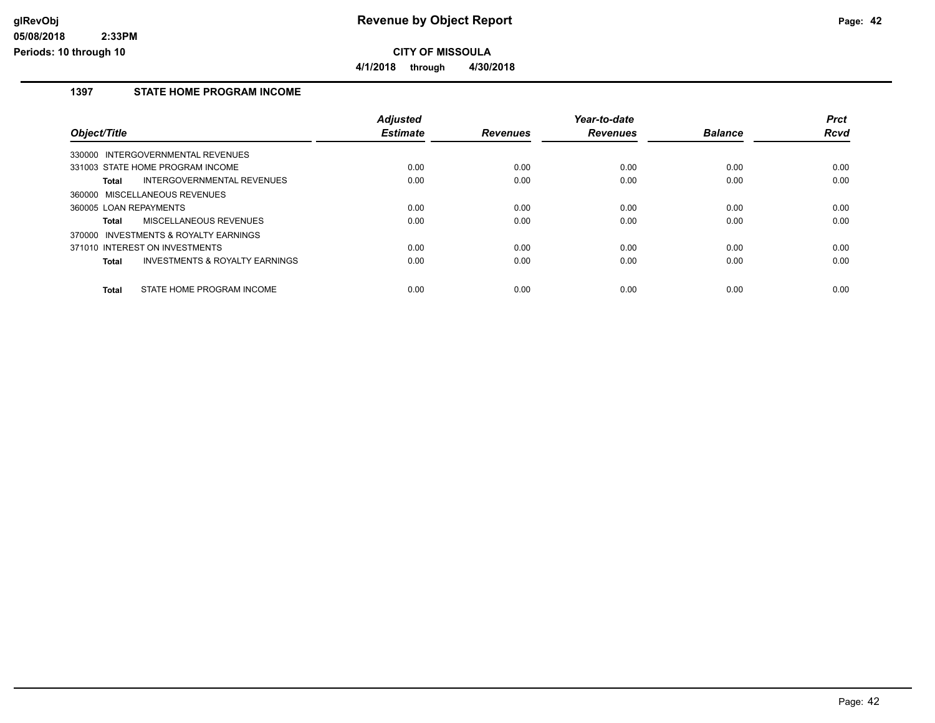**4/1/2018 through 4/30/2018**

## **1397 STATE HOME PROGRAM INCOME**

| Object/Title                                              | <b>Adjusted</b><br><b>Estimate</b> | <b>Revenues</b> | Year-to-date<br><b>Revenues</b> | <b>Balance</b> | <b>Prct</b><br><b>Rcvd</b> |
|-----------------------------------------------------------|------------------------------------|-----------------|---------------------------------|----------------|----------------------------|
| INTERGOVERNMENTAL REVENUES<br>330000                      |                                    |                 |                                 |                |                            |
| 331003 STATE HOME PROGRAM INCOME                          | 0.00                               | 0.00            | 0.00                            | 0.00           | 0.00                       |
| INTERGOVERNMENTAL REVENUES<br>Total                       | 0.00                               | 0.00            | 0.00                            | 0.00           | 0.00                       |
| MISCELLANEOUS REVENUES<br>360000                          |                                    |                 |                                 |                |                            |
| 360005 LOAN REPAYMENTS                                    | 0.00                               | 0.00            | 0.00                            | 0.00           | 0.00                       |
| MISCELLANEOUS REVENUES<br><b>Total</b>                    | 0.00                               | 0.00            | 0.00                            | 0.00           | 0.00                       |
| INVESTMENTS & ROYALTY EARNINGS<br>370000                  |                                    |                 |                                 |                |                            |
| 371010 INTEREST ON INVESTMENTS                            | 0.00                               | 0.00            | 0.00                            | 0.00           | 0.00                       |
| <b>INVESTMENTS &amp; ROYALTY EARNINGS</b><br><b>Total</b> | 0.00                               | 0.00            | 0.00                            | 0.00           | 0.00                       |
| STATE HOME PROGRAM INCOME<br><b>Total</b>                 | 0.00                               | 0.00            | 0.00                            | 0.00           | 0.00                       |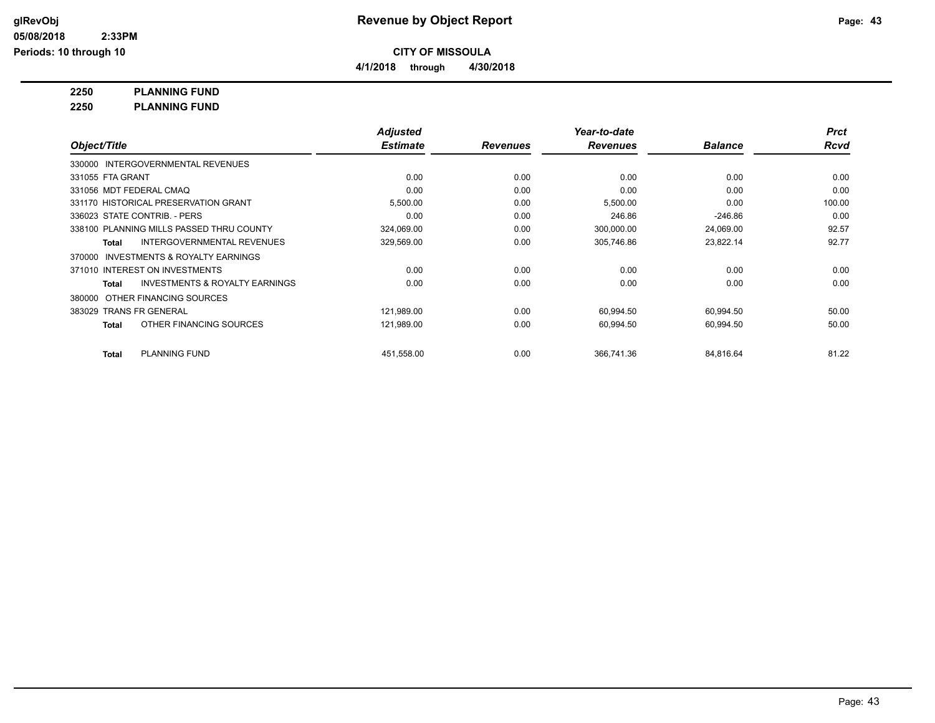**4/1/2018 through 4/30/2018**

## **2250 PLANNING FUND**

**2250 PLANNING FUND**

|                                                           | <b>Adjusted</b> |                 | Year-to-date    |                | <b>Prct</b> |
|-----------------------------------------------------------|-----------------|-----------------|-----------------|----------------|-------------|
| Object/Title                                              | <b>Estimate</b> | <b>Revenues</b> | <b>Revenues</b> | <b>Balance</b> | <b>Rcvd</b> |
| 330000 INTERGOVERNMENTAL REVENUES                         |                 |                 |                 |                |             |
| 331055 FTA GRANT                                          | 0.00            | 0.00            | 0.00            | 0.00           | 0.00        |
| 331056 MDT FEDERAL CMAQ                                   | 0.00            | 0.00            | 0.00            | 0.00           | 0.00        |
| 331170 HISTORICAL PRESERVATION GRANT                      | 5,500.00        | 0.00            | 5,500.00        | 0.00           | 100.00      |
| 336023 STATE CONTRIB. - PERS                              | 0.00            | 0.00            | 246.86          | $-246.86$      | 0.00        |
| 338100 PLANNING MILLS PASSED THRU COUNTY                  | 324,069.00      | 0.00            | 300,000.00      | 24,069.00      | 92.57       |
| <b>INTERGOVERNMENTAL REVENUES</b><br><b>Total</b>         | 329,569.00      | 0.00            | 305,746.86      | 23,822.14      | 92.77       |
| 370000 INVESTMENTS & ROYALTY EARNINGS                     |                 |                 |                 |                |             |
| 371010 INTEREST ON INVESTMENTS                            | 0.00            | 0.00            | 0.00            | 0.00           | 0.00        |
| <b>INVESTMENTS &amp; ROYALTY EARNINGS</b><br><b>Total</b> | 0.00            | 0.00            | 0.00            | 0.00           | 0.00        |
| OTHER FINANCING SOURCES<br>380000                         |                 |                 |                 |                |             |
| 383029 TRANS FR GENERAL                                   | 121,989.00      | 0.00            | 60,994.50       | 60,994.50      | 50.00       |
| OTHER FINANCING SOURCES<br><b>Total</b>                   | 121,989.00      | 0.00            | 60,994.50       | 60,994.50      | 50.00       |
|                                                           |                 |                 |                 |                |             |
| <b>PLANNING FUND</b><br><b>Total</b>                      | 451,558.00      | 0.00            | 366,741.36      | 84,816.64      | 81.22       |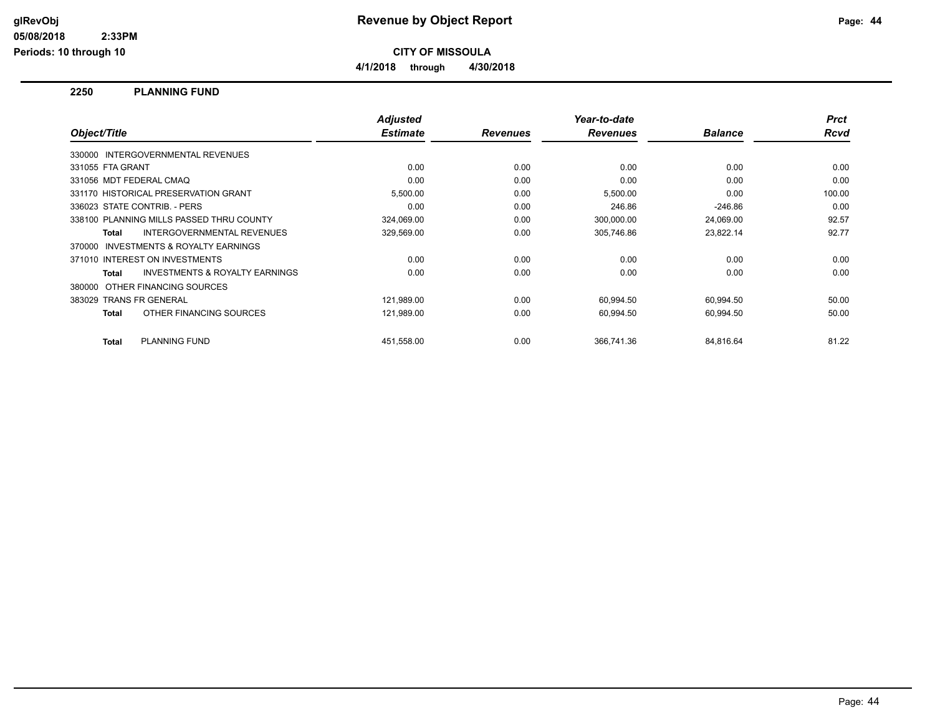**4/1/2018 through 4/30/2018**

### **2250 PLANNING FUND**

| Object/Title                                        | <b>Adjusted</b><br><b>Estimate</b> | <b>Revenues</b> | Year-to-date<br><b>Revenues</b> | <b>Balance</b> | <b>Prct</b><br><b>Rcvd</b> |
|-----------------------------------------------------|------------------------------------|-----------------|---------------------------------|----------------|----------------------------|
| 330000 INTERGOVERNMENTAL REVENUES                   |                                    |                 |                                 |                |                            |
| 331055 FTA GRANT                                    | 0.00                               | 0.00            | 0.00                            | 0.00           | 0.00                       |
| 331056 MDT FEDERAL CMAQ                             | 0.00                               | 0.00            | 0.00                            | 0.00           | 0.00                       |
| 331170 HISTORICAL PRESERVATION GRANT                | 5,500.00                           | 0.00            | 5,500.00                        | 0.00           | 100.00                     |
| 336023 STATE CONTRIB. - PERS                        | 0.00                               | 0.00            | 246.86                          | $-246.86$      | 0.00                       |
| 338100 PLANNING MILLS PASSED THRU COUNTY            | 324,069.00                         | 0.00            | 300,000.00                      | 24,069.00      | 92.57                      |
| <b>INTERGOVERNMENTAL REVENUES</b><br>Total          | 329,569.00                         | 0.00            | 305,746.86                      | 23,822.14      | 92.77                      |
| <b>INVESTMENTS &amp; ROYALTY EARNINGS</b><br>370000 |                                    |                 |                                 |                |                            |
| 371010 INTEREST ON INVESTMENTS                      | 0.00                               | 0.00            | 0.00                            | 0.00           | 0.00                       |
| <b>INVESTMENTS &amp; ROYALTY EARNINGS</b><br>Total  | 0.00                               | 0.00            | 0.00                            | 0.00           | 0.00                       |
| 380000 OTHER FINANCING SOURCES                      |                                    |                 |                                 |                |                            |
| 383029 TRANS FR GENERAL                             | 121,989.00                         | 0.00            | 60,994.50                       | 60,994.50      | 50.00                      |
| OTHER FINANCING SOURCES<br>Total                    | 121,989.00                         | 0.00            | 60,994.50                       | 60,994.50      | 50.00                      |
|                                                     |                                    |                 |                                 |                |                            |
| <b>PLANNING FUND</b><br>Total                       | 451,558.00                         | 0.00            | 366.741.36                      | 84,816.64      | 81.22                      |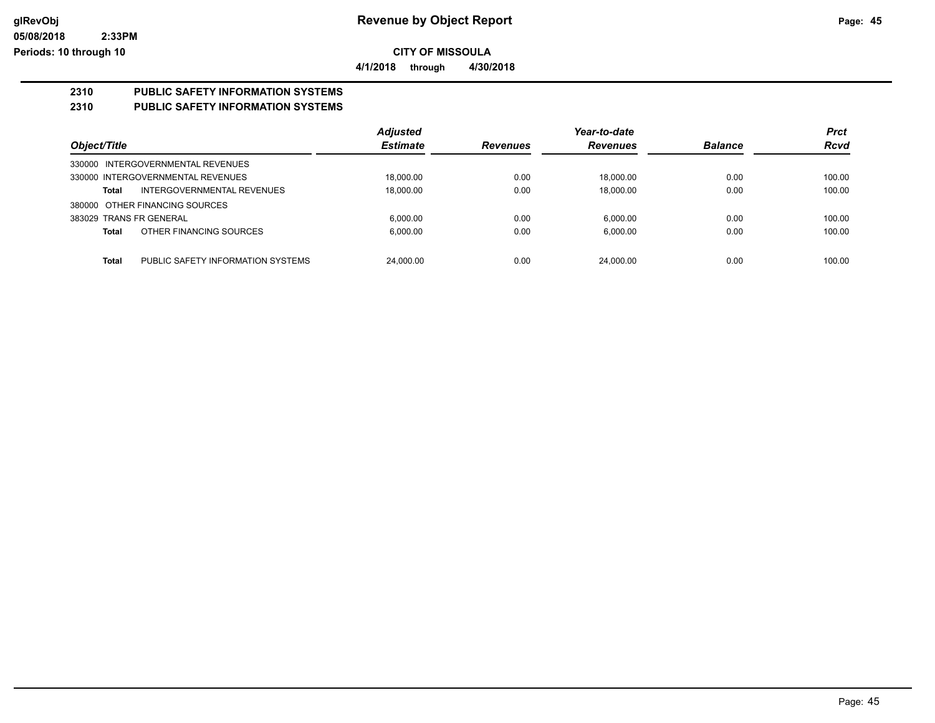**4/1/2018 through 4/30/2018**

## **2310 PUBLIC SAFETY INFORMATION SYSTEMS 2310 PUBLIC SAFETY INFORMATION SYSTEMS**

|                                            | <b>Adjusted</b> |                 | Year-to-date    |                | <b>Prct</b> |
|--------------------------------------------|-----------------|-----------------|-----------------|----------------|-------------|
| Object/Title                               | <b>Estimate</b> | <b>Revenues</b> | <b>Revenues</b> | <b>Balance</b> | <b>Rcvd</b> |
| 330000 INTERGOVERNMENTAL REVENUES          |                 |                 |                 |                |             |
| 330000 INTERGOVERNMENTAL REVENUES          | 18.000.00       | 0.00            | 18.000.00       | 0.00           | 100.00      |
| INTERGOVERNMENTAL REVENUES<br>Total        | 18.000.00       | 0.00            | 18.000.00       | 0.00           | 100.00      |
| 380000 OTHER FINANCING SOURCES             |                 |                 |                 |                |             |
| 383029 TRANS FR GENERAL                    | 6.000.00        | 0.00            | 6,000.00        | 0.00           | 100.00      |
| OTHER FINANCING SOURCES<br>Total           | 6.000.00        | 0.00            | 6.000.00        | 0.00           | 100.00      |
|                                            |                 |                 |                 |                |             |
| PUBLIC SAFETY INFORMATION SYSTEMS<br>Total | 24.000.00       | 0.00            | 24.000.00       | 0.00           | 100.00      |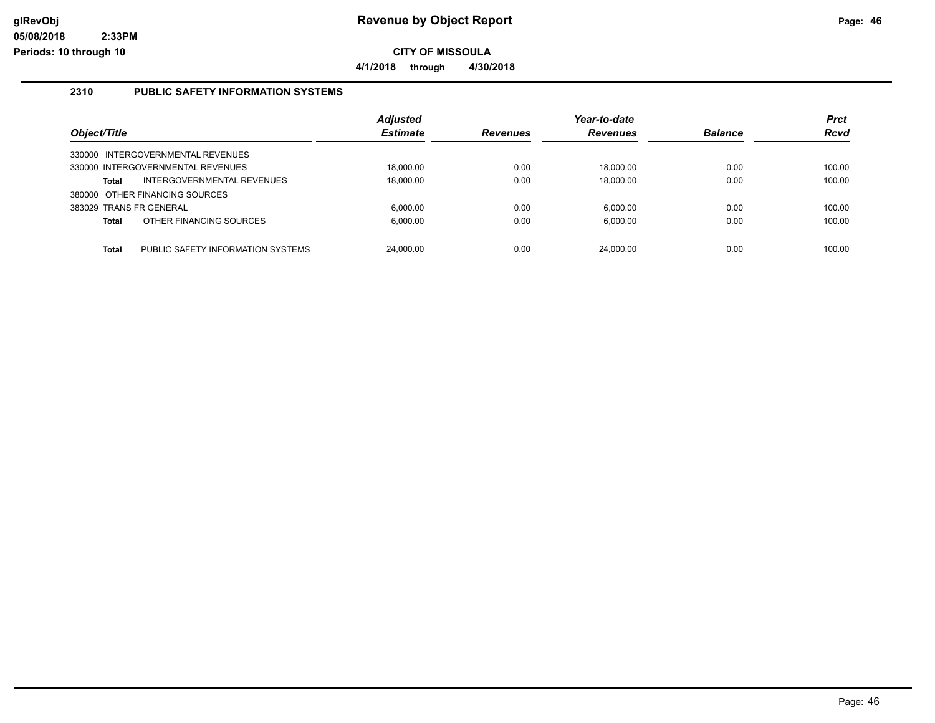**4/1/2018 through 4/30/2018**

## **2310 PUBLIC SAFETY INFORMATION SYSTEMS**

|                         |                                   | <b>Adjusted</b> |                 | Year-to-date    |                | <b>Prct</b> |
|-------------------------|-----------------------------------|-----------------|-----------------|-----------------|----------------|-------------|
| Object/Title            |                                   | <b>Estimate</b> | <b>Revenues</b> | <b>Revenues</b> | <b>Balance</b> | <b>Rcvd</b> |
|                         | 330000 INTERGOVERNMENTAL REVENUES |                 |                 |                 |                |             |
|                         | 330000 INTERGOVERNMENTAL REVENUES | 18,000.00       | 0.00            | 18.000.00       | 0.00           | 100.00      |
| Total                   | INTERGOVERNMENTAL REVENUES        | 18,000.00       | 0.00            | 18.000.00       | 0.00           | 100.00      |
|                         | 380000 OTHER FINANCING SOURCES    |                 |                 |                 |                |             |
| 383029 TRANS FR GENERAL |                                   | 6,000.00        | 0.00            | 6,000.00        | 0.00           | 100.00      |
| Total                   | OTHER FINANCING SOURCES           | 6,000.00        | 0.00            | 6,000.00        | 0.00           | 100.00      |
| <b>Total</b>            | PUBLIC SAFETY INFORMATION SYSTEMS | 24.000.00       | 0.00            | 24.000.00       | 0.00           | 100.00      |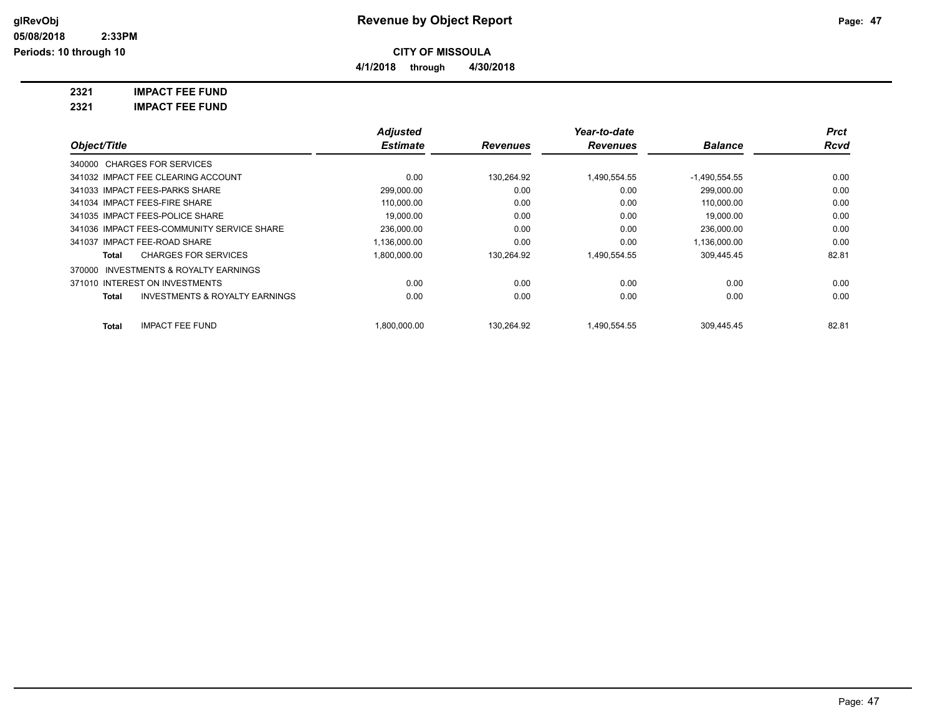**4/1/2018 through 4/30/2018**

**2321 IMPACT FEE FUND**

**2321 IMPACT FEE FUND**

|                                                           | <b>Adjusted</b> |                 | Year-to-date    |                 | <b>Prct</b> |
|-----------------------------------------------------------|-----------------|-----------------|-----------------|-----------------|-------------|
| Object/Title                                              | <b>Estimate</b> | <b>Revenues</b> | <b>Revenues</b> | <b>Balance</b>  | Rcvd        |
| 340000 CHARGES FOR SERVICES                               |                 |                 |                 |                 |             |
| 341032 IMPACT FEE CLEARING ACCOUNT                        | 0.00            | 130.264.92      | 1,490,554.55    | $-1,490,554.55$ | 0.00        |
| 341033 IMPACT FEES-PARKS SHARE                            | 299,000.00      | 0.00            | 0.00            | 299.000.00      | 0.00        |
| 341034 IMPACT FEES-FIRE SHARE                             | 110,000.00      | 0.00            | 0.00            | 110.000.00      | 0.00        |
| 341035 IMPACT FEES-POLICE SHARE                           | 19.000.00       | 0.00            | 0.00            | 19.000.00       | 0.00        |
| 341036 IMPACT FEES-COMMUNITY SERVICE SHARE                | 236,000.00      | 0.00            | 0.00            | 236,000.00      | 0.00        |
| 341037 IMPACT FEE-ROAD SHARE                              | 1,136,000.00    | 0.00            | 0.00            | 1,136,000.00    | 0.00        |
| <b>CHARGES FOR SERVICES</b><br>Total                      | 1,800,000.00    | 130,264.92      | 1,490,554.55    | 309,445.45      | 82.81       |
| 370000 INVESTMENTS & ROYALTY EARNINGS                     |                 |                 |                 |                 |             |
| 371010 INTEREST ON INVESTMENTS                            | 0.00            | 0.00            | 0.00            | 0.00            | 0.00        |
| <b>INVESTMENTS &amp; ROYALTY EARNINGS</b><br><b>Total</b> | 0.00            | 0.00            | 0.00            | 0.00            | 0.00        |
| <b>IMPACT FEE FUND</b><br>Total                           | 1.800.000.00    | 130.264.92      | 1.490.554.55    | 309.445.45      | 82.81       |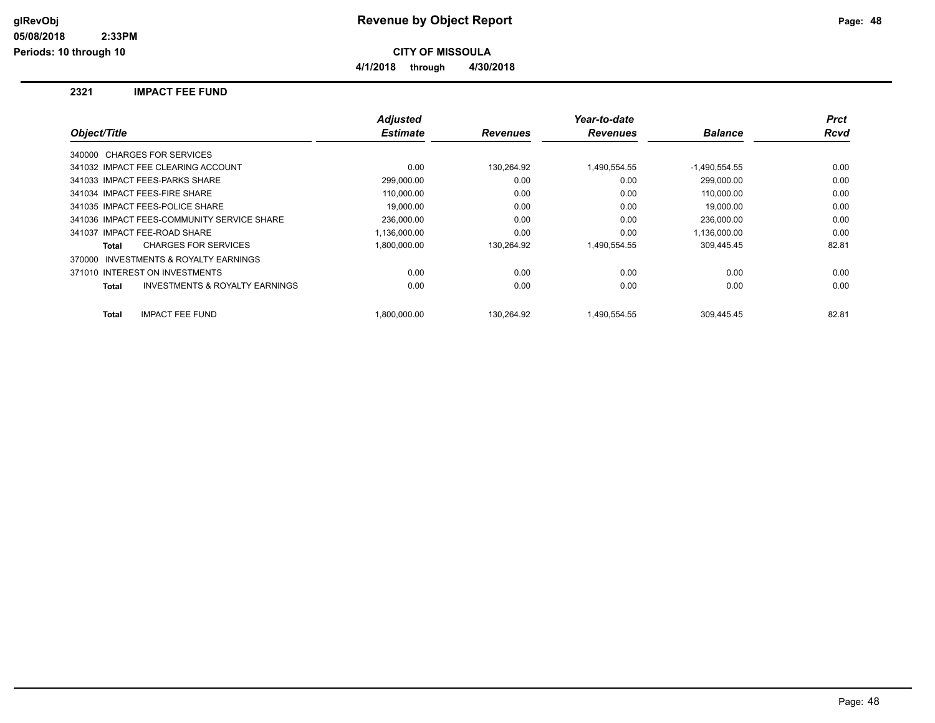**4/1/2018 through 4/30/2018**

## **2321 IMPACT FEE FUND**

|                                                     | <b>Adjusted</b> |                 | Year-to-date    |                 | <b>Prct</b> |
|-----------------------------------------------------|-----------------|-----------------|-----------------|-----------------|-------------|
| Object/Title                                        | <b>Estimate</b> | <b>Revenues</b> | <b>Revenues</b> | <b>Balance</b>  | <b>Rcvd</b> |
| 340000 CHARGES FOR SERVICES                         |                 |                 |                 |                 |             |
| 341032 IMPACT FEE CLEARING ACCOUNT                  | 0.00            | 130,264.92      | 1,490,554.55    | $-1,490,554.55$ | 0.00        |
| 341033 IMPACT FEES-PARKS SHARE                      | 299,000.00      | 0.00            | 0.00            | 299,000.00      | 0.00        |
| 341034 IMPACT FEES-FIRE SHARE                       | 110.000.00      | 0.00            | 0.00            | 110,000.00      | 0.00        |
| 341035 IMPACT FEES-POLICE SHARE                     | 19,000.00       | 0.00            | 0.00            | 19,000.00       | 0.00        |
| 341036 IMPACT FEES-COMMUNITY SERVICE SHARE          | 236,000.00      | 0.00            | 0.00            | 236,000.00      | 0.00        |
| 341037 IMPACT FEE-ROAD SHARE                        | 1,136,000.00    | 0.00            | 0.00            | 1,136,000.00    | 0.00        |
| <b>CHARGES FOR SERVICES</b><br>Total                | 1.800.000.00    | 130,264.92      | 1,490,554.55    | 309.445.45      | 82.81       |
| <b>INVESTMENTS &amp; ROYALTY EARNINGS</b><br>370000 |                 |                 |                 |                 |             |
| 371010 INTEREST ON INVESTMENTS                      | 0.00            | 0.00            | 0.00            | 0.00            | 0.00        |
| <b>INVESTMENTS &amp; ROYALTY EARNINGS</b><br>Total  | 0.00            | 0.00            | 0.00            | 0.00            | 0.00        |
| <b>IMPACT FEE FUND</b><br><b>Total</b>              | 1,800,000.00    | 130,264.92      | 1,490,554.55    | 309,445.45      | 82.81       |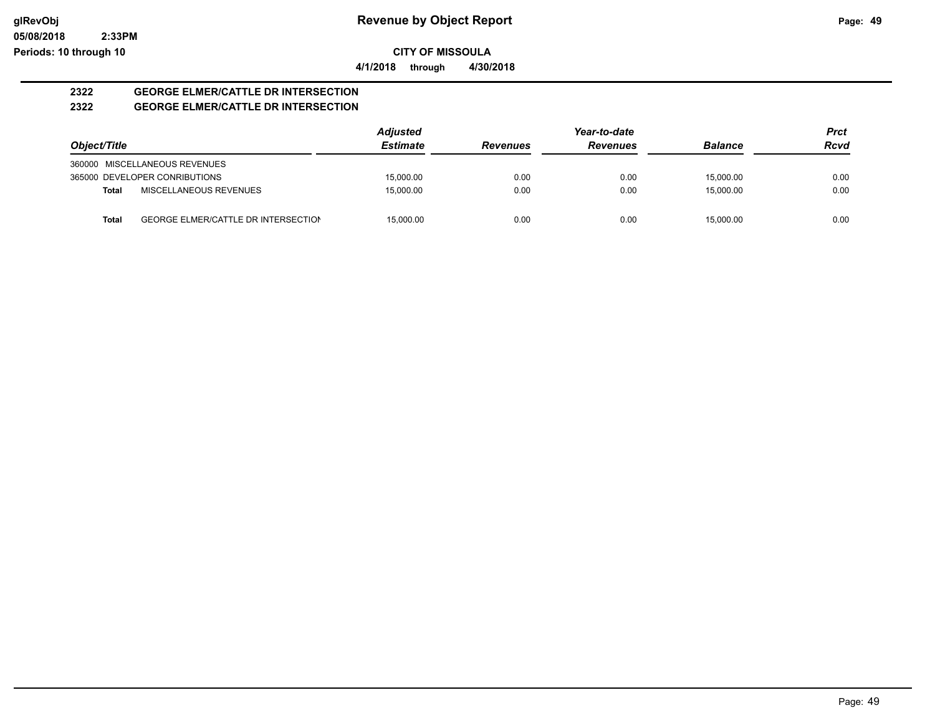**4/1/2018 through 4/30/2018**

## **2322 GEORGE ELMER/CATTLE DR INTERSECTION 2322 GEORGE ELMER/CATTLE DR INTERSECTION**

|              |                                            | <b>Adjusted</b> |                 | Year-to-date    |                | Prct        |
|--------------|--------------------------------------------|-----------------|-----------------|-----------------|----------------|-------------|
| Object/Title |                                            | <b>Estimate</b> | <b>Revenues</b> | <b>Revenues</b> | <b>Balance</b> | <b>Rcvd</b> |
|              | 360000 MISCELLANEOUS REVENUES              |                 |                 |                 |                |             |
|              | 365000 DEVELOPER CONRIBUTIONS              | 15.000.00       | 0.00            | 0.00            | 15,000.00      | 0.00        |
| <b>Total</b> | MISCELLANEOUS REVENUES                     | 15.000.00       | 0.00            | 0.00            | 15,000.00      | 0.00        |
| <b>Total</b> | <b>GEORGE ELMER/CATTLE DR INTERSECTION</b> | 15.000.00       | 0.00            | 0.00            | 15,000.00      | 0.00        |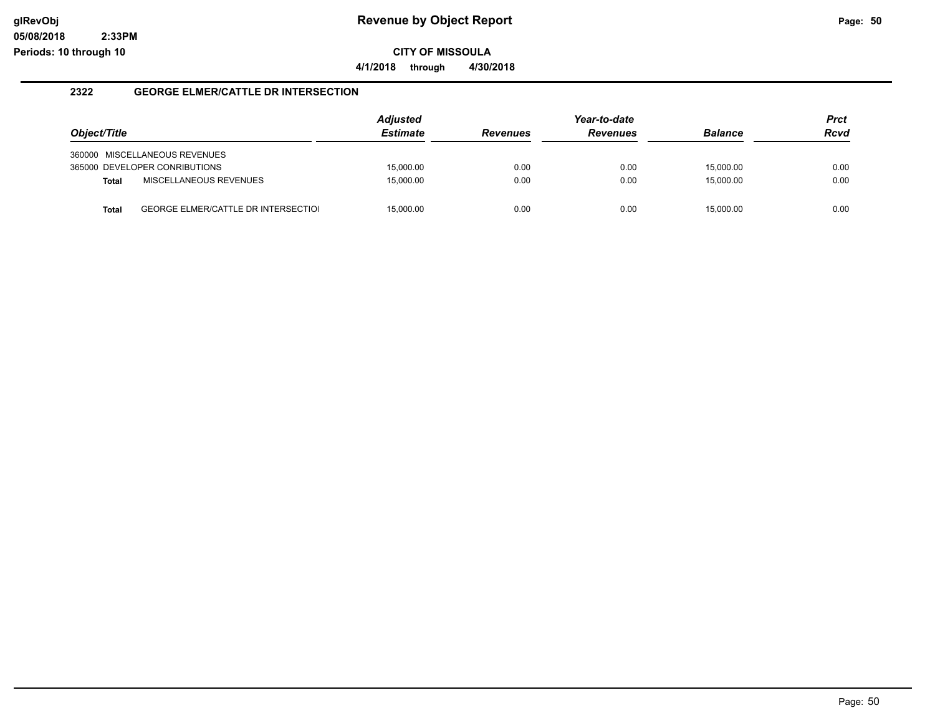**4/1/2018 through 4/30/2018**

## **2322 GEORGE ELMER/CATTLE DR INTERSECTION**

| Object/Title |                                            | <b>Adjusted</b><br><b>Estimate</b> | <b>Revenues</b> | Year-to-date<br><b>Revenues</b> | <b>Balance</b> | <b>Prct</b><br><b>Rcvd</b> |
|--------------|--------------------------------------------|------------------------------------|-----------------|---------------------------------|----------------|----------------------------|
|              | 360000 MISCELLANEOUS REVENUES              |                                    |                 |                                 |                |                            |
|              | 365000 DEVELOPER CONRIBUTIONS              | 15.000.00                          | 0.00            | 0.00                            | 15.000.00      | 0.00                       |
| <b>Total</b> | MISCELLANEOUS REVENUES                     | 15.000.00                          | 0.00            | 0.00                            | 15.000.00      | 0.00                       |
| Total        | <b>GEORGE ELMER/CATTLE DR INTERSECTIOL</b> | 15.000.00                          | 0.00            | 0.00                            | 15.000.00      | 0.00                       |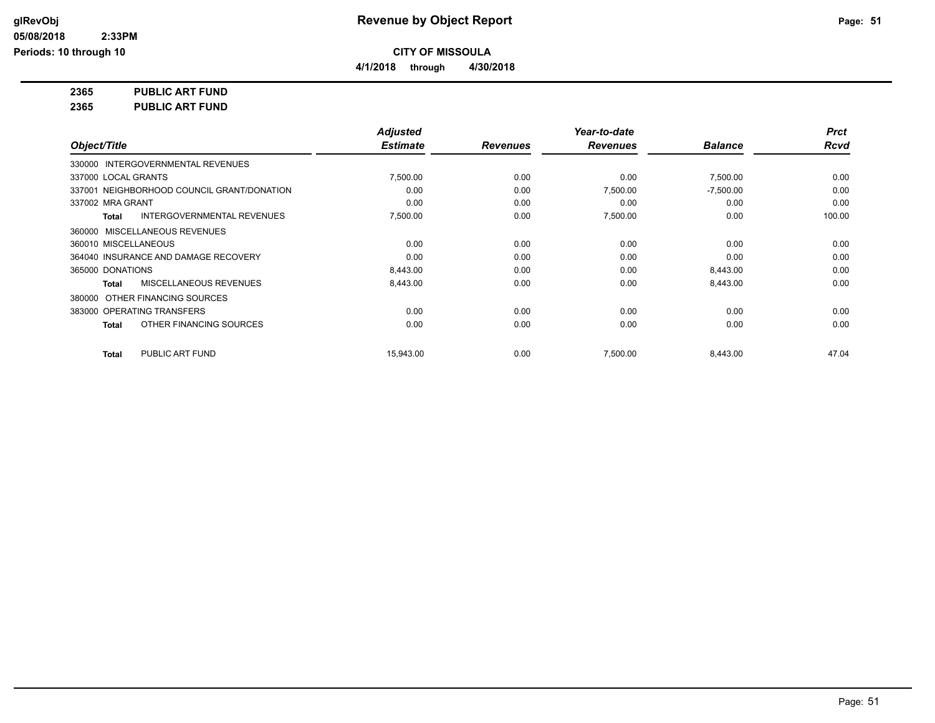**4/1/2018 through 4/30/2018**

**2365 PUBLIC ART FUND**

**2365 PUBLIC ART FUND**

|                                                   | <b>Adjusted</b> |                 | Year-to-date    |                | <b>Prct</b> |
|---------------------------------------------------|-----------------|-----------------|-----------------|----------------|-------------|
| Object/Title                                      | <b>Estimate</b> | <b>Revenues</b> | <b>Revenues</b> | <b>Balance</b> | <b>Rcvd</b> |
| 330000 INTERGOVERNMENTAL REVENUES                 |                 |                 |                 |                |             |
| 337000 LOCAL GRANTS                               | 7,500.00        | 0.00            | 0.00            | 7,500.00       | 0.00        |
| 337001 NEIGHBORHOOD COUNCIL GRANT/DONATION        | 0.00            | 0.00            | 7,500.00        | $-7,500.00$    | 0.00        |
| 337002 MRA GRANT                                  | 0.00            | 0.00            | 0.00            | 0.00           | 0.00        |
| <b>INTERGOVERNMENTAL REVENUES</b><br><b>Total</b> | 7,500.00        | 0.00            | 7,500.00        | 0.00           | 100.00      |
| 360000 MISCELLANEOUS REVENUES                     |                 |                 |                 |                |             |
| 360010 MISCELLANEOUS                              | 0.00            | 0.00            | 0.00            | 0.00           | 0.00        |
| 364040 INSURANCE AND DAMAGE RECOVERY              | 0.00            | 0.00            | 0.00            | 0.00           | 0.00        |
| 365000 DONATIONS                                  | 8,443.00        | 0.00            | 0.00            | 8,443.00       | 0.00        |
| MISCELLANEOUS REVENUES<br><b>Total</b>            | 8,443.00        | 0.00            | 0.00            | 8,443.00       | 0.00        |
| 380000 OTHER FINANCING SOURCES                    |                 |                 |                 |                |             |
| 383000 OPERATING TRANSFERS                        | 0.00            | 0.00            | 0.00            | 0.00           | 0.00        |
| OTHER FINANCING SOURCES<br><b>Total</b>           | 0.00            | 0.00            | 0.00            | 0.00           | 0.00        |
| PUBLIC ART FUND<br><b>Total</b>                   | 15.943.00       | 0.00            | 7,500.00        | 8,443.00       | 47.04       |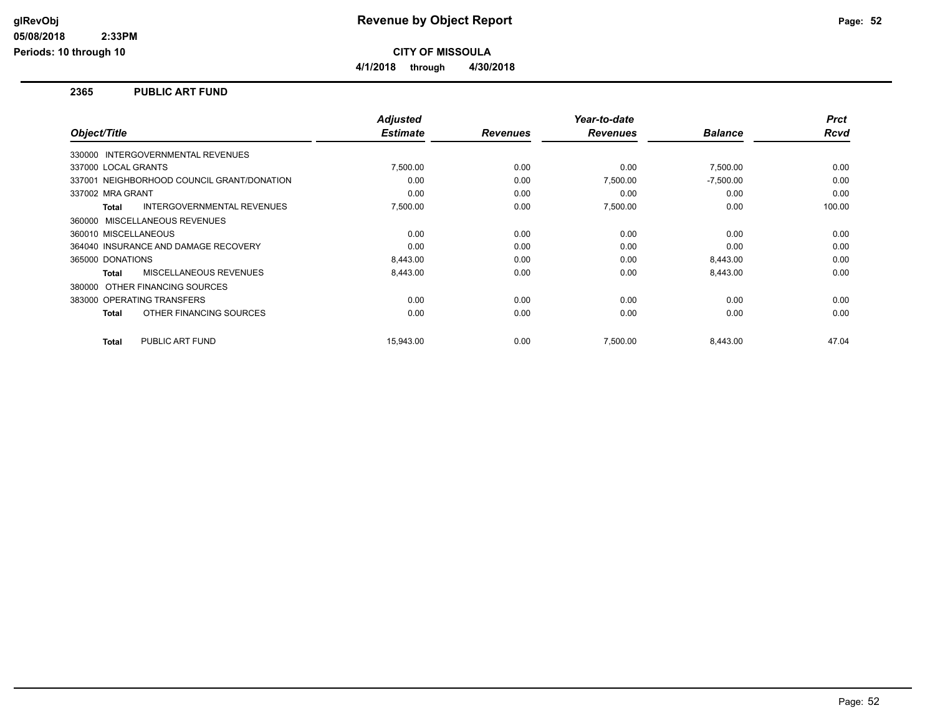**4/1/2018 through 4/30/2018**

### **2365 PUBLIC ART FUND**

|                                            | <b>Adjusted</b> |                 | Year-to-date    |                | <b>Prct</b> |
|--------------------------------------------|-----------------|-----------------|-----------------|----------------|-------------|
| Object/Title                               | <b>Estimate</b> | <b>Revenues</b> | <b>Revenues</b> | <b>Balance</b> | <b>Rcvd</b> |
| 330000 INTERGOVERNMENTAL REVENUES          |                 |                 |                 |                |             |
| 337000 LOCAL GRANTS                        | 7,500.00        | 0.00            | 0.00            | 7,500.00       | 0.00        |
| 337001 NEIGHBORHOOD COUNCIL GRANT/DONATION | 0.00            | 0.00            | 7,500.00        | $-7,500.00$    | 0.00        |
| 337002 MRA GRANT                           | 0.00            | 0.00            | 0.00            | 0.00           | 0.00        |
| INTERGOVERNMENTAL REVENUES<br><b>Total</b> | 7,500.00        | 0.00            | 7,500.00        | 0.00           | 100.00      |
| 360000 MISCELLANEOUS REVENUES              |                 |                 |                 |                |             |
| 360010 MISCELLANEOUS                       | 0.00            | 0.00            | 0.00            | 0.00           | 0.00        |
| 364040 INSURANCE AND DAMAGE RECOVERY       | 0.00            | 0.00            | 0.00            | 0.00           | 0.00        |
| 365000 DONATIONS                           | 8,443.00        | 0.00            | 0.00            | 8,443.00       | 0.00        |
| MISCELLANEOUS REVENUES<br><b>Total</b>     | 8,443.00        | 0.00            | 0.00            | 8,443.00       | 0.00        |
| 380000 OTHER FINANCING SOURCES             |                 |                 |                 |                |             |
| 383000 OPERATING TRANSFERS                 | 0.00            | 0.00            | 0.00            | 0.00           | 0.00        |
| OTHER FINANCING SOURCES<br><b>Total</b>    | 0.00            | 0.00            | 0.00            | 0.00           | 0.00        |
| PUBLIC ART FUND<br><b>Total</b>            | 15.943.00       | 0.00            | 7,500.00        | 8,443.00       | 47.04       |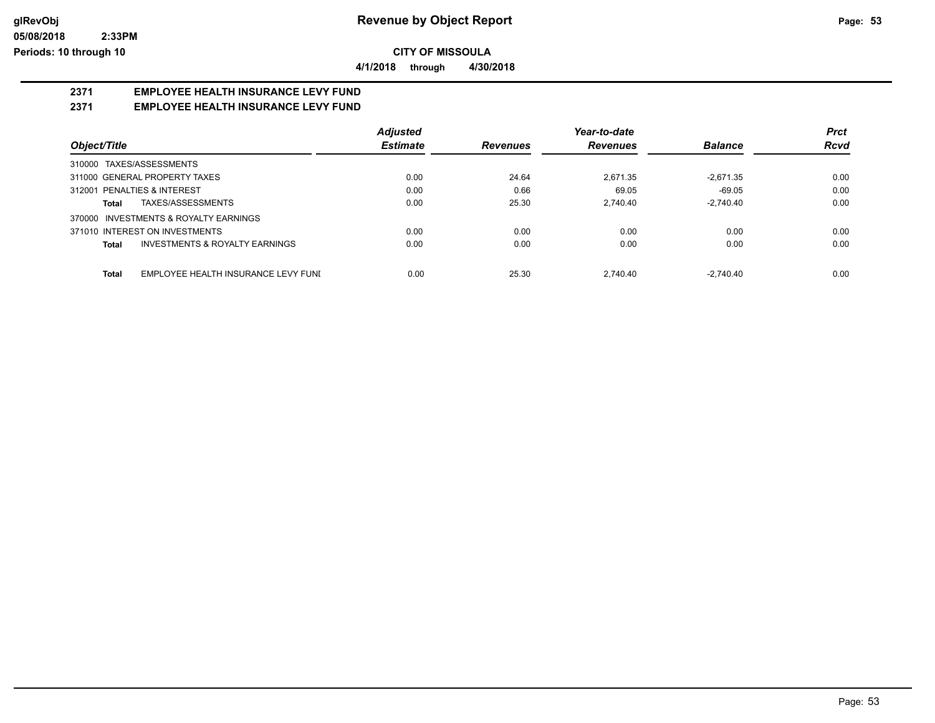**4/1/2018 through 4/30/2018**

## **2371 EMPLOYEE HEALTH INSURANCE LEVY FUND**

## **2371 EMPLOYEE HEALTH INSURANCE LEVY FUND**

|                                                           | Adjusted        |                 | Year-to-date    |                | <b>Prct</b> |
|-----------------------------------------------------------|-----------------|-----------------|-----------------|----------------|-------------|
| Object/Title                                              | <b>Estimate</b> | <b>Revenues</b> | <b>Revenues</b> | <b>Balance</b> | <b>Rcvd</b> |
| 310000 TAXES/ASSESSMENTS                                  |                 |                 |                 |                |             |
| 311000 GENERAL PROPERTY TAXES                             | 0.00            | 24.64           | 2.671.35        | $-2.671.35$    | 0.00        |
| 312001 PENALTIES & INTEREST                               | 0.00            | 0.66            | 69.05           | $-69.05$       | 0.00        |
| TAXES/ASSESSMENTS<br>Total                                | 0.00            | 25.30           | 2.740.40        | $-2.740.40$    | 0.00        |
| 370000 INVESTMENTS & ROYALTY EARNINGS                     |                 |                 |                 |                |             |
| 371010 INTEREST ON INVESTMENTS                            | 0.00            | 0.00            | 0.00            | 0.00           | 0.00        |
| <b>INVESTMENTS &amp; ROYALTY EARNINGS</b><br><b>Total</b> | 0.00            | 0.00            | 0.00            | 0.00           | 0.00        |
| EMPLOYEE HEALTH INSURANCE LEVY FUNI<br><b>Total</b>       | 0.00            | 25.30           | 2.740.40        | $-2.740.40$    | 0.00        |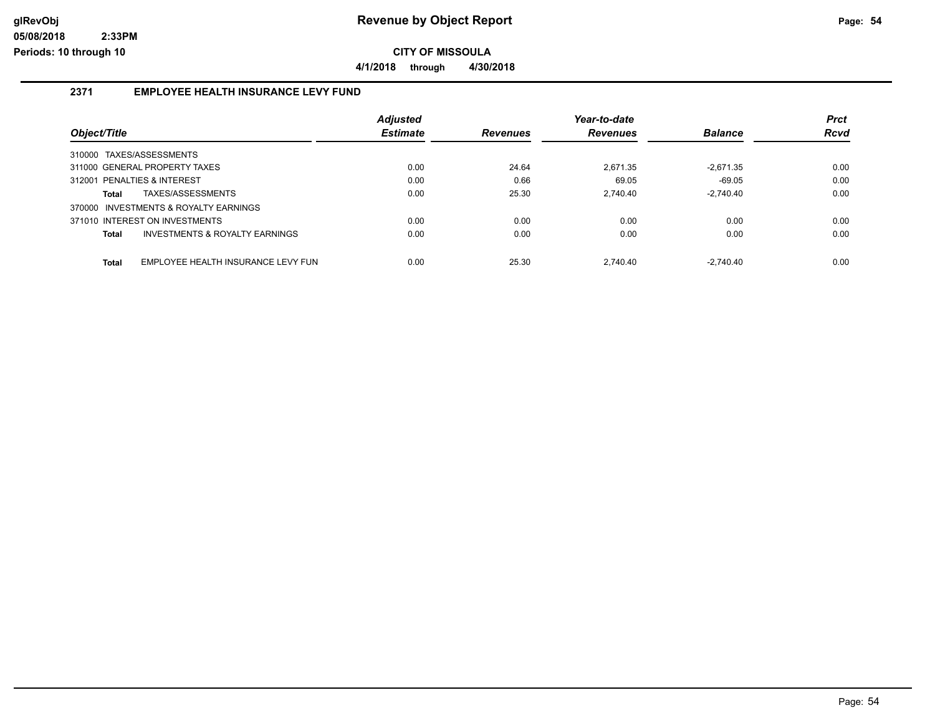**4/1/2018 through 4/30/2018**

## **2371 EMPLOYEE HEALTH INSURANCE LEVY FUND**

|                                                    | <b>Adjusted</b> |                 | Year-to-date    |                | <b>Prct</b> |
|----------------------------------------------------|-----------------|-----------------|-----------------|----------------|-------------|
| Object/Title                                       | <b>Estimate</b> | <b>Revenues</b> | <b>Revenues</b> | <b>Balance</b> | <b>Rcvd</b> |
| 310000 TAXES/ASSESSMENTS                           |                 |                 |                 |                |             |
| 311000 GENERAL PROPERTY TAXES                      | 0.00            | 24.64           | 2.671.35        | $-2.671.35$    | 0.00        |
| 312001 PENALTIES & INTEREST                        | 0.00            | 0.66            | 69.05           | $-69.05$       | 0.00        |
| TAXES/ASSESSMENTS<br><b>Total</b>                  | 0.00            | 25.30           | 2.740.40        | $-2.740.40$    | 0.00        |
| 370000 INVESTMENTS & ROYALTY EARNINGS              |                 |                 |                 |                |             |
| 371010 INTEREST ON INVESTMENTS                     | 0.00            | 0.00            | 0.00            | 0.00           | 0.00        |
| INVESTMENTS & ROYALTY EARNINGS<br><b>Total</b>     | 0.00            | 0.00            | 0.00            | 0.00           | 0.00        |
| <b>Total</b><br>EMPLOYEE HEALTH INSURANCE LEVY FUN | 0.00            | 25.30           | 2.740.40        | $-2.740.40$    | 0.00        |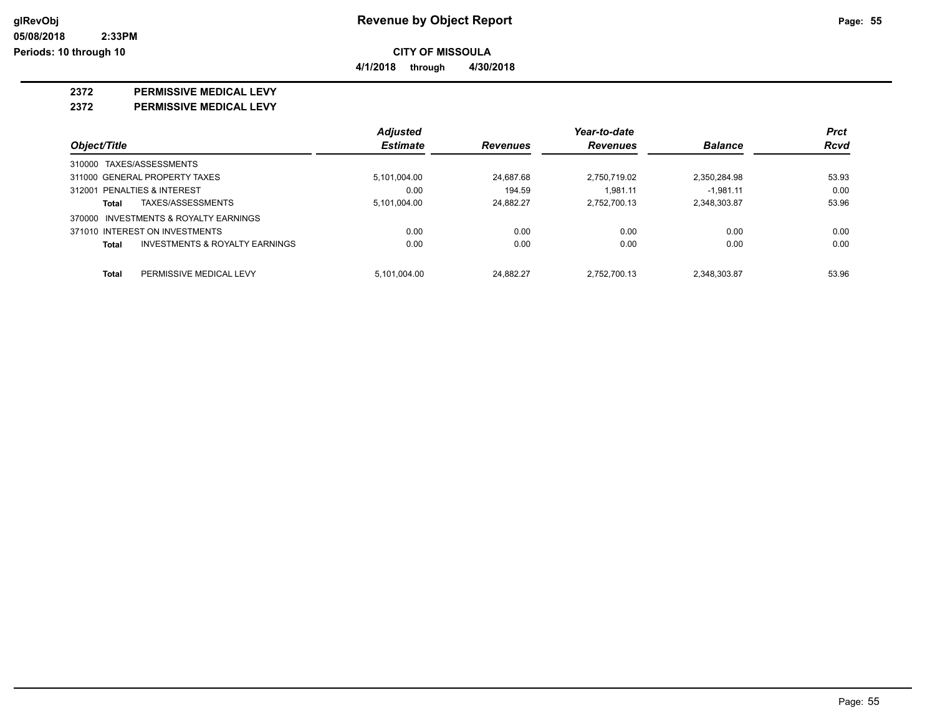**4/1/2018 through 4/30/2018**

**2372 PERMISSIVE MEDICAL LEVY**

**2372 PERMISSIVE MEDICAL LEVY**

|                                                    | <b>Adjusted</b> |                 | Year-to-date    |                | <b>Prct</b> |
|----------------------------------------------------|-----------------|-----------------|-----------------|----------------|-------------|
| Object/Title                                       | <b>Estimate</b> | <b>Revenues</b> | <b>Revenues</b> | <b>Balance</b> | Rcvd        |
| 310000 TAXES/ASSESSMENTS                           |                 |                 |                 |                |             |
| 311000 GENERAL PROPERTY TAXES                      | 5,101,004.00    | 24.687.68       | 2,750,719.02    | 2,350,284.98   | 53.93       |
| 312001 PENALTIES & INTEREST                        | 0.00            | 194.59          | 1.981.11        | $-1.981.11$    | 0.00        |
| TAXES/ASSESSMENTS<br>Total                         | 5.101.004.00    | 24.882.27       | 2.752.700.13    | 2.348.303.87   | 53.96       |
| 370000 INVESTMENTS & ROYALTY EARNINGS              |                 |                 |                 |                |             |
| 371010 INTEREST ON INVESTMENTS                     | 0.00            | 0.00            | 0.00            | 0.00           | 0.00        |
| <b>INVESTMENTS &amp; ROYALTY EARNINGS</b><br>Total | 0.00            | 0.00            | 0.00            | 0.00           | 0.00        |
| Total<br>PERMISSIVE MEDICAL LEVY                   | 5.101.004.00    | 24.882.27       | 2.752.700.13    | 2.348.303.87   | 53.96       |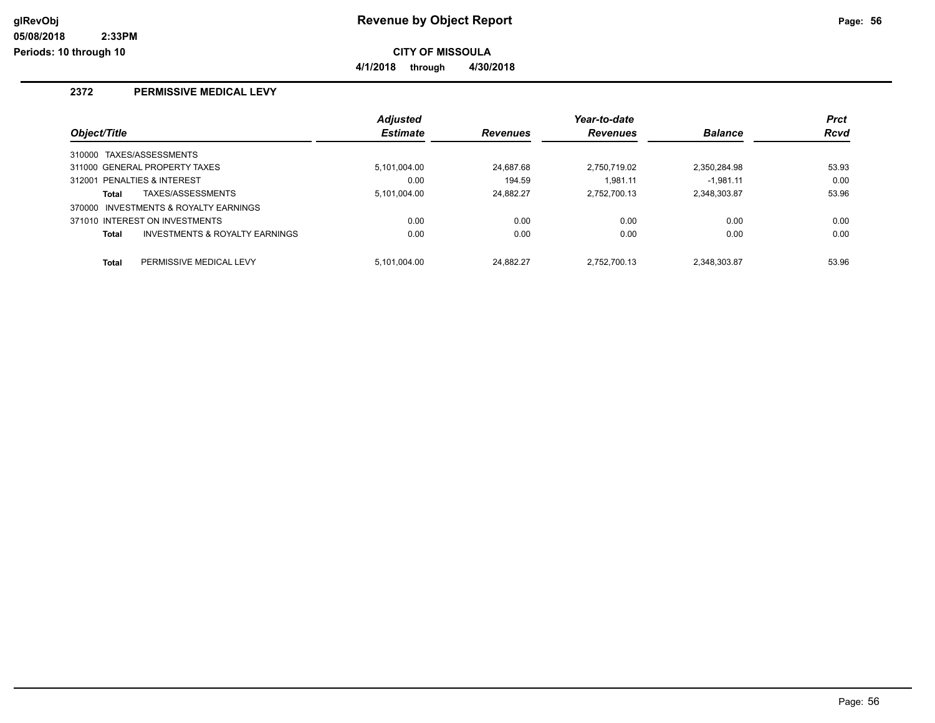**4/1/2018 through 4/30/2018**

## **2372 PERMISSIVE MEDICAL LEVY**

|              |                                           | Adjusted        |                 | Year-to-date    |                | <b>Prct</b> |
|--------------|-------------------------------------------|-----------------|-----------------|-----------------|----------------|-------------|
| Object/Title |                                           | <b>Estimate</b> | <b>Revenues</b> | <b>Revenues</b> | <b>Balance</b> | <b>Rcvd</b> |
|              | 310000 TAXES/ASSESSMENTS                  |                 |                 |                 |                |             |
|              | 311000 GENERAL PROPERTY TAXES             | 5.101.004.00    | 24.687.68       | 2.750.719.02    | 2.350.284.98   | 53.93       |
|              | 312001 PENALTIES & INTEREST               | 0.00            | 194.59          | 1.981.11        | $-1.981.11$    | 0.00        |
| <b>Total</b> | TAXES/ASSESSMENTS                         | 5,101,004.00    | 24.882.27       | 2.752.700.13    | 2,348,303.87   | 53.96       |
|              | 370000 INVESTMENTS & ROYALTY EARNINGS     |                 |                 |                 |                |             |
|              | 371010 INTEREST ON INVESTMENTS            | 0.00            | 0.00            | 0.00            | 0.00           | 0.00        |
| Total        | <b>INVESTMENTS &amp; ROYALTY EARNINGS</b> | 0.00            | 0.00            | 0.00            | 0.00           | 0.00        |
| <b>Total</b> | PERMISSIVE MEDICAL LEVY                   | 5.101.004.00    | 24.882.27       | 2.752.700.13    | 2.348.303.87   | 53.96       |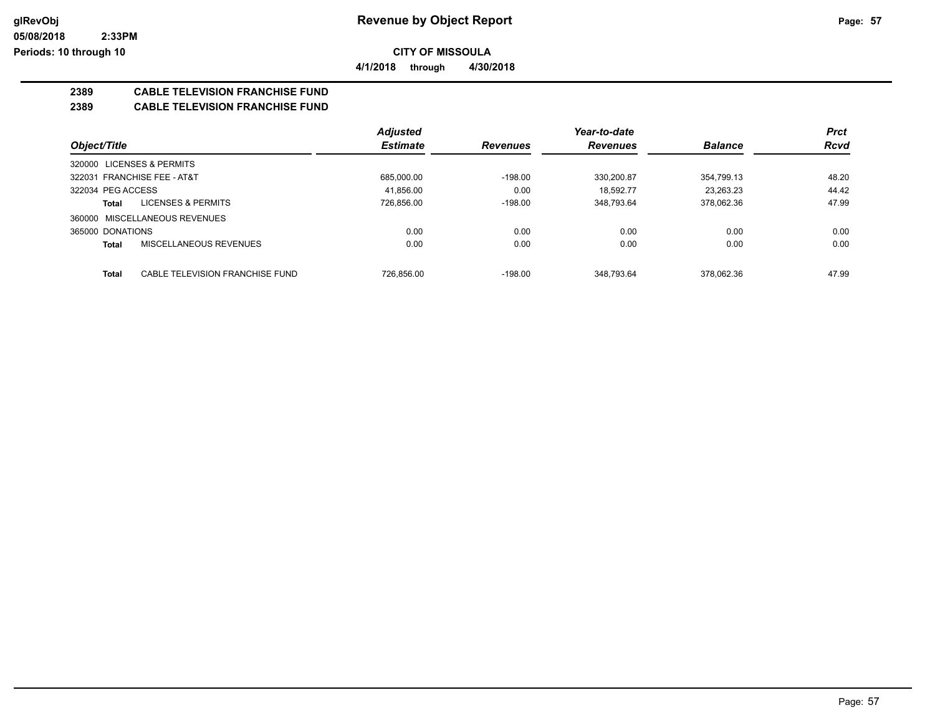**4/1/2018 through 4/30/2018**

# **2389 CABLE TELEVISION FRANCHISE FUND**

## **2389 CABLE TELEVISION FRANCHISE FUND**

|                               |                                 | <b>Adjusted</b> |                 | Year-to-date    |                | <b>Prct</b> |
|-------------------------------|---------------------------------|-----------------|-----------------|-----------------|----------------|-------------|
| Object/Title                  |                                 | <b>Estimate</b> | <b>Revenues</b> | <b>Revenues</b> | <b>Balance</b> | <b>Rcvd</b> |
| 320000 LICENSES & PERMITS     |                                 |                 |                 |                 |                |             |
| 322031 FRANCHISE FEE - AT&T   |                                 | 685.000.00      | $-198.00$       | 330,200.87      | 354.799.13     | 48.20       |
| 322034 PEG ACCESS             |                                 | 41,856.00       | 0.00            | 18.592.77       | 23.263.23      | 44.42       |
| Total                         | <b>LICENSES &amp; PERMITS</b>   | 726.856.00      | $-198.00$       | 348.793.64      | 378.062.36     | 47.99       |
| 360000 MISCELLANEOUS REVENUES |                                 |                 |                 |                 |                |             |
| 365000 DONATIONS              |                                 | 0.00            | 0.00            | 0.00            | 0.00           | 0.00        |
| Total                         | MISCELLANEOUS REVENUES          | 0.00            | 0.00            | 0.00            | 0.00           | 0.00        |
| <b>Total</b>                  | CABLE TELEVISION FRANCHISE FUND | 726.856.00      | $-198.00$       | 348.793.64      | 378.062.36     | 47.99       |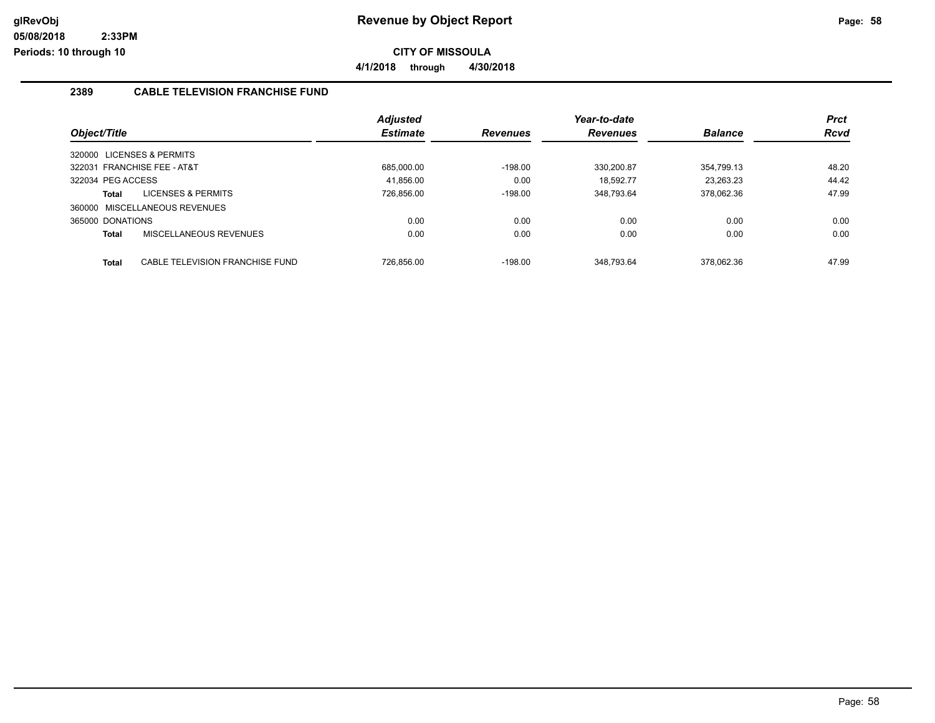**4/1/2018 through 4/30/2018**

## **2389 CABLE TELEVISION FRANCHISE FUND**

|                   |                                 | <b>Adjusted</b> |                 | Year-to-date    |                | <b>Prct</b> |
|-------------------|---------------------------------|-----------------|-----------------|-----------------|----------------|-------------|
| Object/Title      |                                 | <b>Estimate</b> | <b>Revenues</b> | <b>Revenues</b> | <b>Balance</b> | <b>Rcvd</b> |
|                   | 320000 LICENSES & PERMITS       |                 |                 |                 |                |             |
|                   | 322031 FRANCHISE FEE - AT&T     | 685,000.00      | $-198.00$       | 330,200.87      | 354.799.13     | 48.20       |
| 322034 PEG ACCESS |                                 | 41.856.00       | 0.00            | 18.592.77       | 23.263.23      | 44.42       |
| Total             | LICENSES & PERMITS              | 726.856.00      | $-198.00$       | 348,793.64      | 378,062.36     | 47.99       |
|                   | 360000 MISCELLANEOUS REVENUES   |                 |                 |                 |                |             |
| 365000 DONATIONS  |                                 | 0.00            | 0.00            | 0.00            | 0.00           | 0.00        |
| Total             | MISCELLANEOUS REVENUES          | 0.00            | 0.00            | 0.00            | 0.00           | 0.00        |
|                   |                                 |                 |                 |                 |                |             |
| Total             | CABLE TELEVISION FRANCHISE FUND | 726.856.00      | $-198.00$       | 348.793.64      | 378.062.36     | 47.99       |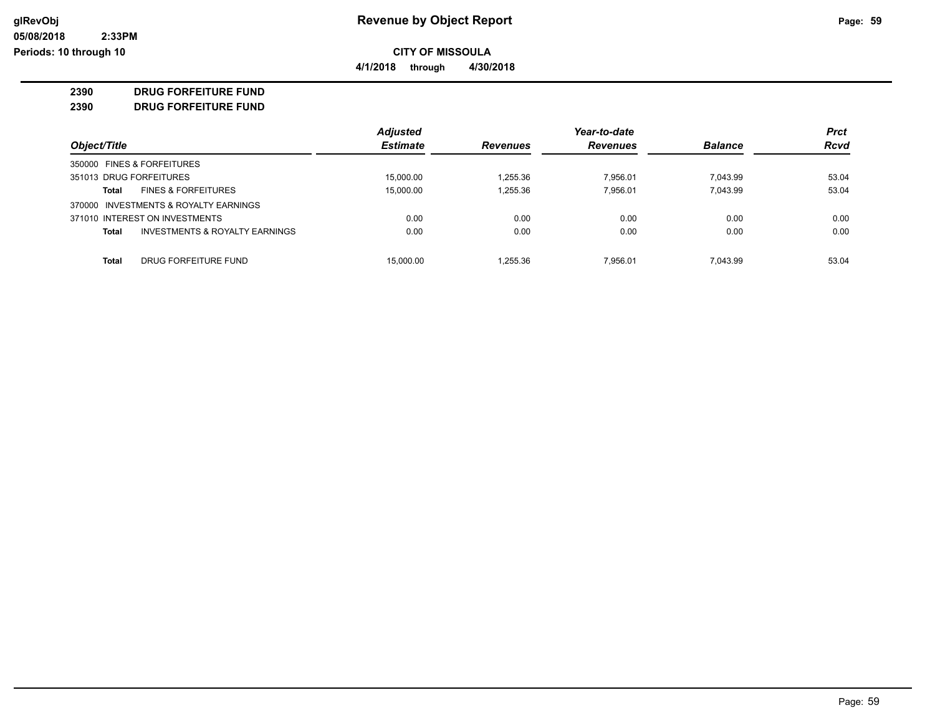**4/1/2018 through 4/30/2018**

**2390 DRUG FORFEITURE FUND**

**2390 DRUG FORFEITURE FUND**

|                                |                                           | <b>Adjusted</b> |                 | Year-to-date    |                | <b>Prct</b> |
|--------------------------------|-------------------------------------------|-----------------|-----------------|-----------------|----------------|-------------|
| Object/Title                   |                                           | <b>Estimate</b> | <b>Revenues</b> | <b>Revenues</b> | <b>Balance</b> | <b>Rcvd</b> |
| 350000 FINES & FORFEITURES     |                                           |                 |                 |                 |                |             |
| 351013 DRUG FORFEITURES        |                                           | 15.000.00       | 1.255.36        | 7.956.01        | 7.043.99       | 53.04       |
| <b>Total</b>                   | <b>FINES &amp; FORFEITURES</b>            | 15,000.00       | 1,255.36        | 7,956.01        | 7,043.99       | 53.04       |
|                                | 370000 INVESTMENTS & ROYALTY EARNINGS     |                 |                 |                 |                |             |
| 371010 INTEREST ON INVESTMENTS |                                           | 0.00            | 0.00            | 0.00            | 0.00           | 0.00        |
| <b>Total</b>                   | <b>INVESTMENTS &amp; ROYALTY EARNINGS</b> | 0.00            | 0.00            | 0.00            | 0.00           | 0.00        |
| <b>Total</b>                   | DRUG FORFEITURE FUND                      | 15.000.00       | 1.255.36        | 7.956.01        | 7.043.99       | 53.04       |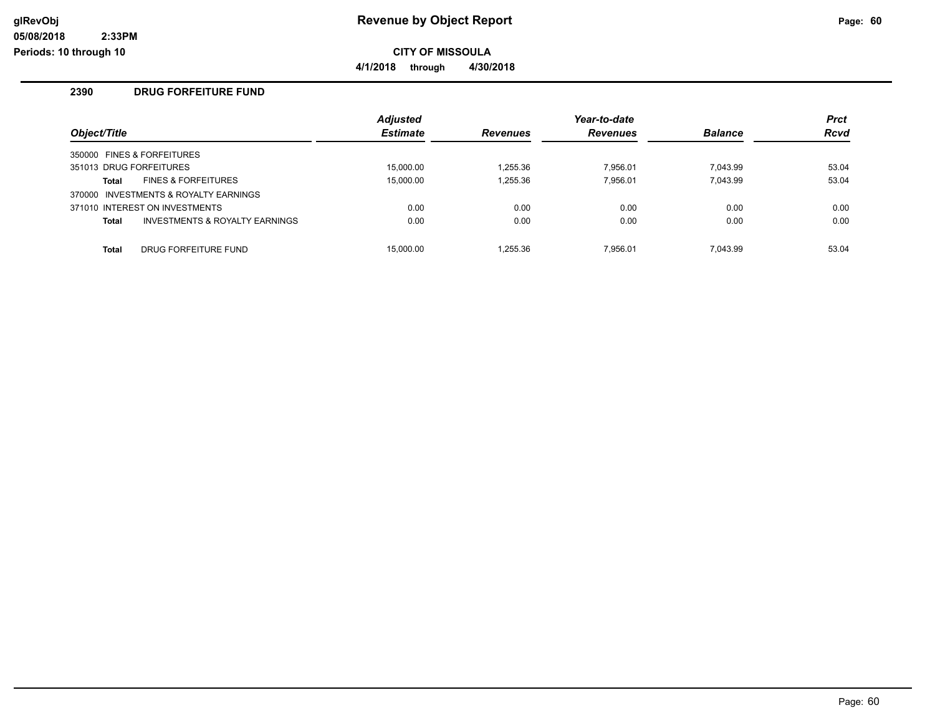**4/1/2018 through 4/30/2018**

## **2390 DRUG FORFEITURE FUND**

|              |                                           | <b>Adjusted</b> |                 | Year-to-date    |                | <b>Prct</b> |
|--------------|-------------------------------------------|-----------------|-----------------|-----------------|----------------|-------------|
| Object/Title |                                           | <b>Estimate</b> | <b>Revenues</b> | <b>Revenues</b> | <b>Balance</b> | <b>Rcvd</b> |
|              | 350000 FINES & FORFEITURES                |                 |                 |                 |                |             |
|              | 351013 DRUG FORFEITURES                   | 15.000.00       | 1.255.36        | 7.956.01        | 7.043.99       | 53.04       |
| Total        | <b>FINES &amp; FORFEITURES</b>            | 15,000.00       | 1,255.36        | 7.956.01        | 7.043.99       | 53.04       |
| 370000       | INVESTMENTS & ROYALTY EARNINGS            |                 |                 |                 |                |             |
|              | 371010 INTEREST ON INVESTMENTS            | 0.00            | 0.00            | 0.00            | 0.00           | 0.00        |
| <b>Total</b> | <b>INVESTMENTS &amp; ROYALTY EARNINGS</b> | 0.00            | 0.00            | 0.00            | 0.00           | 0.00        |
| Total        | DRUG FORFEITURE FUND                      | 15.000.00       | 1.255.36        | 7.956.01        | 7.043.99       | 53.04       |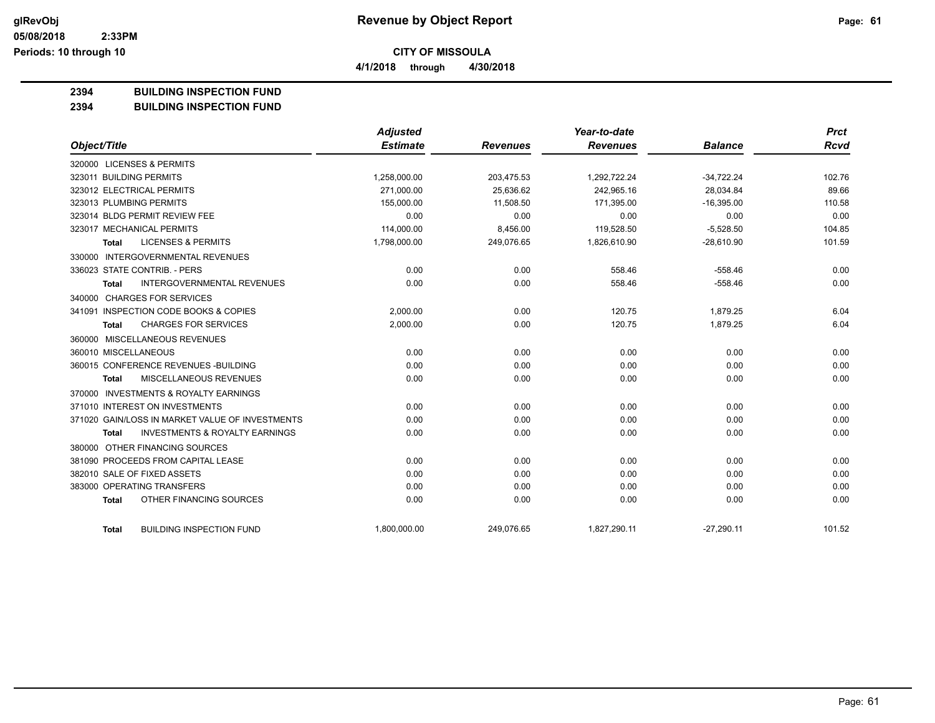**4/1/2018 through 4/30/2018**

## **2394 BUILDING INSPECTION FUND**

### **2394 BUILDING INSPECTION FUND**

|                                                     | <b>Adjusted</b> |                 | Year-to-date    |                | <b>Prct</b> |
|-----------------------------------------------------|-----------------|-----------------|-----------------|----------------|-------------|
| Object/Title                                        | <b>Estimate</b> | <b>Revenues</b> | <b>Revenues</b> | <b>Balance</b> | Rcvd        |
| 320000 LICENSES & PERMITS                           |                 |                 |                 |                |             |
| 323011 BUILDING PERMITS                             | 1,258,000.00    | 203,475.53      | 1,292,722.24    | $-34,722.24$   | 102.76      |
| 323012 ELECTRICAL PERMITS                           | 271,000.00      | 25,636.62       | 242,965.16      | 28,034.84      | 89.66       |
| 323013 PLUMBING PERMITS                             | 155,000.00      | 11,508.50       | 171,395.00      | $-16,395.00$   | 110.58      |
| 323014 BLDG PERMIT REVIEW FEE                       | 0.00            | 0.00            | 0.00            | 0.00           | 0.00        |
| 323017 MECHANICAL PERMITS                           | 114,000.00      | 8,456.00        | 119,528.50      | $-5,528.50$    | 104.85      |
| <b>LICENSES &amp; PERMITS</b><br><b>Total</b>       | 1,798,000.00    | 249,076.65      | 1,826,610.90    | $-28,610.90$   | 101.59      |
| <b>INTERGOVERNMENTAL REVENUES</b><br>330000         |                 |                 |                 |                |             |
| 336023 STATE CONTRIB. - PERS                        | 0.00            | 0.00            | 558.46          | $-558.46$      | 0.00        |
| <b>INTERGOVERNMENTAL REVENUES</b><br><b>Total</b>   | 0.00            | 0.00            | 558.46          | $-558.46$      | 0.00        |
| 340000 CHARGES FOR SERVICES                         |                 |                 |                 |                |             |
| 341091 INSPECTION CODE BOOKS & COPIES               | 2,000.00        | 0.00            | 120.75          | 1.879.25       | 6.04        |
| <b>CHARGES FOR SERVICES</b><br>Total                | 2,000.00        | 0.00            | 120.75          | 1,879.25       | 6.04        |
| 360000 MISCELLANEOUS REVENUES                       |                 |                 |                 |                |             |
| 360010 MISCELLANEOUS                                | 0.00            | 0.00            | 0.00            | 0.00           | 0.00        |
| 360015 CONFERENCE REVENUES - BUILDING               | 0.00            | 0.00            | 0.00            | 0.00           | 0.00        |
| MISCELLANEOUS REVENUES<br>Total                     | 0.00            | 0.00            | 0.00            | 0.00           | 0.00        |
| <b>INVESTMENTS &amp; ROYALTY EARNINGS</b><br>370000 |                 |                 |                 |                |             |
| 371010 INTEREST ON INVESTMENTS                      | 0.00            | 0.00            | 0.00            | 0.00           | 0.00        |
| 371020 GAIN/LOSS IN MARKET VALUE OF INVESTMENTS     | 0.00            | 0.00            | 0.00            | 0.00           | 0.00        |
| <b>INVESTMENTS &amp; ROYALTY EARNINGS</b><br>Total  | 0.00            | 0.00            | 0.00            | 0.00           | 0.00        |
| 380000 OTHER FINANCING SOURCES                      |                 |                 |                 |                |             |
| 381090 PROCEEDS FROM CAPITAL LEASE                  | 0.00            | 0.00            | 0.00            | 0.00           | 0.00        |
| 382010 SALE OF FIXED ASSETS                         | 0.00            | 0.00            | 0.00            | 0.00           | 0.00        |
| 383000 OPERATING TRANSFERS                          | 0.00            | 0.00            | 0.00            | 0.00           | 0.00        |
| OTHER FINANCING SOURCES<br><b>Total</b>             | 0.00            | 0.00            | 0.00            | 0.00           | 0.00        |
| <b>BUILDING INSPECTION FUND</b><br><b>Total</b>     | 1,800,000.00    | 249,076.65      | 1,827,290.11    | $-27,290.11$   | 101.52      |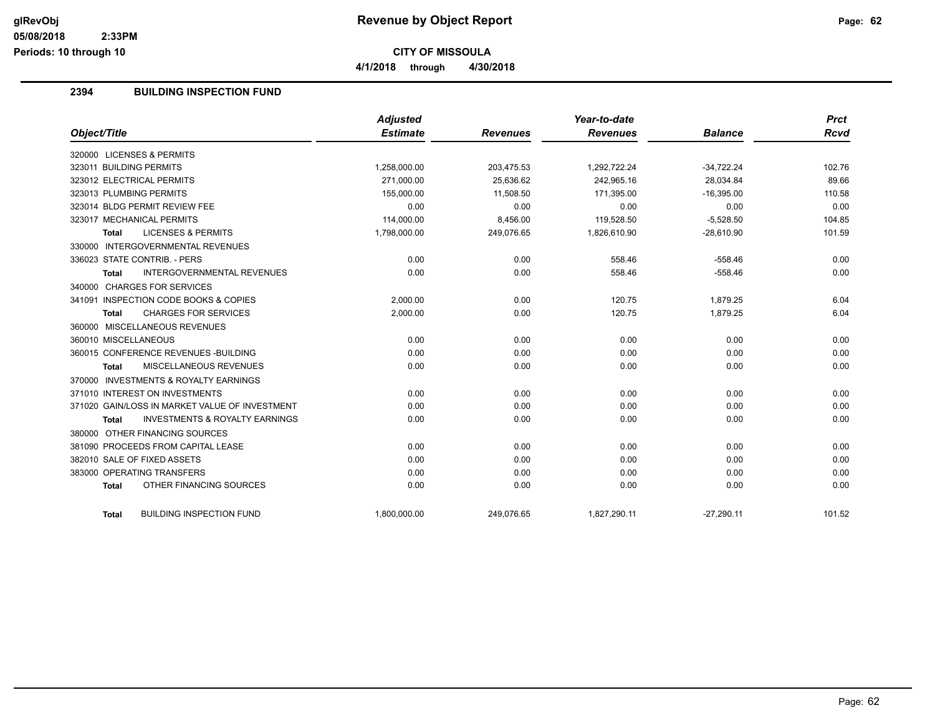**4/1/2018 through 4/30/2018**

## **2394 BUILDING INSPECTION FUND**

|                                                           | <b>Adjusted</b> |                 | Year-to-date    |                | <b>Prct</b> |
|-----------------------------------------------------------|-----------------|-----------------|-----------------|----------------|-------------|
| Object/Title                                              | <b>Estimate</b> | <b>Revenues</b> | <b>Revenues</b> | <b>Balance</b> | <b>Rcvd</b> |
| 320000 LICENSES & PERMITS                                 |                 |                 |                 |                |             |
| 323011 BUILDING PERMITS                                   | 1,258,000.00    | 203,475.53      | 1,292,722.24    | $-34,722.24$   | 102.76      |
| 323012 ELECTRICAL PERMITS                                 | 271.000.00      | 25.636.62       | 242.965.16      | 28,034.84      | 89.66       |
| 323013 PLUMBING PERMITS                                   | 155,000.00      | 11,508.50       | 171,395.00      | $-16,395.00$   | 110.58      |
| 323014 BLDG PERMIT REVIEW FEE                             | 0.00            | 0.00            | 0.00            | 0.00           | 0.00        |
| 323017 MECHANICAL PERMITS                                 | 114,000.00      | 8,456.00        | 119,528.50      | $-5,528.50$    | 104.85      |
| <b>LICENSES &amp; PERMITS</b><br><b>Total</b>             | 1,798,000.00    | 249,076.65      | 1,826,610.90    | $-28,610.90$   | 101.59      |
| 330000 INTERGOVERNMENTAL REVENUES                         |                 |                 |                 |                |             |
| 336023 STATE CONTRIB. - PERS                              | 0.00            | 0.00            | 558.46          | $-558.46$      | 0.00        |
| <b>INTERGOVERNMENTAL REVENUES</b><br><b>Total</b>         | 0.00            | 0.00            | 558.46          | $-558.46$      | 0.00        |
| 340000 CHARGES FOR SERVICES                               |                 |                 |                 |                |             |
| 341091 INSPECTION CODE BOOKS & COPIES                     | 2,000.00        | 0.00            | 120.75          | 1,879.25       | 6.04        |
| <b>CHARGES FOR SERVICES</b><br><b>Total</b>               | 2,000.00        | 0.00            | 120.75          | 1,879.25       | 6.04        |
| 360000 MISCELLANEOUS REVENUES                             |                 |                 |                 |                |             |
| 360010 MISCELLANEOUS                                      | 0.00            | 0.00            | 0.00            | 0.00           | 0.00        |
| 360015 CONFERENCE REVENUES - BUILDING                     | 0.00            | 0.00            | 0.00            | 0.00           | 0.00        |
| MISCELLANEOUS REVENUES<br><b>Total</b>                    | 0.00            | 0.00            | 0.00            | 0.00           | 0.00        |
| 370000 INVESTMENTS & ROYALTY EARNINGS                     |                 |                 |                 |                |             |
| 371010 INTEREST ON INVESTMENTS                            | 0.00            | 0.00            | 0.00            | 0.00           | 0.00        |
| 371020 GAIN/LOSS IN MARKET VALUE OF INVESTMENT            | 0.00            | 0.00            | 0.00            | 0.00           | 0.00        |
| <b>INVESTMENTS &amp; ROYALTY EARNINGS</b><br><b>Total</b> | 0.00            | 0.00            | 0.00            | 0.00           | 0.00        |
| 380000 OTHER FINANCING SOURCES                            |                 |                 |                 |                |             |
| 381090 PROCEEDS FROM CAPITAL LEASE                        | 0.00            | 0.00            | 0.00            | 0.00           | 0.00        |
| 382010 SALE OF FIXED ASSETS                               | 0.00            | 0.00            | 0.00            | 0.00           | 0.00        |
| 383000 OPERATING TRANSFERS                                | 0.00            | 0.00            | 0.00            | 0.00           | 0.00        |
| OTHER FINANCING SOURCES<br><b>Total</b>                   | 0.00            | 0.00            | 0.00            | 0.00           | 0.00        |
| <b>BUILDING INSPECTION FUND</b><br>Total                  | 1.800.000.00    | 249.076.65      | 1,827,290.11    | $-27,290.11$   | 101.52      |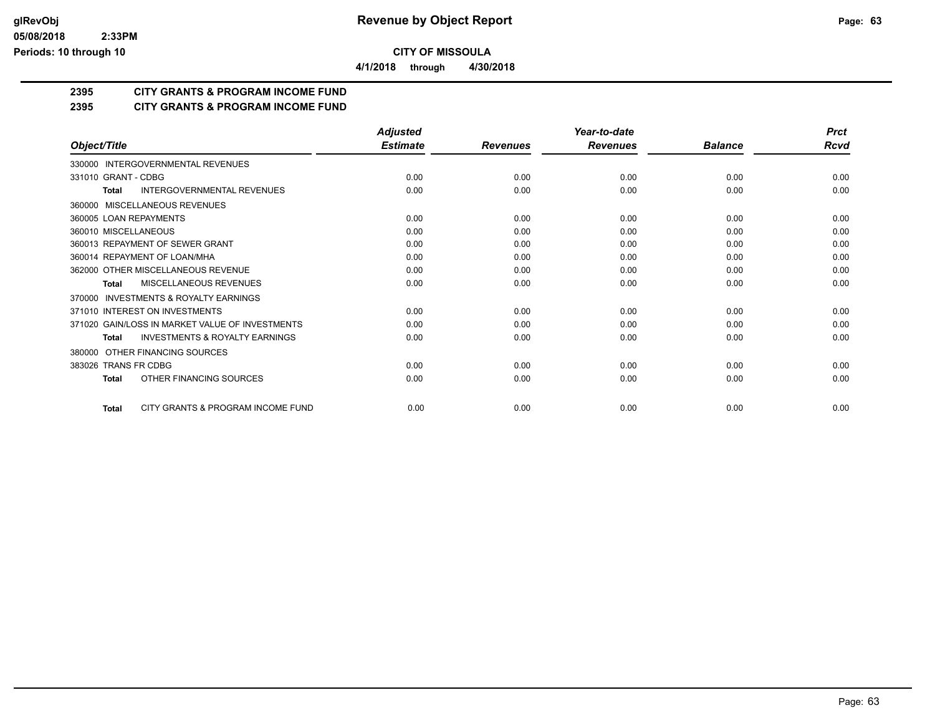**4/1/2018 through 4/30/2018**

## **2395 CITY GRANTS & PROGRAM INCOME FUND**

## **2395 CITY GRANTS & PROGRAM INCOME FUND**

|                                                     | <b>Adjusted</b> |                 | Year-to-date    |                | <b>Prct</b> |
|-----------------------------------------------------|-----------------|-----------------|-----------------|----------------|-------------|
| Object/Title                                        | <b>Estimate</b> | <b>Revenues</b> | <b>Revenues</b> | <b>Balance</b> | Rcvd        |
| 330000 INTERGOVERNMENTAL REVENUES                   |                 |                 |                 |                |             |
| 331010 GRANT - CDBG                                 | 0.00            | 0.00            | 0.00            | 0.00           | 0.00        |
| <b>INTERGOVERNMENTAL REVENUES</b><br><b>Total</b>   | 0.00            | 0.00            | 0.00            | 0.00           | 0.00        |
| 360000 MISCELLANEOUS REVENUES                       |                 |                 |                 |                |             |
| 360005 LOAN REPAYMENTS                              | 0.00            | 0.00            | 0.00            | 0.00           | 0.00        |
| 360010 MISCELLANEOUS                                | 0.00            | 0.00            | 0.00            | 0.00           | 0.00        |
| 360013 REPAYMENT OF SEWER GRANT                     | 0.00            | 0.00            | 0.00            | 0.00           | 0.00        |
| 360014 REPAYMENT OF LOAN/MHA                        | 0.00            | 0.00            | 0.00            | 0.00           | 0.00        |
| 362000 OTHER MISCELLANEOUS REVENUE                  | 0.00            | 0.00            | 0.00            | 0.00           | 0.00        |
| MISCELLANEOUS REVENUES<br>Total                     | 0.00            | 0.00            | 0.00            | 0.00           | 0.00        |
| <b>INVESTMENTS &amp; ROYALTY EARNINGS</b><br>370000 |                 |                 |                 |                |             |
| 371010 INTEREST ON INVESTMENTS                      | 0.00            | 0.00            | 0.00            | 0.00           | 0.00        |
| 371020 GAIN/LOSS IN MARKET VALUE OF INVESTMENTS     | 0.00            | 0.00            | 0.00            | 0.00           | 0.00        |
| <b>INVESTMENTS &amp; ROYALTY EARNINGS</b><br>Total  | 0.00            | 0.00            | 0.00            | 0.00           | 0.00        |
| 380000 OTHER FINANCING SOURCES                      |                 |                 |                 |                |             |
| 383026 TRANS FR CDBG                                | 0.00            | 0.00            | 0.00            | 0.00           | 0.00        |
| OTHER FINANCING SOURCES<br><b>Total</b>             | 0.00            | 0.00            | 0.00            | 0.00           | 0.00        |
| CITY GRANTS & PROGRAM INCOME FUND<br><b>Total</b>   | 0.00            | 0.00            | 0.00            | 0.00           | 0.00        |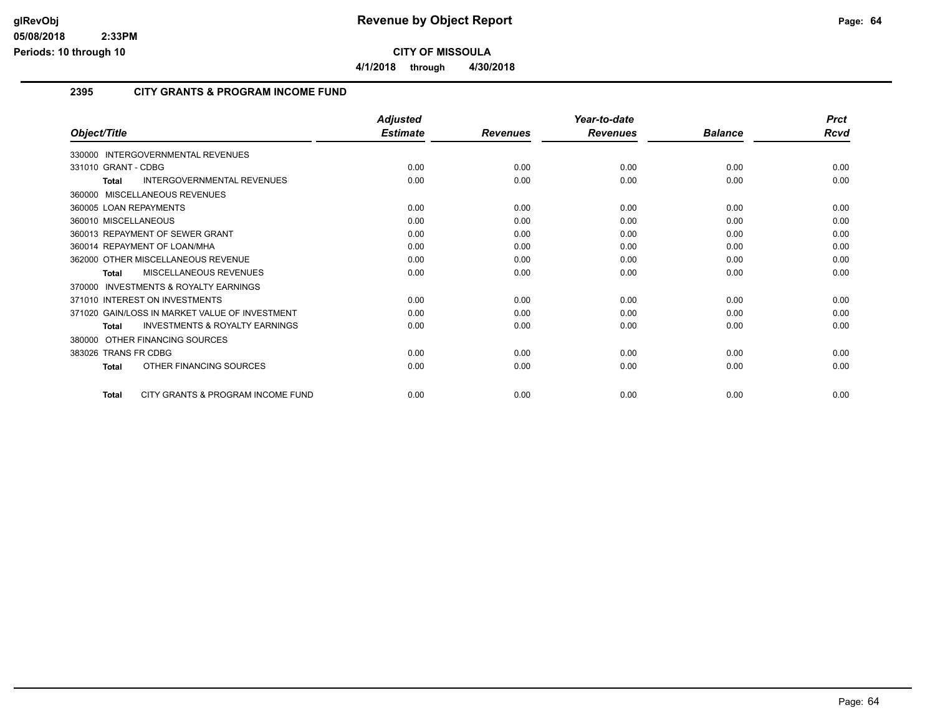**4/1/2018 through 4/30/2018**

## **2395 CITY GRANTS & PROGRAM INCOME FUND**

|                                                           | <b>Adjusted</b> |                 | Year-to-date    |                | <b>Prct</b> |
|-----------------------------------------------------------|-----------------|-----------------|-----------------|----------------|-------------|
| Object/Title                                              | <b>Estimate</b> | <b>Revenues</b> | <b>Revenues</b> | <b>Balance</b> | Rcvd        |
| 330000 INTERGOVERNMENTAL REVENUES                         |                 |                 |                 |                |             |
| 331010 GRANT - CDBG                                       | 0.00            | 0.00            | 0.00            | 0.00           | 0.00        |
| <b>INTERGOVERNMENTAL REVENUES</b><br><b>Total</b>         | 0.00            | 0.00            | 0.00            | 0.00           | 0.00        |
| 360000 MISCELLANEOUS REVENUES                             |                 |                 |                 |                |             |
| 360005 LOAN REPAYMENTS                                    | 0.00            | 0.00            | 0.00            | 0.00           | 0.00        |
| 360010 MISCELLANEOUS                                      | 0.00            | 0.00            | 0.00            | 0.00           | 0.00        |
| 360013 REPAYMENT OF SEWER GRANT                           | 0.00            | 0.00            | 0.00            | 0.00           | 0.00        |
| 360014 REPAYMENT OF LOAN/MHA                              | 0.00            | 0.00            | 0.00            | 0.00           | 0.00        |
| 362000 OTHER MISCELLANEOUS REVENUE                        | 0.00            | 0.00            | 0.00            | 0.00           | 0.00        |
| <b>MISCELLANEOUS REVENUES</b><br><b>Total</b>             | 0.00            | 0.00            | 0.00            | 0.00           | 0.00        |
| INVESTMENTS & ROYALTY EARNINGS<br>370000                  |                 |                 |                 |                |             |
| 371010 INTEREST ON INVESTMENTS                            | 0.00            | 0.00            | 0.00            | 0.00           | 0.00        |
| 371020 GAIN/LOSS IN MARKET VALUE OF INVESTMENT            | 0.00            | 0.00            | 0.00            | 0.00           | 0.00        |
| <b>INVESTMENTS &amp; ROYALTY EARNINGS</b><br><b>Total</b> | 0.00            | 0.00            | 0.00            | 0.00           | 0.00        |
| OTHER FINANCING SOURCES<br>380000                         |                 |                 |                 |                |             |
| 383026 TRANS FR CDBG                                      | 0.00            | 0.00            | 0.00            | 0.00           | 0.00        |
| OTHER FINANCING SOURCES<br><b>Total</b>                   | 0.00            | 0.00            | 0.00            | 0.00           | 0.00        |
| CITY GRANTS & PROGRAM INCOME FUND<br><b>Total</b>         | 0.00            | 0.00            | 0.00            | 0.00           | 0.00        |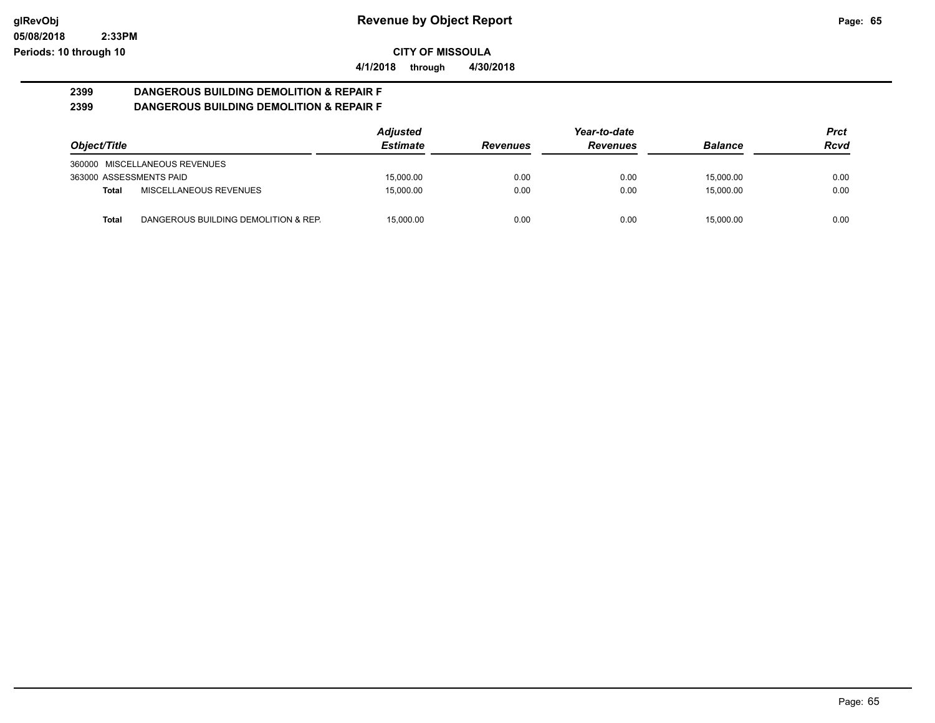**4/1/2018 through 4/30/2018**

## **2399 DANGEROUS BUILDING DEMOLITION & REPAIR F 2399 DANGEROUS BUILDING DEMOLITION & REPAIR F**

|                         |                                      | <b>Adjusted</b> |                 | Year-to-date    |                | Prct |
|-------------------------|--------------------------------------|-----------------|-----------------|-----------------|----------------|------|
| Object/Title            |                                      | <b>Estimate</b> | <b>Revenues</b> | <b>Revenues</b> | <b>Balance</b> | Rcvd |
|                         | 360000 MISCELLANEOUS REVENUES        |                 |                 |                 |                |      |
| 363000 ASSESSMENTS PAID |                                      | 15.000.00       | 0.00            | 0.00            | 15,000.00      | 0.00 |
| Total                   | MISCELLANEOUS REVENUES               | 15.000.00       | 0.00            | 0.00            | 15,000.00      | 0.00 |
| <b>Total</b>            | DANGEROUS BUILDING DEMOLITION & REP. | 15.000.00       | 0.00            | 0.00            | 15,000.00      | 0.00 |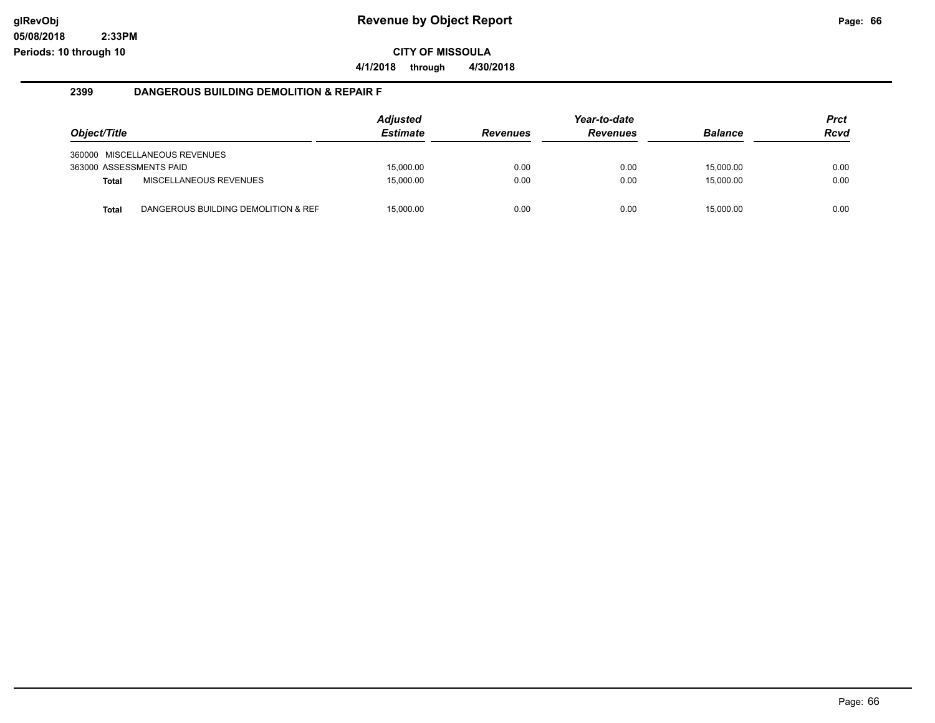**4/1/2018 through 4/30/2018**

### **2399 DANGEROUS BUILDING DEMOLITION & REPAIR F**

|                         |                                     | <b>Adjusted</b> |                 | Year-to-date    |                | <b>Prct</b> |
|-------------------------|-------------------------------------|-----------------|-----------------|-----------------|----------------|-------------|
| Object/Title            |                                     | <b>Estimate</b> | <b>Revenues</b> | <b>Revenues</b> | <b>Balance</b> | <b>Rcvd</b> |
|                         | 360000 MISCELLANEOUS REVENUES       |                 |                 |                 |                |             |
| 363000 ASSESSMENTS PAID |                                     | 15,000.00       | 0.00            | 0.00            | 15,000.00      | 0.00        |
| <b>Total</b>            | <b>MISCELLANEOUS REVENUES</b>       | 15.000.00       | 0.00            | 0.00            | 15.000.00      | 0.00        |
| Total                   | DANGEROUS BUILDING DEMOLITION & REF | 15,000.00       | 0.00            | 0.00            | 15,000.00      | 0.00        |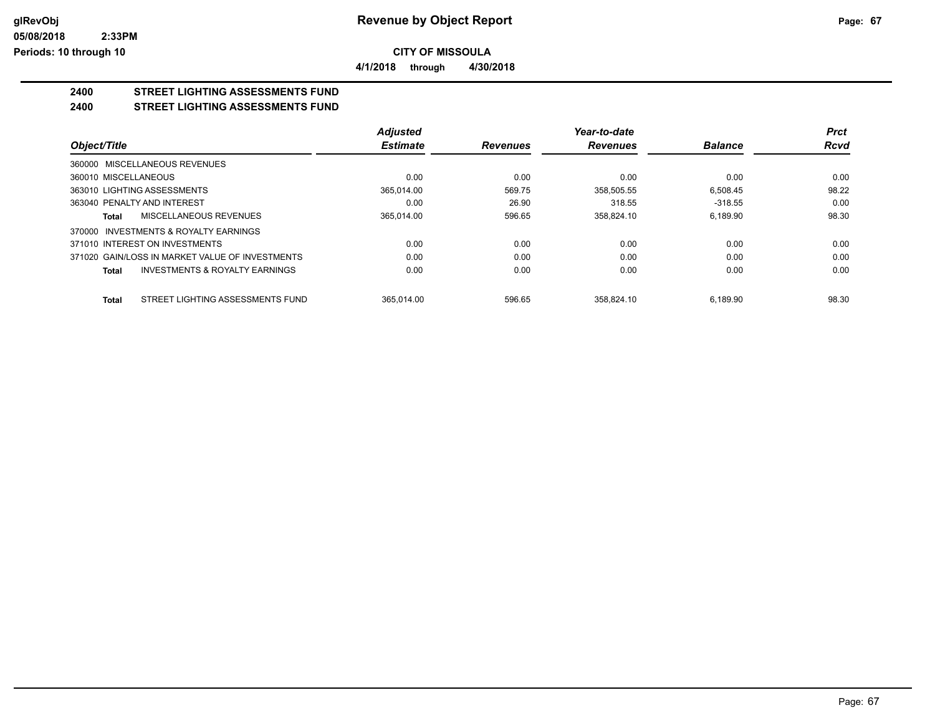**4/1/2018 through 4/30/2018**

# **2400 STREET LIGHTING ASSESSMENTS FUND**

## **2400 STREET LIGHTING ASSESSMENTS FUND**

|                                                    | <b>Adjusted</b> |                 | Year-to-date    |                | <b>Prct</b> |
|----------------------------------------------------|-----------------|-----------------|-----------------|----------------|-------------|
| Object/Title                                       | <b>Estimate</b> | <b>Revenues</b> | <b>Revenues</b> | <b>Balance</b> | <b>Rcvd</b> |
| 360000 MISCELLANEOUS REVENUES                      |                 |                 |                 |                |             |
| 360010 MISCELLANEOUS                               | 0.00            | 0.00            | 0.00            | 0.00           | 0.00        |
| 363010 LIGHTING ASSESSMENTS                        | 365.014.00      | 569.75          | 358.505.55      | 6.508.45       | 98.22       |
| 363040 PENALTY AND INTEREST                        | 0.00            | 26.90           | 318.55          | $-318.55$      | 0.00        |
| MISCELLANEOUS REVENUES<br>Total                    | 365.014.00      | 596.65          | 358.824.10      | 6.189.90       | 98.30       |
| 370000 INVESTMENTS & ROYALTY EARNINGS              |                 |                 |                 |                |             |
| 371010 INTEREST ON INVESTMENTS                     | 0.00            | 0.00            | 0.00            | 0.00           | 0.00        |
| 371020 GAIN/LOSS IN MARKET VALUE OF INVESTMENTS    | 0.00            | 0.00            | 0.00            | 0.00           | 0.00        |
| <b>INVESTMENTS &amp; ROYALTY EARNINGS</b><br>Total | 0.00            | 0.00            | 0.00            | 0.00           | 0.00        |
| STREET LIGHTING ASSESSMENTS FUND<br><b>Total</b>   | 365.014.00      | 596.65          | 358.824.10      | 6.189.90       | 98.30       |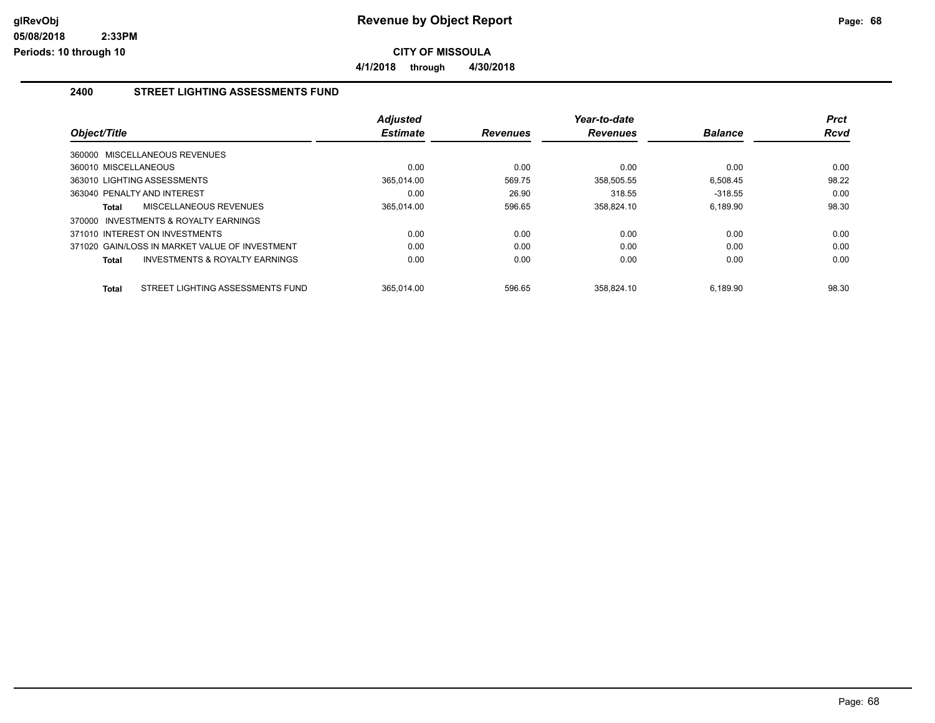**4/1/2018 through 4/30/2018**

## **2400 STREET LIGHTING ASSESSMENTS FUND**

| Object/Title                                       | <b>Adjusted</b><br><b>Estimate</b> | <b>Revenues</b> | Year-to-date<br><b>Revenues</b> | <b>Balance</b> | <b>Prct</b><br><b>Rcvd</b> |
|----------------------------------------------------|------------------------------------|-----------------|---------------------------------|----------------|----------------------------|
| 360000 MISCELLANEOUS REVENUES                      |                                    |                 |                                 |                |                            |
| 360010 MISCELLANEOUS                               | 0.00                               | 0.00            | 0.00                            | 0.00           | 0.00                       |
| 363010 LIGHTING ASSESSMENTS                        | 365.014.00                         | 569.75          | 358,505.55                      | 6,508.45       | 98.22                      |
| 363040 PENALTY AND INTEREST                        | 0.00                               | 26.90           | 318.55                          | $-318.55$      | 0.00                       |
| MISCELLANEOUS REVENUES<br>Total                    | 365,014.00                         | 596.65          | 358.824.10                      | 6.189.90       | 98.30                      |
| INVESTMENTS & ROYALTY EARNINGS<br>370000           |                                    |                 |                                 |                |                            |
| 371010 INTEREST ON INVESTMENTS                     | 0.00                               | 0.00            | 0.00                            | 0.00           | 0.00                       |
| 371020 GAIN/LOSS IN MARKET VALUE OF INVESTMENT     | 0.00                               | 0.00            | 0.00                            | 0.00           | 0.00                       |
| <b>INVESTMENTS &amp; ROYALTY EARNINGS</b><br>Total | 0.00                               | 0.00            | 0.00                            | 0.00           | 0.00                       |
|                                                    |                                    |                 |                                 |                |                            |
| STREET LIGHTING ASSESSMENTS FUND<br>Total          | 365.014.00                         | 596.65          | 358.824.10                      | 6.189.90       | 98.30                      |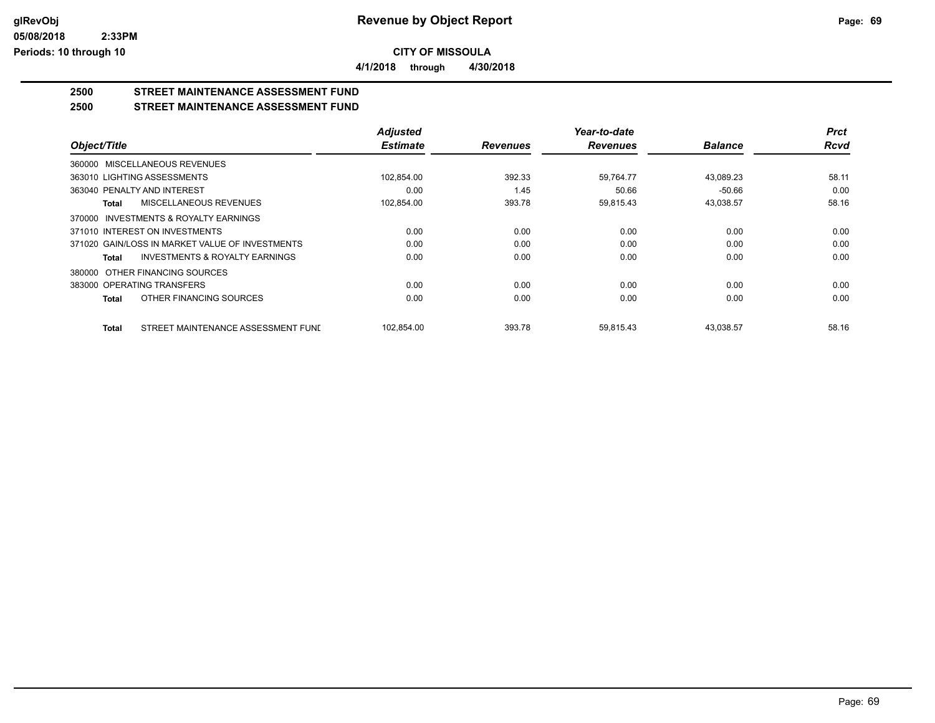**4/1/2018 through 4/30/2018**

## **2500 STREET MAINTENANCE ASSESSMENT FUND**

## **2500 STREET MAINTENANCE ASSESSMENT FUND**

|                                                    | <b>Adjusted</b> |                 | Year-to-date    |                | <b>Prct</b> |
|----------------------------------------------------|-----------------|-----------------|-----------------|----------------|-------------|
| Object/Title                                       | <b>Estimate</b> | <b>Revenues</b> | <b>Revenues</b> | <b>Balance</b> | <b>Rcvd</b> |
| 360000 MISCELLANEOUS REVENUES                      |                 |                 |                 |                |             |
| 363010 LIGHTING ASSESSMENTS                        | 102,854.00      | 392.33          | 59,764.77       | 43,089.23      | 58.11       |
| 363040 PENALTY AND INTEREST                        | 0.00            | 1.45            | 50.66           | $-50.66$       | 0.00        |
| MISCELLANEOUS REVENUES<br>Total                    | 102,854.00      | 393.78          | 59,815.43       | 43,038.57      | 58.16       |
| INVESTMENTS & ROYALTY EARNINGS<br>370000           |                 |                 |                 |                |             |
| 371010 INTEREST ON INVESTMENTS                     | 0.00            | 0.00            | 0.00            | 0.00           | 0.00        |
| 371020 GAIN/LOSS IN MARKET VALUE OF INVESTMENTS    | 0.00            | 0.00            | 0.00            | 0.00           | 0.00        |
| <b>INVESTMENTS &amp; ROYALTY EARNINGS</b><br>Total | 0.00            | 0.00            | 0.00            | 0.00           | 0.00        |
| OTHER FINANCING SOURCES<br>380000                  |                 |                 |                 |                |             |
| 383000 OPERATING TRANSFERS                         | 0.00            | 0.00            | 0.00            | 0.00           | 0.00        |
| OTHER FINANCING SOURCES<br><b>Total</b>            | 0.00            | 0.00            | 0.00            | 0.00           | 0.00        |
| STREET MAINTENANCE ASSESSMENT FUND<br><b>Total</b> | 102.854.00      | 393.78          | 59.815.43       | 43.038.57      | 58.16       |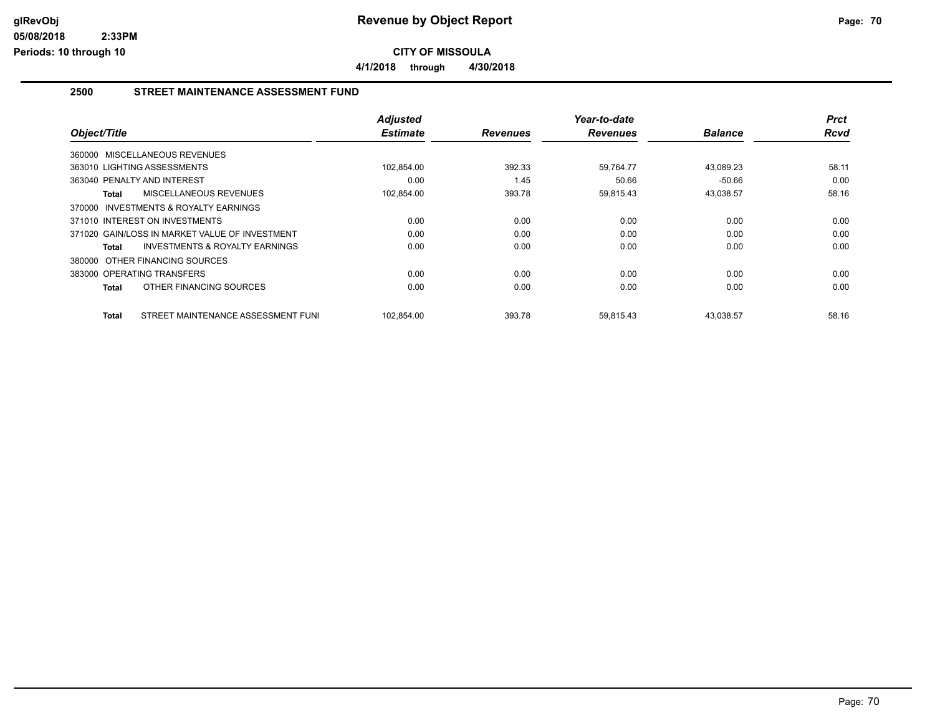**4/1/2018 through 4/30/2018**

## **2500 STREET MAINTENANCE ASSESSMENT FUND**

| Object/Title                                        | <b>Adjusted</b><br><b>Estimate</b> | <b>Revenues</b> | Year-to-date<br><b>Revenues</b> | <b>Balance</b> | <b>Prct</b><br>Rcvd |
|-----------------------------------------------------|------------------------------------|-----------------|---------------------------------|----------------|---------------------|
|                                                     |                                    |                 |                                 |                |                     |
| 360000 MISCELLANEOUS REVENUES                       |                                    |                 |                                 |                |                     |
| 363010 LIGHTING ASSESSMENTS                         | 102,854.00                         | 392.33          | 59,764.77                       | 43,089.23      | 58.11               |
| 363040 PENALTY AND INTEREST                         | 0.00                               | 1.45            | 50.66                           | $-50.66$       | 0.00                |
| <b>MISCELLANEOUS REVENUES</b><br>Total              | 102,854.00                         | 393.78          | 59,815.43                       | 43,038.57      | 58.16               |
| <b>INVESTMENTS &amp; ROYALTY EARNINGS</b><br>370000 |                                    |                 |                                 |                |                     |
| 371010 INTEREST ON INVESTMENTS                      | 0.00                               | 0.00            | 0.00                            | 0.00           | 0.00                |
| 371020 GAIN/LOSS IN MARKET VALUE OF INVESTMENT      | 0.00                               | 0.00            | 0.00                            | 0.00           | 0.00                |
| <b>INVESTMENTS &amp; ROYALTY EARNINGS</b><br>Total  | 0.00                               | 0.00            | 0.00                            | 0.00           | 0.00                |
| 380000 OTHER FINANCING SOURCES                      |                                    |                 |                                 |                |                     |
| 383000 OPERATING TRANSFERS                          | 0.00                               | 0.00            | 0.00                            | 0.00           | 0.00                |
| OTHER FINANCING SOURCES<br>Total                    | 0.00                               | 0.00            | 0.00                            | 0.00           | 0.00                |
| STREET MAINTENANCE ASSESSMENT FUNI<br>Total         | 102.854.00                         | 393.78          | 59.815.43                       | 43.038.57      | 58.16               |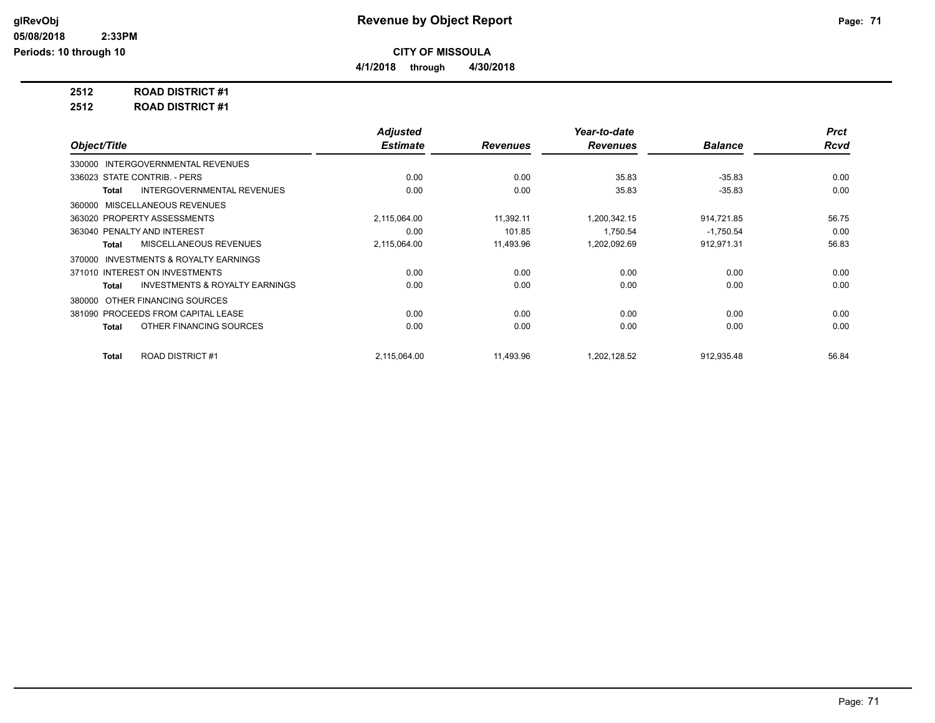**4/1/2018 through 4/30/2018**

**2512 ROAD DISTRICT #1**

**2512 ROAD DISTRICT #1**

|                                                    | <b>Adjusted</b> |                 | Year-to-date    |                | <b>Prct</b> |
|----------------------------------------------------|-----------------|-----------------|-----------------|----------------|-------------|
| Object/Title                                       | <b>Estimate</b> | <b>Revenues</b> | <b>Revenues</b> | <b>Balance</b> | <b>Rcvd</b> |
| <b>INTERGOVERNMENTAL REVENUES</b><br>330000        |                 |                 |                 |                |             |
| 336023 STATE CONTRIB. - PERS                       | 0.00            | 0.00            | 35.83           | $-35.83$       | 0.00        |
| <b>INTERGOVERNMENTAL REVENUES</b><br>Total         | 0.00            | 0.00            | 35.83           | $-35.83$       | 0.00        |
| 360000 MISCELLANEOUS REVENUES                      |                 |                 |                 |                |             |
| 363020 PROPERTY ASSESSMENTS                        | 2,115,064.00    | 11,392.11       | 1,200,342.15    | 914,721.85     | 56.75       |
| 363040 PENALTY AND INTEREST                        | 0.00            | 101.85          | 1,750.54        | $-1,750.54$    | 0.00        |
| MISCELLANEOUS REVENUES<br>Total                    | 2,115,064.00    | 11,493.96       | 1,202,092.69    | 912,971.31     | 56.83       |
| INVESTMENTS & ROYALTY EARNINGS<br>370000           |                 |                 |                 |                |             |
| 371010 INTEREST ON INVESTMENTS                     | 0.00            | 0.00            | 0.00            | 0.00           | 0.00        |
| <b>INVESTMENTS &amp; ROYALTY EARNINGS</b><br>Total | 0.00            | 0.00            | 0.00            | 0.00           | 0.00        |
| 380000 OTHER FINANCING SOURCES                     |                 |                 |                 |                |             |
| 381090 PROCEEDS FROM CAPITAL LEASE                 | 0.00            | 0.00            | 0.00            | 0.00           | 0.00        |
| OTHER FINANCING SOURCES<br>Total                   | 0.00            | 0.00            | 0.00            | 0.00           | 0.00        |
| <b>ROAD DISTRICT #1</b><br><b>Total</b>            | 2,115,064.00    | 11,493.96       | 1,202,128.52    | 912,935.48     | 56.84       |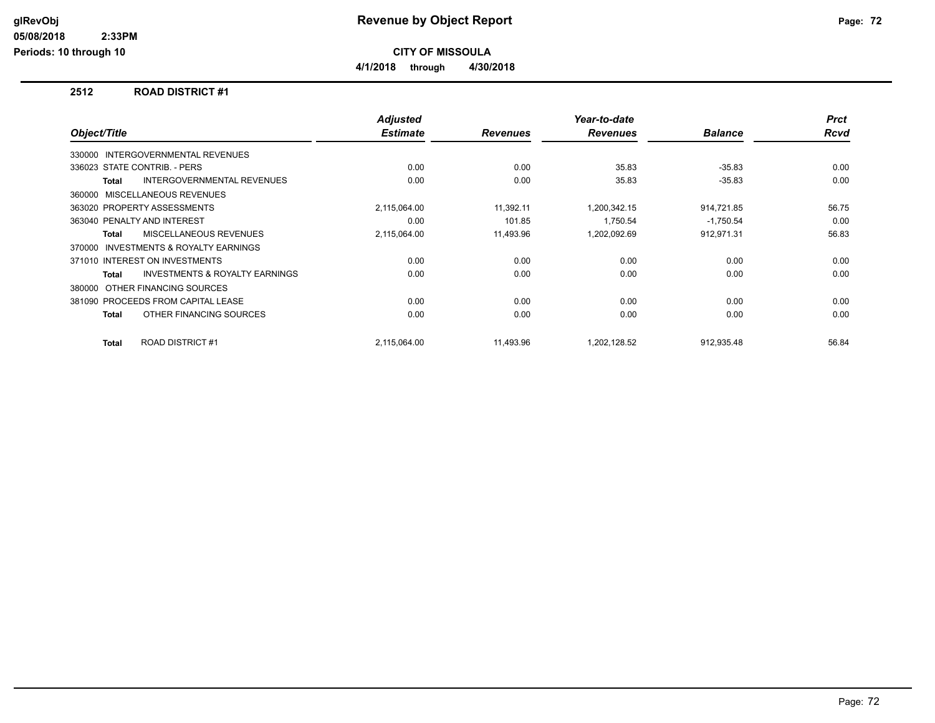**4/1/2018 through 4/30/2018**

### **2512 ROAD DISTRICT #1**

| Object/Title                                              | <b>Adjusted</b> |                 | Year-to-date    |                | <b>Prct</b> |
|-----------------------------------------------------------|-----------------|-----------------|-----------------|----------------|-------------|
|                                                           | <b>Estimate</b> | <b>Revenues</b> | <b>Revenues</b> | <b>Balance</b> | <b>Rcvd</b> |
| 330000 INTERGOVERNMENTAL REVENUES                         |                 |                 |                 |                |             |
| 336023 STATE CONTRIB. - PERS                              | 0.00            | 0.00            | 35.83           | $-35.83$       | 0.00        |
| INTERGOVERNMENTAL REVENUES<br>Total                       | 0.00            | 0.00            | 35.83           | $-35.83$       | 0.00        |
| 360000 MISCELLANEOUS REVENUES                             |                 |                 |                 |                |             |
| 363020 PROPERTY ASSESSMENTS                               | 2,115,064.00    | 11,392.11       | 1,200,342.15    | 914,721.85     | 56.75       |
| 363040 PENALTY AND INTEREST                               | 0.00            | 101.85          | 1,750.54        | $-1,750.54$    | 0.00        |
| MISCELLANEOUS REVENUES<br><b>Total</b>                    | 2,115,064.00    | 11.493.96       | 1,202,092.69    | 912,971.31     | 56.83       |
| 370000 INVESTMENTS & ROYALTY EARNINGS                     |                 |                 |                 |                |             |
| 371010 INTEREST ON INVESTMENTS                            | 0.00            | 0.00            | 0.00            | 0.00           | 0.00        |
| <b>INVESTMENTS &amp; ROYALTY EARNINGS</b><br><b>Total</b> | 0.00            | 0.00            | 0.00            | 0.00           | 0.00        |
| 380000 OTHER FINANCING SOURCES                            |                 |                 |                 |                |             |
| 381090 PROCEEDS FROM CAPITAL LEASE                        | 0.00            | 0.00            | 0.00            | 0.00           | 0.00        |
| OTHER FINANCING SOURCES<br>Total                          | 0.00            | 0.00            | 0.00            | 0.00           | 0.00        |
| ROAD DISTRICT #1<br><b>Total</b>                          | 2,115,064.00    | 11,493.96       | 1,202,128.52    | 912,935.48     | 56.84       |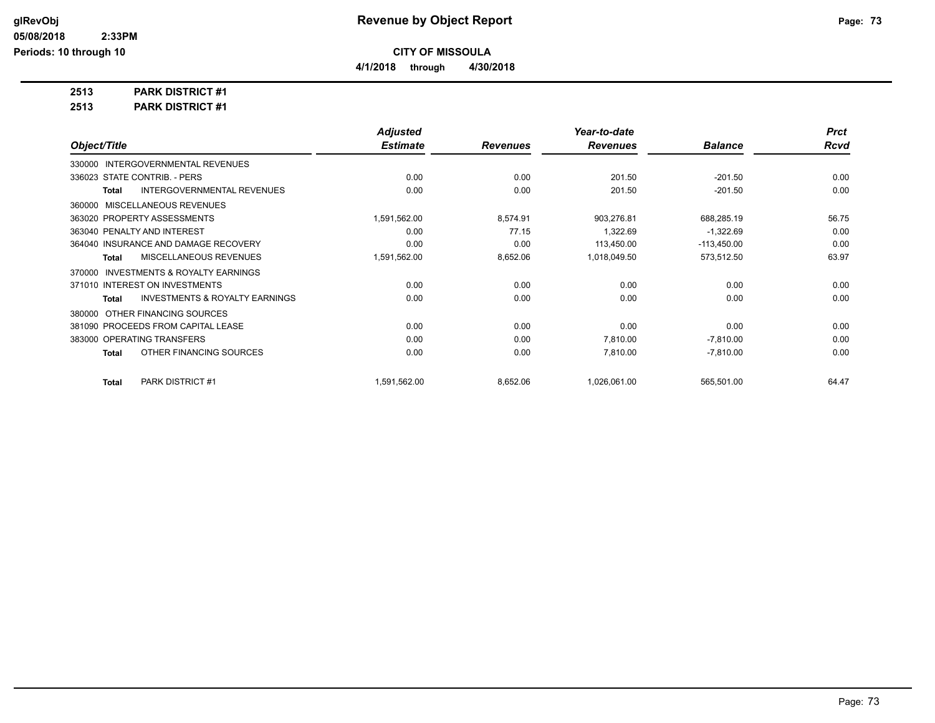**4/1/2018 through 4/30/2018**

**2513 PARK DISTRICT #1**

**2513 PARK DISTRICT #1**

|                                                    | <b>Adjusted</b> |                 | Year-to-date    |                | <b>Prct</b> |
|----------------------------------------------------|-----------------|-----------------|-----------------|----------------|-------------|
| Object/Title                                       | <b>Estimate</b> | <b>Revenues</b> | <b>Revenues</b> | <b>Balance</b> | <b>Rcvd</b> |
| 330000 INTERGOVERNMENTAL REVENUES                  |                 |                 |                 |                |             |
| 336023 STATE CONTRIB. - PERS                       | 0.00            | 0.00            | 201.50          | $-201.50$      | 0.00        |
| <b>INTERGOVERNMENTAL REVENUES</b><br><b>Total</b>  | 0.00            | 0.00            | 201.50          | $-201.50$      | 0.00        |
| MISCELLANEOUS REVENUES<br>360000                   |                 |                 |                 |                |             |
| 363020 PROPERTY ASSESSMENTS                        | 1,591,562.00    | 8,574.91        | 903,276.81      | 688,285.19     | 56.75       |
| 363040 PENALTY AND INTEREST                        | 0.00            | 77.15           | 1,322.69        | $-1,322.69$    | 0.00        |
| 364040 INSURANCE AND DAMAGE RECOVERY               | 0.00            | 0.00            | 113,450.00      | $-113,450.00$  | 0.00        |
| MISCELLANEOUS REVENUES<br><b>Total</b>             | 1,591,562.00    | 8,652.06        | 1,018,049.50    | 573,512.50     | 63.97       |
| INVESTMENTS & ROYALTY EARNINGS<br>370000           |                 |                 |                 |                |             |
| 371010 INTEREST ON INVESTMENTS                     | 0.00            | 0.00            | 0.00            | 0.00           | 0.00        |
| <b>INVESTMENTS &amp; ROYALTY EARNINGS</b><br>Total | 0.00            | 0.00            | 0.00            | 0.00           | 0.00        |
| OTHER FINANCING SOURCES<br>380000                  |                 |                 |                 |                |             |
| 381090 PROCEEDS FROM CAPITAL LEASE                 | 0.00            | 0.00            | 0.00            | 0.00           | 0.00        |
| 383000 OPERATING TRANSFERS                         | 0.00            | 0.00            | 7,810.00        | $-7,810.00$    | 0.00        |
| OTHER FINANCING SOURCES<br><b>Total</b>            | 0.00            | 0.00            | 7,810.00        | $-7,810.00$    | 0.00        |
| PARK DISTRICT #1<br><b>Total</b>                   | 1,591,562.00    | 8,652.06        | 1,026,061.00    | 565,501.00     | 64.47       |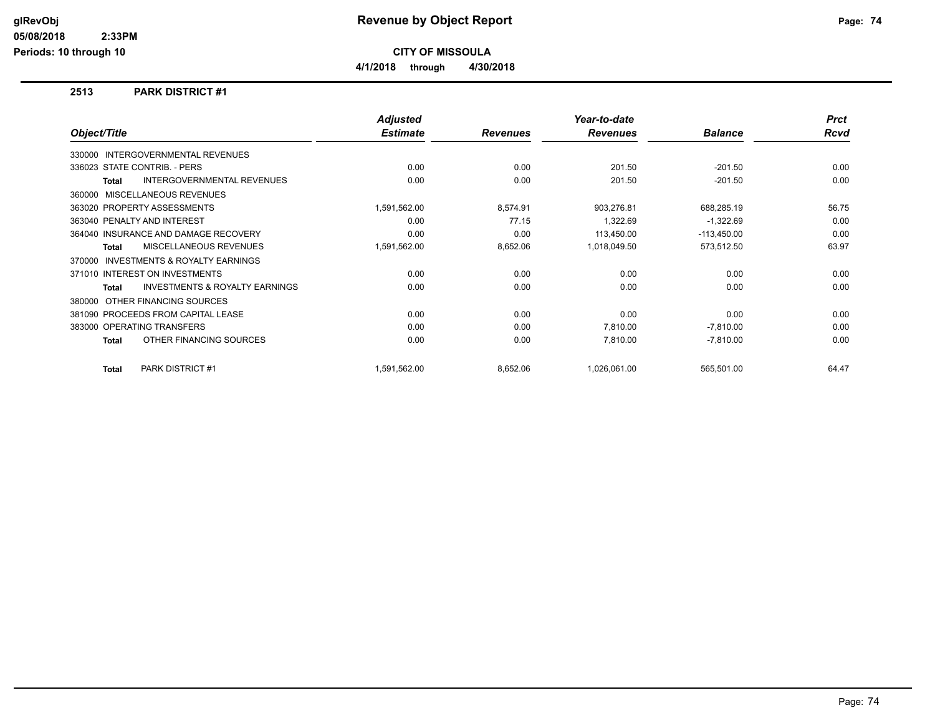**4/1/2018 through 4/30/2018**

### **2513 PARK DISTRICT #1**

|                                                    | <b>Adjusted</b> |                 | Year-to-date    |                | <b>Prct</b> |
|----------------------------------------------------|-----------------|-----------------|-----------------|----------------|-------------|
| Object/Title                                       | <b>Estimate</b> | <b>Revenues</b> | <b>Revenues</b> | <b>Balance</b> | <b>Rcvd</b> |
| 330000 INTERGOVERNMENTAL REVENUES                  |                 |                 |                 |                |             |
| 336023 STATE CONTRIB. - PERS                       | 0.00            | 0.00            | 201.50          | $-201.50$      | 0.00        |
| <b>INTERGOVERNMENTAL REVENUES</b><br>Total         | 0.00            | 0.00            | 201.50          | $-201.50$      | 0.00        |
| MISCELLANEOUS REVENUES<br>360000                   |                 |                 |                 |                |             |
| 363020 PROPERTY ASSESSMENTS                        | 1,591,562.00    | 8,574.91        | 903,276.81      | 688,285.19     | 56.75       |
| 363040 PENALTY AND INTEREST                        | 0.00            | 77.15           | 1,322.69        | $-1,322.69$    | 0.00        |
| 364040 INSURANCE AND DAMAGE RECOVERY               | 0.00            | 0.00            | 113,450.00      | $-113,450.00$  | 0.00        |
| <b>MISCELLANEOUS REVENUES</b><br>Total             | 1,591,562.00    | 8,652.06        | 1,018,049.50    | 573,512.50     | 63.97       |
| INVESTMENTS & ROYALTY EARNINGS<br>370000           |                 |                 |                 |                |             |
| 371010 INTEREST ON INVESTMENTS                     | 0.00            | 0.00            | 0.00            | 0.00           | 0.00        |
| <b>INVESTMENTS &amp; ROYALTY EARNINGS</b><br>Total | 0.00            | 0.00            | 0.00            | 0.00           | 0.00        |
| OTHER FINANCING SOURCES<br>380000                  |                 |                 |                 |                |             |
| 381090 PROCEEDS FROM CAPITAL LEASE                 | 0.00            | 0.00            | 0.00            | 0.00           | 0.00        |
| 383000 OPERATING TRANSFERS                         | 0.00            | 0.00            | 7,810.00        | $-7,810.00$    | 0.00        |
| OTHER FINANCING SOURCES<br><b>Total</b>            | 0.00            | 0.00            | 7,810.00        | $-7,810.00$    | 0.00        |
| <b>PARK DISTRICT #1</b><br><b>Total</b>            | 1,591,562.00    | 8,652.06        | 1,026,061.00    | 565,501.00     | 64.47       |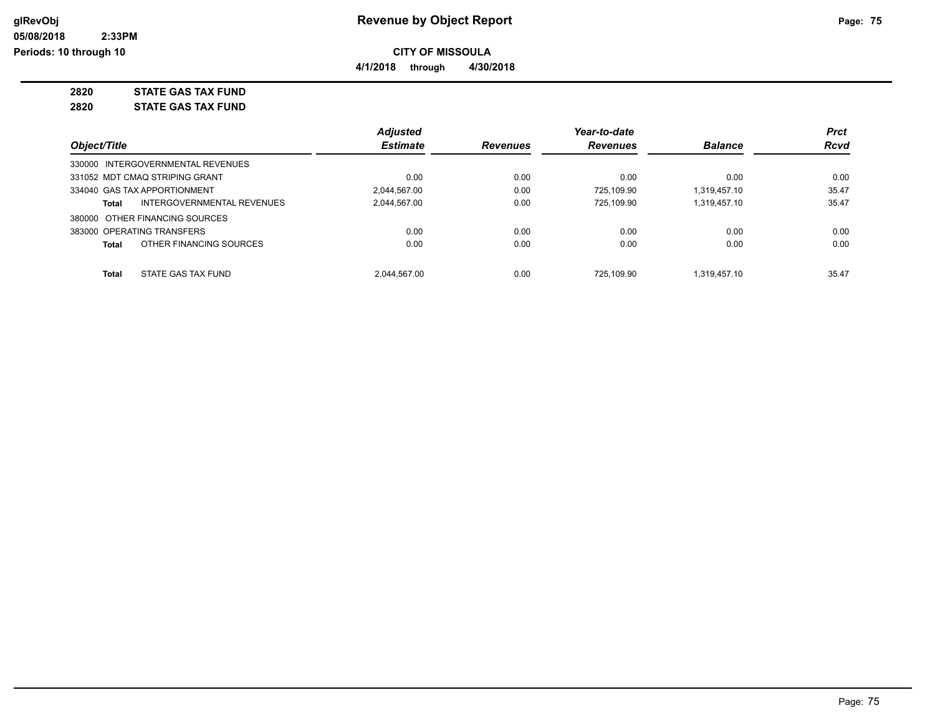**4/1/2018 through 4/30/2018**

**2820 STATE GAS TAX FUND**

**2820 STATE GAS TAX FUND**

|                                         | <b>Adjusted</b> |                 | Year-to-date    |                | <b>Prct</b> |
|-----------------------------------------|-----------------|-----------------|-----------------|----------------|-------------|
| Object/Title                            | <b>Estimate</b> | <b>Revenues</b> | <b>Revenues</b> | <b>Balance</b> | <b>Rcvd</b> |
| 330000 INTERGOVERNMENTAL REVENUES       |                 |                 |                 |                |             |
| 331052 MDT CMAQ STRIPING GRANT          | 0.00            | 0.00            | 0.00            | 0.00           | 0.00        |
| 334040 GAS TAX APPORTIONMENT            | 2.044.567.00    | 0.00            | 725.109.90      | 1.319.457.10   | 35.47       |
| INTERGOVERNMENTAL REVENUES<br>Total     | 2.044.567.00    | 0.00            | 725.109.90      | 1.319.457.10   | 35.47       |
| 380000 OTHER FINANCING SOURCES          |                 |                 |                 |                |             |
| 383000 OPERATING TRANSFERS              | 0.00            | 0.00            | 0.00            | 0.00           | 0.00        |
| OTHER FINANCING SOURCES<br><b>Total</b> | 0.00            | 0.00            | 0.00            | 0.00           | 0.00        |
|                                         |                 |                 |                 |                |             |
| STATE GAS TAX FUND<br>Total             | 2.044.567.00    | 0.00            | 725.109.90      | 1.319.457.10   | 35.47       |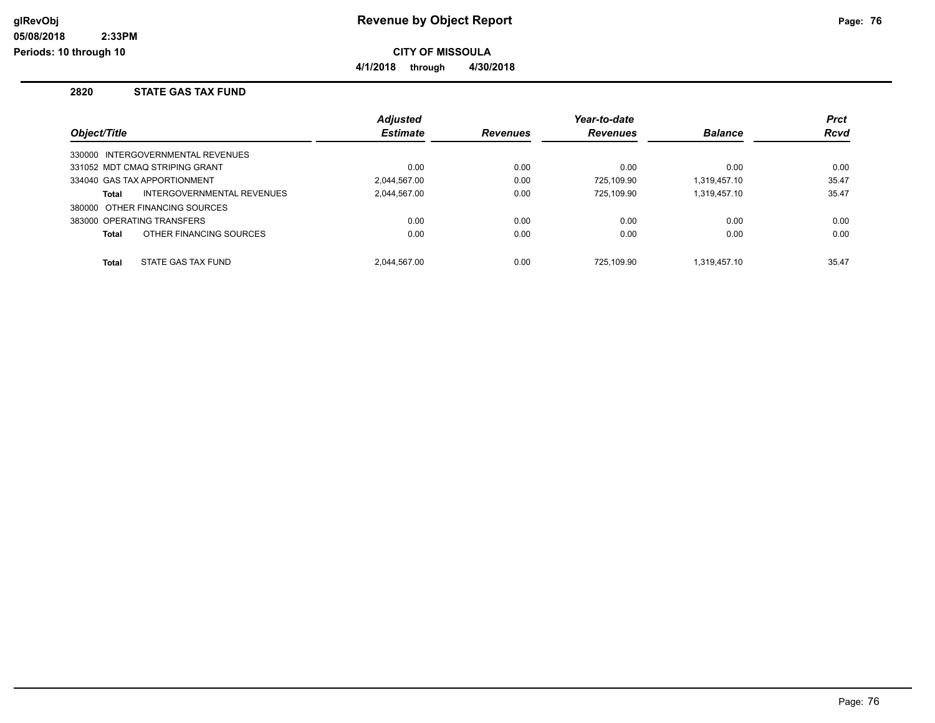**4/1/2018 through 4/30/2018**

### **2820 STATE GAS TAX FUND**

|              |                                   | <b>Adjusted</b> |                 | Year-to-date    |                | <b>Prct</b> |
|--------------|-----------------------------------|-----------------|-----------------|-----------------|----------------|-------------|
| Object/Title |                                   | <b>Estimate</b> | <b>Revenues</b> | <b>Revenues</b> | <b>Balance</b> | <b>Rcvd</b> |
|              | 330000 INTERGOVERNMENTAL REVENUES |                 |                 |                 |                |             |
|              | 331052 MDT CMAQ STRIPING GRANT    | 0.00            | 0.00            | 0.00            | 0.00           | 0.00        |
|              | 334040 GAS TAX APPORTIONMENT      | 2.044.567.00    | 0.00            | 725.109.90      | 1.319.457.10   | 35.47       |
| Total        | INTERGOVERNMENTAL REVENUES        | 2.044.567.00    | 0.00            | 725.109.90      | 1.319.457.10   | 35.47       |
|              | 380000 OTHER FINANCING SOURCES    |                 |                 |                 |                |             |
|              | 383000 OPERATING TRANSFERS        | 0.00            | 0.00            | 0.00            | 0.00           | 0.00        |
| Total        | OTHER FINANCING SOURCES           | 0.00            | 0.00            | 0.00            | 0.00           | 0.00        |
| <b>Total</b> | STATE GAS TAX FUND                | 2.044.567.00    | 0.00            | 725.109.90      | 1.319.457.10   | 35.47       |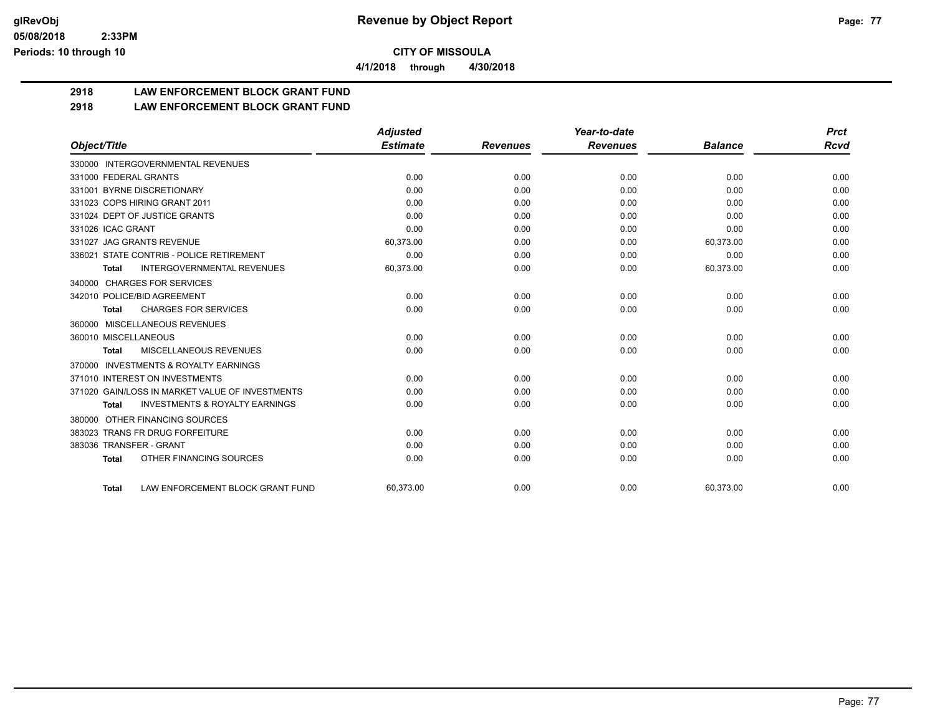**4/1/2018 through 4/30/2018**

# **2918 LAW ENFORCEMENT BLOCK GRANT FUND**

## **2918 LAW ENFORCEMENT BLOCK GRANT FUND**

|                               |                                                 | <b>Adjusted</b> |                 | Year-to-date    |                | <b>Prct</b> |
|-------------------------------|-------------------------------------------------|-----------------|-----------------|-----------------|----------------|-------------|
| Object/Title                  |                                                 | <b>Estimate</b> | <b>Revenues</b> | <b>Revenues</b> | <b>Balance</b> | <b>Rcvd</b> |
|                               | 330000 INTERGOVERNMENTAL REVENUES               |                 |                 |                 |                |             |
| 331000 FEDERAL GRANTS         |                                                 | 0.00            | 0.00            | 0.00            | 0.00           | 0.00        |
| 331001 BYRNE DISCRETIONARY    |                                                 | 0.00            | 0.00            | 0.00            | 0.00           | 0.00        |
| 331023 COPS HIRING GRANT 2011 |                                                 | 0.00            | 0.00            | 0.00            | 0.00           | 0.00        |
|                               | 331024 DEPT OF JUSTICE GRANTS                   | 0.00            | 0.00            | 0.00            | 0.00           | 0.00        |
| 331026 ICAC GRANT             |                                                 | 0.00            | 0.00            | 0.00            | 0.00           | 0.00        |
| 331027 JAG GRANTS REVENUE     |                                                 | 60,373.00       | 0.00            | 0.00            | 60,373.00      | 0.00        |
|                               | 336021 STATE CONTRIB - POLICE RETIREMENT        | 0.00            | 0.00            | 0.00            | 0.00           | 0.00        |
| <b>Total</b>                  | <b>INTERGOVERNMENTAL REVENUES</b>               | 60,373.00       | 0.00            | 0.00            | 60,373.00      | 0.00        |
|                               | 340000 CHARGES FOR SERVICES                     |                 |                 |                 |                |             |
| 342010 POLICE/BID AGREEMENT   |                                                 | 0.00            | 0.00            | 0.00            | 0.00           | 0.00        |
| <b>Total</b>                  | <b>CHARGES FOR SERVICES</b>                     | 0.00            | 0.00            | 0.00            | 0.00           | 0.00        |
| 360000                        | MISCELLANEOUS REVENUES                          |                 |                 |                 |                |             |
| 360010 MISCELLANEOUS          |                                                 | 0.00            | 0.00            | 0.00            | 0.00           | 0.00        |
| <b>Total</b>                  | <b>MISCELLANEOUS REVENUES</b>                   | 0.00            | 0.00            | 0.00            | 0.00           | 0.00        |
| 370000                        | <b>INVESTMENTS &amp; ROYALTY EARNINGS</b>       |                 |                 |                 |                |             |
|                               | 371010 INTEREST ON INVESTMENTS                  | 0.00            | 0.00            | 0.00            | 0.00           | 0.00        |
|                               | 371020 GAIN/LOSS IN MARKET VALUE OF INVESTMENTS | 0.00            | 0.00            | 0.00            | 0.00           | 0.00        |
| <b>Total</b>                  | <b>INVESTMENTS &amp; ROYALTY EARNINGS</b>       | 0.00            | 0.00            | 0.00            | 0.00           | 0.00        |
| 380000                        | OTHER FINANCING SOURCES                         |                 |                 |                 |                |             |
|                               | 383023 TRANS FR DRUG FORFEITURE                 | 0.00            | 0.00            | 0.00            | 0.00           | 0.00        |
| 383036 TRANSFER - GRANT       |                                                 | 0.00            | 0.00            | 0.00            | 0.00           | 0.00        |
| <b>Total</b>                  | OTHER FINANCING SOURCES                         | 0.00            | 0.00            | 0.00            | 0.00           | 0.00        |
| <b>Total</b>                  | LAW ENFORCEMENT BLOCK GRANT FUND                | 60.373.00       | 0.00            | 0.00            | 60,373.00      | 0.00        |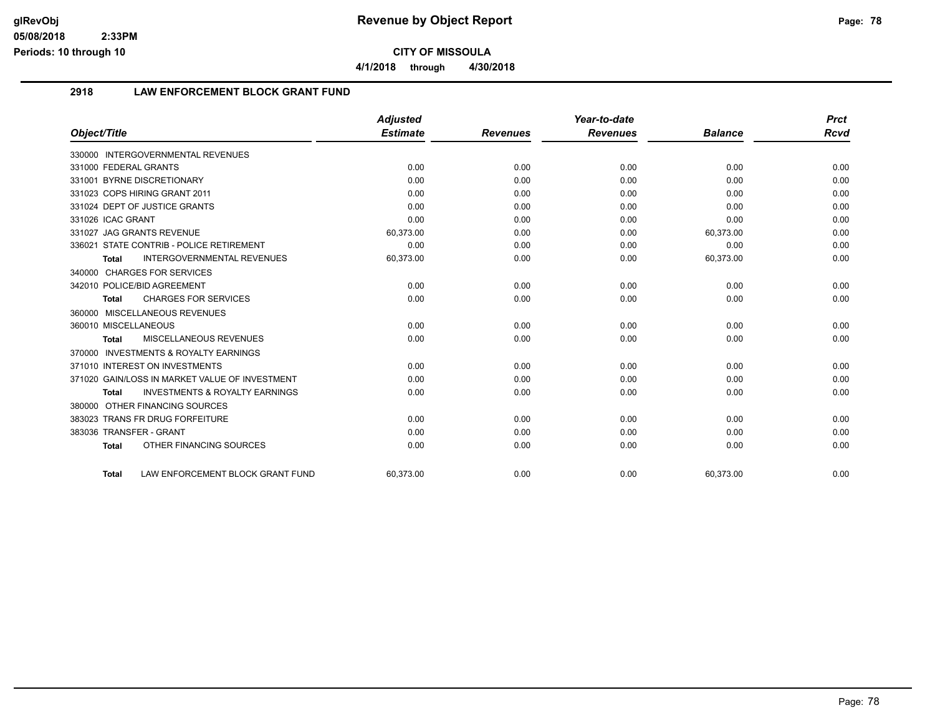**4/1/2018 through 4/30/2018**

## **2918 LAW ENFORCEMENT BLOCK GRANT FUND**

|                                                           | <b>Adjusted</b> |                 | Year-to-date    |                | <b>Prct</b> |
|-----------------------------------------------------------|-----------------|-----------------|-----------------|----------------|-------------|
| Object/Title                                              | <b>Estimate</b> | <b>Revenues</b> | <b>Revenues</b> | <b>Balance</b> | <b>Rcvd</b> |
| <b>INTERGOVERNMENTAL REVENUES</b><br>330000               |                 |                 |                 |                |             |
| 331000 FEDERAL GRANTS                                     | 0.00            | 0.00            | 0.00            | 0.00           | 0.00        |
| 331001 BYRNE DISCRETIONARY                                | 0.00            | 0.00            | 0.00            | 0.00           | 0.00        |
| 331023 COPS HIRING GRANT 2011                             | 0.00            | 0.00            | 0.00            | 0.00           | 0.00        |
| 331024 DEPT OF JUSTICE GRANTS                             | 0.00            | 0.00            | 0.00            | 0.00           | 0.00        |
| 331026 ICAC GRANT                                         | 0.00            | 0.00            | 0.00            | 0.00           | 0.00        |
| 331027 JAG GRANTS REVENUE                                 | 60,373.00       | 0.00            | 0.00            | 60,373.00      | 0.00        |
| 336021 STATE CONTRIB - POLICE RETIREMENT                  | 0.00            | 0.00            | 0.00            | 0.00           | 0.00        |
| <b>INTERGOVERNMENTAL REVENUES</b><br><b>Total</b>         | 60,373.00       | 0.00            | 0.00            | 60,373.00      | 0.00        |
| 340000 CHARGES FOR SERVICES                               |                 |                 |                 |                |             |
| 342010 POLICE/BID AGREEMENT                               | 0.00            | 0.00            | 0.00            | 0.00           | 0.00        |
| <b>CHARGES FOR SERVICES</b><br><b>Total</b>               | 0.00            | 0.00            | 0.00            | 0.00           | 0.00        |
| 360000 MISCELLANEOUS REVENUES                             |                 |                 |                 |                |             |
| 360010 MISCELLANEOUS                                      | 0.00            | 0.00            | 0.00            | 0.00           | 0.00        |
| <b>MISCELLANEOUS REVENUES</b><br><b>Total</b>             | 0.00            | 0.00            | 0.00            | 0.00           | 0.00        |
| 370000 INVESTMENTS & ROYALTY EARNINGS                     |                 |                 |                 |                |             |
| 371010 INTEREST ON INVESTMENTS                            | 0.00            | 0.00            | 0.00            | 0.00           | 0.00        |
| 371020 GAIN/LOSS IN MARKET VALUE OF INVESTMENT            | 0.00            | 0.00            | 0.00            | 0.00           | 0.00        |
| <b>INVESTMENTS &amp; ROYALTY EARNINGS</b><br><b>Total</b> | 0.00            | 0.00            | 0.00            | 0.00           | 0.00        |
| 380000 OTHER FINANCING SOURCES                            |                 |                 |                 |                |             |
| 383023 TRANS FR DRUG FORFEITURE                           | 0.00            | 0.00            | 0.00            | 0.00           | 0.00        |
| 383036 TRANSFER - GRANT                                   | 0.00            | 0.00            | 0.00            | 0.00           | 0.00        |
| OTHER FINANCING SOURCES<br><b>Total</b>                   | 0.00            | 0.00            | 0.00            | 0.00           | 0.00        |
| LAW ENFORCEMENT BLOCK GRANT FUND<br><b>Total</b>          | 60.373.00       | 0.00            | 0.00            | 60,373.00      | 0.00        |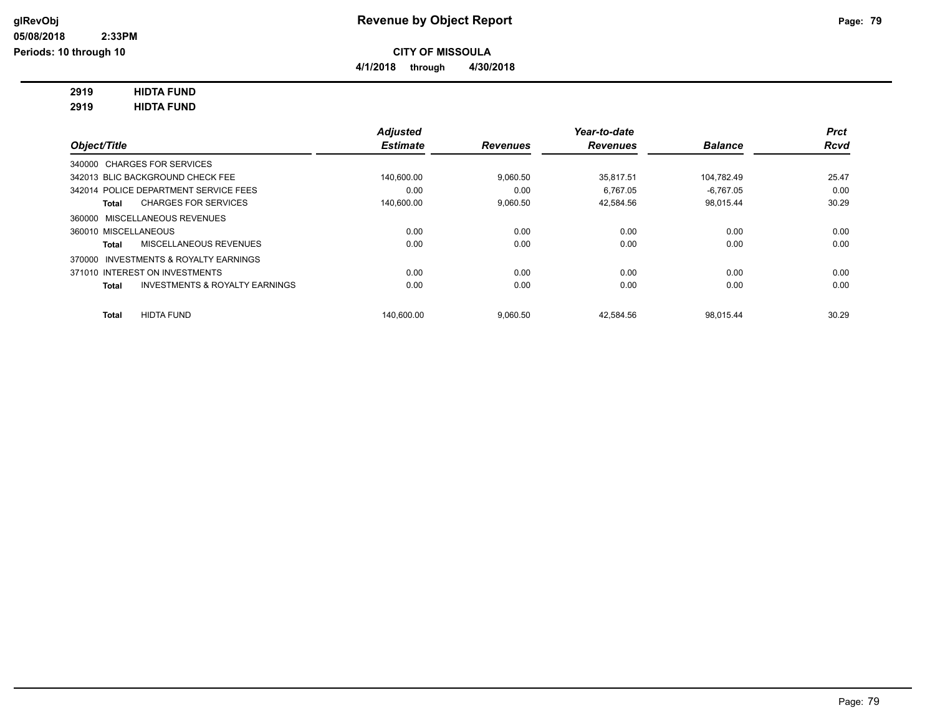**4/1/2018 through 4/30/2018**

## **2919 HIDTA FUND**

**2919 HIDTA FUND**

|                                                    | <b>Adjusted</b> |                 | Year-to-date    |                | <b>Prct</b> |
|----------------------------------------------------|-----------------|-----------------|-----------------|----------------|-------------|
| Object/Title                                       | <b>Estimate</b> | <b>Revenues</b> | <b>Revenues</b> | <b>Balance</b> | <b>Rcvd</b> |
| 340000 CHARGES FOR SERVICES                        |                 |                 |                 |                |             |
| 342013 BLIC BACKGROUND CHECK FEE                   | 140,600.00      | 9,060.50        | 35.817.51       | 104,782.49     | 25.47       |
| 342014 POLICE DEPARTMENT SERVICE FEES              | 0.00            | 0.00            | 6.767.05        | $-6.767.05$    | 0.00        |
| <b>CHARGES FOR SERVICES</b><br>Total               | 140,600.00      | 9.060.50        | 42,584.56       | 98.015.44      | 30.29       |
| 360000 MISCELLANEOUS REVENUES                      |                 |                 |                 |                |             |
| 360010 MISCELLANEOUS                               | 0.00            | 0.00            | 0.00            | 0.00           | 0.00        |
| MISCELLANEOUS REVENUES<br>Total                    | 0.00            | 0.00            | 0.00            | 0.00           | 0.00        |
| INVESTMENTS & ROYALTY EARNINGS<br>370000           |                 |                 |                 |                |             |
| 371010 INTEREST ON INVESTMENTS                     | 0.00            | 0.00            | 0.00            | 0.00           | 0.00        |
| <b>INVESTMENTS &amp; ROYALTY EARNINGS</b><br>Total | 0.00            | 0.00            | 0.00            | 0.00           | 0.00        |
| <b>HIDTA FUND</b><br><b>Total</b>                  | 140.600.00      | 9.060.50        | 42.584.56       | 98.015.44      | 30.29       |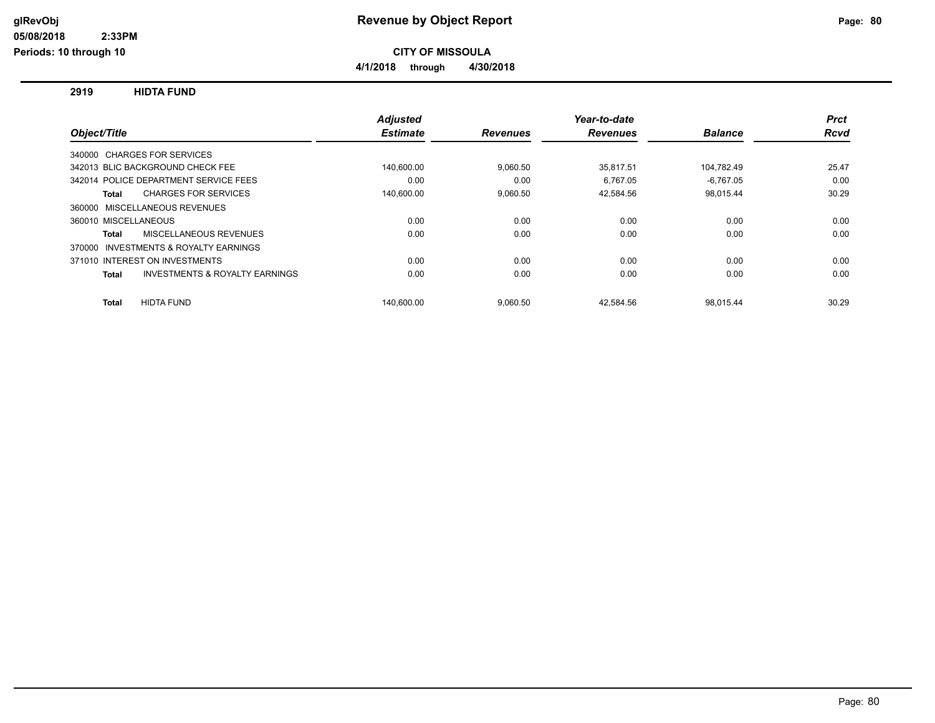**4/1/2018 through 4/30/2018**

**2919 HIDTA FUND**

|                                                    | <b>Adjusted</b> |                 | Year-to-date    |                | <b>Prct</b> |
|----------------------------------------------------|-----------------|-----------------|-----------------|----------------|-------------|
| Object/Title                                       | <b>Estimate</b> | <b>Revenues</b> | <b>Revenues</b> | <b>Balance</b> | <b>Rcvd</b> |
| 340000 CHARGES FOR SERVICES                        |                 |                 |                 |                |             |
| 342013 BLIC BACKGROUND CHECK FEE                   | 140,600.00      | 9,060.50        | 35,817.51       | 104,782.49     | 25.47       |
| 342014 POLICE DEPARTMENT SERVICE FEES              | 0.00            | 0.00            | 6.767.05        | $-6.767.05$    | 0.00        |
| <b>CHARGES FOR SERVICES</b><br>Total               | 140,600.00      | 9,060.50        | 42,584.56       | 98,015.44      | 30.29       |
| 360000 MISCELLANEOUS REVENUES                      |                 |                 |                 |                |             |
| 360010 MISCELLANEOUS                               | 0.00            | 0.00            | 0.00            | 0.00           | 0.00        |
| MISCELLANEOUS REVENUES<br>Total                    | 0.00            | 0.00            | 0.00            | 0.00           | 0.00        |
| 370000 INVESTMENTS & ROYALTY EARNINGS              |                 |                 |                 |                |             |
| 371010 INTEREST ON INVESTMENTS                     | 0.00            | 0.00            | 0.00            | 0.00           | 0.00        |
| <b>INVESTMENTS &amp; ROYALTY EARNINGS</b><br>Total | 0.00            | 0.00            | 0.00            | 0.00           | 0.00        |
| <b>HIDTA FUND</b><br><b>Total</b>                  | 140.600.00      | 9.060.50        | 42.584.56       | 98.015.44      | 30.29       |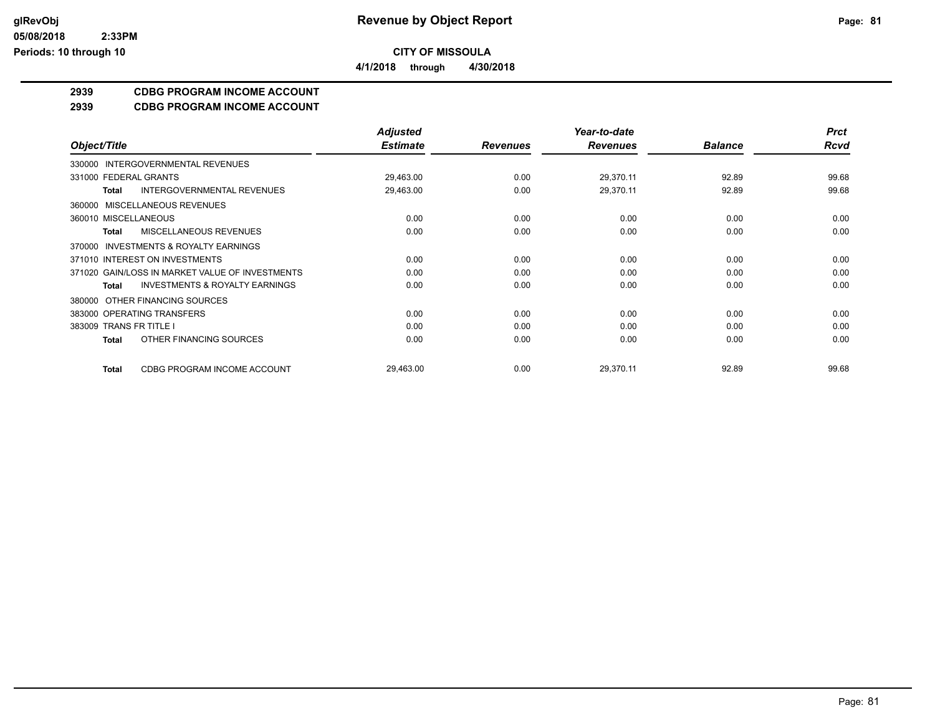**4/1/2018 through 4/30/2018**

## **2939 CDBG PROGRAM INCOME ACCOUNT**

## **2939 CDBG PROGRAM INCOME ACCOUNT**

|                                                    | <b>Adjusted</b> |                 | Year-to-date    |                | <b>Prct</b> |
|----------------------------------------------------|-----------------|-----------------|-----------------|----------------|-------------|
| Object/Title                                       | <b>Estimate</b> | <b>Revenues</b> | <b>Revenues</b> | <b>Balance</b> | Rcvd        |
| 330000 INTERGOVERNMENTAL REVENUES                  |                 |                 |                 |                |             |
| 331000 FEDERAL GRANTS                              | 29,463.00       | 0.00            | 29,370.11       | 92.89          | 99.68       |
| INTERGOVERNMENTAL REVENUES<br>Total                | 29,463.00       | 0.00            | 29,370.11       | 92.89          | 99.68       |
| 360000 MISCELLANEOUS REVENUES                      |                 |                 |                 |                |             |
| 360010 MISCELLANEOUS                               | 0.00            | 0.00            | 0.00            | 0.00           | 0.00        |
| <b>MISCELLANEOUS REVENUES</b><br>Total             | 0.00            | 0.00            | 0.00            | 0.00           | 0.00        |
| 370000 INVESTMENTS & ROYALTY EARNINGS              |                 |                 |                 |                |             |
| 371010 INTEREST ON INVESTMENTS                     | 0.00            | 0.00            | 0.00            | 0.00           | 0.00        |
| 371020 GAIN/LOSS IN MARKET VALUE OF INVESTMENTS    | 0.00            | 0.00            | 0.00            | 0.00           | 0.00        |
| <b>INVESTMENTS &amp; ROYALTY EARNINGS</b><br>Total | 0.00            | 0.00            | 0.00            | 0.00           | 0.00        |
| 380000 OTHER FINANCING SOURCES                     |                 |                 |                 |                |             |
| 383000 OPERATING TRANSFERS                         | 0.00            | 0.00            | 0.00            | 0.00           | 0.00        |
| 383009 TRANS FR TITLE I                            | 0.00            | 0.00            | 0.00            | 0.00           | 0.00        |
| OTHER FINANCING SOURCES<br>Total                   | 0.00            | 0.00            | 0.00            | 0.00           | 0.00        |
| CDBG PROGRAM INCOME ACCOUNT<br>Total               | 29.463.00       | 0.00            | 29,370.11       | 92.89          | 99.68       |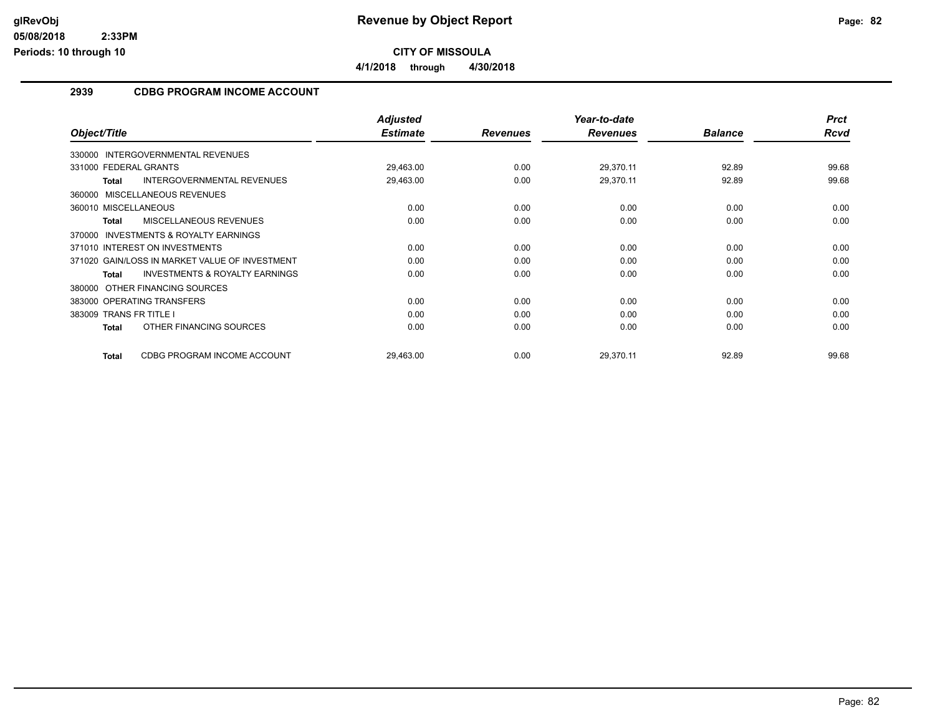**4/1/2018 through 4/30/2018**

## **2939 CDBG PROGRAM INCOME ACCOUNT**

|                                                           | <b>Adjusted</b> |                 | Year-to-date    |                | <b>Prct</b> |
|-----------------------------------------------------------|-----------------|-----------------|-----------------|----------------|-------------|
| Object/Title                                              | <b>Estimate</b> | <b>Revenues</b> | <b>Revenues</b> | <b>Balance</b> | <b>Rcvd</b> |
| 330000 INTERGOVERNMENTAL REVENUES                         |                 |                 |                 |                |             |
| 331000 FEDERAL GRANTS                                     | 29,463.00       | 0.00            | 29,370.11       | 92.89          | 99.68       |
| <b>INTERGOVERNMENTAL REVENUES</b><br><b>Total</b>         | 29,463.00       | 0.00            | 29,370.11       | 92.89          | 99.68       |
| 360000 MISCELLANEOUS REVENUES                             |                 |                 |                 |                |             |
| 360010 MISCELLANEOUS                                      | 0.00            | 0.00            | 0.00            | 0.00           | 0.00        |
| MISCELLANEOUS REVENUES<br><b>Total</b>                    | 0.00            | 0.00            | 0.00            | 0.00           | 0.00        |
| 370000 INVESTMENTS & ROYALTY EARNINGS                     |                 |                 |                 |                |             |
| 371010 INTEREST ON INVESTMENTS                            | 0.00            | 0.00            | 0.00            | 0.00           | 0.00        |
| 371020 GAIN/LOSS IN MARKET VALUE OF INVESTMENT            | 0.00            | 0.00            | 0.00            | 0.00           | 0.00        |
| <b>INVESTMENTS &amp; ROYALTY EARNINGS</b><br><b>Total</b> | 0.00            | 0.00            | 0.00            | 0.00           | 0.00        |
| 380000 OTHER FINANCING SOURCES                            |                 |                 |                 |                |             |
| 383000 OPERATING TRANSFERS                                | 0.00            | 0.00            | 0.00            | 0.00           | 0.00        |
| 383009 TRANS FR TITLE I                                   | 0.00            | 0.00            | 0.00            | 0.00           | 0.00        |
| OTHER FINANCING SOURCES<br><b>Total</b>                   | 0.00            | 0.00            | 0.00            | 0.00           | 0.00        |
| <b>Total</b><br>CDBG PROGRAM INCOME ACCOUNT               | 29,463.00       | 0.00            | 29,370.11       | 92.89          | 99.68       |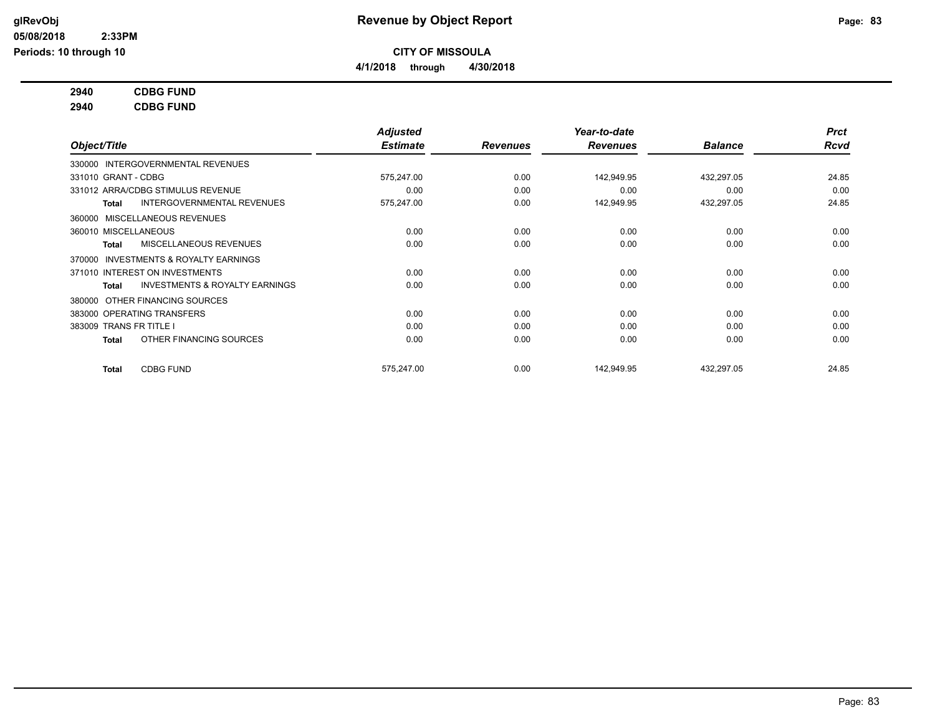**4/1/2018 through 4/30/2018**

## **2940 CDBG FUND**

**2940 CDBG FUND**

|                         |                                           | <b>Adjusted</b> |                 | Year-to-date    |                | <b>Prct</b> |
|-------------------------|-------------------------------------------|-----------------|-----------------|-----------------|----------------|-------------|
| Object/Title            |                                           | <b>Estimate</b> | <b>Revenues</b> | <b>Revenues</b> | <b>Balance</b> | Rcvd        |
|                         | 330000 INTERGOVERNMENTAL REVENUES         |                 |                 |                 |                |             |
| 331010 GRANT - CDBG     |                                           | 575,247.00      | 0.00            | 142,949.95      | 432,297.05     | 24.85       |
|                         | 331012 ARRA/CDBG STIMULUS REVENUE         | 0.00            | 0.00            | 0.00            | 0.00           | 0.00        |
| Total                   | <b>INTERGOVERNMENTAL REVENUES</b>         | 575,247.00      | 0.00            | 142,949.95      | 432,297.05     | 24.85       |
|                         | 360000 MISCELLANEOUS REVENUES             |                 |                 |                 |                |             |
| 360010 MISCELLANEOUS    |                                           | 0.00            | 0.00            | 0.00            | 0.00           | 0.00        |
| Total                   | MISCELLANEOUS REVENUES                    | 0.00            | 0.00            | 0.00            | 0.00           | 0.00        |
| 370000                  | <b>INVESTMENTS &amp; ROYALTY EARNINGS</b> |                 |                 |                 |                |             |
|                         | 371010 INTEREST ON INVESTMENTS            | 0.00            | 0.00            | 0.00            | 0.00           | 0.00        |
| Total                   | <b>INVESTMENTS &amp; ROYALTY EARNINGS</b> | 0.00            | 0.00            | 0.00            | 0.00           | 0.00        |
| 380000                  | OTHER FINANCING SOURCES                   |                 |                 |                 |                |             |
|                         | 383000 OPERATING TRANSFERS                | 0.00            | 0.00            | 0.00            | 0.00           | 0.00        |
| 383009 TRANS FR TITLE I |                                           | 0.00            | 0.00            | 0.00            | 0.00           | 0.00        |
| Total                   | OTHER FINANCING SOURCES                   | 0.00            | 0.00            | 0.00            | 0.00           | 0.00        |
| Total                   | <b>CDBG FUND</b>                          | 575,247.00      | 0.00            | 142,949.95      | 432,297.05     | 24.85       |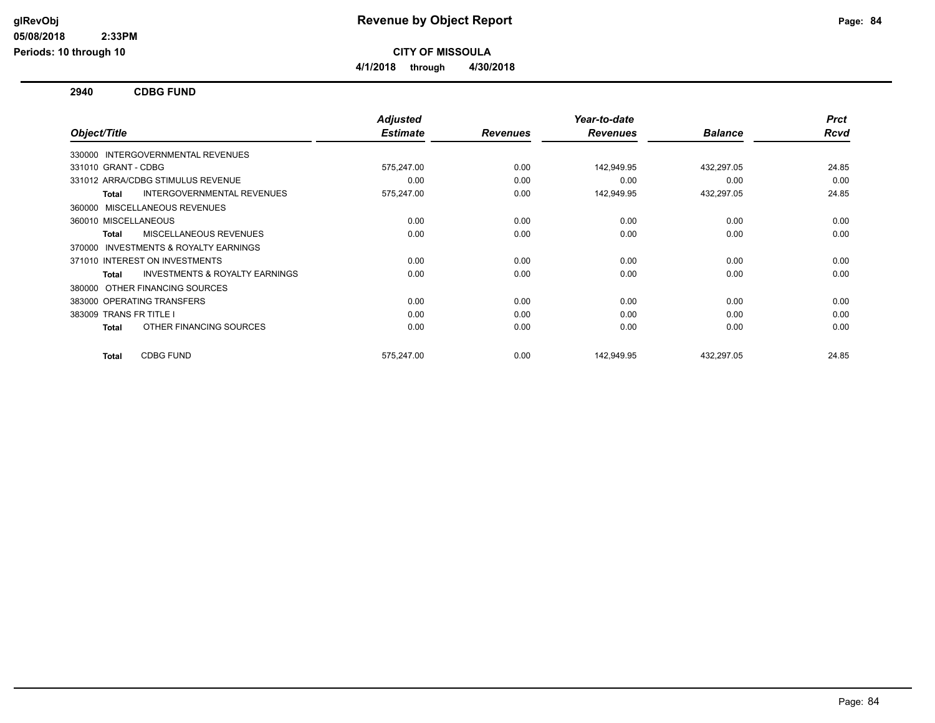**4/1/2018 through 4/30/2018**

**2940 CDBG FUND**

|                                                     | <b>Adjusted</b> |                 | Year-to-date    |                | <b>Prct</b> |
|-----------------------------------------------------|-----------------|-----------------|-----------------|----------------|-------------|
| Object/Title                                        | <b>Estimate</b> | <b>Revenues</b> | <b>Revenues</b> | <b>Balance</b> | <b>Rcvd</b> |
| 330000 INTERGOVERNMENTAL REVENUES                   |                 |                 |                 |                |             |
| 331010 GRANT - CDBG                                 | 575,247.00      | 0.00            | 142,949.95      | 432,297.05     | 24.85       |
| 331012 ARRA/CDBG STIMULUS REVENUE                   | 0.00            | 0.00            | 0.00            | 0.00           | 0.00        |
| <b>INTERGOVERNMENTAL REVENUES</b><br>Total          | 575,247.00      | 0.00            | 142,949.95      | 432,297.05     | 24.85       |
| 360000 MISCELLANEOUS REVENUES                       |                 |                 |                 |                |             |
| 360010 MISCELLANEOUS                                | 0.00            | 0.00            | 0.00            | 0.00           | 0.00        |
| <b>MISCELLANEOUS REVENUES</b><br>Total              | 0.00            | 0.00            | 0.00            | 0.00           | 0.00        |
| <b>INVESTMENTS &amp; ROYALTY EARNINGS</b><br>370000 |                 |                 |                 |                |             |
| 371010 INTEREST ON INVESTMENTS                      | 0.00            | 0.00            | 0.00            | 0.00           | 0.00        |
| <b>INVESTMENTS &amp; ROYALTY EARNINGS</b><br>Total  | 0.00            | 0.00            | 0.00            | 0.00           | 0.00        |
| 380000 OTHER FINANCING SOURCES                      |                 |                 |                 |                |             |
| 383000 OPERATING TRANSFERS                          | 0.00            | 0.00            | 0.00            | 0.00           | 0.00        |
| 383009 TRANS FR TITLE I                             | 0.00            | 0.00            | 0.00            | 0.00           | 0.00        |
| OTHER FINANCING SOURCES<br><b>Total</b>             | 0.00            | 0.00            | 0.00            | 0.00           | 0.00        |
| <b>CDBG FUND</b><br><b>Total</b>                    | 575,247.00      | 0.00            | 142,949.95      | 432,297.05     | 24.85       |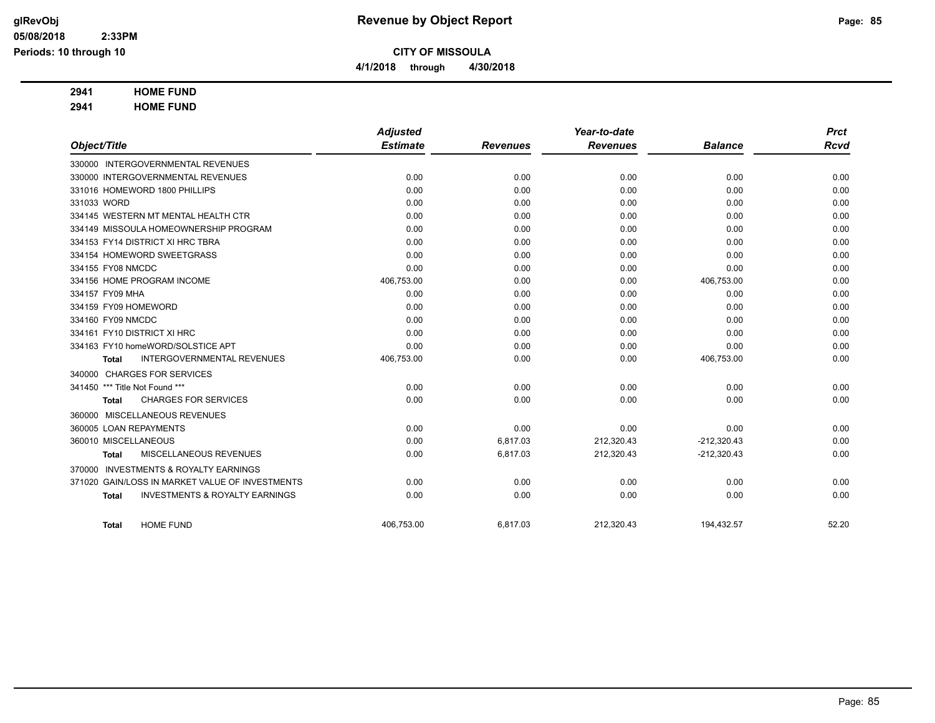**4/1/2018 through 4/30/2018**

## **2941 HOME FUND**

**2941 HOME FUND**

|                                                           | <b>Adjusted</b> |                 | Year-to-date    |                | <b>Prct</b> |
|-----------------------------------------------------------|-----------------|-----------------|-----------------|----------------|-------------|
| Object/Title                                              | <b>Estimate</b> | <b>Revenues</b> | <b>Revenues</b> | <b>Balance</b> | <b>Rcvd</b> |
| 330000 INTERGOVERNMENTAL REVENUES                         |                 |                 |                 |                |             |
| 330000 INTERGOVERNMENTAL REVENUES                         | 0.00            | 0.00            | 0.00            | 0.00           | 0.00        |
| 331016 HOMEWORD 1800 PHILLIPS                             | 0.00            | 0.00            | 0.00            | 0.00           | 0.00        |
| 331033 WORD                                               | 0.00            | 0.00            | 0.00            | 0.00           | 0.00        |
| 334145 WESTERN MT MENTAL HEALTH CTR                       | 0.00            | 0.00            | 0.00            | 0.00           | 0.00        |
| 334149 MISSOULA HOMEOWNERSHIP PROGRAM                     | 0.00            | 0.00            | 0.00            | 0.00           | 0.00        |
| 334153 FY14 DISTRICT XI HRC TBRA                          | 0.00            | 0.00            | 0.00            | 0.00           | 0.00        |
| 334154 HOMEWORD SWEETGRASS                                | 0.00            | 0.00            | 0.00            | 0.00           | 0.00        |
| 334155 FY08 NMCDC                                         | 0.00            | 0.00            | 0.00            | 0.00           | 0.00        |
| 334156 HOME PROGRAM INCOME                                | 406,753.00      | 0.00            | 0.00            | 406,753.00     | 0.00        |
| 334157 FY09 MHA                                           | 0.00            | 0.00            | 0.00            | 0.00           | 0.00        |
| 334159 FY09 HOMEWORD                                      | 0.00            | 0.00            | 0.00            | 0.00           | 0.00        |
| 334160 FY09 NMCDC                                         | 0.00            | 0.00            | 0.00            | 0.00           | 0.00        |
| 334161 FY10 DISTRICT XI HRC                               | 0.00            | 0.00            | 0.00            | 0.00           | 0.00        |
| 334163 FY10 homeWORD/SOLSTICE APT                         | 0.00            | 0.00            | 0.00            | 0.00           | 0.00        |
| <b>INTERGOVERNMENTAL REVENUES</b><br><b>Total</b>         | 406,753.00      | 0.00            | 0.00            | 406,753.00     | 0.00        |
| 340000 CHARGES FOR SERVICES                               |                 |                 |                 |                |             |
| 341450 *** Title Not Found ***                            | 0.00            | 0.00            | 0.00            | 0.00           | 0.00        |
| <b>CHARGES FOR SERVICES</b><br><b>Total</b>               | 0.00            | 0.00            | 0.00            | 0.00           | 0.00        |
| 360000 MISCELLANEOUS REVENUES                             |                 |                 |                 |                |             |
| 360005 LOAN REPAYMENTS                                    | 0.00            | 0.00            | 0.00            | 0.00           | 0.00        |
| 360010 MISCELLANEOUS                                      | 0.00            | 6,817.03        | 212,320.43      | $-212,320.43$  | 0.00        |
| <b>MISCELLANEOUS REVENUES</b><br><b>Total</b>             | 0.00            | 6,817.03        | 212,320.43      | $-212,320.43$  | 0.00        |
| 370000 INVESTMENTS & ROYALTY EARNINGS                     |                 |                 |                 |                |             |
| 371020 GAIN/LOSS IN MARKET VALUE OF INVESTMENTS           | 0.00            | 0.00            | 0.00            | 0.00           | 0.00        |
| <b>INVESTMENTS &amp; ROYALTY EARNINGS</b><br><b>Total</b> | 0.00            | 0.00            | 0.00            | 0.00           | 0.00        |
| <b>HOME FUND</b><br><b>Total</b>                          | 406,753.00      | 6,817.03        | 212,320.43      | 194,432.57     | 52.20       |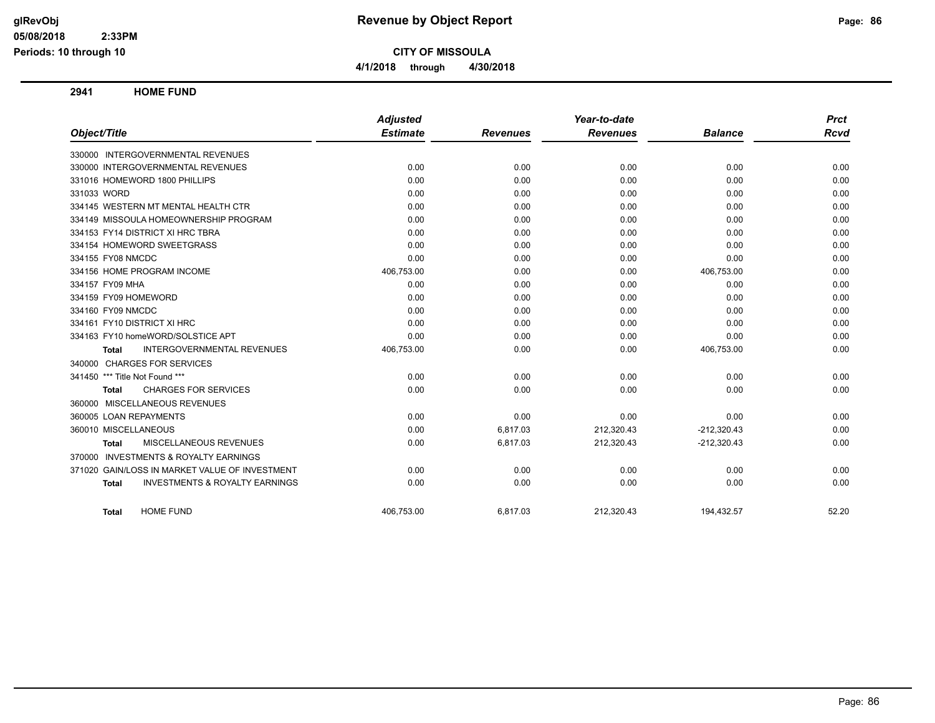**4/1/2018 through 4/30/2018**

**2941 HOME FUND**

|                                                           | <b>Adjusted</b> |                 | Year-to-date    |                | <b>Prct</b> |
|-----------------------------------------------------------|-----------------|-----------------|-----------------|----------------|-------------|
| Object/Title                                              | <b>Estimate</b> | <b>Revenues</b> | <b>Revenues</b> | <b>Balance</b> | <b>Rcvd</b> |
| 330000 INTERGOVERNMENTAL REVENUES                         |                 |                 |                 |                |             |
| 330000 INTERGOVERNMENTAL REVENUES                         | 0.00            | 0.00            | 0.00            | 0.00           | 0.00        |
| 331016 HOMEWORD 1800 PHILLIPS                             | 0.00            | 0.00            | 0.00            | 0.00           | 0.00        |
| 331033 WORD                                               | 0.00            | 0.00            | 0.00            | 0.00           | 0.00        |
| 334145 WESTERN MT MENTAL HEALTH CTR                       | 0.00            | 0.00            | 0.00            | 0.00           | 0.00        |
| 334149 MISSOULA HOMEOWNERSHIP PROGRAM                     | 0.00            | 0.00            | 0.00            | 0.00           | 0.00        |
| 334153 FY14 DISTRICT XI HRC TBRA                          | 0.00            | 0.00            | 0.00            | 0.00           | 0.00        |
| 334154 HOMEWORD SWEETGRASS                                | 0.00            | 0.00            | 0.00            | 0.00           | 0.00        |
| 334155 FY08 NMCDC                                         | 0.00            | 0.00            | 0.00            | 0.00           | 0.00        |
| 334156 HOME PROGRAM INCOME                                | 406,753.00      | 0.00            | 0.00            | 406,753.00     | 0.00        |
| 334157 FY09 MHA                                           | 0.00            | 0.00            | 0.00            | 0.00           | 0.00        |
| 334159 FY09 HOMEWORD                                      | 0.00            | 0.00            | 0.00            | 0.00           | 0.00        |
| 334160 FY09 NMCDC                                         | 0.00            | 0.00            | 0.00            | 0.00           | 0.00        |
| 334161 FY10 DISTRICT XI HRC                               | 0.00            | 0.00            | 0.00            | 0.00           | 0.00        |
| 334163 FY10 homeWORD/SOLSTICE APT                         | 0.00            | 0.00            | 0.00            | 0.00           | 0.00        |
| INTERGOVERNMENTAL REVENUES<br><b>Total</b>                | 406,753.00      | 0.00            | 0.00            | 406,753.00     | 0.00        |
| 340000 CHARGES FOR SERVICES                               |                 |                 |                 |                |             |
| 341450 *** Title Not Found ***                            | 0.00            | 0.00            | 0.00            | 0.00           | 0.00        |
| <b>CHARGES FOR SERVICES</b><br><b>Total</b>               | 0.00            | 0.00            | 0.00            | 0.00           | 0.00        |
| 360000 MISCELLANEOUS REVENUES                             |                 |                 |                 |                |             |
| 360005 LOAN REPAYMENTS                                    | 0.00            | 0.00            | 0.00            | 0.00           | 0.00        |
| 360010 MISCELLANEOUS                                      | 0.00            | 6,817.03        | 212,320.43      | $-212,320.43$  | 0.00        |
| <b>MISCELLANEOUS REVENUES</b><br><b>Total</b>             | 0.00            | 6,817.03        | 212,320.43      | $-212,320.43$  | 0.00        |
| 370000 INVESTMENTS & ROYALTY EARNINGS                     |                 |                 |                 |                |             |
| 371020 GAIN/LOSS IN MARKET VALUE OF INVESTMENT            | 0.00            | 0.00            | 0.00            | 0.00           | 0.00        |
| <b>INVESTMENTS &amp; ROYALTY EARNINGS</b><br><b>Total</b> | 0.00            | 0.00            | 0.00            | 0.00           | 0.00        |
| <b>HOME FUND</b><br><b>Total</b>                          | 406,753.00      | 6,817.03        | 212,320.43      | 194,432.57     | 52.20       |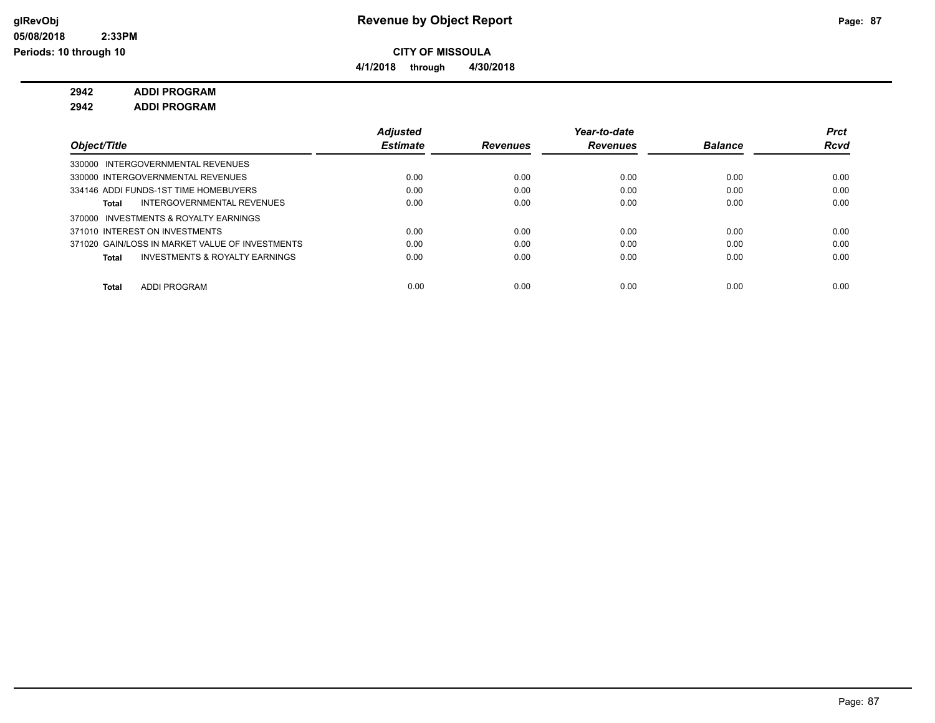**4/1/2018 through 4/30/2018**

## **2942 ADDI PROGRAM**

**2942 ADDI PROGRAM**

|                                                    | <b>Adjusted</b> |                 | Year-to-date    |                | Prct        |
|----------------------------------------------------|-----------------|-----------------|-----------------|----------------|-------------|
| Object/Title                                       | <b>Estimate</b> | <b>Revenues</b> | <b>Revenues</b> | <b>Balance</b> | <b>Rcvd</b> |
| 330000 INTERGOVERNMENTAL REVENUES                  |                 |                 |                 |                |             |
| 330000 INTERGOVERNMENTAL REVENUES                  | 0.00            | 0.00            | 0.00            | 0.00           | 0.00        |
| 334146 ADDI FUNDS-1ST TIME HOMEBUYERS              | 0.00            | 0.00            | 0.00            | 0.00           | 0.00        |
| INTERGOVERNMENTAL REVENUES<br>Total                | 0.00            | 0.00            | 0.00            | 0.00           | 0.00        |
| 370000 INVESTMENTS & ROYALTY EARNINGS              |                 |                 |                 |                |             |
| 371010 INTEREST ON INVESTMENTS                     | 0.00            | 0.00            | 0.00            | 0.00           | 0.00        |
| 371020 GAIN/LOSS IN MARKET VALUE OF INVESTMENTS    | 0.00            | 0.00            | 0.00            | 0.00           | 0.00        |
| <b>INVESTMENTS &amp; ROYALTY EARNINGS</b><br>Total | 0.00            | 0.00            | 0.00            | 0.00           | 0.00        |
| <b>ADDI PROGRAM</b><br><b>Total</b>                | 0.00            | 0.00            | 0.00            | 0.00           | 0.00        |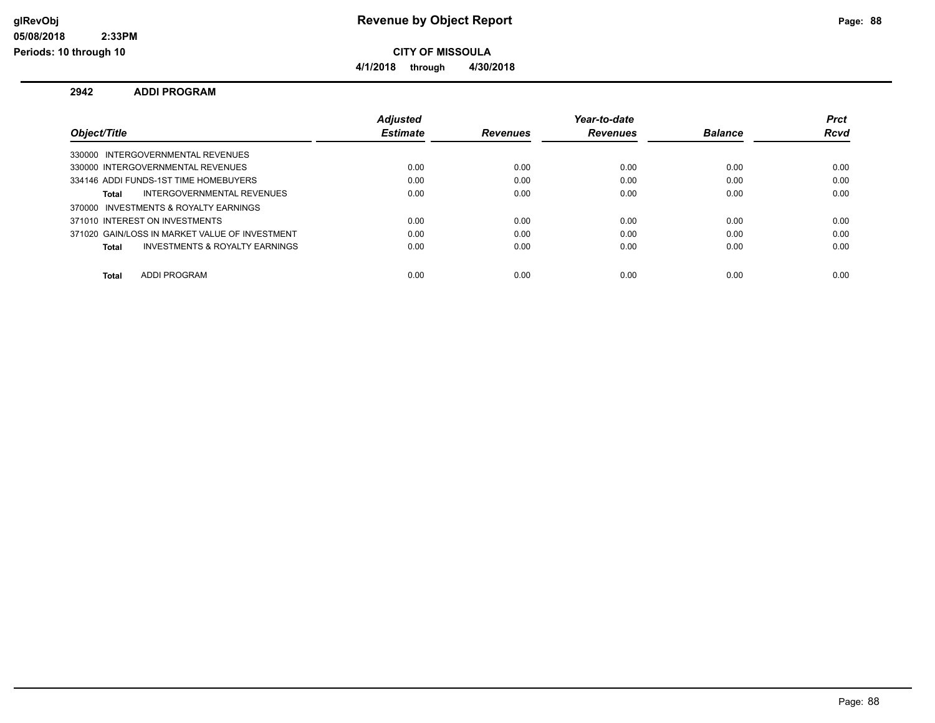**4/1/2018 through 4/30/2018**

### **2942 ADDI PROGRAM**

|                                                | <b>Adjusted</b> |                 | Year-to-date    |                | <b>Prct</b> |
|------------------------------------------------|-----------------|-----------------|-----------------|----------------|-------------|
| Object/Title                                   | <b>Estimate</b> | <b>Revenues</b> | <b>Revenues</b> | <b>Balance</b> | <b>Rcvd</b> |
| 330000 INTERGOVERNMENTAL REVENUES              |                 |                 |                 |                |             |
| 330000 INTERGOVERNMENTAL REVENUES              | 0.00            | 0.00            | 0.00            | 0.00           | 0.00        |
| 334146 ADDI FUNDS-1ST TIME HOMEBUYERS          | 0.00            | 0.00            | 0.00            | 0.00           | 0.00        |
| INTERGOVERNMENTAL REVENUES<br>Total            | 0.00            | 0.00            | 0.00            | 0.00           | 0.00        |
| 370000 INVESTMENTS & ROYALTY EARNINGS          |                 |                 |                 |                |             |
| 371010 INTEREST ON INVESTMENTS                 | 0.00            | 0.00            | 0.00            | 0.00           | 0.00        |
| 371020 GAIN/LOSS IN MARKET VALUE OF INVESTMENT | 0.00            | 0.00            | 0.00            | 0.00           | 0.00        |
| INVESTMENTS & ROYALTY EARNINGS<br>Total        | 0.00            | 0.00            | 0.00            | 0.00           | 0.00        |
| ADDI PROGRAM<br><b>Total</b>                   | 0.00            | 0.00            | 0.00            | 0.00           | 0.00        |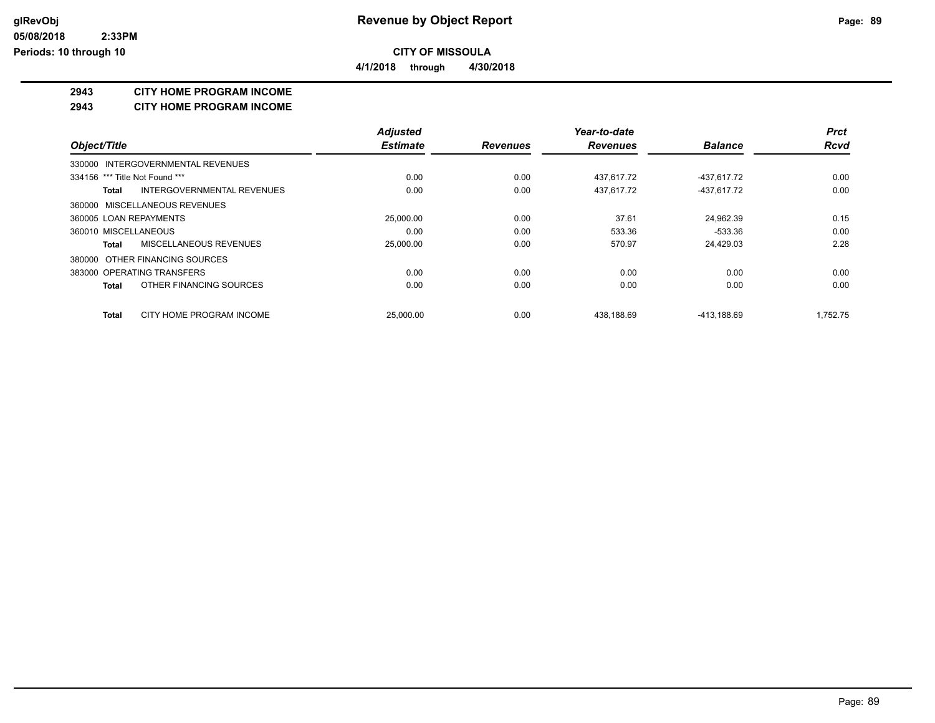**4/1/2018 through 4/30/2018**

### **2943 CITY HOME PROGRAM INCOME**

### **2943 CITY HOME PROGRAM INCOME**

|                                     | <b>Adjusted</b> |                 | Year-to-date    |                | <b>Prct</b> |
|-------------------------------------|-----------------|-----------------|-----------------|----------------|-------------|
| Object/Title                        | <b>Estimate</b> | <b>Revenues</b> | <b>Revenues</b> | <b>Balance</b> | <b>Rcvd</b> |
| 330000 INTERGOVERNMENTAL REVENUES   |                 |                 |                 |                |             |
| 334156 *** Title Not Found ***      | 0.00            | 0.00            | 437,617.72      | -437,617.72    | 0.00        |
| INTERGOVERNMENTAL REVENUES<br>Total | 0.00            | 0.00            | 437,617.72      | -437,617.72    | 0.00        |
| 360000 MISCELLANEOUS REVENUES       |                 |                 |                 |                |             |
| 360005 LOAN REPAYMENTS              | 25,000.00       | 0.00            | 37.61           | 24.962.39      | 0.15        |
| 360010 MISCELLANEOUS                | 0.00            | 0.00            | 533.36          | -533.36        | 0.00        |
| MISCELLANEOUS REVENUES<br>Total     | 25,000.00       | 0.00            | 570.97          | 24.429.03      | 2.28        |
| 380000 OTHER FINANCING SOURCES      |                 |                 |                 |                |             |
| 383000 OPERATING TRANSFERS          | 0.00            | 0.00            | 0.00            | 0.00           | 0.00        |
| OTHER FINANCING SOURCES<br>Total    | 0.00            | 0.00            | 0.00            | 0.00           | 0.00        |
| CITY HOME PROGRAM INCOME<br>Total   | 25.000.00       | 0.00            | 438.188.69      | -413.188.69    | 1.752.75    |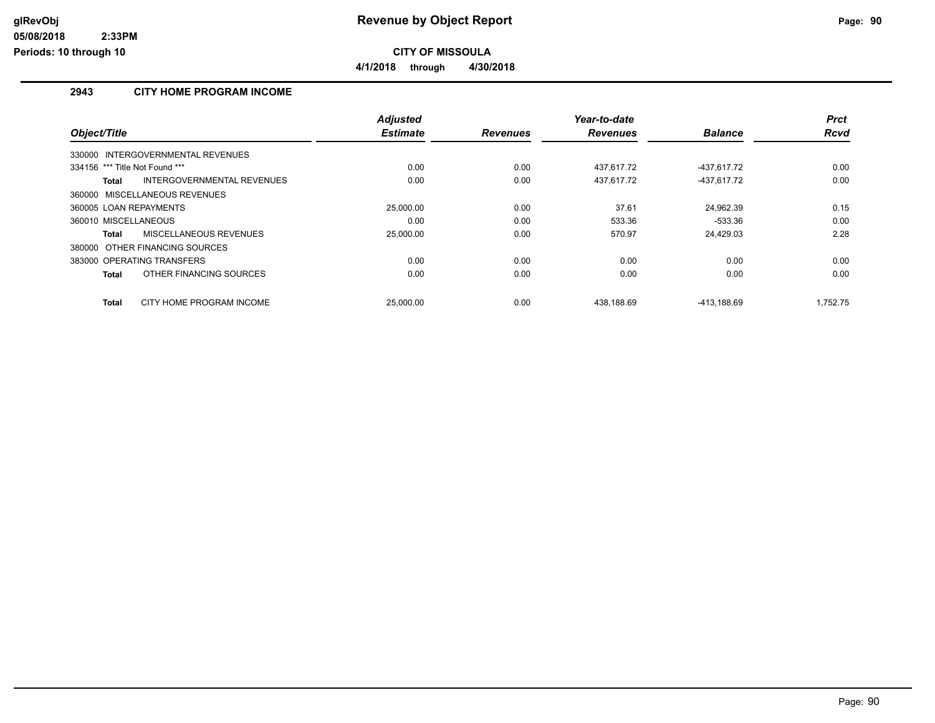**4/1/2018 through 4/30/2018**

## **2943 CITY HOME PROGRAM INCOME**

| Object/Title                             | <b>Adjusted</b><br><b>Estimate</b> | <b>Revenues</b> | Year-to-date<br><b>Revenues</b> | <b>Balance</b> | <b>Prct</b><br>Rcvd |
|------------------------------------------|------------------------------------|-----------------|---------------------------------|----------------|---------------------|
|                                          |                                    |                 |                                 |                |                     |
| 330000 INTERGOVERNMENTAL REVENUES        |                                    |                 |                                 |                |                     |
| 334156 *** Title Not Found ***           | 0.00                               | 0.00            | 437,617.72                      | -437,617.72    | 0.00                |
| INTERGOVERNMENTAL REVENUES<br>Total      | 0.00                               | 0.00            | 437,617.72                      | -437.617.72    | 0.00                |
| 360000 MISCELLANEOUS REVENUES            |                                    |                 |                                 |                |                     |
| 360005 LOAN REPAYMENTS                   | 25.000.00                          | 0.00            | 37.61                           | 24.962.39      | 0.15                |
| 360010 MISCELLANEOUS                     | 0.00                               | 0.00            | 533.36                          | $-533.36$      | 0.00                |
| MISCELLANEOUS REVENUES<br>Total          | 25,000.00                          | 0.00            | 570.97                          | 24.429.03      | 2.28                |
| 380000 OTHER FINANCING SOURCES           |                                    |                 |                                 |                |                     |
| 383000 OPERATING TRANSFERS               | 0.00                               | 0.00            | 0.00                            | 0.00           | 0.00                |
| OTHER FINANCING SOURCES<br><b>Total</b>  | 0.00                               | 0.00            | 0.00                            | 0.00           | 0.00                |
| CITY HOME PROGRAM INCOME<br><b>Total</b> | 25.000.00                          | 0.00            | 438.188.69                      | -413.188.69    | 1.752.75            |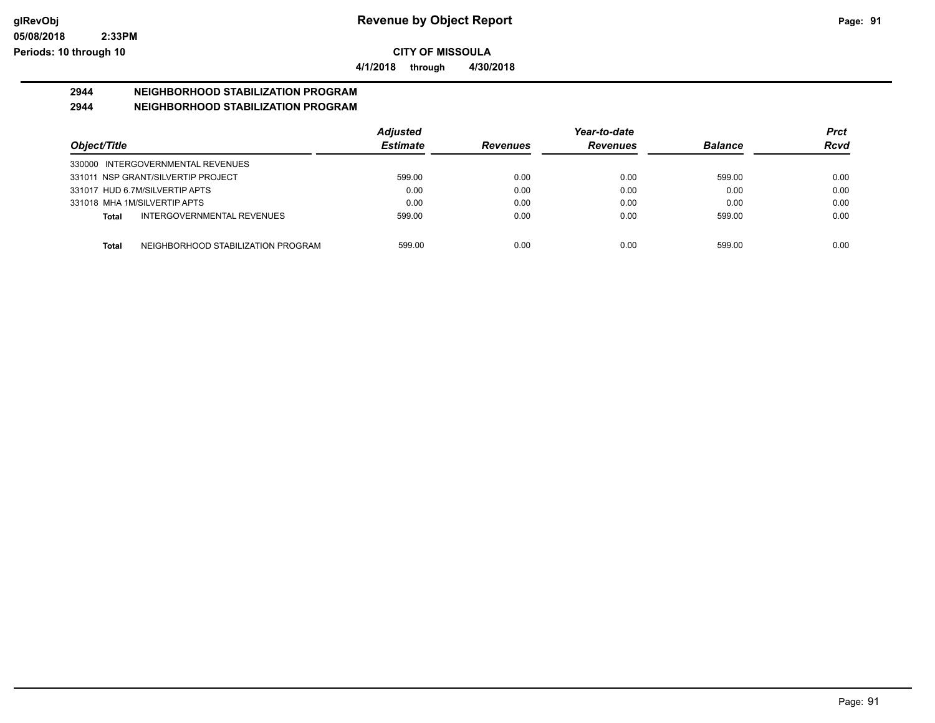**4/1/2018 through 4/30/2018**

# **2944 NEIGHBORHOOD STABILIZATION PROGRAM**

## **2944 NEIGHBORHOOD STABILIZATION PROGRAM**

|                                                    | <b>Adjusted</b> |                 | Year-to-date    |                | <b>Prct</b> |
|----------------------------------------------------|-----------------|-----------------|-----------------|----------------|-------------|
| Object/Title                                       | <b>Estimate</b> | <b>Revenues</b> | <b>Revenues</b> | <b>Balance</b> | Rcvd        |
| 330000 INTERGOVERNMENTAL REVENUES                  |                 |                 |                 |                |             |
| 331011 NSP GRANT/SILVERTIP PROJECT                 | 599.00          | 0.00            | 0.00            | 599.00         | 0.00        |
| 331017 HUD 6.7M/SILVERTIP APTS                     | 0.00            | 0.00            | 0.00            | 0.00           | 0.00        |
| 331018 MHA 1M/SILVERTIP APTS                       | 0.00            | 0.00            | 0.00            | 0.00           | 0.00        |
| INTERGOVERNMENTAL REVENUES<br>Total                | 599.00          | 0.00            | 0.00            | 599.00         | 0.00        |
| NEIGHBORHOOD STABILIZATION PROGRAM<br><b>Total</b> | 599.00          | 0.00            | 0.00            | 599.00         | 0.00        |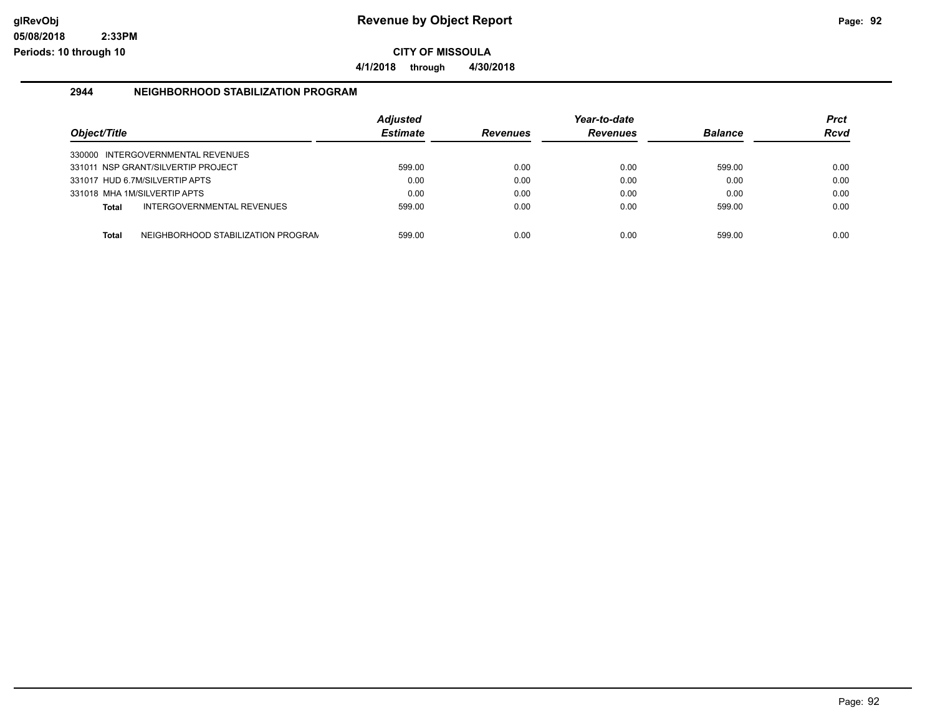**4/1/2018 through 4/30/2018**

### **2944 NEIGHBORHOOD STABILIZATION PROGRAM**

| Object/Title |                                    | <b>Adjusted</b><br><b>Estimate</b> | <b>Revenues</b> | Year-to-date<br><b>Revenues</b> | <b>Balance</b> | <b>Prct</b><br><b>Rcvd</b> |
|--------------|------------------------------------|------------------------------------|-----------------|---------------------------------|----------------|----------------------------|
|              | 330000 INTERGOVERNMENTAL REVENUES  |                                    |                 |                                 |                |                            |
|              | 331011 NSP GRANT/SILVERTIP PROJECT | 599.00                             | 0.00            | 0.00                            | 599.00         | 0.00                       |
|              | 331017 HUD 6.7M/SILVERTIP APTS     | 0.00                               | 0.00            | 0.00                            | 0.00           | 0.00                       |
|              | 331018 MHA 1M/SILVERTIP APTS       | 0.00                               | 0.00            | 0.00                            | 0.00           | 0.00                       |
| Total        | INTERGOVERNMENTAL REVENUES         | 599.00                             | 0.00            | 0.00                            | 599.00         | 0.00                       |
| <b>Total</b> | NEIGHBORHOOD STABILIZATION PROGRAM | 599.00                             | 0.00            | 0.00                            | 599.00         | 0.00                       |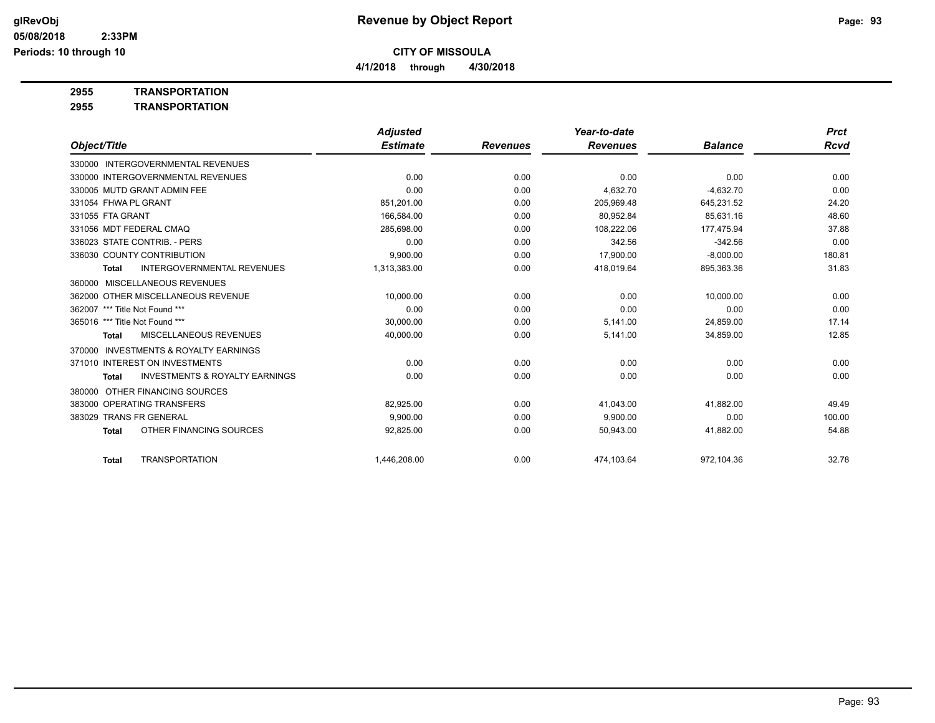**4/1/2018 through 4/30/2018**

**2955 TRANSPORTATION**

**2955 TRANSPORTATION**

|                                                           | <b>Adjusted</b> |                 | Year-to-date    |                | <b>Prct</b> |
|-----------------------------------------------------------|-----------------|-----------------|-----------------|----------------|-------------|
| Object/Title                                              | <b>Estimate</b> | <b>Revenues</b> | <b>Revenues</b> | <b>Balance</b> | Rcvd        |
| 330000 INTERGOVERNMENTAL REVENUES                         |                 |                 |                 |                |             |
| 330000 INTERGOVERNMENTAL REVENUES                         | 0.00            | 0.00            | 0.00            | 0.00           | 0.00        |
| 330005 MUTD GRANT ADMIN FEE                               | 0.00            | 0.00            | 4,632.70        | $-4,632.70$    | 0.00        |
| 331054 FHWA PL GRANT                                      | 851.201.00      | 0.00            | 205.969.48      | 645,231.52     | 24.20       |
| 331055 FTA GRANT                                          | 166,584.00      | 0.00            | 80.952.84       | 85.631.16      | 48.60       |
| 331056 MDT FEDERAL CMAO                                   | 285,698.00      | 0.00            | 108,222.06      | 177,475.94     | 37.88       |
| 336023 STATE CONTRIB. - PERS                              | 0.00            | 0.00            | 342.56          | $-342.56$      | 0.00        |
| 336030 COUNTY CONTRIBUTION                                | 9,900.00        | 0.00            | 17,900.00       | $-8,000.00$    | 180.81      |
| <b>INTERGOVERNMENTAL REVENUES</b><br><b>Total</b>         | 1,313,383.00    | 0.00            | 418,019.64      | 895,363.36     | 31.83       |
| <b>MISCELLANEOUS REVENUES</b><br>360000                   |                 |                 |                 |                |             |
| 362000 OTHER MISCELLANEOUS REVENUE                        | 10,000.00       | 0.00            | 0.00            | 10,000.00      | 0.00        |
| 362007 *** Title Not Found ***                            | 0.00            | 0.00            | 0.00            | 0.00           | 0.00        |
| 365016 *** Title Not Found ***                            | 30,000.00       | 0.00            | 5,141.00        | 24,859.00      | 17.14       |
| MISCELLANEOUS REVENUES<br><b>Total</b>                    | 40,000.00       | 0.00            | 5,141.00        | 34,859.00      | 12.85       |
| <b>INVESTMENTS &amp; ROYALTY EARNINGS</b><br>370000       |                 |                 |                 |                |             |
| 371010 INTEREST ON INVESTMENTS                            | 0.00            | 0.00            | 0.00            | 0.00           | 0.00        |
| <b>INVESTMENTS &amp; ROYALTY EARNINGS</b><br><b>Total</b> | 0.00            | 0.00            | 0.00            | 0.00           | 0.00        |
| OTHER FINANCING SOURCES<br>380000                         |                 |                 |                 |                |             |
| 383000 OPERATING TRANSFERS                                | 82,925.00       | 0.00            | 41,043.00       | 41,882.00      | 49.49       |
| 383029 TRANS FR GENERAL                                   | 9.900.00        | 0.00            | 9,900.00        | 0.00           | 100.00      |
| OTHER FINANCING SOURCES<br><b>Total</b>                   | 92,825.00       | 0.00            | 50,943.00       | 41,882.00      | 54.88       |
| <b>TRANSPORTATION</b><br><b>Total</b>                     | 1,446,208.00    | 0.00            | 474,103.64      | 972,104.36     | 32.78       |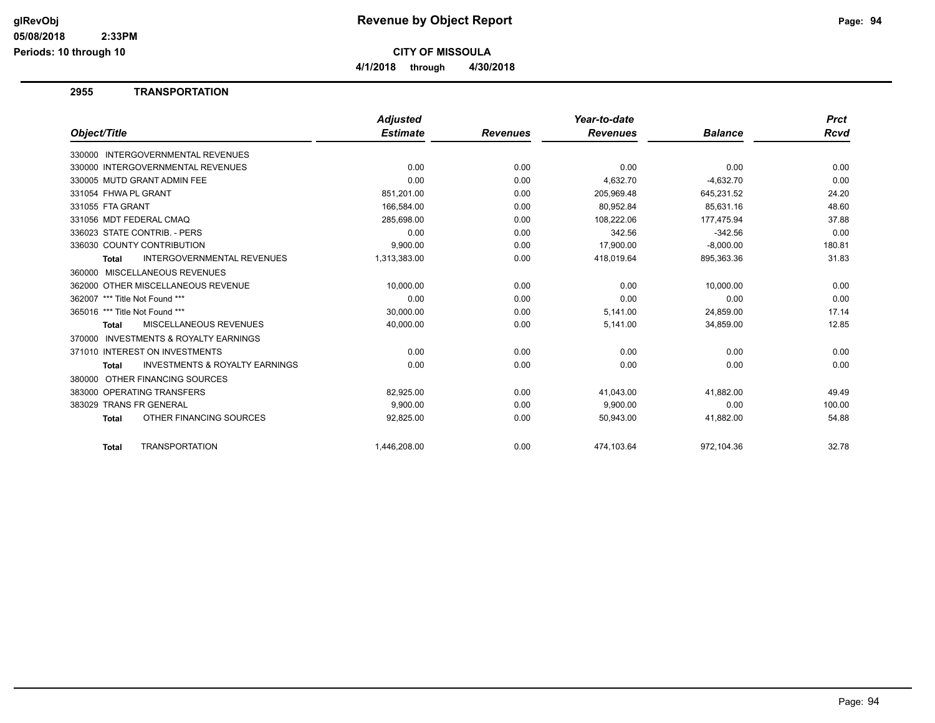**4/1/2018 through 4/30/2018**

### **2955 TRANSPORTATION**

|                                                           | <b>Adjusted</b> |                 | Year-to-date    |                | <b>Prct</b> |
|-----------------------------------------------------------|-----------------|-----------------|-----------------|----------------|-------------|
| Object/Title                                              | <b>Estimate</b> | <b>Revenues</b> | <b>Revenues</b> | <b>Balance</b> | Rcvd        |
| 330000 INTERGOVERNMENTAL REVENUES                         |                 |                 |                 |                |             |
| 330000 INTERGOVERNMENTAL REVENUES                         | 0.00            | 0.00            | 0.00            | 0.00           | 0.00        |
| 330005 MUTD GRANT ADMIN FEE                               | 0.00            | 0.00            | 4.632.70        | $-4.632.70$    | 0.00        |
| 331054 FHWA PL GRANT                                      | 851,201.00      | 0.00            | 205,969.48      | 645,231.52     | 24.20       |
| 331055 FTA GRANT                                          | 166,584.00      | 0.00            | 80,952.84       | 85,631.16      | 48.60       |
| 331056 MDT FEDERAL CMAQ                                   | 285,698.00      | 0.00            | 108,222.06      | 177,475.94     | 37.88       |
| 336023 STATE CONTRIB. - PERS                              | 0.00            | 0.00            | 342.56          | $-342.56$      | 0.00        |
| 336030 COUNTY CONTRIBUTION                                | 9,900.00        | 0.00            | 17,900.00       | $-8,000.00$    | 180.81      |
| <b>INTERGOVERNMENTAL REVENUES</b><br><b>Total</b>         | 1,313,383.00    | 0.00            | 418,019.64      | 895,363.36     | 31.83       |
| 360000 MISCELLANEOUS REVENUES                             |                 |                 |                 |                |             |
| 362000 OTHER MISCELLANEOUS REVENUE                        | 10.000.00       | 0.00            | 0.00            | 10.000.00      | 0.00        |
| 362007 *** Title Not Found ***                            | 0.00            | 0.00            | 0.00            | 0.00           | 0.00        |
| 365016 *** Title Not Found ***                            | 30,000.00       | 0.00            | 5,141.00        | 24,859.00      | 17.14       |
| MISCELLANEOUS REVENUES<br><b>Total</b>                    | 40,000.00       | 0.00            | 5,141.00        | 34,859.00      | 12.85       |
| INVESTMENTS & ROYALTY EARNINGS<br>370000                  |                 |                 |                 |                |             |
| 371010 INTEREST ON INVESTMENTS                            | 0.00            | 0.00            | 0.00            | 0.00           | 0.00        |
| <b>INVESTMENTS &amp; ROYALTY EARNINGS</b><br><b>Total</b> | 0.00            | 0.00            | 0.00            | 0.00           | 0.00        |
| 380000 OTHER FINANCING SOURCES                            |                 |                 |                 |                |             |
| 383000 OPERATING TRANSFERS                                | 82,925.00       | 0.00            | 41,043.00       | 41,882.00      | 49.49       |
| 383029 TRANS FR GENERAL                                   | 9,900.00        | 0.00            | 9,900.00        | 0.00           | 100.00      |
| OTHER FINANCING SOURCES<br><b>Total</b>                   | 92,825.00       | 0.00            | 50,943.00       | 41,882.00      | 54.88       |
| <b>TRANSPORTATION</b><br><b>Total</b>                     | 1.446.208.00    | 0.00            | 474.103.64      | 972.104.36     | 32.78       |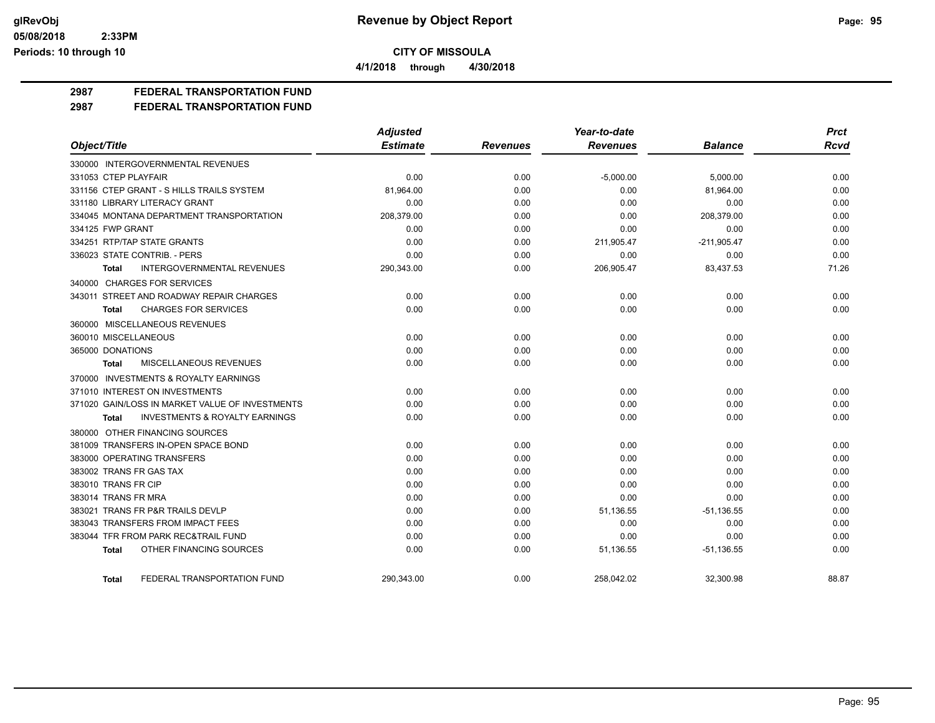**4/1/2018 through 4/30/2018**

**2987 FEDERAL TRANSPORTATION FUND**

**2987 FEDERAL TRANSPORTATION FUND**

|                                                    | <b>Adjusted</b> |                 | Year-to-date    |                | <b>Prct</b> |
|----------------------------------------------------|-----------------|-----------------|-----------------|----------------|-------------|
| Object/Title                                       | <b>Estimate</b> | <b>Revenues</b> | <b>Revenues</b> | <b>Balance</b> | <b>Rcvd</b> |
| 330000 INTERGOVERNMENTAL REVENUES                  |                 |                 |                 |                |             |
| 331053 CTEP PLAYFAIR                               | 0.00            | 0.00            | $-5,000.00$     | 5,000.00       | 0.00        |
| 331156 CTEP GRANT - S HILLS TRAILS SYSTEM          | 81,964.00       | 0.00            | 0.00            | 81,964.00      | 0.00        |
| 331180 LIBRARY LITERACY GRANT                      | 0.00            | 0.00            | 0.00            | 0.00           | 0.00        |
| 334045 MONTANA DEPARTMENT TRANSPORTATION           | 208,379.00      | 0.00            | 0.00            | 208,379.00     | 0.00        |
| 334125 FWP GRANT                                   | 0.00            | 0.00            | 0.00            | 0.00           | 0.00        |
| 334251 RTP/TAP STATE GRANTS                        | 0.00            | 0.00            | 211,905.47      | $-211,905.47$  | 0.00        |
| 336023 STATE CONTRIB. - PERS                       | 0.00            | 0.00            | 0.00            | 0.00           | 0.00        |
| <b>INTERGOVERNMENTAL REVENUES</b><br><b>Total</b>  | 290,343.00      | 0.00            | 206,905.47      | 83,437.53      | 71.26       |
| 340000 CHARGES FOR SERVICES                        |                 |                 |                 |                |             |
| 343011 STREET AND ROADWAY REPAIR CHARGES           | 0.00            | 0.00            | 0.00            | 0.00           | 0.00        |
| <b>CHARGES FOR SERVICES</b><br>Total               | 0.00            | 0.00            | 0.00            | 0.00           | 0.00        |
| 360000 MISCELLANEOUS REVENUES                      |                 |                 |                 |                |             |
| 360010 MISCELLANEOUS                               | 0.00            | 0.00            | 0.00            | 0.00           | 0.00        |
| 365000 DONATIONS                                   | 0.00            | 0.00            | 0.00            | 0.00           | 0.00        |
| MISCELLANEOUS REVENUES<br><b>Total</b>             | 0.00            | 0.00            | 0.00            | 0.00           | 0.00        |
| 370000 INVESTMENTS & ROYALTY EARNINGS              |                 |                 |                 |                |             |
| 371010 INTEREST ON INVESTMENTS                     | 0.00            | 0.00            | 0.00            | 0.00           | 0.00        |
| 371020 GAIN/LOSS IN MARKET VALUE OF INVESTMENTS    | 0.00            | 0.00            | 0.00            | 0.00           | 0.00        |
| <b>INVESTMENTS &amp; ROYALTY EARNINGS</b><br>Total | 0.00            | 0.00            | 0.00            | 0.00           | 0.00        |
| 380000 OTHER FINANCING SOURCES                     |                 |                 |                 |                |             |
| 381009 TRANSFERS IN-OPEN SPACE BOND                | 0.00            | 0.00            | 0.00            | 0.00           | 0.00        |
| 383000 OPERATING TRANSFERS                         | 0.00            | 0.00            | 0.00            | 0.00           | 0.00        |
| 383002 TRANS FR GAS TAX                            | 0.00            | 0.00            | 0.00            | 0.00           | 0.00        |
| 383010 TRANS FR CIP                                | 0.00            | 0.00            | 0.00            | 0.00           | 0.00        |
| 383014 TRANS FR MRA                                | 0.00            | 0.00            | 0.00            | 0.00           | 0.00        |
| 383021 TRANS FR P&R TRAILS DEVLP                   | 0.00            | 0.00            | 51,136.55       | $-51,136.55$   | 0.00        |
| 383043 TRANSFERS FROM IMPACT FEES                  | 0.00            | 0.00            | 0.00            | 0.00           | 0.00        |
| 383044 TFR FROM PARK REC&TRAIL FUND                | 0.00            | 0.00            | 0.00            | 0.00           | 0.00        |
| OTHER FINANCING SOURCES<br><b>Total</b>            | 0.00            | 0.00            | 51,136.55       | $-51, 136.55$  | 0.00        |
| FEDERAL TRANSPORTATION FUND<br><b>Total</b>        | 290.343.00      | 0.00            | 258.042.02      | 32.300.98      | 88.87       |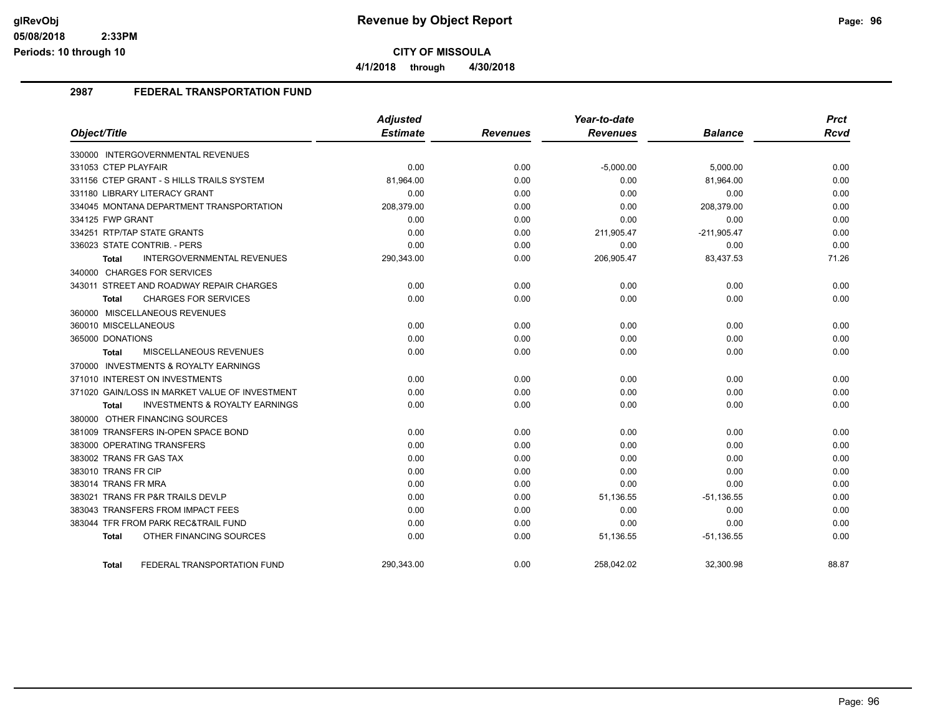**4/1/2018 through 4/30/2018**

## **2987 FEDERAL TRANSPORTATION FUND**

|                                                | <b>Adjusted</b> |                 | Year-to-date    |                | <b>Prct</b> |
|------------------------------------------------|-----------------|-----------------|-----------------|----------------|-------------|
| Object/Title                                   | <b>Estimate</b> | <b>Revenues</b> | <b>Revenues</b> | <b>Balance</b> | <b>Rcvd</b> |
| 330000 INTERGOVERNMENTAL REVENUES              |                 |                 |                 |                |             |
| 331053 CTEP PLAYFAIR                           | 0.00            | 0.00            | $-5,000.00$     | 5,000.00       | 0.00        |
| 331156 CTEP GRANT - S HILLS TRAILS SYSTEM      | 81,964.00       | 0.00            | 0.00            | 81,964.00      | 0.00        |
| 331180 LIBRARY LITERACY GRANT                  | 0.00            | 0.00            | 0.00            | 0.00           | 0.00        |
| 334045 MONTANA DEPARTMENT TRANSPORTATION       | 208,379.00      | 0.00            | 0.00            | 208,379.00     | 0.00        |
| 334125 FWP GRANT                               | 0.00            | 0.00            | 0.00            | 0.00           | 0.00        |
| 334251 RTP/TAP STATE GRANTS                    | 0.00            | 0.00            | 211,905.47      | $-211,905.47$  | 0.00        |
| 336023 STATE CONTRIB. - PERS                   | 0.00            | 0.00            | 0.00            | 0.00           | 0.00        |
| INTERGOVERNMENTAL REVENUES<br><b>Total</b>     | 290,343.00      | 0.00            | 206,905.47      | 83,437.53      | 71.26       |
| 340000 CHARGES FOR SERVICES                    |                 |                 |                 |                |             |
| 343011 STREET AND ROADWAY REPAIR CHARGES       | 0.00            | 0.00            | 0.00            | 0.00           | 0.00        |
| <b>CHARGES FOR SERVICES</b><br><b>Total</b>    | 0.00            | 0.00            | 0.00            | 0.00           | 0.00        |
| 360000 MISCELLANEOUS REVENUES                  |                 |                 |                 |                |             |
| 360010 MISCELLANEOUS                           | 0.00            | 0.00            | 0.00            | 0.00           | 0.00        |
| 365000 DONATIONS                               | 0.00            | 0.00            | 0.00            | 0.00           | 0.00        |
| MISCELLANEOUS REVENUES<br>Total                | 0.00            | 0.00            | 0.00            | 0.00           | 0.00        |
| 370000 INVESTMENTS & ROYALTY EARNINGS          |                 |                 |                 |                |             |
| 371010 INTEREST ON INVESTMENTS                 | 0.00            | 0.00            | 0.00            | 0.00           | 0.00        |
| 371020 GAIN/LOSS IN MARKET VALUE OF INVESTMENT | 0.00            | 0.00            | 0.00            | 0.00           | 0.00        |
| INVESTMENTS & ROYALTY EARNINGS<br><b>Total</b> | 0.00            | 0.00            | 0.00            | 0.00           | 0.00        |
| 380000 OTHER FINANCING SOURCES                 |                 |                 |                 |                |             |
| 381009 TRANSFERS IN-OPEN SPACE BOND            | 0.00            | 0.00            | 0.00            | 0.00           | 0.00        |
| 383000 OPERATING TRANSFERS                     | 0.00            | 0.00            | 0.00            | 0.00           | 0.00        |
| 383002 TRANS FR GAS TAX                        | 0.00            | 0.00            | 0.00            | 0.00           | 0.00        |
| 383010 TRANS FR CIP                            | 0.00            | 0.00            | 0.00            | 0.00           | 0.00        |
| 383014 TRANS FR MRA                            | 0.00            | 0.00            | 0.00            | 0.00           | 0.00        |
| 383021 TRANS FR P&R TRAILS DEVLP               | 0.00            | 0.00            | 51,136.55       | $-51, 136.55$  | 0.00        |
| 383043 TRANSFERS FROM IMPACT FEES              | 0.00            | 0.00            | 0.00            | 0.00           | 0.00        |
| 383044 TFR FROM PARK REC&TRAIL FUND            | 0.00            | 0.00            | 0.00            | 0.00           | 0.00        |
| OTHER FINANCING SOURCES<br><b>Total</b>        | 0.00            | 0.00            | 51,136.55       | $-51,136.55$   | 0.00        |
| FEDERAL TRANSPORTATION FUND<br>Total           | 290,343.00      | 0.00            | 258,042.02      | 32,300.98      | 88.87       |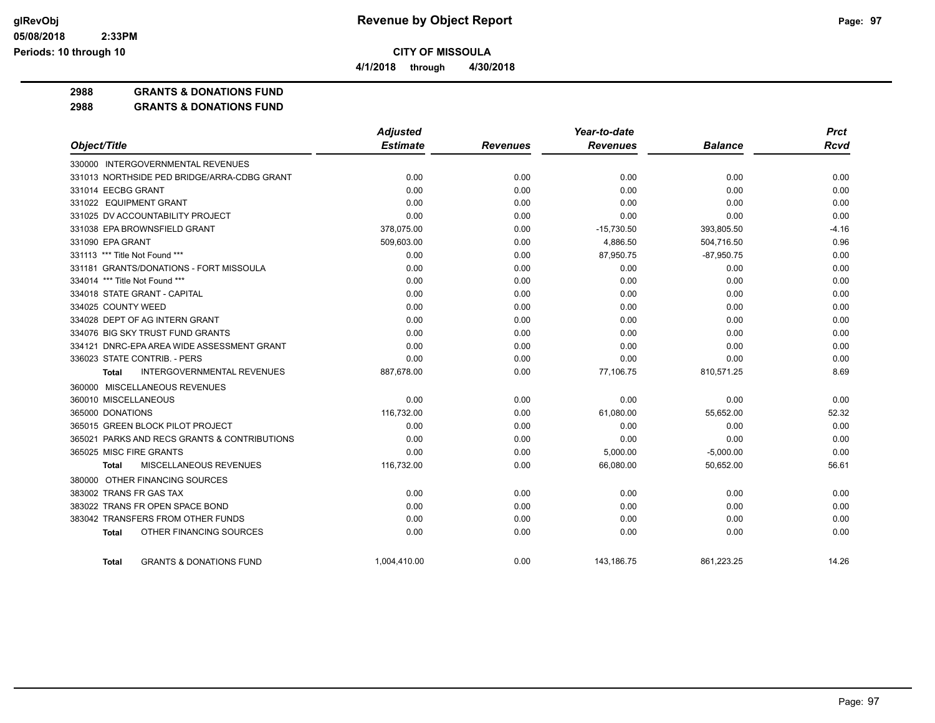**4/1/2018 through 4/30/2018**

**2988 GRANTS & DONATIONS FUND**

**2988 GRANTS & DONATIONS FUND**

|                                                    | <b>Adjusted</b> |                 | Year-to-date    |                | <b>Prct</b> |
|----------------------------------------------------|-----------------|-----------------|-----------------|----------------|-------------|
| Object/Title                                       | <b>Estimate</b> | <b>Revenues</b> | <b>Revenues</b> | <b>Balance</b> | Rcvd        |
| 330000 INTERGOVERNMENTAL REVENUES                  |                 |                 |                 |                |             |
| 331013 NORTHSIDE PED BRIDGE/ARRA-CDBG GRANT        | 0.00            | 0.00            | 0.00            | 0.00           | 0.00        |
| 331014 EECBG GRANT                                 | 0.00            | 0.00            | 0.00            | 0.00           | 0.00        |
| 331022 EQUIPMENT GRANT                             | 0.00            | 0.00            | 0.00            | 0.00           | 0.00        |
| 331025 DV ACCOUNTABILITY PROJECT                   | 0.00            | 0.00            | 0.00            | 0.00           | 0.00        |
| 331038 EPA BROWNSFIELD GRANT                       | 378,075.00      | 0.00            | $-15,730.50$    | 393,805.50     | $-4.16$     |
| 331090 EPA GRANT                                   | 509,603.00      | 0.00            | 4,886.50        | 504,716.50     | 0.96        |
| 331113 *** Title Not Found ***                     | 0.00            | 0.00            | 87,950.75       | $-87,950.75$   | 0.00        |
| 331181 GRANTS/DONATIONS - FORT MISSOULA            | 0.00            | 0.00            | 0.00            | 0.00           | 0.00        |
| 334014 *** Title Not Found ***                     | 0.00            | 0.00            | 0.00            | 0.00           | 0.00        |
| 334018 STATE GRANT - CAPITAL                       | 0.00            | 0.00            | 0.00            | 0.00           | 0.00        |
| 334025 COUNTY WEED                                 | 0.00            | 0.00            | 0.00            | 0.00           | 0.00        |
| 334028 DEPT OF AG INTERN GRANT                     | 0.00            | 0.00            | 0.00            | 0.00           | 0.00        |
| 334076 BIG SKY TRUST FUND GRANTS                   | 0.00            | 0.00            | 0.00            | 0.00           | 0.00        |
| 334121 DNRC-EPA AREA WIDE ASSESSMENT GRANT         | 0.00            | 0.00            | 0.00            | 0.00           | 0.00        |
| 336023 STATE CONTRIB. - PERS                       | 0.00            | 0.00            | 0.00            | 0.00           | 0.00        |
| <b>INTERGOVERNMENTAL REVENUES</b><br><b>Total</b>  | 887,678.00      | 0.00            | 77,106.75       | 810,571.25     | 8.69        |
| 360000 MISCELLANEOUS REVENUES                      |                 |                 |                 |                |             |
| 360010 MISCELLANEOUS                               | 0.00            | 0.00            | 0.00            | 0.00           | 0.00        |
| 365000 DONATIONS                                   | 116,732.00      | 0.00            | 61,080.00       | 55,652.00      | 52.32       |
| 365015 GREEN BLOCK PILOT PROJECT                   | 0.00            | 0.00            | 0.00            | 0.00           | 0.00        |
| 365021 PARKS AND RECS GRANTS & CONTRIBUTIONS       | 0.00            | 0.00            | 0.00            | 0.00           | 0.00        |
| 365025 MISC FIRE GRANTS                            | 0.00            | 0.00            | 5,000.00        | $-5,000.00$    | 0.00        |
| MISCELLANEOUS REVENUES<br>Total                    | 116,732.00      | 0.00            | 66,080.00       | 50,652.00      | 56.61       |
| 380000 OTHER FINANCING SOURCES                     |                 |                 |                 |                |             |
| 383002 TRANS FR GAS TAX                            | 0.00            | 0.00            | 0.00            | 0.00           | 0.00        |
| 383022 TRANS FR OPEN SPACE BOND                    | 0.00            | 0.00            | 0.00            | 0.00           | 0.00        |
| 383042 TRANSFERS FROM OTHER FUNDS                  | 0.00            | 0.00            | 0.00            | 0.00           | 0.00        |
| OTHER FINANCING SOURCES<br><b>Total</b>            | 0.00            | 0.00            | 0.00            | 0.00           | 0.00        |
| <b>GRANTS &amp; DONATIONS FUND</b><br><b>Total</b> | 1.004.410.00    | 0.00            | 143.186.75      | 861.223.25     | 14.26       |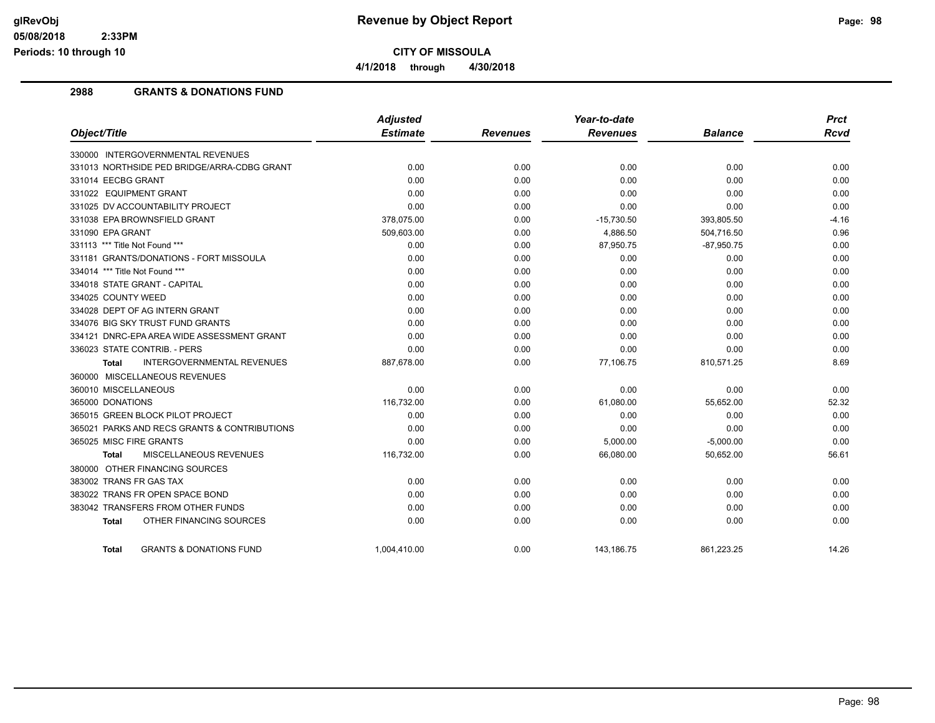**4/1/2018 through 4/30/2018**

## **2988 GRANTS & DONATIONS FUND**

|                                                    | Adjusted        |                 | Year-to-date    |                | <b>Prct</b> |
|----------------------------------------------------|-----------------|-----------------|-----------------|----------------|-------------|
| Object/Title                                       | <b>Estimate</b> | <b>Revenues</b> | <b>Revenues</b> | <b>Balance</b> | Rcvd        |
| 330000 INTERGOVERNMENTAL REVENUES                  |                 |                 |                 |                |             |
| 331013 NORTHSIDE PED BRIDGE/ARRA-CDBG GRANT        | 0.00            | 0.00            | 0.00            | 0.00           | 0.00        |
| 331014 EECBG GRANT                                 | 0.00            | 0.00            | 0.00            | 0.00           | 0.00        |
| 331022 EQUIPMENT GRANT                             | 0.00            | 0.00            | 0.00            | 0.00           | 0.00        |
| 331025 DV ACCOUNTABILITY PROJECT                   | 0.00            | 0.00            | 0.00            | 0.00           | 0.00        |
| 331038 EPA BROWNSFIELD GRANT                       | 378,075.00      | 0.00            | $-15,730.50$    | 393,805.50     | $-4.16$     |
| 331090 EPA GRANT                                   | 509,603.00      | 0.00            | 4,886.50        | 504,716.50     | 0.96        |
| 331113 *** Title Not Found ***                     | 0.00            | 0.00            | 87,950.75       | $-87,950.75$   | 0.00        |
| 331181 GRANTS/DONATIONS - FORT MISSOULA            | 0.00            | 0.00            | 0.00            | 0.00           | 0.00        |
| 334014 *** Title Not Found ***                     | 0.00            | 0.00            | 0.00            | 0.00           | 0.00        |
| 334018 STATE GRANT - CAPITAL                       | 0.00            | 0.00            | 0.00            | 0.00           | 0.00        |
| 334025 COUNTY WEED                                 | 0.00            | 0.00            | 0.00            | 0.00           | 0.00        |
| 334028 DEPT OF AG INTERN GRANT                     | 0.00            | 0.00            | 0.00            | 0.00           | 0.00        |
| 334076 BIG SKY TRUST FUND GRANTS                   | 0.00            | 0.00            | 0.00            | 0.00           | 0.00        |
| 334121 DNRC-EPA AREA WIDE ASSESSMENT GRANT         | 0.00            | 0.00            | 0.00            | 0.00           | 0.00        |
| 336023 STATE CONTRIB. - PERS                       | 0.00            | 0.00            | 0.00            | 0.00           | 0.00        |
| INTERGOVERNMENTAL REVENUES<br><b>Total</b>         | 887,678.00      | 0.00            | 77,106.75       | 810,571.25     | 8.69        |
| 360000 MISCELLANEOUS REVENUES                      |                 |                 |                 |                |             |
| 360010 MISCELLANEOUS                               | 0.00            | 0.00            | 0.00            | 0.00           | 0.00        |
| 365000 DONATIONS                                   | 116,732.00      | 0.00            | 61,080.00       | 55,652.00      | 52.32       |
| 365015 GREEN BLOCK PILOT PROJECT                   | 0.00            | 0.00            | 0.00            | 0.00           | 0.00        |
| 365021 PARKS AND RECS GRANTS & CONTRIBUTIONS       | 0.00            | 0.00            | 0.00            | 0.00           | 0.00        |
| 365025 MISC FIRE GRANTS                            | 0.00            | 0.00            | 5,000.00        | $-5,000.00$    | 0.00        |
| <b>MISCELLANEOUS REVENUES</b><br><b>Total</b>      | 116,732.00      | 0.00            | 66,080.00       | 50,652.00      | 56.61       |
| 380000 OTHER FINANCING SOURCES                     |                 |                 |                 |                |             |
| 383002 TRANS FR GAS TAX                            | 0.00            | 0.00            | 0.00            | 0.00           | 0.00        |
| 383022 TRANS FR OPEN SPACE BOND                    | 0.00            | 0.00            | 0.00            | 0.00           | 0.00        |
| 383042 TRANSFERS FROM OTHER FUNDS                  | 0.00            | 0.00            | 0.00            | 0.00           | 0.00        |
| OTHER FINANCING SOURCES<br><b>Total</b>            | 0.00            | 0.00            | 0.00            | 0.00           | 0.00        |
| <b>GRANTS &amp; DONATIONS FUND</b><br><b>Total</b> | 1.004.410.00    | 0.00            | 143.186.75      | 861.223.25     | 14.26       |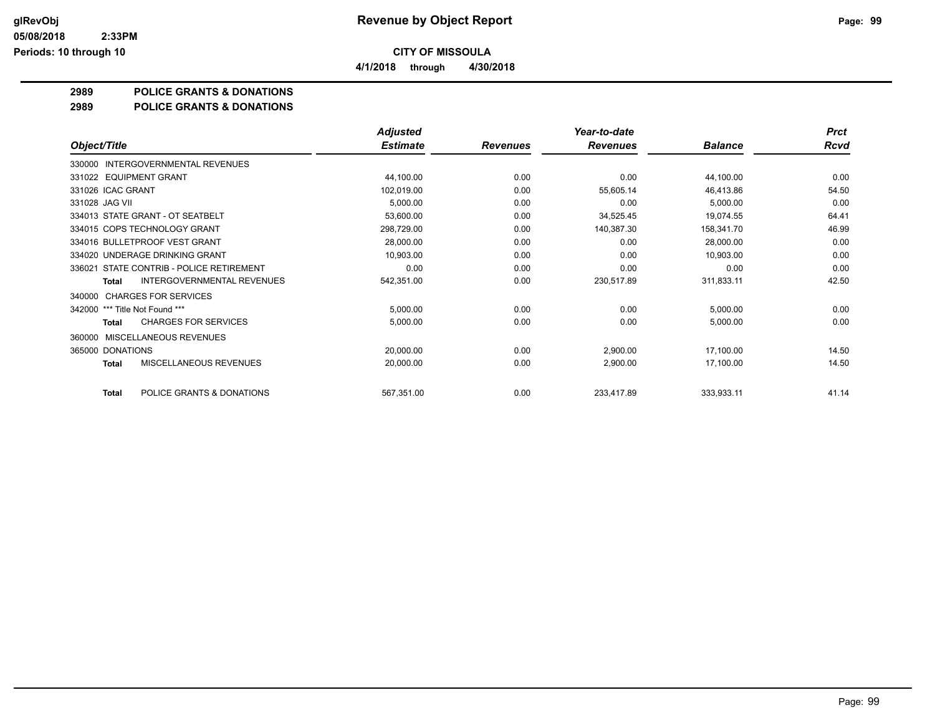**4/1/2018 through 4/30/2018**

**2989 POLICE GRANTS & DONATIONS**

**2989 POLICE GRANTS & DONATIONS**

|                                                   | <b>Adjusted</b> |                 | Year-to-date    |                | <b>Prct</b> |
|---------------------------------------------------|-----------------|-----------------|-----------------|----------------|-------------|
| Object/Title                                      | <b>Estimate</b> | <b>Revenues</b> | <b>Revenues</b> | <b>Balance</b> | Rcvd        |
| <b>INTERGOVERNMENTAL REVENUES</b><br>330000       |                 |                 |                 |                |             |
| 331022 EQUIPMENT GRANT                            | 44,100.00       | 0.00            | 0.00            | 44,100.00      | 0.00        |
| 331026 ICAC GRANT                                 | 102,019.00      | 0.00            | 55,605.14       | 46,413.86      | 54.50       |
| 331028 JAG VII                                    | 5,000.00        | 0.00            | 0.00            | 5,000.00       | 0.00        |
| 334013 STATE GRANT - OT SEATBELT                  | 53,600.00       | 0.00            | 34,525.45       | 19,074.55      | 64.41       |
| 334015 COPS TECHNOLOGY GRANT                      | 298,729.00      | 0.00            | 140,387.30      | 158,341.70     | 46.99       |
| 334016 BULLETPROOF VEST GRANT                     | 28,000.00       | 0.00            | 0.00            | 28,000.00      | 0.00        |
| 334020 UNDERAGE DRINKING GRANT                    | 10,903.00       | 0.00            | 0.00            | 10,903.00      | 0.00        |
| STATE CONTRIB - POLICE RETIREMENT<br>336021       | 0.00            | 0.00            | 0.00            | 0.00           | 0.00        |
| <b>INTERGOVERNMENTAL REVENUES</b><br><b>Total</b> | 542,351.00      | 0.00            | 230,517.89      | 311,833.11     | 42.50       |
| 340000 CHARGES FOR SERVICES                       |                 |                 |                 |                |             |
| *** Title Not Found ***<br>342000                 | 5,000.00        | 0.00            | 0.00            | 5,000.00       | 0.00        |
| <b>CHARGES FOR SERVICES</b><br><b>Total</b>       | 5,000.00        | 0.00            | 0.00            | 5,000.00       | 0.00        |
| MISCELLANEOUS REVENUES<br>360000                  |                 |                 |                 |                |             |
| 365000 DONATIONS                                  | 20,000.00       | 0.00            | 2,900.00        | 17,100.00      | 14.50       |
| MISCELLANEOUS REVENUES<br><b>Total</b>            | 20,000.00       | 0.00            | 2,900.00        | 17,100.00      | 14.50       |
| POLICE GRANTS & DONATIONS<br>Total                | 567,351.00      | 0.00            | 233,417.89      | 333,933.11     | 41.14       |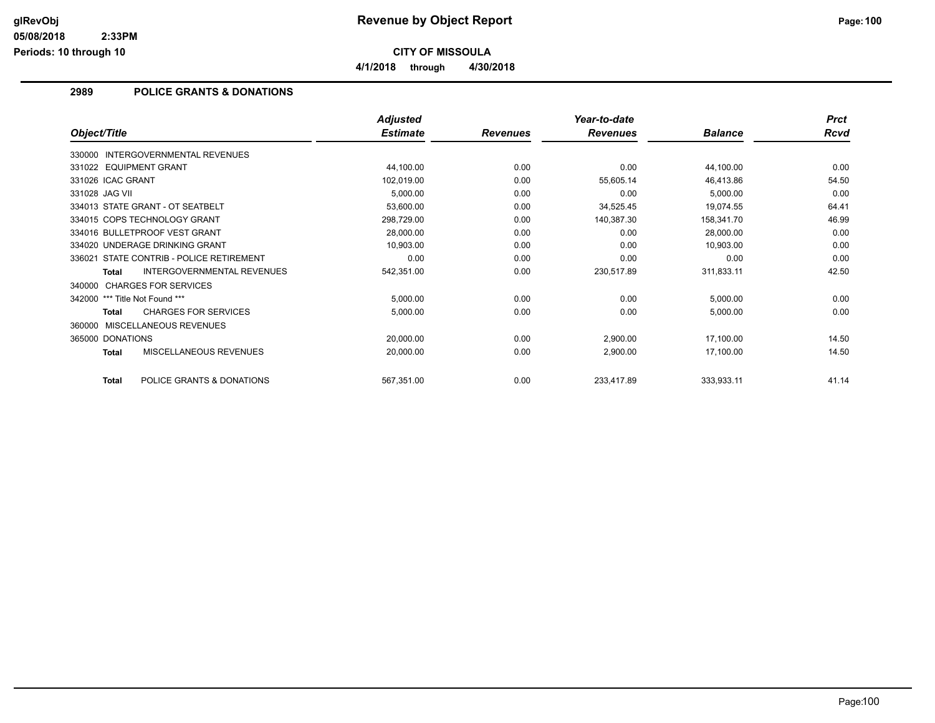**4/1/2018 through 4/30/2018**

## **2989 POLICE GRANTS & DONATIONS**

|                                                   | <b>Adjusted</b> |                 | Year-to-date    |                | <b>Prct</b> |
|---------------------------------------------------|-----------------|-----------------|-----------------|----------------|-------------|
| Object/Title                                      | <b>Estimate</b> | <b>Revenues</b> | <b>Revenues</b> | <b>Balance</b> | Rcvd        |
| 330000 INTERGOVERNMENTAL REVENUES                 |                 |                 |                 |                |             |
| 331022 EQUIPMENT GRANT                            | 44,100.00       | 0.00            | 0.00            | 44,100.00      | 0.00        |
| 331026 ICAC GRANT                                 | 102,019.00      | 0.00            | 55,605.14       | 46,413.86      | 54.50       |
| 331028 JAG VII                                    | 5,000.00        | 0.00            | 0.00            | 5,000.00       | 0.00        |
| 334013 STATE GRANT - OT SEATBELT                  | 53,600.00       | 0.00            | 34,525.45       | 19,074.55      | 64.41       |
| 334015 COPS TECHNOLOGY GRANT                      | 298,729.00      | 0.00            | 140,387.30      | 158,341.70     | 46.99       |
| 334016 BULLETPROOF VEST GRANT                     | 28,000.00       | 0.00            | 0.00            | 28,000.00      | 0.00        |
| 334020 UNDERAGE DRINKING GRANT                    | 10,903.00       | 0.00            | 0.00            | 10,903.00      | 0.00        |
| 336021 STATE CONTRIB - POLICE RETIREMENT          | 0.00            | 0.00            | 0.00            | 0.00           | 0.00        |
| <b>INTERGOVERNMENTAL REVENUES</b><br><b>Total</b> | 542,351.00      | 0.00            | 230,517.89      | 311,833.11     | 42.50       |
| 340000 CHARGES FOR SERVICES                       |                 |                 |                 |                |             |
| 342000 *** Title Not Found ***                    | 5,000.00        | 0.00            | 0.00            | 5,000.00       | 0.00        |
| <b>CHARGES FOR SERVICES</b><br><b>Total</b>       | 5,000.00        | 0.00            | 0.00            | 5,000.00       | 0.00        |
| 360000 MISCELLANEOUS REVENUES                     |                 |                 |                 |                |             |
| 365000 DONATIONS                                  | 20,000.00       | 0.00            | 2,900.00        | 17,100.00      | 14.50       |
| MISCELLANEOUS REVENUES<br><b>Total</b>            | 20,000.00       | 0.00            | 2,900.00        | 17,100.00      | 14.50       |
| POLICE GRANTS & DONATIONS<br><b>Total</b>         | 567,351.00      | 0.00            | 233,417.89      | 333,933.11     | 41.14       |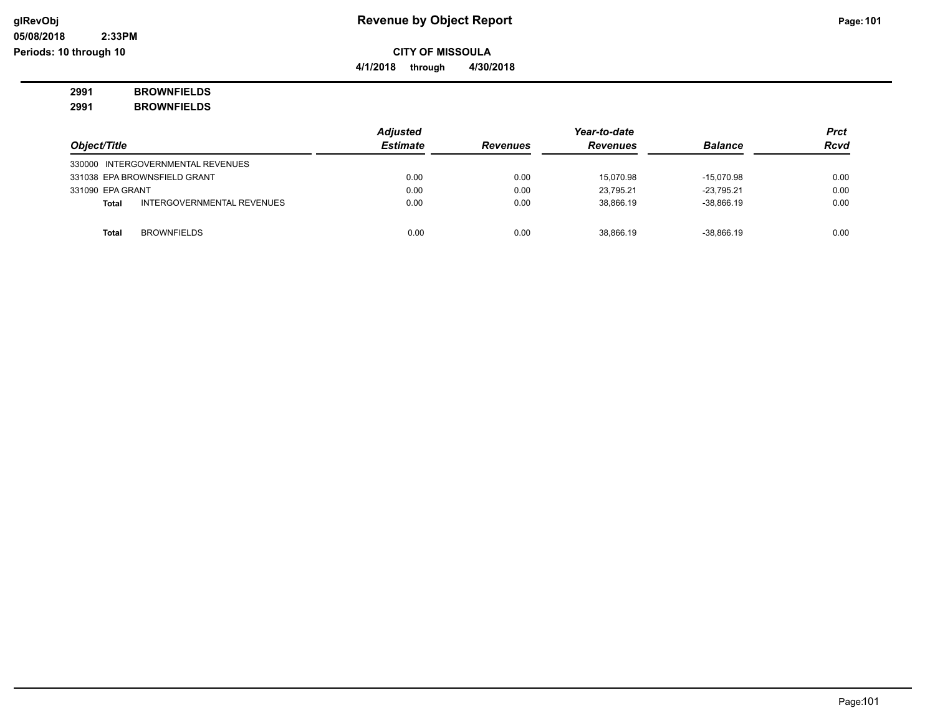**4/1/2018 through 4/30/2018**

**2991 BROWNFIELDS**

**2991 BROWNFIELDS**

|                  |                                   | <b>Adjusted</b> |                 | Year-to-date    |                | <b>Prct</b> |
|------------------|-----------------------------------|-----------------|-----------------|-----------------|----------------|-------------|
| Object/Title     |                                   | <b>Estimate</b> | <b>Revenues</b> | <b>Revenues</b> | <b>Balance</b> | <b>Rcvd</b> |
|                  | 330000 INTERGOVERNMENTAL REVENUES |                 |                 |                 |                |             |
|                  | 331038 EPA BROWNSFIELD GRANT      | 0.00            | 0.00            | 15.070.98       | $-15.070.98$   | 0.00        |
| 331090 EPA GRANT |                                   | 0.00            | 0.00            | 23.795.21       | $-23,795.21$   | 0.00        |
| Total            | INTERGOVERNMENTAL REVENUES        | 0.00            | 0.00            | 38.866.19       | $-38.866.19$   | 0.00        |
|                  |                                   |                 |                 |                 |                |             |
| Total            | <b>BROWNFIELDS</b>                | 0.00            | 0.00            | 38.866.19       | $-38.866.19$   | 0.00        |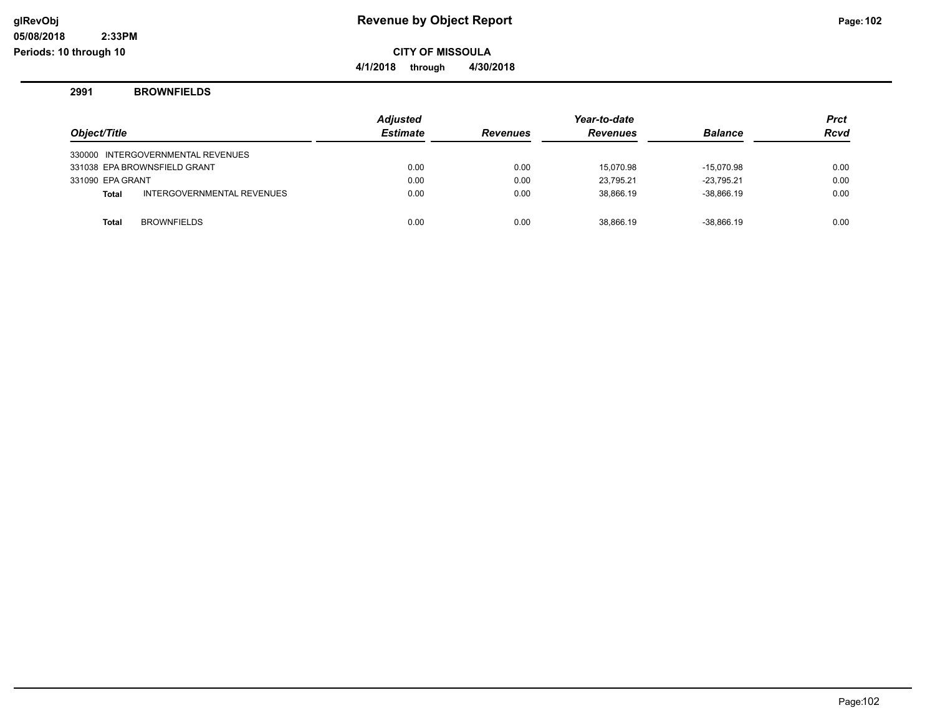**4/1/2018 through 4/30/2018**

### **2991 BROWNFIELDS**

| Object/Title     |                                   | <b>Adjusted</b><br><b>Estimate</b> | <b>Revenues</b> | Year-to-date<br><b>Revenues</b> | <b>Balance</b> | <b>Prct</b><br><b>Rcvd</b> |
|------------------|-----------------------------------|------------------------------------|-----------------|---------------------------------|----------------|----------------------------|
|                  | 330000 INTERGOVERNMENTAL REVENUES |                                    |                 |                                 |                |                            |
|                  | 331038 EPA BROWNSFIELD GRANT      | 0.00                               | 0.00            | 15.070.98                       | $-15.070.98$   | 0.00                       |
| 331090 EPA GRANT |                                   | 0.00                               | 0.00            | 23.795.21                       | $-23.795.21$   | 0.00                       |
| <b>Total</b>     | INTERGOVERNMENTAL REVENUES        | 0.00                               | 0.00            | 38.866.19                       | $-38.866.19$   | 0.00                       |
|                  |                                   |                                    |                 |                                 |                |                            |
| <b>Total</b>     | <b>BROWNFIELDS</b>                | 0.00                               | 0.00            | 38.866.19                       | $-38.866.19$   | 0.00                       |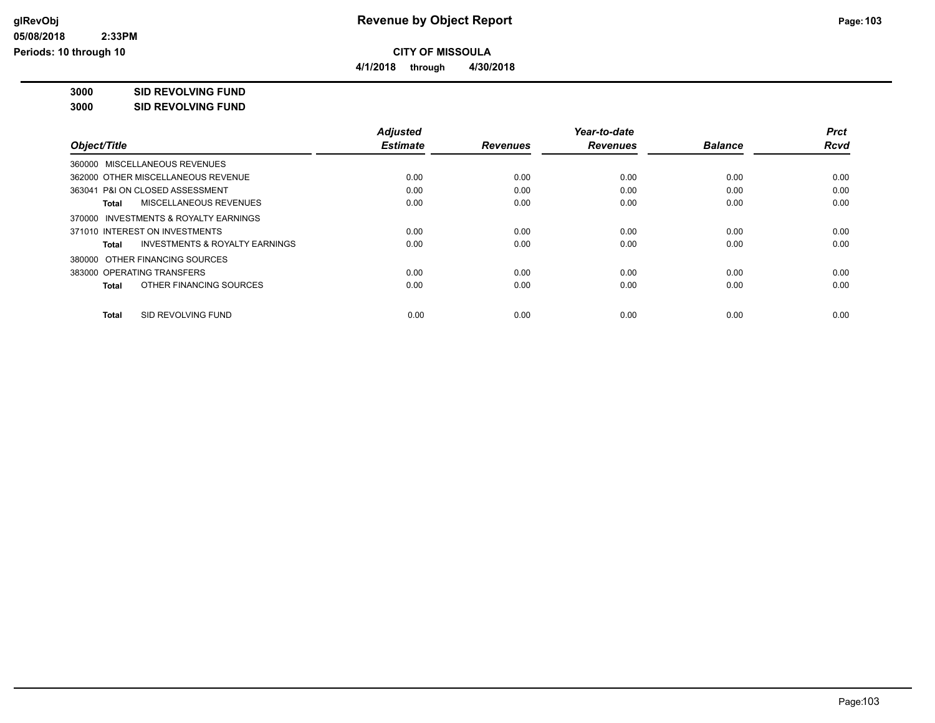**4/1/2018 through 4/30/2018**

**3000 SID REVOLVING FUND**

**3000 SID REVOLVING FUND**

|                                                    | <b>Adjusted</b> |                 | Year-to-date    |                | <b>Prct</b> |
|----------------------------------------------------|-----------------|-----------------|-----------------|----------------|-------------|
| Object/Title                                       | <b>Estimate</b> | <b>Revenues</b> | <b>Revenues</b> | <b>Balance</b> | <b>Rcvd</b> |
| 360000 MISCELLANEOUS REVENUES                      |                 |                 |                 |                |             |
| 362000 OTHER MISCELLANEOUS REVENUE                 | 0.00            | 0.00            | 0.00            | 0.00           | 0.00        |
| 363041 P&I ON CLOSED ASSESSMENT                    | 0.00            | 0.00            | 0.00            | 0.00           | 0.00        |
| MISCELLANEOUS REVENUES<br>Total                    | 0.00            | 0.00            | 0.00            | 0.00           | 0.00        |
| 370000 INVESTMENTS & ROYALTY EARNINGS              |                 |                 |                 |                |             |
| 371010 INTEREST ON INVESTMENTS                     | 0.00            | 0.00            | 0.00            | 0.00           | 0.00        |
| <b>INVESTMENTS &amp; ROYALTY EARNINGS</b><br>Total | 0.00            | 0.00            | 0.00            | 0.00           | 0.00        |
| 380000 OTHER FINANCING SOURCES                     |                 |                 |                 |                |             |
| 383000 OPERATING TRANSFERS                         | 0.00            | 0.00            | 0.00            | 0.00           | 0.00        |
| OTHER FINANCING SOURCES<br>Total                   | 0.00            | 0.00            | 0.00            | 0.00           | 0.00        |
| SID REVOLVING FUND<br>Total                        | 0.00            | 0.00            | 0.00            | 0.00           | 0.00        |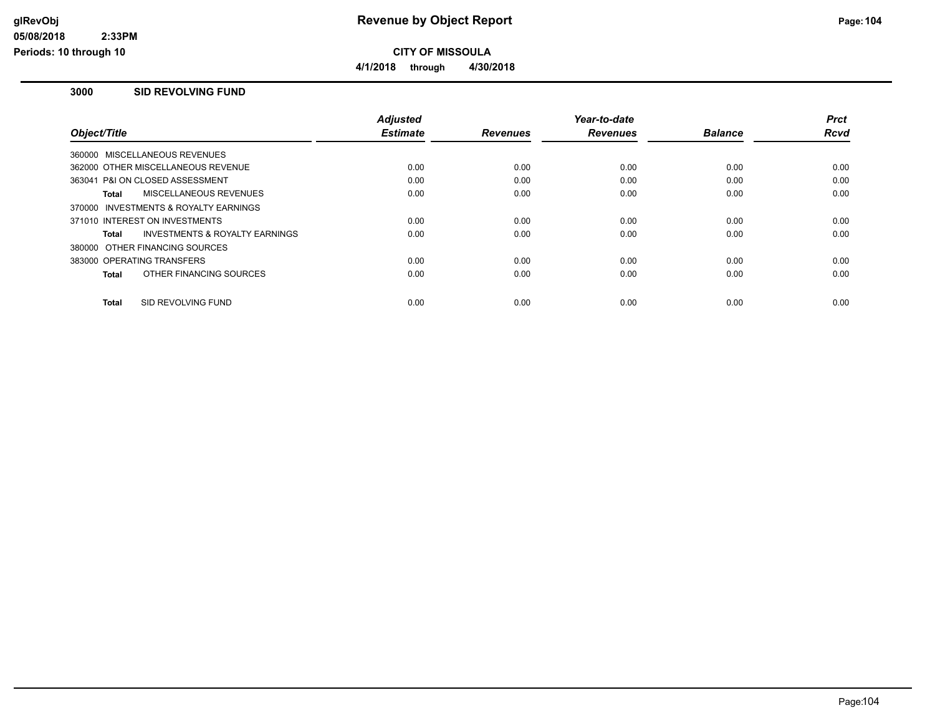**4/1/2018 through 4/30/2018**

### **3000 SID REVOLVING FUND**

|                                                     | <b>Adjusted</b> |                 | Year-to-date    |                | <b>Prct</b> |
|-----------------------------------------------------|-----------------|-----------------|-----------------|----------------|-------------|
| Object/Title                                        | <b>Estimate</b> | <b>Revenues</b> | <b>Revenues</b> | <b>Balance</b> | Rcvd        |
| 360000 MISCELLANEOUS REVENUES                       |                 |                 |                 |                |             |
| 362000 OTHER MISCELLANEOUS REVENUE                  | 0.00            | 0.00            | 0.00            | 0.00           | 0.00        |
| 363041 P&I ON CLOSED ASSESSMENT                     | 0.00            | 0.00            | 0.00            | 0.00           | 0.00        |
| MISCELLANEOUS REVENUES<br>Total                     | 0.00            | 0.00            | 0.00            | 0.00           | 0.00        |
| <b>INVESTMENTS &amp; ROYALTY EARNINGS</b><br>370000 |                 |                 |                 |                |             |
| 371010 INTEREST ON INVESTMENTS                      | 0.00            | 0.00            | 0.00            | 0.00           | 0.00        |
| <b>INVESTMENTS &amp; ROYALTY EARNINGS</b><br>Total  | 0.00            | 0.00            | 0.00            | 0.00           | 0.00        |
| 380000 OTHER FINANCING SOURCES                      |                 |                 |                 |                |             |
| 383000 OPERATING TRANSFERS                          | 0.00            | 0.00            | 0.00            | 0.00           | 0.00        |
| OTHER FINANCING SOURCES<br>Total                    | 0.00            | 0.00            | 0.00            | 0.00           | 0.00        |
|                                                     |                 |                 |                 |                |             |
| SID REVOLVING FUND<br><b>Total</b>                  | 0.00            | 0.00            | 0.00            | 0.00           | 0.00        |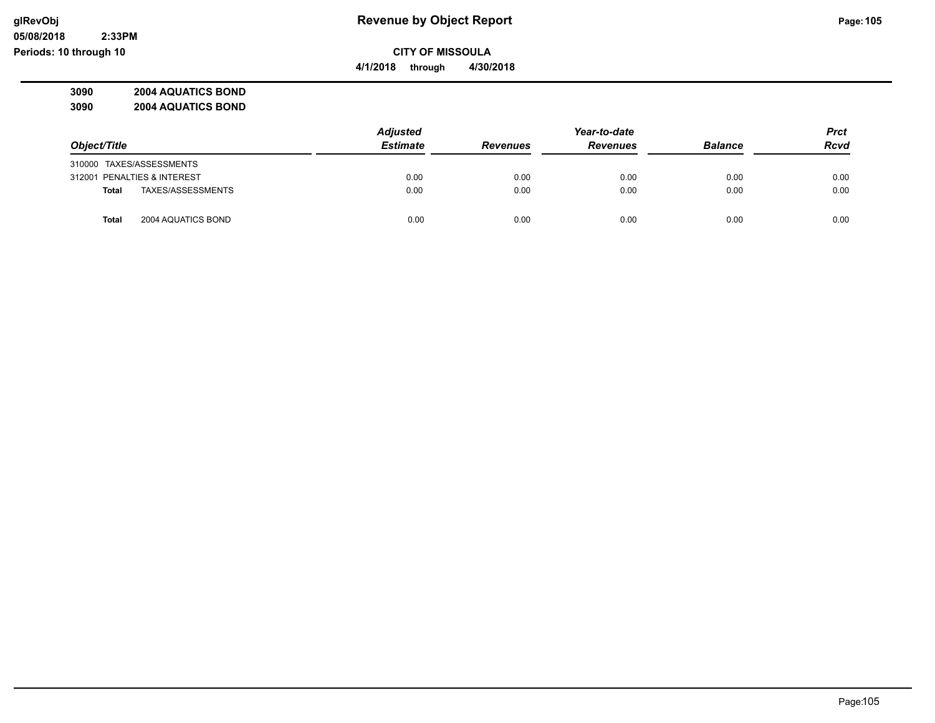**05/08/2018 2:33PM Periods: 10 through 10**

**CITY OF MISSOULA**

**4/1/2018 through 4/30/2018**

**3090 2004 AQUATICS BOND**

| 3090 | <b>2004 AQUATICS BOND</b> |  |
|------|---------------------------|--|
|------|---------------------------|--|

|                             |  | <b>Adjusted</b> |                 | <b>Prct</b>     |                |             |
|-----------------------------|--|-----------------|-----------------|-----------------|----------------|-------------|
| Object/Title                |  | <b>Estimate</b> | <b>Revenues</b> | <b>Revenues</b> | <b>Balance</b> | <b>Rcvd</b> |
| 310000 TAXES/ASSESSMENTS    |  |                 |                 |                 |                |             |
| 312001 PENALTIES & INTEREST |  | 0.00            | 0.00            | 0.00            | 0.00           | 0.00        |
| TAXES/ASSESSMENTS<br>Total  |  | 0.00            | 0.00            | 0.00            | 0.00           | 0.00        |
| 2004 AQUATICS BOND<br>Total |  | 0.00            | 0.00            | 0.00            | 0.00           | 0.00        |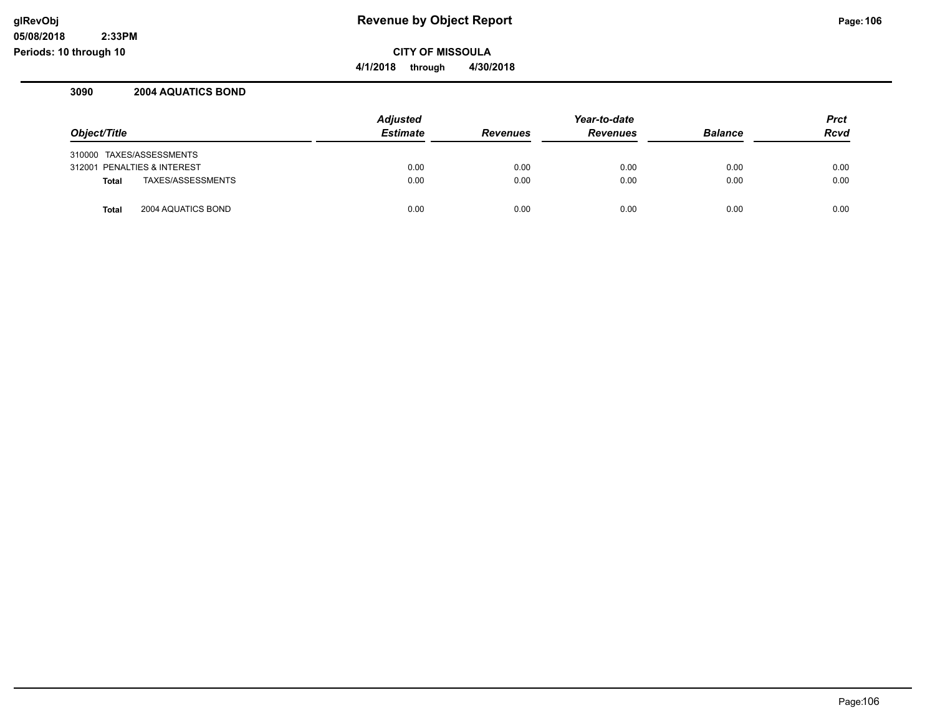**4/1/2018 through 4/30/2018**

### **3090 2004 AQUATICS BOND**

| Object/Title                      | <b>Adjusted</b><br><b>Estimate</b> | <b>Revenues</b> | Year-to-date<br><b>Revenues</b> | <b>Balance</b> | <b>Prct</b><br><b>Rcvd</b> |
|-----------------------------------|------------------------------------|-----------------|---------------------------------|----------------|----------------------------|
| 310000 TAXES/ASSESSMENTS          |                                    |                 |                                 |                |                            |
| 312001 PENALTIES & INTEREST       | 0.00                               | 0.00            | 0.00                            | 0.00           | 0.00                       |
| TAXES/ASSESSMENTS<br><b>Total</b> | 0.00                               | 0.00            | 0.00                            | 0.00           | 0.00                       |
| 2004 AQUATICS BOND<br>Total       | 0.00                               | 0.00            | 0.00                            | 0.00           | 0.00                       |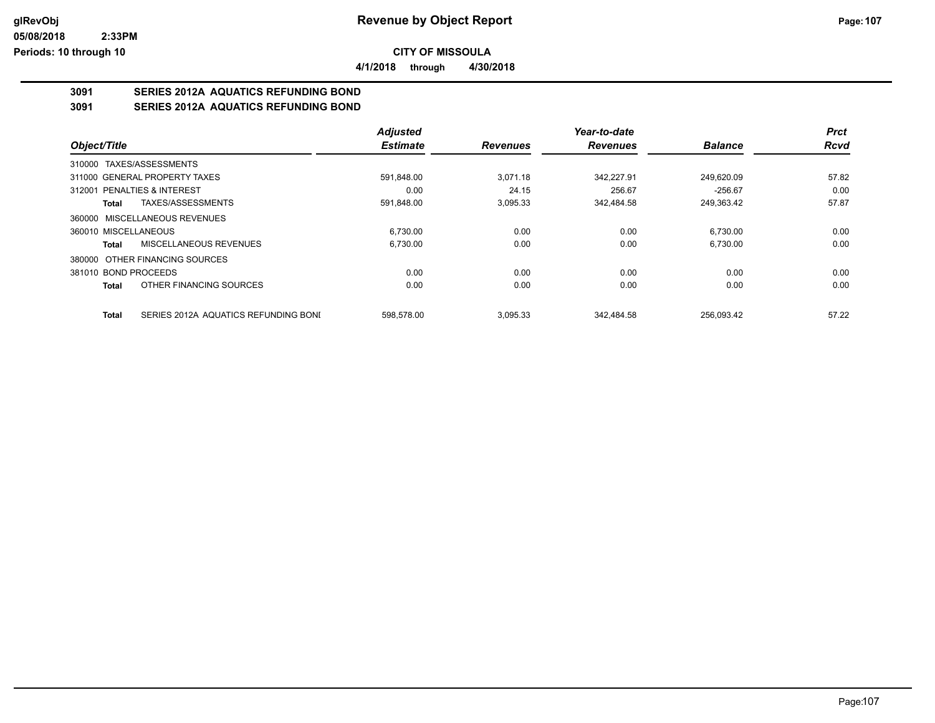**4/1/2018 through 4/30/2018**

# **3091 SERIES 2012A AQUATICS REFUNDING BOND**

## **3091 SERIES 2012A AQUATICS REFUNDING BOND**

|                      |                                      | <b>Adjusted</b> |                 | Year-to-date    |                | <b>Prct</b> |
|----------------------|--------------------------------------|-----------------|-----------------|-----------------|----------------|-------------|
| Object/Title         |                                      | <b>Estimate</b> | <b>Revenues</b> | <b>Revenues</b> | <b>Balance</b> | <b>Rcvd</b> |
|                      | 310000 TAXES/ASSESSMENTS             |                 |                 |                 |                |             |
|                      | 311000 GENERAL PROPERTY TAXES        | 591,848.00      | 3.071.18        | 342.227.91      | 249.620.09     | 57.82       |
|                      | 312001 PENALTIES & INTEREST          | 0.00            | 24.15           | 256.67          | $-256.67$      | 0.00        |
| Total                | TAXES/ASSESSMENTS                    | 591,848.00      | 3,095.33        | 342,484.58      | 249,363.42     | 57.87       |
|                      | 360000 MISCELLANEOUS REVENUES        |                 |                 |                 |                |             |
| 360010 MISCELLANEOUS |                                      | 6.730.00        | 0.00            | 0.00            | 6.730.00       | 0.00        |
| Total                | MISCELLANEOUS REVENUES               | 6,730.00        | 0.00            | 0.00            | 6,730.00       | 0.00        |
|                      | 380000 OTHER FINANCING SOURCES       |                 |                 |                 |                |             |
| 381010 BOND PROCEEDS |                                      | 0.00            | 0.00            | 0.00            | 0.00           | 0.00        |
| Total                | OTHER FINANCING SOURCES              | 0.00            | 0.00            | 0.00            | 0.00           | 0.00        |
| Total                | SERIES 2012A AQUATICS REFUNDING BONI | 598.578.00      | 3.095.33        | 342.484.58      | 256.093.42     | 57.22       |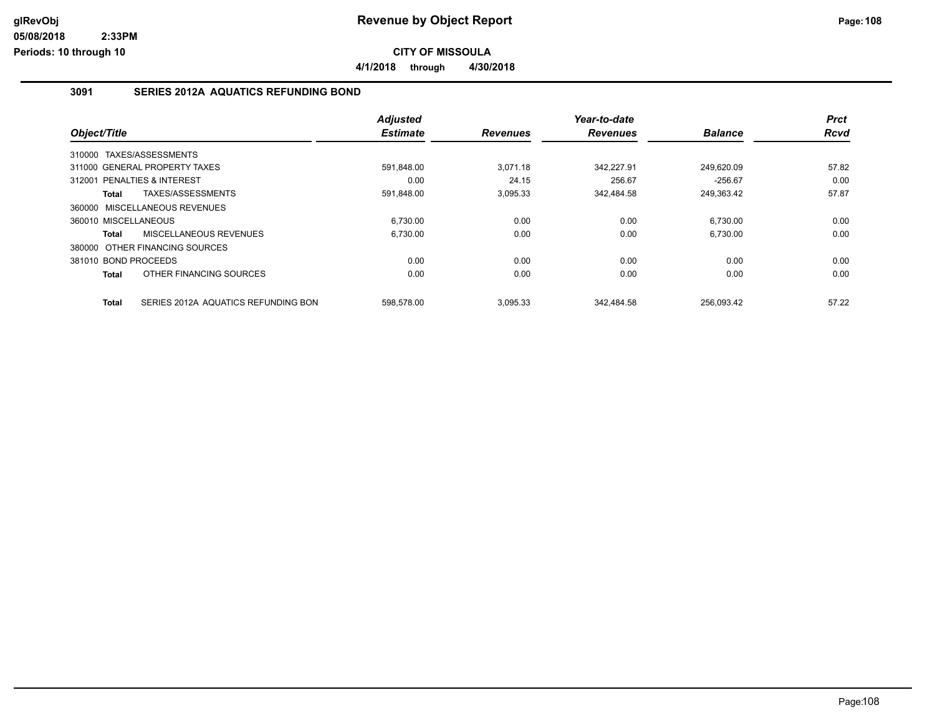**4/1/2018 through 4/30/2018**

## **3091 SERIES 2012A AQUATICS REFUNDING BOND**

|                                |                                     | <b>Adjusted</b> |                 | Year-to-date    |                | <b>Prct</b> |
|--------------------------------|-------------------------------------|-----------------|-----------------|-----------------|----------------|-------------|
| Object/Title                   |                                     | <b>Estimate</b> | <b>Revenues</b> | <b>Revenues</b> | <b>Balance</b> | <b>Rcvd</b> |
| 310000                         | TAXES/ASSESSMENTS                   |                 |                 |                 |                |             |
| 311000 GENERAL PROPERTY TAXES  |                                     | 591,848.00      | 3.071.18        | 342,227.91      | 249,620.09     | 57.82       |
| 312001 PENALTIES & INTEREST    |                                     | 0.00            | 24.15           | 256.67          | $-256.67$      | 0.00        |
| Total                          | TAXES/ASSESSMENTS                   | 591,848.00      | 3,095.33        | 342,484.58      | 249,363.42     | 57.87       |
| 360000 MISCELLANEOUS REVENUES  |                                     |                 |                 |                 |                |             |
| 360010 MISCELLANEOUS           |                                     | 6.730.00        | 0.00            | 0.00            | 6.730.00       | 0.00        |
| Total                          | MISCELLANEOUS REVENUES              | 6,730.00        | 0.00            | 0.00            | 6,730.00       | 0.00        |
| 380000 OTHER FINANCING SOURCES |                                     |                 |                 |                 |                |             |
| 381010 BOND PROCEEDS           |                                     | 0.00            | 0.00            | 0.00            | 0.00           | 0.00        |
| Total                          | OTHER FINANCING SOURCES             | 0.00            | 0.00            | 0.00            | 0.00           | 0.00        |
| <b>Total</b>                   | SERIES 2012A AQUATICS REFUNDING BON | 598.578.00      | 3.095.33        | 342.484.58      | 256.093.42     | 57.22       |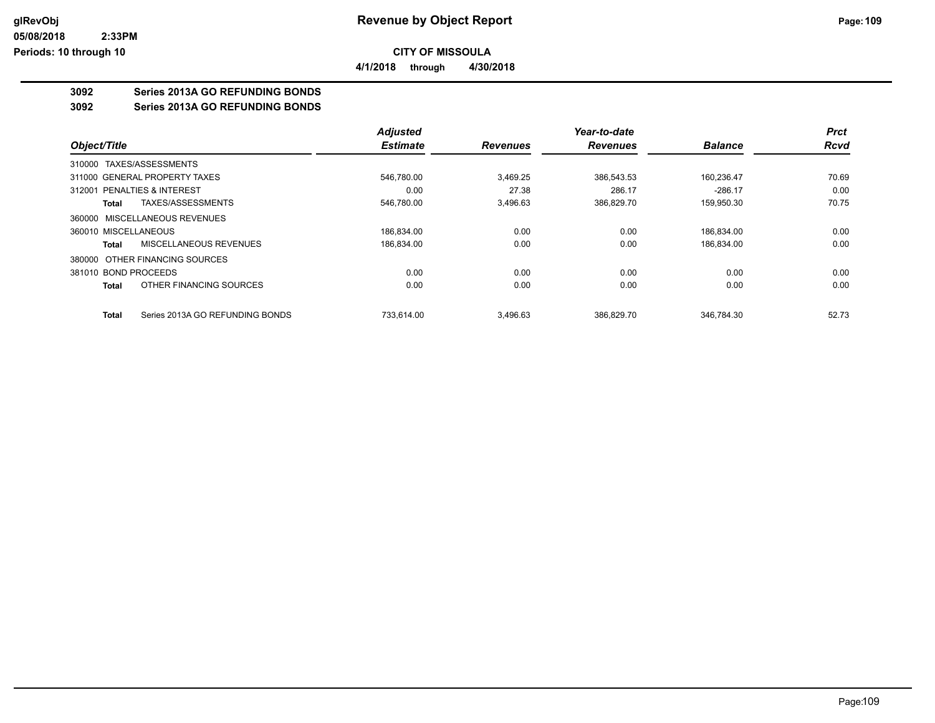**4/1/2018 through 4/30/2018**

# **3092 Series 2013A GO REFUNDING BONDS**

#### **3092 Series 2013A GO REFUNDING BONDS**

|                      |                                 | <b>Adjusted</b> |                 | Year-to-date    |                | <b>Prct</b> |
|----------------------|---------------------------------|-----------------|-----------------|-----------------|----------------|-------------|
| Object/Title         |                                 | <b>Estimate</b> | <b>Revenues</b> | <b>Revenues</b> | <b>Balance</b> | <b>Rcvd</b> |
| 310000               | TAXES/ASSESSMENTS               |                 |                 |                 |                |             |
|                      | 311000 GENERAL PROPERTY TAXES   | 546.780.00      | 3.469.25        | 386.543.53      | 160.236.47     | 70.69       |
|                      | 312001 PENALTIES & INTEREST     | 0.00            | 27.38           | 286.17          | $-286.17$      | 0.00        |
| Total                | TAXES/ASSESSMENTS               | 546,780.00      | 3,496.63        | 386,829.70      | 159,950.30     | 70.75       |
|                      | 360000 MISCELLANEOUS REVENUES   |                 |                 |                 |                |             |
| 360010 MISCELLANEOUS |                                 | 186.834.00      | 0.00            | 0.00            | 186.834.00     | 0.00        |
| <b>Total</b>         | MISCELLANEOUS REVENUES          | 186,834.00      | 0.00            | 0.00            | 186,834.00     | 0.00        |
| 380000               | OTHER FINANCING SOURCES         |                 |                 |                 |                |             |
| 381010 BOND PROCEEDS |                                 | 0.00            | 0.00            | 0.00            | 0.00           | 0.00        |
| <b>Total</b>         | OTHER FINANCING SOURCES         | 0.00            | 0.00            | 0.00            | 0.00           | 0.00        |
| <b>Total</b>         | Series 2013A GO REFUNDING BONDS | 733.614.00      | 3.496.63        | 386.829.70      | 346.784.30     | 52.73       |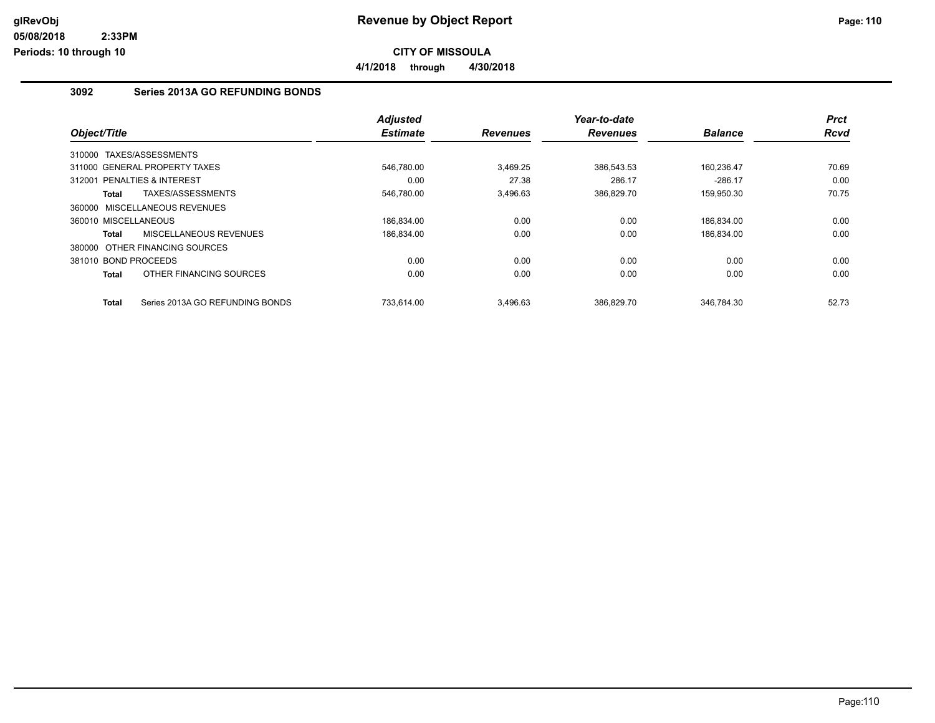**4/1/2018 through 4/30/2018**

#### **3092 Series 2013A GO REFUNDING BONDS**

|                                          | <b>Adjusted</b> |                 | Year-to-date    |                | <b>Prct</b> |
|------------------------------------------|-----------------|-----------------|-----------------|----------------|-------------|
| Object/Title                             | <b>Estimate</b> | <b>Revenues</b> | <b>Revenues</b> | <b>Balance</b> | <b>Rcvd</b> |
| 310000 TAXES/ASSESSMENTS                 |                 |                 |                 |                |             |
| 311000 GENERAL PROPERTY TAXES            | 546,780.00      | 3,469.25        | 386,543.53      | 160,236.47     | 70.69       |
| PENALTIES & INTEREST<br>312001           | 0.00            | 27.38           | 286.17          | $-286.17$      | 0.00        |
| TAXES/ASSESSMENTS<br>Total               | 546,780.00      | 3,496.63        | 386,829.70      | 159,950.30     | 70.75       |
| 360000 MISCELLANEOUS REVENUES            |                 |                 |                 |                |             |
| 360010 MISCELLANEOUS                     | 186.834.00      | 0.00            | 0.00            | 186.834.00     | 0.00        |
| MISCELLANEOUS REVENUES<br>Total          | 186.834.00      | 0.00            | 0.00            | 186.834.00     | 0.00        |
| 380000 OTHER FINANCING SOURCES           |                 |                 |                 |                |             |
| 381010 BOND PROCEEDS                     | 0.00            | 0.00            | 0.00            | 0.00           | 0.00        |
| OTHER FINANCING SOURCES<br>Total         | 0.00            | 0.00            | 0.00            | 0.00           | 0.00        |
| Series 2013A GO REFUNDING BONDS<br>Total | 733.614.00      | 3.496.63        | 386.829.70      | 346.784.30     | 52.73       |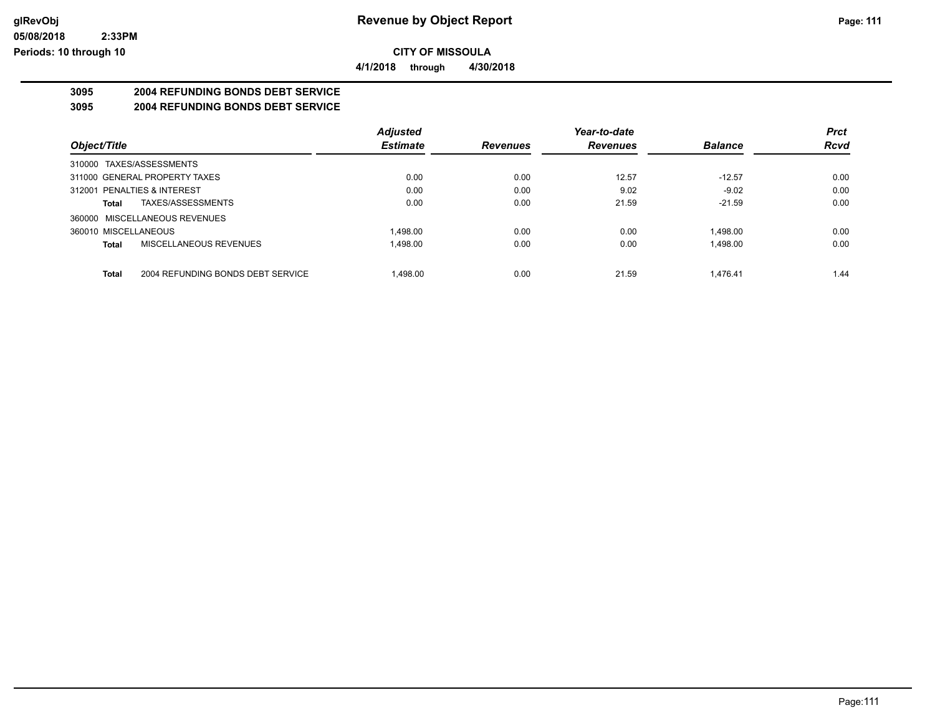**4/1/2018 through 4/30/2018**

# **3095 2004 REFUNDING BONDS DEBT SERVICE**

# **3095 2004 REFUNDING BONDS DEBT SERVICE**

|                                                   | <b>Adjusted</b> |                 | Year-to-date    |                | <b>Prct</b> |
|---------------------------------------------------|-----------------|-----------------|-----------------|----------------|-------------|
| Object/Title                                      | <b>Estimate</b> | <b>Revenues</b> | <b>Revenues</b> | <b>Balance</b> | <b>Rcvd</b> |
| TAXES/ASSESSMENTS<br>310000                       |                 |                 |                 |                |             |
| 311000 GENERAL PROPERTY TAXES                     | 0.00            | 0.00            | 12.57           | $-12.57$       | 0.00        |
| 312001 PENALTIES & INTEREST                       | 0.00            | 0.00            | 9.02            | $-9.02$        | 0.00        |
| TAXES/ASSESSMENTS<br>Total                        | 0.00            | 0.00            | 21.59           | $-21.59$       | 0.00        |
| MISCELLANEOUS REVENUES<br>360000                  |                 |                 |                 |                |             |
| 360010 MISCELLANEOUS                              | 1.498.00        | 0.00            | 0.00            | 1.498.00       | 0.00        |
| MISCELLANEOUS REVENUES<br><b>Total</b>            | 1,498.00        | 0.00            | 0.00            | 1,498.00       | 0.00        |
|                                                   |                 |                 |                 |                |             |
| 2004 REFUNDING BONDS DEBT SERVICE<br><b>Total</b> | 1.498.00        | 0.00            | 21.59           | 1.476.41       | 1.44        |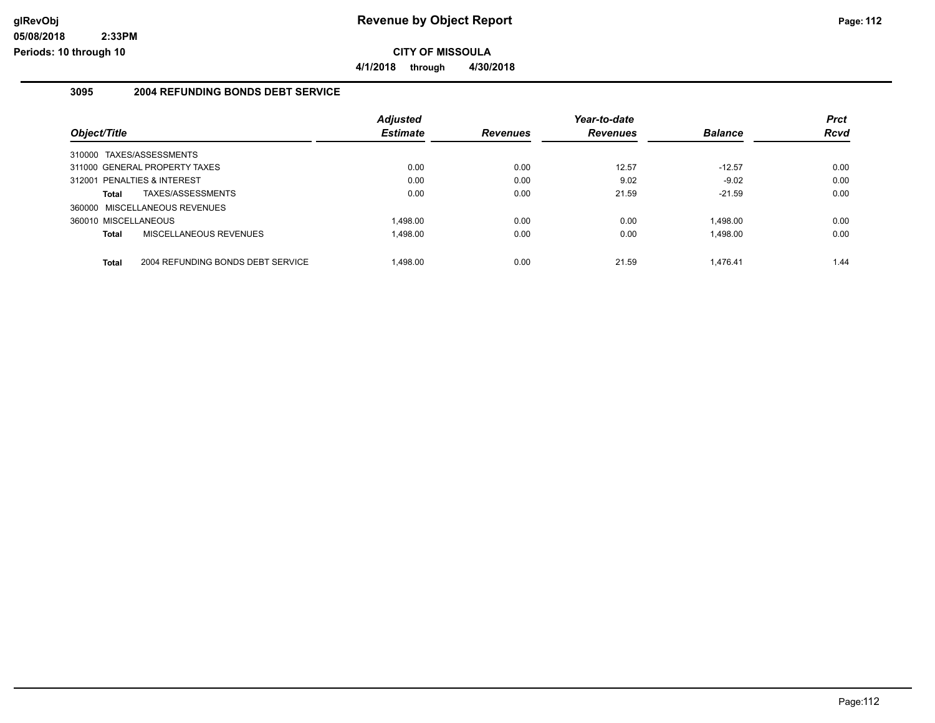**4/1/2018 through 4/30/2018**

#### **3095 2004 REFUNDING BONDS DEBT SERVICE**

|                                                   | <b>Adjusted</b> |                 | Year-to-date    |                | <b>Prct</b> |
|---------------------------------------------------|-----------------|-----------------|-----------------|----------------|-------------|
| Object/Title                                      | <b>Estimate</b> | <b>Revenues</b> | <b>Revenues</b> | <b>Balance</b> | <b>Rcvd</b> |
| 310000 TAXES/ASSESSMENTS                          |                 |                 |                 |                |             |
| 311000 GENERAL PROPERTY TAXES                     | 0.00            | 0.00            | 12.57           | $-12.57$       | 0.00        |
| 312001 PENALTIES & INTEREST                       | 0.00            | 0.00            | 9.02            | $-9.02$        | 0.00        |
| TAXES/ASSESSMENTS<br>Total                        | 0.00            | 0.00            | 21.59           | $-21.59$       | 0.00        |
| 360000 MISCELLANEOUS REVENUES                     |                 |                 |                 |                |             |
| 360010 MISCELLANEOUS                              | 1.498.00        | 0.00            | 0.00            | 1.498.00       | 0.00        |
| MISCELLANEOUS REVENUES<br><b>Total</b>            | 1.498.00        | 0.00            | 0.00            | 1.498.00       | 0.00        |
|                                                   |                 |                 |                 |                |             |
| 2004 REFUNDING BONDS DEBT SERVICE<br><b>Total</b> | 1.498.00        | 0.00            | 21.59           | 1.476.41       | 1.44        |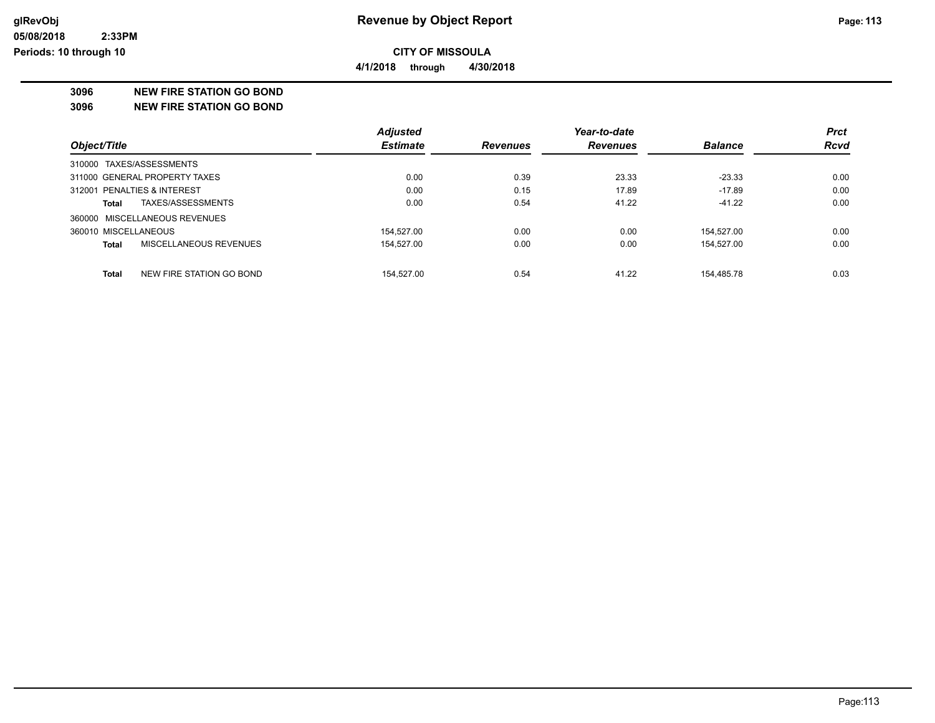**4/1/2018 through 4/30/2018**

**3096 NEW FIRE STATION GO BOND**

**3096 NEW FIRE STATION GO BOND**

|                                   | <b>Adjusted</b> |                 | Year-to-date    |                | <b>Prct</b> |
|-----------------------------------|-----------------|-----------------|-----------------|----------------|-------------|
| Object/Title                      | <b>Estimate</b> | <b>Revenues</b> | <b>Revenues</b> | <b>Balance</b> | <b>Rcvd</b> |
| 310000 TAXES/ASSESSMENTS          |                 |                 |                 |                |             |
| 311000 GENERAL PROPERTY TAXES     | 0.00            | 0.39            | 23.33           | $-23.33$       | 0.00        |
| 312001 PENALTIES & INTEREST       | 0.00            | 0.15            | 17.89           | $-17.89$       | 0.00        |
| TAXES/ASSESSMENTS<br>Total        | 0.00            | 0.54            | 41.22           | $-41.22$       | 0.00        |
| 360000 MISCELLANEOUS REVENUES     |                 |                 |                 |                |             |
| 360010 MISCELLANEOUS              | 154.527.00      | 0.00            | 0.00            | 154.527.00     | 0.00        |
| MISCELLANEOUS REVENUES<br>Total   | 154.527.00      | 0.00            | 0.00            | 154.527.00     | 0.00        |
|                                   |                 |                 |                 |                |             |
| NEW FIRE STATION GO BOND<br>Total | 154.527.00      | 0.54            | 41.22           | 154.485.78     | 0.03        |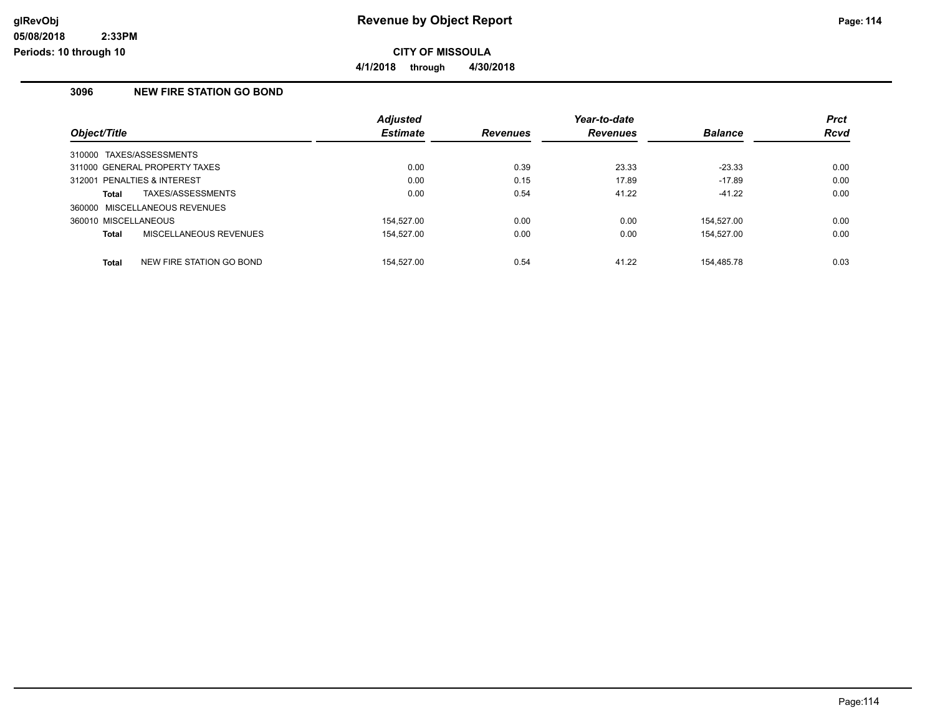**4/1/2018 through 4/30/2018**

#### **3096 NEW FIRE STATION GO BOND**

|                             |                               | <b>Adjusted</b> |                 | Year-to-date    |                | <b>Prct</b> |
|-----------------------------|-------------------------------|-----------------|-----------------|-----------------|----------------|-------------|
| Object/Title                |                               | <b>Estimate</b> | <b>Revenues</b> | <b>Revenues</b> | <b>Balance</b> | <b>Rcvd</b> |
| 310000 TAXES/ASSESSMENTS    |                               |                 |                 |                 |                |             |
|                             | 311000 GENERAL PROPERTY TAXES | 0.00            | 0.39            | 23.33           | $-23.33$       | 0.00        |
| 312001 PENALTIES & INTEREST |                               | 0.00            | 0.15            | 17.89           | $-17.89$       | 0.00        |
| Total                       | TAXES/ASSESSMENTS             | 0.00            | 0.54            | 41.22           | $-41.22$       | 0.00        |
|                             | 360000 MISCELLANEOUS REVENUES |                 |                 |                 |                |             |
| 360010 MISCELLANEOUS        |                               | 154.527.00      | 0.00            | 0.00            | 154.527.00     | 0.00        |
| <b>Total</b>                | MISCELLANEOUS REVENUES        | 154.527.00      | 0.00            | 0.00            | 154.527.00     | 0.00        |
| <b>Total</b>                | NEW FIRE STATION GO BOND      | 154.527.00      | 0.54            | 41.22           | 154.485.78     | 0.03        |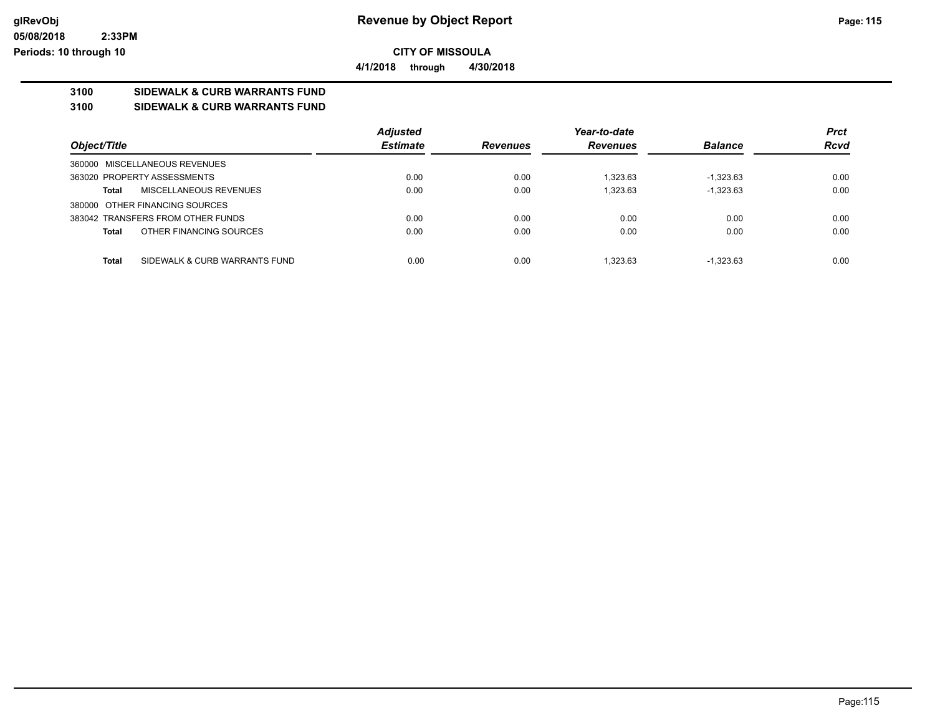**4/1/2018 through 4/30/2018**

# **3100 SIDEWALK & CURB WARRANTS FUND**

# **3100 SIDEWALK & CURB WARRANTS FUND**

| <b>Adjusted</b> |                 | Year-to-date    |                | <b>Prct</b> |
|-----------------|-----------------|-----------------|----------------|-------------|
| <b>Estimate</b> | <b>Revenues</b> | <b>Revenues</b> | <b>Balance</b> | <b>Rcvd</b> |
|                 |                 |                 |                |             |
| 0.00            | 0.00            | 1.323.63        | $-1.323.63$    | 0.00        |
| 0.00            | 0.00            | 1.323.63        | $-1.323.63$    | 0.00        |
|                 |                 |                 |                |             |
| 0.00            | 0.00            | 0.00            | 0.00           | 0.00        |
| 0.00            | 0.00            | 0.00            | 0.00           | 0.00        |
|                 |                 |                 |                | 0.00        |
|                 | 0.00            | 0.00            | 1.323.63       | $-1.323.63$ |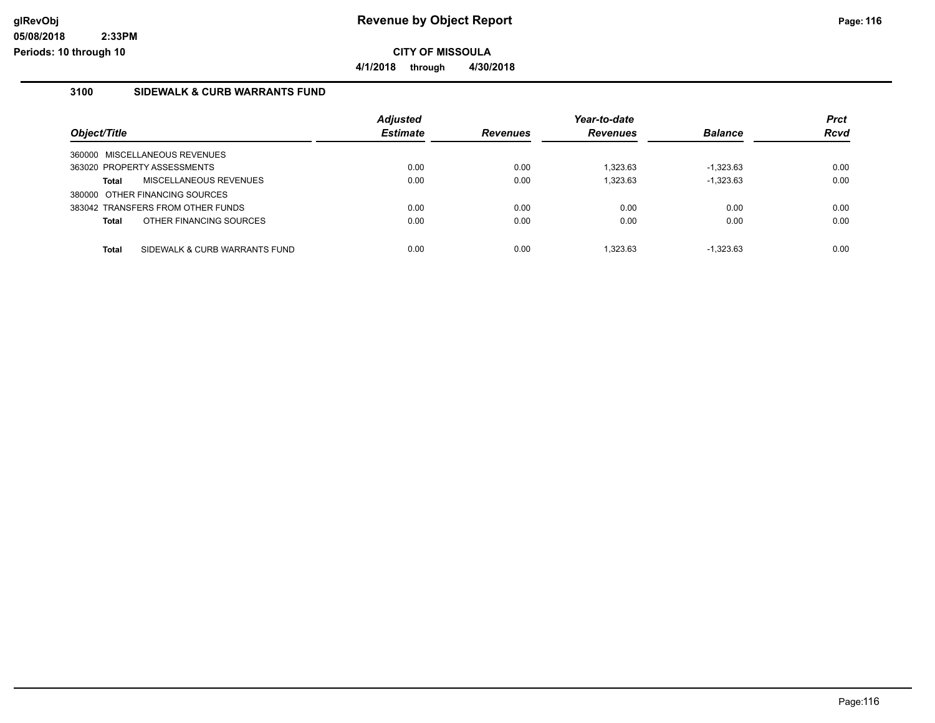**4/1/2018 through 4/30/2018**

#### **3100 SIDEWALK & CURB WARRANTS FUND**

| Object/Title                                  | <b>Adjusted</b><br><b>Estimate</b> | <b>Revenues</b> | Year-to-date<br><b>Revenues</b> | <b>Balance</b> | <b>Prct</b><br><b>Rcvd</b> |
|-----------------------------------------------|------------------------------------|-----------------|---------------------------------|----------------|----------------------------|
| 360000 MISCELLANEOUS REVENUES                 |                                    |                 |                                 |                |                            |
| 363020 PROPERTY ASSESSMENTS                   | 0.00                               | 0.00            | 1.323.63                        | $-1.323.63$    | 0.00                       |
| MISCELLANEOUS REVENUES<br>Total               | 0.00                               | 0.00            | 1.323.63                        | $-1,323.63$    | 0.00                       |
| 380000 OTHER FINANCING SOURCES                |                                    |                 |                                 |                |                            |
| 383042 TRANSFERS FROM OTHER FUNDS             | 0.00                               | 0.00            | 0.00                            | 0.00           | 0.00                       |
| OTHER FINANCING SOURCES<br>Total              | 0.00                               | 0.00            | 0.00                            | 0.00           | 0.00                       |
|                                               |                                    |                 |                                 |                |                            |
| SIDEWALK & CURB WARRANTS FUND<br><b>Total</b> | 0.00                               | 0.00            | 1.323.63                        | $-1.323.63$    | 0.00                       |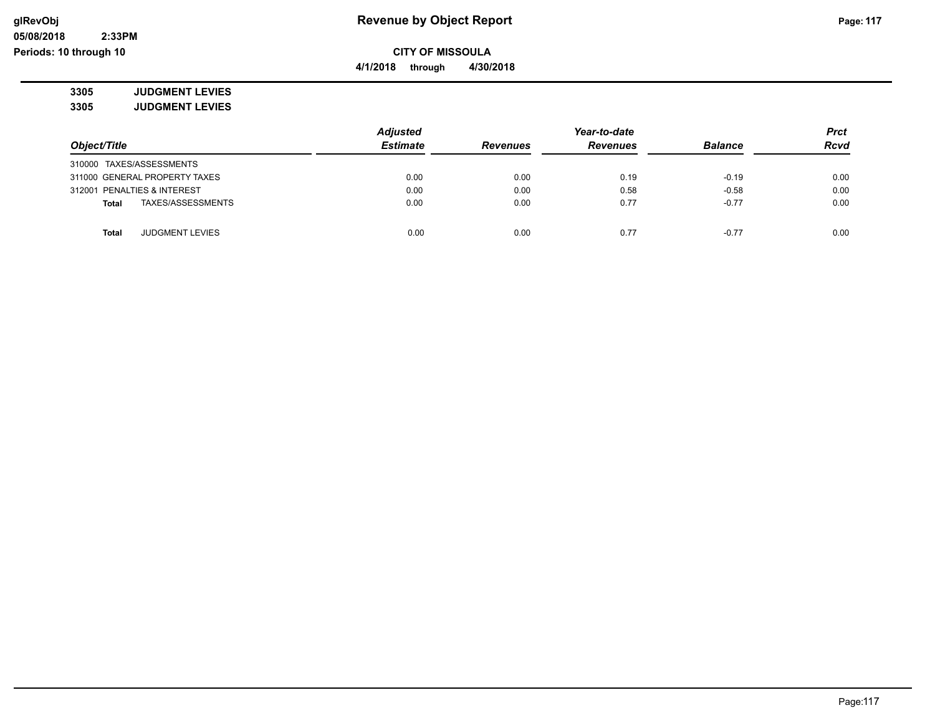**4/1/2018 through 4/30/2018**

**3305 JUDGMENT LEVIES**

**3305 JUDGMENT LEVIES**

|                                 | <b>Adjusted</b> |                 | Year-to-date    |                | <b>Prct</b> |
|---------------------------------|-----------------|-----------------|-----------------|----------------|-------------|
| Object/Title                    | <b>Estimate</b> | <b>Revenues</b> | <b>Revenues</b> | <b>Balance</b> | <b>Rcvd</b> |
| 310000 TAXES/ASSESSMENTS        |                 |                 |                 |                |             |
| 311000 GENERAL PROPERTY TAXES   | 0.00            | 0.00            | 0.19            | $-0.19$        | 0.00        |
| 312001 PENALTIES & INTEREST     | 0.00            | 0.00            | 0.58            | $-0.58$        | 0.00        |
| TAXES/ASSESSMENTS<br>Total      | 0.00            | 0.00            | 0.77            | $-0.77$        | 0.00        |
|                                 |                 |                 |                 |                |             |
| Total<br><b>JUDGMENT LEVIES</b> | 0.00            | 0.00            | 0.77            | $-0.77$        | 0.00        |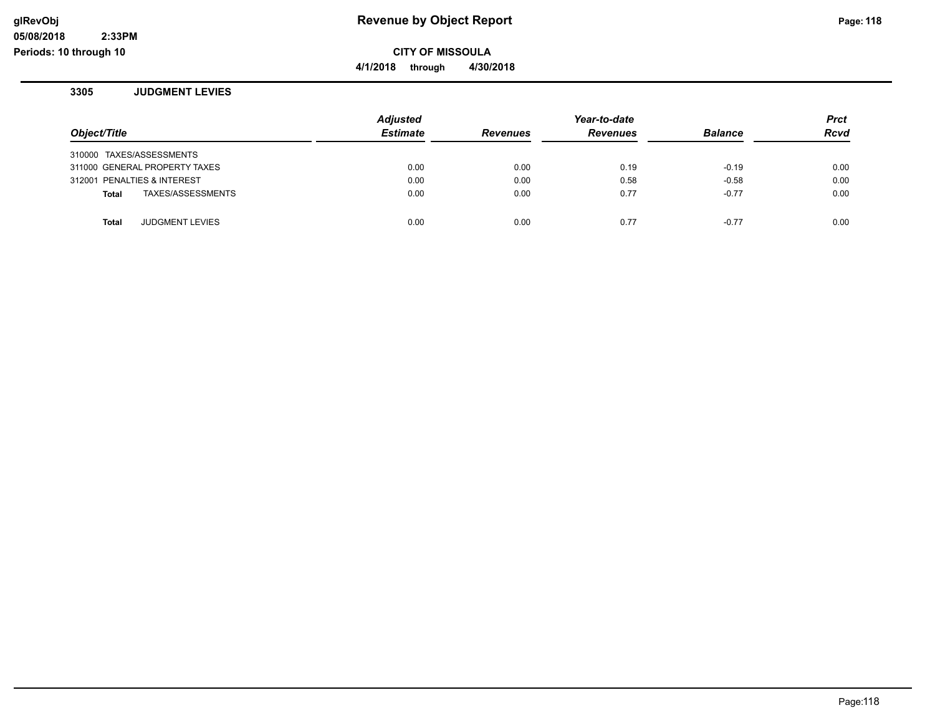**4/1/2018 through 4/30/2018**

#### **3305 JUDGMENT LEVIES**

| Object/Title                      | <b>Adjusted</b><br><b>Estimate</b> | <b>Revenues</b> | Year-to-date<br><b>Revenues</b> | <b>Balance</b> | <b>Prct</b><br><b>Rcvd</b> |
|-----------------------------------|------------------------------------|-----------------|---------------------------------|----------------|----------------------------|
| 310000 TAXES/ASSESSMENTS          |                                    |                 |                                 |                |                            |
| 311000 GENERAL PROPERTY TAXES     | 0.00                               | 0.00            | 0.19                            | $-0.19$        | 0.00                       |
| 312001 PENALTIES & INTEREST       | 0.00                               | 0.00            | 0.58                            | $-0.58$        | 0.00                       |
| TAXES/ASSESSMENTS<br><b>Total</b> | 0.00                               | 0.00            | 0.77                            | $-0.77$        | 0.00                       |
|                                   |                                    |                 |                                 |                |                            |
| <b>JUDGMENT LEVIES</b><br>Total   | 0.00                               | 0.00            | 0.77                            | $-0.77$        | 0.00                       |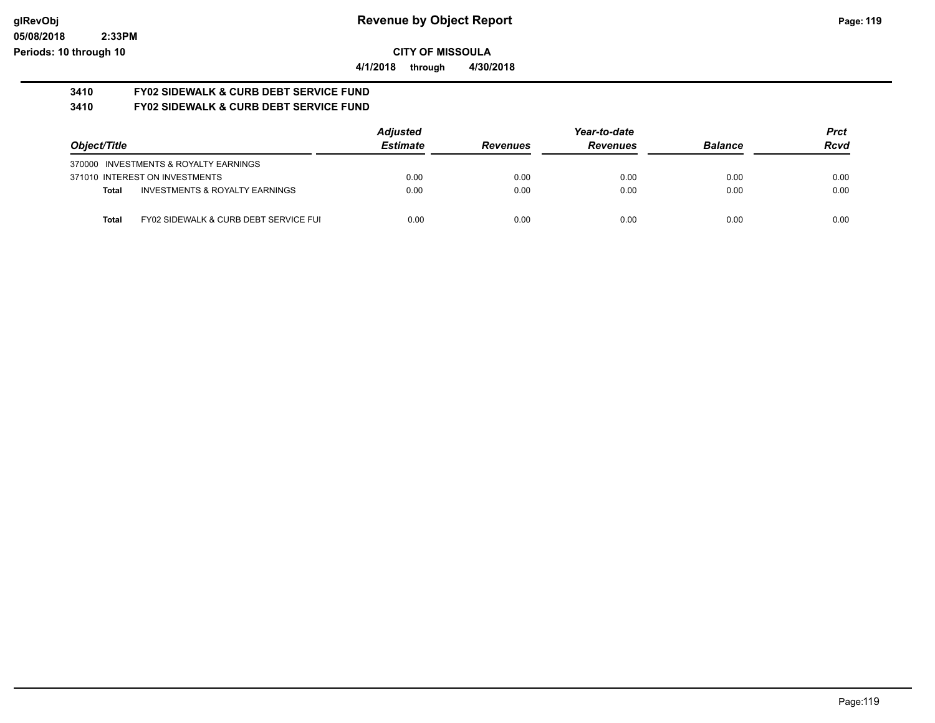#### **05/08/2018 2:33PM Periods: 10 through 10**

**CITY OF MISSOULA**

**4/1/2018 through 4/30/2018**

#### **3410 FY02 SIDEWALK & CURB DEBT SERVICE FUND 3410 FY02 SIDEWALK & CURB DEBT SERVICE FUND**

|              |                                           | <b>Adjusted</b> |                 | Year-to-date    |                | <b>Prct</b> |
|--------------|-------------------------------------------|-----------------|-----------------|-----------------|----------------|-------------|
| Object/Title |                                           | <b>Estimate</b> | <b>Revenues</b> | <b>Revenues</b> | <b>Balance</b> | Rcvd        |
|              | 370000 INVESTMENTS & ROYALTY EARNINGS     |                 |                 |                 |                |             |
|              | 371010 INTEREST ON INVESTMENTS            | 0.00            | 0.00            | 0.00            | 0.00           | 0.00        |
| Total        | <b>INVESTMENTS &amp; ROYALTY EARNINGS</b> | 0.00            | 0.00            | 0.00            | 0.00           | 0.00        |
| <b>Total</b> | FY02 SIDEWALK & CURB DEBT SERVICE FUI     | 0.00            | 0.00            | 0.00            | 0.00           | 0.00        |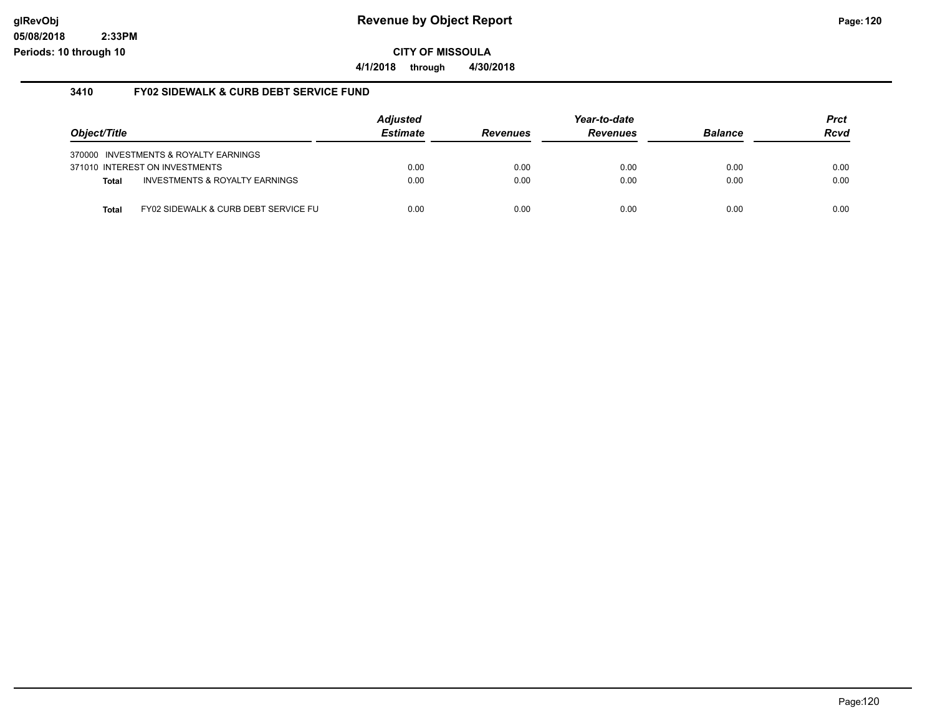**4/1/2018 through 4/30/2018**

#### **3410 FY02 SIDEWALK & CURB DEBT SERVICE FUND**

| Object/Title |                                       | Adjusted<br><b>Estimate</b> | <b>Revenues</b> | Year-to-date<br><b>Revenues</b> | <b>Balance</b> | <b>Prct</b><br><b>Rcvd</b> |
|--------------|---------------------------------------|-----------------------------|-----------------|---------------------------------|----------------|----------------------------|
|              | 370000 INVESTMENTS & ROYALTY EARNINGS |                             |                 |                                 |                |                            |
|              | 371010 INTEREST ON INVESTMENTS        | 0.00                        | 0.00            | 0.00                            | 0.00           | 0.00                       |
| <b>Total</b> | INVESTMENTS & ROYALTY EARNINGS        | 0.00                        | 0.00            | 0.00                            | 0.00           | 0.00                       |
| Total        | FY02 SIDEWALK & CURB DEBT SERVICE FU  | 0.00                        | 0.00            | 0.00                            | 0.00           | 0.00                       |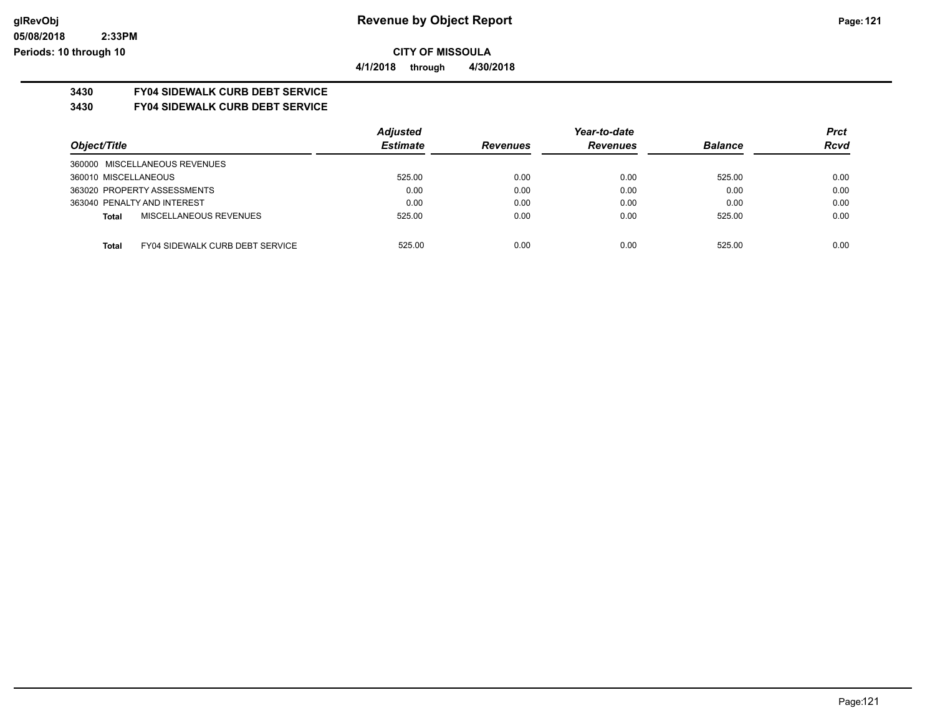**4/1/2018 through 4/30/2018**

# **3430 FY04 SIDEWALK CURB DEBT SERVICE**

# **3430 FY04 SIDEWALK CURB DEBT SERVICE**

|                                                 | <b>Adjusted</b> |                 | Year-to-date    |                | Prct        |
|-------------------------------------------------|-----------------|-----------------|-----------------|----------------|-------------|
| Object/Title                                    | <b>Estimate</b> | <b>Revenues</b> | <b>Revenues</b> | <b>Balance</b> | <b>Rcvd</b> |
| 360000 MISCELLANEOUS REVENUES                   |                 |                 |                 |                |             |
| 360010 MISCELLANEOUS                            | 525.00          | 0.00            | 0.00            | 525.00         | 0.00        |
| 363020 PROPERTY ASSESSMENTS                     | 0.00            | 0.00            | 0.00            | 0.00           | 0.00        |
| 363040 PENALTY AND INTEREST                     | 0.00            | 0.00            | 0.00            | 0.00           | 0.00        |
| MISCELLANEOUS REVENUES<br>Total                 | 525.00          | 0.00            | 0.00            | 525.00         | 0.00        |
|                                                 |                 |                 |                 |                |             |
| <b>FY04 SIDEWALK CURB DEBT SERVICE</b><br>Total | 525.00          | 0.00            | 0.00            | 525.00         | 0.00        |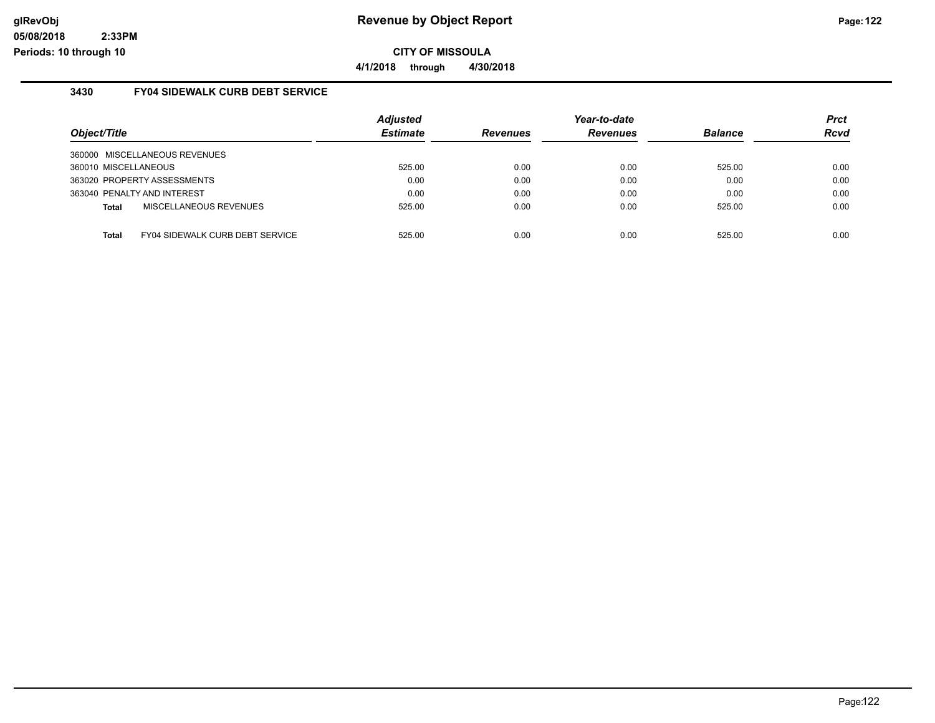**4/1/2018 through 4/30/2018**

#### **3430 FY04 SIDEWALK CURB DEBT SERVICE**

| Object/Title                                           | <b>Adjusted</b><br><b>Estimate</b> | <b>Revenues</b> | Year-to-date<br><b>Revenues</b> | <b>Balance</b> | <b>Prct</b><br><b>Rcvd</b> |
|--------------------------------------------------------|------------------------------------|-----------------|---------------------------------|----------------|----------------------------|
| 360000 MISCELLANEOUS REVENUES                          |                                    |                 |                                 |                |                            |
| 360010 MISCELLANEOUS                                   | 525.00                             | 0.00            | 0.00                            | 525.00         | 0.00                       |
| 363020 PROPERTY ASSESSMENTS                            | 0.00                               | 0.00            | 0.00                            | 0.00           | 0.00                       |
| 363040 PENALTY AND INTEREST                            | 0.00                               | 0.00            | 0.00                            | 0.00           | 0.00                       |
| MISCELLANEOUS REVENUES<br><b>Total</b>                 | 525.00                             | 0.00            | 0.00                            | 525.00         | 0.00                       |
| <b>FY04 SIDEWALK CURB DEBT SERVICE</b><br><b>Total</b> | 525.00                             | 0.00            | 0.00                            | 525.00         | 0.00                       |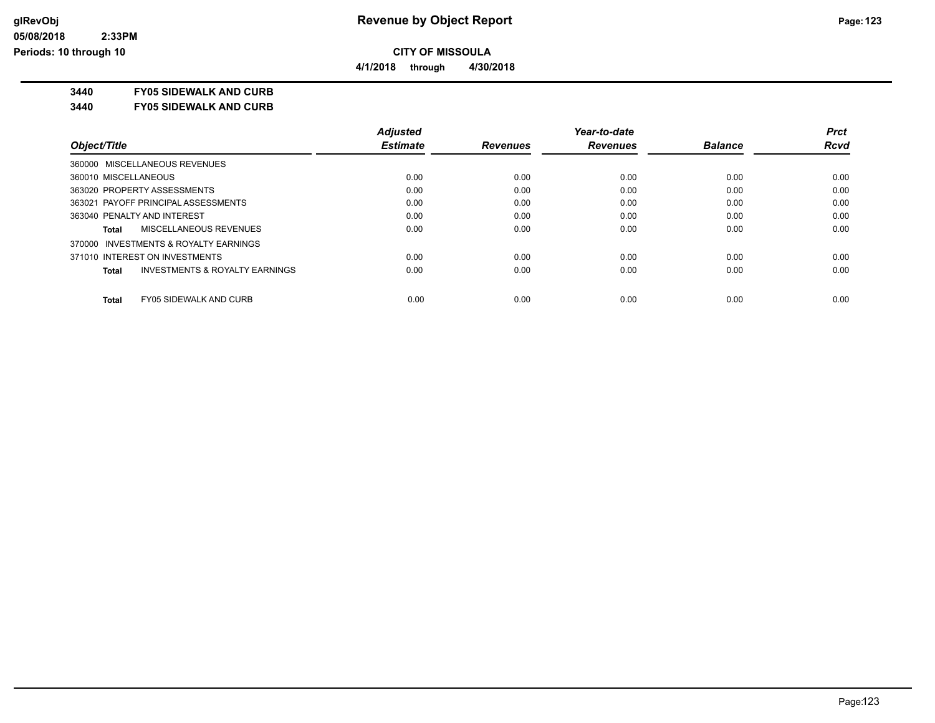**4/1/2018 through 4/30/2018**

**3440 FY05 SIDEWALK AND CURB**

**3440 FY05 SIDEWALK AND CURB**

|                                                    | <b>Adjusted</b> |                 | Year-to-date    |                | <b>Prct</b> |
|----------------------------------------------------|-----------------|-----------------|-----------------|----------------|-------------|
| Object/Title                                       | <b>Estimate</b> | <b>Revenues</b> | <b>Revenues</b> | <b>Balance</b> | <b>Rcvd</b> |
| 360000 MISCELLANEOUS REVENUES                      |                 |                 |                 |                |             |
| 360010 MISCELLANEOUS                               | 0.00            | 0.00            | 0.00            | 0.00           | 0.00        |
| 363020 PROPERTY ASSESSMENTS                        | 0.00            | 0.00            | 0.00            | 0.00           | 0.00        |
| 363021 PAYOFF PRINCIPAL ASSESSMENTS                | 0.00            | 0.00            | 0.00            | 0.00           | 0.00        |
| 363040 PENALTY AND INTEREST                        | 0.00            | 0.00            | 0.00            | 0.00           | 0.00        |
| MISCELLANEOUS REVENUES<br>Total                    | 0.00            | 0.00            | 0.00            | 0.00           | 0.00        |
| 370000 INVESTMENTS & ROYALTY EARNINGS              |                 |                 |                 |                |             |
| 371010 INTEREST ON INVESTMENTS                     | 0.00            | 0.00            | 0.00            | 0.00           | 0.00        |
| <b>INVESTMENTS &amp; ROYALTY EARNINGS</b><br>Total | 0.00            | 0.00            | 0.00            | 0.00           | 0.00        |
| <b>FY05 SIDEWALK AND CURB</b><br><b>Total</b>      | 0.00            | 0.00            | 0.00            | 0.00           | 0.00        |
|                                                    |                 |                 |                 |                |             |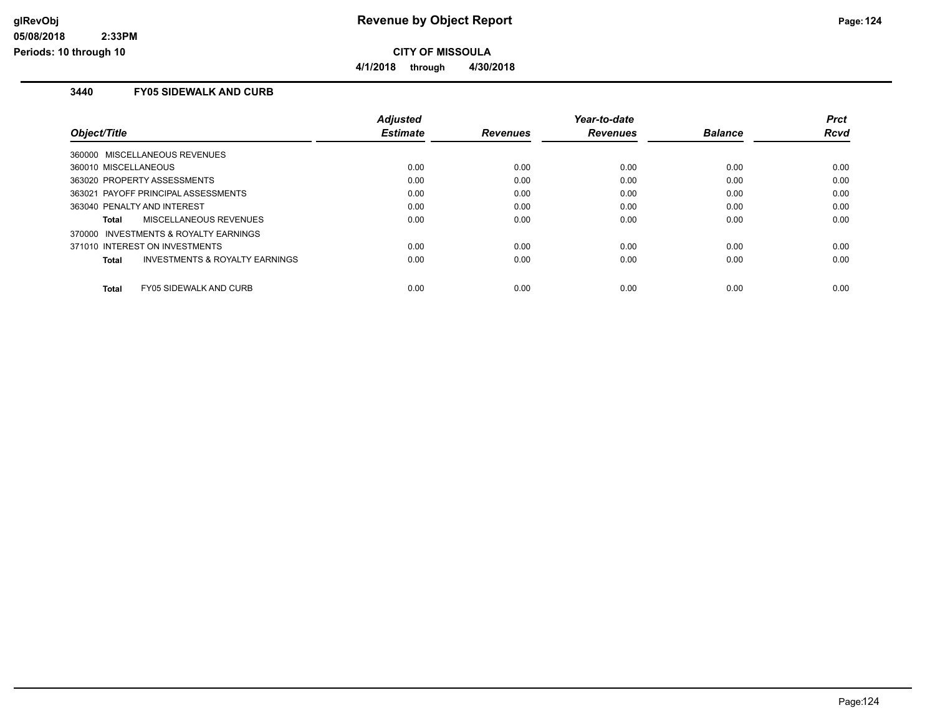**4/1/2018 through 4/30/2018**

#### **3440 FY05 SIDEWALK AND CURB**

| Object/Title                                              | <b>Adjusted</b><br><b>Estimate</b> | <b>Revenues</b> | Year-to-date<br><b>Revenues</b> | <b>Balance</b> | <b>Prct</b><br><b>Rcvd</b> |
|-----------------------------------------------------------|------------------------------------|-----------------|---------------------------------|----------------|----------------------------|
| 360000 MISCELLANEOUS REVENUES                             |                                    |                 |                                 |                |                            |
| 360010 MISCELLANEOUS                                      | 0.00                               | 0.00            | 0.00                            | 0.00           | 0.00                       |
| 363020 PROPERTY ASSESSMENTS                               | 0.00                               | 0.00            | 0.00                            | 0.00           | 0.00                       |
| 363021 PAYOFF PRINCIPAL ASSESSMENTS                       | 0.00                               | 0.00            | 0.00                            | 0.00           | 0.00                       |
| 363040 PENALTY AND INTEREST                               | 0.00                               | 0.00            | 0.00                            | 0.00           | 0.00                       |
| MISCELLANEOUS REVENUES<br>Total                           | 0.00                               | 0.00            | 0.00                            | 0.00           | 0.00                       |
| 370000 INVESTMENTS & ROYALTY EARNINGS                     |                                    |                 |                                 |                |                            |
| 371010 INTEREST ON INVESTMENTS                            | 0.00                               | 0.00            | 0.00                            | 0.00           | 0.00                       |
| <b>INVESTMENTS &amp; ROYALTY EARNINGS</b><br><b>Total</b> | 0.00                               | 0.00            | 0.00                            | 0.00           | 0.00                       |
| <b>FY05 SIDEWALK AND CURB</b><br><b>Total</b>             | 0.00                               | 0.00            | 0.00                            | 0.00           | 0.00                       |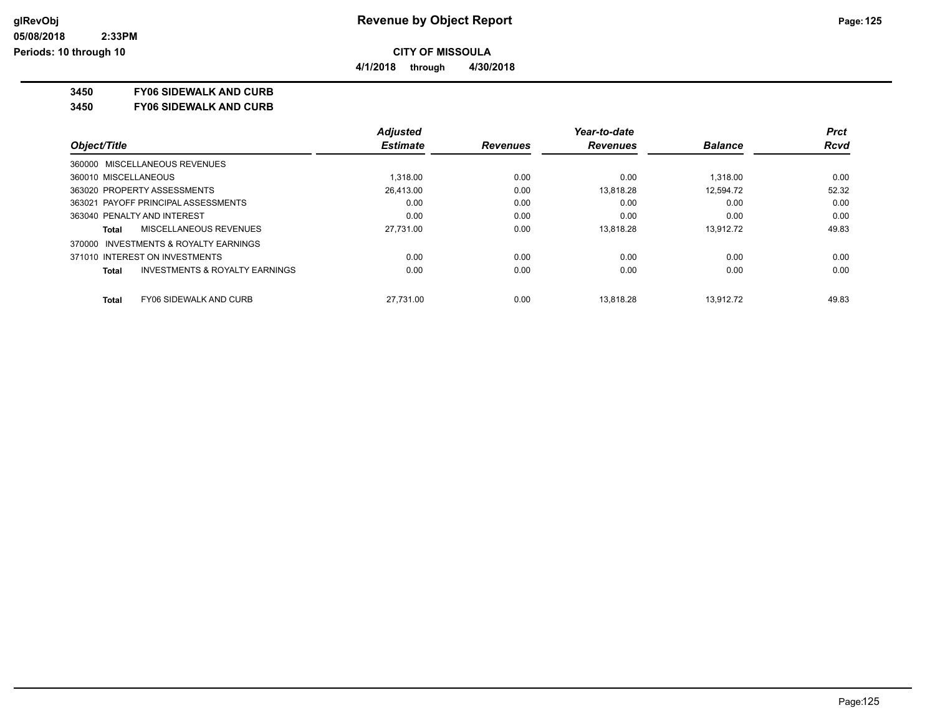**4/1/2018 through 4/30/2018**

**3450 FY06 SIDEWALK AND CURB**

**3450 FY06 SIDEWALK AND CURB**

|                                                           | <b>Adjusted</b> |                 | Year-to-date    |                | <b>Prct</b> |
|-----------------------------------------------------------|-----------------|-----------------|-----------------|----------------|-------------|
| Object/Title                                              | <b>Estimate</b> | <b>Revenues</b> | <b>Revenues</b> | <b>Balance</b> | Rcvd        |
| 360000 MISCELLANEOUS REVENUES                             |                 |                 |                 |                |             |
| 360010 MISCELLANEOUS                                      | 1.318.00        | 0.00            | 0.00            | 1.318.00       | 0.00        |
| 363020 PROPERTY ASSESSMENTS                               | 26,413.00       | 0.00            | 13.818.28       | 12.594.72      | 52.32       |
| 363021 PAYOFF PRINCIPAL ASSESSMENTS                       | 0.00            | 0.00            | 0.00            | 0.00           | 0.00        |
| 363040 PENALTY AND INTEREST                               | 0.00            | 0.00            | 0.00            | 0.00           | 0.00        |
| MISCELLANEOUS REVENUES<br>Total                           | 27,731.00       | 0.00            | 13,818.28       | 13.912.72      | 49.83       |
| 370000 INVESTMENTS & ROYALTY EARNINGS                     |                 |                 |                 |                |             |
| 371010 INTEREST ON INVESTMENTS                            | 0.00            | 0.00            | 0.00            | 0.00           | 0.00        |
| <b>INVESTMENTS &amp; ROYALTY EARNINGS</b><br><b>Total</b> | 0.00            | 0.00            | 0.00            | 0.00           | 0.00        |
| <b>FY06 SIDEWALK AND CURB</b><br><b>Total</b>             | 27.731.00       | 0.00            | 13,818.28       | 13.912.72      | 49.83       |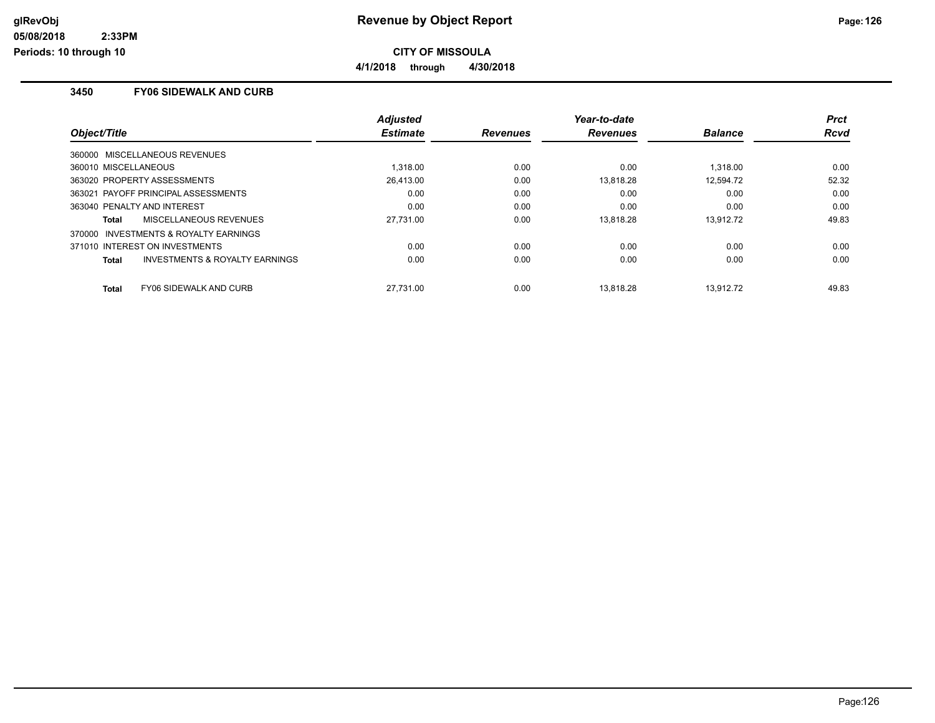**4/1/2018 through 4/30/2018**

#### **3450 FY06 SIDEWALK AND CURB**

|                                                           | <b>Adjusted</b> |                 | Year-to-date    |                | <b>Prct</b> |
|-----------------------------------------------------------|-----------------|-----------------|-----------------|----------------|-------------|
| Object/Title                                              | <b>Estimate</b> | <b>Revenues</b> | <b>Revenues</b> | <b>Balance</b> | <b>Rcvd</b> |
| 360000 MISCELLANEOUS REVENUES                             |                 |                 |                 |                |             |
| 360010 MISCELLANEOUS                                      | 1.318.00        | 0.00            | 0.00            | 1.318.00       | 0.00        |
| 363020 PROPERTY ASSESSMENTS                               | 26.413.00       | 0.00            | 13.818.28       | 12.594.72      | 52.32       |
| 363021 PAYOFF PRINCIPAL ASSESSMENTS                       | 0.00            | 0.00            | 0.00            | 0.00           | 0.00        |
| 363040 PENALTY AND INTEREST                               | 0.00            | 0.00            | 0.00            | 0.00           | 0.00        |
| MISCELLANEOUS REVENUES<br>Total                           | 27.731.00       | 0.00            | 13.818.28       | 13.912.72      | 49.83       |
| 370000 INVESTMENTS & ROYALTY EARNINGS                     |                 |                 |                 |                |             |
| 371010 INTEREST ON INVESTMENTS                            | 0.00            | 0.00            | 0.00            | 0.00           | 0.00        |
| <b>INVESTMENTS &amp; ROYALTY EARNINGS</b><br><b>Total</b> | 0.00            | 0.00            | 0.00            | 0.00           | 0.00        |
| <b>FY06 SIDEWALK AND CURB</b><br><b>Total</b>             | 27.731.00       | 0.00            | 13.818.28       | 13.912.72      | 49.83       |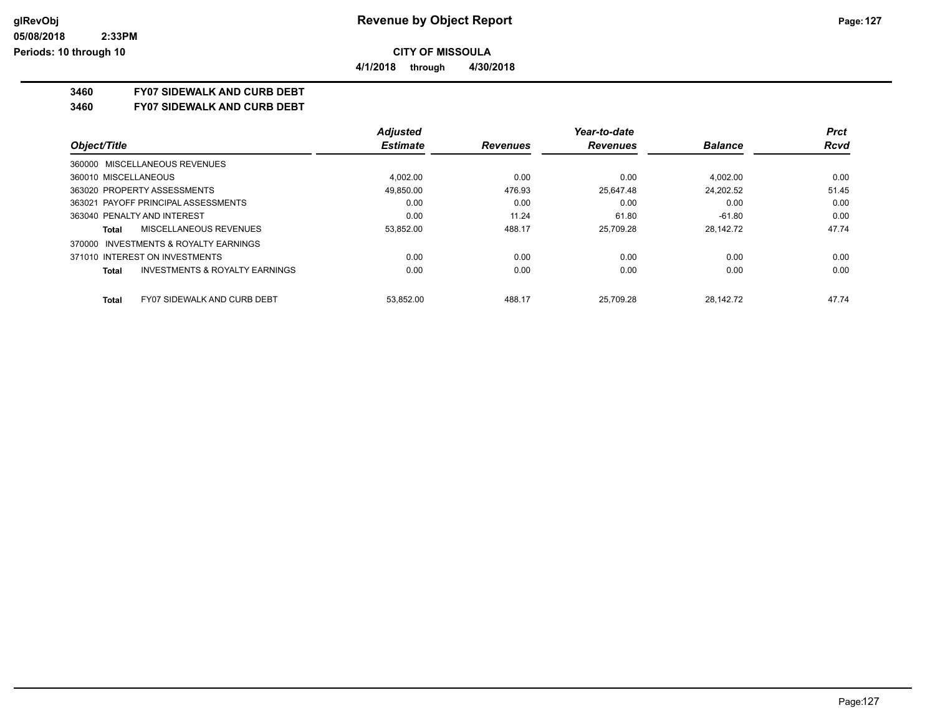**4/1/2018 through 4/30/2018**

**3460 FY07 SIDEWALK AND CURB DEBT**

**3460 FY07 SIDEWALK AND CURB DEBT**

|                                                    | <b>Adjusted</b> |                 | Year-to-date    |                | <b>Prct</b> |
|----------------------------------------------------|-----------------|-----------------|-----------------|----------------|-------------|
| Object/Title                                       | <b>Estimate</b> | <b>Revenues</b> | <b>Revenues</b> | <b>Balance</b> | <b>Rcvd</b> |
| 360000 MISCELLANEOUS REVENUES                      |                 |                 |                 |                |             |
| 360010 MISCELLANEOUS                               | 4.002.00        | 0.00            | 0.00            | 4.002.00       | 0.00        |
| 363020 PROPERTY ASSESSMENTS                        | 49,850.00       | 476.93          | 25.647.48       | 24.202.52      | 51.45       |
| 363021 PAYOFF PRINCIPAL ASSESSMENTS                | 0.00            | 0.00            | 0.00            | 0.00           | 0.00        |
| 363040 PENALTY AND INTEREST                        | 0.00            | 11.24           | 61.80           | $-61.80$       | 0.00        |
| <b>MISCELLANEOUS REVENUES</b><br>Total             | 53,852.00       | 488.17          | 25.709.28       | 28.142.72      | 47.74       |
| 370000 INVESTMENTS & ROYALTY EARNINGS              |                 |                 |                 |                |             |
| 371010 INTEREST ON INVESTMENTS                     | 0.00            | 0.00            | 0.00            | 0.00           | 0.00        |
| INVESTMENTS & ROYALTY EARNINGS<br>Total            | 0.00            | 0.00            | 0.00            | 0.00           | 0.00        |
| <b>FY07 SIDEWALK AND CURB DEBT</b><br><b>Total</b> | 53.852.00       | 488.17          | 25.709.28       | 28.142.72      | 47.74       |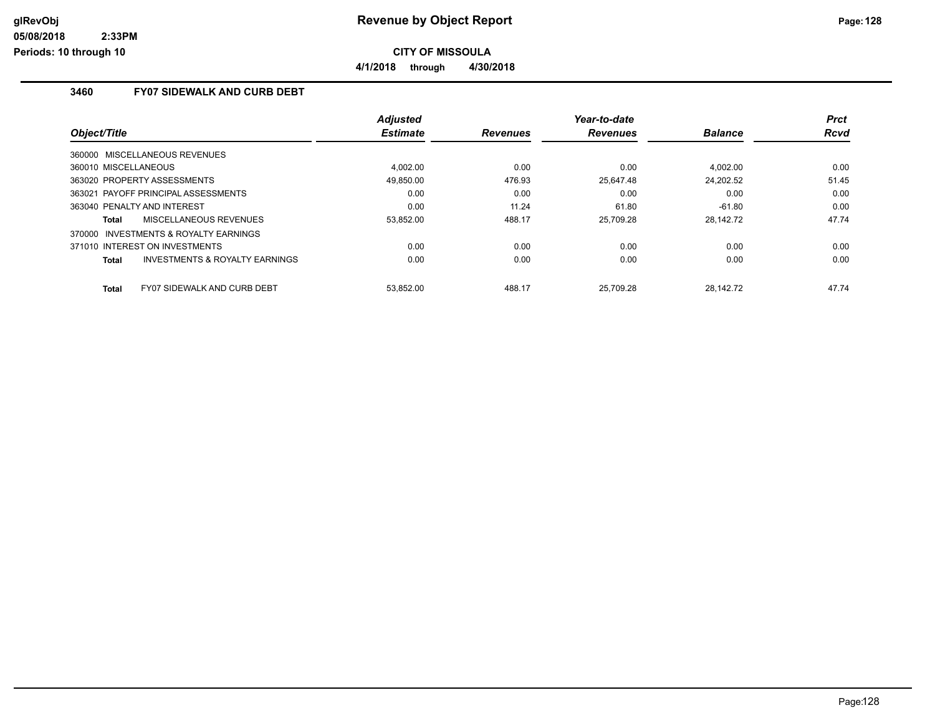**4/1/2018 through 4/30/2018**

#### **3460 FY07 SIDEWALK AND CURB DEBT**

| Object/Title                |                                           | <b>Adjusted</b><br><b>Estimate</b> | <b>Revenues</b> | Year-to-date<br><b>Revenues</b> | <b>Balance</b> | <b>Prct</b><br><b>Rcvd</b> |
|-----------------------------|-------------------------------------------|------------------------------------|-----------------|---------------------------------|----------------|----------------------------|
|                             | 360000 MISCELLANEOUS REVENUES             |                                    |                 |                                 |                |                            |
| 360010 MISCELLANEOUS        |                                           | 4,002.00                           | 0.00            | 0.00                            | 4,002.00       | 0.00                       |
|                             | 363020 PROPERTY ASSESSMENTS               | 49.850.00                          | 476.93          | 25.647.48                       | 24.202.52      | 51.45                      |
|                             | 363021 PAYOFF PRINCIPAL ASSESSMENTS       | 0.00                               | 0.00            | 0.00                            | 0.00           | 0.00                       |
| 363040 PENALTY AND INTEREST |                                           | 0.00                               | 11.24           | 61.80                           | $-61.80$       | 0.00                       |
| Total                       | MISCELLANEOUS REVENUES                    | 53,852.00                          | 488.17          | 25.709.28                       | 28.142.72      | 47.74                      |
| 370000                      | INVESTMENTS & ROYALTY EARNINGS            |                                    |                 |                                 |                |                            |
|                             | 371010 INTEREST ON INVESTMENTS            | 0.00                               | 0.00            | 0.00                            | 0.00           | 0.00                       |
| <b>Total</b>                | <b>INVESTMENTS &amp; ROYALTY EARNINGS</b> | 0.00                               | 0.00            | 0.00                            | 0.00           | 0.00                       |
| <b>Total</b>                | <b>FY07 SIDEWALK AND CURB DEBT</b>        | 53.852.00                          | 488.17          | 25.709.28                       | 28.142.72      | 47.74                      |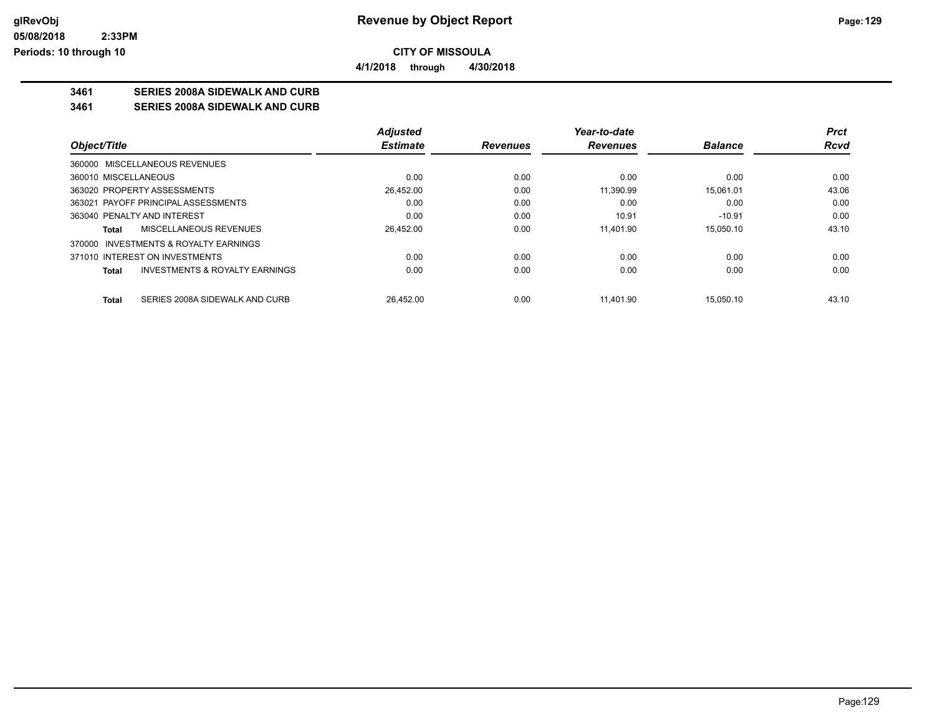**4/1/2018 through 4/30/2018**

# **3461 SERIES 2008A SIDEWALK AND CURB**

#### **3461 SERIES 2008A SIDEWALK AND CURB**

|                                                           | <b>Adjusted</b> |                 | Year-to-date    |                | <b>Prct</b> |
|-----------------------------------------------------------|-----------------|-----------------|-----------------|----------------|-------------|
| Object/Title                                              | <b>Estimate</b> | <b>Revenues</b> | <b>Revenues</b> | <b>Balance</b> | <b>Rcvd</b> |
| 360000 MISCELLANEOUS REVENUES                             |                 |                 |                 |                |             |
| 360010 MISCELLANEOUS                                      | 0.00            | 0.00            | 0.00            | 0.00           | 0.00        |
| 363020 PROPERTY ASSESSMENTS                               | 26,452.00       | 0.00            | 11.390.99       | 15.061.01      | 43.06       |
| 363021 PAYOFF PRINCIPAL ASSESSMENTS                       | 0.00            | 0.00            | 0.00            | 0.00           | 0.00        |
| 363040 PENALTY AND INTEREST                               | 0.00            | 0.00            | 10.91           | $-10.91$       | 0.00        |
| MISCELLANEOUS REVENUES<br>Total                           | 26,452.00       | 0.00            | 11.401.90       | 15.050.10      | 43.10       |
| 370000 INVESTMENTS & ROYALTY EARNINGS                     |                 |                 |                 |                |             |
| 371010 INTEREST ON INVESTMENTS                            | 0.00            | 0.00            | 0.00            | 0.00           | 0.00        |
| <b>INVESTMENTS &amp; ROYALTY EARNINGS</b><br><b>Total</b> | 0.00            | 0.00            | 0.00            | 0.00           | 0.00        |
| SERIES 2008A SIDEWALK AND CURB<br>Total                   | 26.452.00       | 0.00            | 11.401.90       | 15.050.10      | 43.10       |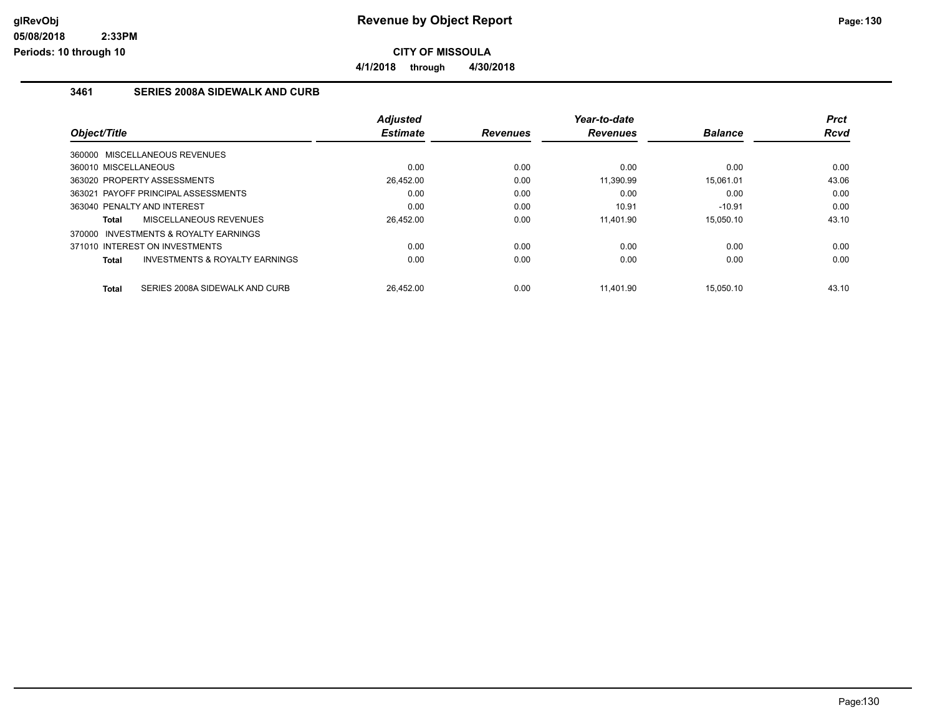**4/1/2018 through 4/30/2018**

#### **3461 SERIES 2008A SIDEWALK AND CURB**

| Object/Title                |                                           | <b>Adjusted</b><br><b>Estimate</b> | <b>Revenues</b> | Year-to-date<br><b>Revenues</b> | <b>Balance</b> | <b>Prct</b><br><b>Rcvd</b> |
|-----------------------------|-------------------------------------------|------------------------------------|-----------------|---------------------------------|----------------|----------------------------|
|                             | 360000 MISCELLANEOUS REVENUES             |                                    |                 |                                 |                |                            |
| 360010 MISCELLANEOUS        |                                           | 0.00                               | 0.00            | 0.00                            | 0.00           | 0.00                       |
|                             | 363020 PROPERTY ASSESSMENTS               | 26.452.00                          | 0.00            | 11.390.99                       | 15.061.01      | 43.06                      |
|                             | 363021 PAYOFF PRINCIPAL ASSESSMENTS       | 0.00                               | 0.00            | 0.00                            | 0.00           | 0.00                       |
| 363040 PENALTY AND INTEREST |                                           | 0.00                               | 0.00            | 10.91                           | $-10.91$       | 0.00                       |
| Total                       | MISCELLANEOUS REVENUES                    | 26.452.00                          | 0.00            | 11.401.90                       | 15.050.10      | 43.10                      |
|                             | 370000 INVESTMENTS & ROYALTY EARNINGS     |                                    |                 |                                 |                |                            |
|                             | 371010 INTEREST ON INVESTMENTS            | 0.00                               | 0.00            | 0.00                            | 0.00           | 0.00                       |
| Total                       | <b>INVESTMENTS &amp; ROYALTY EARNINGS</b> | 0.00                               | 0.00            | 0.00                            | 0.00           | 0.00                       |
| <b>Total</b>                | SERIES 2008A SIDEWALK AND CURB            | 26.452.00                          | 0.00            | 11.401.90                       | 15.050.10      | 43.10                      |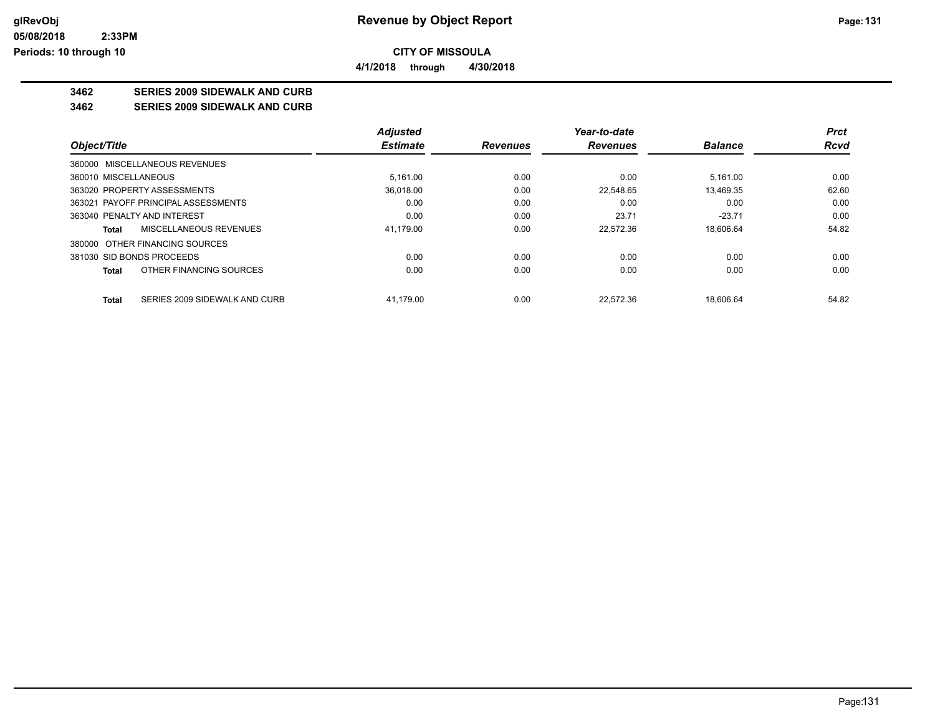**4/1/2018 through 4/30/2018**

# **3462 SERIES 2009 SIDEWALK AND CURB**

#### **3462 SERIES 2009 SIDEWALK AND CURB**

|                                               | <b>Adjusted</b> |                 | Year-to-date    |                | <b>Prct</b> |
|-----------------------------------------------|-----------------|-----------------|-----------------|----------------|-------------|
| Object/Title                                  | <b>Estimate</b> | <b>Revenues</b> | <b>Revenues</b> | <b>Balance</b> | <b>Rcvd</b> |
| 360000 MISCELLANEOUS REVENUES                 |                 |                 |                 |                |             |
| 360010 MISCELLANEOUS                          | 5.161.00        | 0.00            | 0.00            | 5.161.00       | 0.00        |
| 363020 PROPERTY ASSESSMENTS                   | 36,018.00       | 0.00            | 22,548.65       | 13,469.35      | 62.60       |
| 363021 PAYOFF PRINCIPAL ASSESSMENTS           | 0.00            | 0.00            | 0.00            | 0.00           | 0.00        |
| 363040 PENALTY AND INTEREST                   | 0.00            | 0.00            | 23.71           | $-23.71$       | 0.00        |
| MISCELLANEOUS REVENUES<br>Total               | 41,179.00       | 0.00            | 22,572.36       | 18.606.64      | 54.82       |
| 380000 OTHER FINANCING SOURCES                |                 |                 |                 |                |             |
| 381030 SID BONDS PROCEEDS                     | 0.00            | 0.00            | 0.00            | 0.00           | 0.00        |
| OTHER FINANCING SOURCES<br>Total              | 0.00            | 0.00            | 0.00            | 0.00           | 0.00        |
| SERIES 2009 SIDEWALK AND CURB<br><b>Total</b> | 41.179.00       | 0.00            | 22.572.36       | 18.606.64      | 54.82       |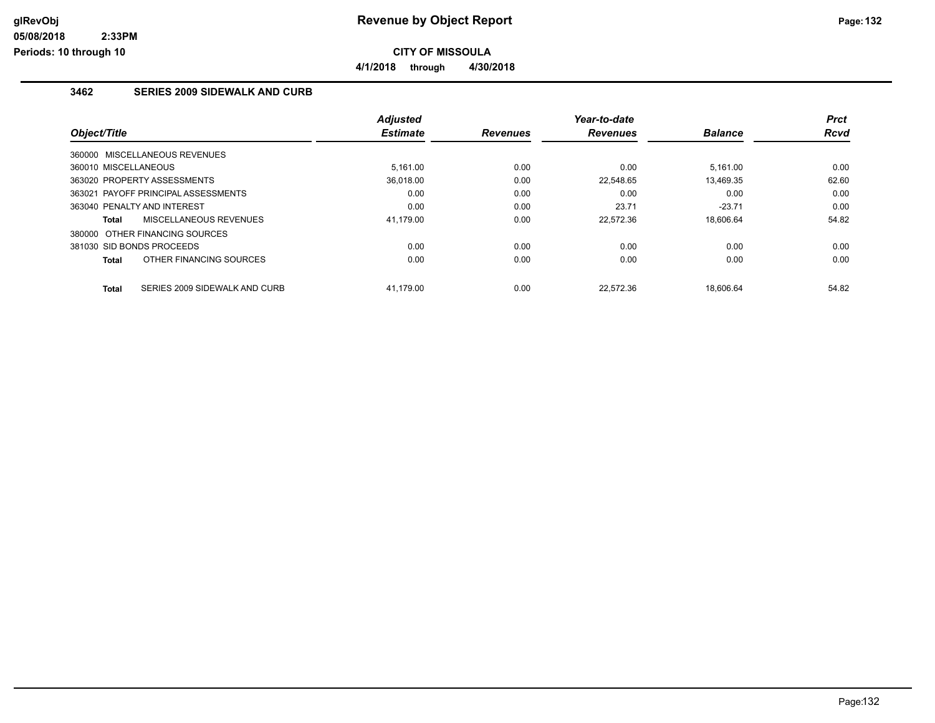**4/1/2018 through 4/30/2018**

#### **3462 SERIES 2009 SIDEWALK AND CURB**

| Object/Title         |                                     | <b>Adjusted</b><br><b>Estimate</b> | <b>Revenues</b> | Year-to-date<br><b>Revenues</b> | <b>Balance</b> | <b>Prct</b><br><b>Rcvd</b> |
|----------------------|-------------------------------------|------------------------------------|-----------------|---------------------------------|----------------|----------------------------|
|                      | 360000 MISCELLANEOUS REVENUES       |                                    |                 |                                 |                |                            |
| 360010 MISCELLANEOUS |                                     | 5,161.00                           | 0.00            | 0.00                            | 5,161.00       | 0.00                       |
|                      | 363020 PROPERTY ASSESSMENTS         | 36.018.00                          | 0.00            | 22.548.65                       | 13.469.35      | 62.60                      |
|                      | 363021 PAYOFF PRINCIPAL ASSESSMENTS | 0.00                               | 0.00            | 0.00                            | 0.00           | 0.00                       |
|                      | 363040 PENALTY AND INTEREST         | 0.00                               | 0.00            | 23.71                           | $-23.71$       | 0.00                       |
| Total                | MISCELLANEOUS REVENUES              | 41.179.00                          | 0.00            | 22.572.36                       | 18.606.64      | 54.82                      |
|                      | 380000 OTHER FINANCING SOURCES      |                                    |                 |                                 |                |                            |
|                      | 381030 SID BONDS PROCEEDS           | 0.00                               | 0.00            | 0.00                            | 0.00           | 0.00                       |
| Total                | OTHER FINANCING SOURCES             | 0.00                               | 0.00            | 0.00                            | 0.00           | 0.00                       |
| <b>Total</b>         | SERIES 2009 SIDEWALK AND CURB       | 41.179.00                          | 0.00            | 22.572.36                       | 18.606.64      | 54.82                      |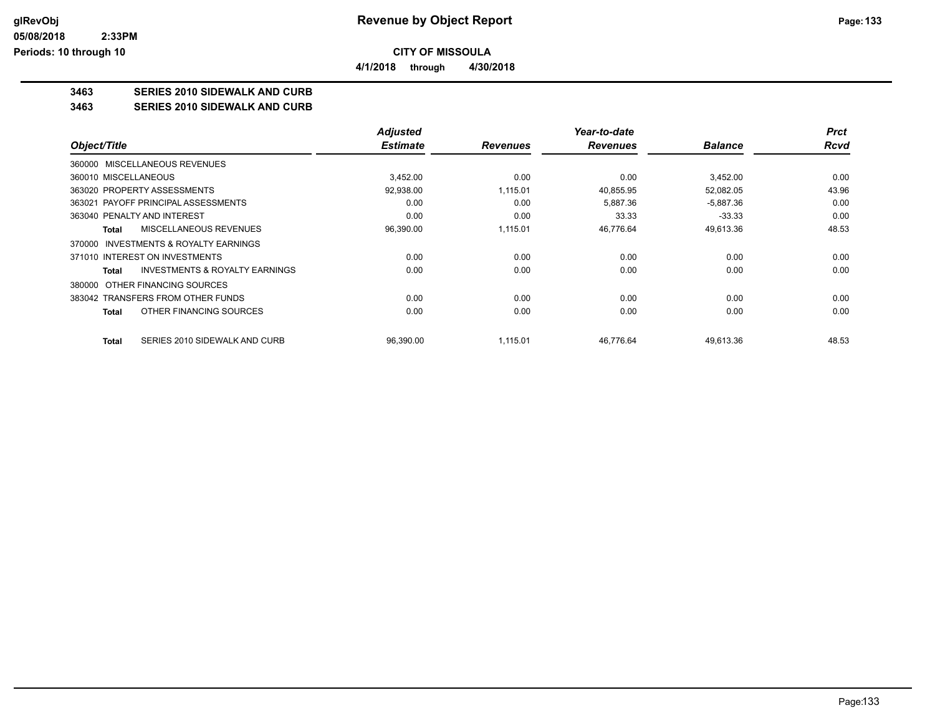**4/1/2018 through 4/30/2018**

# **3463 SERIES 2010 SIDEWALK AND CURB**

#### **3463 SERIES 2010 SIDEWALK AND CURB**

|                                                    | <b>Adjusted</b> |                 | Year-to-date    |                | <b>Prct</b> |
|----------------------------------------------------|-----------------|-----------------|-----------------|----------------|-------------|
| Object/Title                                       | <b>Estimate</b> | <b>Revenues</b> | <b>Revenues</b> | <b>Balance</b> | <b>Rcvd</b> |
| MISCELLANEOUS REVENUES<br>360000                   |                 |                 |                 |                |             |
| 360010 MISCELLANEOUS                               | 3,452.00        | 0.00            | 0.00            | 3,452.00       | 0.00        |
| 363020 PROPERTY ASSESSMENTS                        | 92,938.00       | 1,115.01        | 40,855.95       | 52,082.05      | 43.96       |
| 363021 PAYOFF PRINCIPAL ASSESSMENTS                | 0.00            | 0.00            | 5,887.36        | $-5,887.36$    | 0.00        |
| 363040 PENALTY AND INTEREST                        | 0.00            | 0.00            | 33.33           | $-33.33$       | 0.00        |
| MISCELLANEOUS REVENUES<br>Total                    | 96,390.00       | 1,115.01        | 46,776.64       | 49,613.36      | 48.53       |
| INVESTMENTS & ROYALTY EARNINGS<br>370000           |                 |                 |                 |                |             |
| 371010 INTEREST ON INVESTMENTS                     | 0.00            | 0.00            | 0.00            | 0.00           | 0.00        |
| <b>INVESTMENTS &amp; ROYALTY EARNINGS</b><br>Total | 0.00            | 0.00            | 0.00            | 0.00           | 0.00        |
| OTHER FINANCING SOURCES<br>380000                  |                 |                 |                 |                |             |
| 383042 TRANSFERS FROM OTHER FUNDS                  | 0.00            | 0.00            | 0.00            | 0.00           | 0.00        |
| OTHER FINANCING SOURCES<br><b>Total</b>            | 0.00            | 0.00            | 0.00            | 0.00           | 0.00        |
| SERIES 2010 SIDEWALK AND CURB<br><b>Total</b>      | 96,390.00       | 1,115.01        | 46,776.64       | 49,613.36      | 48.53       |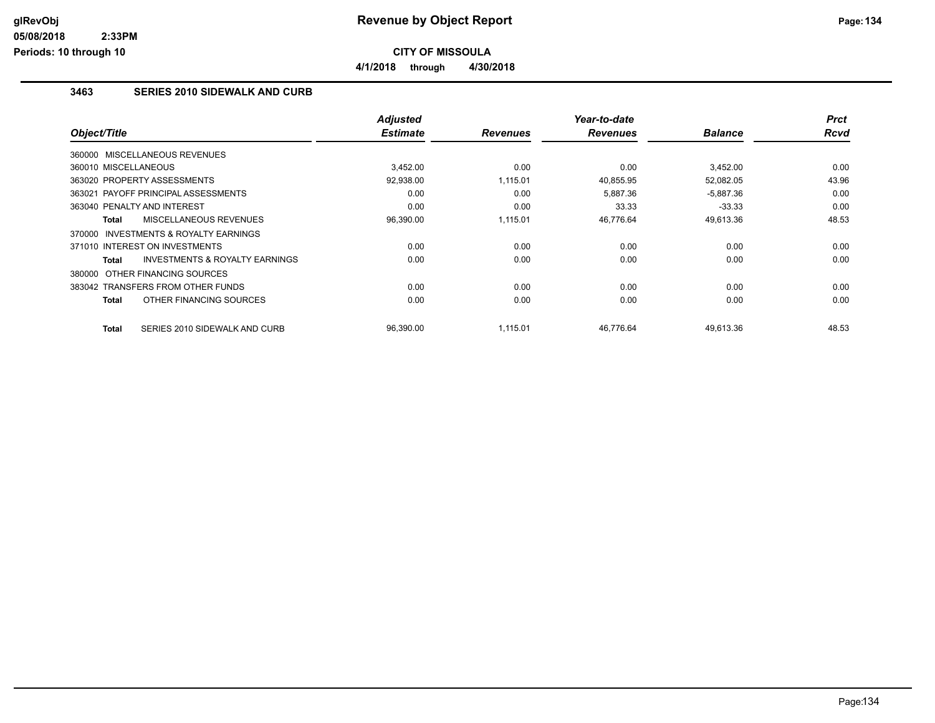**4/1/2018 through 4/30/2018**

#### **3463 SERIES 2010 SIDEWALK AND CURB**

|                                                     | <b>Adjusted</b> |                 | Year-to-date    |                | <b>Prct</b> |
|-----------------------------------------------------|-----------------|-----------------|-----------------|----------------|-------------|
| Object/Title                                        | <b>Estimate</b> | <b>Revenues</b> | <b>Revenues</b> | <b>Balance</b> | Rcvd        |
| 360000 MISCELLANEOUS REVENUES                       |                 |                 |                 |                |             |
| 360010 MISCELLANEOUS                                | 3,452.00        | 0.00            | 0.00            | 3,452.00       | 0.00        |
| 363020 PROPERTY ASSESSMENTS                         | 92,938.00       | 1.115.01        | 40,855.95       | 52,082.05      | 43.96       |
| 363021 PAYOFF PRINCIPAL ASSESSMENTS                 | 0.00            | 0.00            | 5.887.36        | $-5.887.36$    | 0.00        |
| 363040 PENALTY AND INTEREST                         | 0.00            | 0.00            | 33.33           | $-33.33$       | 0.00        |
| <b>MISCELLANEOUS REVENUES</b><br><b>Total</b>       | 96,390.00       | 1,115.01        | 46,776.64       | 49,613.36      | 48.53       |
| <b>INVESTMENTS &amp; ROYALTY EARNINGS</b><br>370000 |                 |                 |                 |                |             |
| 371010 INTEREST ON INVESTMENTS                      | 0.00            | 0.00            | 0.00            | 0.00           | 0.00        |
| <b>INVESTMENTS &amp; ROYALTY EARNINGS</b><br>Total  | 0.00            | 0.00            | 0.00            | 0.00           | 0.00        |
| 380000 OTHER FINANCING SOURCES                      |                 |                 |                 |                |             |
| 383042 TRANSFERS FROM OTHER FUNDS                   | 0.00            | 0.00            | 0.00            | 0.00           | 0.00        |
| OTHER FINANCING SOURCES<br><b>Total</b>             | 0.00            | 0.00            | 0.00            | 0.00           | 0.00        |
| SERIES 2010 SIDEWALK AND CURB<br><b>Total</b>       | 96,390.00       | 1.115.01        | 46,776.64       | 49,613.36      | 48.53       |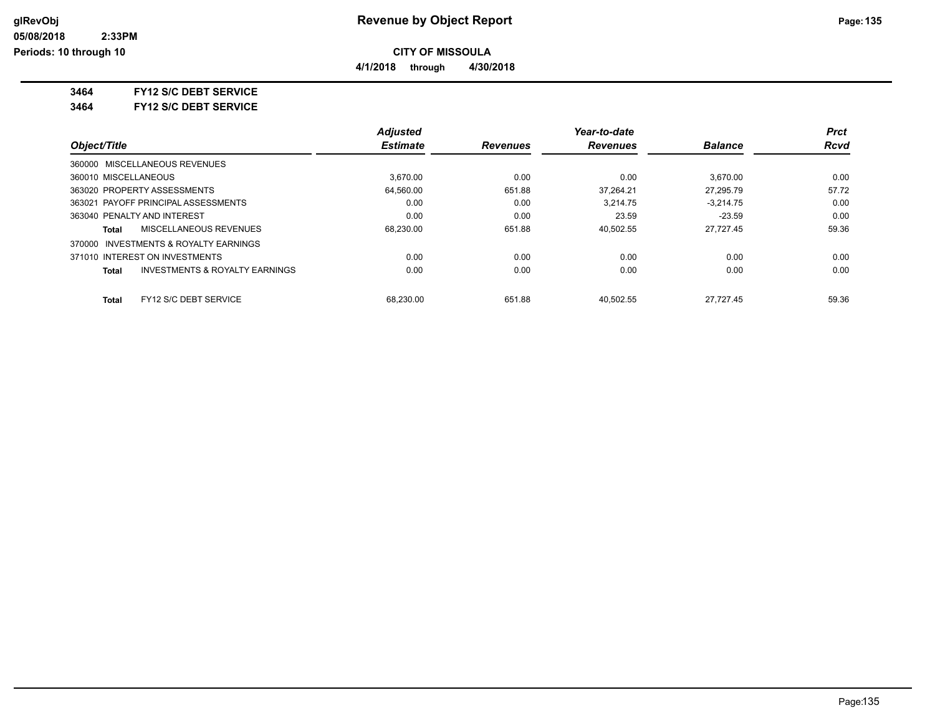**4/1/2018 through 4/30/2018**

**3464 FY12 S/C DEBT SERVICE**

**3464 FY12 S/C DEBT SERVICE**

|                                                           | <b>Adjusted</b> |                 | Year-to-date    |                | <b>Prct</b> |
|-----------------------------------------------------------|-----------------|-----------------|-----------------|----------------|-------------|
| Object/Title                                              | <b>Estimate</b> | <b>Revenues</b> | <b>Revenues</b> | <b>Balance</b> | <b>Rcvd</b> |
| 360000 MISCELLANEOUS REVENUES                             |                 |                 |                 |                |             |
| 360010 MISCELLANEOUS                                      | 3.670.00        | 0.00            | 0.00            | 3.670.00       | 0.00        |
| 363020 PROPERTY ASSESSMENTS                               | 64,560.00       | 651.88          | 37.264.21       | 27,295.79      | 57.72       |
| 363021 PAYOFF PRINCIPAL ASSESSMENTS                       | 0.00            | 0.00            | 3.214.75        | $-3.214.75$    | 0.00        |
| 363040 PENALTY AND INTEREST                               | 0.00            | 0.00            | 23.59           | $-23.59$       | 0.00        |
| MISCELLANEOUS REVENUES<br>Total                           | 68,230.00       | 651.88          | 40,502.55       | 27.727.45      | 59.36       |
| 370000 INVESTMENTS & ROYALTY EARNINGS                     |                 |                 |                 |                |             |
| 371010 INTEREST ON INVESTMENTS                            | 0.00            | 0.00            | 0.00            | 0.00           | 0.00        |
| <b>INVESTMENTS &amp; ROYALTY EARNINGS</b><br><b>Total</b> | 0.00            | 0.00            | 0.00            | 0.00           | 0.00        |
| FY12 S/C DEBT SERVICE<br><b>Total</b>                     | 68.230.00       | 651.88          | 40.502.55       | 27.727.45      | 59.36       |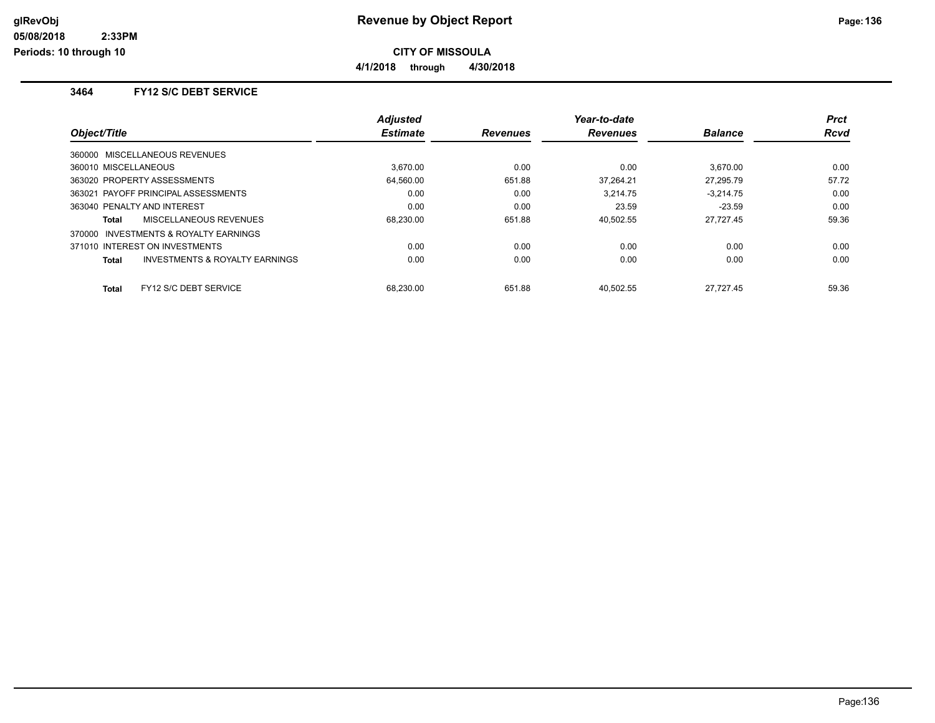**4/1/2018 through 4/30/2018**

#### **3464 FY12 S/C DEBT SERVICE**

| Object/Title                                       | <b>Adjusted</b><br><b>Estimate</b> | <b>Revenues</b> | Year-to-date<br><b>Revenues</b> | <b>Balance</b> | <b>Prct</b><br><b>Rcvd</b> |
|----------------------------------------------------|------------------------------------|-----------------|---------------------------------|----------------|----------------------------|
| 360000 MISCELLANEOUS REVENUES                      |                                    |                 |                                 |                |                            |
| 360010 MISCELLANEOUS                               | 3.670.00                           | 0.00            | 0.00                            | 3.670.00       | 0.00                       |
| 363020 PROPERTY ASSESSMENTS                        | 64.560.00                          | 651.88          | 37.264.21                       | 27.295.79      | 57.72                      |
| 363021 PAYOFF PRINCIPAL ASSESSMENTS                | 0.00                               | 0.00            | 3.214.75                        | $-3.214.75$    | 0.00                       |
| 363040 PENALTY AND INTEREST                        | 0.00                               | 0.00            | 23.59                           | $-23.59$       | 0.00                       |
| MISCELLANEOUS REVENUES<br>Total                    | 68,230.00                          | 651.88          | 40.502.55                       | 27,727.45      | 59.36                      |
| 370000 INVESTMENTS & ROYALTY EARNINGS              |                                    |                 |                                 |                |                            |
| 371010 INTEREST ON INVESTMENTS                     | 0.00                               | 0.00            | 0.00                            | 0.00           | 0.00                       |
| <b>INVESTMENTS &amp; ROYALTY EARNINGS</b><br>Total | 0.00                               | 0.00            | 0.00                            | 0.00           | 0.00                       |
| FY12 S/C DEBT SERVICE<br><b>Total</b>              | 68.230.00                          | 651.88          | 40.502.55                       | 27.727.45      | 59.36                      |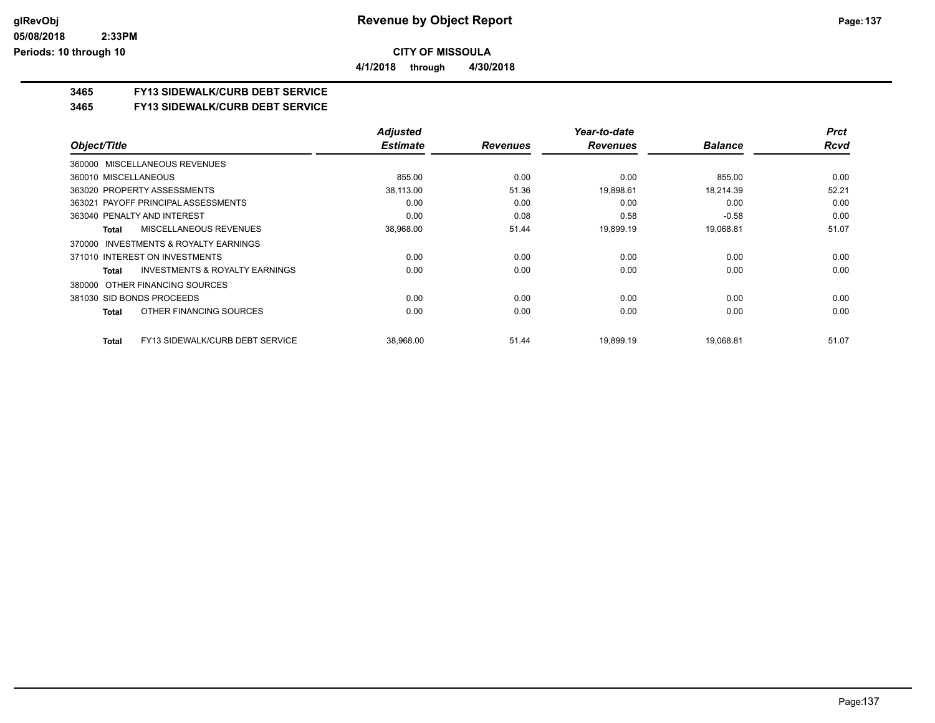**4/1/2018 through 4/30/2018**

# **3465 FY13 SIDEWALK/CURB DEBT SERVICE**

#### **3465 FY13 SIDEWALK/CURB DEBT SERVICE**

|                                                    | <b>Adjusted</b> |                 | Year-to-date    |                | <b>Prct</b> |
|----------------------------------------------------|-----------------|-----------------|-----------------|----------------|-------------|
| Object/Title                                       | <b>Estimate</b> | <b>Revenues</b> | <b>Revenues</b> | <b>Balance</b> | <b>Rcvd</b> |
| 360000 MISCELLANEOUS REVENUES                      |                 |                 |                 |                |             |
| 360010 MISCELLANEOUS                               | 855.00          | 0.00            | 0.00            | 855.00         | 0.00        |
| 363020 PROPERTY ASSESSMENTS                        | 38,113.00       | 51.36           | 19,898.61       | 18,214.39      | 52.21       |
| PAYOFF PRINCIPAL ASSESSMENTS<br>363021             | 0.00            | 0.00            | 0.00            | 0.00           | 0.00        |
| 363040 PENALTY AND INTEREST                        | 0.00            | 0.08            | 0.58            | $-0.58$        | 0.00        |
| MISCELLANEOUS REVENUES<br>Total                    | 38,968.00       | 51.44           | 19,899.19       | 19,068.81      | 51.07       |
| INVESTMENTS & ROYALTY EARNINGS<br>370000           |                 |                 |                 |                |             |
| 371010 INTEREST ON INVESTMENTS                     | 0.00            | 0.00            | 0.00            | 0.00           | 0.00        |
| <b>INVESTMENTS &amp; ROYALTY EARNINGS</b><br>Total | 0.00            | 0.00            | 0.00            | 0.00           | 0.00        |
| OTHER FINANCING SOURCES<br>380000                  |                 |                 |                 |                |             |
| 381030 SID BONDS PROCEEDS                          | 0.00            | 0.00            | 0.00            | 0.00           | 0.00        |
| OTHER FINANCING SOURCES<br>Total                   | 0.00            | 0.00            | 0.00            | 0.00           | 0.00        |
| FY13 SIDEWALK/CURB DEBT SERVICE<br><b>Total</b>    | 38,968.00       | 51.44           | 19,899.19       | 19,068.81      | 51.07       |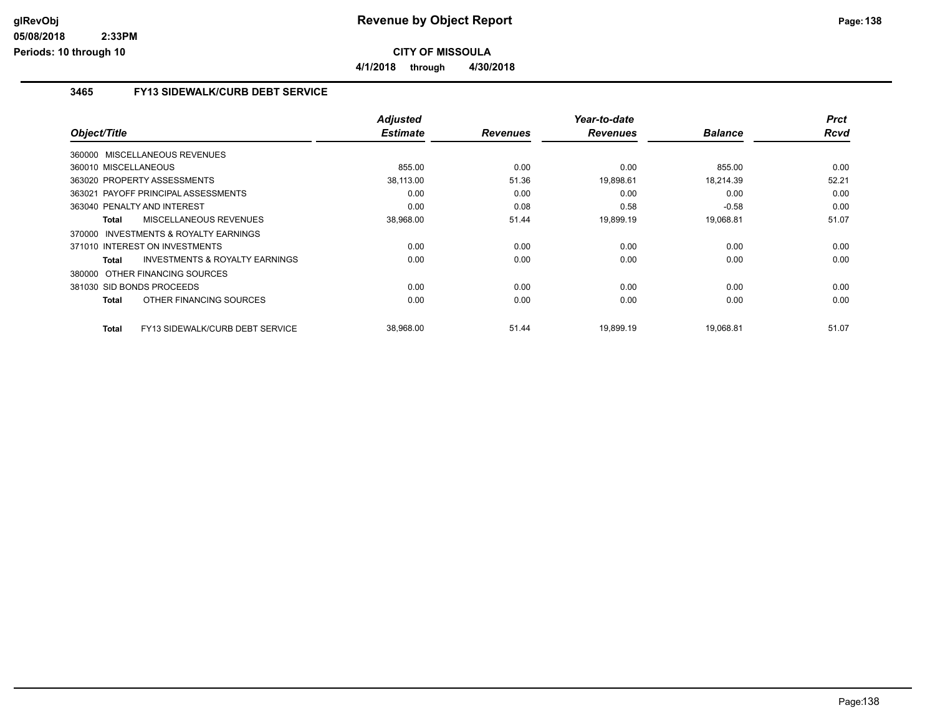**4/1/2018 through 4/30/2018**

#### **3465 FY13 SIDEWALK/CURB DEBT SERVICE**

| Object/Title                                        | <b>Adjusted</b><br><b>Estimate</b> | <b>Revenues</b> | Year-to-date<br><b>Revenues</b> | <b>Balance</b> | <b>Prct</b><br><b>Rcvd</b> |
|-----------------------------------------------------|------------------------------------|-----------------|---------------------------------|----------------|----------------------------|
|                                                     |                                    |                 |                                 |                |                            |
| 360000 MISCELLANEOUS REVENUES                       |                                    |                 |                                 |                |                            |
| 360010 MISCELLANEOUS                                | 855.00                             | 0.00            | 0.00                            | 855.00         | 0.00                       |
| 363020 PROPERTY ASSESSMENTS                         | 38,113.00                          | 51.36           | 19,898.61                       | 18.214.39      | 52.21                      |
| 363021 PAYOFF PRINCIPAL ASSESSMENTS                 | 0.00                               | 0.00            | 0.00                            | 0.00           | 0.00                       |
| 363040 PENALTY AND INTEREST                         | 0.00                               | 0.08            | 0.58                            | $-0.58$        | 0.00                       |
| <b>MISCELLANEOUS REVENUES</b><br>Total              | 38,968.00                          | 51.44           | 19,899.19                       | 19,068.81      | 51.07                      |
| <b>INVESTMENTS &amp; ROYALTY EARNINGS</b><br>370000 |                                    |                 |                                 |                |                            |
| 371010 INTEREST ON INVESTMENTS                      | 0.00                               | 0.00            | 0.00                            | 0.00           | 0.00                       |
| <b>INVESTMENTS &amp; ROYALTY EARNINGS</b><br>Total  | 0.00                               | 0.00            | 0.00                            | 0.00           | 0.00                       |
| 380000 OTHER FINANCING SOURCES                      |                                    |                 |                                 |                |                            |
| 381030 SID BONDS PROCEEDS                           | 0.00                               | 0.00            | 0.00                            | 0.00           | 0.00                       |
| OTHER FINANCING SOURCES<br><b>Total</b>             | 0.00                               | 0.00            | 0.00                            | 0.00           | 0.00                       |
| FY13 SIDEWALK/CURB DEBT SERVICE<br><b>Total</b>     | 38,968.00                          | 51.44           | 19,899.19                       | 19,068.81      | 51.07                      |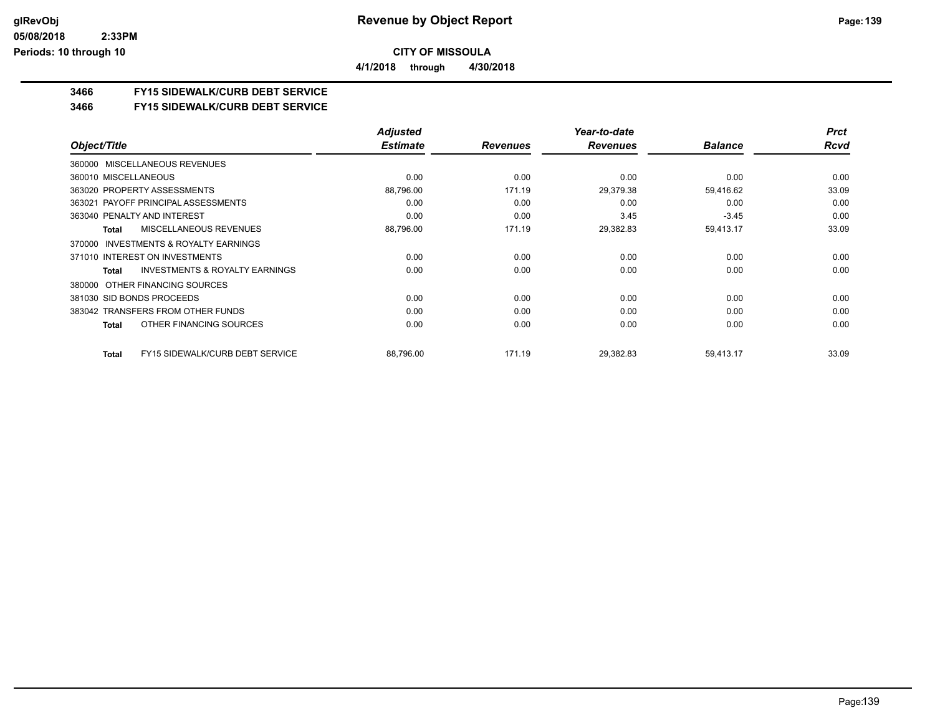**4/1/2018 through 4/30/2018**

# **3466 FY15 SIDEWALK/CURB DEBT SERVICE**

#### **3466 FY15 SIDEWALK/CURB DEBT SERVICE**

|                                                           | <b>Adjusted</b> |                 | Year-to-date    |                | <b>Prct</b> |
|-----------------------------------------------------------|-----------------|-----------------|-----------------|----------------|-------------|
| Object/Title                                              | <b>Estimate</b> | <b>Revenues</b> | <b>Revenues</b> | <b>Balance</b> | <b>Rcvd</b> |
| MISCELLANEOUS REVENUES<br>360000                          |                 |                 |                 |                |             |
| 360010 MISCELLANEOUS                                      | 0.00            | 0.00            | 0.00            | 0.00           | 0.00        |
| 363020 PROPERTY ASSESSMENTS                               | 88,796.00       | 171.19          | 29,379.38       | 59,416.62      | 33.09       |
| 363021 PAYOFF PRINCIPAL ASSESSMENTS                       | 0.00            | 0.00            | 0.00            | 0.00           | 0.00        |
| 363040 PENALTY AND INTEREST                               | 0.00            | 0.00            | 3.45            | $-3.45$        | 0.00        |
| MISCELLANEOUS REVENUES<br><b>Total</b>                    | 88,796.00       | 171.19          | 29,382.83       | 59,413.17      | 33.09       |
| 370000 INVESTMENTS & ROYALTY EARNINGS                     |                 |                 |                 |                |             |
| 371010 INTEREST ON INVESTMENTS                            | 0.00            | 0.00            | 0.00            | 0.00           | 0.00        |
| <b>INVESTMENTS &amp; ROYALTY EARNINGS</b><br><b>Total</b> | 0.00            | 0.00            | 0.00            | 0.00           | 0.00        |
| OTHER FINANCING SOURCES<br>380000                         |                 |                 |                 |                |             |
| 381030 SID BONDS PROCEEDS                                 | 0.00            | 0.00            | 0.00            | 0.00           | 0.00        |
| 383042 TRANSFERS FROM OTHER FUNDS                         | 0.00            | 0.00            | 0.00            | 0.00           | 0.00        |
| OTHER FINANCING SOURCES<br><b>Total</b>                   | 0.00            | 0.00            | 0.00            | 0.00           | 0.00        |
| FY15 SIDEWALK/CURB DEBT SERVICE<br><b>Total</b>           | 88,796.00       | 171.19          | 29.382.83       | 59,413.17      | 33.09       |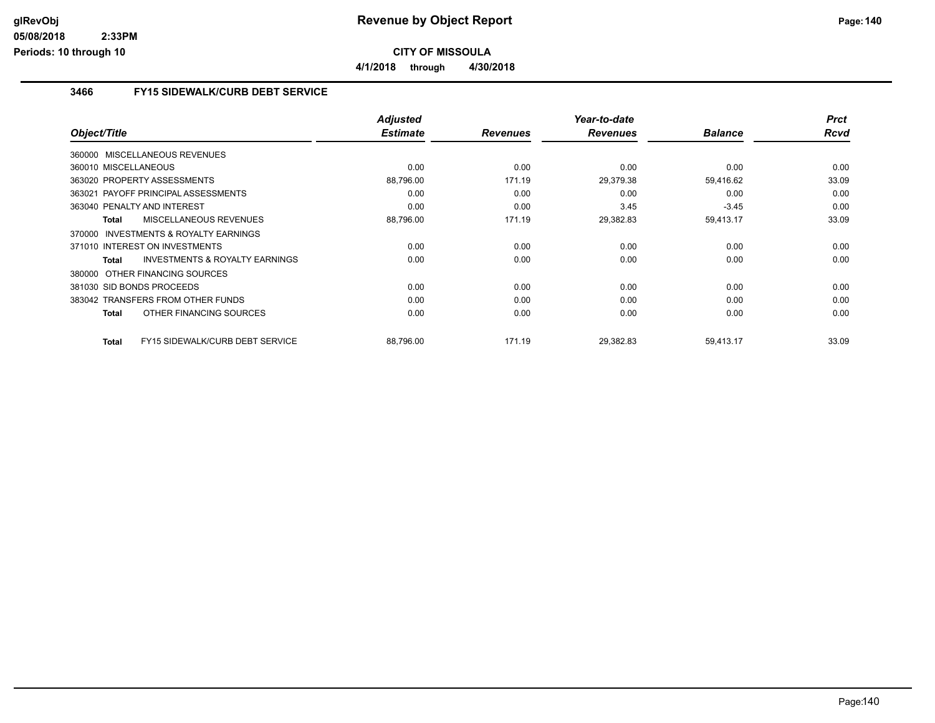**4/1/2018 through 4/30/2018**

#### **3466 FY15 SIDEWALK/CURB DEBT SERVICE**

|                                                    | <b>Adjusted</b> |                 | Year-to-date    |                | <b>Prct</b> |
|----------------------------------------------------|-----------------|-----------------|-----------------|----------------|-------------|
| Object/Title                                       | <b>Estimate</b> | <b>Revenues</b> | <b>Revenues</b> | <b>Balance</b> | <b>Rcvd</b> |
| 360000 MISCELLANEOUS REVENUES                      |                 |                 |                 |                |             |
| 360010 MISCELLANEOUS                               | 0.00            | 0.00            | 0.00            | 0.00           | 0.00        |
| 363020 PROPERTY ASSESSMENTS                        | 88,796.00       | 171.19          | 29,379.38       | 59,416.62      | 33.09       |
| 363021 PAYOFF PRINCIPAL ASSESSMENTS                | 0.00            | 0.00            | 0.00            | 0.00           | 0.00        |
| 363040 PENALTY AND INTEREST                        | 0.00            | 0.00            | 3.45            | $-3.45$        | 0.00        |
| <b>MISCELLANEOUS REVENUES</b><br>Total             | 88,796.00       | 171.19          | 29,382.83       | 59,413.17      | 33.09       |
| 370000 INVESTMENTS & ROYALTY EARNINGS              |                 |                 |                 |                |             |
| 371010 INTEREST ON INVESTMENTS                     | 0.00            | 0.00            | 0.00            | 0.00           | 0.00        |
| <b>INVESTMENTS &amp; ROYALTY EARNINGS</b><br>Total | 0.00            | 0.00            | 0.00            | 0.00           | 0.00        |
| 380000 OTHER FINANCING SOURCES                     |                 |                 |                 |                |             |
| 381030 SID BONDS PROCEEDS                          | 0.00            | 0.00            | 0.00            | 0.00           | 0.00        |
| 383042 TRANSFERS FROM OTHER FUNDS                  | 0.00            | 0.00            | 0.00            | 0.00           | 0.00        |
| OTHER FINANCING SOURCES<br>Total                   | 0.00            | 0.00            | 0.00            | 0.00           | 0.00        |
| FY15 SIDEWALK/CURB DEBT SERVICE<br>Total           | 88.796.00       | 171.19          | 29.382.83       | 59,413.17      | 33.09       |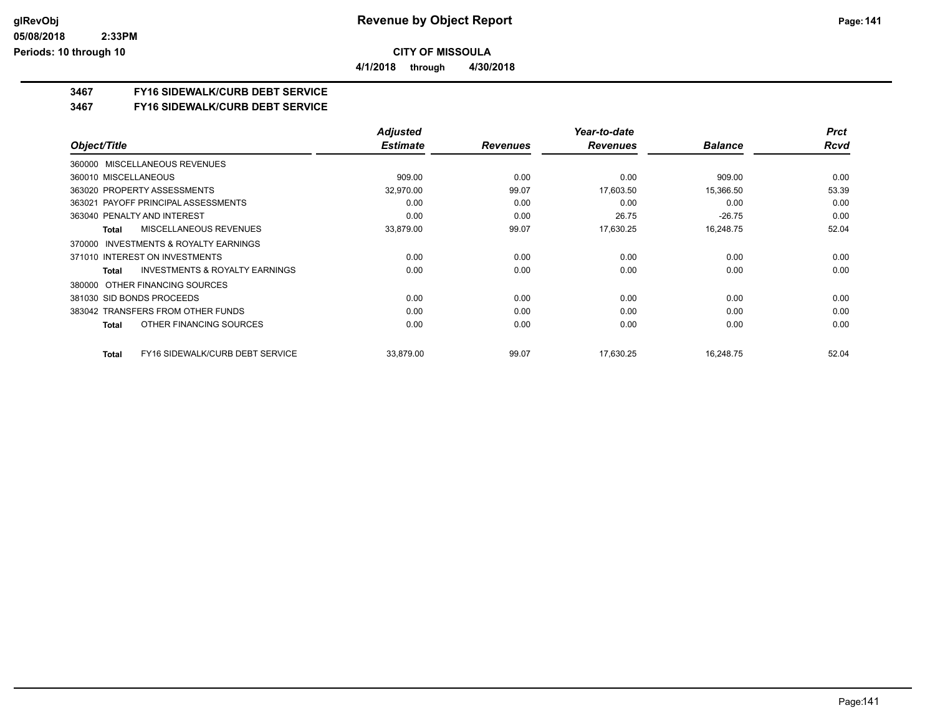**4/1/2018 through 4/30/2018**

# **3467 FY16 SIDEWALK/CURB DEBT SERVICE**

#### **3467 FY16 SIDEWALK/CURB DEBT SERVICE**

|                                                    | <b>Adjusted</b> |                 | Year-to-date    |                | <b>Prct</b> |
|----------------------------------------------------|-----------------|-----------------|-----------------|----------------|-------------|
| Object/Title                                       | <b>Estimate</b> | <b>Revenues</b> | <b>Revenues</b> | <b>Balance</b> | <b>Rcvd</b> |
| MISCELLANEOUS REVENUES<br>360000                   |                 |                 |                 |                |             |
| 360010 MISCELLANEOUS                               | 909.00          | 0.00            | 0.00            | 909.00         | 0.00        |
| 363020 PROPERTY ASSESSMENTS                        | 32,970.00       | 99.07           | 17,603.50       | 15,366.50      | 53.39       |
| 363021 PAYOFF PRINCIPAL ASSESSMENTS                | 0.00            | 0.00            | 0.00            | 0.00           | 0.00        |
| 363040 PENALTY AND INTEREST                        | 0.00            | 0.00            | 26.75           | $-26.75$       | 0.00        |
| MISCELLANEOUS REVENUES<br><b>Total</b>             | 33,879.00       | 99.07           | 17,630.25       | 16,248.75      | 52.04       |
| INVESTMENTS & ROYALTY EARNINGS<br>370000           |                 |                 |                 |                |             |
| 371010 INTEREST ON INVESTMENTS                     | 0.00            | 0.00            | 0.00            | 0.00           | 0.00        |
| <b>INVESTMENTS &amp; ROYALTY EARNINGS</b><br>Total | 0.00            | 0.00            | 0.00            | 0.00           | 0.00        |
| OTHER FINANCING SOURCES<br>380000                  |                 |                 |                 |                |             |
| 381030 SID BONDS PROCEEDS                          | 0.00            | 0.00            | 0.00            | 0.00           | 0.00        |
| 383042 TRANSFERS FROM OTHER FUNDS                  | 0.00            | 0.00            | 0.00            | 0.00           | 0.00        |
| OTHER FINANCING SOURCES<br><b>Total</b>            | 0.00            | 0.00            | 0.00            | 0.00           | 0.00        |
| FY16 SIDEWALK/CURB DEBT SERVICE<br><b>Total</b>    | 33.879.00       | 99.07           | 17.630.25       | 16.248.75      | 52.04       |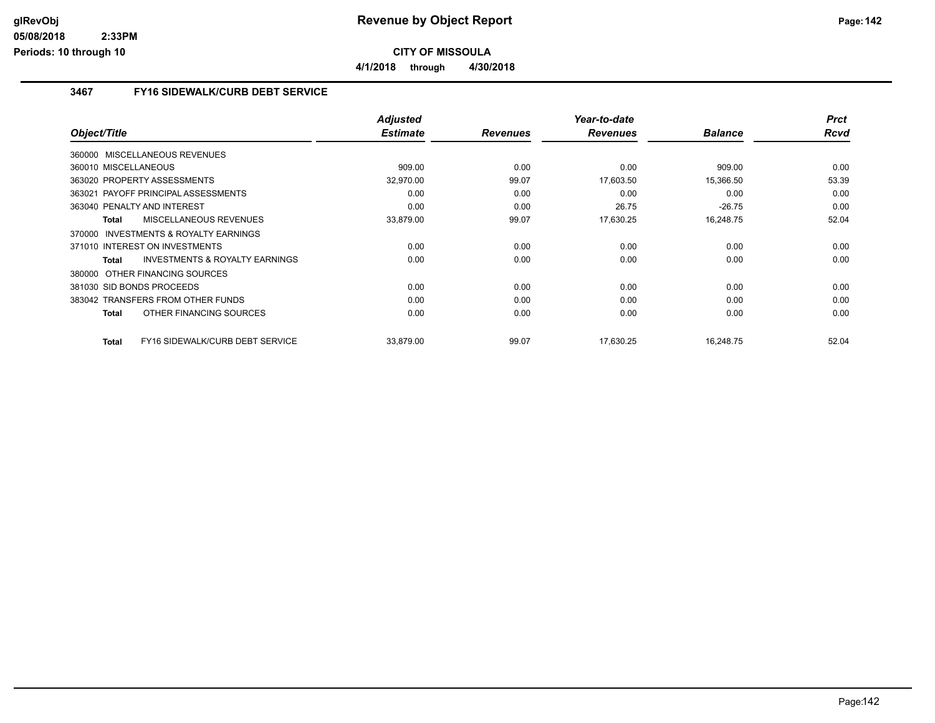**4/1/2018 through 4/30/2018**

#### **3467 FY16 SIDEWALK/CURB DEBT SERVICE**

|                                                           | <b>Adjusted</b> |                 | Year-to-date    |                | <b>Prct</b> |
|-----------------------------------------------------------|-----------------|-----------------|-----------------|----------------|-------------|
| Object/Title                                              | <b>Estimate</b> | <b>Revenues</b> | <b>Revenues</b> | <b>Balance</b> | Rcvd        |
| 360000 MISCELLANEOUS REVENUES                             |                 |                 |                 |                |             |
| 360010 MISCELLANEOUS                                      | 909.00          | 0.00            | 0.00            | 909.00         | 0.00        |
| 363020 PROPERTY ASSESSMENTS                               | 32,970.00       | 99.07           | 17,603.50       | 15,366.50      | 53.39       |
| 363021 PAYOFF PRINCIPAL ASSESSMENTS                       | 0.00            | 0.00            | 0.00            | 0.00           | 0.00        |
| 363040 PENALTY AND INTEREST                               | 0.00            | 0.00            | 26.75           | $-26.75$       | 0.00        |
| <b>MISCELLANEOUS REVENUES</b><br><b>Total</b>             | 33,879.00       | 99.07           | 17,630.25       | 16,248.75      | 52.04       |
| <b>INVESTMENTS &amp; ROYALTY EARNINGS</b><br>370000       |                 |                 |                 |                |             |
| 371010 INTEREST ON INVESTMENTS                            | 0.00            | 0.00            | 0.00            | 0.00           | 0.00        |
| <b>INVESTMENTS &amp; ROYALTY EARNINGS</b><br><b>Total</b> | 0.00            | 0.00            | 0.00            | 0.00           | 0.00        |
| 380000 OTHER FINANCING SOURCES                            |                 |                 |                 |                |             |
| 381030 SID BONDS PROCEEDS                                 | 0.00            | 0.00            | 0.00            | 0.00           | 0.00        |
| 383042 TRANSFERS FROM OTHER FUNDS                         | 0.00            | 0.00            | 0.00            | 0.00           | 0.00        |
| OTHER FINANCING SOURCES<br>Total                          | 0.00            | 0.00            | 0.00            | 0.00           | 0.00        |
| FY16 SIDEWALK/CURB DEBT SERVICE<br>Total                  | 33,879.00       | 99.07           | 17,630.25       | 16,248.75      | 52.04       |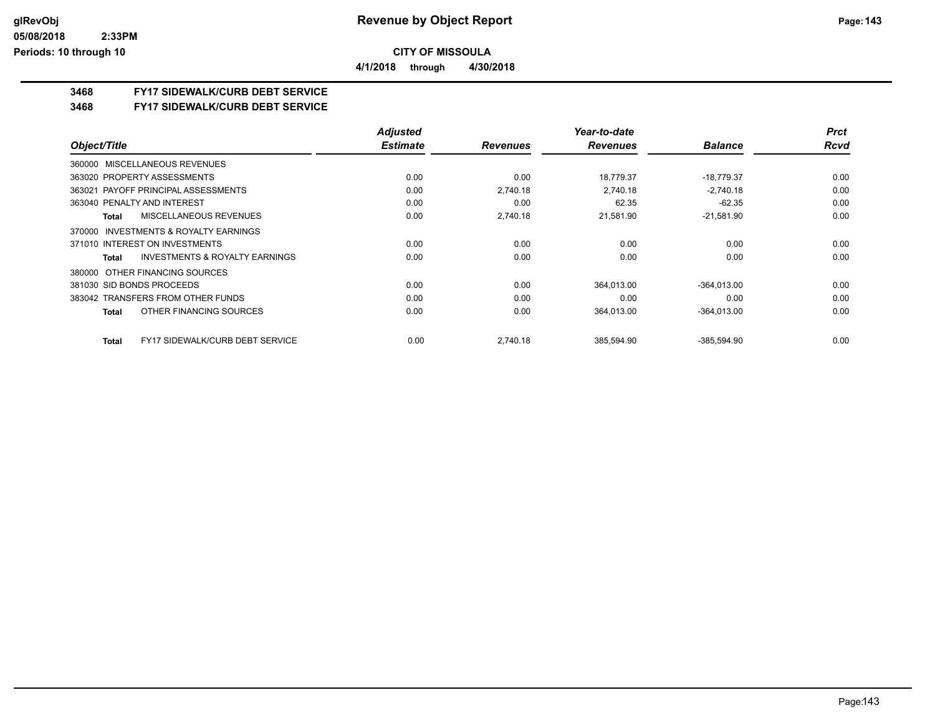**4/1/2018 through 4/30/2018**

# **3468 FY17 SIDEWALK/CURB DEBT SERVICE**

#### **3468 FY17 SIDEWALK/CURB DEBT SERVICE**

|                                                    | <b>Adjusted</b> |                 | Year-to-date    |                | <b>Prct</b> |
|----------------------------------------------------|-----------------|-----------------|-----------------|----------------|-------------|
| Object/Title                                       | <b>Estimate</b> | <b>Revenues</b> | <b>Revenues</b> | <b>Balance</b> | <b>Rcvd</b> |
| 360000 MISCELLANEOUS REVENUES                      |                 |                 |                 |                |             |
| 363020 PROPERTY ASSESSMENTS                        | 0.00            | 0.00            | 18,779.37       | $-18,779.37$   | 0.00        |
| PAYOFF PRINCIPAL ASSESSMENTS<br>363021             | 0.00            | 2.740.18        | 2,740.18        | $-2,740.18$    | 0.00        |
| 363040 PENALTY AND INTEREST                        | 0.00            | 0.00            | 62.35           | $-62.35$       | 0.00        |
| MISCELLANEOUS REVENUES<br><b>Total</b>             | 0.00            | 2,740.18        | 21,581.90       | $-21,581.90$   | 0.00        |
| 370000 INVESTMENTS & ROYALTY EARNINGS              |                 |                 |                 |                |             |
| 371010 INTEREST ON INVESTMENTS                     | 0.00            | 0.00            | 0.00            | 0.00           | 0.00        |
| <b>INVESTMENTS &amp; ROYALTY EARNINGS</b><br>Total | 0.00            | 0.00            | 0.00            | 0.00           | 0.00        |
| 380000 OTHER FINANCING SOURCES                     |                 |                 |                 |                |             |
| 381030 SID BONDS PROCEEDS                          | 0.00            | 0.00            | 364.013.00      | $-364.013.00$  | 0.00        |
| 383042 TRANSFERS FROM OTHER FUNDS                  | 0.00            | 0.00            | 0.00            | 0.00           | 0.00        |
| OTHER FINANCING SOURCES<br><b>Total</b>            | 0.00            | 0.00            | 364,013.00      | $-364,013.00$  | 0.00        |
| FY17 SIDEWALK/CURB DEBT SERVICE<br><b>Total</b>    | 0.00            | 2.740.18        | 385.594.90      | $-385.594.90$  | 0.00        |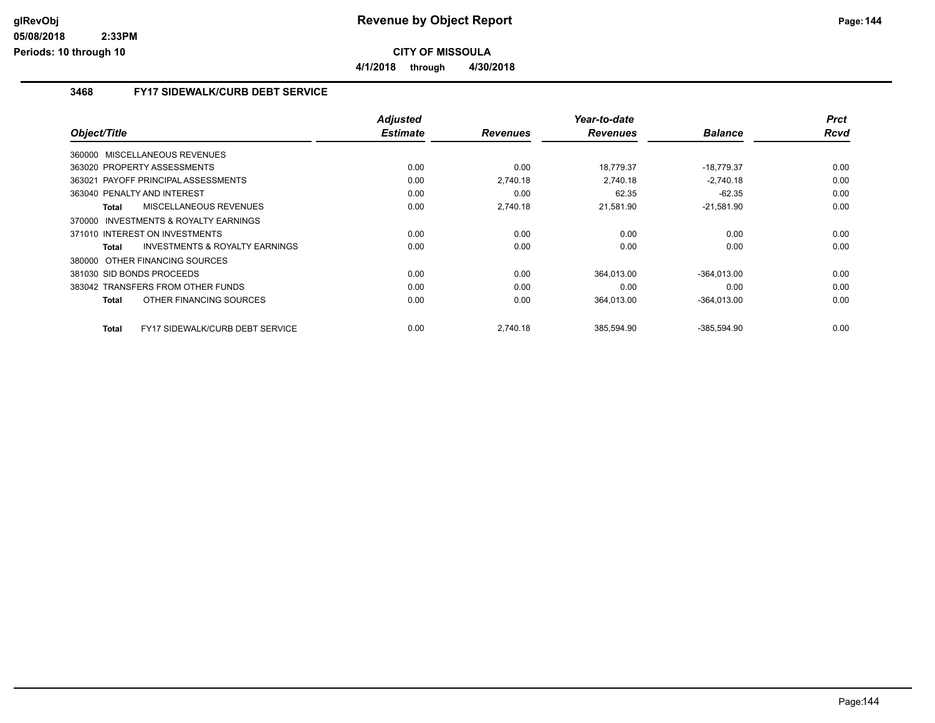**4/1/2018 through 4/30/2018**

#### **3468 FY17 SIDEWALK/CURB DEBT SERVICE**

| Object/Title                                       | <b>Adjusted</b><br><b>Estimate</b> | <b>Revenues</b> | Year-to-date<br><b>Revenues</b> | <b>Balance</b> | <b>Prct</b><br>Rcvd |
|----------------------------------------------------|------------------------------------|-----------------|---------------------------------|----------------|---------------------|
|                                                    |                                    |                 |                                 |                |                     |
| 360000 MISCELLANEOUS REVENUES                      |                                    |                 |                                 |                |                     |
| 363020 PROPERTY ASSESSMENTS                        | 0.00                               | 0.00            | 18,779.37                       | $-18,779.37$   | 0.00                |
| 363021 PAYOFF PRINCIPAL ASSESSMENTS                | 0.00                               | 2,740.18        | 2,740.18                        | $-2,740.18$    | 0.00                |
| 363040 PENALTY AND INTEREST                        | 0.00                               | 0.00            | 62.35                           | $-62.35$       | 0.00                |
| <b>MISCELLANEOUS REVENUES</b><br>Total             | 0.00                               | 2.740.18        | 21,581.90                       | $-21,581.90$   | 0.00                |
| 370000 INVESTMENTS & ROYALTY EARNINGS              |                                    |                 |                                 |                |                     |
| 371010 INTEREST ON INVESTMENTS                     | 0.00                               | 0.00            | 0.00                            | 0.00           | 0.00                |
| <b>INVESTMENTS &amp; ROYALTY EARNINGS</b><br>Total | 0.00                               | 0.00            | 0.00                            | 0.00           | 0.00                |
| 380000 OTHER FINANCING SOURCES                     |                                    |                 |                                 |                |                     |
| 381030 SID BONDS PROCEEDS                          | 0.00                               | 0.00            | 364,013.00                      | $-364.013.00$  | 0.00                |
| 383042 TRANSFERS FROM OTHER FUNDS                  | 0.00                               | 0.00            | 0.00                            | 0.00           | 0.00                |
| OTHER FINANCING SOURCES<br>Total                   | 0.00                               | 0.00            | 364,013.00                      | $-364,013.00$  | 0.00                |
|                                                    |                                    |                 |                                 |                |                     |
| FY17 SIDEWALK/CURB DEBT SERVICE<br>Total           | 0.00                               | 2.740.18        | 385,594.90                      | $-385,594.90$  | 0.00                |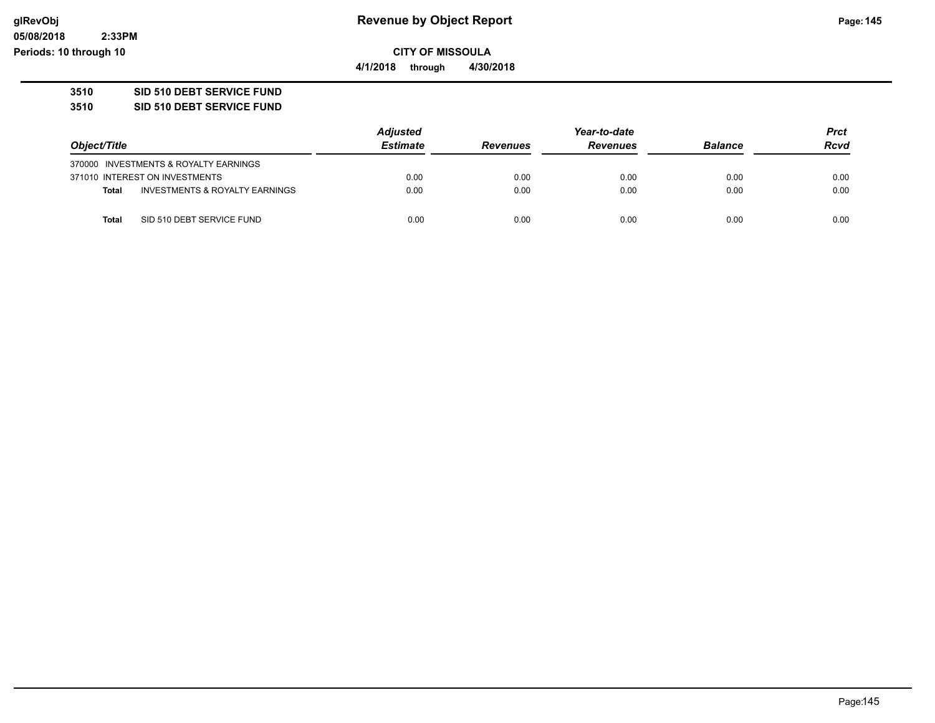**05/08/2018 2:33PM Periods: 10 through 10**

# **CITY OF MISSOULA**

**4/1/2018 through 4/30/2018**

# **3510 SID 510 DEBT SERVICE FUND**

**3510 SID 510 DEBT SERVICE FUND**

|              |                                           | <b>Adjusted</b> |                 | Year-to-date    |                | <b>Prct</b> |
|--------------|-------------------------------------------|-----------------|-----------------|-----------------|----------------|-------------|
| Object/Title |                                           | <b>Estimate</b> | <b>Revenues</b> | <b>Revenues</b> | <b>Balance</b> | <b>Rcvd</b> |
|              | 370000 INVESTMENTS & ROYALTY EARNINGS     |                 |                 |                 |                |             |
|              | 371010 INTEREST ON INVESTMENTS            | 0.00            | 0.00            | 0.00            | 0.00           | 0.00        |
| <b>Total</b> | <b>INVESTMENTS &amp; ROYALTY EARNINGS</b> | 0.00            | 0.00            | 0.00            | 0.00           | 0.00        |
| <b>Total</b> | SID 510 DEBT SERVICE FUND                 | 0.00            | 0.00            | 0.00            | 0.00           | 0.00        |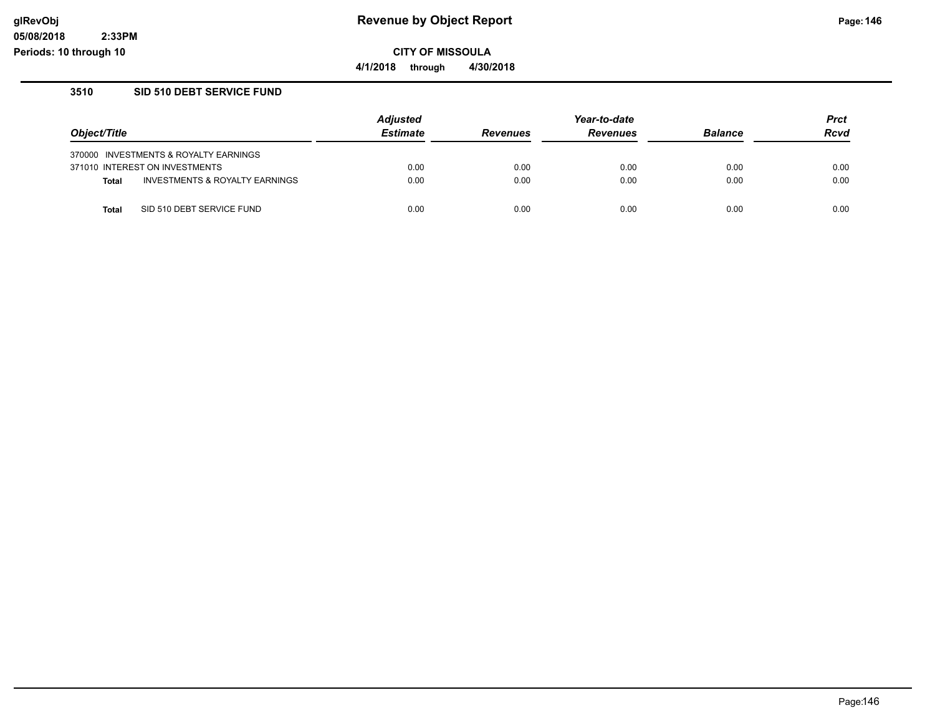**4/1/2018 through 4/30/2018**

### **3510 SID 510 DEBT SERVICE FUND**

|              |                                           | <b>Adjusted</b> |                 | Year-to-date    |                | <b>Prct</b> |
|--------------|-------------------------------------------|-----------------|-----------------|-----------------|----------------|-------------|
| Object/Title |                                           | <b>Estimate</b> | <b>Revenues</b> | <b>Revenues</b> | <b>Balance</b> | Rcvd        |
|              | 370000 INVESTMENTS & ROYALTY EARNINGS     |                 |                 |                 |                |             |
|              | 371010 INTEREST ON INVESTMENTS            | 0.00            | 0.00            | 0.00            | 0.00           | 0.00        |
| <b>Total</b> | <b>INVESTMENTS &amp; ROYALTY EARNINGS</b> | 0.00            | 0.00            | 0.00            | 0.00           | 0.00        |
| Total        | SID 510 DEBT SERVICE FUND                 | 0.00            | 0.00            | 0.00            | 0.00           | 0.00        |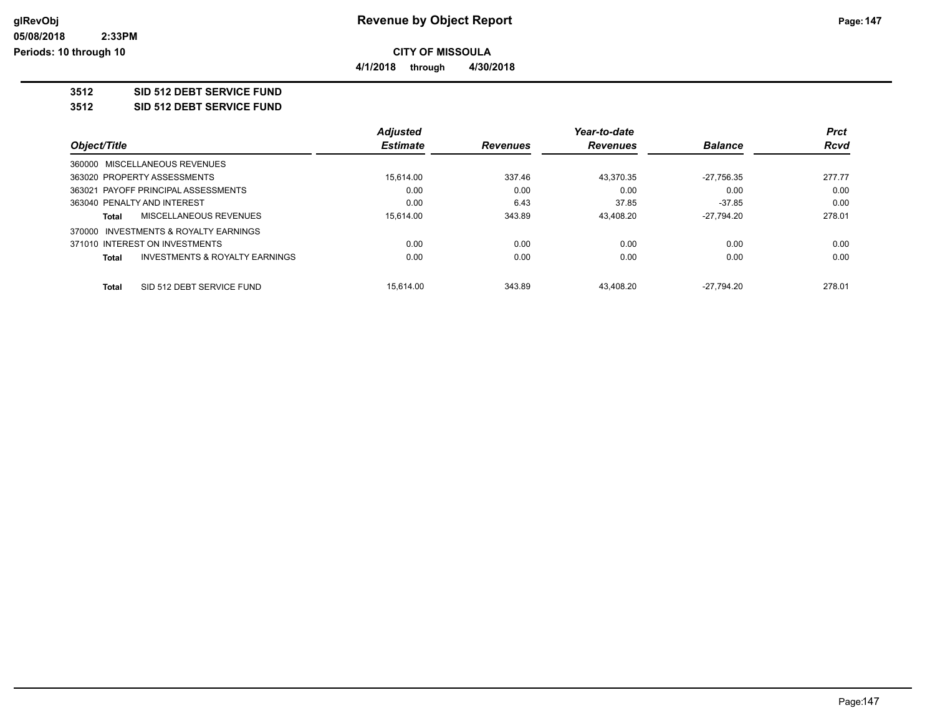**4/1/2018 through 4/30/2018**

**3512 SID 512 DEBT SERVICE FUND**

**3512 SID 512 DEBT SERVICE FUND**

|                                                    | <b>Adjusted</b> |                 | Year-to-date    |                | <b>Prct</b> |
|----------------------------------------------------|-----------------|-----------------|-----------------|----------------|-------------|
| Object/Title                                       | <b>Estimate</b> | <b>Revenues</b> | <b>Revenues</b> | <b>Balance</b> | Rcvd        |
| 360000 MISCELLANEOUS REVENUES                      |                 |                 |                 |                |             |
| 363020 PROPERTY ASSESSMENTS                        | 15.614.00       | 337.46          | 43,370.35       | $-27.756.35$   | 277.77      |
| 363021 PAYOFF PRINCIPAL ASSESSMENTS                | 0.00            | 0.00            | 0.00            | 0.00           | 0.00        |
| 363040 PENALTY AND INTEREST                        | 0.00            | 6.43            | 37.85           | $-37.85$       | 0.00        |
| MISCELLANEOUS REVENUES<br>Total                    | 15.614.00       | 343.89          | 43.408.20       | $-27.794.20$   | 278.01      |
| 370000 INVESTMENTS & ROYALTY EARNINGS              |                 |                 |                 |                |             |
| 371010 INTEREST ON INVESTMENTS                     | 0.00            | 0.00            | 0.00            | 0.00           | 0.00        |
| <b>INVESTMENTS &amp; ROYALTY EARNINGS</b><br>Total | 0.00            | 0.00            | 0.00            | 0.00           | 0.00        |
| SID 512 DEBT SERVICE FUND<br>Total                 | 15.614.00       | 343.89          | 43.408.20       | $-27.794.20$   | 278.01      |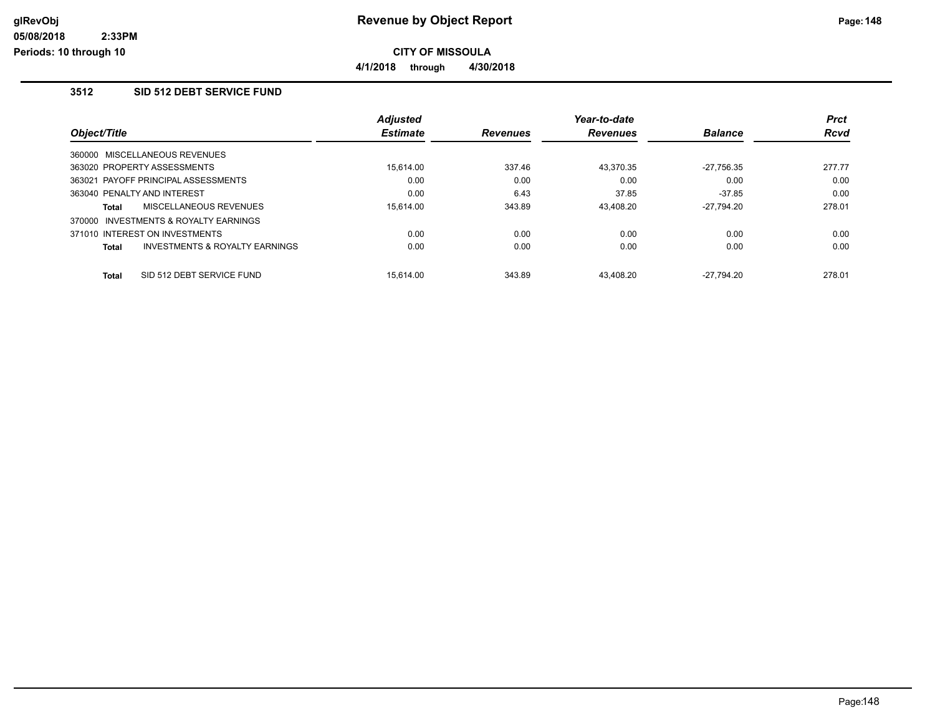**4/1/2018 through 4/30/2018**

### **3512 SID 512 DEBT SERVICE FUND**

|              |                                     | <b>Adjusted</b> |                 | Year-to-date    |                | <b>Prct</b> |
|--------------|-------------------------------------|-----------------|-----------------|-----------------|----------------|-------------|
| Object/Title |                                     | <b>Estimate</b> | <b>Revenues</b> | <b>Revenues</b> | <b>Balance</b> | <b>Rcvd</b> |
|              | 360000 MISCELLANEOUS REVENUES       |                 |                 |                 |                |             |
|              | 363020 PROPERTY ASSESSMENTS         | 15.614.00       | 337.46          | 43.370.35       | $-27.756.35$   | 277.77      |
|              | 363021 PAYOFF PRINCIPAL ASSESSMENTS | 0.00            | 0.00            | 0.00            | 0.00           | 0.00        |
|              | 363040 PENALTY AND INTEREST         | 0.00            | 6.43            | 37.85           | $-37.85$       | 0.00        |
| Total        | MISCELLANEOUS REVENUES              | 15.614.00       | 343.89          | 43.408.20       | $-27.794.20$   | 278.01      |
| 370000       | INVESTMENTS & ROYALTY EARNINGS      |                 |                 |                 |                |             |
|              | 371010 INTEREST ON INVESTMENTS      | 0.00            | 0.00            | 0.00            | 0.00           | 0.00        |
| <b>Total</b> | INVESTMENTS & ROYALTY EARNINGS      | 0.00            | 0.00            | 0.00            | 0.00           | 0.00        |
| <b>Total</b> | SID 512 DEBT SERVICE FUND           | 15.614.00       | 343.89          | 43.408.20       | $-27.794.20$   | 278.01      |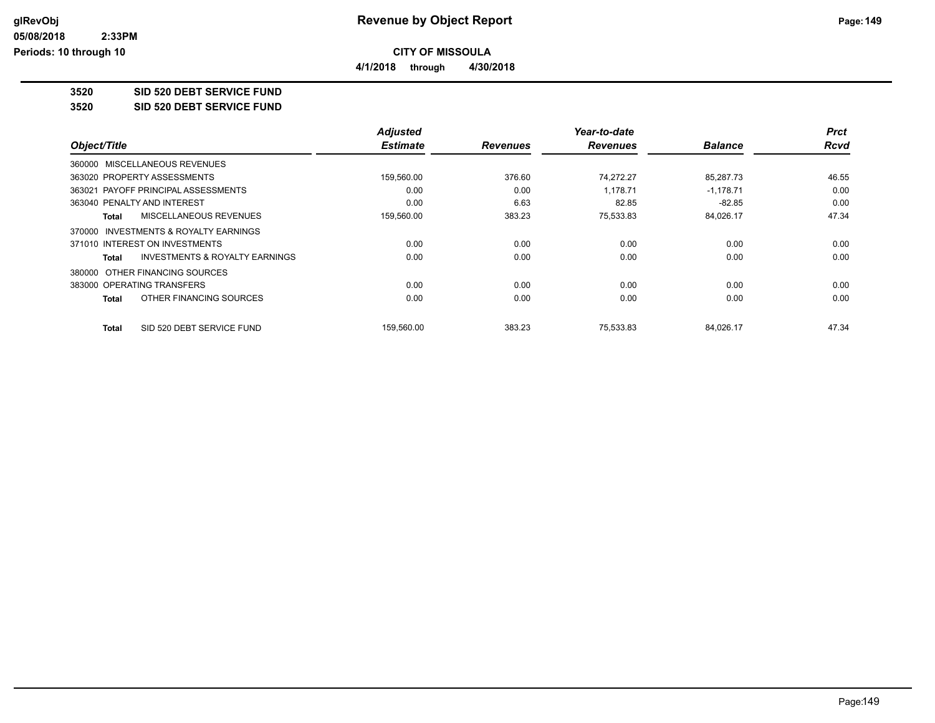**4/1/2018 through 4/30/2018**

**3520 SID 520 DEBT SERVICE FUND**

**3520 SID 520 DEBT SERVICE FUND**

|                                          | <b>Adjusted</b> |                 | Year-to-date    |                | <b>Prct</b> |
|------------------------------------------|-----------------|-----------------|-----------------|----------------|-------------|
| Object/Title                             | <b>Estimate</b> | <b>Revenues</b> | <b>Revenues</b> | <b>Balance</b> | <b>Rcvd</b> |
| 360000 MISCELLANEOUS REVENUES            |                 |                 |                 |                |             |
| 363020 PROPERTY ASSESSMENTS              | 159,560.00      | 376.60          | 74.272.27       | 85,287.73      | 46.55       |
| 363021 PAYOFF PRINCIPAL ASSESSMENTS      | 0.00            | 0.00            | 1,178.71        | $-1,178.71$    | 0.00        |
| 363040 PENALTY AND INTEREST              | 0.00            | 6.63            | 82.85           | $-82.85$       | 0.00        |
| MISCELLANEOUS REVENUES<br>Total          | 159,560.00      | 383.23          | 75,533.83       | 84,026.17      | 47.34       |
| INVESTMENTS & ROYALTY EARNINGS<br>370000 |                 |                 |                 |                |             |
| 371010 INTEREST ON INVESTMENTS           | 0.00            | 0.00            | 0.00            | 0.00           | 0.00        |
| INVESTMENTS & ROYALTY EARNINGS<br>Total  | 0.00            | 0.00            | 0.00            | 0.00           | 0.00        |
| 380000 OTHER FINANCING SOURCES           |                 |                 |                 |                |             |
| 383000 OPERATING TRANSFERS               | 0.00            | 0.00            | 0.00            | 0.00           | 0.00        |
| OTHER FINANCING SOURCES<br>Total         | 0.00            | 0.00            | 0.00            | 0.00           | 0.00        |
| SID 520 DEBT SERVICE FUND<br>Total       | 159.560.00      | 383.23          | 75.533.83       | 84.026.17      | 47.34       |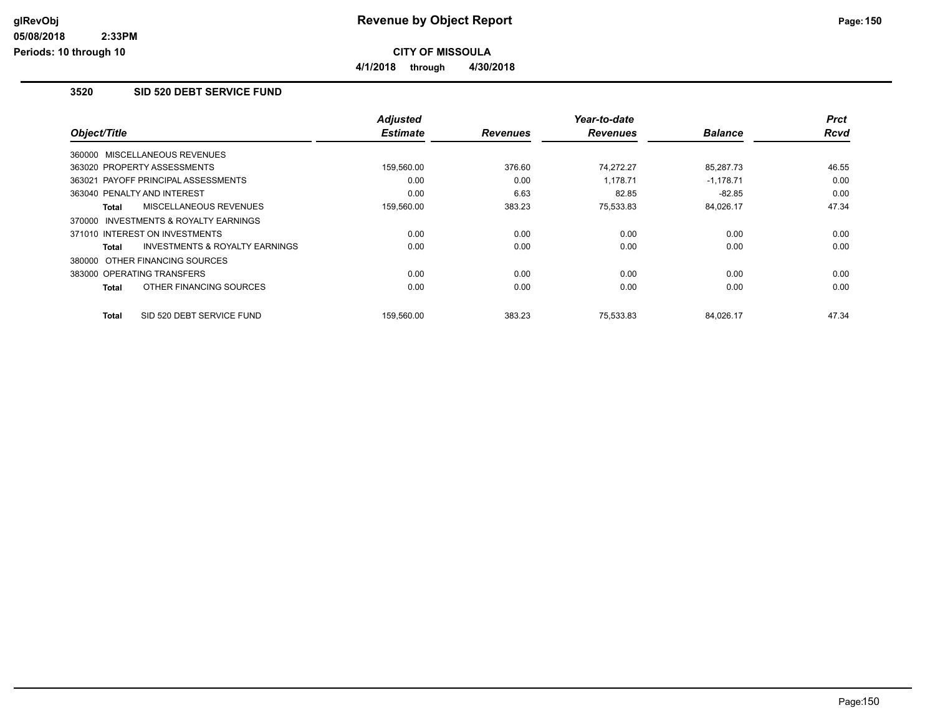**4/1/2018 through 4/30/2018**

### **3520 SID 520 DEBT SERVICE FUND**

| Object/Title                                              | <b>Adjusted</b><br><b>Estimate</b> | <b>Revenues</b> | Year-to-date<br><b>Revenues</b> | <b>Balance</b> | <b>Prct</b><br>Rcvd |
|-----------------------------------------------------------|------------------------------------|-----------------|---------------------------------|----------------|---------------------|
|                                                           |                                    |                 |                                 |                |                     |
| 360000 MISCELLANEOUS REVENUES                             |                                    |                 |                                 |                |                     |
| 363020 PROPERTY ASSESSMENTS                               | 159,560.00                         | 376.60          | 74.272.27                       | 85,287.73      | 46.55               |
| 363021 PAYOFF PRINCIPAL ASSESSMENTS                       | 0.00                               | 0.00            | 1.178.71                        | $-1.178.71$    | 0.00                |
| 363040 PENALTY AND INTEREST                               | 0.00                               | 6.63            | 82.85                           | $-82.85$       | 0.00                |
| <b>MISCELLANEOUS REVENUES</b><br>Total                    | 159,560.00                         | 383.23          | 75,533.83                       | 84,026.17      | 47.34               |
| 370000 INVESTMENTS & ROYALTY EARNINGS                     |                                    |                 |                                 |                |                     |
| 371010 INTEREST ON INVESTMENTS                            | 0.00                               | 0.00            | 0.00                            | 0.00           | 0.00                |
| <b>INVESTMENTS &amp; ROYALTY EARNINGS</b><br><b>Total</b> | 0.00                               | 0.00            | 0.00                            | 0.00           | 0.00                |
| 380000 OTHER FINANCING SOURCES                            |                                    |                 |                                 |                |                     |
| 383000 OPERATING TRANSFERS                                | 0.00                               | 0.00            | 0.00                            | 0.00           | 0.00                |
| OTHER FINANCING SOURCES<br><b>Total</b>                   | 0.00                               | 0.00            | 0.00                            | 0.00           | 0.00                |
| SID 520 DEBT SERVICE FUND<br><b>Total</b>                 | 159,560.00                         | 383.23          | 75.533.83                       | 84,026.17      | 47.34               |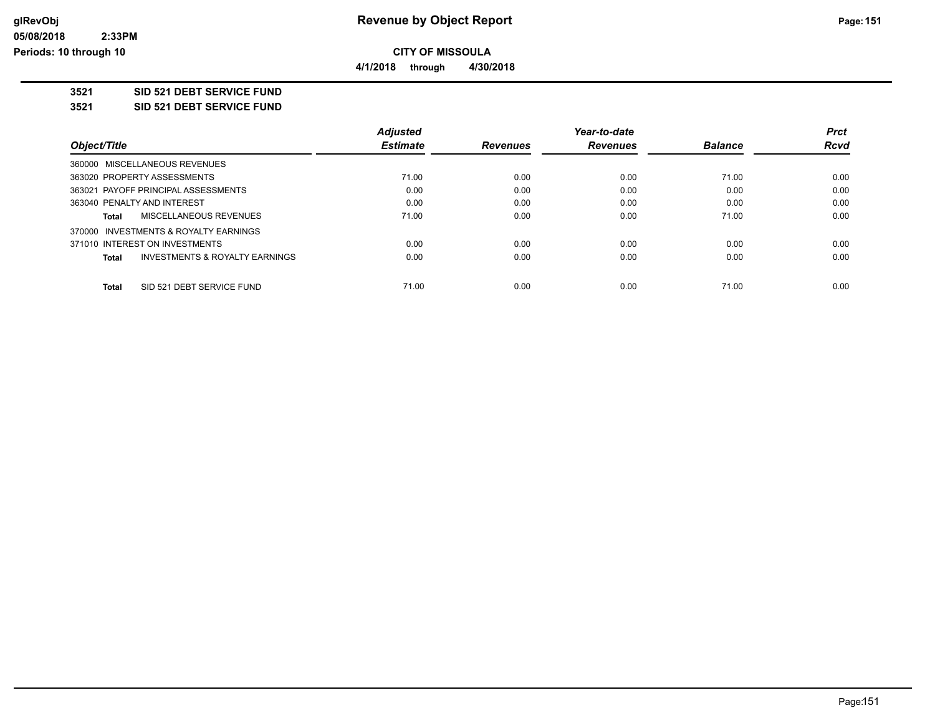**4/1/2018 through 4/30/2018**

**3521 SID 521 DEBT SERVICE FUND**

**3521 SID 521 DEBT SERVICE FUND**

|                                                    | <b>Adjusted</b> |                 | Year-to-date    |                | <b>Prct</b> |
|----------------------------------------------------|-----------------|-----------------|-----------------|----------------|-------------|
| Object/Title                                       | <b>Estimate</b> | <b>Revenues</b> | <b>Revenues</b> | <b>Balance</b> | <b>Rcvd</b> |
| 360000 MISCELLANEOUS REVENUES                      |                 |                 |                 |                |             |
| 363020 PROPERTY ASSESSMENTS                        | 71.00           | 0.00            | 0.00            | 71.00          | 0.00        |
| 363021 PAYOFF PRINCIPAL ASSESSMENTS                | 0.00            | 0.00            | 0.00            | 0.00           | 0.00        |
| 363040 PENALTY AND INTEREST                        | 0.00            | 0.00            | 0.00            | 0.00           | 0.00        |
| <b>MISCELLANEOUS REVENUES</b><br>Total             | 71.00           | 0.00            | 0.00            | 71.00          | 0.00        |
| 370000 INVESTMENTS & ROYALTY EARNINGS              |                 |                 |                 |                |             |
| 371010 INTEREST ON INVESTMENTS                     | 0.00            | 0.00            | 0.00            | 0.00           | 0.00        |
| <b>INVESTMENTS &amp; ROYALTY EARNINGS</b><br>Total | 0.00            | 0.00            | 0.00            | 0.00           | 0.00        |
| SID 521 DEBT SERVICE FUND<br>Total                 | 71.00           | 0.00            | 0.00            | 71.00          | 0.00        |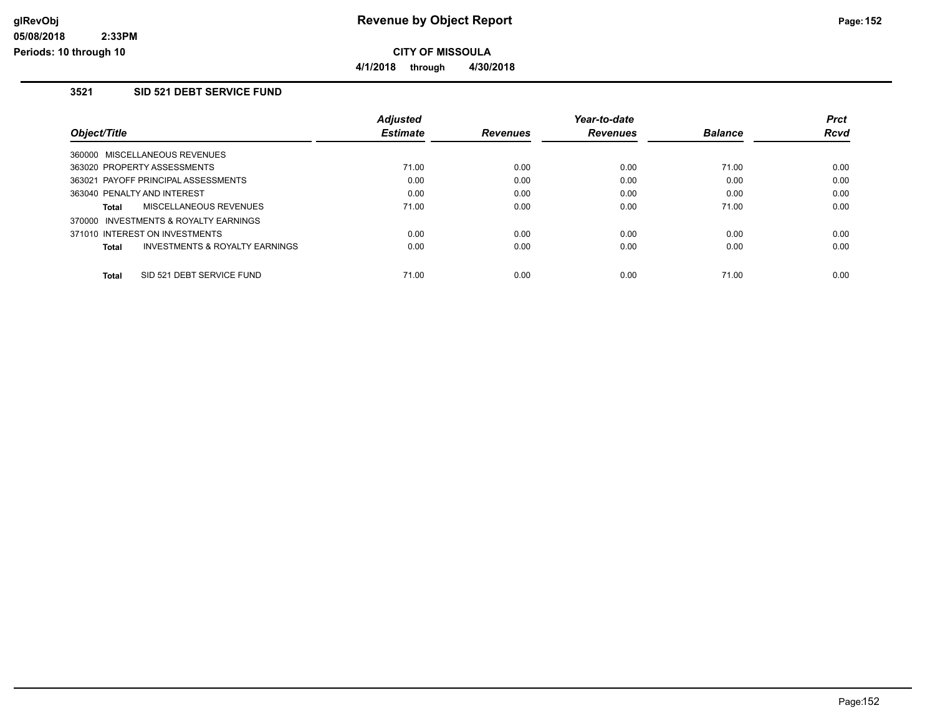**4/1/2018 through 4/30/2018**

### **3521 SID 521 DEBT SERVICE FUND**

|              |                                           | <b>Adjusted</b> |                 | Year-to-date    |                | <b>Prct</b> |
|--------------|-------------------------------------------|-----------------|-----------------|-----------------|----------------|-------------|
| Object/Title |                                           | <b>Estimate</b> | <b>Revenues</b> | <b>Revenues</b> | <b>Balance</b> | <b>Rcvd</b> |
|              | 360000 MISCELLANEOUS REVENUES             |                 |                 |                 |                |             |
|              | 363020 PROPERTY ASSESSMENTS               | 71.00           | 0.00            | 0.00            | 71.00          | 0.00        |
|              | 363021 PAYOFF PRINCIPAL ASSESSMENTS       | 0.00            | 0.00            | 0.00            | 0.00           | 0.00        |
|              | 363040 PENALTY AND INTEREST               | 0.00            | 0.00            | 0.00            | 0.00           | 0.00        |
| Total        | <b>MISCELLANEOUS REVENUES</b>             | 71.00           | 0.00            | 0.00            | 71.00          | 0.00        |
|              | 370000 INVESTMENTS & ROYALTY EARNINGS     |                 |                 |                 |                |             |
|              | 371010 INTEREST ON INVESTMENTS            | 0.00            | 0.00            | 0.00            | 0.00           | 0.00        |
| Total        | <b>INVESTMENTS &amp; ROYALTY EARNINGS</b> | 0.00            | 0.00            | 0.00            | 0.00           | 0.00        |
| Total        | SID 521 DEBT SERVICE FUND                 | 71.00           | 0.00            | 0.00            | 71.00          | 0.00        |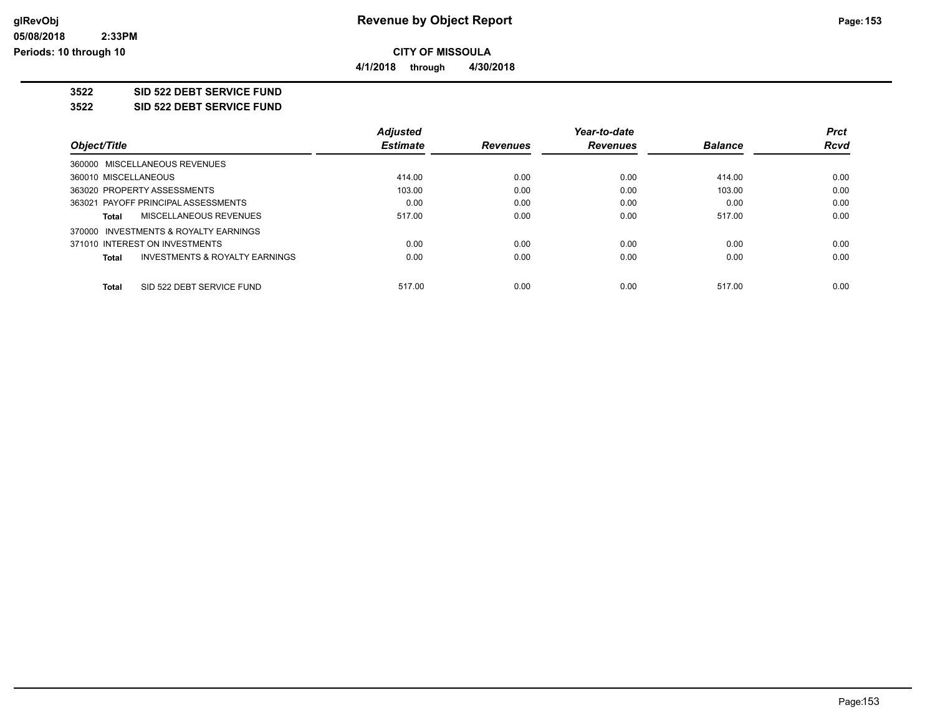**4/1/2018 through 4/30/2018**

**3522 SID 522 DEBT SERVICE FUND**

**3522 SID 522 DEBT SERVICE FUND**

|                                                    | <b>Adjusted</b> |                 | Year-to-date    |                | <b>Prct</b> |
|----------------------------------------------------|-----------------|-----------------|-----------------|----------------|-------------|
| Object/Title                                       | <b>Estimate</b> | <b>Revenues</b> | <b>Revenues</b> | <b>Balance</b> | Rcvd        |
| 360000 MISCELLANEOUS REVENUES                      |                 |                 |                 |                |             |
| 360010 MISCELLANEOUS                               | 414.00          | 0.00            | 0.00            | 414.00         | 0.00        |
| 363020 PROPERTY ASSESSMENTS                        | 103.00          | 0.00            | 0.00            | 103.00         | 0.00        |
| 363021 PAYOFF PRINCIPAL ASSESSMENTS                | 0.00            | 0.00            | 0.00            | 0.00           | 0.00        |
| MISCELLANEOUS REVENUES<br>Total                    | 517.00          | 0.00            | 0.00            | 517.00         | 0.00        |
| 370000 INVESTMENTS & ROYALTY EARNINGS              |                 |                 |                 |                |             |
| 371010 INTEREST ON INVESTMENTS                     | 0.00            | 0.00            | 0.00            | 0.00           | 0.00        |
| <b>INVESTMENTS &amp; ROYALTY EARNINGS</b><br>Total | 0.00            | 0.00            | 0.00            | 0.00           | 0.00        |
| SID 522 DEBT SERVICE FUND<br>Total                 | 517.00          | 0.00            | 0.00            | 517.00         | 0.00        |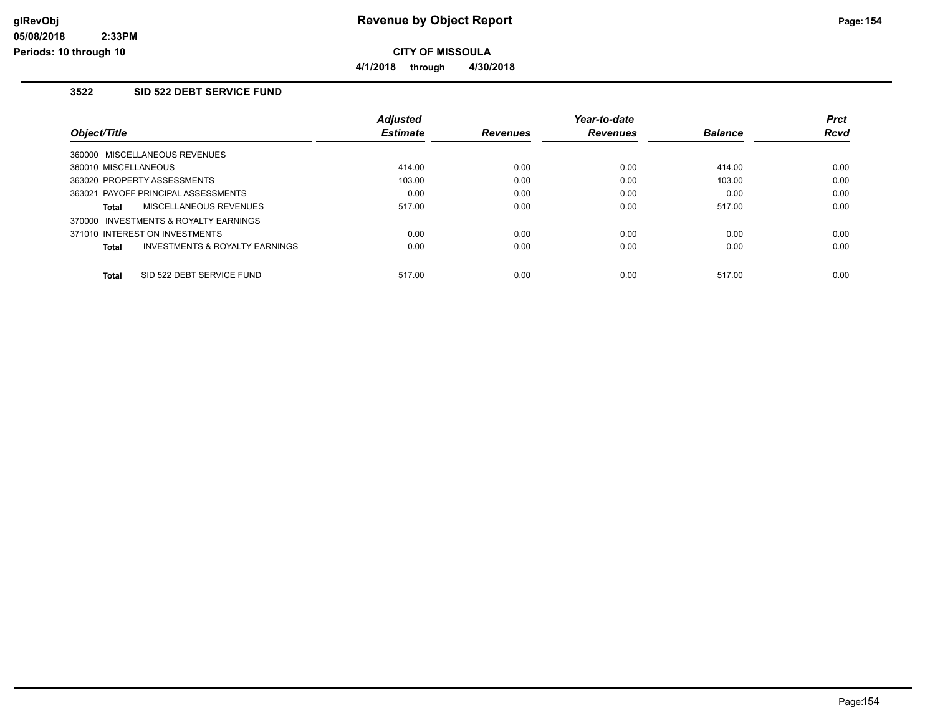**4/1/2018 through 4/30/2018**

### **3522 SID 522 DEBT SERVICE FUND**

|                                                | <b>Adjusted</b> |                 | Year-to-date    |                | <b>Prct</b> |
|------------------------------------------------|-----------------|-----------------|-----------------|----------------|-------------|
| Object/Title                                   | <b>Estimate</b> | <b>Revenues</b> | <b>Revenues</b> | <b>Balance</b> | <b>Rcvd</b> |
| 360000 MISCELLANEOUS REVENUES                  |                 |                 |                 |                |             |
| 360010 MISCELLANEOUS                           | 414.00          | 0.00            | 0.00            | 414.00         | 0.00        |
| 363020 PROPERTY ASSESSMENTS                    | 103.00          | 0.00            | 0.00            | 103.00         | 0.00        |
| 363021 PAYOFF PRINCIPAL ASSESSMENTS            | 0.00            | 0.00            | 0.00            | 0.00           | 0.00        |
| MISCELLANEOUS REVENUES<br>Total                | 517.00          | 0.00            | 0.00            | 517.00         | 0.00        |
| 370000 INVESTMENTS & ROYALTY EARNINGS          |                 |                 |                 |                |             |
| 371010 INTEREST ON INVESTMENTS                 | 0.00            | 0.00            | 0.00            | 0.00           | 0.00        |
| <b>Total</b><br>INVESTMENTS & ROYALTY EARNINGS | 0.00            | 0.00            | 0.00            | 0.00           | 0.00        |
| SID 522 DEBT SERVICE FUND<br><b>Total</b>      | 517.00          | 0.00            | 0.00            | 517.00         | 0.00        |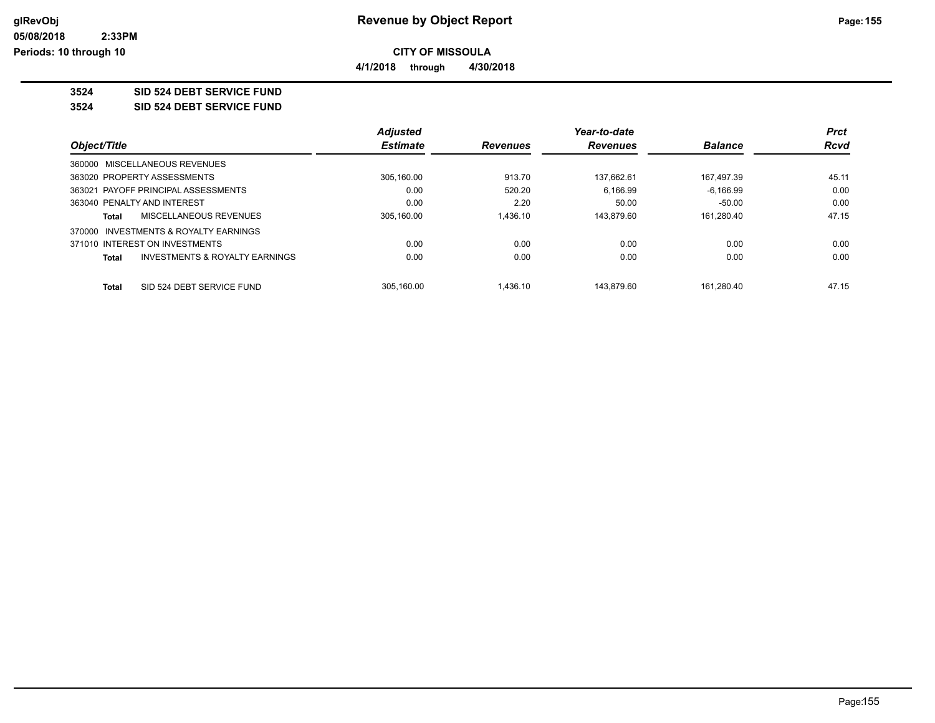**4/1/2018 through 4/30/2018**

**3524 SID 524 DEBT SERVICE FUND**

**3524 SID 524 DEBT SERVICE FUND**

|                                       |                                | <b>Adjusted</b> |                 | Year-to-date    |                | <b>Prct</b> |
|---------------------------------------|--------------------------------|-----------------|-----------------|-----------------|----------------|-------------|
| Object/Title                          |                                | <b>Estimate</b> | <b>Revenues</b> | <b>Revenues</b> | <b>Balance</b> | <b>Rcvd</b> |
| 360000 MISCELLANEOUS REVENUES         |                                |                 |                 |                 |                |             |
| 363020 PROPERTY ASSESSMENTS           |                                | 305.160.00      | 913.70          | 137.662.61      | 167.497.39     | 45.11       |
| 363021 PAYOFF PRINCIPAL ASSESSMENTS   |                                | 0.00            | 520.20          | 6.166.99        | $-6.166.99$    | 0.00        |
| 363040 PENALTY AND INTEREST           |                                | 0.00            | 2.20            | 50.00           | $-50.00$       | 0.00        |
| Total                                 | MISCELLANEOUS REVENUES         | 305,160.00      | 1,436.10        | 143.879.60      | 161.280.40     | 47.15       |
| 370000 INVESTMENTS & ROYALTY EARNINGS |                                |                 |                 |                 |                |             |
| 371010 INTEREST ON INVESTMENTS        |                                | 0.00            | 0.00            | 0.00            | 0.00           | 0.00        |
| Total                                 | INVESTMENTS & ROYALTY EARNINGS | 0.00            | 0.00            | 0.00            | 0.00           | 0.00        |
| Total                                 | SID 524 DEBT SERVICE FUND      | 305.160.00      | 1.436.10        | 143.879.60      | 161.280.40     | 47.15       |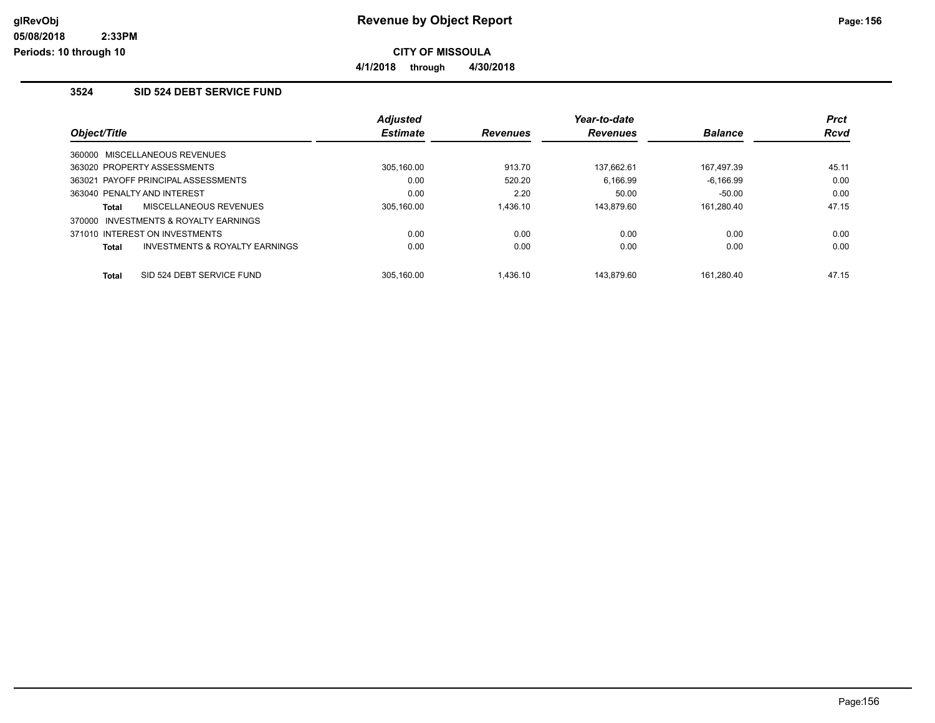**4/1/2018 through 4/30/2018**

### **3524 SID 524 DEBT SERVICE FUND**

|              |                                           | <b>Adjusted</b> |                 | Year-to-date    |                | <b>Prct</b> |
|--------------|-------------------------------------------|-----------------|-----------------|-----------------|----------------|-------------|
| Object/Title |                                           | <b>Estimate</b> | <b>Revenues</b> | <b>Revenues</b> | <b>Balance</b> | <b>Rcvd</b> |
|              | 360000 MISCELLANEOUS REVENUES             |                 |                 |                 |                |             |
|              | 363020 PROPERTY ASSESSMENTS               | 305,160.00      | 913.70          | 137.662.61      | 167,497.39     | 45.11       |
|              | 363021 PAYOFF PRINCIPAL ASSESSMENTS       | 0.00            | 520.20          | 6.166.99        | $-6.166.99$    | 0.00        |
|              | 363040 PENALTY AND INTEREST               | 0.00            | 2.20            | 50.00           | $-50.00$       | 0.00        |
| Total        | MISCELLANEOUS REVENUES                    | 305.160.00      | 1.436.10        | 143.879.60      | 161.280.40     | 47.15       |
| 370000       | INVESTMENTS & ROYALTY EARNINGS            |                 |                 |                 |                |             |
|              | 371010 INTEREST ON INVESTMENTS            | 0.00            | 0.00            | 0.00            | 0.00           | 0.00        |
| Total        | <b>INVESTMENTS &amp; ROYALTY EARNINGS</b> | 0.00            | 0.00            | 0.00            | 0.00           | 0.00        |
| <b>Total</b> | SID 524 DEBT SERVICE FUND                 | 305.160.00      | 1.436.10        | 143.879.60      | 161.280.40     | 47.15       |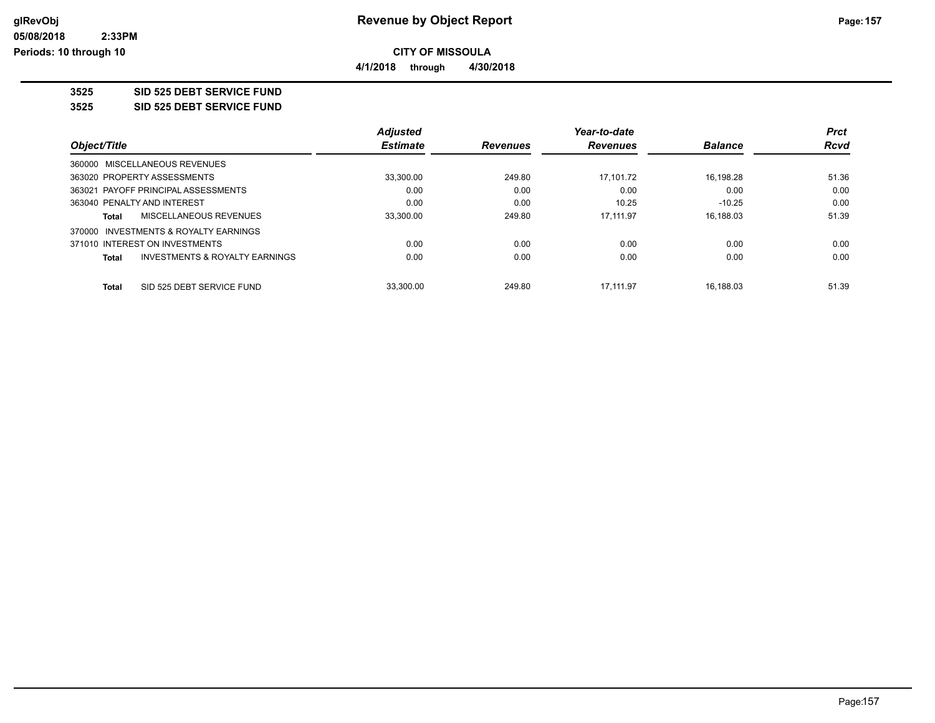**4/1/2018 through 4/30/2018**

**3525 SID 525 DEBT SERVICE FUND**

**3525 SID 525 DEBT SERVICE FUND**

|                                       |                                           | <b>Adjusted</b> |                 | Year-to-date    |                | <b>Prct</b> |
|---------------------------------------|-------------------------------------------|-----------------|-----------------|-----------------|----------------|-------------|
| Object/Title                          |                                           | <b>Estimate</b> | <b>Revenues</b> | <b>Revenues</b> | <b>Balance</b> | <b>Rcvd</b> |
| 360000 MISCELLANEOUS REVENUES         |                                           |                 |                 |                 |                |             |
| 363020 PROPERTY ASSESSMENTS           |                                           | 33.300.00       | 249.80          | 17.101.72       | 16.198.28      | 51.36       |
| 363021 PAYOFF PRINCIPAL ASSESSMENTS   |                                           | 0.00            | 0.00            | 0.00            | 0.00           | 0.00        |
| 363040 PENALTY AND INTEREST           |                                           | 0.00            | 0.00            | 10.25           | $-10.25$       | 0.00        |
| Total                                 | <b>MISCELLANEOUS REVENUES</b>             | 33,300.00       | 249.80          | 17.111.97       | 16.188.03      | 51.39       |
| 370000 INVESTMENTS & ROYALTY EARNINGS |                                           |                 |                 |                 |                |             |
| 371010 INTEREST ON INVESTMENTS        |                                           | 0.00            | 0.00            | 0.00            | 0.00           | 0.00        |
| Total                                 | <b>INVESTMENTS &amp; ROYALTY EARNINGS</b> | 0.00            | 0.00            | 0.00            | 0.00           | 0.00        |
| Total                                 | SID 525 DEBT SERVICE FUND                 | 33.300.00       | 249.80          | 17.111.97       | 16.188.03      | 51.39       |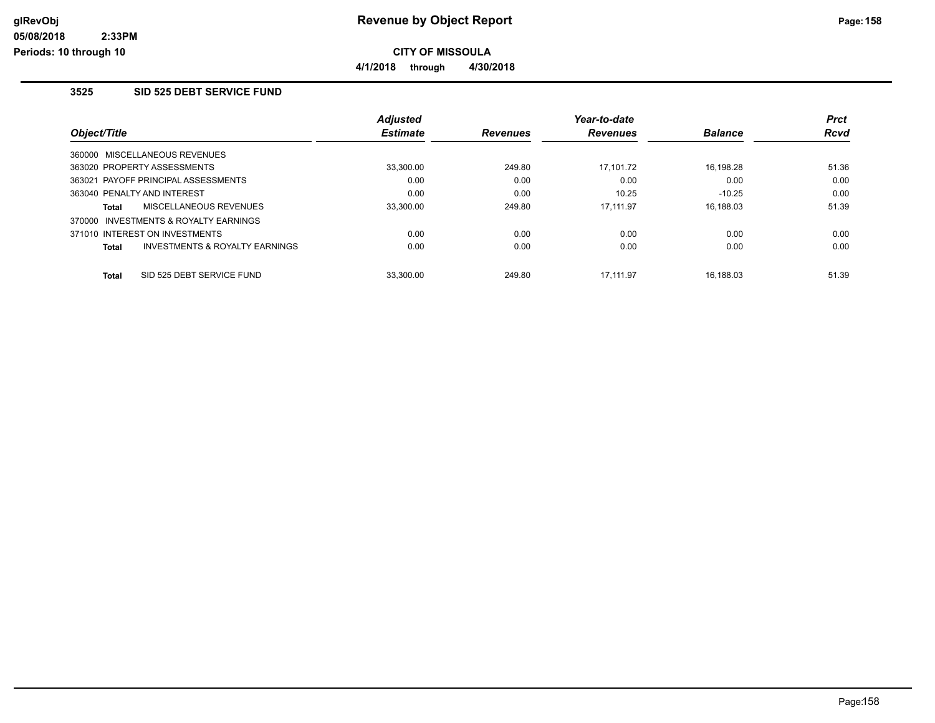**4/1/2018 through 4/30/2018**

### **3525 SID 525 DEBT SERVICE FUND**

|              |                                           | <b>Adjusted</b> |                 | Year-to-date    |                | <b>Prct</b> |
|--------------|-------------------------------------------|-----------------|-----------------|-----------------|----------------|-------------|
| Object/Title |                                           | <b>Estimate</b> | <b>Revenues</b> | <b>Revenues</b> | <b>Balance</b> | <b>Rcvd</b> |
|              | 360000 MISCELLANEOUS REVENUES             |                 |                 |                 |                |             |
|              | 363020 PROPERTY ASSESSMENTS               | 33.300.00       | 249.80          | 17.101.72       | 16.198.28      | 51.36       |
|              | 363021 PAYOFF PRINCIPAL ASSESSMENTS       | 0.00            | 0.00            | 0.00            | 0.00           | 0.00        |
|              | 363040 PENALTY AND INTEREST               | 0.00            | 0.00            | 10.25           | $-10.25$       | 0.00        |
| Total        | MISCELLANEOUS REVENUES                    | 33.300.00       | 249.80          | 17.111.97       | 16.188.03      | 51.39       |
| 370000       | INVESTMENTS & ROYALTY EARNINGS            |                 |                 |                 |                |             |
|              | 371010 INTEREST ON INVESTMENTS            | 0.00            | 0.00            | 0.00            | 0.00           | 0.00        |
| Total        | <b>INVESTMENTS &amp; ROYALTY EARNINGS</b> | 0.00            | 0.00            | 0.00            | 0.00           | 0.00        |
| <b>Total</b> | SID 525 DEBT SERVICE FUND                 | 33.300.00       | 249.80          | 17.111.97       | 16.188.03      | 51.39       |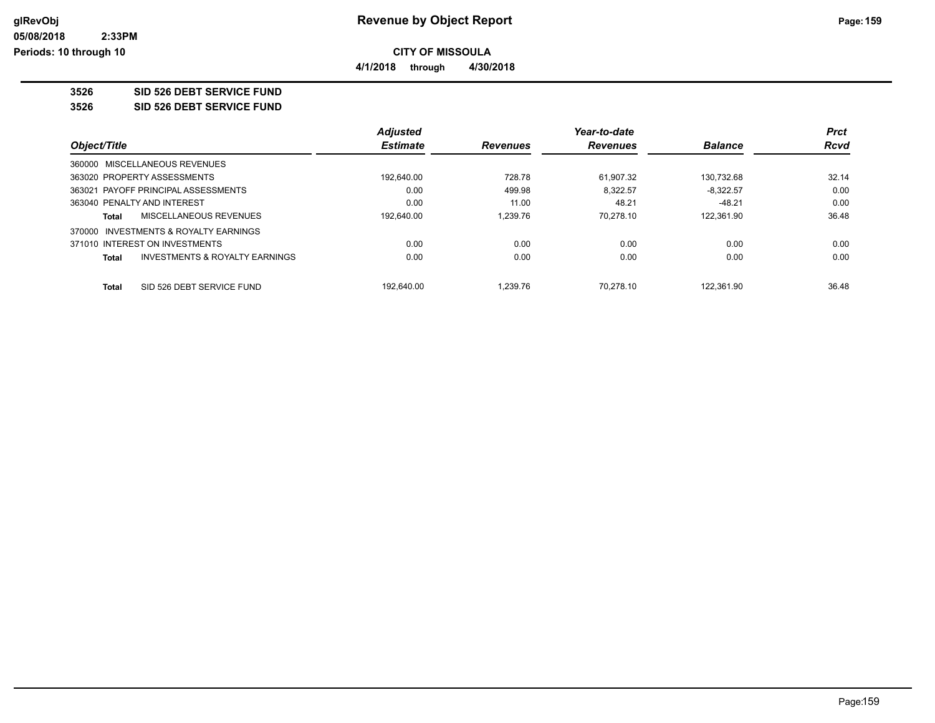**4/1/2018 through 4/30/2018**

**3526 SID 526 DEBT SERVICE FUND**

**3526 SID 526 DEBT SERVICE FUND**

|              |                                       | <b>Adjusted</b> |                 | Year-to-date    |                | <b>Prct</b> |
|--------------|---------------------------------------|-----------------|-----------------|-----------------|----------------|-------------|
| Object/Title |                                       | <b>Estimate</b> | <b>Revenues</b> | <b>Revenues</b> | <b>Balance</b> | Rcvd        |
|              | 360000 MISCELLANEOUS REVENUES         |                 |                 |                 |                |             |
|              | 363020 PROPERTY ASSESSMENTS           | 192.640.00      | 728.78          | 61.907.32       | 130.732.68     | 32.14       |
|              | 363021 PAYOFF PRINCIPAL ASSESSMENTS   | 0.00            | 499.98          | 8.322.57        | $-8.322.57$    | 0.00        |
|              | 363040 PENALTY AND INTEREST           | 0.00            | 11.00           | 48.21           | $-48.21$       | 0.00        |
| Total        | MISCELLANEOUS REVENUES                | 192.640.00      | 1.239.76        | 70.278.10       | 122.361.90     | 36.48       |
|              | 370000 INVESTMENTS & ROYALTY EARNINGS |                 |                 |                 |                |             |
|              | 371010 INTEREST ON INVESTMENTS        | 0.00            | 0.00            | 0.00            | 0.00           | 0.00        |
| <b>Total</b> | INVESTMENTS & ROYALTY EARNINGS        | 0.00            | 0.00            | 0.00            | 0.00           | 0.00        |
| <b>Total</b> | SID 526 DEBT SERVICE FUND             | 192.640.00      | 1.239.76        | 70.278.10       | 122.361.90     | 36.48       |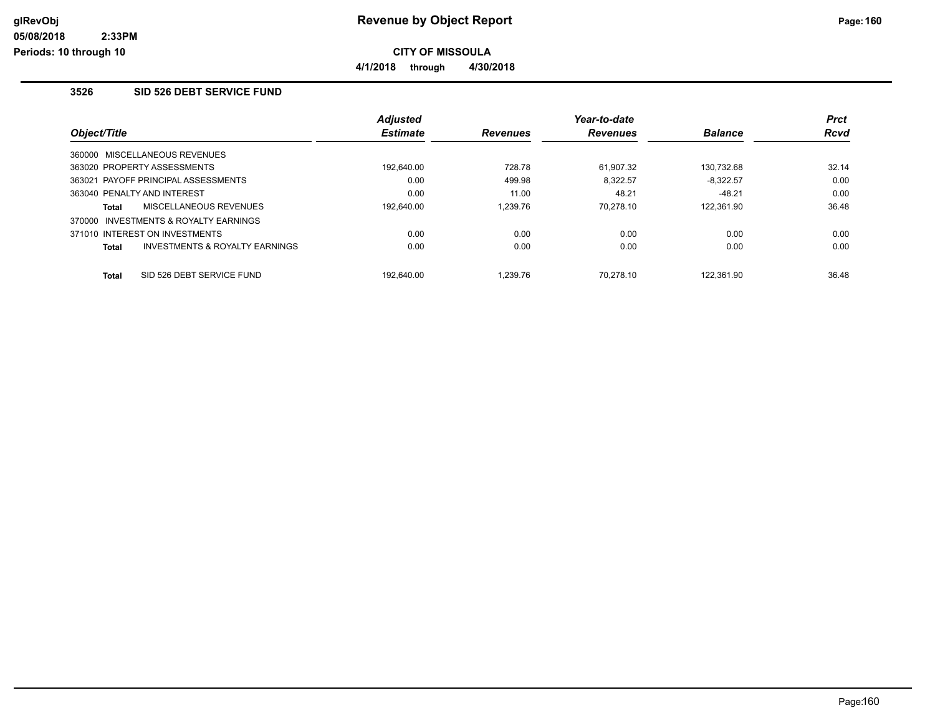**4/1/2018 through 4/30/2018**

### **3526 SID 526 DEBT SERVICE FUND**

|              |                                           | <b>Adjusted</b> |                 | Year-to-date    |                | <b>Prct</b> |
|--------------|-------------------------------------------|-----------------|-----------------|-----------------|----------------|-------------|
| Object/Title |                                           | <b>Estimate</b> | <b>Revenues</b> | <b>Revenues</b> | <b>Balance</b> | <b>Rcvd</b> |
|              | 360000 MISCELLANEOUS REVENUES             |                 |                 |                 |                |             |
|              | 363020 PROPERTY ASSESSMENTS               | 192.640.00      | 728.78          | 61.907.32       | 130.732.68     | 32.14       |
|              | 363021 PAYOFF PRINCIPAL ASSESSMENTS       | 0.00            | 499.98          | 8.322.57        | $-8.322.57$    | 0.00        |
|              | 363040 PENALTY AND INTEREST               | 0.00            | 11.00           | 48.21           | $-48.21$       | 0.00        |
| Total        | MISCELLANEOUS REVENUES                    | 192.640.00      | 1.239.76        | 70.278.10       | 122.361.90     | 36.48       |
| 370000       | INVESTMENTS & ROYALTY EARNINGS            |                 |                 |                 |                |             |
|              | 371010 INTEREST ON INVESTMENTS            | 0.00            | 0.00            | 0.00            | 0.00           | 0.00        |
| Total        | <b>INVESTMENTS &amp; ROYALTY EARNINGS</b> | 0.00            | 0.00            | 0.00            | 0.00           | 0.00        |
| <b>Total</b> | SID 526 DEBT SERVICE FUND                 | 192.640.00      | 1.239.76        | 70.278.10       | 122.361.90     | 36.48       |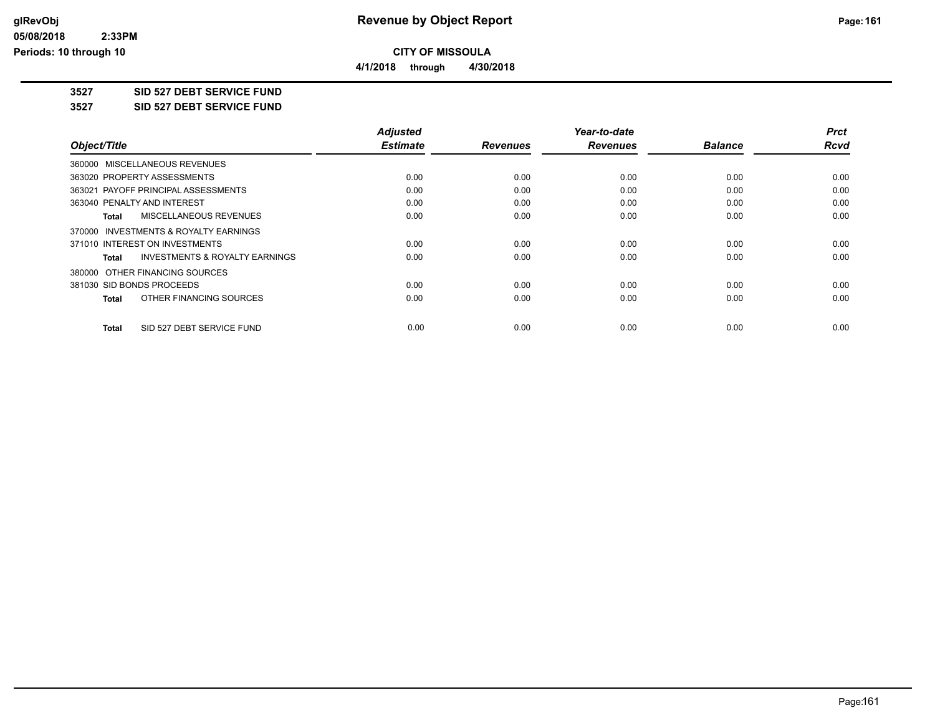**4/1/2018 through 4/30/2018**

**3527 SID 527 DEBT SERVICE FUND**

**3527 SID 527 DEBT SERVICE FUND**

|                                                     | <b>Adjusted</b><br><b>Estimate</b> |                 | Year-to-date    | <b>Balance</b> | <b>Prct</b><br><b>Rcvd</b> |
|-----------------------------------------------------|------------------------------------|-----------------|-----------------|----------------|----------------------------|
| Object/Title                                        |                                    | <b>Revenues</b> | <b>Revenues</b> |                |                            |
| 360000 MISCELLANEOUS REVENUES                       |                                    |                 |                 |                |                            |
| 363020 PROPERTY ASSESSMENTS                         | 0.00                               | 0.00            | 0.00            | 0.00           | 0.00                       |
| 363021 PAYOFF PRINCIPAL ASSESSMENTS                 | 0.00                               | 0.00            | 0.00            | 0.00           | 0.00                       |
| 363040 PENALTY AND INTEREST                         | 0.00                               | 0.00            | 0.00            | 0.00           | 0.00                       |
| MISCELLANEOUS REVENUES<br>Total                     | 0.00                               | 0.00            | 0.00            | 0.00           | 0.00                       |
| <b>INVESTMENTS &amp; ROYALTY EARNINGS</b><br>370000 |                                    |                 |                 |                |                            |
| 371010 INTEREST ON INVESTMENTS                      | 0.00                               | 0.00            | 0.00            | 0.00           | 0.00                       |
| <b>INVESTMENTS &amp; ROYALTY EARNINGS</b><br>Total  | 0.00                               | 0.00            | 0.00            | 0.00           | 0.00                       |
| 380000 OTHER FINANCING SOURCES                      |                                    |                 |                 |                |                            |
| 381030 SID BONDS PROCEEDS                           | 0.00                               | 0.00            | 0.00            | 0.00           | 0.00                       |
| OTHER FINANCING SOURCES<br>Total                    | 0.00                               | 0.00            | 0.00            | 0.00           | 0.00                       |
|                                                     |                                    |                 |                 |                |                            |
| SID 527 DEBT SERVICE FUND<br><b>Total</b>           | 0.00                               | 0.00            | 0.00            | 0.00           | 0.00                       |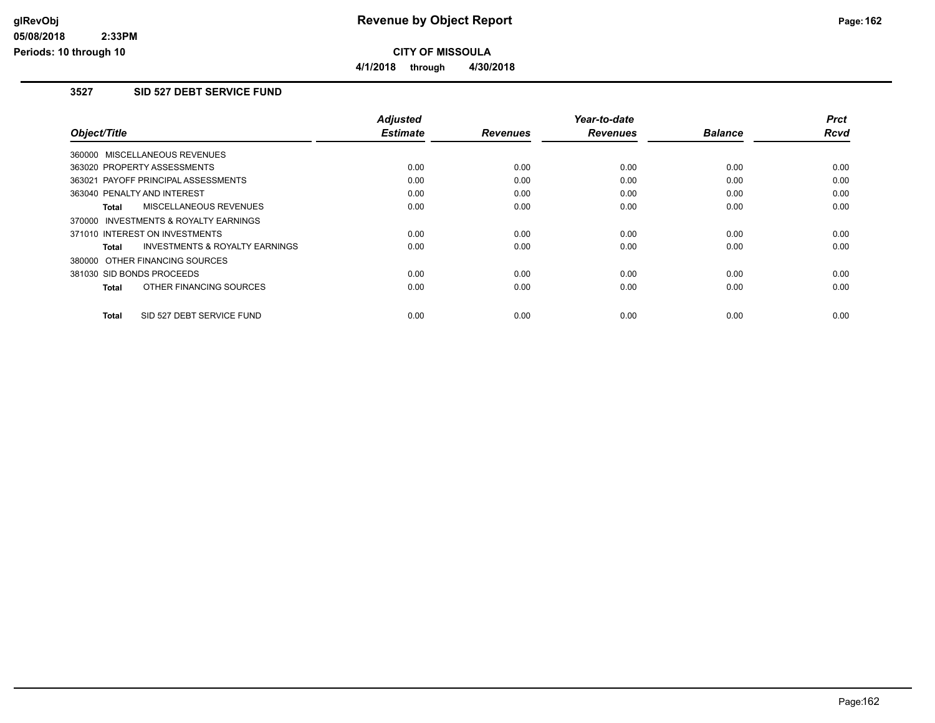**4/1/2018 through 4/30/2018**

### **3527 SID 527 DEBT SERVICE FUND**

| Object/Title                                   | <b>Adjusted</b><br><b>Estimate</b> | <b>Revenues</b> | Year-to-date<br><b>Revenues</b> | <b>Balance</b> | <b>Prct</b><br><b>Rcvd</b> |
|------------------------------------------------|------------------------------------|-----------------|---------------------------------|----------------|----------------------------|
| 360000 MISCELLANEOUS REVENUES                  |                                    |                 |                                 |                |                            |
| 363020 PROPERTY ASSESSMENTS                    | 0.00                               | 0.00            | 0.00                            | 0.00           | 0.00                       |
| 363021 PAYOFF PRINCIPAL ASSESSMENTS            | 0.00                               | 0.00            | 0.00                            | 0.00           | 0.00                       |
| 363040 PENALTY AND INTEREST                    | 0.00                               | 0.00            | 0.00                            | 0.00           | 0.00                       |
| MISCELLANEOUS REVENUES<br>Total                | 0.00                               | 0.00            | 0.00                            | 0.00           | 0.00                       |
| 370000 INVESTMENTS & ROYALTY EARNINGS          |                                    |                 |                                 |                |                            |
| 371010 INTEREST ON INVESTMENTS                 | 0.00                               | 0.00            | 0.00                            | 0.00           | 0.00                       |
| INVESTMENTS & ROYALTY EARNINGS<br><b>Total</b> | 0.00                               | 0.00            | 0.00                            | 0.00           | 0.00                       |
| 380000 OTHER FINANCING SOURCES                 |                                    |                 |                                 |                |                            |
| 381030 SID BONDS PROCEEDS                      | 0.00                               | 0.00            | 0.00                            | 0.00           | 0.00                       |
| OTHER FINANCING SOURCES<br>Total               | 0.00                               | 0.00            | 0.00                            | 0.00           | 0.00                       |
| SID 527 DEBT SERVICE FUND<br><b>Total</b>      | 0.00                               | 0.00            | 0.00                            | 0.00           | 0.00                       |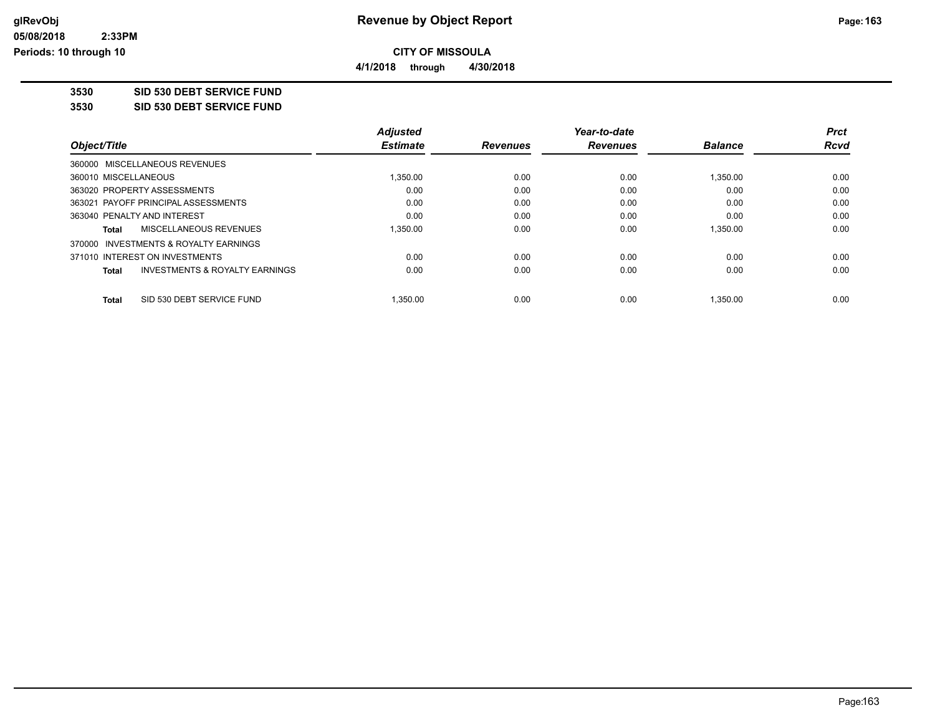**4/1/2018 through 4/30/2018**

**3530 SID 530 DEBT SERVICE FUND**

**3530 SID 530 DEBT SERVICE FUND**

|                                                    | <b>Adjusted</b> |                 | Year-to-date    |                | <b>Prct</b> |
|----------------------------------------------------|-----------------|-----------------|-----------------|----------------|-------------|
| Object/Title                                       | <b>Estimate</b> | <b>Revenues</b> | <b>Revenues</b> | <b>Balance</b> | <b>Rcvd</b> |
| 360000 MISCELLANEOUS REVENUES                      |                 |                 |                 |                |             |
| 360010 MISCELLANEOUS                               | 1.350.00        | 0.00            | 0.00            | 1.350.00       | 0.00        |
| 363020 PROPERTY ASSESSMENTS                        | 0.00            | 0.00            | 0.00            | 0.00           | 0.00        |
| 363021 PAYOFF PRINCIPAL ASSESSMENTS                | 0.00            | 0.00            | 0.00            | 0.00           | 0.00        |
| 363040 PENALTY AND INTEREST                        | 0.00            | 0.00            | 0.00            | 0.00           | 0.00        |
| MISCELLANEOUS REVENUES<br>Total                    | 1.350.00        | 0.00            | 0.00            | 1,350.00       | 0.00        |
| 370000 INVESTMENTS & ROYALTY EARNINGS              |                 |                 |                 |                |             |
| 371010 INTEREST ON INVESTMENTS                     | 0.00            | 0.00            | 0.00            | 0.00           | 0.00        |
| <b>INVESTMENTS &amp; ROYALTY EARNINGS</b><br>Total | 0.00            | 0.00            | 0.00            | 0.00           | 0.00        |
| SID 530 DEBT SERVICE FUND<br><b>Total</b>          | 1.350.00        | 0.00            | 0.00            | 1.350.00       | 0.00        |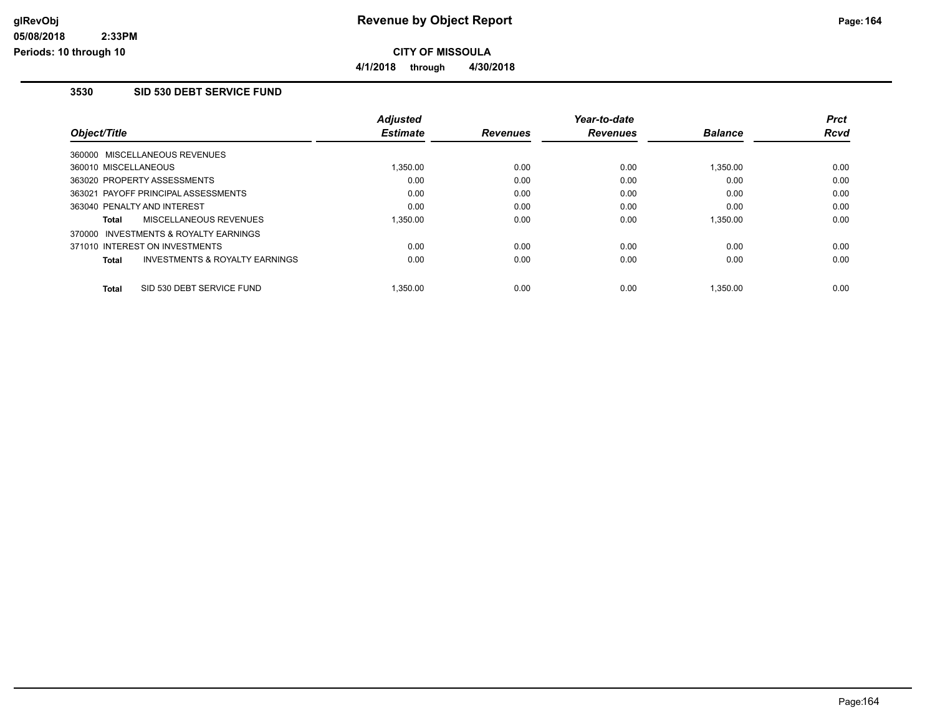**4/1/2018 through 4/30/2018**

### **3530 SID 530 DEBT SERVICE FUND**

| Object/Title                                   | <b>Adjusted</b><br><b>Estimate</b> | <b>Revenues</b> | Year-to-date<br><b>Revenues</b> | <b>Balance</b> | <b>Prct</b><br><b>Rcvd</b> |
|------------------------------------------------|------------------------------------|-----------------|---------------------------------|----------------|----------------------------|
| 360000 MISCELLANEOUS REVENUES                  |                                    |                 |                                 |                |                            |
| 360010 MISCELLANEOUS                           | 1,350.00                           | 0.00            | 0.00                            | 1,350.00       | 0.00                       |
| 363020 PROPERTY ASSESSMENTS                    | 0.00                               | 0.00            | 0.00                            | 0.00           | 0.00                       |
| 363021 PAYOFF PRINCIPAL ASSESSMENTS            | 0.00                               | 0.00            | 0.00                            | 0.00           | 0.00                       |
| 363040 PENALTY AND INTEREST                    | 0.00                               | 0.00            | 0.00                            | 0.00           | 0.00                       |
| MISCELLANEOUS REVENUES<br><b>Total</b>         | 1.350.00                           | 0.00            | 0.00                            | 1.350.00       | 0.00                       |
| 370000 INVESTMENTS & ROYALTY EARNINGS          |                                    |                 |                                 |                |                            |
| 371010 INTEREST ON INVESTMENTS                 | 0.00                               | 0.00            | 0.00                            | 0.00           | 0.00                       |
| INVESTMENTS & ROYALTY EARNINGS<br><b>Total</b> | 0.00                               | 0.00            | 0.00                            | 0.00           | 0.00                       |
| SID 530 DEBT SERVICE FUND<br><b>Total</b>      | 1.350.00                           | 0.00            | 0.00                            | 1.350.00       | 0.00                       |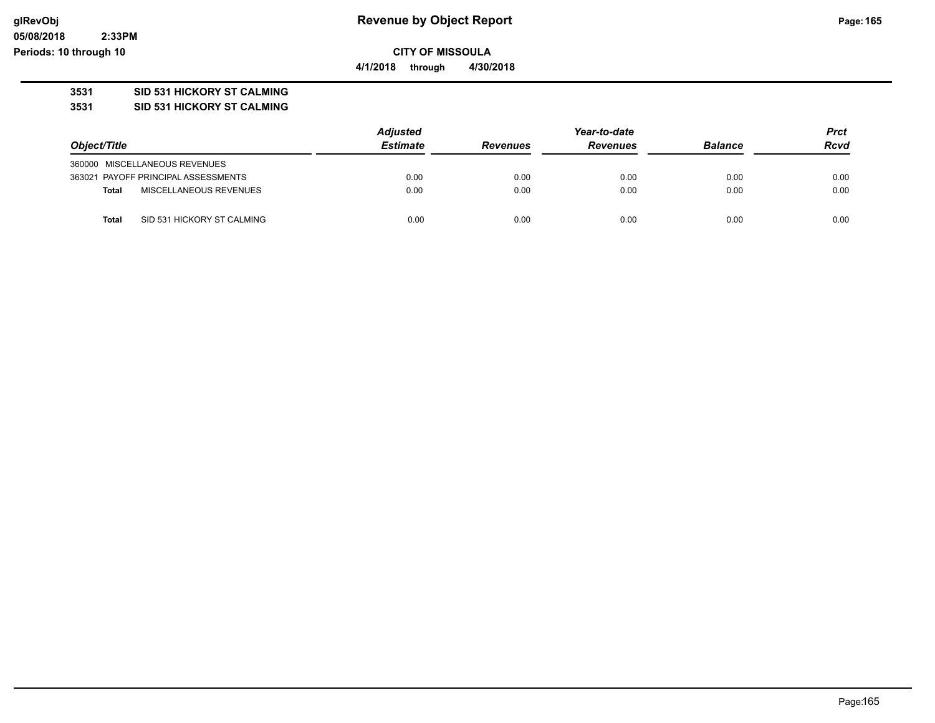**05/08/2018 2:33PM Periods: 10 through 10**

**CITY OF MISSOULA**

**4/1/2018 through 4/30/2018**

# **3531 SID 531 HICKORY ST CALMING**

**3531 SID 531 HICKORY ST CALMING**

|                                            | <b>Adjusted</b> |                 | Year-to-date    |                |      |
|--------------------------------------------|-----------------|-----------------|-----------------|----------------|------|
| Object/Title                               | <b>Estimate</b> | <b>Revenues</b> | <b>Revenues</b> | <b>Balance</b> | Rcvd |
| 360000 MISCELLANEOUS REVENUES              |                 |                 |                 |                |      |
| 363021 PAYOFF PRINCIPAL ASSESSMENTS        | 0.00            | 0.00            | 0.00            | 0.00           | 0.00 |
| MISCELLANEOUS REVENUES<br>Total            | 0.00            | 0.00            | 0.00            | 0.00           | 0.00 |
| SID 531 HICKORY ST CALMING<br><b>Total</b> | 0.00            | 0.00            | 0.00            | 0.00           | 0.00 |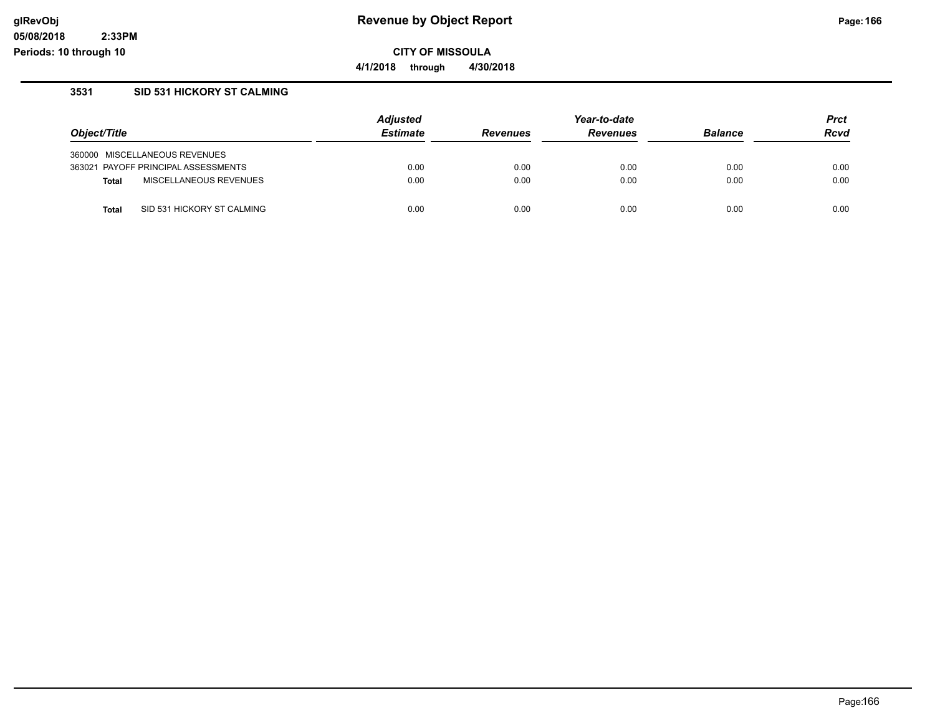**4/1/2018 through 4/30/2018**

### **3531 SID 531 HICKORY ST CALMING**

| Object/Title                           | <b>Adjusted</b><br><b>Estimate</b> | <b>Revenues</b> | Year-to-date<br><b>Revenues</b> | <b>Balance</b> | <b>Prct</b><br><b>Rcvd</b> |
|----------------------------------------|------------------------------------|-----------------|---------------------------------|----------------|----------------------------|
| 360000 MISCELLANEOUS REVENUES          |                                    |                 |                                 |                |                            |
| 363021 PAYOFF PRINCIPAL ASSESSMENTS    | 0.00                               | 0.00            | 0.00                            | 0.00           | 0.00                       |
| MISCELLANEOUS REVENUES<br><b>Total</b> | 0.00                               | 0.00            | 0.00                            | 0.00           | 0.00                       |
|                                        |                                    |                 |                                 |                |                            |
| Total<br>SID 531 HICKORY ST CALMING    | 0.00                               | 0.00            | 0.00                            | 0.00           | 0.00                       |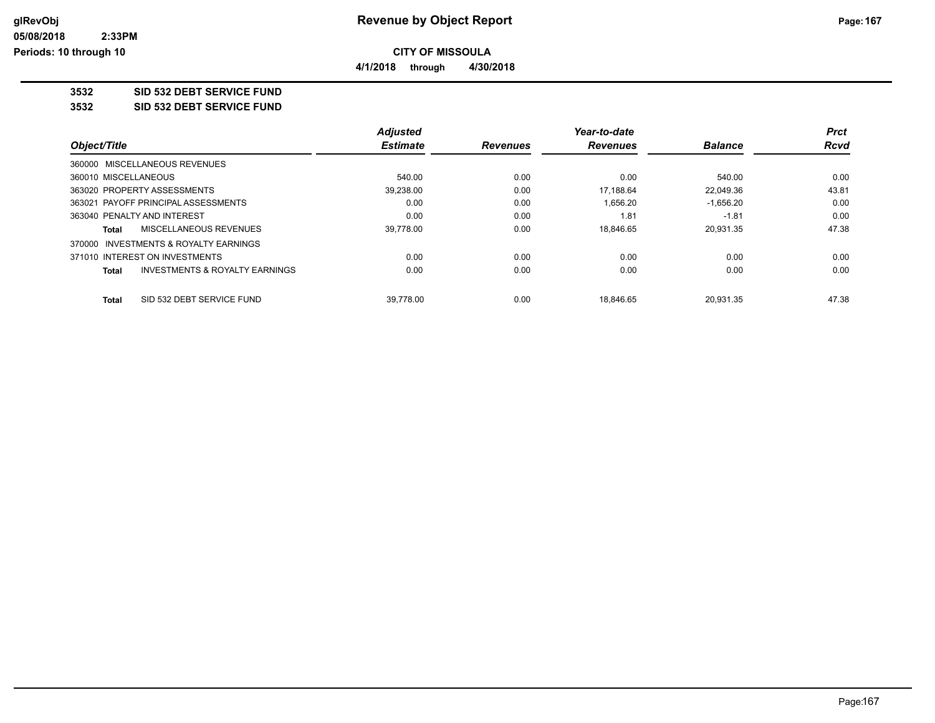**4/1/2018 through 4/30/2018**

**3532 SID 532 DEBT SERVICE FUND**

**3532 SID 532 DEBT SERVICE FUND**

|                                           | <b>Adjusted</b> |                 | Year-to-date    |                | <b>Prct</b> |
|-------------------------------------------|-----------------|-----------------|-----------------|----------------|-------------|
| Object/Title                              | <b>Estimate</b> | <b>Revenues</b> | <b>Revenues</b> | <b>Balance</b> | <b>Rcvd</b> |
| 360000 MISCELLANEOUS REVENUES             |                 |                 |                 |                |             |
| 360010 MISCELLANEOUS                      | 540.00          | 0.00            | 0.00            | 540.00         | 0.00        |
| 363020 PROPERTY ASSESSMENTS               | 39,238.00       | 0.00            | 17.188.64       | 22.049.36      | 43.81       |
| 363021 PAYOFF PRINCIPAL ASSESSMENTS       | 0.00            | 0.00            | 1.656.20        | $-1.656.20$    | 0.00        |
| 363040 PENALTY AND INTEREST               | 0.00            | 0.00            | 1.81            | $-1.81$        | 0.00        |
| <b>MISCELLANEOUS REVENUES</b><br>Total    | 39.778.00       | 0.00            | 18.846.65       | 20,931.35      | 47.38       |
| 370000 INVESTMENTS & ROYALTY EARNINGS     |                 |                 |                 |                |             |
| 371010 INTEREST ON INVESTMENTS            | 0.00            | 0.00            | 0.00            | 0.00           | 0.00        |
| INVESTMENTS & ROYALTY EARNINGS<br>Total   | 0.00            | 0.00            | 0.00            | 0.00           | 0.00        |
| SID 532 DEBT SERVICE FUND<br><b>Total</b> | 39.778.00       | 0.00            | 18.846.65       | 20.931.35      | 47.38       |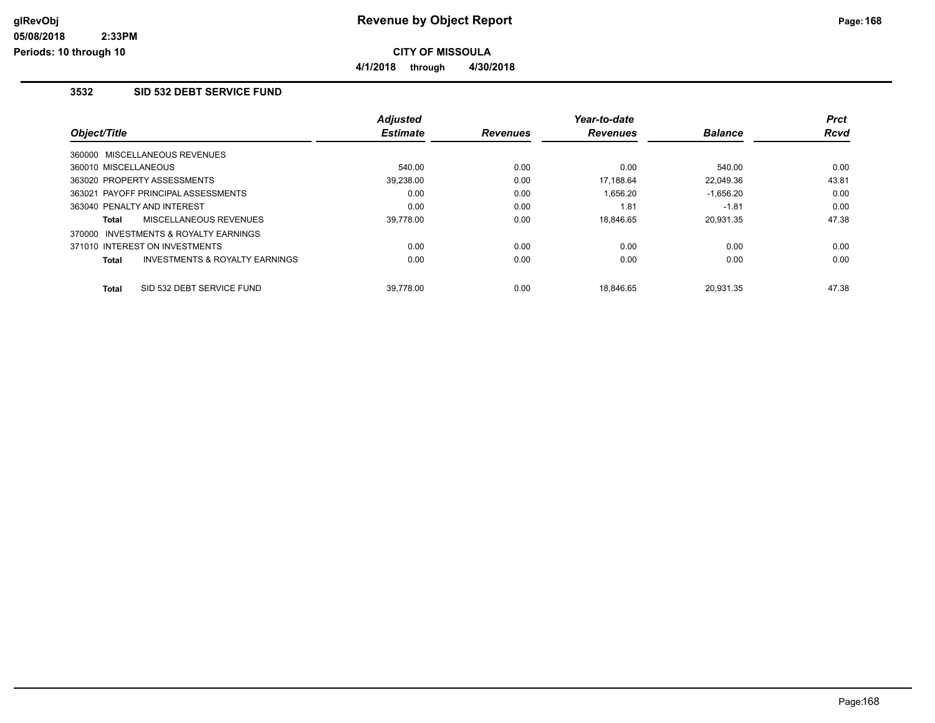**4/1/2018 through 4/30/2018**

### **3532 SID 532 DEBT SERVICE FUND**

| Object/Title                                       | <b>Adjusted</b><br><b>Estimate</b> | <b>Revenues</b> | Year-to-date<br><b>Revenues</b> | <b>Balance</b> | <b>Prct</b><br><b>Rcvd</b> |
|----------------------------------------------------|------------------------------------|-----------------|---------------------------------|----------------|----------------------------|
| 360000 MISCELLANEOUS REVENUES                      |                                    |                 |                                 |                |                            |
| 360010 MISCELLANEOUS                               | 540.00                             | 0.00            | 0.00                            | 540.00         | 0.00                       |
| 363020 PROPERTY ASSESSMENTS                        | 39.238.00                          | 0.00            | 17.188.64                       | 22.049.36      | 43.81                      |
| 363021 PAYOFF PRINCIPAL ASSESSMENTS                | 0.00                               | 0.00            | 1,656.20                        | $-1,656.20$    | 0.00                       |
| 363040 PENALTY AND INTEREST                        | 0.00                               | 0.00            | 1.81                            | $-1.81$        | 0.00                       |
| MISCELLANEOUS REVENUES<br>Total                    | 39.778.00                          | 0.00            | 18.846.65                       | 20.931.35      | 47.38                      |
| 370000 INVESTMENTS & ROYALTY EARNINGS              |                                    |                 |                                 |                |                            |
| 371010 INTEREST ON INVESTMENTS                     | 0.00                               | 0.00            | 0.00                            | 0.00           | 0.00                       |
| <b>INVESTMENTS &amp; ROYALTY EARNINGS</b><br>Total | 0.00                               | 0.00            | 0.00                            | 0.00           | 0.00                       |
| SID 532 DEBT SERVICE FUND<br>Total                 | 39.778.00                          | 0.00            | 18.846.65                       | 20.931.35      | 47.38                      |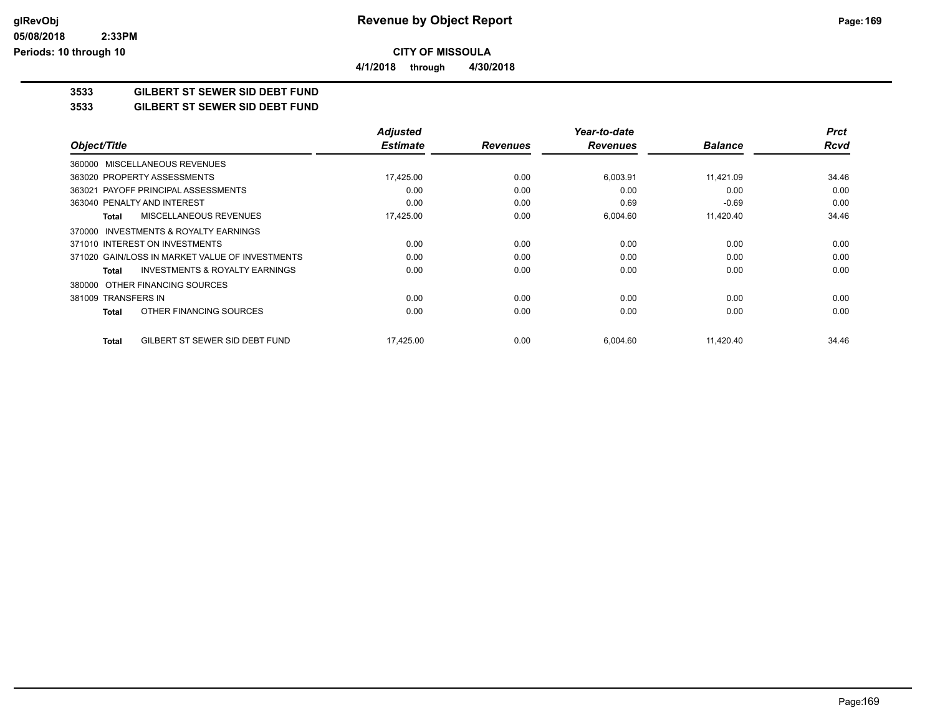**4/1/2018 through 4/30/2018**

# **3533 GILBERT ST SEWER SID DEBT FUND**

### **3533 GILBERT ST SEWER SID DEBT FUND**

|                                                    | <b>Adjusted</b> |                 | Year-to-date    |                | <b>Prct</b> |
|----------------------------------------------------|-----------------|-----------------|-----------------|----------------|-------------|
| Object/Title                                       | <b>Estimate</b> | <b>Revenues</b> | <b>Revenues</b> | <b>Balance</b> | <b>Rcvd</b> |
| 360000 MISCELLANEOUS REVENUES                      |                 |                 |                 |                |             |
| 363020 PROPERTY ASSESSMENTS                        | 17,425.00       | 0.00            | 6,003.91        | 11,421.09      | 34.46       |
| 363021 PAYOFF PRINCIPAL ASSESSMENTS                | 0.00            | 0.00            | 0.00            | 0.00           | 0.00        |
| 363040 PENALTY AND INTEREST                        | 0.00            | 0.00            | 0.69            | $-0.69$        | 0.00        |
| MISCELLANEOUS REVENUES<br>Total                    | 17,425.00       | 0.00            | 6,004.60        | 11,420.40      | 34.46       |
| 370000 INVESTMENTS & ROYALTY EARNINGS              |                 |                 |                 |                |             |
| 371010 INTEREST ON INVESTMENTS                     | 0.00            | 0.00            | 0.00            | 0.00           | 0.00        |
| 371020 GAIN/LOSS IN MARKET VALUE OF INVESTMENTS    | 0.00            | 0.00            | 0.00            | 0.00           | 0.00        |
| <b>INVESTMENTS &amp; ROYALTY EARNINGS</b><br>Total | 0.00            | 0.00            | 0.00            | 0.00           | 0.00        |
| 380000 OTHER FINANCING SOURCES                     |                 |                 |                 |                |             |
| 381009 TRANSFERS IN                                | 0.00            | 0.00            | 0.00            | 0.00           | 0.00        |
| OTHER FINANCING SOURCES<br>Total                   | 0.00            | 0.00            | 0.00            | 0.00           | 0.00        |
| GILBERT ST SEWER SID DEBT FUND<br>Total            | 17.425.00       | 0.00            | 6,004.60        | 11,420.40      | 34.46       |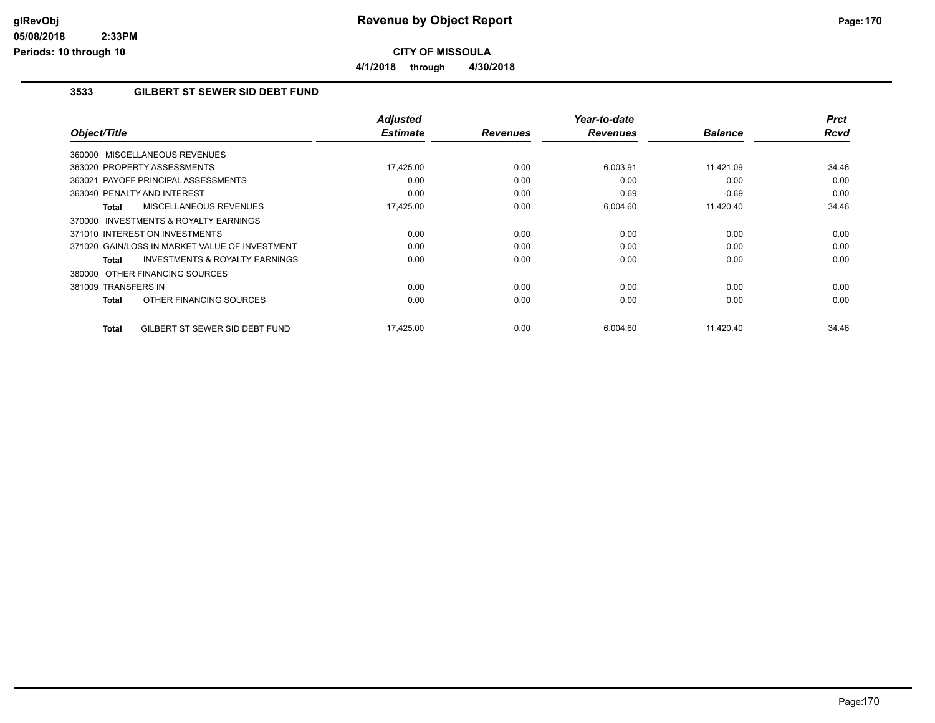**4/1/2018 through 4/30/2018**

### **3533 GILBERT ST SEWER SID DEBT FUND**

| Object/Title                                        | <b>Adjusted</b><br><b>Estimate</b> | <b>Revenues</b> | Year-to-date<br><b>Revenues</b> | <b>Balance</b> | <b>Prct</b><br>Rcvd |
|-----------------------------------------------------|------------------------------------|-----------------|---------------------------------|----------------|---------------------|
|                                                     |                                    |                 |                                 |                |                     |
| 360000 MISCELLANEOUS REVENUES                       |                                    |                 |                                 |                |                     |
| 363020 PROPERTY ASSESSMENTS                         | 17,425.00                          | 0.00            | 6,003.91                        | 11,421.09      | 34.46               |
| 363021 PAYOFF PRINCIPAL ASSESSMENTS                 | 0.00                               | 0.00            | 0.00                            | 0.00           | 0.00                |
| 363040 PENALTY AND INTEREST                         | 0.00                               | 0.00            | 0.69                            | $-0.69$        | 0.00                |
| <b>MISCELLANEOUS REVENUES</b><br>Total              | 17,425.00                          | 0.00            | 6.004.60                        | 11,420.40      | 34.46               |
| <b>INVESTMENTS &amp; ROYALTY EARNINGS</b><br>370000 |                                    |                 |                                 |                |                     |
| 371010 INTEREST ON INVESTMENTS                      | 0.00                               | 0.00            | 0.00                            | 0.00           | 0.00                |
| 371020 GAIN/LOSS IN MARKET VALUE OF INVESTMENT      | 0.00                               | 0.00            | 0.00                            | 0.00           | 0.00                |
| <b>INVESTMENTS &amp; ROYALTY EARNINGS</b><br>Total  | 0.00                               | 0.00            | 0.00                            | 0.00           | 0.00                |
| 380000 OTHER FINANCING SOURCES                      |                                    |                 |                                 |                |                     |
| 381009 TRANSFERS IN                                 | 0.00                               | 0.00            | 0.00                            | 0.00           | 0.00                |
| OTHER FINANCING SOURCES<br>Total                    | 0.00                               | 0.00            | 0.00                            | 0.00           | 0.00                |
|                                                     |                                    |                 |                                 |                |                     |
| GILBERT ST SEWER SID DEBT FUND<br>Total             | 17,425.00                          | 0.00            | 6,004.60                        | 11,420.40      | 34.46               |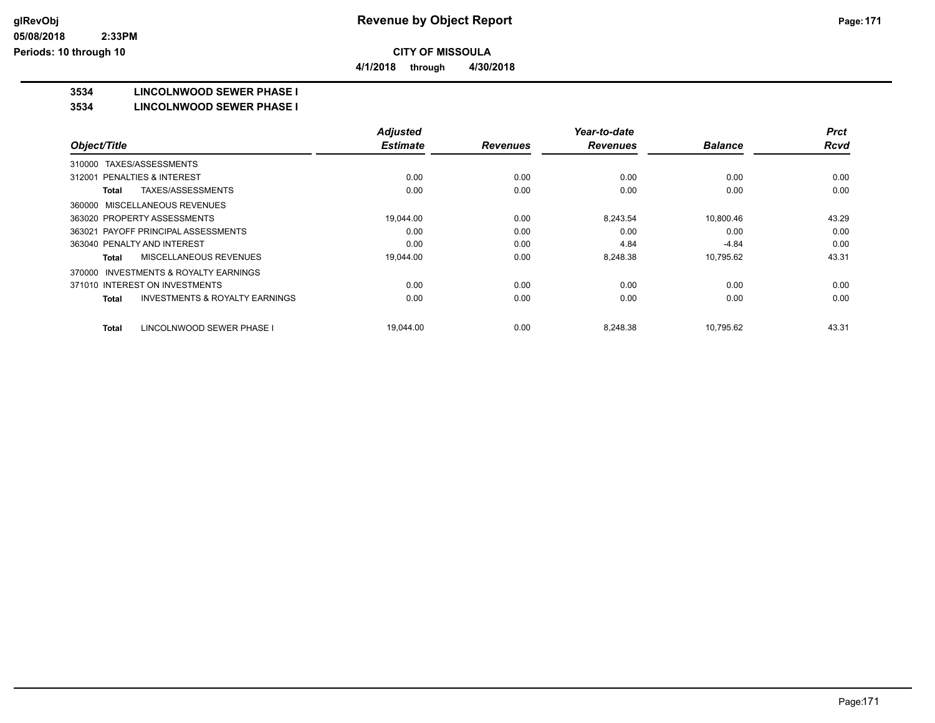**4/1/2018 through 4/30/2018**

### **3534 LINCOLNWOOD SEWER PHASE I**

### **3534 LINCOLNWOOD SEWER PHASE I**

|                                                           | <b>Adjusted</b> |                 | Year-to-date    |                | <b>Prct</b> |
|-----------------------------------------------------------|-----------------|-----------------|-----------------|----------------|-------------|
| Object/Title                                              | <b>Estimate</b> | <b>Revenues</b> | <b>Revenues</b> | <b>Balance</b> | <b>Rcvd</b> |
| TAXES/ASSESSMENTS<br>310000                               |                 |                 |                 |                |             |
| <b>PENALTIES &amp; INTEREST</b><br>312001                 | 0.00            | 0.00            | 0.00            | 0.00           | 0.00        |
| TAXES/ASSESSMENTS<br>Total                                | 0.00            | 0.00            | 0.00            | 0.00           | 0.00        |
| 360000 MISCELLANEOUS REVENUES                             |                 |                 |                 |                |             |
| 363020 PROPERTY ASSESSMENTS                               | 19,044.00       | 0.00            | 8,243.54        | 10,800.46      | 43.29       |
| PAYOFF PRINCIPAL ASSESSMENTS<br>363021                    | 0.00            | 0.00            | 0.00            | 0.00           | 0.00        |
| 363040 PENALTY AND INTEREST                               | 0.00            | 0.00            | 4.84            | $-4.84$        | 0.00        |
| MISCELLANEOUS REVENUES<br>Total                           | 19,044.00       | 0.00            | 8,248.38        | 10,795.62      | 43.31       |
| 370000 INVESTMENTS & ROYALTY EARNINGS                     |                 |                 |                 |                |             |
| 371010 INTEREST ON INVESTMENTS                            | 0.00            | 0.00            | 0.00            | 0.00           | 0.00        |
| <b>INVESTMENTS &amp; ROYALTY EARNINGS</b><br><b>Total</b> | 0.00            | 0.00            | 0.00            | 0.00           | 0.00        |
| LINCOLNWOOD SEWER PHASE I<br>Total                        | 19.044.00       | 0.00            | 8.248.38        | 10.795.62      | 43.31       |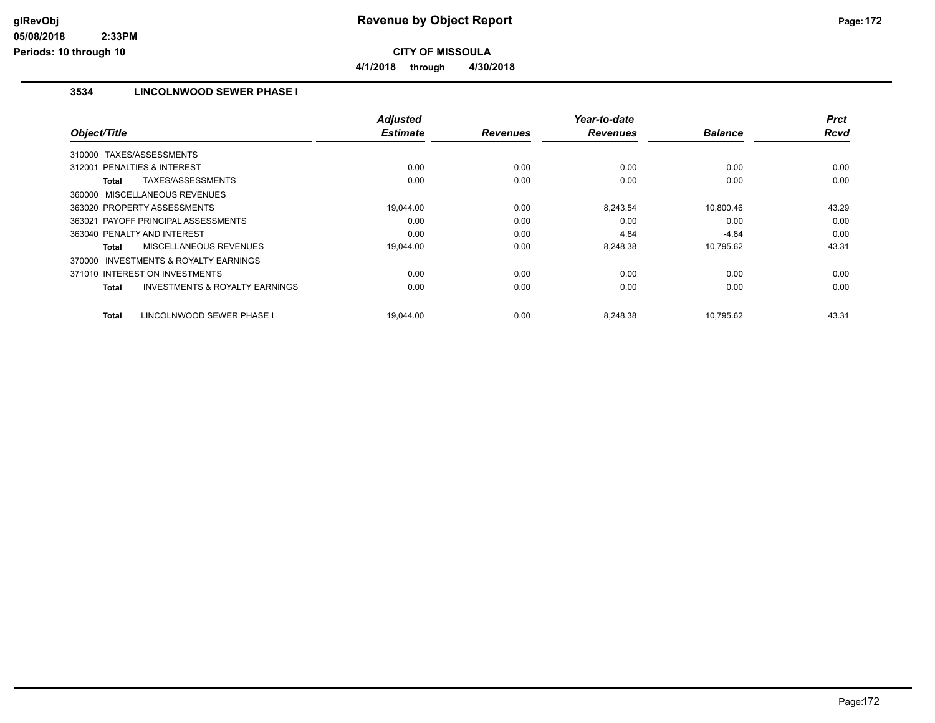**4/1/2018 through 4/30/2018**

### **3534 LINCOLNWOOD SEWER PHASE I**

| Object/Title                                        | <b>Adjusted</b><br><b>Estimate</b> | <b>Revenues</b> | Year-to-date<br><b>Revenues</b> | <b>Balance</b> | <b>Prct</b><br><b>Rcvd</b> |
|-----------------------------------------------------|------------------------------------|-----------------|---------------------------------|----------------|----------------------------|
|                                                     |                                    |                 |                                 |                |                            |
| TAXES/ASSESSMENTS<br>310000                         |                                    |                 |                                 |                |                            |
| 312001 PENALTIES & INTEREST                         | 0.00                               | 0.00            | 0.00                            | 0.00           | 0.00                       |
| TAXES/ASSESSMENTS<br><b>Total</b>                   | 0.00                               | 0.00            | 0.00                            | 0.00           | 0.00                       |
| 360000 MISCELLANEOUS REVENUES                       |                                    |                 |                                 |                |                            |
| 363020 PROPERTY ASSESSMENTS                         | 19.044.00                          | 0.00            | 8.243.54                        | 10,800.46      | 43.29                      |
| 363021 PAYOFF PRINCIPAL ASSESSMENTS                 | 0.00                               | 0.00            | 0.00                            | 0.00           | 0.00                       |
| 363040 PENALTY AND INTEREST                         | 0.00                               | 0.00            | 4.84                            | $-4.84$        | 0.00                       |
| MISCELLANEOUS REVENUES<br><b>Total</b>              | 19.044.00                          | 0.00            | 8,248.38                        | 10,795.62      | 43.31                      |
| <b>INVESTMENTS &amp; ROYALTY EARNINGS</b><br>370000 |                                    |                 |                                 |                |                            |
| 371010 INTEREST ON INVESTMENTS                      | 0.00                               | 0.00            | 0.00                            | 0.00           | 0.00                       |
| <b>INVESTMENTS &amp; ROYALTY EARNINGS</b><br>Total  | 0.00                               | 0.00            | 0.00                            | 0.00           | 0.00                       |
| LINCOLNWOOD SEWER PHASE I<br><b>Total</b>           | 19.044.00                          | 0.00            | 8.248.38                        | 10.795.62      | 43.31                      |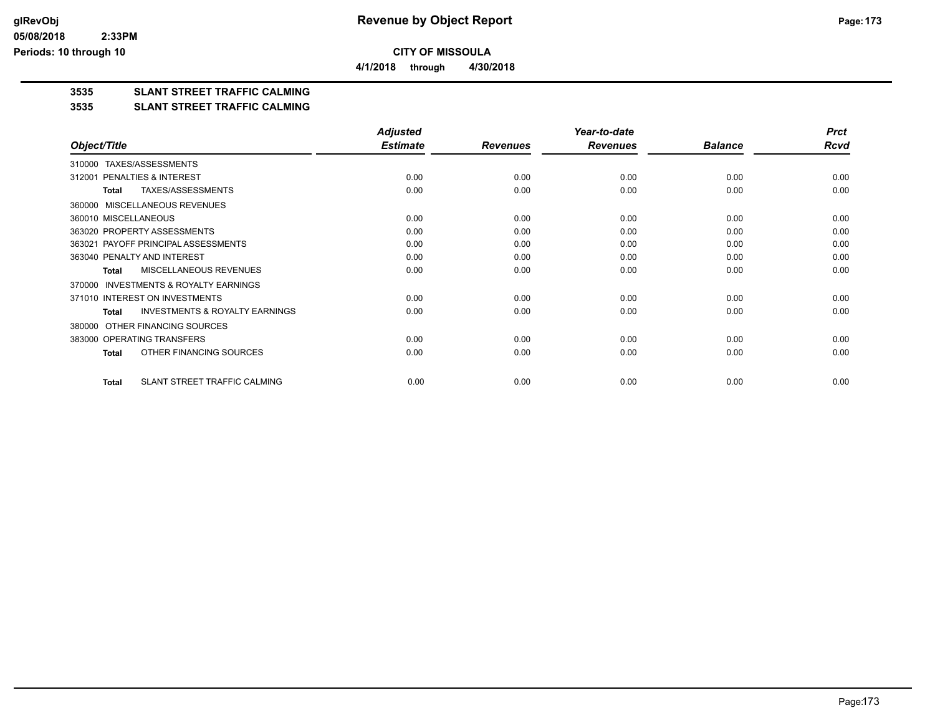**4/1/2018 through 4/30/2018**

## **3535 SLANT STREET TRAFFIC CALMING**

### **3535 SLANT STREET TRAFFIC CALMING**

|                                                           | <b>Adjusted</b> |                 | Year-to-date    |                | <b>Prct</b> |
|-----------------------------------------------------------|-----------------|-----------------|-----------------|----------------|-------------|
| Object/Title                                              | <b>Estimate</b> | <b>Revenues</b> | <b>Revenues</b> | <b>Balance</b> | <b>Rcvd</b> |
| TAXES/ASSESSMENTS<br>310000                               |                 |                 |                 |                |             |
| 312001 PENALTIES & INTEREST                               | 0.00            | 0.00            | 0.00            | 0.00           | 0.00        |
| TAXES/ASSESSMENTS<br><b>Total</b>                         | 0.00            | 0.00            | 0.00            | 0.00           | 0.00        |
| MISCELLANEOUS REVENUES<br>360000                          |                 |                 |                 |                |             |
| 360010 MISCELLANEOUS                                      | 0.00            | 0.00            | 0.00            | 0.00           | 0.00        |
| 363020 PROPERTY ASSESSMENTS                               | 0.00            | 0.00            | 0.00            | 0.00           | 0.00        |
| 363021 PAYOFF PRINCIPAL ASSESSMENTS                       | 0.00            | 0.00            | 0.00            | 0.00           | 0.00        |
| 363040 PENALTY AND INTEREST                               | 0.00            | 0.00            | 0.00            | 0.00           | 0.00        |
| <b>MISCELLANEOUS REVENUES</b><br><b>Total</b>             | 0.00            | 0.00            | 0.00            | 0.00           | 0.00        |
| <b>INVESTMENTS &amp; ROYALTY EARNINGS</b><br>370000       |                 |                 |                 |                |             |
| 371010 INTEREST ON INVESTMENTS                            | 0.00            | 0.00            | 0.00            | 0.00           | 0.00        |
| <b>INVESTMENTS &amp; ROYALTY EARNINGS</b><br><b>Total</b> | 0.00            | 0.00            | 0.00            | 0.00           | 0.00        |
| OTHER FINANCING SOURCES<br>380000                         |                 |                 |                 |                |             |
| 383000 OPERATING TRANSFERS                                | 0.00            | 0.00            | 0.00            | 0.00           | 0.00        |
| OTHER FINANCING SOURCES<br><b>Total</b>                   | 0.00            | 0.00            | 0.00            | 0.00           | 0.00        |
| SLANT STREET TRAFFIC CALMING<br>Total                     | 0.00            | 0.00            | 0.00            | 0.00           | 0.00        |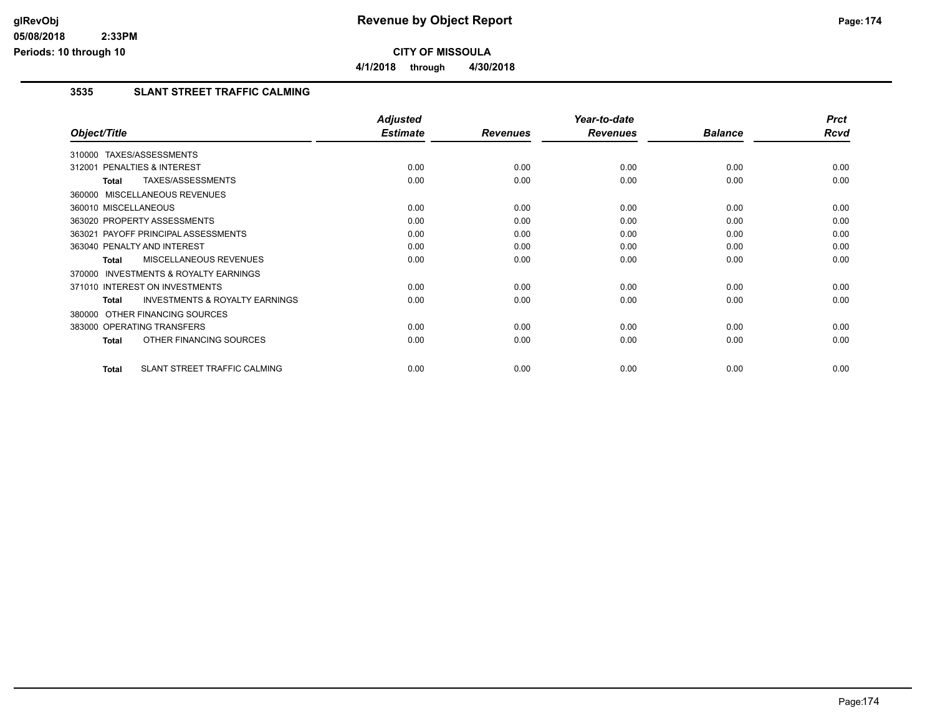**4/1/2018 through 4/30/2018**

### **3535 SLANT STREET TRAFFIC CALMING**

|                                                           | <b>Adjusted</b> |                 | Year-to-date    |                | <b>Prct</b> |
|-----------------------------------------------------------|-----------------|-----------------|-----------------|----------------|-------------|
| Object/Title                                              | <b>Estimate</b> | <b>Revenues</b> | <b>Revenues</b> | <b>Balance</b> | Rcvd        |
| TAXES/ASSESSMENTS<br>310000                               |                 |                 |                 |                |             |
| 312001 PENALTIES & INTEREST                               | 0.00            | 0.00            | 0.00            | 0.00           | 0.00        |
| TAXES/ASSESSMENTS<br>Total                                | 0.00            | 0.00            | 0.00            | 0.00           | 0.00        |
| 360000 MISCELLANEOUS REVENUES                             |                 |                 |                 |                |             |
| 360010 MISCELLANEOUS                                      | 0.00            | 0.00            | 0.00            | 0.00           | 0.00        |
| 363020 PROPERTY ASSESSMENTS                               | 0.00            | 0.00            | 0.00            | 0.00           | 0.00        |
| 363021 PAYOFF PRINCIPAL ASSESSMENTS                       | 0.00            | 0.00            | 0.00            | 0.00           | 0.00        |
| 363040 PENALTY AND INTEREST                               | 0.00            | 0.00            | 0.00            | 0.00           | 0.00        |
| <b>MISCELLANEOUS REVENUES</b><br><b>Total</b>             | 0.00            | 0.00            | 0.00            | 0.00           | 0.00        |
| <b>INVESTMENTS &amp; ROYALTY EARNINGS</b><br>370000       |                 |                 |                 |                |             |
| 371010 INTEREST ON INVESTMENTS                            | 0.00            | 0.00            | 0.00            | 0.00           | 0.00        |
| <b>INVESTMENTS &amp; ROYALTY EARNINGS</b><br><b>Total</b> | 0.00            | 0.00            | 0.00            | 0.00           | 0.00        |
| 380000 OTHER FINANCING SOURCES                            |                 |                 |                 |                |             |
| 383000 OPERATING TRANSFERS                                | 0.00            | 0.00            | 0.00            | 0.00           | 0.00        |
| OTHER FINANCING SOURCES<br>Total                          | 0.00            | 0.00            | 0.00            | 0.00           | 0.00        |
| SLANT STREET TRAFFIC CALMING<br><b>Total</b>              | 0.00            | 0.00            | 0.00            | 0.00           | 0.00        |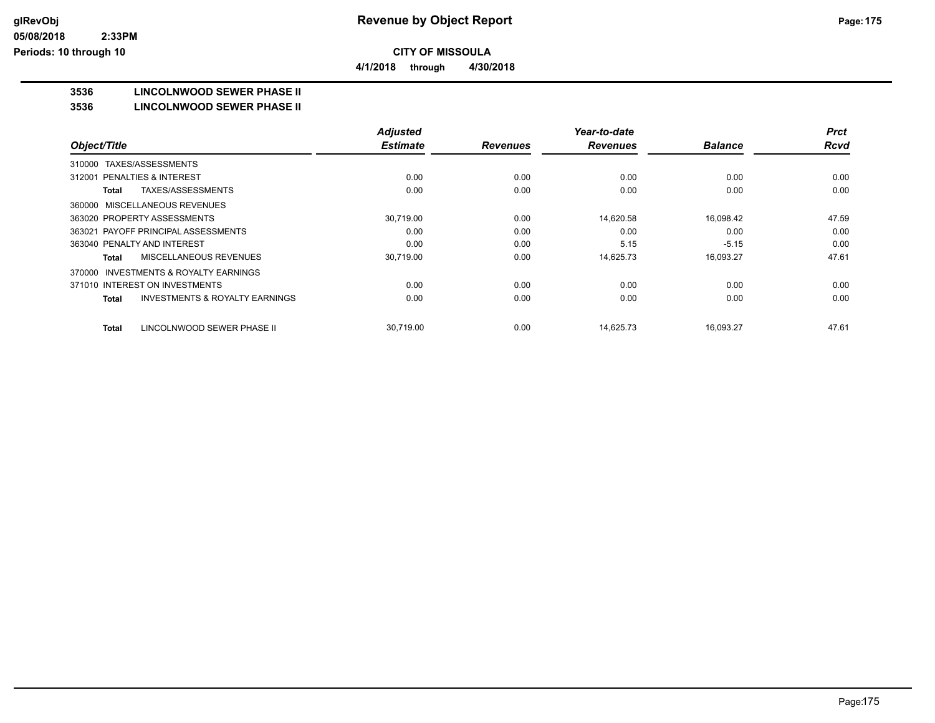**4/1/2018 through 4/30/2018**

### **3536 LINCOLNWOOD SEWER PHASE II**

### **3536 LINCOLNWOOD SEWER PHASE II**

|                                                    | <b>Adjusted</b> |                 | Year-to-date    |                | <b>Prct</b> |
|----------------------------------------------------|-----------------|-----------------|-----------------|----------------|-------------|
| Object/Title                                       | <b>Estimate</b> | <b>Revenues</b> | <b>Revenues</b> | <b>Balance</b> | <b>Rcvd</b> |
| TAXES/ASSESSMENTS<br>310000                        |                 |                 |                 |                |             |
| <b>PENALTIES &amp; INTEREST</b><br>312001          | 0.00            | 0.00            | 0.00            | 0.00           | 0.00        |
| TAXES/ASSESSMENTS<br>Total                         | 0.00            | 0.00            | 0.00            | 0.00           | 0.00        |
| 360000 MISCELLANEOUS REVENUES                      |                 |                 |                 |                |             |
| 363020 PROPERTY ASSESSMENTS                        | 30.719.00       | 0.00            | 14.620.58       | 16.098.42      | 47.59       |
| PAYOFF PRINCIPAL ASSESSMENTS<br>363021             | 0.00            | 0.00            | 0.00            | 0.00           | 0.00        |
| 363040 PENALTY AND INTEREST                        | 0.00            | 0.00            | 5.15            | $-5.15$        | 0.00        |
| MISCELLANEOUS REVENUES<br>Total                    | 30.719.00       | 0.00            | 14,625.73       | 16.093.27      | 47.61       |
| INVESTMENTS & ROYALTY EARNINGS<br>370000           |                 |                 |                 |                |             |
| 371010 INTEREST ON INVESTMENTS                     | 0.00            | 0.00            | 0.00            | 0.00           | 0.00        |
| <b>INVESTMENTS &amp; ROYALTY EARNINGS</b><br>Total | 0.00            | 0.00            | 0.00            | 0.00           | 0.00        |
| LINCOLNWOOD SEWER PHASE II<br>Total                | 30.719.00       | 0.00            | 14.625.73       | 16.093.27      | 47.61       |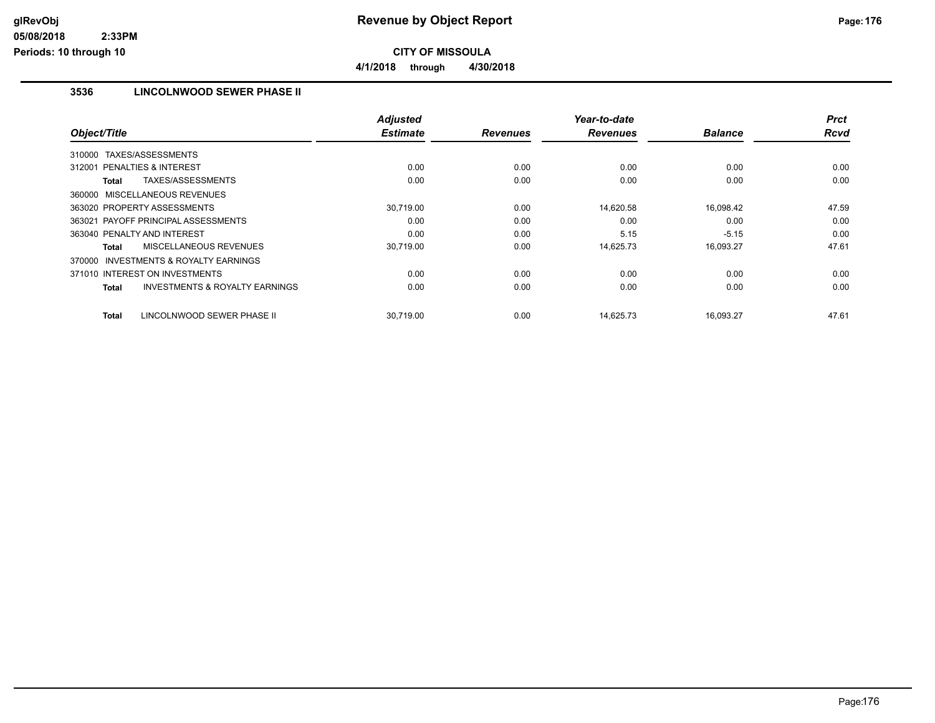**4/1/2018 through 4/30/2018**

### **3536 LINCOLNWOOD SEWER PHASE II**

| Object/Title                                        | <b>Adjusted</b><br><b>Estimate</b> | <b>Revenues</b> | Year-to-date<br><b>Revenues</b> | <b>Balance</b> | <b>Prct</b><br>Rcvd |
|-----------------------------------------------------|------------------------------------|-----------------|---------------------------------|----------------|---------------------|
|                                                     |                                    |                 |                                 |                |                     |
| TAXES/ASSESSMENTS<br>310000                         |                                    |                 |                                 |                |                     |
| 312001 PENALTIES & INTEREST                         | 0.00                               | 0.00            | 0.00                            | 0.00           | 0.00                |
| TAXES/ASSESSMENTS<br><b>Total</b>                   | 0.00                               | 0.00            | 0.00                            | 0.00           | 0.00                |
| 360000 MISCELLANEOUS REVENUES                       |                                    |                 |                                 |                |                     |
| 363020 PROPERTY ASSESSMENTS                         | 30,719.00                          | 0.00            | 14,620.58                       | 16,098.42      | 47.59               |
| 363021 PAYOFF PRINCIPAL ASSESSMENTS                 | 0.00                               | 0.00            | 0.00                            | 0.00           | 0.00                |
| 363040 PENALTY AND INTEREST                         | 0.00                               | 0.00            | 5.15                            | $-5.15$        | 0.00                |
| MISCELLANEOUS REVENUES<br>Total                     | 30,719.00                          | 0.00            | 14,625.73                       | 16,093.27      | 47.61               |
| <b>INVESTMENTS &amp; ROYALTY EARNINGS</b><br>370000 |                                    |                 |                                 |                |                     |
| 371010 INTEREST ON INVESTMENTS                      | 0.00                               | 0.00            | 0.00                            | 0.00           | 0.00                |
| <b>INVESTMENTS &amp; ROYALTY EARNINGS</b><br>Total  | 0.00                               | 0.00            | 0.00                            | 0.00           | 0.00                |
| LINCOLNWOOD SEWER PHASE II<br><b>Total</b>          | 30.719.00                          | 0.00            | 14.625.73                       | 16.093.27      | 47.61               |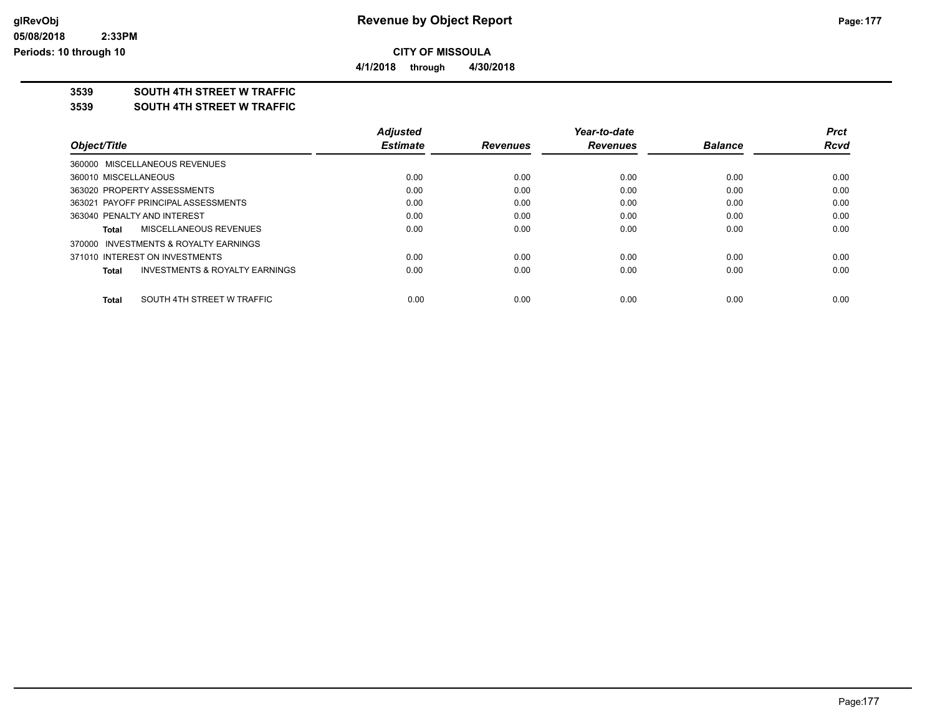**4/1/2018 through 4/30/2018**

**3539 SOUTH 4TH STREET W TRAFFIC**

### **3539 SOUTH 4TH STREET W TRAFFIC**

|                                                    | <b>Adjusted</b> |                 | Year-to-date    |                | <b>Prct</b> |
|----------------------------------------------------|-----------------|-----------------|-----------------|----------------|-------------|
| Object/Title                                       | <b>Estimate</b> | <b>Revenues</b> | <b>Revenues</b> | <b>Balance</b> | Rcvd        |
| 360000 MISCELLANEOUS REVENUES                      |                 |                 |                 |                |             |
| 360010 MISCELLANEOUS                               | 0.00            | 0.00            | 0.00            | 0.00           | 0.00        |
| 363020 PROPERTY ASSESSMENTS                        | 0.00            | 0.00            | 0.00            | 0.00           | 0.00        |
| 363021 PAYOFF PRINCIPAL ASSESSMENTS                | 0.00            | 0.00            | 0.00            | 0.00           | 0.00        |
| 363040 PENALTY AND INTEREST                        | 0.00            | 0.00            | 0.00            | 0.00           | 0.00        |
| MISCELLANEOUS REVENUES<br>Total                    | 0.00            | 0.00            | 0.00            | 0.00           | 0.00        |
| 370000 INVESTMENTS & ROYALTY EARNINGS              |                 |                 |                 |                |             |
| 371010 INTEREST ON INVESTMENTS                     | 0.00            | 0.00            | 0.00            | 0.00           | 0.00        |
| <b>INVESTMENTS &amp; ROYALTY EARNINGS</b><br>Total | 0.00            | 0.00            | 0.00            | 0.00           | 0.00        |
| SOUTH 4TH STREET W TRAFFIC<br>Total                | 0.00            | 0.00            | 0.00            | 0.00           | 0.00        |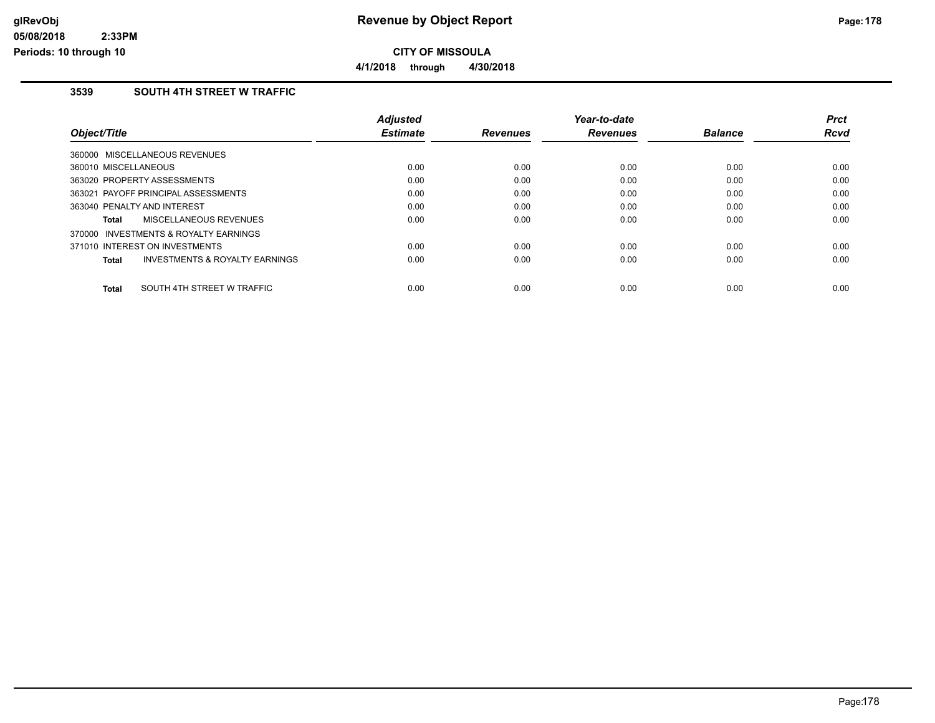**4/1/2018 through 4/30/2018**

### **3539 SOUTH 4TH STREET W TRAFFIC**

| Object/Title                                       | <b>Adiusted</b><br><b>Estimate</b> | <b>Revenues</b> | Year-to-date<br><b>Revenues</b> | <b>Balance</b> | <b>Prct</b><br><b>Rcvd</b> |
|----------------------------------------------------|------------------------------------|-----------------|---------------------------------|----------------|----------------------------|
| 360000 MISCELLANEOUS REVENUES                      |                                    |                 |                                 |                |                            |
| 360010 MISCELLANEOUS                               | 0.00                               | 0.00            | 0.00                            | 0.00           | 0.00                       |
| 363020 PROPERTY ASSESSMENTS                        | 0.00                               | 0.00            | 0.00                            | 0.00           | 0.00                       |
| 363021 PAYOFF PRINCIPAL ASSESSMENTS                | 0.00                               | 0.00            | 0.00                            | 0.00           | 0.00                       |
| 363040 PENALTY AND INTEREST                        | 0.00                               | 0.00            | 0.00                            | 0.00           | 0.00                       |
| MISCELLANEOUS REVENUES<br>Total                    | 0.00                               | 0.00            | 0.00                            | 0.00           | 0.00                       |
| 370000 INVESTMENTS & ROYALTY EARNINGS              |                                    |                 |                                 |                |                            |
| 371010 INTEREST ON INVESTMENTS                     | 0.00                               | 0.00            | 0.00                            | 0.00           | 0.00                       |
| <b>INVESTMENTS &amp; ROYALTY EARNINGS</b><br>Total | 0.00                               | 0.00            | 0.00                            | 0.00           | 0.00                       |
| SOUTH 4TH STREET W TRAFFIC<br>Total                | 0.00                               | 0.00            | 0.00                            | 0.00           | 0.00                       |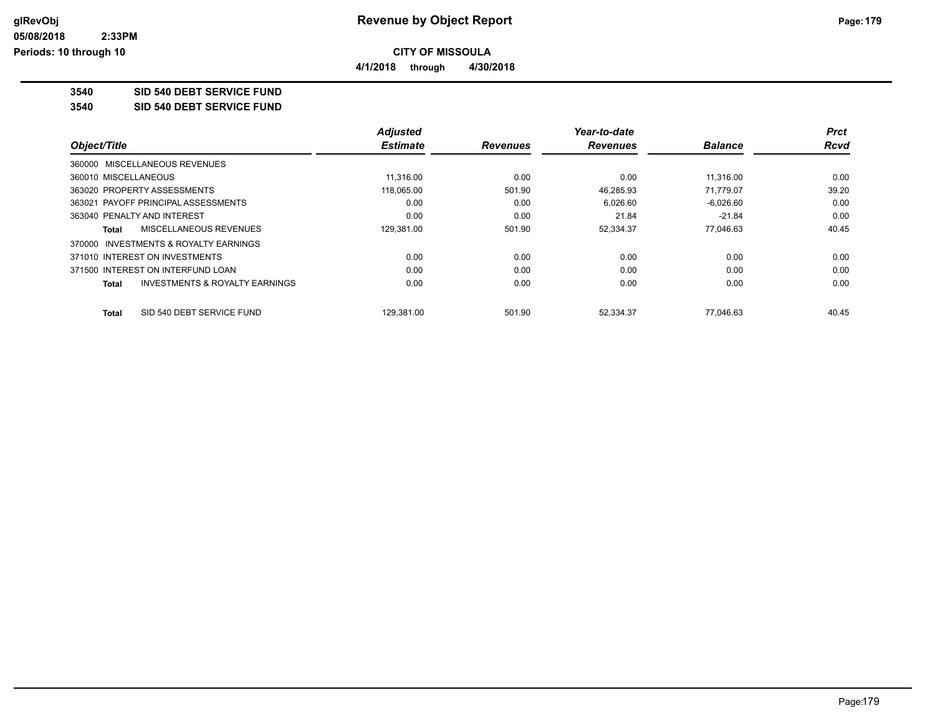**4/1/2018 through 4/30/2018**

**3540 SID 540 DEBT SERVICE FUND**

**3540 SID 540 DEBT SERVICE FUND**

|                                                           | <b>Adjusted</b> |                 | Year-to-date    |                | <b>Prct</b> |
|-----------------------------------------------------------|-----------------|-----------------|-----------------|----------------|-------------|
| Object/Title                                              | <b>Estimate</b> | <b>Revenues</b> | <b>Revenues</b> | <b>Balance</b> | Rcvd        |
| 360000 MISCELLANEOUS REVENUES                             |                 |                 |                 |                |             |
| 360010 MISCELLANEOUS                                      | 11.316.00       | 0.00            | 0.00            | 11.316.00      | 0.00        |
| 363020 PROPERTY ASSESSMENTS                               | 118,065.00      | 501.90          | 46,285.93       | 71.779.07      | 39.20       |
| 363021 PAYOFF PRINCIPAL ASSESSMENTS                       | 0.00            | 0.00            | 6,026.60        | $-6,026.60$    | 0.00        |
| 363040 PENALTY AND INTEREST                               | 0.00            | 0.00            | 21.84           | $-21.84$       | 0.00        |
| MISCELLANEOUS REVENUES<br><b>Total</b>                    | 129,381.00      | 501.90          | 52,334.37       | 77.046.63      | 40.45       |
| INVESTMENTS & ROYALTY EARNINGS<br>370000                  |                 |                 |                 |                |             |
| 371010 INTEREST ON INVESTMENTS                            | 0.00            | 0.00            | 0.00            | 0.00           | 0.00        |
| 371500 INTEREST ON INTERFUND LOAN                         | 0.00            | 0.00            | 0.00            | 0.00           | 0.00        |
| <b>INVESTMENTS &amp; ROYALTY EARNINGS</b><br><b>Total</b> | 0.00            | 0.00            | 0.00            | 0.00           | 0.00        |
| SID 540 DEBT SERVICE FUND<br><b>Total</b>                 | 129.381.00      | 501.90          | 52.334.37       | 77.046.63      | 40.45       |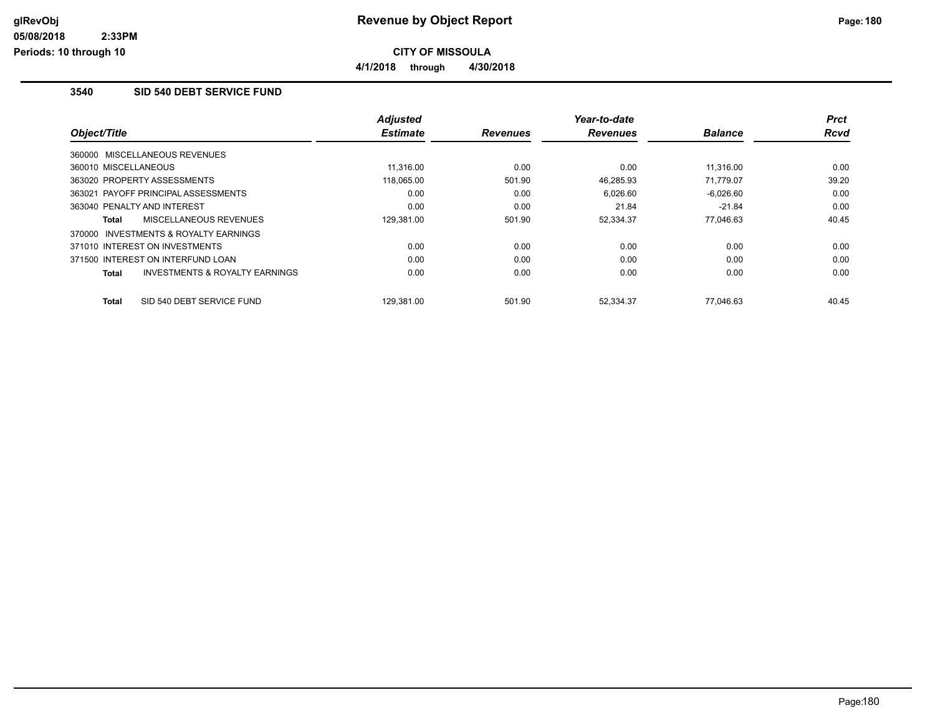**4/1/2018 through 4/30/2018**

### **3540 SID 540 DEBT SERVICE FUND**

|                                                     | <b>Adjusted</b> |                 | Year-to-date    |                | <b>Prct</b> |
|-----------------------------------------------------|-----------------|-----------------|-----------------|----------------|-------------|
| Object/Title                                        | <b>Estimate</b> | <b>Revenues</b> | <b>Revenues</b> | <b>Balance</b> | Rcvd        |
| 360000 MISCELLANEOUS REVENUES                       |                 |                 |                 |                |             |
| 360010 MISCELLANEOUS                                | 11.316.00       | 0.00            | 0.00            | 11.316.00      | 0.00        |
| 363020 PROPERTY ASSESSMENTS                         | 118.065.00      | 501.90          | 46.285.93       | 71.779.07      | 39.20       |
| 363021 PAYOFF PRINCIPAL ASSESSMENTS                 | 0.00            | 0.00            | 6.026.60        | $-6.026.60$    | 0.00        |
| 363040 PENALTY AND INTEREST                         | 0.00            | 0.00            | 21.84           | $-21.84$       | 0.00        |
| MISCELLANEOUS REVENUES<br>Total                     | 129,381.00      | 501.90          | 52,334.37       | 77.046.63      | 40.45       |
| <b>INVESTMENTS &amp; ROYALTY EARNINGS</b><br>370000 |                 |                 |                 |                |             |
| 371010 INTEREST ON INVESTMENTS                      | 0.00            | 0.00            | 0.00            | 0.00           | 0.00        |
| 371500 INTEREST ON INTERFUND LOAN                   | 0.00            | 0.00            | 0.00            | 0.00           | 0.00        |
| <b>INVESTMENTS &amp; ROYALTY EARNINGS</b><br>Total  | 0.00            | 0.00            | 0.00            | 0.00           | 0.00        |
| SID 540 DEBT SERVICE FUND<br>Total                  | 129.381.00      | 501.90          | 52.334.37       | 77.046.63      | 40.45       |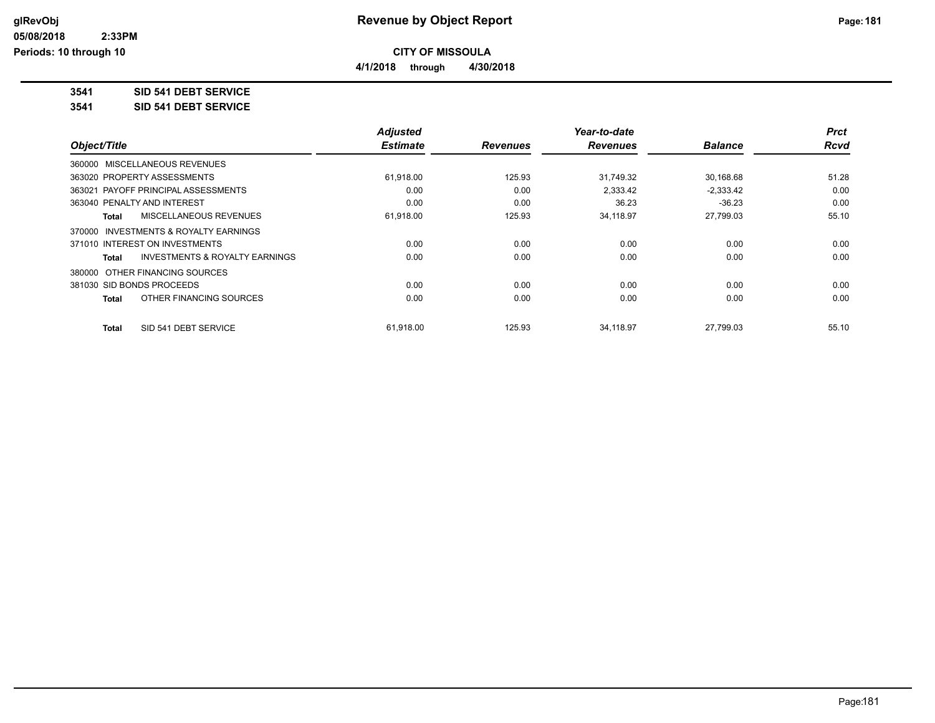**4/1/2018 through 4/30/2018**

**3541 SID 541 DEBT SERVICE**

**3541 SID 541 DEBT SERVICE**

|                                         | <b>Adjusted</b> |                 | Year-to-date    |                | <b>Prct</b> |
|-----------------------------------------|-----------------|-----------------|-----------------|----------------|-------------|
| Object/Title                            | <b>Estimate</b> | <b>Revenues</b> | <b>Revenues</b> | <b>Balance</b> | <b>Rcvd</b> |
| 360000 MISCELLANEOUS REVENUES           |                 |                 |                 |                |             |
| 363020 PROPERTY ASSESSMENTS             | 61,918.00       | 125.93          | 31,749.32       | 30,168.68      | 51.28       |
| 363021 PAYOFF PRINCIPAL ASSESSMENTS     | 0.00            | 0.00            | 2,333.42        | $-2,333.42$    | 0.00        |
| 363040 PENALTY AND INTEREST             | 0.00            | 0.00            | 36.23           | $-36.23$       | 0.00        |
| MISCELLANEOUS REVENUES<br>Total         | 61,918.00       | 125.93          | 34,118.97       | 27,799.03      | 55.10       |
| 370000 INVESTMENTS & ROYALTY EARNINGS   |                 |                 |                 |                |             |
| 371010 INTEREST ON INVESTMENTS          | 0.00            | 0.00            | 0.00            | 0.00           | 0.00        |
| INVESTMENTS & ROYALTY EARNINGS<br>Total | 0.00            | 0.00            | 0.00            | 0.00           | 0.00        |
| 380000 OTHER FINANCING SOURCES          |                 |                 |                 |                |             |
| 381030 SID BONDS PROCEEDS               | 0.00            | 0.00            | 0.00            | 0.00           | 0.00        |
| OTHER FINANCING SOURCES<br>Total        | 0.00            | 0.00            | 0.00            | 0.00           | 0.00        |
| SID 541 DEBT SERVICE<br>Total           | 61.918.00       | 125.93          | 34,118.97       | 27.799.03      | 55.10       |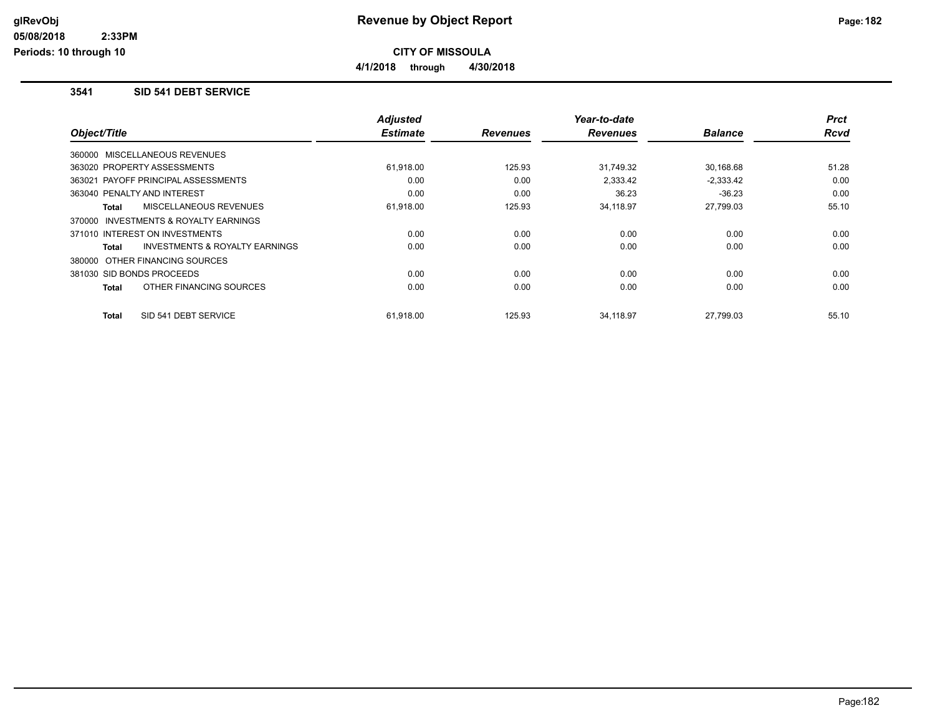**4/1/2018 through 4/30/2018**

#### **3541 SID 541 DEBT SERVICE**

|                                                     | <b>Adjusted</b> |                 | Year-to-date    |                | <b>Prct</b> |
|-----------------------------------------------------|-----------------|-----------------|-----------------|----------------|-------------|
| Object/Title                                        | <b>Estimate</b> | <b>Revenues</b> | <b>Revenues</b> | <b>Balance</b> | <b>Rcvd</b> |
| 360000 MISCELLANEOUS REVENUES                       |                 |                 |                 |                |             |
| 363020 PROPERTY ASSESSMENTS                         | 61.918.00       | 125.93          | 31,749.32       | 30,168.68      | 51.28       |
| 363021 PAYOFF PRINCIPAL ASSESSMENTS                 | 0.00            | 0.00            | 2,333.42        | $-2,333.42$    | 0.00        |
| 363040 PENALTY AND INTEREST                         | 0.00            | 0.00            | 36.23           | $-36.23$       | 0.00        |
| MISCELLANEOUS REVENUES<br>Total                     | 61.918.00       | 125.93          | 34.118.97       | 27.799.03      | 55.10       |
| <b>INVESTMENTS &amp; ROYALTY EARNINGS</b><br>370000 |                 |                 |                 |                |             |
| 371010 INTEREST ON INVESTMENTS                      | 0.00            | 0.00            | 0.00            | 0.00           | 0.00        |
| INVESTMENTS & ROYALTY EARNINGS<br>Total             | 0.00            | 0.00            | 0.00            | 0.00           | 0.00        |
| 380000 OTHER FINANCING SOURCES                      |                 |                 |                 |                |             |
| 381030 SID BONDS PROCEEDS                           | 0.00            | 0.00            | 0.00            | 0.00           | 0.00        |
| OTHER FINANCING SOURCES<br><b>Total</b>             | 0.00            | 0.00            | 0.00            | 0.00           | 0.00        |
| SID 541 DEBT SERVICE<br><b>Total</b>                | 61.918.00       | 125.93          | 34.118.97       | 27.799.03      | 55.10       |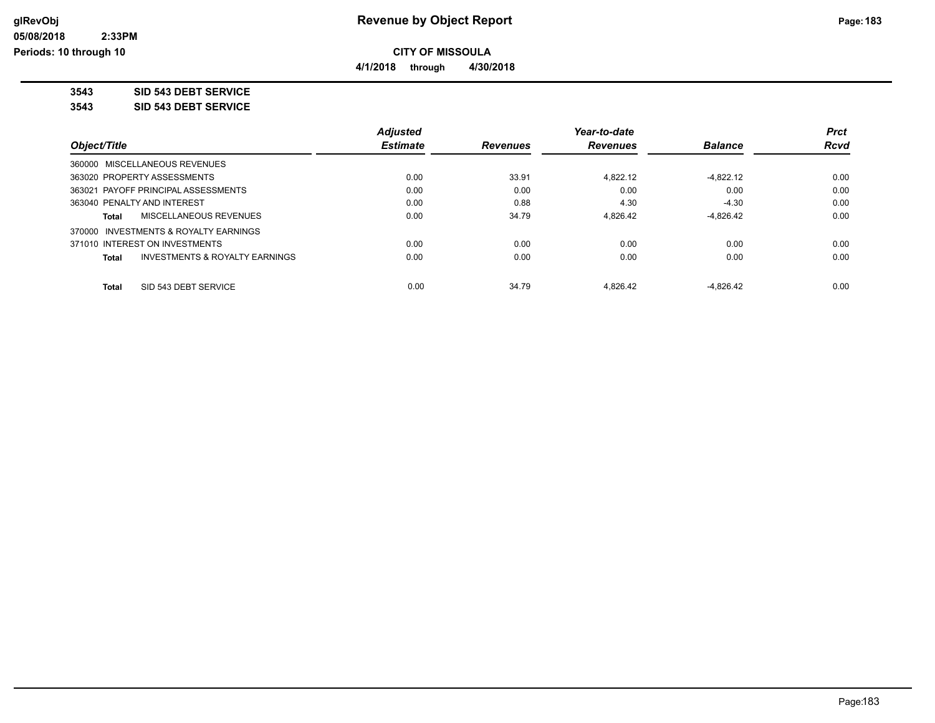**4/1/2018 through 4/30/2018**

**3543 SID 543 DEBT SERVICE**

**3543 SID 543 DEBT SERVICE**

|                                                | <b>Adjusted</b> |                 | Year-to-date    |                | <b>Prct</b> |
|------------------------------------------------|-----------------|-----------------|-----------------|----------------|-------------|
| Object/Title                                   | <b>Estimate</b> | <b>Revenues</b> | <b>Revenues</b> | <b>Balance</b> | Rcvd        |
| 360000 MISCELLANEOUS REVENUES                  |                 |                 |                 |                |             |
| 363020 PROPERTY ASSESSMENTS                    | 0.00            | 33.91           | 4.822.12        | $-4.822.12$    | 0.00        |
| 363021 PAYOFF PRINCIPAL ASSESSMENTS            | 0.00            | 0.00            | 0.00            | 0.00           | 0.00        |
| 363040 PENALTY AND INTEREST                    | 0.00            | 0.88            | 4.30            | $-4.30$        | 0.00        |
| MISCELLANEOUS REVENUES<br>Total                | 0.00            | 34.79           | 4.826.42        | $-4.826.42$    | 0.00        |
| 370000 INVESTMENTS & ROYALTY EARNINGS          |                 |                 |                 |                |             |
| 371010 INTEREST ON INVESTMENTS                 | 0.00            | 0.00            | 0.00            | 0.00           | 0.00        |
| INVESTMENTS & ROYALTY EARNINGS<br><b>Total</b> | 0.00            | 0.00            | 0.00            | 0.00           | 0.00        |
| SID 543 DEBT SERVICE<br>Total                  | 0.00            | 34.79           | 4.826.42        | $-4.826.42$    | 0.00        |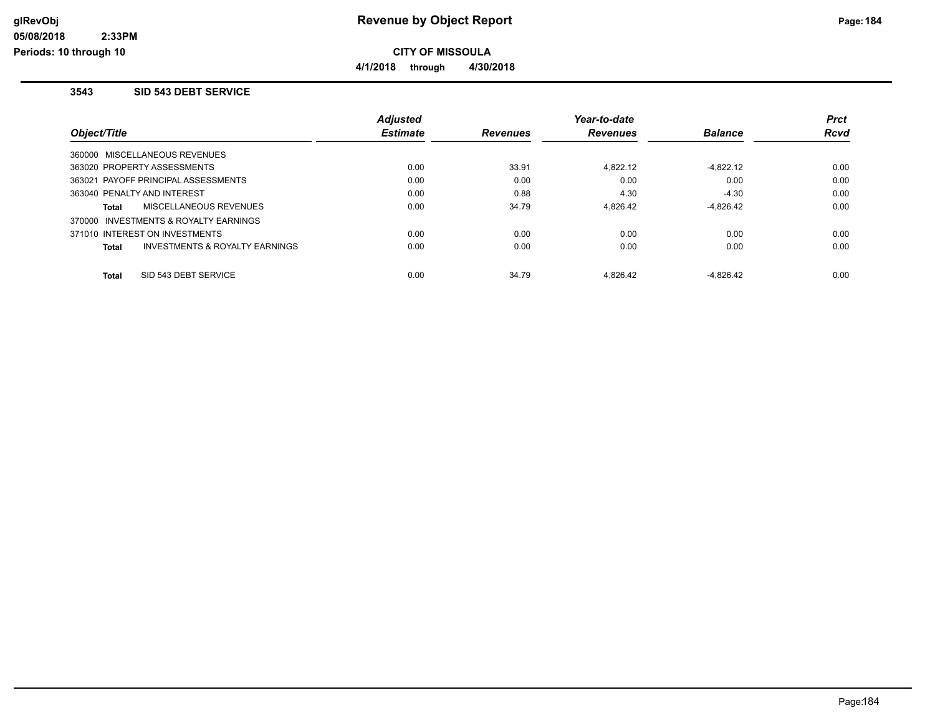**4/1/2018 through 4/30/2018**

#### **3543 SID 543 DEBT SERVICE**

|                                     |                                | <b>Adjusted</b> |                 | Year-to-date    |                | <b>Prct</b> |
|-------------------------------------|--------------------------------|-----------------|-----------------|-----------------|----------------|-------------|
| Object/Title                        |                                | <b>Estimate</b> | <b>Revenues</b> | <b>Revenues</b> | <b>Balance</b> | <b>Rcvd</b> |
| 360000 MISCELLANEOUS REVENUES       |                                |                 |                 |                 |                |             |
| 363020 PROPERTY ASSESSMENTS         |                                | 0.00            | 33.91           | 4.822.12        | $-4.822.12$    | 0.00        |
| 363021 PAYOFF PRINCIPAL ASSESSMENTS |                                | 0.00            | 0.00            | 0.00            | 0.00           | 0.00        |
| 363040 PENALTY AND INTEREST         |                                | 0.00            | 0.88            | 4.30            | $-4.30$        | 0.00        |
| Total                               | MISCELLANEOUS REVENUES         | 0.00            | 34.79           | 4.826.42        | $-4.826.42$    | 0.00        |
| 370000                              | INVESTMENTS & ROYALTY EARNINGS |                 |                 |                 |                |             |
| 371010 INTEREST ON INVESTMENTS      |                                | 0.00            | 0.00            | 0.00            | 0.00           | 0.00        |
| Total                               | INVESTMENTS & ROYALTY EARNINGS | 0.00            | 0.00            | 0.00            | 0.00           | 0.00        |
| <b>Total</b>                        | SID 543 DEBT SERVICE           | 0.00            | 34.79           | 4.826.42        | $-4.826.42$    | 0.00        |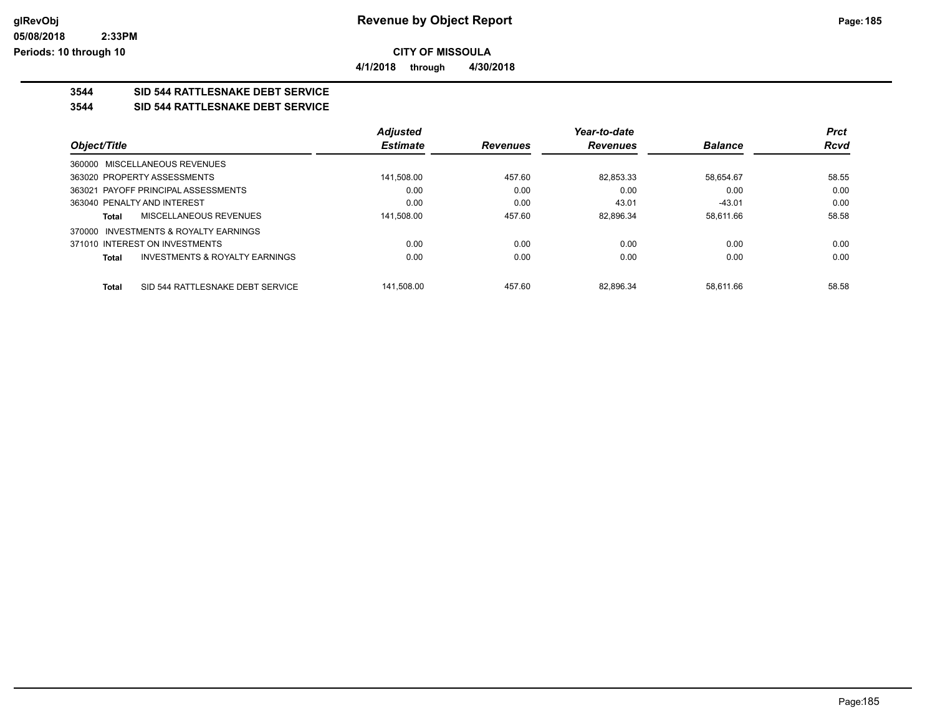**4/1/2018 through 4/30/2018**

# **3544 SID 544 RATTLESNAKE DEBT SERVICE**

### **3544 SID 544 RATTLESNAKE DEBT SERVICE**

|                                     |                                           | <b>Adjusted</b> |                 | Year-to-date    |                | <b>Prct</b> |
|-------------------------------------|-------------------------------------------|-----------------|-----------------|-----------------|----------------|-------------|
| Object/Title                        |                                           | <b>Estimate</b> | <b>Revenues</b> | <b>Revenues</b> | <b>Balance</b> | <b>Rcvd</b> |
| 360000 MISCELLANEOUS REVENUES       |                                           |                 |                 |                 |                |             |
| 363020 PROPERTY ASSESSMENTS         |                                           | 141,508.00      | 457.60          | 82,853.33       | 58,654.67      | 58.55       |
| 363021 PAYOFF PRINCIPAL ASSESSMENTS |                                           | 0.00            | 0.00            | 0.00            | 0.00           | 0.00        |
| 363040 PENALTY AND INTEREST         |                                           | 0.00            | 0.00            | 43.01           | $-43.01$       | 0.00        |
| Total                               | <b>MISCELLANEOUS REVENUES</b>             | 141,508.00      | 457.60          | 82.896.34       | 58.611.66      | 58.58       |
| 370000                              | INVESTMENTS & ROYALTY EARNINGS            |                 |                 |                 |                |             |
| 371010 INTEREST ON INVESTMENTS      |                                           | 0.00            | 0.00            | 0.00            | 0.00           | 0.00        |
| Total                               | <b>INVESTMENTS &amp; ROYALTY EARNINGS</b> | 0.00            | 0.00            | 0.00            | 0.00           | 0.00        |
| <b>Total</b>                        | SID 544 RATTLESNAKE DEBT SERVICE          | 141.508.00      | 457.60          | 82.896.34       | 58.611.66      | 58.58       |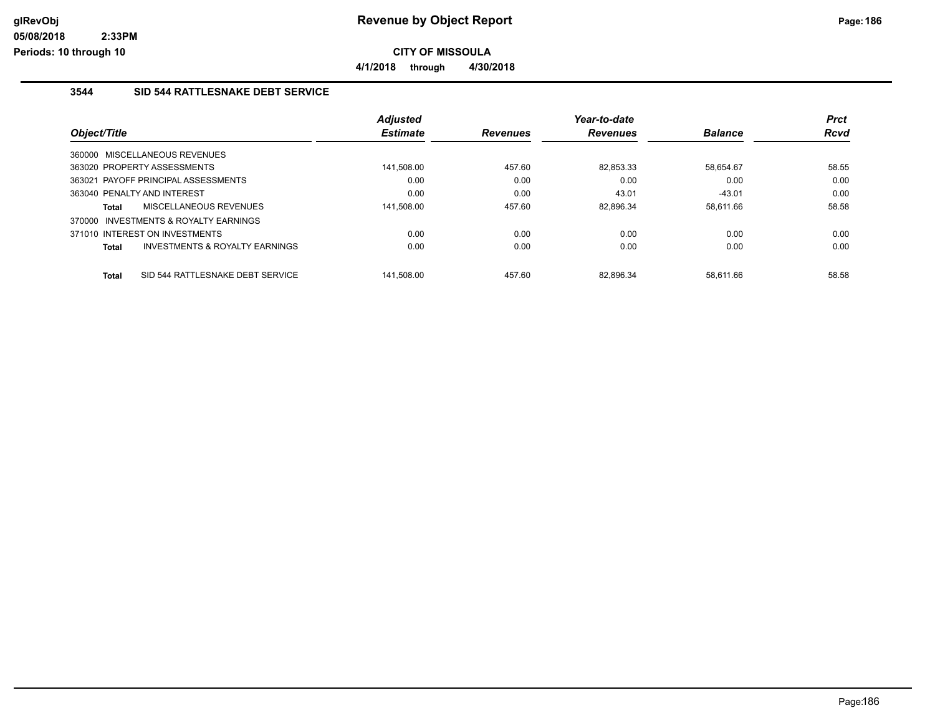**4/1/2018 through 4/30/2018**

#### **3544 SID 544 RATTLESNAKE DEBT SERVICE**

|              |                                       | <b>Adjusted</b> |                 | Year-to-date    |                | <b>Prct</b> |
|--------------|---------------------------------------|-----------------|-----------------|-----------------|----------------|-------------|
| Object/Title |                                       | <b>Estimate</b> | <b>Revenues</b> | <b>Revenues</b> | <b>Balance</b> | <b>Rcvd</b> |
|              | 360000 MISCELLANEOUS REVENUES         |                 |                 |                 |                |             |
|              | 363020 PROPERTY ASSESSMENTS           | 141,508.00      | 457.60          | 82.853.33       | 58,654.67      | 58.55       |
|              | 363021 PAYOFF PRINCIPAL ASSESSMENTS   | 0.00            | 0.00            | 0.00            | 0.00           | 0.00        |
|              | 363040 PENALTY AND INTEREST           | 0.00            | 0.00            | 43.01           | $-43.01$       | 0.00        |
| Total        | MISCELLANEOUS REVENUES                | 141.508.00      | 457.60          | 82.896.34       | 58.611.66      | 58.58       |
|              | 370000 INVESTMENTS & ROYALTY EARNINGS |                 |                 |                 |                |             |
|              | 371010 INTEREST ON INVESTMENTS        | 0.00            | 0.00            | 0.00            | 0.00           | 0.00        |
| <b>Total</b> | INVESTMENTS & ROYALTY EARNINGS        | 0.00            | 0.00            | 0.00            | 0.00           | 0.00        |
| <b>Total</b> | SID 544 RATTLESNAKE DEBT SERVICE      | 141.508.00      | 457.60          | 82.896.34       | 58.611.66      | 58.58       |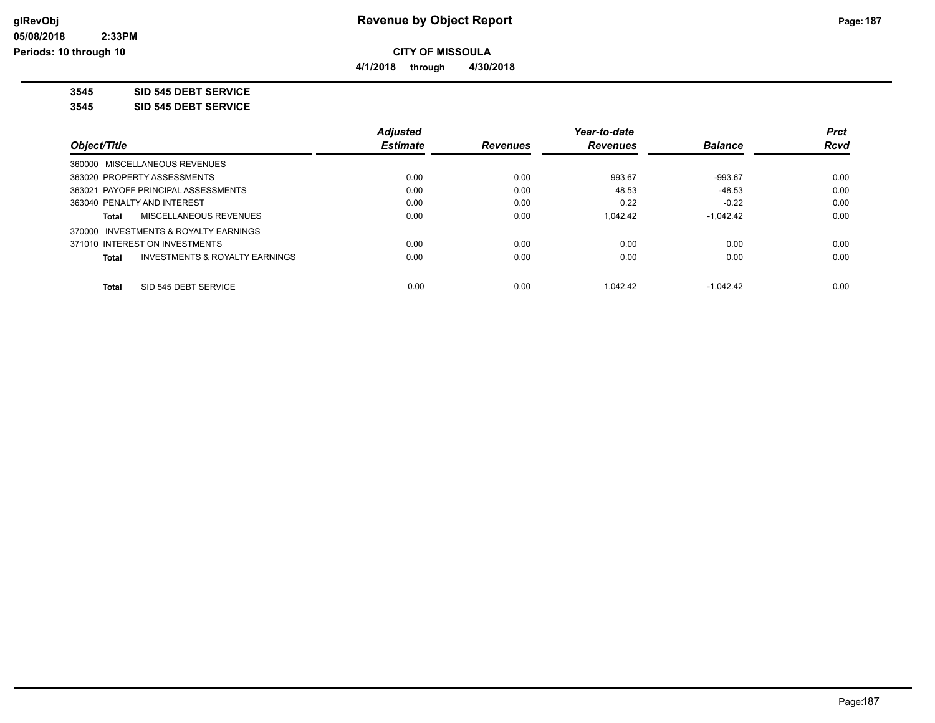**4/1/2018 through 4/30/2018**

**3545 SID 545 DEBT SERVICE**

**3545 SID 545 DEBT SERVICE**

| <b>Adjusted</b> |                 | Year-to-date    |                | <b>Prct</b> |
|-----------------|-----------------|-----------------|----------------|-------------|
| <b>Estimate</b> | <b>Revenues</b> | <b>Revenues</b> | <b>Balance</b> | <b>Rcvd</b> |
|                 |                 |                 |                |             |
| 0.00            | 0.00            | 993.67          | $-993.67$      | 0.00        |
| 0.00            | 0.00            | 48.53           | $-48.53$       | 0.00        |
| 0.00            | 0.00            | 0.22            | $-0.22$        | 0.00        |
| 0.00            | 0.00            | 1.042.42        | $-1.042.42$    | 0.00        |
|                 |                 |                 |                |             |
| 0.00            | 0.00            | 0.00            | 0.00           | 0.00        |
| 0.00            | 0.00            | 0.00            | 0.00           | 0.00        |
|                 |                 |                 |                | 0.00        |
|                 | 0.00            | 0.00            | 1.042.42       | $-1.042.42$ |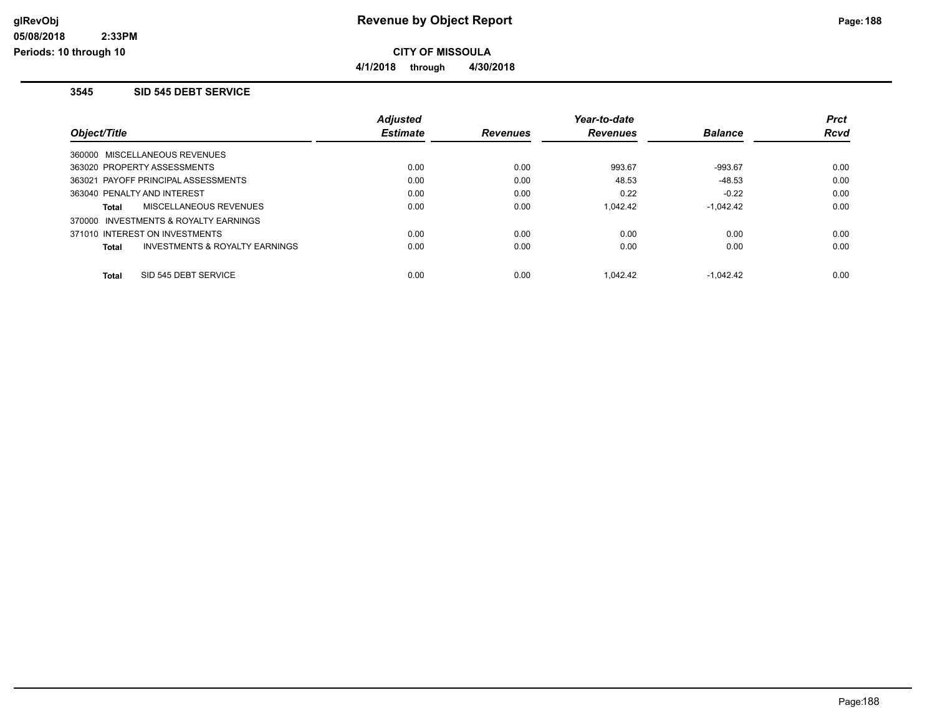**4/1/2018 through 4/30/2018**

#### **3545 SID 545 DEBT SERVICE**

|                                                    | <b>Adjusted</b> |                 | Year-to-date    |                | <b>Prct</b> |
|----------------------------------------------------|-----------------|-----------------|-----------------|----------------|-------------|
| Object/Title                                       | <b>Estimate</b> | <b>Revenues</b> | <b>Revenues</b> | <b>Balance</b> | <b>Rcvd</b> |
| 360000 MISCELLANEOUS REVENUES                      |                 |                 |                 |                |             |
| 363020 PROPERTY ASSESSMENTS                        | 0.00            | 0.00            | 993.67          | -993.67        | 0.00        |
| 363021 PAYOFF PRINCIPAL ASSESSMENTS                | 0.00            | 0.00            | 48.53           | $-48.53$       | 0.00        |
| 363040 PENALTY AND INTEREST                        | 0.00            | 0.00            | 0.22            | $-0.22$        | 0.00        |
| <b>MISCELLANEOUS REVENUES</b><br>Total             | 0.00            | 0.00            | 1.042.42        | $-1.042.42$    | 0.00        |
| 370000 INVESTMENTS & ROYALTY EARNINGS              |                 |                 |                 |                |             |
| 371010 INTEREST ON INVESTMENTS                     | 0.00            | 0.00            | 0.00            | 0.00           | 0.00        |
| <b>INVESTMENTS &amp; ROYALTY EARNINGS</b><br>Total | 0.00            | 0.00            | 0.00            | 0.00           | 0.00        |
| SID 545 DEBT SERVICE<br>Total                      | 0.00            | 0.00            | 1.042.42        | $-1.042.42$    | 0.00        |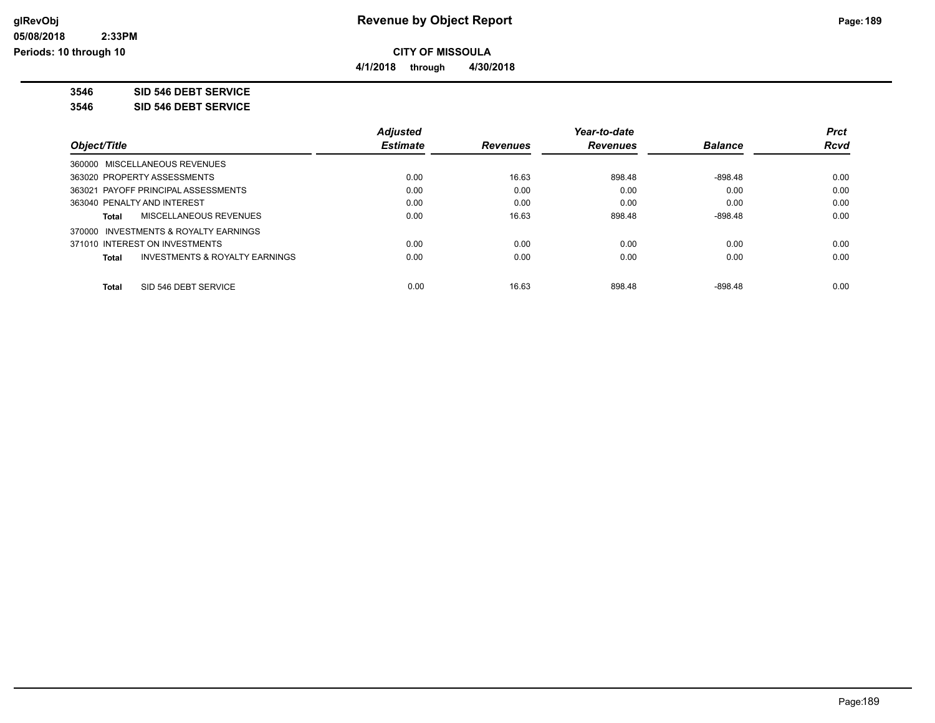**4/1/2018 through 4/30/2018**

**3546 SID 546 DEBT SERVICE**

**3546 SID 546 DEBT SERVICE**

|                                                    | <b>Adjusted</b> |                 | Year-to-date    |                | <b>Prct</b> |
|----------------------------------------------------|-----------------|-----------------|-----------------|----------------|-------------|
| Object/Title                                       | <b>Estimate</b> | <b>Revenues</b> | <b>Revenues</b> | <b>Balance</b> | <b>Rcvd</b> |
| 360000 MISCELLANEOUS REVENUES                      |                 |                 |                 |                |             |
| 363020 PROPERTY ASSESSMENTS                        | 0.00            | 16.63           | 898.48          | -898.48        | 0.00        |
| 363021 PAYOFF PRINCIPAL ASSESSMENTS                | 0.00            | 0.00            | 0.00            | 0.00           | 0.00        |
| 363040 PENALTY AND INTEREST                        | 0.00            | 0.00            | 0.00            | 0.00           | 0.00        |
| <b>MISCELLANEOUS REVENUES</b><br>Total             | 0.00            | 16.63           | 898.48          | $-898.48$      | 0.00        |
| 370000 INVESTMENTS & ROYALTY EARNINGS              |                 |                 |                 |                |             |
| 371010 INTEREST ON INVESTMENTS                     | 0.00            | 0.00            | 0.00            | 0.00           | 0.00        |
| <b>INVESTMENTS &amp; ROYALTY EARNINGS</b><br>Total | 0.00            | 0.00            | 0.00            | 0.00           | 0.00        |
| SID 546 DEBT SERVICE<br>Total                      | 0.00            | 16.63           | 898.48          | $-898.48$      | 0.00        |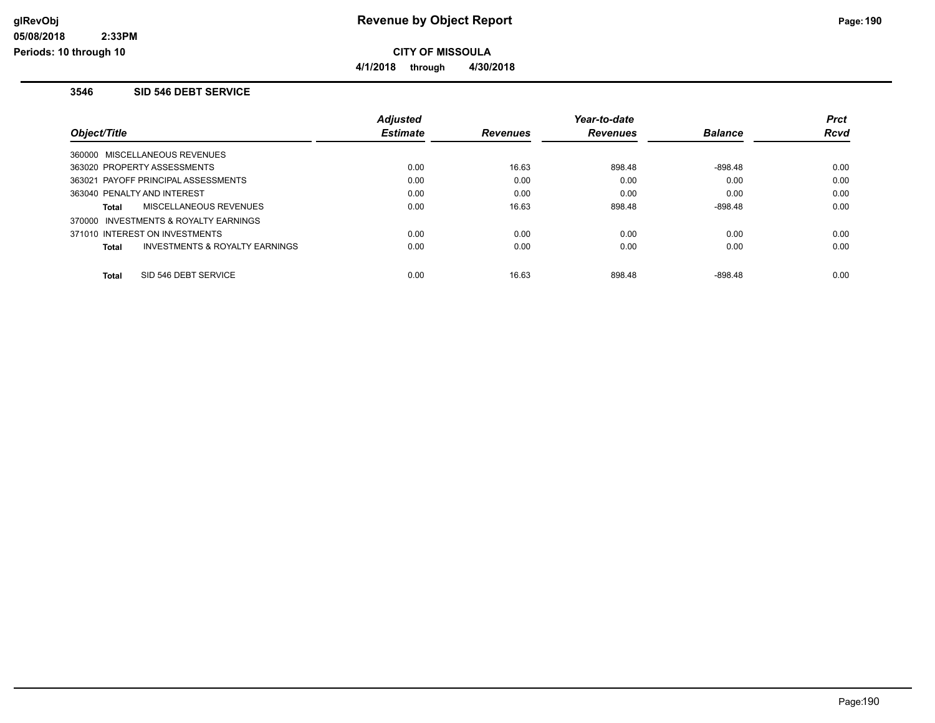**4/1/2018 through 4/30/2018**

#### **3546 SID 546 DEBT SERVICE**

|                                                    | <b>Adjusted</b> |                 | Year-to-date    |                | <b>Prct</b> |
|----------------------------------------------------|-----------------|-----------------|-----------------|----------------|-------------|
| <b>Object/Title</b>                                | <b>Estimate</b> | <b>Revenues</b> | <b>Revenues</b> | <b>Balance</b> | <b>Rcvd</b> |
| 360000 MISCELLANEOUS REVENUES                      |                 |                 |                 |                |             |
| 363020 PROPERTY ASSESSMENTS                        | 0.00            | 16.63           | 898.48          | -898.48        | 0.00        |
| 363021 PAYOFF PRINCIPAL ASSESSMENTS                | 0.00            | 0.00            | 0.00            | 0.00           | 0.00        |
| 363040 PENALTY AND INTEREST                        | 0.00            | 0.00            | 0.00            | 0.00           | 0.00        |
| <b>MISCELLANEOUS REVENUES</b><br>Total             | 0.00            | 16.63           | 898.48          | $-898.48$      | 0.00        |
| 370000 INVESTMENTS & ROYALTY EARNINGS              |                 |                 |                 |                |             |
| 371010 INTEREST ON INVESTMENTS                     | 0.00            | 0.00            | 0.00            | 0.00           | 0.00        |
| <b>INVESTMENTS &amp; ROYALTY EARNINGS</b><br>Total | 0.00            | 0.00            | 0.00            | 0.00           | 0.00        |
| SID 546 DEBT SERVICE<br>Total                      | 0.00            | 16.63           | 898.48          | $-898.48$      | 0.00        |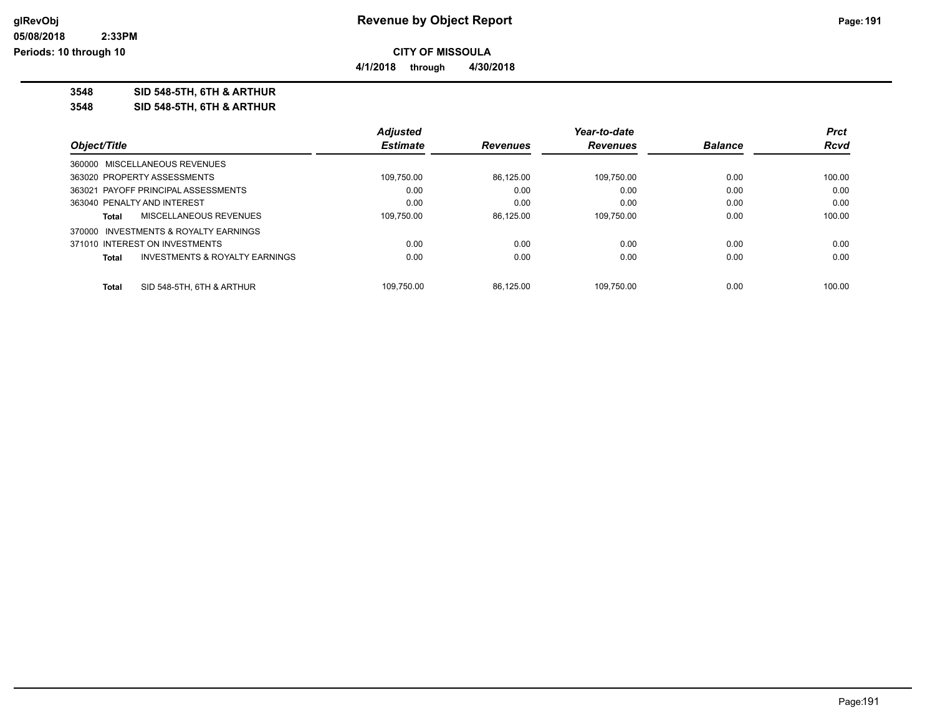**4/1/2018 through 4/30/2018**

**3548 SID 548-5TH, 6TH & ARTHUR**

**3548 SID 548-5TH, 6TH & ARTHUR**

|              |                                           | <b>Adjusted</b> |                 | Year-to-date    |                | <b>Prct</b> |
|--------------|-------------------------------------------|-----------------|-----------------|-----------------|----------------|-------------|
| Object/Title |                                           | <b>Estimate</b> | <b>Revenues</b> | <b>Revenues</b> | <b>Balance</b> | <b>Rcvd</b> |
|              | 360000 MISCELLANEOUS REVENUES             |                 |                 |                 |                |             |
|              | 363020 PROPERTY ASSESSMENTS               | 109,750.00      | 86,125.00       | 109,750.00      | 0.00           | 100.00      |
|              | 363021 PAYOFF PRINCIPAL ASSESSMENTS       | 0.00            | 0.00            | 0.00            | 0.00           | 0.00        |
|              | 363040 PENALTY AND INTEREST               | 0.00            | 0.00            | 0.00            | 0.00           | 0.00        |
| Total        | MISCELLANEOUS REVENUES                    | 109,750.00      | 86.125.00       | 109.750.00      | 0.00           | 100.00      |
|              | 370000 INVESTMENTS & ROYALTY EARNINGS     |                 |                 |                 |                |             |
|              | 371010 INTEREST ON INVESTMENTS            | 0.00            | 0.00            | 0.00            | 0.00           | 0.00        |
| Total        | <b>INVESTMENTS &amp; ROYALTY EARNINGS</b> | 0.00            | 0.00            | 0.00            | 0.00           | 0.00        |
| <b>Total</b> | SID 548-5TH, 6TH & ARTHUR                 | 109.750.00      | 86.125.00       | 109.750.00      | 0.00           | 100.00      |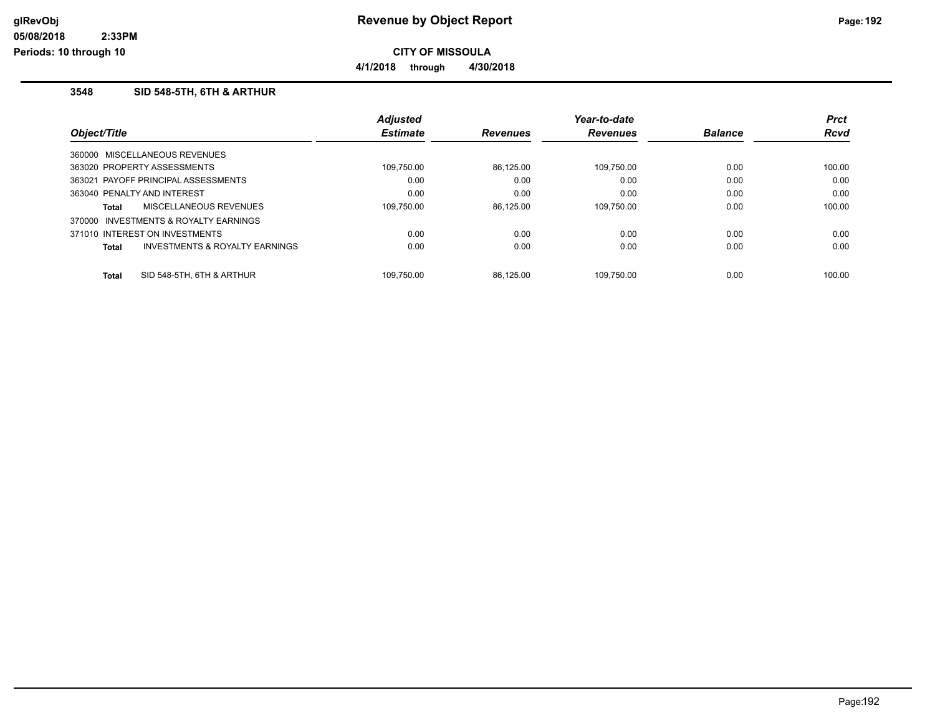**4/1/2018 through 4/30/2018**

### **3548 SID 548-5TH, 6TH & ARTHUR**

|                             |                                           | <b>Adjusted</b> |                 | Year-to-date    |                | <b>Prct</b> |
|-----------------------------|-------------------------------------------|-----------------|-----------------|-----------------|----------------|-------------|
| Object/Title                |                                           | <b>Estimate</b> | <b>Revenues</b> | <b>Revenues</b> | <b>Balance</b> | <b>Rcvd</b> |
|                             | 360000 MISCELLANEOUS REVENUES             |                 |                 |                 |                |             |
| 363020 PROPERTY ASSESSMENTS |                                           | 109,750.00      | 86.125.00       | 109.750.00      | 0.00           | 100.00      |
|                             | 363021 PAYOFF PRINCIPAL ASSESSMENTS       | 0.00            | 0.00            | 0.00            | 0.00           | 0.00        |
| 363040 PENALTY AND INTEREST |                                           | 0.00            | 0.00            | 0.00            | 0.00           | 0.00        |
| Total                       | MISCELLANEOUS REVENUES                    | 109,750.00      | 86.125.00       | 109.750.00      | 0.00           | 100.00      |
|                             | 370000 INVESTMENTS & ROYALTY EARNINGS     |                 |                 |                 |                |             |
|                             | 371010 INTEREST ON INVESTMENTS            | 0.00            | 0.00            | 0.00            | 0.00           | 0.00        |
| Total                       | <b>INVESTMENTS &amp; ROYALTY EARNINGS</b> | 0.00            | 0.00            | 0.00            | 0.00           | 0.00        |
| <b>Total</b>                | SID 548-5TH, 6TH & ARTHUR                 | 109.750.00      | 86.125.00       | 109.750.00      | 0.00           | 100.00      |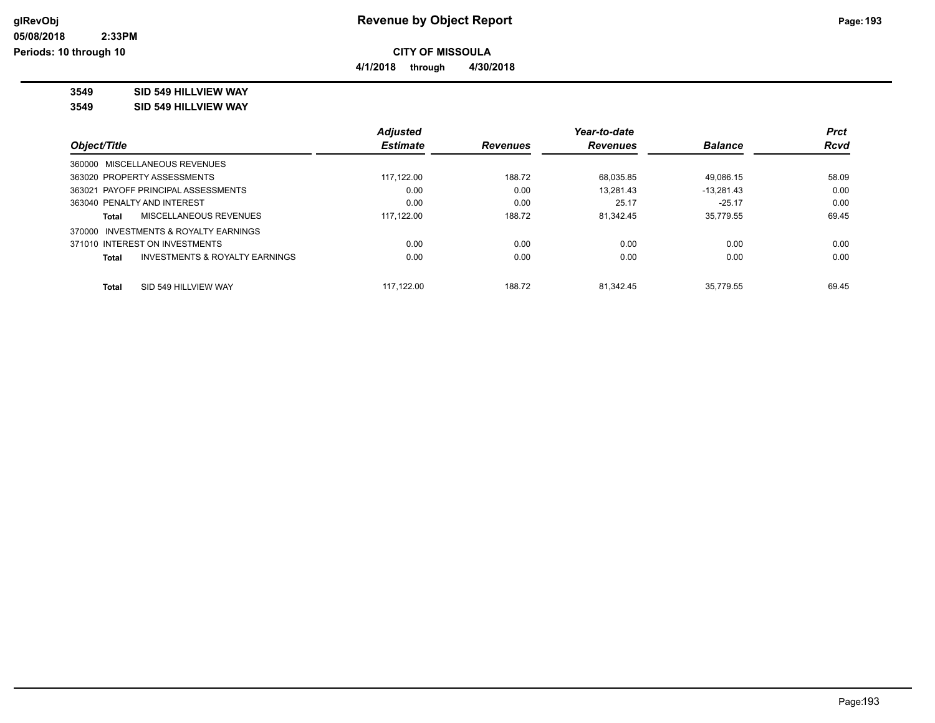**4/1/2018 through 4/30/2018**

#### **3549 SID 549 HILLVIEW WAY**

#### **3549 SID 549 HILLVIEW WAY**

|                                                           | <b>Adjusted</b> |                 | Year-to-date    |                | <b>Prct</b> |
|-----------------------------------------------------------|-----------------|-----------------|-----------------|----------------|-------------|
| Object/Title                                              | <b>Estimate</b> | <b>Revenues</b> | <b>Revenues</b> | <b>Balance</b> | <b>Rcvd</b> |
| 360000 MISCELLANEOUS REVENUES                             |                 |                 |                 |                |             |
| 363020 PROPERTY ASSESSMENTS                               | 117.122.00      | 188.72          | 68.035.85       | 49.086.15      | 58.09       |
| 363021 PAYOFF PRINCIPAL ASSESSMENTS                       | 0.00            | 0.00            | 13,281.43       | $-13,281.43$   | 0.00        |
| 363040 PENALTY AND INTEREST                               | 0.00            | 0.00            | 25.17           | $-25.17$       | 0.00        |
| MISCELLANEOUS REVENUES<br>Total                           | 117.122.00      | 188.72          | 81.342.45       | 35.779.55      | 69.45       |
| 370000 INVESTMENTS & ROYALTY EARNINGS                     |                 |                 |                 |                |             |
| 371010 INTEREST ON INVESTMENTS                            | 0.00            | 0.00            | 0.00            | 0.00           | 0.00        |
| <b>INVESTMENTS &amp; ROYALTY EARNINGS</b><br><b>Total</b> | 0.00            | 0.00            | 0.00            | 0.00           | 0.00        |
|                                                           |                 |                 |                 |                |             |
| SID 549 HILLVIEW WAY<br><b>Total</b>                      | 117.122.00      | 188.72          | 81.342.45       | 35.779.55      | 69.45       |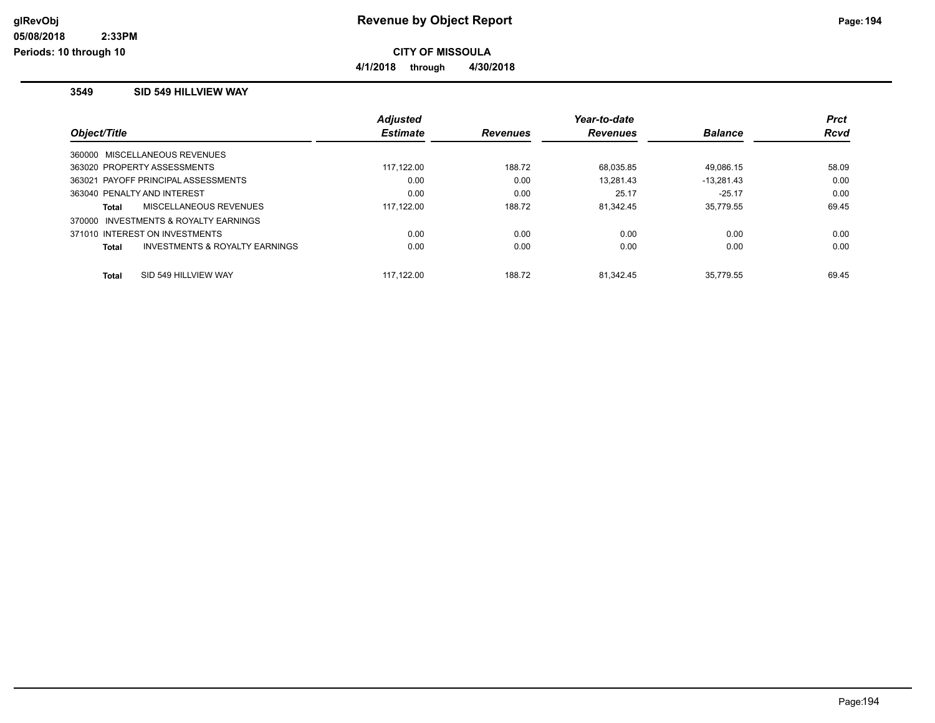**4/1/2018 through 4/30/2018**

#### **3549 SID 549 HILLVIEW WAY**

|                                     |                                | <b>Adjusted</b> |                 | Year-to-date    |                | <b>Prct</b> |
|-------------------------------------|--------------------------------|-----------------|-----------------|-----------------|----------------|-------------|
| Object/Title                        |                                | <b>Estimate</b> | <b>Revenues</b> | <b>Revenues</b> | <b>Balance</b> | <b>Rcvd</b> |
| 360000 MISCELLANEOUS REVENUES       |                                |                 |                 |                 |                |             |
| 363020 PROPERTY ASSESSMENTS         |                                | 117.122.00      | 188.72          | 68,035.85       | 49,086.15      | 58.09       |
| 363021 PAYOFF PRINCIPAL ASSESSMENTS |                                | 0.00            | 0.00            | 13.281.43       | $-13.281.43$   | 0.00        |
| 363040 PENALTY AND INTEREST         |                                | 0.00            | 0.00            | 25.17           | $-25.17$       | 0.00        |
| <b>Total</b>                        | MISCELLANEOUS REVENUES         | 117.122.00      | 188.72          | 81.342.45       | 35.779.55      | 69.45       |
| 370000                              | INVESTMENTS & ROYALTY EARNINGS |                 |                 |                 |                |             |
| 371010 INTEREST ON INVESTMENTS      |                                | 0.00            | 0.00            | 0.00            | 0.00           | 0.00        |
| <b>Total</b>                        | INVESTMENTS & ROYALTY EARNINGS | 0.00            | 0.00            | 0.00            | 0.00           | 0.00        |
| <b>Total</b>                        | SID 549 HILLVIEW WAY           | 117.122.00      | 188.72          | 81.342.45       | 35.779.55      | 69.45       |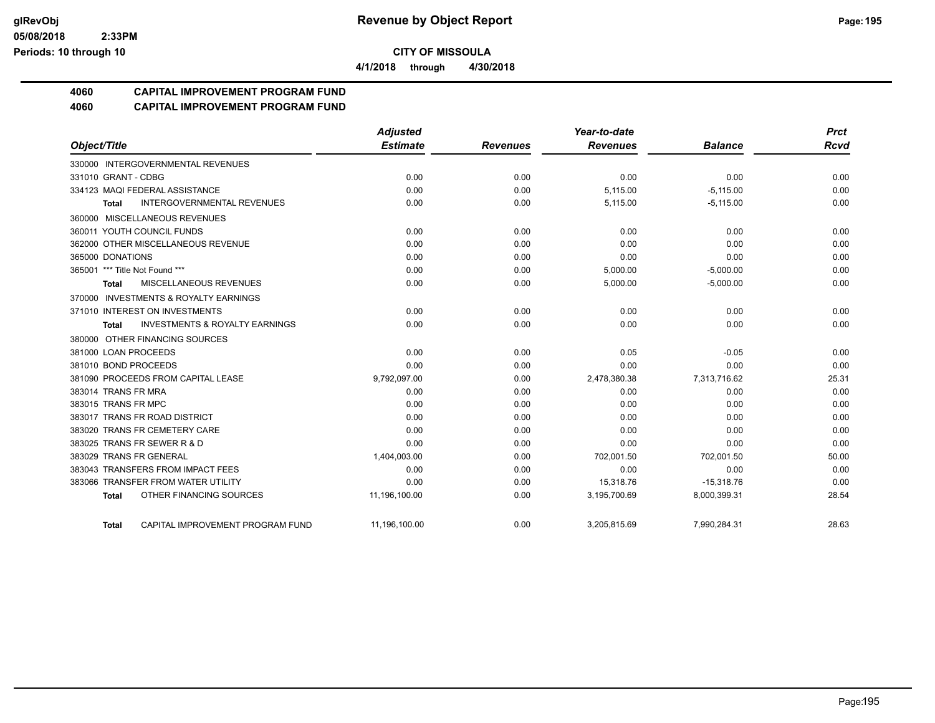**4/1/2018 through 4/30/2018**

# **4060 CAPITAL IMPROVEMENT PROGRAM FUND**

## **4060 CAPITAL IMPROVEMENT PROGRAM FUND**

|                                                     | <b>Adjusted</b> |                 | Year-to-date    |                | <b>Prct</b> |
|-----------------------------------------------------|-----------------|-----------------|-----------------|----------------|-------------|
| Object/Title                                        | <b>Estimate</b> | <b>Revenues</b> | <b>Revenues</b> | <b>Balance</b> | <b>Rcvd</b> |
| 330000 INTERGOVERNMENTAL REVENUES                   |                 |                 |                 |                |             |
| 331010 GRANT - CDBG                                 | 0.00            | 0.00            | 0.00            | 0.00           | 0.00        |
| 334123 MAQI FEDERAL ASSISTANCE                      | 0.00            | 0.00            | 5,115.00        | $-5,115.00$    | 0.00        |
| <b>INTERGOVERNMENTAL REVENUES</b><br><b>Total</b>   | 0.00            | 0.00            | 5,115.00        | $-5,115.00$    | 0.00        |
| 360000 MISCELLANEOUS REVENUES                       |                 |                 |                 |                |             |
| 360011 YOUTH COUNCIL FUNDS                          | 0.00            | 0.00            | 0.00            | 0.00           | 0.00        |
| 362000 OTHER MISCELLANEOUS REVENUE                  | 0.00            | 0.00            | 0.00            | 0.00           | 0.00        |
| 365000 DONATIONS                                    | 0.00            | 0.00            | 0.00            | 0.00           | 0.00        |
| 365001 *** Title Not Found ***                      | 0.00            | 0.00            | 5.000.00        | $-5,000.00$    | 0.00        |
| MISCELLANEOUS REVENUES<br>Total                     | 0.00            | 0.00            | 5,000.00        | $-5,000.00$    | 0.00        |
| <b>INVESTMENTS &amp; ROYALTY EARNINGS</b><br>370000 |                 |                 |                 |                |             |
| 371010 INTEREST ON INVESTMENTS                      | 0.00            | 0.00            | 0.00            | 0.00           | 0.00        |
| <b>INVESTMENTS &amp; ROYALTY EARNINGS</b><br>Total  | 0.00            | 0.00            | 0.00            | 0.00           | 0.00        |
| 380000 OTHER FINANCING SOURCES                      |                 |                 |                 |                |             |
| 381000 LOAN PROCEEDS                                | 0.00            | 0.00            | 0.05            | $-0.05$        | 0.00        |
| 381010 BOND PROCEEDS                                | 0.00            | 0.00            | 0.00            | 0.00           | 0.00        |
| 381090 PROCEEDS FROM CAPITAL LEASE                  | 9,792,097.00    | 0.00            | 2,478,380.38    | 7,313,716.62   | 25.31       |
| 383014 TRANS FR MRA                                 | 0.00            | 0.00            | 0.00            | 0.00           | 0.00        |
| 383015 TRANS FR MPC                                 | 0.00            | 0.00            | 0.00            | 0.00           | 0.00        |
| 383017 TRANS FR ROAD DISTRICT                       | 0.00            | 0.00            | 0.00            | 0.00           | 0.00        |
| 383020 TRANS FR CEMETERY CARE                       | 0.00            | 0.00            | 0.00            | 0.00           | 0.00        |
| 383025 TRANS FR SEWER R & D                         | 0.00            | 0.00            | 0.00            | 0.00           | 0.00        |
| 383029 TRANS FR GENERAL                             | 1,404,003.00    | 0.00            | 702,001.50      | 702,001.50     | 50.00       |
| 383043 TRANSFERS FROM IMPACT FEES                   | 0.00            | 0.00            | 0.00            | 0.00           | 0.00        |
| 383066 TRANSFER FROM WATER UTILITY                  | 0.00            | 0.00            | 15,318.76       | $-15,318.76$   | 0.00        |
| OTHER FINANCING SOURCES<br><b>Total</b>             | 11,196,100.00   | 0.00            | 3,195,700.69    | 8,000,399.31   | 28.54       |
| CAPITAL IMPROVEMENT PROGRAM FUND<br>Total           | 11,196,100.00   | 0.00            | 3,205,815.69    | 7.990.284.31   | 28.63       |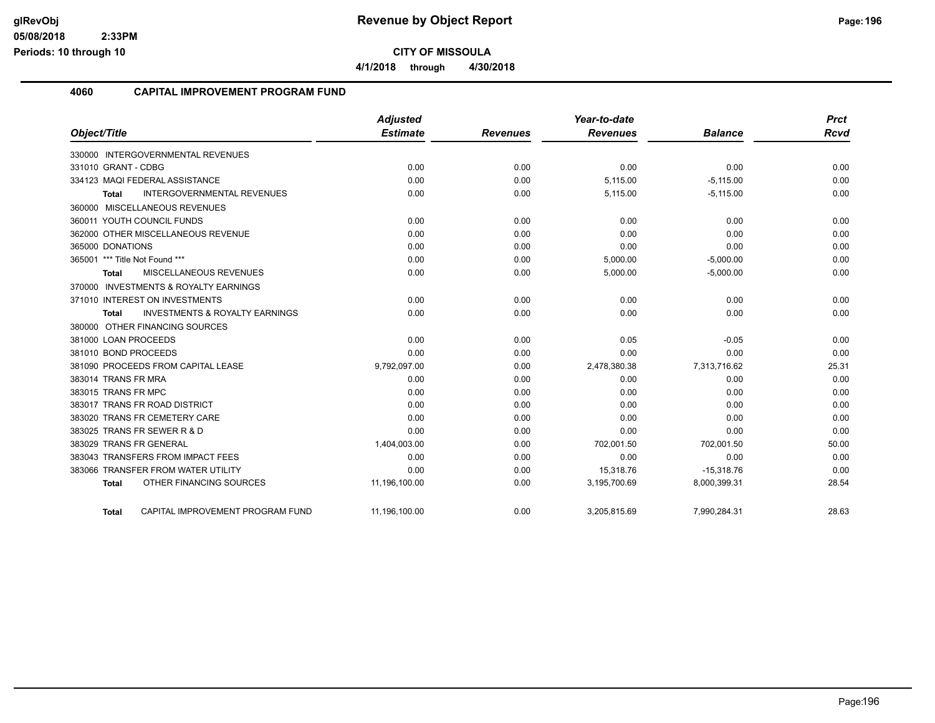**4/1/2018 through 4/30/2018**

#### **4060 CAPITAL IMPROVEMENT PROGRAM FUND**

|                                                           | <b>Adjusted</b> |                 | Year-to-date    |                | <b>Prct</b> |
|-----------------------------------------------------------|-----------------|-----------------|-----------------|----------------|-------------|
| Object/Title                                              | <b>Estimate</b> | <b>Revenues</b> | <b>Revenues</b> | <b>Balance</b> | <b>Rcvd</b> |
| 330000 INTERGOVERNMENTAL REVENUES                         |                 |                 |                 |                |             |
| 331010 GRANT - CDBG                                       | 0.00            | 0.00            | 0.00            | 0.00           | 0.00        |
| 334123 MAQI FEDERAL ASSISTANCE                            | 0.00            | 0.00            | 5,115.00        | $-5,115.00$    | 0.00        |
| <b>INTERGOVERNMENTAL REVENUES</b><br><b>Total</b>         | 0.00            | 0.00            | 5,115.00        | $-5,115.00$    | 0.00        |
| 360000 MISCELLANEOUS REVENUES                             |                 |                 |                 |                |             |
| 360011 YOUTH COUNCIL FUNDS                                | 0.00            | 0.00            | 0.00            | 0.00           | 0.00        |
| 362000 OTHER MISCELLANEOUS REVENUE                        | 0.00            | 0.00            | 0.00            | 0.00           | 0.00        |
| 365000 DONATIONS                                          | 0.00            | 0.00            | 0.00            | 0.00           | 0.00        |
| 365001 *** Title Not Found ***                            | 0.00            | 0.00            | 5,000.00        | $-5,000.00$    | 0.00        |
| <b>MISCELLANEOUS REVENUES</b><br>Total                    | 0.00            | 0.00            | 5,000.00        | $-5,000.00$    | 0.00        |
| 370000 INVESTMENTS & ROYALTY EARNINGS                     |                 |                 |                 |                |             |
| 371010 INTEREST ON INVESTMENTS                            | 0.00            | 0.00            | 0.00            | 0.00           | 0.00        |
| <b>INVESTMENTS &amp; ROYALTY EARNINGS</b><br><b>Total</b> | 0.00            | 0.00            | 0.00            | 0.00           | 0.00        |
| 380000 OTHER FINANCING SOURCES                            |                 |                 |                 |                |             |
| 381000 LOAN PROCEEDS                                      | 0.00            | 0.00            | 0.05            | $-0.05$        | 0.00        |
| 381010 BOND PROCEEDS                                      | 0.00            | 0.00            | 0.00            | 0.00           | 0.00        |
| 381090 PROCEEDS FROM CAPITAL LEASE                        | 9,792,097.00    | 0.00            | 2,478,380.38    | 7,313,716.62   | 25.31       |
| 383014 TRANS FR MRA                                       | 0.00            | 0.00            | 0.00            | 0.00           | 0.00        |
| 383015 TRANS FR MPC                                       | 0.00            | 0.00            | 0.00            | 0.00           | 0.00        |
| 383017 TRANS FR ROAD DISTRICT                             | 0.00            | 0.00            | 0.00            | 0.00           | 0.00        |
| 383020 TRANS FR CEMETERY CARE                             | 0.00            | 0.00            | 0.00            | 0.00           | 0.00        |
| 383025 TRANS FR SEWER R & D                               | 0.00            | 0.00            | 0.00            | 0.00           | 0.00        |
| 383029 TRANS FR GENERAL                                   | 1,404,003.00    | 0.00            | 702,001.50      | 702,001.50     | 50.00       |
| 383043 TRANSFERS FROM IMPACT FEES                         | 0.00            | 0.00            | 0.00            | 0.00           | 0.00        |
| 383066 TRANSFER FROM WATER UTILITY                        | 0.00            | 0.00            | 15,318.76       | $-15,318.76$   | 0.00        |
| OTHER FINANCING SOURCES<br><b>Total</b>                   | 11,196,100.00   | 0.00            | 3,195,700.69    | 8,000,399.31   | 28.54       |
| CAPITAL IMPROVEMENT PROGRAM FUND<br><b>Total</b>          | 11,196,100.00   | 0.00            | 3,205,815.69    | 7,990,284.31   | 28.63       |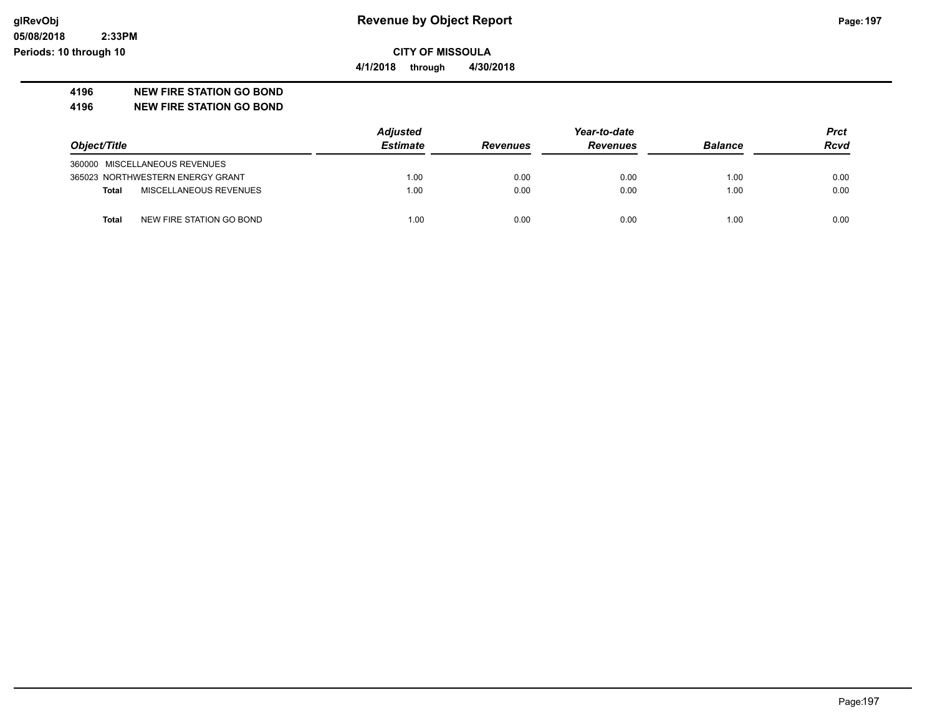**05/08/2018 2:33PM Periods: 10 through 10**

**CITY OF MISSOULA**

**4/1/2018 through 4/30/2018**

### **4196 NEW FIRE STATION GO BOND**

**4196 NEW FIRE STATION GO BOND**

|              |                                  | <b>Adjusted</b> |                 |                 | <b>Prct</b>    |             |
|--------------|----------------------------------|-----------------|-----------------|-----------------|----------------|-------------|
| Object/Title |                                  | <b>Estimate</b> | <b>Revenues</b> | <b>Revenues</b> | <b>Balance</b> | <b>Rcvd</b> |
|              | 360000 MISCELLANEOUS REVENUES    |                 |                 |                 |                |             |
|              | 365023 NORTHWESTERN ENERGY GRANT | 1.00            | 0.00            | 0.00            | 1.00           | 0.00        |
| Total        | <b>MISCELLANEOUS REVENUES</b>    | 1.00            | 0.00            | 0.00            | 1.00           | 0.00        |
| <b>Total</b> | NEW FIRE STATION GO BOND         | 1.00            | 0.00            | 0.00            | 1.00           | 0.00        |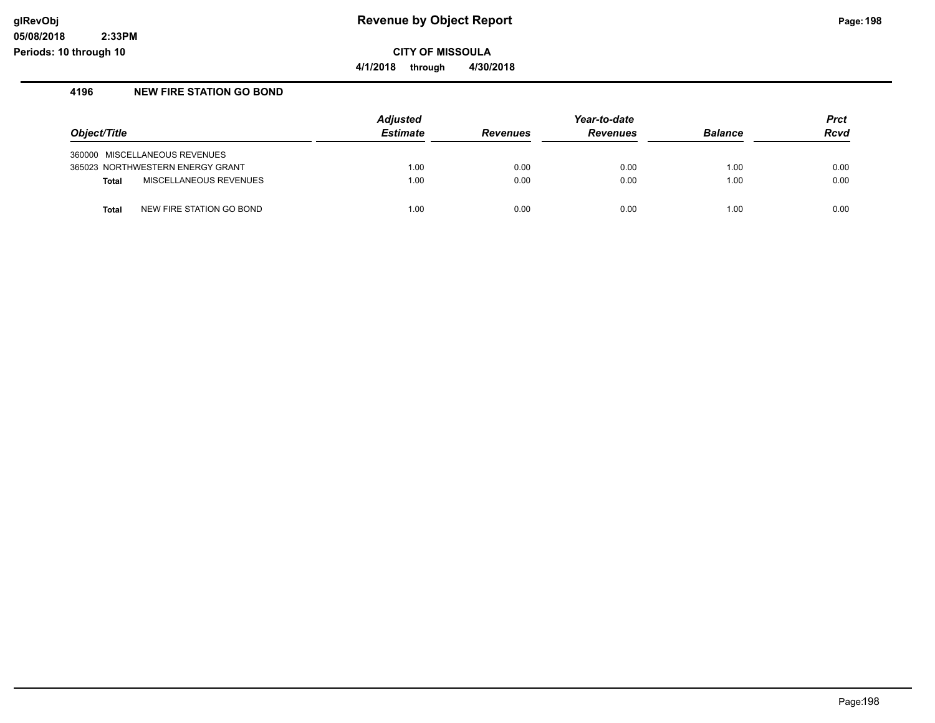**4/1/2018 through 4/30/2018**

#### **4196 NEW FIRE STATION GO BOND**

| Object/Title                             | <b>Adjusted</b><br><b>Estimate</b> | <b>Revenues</b> | Year-to-date<br><b>Revenues</b> | <b>Balance</b> | <b>Prct</b><br><b>Rcvd</b> |
|------------------------------------------|------------------------------------|-----------------|---------------------------------|----------------|----------------------------|
| 360000 MISCELLANEOUS REVENUES            |                                    |                 |                                 |                |                            |
| 365023 NORTHWESTERN ENERGY GRANT         | 1.00                               | 0.00            | 0.00                            | 1.00           | 0.00                       |
| MISCELLANEOUS REVENUES<br><b>Total</b>   | 1.00                               | 0.00            | 0.00                            | 1.00           | 0.00                       |
| <b>Total</b><br>NEW FIRE STATION GO BOND | 1.00                               | 0.00            | 0.00                            | 1.00           | 0.00                       |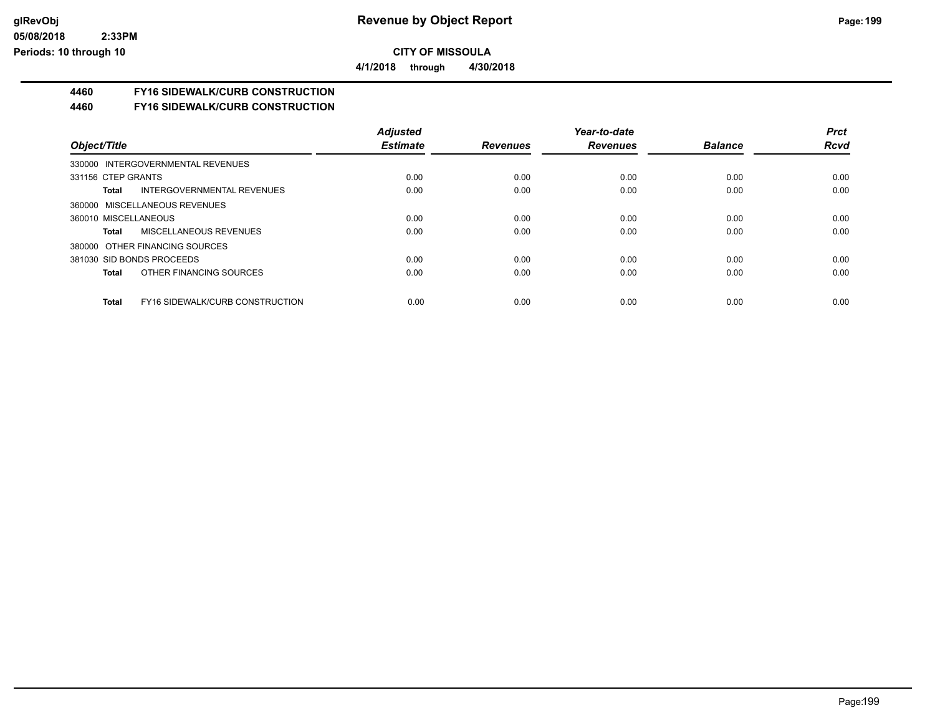**4/1/2018 through 4/30/2018**

# **4460 FY16 SIDEWALK/CURB CONSTRUCTION**

**4460 FY16 SIDEWALK/CURB CONSTRUCTION**

|                                                        | <b>Adjusted</b> |                 | Year-to-date    |                | <b>Prct</b> |
|--------------------------------------------------------|-----------------|-----------------|-----------------|----------------|-------------|
| Object/Title                                           | <b>Estimate</b> | <b>Revenues</b> | <b>Revenues</b> | <b>Balance</b> | <b>Rcvd</b> |
| 330000 INTERGOVERNMENTAL REVENUES                      |                 |                 |                 |                |             |
| 331156 CTEP GRANTS                                     | 0.00            | 0.00            | 0.00            | 0.00           | 0.00        |
| INTERGOVERNMENTAL REVENUES<br>Total                    | 0.00            | 0.00            | 0.00            | 0.00           | 0.00        |
| 360000 MISCELLANEOUS REVENUES                          |                 |                 |                 |                |             |
| 360010 MISCELLANEOUS                                   | 0.00            | 0.00            | 0.00            | 0.00           | 0.00        |
| MISCELLANEOUS REVENUES<br>Total                        | 0.00            | 0.00            | 0.00            | 0.00           | 0.00        |
| 380000 OTHER FINANCING SOURCES                         |                 |                 |                 |                |             |
| 381030 SID BONDS PROCEEDS                              | 0.00            | 0.00            | 0.00            | 0.00           | 0.00        |
| OTHER FINANCING SOURCES<br>Total                       | 0.00            | 0.00            | 0.00            | 0.00           | 0.00        |
|                                                        |                 |                 |                 |                |             |
| <b>FY16 SIDEWALK/CURB CONSTRUCTION</b><br><b>Total</b> | 0.00            | 0.00            | 0.00            | 0.00           | 0.00        |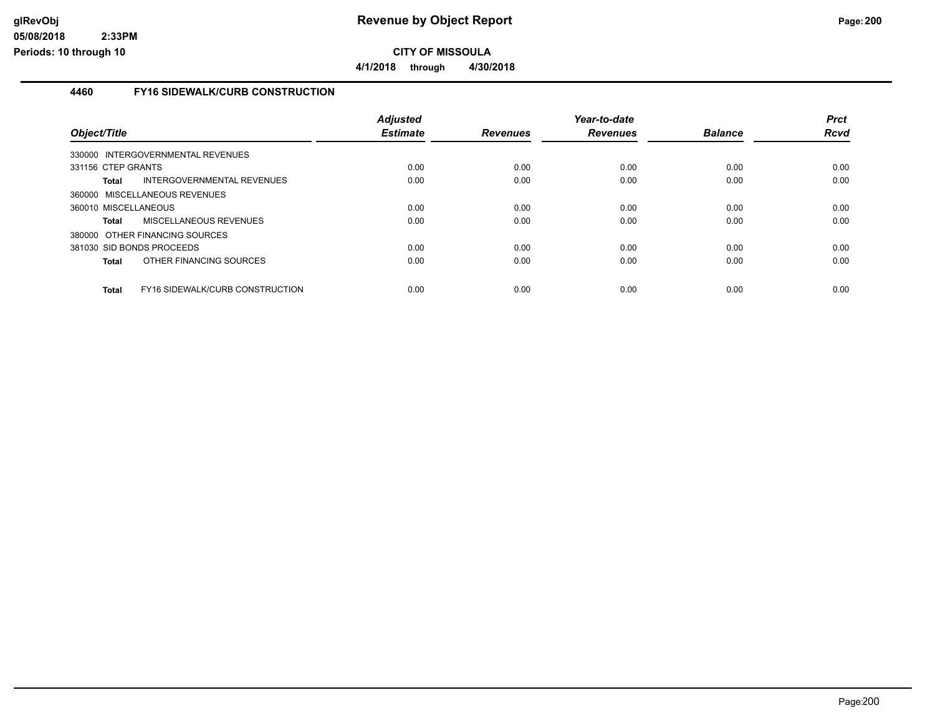**4/1/2018 through 4/30/2018**

#### **4460 FY16 SIDEWALK/CURB CONSTRUCTION**

| Object/Title                                    | <b>Adjusted</b><br><b>Estimate</b> | <b>Revenues</b> | Year-to-date<br><b>Revenues</b> | <b>Balance</b> | <b>Prct</b><br><b>Rcvd</b> |
|-------------------------------------------------|------------------------------------|-----------------|---------------------------------|----------------|----------------------------|
| 330000 INTERGOVERNMENTAL REVENUES               |                                    |                 |                                 |                |                            |
| 331156 CTEP GRANTS                              | 0.00                               | 0.00            | 0.00                            | 0.00           | 0.00                       |
| INTERGOVERNMENTAL REVENUES<br><b>Total</b>      | 0.00                               | 0.00            | 0.00                            | 0.00           | 0.00                       |
| 360000 MISCELLANEOUS REVENUES                   |                                    |                 |                                 |                |                            |
| 360010 MISCELLANEOUS                            | 0.00                               | 0.00            | 0.00                            | 0.00           | 0.00                       |
| MISCELLANEOUS REVENUES<br><b>Total</b>          | 0.00                               | 0.00            | 0.00                            | 0.00           | 0.00                       |
| 380000 OTHER FINANCING SOURCES                  |                                    |                 |                                 |                |                            |
| 381030 SID BONDS PROCEEDS                       | 0.00                               | 0.00            | 0.00                            | 0.00           | 0.00                       |
| OTHER FINANCING SOURCES<br><b>Total</b>         | 0.00                               | 0.00            | 0.00                            | 0.00           | 0.00                       |
| FY16 SIDEWALK/CURB CONSTRUCTION<br><b>Total</b> | 0.00                               | 0.00            | 0.00                            | 0.00           | 0.00                       |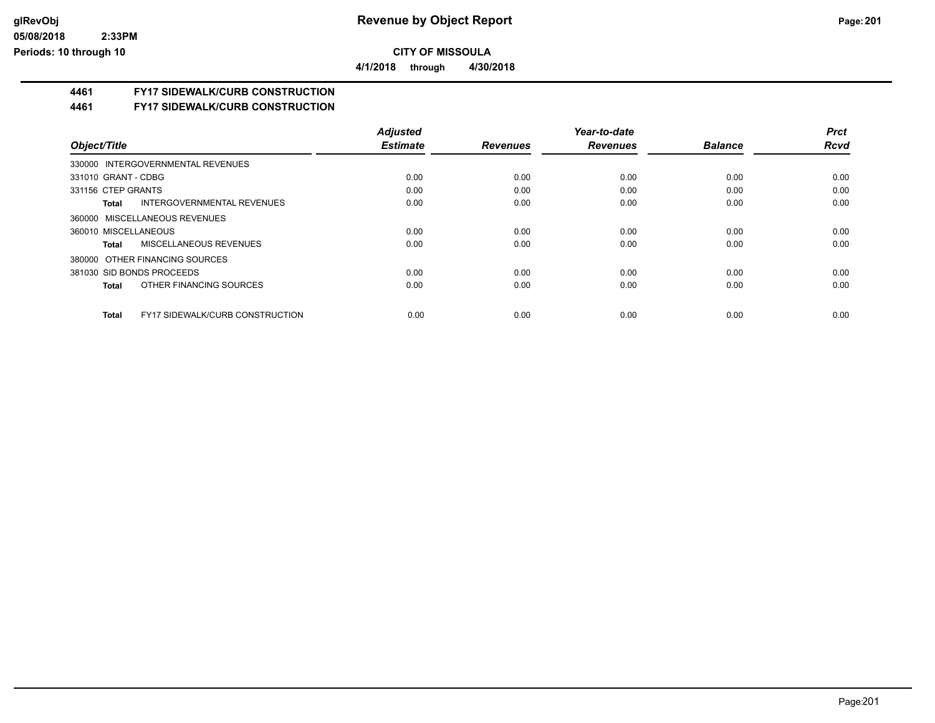**4/1/2018 through 4/30/2018**

## **4461 FY17 SIDEWALK/CURB CONSTRUCTION**

**4461 FY17 SIDEWALK/CURB CONSTRUCTION**

|                                                 | <b>Adjusted</b> |                 | Year-to-date    |                | <b>Prct</b> |
|-------------------------------------------------|-----------------|-----------------|-----------------|----------------|-------------|
| Object/Title                                    | <b>Estimate</b> | <b>Revenues</b> | <b>Revenues</b> | <b>Balance</b> | <b>Rcvd</b> |
| 330000 INTERGOVERNMENTAL REVENUES               |                 |                 |                 |                |             |
| 331010 GRANT - CDBG                             | 0.00            | 0.00            | 0.00            | 0.00           | 0.00        |
| 331156 CTEP GRANTS                              | 0.00            | 0.00            | 0.00            | 0.00           | 0.00        |
| INTERGOVERNMENTAL REVENUES<br>Total             | 0.00            | 0.00            | 0.00            | 0.00           | 0.00        |
| 360000 MISCELLANEOUS REVENUES                   |                 |                 |                 |                |             |
| 360010 MISCELLANEOUS                            | 0.00            | 0.00            | 0.00            | 0.00           | 0.00        |
| MISCELLANEOUS REVENUES<br>Total                 | 0.00            | 0.00            | 0.00            | 0.00           | 0.00        |
| 380000 OTHER FINANCING SOURCES                  |                 |                 |                 |                |             |
| 381030 SID BONDS PROCEEDS                       | 0.00            | 0.00            | 0.00            | 0.00           | 0.00        |
| OTHER FINANCING SOURCES<br>Total                | 0.00            | 0.00            | 0.00            | 0.00           | 0.00        |
| <b>FY17 SIDEWALK/CURB CONSTRUCTION</b><br>Total | 0.00            | 0.00            | 0.00            | 0.00           | 0.00        |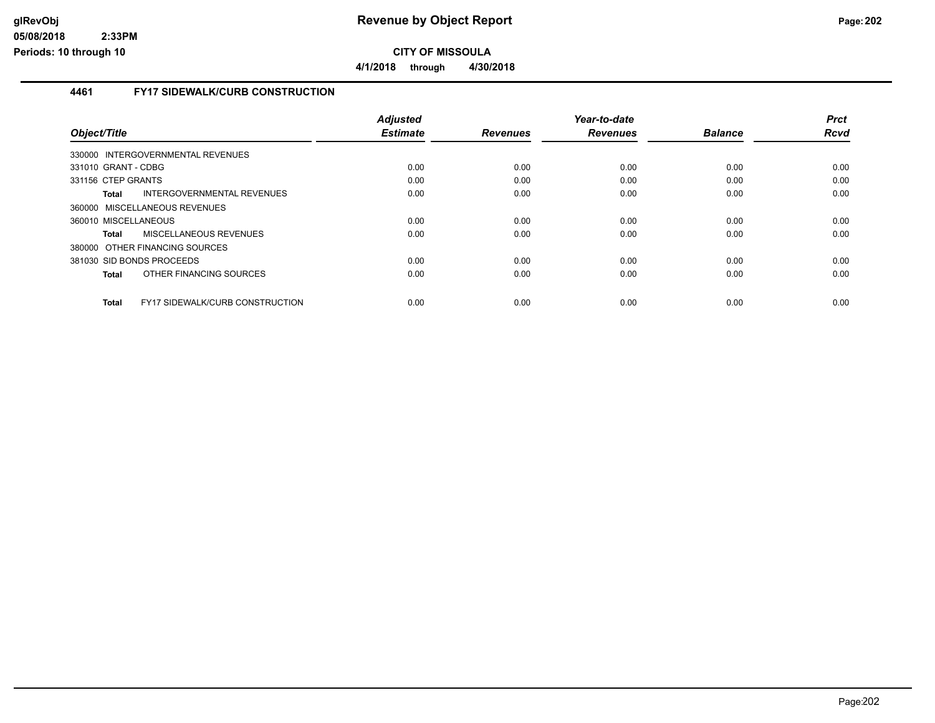**4/1/2018 through 4/30/2018**

#### **4461 FY17 SIDEWALK/CURB CONSTRUCTION**

|                                                        | <b>Adjusted</b> |                 | Year-to-date    |                | <b>Prct</b> |
|--------------------------------------------------------|-----------------|-----------------|-----------------|----------------|-------------|
| Object/Title                                           | <b>Estimate</b> | <b>Revenues</b> | <b>Revenues</b> | <b>Balance</b> | <b>Rcvd</b> |
| 330000 INTERGOVERNMENTAL REVENUES                      |                 |                 |                 |                |             |
| 331010 GRANT - CDBG                                    | 0.00            | 0.00            | 0.00            | 0.00           | 0.00        |
| 331156 CTEP GRANTS                                     | 0.00            | 0.00            | 0.00            | 0.00           | 0.00        |
| INTERGOVERNMENTAL REVENUES<br>Total                    | 0.00            | 0.00            | 0.00            | 0.00           | 0.00        |
| 360000 MISCELLANEOUS REVENUES                          |                 |                 |                 |                |             |
| 360010 MISCELLANEOUS                                   | 0.00            | 0.00            | 0.00            | 0.00           | 0.00        |
| MISCELLANEOUS REVENUES<br>Total                        | 0.00            | 0.00            | 0.00            | 0.00           | 0.00        |
| 380000 OTHER FINANCING SOURCES                         |                 |                 |                 |                |             |
| 381030 SID BONDS PROCEEDS                              | 0.00            | 0.00            | 0.00            | 0.00           | 0.00        |
| OTHER FINANCING SOURCES<br>Total                       | 0.00            | 0.00            | 0.00            | 0.00           | 0.00        |
| <b>Total</b><br><b>FY17 SIDEWALK/CURB CONSTRUCTION</b> | 0.00            | 0.00            | 0.00            | 0.00           | 0.00        |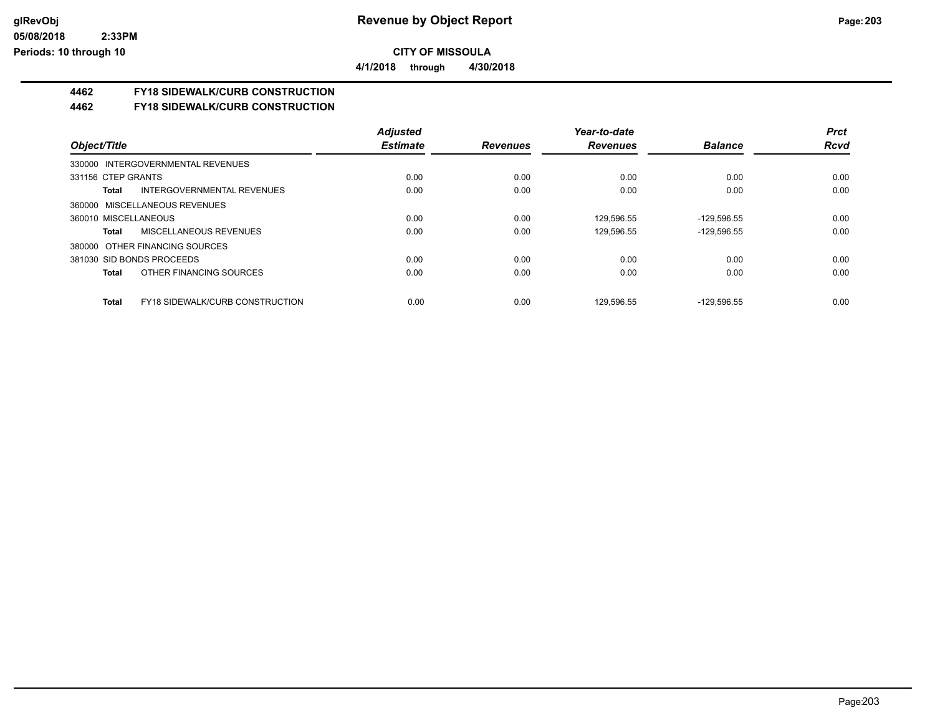**4/1/2018 through 4/30/2018**

# **4462 FY18 SIDEWALK/CURB CONSTRUCTION**

**4462 FY18 SIDEWALK/CURB CONSTRUCTION**

|                                                 | <b>Adjusted</b> |                 | Year-to-date    |                | <b>Prct</b> |
|-------------------------------------------------|-----------------|-----------------|-----------------|----------------|-------------|
| Object/Title                                    | <b>Estimate</b> | <b>Revenues</b> | <b>Revenues</b> | <b>Balance</b> | <b>Rcvd</b> |
| 330000 INTERGOVERNMENTAL REVENUES               |                 |                 |                 |                |             |
| 331156 CTEP GRANTS                              | 0.00            | 0.00            | 0.00            | 0.00           | 0.00        |
| INTERGOVERNMENTAL REVENUES<br>Total             | 0.00            | 0.00            | 0.00            | 0.00           | 0.00        |
| 360000 MISCELLANEOUS REVENUES                   |                 |                 |                 |                |             |
| 360010 MISCELLANEOUS                            | 0.00            | 0.00            | 129.596.55      | $-129.596.55$  | 0.00        |
| MISCELLANEOUS REVENUES<br>Total                 | 0.00            | 0.00            | 129,596.55      | $-129,596.55$  | 0.00        |
| 380000 OTHER FINANCING SOURCES                  |                 |                 |                 |                |             |
| 381030 SID BONDS PROCEEDS                       | 0.00            | 0.00            | 0.00            | 0.00           | 0.00        |
| OTHER FINANCING SOURCES<br>Total                | 0.00            | 0.00            | 0.00            | 0.00           | 0.00        |
| FY18 SIDEWALK/CURB CONSTRUCTION<br><b>Total</b> | 0.00            | 0.00            | 129.596.55      | $-129.596.55$  | 0.00        |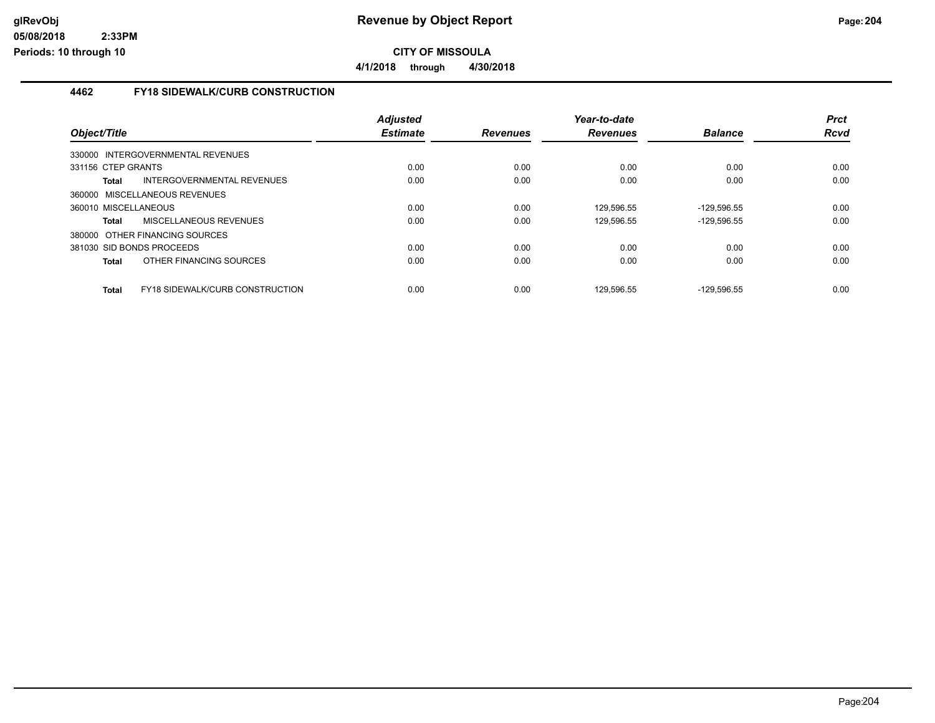**4/1/2018 through 4/30/2018**

#### **4462 FY18 SIDEWALK/CURB CONSTRUCTION**

| Object/Title                                    | <b>Adjusted</b><br><b>Estimate</b> | <b>Revenues</b> | Year-to-date<br><b>Revenues</b> | <b>Balance</b> | <b>Prct</b><br><b>Rcvd</b> |
|-------------------------------------------------|------------------------------------|-----------------|---------------------------------|----------------|----------------------------|
| 330000 INTERGOVERNMENTAL REVENUES               |                                    |                 |                                 |                |                            |
| 331156 CTEP GRANTS                              | 0.00                               | 0.00            | 0.00                            | 0.00           | 0.00                       |
| INTERGOVERNMENTAL REVENUES<br><b>Total</b>      | 0.00                               | 0.00            | 0.00                            | 0.00           | 0.00                       |
| 360000 MISCELLANEOUS REVENUES                   |                                    |                 |                                 |                |                            |
| 360010 MISCELLANEOUS                            | 0.00                               | 0.00            | 129.596.55                      | -129.596.55    | 0.00                       |
| <b>MISCELLANEOUS REVENUES</b><br><b>Total</b>   | 0.00                               | 0.00            | 129,596.55                      | $-129.596.55$  | 0.00                       |
| 380000 OTHER FINANCING SOURCES                  |                                    |                 |                                 |                |                            |
| 381030 SID BONDS PROCEEDS                       | 0.00                               | 0.00            | 0.00                            | 0.00           | 0.00                       |
| OTHER FINANCING SOURCES<br><b>Total</b>         | 0.00                               | 0.00            | 0.00                            | 0.00           | 0.00                       |
| FY18 SIDEWALK/CURB CONSTRUCTION<br><b>Total</b> | 0.00                               | 0.00            | 129.596.55                      | $-129.596.55$  | 0.00                       |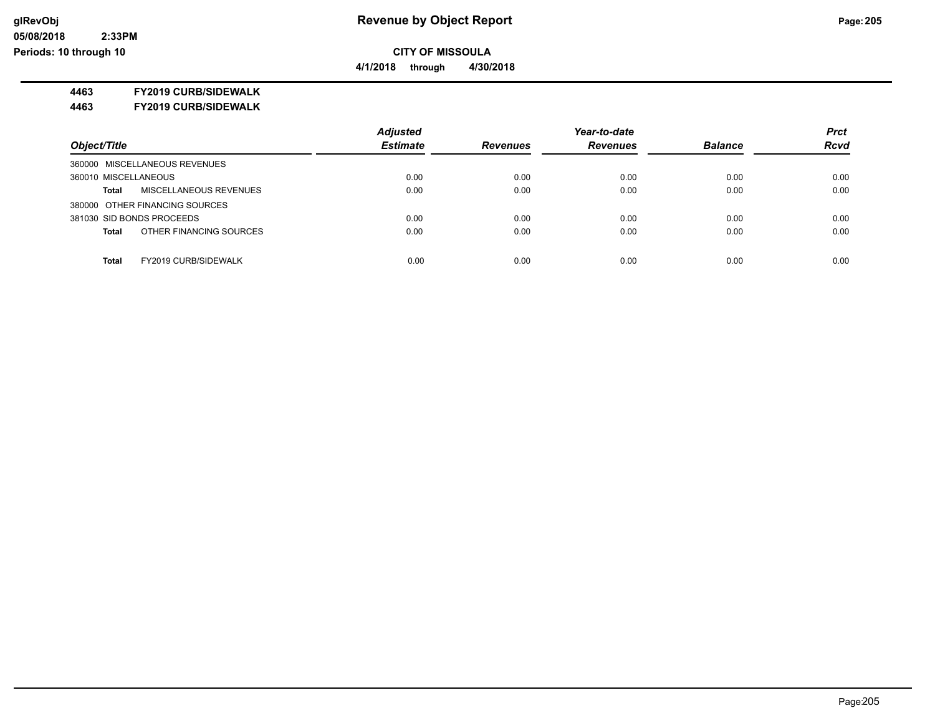**4/1/2018 through 4/30/2018**

**4463 FY2019 CURB/SIDEWALK**

**4463 FY2019 CURB/SIDEWALK**

|                                               | <b>Adjusted</b> |                 | Year-to-date    |                | <b>Prct</b> |
|-----------------------------------------------|-----------------|-----------------|-----------------|----------------|-------------|
| Object/Title                                  | <b>Estimate</b> | <b>Revenues</b> | <b>Revenues</b> | <b>Balance</b> | <b>Rcvd</b> |
| 360000 MISCELLANEOUS REVENUES                 |                 |                 |                 |                |             |
| 360010 MISCELLANEOUS                          | 0.00            | 0.00            | 0.00            | 0.00           | 0.00        |
| <b>MISCELLANEOUS REVENUES</b><br><b>Total</b> | 0.00            | 0.00            | 0.00            | 0.00           | 0.00        |
| 380000 OTHER FINANCING SOURCES                |                 |                 |                 |                |             |
| 381030 SID BONDS PROCEEDS                     | 0.00            | 0.00            | 0.00            | 0.00           | 0.00        |
| OTHER FINANCING SOURCES<br><b>Total</b>       | 0.00            | 0.00            | 0.00            | 0.00           | 0.00        |
|                                               |                 |                 |                 |                |             |
| <b>FY2019 CURB/SIDEWALK</b><br><b>Total</b>   | 0.00            | 0.00            | 0.00            | 0.00           | 0.00        |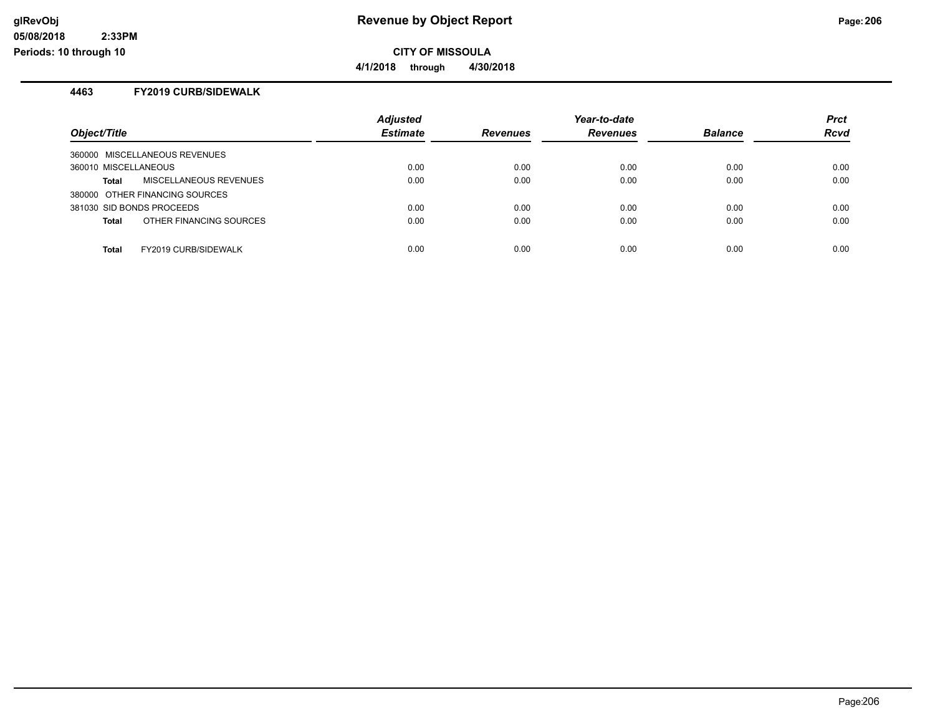**4/1/2018 through 4/30/2018**

#### **4463 FY2019 CURB/SIDEWALK**

| Object/Title                                |                         | <b>Adjusted</b><br><b>Estimate</b> | <b>Revenues</b> | Year-to-date<br><b>Revenues</b> | <b>Balance</b> | <b>Prct</b><br><b>Rcvd</b> |
|---------------------------------------------|-------------------------|------------------------------------|-----------------|---------------------------------|----------------|----------------------------|
| 360000 MISCELLANEOUS REVENUES               |                         |                                    |                 |                                 |                |                            |
| 360010 MISCELLANEOUS                        |                         | 0.00                               | 0.00            | 0.00                            | 0.00           | 0.00                       |
| MISCELLANEOUS REVENUES<br>Total             |                         | 0.00                               | 0.00            | 0.00                            | 0.00           | 0.00                       |
| 380000 OTHER FINANCING SOURCES              |                         |                                    |                 |                                 |                |                            |
| 381030 SID BONDS PROCEEDS                   |                         | 0.00                               | 0.00            | 0.00                            | 0.00           | 0.00                       |
| <b>Total</b>                                | OTHER FINANCING SOURCES | 0.00                               | 0.00            | 0.00                            | 0.00           | 0.00                       |
| <b>FY2019 CURB/SIDEWALK</b><br><b>Total</b> |                         | 0.00                               | 0.00            | 0.00                            | 0.00           | 0.00                       |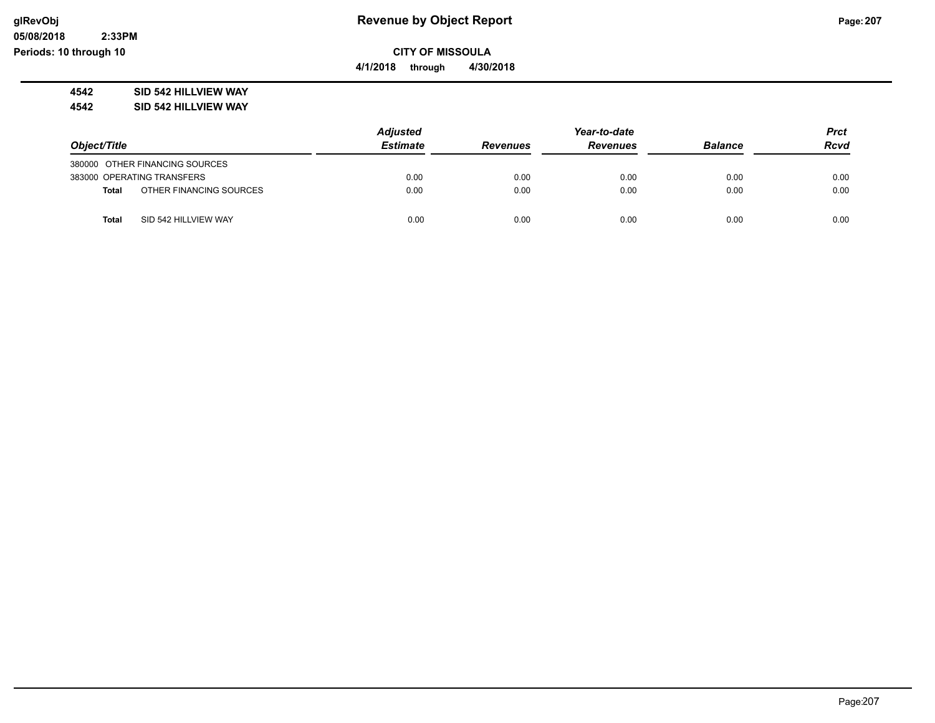**4/1/2018 through 4/30/2018**

### **4542 SID 542 HILLVIEW WAY**

**4542 SID 542 HILLVIEW WAY**

|              |                                | <b>Adjusted</b> |                 | Year-to-date    |                | <b>Prct</b> |
|--------------|--------------------------------|-----------------|-----------------|-----------------|----------------|-------------|
| Object/Title |                                | <b>Estimate</b> | <b>Revenues</b> | <b>Revenues</b> | <b>Balance</b> | <b>Rcvd</b> |
|              | 380000 OTHER FINANCING SOURCES |                 |                 |                 |                |             |
|              | 383000 OPERATING TRANSFERS     | 0.00            | 0.00            | 0.00            | 0.00           | 0.00        |
| Total        | OTHER FINANCING SOURCES        | 0.00            | 0.00            | 0.00            | 0.00           | 0.00        |
| <b>Total</b> | SID 542 HILLVIEW WAY           | 0.00            | 0.00            | 0.00            | 0.00           | 0.00        |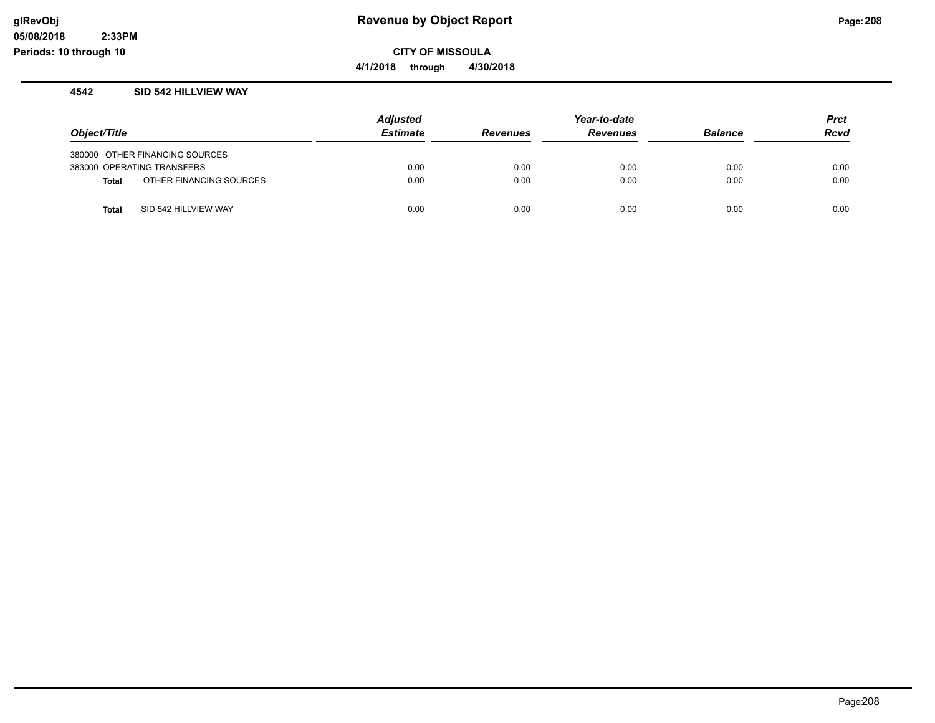**4/1/2018 through 4/30/2018**

#### **4542 SID 542 HILLVIEW WAY**

| Object/Title |                                | <b>Adjusted</b><br><b>Estimate</b> | <b>Revenues</b> | Year-to-date<br><b>Revenues</b> | <b>Balance</b> | <b>Prct</b><br><b>Rcvd</b> |
|--------------|--------------------------------|------------------------------------|-----------------|---------------------------------|----------------|----------------------------|
|              | 380000 OTHER FINANCING SOURCES |                                    |                 |                                 |                |                            |
|              | 383000 OPERATING TRANSFERS     | 0.00                               | 0.00            | 0.00                            | 0.00           | 0.00                       |
| <b>Total</b> | OTHER FINANCING SOURCES        | 0.00                               | 0.00            | 0.00                            | 0.00           | 0.00                       |
| Total        | SID 542 HILLVIEW WAY           | 0.00                               | 0.00            | 0.00                            | 0.00           | 0.00                       |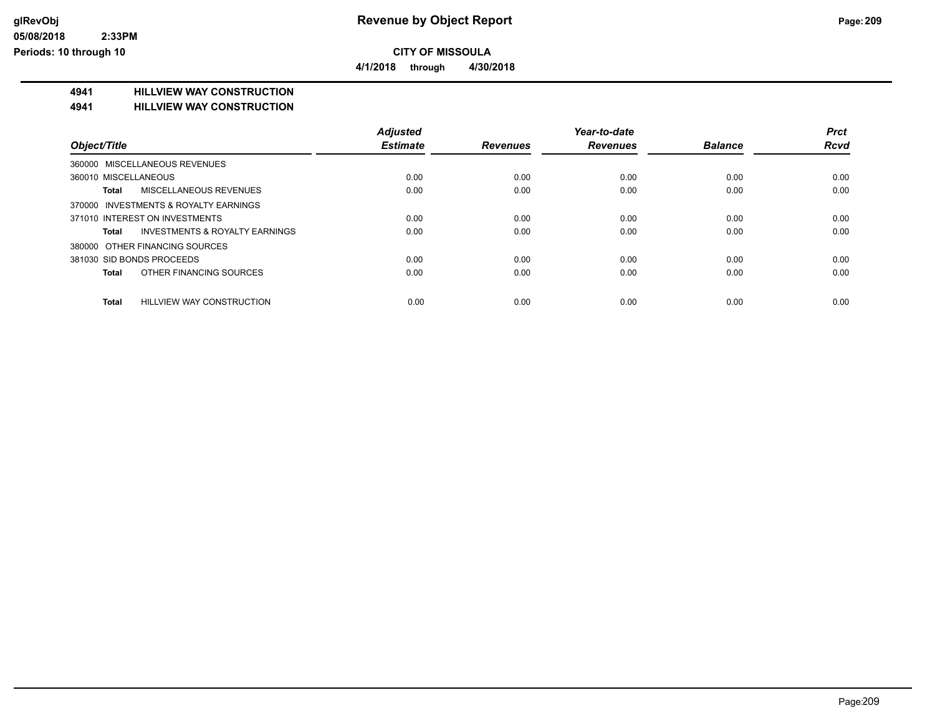**4/1/2018 through 4/30/2018**

#### **4941 HILLVIEW WAY CONSTRUCTION**

#### **4941 HILLVIEW WAY CONSTRUCTION**

|                                           | <b>Adjusted</b> |                 | Year-to-date    |                | <b>Prct</b> |
|-------------------------------------------|-----------------|-----------------|-----------------|----------------|-------------|
| Object/Title                              | <b>Estimate</b> | <b>Revenues</b> | <b>Revenues</b> | <b>Balance</b> | <b>Rcvd</b> |
| 360000 MISCELLANEOUS REVENUES             |                 |                 |                 |                |             |
| 360010 MISCELLANEOUS                      | 0.00            | 0.00            | 0.00            | 0.00           | 0.00        |
| <b>MISCELLANEOUS REVENUES</b><br>Total    | 0.00            | 0.00            | 0.00            | 0.00           | 0.00        |
| 370000 INVESTMENTS & ROYALTY EARNINGS     |                 |                 |                 |                |             |
| 371010 INTEREST ON INVESTMENTS            | 0.00            | 0.00            | 0.00            | 0.00           | 0.00        |
| INVESTMENTS & ROYALTY EARNINGS<br>Total   | 0.00            | 0.00            | 0.00            | 0.00           | 0.00        |
| 380000 OTHER FINANCING SOURCES            |                 |                 |                 |                |             |
| 381030 SID BONDS PROCEEDS                 | 0.00            | 0.00            | 0.00            | 0.00           | 0.00        |
| OTHER FINANCING SOURCES<br>Total          | 0.00            | 0.00            | 0.00            | 0.00           | 0.00        |
|                                           |                 |                 |                 |                |             |
| <b>HILLVIEW WAY CONSTRUCTION</b><br>Total | 0.00            | 0.00            | 0.00            | 0.00           | 0.00        |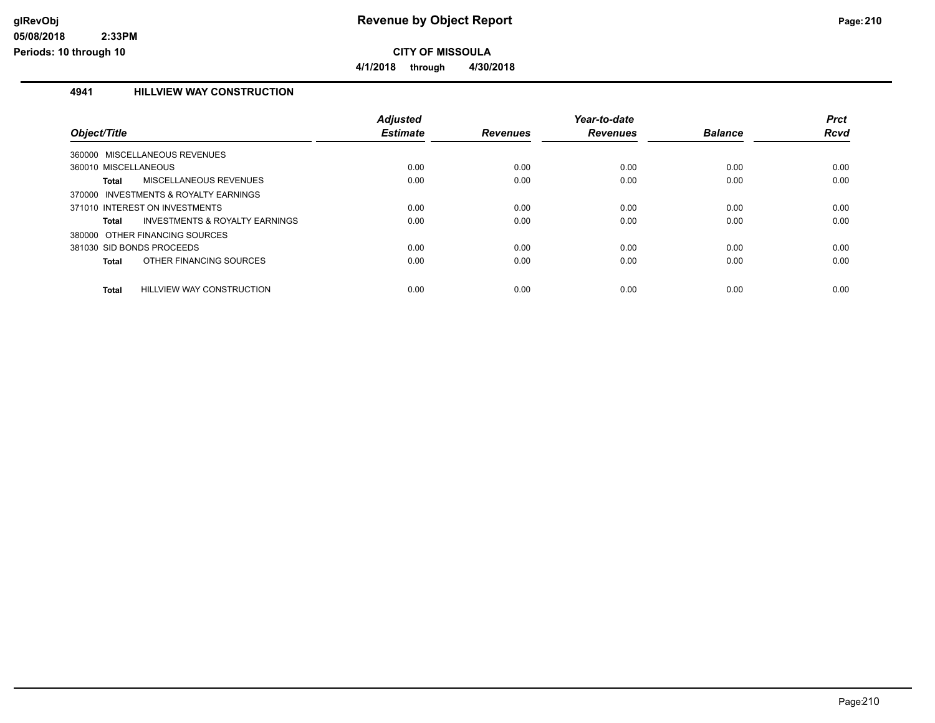**4/1/2018 through 4/30/2018**

### **4941 HILLVIEW WAY CONSTRUCTION**

|                                                | <b>Adjusted</b> |                 | Year-to-date    |                | <b>Prct</b> |
|------------------------------------------------|-----------------|-----------------|-----------------|----------------|-------------|
| Object/Title                                   | <b>Estimate</b> | <b>Revenues</b> | <b>Revenues</b> | <b>Balance</b> | <b>Rcvd</b> |
| 360000 MISCELLANEOUS REVENUES                  |                 |                 |                 |                |             |
| 360010 MISCELLANEOUS                           | 0.00            | 0.00            | 0.00            | 0.00           | 0.00        |
| MISCELLANEOUS REVENUES<br>Total                | 0.00            | 0.00            | 0.00            | 0.00           | 0.00        |
| INVESTMENTS & ROYALTY EARNINGS<br>370000       |                 |                 |                 |                |             |
| 371010 INTEREST ON INVESTMENTS                 | 0.00            | 0.00            | 0.00            | 0.00           | 0.00        |
| INVESTMENTS & ROYALTY EARNINGS<br><b>Total</b> | 0.00            | 0.00            | 0.00            | 0.00           | 0.00        |
| OTHER FINANCING SOURCES<br>380000              |                 |                 |                 |                |             |
| 381030 SID BONDS PROCEEDS                      | 0.00            | 0.00            | 0.00            | 0.00           | 0.00        |
| OTHER FINANCING SOURCES<br><b>Total</b>        | 0.00            | 0.00            | 0.00            | 0.00           | 0.00        |
| HILLVIEW WAY CONSTRUCTION<br><b>Total</b>      | 0.00            | 0.00            | 0.00            | 0.00           | 0.00        |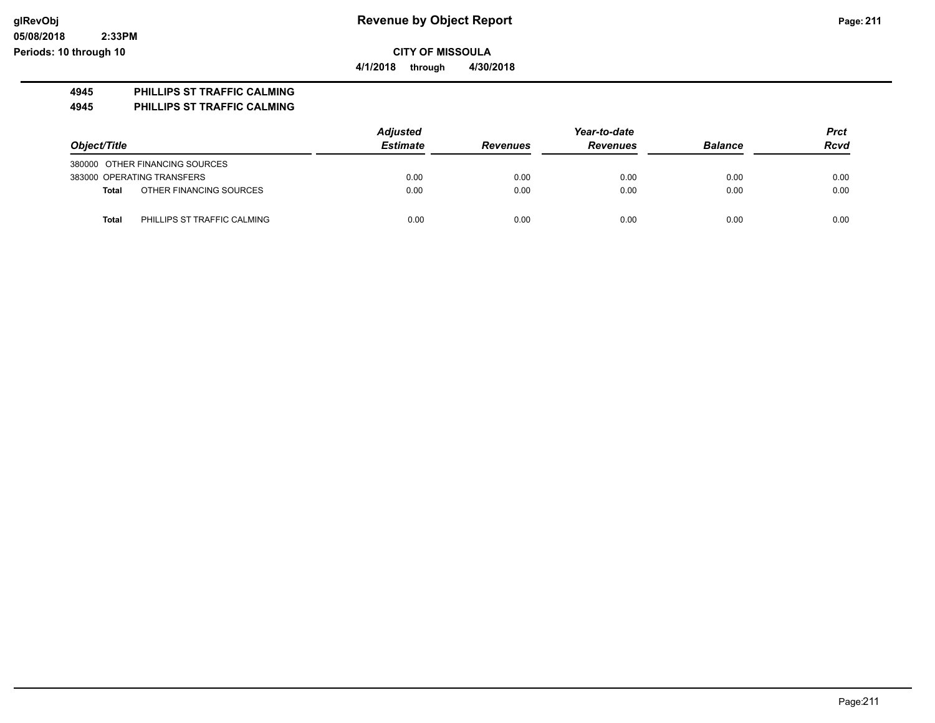**05/08/2018 2:33PM Periods: 10 through 10**

**CITY OF MISSOULA**

**4/1/2018 through 4/30/2018**

# **4945 PHILLIPS ST TRAFFIC CALMING**

**4945 PHILLIPS ST TRAFFIC CALMING**

|                                      | <b>Adjusted</b> |                 | Year-to-date    |                | Prct |
|--------------------------------------|-----------------|-----------------|-----------------|----------------|------|
| Object/Title                         | <b>Estimate</b> | <b>Revenues</b> | <b>Revenues</b> | <b>Balance</b> | Rcvd |
| 380000 OTHER FINANCING SOURCES       |                 |                 |                 |                |      |
| 383000 OPERATING TRANSFERS           | 0.00            | 0.00            | 0.00            | 0.00           | 0.00 |
| OTHER FINANCING SOURCES<br>Total     | 0.00            | 0.00            | 0.00            | 0.00           | 0.00 |
| PHILLIPS ST TRAFFIC CALMING<br>Total | 0.00            | 0.00            | 0.00            | 0.00           | 0.00 |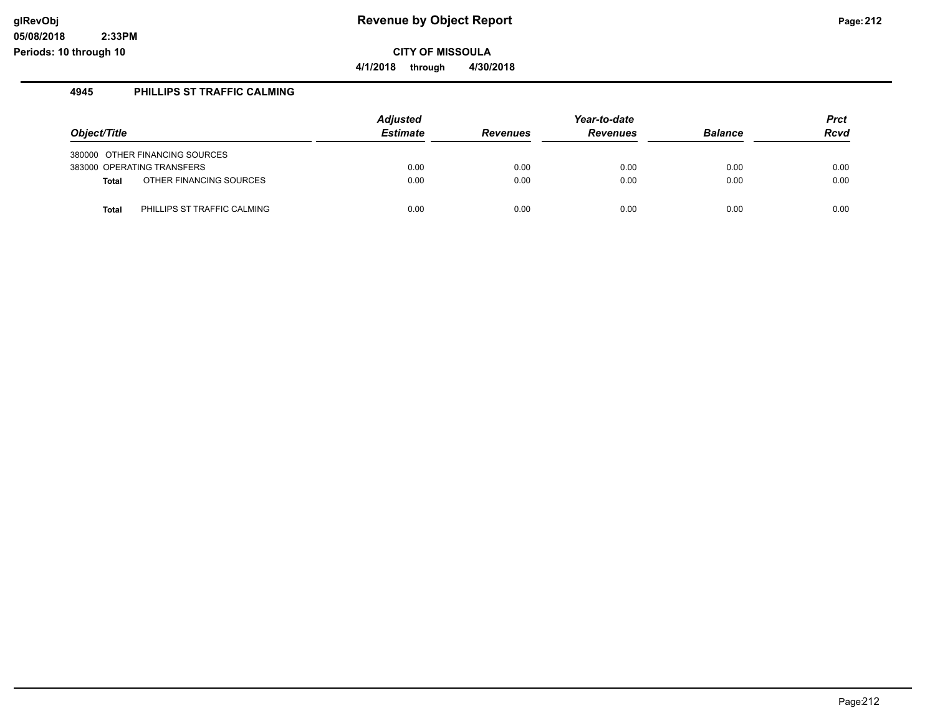**4/1/2018 through 4/30/2018**

#### **4945 PHILLIPS ST TRAFFIC CALMING**

|              |                                | <b>Adjusted</b> |                 | Year-to-date    |                | <b>Prct</b> |
|--------------|--------------------------------|-----------------|-----------------|-----------------|----------------|-------------|
| Object/Title |                                | <b>Estimate</b> | <b>Revenues</b> | <b>Revenues</b> | <b>Balance</b> | <b>Rcvd</b> |
|              | 380000 OTHER FINANCING SOURCES |                 |                 |                 |                |             |
|              | 383000 OPERATING TRANSFERS     | 0.00            | 0.00            | 0.00            | 0.00           | 0.00        |
| <b>Total</b> | OTHER FINANCING SOURCES        | 0.00            | 0.00            | 0.00            | 0.00           | 0.00        |
|              |                                |                 |                 |                 |                |             |
| <b>Total</b> | PHILLIPS ST TRAFFIC CALMING    | 0.00            | 0.00            | 0.00            | 0.00           | 0.00        |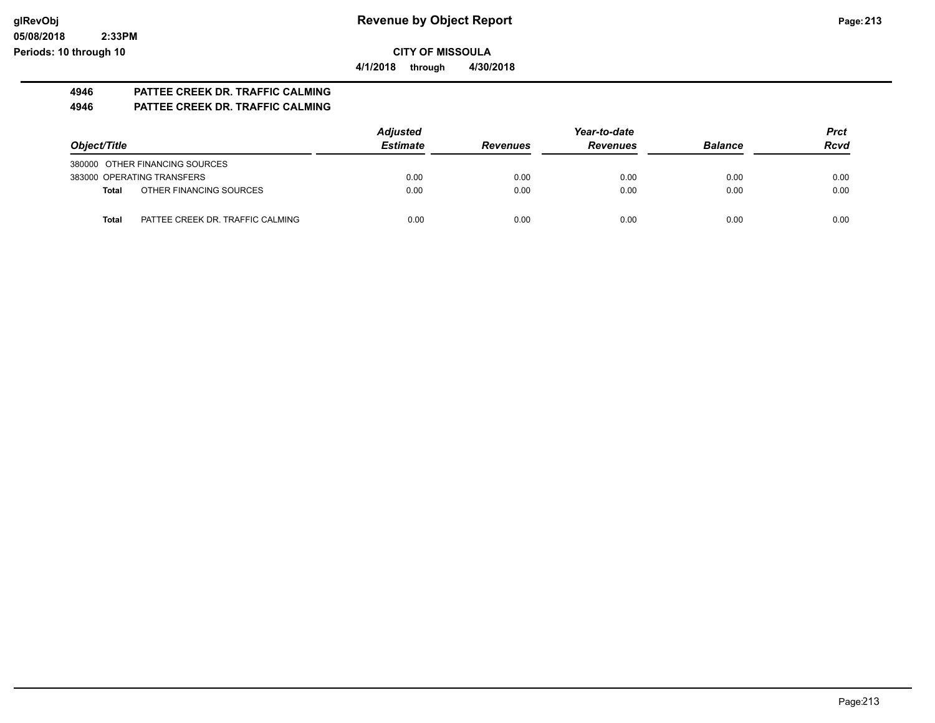**4/1/2018 through 4/30/2018**

#### **4946 PATTEE CREEK DR. TRAFFIC CALMING 4946 PATTEE CREEK DR. TRAFFIC CALMING**

|              |                                  | <b>Adjusted</b> |                 | Year-to-date    |                | Prct |
|--------------|----------------------------------|-----------------|-----------------|-----------------|----------------|------|
| Object/Title |                                  | <b>Estimate</b> | <b>Revenues</b> | <b>Revenues</b> | <b>Balance</b> | Rcvd |
|              | 380000 OTHER FINANCING SOURCES   |                 |                 |                 |                |      |
|              | 383000 OPERATING TRANSFERS       | 0.00            | 0.00            | 0.00            | 0.00           | 0.00 |
| Total        | OTHER FINANCING SOURCES          | 0.00            | 0.00            | 0.00            | 0.00           | 0.00 |
| <b>Total</b> | PATTEE CREEK DR. TRAFFIC CALMING | 0.00            | 0.00            | 0.00            | 0.00           | 0.00 |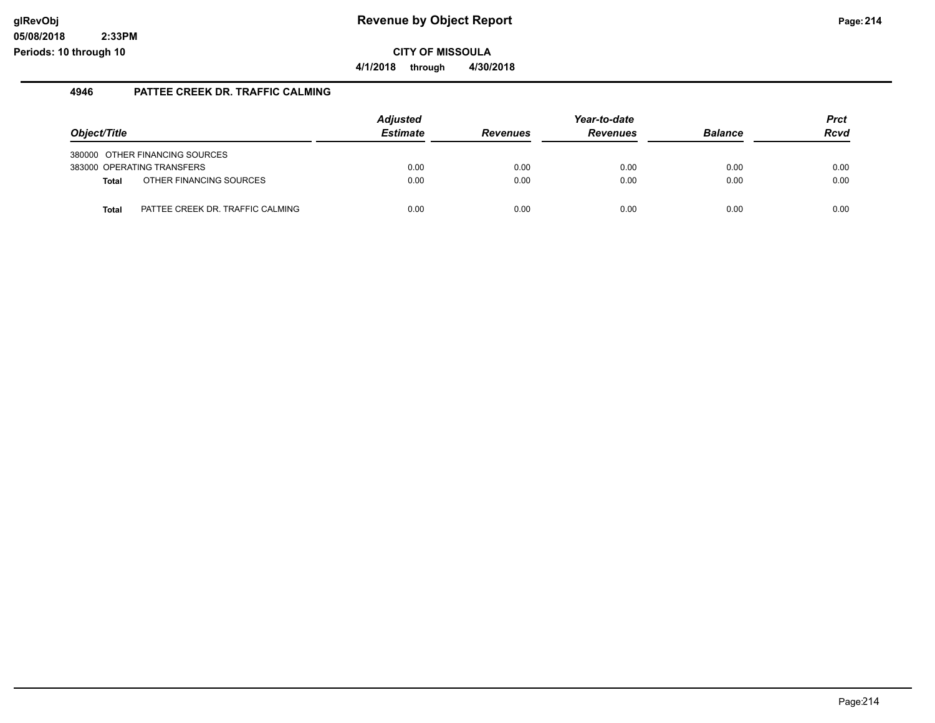**4/1/2018 through 4/30/2018**

#### **4946 PATTEE CREEK DR. TRAFFIC CALMING**

| Object/Title |                                                              | <b>Adjusted</b><br><b>Estimate</b> | <b>Revenues</b> | Year-to-date<br><b>Revenues</b> | <b>Balance</b> | <b>Prct</b><br><b>Rcvd</b> |
|--------------|--------------------------------------------------------------|------------------------------------|-----------------|---------------------------------|----------------|----------------------------|
|              | 380000 OTHER FINANCING SOURCES<br>383000 OPERATING TRANSFERS | 0.00                               | 0.00            | 0.00                            | 0.00           | 0.00                       |
| Total        | OTHER FINANCING SOURCES                                      | 0.00                               | 0.00            | 0.00                            | 0.00           | 0.00                       |
| <b>Total</b> | PATTEE CREEK DR. TRAFFIC CALMING                             | 0.00                               | 0.00            | 0.00                            | 0.00           | 0.00                       |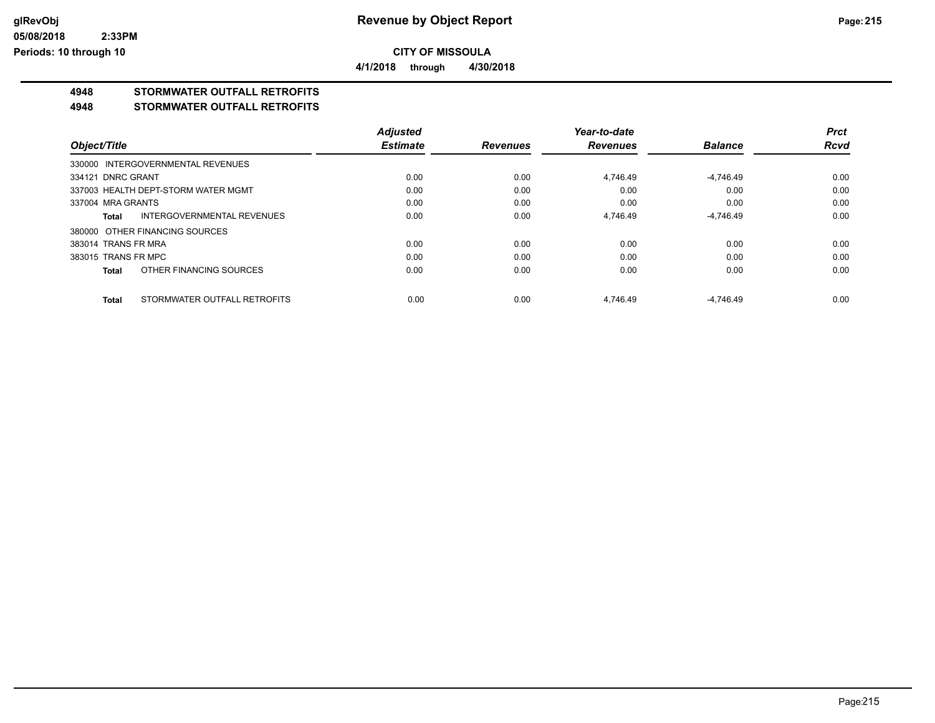**4/1/2018 through 4/30/2018**

## **4948 STORMWATER OUTFALL RETROFITS**

### **4948 STORMWATER OUTFALL RETROFITS**

|                     |                                     | <b>Adjusted</b> |                 | Year-to-date    |                | <b>Prct</b> |
|---------------------|-------------------------------------|-----------------|-----------------|-----------------|----------------|-------------|
| Object/Title        |                                     | <b>Estimate</b> | <b>Revenues</b> | <b>Revenues</b> | <b>Balance</b> | <b>Rcvd</b> |
|                     | 330000 INTERGOVERNMENTAL REVENUES   |                 |                 |                 |                |             |
| 334121 DNRC GRANT   |                                     | 0.00            | 0.00            | 4.746.49        | $-4.746.49$    | 0.00        |
|                     | 337003 HEALTH DEPT-STORM WATER MGMT | 0.00            | 0.00            | 0.00            | 0.00           | 0.00        |
| 337004 MRA GRANTS   |                                     | 0.00            | 0.00            | 0.00            | 0.00           | 0.00        |
| Total               | <b>INTERGOVERNMENTAL REVENUES</b>   | 0.00            | 0.00            | 4.746.49        | $-4.746.49$    | 0.00        |
|                     | 380000 OTHER FINANCING SOURCES      |                 |                 |                 |                |             |
| 383014 TRANS FR MRA |                                     | 0.00            | 0.00            | 0.00            | 0.00           | 0.00        |
| 383015 TRANS FR MPC |                                     | 0.00            | 0.00            | 0.00            | 0.00           | 0.00        |
| Total               | OTHER FINANCING SOURCES             | 0.00            | 0.00            | 0.00            | 0.00           | 0.00        |
| <b>Total</b>        | STORMWATER OUTFALL RETROFITS        | 0.00            | 0.00            | 4.746.49        | $-4.746.49$    | 0.00        |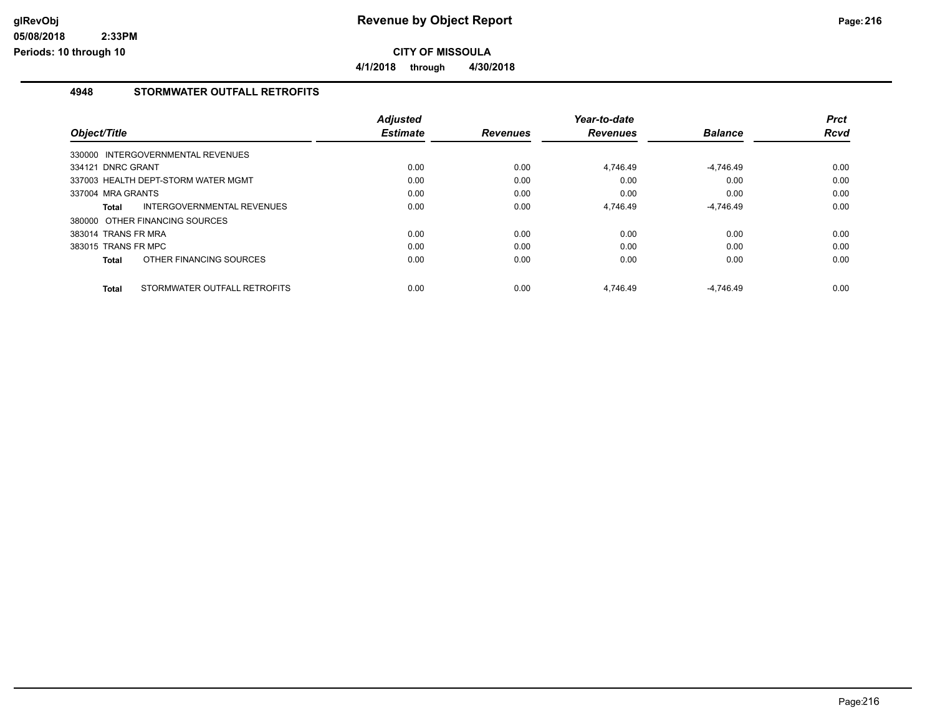**4/1/2018 through 4/30/2018**

#### **4948 STORMWATER OUTFALL RETROFITS**

| Object/Title                                      | <b>Adjusted</b><br><b>Estimate</b> | <b>Revenues</b> | Year-to-date<br><b>Revenues</b> | <b>Balance</b> | <b>Prct</b><br><b>Rcvd</b> |
|---------------------------------------------------|------------------------------------|-----------------|---------------------------------|----------------|----------------------------|
| 330000 INTERGOVERNMENTAL REVENUES                 |                                    |                 |                                 |                |                            |
| 334121 DNRC GRANT                                 | 0.00                               | 0.00            | 4,746.49                        | $-4,746.49$    | 0.00                       |
| 337003 HEALTH DEPT-STORM WATER MGMT               | 0.00                               | 0.00            | 0.00                            | 0.00           | 0.00                       |
| 337004 MRA GRANTS                                 | 0.00                               | 0.00            | 0.00                            | 0.00           | 0.00                       |
| <b>INTERGOVERNMENTAL REVENUES</b><br><b>Total</b> | 0.00                               | 0.00            | 4,746.49                        | $-4,746.49$    | 0.00                       |
| 380000 OTHER FINANCING SOURCES                    |                                    |                 |                                 |                |                            |
| 383014 TRANS FR MRA                               | 0.00                               | 0.00            | 0.00                            | 0.00           | 0.00                       |
| 383015 TRANS FR MPC                               | 0.00                               | 0.00            | 0.00                            | 0.00           | 0.00                       |
| OTHER FINANCING SOURCES<br><b>Total</b>           | 0.00                               | 0.00            | 0.00                            | 0.00           | 0.00                       |
| STORMWATER OUTFALL RETROFITS<br><b>Total</b>      | 0.00                               | 0.00            | 4.746.49                        | $-4.746.49$    | 0.00                       |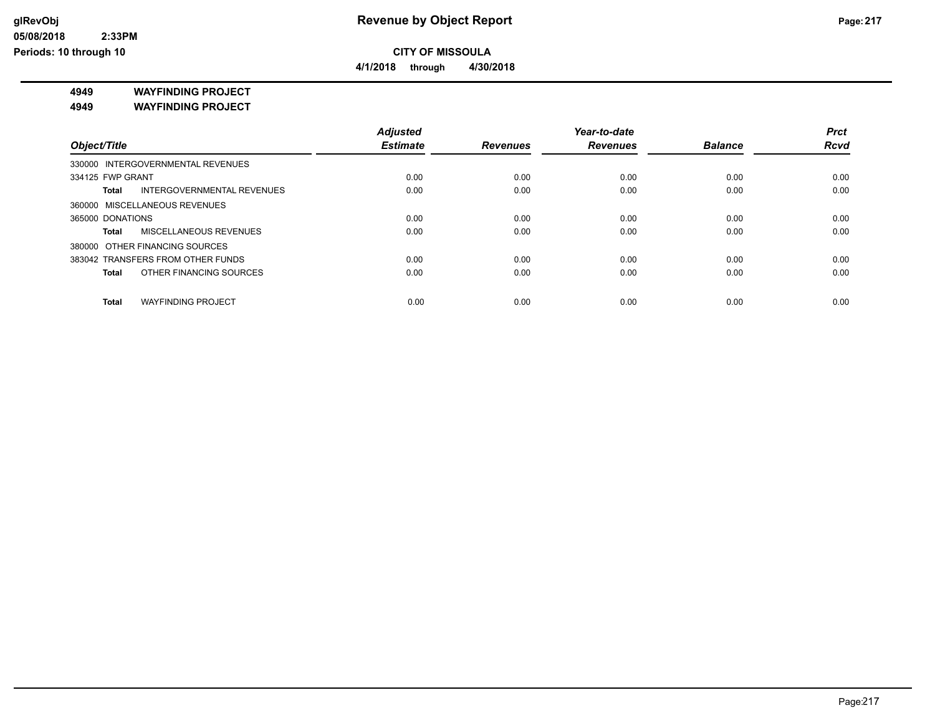**4/1/2018 through 4/30/2018**

**4949 WAYFINDING PROJECT**

**4949 WAYFINDING PROJECT**

|                                        | <b>Adjusted</b> |                 | Year-to-date    |                | <b>Prct</b> |
|----------------------------------------|-----------------|-----------------|-----------------|----------------|-------------|
| Object/Title                           | <b>Estimate</b> | <b>Revenues</b> | <b>Revenues</b> | <b>Balance</b> | <b>Rcvd</b> |
| 330000 INTERGOVERNMENTAL REVENUES      |                 |                 |                 |                |             |
| 334125 FWP GRANT                       | 0.00            | 0.00            | 0.00            | 0.00           | 0.00        |
| INTERGOVERNMENTAL REVENUES<br>Total    | 0.00            | 0.00            | 0.00            | 0.00           | 0.00        |
| 360000 MISCELLANEOUS REVENUES          |                 |                 |                 |                |             |
| 365000 DONATIONS                       | 0.00            | 0.00            | 0.00            | 0.00           | 0.00        |
| <b>MISCELLANEOUS REVENUES</b><br>Total | 0.00            | 0.00            | 0.00            | 0.00           | 0.00        |
| 380000 OTHER FINANCING SOURCES         |                 |                 |                 |                |             |
| 383042 TRANSFERS FROM OTHER FUNDS      | 0.00            | 0.00            | 0.00            | 0.00           | 0.00        |
| OTHER FINANCING SOURCES<br>Total       | 0.00            | 0.00            | 0.00            | 0.00           | 0.00        |
| <b>WAYFINDING PROJECT</b><br>Total     | 0.00            | 0.00            | 0.00            | 0.00           | 0.00        |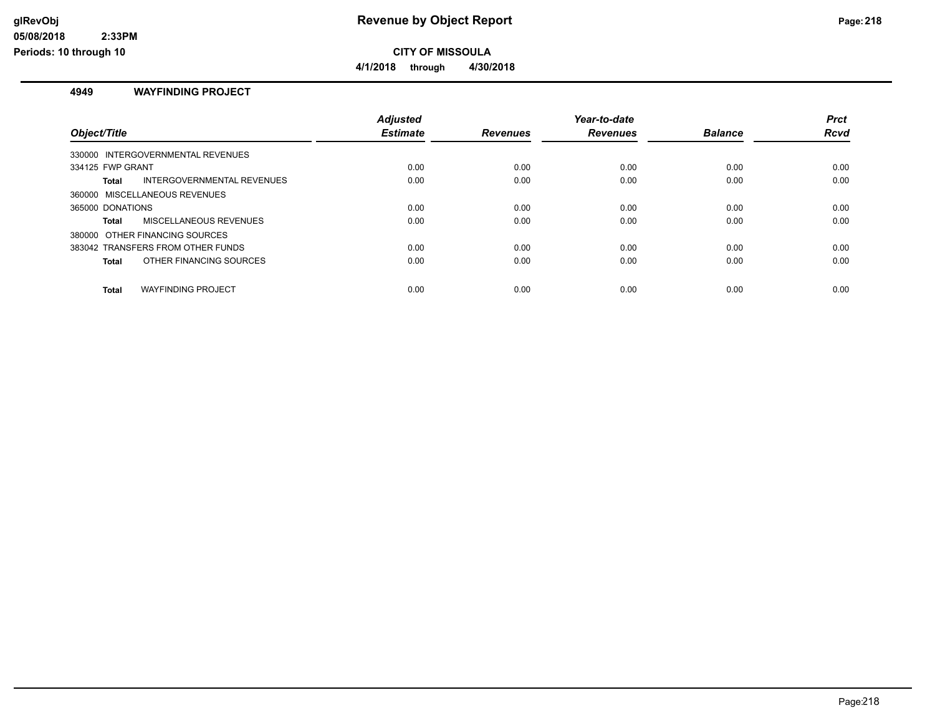**4/1/2018 through 4/30/2018**

#### **4949 WAYFINDING PROJECT**

| Object/Title                                  | <b>Adjusted</b><br><b>Estimate</b> | <b>Revenues</b> | Year-to-date<br><b>Revenues</b> | <b>Balance</b> | <b>Prct</b><br><b>Rcvd</b> |
|-----------------------------------------------|------------------------------------|-----------------|---------------------------------|----------------|----------------------------|
| 330000 INTERGOVERNMENTAL REVENUES             |                                    |                 |                                 |                |                            |
| 334125 FWP GRANT                              | 0.00                               | 0.00            | 0.00                            | 0.00           | 0.00                       |
| INTERGOVERNMENTAL REVENUES<br>Total           | 0.00                               | 0.00            | 0.00                            | 0.00           | 0.00                       |
| MISCELLANEOUS REVENUES<br>360000              |                                    |                 |                                 |                |                            |
| 365000 DONATIONS                              | 0.00                               | 0.00            | 0.00                            | 0.00           | 0.00                       |
| <b>MISCELLANEOUS REVENUES</b><br><b>Total</b> | 0.00                               | 0.00            | 0.00                            | 0.00           | 0.00                       |
| 380000 OTHER FINANCING SOURCES                |                                    |                 |                                 |                |                            |
| 383042 TRANSFERS FROM OTHER FUNDS             | 0.00                               | 0.00            | 0.00                            | 0.00           | 0.00                       |
| OTHER FINANCING SOURCES<br><b>Total</b>       | 0.00                               | 0.00            | 0.00                            | 0.00           | 0.00                       |
| <b>WAYFINDING PROJECT</b><br><b>Total</b>     | 0.00                               | 0.00            | 0.00                            | 0.00           | 0.00                       |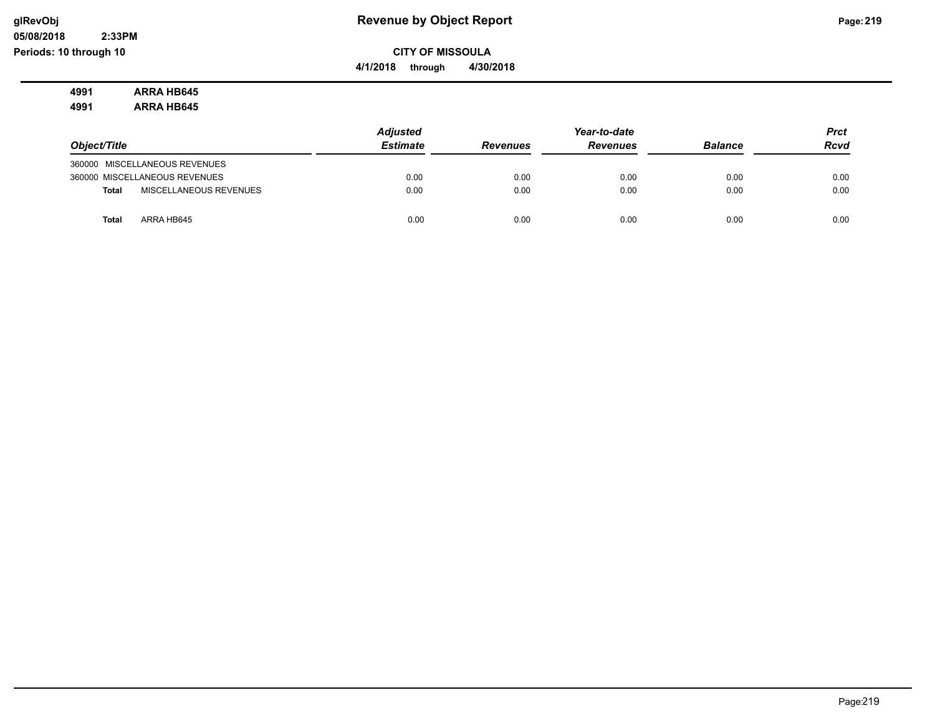**05/08/2018 2:33PM Periods: 10 through 10**

**CITY OF MISSOULA**

**4/1/2018 through 4/30/2018**

# **4991 ARRA HB645**

**4991 ARRA HB645**

|                                        | <b>Adjusted</b> |                 | <b>Prct</b>     |                |             |
|----------------------------------------|-----------------|-----------------|-----------------|----------------|-------------|
| Object/Title                           | <b>Estimate</b> | <b>Revenues</b> | <b>Revenues</b> | <b>Balance</b> | <b>Rcvd</b> |
| 360000 MISCELLANEOUS REVENUES          |                 |                 |                 |                |             |
| 360000 MISCELLANEOUS REVENUES          | 0.00            | 0.00            | 0.00            | 0.00           | 0.00        |
| MISCELLANEOUS REVENUES<br><b>Total</b> | 0.00            | 0.00            | 0.00            | 0.00           | 0.00        |
| ARRA HB645<br><b>Total</b>             | 0.00            | 0.00            | 0.00            | 0.00           | 0.00        |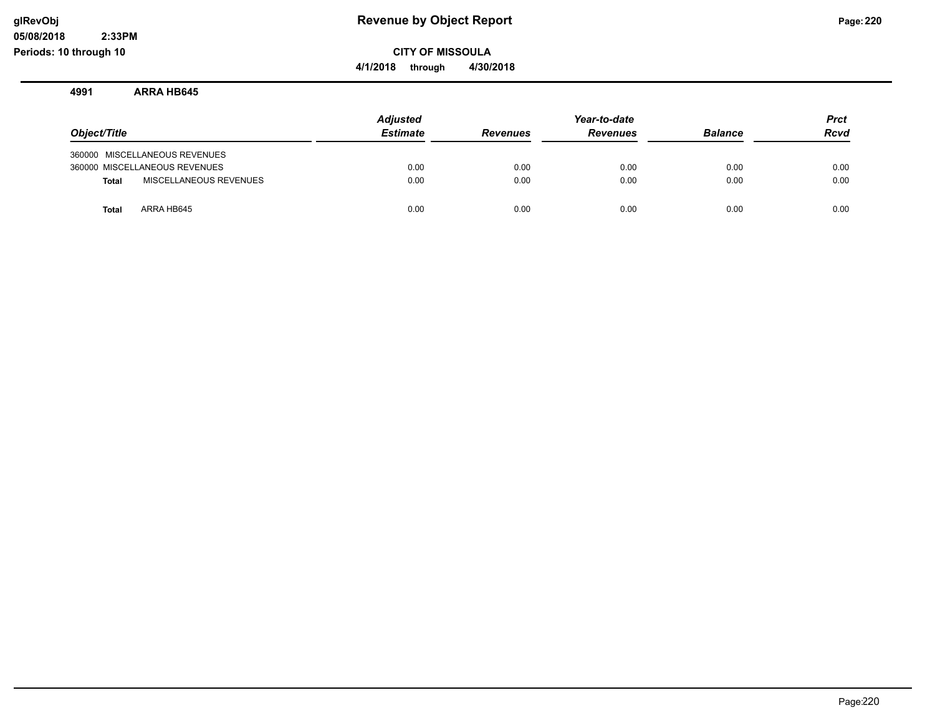**Periods: 10 through 10**

**CITY OF MISSOULA**

**4/1/2018 through 4/30/2018**

**4991 ARRA HB645**

 **2:33PM**

| Object/Title |                               | <b>Adjusted</b><br><b>Estimate</b> | <b>Revenues</b> | Year-to-date<br><b>Revenues</b> | <b>Balance</b> | <b>Prct</b><br><b>Rcvd</b> |
|--------------|-------------------------------|------------------------------------|-----------------|---------------------------------|----------------|----------------------------|
|              | 360000 MISCELLANEOUS REVENUES |                                    |                 |                                 |                |                            |
|              | 360000 MISCELLANEOUS REVENUES | 0.00                               | 0.00            | 0.00                            | 0.00           | 0.00                       |
| <b>Total</b> | MISCELLANEOUS REVENUES        | 0.00                               | 0.00            | 0.00                            | 0.00           | 0.00                       |
| Total        | ARRA HB645                    | 0.00                               | 0.00            | 0.00                            | 0.00           | 0.00                       |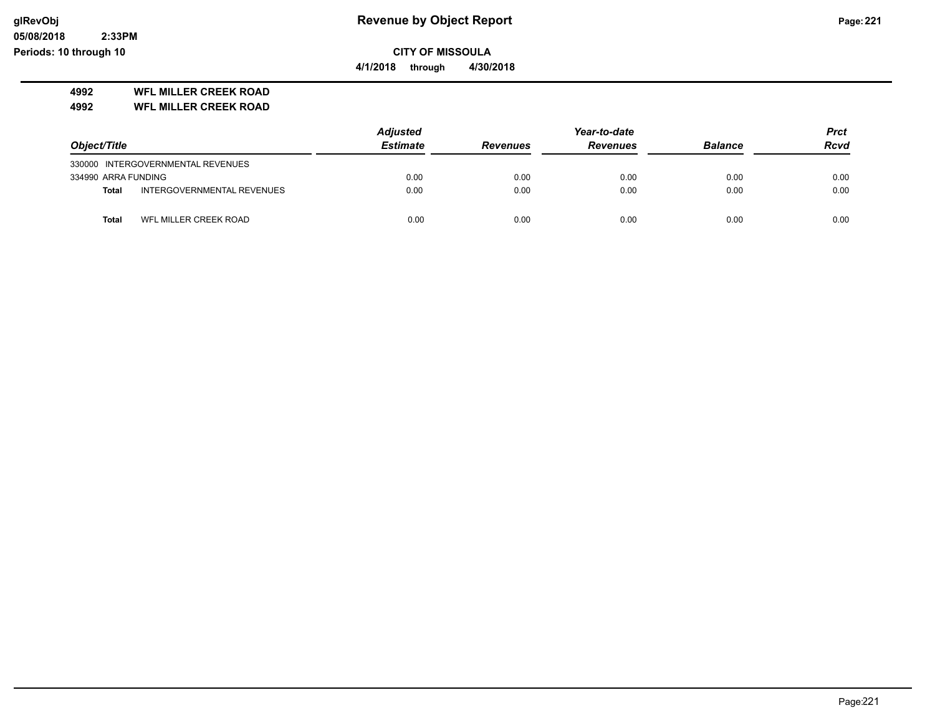**05/08/2018 2:33PM Periods: 10 through 10**

**CITY OF MISSOULA**

**4/1/2018 through 4/30/2018**

## **4992 WFL MILLER CREEK ROAD**

**4992 WFL MILLER CREEK ROAD**

| Object/Title        |                                   | Adjusted        |                 | Year-to-date    |                | Prct<br>Rcvd |
|---------------------|-----------------------------------|-----------------|-----------------|-----------------|----------------|--------------|
|                     |                                   | <b>Estimate</b> | <b>Revenues</b> | <b>Revenues</b> | <b>Balance</b> |              |
|                     | 330000 INTERGOVERNMENTAL REVENUES |                 |                 |                 |                |              |
| 334990 ARRA FUNDING |                                   | 0.00            | 0.00            | 0.00            | 0.00           | 0.00         |
| Total               | INTERGOVERNMENTAL REVENUES        | 0.00            | 0.00            | 0.00            | 0.00           | 0.00         |
| <b>Total</b>        | WFL MILLER CREEK ROAD             | 0.00            | 0.00            | 0.00            | 0.00           | 0.00         |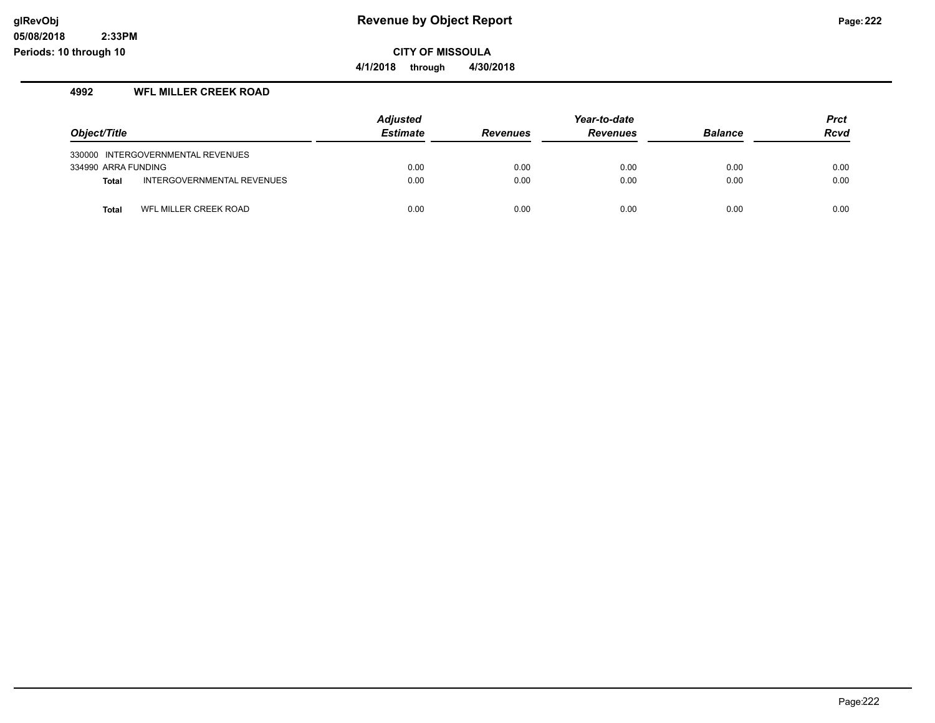**4/1/2018 through 4/30/2018**

## **4992 WFL MILLER CREEK ROAD**

|                     |                                   | <b>Adjusted</b> |                 | Year-to-date    |                | <b>Prct</b> |
|---------------------|-----------------------------------|-----------------|-----------------|-----------------|----------------|-------------|
| Object/Title        |                                   | <b>Estimate</b> | <b>Revenues</b> | <b>Revenues</b> | <b>Balance</b> | <b>Rcvd</b> |
|                     | 330000 INTERGOVERNMENTAL REVENUES |                 |                 |                 |                |             |
| 334990 ARRA FUNDING |                                   | 0.00            | 0.00            | 0.00            | 0.00           | 0.00        |
| <b>Total</b>        | INTERGOVERNMENTAL REVENUES        | 0.00            | 0.00            | 0.00            | 0.00           | 0.00        |
| Total               | WFL MILLER CREEK ROAD             | 0.00            | 0.00            | 0.00            | 0.00           | 0.00        |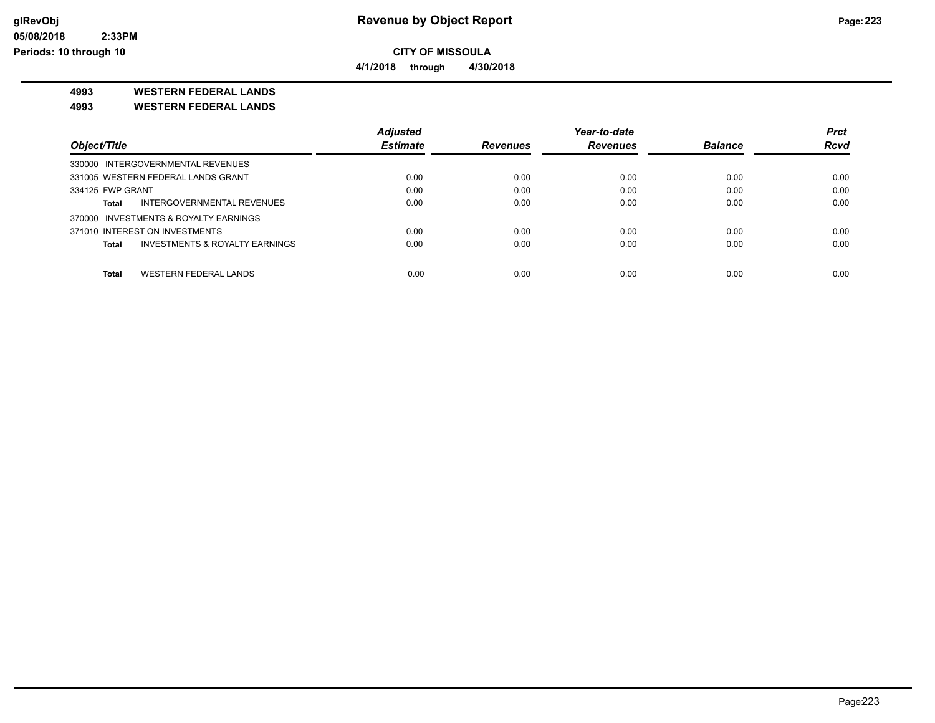**4/1/2018 through 4/30/2018**

**4993 WESTERN FEDERAL LANDS**

**4993 WESTERN FEDERAL LANDS**

|                                                    | <b>Adjusted</b> |                 | Year-to-date    |                | <b>Prct</b> |
|----------------------------------------------------|-----------------|-----------------|-----------------|----------------|-------------|
| Object/Title                                       | <b>Estimate</b> | <b>Revenues</b> | <b>Revenues</b> | <b>Balance</b> | <b>Rcvd</b> |
| 330000 INTERGOVERNMENTAL REVENUES                  |                 |                 |                 |                |             |
| 331005 WESTERN FEDERAL LANDS GRANT                 | 0.00            | 0.00            | 0.00            | 0.00           | 0.00        |
| 334125 FWP GRANT                                   | 0.00            | 0.00            | 0.00            | 0.00           | 0.00        |
| INTERGOVERNMENTAL REVENUES<br>Total                | 0.00            | 0.00            | 0.00            | 0.00           | 0.00        |
| 370000 INVESTMENTS & ROYALTY EARNINGS              |                 |                 |                 |                |             |
| 371010 INTEREST ON INVESTMENTS                     | 0.00            | 0.00            | 0.00            | 0.00           | 0.00        |
| <b>INVESTMENTS &amp; ROYALTY EARNINGS</b><br>Total | 0.00            | 0.00            | 0.00            | 0.00           | 0.00        |
|                                                    |                 |                 |                 |                |             |
| <b>WESTERN FEDERAL LANDS</b><br><b>Total</b>       | 0.00            | 0.00            | 0.00            | 0.00           | 0.00        |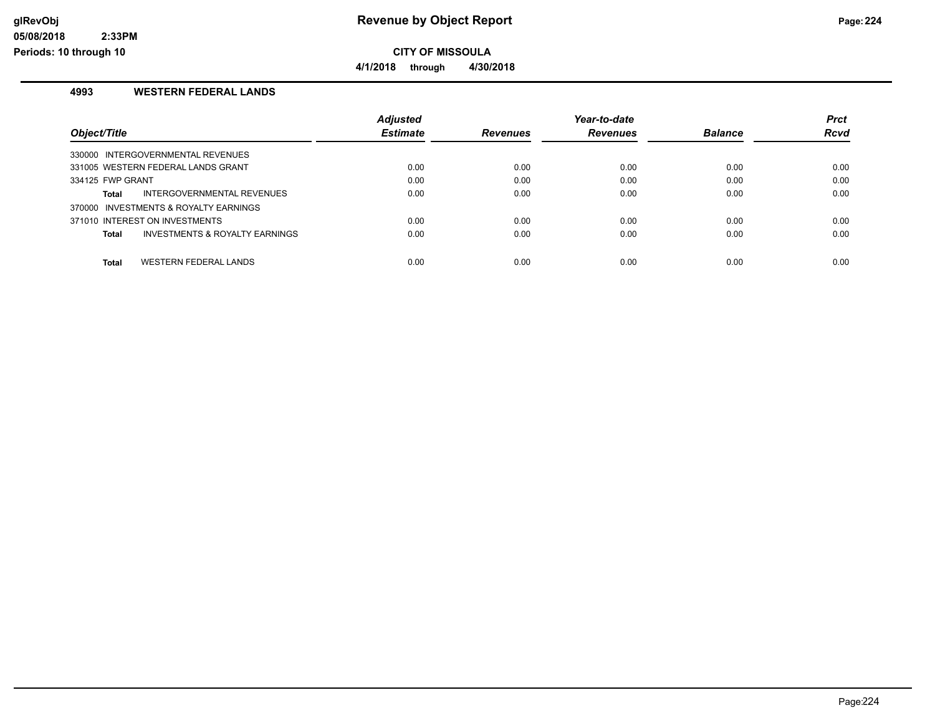**4/1/2018 through 4/30/2018**

## **4993 WESTERN FEDERAL LANDS**

|                                                    | <b>Adjusted</b> |                 | Year-to-date    |                | <b>Prct</b> |
|----------------------------------------------------|-----------------|-----------------|-----------------|----------------|-------------|
| Object/Title                                       | <b>Estimate</b> | <b>Revenues</b> | <b>Revenues</b> | <b>Balance</b> | <b>Rcvd</b> |
| 330000 INTERGOVERNMENTAL REVENUES                  |                 |                 |                 |                |             |
| 331005 WESTERN FEDERAL LANDS GRANT                 | 0.00            | 0.00            | 0.00            | 0.00           | 0.00        |
| 334125 FWP GRANT                                   | 0.00            | 0.00            | 0.00            | 0.00           | 0.00        |
| INTERGOVERNMENTAL REVENUES<br>Total                | 0.00            | 0.00            | 0.00            | 0.00           | 0.00        |
| 370000 INVESTMENTS & ROYALTY EARNINGS              |                 |                 |                 |                |             |
| 371010 INTEREST ON INVESTMENTS                     | 0.00            | 0.00            | 0.00            | 0.00           | 0.00        |
| <b>INVESTMENTS &amp; ROYALTY EARNINGS</b><br>Total | 0.00            | 0.00            | 0.00            | 0.00           | 0.00        |
|                                                    |                 |                 |                 |                |             |
| Total<br>WESTERN FEDERAL LANDS                     | 0.00            | 0.00            | 0.00            | 0.00           | 0.00        |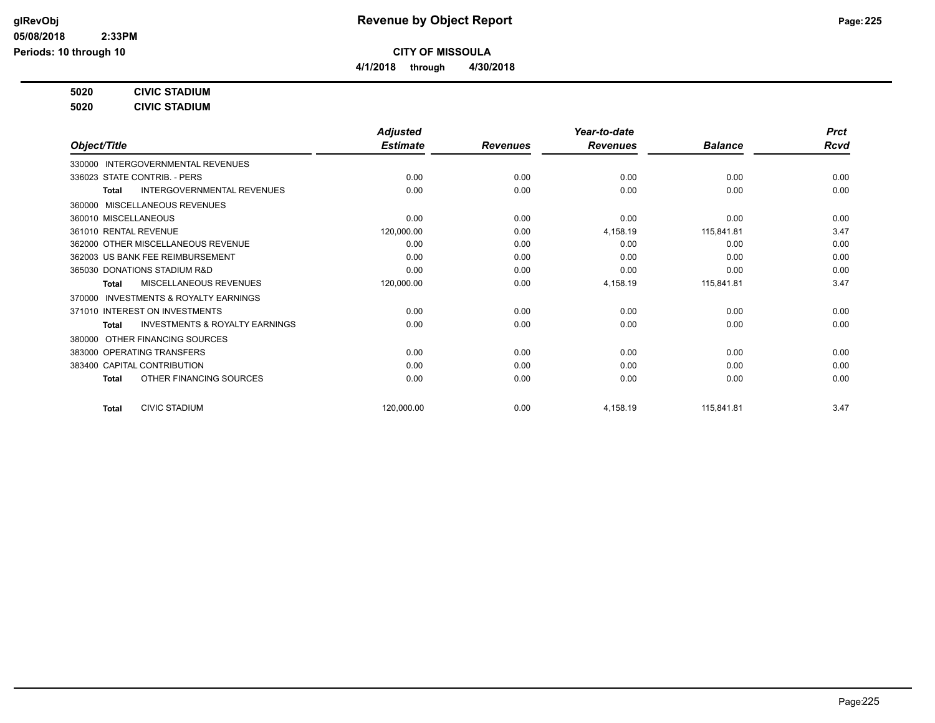**4/1/2018 through 4/30/2018**

**5020 CIVIC STADIUM**

**5020 CIVIC STADIUM**

|                                                           | <b>Adjusted</b> |                 | Year-to-date    |                | <b>Prct</b> |
|-----------------------------------------------------------|-----------------|-----------------|-----------------|----------------|-------------|
| Object/Title                                              | <b>Estimate</b> | <b>Revenues</b> | <b>Revenues</b> | <b>Balance</b> | Rcvd        |
| 330000 INTERGOVERNMENTAL REVENUES                         |                 |                 |                 |                |             |
| 336023 STATE CONTRIB. - PERS                              | 0.00            | 0.00            | 0.00            | 0.00           | 0.00        |
| <b>INTERGOVERNMENTAL REVENUES</b><br>Total                | 0.00            | 0.00            | 0.00            | 0.00           | 0.00        |
| MISCELLANEOUS REVENUES<br>360000                          |                 |                 |                 |                |             |
| 360010 MISCELLANEOUS                                      | 0.00            | 0.00            | 0.00            | 0.00           | 0.00        |
| 361010 RENTAL REVENUE                                     | 120,000.00      | 0.00            | 4,158.19        | 115,841.81     | 3.47        |
| 362000 OTHER MISCELLANEOUS REVENUE                        | 0.00            | 0.00            | 0.00            | 0.00           | 0.00        |
| 362003 US BANK FEE REIMBURSEMENT                          | 0.00            | 0.00            | 0.00            | 0.00           | 0.00        |
| 365030 DONATIONS STADIUM R&D                              | 0.00            | 0.00            | 0.00            | 0.00           | 0.00        |
| MISCELLANEOUS REVENUES<br>Total                           | 120,000.00      | 0.00            | 4,158.19        | 115,841.81     | 3.47        |
| <b>INVESTMENTS &amp; ROYALTY EARNINGS</b><br>370000       |                 |                 |                 |                |             |
| 371010 INTEREST ON INVESTMENTS                            | 0.00            | 0.00            | 0.00            | 0.00           | 0.00        |
| <b>INVESTMENTS &amp; ROYALTY EARNINGS</b><br><b>Total</b> | 0.00            | 0.00            | 0.00            | 0.00           | 0.00        |
| OTHER FINANCING SOURCES<br>380000                         |                 |                 |                 |                |             |
| 383000 OPERATING TRANSFERS                                | 0.00            | 0.00            | 0.00            | 0.00           | 0.00        |
| 383400 CAPITAL CONTRIBUTION                               | 0.00            | 0.00            | 0.00            | 0.00           | 0.00        |
| OTHER FINANCING SOURCES<br><b>Total</b>                   | 0.00            | 0.00            | 0.00            | 0.00           | 0.00        |
| <b>CIVIC STADIUM</b><br><b>Total</b>                      | 120,000.00      | 0.00            | 4,158.19        | 115,841.81     | 3.47        |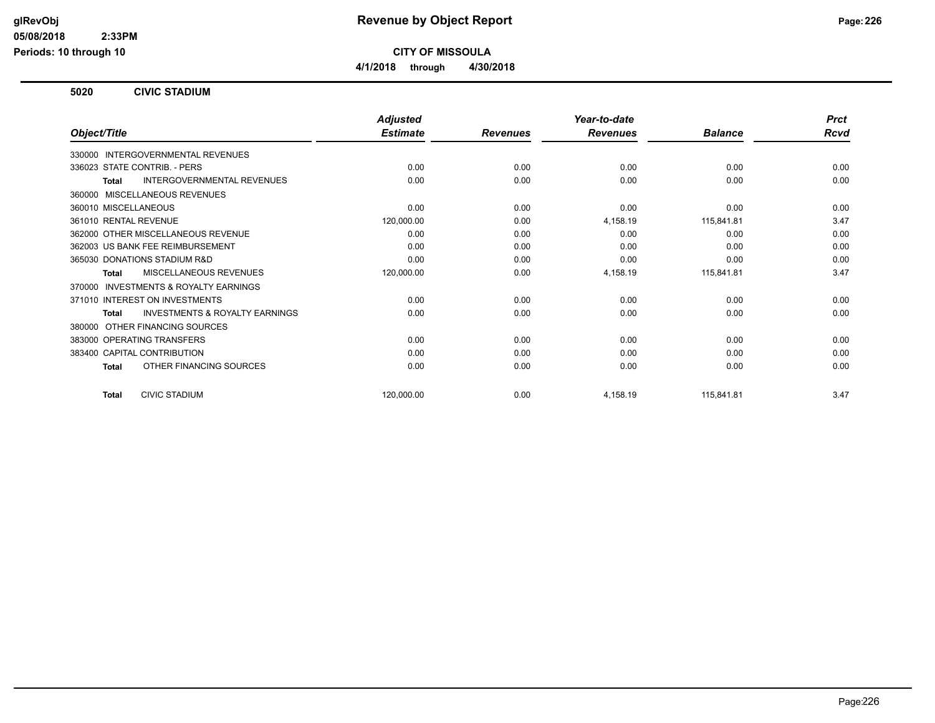**Periods: 10 through 10**

**CITY OF MISSOULA**

**4/1/2018 through 4/30/2018**

#### **5020 CIVIC STADIUM**

|                                                           | <b>Adjusted</b> |                 | Year-to-date    |                | <b>Prct</b> |
|-----------------------------------------------------------|-----------------|-----------------|-----------------|----------------|-------------|
| Object/Title                                              | <b>Estimate</b> | <b>Revenues</b> | <b>Revenues</b> | <b>Balance</b> | <b>Rcvd</b> |
| 330000 INTERGOVERNMENTAL REVENUES                         |                 |                 |                 |                |             |
| 336023 STATE CONTRIB. - PERS                              | 0.00            | 0.00            | 0.00            | 0.00           | 0.00        |
| <b>INTERGOVERNMENTAL REVENUES</b><br>Total                | 0.00            | 0.00            | 0.00            | 0.00           | 0.00        |
| 360000 MISCELLANEOUS REVENUES                             |                 |                 |                 |                |             |
| 360010 MISCELLANEOUS                                      | 0.00            | 0.00            | 0.00            | 0.00           | 0.00        |
| 361010 RENTAL REVENUE                                     | 120,000.00      | 0.00            | 4,158.19        | 115,841.81     | 3.47        |
| 362000 OTHER MISCELLANEOUS REVENUE                        | 0.00            | 0.00            | 0.00            | 0.00           | 0.00        |
| 362003 US BANK FEE REIMBURSEMENT                          | 0.00            | 0.00            | 0.00            | 0.00           | 0.00        |
| 365030 DONATIONS STADIUM R&D                              | 0.00            | 0.00            | 0.00            | 0.00           | 0.00        |
| MISCELLANEOUS REVENUES<br>Total                           | 120,000.00      | 0.00            | 4,158.19        | 115,841.81     | 3.47        |
| 370000 INVESTMENTS & ROYALTY EARNINGS                     |                 |                 |                 |                |             |
| 371010 INTEREST ON INVESTMENTS                            | 0.00            | 0.00            | 0.00            | 0.00           | 0.00        |
| <b>INVESTMENTS &amp; ROYALTY EARNINGS</b><br><b>Total</b> | 0.00            | 0.00            | 0.00            | 0.00           | 0.00        |
| 380000 OTHER FINANCING SOURCES                            |                 |                 |                 |                |             |
| 383000 OPERATING TRANSFERS                                | 0.00            | 0.00            | 0.00            | 0.00           | 0.00        |
| 383400 CAPITAL CONTRIBUTION                               | 0.00            | 0.00            | 0.00            | 0.00           | 0.00        |
| OTHER FINANCING SOURCES<br>Total                          | 0.00            | 0.00            | 0.00            | 0.00           | 0.00        |
| <b>CIVIC STADIUM</b><br><b>Total</b>                      | 120,000.00      | 0.00            | 4.158.19        | 115,841.81     | 3.47        |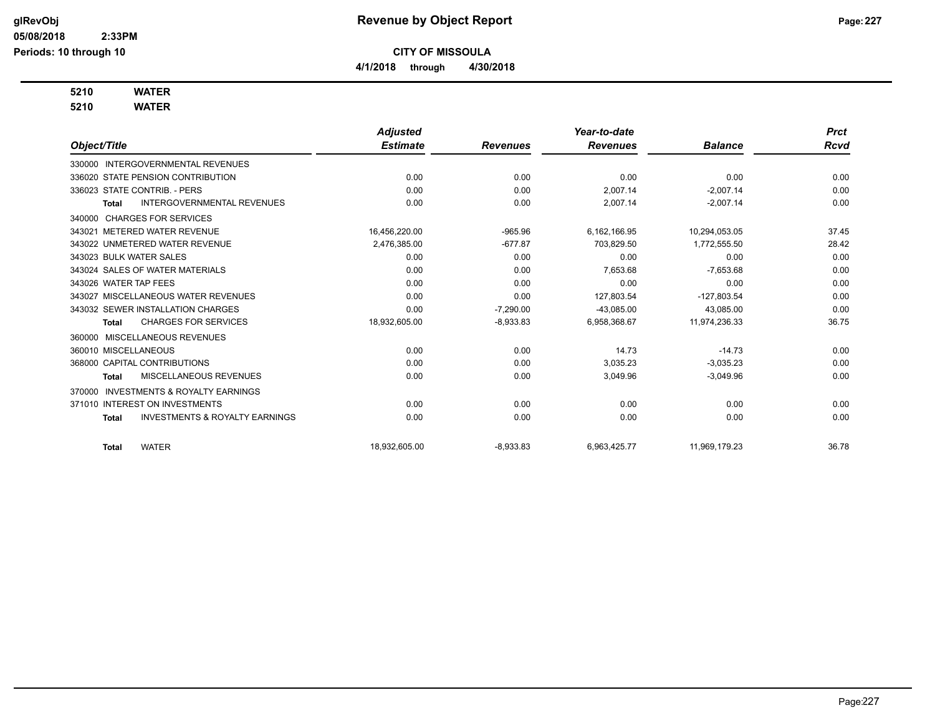**4/1/2018 through 4/30/2018**

# **5210 WATER**

**5210 WATER**

|                                                           | <b>Adjusted</b> |                 | Year-to-date    |                | <b>Prct</b> |
|-----------------------------------------------------------|-----------------|-----------------|-----------------|----------------|-------------|
| Object/Title                                              | <b>Estimate</b> | <b>Revenues</b> | <b>Revenues</b> | <b>Balance</b> | Rcvd        |
| 330000 INTERGOVERNMENTAL REVENUES                         |                 |                 |                 |                |             |
| 336020 STATE PENSION CONTRIBUTION                         | 0.00            | 0.00            | 0.00            | 0.00           | 0.00        |
| 336023 STATE CONTRIB. - PERS                              | 0.00            | 0.00            | 2,007.14        | $-2,007.14$    | 0.00        |
| <b>INTERGOVERNMENTAL REVENUES</b><br><b>Total</b>         | 0.00            | 0.00            | 2,007.14        | $-2,007.14$    | 0.00        |
| 340000 CHARGES FOR SERVICES                               |                 |                 |                 |                |             |
| 343021 METERED WATER REVENUE                              | 16,456,220.00   | $-965.96$       | 6,162,166.95    | 10,294,053.05  | 37.45       |
| 343022 UNMETERED WATER REVENUE                            | 2,476,385.00    | $-677.87$       | 703,829.50      | 1,772,555.50   | 28.42       |
| 343023 BULK WATER SALES                                   | 0.00            | 0.00            | 0.00            | 0.00           | 0.00        |
| 343024 SALES OF WATER MATERIALS                           | 0.00            | 0.00            | 7,653.68        | $-7,653.68$    | 0.00        |
| 343026 WATER TAP FEES                                     | 0.00            | 0.00            | 0.00            | 0.00           | 0.00        |
| 343027 MISCELLANEOUS WATER REVENUES                       | 0.00            | 0.00            | 127,803.54      | $-127,803.54$  | 0.00        |
| 343032 SEWER INSTALLATION CHARGES                         | 0.00            | $-7,290.00$     | $-43,085.00$    | 43,085.00      | 0.00        |
| <b>CHARGES FOR SERVICES</b><br><b>Total</b>               | 18,932,605.00   | $-8,933.83$     | 6,958,368.67    | 11,974,236.33  | 36.75       |
| 360000 MISCELLANEOUS REVENUES                             |                 |                 |                 |                |             |
| 360010 MISCELLANEOUS                                      | 0.00            | 0.00            | 14.73           | $-14.73$       | 0.00        |
| 368000 CAPITAL CONTRIBUTIONS                              | 0.00            | 0.00            | 3.035.23        | $-3,035.23$    | 0.00        |
| MISCELLANEOUS REVENUES<br><b>Total</b>                    | 0.00            | 0.00            | 3,049.96        | $-3,049.96$    | 0.00        |
| <b>INVESTMENTS &amp; ROYALTY EARNINGS</b><br>370000       |                 |                 |                 |                |             |
| 371010 INTEREST ON INVESTMENTS                            | 0.00            | 0.00            | 0.00            | 0.00           | 0.00        |
| <b>INVESTMENTS &amp; ROYALTY EARNINGS</b><br><b>Total</b> | 0.00            | 0.00            | 0.00            | 0.00           | 0.00        |
|                                                           |                 |                 |                 |                |             |
| <b>WATER</b><br><b>Total</b>                              | 18,932,605.00   | $-8,933.83$     | 6,963,425.77    | 11,969,179.23  | 36.78       |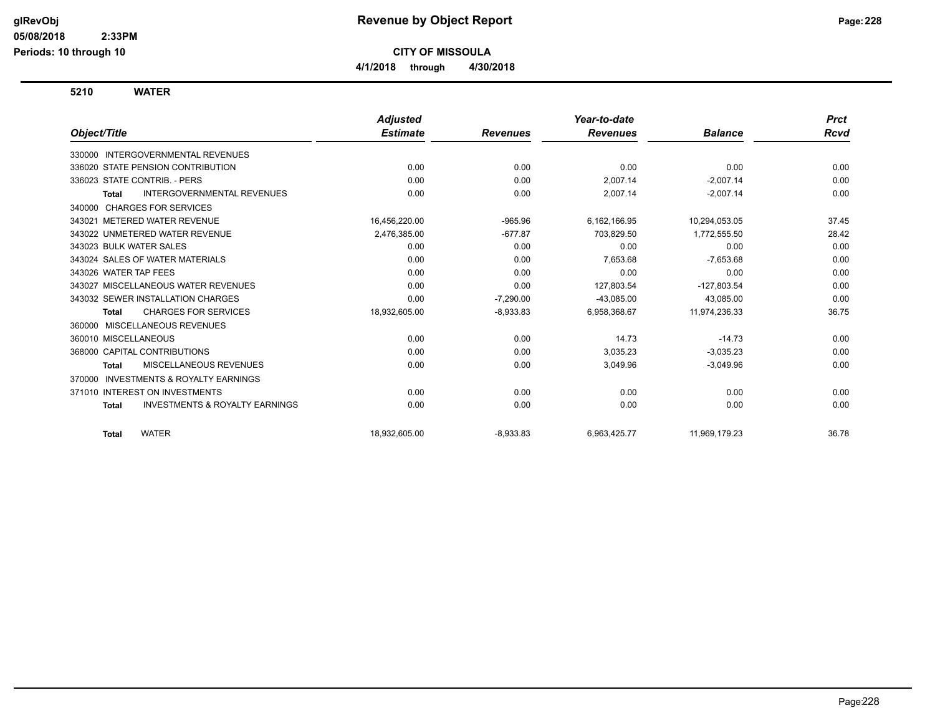**4/1/2018 through 4/30/2018**

**5210 WATER**

|                                                           | <b>Adjusted</b> |                 | Year-to-date    |                | <b>Prct</b> |
|-----------------------------------------------------------|-----------------|-----------------|-----------------|----------------|-------------|
| Object/Title                                              | <b>Estimate</b> | <b>Revenues</b> | <b>Revenues</b> | <b>Balance</b> | Rcvd        |
| <b>INTERGOVERNMENTAL REVENUES</b><br>330000               |                 |                 |                 |                |             |
| 336020 STATE PENSION CONTRIBUTION                         | 0.00            | 0.00            | 0.00            | 0.00           | 0.00        |
| 336023 STATE CONTRIB. - PERS                              | 0.00            | 0.00            | 2,007.14        | $-2,007.14$    | 0.00        |
| <b>INTERGOVERNMENTAL REVENUES</b><br><b>Total</b>         | 0.00            | 0.00            | 2,007.14        | $-2,007.14$    | 0.00        |
| <b>CHARGES FOR SERVICES</b><br>340000                     |                 |                 |                 |                |             |
| 343021 METERED WATER REVENUE                              | 16,456,220.00   | $-965.96$       | 6,162,166.95    | 10,294,053.05  | 37.45       |
| 343022 UNMETERED WATER REVENUE                            | 2,476,385.00    | $-677.87$       | 703,829.50      | 1,772,555.50   | 28.42       |
| 343023 BULK WATER SALES                                   | 0.00            | 0.00            | 0.00            | 0.00           | 0.00        |
| 343024 SALES OF WATER MATERIALS                           | 0.00            | 0.00            | 7,653.68        | $-7,653.68$    | 0.00        |
| 343026 WATER TAP FEES                                     | 0.00            | 0.00            | 0.00            | 0.00           | 0.00        |
| 343027 MISCELLANEOUS WATER REVENUES                       | 0.00            | 0.00            | 127,803.54      | $-127,803.54$  | 0.00        |
| 343032 SEWER INSTALLATION CHARGES                         | 0.00            | $-7,290.00$     | $-43,085.00$    | 43,085.00      | 0.00        |
| <b>CHARGES FOR SERVICES</b><br><b>Total</b>               | 18,932,605.00   | $-8,933.83$     | 6,958,368.67    | 11,974,236.33  | 36.75       |
| 360000 MISCELLANEOUS REVENUES                             |                 |                 |                 |                |             |
| 360010 MISCELLANEOUS                                      | 0.00            | 0.00            | 14.73           | $-14.73$       | 0.00        |
| 368000 CAPITAL CONTRIBUTIONS                              | 0.00            | 0.00            | 3,035.23        | $-3,035.23$    | 0.00        |
| <b>MISCELLANEOUS REVENUES</b><br><b>Total</b>             | 0.00            | 0.00            | 3,049.96        | $-3,049.96$    | 0.00        |
| <b>INVESTMENTS &amp; ROYALTY EARNINGS</b><br>370000       |                 |                 |                 |                |             |
| 371010 INTEREST ON INVESTMENTS                            | 0.00            | 0.00            | 0.00            | 0.00           | 0.00        |
| <b>INVESTMENTS &amp; ROYALTY EARNINGS</b><br><b>Total</b> | 0.00            | 0.00            | 0.00            | 0.00           | 0.00        |
| <b>WATER</b><br><b>Total</b>                              | 18.932.605.00   | $-8,933.83$     | 6,963,425.77    | 11,969,179.23  | 36.78       |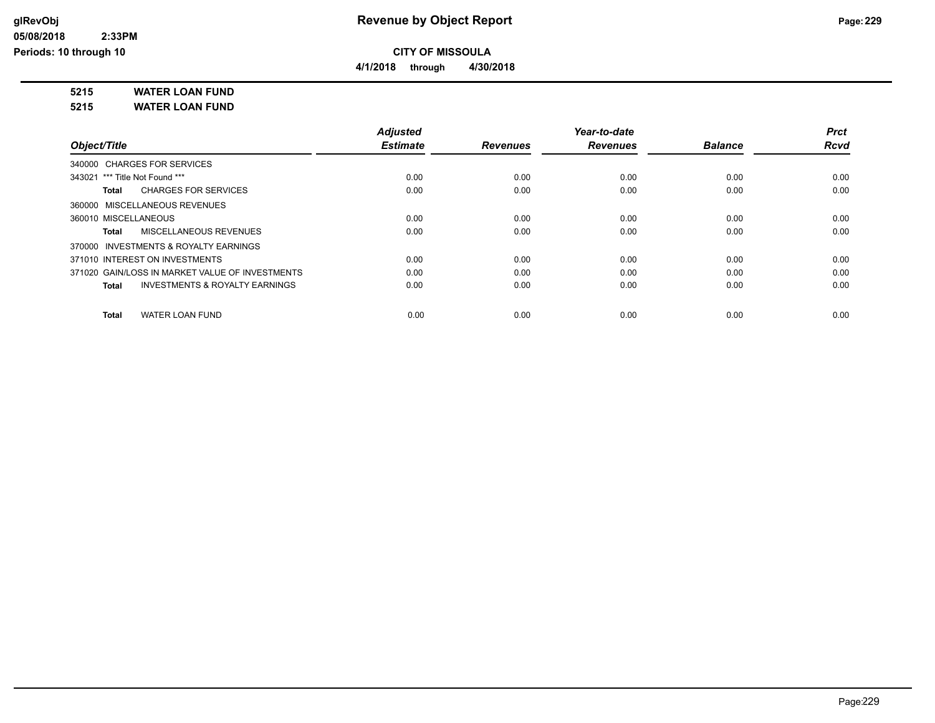**4/1/2018 through 4/30/2018**

**5215 WATER LOAN FUND**

**5215 WATER LOAN FUND**

|                                                 | <b>Adjusted</b> |                 | Year-to-date    |                | <b>Prct</b> |
|-------------------------------------------------|-----------------|-----------------|-----------------|----------------|-------------|
| Object/Title                                    | <b>Estimate</b> | <b>Revenues</b> | <b>Revenues</b> | <b>Balance</b> | <b>Rcvd</b> |
| 340000 CHARGES FOR SERVICES                     |                 |                 |                 |                |             |
| 343021 *** Title Not Found ***                  | 0.00            | 0.00            | 0.00            | 0.00           | 0.00        |
| <b>CHARGES FOR SERVICES</b><br>Total            | 0.00            | 0.00            | 0.00            | 0.00           | 0.00        |
| 360000 MISCELLANEOUS REVENUES                   |                 |                 |                 |                |             |
| 360010 MISCELLANEOUS                            | 0.00            | 0.00            | 0.00            | 0.00           | 0.00        |
| <b>MISCELLANEOUS REVENUES</b><br>Total          | 0.00            | 0.00            | 0.00            | 0.00           | 0.00        |
| 370000 INVESTMENTS & ROYALTY EARNINGS           |                 |                 |                 |                |             |
| 371010 INTEREST ON INVESTMENTS                  | 0.00            | 0.00            | 0.00            | 0.00           | 0.00        |
| 371020 GAIN/LOSS IN MARKET VALUE OF INVESTMENTS | 0.00            | 0.00            | 0.00            | 0.00           | 0.00        |
| INVESTMENTS & ROYALTY EARNINGS<br>Total         | 0.00            | 0.00            | 0.00            | 0.00           | 0.00        |
| <b>WATER LOAN FUND</b><br>Total                 | 0.00            | 0.00            | 0.00            | 0.00           | 0.00        |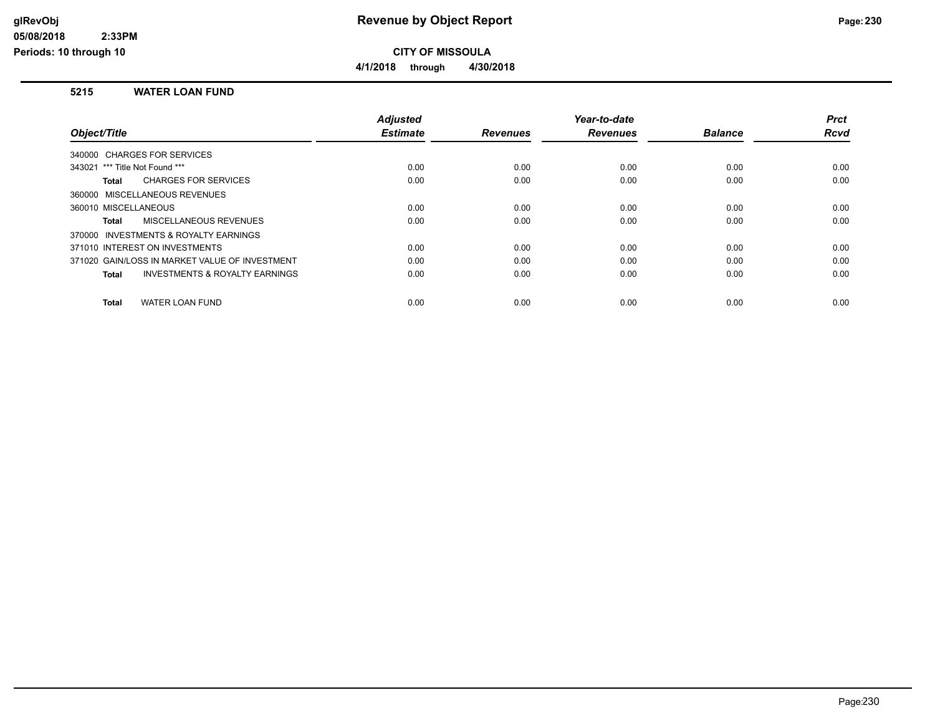**4/1/2018 through 4/30/2018**

#### **5215 WATER LOAN FUND**

|                                                    | <b>Adjusted</b> |                 | Year-to-date    |                | <b>Prct</b> |
|----------------------------------------------------|-----------------|-----------------|-----------------|----------------|-------------|
| Object/Title                                       | <b>Estimate</b> | <b>Revenues</b> | <b>Revenues</b> | <b>Balance</b> | <b>Rcvd</b> |
| 340000 CHARGES FOR SERVICES                        |                 |                 |                 |                |             |
| 343021 *** Title Not Found ***                     | 0.00            | 0.00            | 0.00            | 0.00           | 0.00        |
| <b>CHARGES FOR SERVICES</b><br>Total               | 0.00            | 0.00            | 0.00            | 0.00           | 0.00        |
| 360000 MISCELLANEOUS REVENUES                      |                 |                 |                 |                |             |
| 360010 MISCELLANEOUS                               | 0.00            | 0.00            | 0.00            | 0.00           | 0.00        |
| MISCELLANEOUS REVENUES<br>Total                    | 0.00            | 0.00            | 0.00            | 0.00           | 0.00        |
| 370000 INVESTMENTS & ROYALTY EARNINGS              |                 |                 |                 |                |             |
| 371010 INTEREST ON INVESTMENTS                     | 0.00            | 0.00            | 0.00            | 0.00           | 0.00        |
| 371020 GAIN/LOSS IN MARKET VALUE OF INVESTMENT     | 0.00            | 0.00            | 0.00            | 0.00           | 0.00        |
| <b>INVESTMENTS &amp; ROYALTY EARNINGS</b><br>Total | 0.00            | 0.00            | 0.00            | 0.00           | 0.00        |
|                                                    |                 |                 |                 |                |             |
| <b>WATER LOAN FUND</b><br><b>Total</b>             | 0.00            | 0.00            | 0.00            | 0.00           | 0.00        |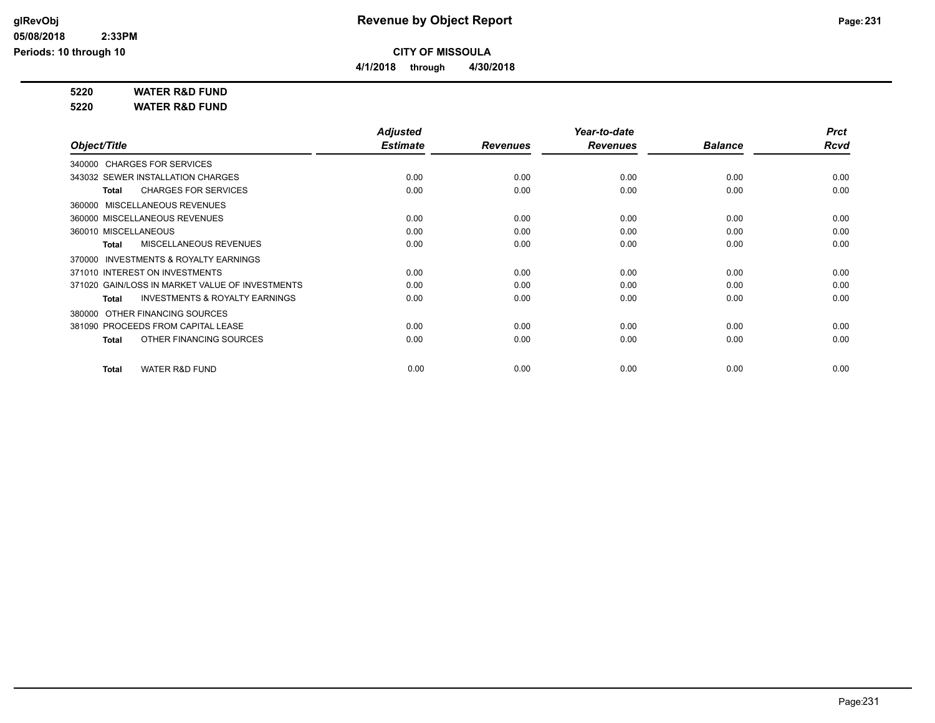**4/1/2018 through 4/30/2018**

**5220 WATER R&D FUND**

**5220 WATER R&D FUND**

|                                                    | <b>Adjusted</b> |                 | Year-to-date    |                | <b>Prct</b> |
|----------------------------------------------------|-----------------|-----------------|-----------------|----------------|-------------|
| Object/Title                                       | <b>Estimate</b> | <b>Revenues</b> | <b>Revenues</b> | <b>Balance</b> | <b>Rcvd</b> |
| 340000 CHARGES FOR SERVICES                        |                 |                 |                 |                |             |
| 343032 SEWER INSTALLATION CHARGES                  | 0.00            | 0.00            | 0.00            | 0.00           | 0.00        |
| <b>CHARGES FOR SERVICES</b><br>Total               | 0.00            | 0.00            | 0.00            | 0.00           | 0.00        |
| 360000 MISCELLANEOUS REVENUES                      |                 |                 |                 |                |             |
| 360000 MISCELLANEOUS REVENUES                      | 0.00            | 0.00            | 0.00            | 0.00           | 0.00        |
| 360010 MISCELLANEOUS                               | 0.00            | 0.00            | 0.00            | 0.00           | 0.00        |
| MISCELLANEOUS REVENUES<br>Total                    | 0.00            | 0.00            | 0.00            | 0.00           | 0.00        |
| 370000 INVESTMENTS & ROYALTY EARNINGS              |                 |                 |                 |                |             |
| 371010 INTEREST ON INVESTMENTS                     | 0.00            | 0.00            | 0.00            | 0.00           | 0.00        |
| 371020 GAIN/LOSS IN MARKET VALUE OF INVESTMENTS    | 0.00            | 0.00            | 0.00            | 0.00           | 0.00        |
| <b>INVESTMENTS &amp; ROYALTY EARNINGS</b><br>Total | 0.00            | 0.00            | 0.00            | 0.00           | 0.00        |
| 380000 OTHER FINANCING SOURCES                     |                 |                 |                 |                |             |
| 381090 PROCEEDS FROM CAPITAL LEASE                 | 0.00            | 0.00            | 0.00            | 0.00           | 0.00        |
| OTHER FINANCING SOURCES<br>Total                   | 0.00            | 0.00            | 0.00            | 0.00           | 0.00        |
| <b>WATER R&amp;D FUND</b><br>Total                 | 0.00            | 0.00            | 0.00            | 0.00           | 0.00        |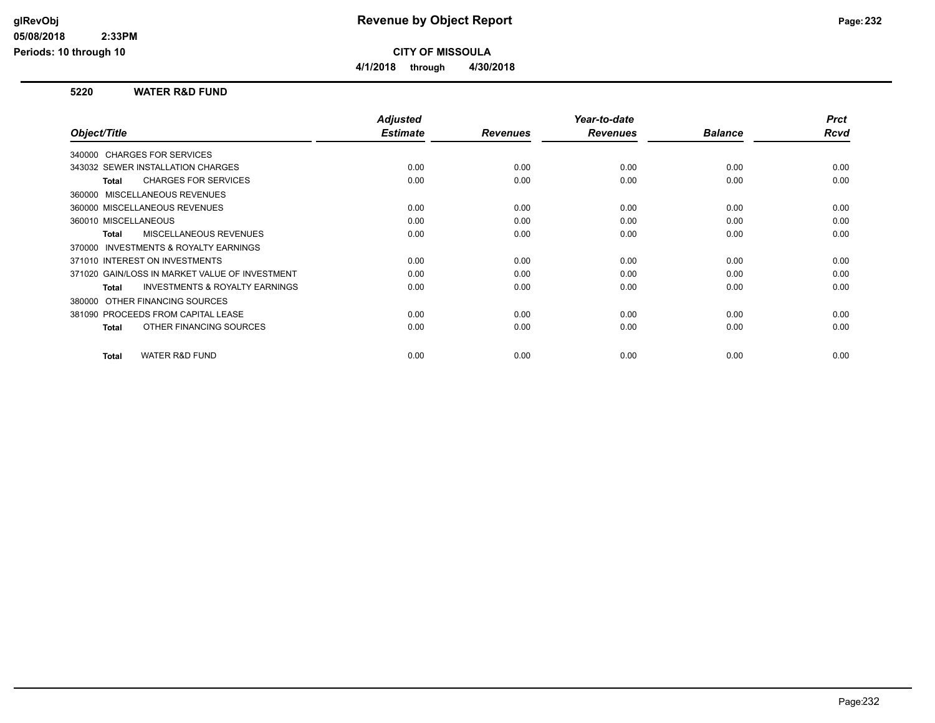**4/1/2018 through 4/30/2018**

#### **5220 WATER R&D FUND**

|                                                     | <b>Adjusted</b> |                 | Year-to-date    |                | <b>Prct</b> |
|-----------------------------------------------------|-----------------|-----------------|-----------------|----------------|-------------|
| Object/Title                                        | <b>Estimate</b> | <b>Revenues</b> | <b>Revenues</b> | <b>Balance</b> | Rcvd        |
| 340000 CHARGES FOR SERVICES                         |                 |                 |                 |                |             |
| 343032 SEWER INSTALLATION CHARGES                   | 0.00            | 0.00            | 0.00            | 0.00           | 0.00        |
| <b>CHARGES FOR SERVICES</b><br>Total                | 0.00            | 0.00            | 0.00            | 0.00           | 0.00        |
| 360000 MISCELLANEOUS REVENUES                       |                 |                 |                 |                |             |
| 360000 MISCELLANEOUS REVENUES                       | 0.00            | 0.00            | 0.00            | 0.00           | 0.00        |
| 360010 MISCELLANEOUS                                | 0.00            | 0.00            | 0.00            | 0.00           | 0.00        |
| MISCELLANEOUS REVENUES<br>Total                     | 0.00            | 0.00            | 0.00            | 0.00           | 0.00        |
| <b>INVESTMENTS &amp; ROYALTY EARNINGS</b><br>370000 |                 |                 |                 |                |             |
| 371010 INTEREST ON INVESTMENTS                      | 0.00            | 0.00            | 0.00            | 0.00           | 0.00        |
| 371020 GAIN/LOSS IN MARKET VALUE OF INVESTMENT      | 0.00            | 0.00            | 0.00            | 0.00           | 0.00        |
| <b>INVESTMENTS &amp; ROYALTY EARNINGS</b><br>Total  | 0.00            | 0.00            | 0.00            | 0.00           | 0.00        |
| 380000 OTHER FINANCING SOURCES                      |                 |                 |                 |                |             |
| 381090 PROCEEDS FROM CAPITAL LEASE                  | 0.00            | 0.00            | 0.00            | 0.00           | 0.00        |
| OTHER FINANCING SOURCES<br>Total                    | 0.00            | 0.00            | 0.00            | 0.00           | 0.00        |
|                                                     |                 |                 |                 |                |             |
| <b>WATER R&amp;D FUND</b><br>Total                  | 0.00            | 0.00            | 0.00            | 0.00           | 0.00        |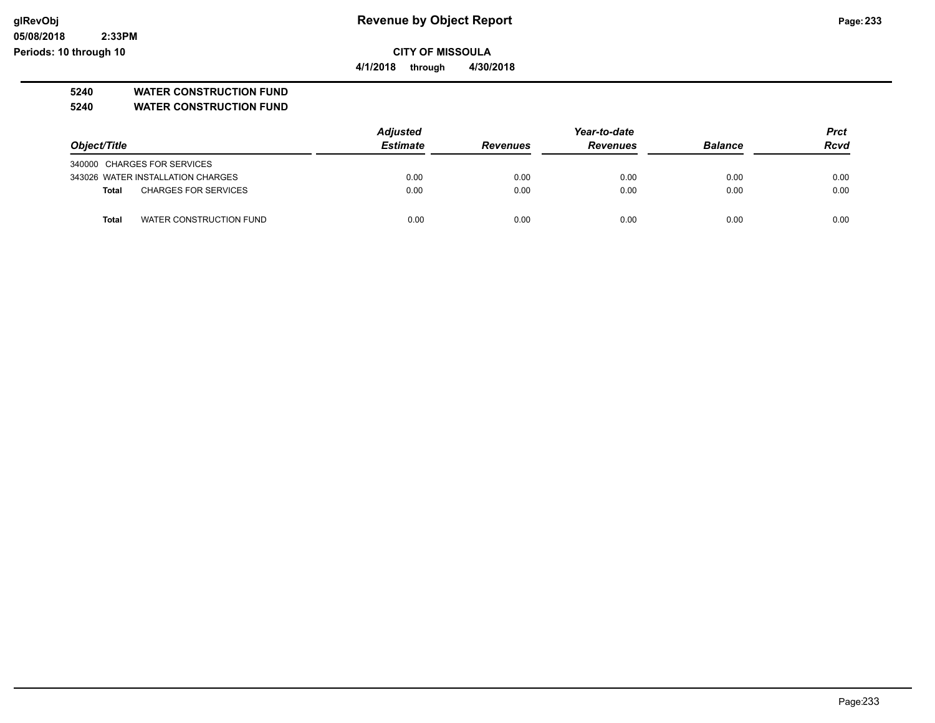**05/08/2018 2:33PM Periods: 10 through 10**

**CITY OF MISSOULA**

**4/1/2018 through 4/30/2018**

# **5240 WATER CONSTRUCTION FUND**

**5240 WATER CONSTRUCTION FUND**

|              |                                   | <b>Adjusted</b> |                 | Year-to-date    |                | Prct |
|--------------|-----------------------------------|-----------------|-----------------|-----------------|----------------|------|
| Object/Title |                                   | <b>Estimate</b> | <b>Revenues</b> | <b>Revenues</b> | <b>Balance</b> | Rcvd |
|              | 340000 CHARGES FOR SERVICES       |                 |                 |                 |                |      |
|              | 343026 WATER INSTALLATION CHARGES | 0.00            | 0.00            | 0.00            | 0.00           | 0.00 |
| Total        | <b>CHARGES FOR SERVICES</b>       | 0.00            | 0.00            | 0.00            | 0.00           | 0.00 |
| <b>Total</b> | WATER CONSTRUCTION FUND           | 0.00            | 0.00            | 0.00            | 0.00           | 0.00 |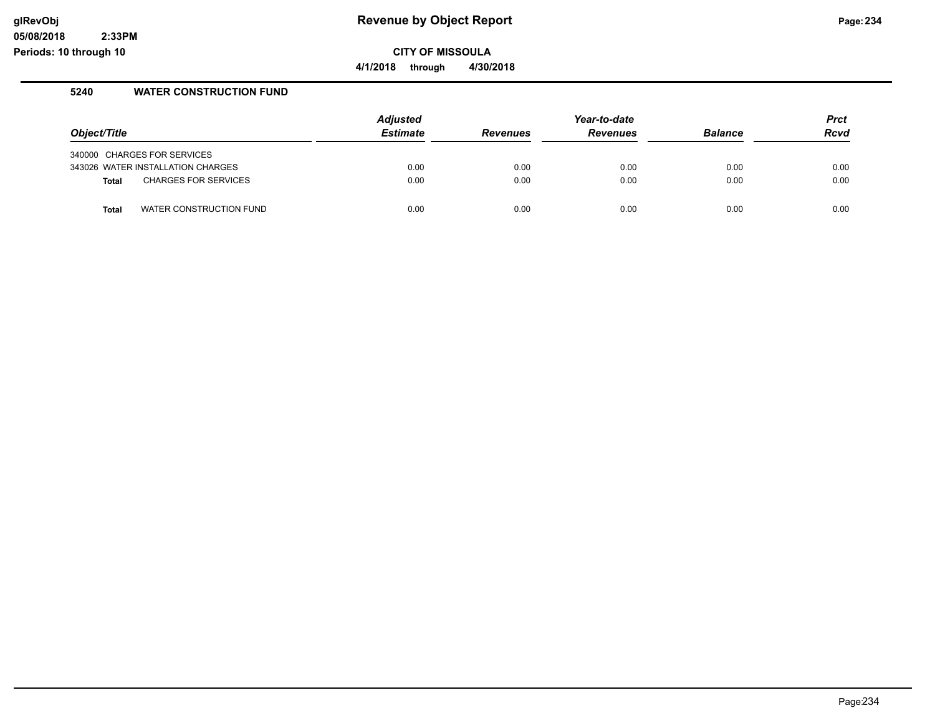**4/1/2018 through 4/30/2018**

## **5240 WATER CONSTRUCTION FUND**

|              |                                   | <b>Adjusted</b> | Year-to-date    |                 |                | Prct        |
|--------------|-----------------------------------|-----------------|-----------------|-----------------|----------------|-------------|
| Object/Title |                                   | <b>Estimate</b> | <b>Revenues</b> | <b>Revenues</b> | <b>Balance</b> | <b>Rcvd</b> |
|              | 340000 CHARGES FOR SERVICES       |                 |                 |                 |                |             |
|              | 343026 WATER INSTALLATION CHARGES | 0.00            | 0.00            | 0.00            | 0.00           | 0.00        |
| <b>Total</b> | <b>CHARGES FOR SERVICES</b>       | 0.00            | 0.00            | 0.00            | 0.00           | 0.00        |
| <b>Total</b> | WATER CONSTRUCTION FUND           | 0.00            | 0.00            | 0.00            | 0.00           | 0.00        |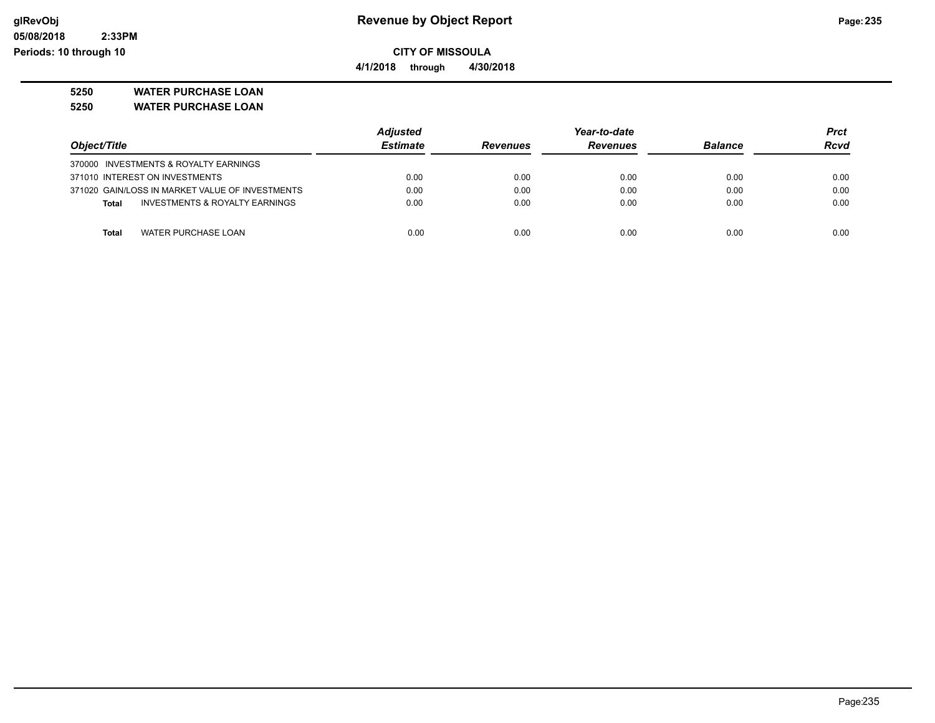**4/1/2018 through 4/30/2018**

**5250 WATER PURCHASE LOAN**

**5250 WATER PURCHASE LOAN**

| Object/Title                                              | <b>Adjusted</b> |                 | Year-to-date    |                | Prct |
|-----------------------------------------------------------|-----------------|-----------------|-----------------|----------------|------|
|                                                           | <b>Estimate</b> | <b>Revenues</b> | <b>Revenues</b> | <b>Balance</b> | Rcvd |
| 370000 INVESTMENTS & ROYALTY EARNINGS                     |                 |                 |                 |                |      |
| 371010 INTEREST ON INVESTMENTS                            | 0.00            | 0.00            | 0.00            | 0.00           | 0.00 |
| 371020 GAIN/LOSS IN MARKET VALUE OF INVESTMENTS           | 0.00            | 0.00            | 0.00            | 0.00           | 0.00 |
| <b>INVESTMENTS &amp; ROYALTY EARNINGS</b><br><b>Total</b> | 0.00            | 0.00            | 0.00            | 0.00           | 0.00 |
|                                                           |                 |                 |                 |                |      |
| Total<br>WATER PURCHASE LOAN                              | 0.00            | 0.00            | 0.00            | 0.00           | 0.00 |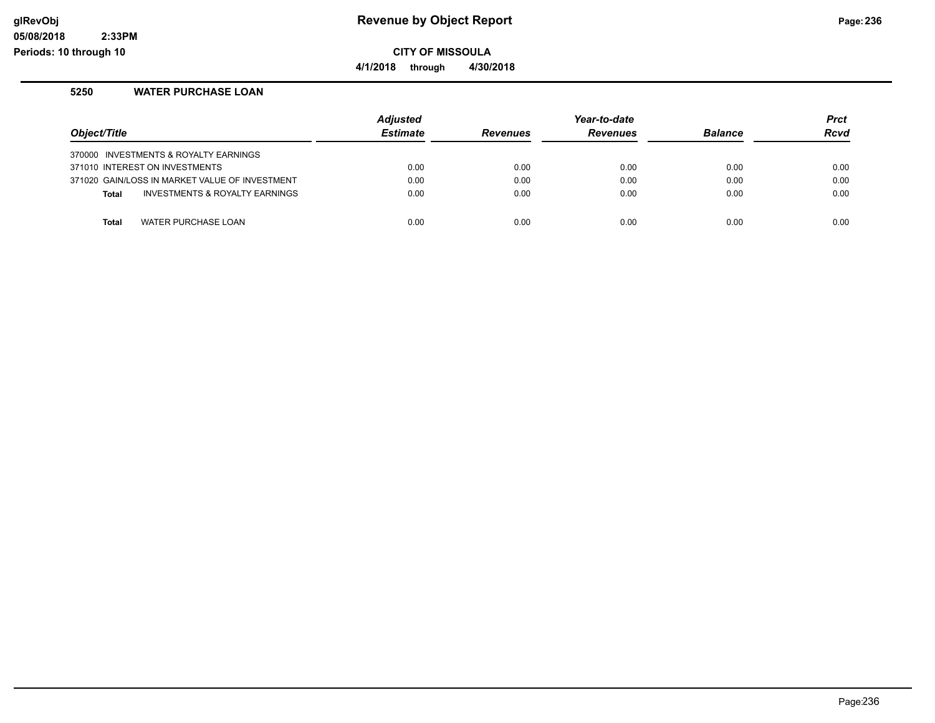**4/1/2018 through 4/30/2018**

## **5250 WATER PURCHASE LOAN**

| Object/Title                                              | <b>Adjusted</b><br><b>Estimate</b> | <b>Revenues</b> | Year-to-date<br><b>Revenues</b> | <b>Balance</b> | <b>Prct</b><br>Rcvd |
|-----------------------------------------------------------|------------------------------------|-----------------|---------------------------------|----------------|---------------------|
| 370000 INVESTMENTS & ROYALTY EARNINGS                     |                                    |                 |                                 |                |                     |
| 371010 INTEREST ON INVESTMENTS                            | 0.00                               | 0.00            | 0.00                            | 0.00           | 0.00                |
| 371020 GAIN/LOSS IN MARKET VALUE OF INVESTMENT            | 0.00                               | 0.00            | 0.00                            | 0.00           | 0.00                |
| <b>INVESTMENTS &amp; ROYALTY EARNINGS</b><br><b>Total</b> | 0.00                               | 0.00            | 0.00                            | 0.00           | 0.00                |
|                                                           |                                    |                 |                                 |                |                     |
| WATER PURCHASE LOAN<br>Total                              | 0.00                               | 0.00            | 0.00                            | 0.00           | 0.00                |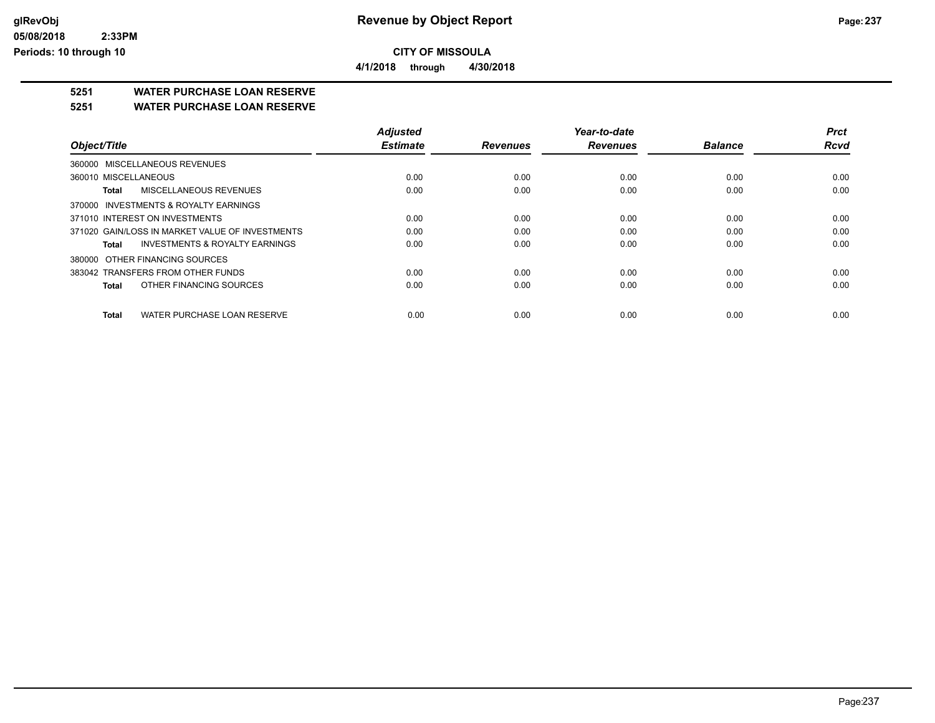**4/1/2018 through 4/30/2018**

# **5251 WATER PURCHASE LOAN RESERVE**

## **5251 WATER PURCHASE LOAN RESERVE**

|                                                    | <b>Adjusted</b> |                 | Year-to-date    |                | <b>Prct</b> |
|----------------------------------------------------|-----------------|-----------------|-----------------|----------------|-------------|
| Object/Title                                       | <b>Estimate</b> | <b>Revenues</b> | <b>Revenues</b> | <b>Balance</b> | <b>Rcvd</b> |
| 360000 MISCELLANEOUS REVENUES                      |                 |                 |                 |                |             |
| 360010 MISCELLANEOUS                               | 0.00            | 0.00            | 0.00            | 0.00           | 0.00        |
| MISCELLANEOUS REVENUES<br>Total                    | 0.00            | 0.00            | 0.00            | 0.00           | 0.00        |
| 370000 INVESTMENTS & ROYALTY EARNINGS              |                 |                 |                 |                |             |
| 371010 INTEREST ON INVESTMENTS                     | 0.00            | 0.00            | 0.00            | 0.00           | 0.00        |
| 371020 GAIN/LOSS IN MARKET VALUE OF INVESTMENTS    | 0.00            | 0.00            | 0.00            | 0.00           | 0.00        |
| <b>INVESTMENTS &amp; ROYALTY EARNINGS</b><br>Total | 0.00            | 0.00            | 0.00            | 0.00           | 0.00        |
| 380000 OTHER FINANCING SOURCES                     |                 |                 |                 |                |             |
| 383042 TRANSFERS FROM OTHER FUNDS                  | 0.00            | 0.00            | 0.00            | 0.00           | 0.00        |
| OTHER FINANCING SOURCES<br>Total                   | 0.00            | 0.00            | 0.00            | 0.00           | 0.00        |
| WATER PURCHASE LOAN RESERVE<br>Total               | 0.00            | 0.00            | 0.00            | 0.00           | 0.00        |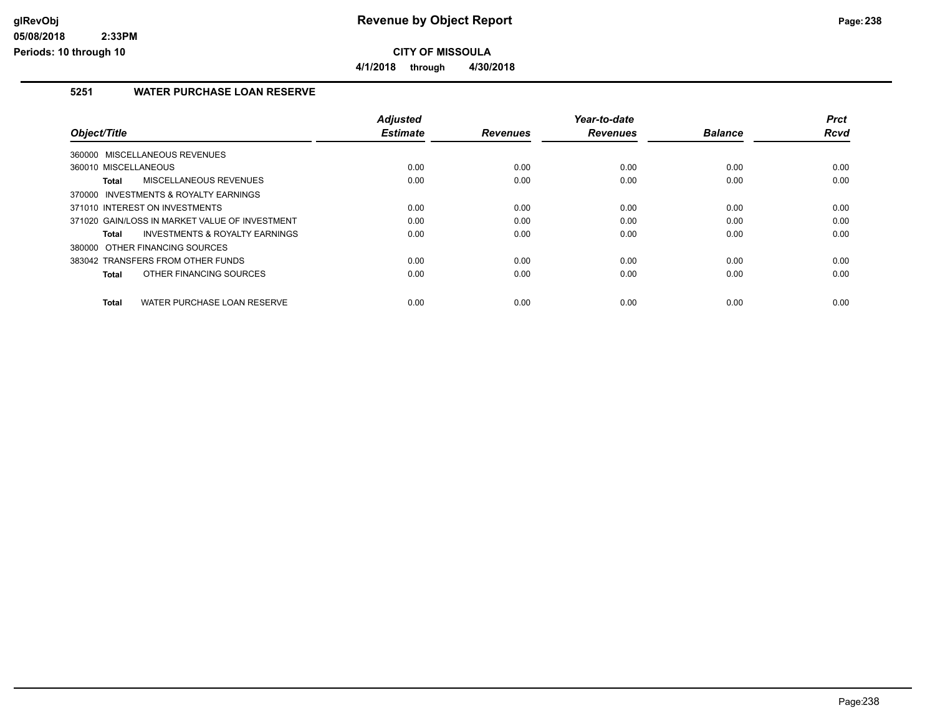**4/1/2018 through 4/30/2018**

## **5251 WATER PURCHASE LOAN RESERVE**

|                                                           | <b>Adjusted</b> |                 | Year-to-date    |                | <b>Prct</b> |
|-----------------------------------------------------------|-----------------|-----------------|-----------------|----------------|-------------|
| Object/Title                                              | <b>Estimate</b> | <b>Revenues</b> | <b>Revenues</b> | <b>Balance</b> | <b>Rcvd</b> |
| <b>MISCELLANEOUS REVENUES</b><br>360000                   |                 |                 |                 |                |             |
| 360010 MISCELLANEOUS                                      | 0.00            | 0.00            | 0.00            | 0.00           | 0.00        |
| MISCELLANEOUS REVENUES<br>Total                           | 0.00            | 0.00            | 0.00            | 0.00           | 0.00        |
| INVESTMENTS & ROYALTY EARNINGS<br>370000                  |                 |                 |                 |                |             |
| 371010 INTEREST ON INVESTMENTS                            | 0.00            | 0.00            | 0.00            | 0.00           | 0.00        |
| 371020 GAIN/LOSS IN MARKET VALUE OF INVESTMENT            | 0.00            | 0.00            | 0.00            | 0.00           | 0.00        |
| <b>INVESTMENTS &amp; ROYALTY EARNINGS</b><br><b>Total</b> | 0.00            | 0.00            | 0.00            | 0.00           | 0.00        |
| OTHER FINANCING SOURCES<br>380000                         |                 |                 |                 |                |             |
| 383042 TRANSFERS FROM OTHER FUNDS                         | 0.00            | 0.00            | 0.00            | 0.00           | 0.00        |
| OTHER FINANCING SOURCES<br>Total                          | 0.00            | 0.00            | 0.00            | 0.00           | 0.00        |
| <b>Total</b><br>WATER PURCHASE LOAN RESERVE               | 0.00            | 0.00            | 0.00            | 0.00           | 0.00        |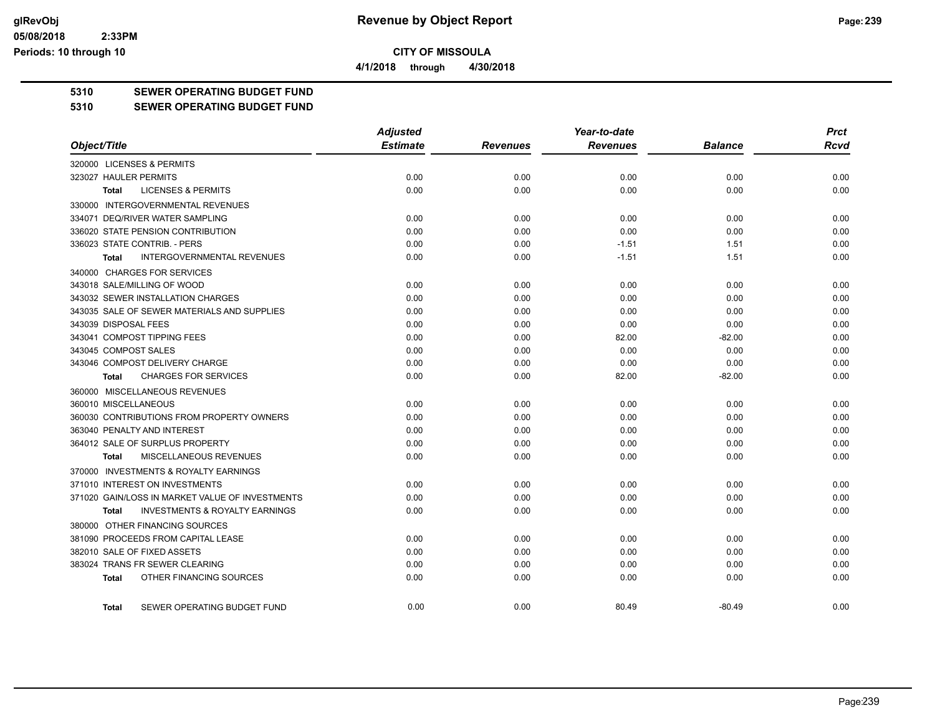**4/1/2018 through 4/30/2018**

## **5310 SEWER OPERATING BUDGET FUND**

#### **5310 SEWER OPERATING BUDGET FUND**

|                                                    | <b>Adjusted</b> |                 | Year-to-date    |                | <b>Prct</b> |
|----------------------------------------------------|-----------------|-----------------|-----------------|----------------|-------------|
| Object/Title                                       | <b>Estimate</b> | <b>Revenues</b> | <b>Revenues</b> | <b>Balance</b> | <b>Rcvd</b> |
| 320000 LICENSES & PERMITS                          |                 |                 |                 |                |             |
| 323027 HAULER PERMITS                              | 0.00            | 0.00            | 0.00            | 0.00           | 0.00        |
| <b>LICENSES &amp; PERMITS</b><br>Total             | 0.00            | 0.00            | 0.00            | 0.00           | 0.00        |
| 330000 INTERGOVERNMENTAL REVENUES                  |                 |                 |                 |                |             |
| 334071 DEQ/RIVER WATER SAMPLING                    | 0.00            | 0.00            | 0.00            | 0.00           | 0.00        |
| 336020 STATE PENSION CONTRIBUTION                  | 0.00            | 0.00            | 0.00            | 0.00           | 0.00        |
| 336023 STATE CONTRIB. - PERS                       | 0.00            | 0.00            | $-1.51$         | 1.51           | 0.00        |
| <b>INTERGOVERNMENTAL REVENUES</b><br><b>Total</b>  | 0.00            | 0.00            | $-1.51$         | 1.51           | 0.00        |
| 340000 CHARGES FOR SERVICES                        |                 |                 |                 |                |             |
| 343018 SALE/MILLING OF WOOD                        | 0.00            | 0.00            | 0.00            | 0.00           | 0.00        |
| 343032 SEWER INSTALLATION CHARGES                  | 0.00            | 0.00            | 0.00            | 0.00           | 0.00        |
| 343035 SALE OF SEWER MATERIALS AND SUPPLIES        | 0.00            | 0.00            | 0.00            | 0.00           | 0.00        |
| 343039 DISPOSAL FEES                               | 0.00            | 0.00            | 0.00            | 0.00           | 0.00        |
| 343041 COMPOST TIPPING FEES                        | 0.00            | 0.00            | 82.00           | $-82.00$       | 0.00        |
| 343045 COMPOST SALES                               | 0.00            | 0.00            | 0.00            | 0.00           | 0.00        |
| 343046 COMPOST DELIVERY CHARGE                     | 0.00            | 0.00            | 0.00            | 0.00           | 0.00        |
| <b>CHARGES FOR SERVICES</b><br>Total               | 0.00            | 0.00            | 82.00           | $-82.00$       | 0.00        |
| 360000 MISCELLANEOUS REVENUES                      |                 |                 |                 |                |             |
| 360010 MISCELLANEOUS                               | 0.00            | 0.00            | 0.00            | 0.00           | 0.00        |
| 360030 CONTRIBUTIONS FROM PROPERTY OWNERS          | 0.00            | 0.00            | 0.00            | 0.00           | 0.00        |
| 363040 PENALTY AND INTEREST                        | 0.00            | 0.00            | 0.00            | 0.00           | 0.00        |
| 364012 SALE OF SURPLUS PROPERTY                    | 0.00            | 0.00            | 0.00            | 0.00           | 0.00        |
| MISCELLANEOUS REVENUES<br><b>Total</b>             | 0.00            | 0.00            | 0.00            | 0.00           | 0.00        |
| 370000 INVESTMENTS & ROYALTY EARNINGS              |                 |                 |                 |                |             |
| 371010 INTEREST ON INVESTMENTS                     | 0.00            | 0.00            | 0.00            | 0.00           | 0.00        |
| 371020 GAIN/LOSS IN MARKET VALUE OF INVESTMENTS    | 0.00            | 0.00            | 0.00            | 0.00           | 0.00        |
| <b>INVESTMENTS &amp; ROYALTY EARNINGS</b><br>Total | 0.00            | 0.00            | 0.00            | 0.00           | 0.00        |
| 380000 OTHER FINANCING SOURCES                     |                 |                 |                 |                |             |
| 381090 PROCEEDS FROM CAPITAL LEASE                 | 0.00            | 0.00            | 0.00            | 0.00           | 0.00        |
| 382010 SALE OF FIXED ASSETS                        | 0.00            | 0.00            | 0.00            | 0.00           | 0.00        |
| 383024 TRANS FR SEWER CLEARING                     | 0.00            | 0.00            | 0.00            | 0.00           | 0.00        |
| OTHER FINANCING SOURCES<br><b>Total</b>            | 0.00            | 0.00            | 0.00            | 0.00           | 0.00        |
| SEWER OPERATING BUDGET FUND<br><b>Total</b>        | 0.00            | 0.00            | 80.49           | $-80.49$       | 0.00        |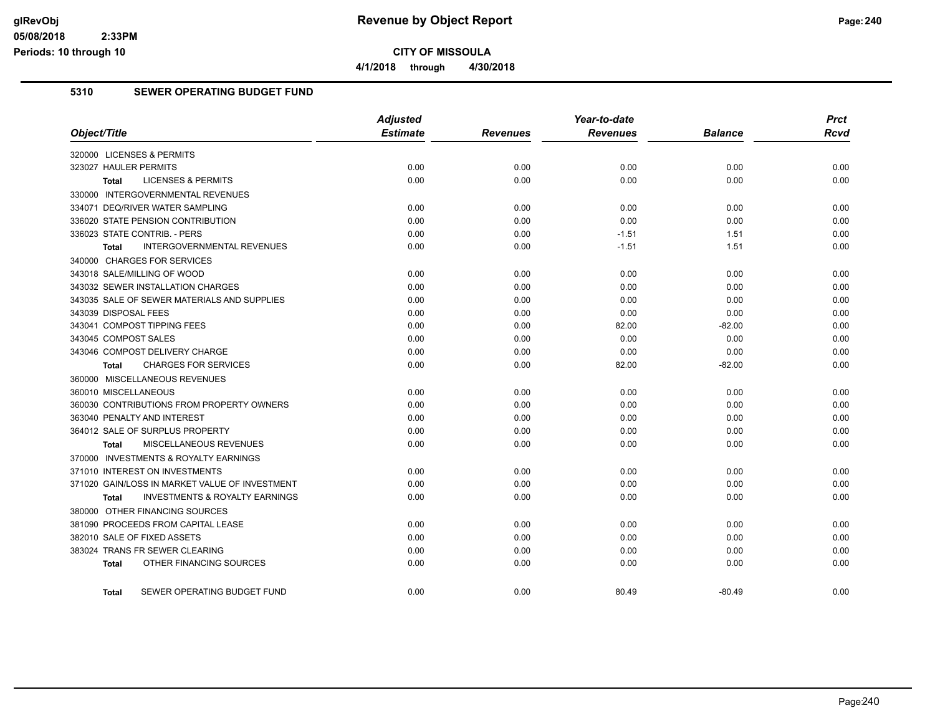**4/1/2018 through 4/30/2018**

## **5310 SEWER OPERATING BUDGET FUND**

|                                                           | <b>Adjusted</b> |                 | Year-to-date    |                |             |
|-----------------------------------------------------------|-----------------|-----------------|-----------------|----------------|-------------|
| Object/Title                                              | <b>Estimate</b> | <b>Revenues</b> | <b>Revenues</b> | <b>Balance</b> | <b>Rcvd</b> |
| 320000 LICENSES & PERMITS                                 |                 |                 |                 |                |             |
| 323027 HAULER PERMITS                                     | 0.00            | 0.00            | 0.00            | 0.00           | 0.00        |
| <b>LICENSES &amp; PERMITS</b><br><b>Total</b>             | 0.00            | 0.00            | 0.00            | 0.00           | 0.00        |
| 330000 INTERGOVERNMENTAL REVENUES                         |                 |                 |                 |                |             |
| 334071 DEQ/RIVER WATER SAMPLING                           | 0.00            | 0.00            | 0.00            | 0.00           | 0.00        |
| 336020 STATE PENSION CONTRIBUTION                         | 0.00            | 0.00            | 0.00            | 0.00           | 0.00        |
| 336023 STATE CONTRIB. - PERS                              | 0.00            | 0.00            | $-1.51$         | 1.51           | 0.00        |
| <b>INTERGOVERNMENTAL REVENUES</b><br><b>Total</b>         | 0.00            | 0.00            | $-1.51$         | 1.51           | 0.00        |
| 340000 CHARGES FOR SERVICES                               |                 |                 |                 |                |             |
| 343018 SALE/MILLING OF WOOD                               | 0.00            | 0.00            | 0.00            | 0.00           | 0.00        |
| 343032 SEWER INSTALLATION CHARGES                         | 0.00            | 0.00            | 0.00            | 0.00           | 0.00        |
| 343035 SALE OF SEWER MATERIALS AND SUPPLIES               | 0.00            | 0.00            | 0.00            | 0.00           | 0.00        |
| 343039 DISPOSAL FEES                                      | 0.00            | 0.00            | 0.00            | 0.00           | 0.00        |
| 343041 COMPOST TIPPING FEES                               | 0.00            | 0.00            | 82.00           | $-82.00$       | 0.00        |
| 343045 COMPOST SALES                                      | 0.00            | 0.00            | 0.00            | 0.00           | 0.00        |
| 343046 COMPOST DELIVERY CHARGE                            | 0.00            | 0.00            | 0.00            | 0.00           | 0.00        |
| <b>CHARGES FOR SERVICES</b><br><b>Total</b>               | 0.00            | 0.00            | 82.00           | $-82.00$       | 0.00        |
| 360000 MISCELLANEOUS REVENUES                             |                 |                 |                 |                |             |
| 360010 MISCELLANEOUS                                      | 0.00            | 0.00            | 0.00            | 0.00           | 0.00        |
| 360030 CONTRIBUTIONS FROM PROPERTY OWNERS                 | 0.00            | 0.00            | 0.00            | 0.00           | 0.00        |
| 363040 PENALTY AND INTEREST                               | 0.00            | 0.00            | 0.00            | 0.00           | 0.00        |
| 364012 SALE OF SURPLUS PROPERTY                           | 0.00            | 0.00            | 0.00            | 0.00           | 0.00        |
| <b>MISCELLANEOUS REVENUES</b><br><b>Total</b>             | 0.00            | 0.00            | 0.00            | 0.00           | 0.00        |
| 370000 INVESTMENTS & ROYALTY EARNINGS                     |                 |                 |                 |                |             |
| 371010 INTEREST ON INVESTMENTS                            | 0.00            | 0.00            | 0.00            | 0.00           | 0.00        |
| 371020 GAIN/LOSS IN MARKET VALUE OF INVESTMENT            | 0.00            | 0.00            | 0.00            | 0.00           | 0.00        |
| <b>INVESTMENTS &amp; ROYALTY EARNINGS</b><br><b>Total</b> | 0.00            | 0.00            | 0.00            | 0.00           | 0.00        |
| 380000 OTHER FINANCING SOURCES                            |                 |                 |                 |                |             |
| 381090 PROCEEDS FROM CAPITAL LEASE                        | 0.00            | 0.00            | 0.00            | 0.00           | 0.00        |
| 382010 SALE OF FIXED ASSETS                               | 0.00            | 0.00            | 0.00            | 0.00           | 0.00        |
| 383024 TRANS FR SEWER CLEARING                            | 0.00            | 0.00            | 0.00            | 0.00           | 0.00        |
| OTHER FINANCING SOURCES<br><b>Total</b>                   | 0.00            | 0.00            | 0.00            | 0.00           | 0.00        |
| SEWER OPERATING BUDGET FUND<br><b>Total</b>               | 0.00            | 0.00            | 80.49           | $-80.49$       | 0.00        |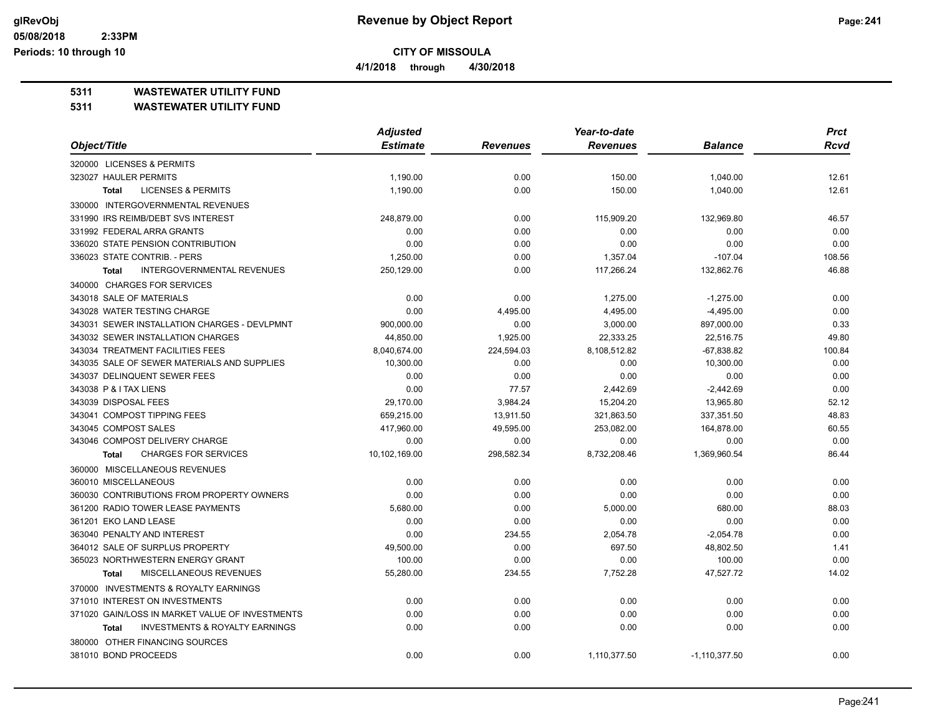**4/1/2018 through 4/30/2018**

#### **5311 WASTEWATER UTILITY FUND**

|                                                    | <b>Adjusted</b> |                 | Year-to-date    |                 | <b>Prct</b> |
|----------------------------------------------------|-----------------|-----------------|-----------------|-----------------|-------------|
| Object/Title                                       | <b>Estimate</b> | <b>Revenues</b> | <b>Revenues</b> | <b>Balance</b>  | <b>Rcvd</b> |
| 320000 LICENSES & PERMITS                          |                 |                 |                 |                 |             |
| 323027 HAULER PERMITS                              | 1,190.00        | 0.00            | 150.00          | 1,040.00        | 12.61       |
| <b>LICENSES &amp; PERMITS</b><br><b>Total</b>      | 1,190.00        | 0.00            | 150.00          | 1,040.00        | 12.61       |
| 330000 INTERGOVERNMENTAL REVENUES                  |                 |                 |                 |                 |             |
| 331990 IRS REIMB/DEBT SVS INTEREST                 | 248,879.00      | 0.00            | 115,909.20      | 132,969.80      | 46.57       |
| 331992 FEDERAL ARRA GRANTS                         | 0.00            | 0.00            | 0.00            | 0.00            | 0.00        |
| 336020 STATE PENSION CONTRIBUTION                  | 0.00            | 0.00            | 0.00            | 0.00            | 0.00        |
| 336023 STATE CONTRIB. - PERS                       | 1.250.00        | 0.00            | 1,357.04        | $-107.04$       | 108.56      |
| <b>INTERGOVERNMENTAL REVENUES</b><br><b>Total</b>  | 250,129.00      | 0.00            | 117,266.24      | 132,862.76      | 46.88       |
| 340000 CHARGES FOR SERVICES                        |                 |                 |                 |                 |             |
| 343018 SALE OF MATERIALS                           | 0.00            | 0.00            | 1,275.00        | $-1,275.00$     | 0.00        |
| 343028 WATER TESTING CHARGE                        | 0.00            | 4,495.00        | 4,495.00        | $-4,495.00$     | 0.00        |
| 343031 SEWER INSTALLATION CHARGES - DEVLPMNT       | 900,000.00      | 0.00            | 3,000.00        | 897,000.00      | 0.33        |
| 343032 SEWER INSTALLATION CHARGES                  | 44,850.00       | 1,925.00        | 22,333.25       | 22,516.75       | 49.80       |
| 343034 TREATMENT FACILITIES FEES                   | 8,040,674.00    | 224,594.03      | 8,108,512.82    | $-67,838.82$    | 100.84      |
| 343035 SALE OF SEWER MATERIALS AND SUPPLIES        | 10,300.00       | 0.00            | 0.00            | 10,300.00       | 0.00        |
| 343037 DELINQUENT SEWER FEES                       | 0.00            | 0.00            | 0.00            | 0.00            | 0.00        |
| 343038 P & I TAX LIENS                             | 0.00            | 77.57           | 2,442.69        | $-2,442.69$     | 0.00        |
| 343039 DISPOSAL FEES                               | 29,170.00       | 3,984.24        | 15,204.20       | 13,965.80       | 52.12       |
| 343041 COMPOST TIPPING FEES                        | 659,215.00      | 13,911.50       | 321,863.50      | 337,351.50      | 48.83       |
| 343045 COMPOST SALES                               | 417,960.00      | 49,595.00       | 253,082.00      | 164,878.00      | 60.55       |
| 343046 COMPOST DELIVERY CHARGE                     | 0.00            | 0.00            | 0.00            | 0.00            | 0.00        |
| <b>CHARGES FOR SERVICES</b><br>Total               | 10,102,169.00   | 298,582.34      | 8,732,208.46    | 1,369,960.54    | 86.44       |
| 360000 MISCELLANEOUS REVENUES                      |                 |                 |                 |                 |             |
| 360010 MISCELLANEOUS                               | 0.00            | 0.00            | 0.00            | 0.00            | 0.00        |
| 360030 CONTRIBUTIONS FROM PROPERTY OWNERS          | 0.00            | 0.00            | 0.00            | 0.00            | 0.00        |
| 361200 RADIO TOWER LEASE PAYMENTS                  | 5,680.00        | 0.00            | 5,000.00        | 680.00          | 88.03       |
| 361201 EKO LAND LEASE                              | 0.00            | 0.00            | 0.00            | 0.00            | 0.00        |
| 363040 PENALTY AND INTEREST                        | 0.00            | 234.55          | 2,054.78        | $-2,054.78$     | 0.00        |
| 364012 SALE OF SURPLUS PROPERTY                    | 49,500.00       | 0.00            | 697.50          | 48,802.50       | 1.41        |
| 365023 NORTHWESTERN ENERGY GRANT                   | 100.00          | 0.00            | 0.00            | 100.00          | 0.00        |
| MISCELLANEOUS REVENUES<br><b>Total</b>             | 55,280.00       | 234.55          | 7.752.28        | 47.527.72       | 14.02       |
| 370000 INVESTMENTS & ROYALTY EARNINGS              |                 |                 |                 |                 |             |
| 371010 INTEREST ON INVESTMENTS                     | 0.00            | 0.00            | 0.00            | 0.00            | 0.00        |
| 371020 GAIN/LOSS IN MARKET VALUE OF INVESTMENTS    | 0.00            | 0.00            | 0.00            | 0.00            | 0.00        |
| <b>INVESTMENTS &amp; ROYALTY EARNINGS</b><br>Total | 0.00            | 0.00            | 0.00            | 0.00            | 0.00        |
| 380000 OTHER FINANCING SOURCES                     |                 |                 |                 |                 |             |
| 381010 BOND PROCEEDS                               | 0.00            | 0.00            | 1,110,377.50    | $-1,110,377.50$ | 0.00        |
|                                                    |                 |                 |                 |                 |             |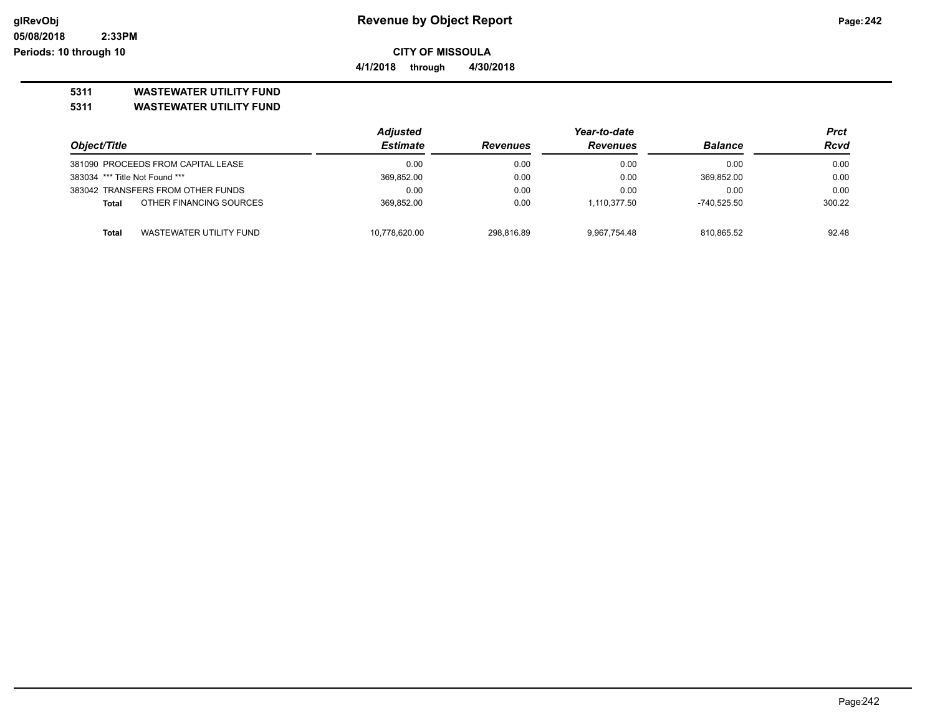**4/1/2018 through 4/30/2018**

## **5311 WASTEWATER UTILITY FUND**

| Object/Title                   | Adjusted                           |                 | Year-to-date    |                | Prct          |        |
|--------------------------------|------------------------------------|-----------------|-----------------|----------------|---------------|--------|
|                                | <b>Estimate</b>                    | <b>Revenues</b> | <b>Revenues</b> | <b>Balance</b> | <b>Rcvd</b>   |        |
|                                | 381090 PROCEEDS FROM CAPITAL LEASE | 0.00            | 0.00            | 0.00           | 0.00          | 0.00   |
| 383034 *** Title Not Found *** |                                    | 369,852.00      | 0.00            | 0.00           | 369.852.00    | 0.00   |
|                                | 383042 TRANSFERS FROM OTHER FUNDS  | 0.00            | 0.00            | 0.00           | 0.00          | 0.00   |
| Total                          | OTHER FINANCING SOURCES            | 369.852.00      | 0.00            | 1.110.377.50   | $-740.525.50$ | 300.22 |
| <b>Total</b>                   | WASTEWATER UTILITY FUND            | 10.778.620.00   | 298.816.89      | 9.967.754.48   | 810.865.52    | 92.48  |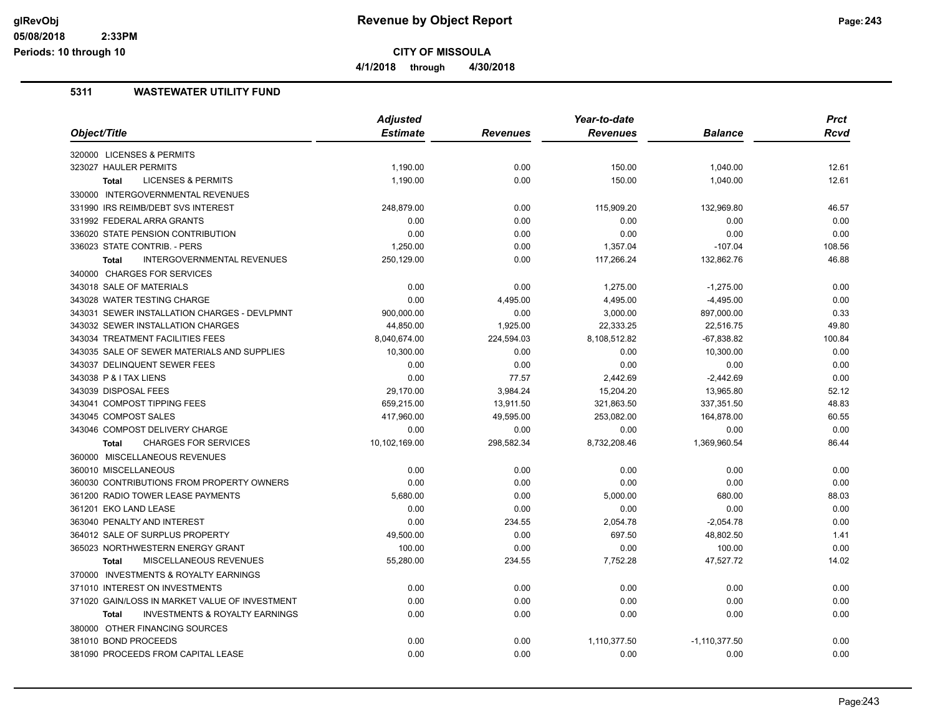**4/1/2018 through 4/30/2018**

|                                                           | <b>Adjusted</b> |                 | Year-to-date    |                 | <b>Prct</b> |
|-----------------------------------------------------------|-----------------|-----------------|-----------------|-----------------|-------------|
| Object/Title                                              | <b>Estimate</b> | <b>Revenues</b> | <b>Revenues</b> | <b>Balance</b>  | Rcvd        |
| 320000 LICENSES & PERMITS                                 |                 |                 |                 |                 |             |
| 323027 HAULER PERMITS                                     | 1,190.00        | 0.00            | 150.00          | 1,040.00        | 12.61       |
| <b>LICENSES &amp; PERMITS</b><br><b>Total</b>             | 1,190.00        | 0.00            | 150.00          | 1,040.00        | 12.61       |
| 330000 INTERGOVERNMENTAL REVENUES                         |                 |                 |                 |                 |             |
| 331990 IRS REIMB/DEBT SVS INTEREST                        | 248,879.00      | 0.00            | 115,909.20      | 132,969.80      | 46.57       |
| 331992 FEDERAL ARRA GRANTS                                | 0.00            | 0.00            | 0.00            | 0.00            | 0.00        |
| 336020 STATE PENSION CONTRIBUTION                         | 0.00            | 0.00            | 0.00            | 0.00            | 0.00        |
| 336023 STATE CONTRIB. - PERS                              | 1,250.00        | 0.00            | 1,357.04        | $-107.04$       | 108.56      |
| <b>INTERGOVERNMENTAL REVENUES</b><br><b>Total</b>         | 250,129.00      | 0.00            | 117,266.24      | 132,862.76      | 46.88       |
| 340000 CHARGES FOR SERVICES                               |                 |                 |                 |                 |             |
| 343018 SALE OF MATERIALS                                  | 0.00            | 0.00            | 1,275.00        | $-1,275.00$     | 0.00        |
| 343028 WATER TESTING CHARGE                               | 0.00            | 4,495.00        | 4,495.00        | $-4,495.00$     | 0.00        |
| 343031 SEWER INSTALLATION CHARGES - DEVLPMNT              | 900,000.00      | 0.00            | 3,000.00        | 897,000.00      | 0.33        |
| 343032 SEWER INSTALLATION CHARGES                         | 44,850.00       | 1,925.00        | 22,333.25       | 22,516.75       | 49.80       |
| 343034 TREATMENT FACILITIES FEES                          | 8,040,674.00    | 224,594.03      | 8,108,512.82    | $-67,838.82$    | 100.84      |
| 343035 SALE OF SEWER MATERIALS AND SUPPLIES               | 10,300.00       | 0.00            | 0.00            | 10,300.00       | 0.00        |
| 343037 DELINQUENT SEWER FEES                              | 0.00            | 0.00            | 0.00            | 0.00            | 0.00        |
| 343038 P & I TAX LIENS                                    | 0.00            | 77.57           | 2,442.69        | $-2,442.69$     | 0.00        |
| 343039 DISPOSAL FEES                                      | 29,170.00       | 3,984.24        | 15,204.20       | 13,965.80       | 52.12       |
| 343041 COMPOST TIPPING FEES                               | 659,215.00      | 13,911.50       | 321,863.50      | 337,351.50      | 48.83       |
| 343045 COMPOST SALES                                      | 417,960.00      | 49.595.00       | 253,082.00      | 164,878.00      | 60.55       |
| 343046 COMPOST DELIVERY CHARGE                            | 0.00            | 0.00            | 0.00            | 0.00            | 0.00        |
| <b>CHARGES FOR SERVICES</b><br><b>Total</b>               | 10,102,169.00   | 298,582.34      | 8,732,208.46    | 1,369,960.54    | 86.44       |
| 360000 MISCELLANEOUS REVENUES                             |                 |                 |                 |                 |             |
| 360010 MISCELLANEOUS                                      | 0.00            | 0.00            | 0.00            | 0.00            | 0.00        |
| 360030 CONTRIBUTIONS FROM PROPERTY OWNERS                 | 0.00            | 0.00            | 0.00            | 0.00            | 0.00        |
| 361200 RADIO TOWER LEASE PAYMENTS                         | 5,680.00        | 0.00            | 5,000.00        | 680.00          | 88.03       |
| 361201 EKO LAND LEASE                                     | 0.00            | 0.00            | 0.00            | 0.00            | 0.00        |
| 363040 PENALTY AND INTEREST                               | 0.00            | 234.55          | 2,054.78        | $-2,054.78$     | 0.00        |
| 364012 SALE OF SURPLUS PROPERTY                           | 49,500.00       | 0.00            | 697.50          | 48,802.50       | 1.41        |
| 365023 NORTHWESTERN ENERGY GRANT                          | 100.00          | 0.00            | 0.00            | 100.00          | 0.00        |
| MISCELLANEOUS REVENUES<br><b>Total</b>                    | 55,280.00       | 234.55          | 7,752.28        | 47,527.72       | 14.02       |
| 370000 INVESTMENTS & ROYALTY EARNINGS                     |                 |                 |                 |                 |             |
| 371010 INTEREST ON INVESTMENTS                            | 0.00            | 0.00            | 0.00            | 0.00            | 0.00        |
| 371020 GAIN/LOSS IN MARKET VALUE OF INVESTMENT            | 0.00            | 0.00            | 0.00            | 0.00            | 0.00        |
| <b>INVESTMENTS &amp; ROYALTY EARNINGS</b><br><b>Total</b> | 0.00            | 0.00            | 0.00            | 0.00            | 0.00        |
| 380000 OTHER FINANCING SOURCES                            |                 |                 |                 |                 |             |
| 381010 BOND PROCEEDS                                      | 0.00            | 0.00            | 1,110,377.50    | $-1,110,377.50$ | 0.00        |
| 381090 PROCEEDS FROM CAPITAL LEASE                        | 0.00            | 0.00            | 0.00            | 0.00            | 0.00        |
|                                                           |                 |                 |                 |                 |             |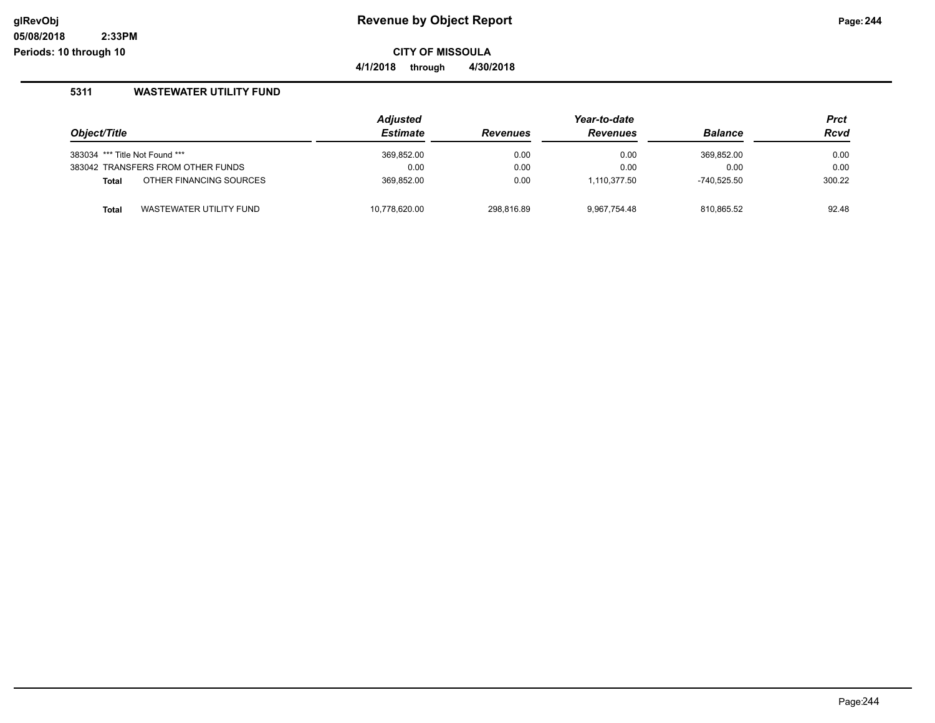**4/1/2018 through 4/30/2018**

| Object/Title                   |                                   | <b>Adjusted</b><br><b>Estimate</b> | <b>Revenues</b> | Year-to-date<br><b>Revenues</b> | <b>Balance</b> | <b>Prct</b><br><b>Rcvd</b> |
|--------------------------------|-----------------------------------|------------------------------------|-----------------|---------------------------------|----------------|----------------------------|
|                                |                                   |                                    |                 |                                 |                |                            |
| 383034 *** Title Not Found *** |                                   | 369,852.00                         | 0.00            | 0.00                            | 369.852.00     | 0.00                       |
|                                | 383042 TRANSFERS FROM OTHER FUNDS | 0.00                               | 0.00            | 0.00                            | 0.00           | 0.00                       |
| Total                          | OTHER FINANCING SOURCES           | 369.852.00                         | 0.00            | 1.110.377.50                    | -740.525.50    | 300.22                     |
| <b>Total</b>                   | WASTEWATER UTILITY FUND           | 10,778,620.00                      | 298,816.89      | 9,967,754.48                    | 810,865.52     | 92.48                      |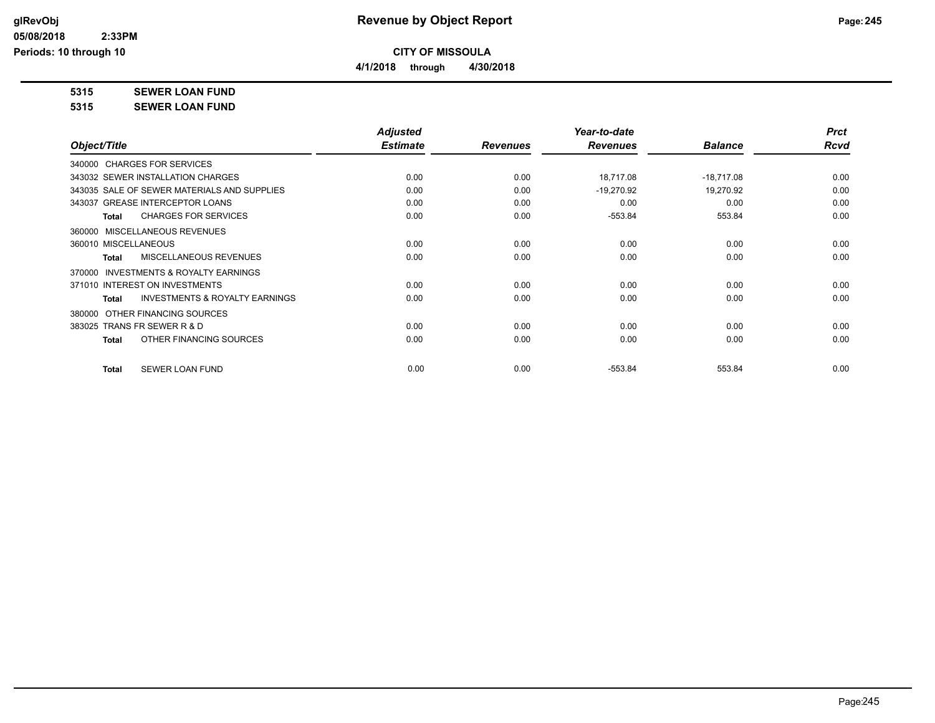**4/1/2018 through 4/30/2018**

**5315 SEWER LOAN FUND**

**5315 SEWER LOAN FUND**

|                                                    | <b>Adjusted</b> |                 | Year-to-date    |                | <b>Prct</b> |
|----------------------------------------------------|-----------------|-----------------|-----------------|----------------|-------------|
| Object/Title                                       | <b>Estimate</b> | <b>Revenues</b> | <b>Revenues</b> | <b>Balance</b> | <b>Rcvd</b> |
| 340000 CHARGES FOR SERVICES                        |                 |                 |                 |                |             |
| 343032 SEWER INSTALLATION CHARGES                  | 0.00            | 0.00            | 18,717.08       | $-18,717.08$   | 0.00        |
| 343035 SALE OF SEWER MATERIALS AND SUPPLIES        | 0.00            | 0.00            | $-19,270.92$    | 19,270.92      | 0.00        |
| 343037 GREASE INTERCEPTOR LOANS                    | 0.00            | 0.00            | 0.00            | 0.00           | 0.00        |
| <b>CHARGES FOR SERVICES</b><br>Total               | 0.00            | 0.00            | $-553.84$       | 553.84         | 0.00        |
| 360000 MISCELLANEOUS REVENUES                      |                 |                 |                 |                |             |
| 360010 MISCELLANEOUS                               | 0.00            | 0.00            | 0.00            | 0.00           | 0.00        |
| MISCELLANEOUS REVENUES<br>Total                    | 0.00            | 0.00            | 0.00            | 0.00           | 0.00        |
| 370000 INVESTMENTS & ROYALTY EARNINGS              |                 |                 |                 |                |             |
| 371010 INTEREST ON INVESTMENTS                     | 0.00            | 0.00            | 0.00            | 0.00           | 0.00        |
| <b>INVESTMENTS &amp; ROYALTY EARNINGS</b><br>Total | 0.00            | 0.00            | 0.00            | 0.00           | 0.00        |
| OTHER FINANCING SOURCES<br>380000                  |                 |                 |                 |                |             |
| 383025 TRANS FR SEWER R & D                        | 0.00            | 0.00            | 0.00            | 0.00           | 0.00        |
| OTHER FINANCING SOURCES<br><b>Total</b>            | 0.00            | 0.00            | 0.00            | 0.00           | 0.00        |
| SEWER LOAN FUND<br><b>Total</b>                    | 0.00            | 0.00            | $-553.84$       | 553.84         | 0.00        |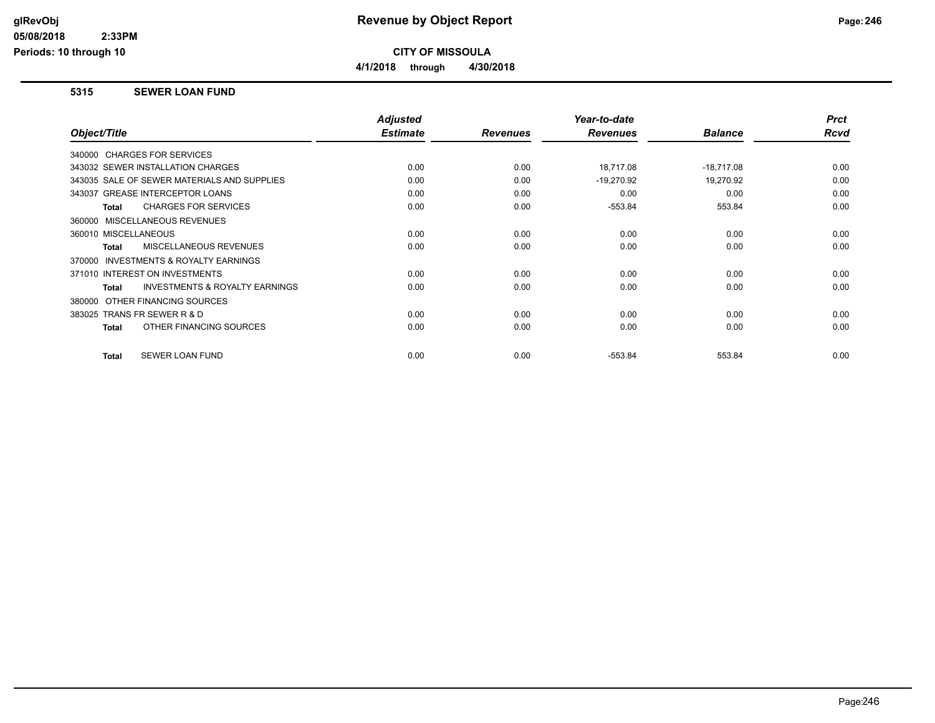**4/1/2018 through 4/30/2018**

#### **5315 SEWER LOAN FUND**

|                                                     | <b>Adjusted</b> |                 | Year-to-date    |                | <b>Prct</b> |
|-----------------------------------------------------|-----------------|-----------------|-----------------|----------------|-------------|
| Object/Title                                        | <b>Estimate</b> | <b>Revenues</b> | <b>Revenues</b> | <b>Balance</b> | <b>Rcvd</b> |
| 340000 CHARGES FOR SERVICES                         |                 |                 |                 |                |             |
| 343032 SEWER INSTALLATION CHARGES                   | 0.00            | 0.00            | 18,717.08       | $-18,717.08$   | 0.00        |
| 343035 SALE OF SEWER MATERIALS AND SUPPLIES         | 0.00            | 0.00            | $-19,270.92$    | 19.270.92      | 0.00        |
| 343037 GREASE INTERCEPTOR LOANS                     | 0.00            | 0.00            | 0.00            | 0.00           | 0.00        |
| <b>CHARGES FOR SERVICES</b><br>Total                | 0.00            | 0.00            | $-553.84$       | 553.84         | 0.00        |
| 360000 MISCELLANEOUS REVENUES                       |                 |                 |                 |                |             |
| 360010 MISCELLANEOUS                                | 0.00            | 0.00            | 0.00            | 0.00           | 0.00        |
| MISCELLANEOUS REVENUES<br>Total                     | 0.00            | 0.00            | 0.00            | 0.00           | 0.00        |
| <b>INVESTMENTS &amp; ROYALTY EARNINGS</b><br>370000 |                 |                 |                 |                |             |
| 371010 INTEREST ON INVESTMENTS                      | 0.00            | 0.00            | 0.00            | 0.00           | 0.00        |
| <b>INVESTMENTS &amp; ROYALTY EARNINGS</b><br>Total  | 0.00            | 0.00            | 0.00            | 0.00           | 0.00        |
| OTHER FINANCING SOURCES<br>380000                   |                 |                 |                 |                |             |
| 383025 TRANS FR SEWER R & D                         | 0.00            | 0.00            | 0.00            | 0.00           | 0.00        |
| OTHER FINANCING SOURCES<br>Total                    | 0.00            | 0.00            | 0.00            | 0.00           | 0.00        |
|                                                     |                 |                 |                 |                |             |
| <b>SEWER LOAN FUND</b><br>Total                     | 0.00            | 0.00            | $-553.84$       | 553.84         | 0.00        |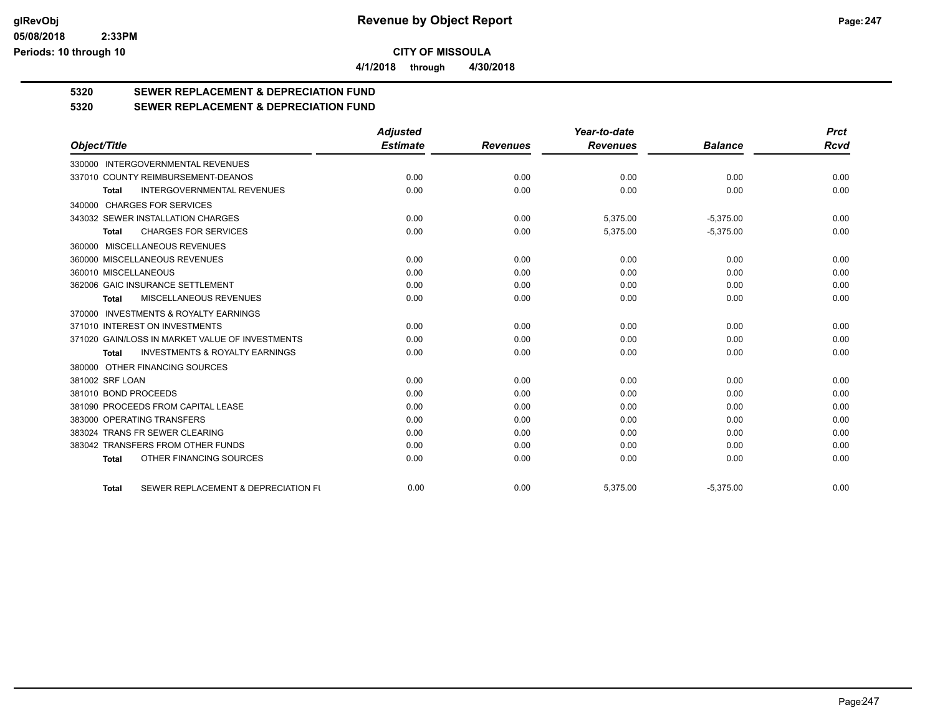**4/1/2018 through 4/30/2018**

# **5320 SEWER REPLACEMENT & DEPRECIATION FUND**

# **5320 SEWER REPLACEMENT & DEPRECIATION FUND**

|                                                           | <b>Adjusted</b> |                 | Year-to-date    |                | <b>Prct</b> |
|-----------------------------------------------------------|-----------------|-----------------|-----------------|----------------|-------------|
| Object/Title                                              | <b>Estimate</b> | <b>Revenues</b> | <b>Revenues</b> | <b>Balance</b> | <b>Rcvd</b> |
| 330000 INTERGOVERNMENTAL REVENUES                         |                 |                 |                 |                |             |
| 337010 COUNTY REIMBURSEMENT-DEANOS                        | 0.00            | 0.00            | 0.00            | 0.00           | 0.00        |
| <b>INTERGOVERNMENTAL REVENUES</b><br><b>Total</b>         | 0.00            | 0.00            | 0.00            | 0.00           | 0.00        |
| 340000 CHARGES FOR SERVICES                               |                 |                 |                 |                |             |
| 343032 SEWER INSTALLATION CHARGES                         | 0.00            | 0.00            | 5,375.00        | $-5,375.00$    | 0.00        |
| <b>CHARGES FOR SERVICES</b><br><b>Total</b>               | 0.00            | 0.00            | 5,375.00        | $-5,375.00$    | 0.00        |
| 360000 MISCELLANEOUS REVENUES                             |                 |                 |                 |                |             |
| 360000 MISCELLANEOUS REVENUES                             | 0.00            | 0.00            | 0.00            | 0.00           | 0.00        |
| 360010 MISCELLANEOUS                                      | 0.00            | 0.00            | 0.00            | 0.00           | 0.00        |
| 362006 GAIC INSURANCE SETTLEMENT                          | 0.00            | 0.00            | 0.00            | 0.00           | 0.00        |
| MISCELLANEOUS REVENUES<br><b>Total</b>                    | 0.00            | 0.00            | 0.00            | 0.00           | 0.00        |
| <b>INVESTMENTS &amp; ROYALTY EARNINGS</b><br>370000       |                 |                 |                 |                |             |
| 371010 INTEREST ON INVESTMENTS                            | 0.00            | 0.00            | 0.00            | 0.00           | 0.00        |
| 371020 GAIN/LOSS IN MARKET VALUE OF INVESTMENTS           | 0.00            | 0.00            | 0.00            | 0.00           | 0.00        |
| <b>INVESTMENTS &amp; ROYALTY EARNINGS</b><br><b>Total</b> | 0.00            | 0.00            | 0.00            | 0.00           | 0.00        |
| 380000 OTHER FINANCING SOURCES                            |                 |                 |                 |                |             |
| 381002 SRF LOAN                                           | 0.00            | 0.00            | 0.00            | 0.00           | 0.00        |
| 381010 BOND PROCEEDS                                      | 0.00            | 0.00            | 0.00            | 0.00           | 0.00        |
| 381090 PROCEEDS FROM CAPITAL LEASE                        | 0.00            | 0.00            | 0.00            | 0.00           | 0.00        |
| 383000 OPERATING TRANSFERS                                | 0.00            | 0.00            | 0.00            | 0.00           | 0.00        |
| 383024 TRANS FR SEWER CLEARING                            | 0.00            | 0.00            | 0.00            | 0.00           | 0.00        |
| 383042 TRANSFERS FROM OTHER FUNDS                         | 0.00            | 0.00            | 0.00            | 0.00           | 0.00        |
| OTHER FINANCING SOURCES<br><b>Total</b>                   | 0.00            | 0.00            | 0.00            | 0.00           | 0.00        |
| SEWER REPLACEMENT & DEPRECIATION FU<br><b>Total</b>       | 0.00            | 0.00            | 5,375.00        | $-5,375.00$    | 0.00        |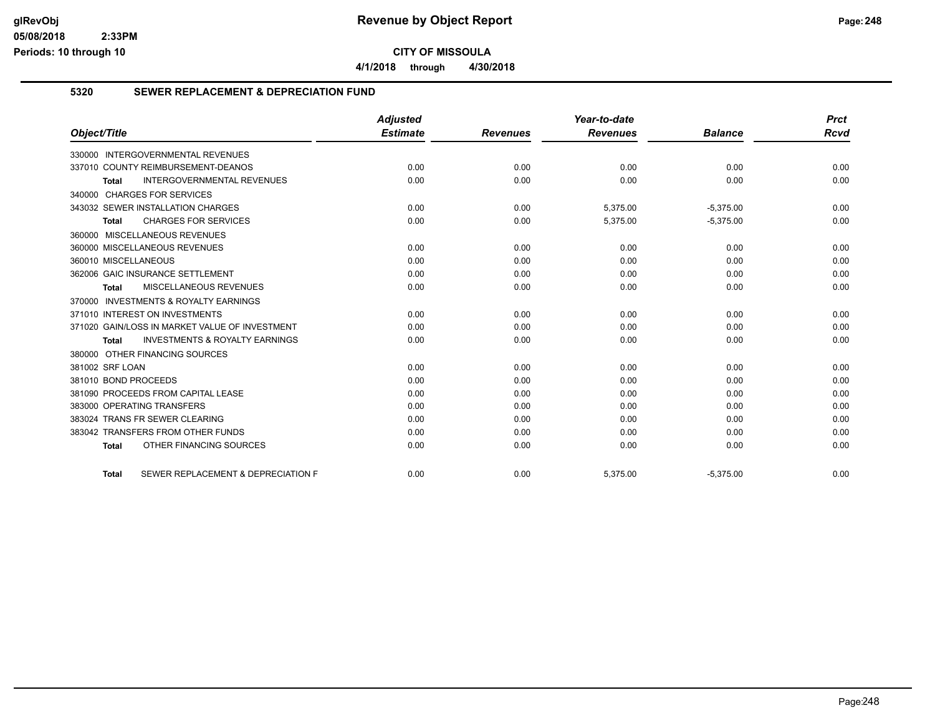**4/1/2018 through 4/30/2018**

## **5320 SEWER REPLACEMENT & DEPRECIATION FUND**

|                                                           | <b>Adjusted</b> |                 | Year-to-date    |                | <b>Prct</b> |
|-----------------------------------------------------------|-----------------|-----------------|-----------------|----------------|-------------|
| Object/Title                                              | <b>Estimate</b> | <b>Revenues</b> | <b>Revenues</b> | <b>Balance</b> | <b>Rcvd</b> |
| <b>INTERGOVERNMENTAL REVENUES</b><br>330000               |                 |                 |                 |                |             |
| 337010 COUNTY REIMBURSEMENT-DEANOS                        | 0.00            | 0.00            | 0.00            | 0.00           | 0.00        |
| <b>INTERGOVERNMENTAL REVENUES</b><br><b>Total</b>         | 0.00            | 0.00            | 0.00            | 0.00           | 0.00        |
| 340000 CHARGES FOR SERVICES                               |                 |                 |                 |                |             |
| 343032 SEWER INSTALLATION CHARGES                         | 0.00            | 0.00            | 5,375.00        | $-5,375.00$    | 0.00        |
| <b>CHARGES FOR SERVICES</b><br><b>Total</b>               | 0.00            | 0.00            | 5,375.00        | $-5,375.00$    | 0.00        |
| 360000 MISCELLANEOUS REVENUES                             |                 |                 |                 |                |             |
| 360000 MISCELLANEOUS REVENUES                             | 0.00            | 0.00            | 0.00            | 0.00           | 0.00        |
| 360010 MISCELLANEOUS                                      | 0.00            | 0.00            | 0.00            | 0.00           | 0.00        |
| 362006 GAIC INSURANCE SETTLEMENT                          | 0.00            | 0.00            | 0.00            | 0.00           | 0.00        |
| MISCELLANEOUS REVENUES<br><b>Total</b>                    | 0.00            | 0.00            | 0.00            | 0.00           | 0.00        |
| 370000 INVESTMENTS & ROYALTY EARNINGS                     |                 |                 |                 |                |             |
| 371010 INTEREST ON INVESTMENTS                            | 0.00            | 0.00            | 0.00            | 0.00           | 0.00        |
| 371020 GAIN/LOSS IN MARKET VALUE OF INVESTMENT            | 0.00            | 0.00            | 0.00            | 0.00           | 0.00        |
| <b>INVESTMENTS &amp; ROYALTY EARNINGS</b><br><b>Total</b> | 0.00            | 0.00            | 0.00            | 0.00           | 0.00        |
| 380000 OTHER FINANCING SOURCES                            |                 |                 |                 |                |             |
| 381002 SRF LOAN                                           | 0.00            | 0.00            | 0.00            | 0.00           | 0.00        |
| 381010 BOND PROCEEDS                                      | 0.00            | 0.00            | 0.00            | 0.00           | 0.00        |
| 381090 PROCEEDS FROM CAPITAL LEASE                        | 0.00            | 0.00            | 0.00            | 0.00           | 0.00        |
| 383000 OPERATING TRANSFERS                                | 0.00            | 0.00            | 0.00            | 0.00           | 0.00        |
| 383024 TRANS FR SEWER CLEARING                            | 0.00            | 0.00            | 0.00            | 0.00           | 0.00        |
| 383042 TRANSFERS FROM OTHER FUNDS                         | 0.00            | 0.00            | 0.00            | 0.00           | 0.00        |
| OTHER FINANCING SOURCES<br><b>Total</b>                   | 0.00            | 0.00            | 0.00            | 0.00           | 0.00        |
| SEWER REPLACEMENT & DEPRECIATION F<br><b>Total</b>        | 0.00            | 0.00            | 5,375.00        | $-5,375.00$    | 0.00        |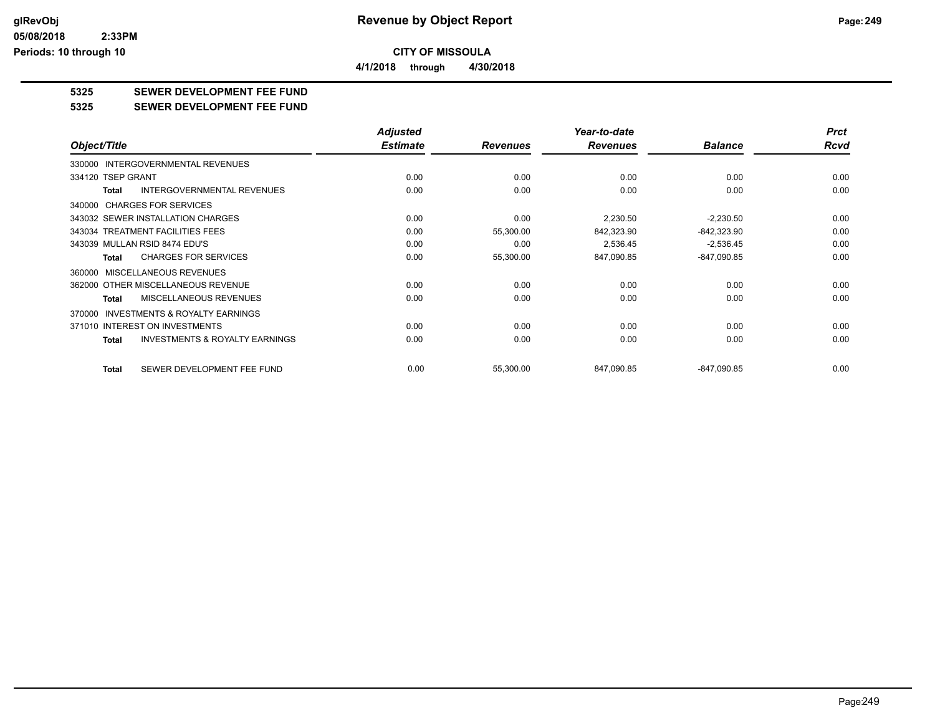**4/1/2018 through 4/30/2018**

## **5325 SEWER DEVELOPMENT FEE FUND**

#### **5325 SEWER DEVELOPMENT FEE FUND**

|                                                           | <b>Adjusted</b> |                 | Year-to-date    |                | <b>Prct</b> |
|-----------------------------------------------------------|-----------------|-----------------|-----------------|----------------|-------------|
| Object/Title                                              | <b>Estimate</b> | <b>Revenues</b> | <b>Revenues</b> | <b>Balance</b> | Rcvd        |
| 330000 INTERGOVERNMENTAL REVENUES                         |                 |                 |                 |                |             |
| 334120 TSEP GRANT                                         | 0.00            | 0.00            | 0.00            | 0.00           | 0.00        |
| <b>INTERGOVERNMENTAL REVENUES</b><br>Total                | 0.00            | 0.00            | 0.00            | 0.00           | 0.00        |
| 340000 CHARGES FOR SERVICES                               |                 |                 |                 |                |             |
| 343032 SEWER INSTALLATION CHARGES                         | 0.00            | 0.00            | 2,230.50        | $-2,230.50$    | 0.00        |
| 343034 TREATMENT FACILITIES FEES                          | 0.00            | 55,300.00       | 842,323.90      | $-842,323.90$  | 0.00        |
| 343039 MULLAN RSID 8474 EDU'S                             | 0.00            | 0.00            | 2,536.45        | $-2,536.45$    | 0.00        |
| <b>CHARGES FOR SERVICES</b><br>Total                      | 0.00            | 55,300.00       | 847,090.85      | $-847,090.85$  | 0.00        |
| 360000 MISCELLANEOUS REVENUES                             |                 |                 |                 |                |             |
| 362000 OTHER MISCELLANEOUS REVENUE                        | 0.00            | 0.00            | 0.00            | 0.00           | 0.00        |
| <b>MISCELLANEOUS REVENUES</b><br>Total                    | 0.00            | 0.00            | 0.00            | 0.00           | 0.00        |
| <b>INVESTMENTS &amp; ROYALTY EARNINGS</b><br>370000       |                 |                 |                 |                |             |
| 371010 INTEREST ON INVESTMENTS                            | 0.00            | 0.00            | 0.00            | 0.00           | 0.00        |
| <b>INVESTMENTS &amp; ROYALTY EARNINGS</b><br><b>Total</b> | 0.00            | 0.00            | 0.00            | 0.00           | 0.00        |
|                                                           |                 |                 |                 |                |             |
| SEWER DEVELOPMENT FEE FUND<br><b>Total</b>                | 0.00            | 55,300.00       | 847,090.85      | $-847,090.85$  | 0.00        |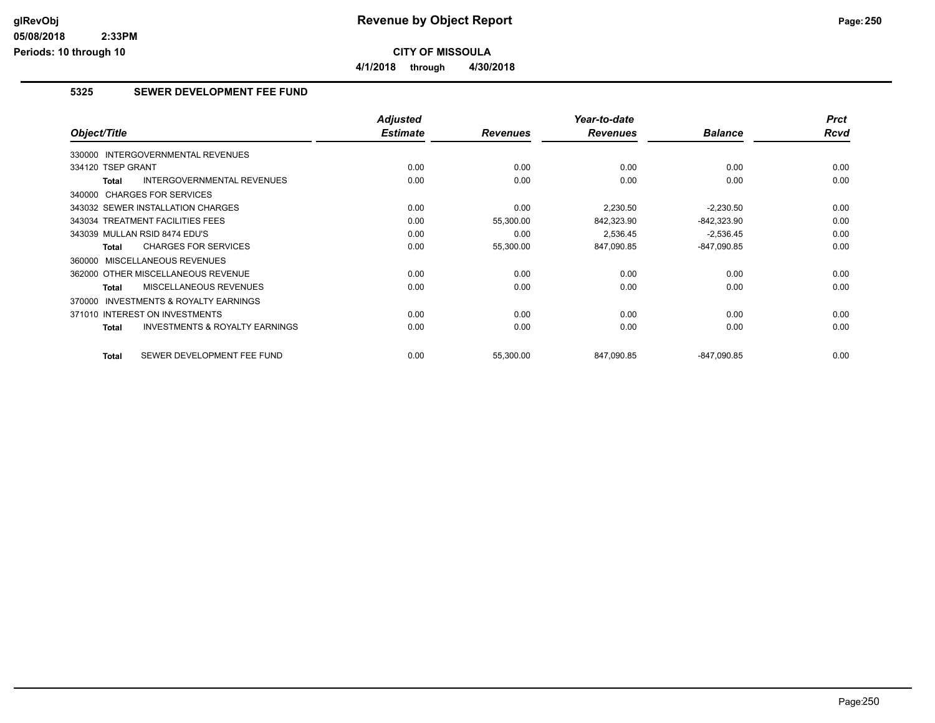**4/1/2018 through 4/30/2018**

## **5325 SEWER DEVELOPMENT FEE FUND**

|                                                           | <b>Adjusted</b> |                 | Year-to-date    |                | <b>Prct</b> |
|-----------------------------------------------------------|-----------------|-----------------|-----------------|----------------|-------------|
| Object/Title                                              | <b>Estimate</b> | <b>Revenues</b> | <b>Revenues</b> | <b>Balance</b> | <b>Rcvd</b> |
| 330000 INTERGOVERNMENTAL REVENUES                         |                 |                 |                 |                |             |
| 334120 TSEP GRANT                                         | 0.00            | 0.00            | 0.00            | 0.00           | 0.00        |
| <b>INTERGOVERNMENTAL REVENUES</b><br><b>Total</b>         | 0.00            | 0.00            | 0.00            | 0.00           | 0.00        |
| 340000 CHARGES FOR SERVICES                               |                 |                 |                 |                |             |
| 343032 SEWER INSTALLATION CHARGES                         | 0.00            | 0.00            | 2,230.50        | $-2,230.50$    | 0.00        |
| 343034 TREATMENT FACILITIES FEES                          | 0.00            | 55,300.00       | 842,323.90      | $-842,323.90$  | 0.00        |
| 343039 MULLAN RSID 8474 EDU'S                             | 0.00            | 0.00            | 2,536.45        | $-2,536.45$    | 0.00        |
| <b>CHARGES FOR SERVICES</b><br>Total                      | 0.00            | 55,300.00       | 847,090.85      | $-847,090.85$  | 0.00        |
| MISCELLANEOUS REVENUES<br>360000                          |                 |                 |                 |                |             |
| 362000 OTHER MISCELLANEOUS REVENUE                        | 0.00            | 0.00            | 0.00            | 0.00           | 0.00        |
| MISCELLANEOUS REVENUES<br>Total                           | 0.00            | 0.00            | 0.00            | 0.00           | 0.00        |
| <b>INVESTMENTS &amp; ROYALTY EARNINGS</b><br>370000       |                 |                 |                 |                |             |
| 371010 INTEREST ON INVESTMENTS                            | 0.00            | 0.00            | 0.00            | 0.00           | 0.00        |
| <b>INVESTMENTS &amp; ROYALTY EARNINGS</b><br><b>Total</b> | 0.00            | 0.00            | 0.00            | 0.00           | 0.00        |
|                                                           | 0.00            |                 |                 |                | 0.00        |
| SEWER DEVELOPMENT FEE FUND<br><b>Total</b>                |                 | 55,300.00       | 847,090.85      | $-847,090.85$  |             |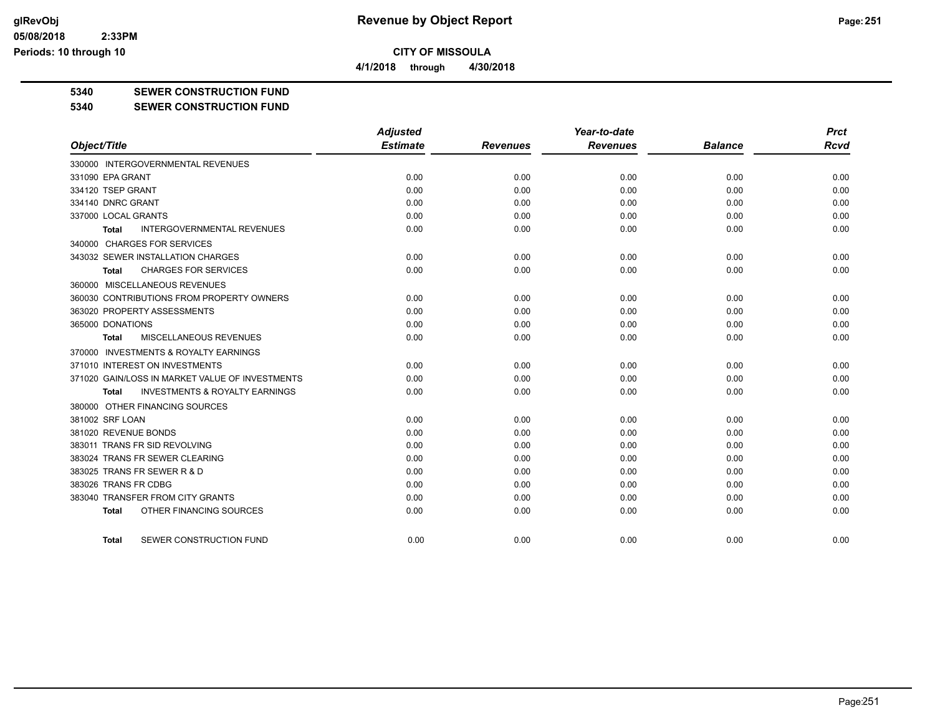**4/1/2018 through 4/30/2018**

**5340 SEWER CONSTRUCTION FUND**

**5340 SEWER CONSTRUCTION FUND**

|                                                    | <b>Adjusted</b> |                 | Year-to-date    |                | <b>Prct</b> |
|----------------------------------------------------|-----------------|-----------------|-----------------|----------------|-------------|
| Object/Title                                       | <b>Estimate</b> | <b>Revenues</b> | <b>Revenues</b> | <b>Balance</b> | <b>Rcvd</b> |
| 330000 INTERGOVERNMENTAL REVENUES                  |                 |                 |                 |                |             |
| 331090 EPA GRANT                                   | 0.00            | 0.00            | 0.00            | 0.00           | 0.00        |
| 334120 TSEP GRANT                                  | 0.00            | 0.00            | 0.00            | 0.00           | 0.00        |
| 334140 DNRC GRANT                                  | 0.00            | 0.00            | 0.00            | 0.00           | 0.00        |
| 337000 LOCAL GRANTS                                | 0.00            | 0.00            | 0.00            | 0.00           | 0.00        |
| <b>INTERGOVERNMENTAL REVENUES</b><br>Total         | 0.00            | 0.00            | 0.00            | 0.00           | 0.00        |
| 340000 CHARGES FOR SERVICES                        |                 |                 |                 |                |             |
| 343032 SEWER INSTALLATION CHARGES                  | 0.00            | 0.00            | 0.00            | 0.00           | 0.00        |
| <b>CHARGES FOR SERVICES</b><br>Total               | 0.00            | 0.00            | 0.00            | 0.00           | 0.00        |
| 360000 MISCELLANEOUS REVENUES                      |                 |                 |                 |                |             |
| 360030 CONTRIBUTIONS FROM PROPERTY OWNERS          | 0.00            | 0.00            | 0.00            | 0.00           | 0.00        |
| 363020 PROPERTY ASSESSMENTS                        | 0.00            | 0.00            | 0.00            | 0.00           | 0.00        |
| 365000 DONATIONS                                   | 0.00            | 0.00            | 0.00            | 0.00           | 0.00        |
| MISCELLANEOUS REVENUES<br><b>Total</b>             | 0.00            | 0.00            | 0.00            | 0.00           | 0.00        |
| 370000 INVESTMENTS & ROYALTY EARNINGS              |                 |                 |                 |                |             |
| 371010 INTEREST ON INVESTMENTS                     | 0.00            | 0.00            | 0.00            | 0.00           | 0.00        |
| 371020 GAIN/LOSS IN MARKET VALUE OF INVESTMENTS    | 0.00            | 0.00            | 0.00            | 0.00           | 0.00        |
| <b>INVESTMENTS &amp; ROYALTY EARNINGS</b><br>Total | 0.00            | 0.00            | 0.00            | 0.00           | 0.00        |
| 380000 OTHER FINANCING SOURCES                     |                 |                 |                 |                |             |
| 381002 SRF LOAN                                    | 0.00            | 0.00            | 0.00            | 0.00           | 0.00        |
| 381020 REVENUE BONDS                               | 0.00            | 0.00            | 0.00            | 0.00           | 0.00        |
| 383011 TRANS FR SID REVOLVING                      | 0.00            | 0.00            | 0.00            | 0.00           | 0.00        |
| 383024 TRANS FR SEWER CLEARING                     | 0.00            | 0.00            | 0.00            | 0.00           | 0.00        |
| 383025 TRANS FR SEWER R & D                        | 0.00            | 0.00            | 0.00            | 0.00           | 0.00        |
| 383026 TRANS FR CDBG                               | 0.00            | 0.00            | 0.00            | 0.00           | 0.00        |
| 383040 TRANSFER FROM CITY GRANTS                   | 0.00            | 0.00            | 0.00            | 0.00           | 0.00        |
| OTHER FINANCING SOURCES<br><b>Total</b>            | 0.00            | 0.00            | 0.00            | 0.00           | 0.00        |
| SEWER CONSTRUCTION FUND<br>Total                   | 0.00            | 0.00            | 0.00            | 0.00           | 0.00        |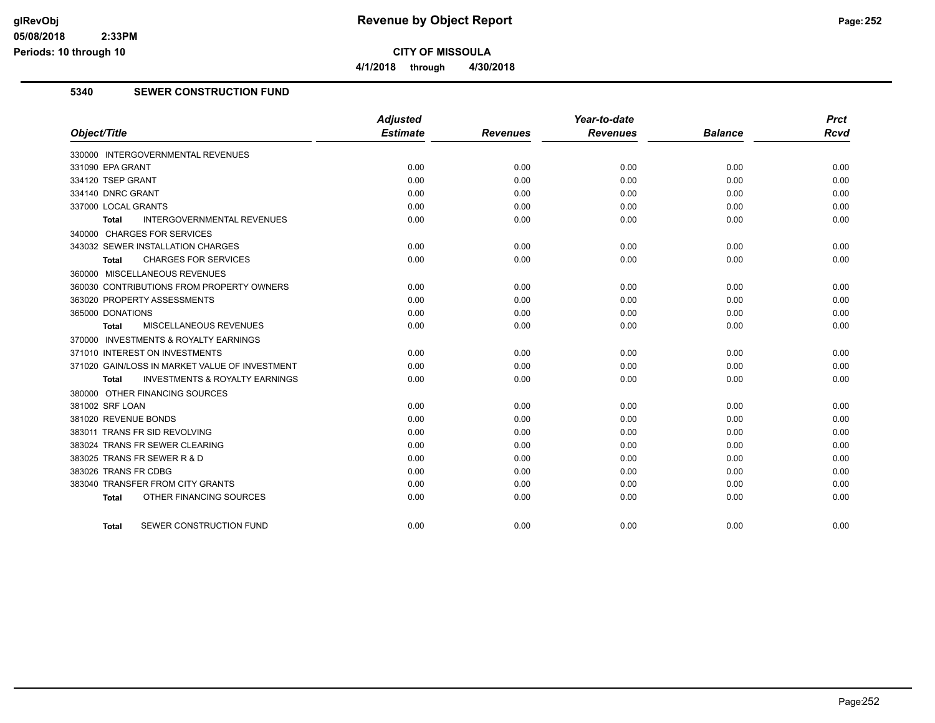**4/1/2018 through 4/30/2018**

## **5340 SEWER CONSTRUCTION FUND**

| Object/Title                                       | <b>Adjusted</b><br><b>Estimate</b> | <b>Revenues</b> | Year-to-date<br><b>Revenues</b> | <b>Balance</b> | <b>Prct</b><br><b>Rcvd</b> |
|----------------------------------------------------|------------------------------------|-----------------|---------------------------------|----------------|----------------------------|
|                                                    |                                    |                 |                                 |                |                            |
| 330000 INTERGOVERNMENTAL REVENUES                  |                                    |                 |                                 |                |                            |
| 331090 EPA GRANT                                   | 0.00                               | 0.00            | 0.00                            | 0.00           | 0.00                       |
| 334120 TSEP GRANT                                  | 0.00                               | 0.00            | 0.00                            | 0.00           | 0.00                       |
| 334140 DNRC GRANT                                  | 0.00                               | 0.00            | 0.00                            | 0.00           | 0.00                       |
| 337000 LOCAL GRANTS                                | 0.00                               | 0.00            | 0.00                            | 0.00           | 0.00                       |
| INTERGOVERNMENTAL REVENUES<br>Total                | 0.00                               | 0.00            | 0.00                            | 0.00           | 0.00                       |
| 340000 CHARGES FOR SERVICES                        |                                    |                 |                                 |                |                            |
| 343032 SEWER INSTALLATION CHARGES                  | 0.00                               | 0.00            | 0.00                            | 0.00           | 0.00                       |
| <b>CHARGES FOR SERVICES</b><br><b>Total</b>        | 0.00                               | 0.00            | 0.00                            | 0.00           | 0.00                       |
| 360000 MISCELLANEOUS REVENUES                      |                                    |                 |                                 |                |                            |
| 360030 CONTRIBUTIONS FROM PROPERTY OWNERS          | 0.00                               | 0.00            | 0.00                            | 0.00           | 0.00                       |
| 363020 PROPERTY ASSESSMENTS                        | 0.00                               | 0.00            | 0.00                            | 0.00           | 0.00                       |
| 365000 DONATIONS                                   | 0.00                               | 0.00            | 0.00                            | 0.00           | 0.00                       |
| MISCELLANEOUS REVENUES<br><b>Total</b>             | 0.00                               | 0.00            | 0.00                            | 0.00           | 0.00                       |
| 370000 INVESTMENTS & ROYALTY EARNINGS              |                                    |                 |                                 |                |                            |
| 371010 INTEREST ON INVESTMENTS                     | 0.00                               | 0.00            | 0.00                            | 0.00           | 0.00                       |
| 371020 GAIN/LOSS IN MARKET VALUE OF INVESTMENT     | 0.00                               | 0.00            | 0.00                            | 0.00           | 0.00                       |
| <b>INVESTMENTS &amp; ROYALTY EARNINGS</b><br>Total | 0.00                               | 0.00            | 0.00                            | 0.00           | 0.00                       |
| 380000 OTHER FINANCING SOURCES                     |                                    |                 |                                 |                |                            |
| 381002 SRF LOAN                                    | 0.00                               | 0.00            | 0.00                            | 0.00           | 0.00                       |
| 381020 REVENUE BONDS                               | 0.00                               | 0.00            | 0.00                            | 0.00           | 0.00                       |
| 383011 TRANS FR SID REVOLVING                      | 0.00                               | 0.00            | 0.00                            | 0.00           | 0.00                       |
| 383024 TRANS FR SEWER CLEARING                     | 0.00                               | 0.00            | 0.00                            | 0.00           | 0.00                       |
| 383025 TRANS FR SEWER R & D                        | 0.00                               | 0.00            | 0.00                            | 0.00           | 0.00                       |
| 383026 TRANS FR CDBG                               | 0.00                               | 0.00            | 0.00                            | 0.00           | 0.00                       |
| 383040 TRANSFER FROM CITY GRANTS                   | 0.00                               | 0.00            | 0.00                            | 0.00           | 0.00                       |
| OTHER FINANCING SOURCES<br><b>Total</b>            | 0.00                               | 0.00            | 0.00                            | 0.00           | 0.00                       |
| SEWER CONSTRUCTION FUND<br><b>Total</b>            | 0.00                               | 0.00            | 0.00                            | 0.00           | 0.00                       |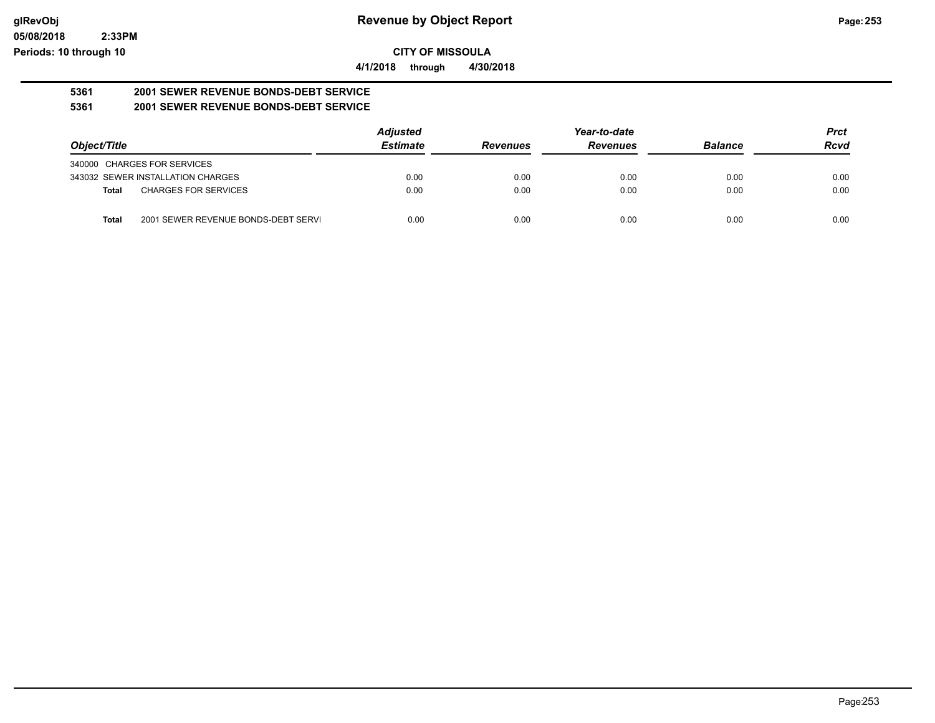#### **05/08/2018 2:33PM Periods: 10 through 10**

#### **CITY OF MISSOULA**

**4/1/2018 through 4/30/2018**

#### **5361 2001 SEWER REVENUE BONDS-DEBT SERVICE 5361 2001 SEWER REVENUE BONDS-DEBT SERVICE**

| דסנכ | <b>2001 SEWER REVENUE BUNDS-DEBI SERVICE</b> |  |
|------|----------------------------------------------|--|
|      |                                              |  |

|                                                     | <b>Adjusted</b> |                 | Year-to-date    |                | <b>Prct</b> |
|-----------------------------------------------------|-----------------|-----------------|-----------------|----------------|-------------|
| Object/Title                                        | <b>Estimate</b> | <b>Revenues</b> | <b>Revenues</b> | <b>Balance</b> | <b>Rcvd</b> |
| 340000 CHARGES FOR SERVICES                         |                 |                 |                 |                |             |
| 343032 SEWER INSTALLATION CHARGES                   | 0.00            | 0.00            | 0.00            | 0.00           | 0.00        |
| <b>CHARGES FOR SERVICES</b><br>Total                | 0.00            | 0.00            | 0.00            | 0.00           | 0.00        |
| 2001 SEWER REVENUE BONDS-DEBT SERVI<br><b>Total</b> | 0.00            | 0.00            | 0.00            | 0.00           | 0.00        |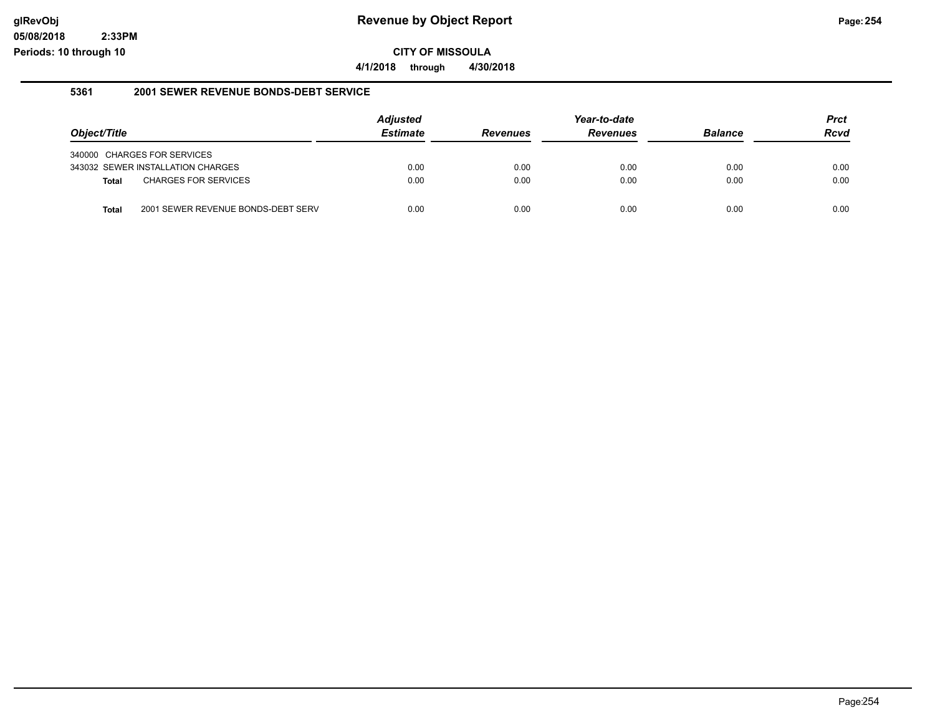**4/1/2018 through 4/30/2018**

#### **5361 2001 SEWER REVENUE BONDS-DEBT SERVICE**

|              |                                    | <b>Adjusted</b> |                 | Year-to-date    |                | <b>Prct</b> |
|--------------|------------------------------------|-----------------|-----------------|-----------------|----------------|-------------|
| Object/Title |                                    | <b>Estimate</b> | <b>Revenues</b> | <b>Revenues</b> | <b>Balance</b> | <b>Rcvd</b> |
|              | 340000 CHARGES FOR SERVICES        |                 |                 |                 |                |             |
|              | 343032 SEWER INSTALLATION CHARGES  | 0.00            | 0.00            | 0.00            | 0.00           | 0.00        |
| <b>Total</b> | <b>CHARGES FOR SERVICES</b>        | 0.00            | 0.00            | 0.00            | 0.00           | 0.00        |
| <b>Total</b> | 2001 SEWER REVENUE BONDS-DEBT SERV | 0.00            | 0.00            | 0.00            | 0.00           | 0.00        |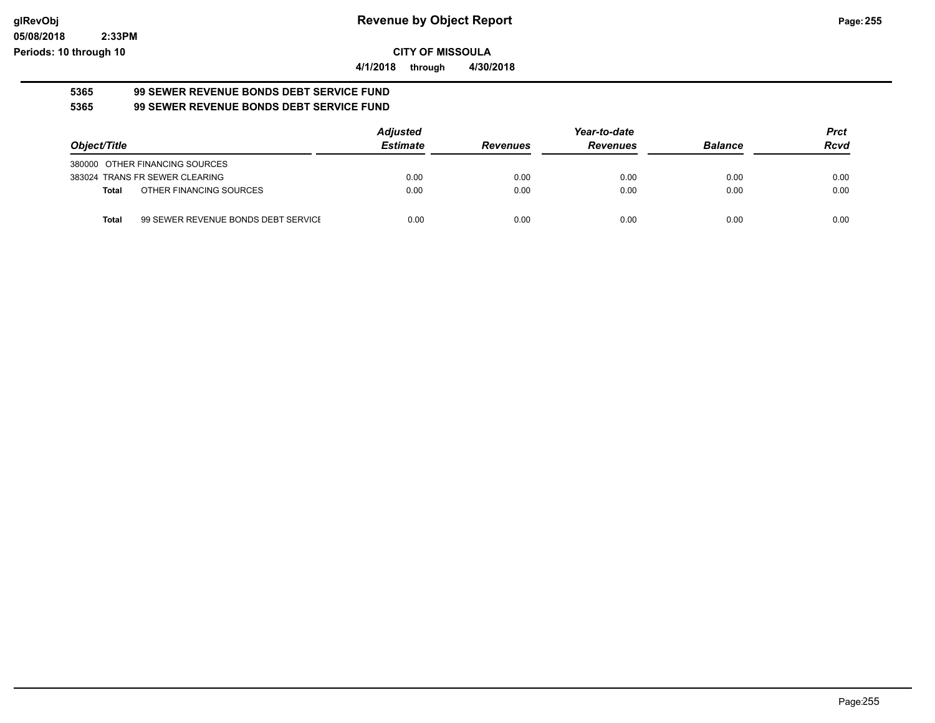#### **05/08/2018 2:33PM Periods: 10 through 10**

#### **CITY OF MISSOULA**

#### **4/1/2018 through 4/30/2018**

#### **5365 99 SEWER REVENUE BONDS DEBT SERVICE FUND 5365 99 SEWER REVENUE BONDS DEBT SERVICE FUND**

|              |                                     | <b>Adjusted</b> |                 | Year-to-date    |                | Prct        |
|--------------|-------------------------------------|-----------------|-----------------|-----------------|----------------|-------------|
| Object/Title |                                     | <b>Estimate</b> | <b>Revenues</b> | <b>Revenues</b> | <b>Balance</b> | <b>Rcvd</b> |
|              | 380000 OTHER FINANCING SOURCES      |                 |                 |                 |                |             |
|              | 383024 TRANS FR SEWER CLEARING      | 0.00            | 0.00            | 0.00            | 0.00           | 0.00        |
| <b>Total</b> | OTHER FINANCING SOURCES             | 0.00            | 0.00            | 0.00            | 0.00           | 0.00        |
| <b>Total</b> | 99 SEWER REVENUE BONDS DEBT SERVICE | 0.00            | 0.00            | 0.00            | 0.00           | 0.00        |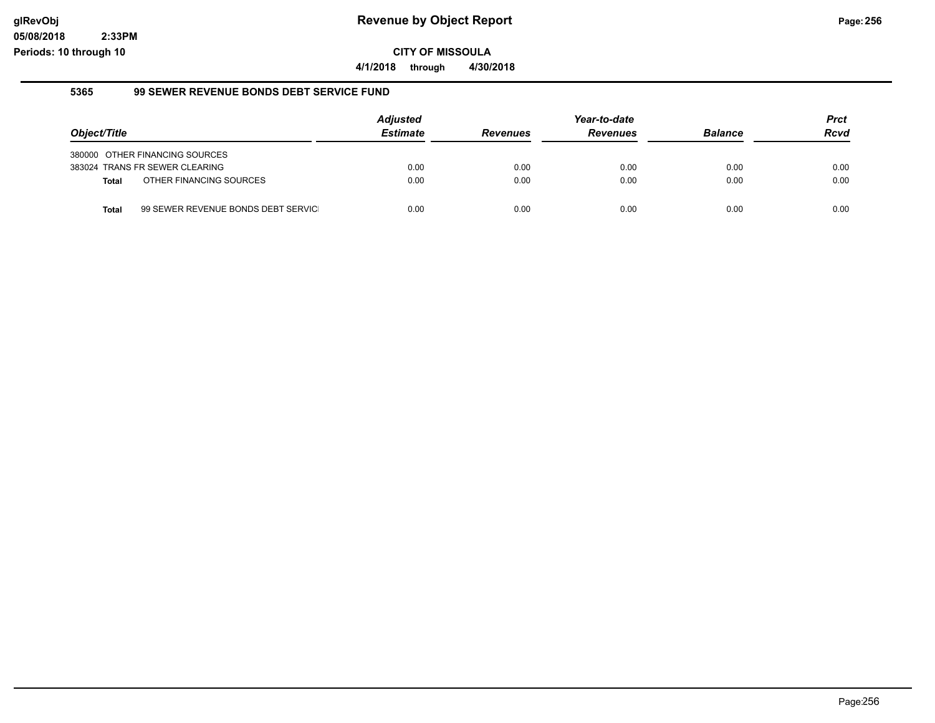**4/1/2018 through 4/30/2018**

#### **5365 99 SEWER REVENUE BONDS DEBT SERVICE FUND**

|              |                                    | <b>Adjusted</b> |                 | Year-to-date    |                | <b>Prct</b> |
|--------------|------------------------------------|-----------------|-----------------|-----------------|----------------|-------------|
| Object/Title |                                    | <b>Estimate</b> | <b>Revenues</b> | <b>Revenues</b> | <b>Balance</b> | <b>Rcvd</b> |
|              | 380000 OTHER FINANCING SOURCES     |                 |                 |                 |                |             |
|              | 383024 TRANS FR SEWER CLEARING     | 0.00            | 0.00            | 0.00            | 0.00           | 0.00        |
| Total        | OTHER FINANCING SOURCES            | 0.00            | 0.00            | 0.00            | 0.00           | 0.00        |
| <b>Total</b> | 99 SEWER REVENUE BONDS DEBT SERVIC | 0.00            | 0.00            | 0.00            | 0.00           | 0.00        |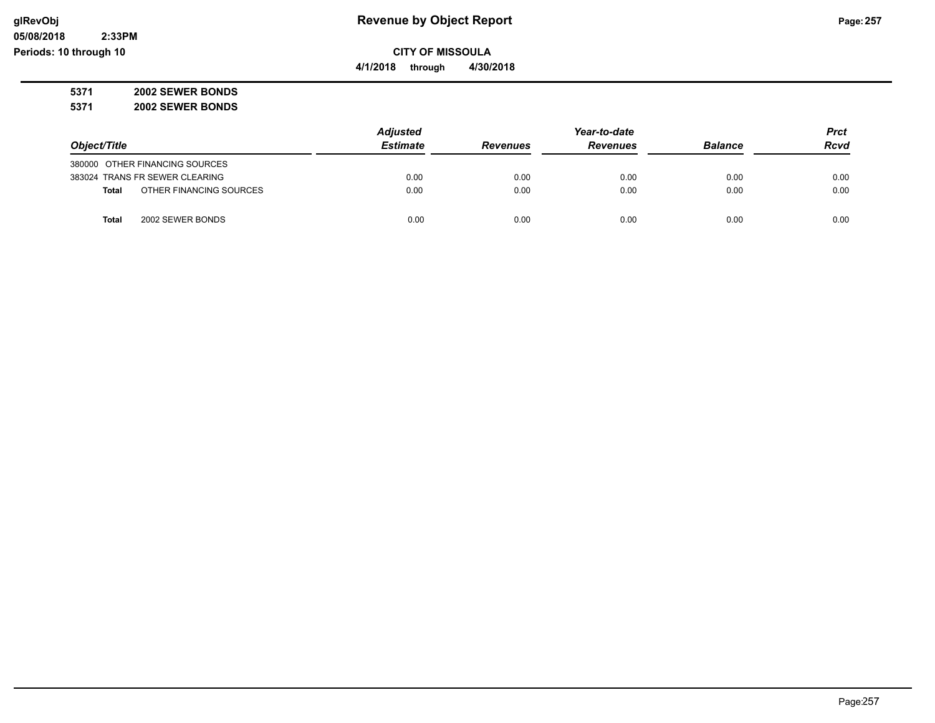**4/1/2018 through 4/30/2018**

**5371 2002 SEWER BONDS**

**5371 2002 SEWER BONDS**

|                                  | <b>Adjusted</b> |                 |                 | <b>Prct</b>    |             |
|----------------------------------|-----------------|-----------------|-----------------|----------------|-------------|
| Object/Title                     | <b>Estimate</b> | <b>Revenues</b> | <b>Revenues</b> | <b>Balance</b> | <b>Rcvd</b> |
| 380000 OTHER FINANCING SOURCES   |                 |                 |                 |                |             |
| 383024 TRANS FR SEWER CLEARING   | 0.00            | 0.00            | 0.00            | 0.00           | 0.00        |
| OTHER FINANCING SOURCES<br>Total | 0.00            | 0.00            | 0.00            | 0.00           | 0.00        |
| 2002 SEWER BONDS<br>Total        | 0.00            | 0.00            | 0.00            | 0.00           | 0.00        |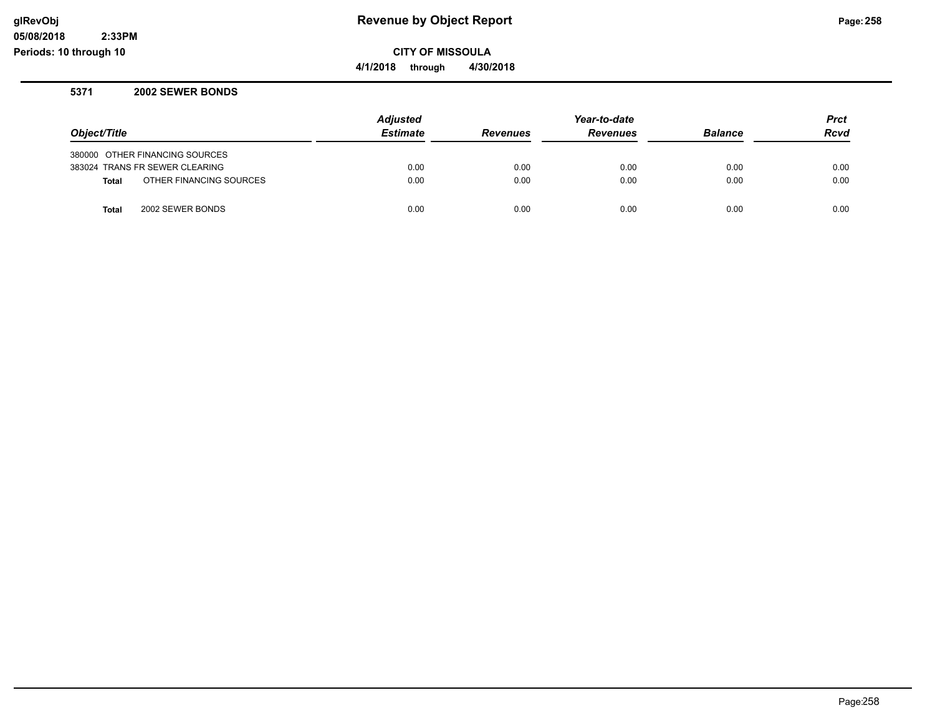**4/1/2018 through 4/30/2018**

#### **5371 2002 SEWER BONDS**

| Object/Title |                                | <b>Adjusted</b><br><b>Estimate</b> | <b>Revenues</b> | Year-to-date<br><b>Revenues</b> | <b>Balance</b> | <b>Prct</b><br><b>Rcvd</b> |
|--------------|--------------------------------|------------------------------------|-----------------|---------------------------------|----------------|----------------------------|
|              | 380000 OTHER FINANCING SOURCES |                                    |                 |                                 |                |                            |
|              | 383024 TRANS FR SEWER CLEARING | 0.00                               | 0.00            | 0.00                            | 0.00           | 0.00                       |
| Total        | OTHER FINANCING SOURCES        | 0.00                               | 0.00            | 0.00                            | 0.00           | 0.00                       |
| <b>Total</b> | 2002 SEWER BONDS               | 0.00                               | 0.00            | 0.00                            | 0.00           | 0.00                       |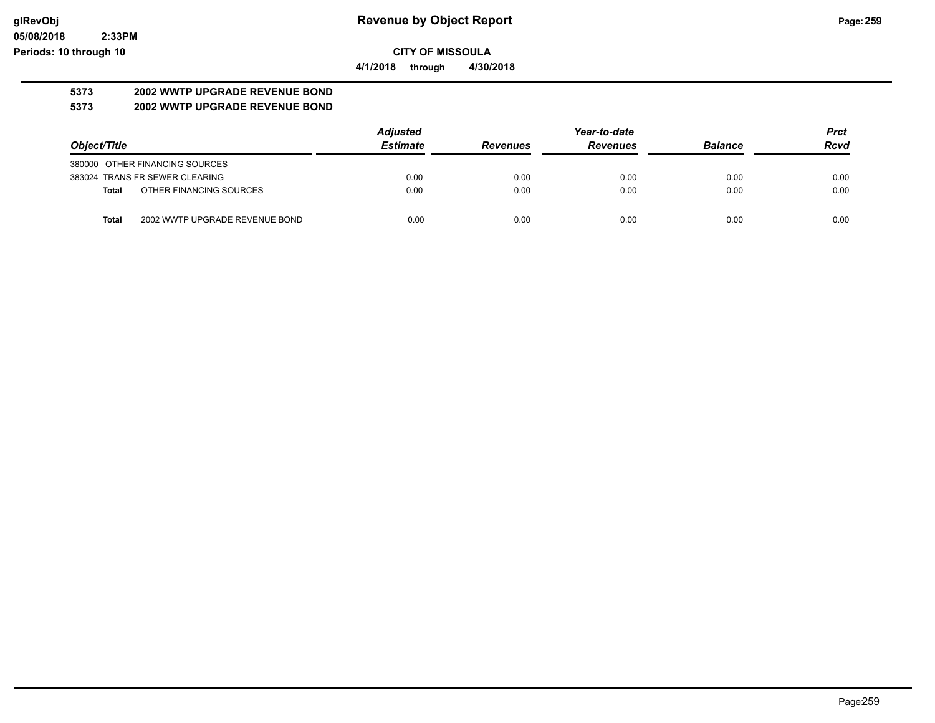**4/1/2018 through 4/30/2018**

# **5373 2002 WWTP UPGRADE REVENUE BOND**

### **5373 2002 WWTP UPGRADE REVENUE BOND**

|                                                | <b>Adjusted</b> |                 | Year-to-date    |                | <b>Prct</b> |
|------------------------------------------------|-----------------|-----------------|-----------------|----------------|-------------|
| Object/Title                                   | <b>Estimate</b> | <b>Revenues</b> | <b>Revenues</b> | <b>Balance</b> | <b>Rcvd</b> |
| 380000 OTHER FINANCING SOURCES                 |                 |                 |                 |                |             |
| 383024 TRANS FR SEWER CLEARING                 | 0.00            | 0.00            | 0.00            | 0.00           | 0.00        |
| OTHER FINANCING SOURCES<br>Total               | 0.00            | 0.00            | 0.00            | 0.00           | 0.00        |
| 2002 WWTP UPGRADE REVENUE BOND<br><b>Total</b> | 0.00            | 0.00            | 0.00            | 0.00           | 0.00        |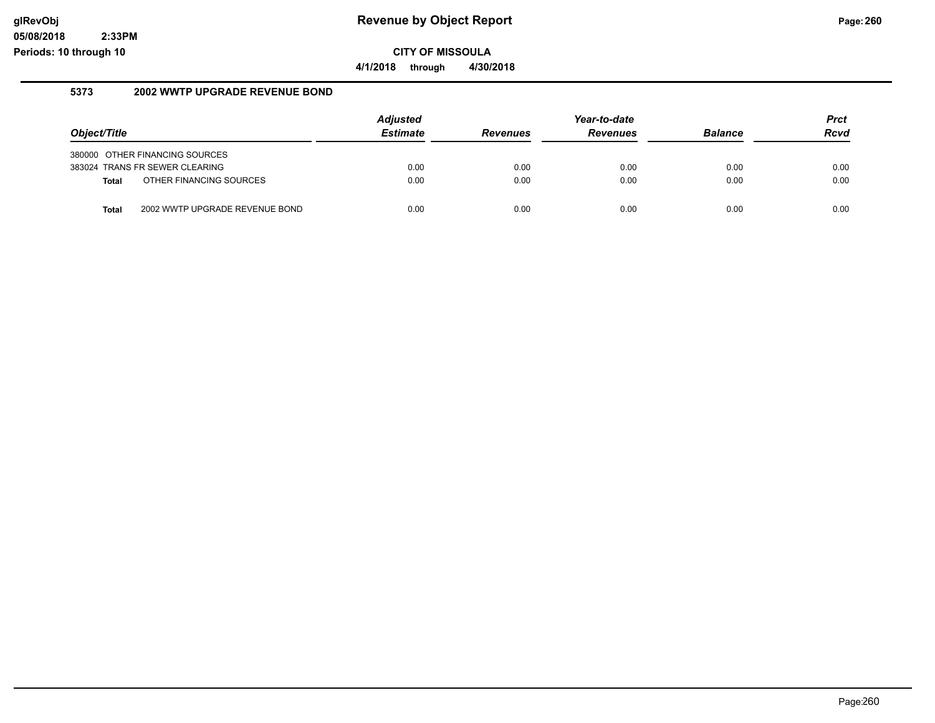**4/1/2018 through 4/30/2018**

#### **5373 2002 WWTP UPGRADE REVENUE BOND**

| Object/Title |                                | <b>Adjusted</b><br><b>Estimate</b> | <b>Revenues</b> | Year-to-date<br><b>Revenues</b> | <b>Balance</b> | <b>Prct</b><br><b>Rcvd</b> |
|--------------|--------------------------------|------------------------------------|-----------------|---------------------------------|----------------|----------------------------|
|              | 380000 OTHER FINANCING SOURCES |                                    |                 |                                 |                |                            |
|              | 383024 TRANS FR SEWER CLEARING | 0.00                               | 0.00            | 0.00                            | 0.00           | 0.00                       |
| Total        | OTHER FINANCING SOURCES        | 0.00                               | 0.00            | 0.00                            | 0.00           | 0.00                       |
| <b>Total</b> | 2002 WWTP UPGRADE REVENUE BOND | 0.00                               | 0.00            | 0.00                            | 0.00           | 0.00                       |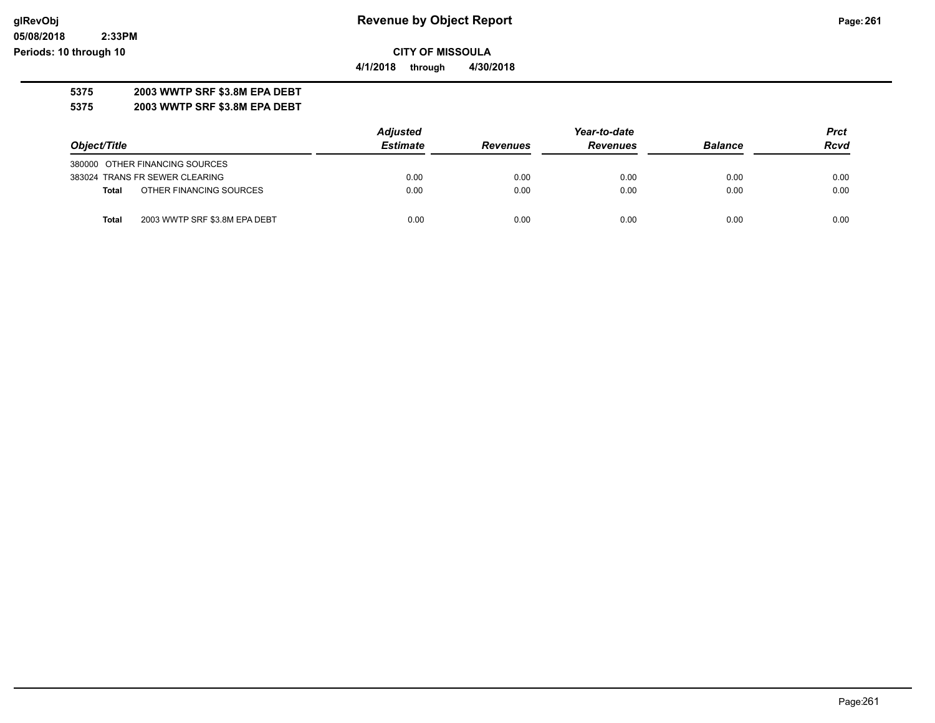**4/1/2018 through 4/30/2018**

## **5375 2003 WWTP SRF \$3.8M EPA DEBT**

**5375 2003 WWTP SRF \$3.8M EPA DEBT**

|                                         | <b>Adjusted</b> |                 | Year-to-date    |                | Prct |  |
|-----------------------------------------|-----------------|-----------------|-----------------|----------------|------|--|
| Object/Title                            | <b>Estimate</b> | <b>Revenues</b> | <b>Revenues</b> | <b>Balance</b> | Rcvd |  |
| 380000 OTHER FINANCING SOURCES          |                 |                 |                 |                |      |  |
| 383024 TRANS FR SEWER CLEARING          | 0.00            | 0.00            | 0.00            | 0.00           | 0.00 |  |
| OTHER FINANCING SOURCES<br><b>Total</b> | 0.00            | 0.00            | 0.00            | 0.00           | 0.00 |  |
| 2003 WWTP SRF \$3.8M EPA DEBT<br>Total  | 0.00            | 0.00            | 0.00            | 0.00           | 0.00 |  |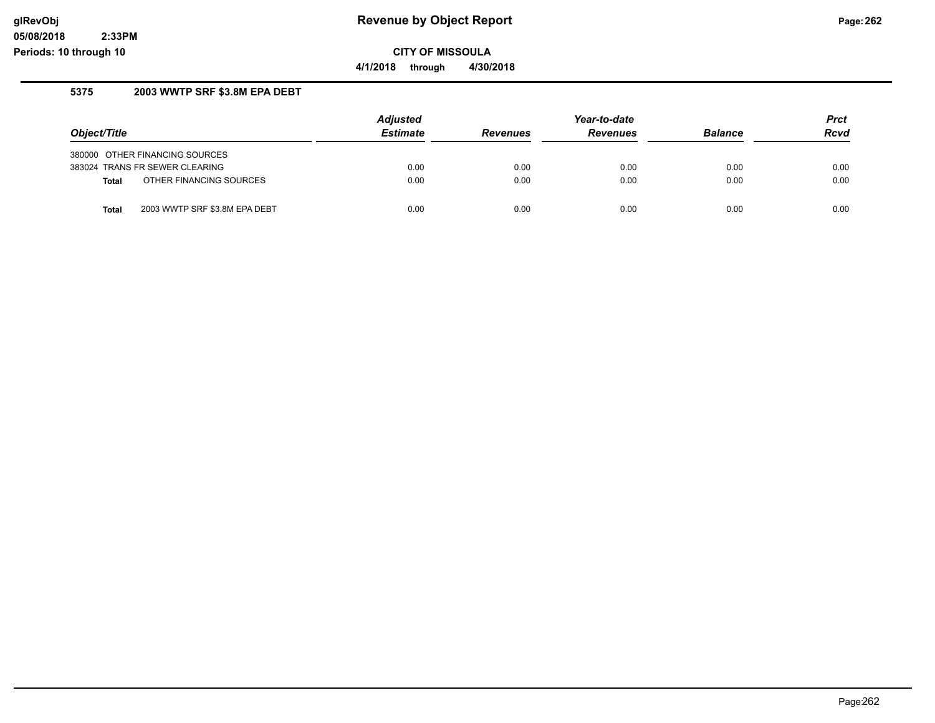**4/1/2018 through 4/30/2018**

#### **5375 2003 WWTP SRF \$3.8M EPA DEBT**

| Object/Title                                  | <b>Adjusted</b><br><b>Estimate</b> | <b>Revenues</b> | Year-to-date<br><b>Revenues</b> | <b>Balance</b> | <b>Prct</b><br><b>Rcvd</b> |
|-----------------------------------------------|------------------------------------|-----------------|---------------------------------|----------------|----------------------------|
| 380000 OTHER FINANCING SOURCES                |                                    |                 |                                 |                |                            |
| 383024 TRANS FR SEWER CLEARING                | 0.00                               | 0.00            | 0.00                            | 0.00           | 0.00                       |
| OTHER FINANCING SOURCES<br><b>Total</b>       | 0.00                               | 0.00            | 0.00                            | 0.00           | 0.00                       |
|                                               |                                    |                 |                                 |                |                            |
| <b>Total</b><br>2003 WWTP SRF \$3.8M EPA DEBT | 0.00                               | 0.00            | 0.00                            | 0.00           | 0.00                       |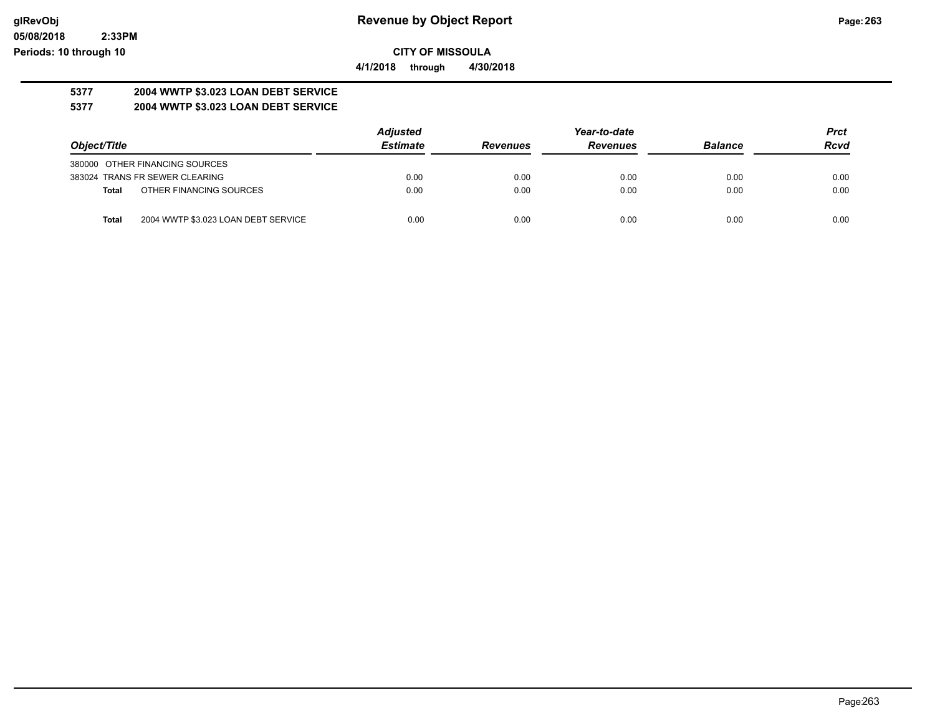**4/1/2018 through 4/30/2018**

#### **5377 2004 WWTP \$3.023 LOAN DEBT SERVICE 5377 2004 WWTP \$3.023 LOAN DEBT SERVICE**

|              |                                     | <b>Adjusted</b> |                 | Year-to-date    |                | Prct |
|--------------|-------------------------------------|-----------------|-----------------|-----------------|----------------|------|
| Object/Title |                                     | <b>Estimate</b> | <b>Revenues</b> | <b>Revenues</b> | <b>Balance</b> | Rcvd |
|              | 380000 OTHER FINANCING SOURCES      |                 |                 |                 |                |      |
|              | 383024 TRANS FR SEWER CLEARING      | 0.00            | 0.00            | 0.00            | 0.00           | 0.00 |
| Total        | OTHER FINANCING SOURCES             | 0.00            | 0.00            | 0.00            | 0.00           | 0.00 |
| Total        | 2004 WWTP \$3.023 LOAN DEBT SERVICE | 0.00            | 0.00            | 0.00            | 0.00           | 0.00 |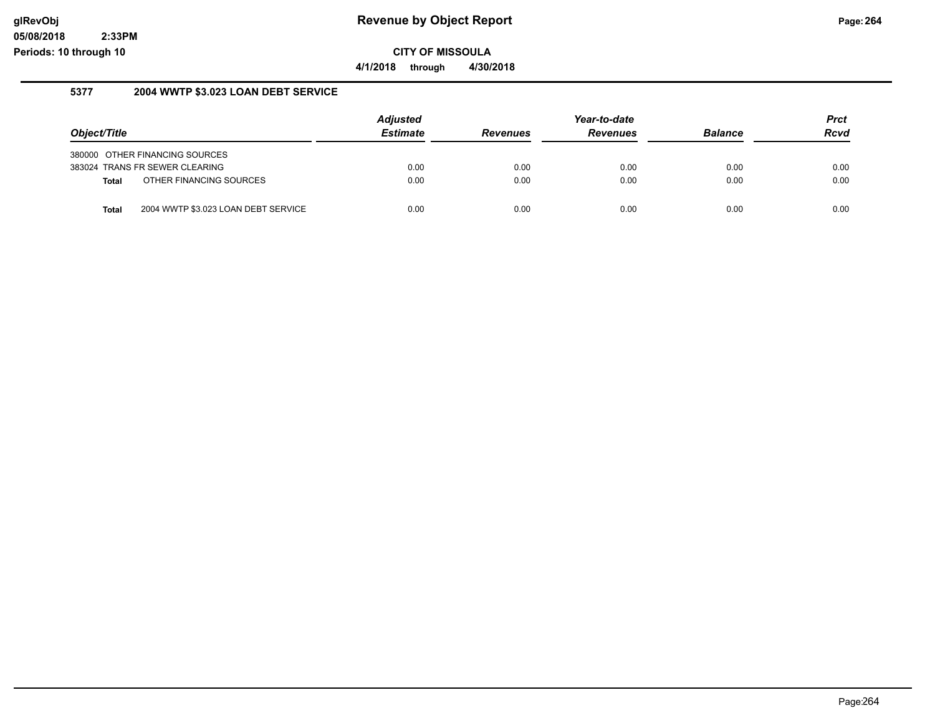**4/1/2018 through 4/30/2018**

#### **5377 2004 WWTP \$3.023 LOAN DEBT SERVICE**

| Object/Title |                                     | <b>Adjusted</b><br><b>Estimate</b> | <b>Revenues</b> | Year-to-date<br><b>Revenues</b> | <b>Balance</b> | <b>Prct</b><br><b>Rcvd</b> |
|--------------|-------------------------------------|------------------------------------|-----------------|---------------------------------|----------------|----------------------------|
|              | 380000 OTHER FINANCING SOURCES      |                                    |                 |                                 |                |                            |
|              | 383024 TRANS FR SEWER CLEARING      | 0.00                               | 0.00            | 0.00                            | 0.00           | 0.00                       |
| <b>Total</b> | OTHER FINANCING SOURCES             | 0.00                               | 0.00            | 0.00                            | 0.00           | 0.00                       |
| <b>Total</b> | 2004 WWTP \$3.023 LOAN DEBT SERVICE | 0.00                               | 0.00            | 0.00                            | 0.00           | 0.00                       |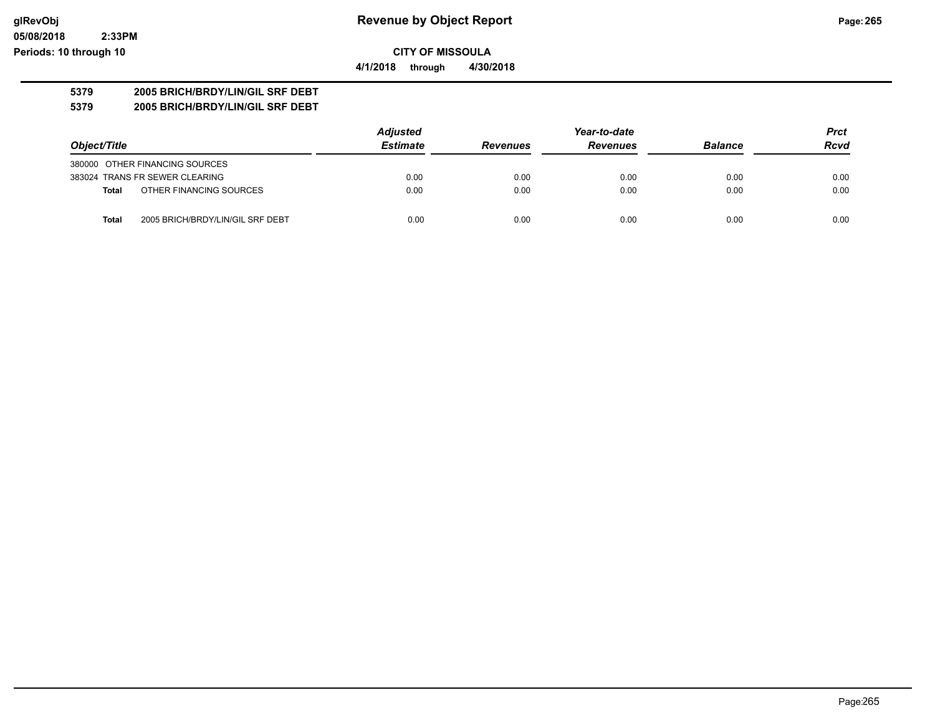**05/08/2018 2:33PM Periods: 10 through 10**

# **CITY OF MISSOULA**

**4/1/2018 through 4/30/2018**

# **5379 2005 BRICH/BRDY/LIN/GIL SRF DEBT**

**5379 2005 BRICH/BRDY/LIN/GIL SRF DEBT**

|                                                  | <b>Adjusted</b> |                 | Year-to-date    |                | <b>Prct</b> |
|--------------------------------------------------|-----------------|-----------------|-----------------|----------------|-------------|
| Object/Title                                     | <b>Estimate</b> | <b>Revenues</b> | <b>Revenues</b> | <b>Balance</b> | <b>Rcvd</b> |
| 380000 OTHER FINANCING SOURCES                   |                 |                 |                 |                |             |
| 383024 TRANS FR SEWER CLEARING                   | 0.00            | 0.00            | 0.00            | 0.00           | 0.00        |
| OTHER FINANCING SOURCES<br>Total                 | 0.00            | 0.00            | 0.00            | 0.00           | 0.00        |
| 2005 BRICH/BRDY/LIN/GIL SRF DEBT<br><b>Total</b> | 0.00            | 0.00            | 0.00            | 0.00           | 0.00        |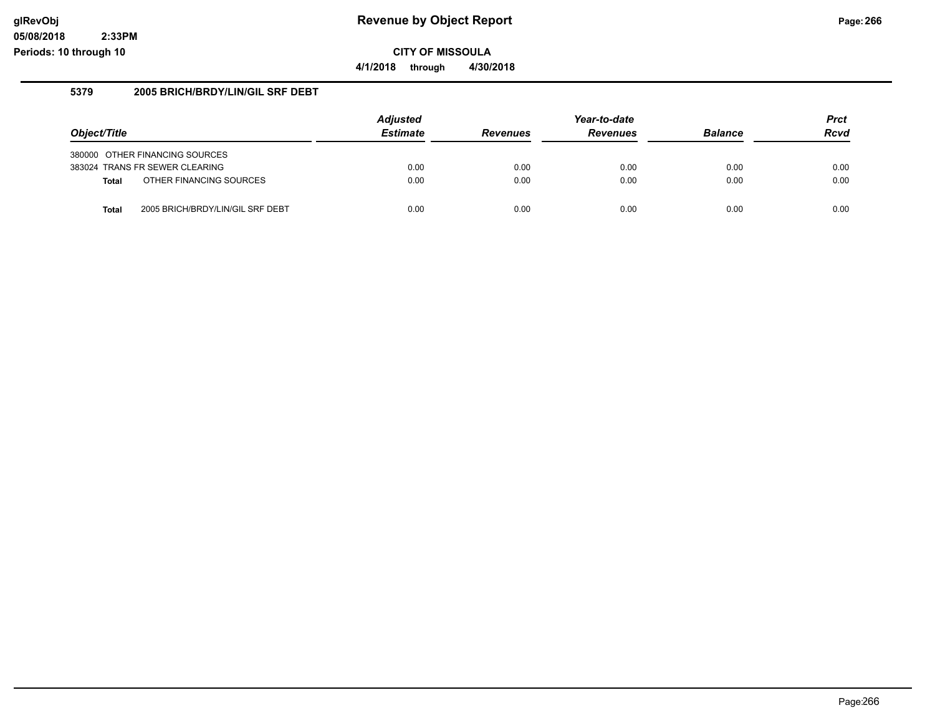**4/1/2018 through 4/30/2018**

#### **5379 2005 BRICH/BRDY/LIN/GIL SRF DEBT**

| Object/Title |                                  | <b>Adjusted</b><br><b>Estimate</b> | <b>Revenues</b> | Year-to-date<br><b>Revenues</b> | <b>Balance</b> | <b>Prct</b><br>Rcvd |
|--------------|----------------------------------|------------------------------------|-----------------|---------------------------------|----------------|---------------------|
|              | 380000 OTHER FINANCING SOURCES   |                                    |                 |                                 |                |                     |
|              | 383024 TRANS FR SEWER CLEARING   | 0.00                               | 0.00            | 0.00                            | 0.00           | 0.00                |
| <b>Total</b> | OTHER FINANCING SOURCES          | 0.00                               | 0.00            | 0.00                            | 0.00           | 0.00                |
|              |                                  |                                    |                 |                                 |                |                     |
| <b>Total</b> | 2005 BRICH/BRDY/LIN/GIL SRF DEBT | 0.00                               | 0.00            | 0.00                            | 0.00           | 0.00                |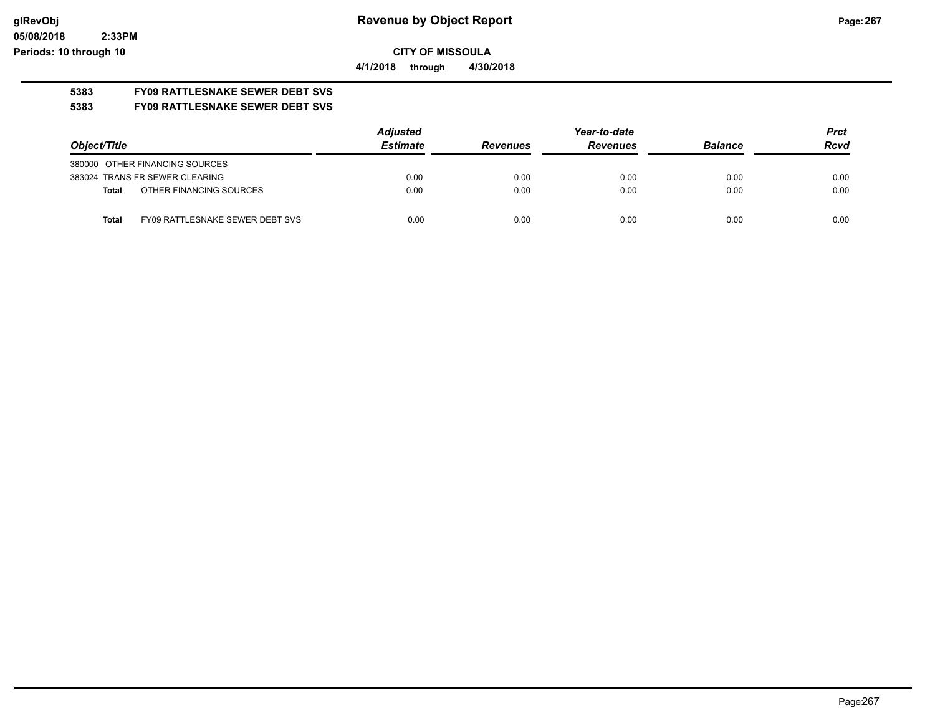**4/1/2018 through 4/30/2018**

# **5383 FY09 RATTLESNAKE SEWER DEBT SVS**

## **5383 FY09 RATTLESNAKE SEWER DEBT SVS**

|                                                 | <b>Adjusted</b> |                 | Year-to-date    |                | <b>Prct</b> |
|-------------------------------------------------|-----------------|-----------------|-----------------|----------------|-------------|
| Object/Title                                    | <b>Estimate</b> | <b>Revenues</b> | <b>Revenues</b> | <b>Balance</b> | <b>Rcvd</b> |
| 380000 OTHER FINANCING SOURCES                  |                 |                 |                 |                |             |
| 383024 TRANS FR SEWER CLEARING                  | 0.00            | 0.00            | 0.00            | 0.00           | 0.00        |
| OTHER FINANCING SOURCES<br>Total                | 0.00            | 0.00            | 0.00            | 0.00           | 0.00        |
| FY09 RATTLESNAKE SEWER DEBT SVS<br><b>Total</b> | 0.00            | 0.00            | 0.00            | 0.00           | 0.00        |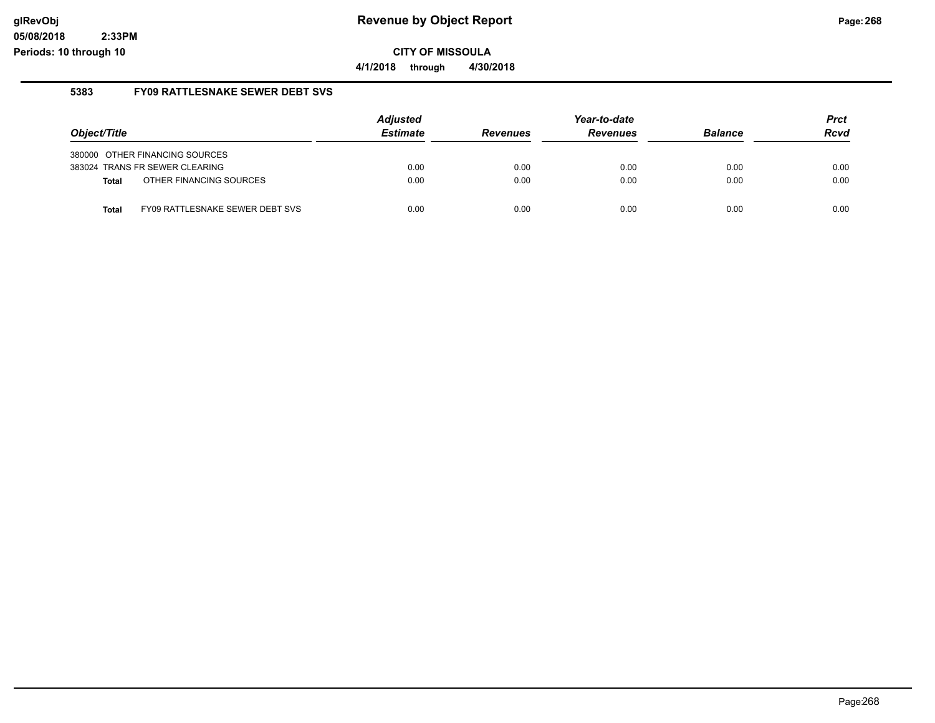**4/1/2018 through 4/30/2018**

#### **5383 FY09 RATTLESNAKE SEWER DEBT SVS**

| Object/Title |                                 | <b>Adjusted</b><br><b>Estimate</b> | <b>Revenues</b> | Year-to-date<br><b>Revenues</b> | <b>Balance</b> | <b>Prct</b><br><b>Rcvd</b> |
|--------------|---------------------------------|------------------------------------|-----------------|---------------------------------|----------------|----------------------------|
|              | 380000 OTHER FINANCING SOURCES  |                                    |                 |                                 |                |                            |
|              | 383024 TRANS FR SEWER CLEARING  | 0.00                               | 0.00            | 0.00                            | 0.00           | 0.00                       |
| <b>Total</b> | OTHER FINANCING SOURCES         | 0.00                               | 0.00            | 0.00                            | 0.00           | 0.00                       |
| <b>Total</b> | FY09 RATTLESNAKE SEWER DEBT SVS | 0.00                               | 0.00            | 0.00                            | 0.00           | 0.00                       |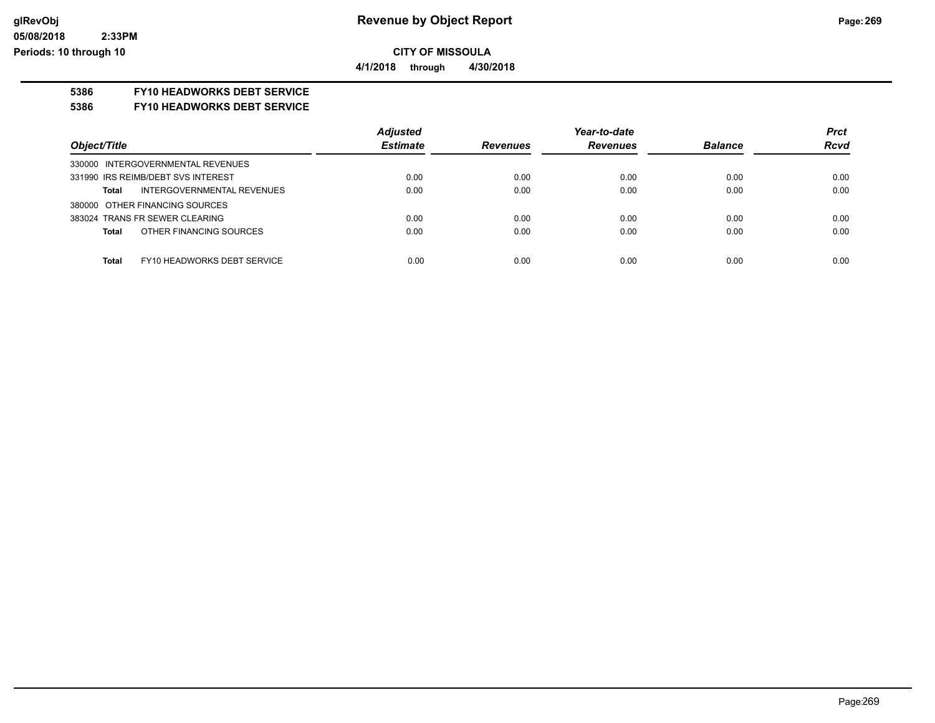**4/1/2018 through 4/30/2018**

#### **5386 FY10 HEADWORKS DEBT SERVICE**

#### **5386 FY10 HEADWORKS DEBT SERVICE**

|                                             | <b>Adjusted</b> |                 | Year-to-date |                | <b>Prct</b> |
|---------------------------------------------|-----------------|-----------------|--------------|----------------|-------------|
| Object/Title                                | <b>Estimate</b> | <b>Revenues</b> | Revenues     | <b>Balance</b> | <b>Rcvd</b> |
| 330000 INTERGOVERNMENTAL REVENUES           |                 |                 |              |                |             |
| 331990 IRS REIMB/DEBT SVS INTEREST          | 0.00            | 0.00            | 0.00         | 0.00           | 0.00        |
| INTERGOVERNMENTAL REVENUES<br><b>Total</b>  | 0.00            | 0.00            | 0.00         | 0.00           | 0.00        |
| 380000 OTHER FINANCING SOURCES              |                 |                 |              |                |             |
| 383024 TRANS FR SEWER CLEARING              | 0.00            | 0.00            | 0.00         | 0.00           | 0.00        |
| OTHER FINANCING SOURCES<br>Total            | 0.00            | 0.00            | 0.00         | 0.00           | 0.00        |
|                                             |                 |                 |              |                |             |
| <b>FY10 HEADWORKS DEBT SERVICE</b><br>Total | 0.00            | 0.00            | 0.00         | 0.00           | 0.00        |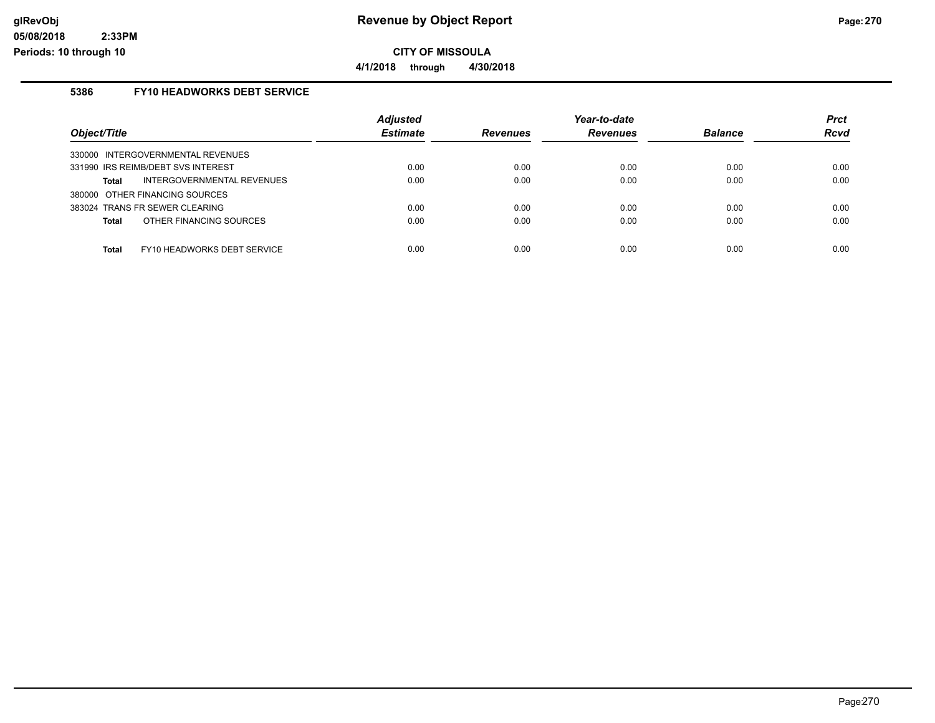**4/1/2018 through 4/30/2018**

#### **5386 FY10 HEADWORKS DEBT SERVICE**

| Object/Title                                | <b>Adjusted</b><br><b>Estimate</b> | <b>Revenues</b> | Year-to-date<br><b>Revenues</b> | <b>Balance</b> | <b>Prct</b><br><b>Rcvd</b> |
|---------------------------------------------|------------------------------------|-----------------|---------------------------------|----------------|----------------------------|
|                                             |                                    |                 |                                 |                |                            |
| 330000 INTERGOVERNMENTAL REVENUES           |                                    |                 |                                 |                |                            |
| 331990 IRS REIMB/DEBT SVS INTEREST          | 0.00                               | 0.00            | 0.00                            | 0.00           | 0.00                       |
| INTERGOVERNMENTAL REVENUES<br><b>Total</b>  | 0.00                               | 0.00            | 0.00                            | 0.00           | 0.00                       |
| 380000 OTHER FINANCING SOURCES              |                                    |                 |                                 |                |                            |
| 383024 TRANS FR SEWER CLEARING              | 0.00                               | 0.00            | 0.00                            | 0.00           | 0.00                       |
| OTHER FINANCING SOURCES<br><b>Total</b>     | 0.00                               | 0.00            | 0.00                            | 0.00           | 0.00                       |
|                                             |                                    |                 |                                 |                |                            |
| FY10 HEADWORKS DEBT SERVICE<br><b>Total</b> | 0.00                               | 0.00            | 0.00                            | 0.00           | 0.00                       |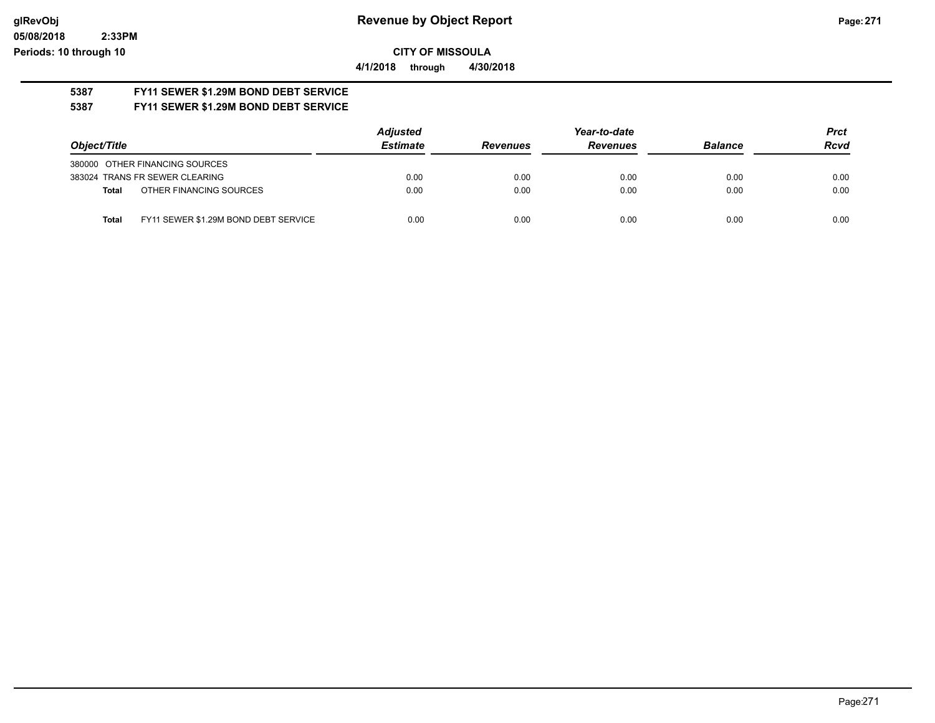**4/1/2018 through 4/30/2018**

# **5387 FY11 SEWER \$1.29M BOND DEBT SERVICE**

## **5387 FY11 SEWER \$1.29M BOND DEBT SERVICE**

|                                                      | <b>Adjusted</b> |                 |                 | <b>Prct</b>    |             |
|------------------------------------------------------|-----------------|-----------------|-----------------|----------------|-------------|
| Object/Title                                         | <b>Estimate</b> | <b>Revenues</b> | <b>Revenues</b> | <b>Balance</b> | <b>Rcvd</b> |
| 380000 OTHER FINANCING SOURCES                       |                 |                 |                 |                |             |
| 383024 TRANS FR SEWER CLEARING                       | 0.00            | 0.00            | 0.00            | 0.00           | 0.00        |
| OTHER FINANCING SOURCES<br>Total                     | 0.00            | 0.00            | 0.00            | 0.00           | 0.00        |
| FY11 SEWER \$1.29M BOND DEBT SERVICE<br><b>Total</b> | 0.00            | 0.00            | 0.00            | 0.00           | 0.00        |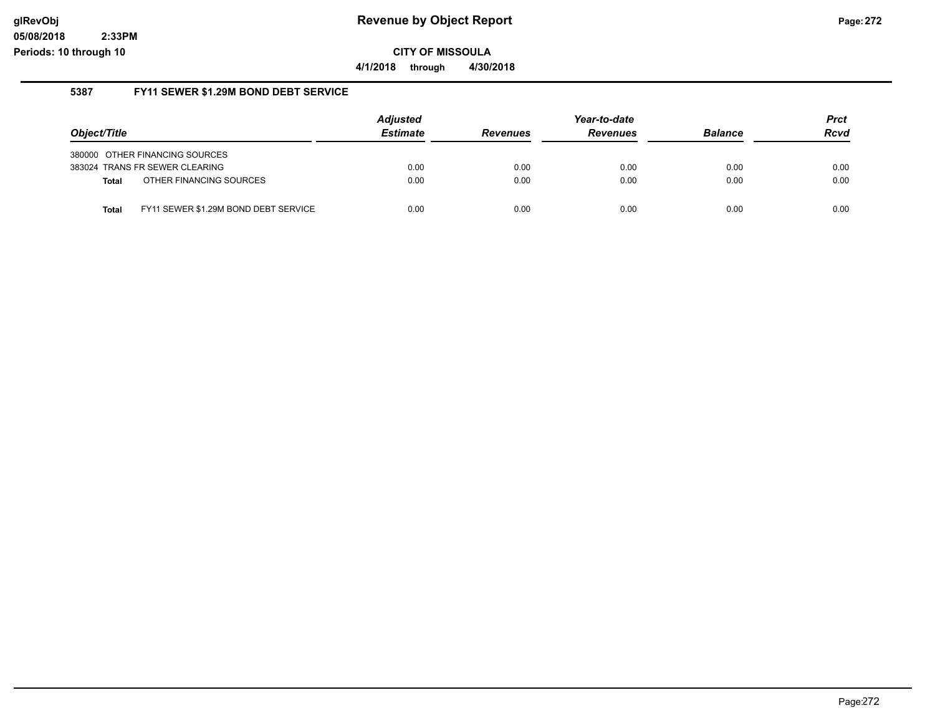**4/1/2018 through 4/30/2018**

#### **5387 FY11 SEWER \$1.29M BOND DEBT SERVICE**

|              |                                      |                 |                 | Year-to-date    |                | <b>Prct</b> |
|--------------|--------------------------------------|-----------------|-----------------|-----------------|----------------|-------------|
| Object/Title |                                      | <b>Estimate</b> | <b>Revenues</b> | <b>Revenues</b> | <b>Balance</b> | Rcvd        |
|              | 380000 OTHER FINANCING SOURCES       |                 |                 |                 |                |             |
|              | 383024 TRANS FR SEWER CLEARING       | 0.00            | 0.00            | 0.00            | 0.00           | 0.00        |
| <b>Total</b> | OTHER FINANCING SOURCES              | 0.00            | 0.00            | 0.00            | 0.00           | 0.00        |
| <b>Total</b> | FY11 SEWER \$1.29M BOND DEBT SERVICE | 0.00            | 0.00            | 0.00            | 0.00           | 0.00        |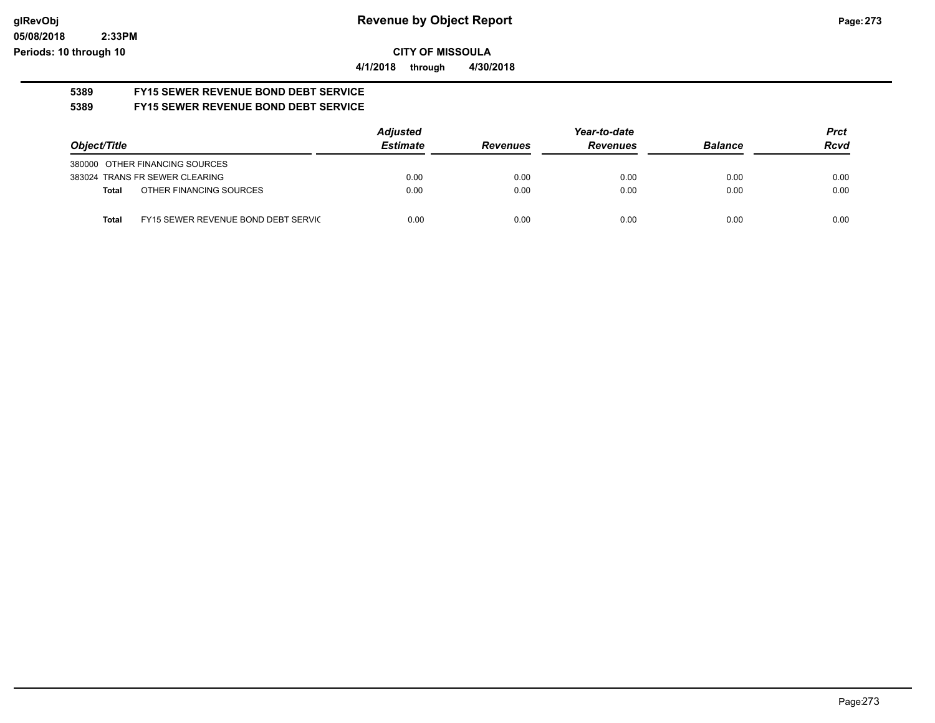#### **05/08/2018 2:33PM Periods: 10 through 10**

**CITY OF MISSOULA**

**4/1/2018 through 4/30/2018**

#### **5389 FY15 SEWER REVENUE BOND DEBT SERVICE 5389 FY15 SEWER REVENUE BOND DEBT SERVICE**

|              |                                     | <b>Adjusted</b> | Year-to-date    |                 |                | Prct |
|--------------|-------------------------------------|-----------------|-----------------|-----------------|----------------|------|
| Object/Title |                                     | <b>Estimate</b> | <b>Revenues</b> | <b>Revenues</b> | <b>Balance</b> | Rcvd |
|              | 380000 OTHER FINANCING SOURCES      |                 |                 |                 |                |      |
|              | 383024 TRANS FR SEWER CLEARING      | 0.00            | 0.00            | 0.00            | 0.00           | 0.00 |
| <b>Total</b> | OTHER FINANCING SOURCES             | 0.00            | 0.00            | 0.00            | 0.00           | 0.00 |
| <b>Total</b> | FY15 SEWER REVENUE BOND DEBT SERVIC | 0.00            | 0.00            | 0.00            | 0.00           | 0.00 |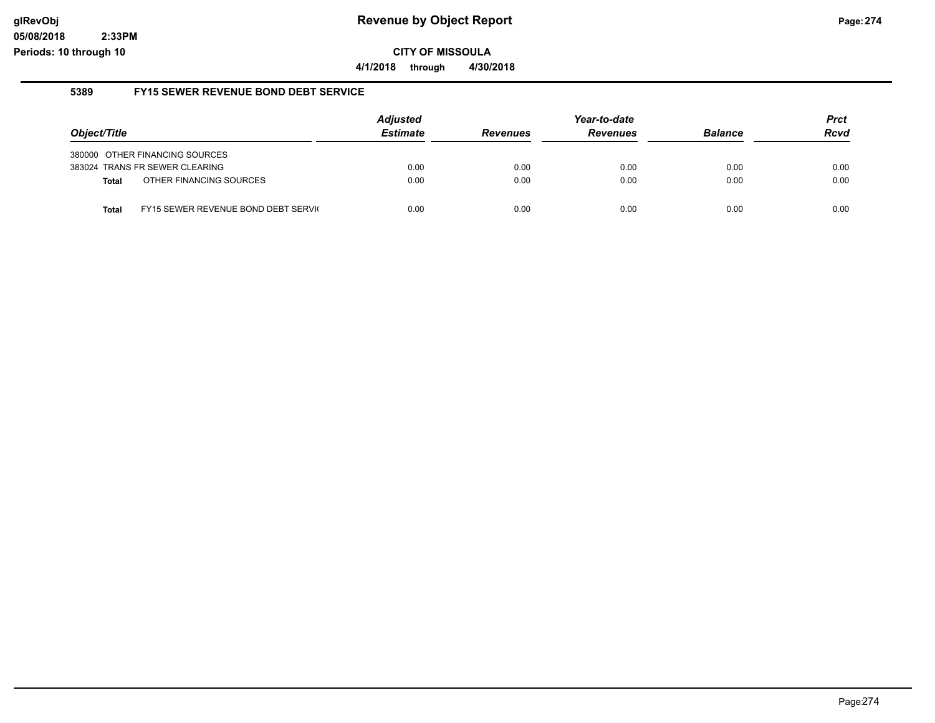**4/1/2018 through 4/30/2018**

#### **5389 FY15 SEWER REVENUE BOND DEBT SERVICE**

| Object/Title |                                     | <b>Adjusted</b><br><b>Estimate</b> | <b>Revenues</b> | Year-to-date<br><b>Revenues</b> | <b>Balance</b> | <b>Prct</b><br><b>Rcvd</b> |
|--------------|-------------------------------------|------------------------------------|-----------------|---------------------------------|----------------|----------------------------|
|              | 380000 OTHER FINANCING SOURCES      |                                    |                 |                                 |                |                            |
|              | 383024 TRANS FR SEWER CLEARING      | 0.00                               | 0.00            | 0.00                            | 0.00           | 0.00                       |
| <b>Total</b> | OTHER FINANCING SOURCES             | 0.00                               | 0.00            | 0.00                            | 0.00           | 0.00                       |
| <b>Total</b> | FY15 SEWER REVENUE BOND DEBT SERVIC | 0.00                               | 0.00            | 0.00                            | 0.00           | 0.00                       |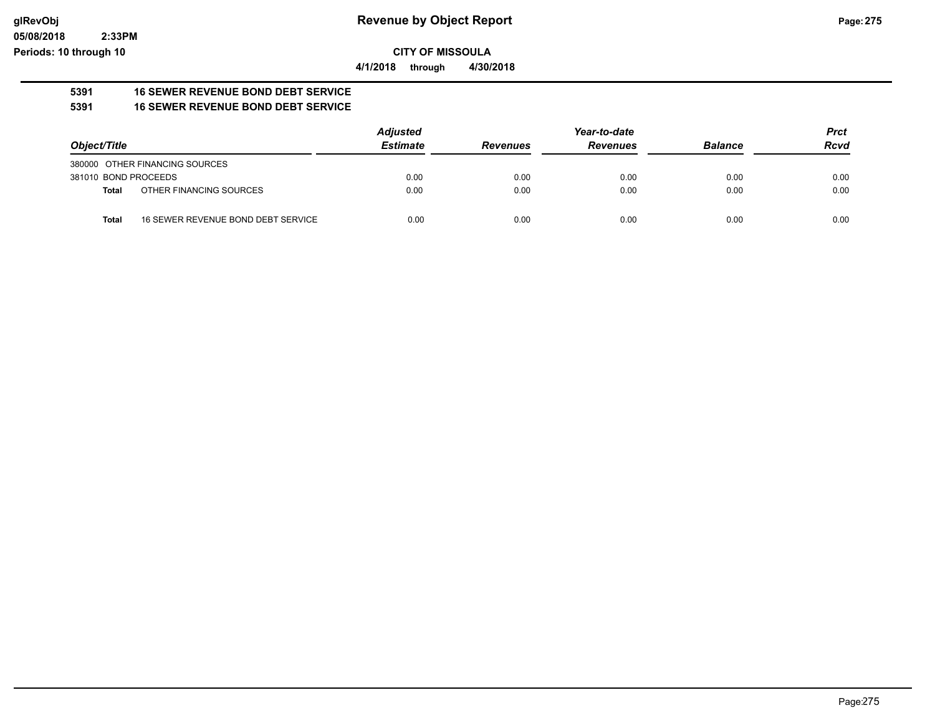#### **05/08/2018 2:33PM Periods: 10 through 10**

**CITY OF MISSOULA**

**4/1/2018 through 4/30/2018**

#### **5391 16 SEWER REVENUE BOND DEBT SERVICE 5391 16 SEWER REVENUE BOND DEBT SERVICE**

|                      |                                    | <b>Adjusted</b> |                 | Year-to-date    |                |      |  |
|----------------------|------------------------------------|-----------------|-----------------|-----------------|----------------|------|--|
| Object/Title         |                                    | <b>Estimate</b> | <b>Revenues</b> | <b>Revenues</b> | <b>Balance</b> | Rcvd |  |
|                      | 380000 OTHER FINANCING SOURCES     |                 |                 |                 |                |      |  |
| 381010 BOND PROCEEDS |                                    | 0.00            | 0.00            | 0.00            | 0.00           | 0.00 |  |
| Total                | OTHER FINANCING SOURCES            | 0.00            | 0.00            | 0.00            | 0.00           | 0.00 |  |
| Total                | 16 SEWER REVENUE BOND DEBT SERVICE | 0.00            | 0.00            | 0.00            | 0.00           | 0.00 |  |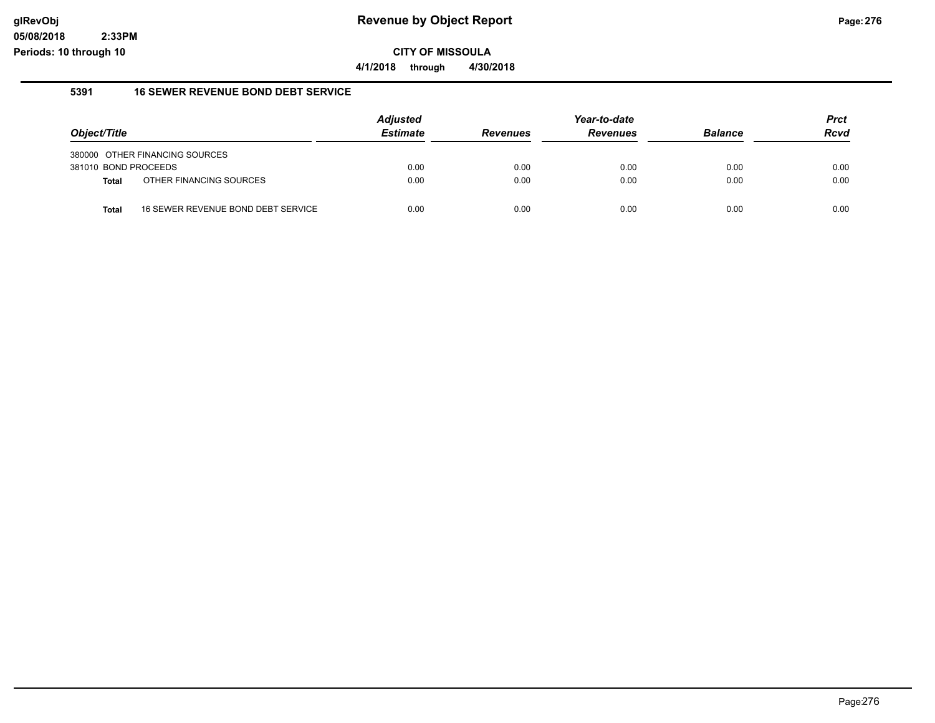**4/1/2018 through 4/30/2018**

#### **5391 16 SEWER REVENUE BOND DEBT SERVICE**

| Object/Title         |                                    | <b>Adjusted</b><br><b>Estimate</b> | <b>Revenues</b> | Year-to-date<br><b>Revenues</b> | <b>Balance</b> | <b>Prct</b><br><b>Rcvd</b> |
|----------------------|------------------------------------|------------------------------------|-----------------|---------------------------------|----------------|----------------------------|
|                      | 380000 OTHER FINANCING SOURCES     |                                    |                 |                                 |                |                            |
| 381010 BOND PROCEEDS |                                    | 0.00                               | 0.00            | 0.00                            | 0.00           | 0.00                       |
| <b>Total</b>         | OTHER FINANCING SOURCES            | 0.00                               | 0.00            | 0.00                            | 0.00           | 0.00                       |
| <b>Total</b>         | 16 SEWER REVENUE BOND DEBT SERVICE | 0.00                               | 0.00            | 0.00                            | 0.00           | 0.00                       |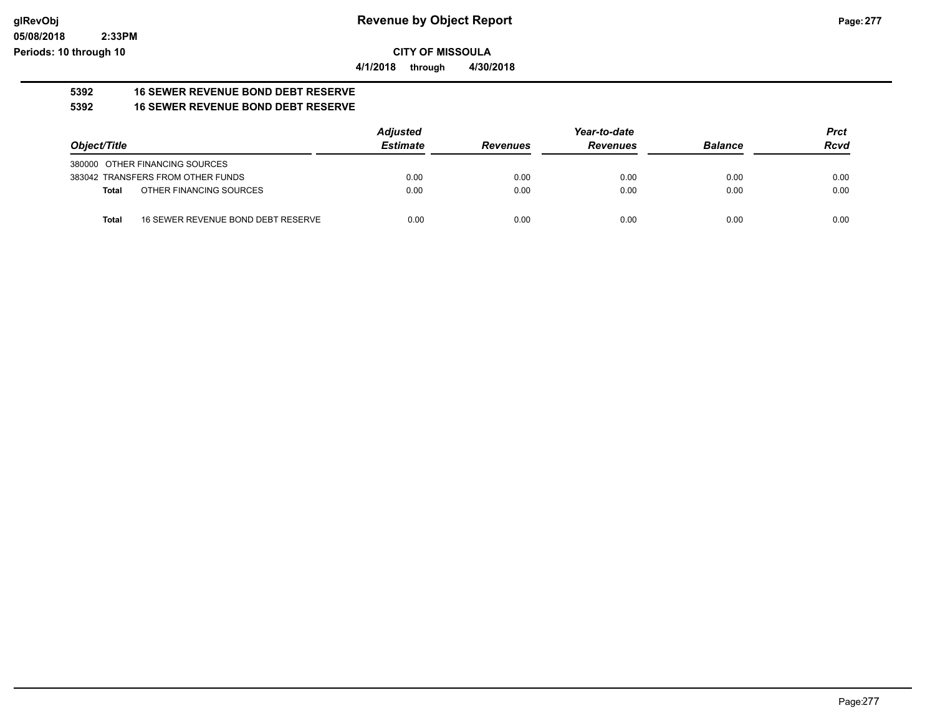**4/1/2018 through 4/30/2018**

#### **5392 16 SEWER REVENUE BOND DEBT RESERVE 5392 16 SEWER REVENUE BOND DEBT RESERVE**

| Object/Title |                                    | <b>Adjusted</b> |                 | Year-to-date    | <b>Balance</b> | Prct<br>Rcvd |
|--------------|------------------------------------|-----------------|-----------------|-----------------|----------------|--------------|
|              |                                    | <b>Estimate</b> | <b>Revenues</b> | <b>Revenues</b> |                |              |
|              | 380000 OTHER FINANCING SOURCES     |                 |                 |                 |                |              |
|              | 383042 TRANSFERS FROM OTHER FUNDS  | 0.00            | 0.00            | 0.00            | 0.00           | 0.00         |
| Total        | OTHER FINANCING SOURCES            | 0.00            | 0.00            | 0.00            | 0.00           | 0.00         |
| Total        | 16 SEWER REVENUE BOND DEBT RESERVE | 0.00            | 0.00            | 0.00            | 0.00           | 0.00         |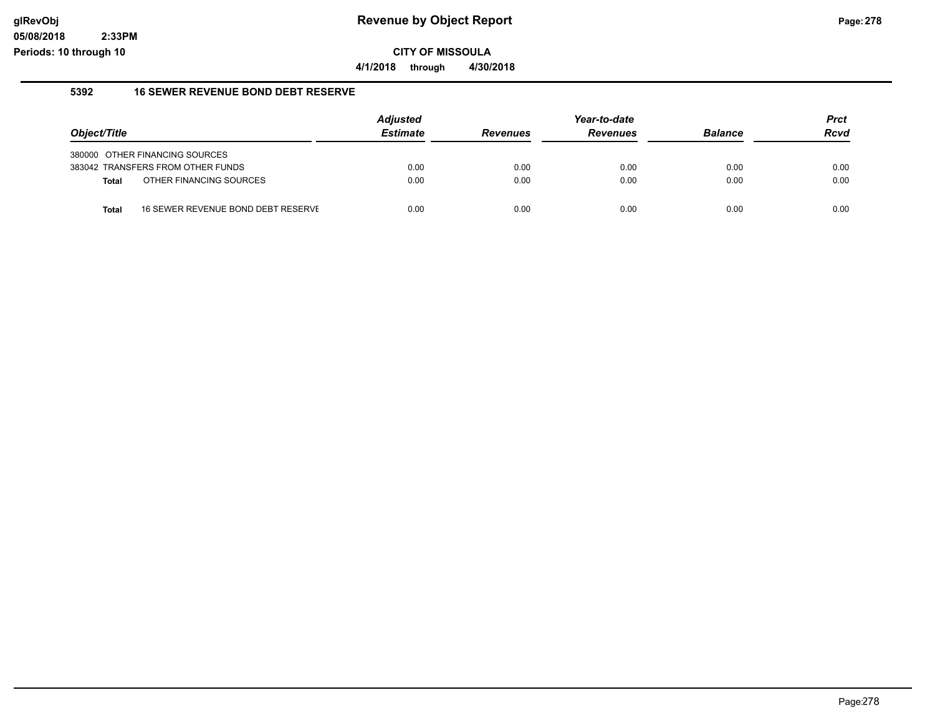**4/1/2018 through 4/30/2018**

#### **5392 16 SEWER REVENUE BOND DEBT RESERVE**

| Object/Title |                                    | Adjusted<br><b>Estimate</b> | <b>Revenues</b> | Year-to-date<br><b>Revenues</b> | <b>Balance</b> | <b>Prct</b><br><b>Rcvd</b> |
|--------------|------------------------------------|-----------------------------|-----------------|---------------------------------|----------------|----------------------------|
|              | 380000 OTHER FINANCING SOURCES     |                             |                 |                                 |                |                            |
|              | 383042 TRANSFERS FROM OTHER FUNDS  | 0.00                        | 0.00            | 0.00                            | 0.00           | 0.00                       |
| <b>Total</b> | OTHER FINANCING SOURCES            | 0.00                        | 0.00            | 0.00                            | 0.00           | 0.00                       |
| <b>Total</b> | 16 SEWER REVENUE BOND DEBT RESERVE | 0.00                        | 0.00            | 0.00                            | 0.00           | 0.00                       |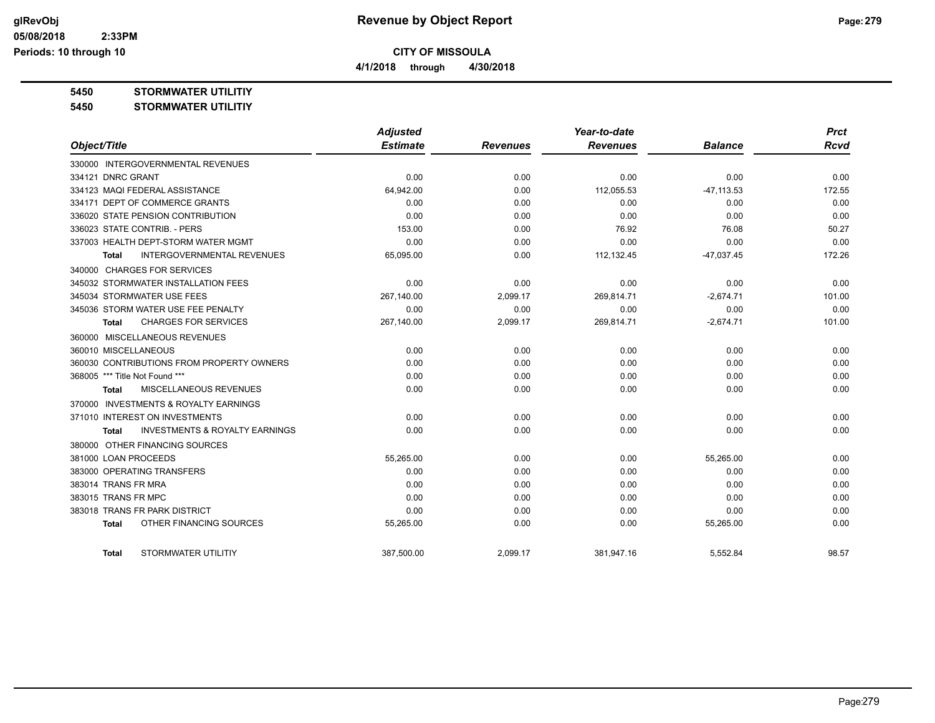**4/1/2018 through 4/30/2018**

**5450 STORMWATER UTILITIY**

**5450 STORMWATER UTILITIY**

|                                                    | <b>Adjusted</b> |                 | Year-to-date    |                | <b>Prct</b> |
|----------------------------------------------------|-----------------|-----------------|-----------------|----------------|-------------|
| Object/Title                                       | <b>Estimate</b> | <b>Revenues</b> | <b>Revenues</b> | <b>Balance</b> | Rcvd        |
| 330000 INTERGOVERNMENTAL REVENUES                  |                 |                 |                 |                |             |
| 334121 DNRC GRANT                                  | 0.00            | 0.00            | 0.00            | 0.00           | 0.00        |
| 334123 MAQI FEDERAL ASSISTANCE                     | 64,942.00       | 0.00            | 112.055.53      | $-47,113.53$   | 172.55      |
| 334171 DEPT OF COMMERCE GRANTS                     | 0.00            | 0.00            | 0.00            | 0.00           | 0.00        |
| 336020 STATE PENSION CONTRIBUTION                  | 0.00            | 0.00            | 0.00            | 0.00           | 0.00        |
| 336023 STATE CONTRIB. - PERS                       | 153.00          | 0.00            | 76.92           | 76.08          | 50.27       |
| 337003 HEALTH DEPT-STORM WATER MGMT                | 0.00            | 0.00            | 0.00            | 0.00           | 0.00        |
| <b>INTERGOVERNMENTAL REVENUES</b><br>Total         | 65,095.00       | 0.00            | 112,132.45      | $-47,037.45$   | 172.26      |
| 340000 CHARGES FOR SERVICES                        |                 |                 |                 |                |             |
| 345032 STORMWATER INSTALLATION FEES                | 0.00            | 0.00            | 0.00            | 0.00           | 0.00        |
| 345034 STORMWATER USE FEES                         | 267,140.00      | 2.099.17        | 269,814.71      | $-2,674.71$    | 101.00      |
| 345036 STORM WATER USE FEE PENALTY                 | 0.00            | 0.00            | 0.00            | 0.00           | 0.00        |
| <b>CHARGES FOR SERVICES</b><br>Total               | 267,140.00      | 2,099.17        | 269,814.71      | $-2,674.71$    | 101.00      |
| 360000 MISCELLANEOUS REVENUES                      |                 |                 |                 |                |             |
| 360010 MISCELLANEOUS                               | 0.00            | 0.00            | 0.00            | 0.00           | 0.00        |
| 360030 CONTRIBUTIONS FROM PROPERTY OWNERS          | 0.00            | 0.00            | 0.00            | 0.00           | 0.00        |
| 368005 *** Title Not Found ***                     | 0.00            | 0.00            | 0.00            | 0.00           | 0.00        |
| MISCELLANEOUS REVENUES<br>Total                    | 0.00            | 0.00            | 0.00            | 0.00           | 0.00        |
| 370000 INVESTMENTS & ROYALTY EARNINGS              |                 |                 |                 |                |             |
| 371010 INTEREST ON INVESTMENTS                     | 0.00            | 0.00            | 0.00            | 0.00           | 0.00        |
| <b>INVESTMENTS &amp; ROYALTY EARNINGS</b><br>Total | 0.00            | 0.00            | 0.00            | 0.00           | 0.00        |
| 380000 OTHER FINANCING SOURCES                     |                 |                 |                 |                |             |
| 381000 LOAN PROCEEDS                               | 55,265.00       | 0.00            | 0.00            | 55,265.00      | 0.00        |
| 383000 OPERATING TRANSFERS                         | 0.00            | 0.00            | 0.00            | 0.00           | 0.00        |
| 383014 TRANS FR MRA                                | 0.00            | 0.00            | 0.00            | 0.00           | 0.00        |
| 383015 TRANS FR MPC                                | 0.00            | 0.00            | 0.00            | 0.00           | 0.00        |
| 383018 TRANS FR PARK DISTRICT                      | 0.00            | 0.00            | 0.00            | 0.00           | 0.00        |
| OTHER FINANCING SOURCES<br>Total                   | 55,265.00       | 0.00            | 0.00            | 55,265.00      | 0.00        |
| STORMWATER UTILITIY<br>Total                       | 387.500.00      | 2.099.17        | 381.947.16      | 5.552.84       | 98.57       |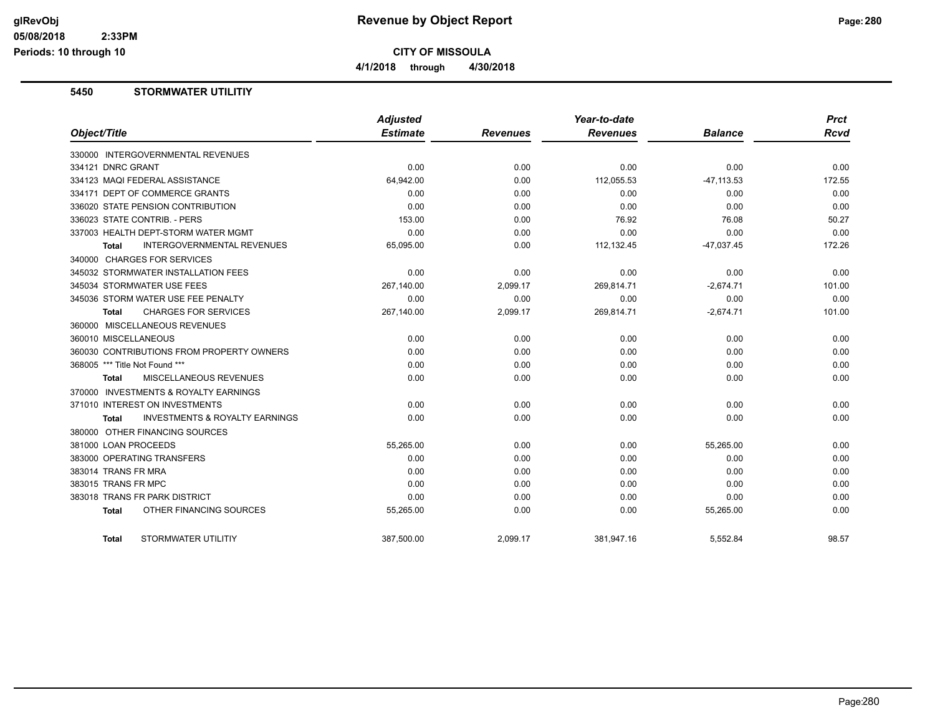**4/1/2018 through 4/30/2018**

#### **5450 STORMWATER UTILITIY**

|                                                    | <b>Adjusted</b> |                 | Year-to-date    |                | <b>Prct</b> |
|----------------------------------------------------|-----------------|-----------------|-----------------|----------------|-------------|
| Object/Title                                       | <b>Estimate</b> | <b>Revenues</b> | <b>Revenues</b> | <b>Balance</b> | <b>Rcvd</b> |
| 330000 INTERGOVERNMENTAL REVENUES                  |                 |                 |                 |                |             |
| 334121 DNRC GRANT                                  | 0.00            | 0.00            | 0.00            | 0.00           | 0.00        |
| 334123 MAQI FEDERAL ASSISTANCE                     | 64,942.00       | 0.00            | 112,055.53      | $-47, 113.53$  | 172.55      |
| 334171 DEPT OF COMMERCE GRANTS                     | 0.00            | 0.00            | 0.00            | 0.00           | 0.00        |
| 336020 STATE PENSION CONTRIBUTION                  | 0.00            | 0.00            | 0.00            | 0.00           | 0.00        |
| 336023 STATE CONTRIB. - PERS                       | 153.00          | 0.00            | 76.92           | 76.08          | 50.27       |
| 337003 HEALTH DEPT-STORM WATER MGMT                | 0.00            | 0.00            | 0.00            | 0.00           | 0.00        |
| <b>INTERGOVERNMENTAL REVENUES</b><br>Total         | 65,095.00       | 0.00            | 112,132.45      | $-47,037.45$   | 172.26      |
| 340000 CHARGES FOR SERVICES                        |                 |                 |                 |                |             |
| 345032 STORMWATER INSTALLATION FEES                | 0.00            | 0.00            | 0.00            | 0.00           | 0.00        |
| 345034 STORMWATER USE FEES                         | 267,140.00      | 2,099.17        | 269,814.71      | $-2,674.71$    | 101.00      |
| 345036 STORM WATER USE FEE PENALTY                 | 0.00            | 0.00            | 0.00            | 0.00           | 0.00        |
| <b>CHARGES FOR SERVICES</b><br>Total               | 267,140.00      | 2,099.17        | 269,814.71      | $-2,674.71$    | 101.00      |
| 360000 MISCELLANEOUS REVENUES                      |                 |                 |                 |                |             |
| 360010 MISCELLANEOUS                               | 0.00            | 0.00            | 0.00            | 0.00           | 0.00        |
| 360030 CONTRIBUTIONS FROM PROPERTY OWNERS          | 0.00            | 0.00            | 0.00            | 0.00           | 0.00        |
| 368005 *** Title Not Found ***                     | 0.00            | 0.00            | 0.00            | 0.00           | 0.00        |
| MISCELLANEOUS REVENUES<br>Total                    | 0.00            | 0.00            | 0.00            | 0.00           | 0.00        |
| 370000 INVESTMENTS & ROYALTY EARNINGS              |                 |                 |                 |                |             |
| 371010 INTEREST ON INVESTMENTS                     | 0.00            | 0.00            | 0.00            | 0.00           | 0.00        |
| <b>INVESTMENTS &amp; ROYALTY EARNINGS</b><br>Total | 0.00            | 0.00            | 0.00            | 0.00           | 0.00        |
| 380000 OTHER FINANCING SOURCES                     |                 |                 |                 |                |             |
| 381000 LOAN PROCEEDS                               | 55,265.00       | 0.00            | 0.00            | 55,265.00      | 0.00        |
| 383000 OPERATING TRANSFERS                         | 0.00            | 0.00            | 0.00            | 0.00           | 0.00        |
| 383014 TRANS FR MRA                                | 0.00            | 0.00            | 0.00            | 0.00           | 0.00        |
| 383015 TRANS FR MPC                                | 0.00            | 0.00            | 0.00            | 0.00           | 0.00        |
| 383018 TRANS FR PARK DISTRICT                      | 0.00            | 0.00            | 0.00            | 0.00           | 0.00        |
| OTHER FINANCING SOURCES<br><b>Total</b>            | 55,265.00       | 0.00            | 0.00            | 55,265.00      | 0.00        |
| STORMWATER UTILITIY<br><b>Total</b>                | 387,500.00      | 2.099.17        | 381,947.16      | 5,552.84       | 98.57       |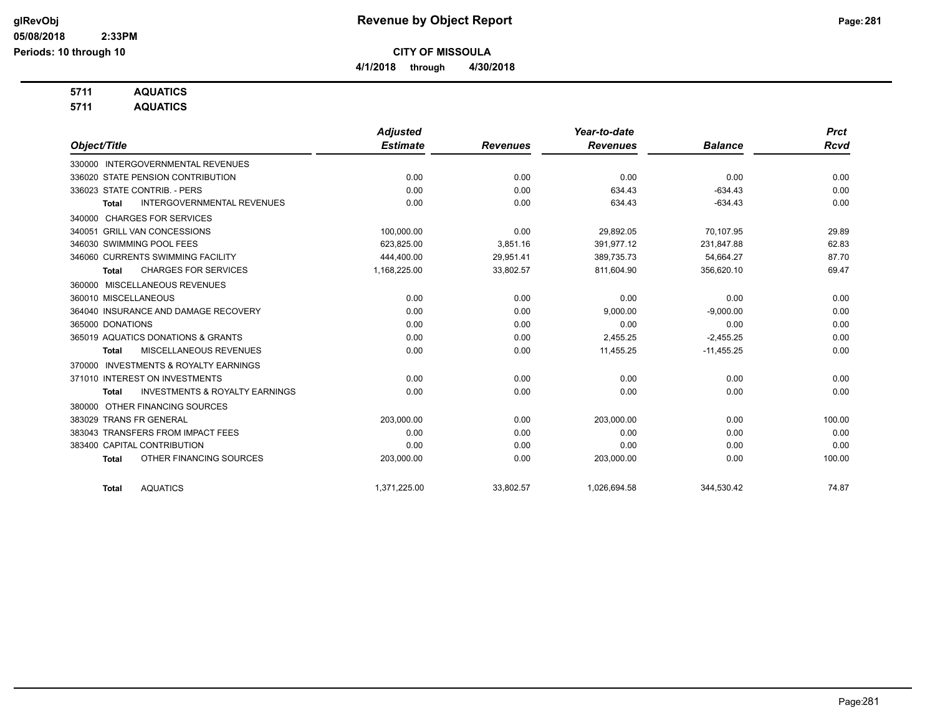**4/1/2018 through 4/30/2018**

### **5711 AQUATICS**

**5711 AQUATICS**

|                                                           | <b>Adjusted</b> |                 | Year-to-date    |                | <b>Prct</b> |
|-----------------------------------------------------------|-----------------|-----------------|-----------------|----------------|-------------|
| Object/Title                                              | <b>Estimate</b> | <b>Revenues</b> | <b>Revenues</b> | <b>Balance</b> | <b>Rcvd</b> |
| <b>INTERGOVERNMENTAL REVENUES</b><br>330000               |                 |                 |                 |                |             |
| 336020 STATE PENSION CONTRIBUTION                         | 0.00            | 0.00            | 0.00            | 0.00           | 0.00        |
| 336023 STATE CONTRIB. - PERS                              | 0.00            | 0.00            | 634.43          | $-634.43$      | 0.00        |
| <b>INTERGOVERNMENTAL REVENUES</b><br>Total                | 0.00            | 0.00            | 634.43          | $-634.43$      | 0.00        |
| <b>CHARGES FOR SERVICES</b><br>340000                     |                 |                 |                 |                |             |
| 340051 GRILL VAN CONCESSIONS                              | 100,000.00      | 0.00            | 29,892.05       | 70,107.95      | 29.89       |
| 346030 SWIMMING POOL FEES                                 | 623,825.00      | 3.851.16        | 391.977.12      | 231.847.88     | 62.83       |
| 346060 CURRENTS SWIMMING FACILITY                         | 444,400.00      | 29,951.41       | 389,735.73      | 54,664.27      | 87.70       |
| <b>CHARGES FOR SERVICES</b><br><b>Total</b>               | 1,168,225.00    | 33,802.57       | 811,604.90      | 356,620.10     | 69.47       |
| 360000 MISCELLANEOUS REVENUES                             |                 |                 |                 |                |             |
| 360010 MISCELLANEOUS                                      | 0.00            | 0.00            | 0.00            | 0.00           | 0.00        |
| 364040 INSURANCE AND DAMAGE RECOVERY                      | 0.00            | 0.00            | 9,000.00        | $-9,000.00$    | 0.00        |
| 365000 DONATIONS                                          | 0.00            | 0.00            | 0.00            | 0.00           | 0.00        |
| 365019 AQUATICS DONATIONS & GRANTS                        | 0.00            | 0.00            | 2,455.25        | $-2,455.25$    | 0.00        |
| MISCELLANEOUS REVENUES<br><b>Total</b>                    | 0.00            | 0.00            | 11,455.25       | $-11,455.25$   | 0.00        |
| <b>INVESTMENTS &amp; ROYALTY EARNINGS</b><br>370000       |                 |                 |                 |                |             |
| 371010 INTEREST ON INVESTMENTS                            | 0.00            | 0.00            | 0.00            | 0.00           | 0.00        |
| <b>INVESTMENTS &amp; ROYALTY EARNINGS</b><br><b>Total</b> | 0.00            | 0.00            | 0.00            | 0.00           | 0.00        |
| OTHER FINANCING SOURCES<br>380000                         |                 |                 |                 |                |             |
| 383029 TRANS FR GENERAL                                   | 203,000.00      | 0.00            | 203,000.00      | 0.00           | 100.00      |
| 383043 TRANSFERS FROM IMPACT FEES                         | 0.00            | 0.00            | 0.00            | 0.00           | 0.00        |
| 383400 CAPITAL CONTRIBUTION                               | 0.00            | 0.00            | 0.00            | 0.00           | 0.00        |
| OTHER FINANCING SOURCES<br><b>Total</b>                   | 203,000.00      | 0.00            | 203,000.00      | 0.00           | 100.00      |
| <b>AQUATICS</b><br><b>Total</b>                           | 1,371,225.00    | 33,802.57       | 1,026,694.58    | 344,530.42     | 74.87       |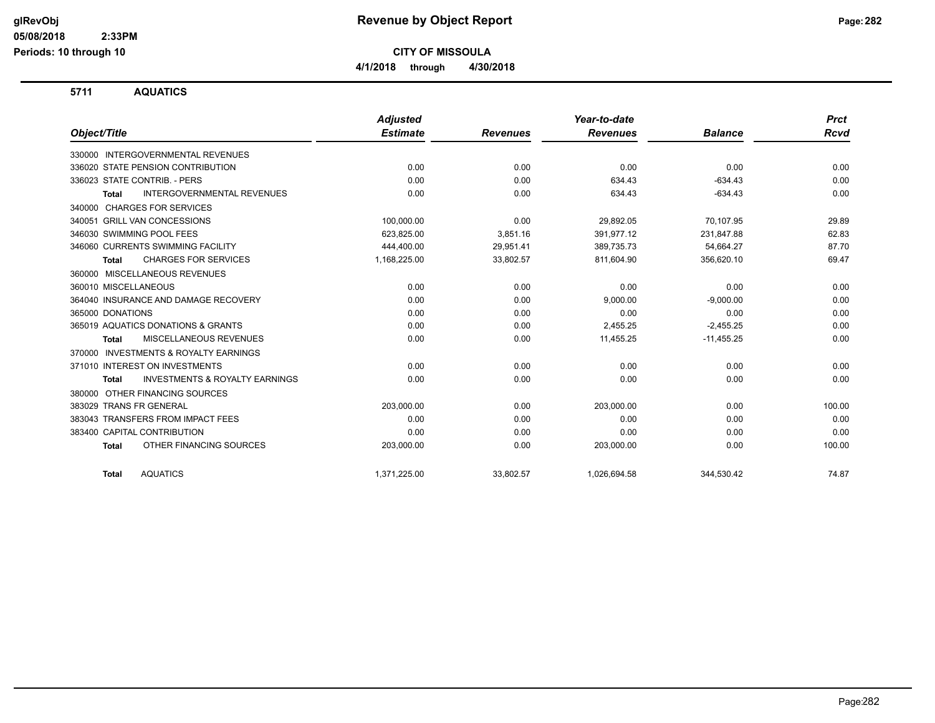**4/1/2018 through 4/30/2018**

**5711 AQUATICS**

|                                                     | <b>Adjusted</b> |                 | Year-to-date    |                | <b>Prct</b> |
|-----------------------------------------------------|-----------------|-----------------|-----------------|----------------|-------------|
| Object/Title                                        | <b>Estimate</b> | <b>Revenues</b> | <b>Revenues</b> | <b>Balance</b> | <b>Rcvd</b> |
| INTERGOVERNMENTAL REVENUES<br>330000                |                 |                 |                 |                |             |
| 336020 STATE PENSION CONTRIBUTION                   | 0.00            | 0.00            | 0.00            | 0.00           | 0.00        |
| 336023 STATE CONTRIB. - PERS                        | 0.00            | 0.00            | 634.43          | $-634.43$      | 0.00        |
| <b>INTERGOVERNMENTAL REVENUES</b><br><b>Total</b>   | 0.00            | 0.00            | 634.43          | $-634.43$      | 0.00        |
| 340000 CHARGES FOR SERVICES                         |                 |                 |                 |                |             |
| 340051 GRILL VAN CONCESSIONS                        | 100,000.00      | 0.00            | 29,892.05       | 70,107.95      | 29.89       |
| 346030 SWIMMING POOL FEES                           | 623.825.00      | 3.851.16        | 391.977.12      | 231.847.88     | 62.83       |
| 346060 CURRENTS SWIMMING FACILITY                   | 444.400.00      | 29.951.41       | 389,735.73      | 54.664.27      | 87.70       |
| <b>CHARGES FOR SERVICES</b><br><b>Total</b>         | 1,168,225.00    | 33,802.57       | 811,604.90      | 356,620.10     | 69.47       |
| MISCELLANEOUS REVENUES<br>360000                    |                 |                 |                 |                |             |
| 360010 MISCELLANEOUS                                | 0.00            | 0.00            | 0.00            | 0.00           | 0.00        |
| 364040 INSURANCE AND DAMAGE RECOVERY                | 0.00            | 0.00            | 9,000.00        | $-9,000.00$    | 0.00        |
| 365000 DONATIONS                                    | 0.00            | 0.00            | 0.00            | 0.00           | 0.00        |
| 365019 AQUATICS DONATIONS & GRANTS                  | 0.00            | 0.00            | 2.455.25        | $-2.455.25$    | 0.00        |
| <b>MISCELLANEOUS REVENUES</b><br><b>Total</b>       | 0.00            | 0.00            | 11,455.25       | $-11,455.25$   | 0.00        |
| <b>INVESTMENTS &amp; ROYALTY EARNINGS</b><br>370000 |                 |                 |                 |                |             |
| 371010 INTEREST ON INVESTMENTS                      | 0.00            | 0.00            | 0.00            | 0.00           | 0.00        |
| <b>INVESTMENTS &amp; ROYALTY EARNINGS</b><br>Total  | 0.00            | 0.00            | 0.00            | 0.00           | 0.00        |
| OTHER FINANCING SOURCES<br>380000                   |                 |                 |                 |                |             |
| 383029 TRANS FR GENERAL                             | 203,000.00      | 0.00            | 203,000.00      | 0.00           | 100.00      |
| 383043 TRANSFERS FROM IMPACT FEES                   | 0.00            | 0.00            | 0.00            | 0.00           | 0.00        |
| 383400 CAPITAL CONTRIBUTION                         | 0.00            | 0.00            | 0.00            | 0.00           | 0.00        |
| OTHER FINANCING SOURCES<br><b>Total</b>             | 203,000.00      | 0.00            | 203,000.00      | 0.00           | 100.00      |
| <b>AQUATICS</b><br><b>Total</b>                     | 1,371,225.00    | 33,802.57       | 1,026,694.58    | 344.530.42     | 74.87       |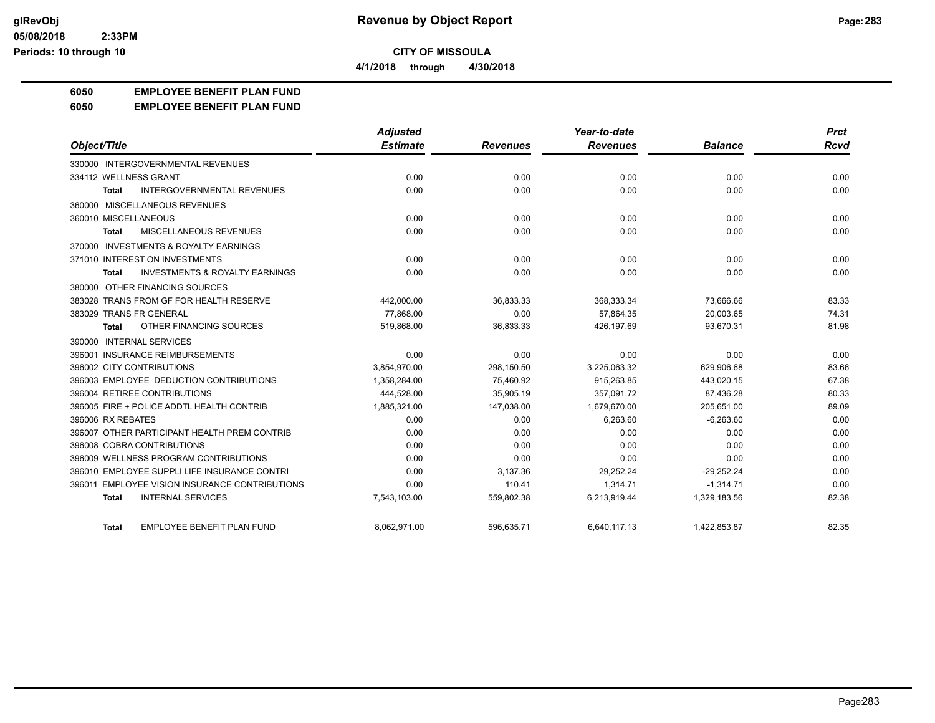**4/1/2018 through 4/30/2018**

#### **6050 EMPLOYEE BENEFIT PLAN FUND**

#### **6050 EMPLOYEE BENEFIT PLAN FUND**

|                                                          | <b>Adjusted</b> |                 | Year-to-date    |                | <b>Prct</b> |
|----------------------------------------------------------|-----------------|-----------------|-----------------|----------------|-------------|
| Object/Title                                             | <b>Estimate</b> | <b>Revenues</b> | <b>Revenues</b> | <b>Balance</b> | <b>Rcvd</b> |
| 330000 INTERGOVERNMENTAL REVENUES                        |                 |                 |                 |                |             |
| 334112 WELLNESS GRANT                                    | 0.00            | 0.00            | 0.00            | 0.00           | 0.00        |
| <b>INTERGOVERNMENTAL REVENUES</b><br><b>Total</b>        | 0.00            | 0.00            | 0.00            | 0.00           | 0.00        |
| 360000 MISCELLANEOUS REVENUES                            |                 |                 |                 |                |             |
| 360010 MISCELLANEOUS                                     | 0.00            | 0.00            | 0.00            | 0.00           | 0.00        |
| MISCELLANEOUS REVENUES<br><b>Total</b>                   | 0.00            | 0.00            | 0.00            | 0.00           | 0.00        |
| 370000 INVESTMENTS & ROYALTY EARNINGS                    |                 |                 |                 |                |             |
| 371010 INTEREST ON INVESTMENTS                           | 0.00            | 0.00            | 0.00            | 0.00           | 0.00        |
| <b>INVESTMENTS &amp; ROYALTY EARNINGS</b><br>Total       | 0.00            | 0.00            | 0.00            | 0.00           | 0.00        |
| 380000 OTHER FINANCING SOURCES                           |                 |                 |                 |                |             |
| 383028 TRANS FROM GF FOR HEALTH RESERVE                  | 442,000.00      | 36,833.33       | 368,333.34      | 73,666.66      | 83.33       |
| 383029 TRANS FR GENERAL                                  | 77.868.00       | 0.00            | 57,864.35       | 20,003.65      | 74.31       |
| OTHER FINANCING SOURCES<br>Total                         | 519,868.00      | 36,833.33       | 426,197.69      | 93,670.31      | 81.98       |
| 390000 INTERNAL SERVICES                                 |                 |                 |                 |                |             |
| 396001 INSURANCE REIMBURSEMENTS                          | 0.00            | 0.00            | 0.00            | 0.00           | 0.00        |
| 396002 CITY CONTRIBUTIONS                                | 3,854,970.00    | 298,150.50      | 3,225,063.32    | 629,906.68     | 83.66       |
| 396003 EMPLOYEE DEDUCTION CONTRIBUTIONS                  | 1,358,284.00    | 75,460.92       | 915.263.85      | 443,020.15     | 67.38       |
| 396004 RETIREE CONTRIBUTIONS                             | 444,528.00      | 35,905.19       | 357,091.72      | 87,436.28      | 80.33       |
| 396005 FIRE + POLICE ADDTL HEALTH CONTRIB                | 1,885,321.00    | 147,038.00      | 1,679,670.00    | 205,651.00     | 89.09       |
| 396006 RX REBATES                                        | 0.00            | 0.00            | 6,263.60        | $-6,263.60$    | 0.00        |
| 396007 OTHER PARTICIPANT HEALTH PREM CONTRIB             | 0.00            | 0.00            | 0.00            | 0.00           | 0.00        |
| 396008 COBRA CONTRIBUTIONS                               | 0.00            | 0.00            | 0.00            | 0.00           | 0.00        |
| 396009 WELLNESS PROGRAM CONTRIBUTIONS                    | 0.00            | 0.00            | 0.00            | 0.00           | 0.00        |
| 396010 EMPLOYEE SUPPLI LIFE INSURANCE CONTRI             | 0.00            | 3,137.36        | 29,252.24       | $-29,252.24$   | 0.00        |
| <b>EMPLOYEE VISION INSURANCE CONTRIBUTIONS</b><br>396011 | 0.00            | 110.41          | 1,314.71        | $-1,314.71$    | 0.00        |
| <b>INTERNAL SERVICES</b><br><b>Total</b>                 | 7,543,103.00    | 559,802.38      | 6,213,919.44    | 1,329,183.56   | 82.38       |
| <b>EMPLOYEE BENEFIT PLAN FUND</b><br><b>Total</b>        | 8,062,971.00    | 596,635.71      | 6,640,117.13    | 1,422,853.87   | 82.35       |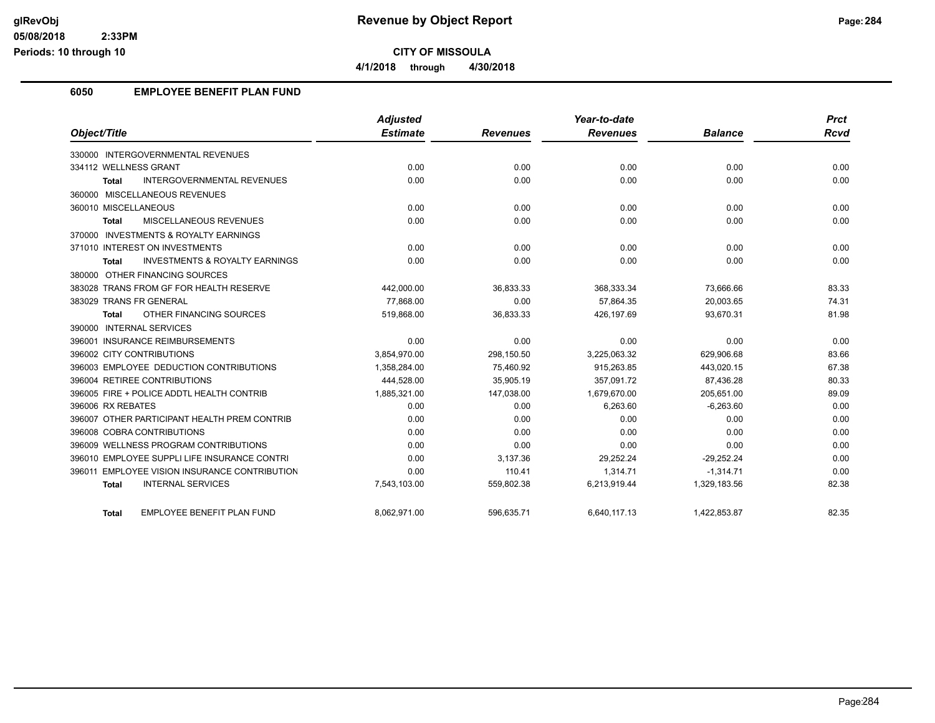**4/1/2018 through 4/30/2018**

#### **6050 EMPLOYEE BENEFIT PLAN FUND**

|                                                           | <b>Adjusted</b> |                 | Year-to-date    |                | <b>Prct</b> |
|-----------------------------------------------------------|-----------------|-----------------|-----------------|----------------|-------------|
| Object/Title                                              | <b>Estimate</b> | <b>Revenues</b> | <b>Revenues</b> | <b>Balance</b> | <b>Rcvd</b> |
| 330000 INTERGOVERNMENTAL REVENUES                         |                 |                 |                 |                |             |
| 334112 WELLNESS GRANT                                     | 0.00            | 0.00            | 0.00            | 0.00           | 0.00        |
| <b>INTERGOVERNMENTAL REVENUES</b><br><b>Total</b>         | 0.00            | 0.00            | 0.00            | 0.00           | 0.00        |
| 360000 MISCELLANEOUS REVENUES                             |                 |                 |                 |                |             |
| 360010 MISCELLANEOUS                                      | 0.00            | 0.00            | 0.00            | 0.00           | 0.00        |
| MISCELLANEOUS REVENUES<br><b>Total</b>                    | 0.00            | 0.00            | 0.00            | 0.00           | 0.00        |
| 370000 INVESTMENTS & ROYALTY EARNINGS                     |                 |                 |                 |                |             |
| 371010 INTEREST ON INVESTMENTS                            | 0.00            | 0.00            | 0.00            | 0.00           | 0.00        |
| <b>INVESTMENTS &amp; ROYALTY EARNINGS</b><br><b>Total</b> | 0.00            | 0.00            | 0.00            | 0.00           | 0.00        |
| 380000 OTHER FINANCING SOURCES                            |                 |                 |                 |                |             |
| 383028 TRANS FROM GF FOR HEALTH RESERVE                   | 442,000.00      | 36,833.33       | 368,333.34      | 73,666.66      | 83.33       |
| 383029 TRANS FR GENERAL                                   | 77.868.00       | 0.00            | 57.864.35       | 20.003.65      | 74.31       |
| OTHER FINANCING SOURCES<br><b>Total</b>                   | 519,868.00      | 36,833.33       | 426,197.69      | 93,670.31      | 81.98       |
| 390000 INTERNAL SERVICES                                  |                 |                 |                 |                |             |
| 396001 INSURANCE REIMBURSEMENTS                           | 0.00            | 0.00            | 0.00            | 0.00           | 0.00        |
| 396002 CITY CONTRIBUTIONS                                 | 3,854,970.00    | 298,150.50      | 3,225,063.32    | 629,906.68     | 83.66       |
| 396003 EMPLOYEE DEDUCTION CONTRIBUTIONS                   | 1,358,284.00    | 75,460.92       | 915,263.85      | 443,020.15     | 67.38       |
| 396004 RETIREE CONTRIBUTIONS                              | 444,528.00      | 35,905.19       | 357,091.72      | 87,436.28      | 80.33       |
| 396005 FIRE + POLICE ADDTL HEALTH CONTRIB                 | 1,885,321.00    | 147,038.00      | 1,679,670.00    | 205,651.00     | 89.09       |
| 396006 RX REBATES                                         | 0.00            | 0.00            | 6,263.60        | $-6,263.60$    | 0.00        |
| 396007 OTHER PARTICIPANT HEALTH PREM CONTRIB              | 0.00            | 0.00            | 0.00            | 0.00           | 0.00        |
| 396008 COBRA CONTRIBUTIONS                                | 0.00            | 0.00            | 0.00            | 0.00           | 0.00        |
| 396009 WELLNESS PROGRAM CONTRIBUTIONS                     | 0.00            | 0.00            | 0.00            | 0.00           | 0.00        |
| 396010 EMPLOYEE SUPPLI LIFE INSURANCE CONTRI              | 0.00            | 3,137.36        | 29,252.24       | $-29,252.24$   | 0.00        |
| 396011 EMPLOYEE VISION INSURANCE CONTRIBUTION             | 0.00            | 110.41          | 1,314.71        | $-1,314.71$    | 0.00        |
| <b>INTERNAL SERVICES</b><br><b>Total</b>                  | 7,543,103.00    | 559,802.38      | 6,213,919.44    | 1,329,183.56   | 82.38       |
| EMPLOYEE BENEFIT PLAN FUND<br><b>Total</b>                | 8,062,971.00    | 596,635.71      | 6,640,117.13    | 1,422,853.87   | 82.35       |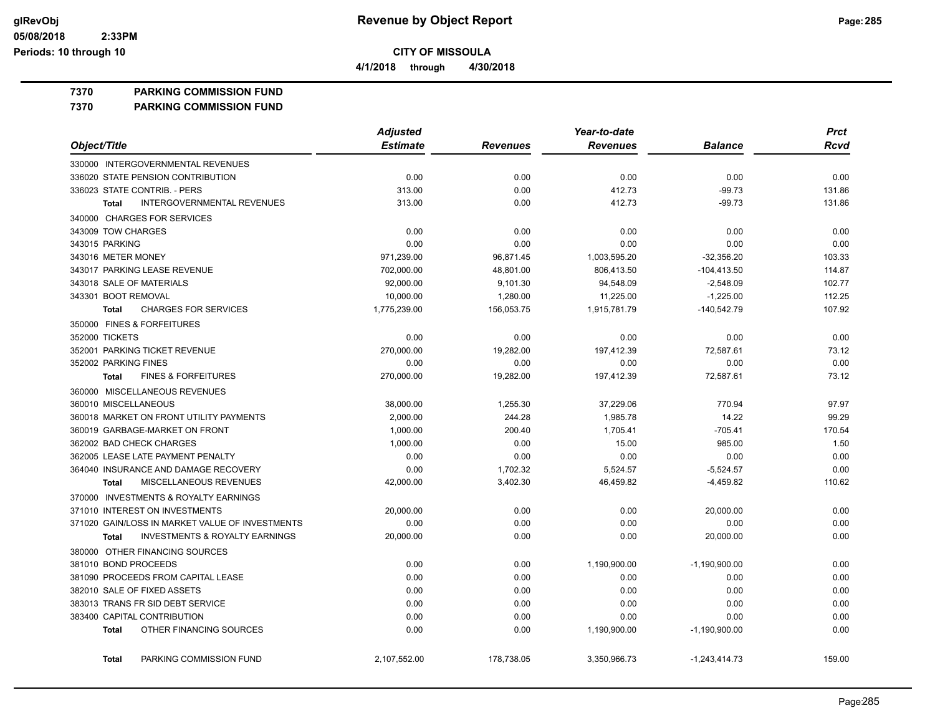**4/1/2018 through 4/30/2018**

**7370 PARKING COMMISSION FUND**

**7370 PARKING COMMISSION FUND**

|                                                           | <b>Adjusted</b> |                 | Year-to-date    |                 | <b>Prct</b> |
|-----------------------------------------------------------|-----------------|-----------------|-----------------|-----------------|-------------|
| Object/Title                                              | <b>Estimate</b> | <b>Revenues</b> | <b>Revenues</b> | <b>Balance</b>  | Rcvd        |
| 330000 INTERGOVERNMENTAL REVENUES                         |                 |                 |                 |                 |             |
| 336020 STATE PENSION CONTRIBUTION                         | 0.00            | 0.00            | 0.00            | 0.00            | 0.00        |
| 336023 STATE CONTRIB. - PERS                              | 313.00          | 0.00            | 412.73          | $-99.73$        | 131.86      |
| <b>INTERGOVERNMENTAL REVENUES</b><br><b>Total</b>         | 313.00          | 0.00            | 412.73          | $-99.73$        | 131.86      |
| 340000 CHARGES FOR SERVICES                               |                 |                 |                 |                 |             |
| 343009 TOW CHARGES                                        | 0.00            | 0.00            | 0.00            | 0.00            | 0.00        |
| 343015 PARKING                                            | 0.00            | 0.00            | 0.00            | 0.00            | 0.00        |
| 343016 METER MONEY                                        | 971,239.00      | 96,871.45       | 1,003,595.20    | $-32,356.20$    | 103.33      |
| 343017 PARKING LEASE REVENUE                              | 702,000.00      | 48,801.00       | 806,413.50      | $-104, 413.50$  | 114.87      |
| 343018 SALE OF MATERIALS                                  | 92,000.00       | 9,101.30        | 94,548.09       | $-2,548.09$     | 102.77      |
| 343301 BOOT REMOVAL                                       | 10,000.00       | 1,280.00        | 11,225.00       | $-1,225.00$     | 112.25      |
| <b>CHARGES FOR SERVICES</b><br><b>Total</b>               | 1,775,239.00    | 156,053.75      | 1,915,781.79    | $-140,542.79$   | 107.92      |
| 350000 FINES & FORFEITURES                                |                 |                 |                 |                 |             |
| 352000 TICKETS                                            | 0.00            | 0.00            | 0.00            | 0.00            | 0.00        |
| 352001 PARKING TICKET REVENUE                             | 270,000.00      | 19,282.00       | 197,412.39      | 72,587.61       | 73.12       |
| 352002 PARKING FINES                                      | 0.00            | 0.00            | 0.00            | 0.00            | 0.00        |
| <b>FINES &amp; FORFEITURES</b><br><b>Total</b>            | 270,000.00      | 19,282.00       | 197,412.39      | 72,587.61       | 73.12       |
| 360000 MISCELLANEOUS REVENUES                             |                 |                 |                 |                 |             |
| 360010 MISCELLANEOUS                                      | 38,000.00       | 1,255.30        | 37,229.06       | 770.94          | 97.97       |
| 360018 MARKET ON FRONT UTILITY PAYMENTS                   | 2,000.00        | 244.28          | 1,985.78        | 14.22           | 99.29       |
| 360019 GARBAGE-MARKET ON FRONT                            | 1,000.00        | 200.40          | 1,705.41        | $-705.41$       | 170.54      |
| 362002 BAD CHECK CHARGES                                  | 1,000.00        | 0.00            | 15.00           | 985.00          | 1.50        |
| 362005 LEASE LATE PAYMENT PENALTY                         | 0.00            | 0.00            | 0.00            | 0.00            | 0.00        |
| 364040 INSURANCE AND DAMAGE RECOVERY                      | 0.00            | 1,702.32        | 5,524.57        | $-5,524.57$     | 0.00        |
| MISCELLANEOUS REVENUES<br><b>Total</b>                    | 42,000.00       | 3,402.30        | 46,459.82       | $-4,459.82$     | 110.62      |
| 370000 INVESTMENTS & ROYALTY EARNINGS                     |                 |                 |                 |                 |             |
| 371010 INTEREST ON INVESTMENTS                            | 20,000.00       | 0.00            | 0.00            | 20,000.00       | 0.00        |
| 371020 GAIN/LOSS IN MARKET VALUE OF INVESTMENTS           | 0.00            | 0.00            | 0.00            | 0.00            | 0.00        |
| <b>INVESTMENTS &amp; ROYALTY EARNINGS</b><br><b>Total</b> | 20,000.00       | 0.00            | 0.00            | 20,000.00       | 0.00        |
| 380000 OTHER FINANCING SOURCES                            |                 |                 |                 |                 |             |
| 381010 BOND PROCEEDS                                      | 0.00            | 0.00            | 1,190,900.00    | $-1,190,900.00$ | 0.00        |
| 381090 PROCEEDS FROM CAPITAL LEASE                        | 0.00            | 0.00            | 0.00            | 0.00            | 0.00        |
| 382010 SALE OF FIXED ASSETS                               | 0.00            | 0.00            | 0.00            | 0.00            | 0.00        |
| 383013 TRANS FR SID DEBT SERVICE                          | 0.00            | 0.00            | 0.00            | 0.00            | 0.00        |
| 383400 CAPITAL CONTRIBUTION                               | 0.00            | 0.00            | 0.00            | 0.00            | 0.00        |
| OTHER FINANCING SOURCES<br><b>Total</b>                   | 0.00            | 0.00            | 1,190,900.00    | $-1,190,900.00$ | 0.00        |
| PARKING COMMISSION FUND<br><b>Total</b>                   | 2,107,552.00    | 178,738.05      | 3,350,966.73    | $-1,243,414.73$ | 159.00      |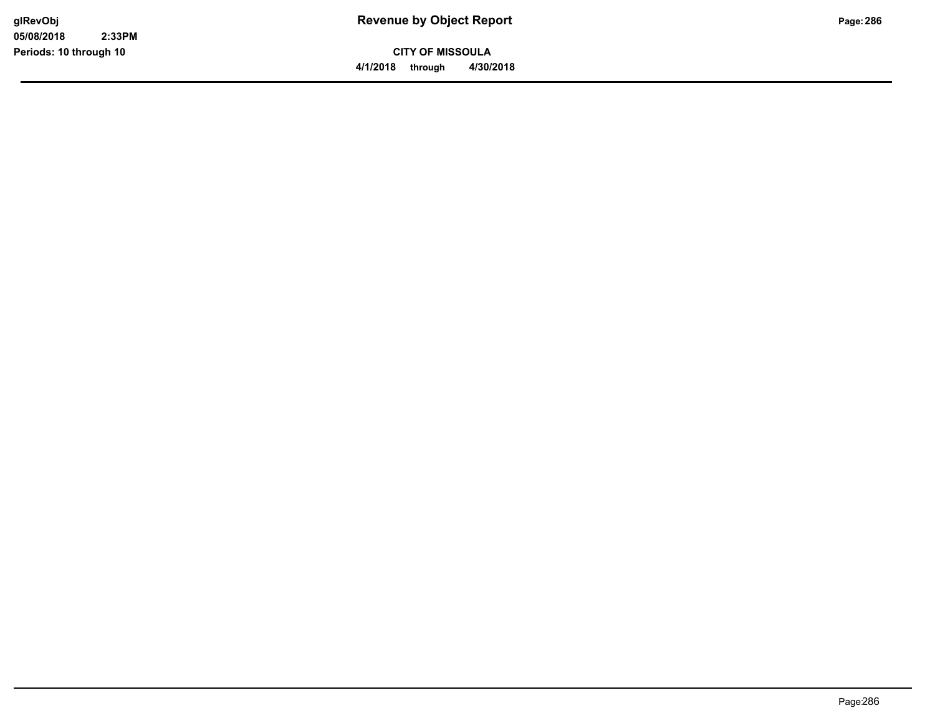**CITY OF MISSOULA 4/1/2018 through 4/30/2018**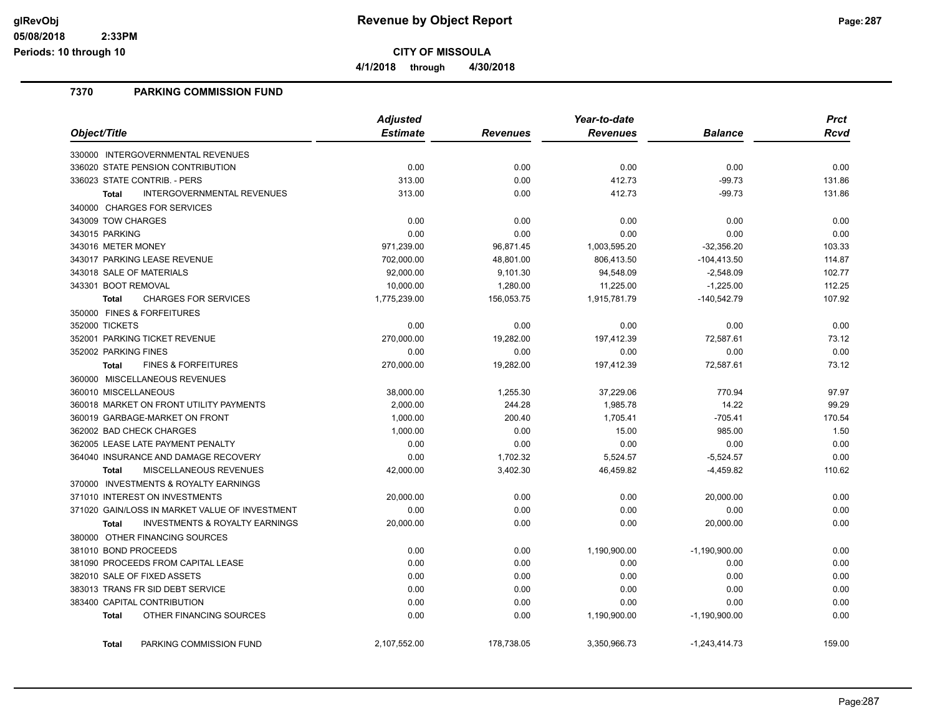**4/1/2018 through 4/30/2018**

#### **7370 PARKING COMMISSION FUND**

| Object/Title<br><b>Estimate</b><br><b>Balance</b><br><b>Revenues</b><br><b>Revenues</b><br>330000 INTERGOVERNMENTAL REVENUES<br>336020 STATE PENSION CONTRIBUTION<br>0.00<br>0.00<br>0.00<br>0.00<br>336023 STATE CONTRIB. - PERS<br>0.00<br>313.00<br>412.73<br>$-99.73$<br><b>INTERGOVERNMENTAL REVENUES</b><br>$-99.73$<br>313.00<br>0.00<br>412.73<br><b>Total</b><br>340000 CHARGES FOR SERVICES<br>343009 TOW CHARGES<br>0.00<br>0.00<br>0.00<br>0.00<br>343015 PARKING<br>0.00<br>0.00<br>0.00<br>0.00<br>343016 METER MONEY<br>971,239.00<br>1,003,595.20<br>$-32,356.20$<br>96,871.45<br>343017 PARKING LEASE REVENUE<br>702,000.00<br>48,801.00<br>806,413.50<br>$-104, 413.50$<br>343018 SALE OF MATERIALS<br>$-2,548.09$<br>92,000.00<br>9,101.30<br>94,548.09<br>$-1,225.00$<br>343301 BOOT REMOVAL<br>10,000.00<br>1,280.00<br>11,225.00<br><b>CHARGES FOR SERVICES</b><br>1,775,239.00<br>156,053.75<br>1,915,781.79<br>$-140,542.79$<br><b>Total</b><br>350000 FINES & FORFEITURES<br>352000 TICKETS<br>0.00<br>0.00<br>0.00<br>0.00<br>352001 PARKING TICKET REVENUE<br>270,000.00<br>19,282.00<br>197,412.39<br>72,587.61<br>352002 PARKING FINES<br>0.00<br>0.00<br>0.00<br>0.00<br><b>FINES &amp; FORFEITURES</b><br>270,000.00<br>19,282.00<br>197,412.39<br>72,587.61<br><b>Total</b><br>360000 MISCELLANEOUS REVENUES<br>360010 MISCELLANEOUS<br>38,000.00<br>1,255.30<br>37,229.06<br>770.94<br>360018 MARKET ON FRONT UTILITY PAYMENTS<br>2,000.00<br>244.28<br>1,985.78<br>14.22<br>360019 GARBAGE-MARKET ON FRONT<br>200.40<br>1,705.41<br>$-705.41$<br>1,000.00<br>362002 BAD CHECK CHARGES<br>1,000.00<br>0.00<br>15.00<br>985.00<br>362005 LEASE LATE PAYMENT PENALTY<br>0.00<br>0.00<br>0.00<br>0.00<br>364040 INSURANCE AND DAMAGE RECOVERY<br>0.00<br>1,702.32<br>5,524.57<br>$-5,524.57$<br>MISCELLANEOUS REVENUES<br>42,000.00<br>3,402.30<br>46,459.82<br>$-4,459.82$<br>Total<br>370000 INVESTMENTS & ROYALTY EARNINGS<br>371010 INTEREST ON INVESTMENTS<br>20,000.00<br>0.00<br>0.00<br>20,000.00<br>0.00<br>0.00<br>0.00<br>371020 GAIN/LOSS IN MARKET VALUE OF INVESTMENT<br>0.00<br>0.00<br>0.00<br><b>INVESTMENTS &amp; ROYALTY EARNINGS</b><br>20,000.00<br>0.00<br>0.00<br>20,000.00<br>0.00<br><b>Total</b><br>380000 OTHER FINANCING SOURCES<br>381010 BOND PROCEEDS<br>0.00<br>0.00<br>1,190,900.00<br>$-1,190,900.00$<br>0.00<br>381090 PROCEEDS FROM CAPITAL LEASE<br>0.00<br>0.00<br>0.00<br>0.00<br>0.00<br>382010 SALE OF FIXED ASSETS<br>0.00<br>0.00<br>0.00<br>0.00<br>0.00<br>383013 TRANS FR SID DEBT SERVICE<br>0.00<br>0.00<br>0.00<br>0.00<br>0.00<br>383400 CAPITAL CONTRIBUTION<br>0.00<br>0.00<br>0.00<br>0.00<br>0.00<br>OTHER FINANCING SOURCES<br>0.00<br>0.00<br>1,190,900.00<br>$-1,190,900.00$<br><b>Total</b> | <b>Adjusted</b> | Year-to-date | <b>Prct</b> |
|-------------------------------------------------------------------------------------------------------------------------------------------------------------------------------------------------------------------------------------------------------------------------------------------------------------------------------------------------------------------------------------------------------------------------------------------------------------------------------------------------------------------------------------------------------------------------------------------------------------------------------------------------------------------------------------------------------------------------------------------------------------------------------------------------------------------------------------------------------------------------------------------------------------------------------------------------------------------------------------------------------------------------------------------------------------------------------------------------------------------------------------------------------------------------------------------------------------------------------------------------------------------------------------------------------------------------------------------------------------------------------------------------------------------------------------------------------------------------------------------------------------------------------------------------------------------------------------------------------------------------------------------------------------------------------------------------------------------------------------------------------------------------------------------------------------------------------------------------------------------------------------------------------------------------------------------------------------------------------------------------------------------------------------------------------------------------------------------------------------------------------------------------------------------------------------------------------------------------------------------------------------------------------------------------------------------------------------------------------------------------------------------------------------------------------------------------------------------------------------------------------------------------------------------------------------------------------------------------------------------------------------------------------------------------------------------------------------------------------------------------------------------------------------|-----------------|--------------|-------------|
|                                                                                                                                                                                                                                                                                                                                                                                                                                                                                                                                                                                                                                                                                                                                                                                                                                                                                                                                                                                                                                                                                                                                                                                                                                                                                                                                                                                                                                                                                                                                                                                                                                                                                                                                                                                                                                                                                                                                                                                                                                                                                                                                                                                                                                                                                                                                                                                                                                                                                                                                                                                                                                                                                                                                                                                     |                 |              | Rcvd        |
|                                                                                                                                                                                                                                                                                                                                                                                                                                                                                                                                                                                                                                                                                                                                                                                                                                                                                                                                                                                                                                                                                                                                                                                                                                                                                                                                                                                                                                                                                                                                                                                                                                                                                                                                                                                                                                                                                                                                                                                                                                                                                                                                                                                                                                                                                                                                                                                                                                                                                                                                                                                                                                                                                                                                                                                     |                 |              |             |
|                                                                                                                                                                                                                                                                                                                                                                                                                                                                                                                                                                                                                                                                                                                                                                                                                                                                                                                                                                                                                                                                                                                                                                                                                                                                                                                                                                                                                                                                                                                                                                                                                                                                                                                                                                                                                                                                                                                                                                                                                                                                                                                                                                                                                                                                                                                                                                                                                                                                                                                                                                                                                                                                                                                                                                                     |                 |              | 0.00        |
|                                                                                                                                                                                                                                                                                                                                                                                                                                                                                                                                                                                                                                                                                                                                                                                                                                                                                                                                                                                                                                                                                                                                                                                                                                                                                                                                                                                                                                                                                                                                                                                                                                                                                                                                                                                                                                                                                                                                                                                                                                                                                                                                                                                                                                                                                                                                                                                                                                                                                                                                                                                                                                                                                                                                                                                     |                 |              | 131.86      |
|                                                                                                                                                                                                                                                                                                                                                                                                                                                                                                                                                                                                                                                                                                                                                                                                                                                                                                                                                                                                                                                                                                                                                                                                                                                                                                                                                                                                                                                                                                                                                                                                                                                                                                                                                                                                                                                                                                                                                                                                                                                                                                                                                                                                                                                                                                                                                                                                                                                                                                                                                                                                                                                                                                                                                                                     |                 |              | 131.86      |
|                                                                                                                                                                                                                                                                                                                                                                                                                                                                                                                                                                                                                                                                                                                                                                                                                                                                                                                                                                                                                                                                                                                                                                                                                                                                                                                                                                                                                                                                                                                                                                                                                                                                                                                                                                                                                                                                                                                                                                                                                                                                                                                                                                                                                                                                                                                                                                                                                                                                                                                                                                                                                                                                                                                                                                                     |                 |              |             |
|                                                                                                                                                                                                                                                                                                                                                                                                                                                                                                                                                                                                                                                                                                                                                                                                                                                                                                                                                                                                                                                                                                                                                                                                                                                                                                                                                                                                                                                                                                                                                                                                                                                                                                                                                                                                                                                                                                                                                                                                                                                                                                                                                                                                                                                                                                                                                                                                                                                                                                                                                                                                                                                                                                                                                                                     |                 |              | 0.00        |
|                                                                                                                                                                                                                                                                                                                                                                                                                                                                                                                                                                                                                                                                                                                                                                                                                                                                                                                                                                                                                                                                                                                                                                                                                                                                                                                                                                                                                                                                                                                                                                                                                                                                                                                                                                                                                                                                                                                                                                                                                                                                                                                                                                                                                                                                                                                                                                                                                                                                                                                                                                                                                                                                                                                                                                                     |                 |              | 0.00        |
|                                                                                                                                                                                                                                                                                                                                                                                                                                                                                                                                                                                                                                                                                                                                                                                                                                                                                                                                                                                                                                                                                                                                                                                                                                                                                                                                                                                                                                                                                                                                                                                                                                                                                                                                                                                                                                                                                                                                                                                                                                                                                                                                                                                                                                                                                                                                                                                                                                                                                                                                                                                                                                                                                                                                                                                     |                 |              | 103.33      |
|                                                                                                                                                                                                                                                                                                                                                                                                                                                                                                                                                                                                                                                                                                                                                                                                                                                                                                                                                                                                                                                                                                                                                                                                                                                                                                                                                                                                                                                                                                                                                                                                                                                                                                                                                                                                                                                                                                                                                                                                                                                                                                                                                                                                                                                                                                                                                                                                                                                                                                                                                                                                                                                                                                                                                                                     |                 |              | 114.87      |
|                                                                                                                                                                                                                                                                                                                                                                                                                                                                                                                                                                                                                                                                                                                                                                                                                                                                                                                                                                                                                                                                                                                                                                                                                                                                                                                                                                                                                                                                                                                                                                                                                                                                                                                                                                                                                                                                                                                                                                                                                                                                                                                                                                                                                                                                                                                                                                                                                                                                                                                                                                                                                                                                                                                                                                                     |                 |              | 102.77      |
|                                                                                                                                                                                                                                                                                                                                                                                                                                                                                                                                                                                                                                                                                                                                                                                                                                                                                                                                                                                                                                                                                                                                                                                                                                                                                                                                                                                                                                                                                                                                                                                                                                                                                                                                                                                                                                                                                                                                                                                                                                                                                                                                                                                                                                                                                                                                                                                                                                                                                                                                                                                                                                                                                                                                                                                     |                 |              | 112.25      |
|                                                                                                                                                                                                                                                                                                                                                                                                                                                                                                                                                                                                                                                                                                                                                                                                                                                                                                                                                                                                                                                                                                                                                                                                                                                                                                                                                                                                                                                                                                                                                                                                                                                                                                                                                                                                                                                                                                                                                                                                                                                                                                                                                                                                                                                                                                                                                                                                                                                                                                                                                                                                                                                                                                                                                                                     |                 |              | 107.92      |
|                                                                                                                                                                                                                                                                                                                                                                                                                                                                                                                                                                                                                                                                                                                                                                                                                                                                                                                                                                                                                                                                                                                                                                                                                                                                                                                                                                                                                                                                                                                                                                                                                                                                                                                                                                                                                                                                                                                                                                                                                                                                                                                                                                                                                                                                                                                                                                                                                                                                                                                                                                                                                                                                                                                                                                                     |                 |              |             |
|                                                                                                                                                                                                                                                                                                                                                                                                                                                                                                                                                                                                                                                                                                                                                                                                                                                                                                                                                                                                                                                                                                                                                                                                                                                                                                                                                                                                                                                                                                                                                                                                                                                                                                                                                                                                                                                                                                                                                                                                                                                                                                                                                                                                                                                                                                                                                                                                                                                                                                                                                                                                                                                                                                                                                                                     |                 |              | 0.00        |
|                                                                                                                                                                                                                                                                                                                                                                                                                                                                                                                                                                                                                                                                                                                                                                                                                                                                                                                                                                                                                                                                                                                                                                                                                                                                                                                                                                                                                                                                                                                                                                                                                                                                                                                                                                                                                                                                                                                                                                                                                                                                                                                                                                                                                                                                                                                                                                                                                                                                                                                                                                                                                                                                                                                                                                                     |                 |              | 73.12       |
|                                                                                                                                                                                                                                                                                                                                                                                                                                                                                                                                                                                                                                                                                                                                                                                                                                                                                                                                                                                                                                                                                                                                                                                                                                                                                                                                                                                                                                                                                                                                                                                                                                                                                                                                                                                                                                                                                                                                                                                                                                                                                                                                                                                                                                                                                                                                                                                                                                                                                                                                                                                                                                                                                                                                                                                     |                 |              | 0.00        |
|                                                                                                                                                                                                                                                                                                                                                                                                                                                                                                                                                                                                                                                                                                                                                                                                                                                                                                                                                                                                                                                                                                                                                                                                                                                                                                                                                                                                                                                                                                                                                                                                                                                                                                                                                                                                                                                                                                                                                                                                                                                                                                                                                                                                                                                                                                                                                                                                                                                                                                                                                                                                                                                                                                                                                                                     |                 |              | 73.12       |
|                                                                                                                                                                                                                                                                                                                                                                                                                                                                                                                                                                                                                                                                                                                                                                                                                                                                                                                                                                                                                                                                                                                                                                                                                                                                                                                                                                                                                                                                                                                                                                                                                                                                                                                                                                                                                                                                                                                                                                                                                                                                                                                                                                                                                                                                                                                                                                                                                                                                                                                                                                                                                                                                                                                                                                                     |                 |              |             |
|                                                                                                                                                                                                                                                                                                                                                                                                                                                                                                                                                                                                                                                                                                                                                                                                                                                                                                                                                                                                                                                                                                                                                                                                                                                                                                                                                                                                                                                                                                                                                                                                                                                                                                                                                                                                                                                                                                                                                                                                                                                                                                                                                                                                                                                                                                                                                                                                                                                                                                                                                                                                                                                                                                                                                                                     |                 |              | 97.97       |
|                                                                                                                                                                                                                                                                                                                                                                                                                                                                                                                                                                                                                                                                                                                                                                                                                                                                                                                                                                                                                                                                                                                                                                                                                                                                                                                                                                                                                                                                                                                                                                                                                                                                                                                                                                                                                                                                                                                                                                                                                                                                                                                                                                                                                                                                                                                                                                                                                                                                                                                                                                                                                                                                                                                                                                                     |                 |              | 99.29       |
|                                                                                                                                                                                                                                                                                                                                                                                                                                                                                                                                                                                                                                                                                                                                                                                                                                                                                                                                                                                                                                                                                                                                                                                                                                                                                                                                                                                                                                                                                                                                                                                                                                                                                                                                                                                                                                                                                                                                                                                                                                                                                                                                                                                                                                                                                                                                                                                                                                                                                                                                                                                                                                                                                                                                                                                     |                 |              | 170.54      |
|                                                                                                                                                                                                                                                                                                                                                                                                                                                                                                                                                                                                                                                                                                                                                                                                                                                                                                                                                                                                                                                                                                                                                                                                                                                                                                                                                                                                                                                                                                                                                                                                                                                                                                                                                                                                                                                                                                                                                                                                                                                                                                                                                                                                                                                                                                                                                                                                                                                                                                                                                                                                                                                                                                                                                                                     |                 |              | 1.50        |
|                                                                                                                                                                                                                                                                                                                                                                                                                                                                                                                                                                                                                                                                                                                                                                                                                                                                                                                                                                                                                                                                                                                                                                                                                                                                                                                                                                                                                                                                                                                                                                                                                                                                                                                                                                                                                                                                                                                                                                                                                                                                                                                                                                                                                                                                                                                                                                                                                                                                                                                                                                                                                                                                                                                                                                                     |                 |              | 0.00        |
|                                                                                                                                                                                                                                                                                                                                                                                                                                                                                                                                                                                                                                                                                                                                                                                                                                                                                                                                                                                                                                                                                                                                                                                                                                                                                                                                                                                                                                                                                                                                                                                                                                                                                                                                                                                                                                                                                                                                                                                                                                                                                                                                                                                                                                                                                                                                                                                                                                                                                                                                                                                                                                                                                                                                                                                     |                 |              | 0.00        |
|                                                                                                                                                                                                                                                                                                                                                                                                                                                                                                                                                                                                                                                                                                                                                                                                                                                                                                                                                                                                                                                                                                                                                                                                                                                                                                                                                                                                                                                                                                                                                                                                                                                                                                                                                                                                                                                                                                                                                                                                                                                                                                                                                                                                                                                                                                                                                                                                                                                                                                                                                                                                                                                                                                                                                                                     |                 |              | 110.62      |
|                                                                                                                                                                                                                                                                                                                                                                                                                                                                                                                                                                                                                                                                                                                                                                                                                                                                                                                                                                                                                                                                                                                                                                                                                                                                                                                                                                                                                                                                                                                                                                                                                                                                                                                                                                                                                                                                                                                                                                                                                                                                                                                                                                                                                                                                                                                                                                                                                                                                                                                                                                                                                                                                                                                                                                                     |                 |              |             |
|                                                                                                                                                                                                                                                                                                                                                                                                                                                                                                                                                                                                                                                                                                                                                                                                                                                                                                                                                                                                                                                                                                                                                                                                                                                                                                                                                                                                                                                                                                                                                                                                                                                                                                                                                                                                                                                                                                                                                                                                                                                                                                                                                                                                                                                                                                                                                                                                                                                                                                                                                                                                                                                                                                                                                                                     |                 |              |             |
|                                                                                                                                                                                                                                                                                                                                                                                                                                                                                                                                                                                                                                                                                                                                                                                                                                                                                                                                                                                                                                                                                                                                                                                                                                                                                                                                                                                                                                                                                                                                                                                                                                                                                                                                                                                                                                                                                                                                                                                                                                                                                                                                                                                                                                                                                                                                                                                                                                                                                                                                                                                                                                                                                                                                                                                     |                 |              |             |
|                                                                                                                                                                                                                                                                                                                                                                                                                                                                                                                                                                                                                                                                                                                                                                                                                                                                                                                                                                                                                                                                                                                                                                                                                                                                                                                                                                                                                                                                                                                                                                                                                                                                                                                                                                                                                                                                                                                                                                                                                                                                                                                                                                                                                                                                                                                                                                                                                                                                                                                                                                                                                                                                                                                                                                                     |                 |              |             |
|                                                                                                                                                                                                                                                                                                                                                                                                                                                                                                                                                                                                                                                                                                                                                                                                                                                                                                                                                                                                                                                                                                                                                                                                                                                                                                                                                                                                                                                                                                                                                                                                                                                                                                                                                                                                                                                                                                                                                                                                                                                                                                                                                                                                                                                                                                                                                                                                                                                                                                                                                                                                                                                                                                                                                                                     |                 |              |             |
|                                                                                                                                                                                                                                                                                                                                                                                                                                                                                                                                                                                                                                                                                                                                                                                                                                                                                                                                                                                                                                                                                                                                                                                                                                                                                                                                                                                                                                                                                                                                                                                                                                                                                                                                                                                                                                                                                                                                                                                                                                                                                                                                                                                                                                                                                                                                                                                                                                                                                                                                                                                                                                                                                                                                                                                     |                 |              |             |
|                                                                                                                                                                                                                                                                                                                                                                                                                                                                                                                                                                                                                                                                                                                                                                                                                                                                                                                                                                                                                                                                                                                                                                                                                                                                                                                                                                                                                                                                                                                                                                                                                                                                                                                                                                                                                                                                                                                                                                                                                                                                                                                                                                                                                                                                                                                                                                                                                                                                                                                                                                                                                                                                                                                                                                                     |                 |              |             |
|                                                                                                                                                                                                                                                                                                                                                                                                                                                                                                                                                                                                                                                                                                                                                                                                                                                                                                                                                                                                                                                                                                                                                                                                                                                                                                                                                                                                                                                                                                                                                                                                                                                                                                                                                                                                                                                                                                                                                                                                                                                                                                                                                                                                                                                                                                                                                                                                                                                                                                                                                                                                                                                                                                                                                                                     |                 |              |             |
|                                                                                                                                                                                                                                                                                                                                                                                                                                                                                                                                                                                                                                                                                                                                                                                                                                                                                                                                                                                                                                                                                                                                                                                                                                                                                                                                                                                                                                                                                                                                                                                                                                                                                                                                                                                                                                                                                                                                                                                                                                                                                                                                                                                                                                                                                                                                                                                                                                                                                                                                                                                                                                                                                                                                                                                     |                 |              |             |
|                                                                                                                                                                                                                                                                                                                                                                                                                                                                                                                                                                                                                                                                                                                                                                                                                                                                                                                                                                                                                                                                                                                                                                                                                                                                                                                                                                                                                                                                                                                                                                                                                                                                                                                                                                                                                                                                                                                                                                                                                                                                                                                                                                                                                                                                                                                                                                                                                                                                                                                                                                                                                                                                                                                                                                                     |                 |              |             |
|                                                                                                                                                                                                                                                                                                                                                                                                                                                                                                                                                                                                                                                                                                                                                                                                                                                                                                                                                                                                                                                                                                                                                                                                                                                                                                                                                                                                                                                                                                                                                                                                                                                                                                                                                                                                                                                                                                                                                                                                                                                                                                                                                                                                                                                                                                                                                                                                                                                                                                                                                                                                                                                                                                                                                                                     |                 |              | 0.00        |
| 2,107,552.00<br>178,738.05<br>3,350,966.73<br>$-1,243,414.73$<br>PARKING COMMISSION FUND<br><b>Total</b>                                                                                                                                                                                                                                                                                                                                                                                                                                                                                                                                                                                                                                                                                                                                                                                                                                                                                                                                                                                                                                                                                                                                                                                                                                                                                                                                                                                                                                                                                                                                                                                                                                                                                                                                                                                                                                                                                                                                                                                                                                                                                                                                                                                                                                                                                                                                                                                                                                                                                                                                                                                                                                                                            |                 |              | 159.00      |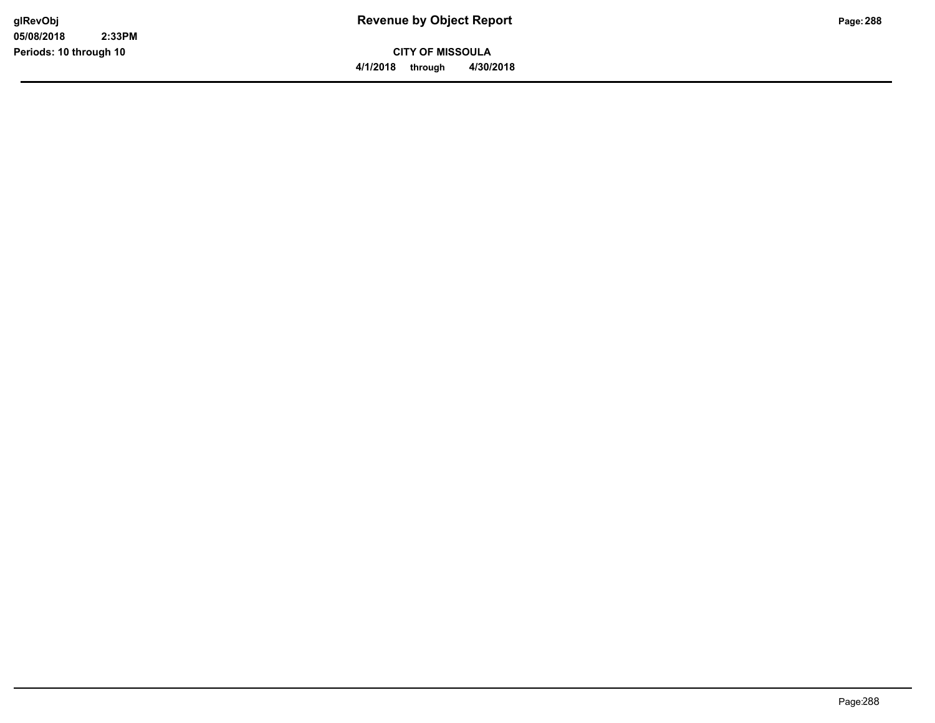**CITY OF MISSOULA 4/1/2018 through 4/30/2018**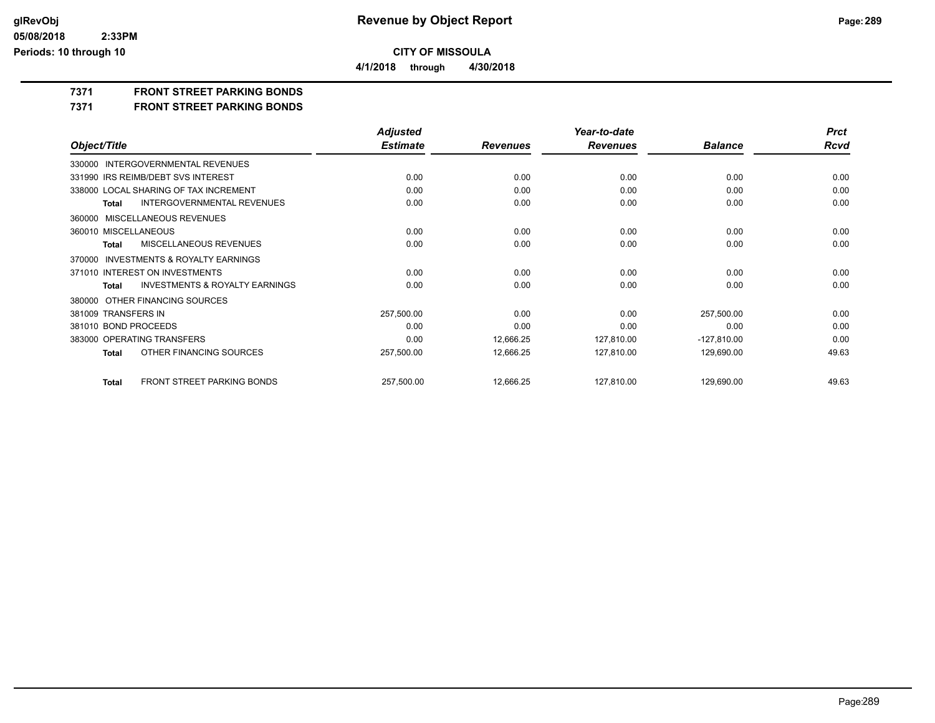**4/1/2018 through 4/30/2018**

**7371 FRONT STREET PARKING BONDS**

**7371 FRONT STREET PARKING BONDS**

|                                                     | <b>Adjusted</b> |                 | Year-to-date    |                | <b>Prct</b> |
|-----------------------------------------------------|-----------------|-----------------|-----------------|----------------|-------------|
| Object/Title                                        | <b>Estimate</b> | <b>Revenues</b> | <b>Revenues</b> | <b>Balance</b> | <b>Rcvd</b> |
| 330000 INTERGOVERNMENTAL REVENUES                   |                 |                 |                 |                |             |
| 331990 IRS REIMB/DEBT SVS INTEREST                  | 0.00            | 0.00            | 0.00            | 0.00           | 0.00        |
| 338000 LOCAL SHARING OF TAX INCREMENT               | 0.00            | 0.00            | 0.00            | 0.00           | 0.00        |
| <b>INTERGOVERNMENTAL REVENUES</b><br>Total          | 0.00            | 0.00            | 0.00            | 0.00           | 0.00        |
| 360000 MISCELLANEOUS REVENUES                       |                 |                 |                 |                |             |
| 360010 MISCELLANEOUS                                | 0.00            | 0.00            | 0.00            | 0.00           | 0.00        |
| MISCELLANEOUS REVENUES<br>Total                     | 0.00            | 0.00            | 0.00            | 0.00           | 0.00        |
| <b>INVESTMENTS &amp; ROYALTY EARNINGS</b><br>370000 |                 |                 |                 |                |             |
| 371010 INTEREST ON INVESTMENTS                      | 0.00            | 0.00            | 0.00            | 0.00           | 0.00        |
| <b>INVESTMENTS &amp; ROYALTY EARNINGS</b><br>Total  | 0.00            | 0.00            | 0.00            | 0.00           | 0.00        |
| 380000 OTHER FINANCING SOURCES                      |                 |                 |                 |                |             |
| 381009 TRANSFERS IN                                 | 257,500.00      | 0.00            | 0.00            | 257,500.00     | 0.00        |
| 381010 BOND PROCEEDS                                | 0.00            | 0.00            | 0.00            | 0.00           | 0.00        |
| 383000 OPERATING TRANSFERS                          | 0.00            | 12,666.25       | 127,810.00      | $-127,810.00$  | 0.00        |
| OTHER FINANCING SOURCES<br>Total                    | 257,500.00      | 12,666.25       | 127,810.00      | 129,690.00     | 49.63       |
| FRONT STREET PARKING BONDS<br>Total                 | 257,500.00      | 12,666.25       | 127,810.00      | 129,690.00     | 49.63       |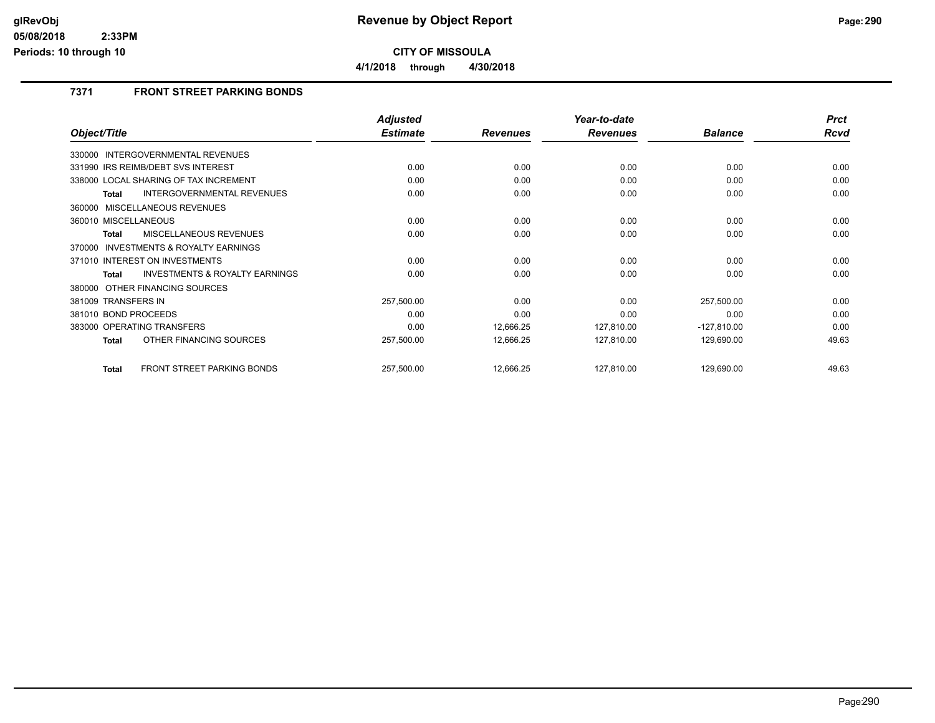**4/1/2018 through 4/30/2018**

## **7371 FRONT STREET PARKING BONDS**

|                                                     | <b>Adjusted</b> |                 | Year-to-date    |                | <b>Prct</b> |
|-----------------------------------------------------|-----------------|-----------------|-----------------|----------------|-------------|
| Object/Title                                        | <b>Estimate</b> | <b>Revenues</b> | <b>Revenues</b> | <b>Balance</b> | <b>Rcvd</b> |
| 330000 INTERGOVERNMENTAL REVENUES                   |                 |                 |                 |                |             |
| 331990 IRS REIMB/DEBT SVS INTEREST                  | 0.00            | 0.00            | 0.00            | 0.00           | 0.00        |
| 338000 LOCAL SHARING OF TAX INCREMENT               | 0.00            | 0.00            | 0.00            | 0.00           | 0.00        |
| <b>INTERGOVERNMENTAL REVENUES</b><br>Total          | 0.00            | 0.00            | 0.00            | 0.00           | 0.00        |
| 360000 MISCELLANEOUS REVENUES                       |                 |                 |                 |                |             |
| 360010 MISCELLANEOUS                                | 0.00            | 0.00            | 0.00            | 0.00           | 0.00        |
| MISCELLANEOUS REVENUES<br><b>Total</b>              | 0.00            | 0.00            | 0.00            | 0.00           | 0.00        |
| <b>INVESTMENTS &amp; ROYALTY EARNINGS</b><br>370000 |                 |                 |                 |                |             |
| 371010 INTEREST ON INVESTMENTS                      | 0.00            | 0.00            | 0.00            | 0.00           | 0.00        |
| <b>INVESTMENTS &amp; ROYALTY EARNINGS</b><br>Total  | 0.00            | 0.00            | 0.00            | 0.00           | 0.00        |
| 380000 OTHER FINANCING SOURCES                      |                 |                 |                 |                |             |
| 381009 TRANSFERS IN                                 | 257,500.00      | 0.00            | 0.00            | 257,500.00     | 0.00        |
| 381010 BOND PROCEEDS                                | 0.00            | 0.00            | 0.00            | 0.00           | 0.00        |
| 383000 OPERATING TRANSFERS                          | 0.00            | 12,666.25       | 127,810.00      | $-127,810.00$  | 0.00        |
| OTHER FINANCING SOURCES<br><b>Total</b>             | 257,500.00      | 12,666.25       | 127,810.00      | 129,690.00     | 49.63       |
| <b>FRONT STREET PARKING BONDS</b><br><b>Total</b>   | 257,500.00      | 12,666.25       | 127,810.00      | 129,690.00     | 49.63       |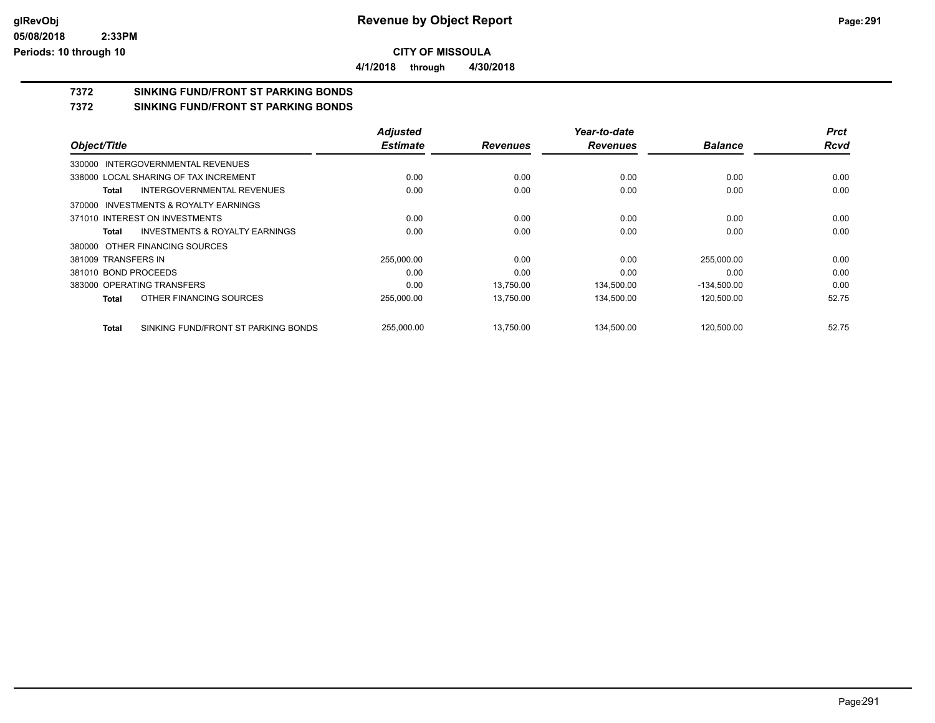**4/1/2018 through 4/30/2018**

# **7372 SINKING FUND/FRONT ST PARKING BONDS**

**7372 SINKING FUND/FRONT ST PARKING BONDS**

|                                       |                                           | <b>Adjusted</b> |                 | Year-to-date    |                | <b>Prct</b> |
|---------------------------------------|-------------------------------------------|-----------------|-----------------|-----------------|----------------|-------------|
| Object/Title                          |                                           | <b>Estimate</b> | <b>Revenues</b> | <b>Revenues</b> | <b>Balance</b> | <b>Rcvd</b> |
| 330000 INTERGOVERNMENTAL REVENUES     |                                           |                 |                 |                 |                |             |
| 338000 LOCAL SHARING OF TAX INCREMENT |                                           | 0.00            | 0.00            | 0.00            | 0.00           | 0.00        |
| INTERGOVERNMENTAL REVENUES<br>Total   |                                           | 0.00            | 0.00            | 0.00            | 0.00           | 0.00        |
| 370000 INVESTMENTS & ROYALTY EARNINGS |                                           |                 |                 |                 |                |             |
| 371010 INTEREST ON INVESTMENTS        |                                           | 0.00            | 0.00            | 0.00            | 0.00           | 0.00        |
| Total                                 | <b>INVESTMENTS &amp; ROYALTY EARNINGS</b> | 0.00            | 0.00            | 0.00            | 0.00           | 0.00        |
| 380000 OTHER FINANCING SOURCES        |                                           |                 |                 |                 |                |             |
| 381009 TRANSFERS IN                   |                                           | 255,000.00      | 0.00            | 0.00            | 255,000.00     | 0.00        |
| 381010 BOND PROCEEDS                  |                                           | 0.00            | 0.00            | 0.00            | 0.00           | 0.00        |
| 383000 OPERATING TRANSFERS            |                                           | 0.00            | 13.750.00       | 134,500.00      | $-134,500.00$  | 0.00        |
| OTHER FINANCING SOURCES<br>Total      |                                           | 255,000.00      | 13,750.00       | 134,500.00      | 120,500.00     | 52.75       |
| Total                                 | SINKING FUND/FRONT ST PARKING BONDS       | 255,000.00      | 13.750.00       | 134.500.00      | 120.500.00     | 52.75       |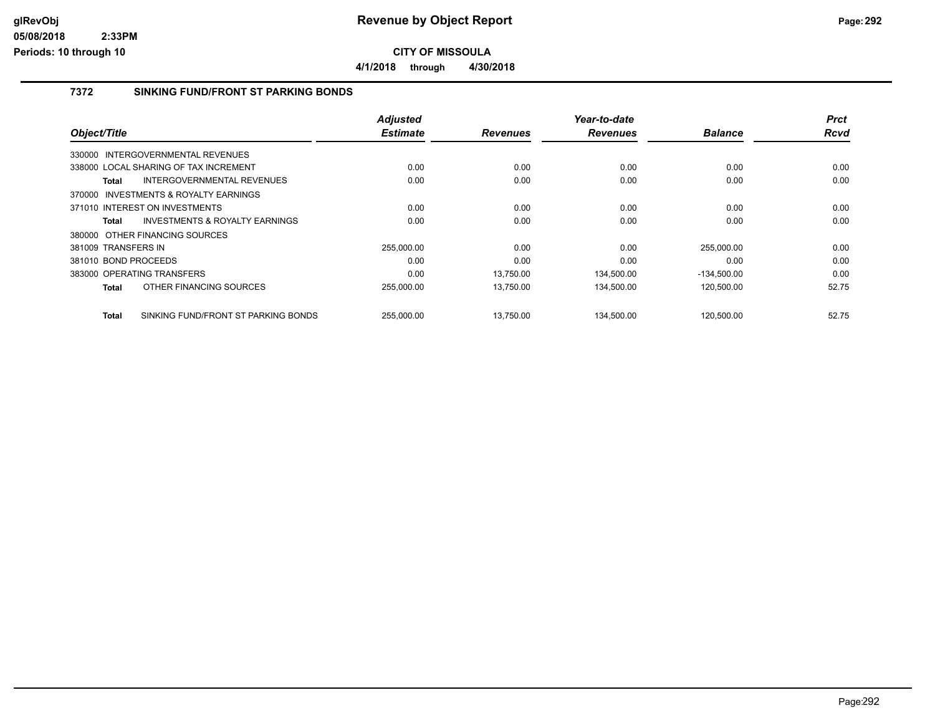**4/1/2018 through 4/30/2018**

#### **7372 SINKING FUND/FRONT ST PARKING BONDS**

| Object/Title                                        | <b>Adjusted</b><br><b>Estimate</b> | <b>Revenues</b> | Year-to-date<br><b>Revenues</b> | <b>Balance</b> | <b>Prct</b><br>Rcvd |
|-----------------------------------------------------|------------------------------------|-----------------|---------------------------------|----------------|---------------------|
| 330000 INTERGOVERNMENTAL REVENUES                   |                                    |                 |                                 |                |                     |
| 338000 LOCAL SHARING OF TAX INCREMENT               | 0.00                               | 0.00            | 0.00                            | 0.00           | 0.00                |
| <b>INTERGOVERNMENTAL REVENUES</b><br><b>Total</b>   | 0.00                               | 0.00            | 0.00                            | 0.00           | 0.00                |
| <b>INVESTMENTS &amp; ROYALTY EARNINGS</b><br>370000 |                                    |                 |                                 |                |                     |
| 371010 INTEREST ON INVESTMENTS                      | 0.00                               | 0.00            | 0.00                            | 0.00           | 0.00                |
| <b>INVESTMENTS &amp; ROYALTY EARNINGS</b><br>Total  | 0.00                               | 0.00            | 0.00                            | 0.00           | 0.00                |
| 380000 OTHER FINANCING SOURCES                      |                                    |                 |                                 |                |                     |
| 381009 TRANSFERS IN                                 | 255,000.00                         | 0.00            | 0.00                            | 255,000.00     | 0.00                |
| 381010 BOND PROCEEDS                                | 0.00                               | 0.00            | 0.00                            | 0.00           | 0.00                |
| 383000 OPERATING TRANSFERS                          | 0.00                               | 13.750.00       | 134,500.00                      | $-134,500.00$  | 0.00                |
| OTHER FINANCING SOURCES<br><b>Total</b>             | 255,000.00                         | 13.750.00       | 134,500.00                      | 120,500.00     | 52.75               |
|                                                     |                                    |                 |                                 |                |                     |
| SINKING FUND/FRONT ST PARKING BONDS<br><b>Total</b> | 255.000.00                         | 13.750.00       | 134.500.00                      | 120.500.00     | 52.75               |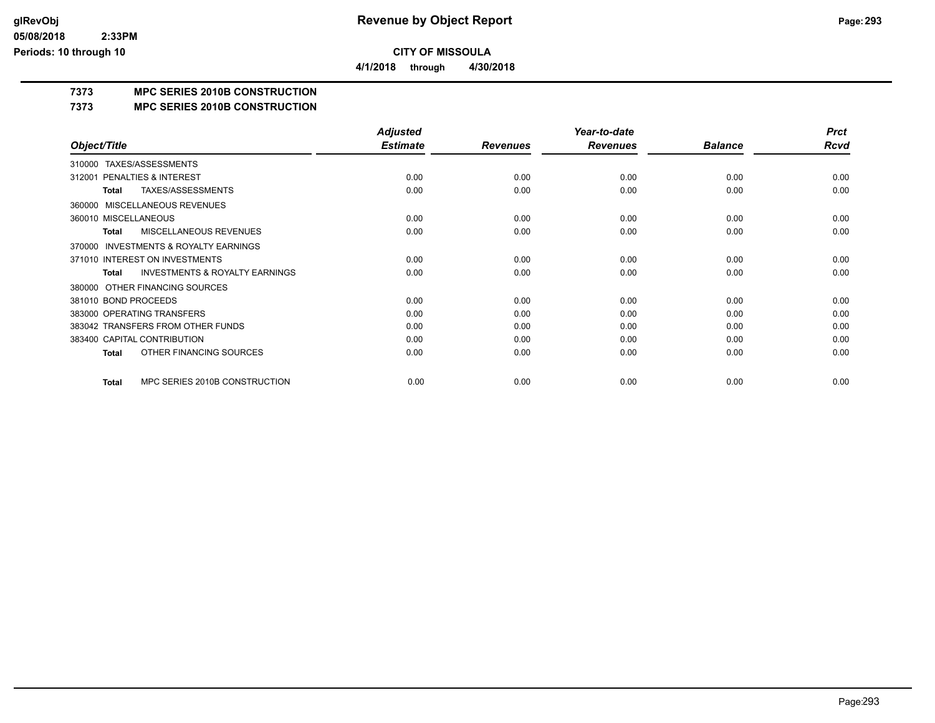**4/1/2018 through 4/30/2018**

## **7373 MPC SERIES 2010B CONSTRUCTION**

#### **7373 MPC SERIES 2010B CONSTRUCTION**

|                                                    | <b>Adjusted</b> |                 | Year-to-date    |                | <b>Prct</b> |
|----------------------------------------------------|-----------------|-----------------|-----------------|----------------|-------------|
| Object/Title                                       | <b>Estimate</b> | <b>Revenues</b> | <b>Revenues</b> | <b>Balance</b> | <b>Rcvd</b> |
| TAXES/ASSESSMENTS<br>310000                        |                 |                 |                 |                |             |
| PENALTIES & INTEREST<br>312001                     | 0.00            | 0.00            | 0.00            | 0.00           | 0.00        |
| TAXES/ASSESSMENTS<br><b>Total</b>                  | 0.00            | 0.00            | 0.00            | 0.00           | 0.00        |
| MISCELLANEOUS REVENUES<br>360000                   |                 |                 |                 |                |             |
| 360010 MISCELLANEOUS                               | 0.00            | 0.00            | 0.00            | 0.00           | 0.00        |
| <b>MISCELLANEOUS REVENUES</b><br>Total             | 0.00            | 0.00            | 0.00            | 0.00           | 0.00        |
| INVESTMENTS & ROYALTY EARNINGS<br>370000           |                 |                 |                 |                |             |
| 371010 INTEREST ON INVESTMENTS                     | 0.00            | 0.00            | 0.00            | 0.00           | 0.00        |
| <b>INVESTMENTS &amp; ROYALTY EARNINGS</b><br>Total | 0.00            | 0.00            | 0.00            | 0.00           | 0.00        |
| OTHER FINANCING SOURCES<br>380000                  |                 |                 |                 |                |             |
| 381010 BOND PROCEEDS                               | 0.00            | 0.00            | 0.00            | 0.00           | 0.00        |
| 383000 OPERATING TRANSFERS                         | 0.00            | 0.00            | 0.00            | 0.00           | 0.00        |
| 383042 TRANSFERS FROM OTHER FUNDS                  | 0.00            | 0.00            | 0.00            | 0.00           | 0.00        |
| 383400 CAPITAL CONTRIBUTION                        | 0.00            | 0.00            | 0.00            | 0.00           | 0.00        |
| OTHER FINANCING SOURCES<br><b>Total</b>            | 0.00            | 0.00            | 0.00            | 0.00           | 0.00        |
|                                                    |                 |                 |                 |                |             |
| MPC SERIES 2010B CONSTRUCTION<br><b>Total</b>      | 0.00            | 0.00            | 0.00            | 0.00           | 0.00        |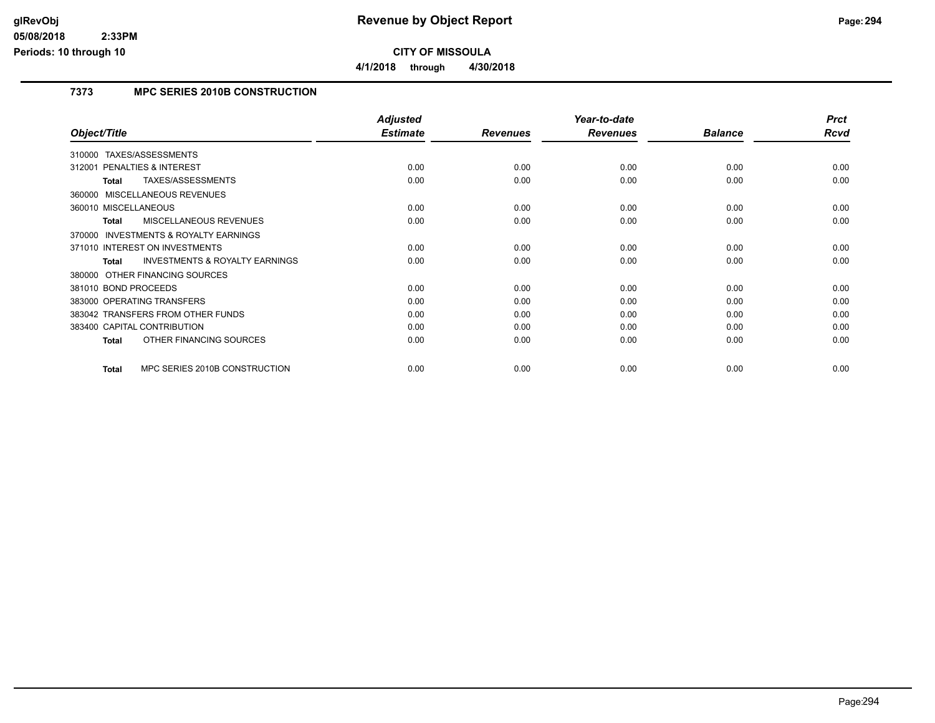**4/1/2018 through 4/30/2018**

## **7373 MPC SERIES 2010B CONSTRUCTION**

|                                                           | <b>Adjusted</b> |                 | Year-to-date    |                | <b>Prct</b> |
|-----------------------------------------------------------|-----------------|-----------------|-----------------|----------------|-------------|
| Object/Title                                              | <b>Estimate</b> | <b>Revenues</b> | <b>Revenues</b> | <b>Balance</b> | <b>Rcvd</b> |
| 310000 TAXES/ASSESSMENTS                                  |                 |                 |                 |                |             |
| 312001 PENALTIES & INTEREST                               | 0.00            | 0.00            | 0.00            | 0.00           | 0.00        |
| TAXES/ASSESSMENTS<br>Total                                | 0.00            | 0.00            | 0.00            | 0.00           | 0.00        |
| 360000 MISCELLANEOUS REVENUES                             |                 |                 |                 |                |             |
| 360010 MISCELLANEOUS                                      | 0.00            | 0.00            | 0.00            | 0.00           | 0.00        |
| <b>MISCELLANEOUS REVENUES</b><br><b>Total</b>             | 0.00            | 0.00            | 0.00            | 0.00           | 0.00        |
| <b>INVESTMENTS &amp; ROYALTY EARNINGS</b><br>370000       |                 |                 |                 |                |             |
| 371010 INTEREST ON INVESTMENTS                            | 0.00            | 0.00            | 0.00            | 0.00           | 0.00        |
| <b>INVESTMENTS &amp; ROYALTY EARNINGS</b><br><b>Total</b> | 0.00            | 0.00            | 0.00            | 0.00           | 0.00        |
| 380000 OTHER FINANCING SOURCES                            |                 |                 |                 |                |             |
| 381010 BOND PROCEEDS                                      | 0.00            | 0.00            | 0.00            | 0.00           | 0.00        |
| 383000 OPERATING TRANSFERS                                | 0.00            | 0.00            | 0.00            | 0.00           | 0.00        |
| 383042 TRANSFERS FROM OTHER FUNDS                         | 0.00            | 0.00            | 0.00            | 0.00           | 0.00        |
| 383400 CAPITAL CONTRIBUTION                               | 0.00            | 0.00            | 0.00            | 0.00           | 0.00        |
| OTHER FINANCING SOURCES<br><b>Total</b>                   | 0.00            | 0.00            | 0.00            | 0.00           | 0.00        |
| MPC SERIES 2010B CONSTRUCTION<br><b>Total</b>             | 0.00            | 0.00            | 0.00            | 0.00           | 0.00        |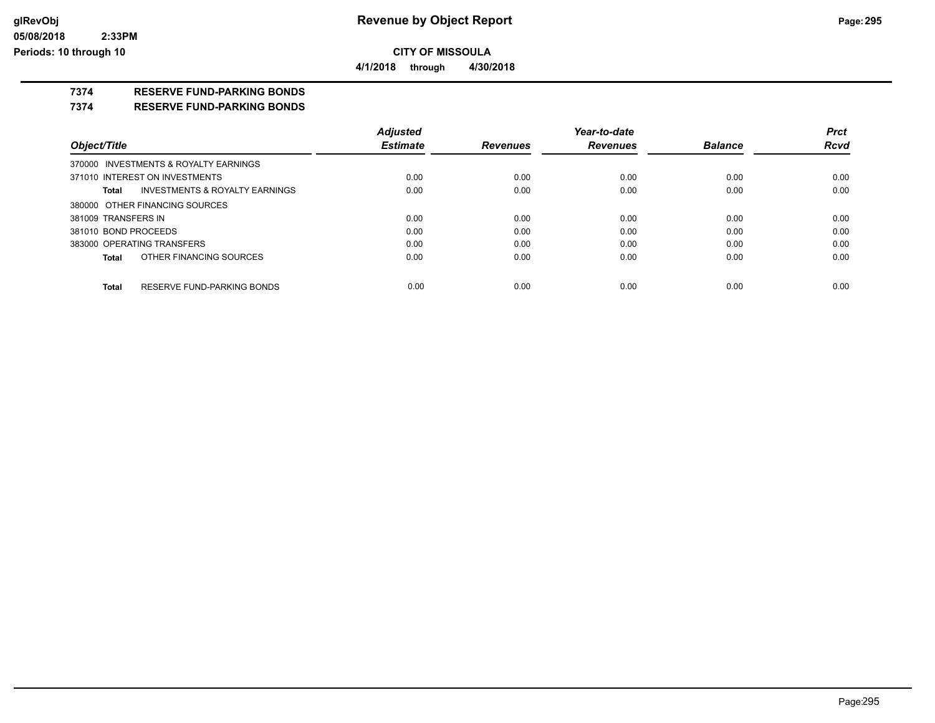**4/1/2018 through 4/30/2018**

## **7374 RESERVE FUND-PARKING BONDS**

#### **7374 RESERVE FUND-PARKING BONDS**

|                      |                                           | <b>Adjusted</b> |                 | Year-to-date    |                | <b>Prct</b> |
|----------------------|-------------------------------------------|-----------------|-----------------|-----------------|----------------|-------------|
| Object/Title         |                                           | <b>Estimate</b> | <b>Revenues</b> | <b>Revenues</b> | <b>Balance</b> | <b>Rcvd</b> |
|                      | 370000 INVESTMENTS & ROYALTY EARNINGS     |                 |                 |                 |                |             |
|                      | 371010 INTEREST ON INVESTMENTS            | 0.00            | 0.00            | 0.00            | 0.00           | 0.00        |
| Total                | <b>INVESTMENTS &amp; ROYALTY EARNINGS</b> | 0.00            | 0.00            | 0.00            | 0.00           | 0.00        |
|                      | 380000 OTHER FINANCING SOURCES            |                 |                 |                 |                |             |
| 381009 TRANSFERS IN  |                                           | 0.00            | 0.00            | 0.00            | 0.00           | 0.00        |
| 381010 BOND PROCEEDS |                                           | 0.00            | 0.00            | 0.00            | 0.00           | 0.00        |
|                      | 383000 OPERATING TRANSFERS                | 0.00            | 0.00            | 0.00            | 0.00           | 0.00        |
| Total                | OTHER FINANCING SOURCES                   | 0.00            | 0.00            | 0.00            | 0.00           | 0.00        |
|                      |                                           |                 |                 |                 |                |             |
| <b>Total</b>         | RESERVE FUND-PARKING BONDS                | 0.00            | 0.00            | 0.00            | 0.00           | 0.00        |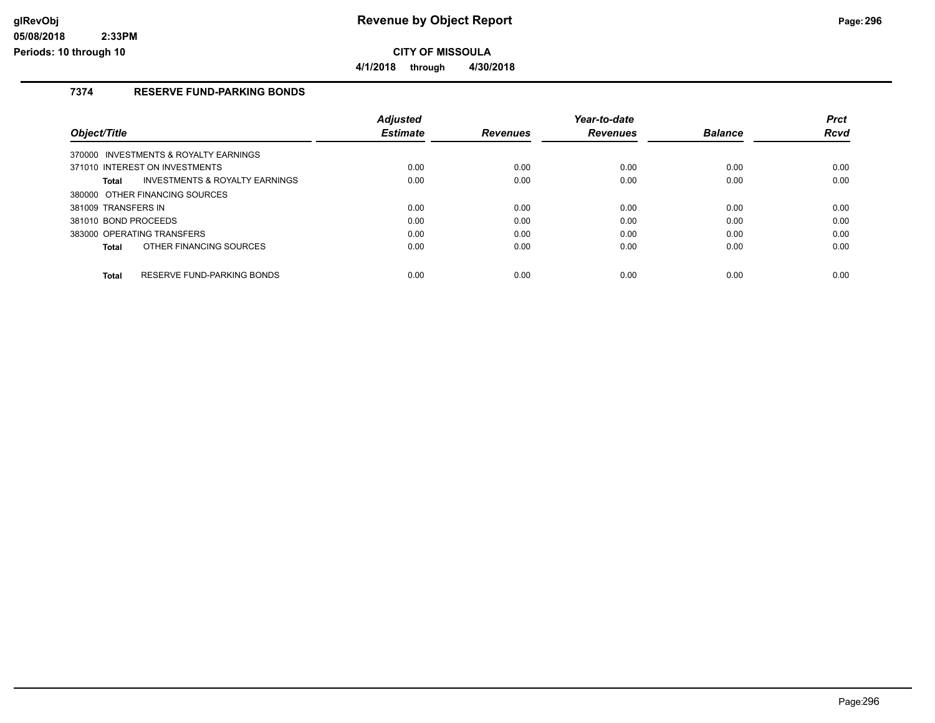**4/1/2018 through 4/30/2018**

#### **7374 RESERVE FUND-PARKING BONDS**

|                                                    | <b>Adiusted</b> |                 | Year-to-date    |                | <b>Prct</b> |
|----------------------------------------------------|-----------------|-----------------|-----------------|----------------|-------------|
| Object/Title                                       | <b>Estimate</b> | <b>Revenues</b> | <b>Revenues</b> | <b>Balance</b> | <b>Rcvd</b> |
| 370000 INVESTMENTS & ROYALTY EARNINGS              |                 |                 |                 |                |             |
| 371010 INTEREST ON INVESTMENTS                     | 0.00            | 0.00            | 0.00            | 0.00           | 0.00        |
| <b>INVESTMENTS &amp; ROYALTY EARNINGS</b><br>Total | 0.00            | 0.00            | 0.00            | 0.00           | 0.00        |
| 380000 OTHER FINANCING SOURCES                     |                 |                 |                 |                |             |
| 381009 TRANSFERS IN                                | 0.00            | 0.00            | 0.00            | 0.00           | 0.00        |
| 381010 BOND PROCEEDS                               | 0.00            | 0.00            | 0.00            | 0.00           | 0.00        |
| 383000 OPERATING TRANSFERS                         | 0.00            | 0.00            | 0.00            | 0.00           | 0.00        |
| OTHER FINANCING SOURCES<br>Total                   | 0.00            | 0.00            | 0.00            | 0.00           | 0.00        |
| RESERVE FUND-PARKING BONDS<br><b>Total</b>         | 0.00            | 0.00            | 0.00            | 0.00           | 0.00        |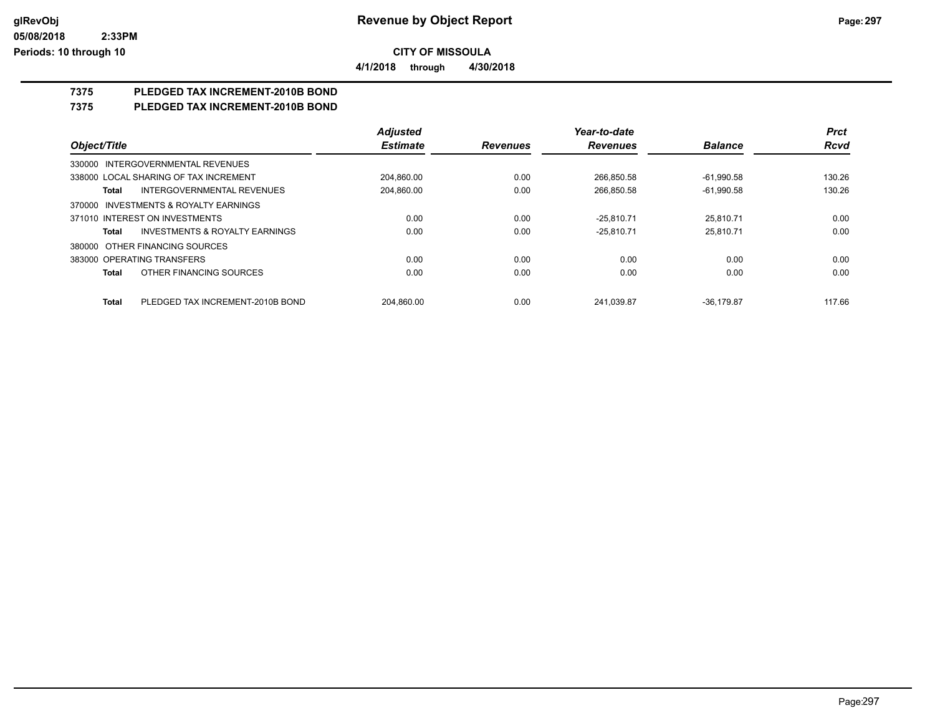**4/1/2018 through 4/30/2018**

# **7375 PLEDGED TAX INCREMENT-2010B BOND**

## **7375 PLEDGED TAX INCREMENT-2010B BOND**

|                                                    | <b>Adjusted</b> |                 | Year-to-date    |                | <b>Prct</b> |
|----------------------------------------------------|-----------------|-----------------|-----------------|----------------|-------------|
| Object/Title                                       | <b>Estimate</b> | <b>Revenues</b> | <b>Revenues</b> | <b>Balance</b> | <b>Rcvd</b> |
| 330000 INTERGOVERNMENTAL REVENUES                  |                 |                 |                 |                |             |
| 338000 LOCAL SHARING OF TAX INCREMENT              | 204,860.00      | 0.00            | 266,850.58      | $-61,990.58$   | 130.26      |
| <b>INTERGOVERNMENTAL REVENUES</b><br>Total         | 204,860.00      | 0.00            | 266,850.58      | $-61,990.58$   | 130.26      |
| 370000 INVESTMENTS & ROYALTY EARNINGS              |                 |                 |                 |                |             |
| 371010 INTEREST ON INVESTMENTS                     | 0.00            | 0.00            | $-25.810.71$    | 25.810.71      | 0.00        |
| <b>INVESTMENTS &amp; ROYALTY EARNINGS</b><br>Total | 0.00            | 0.00            | $-25.810.71$    | 25.810.71      | 0.00        |
| 380000 OTHER FINANCING SOURCES                     |                 |                 |                 |                |             |
| 383000 OPERATING TRANSFERS                         | 0.00            | 0.00            | 0.00            | 0.00           | 0.00        |
| OTHER FINANCING SOURCES<br>Total                   | 0.00            | 0.00            | 0.00            | 0.00           | 0.00        |
| PLEDGED TAX INCREMENT-2010B BOND<br>Total          | 204.860.00      | 0.00            | 241.039.87      | $-36.179.87$   | 117.66      |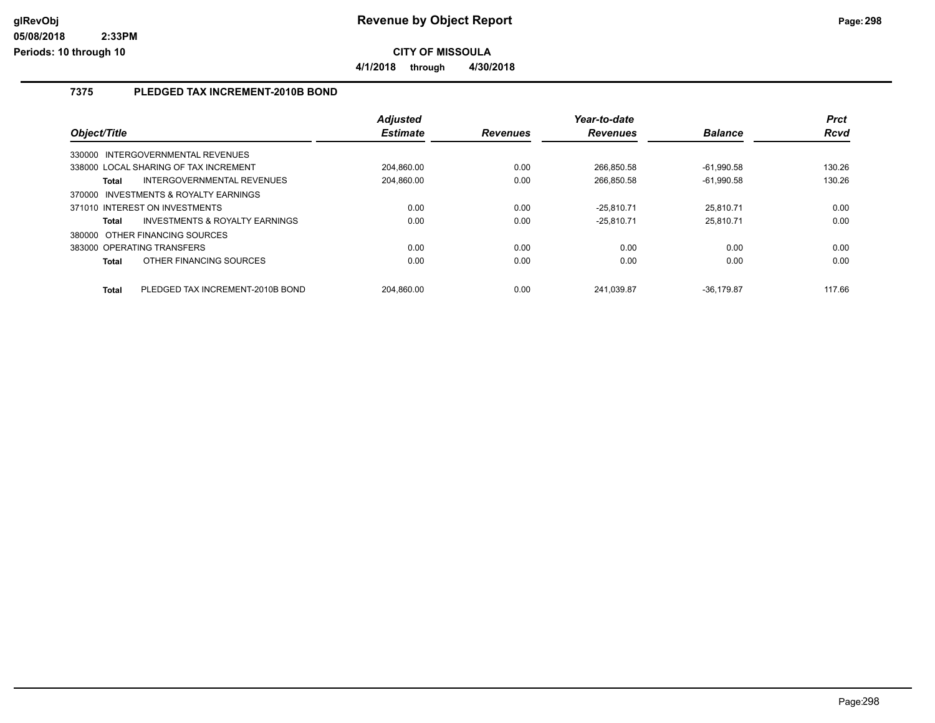**4/1/2018 through 4/30/2018**

### **7375 PLEDGED TAX INCREMENT-2010B BOND**

|                                                  | <b>Adjusted</b> |                 | Year-to-date    |                | <b>Prct</b> |
|--------------------------------------------------|-----------------|-----------------|-----------------|----------------|-------------|
| Object/Title                                     | <b>Estimate</b> | <b>Revenues</b> | <b>Revenues</b> | <b>Balance</b> | <b>Rcvd</b> |
| INTERGOVERNMENTAL REVENUES<br>330000             |                 |                 |                 |                |             |
| 338000 LOCAL SHARING OF TAX INCREMENT            | 204.860.00      | 0.00            | 266.850.58      | $-61.990.58$   | 130.26      |
| INTERGOVERNMENTAL REVENUES<br>Total              | 204,860.00      | 0.00            | 266,850.58      | $-61,990.58$   | 130.26      |
| 370000 INVESTMENTS & ROYALTY EARNINGS            |                 |                 |                 |                |             |
| 371010 INTEREST ON INVESTMENTS                   | 0.00            | 0.00            | $-25.810.71$    | 25.810.71      | 0.00        |
| INVESTMENTS & ROYALTY EARNINGS<br>Total          | 0.00            | 0.00            | $-25.810.71$    | 25.810.71      | 0.00        |
| OTHER FINANCING SOURCES<br>380000                |                 |                 |                 |                |             |
| 383000 OPERATING TRANSFERS                       | 0.00            | 0.00            | 0.00            | 0.00           | 0.00        |
| OTHER FINANCING SOURCES<br><b>Total</b>          | 0.00            | 0.00            | 0.00            | 0.00           | 0.00        |
| PLEDGED TAX INCREMENT-2010B BOND<br><b>Total</b> | 204.860.00      | 0.00            | 241.039.87      | $-36.179.87$   | 117.66      |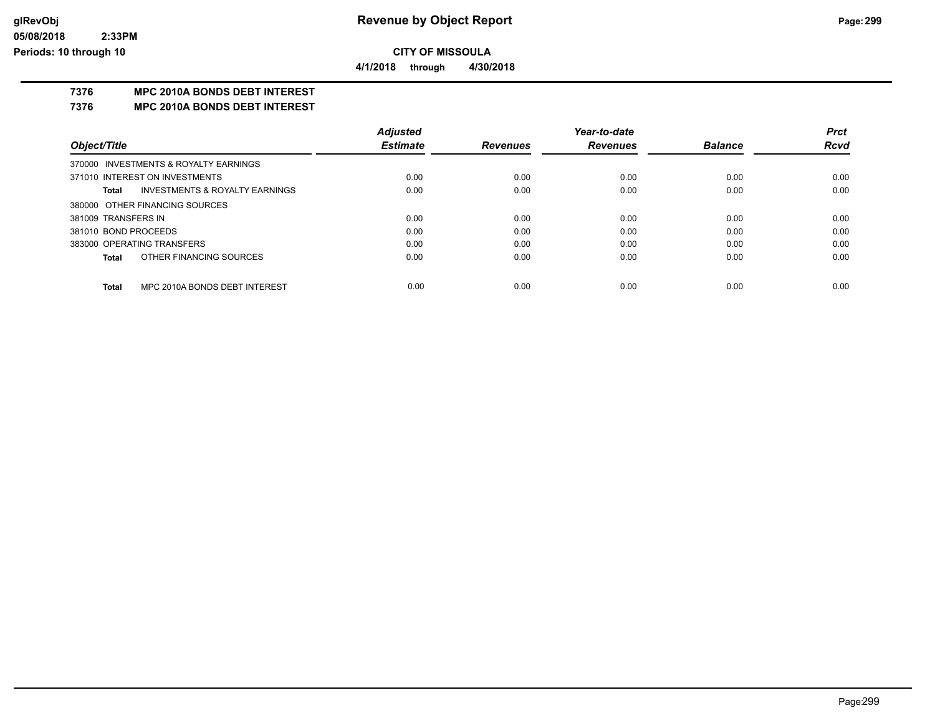**4/1/2018 through 4/30/2018**

## **7376 MPC 2010A BONDS DEBT INTEREST**

#### **7376 MPC 2010A BONDS DEBT INTEREST**

|                      |                                       | <b>Adjusted</b> |                 | Year-to-date    |                | <b>Prct</b> |
|----------------------|---------------------------------------|-----------------|-----------------|-----------------|----------------|-------------|
| Object/Title         |                                       | <b>Estimate</b> | <b>Revenues</b> | <b>Revenues</b> | <b>Balance</b> | Rcvd        |
|                      | 370000 INVESTMENTS & ROYALTY EARNINGS |                 |                 |                 |                |             |
|                      | 371010 INTEREST ON INVESTMENTS        | 0.00            | 0.00            | 0.00            | 0.00           | 0.00        |
| Total                | INVESTMENTS & ROYALTY EARNINGS        | 0.00            | 0.00            | 0.00            | 0.00           | 0.00        |
|                      | 380000 OTHER FINANCING SOURCES        |                 |                 |                 |                |             |
| 381009 TRANSFERS IN  |                                       | 0.00            | 0.00            | 0.00            | 0.00           | 0.00        |
| 381010 BOND PROCEEDS |                                       | 0.00            | 0.00            | 0.00            | 0.00           | 0.00        |
|                      | 383000 OPERATING TRANSFERS            | 0.00            | 0.00            | 0.00            | 0.00           | 0.00        |
| Total                | OTHER FINANCING SOURCES               | 0.00            | 0.00            | 0.00            | 0.00           | 0.00        |
| Total                | MPC 2010A BONDS DEBT INTEREST         | 0.00            | 0.00            | 0.00            | 0.00           | 0.00        |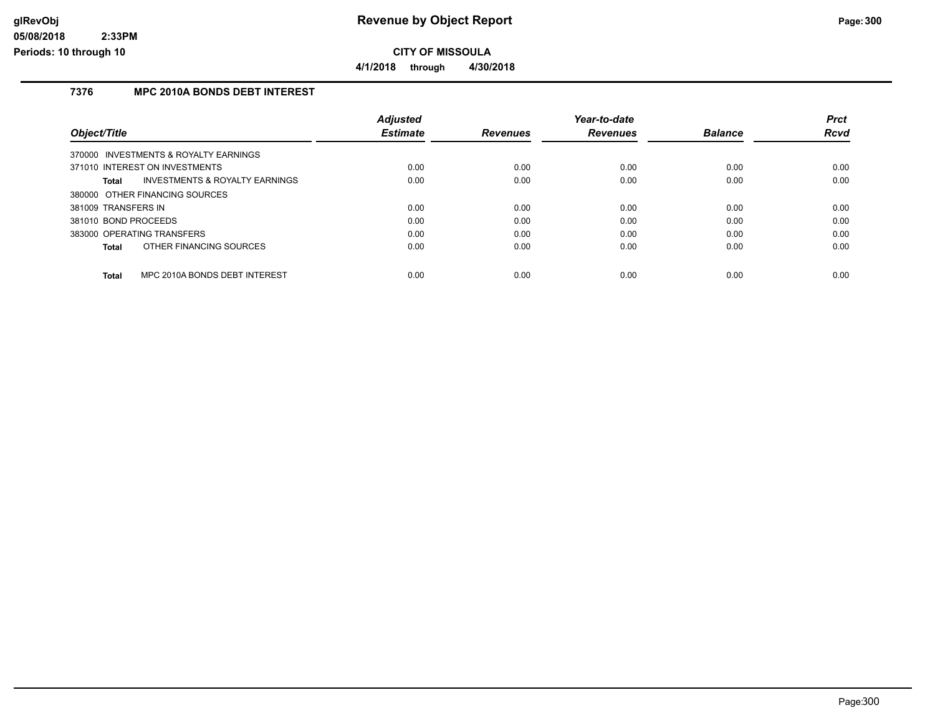**4/1/2018 through 4/30/2018**

## **7376 MPC 2010A BONDS DEBT INTEREST**

|                            |                                           | <b>Adjusted</b> |                 | Year-to-date    |                | <b>Prct</b> |
|----------------------------|-------------------------------------------|-----------------|-----------------|-----------------|----------------|-------------|
| Object/Title               |                                           | <b>Estimate</b> | <b>Revenues</b> | <b>Revenues</b> | <b>Balance</b> | <b>Rcvd</b> |
|                            | 370000 INVESTMENTS & ROYALTY EARNINGS     |                 |                 |                 |                |             |
|                            | 371010 INTEREST ON INVESTMENTS            | 0.00            | 0.00            | 0.00            | 0.00           | 0.00        |
| Total                      | <b>INVESTMENTS &amp; ROYALTY EARNINGS</b> | 0.00            | 0.00            | 0.00            | 0.00           | 0.00        |
|                            | 380000 OTHER FINANCING SOURCES            |                 |                 |                 |                |             |
| 381009 TRANSFERS IN        |                                           | 0.00            | 0.00            | 0.00            | 0.00           | 0.00        |
| 381010 BOND PROCEEDS       |                                           | 0.00            | 0.00            | 0.00            | 0.00           | 0.00        |
| 383000 OPERATING TRANSFERS |                                           | 0.00            | 0.00            | 0.00            | 0.00           | 0.00        |
| Total                      | OTHER FINANCING SOURCES                   | 0.00            | 0.00            | 0.00            | 0.00           | 0.00        |
| <b>Total</b>               | MPC 2010A BONDS DEBT INTEREST             | 0.00            | 0.00            | 0.00            | 0.00           | 0.00        |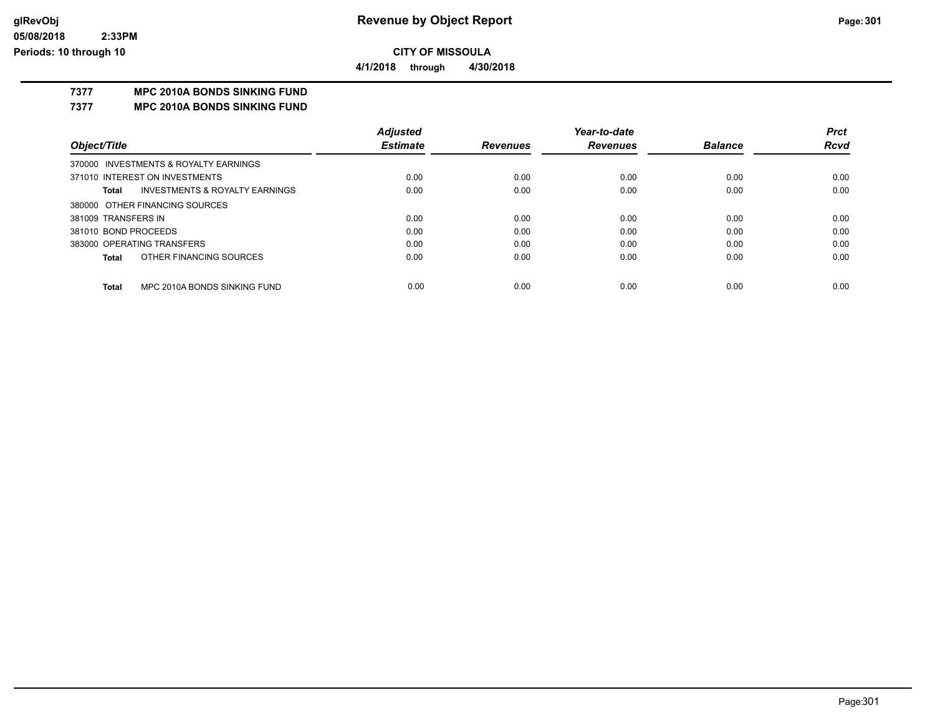**4/1/2018 through 4/30/2018**

## **7377 MPC 2010A BONDS SINKING FUND**

**7377 MPC 2010A BONDS SINKING FUND**

|                      |                                           | <b>Adjusted</b> |                 | Year-to-date    |                | <b>Prct</b> |
|----------------------|-------------------------------------------|-----------------|-----------------|-----------------|----------------|-------------|
| Object/Title         |                                           | <b>Estimate</b> | <b>Revenues</b> | <b>Revenues</b> | <b>Balance</b> | Rcvd        |
|                      | 370000 INVESTMENTS & ROYALTY EARNINGS     |                 |                 |                 |                |             |
|                      | 371010 INTEREST ON INVESTMENTS            | 0.00            | 0.00            | 0.00            | 0.00           | 0.00        |
| Total                | <b>INVESTMENTS &amp; ROYALTY EARNINGS</b> | 0.00            | 0.00            | 0.00            | 0.00           | 0.00        |
|                      | 380000 OTHER FINANCING SOURCES            |                 |                 |                 |                |             |
| 381009 TRANSFERS IN  |                                           | 0.00            | 0.00            | 0.00            | 0.00           | 0.00        |
| 381010 BOND PROCEEDS |                                           | 0.00            | 0.00            | 0.00            | 0.00           | 0.00        |
|                      | 383000 OPERATING TRANSFERS                | 0.00            | 0.00            | 0.00            | 0.00           | 0.00        |
| Total                | OTHER FINANCING SOURCES                   | 0.00            | 0.00            | 0.00            | 0.00           | 0.00        |
|                      |                                           |                 |                 |                 |                |             |
| <b>Total</b>         | MPC 2010A BONDS SINKING FUND              | 0.00            | 0.00            | 0.00            | 0.00           | 0.00        |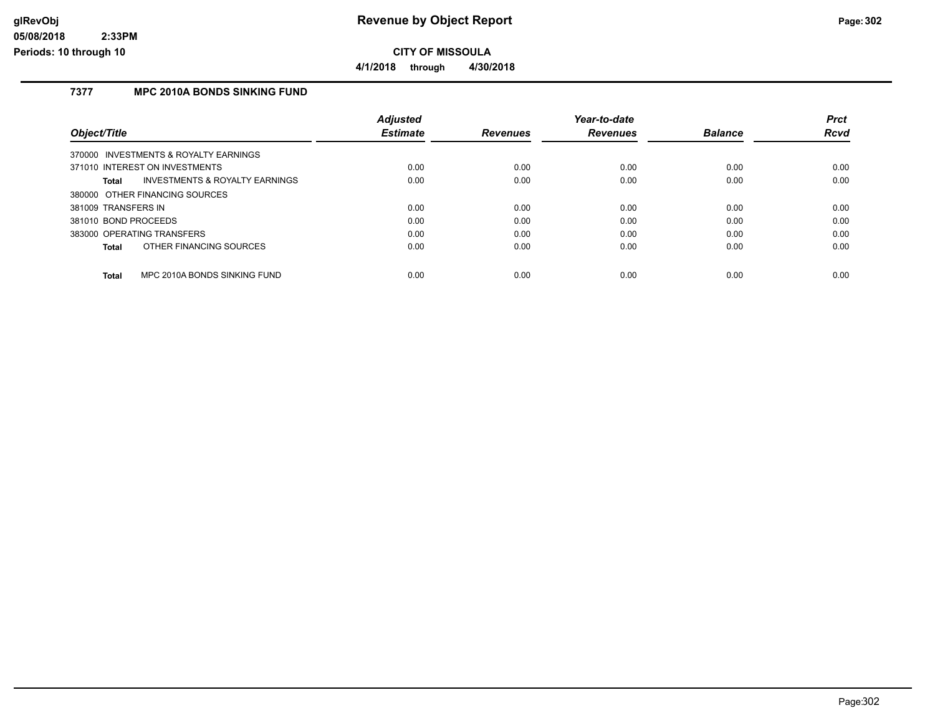**4/1/2018 through 4/30/2018**

## **7377 MPC 2010A BONDS SINKING FUND**

|                                |                                           | <b>Adjusted</b> |                 | Year-to-date    |                | <b>Prct</b> |
|--------------------------------|-------------------------------------------|-----------------|-----------------|-----------------|----------------|-------------|
| Object/Title                   |                                           | <b>Estimate</b> | <b>Revenues</b> | <b>Revenues</b> | <b>Balance</b> | <b>Rcvd</b> |
|                                | 370000 INVESTMENTS & ROYALTY EARNINGS     |                 |                 |                 |                |             |
| 371010 INTEREST ON INVESTMENTS |                                           | 0.00            | 0.00            | 0.00            | 0.00           | 0.00        |
| Total                          | <b>INVESTMENTS &amp; ROYALTY EARNINGS</b> | 0.00            | 0.00            | 0.00            | 0.00           | 0.00        |
| 380000 OTHER FINANCING SOURCES |                                           |                 |                 |                 |                |             |
| 381009 TRANSFERS IN            |                                           | 0.00            | 0.00            | 0.00            | 0.00           | 0.00        |
| 381010 BOND PROCEEDS           |                                           | 0.00            | 0.00            | 0.00            | 0.00           | 0.00        |
| 383000 OPERATING TRANSFERS     |                                           | 0.00            | 0.00            | 0.00            | 0.00           | 0.00        |
| <b>Total</b>                   | OTHER FINANCING SOURCES                   | 0.00            | 0.00            | 0.00            | 0.00           | 0.00        |
| <b>Total</b>                   | MPC 2010A BONDS SINKING FUND              | 0.00            | 0.00            | 0.00            | 0.00           | 0.00        |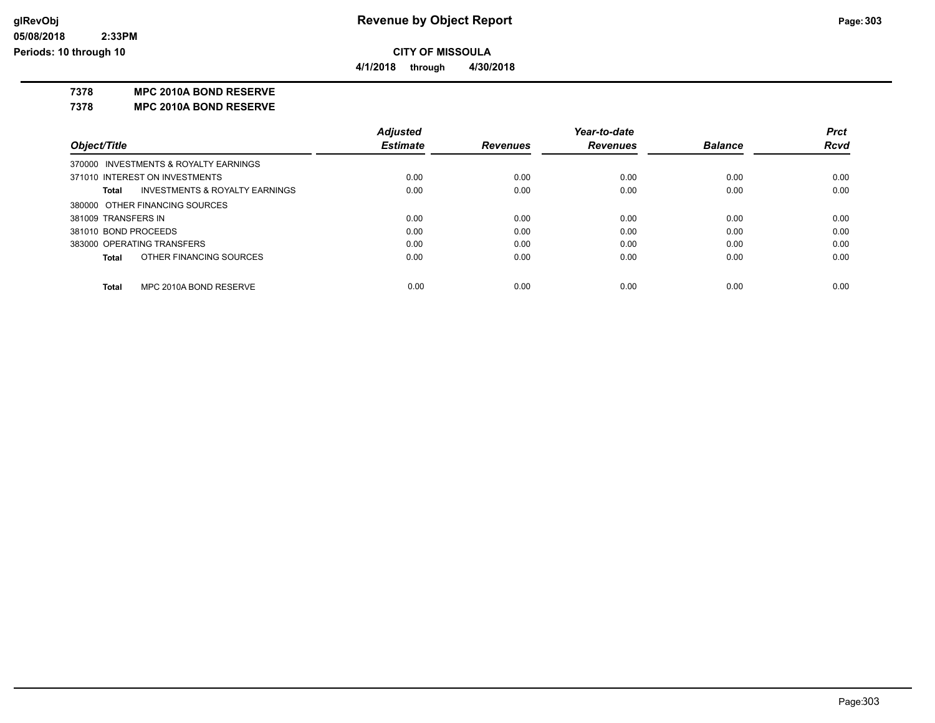**4/1/2018 through 4/30/2018**

**7378 MPC 2010A BOND RESERVE**

**7378 MPC 2010A BOND RESERVE**

|                      |                                           | <b>Adjusted</b> |                 | Year-to-date    |                | <b>Prct</b> |
|----------------------|-------------------------------------------|-----------------|-----------------|-----------------|----------------|-------------|
| Object/Title         |                                           | <b>Estimate</b> | <b>Revenues</b> | <b>Revenues</b> | <b>Balance</b> | <b>Rcvd</b> |
|                      | 370000 INVESTMENTS & ROYALTY EARNINGS     |                 |                 |                 |                |             |
|                      | 371010 INTEREST ON INVESTMENTS            | 0.00            | 0.00            | 0.00            | 0.00           | 0.00        |
| <b>Total</b>         | <b>INVESTMENTS &amp; ROYALTY EARNINGS</b> | 0.00            | 0.00            | 0.00            | 0.00           | 0.00        |
|                      | 380000 OTHER FINANCING SOURCES            |                 |                 |                 |                |             |
| 381009 TRANSFERS IN  |                                           | 0.00            | 0.00            | 0.00            | 0.00           | 0.00        |
| 381010 BOND PROCEEDS |                                           | 0.00            | 0.00            | 0.00            | 0.00           | 0.00        |
|                      | 383000 OPERATING TRANSFERS                | 0.00            | 0.00            | 0.00            | 0.00           | 0.00        |
| <b>Total</b>         | OTHER FINANCING SOURCES                   | 0.00            | 0.00            | 0.00            | 0.00           | 0.00        |
| <b>Total</b>         | MPC 2010A BOND RESERVE                    | 0.00            | 0.00            | 0.00            | 0.00           | 0.00        |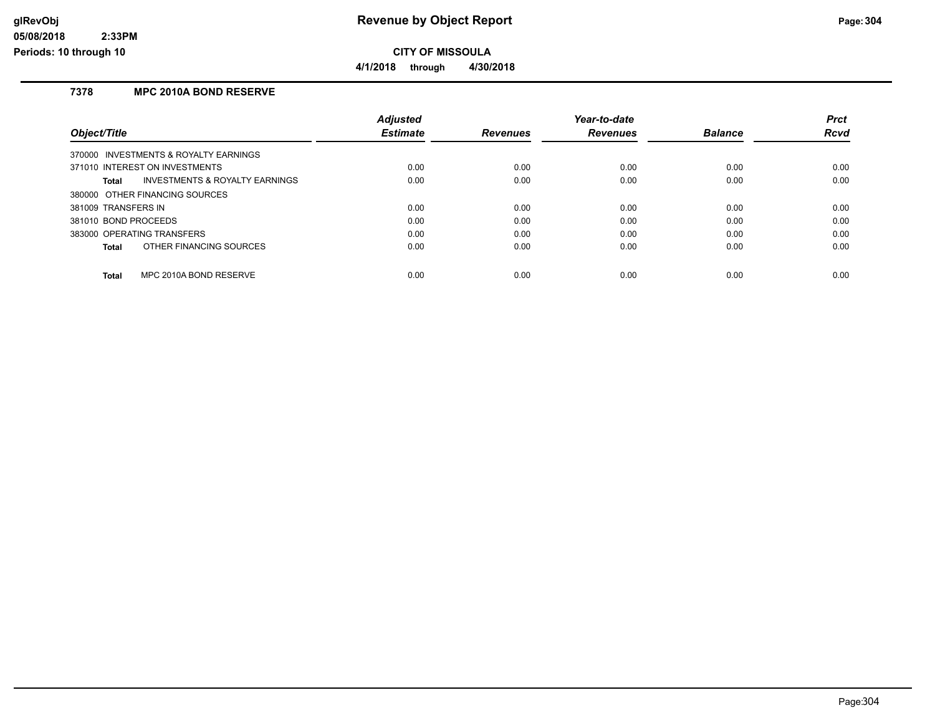**4/1/2018 through 4/30/2018**

#### **7378 MPC 2010A BOND RESERVE**

|                                       |                                | <b>Adjusted</b> |                 | Year-to-date    |                | <b>Prct</b> |
|---------------------------------------|--------------------------------|-----------------|-----------------|-----------------|----------------|-------------|
| Object/Title                          |                                | <b>Estimate</b> | <b>Revenues</b> | <b>Revenues</b> | <b>Balance</b> | <b>Rcvd</b> |
| 370000 INVESTMENTS & ROYALTY EARNINGS |                                |                 |                 |                 |                |             |
| 371010 INTEREST ON INVESTMENTS        |                                | 0.00            | 0.00            | 0.00            | 0.00           | 0.00        |
| Total                                 | INVESTMENTS & ROYALTY EARNINGS | 0.00            | 0.00            | 0.00            | 0.00           | 0.00        |
| 380000 OTHER FINANCING SOURCES        |                                |                 |                 |                 |                |             |
| 381009 TRANSFERS IN                   |                                | 0.00            | 0.00            | 0.00            | 0.00           | 0.00        |
| 381010 BOND PROCEEDS                  |                                | 0.00            | 0.00            | 0.00            | 0.00           | 0.00        |
| 383000 OPERATING TRANSFERS            |                                | 0.00            | 0.00            | 0.00            | 0.00           | 0.00        |
| <b>Total</b>                          | OTHER FINANCING SOURCES        | 0.00            | 0.00            | 0.00            | 0.00           | 0.00        |
| <b>Total</b>                          | MPC 2010A BOND RESERVE         | 0.00            | 0.00            | 0.00            | 0.00           | 0.00        |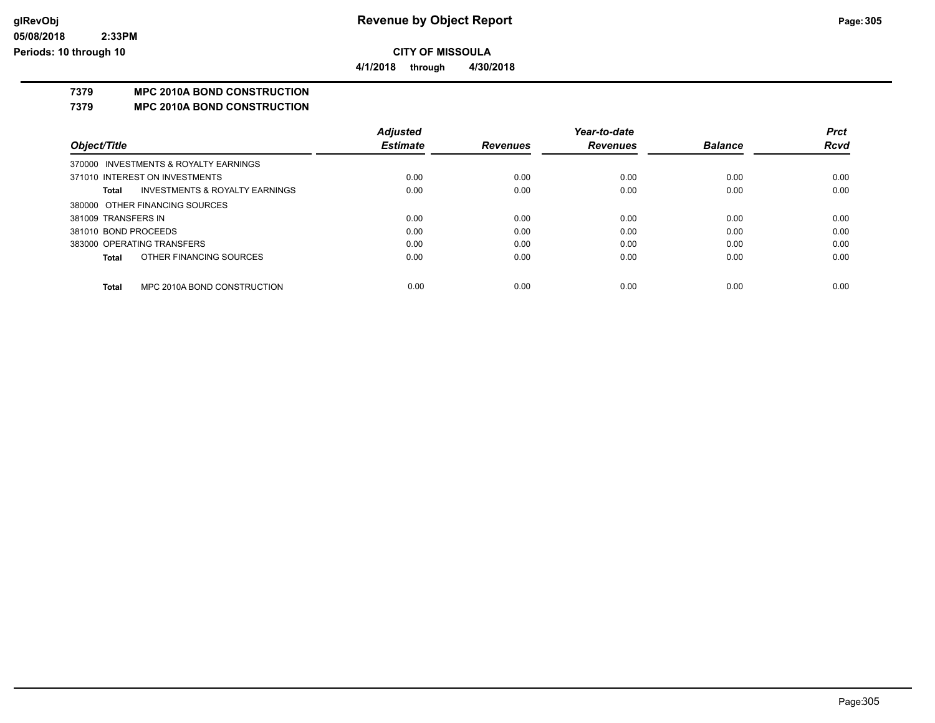**4/1/2018 through 4/30/2018**

## **7379 MPC 2010A BOND CONSTRUCTION**

#### **7379 MPC 2010A BOND CONSTRUCTION**

|                      |                                       | <b>Adjusted</b> |                 | Year-to-date    |                | <b>Prct</b> |
|----------------------|---------------------------------------|-----------------|-----------------|-----------------|----------------|-------------|
| Object/Title         |                                       | <b>Estimate</b> | <b>Revenues</b> | <b>Revenues</b> | <b>Balance</b> | <b>Rcvd</b> |
|                      | 370000 INVESTMENTS & ROYALTY EARNINGS |                 |                 |                 |                |             |
|                      | 371010 INTEREST ON INVESTMENTS        | 0.00            | 0.00            | 0.00            | 0.00           | 0.00        |
| Total                | INVESTMENTS & ROYALTY EARNINGS        | 0.00            | 0.00            | 0.00            | 0.00           | 0.00        |
|                      | 380000 OTHER FINANCING SOURCES        |                 |                 |                 |                |             |
| 381009 TRANSFERS IN  |                                       | 0.00            | 0.00            | 0.00            | 0.00           | 0.00        |
| 381010 BOND PROCEEDS |                                       | 0.00            | 0.00            | 0.00            | 0.00           | 0.00        |
|                      | 383000 OPERATING TRANSFERS            | 0.00            | 0.00            | 0.00            | 0.00           | 0.00        |
| Total                | OTHER FINANCING SOURCES               | 0.00            | 0.00            | 0.00            | 0.00           | 0.00        |
| Total                | MPC 2010A BOND CONSTRUCTION           | 0.00            | 0.00            | 0.00            | 0.00           | 0.00        |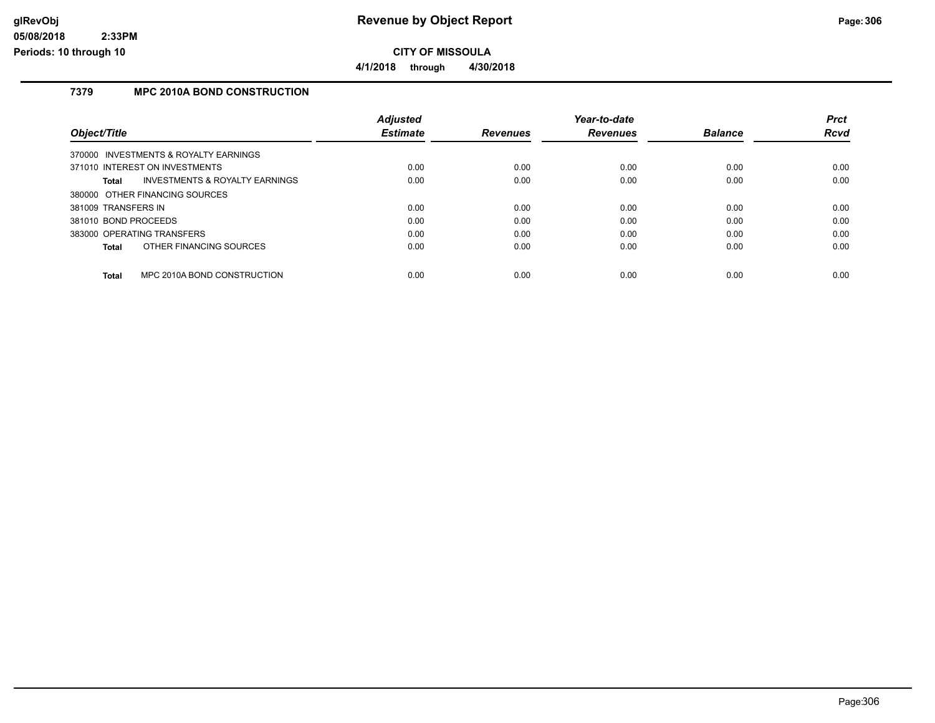**4/1/2018 through 4/30/2018**

## **7379 MPC 2010A BOND CONSTRUCTION**

|                            |                                           | <b>Adjusted</b> |                 | Year-to-date    |                | <b>Prct</b> |
|----------------------------|-------------------------------------------|-----------------|-----------------|-----------------|----------------|-------------|
| Object/Title               |                                           | <b>Estimate</b> | <b>Revenues</b> | <b>Revenues</b> | <b>Balance</b> | <b>Rcvd</b> |
|                            | 370000 INVESTMENTS & ROYALTY EARNINGS     |                 |                 |                 |                |             |
|                            | 371010 INTEREST ON INVESTMENTS            | 0.00            | 0.00            | 0.00            | 0.00           | 0.00        |
| <b>Total</b>               | <b>INVESTMENTS &amp; ROYALTY EARNINGS</b> | 0.00            | 0.00            | 0.00            | 0.00           | 0.00        |
|                            | 380000 OTHER FINANCING SOURCES            |                 |                 |                 |                |             |
| 381009 TRANSFERS IN        |                                           | 0.00            | 0.00            | 0.00            | 0.00           | 0.00        |
| 381010 BOND PROCEEDS       |                                           | 0.00            | 0.00            | 0.00            | 0.00           | 0.00        |
| 383000 OPERATING TRANSFERS |                                           | 0.00            | 0.00            | 0.00            | 0.00           | 0.00        |
| <b>Total</b>               | OTHER FINANCING SOURCES                   | 0.00            | 0.00            | 0.00            | 0.00           | 0.00        |
| <b>Total</b>               | MPC 2010A BOND CONSTRUCTION               | 0.00            | 0.00            | 0.00            | 0.00           | 0.00        |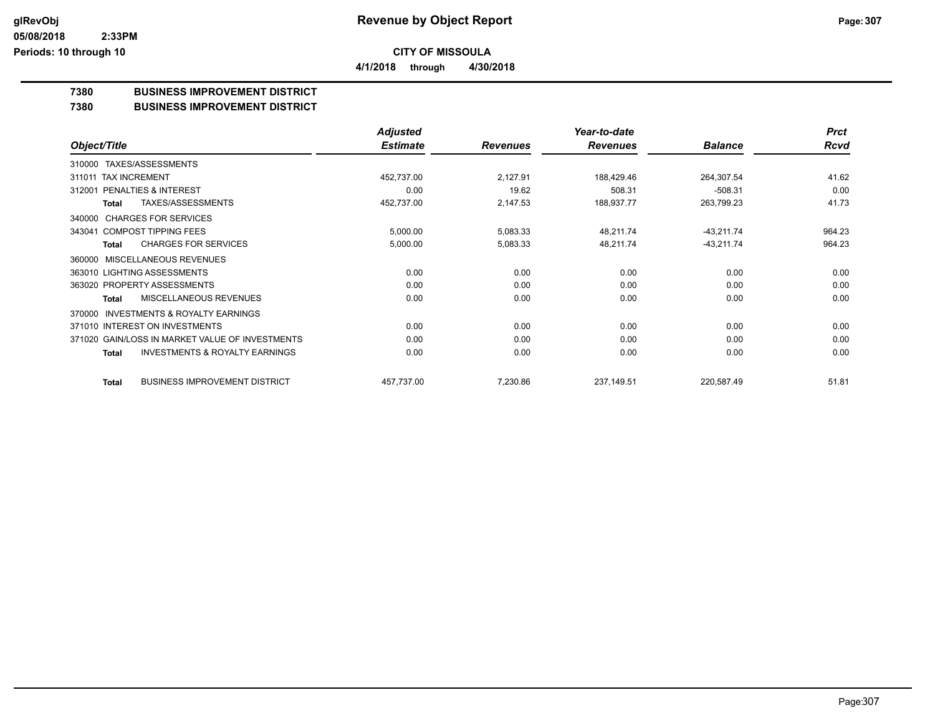**4/1/2018 through 4/30/2018**

## **7380 BUSINESS IMPROVEMENT DISTRICT**

#### **7380 BUSINESS IMPROVEMENT DISTRICT**

|                                                           | <b>Adjusted</b> |                 | Year-to-date    |                | <b>Prct</b> |
|-----------------------------------------------------------|-----------------|-----------------|-----------------|----------------|-------------|
| Object/Title                                              | <b>Estimate</b> | <b>Revenues</b> | <b>Revenues</b> | <b>Balance</b> | <b>Rcvd</b> |
| TAXES/ASSESSMENTS<br>310000                               |                 |                 |                 |                |             |
| <b>TAX INCREMENT</b><br>311011                            | 452,737.00      | 2,127.91        | 188,429.46      | 264,307.54     | 41.62       |
| PENALTIES & INTEREST<br>312001                            | 0.00            | 19.62           | 508.31          | -508.31        | 0.00        |
| TAXES/ASSESSMENTS<br><b>Total</b>                         | 452,737.00      | 2,147.53        | 188,937.77      | 263,799.23     | 41.73       |
| <b>CHARGES FOR SERVICES</b><br>340000                     |                 |                 |                 |                |             |
| 343041 COMPOST TIPPING FEES                               | 5,000.00        | 5,083.33        | 48,211.74       | $-43,211.74$   | 964.23      |
| <b>CHARGES FOR SERVICES</b><br><b>Total</b>               | 5,000.00        | 5,083.33        | 48,211.74       | $-43,211.74$   | 964.23      |
| MISCELLANEOUS REVENUES<br>360000                          |                 |                 |                 |                |             |
| 363010 LIGHTING ASSESSMENTS                               | 0.00            | 0.00            | 0.00            | 0.00           | 0.00        |
| 363020 PROPERTY ASSESSMENTS                               | 0.00            | 0.00            | 0.00            | 0.00           | 0.00        |
| <b>MISCELLANEOUS REVENUES</b><br>Total                    | 0.00            | 0.00            | 0.00            | 0.00           | 0.00        |
| <b>INVESTMENTS &amp; ROYALTY EARNINGS</b><br>370000       |                 |                 |                 |                |             |
| 371010 INTEREST ON INVESTMENTS                            | 0.00            | 0.00            | 0.00            | 0.00           | 0.00        |
| 371020 GAIN/LOSS IN MARKET VALUE OF INVESTMENTS           | 0.00            | 0.00            | 0.00            | 0.00           | 0.00        |
| <b>INVESTMENTS &amp; ROYALTY EARNINGS</b><br><b>Total</b> | 0.00            | 0.00            | 0.00            | 0.00           | 0.00        |
| <b>BUSINESS IMPROVEMENT DISTRICT</b><br><b>Total</b>      | 457,737.00      | 7,230.86        | 237,149.51      | 220,587.49     | 51.81       |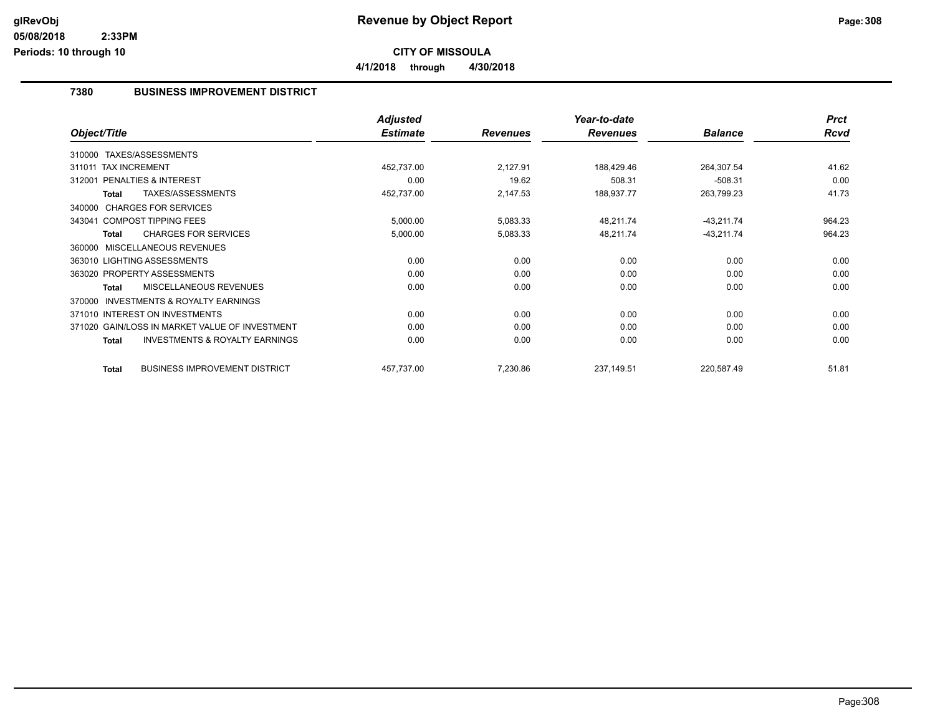**4/1/2018 through 4/30/2018**

#### **7380 BUSINESS IMPROVEMENT DISTRICT**

|                                                           | <b>Adjusted</b> |                 | Year-to-date    |                | <b>Prct</b> |
|-----------------------------------------------------------|-----------------|-----------------|-----------------|----------------|-------------|
| Object/Title                                              | <b>Estimate</b> | <b>Revenues</b> | <b>Revenues</b> | <b>Balance</b> | <b>Rcvd</b> |
| 310000 TAXES/ASSESSMENTS                                  |                 |                 |                 |                |             |
| 311011 TAX INCREMENT                                      | 452,737.00      | 2,127.91        | 188,429.46      | 264,307.54     | 41.62       |
| 312001 PENALTIES & INTEREST                               | 0.00            | 19.62           | 508.31          | $-508.31$      | 0.00        |
| TAXES/ASSESSMENTS<br>Total                                | 452,737.00      | 2,147.53        | 188,937.77      | 263,799.23     | 41.73       |
| 340000 CHARGES FOR SERVICES                               |                 |                 |                 |                |             |
| 343041 COMPOST TIPPING FEES                               | 5,000.00        | 5,083.33        | 48,211.74       | $-43,211.74$   | 964.23      |
| <b>CHARGES FOR SERVICES</b><br><b>Total</b>               | 5,000.00        | 5,083.33        | 48,211.74       | $-43,211.74$   | 964.23      |
| MISCELLANEOUS REVENUES<br>360000                          |                 |                 |                 |                |             |
| 363010 LIGHTING ASSESSMENTS                               | 0.00            | 0.00            | 0.00            | 0.00           | 0.00        |
| 363020 PROPERTY ASSESSMENTS                               | 0.00            | 0.00            | 0.00            | 0.00           | 0.00        |
| <b>MISCELLANEOUS REVENUES</b><br>Total                    | 0.00            | 0.00            | 0.00            | 0.00           | 0.00        |
| <b>INVESTMENTS &amp; ROYALTY EARNINGS</b><br>370000       |                 |                 |                 |                |             |
| 371010 INTEREST ON INVESTMENTS                            | 0.00            | 0.00            | 0.00            | 0.00           | 0.00        |
| 371020 GAIN/LOSS IN MARKET VALUE OF INVESTMENT            | 0.00            | 0.00            | 0.00            | 0.00           | 0.00        |
| <b>INVESTMENTS &amp; ROYALTY EARNINGS</b><br><b>Total</b> | 0.00            | 0.00            | 0.00            | 0.00           | 0.00        |
| <b>BUSINESS IMPROVEMENT DISTRICT</b><br><b>Total</b>      | 457,737.00      | 7,230.86        | 237,149.51      | 220,587.49     | 51.81       |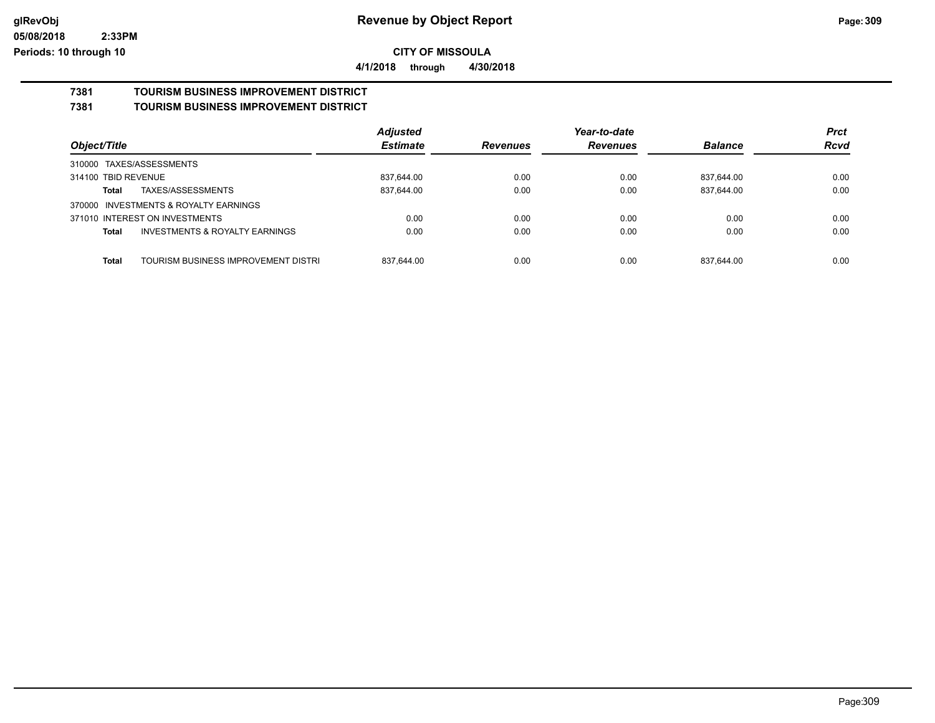**4/1/2018 through 4/30/2018**

# **7381 TOURISM BUSINESS IMPROVEMENT DISTRICT**

# **7381 TOURISM BUSINESS IMPROVEMENT DISTRICT**

|                                                     | <b>Adjusted</b> |                 | Year-to-date    |                | <b>Prct</b> |
|-----------------------------------------------------|-----------------|-----------------|-----------------|----------------|-------------|
| Object/Title                                        | <b>Estimate</b> | <b>Revenues</b> | <b>Revenues</b> | <b>Balance</b> | <b>Rcvd</b> |
| 310000 TAXES/ASSESSMENTS                            |                 |                 |                 |                |             |
| 314100 TBID REVENUE                                 | 837,644.00      | 0.00            | 0.00            | 837,644.00     | 0.00        |
| TAXES/ASSESSMENTS<br>Total                          | 837,644.00      | 0.00            | 0.00            | 837,644.00     | 0.00        |
| 370000 INVESTMENTS & ROYALTY EARNINGS               |                 |                 |                 |                |             |
| 371010 INTEREST ON INVESTMENTS                      | 0.00            | 0.00            | 0.00            | 0.00           | 0.00        |
| <b>INVESTMENTS &amp; ROYALTY EARNINGS</b><br>Total  | 0.00            | 0.00            | 0.00            | 0.00           | 0.00        |
|                                                     |                 |                 |                 |                |             |
| TOURISM BUSINESS IMPROVEMENT DISTRI<br><b>Total</b> | 837.644.00      | 0.00            | 0.00            | 837.644.00     | 0.00        |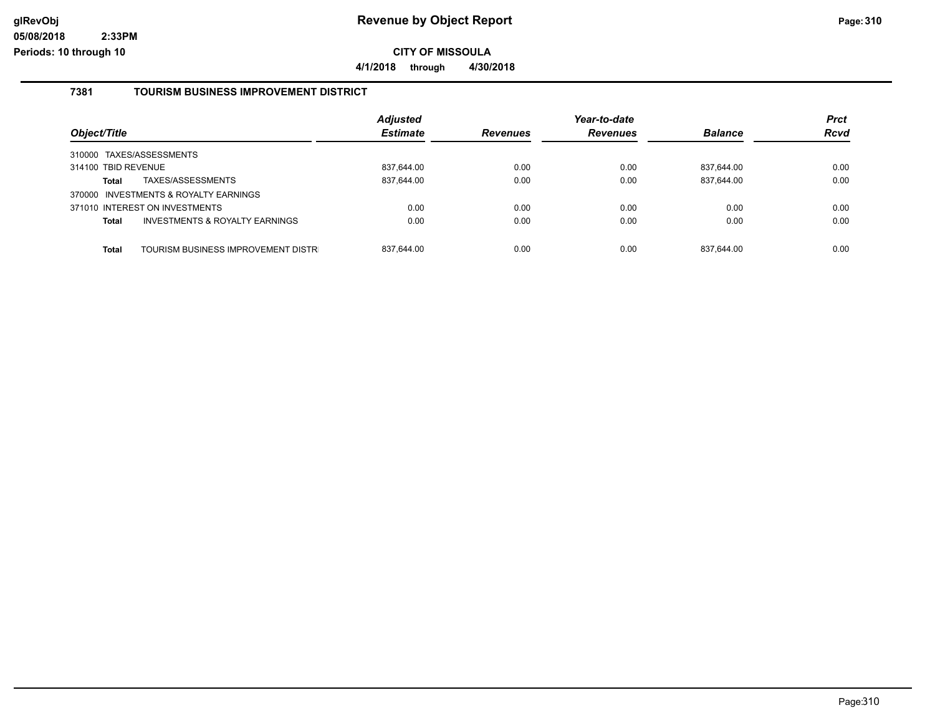**4/1/2018 through 4/30/2018**

#### **7381 TOURISM BUSINESS IMPROVEMENT DISTRICT**

| Object/Title        |                                       | <b>Adjusted</b><br><b>Estimate</b> | <b>Revenues</b> | Year-to-date<br><b>Revenues</b> | <b>Balance</b> | <b>Prct</b><br><b>Rcvd</b> |
|---------------------|---------------------------------------|------------------------------------|-----------------|---------------------------------|----------------|----------------------------|
|                     | 310000 TAXES/ASSESSMENTS              |                                    |                 |                                 |                |                            |
| 314100 TBID REVENUE |                                       | 837.644.00                         | 0.00            | 0.00                            | 837,644.00     | 0.00                       |
| <b>Total</b>        | TAXES/ASSESSMENTS                     | 837,644.00                         | 0.00            | 0.00                            | 837,644.00     | 0.00                       |
|                     | 370000 INVESTMENTS & ROYALTY EARNINGS |                                    |                 |                                 |                |                            |
|                     | 371010 INTEREST ON INVESTMENTS        | 0.00                               | 0.00            | 0.00                            | 0.00           | 0.00                       |
| <b>Total</b>        | INVESTMENTS & ROYALTY EARNINGS        | 0.00                               | 0.00            | 0.00                            | 0.00           | 0.00                       |
| <b>Total</b>        | TOURISM BUSINESS IMPROVEMENT DISTR    | 837.644.00                         | 0.00            | 0.00                            | 837.644.00     | 0.00                       |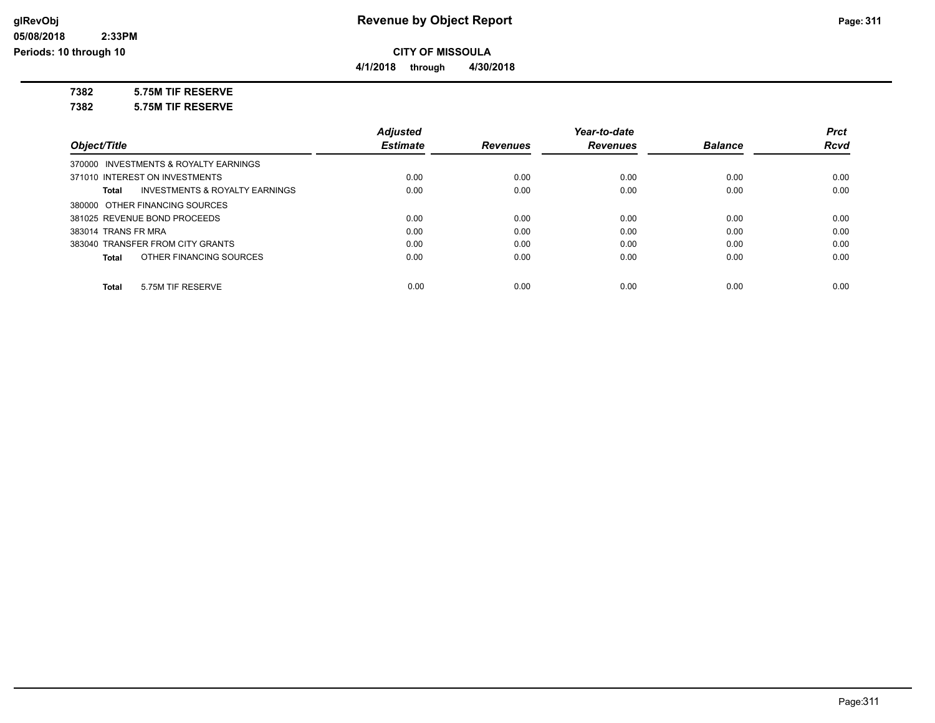**4/1/2018 through 4/30/2018**

**7382 5.75M TIF RESERVE**

**7382 5.75M TIF RESERVE**

|                                         | <b>Adjusted</b> |                 | Year-to-date    |                | <b>Prct</b> |
|-----------------------------------------|-----------------|-----------------|-----------------|----------------|-------------|
| Object/Title                            | <b>Estimate</b> | <b>Revenues</b> | <b>Revenues</b> | <b>Balance</b> | <b>Rcvd</b> |
| 370000 INVESTMENTS & ROYALTY EARNINGS   |                 |                 |                 |                |             |
| 371010 INTEREST ON INVESTMENTS          | 0.00            | 0.00            | 0.00            | 0.00           | 0.00        |
| INVESTMENTS & ROYALTY EARNINGS<br>Total | 0.00            | 0.00            | 0.00            | 0.00           | 0.00        |
| 380000 OTHER FINANCING SOURCES          |                 |                 |                 |                |             |
| 381025 REVENUE BOND PROCEEDS            | 0.00            | 0.00            | 0.00            | 0.00           | 0.00        |
| 383014 TRANS FR MRA                     | 0.00            | 0.00            | 0.00            | 0.00           | 0.00        |
| 383040 TRANSFER FROM CITY GRANTS        | 0.00            | 0.00            | 0.00            | 0.00           | 0.00        |
| OTHER FINANCING SOURCES<br>Total        | 0.00            | 0.00            | 0.00            | 0.00           | 0.00        |
| 5.75M TIF RESERVE<br><b>Total</b>       | 0.00            | 0.00            | 0.00            | 0.00           | 0.00        |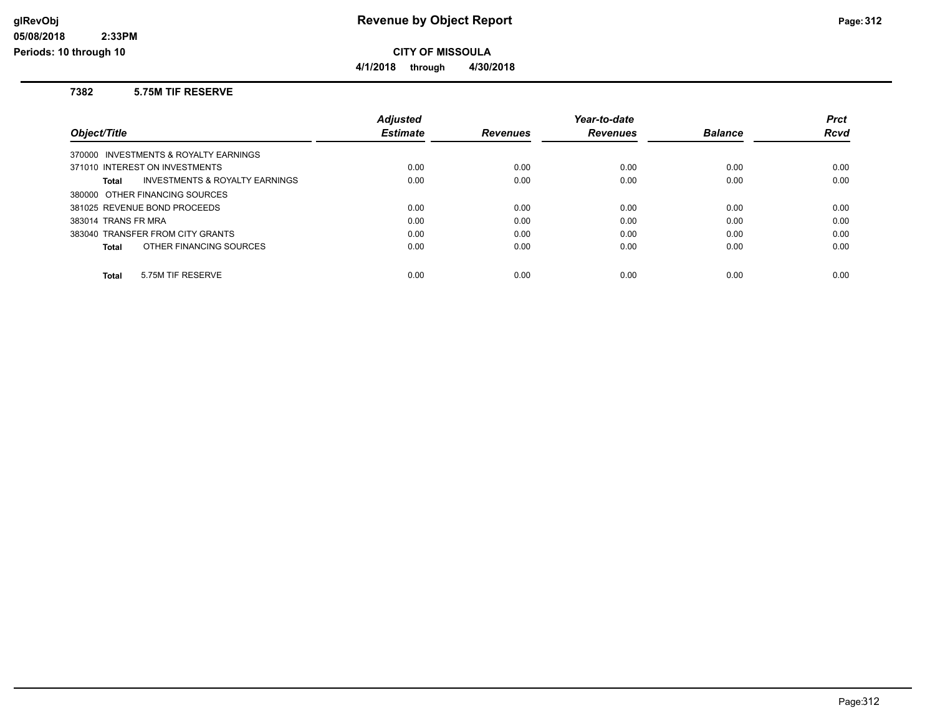**4/1/2018 through 4/30/2018**

#### **7382 5.75M TIF RESERVE**

|                                         | <b>Adiusted</b> |                 | Year-to-date    |                | <b>Prct</b> |
|-----------------------------------------|-----------------|-----------------|-----------------|----------------|-------------|
| Object/Title                            | <b>Estimate</b> | <b>Revenues</b> | <b>Revenues</b> | <b>Balance</b> | <b>Rcvd</b> |
| 370000 INVESTMENTS & ROYALTY EARNINGS   |                 |                 |                 |                |             |
| 371010 INTEREST ON INVESTMENTS          | 0.00            | 0.00            | 0.00            | 0.00           | 0.00        |
| INVESTMENTS & ROYALTY EARNINGS<br>Total | 0.00            | 0.00            | 0.00            | 0.00           | 0.00        |
| 380000 OTHER FINANCING SOURCES          |                 |                 |                 |                |             |
| 381025 REVENUE BOND PROCEEDS            | 0.00            | 0.00            | 0.00            | 0.00           | 0.00        |
| 383014 TRANS FR MRA                     | 0.00            | 0.00            | 0.00            | 0.00           | 0.00        |
| 383040 TRANSFER FROM CITY GRANTS        | 0.00            | 0.00            | 0.00            | 0.00           | 0.00        |
| OTHER FINANCING SOURCES<br>Total        | 0.00            | 0.00            | 0.00            | 0.00           | 0.00        |
| 5.75M TIF RESERVE<br><b>Total</b>       | 0.00            | 0.00            | 0.00            | 0.00           | 0.00        |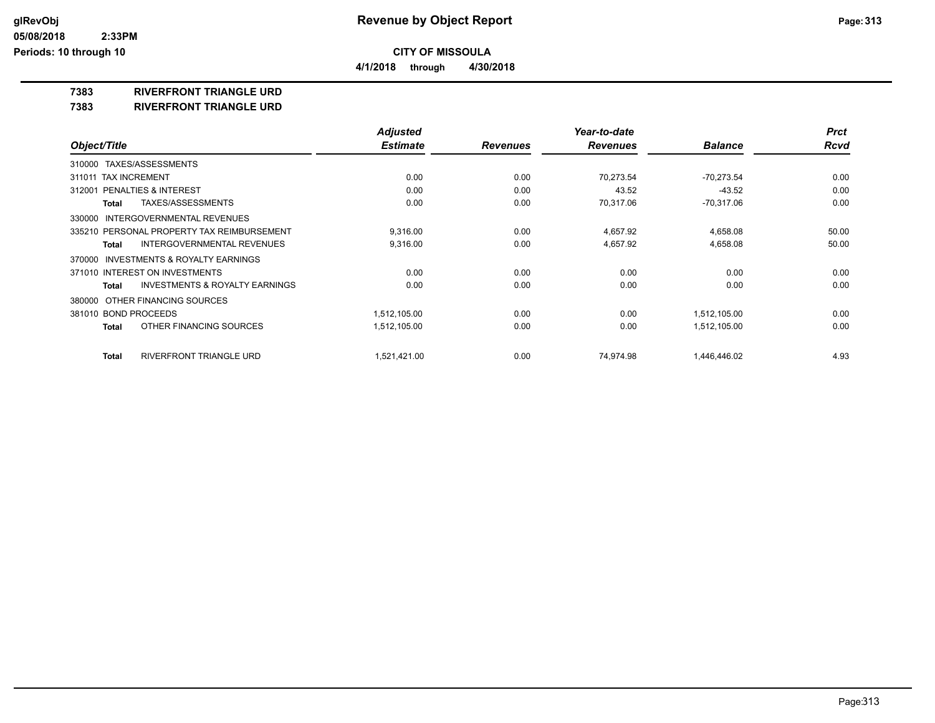**4/1/2018 through 4/30/2018**

**7383 RIVERFRONT TRIANGLE URD**

**7383 RIVERFRONT TRIANGLE URD**

|                                                    | <b>Adjusted</b> |                 | Year-to-date    |                | <b>Prct</b> |
|----------------------------------------------------|-----------------|-----------------|-----------------|----------------|-------------|
| Object/Title                                       | <b>Estimate</b> | <b>Revenues</b> | <b>Revenues</b> | <b>Balance</b> | <b>Rcvd</b> |
| TAXES/ASSESSMENTS<br>310000                        |                 |                 |                 |                |             |
| <b>TAX INCREMENT</b><br>311011                     | 0.00            | 0.00            | 70,273.54       | $-70,273.54$   | 0.00        |
| <b>PENALTIES &amp; INTEREST</b><br>312001          | 0.00            | 0.00            | 43.52           | $-43.52$       | 0.00        |
| TAXES/ASSESSMENTS<br><b>Total</b>                  | 0.00            | 0.00            | 70,317.06       | $-70,317.06$   | 0.00        |
| INTERGOVERNMENTAL REVENUES<br>330000               |                 |                 |                 |                |             |
| 335210 PERSONAL PROPERTY TAX REIMBURSEMENT         | 9,316.00        | 0.00            | 4,657.92        | 4,658.08       | 50.00       |
| <b>INTERGOVERNMENTAL REVENUES</b><br>Total         | 9,316.00        | 0.00            | 4,657.92        | 4,658.08       | 50.00       |
| INVESTMENTS & ROYALTY EARNINGS<br>370000           |                 |                 |                 |                |             |
| 371010 INTEREST ON INVESTMENTS                     | 0.00            | 0.00            | 0.00            | 0.00           | 0.00        |
| <b>INVESTMENTS &amp; ROYALTY EARNINGS</b><br>Total | 0.00            | 0.00            | 0.00            | 0.00           | 0.00        |
| OTHER FINANCING SOURCES<br>380000                  |                 |                 |                 |                |             |
| 381010 BOND PROCEEDS                               | 1,512,105.00    | 0.00            | 0.00            | 1,512,105.00   | 0.00        |
| OTHER FINANCING SOURCES<br><b>Total</b>            | 1,512,105.00    | 0.00            | 0.00            | 1,512,105.00   | 0.00        |
| RIVERFRONT TRIANGLE URD<br><b>Total</b>            | 1,521,421.00    | 0.00            | 74.974.98       | 1,446,446.02   | 4.93        |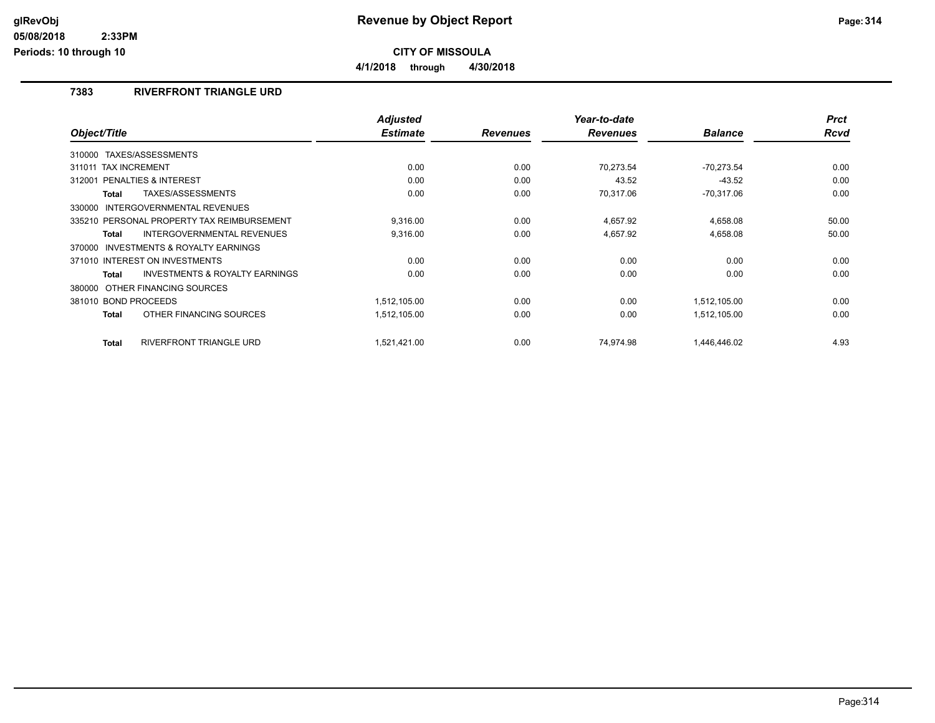**4/1/2018 through 4/30/2018**

## **7383 RIVERFRONT TRIANGLE URD**

|                                                           | <b>Adjusted</b> |                 | Year-to-date    |                | <b>Prct</b> |
|-----------------------------------------------------------|-----------------|-----------------|-----------------|----------------|-------------|
| Object/Title                                              | <b>Estimate</b> | <b>Revenues</b> | <b>Revenues</b> | <b>Balance</b> | <b>Rcvd</b> |
| TAXES/ASSESSMENTS<br>310000                               |                 |                 |                 |                |             |
| 311011 TAX INCREMENT                                      | 0.00            | 0.00            | 70.273.54       | $-70.273.54$   | 0.00        |
| 312001 PENALTIES & INTEREST                               | 0.00            | 0.00            | 43.52           | $-43.52$       | 0.00        |
| TAXES/ASSESSMENTS<br><b>Total</b>                         | 0.00            | 0.00            | 70,317.06       | $-70,317.06$   | 0.00        |
| INTERGOVERNMENTAL REVENUES<br>330000                      |                 |                 |                 |                |             |
| 335210 PERSONAL PROPERTY TAX REIMBURSEMENT                | 9.316.00        | 0.00            | 4,657.92        | 4,658.08       | 50.00       |
| INTERGOVERNMENTAL REVENUES<br><b>Total</b>                | 9,316.00        | 0.00            | 4,657.92        | 4,658.08       | 50.00       |
| INVESTMENTS & ROYALTY EARNINGS<br>370000                  |                 |                 |                 |                |             |
| 371010 INTEREST ON INVESTMENTS                            | 0.00            | 0.00            | 0.00            | 0.00           | 0.00        |
| <b>INVESTMENTS &amp; ROYALTY EARNINGS</b><br><b>Total</b> | 0.00            | 0.00            | 0.00            | 0.00           | 0.00        |
| 380000 OTHER FINANCING SOURCES                            |                 |                 |                 |                |             |
| 381010 BOND PROCEEDS                                      | 1,512,105.00    | 0.00            | 0.00            | 1,512,105.00   | 0.00        |
| OTHER FINANCING SOURCES<br><b>Total</b>                   | 1,512,105.00    | 0.00            | 0.00            | 1,512,105.00   | 0.00        |
| RIVERFRONT TRIANGLE URD<br><b>Total</b>                   | 1,521,421.00    | 0.00            | 74.974.98       | 1.446.446.02   | 4.93        |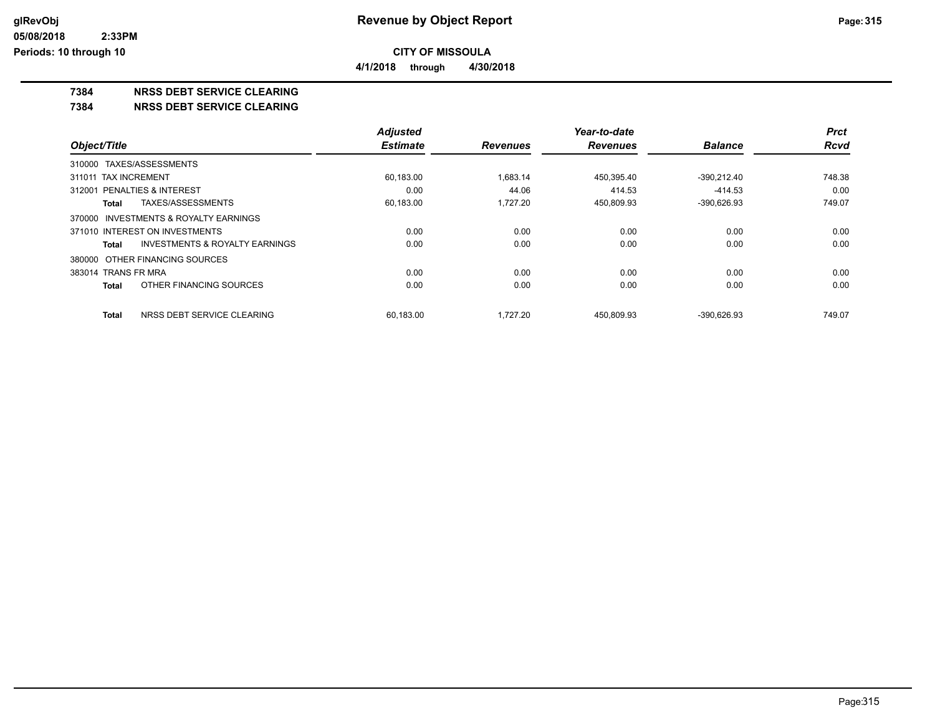**4/1/2018 through 4/30/2018**

## **7384 NRSS DEBT SERVICE CLEARING**

**7384 NRSS DEBT SERVICE CLEARING**

|                                                    | <b>Adjusted</b> |                 | Year-to-date    |                | <b>Prct</b> |
|----------------------------------------------------|-----------------|-----------------|-----------------|----------------|-------------|
| Object/Title                                       | <b>Estimate</b> | <b>Revenues</b> | <b>Revenues</b> | <b>Balance</b> | <b>Rcvd</b> |
| 310000 TAXES/ASSESSMENTS                           |                 |                 |                 |                |             |
| 311011 TAX INCREMENT                               | 60,183.00       | 1.683.14        | 450,395.40      | -390.212.40    | 748.38      |
| 312001 PENALTIES & INTEREST                        | 0.00            | 44.06           | 414.53          | $-414.53$      | 0.00        |
| TAXES/ASSESSMENTS<br>Total                         | 60,183.00       | 1.727.20        | 450,809.93      | -390,626.93    | 749.07      |
| 370000 INVESTMENTS & ROYALTY EARNINGS              |                 |                 |                 |                |             |
| 371010 INTEREST ON INVESTMENTS                     | 0.00            | 0.00            | 0.00            | 0.00           | 0.00        |
| <b>INVESTMENTS &amp; ROYALTY EARNINGS</b><br>Total | 0.00            | 0.00            | 0.00            | 0.00           | 0.00        |
| 380000 OTHER FINANCING SOURCES                     |                 |                 |                 |                |             |
| 383014 TRANS FR MRA                                | 0.00            | 0.00            | 0.00            | 0.00           | 0.00        |
| OTHER FINANCING SOURCES<br><b>Total</b>            | 0.00            | 0.00            | 0.00            | 0.00           | 0.00        |
| NRSS DEBT SERVICE CLEARING<br><b>Total</b>         | 60,183.00       | 1.727.20        | 450.809.93      | -390.626.93    | 749.07      |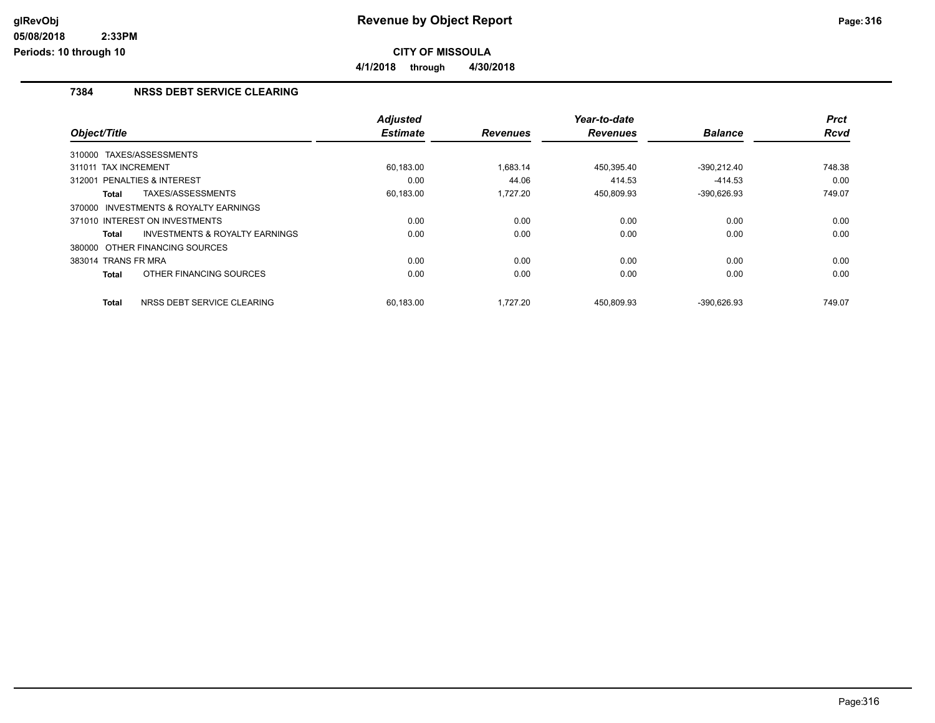**4/1/2018 through 4/30/2018**

## **7384 NRSS DEBT SERVICE CLEARING**

| Object/Title                               | <b>Adjusted</b><br><b>Estimate</b> | <b>Revenues</b> | Year-to-date<br><b>Revenues</b> | <b>Balance</b> | <b>Prct</b><br><b>Rcvd</b> |
|--------------------------------------------|------------------------------------|-----------------|---------------------------------|----------------|----------------------------|
| TAXES/ASSESSMENTS<br>310000                |                                    |                 |                                 |                |                            |
| 311011 TAX INCREMENT                       | 60,183.00                          | 1,683.14        | 450,395.40                      | $-390,212.40$  | 748.38                     |
| PENALTIES & INTEREST<br>312001             | 0.00                               | 44.06           | 414.53                          | $-414.53$      | 0.00                       |
| TAXES/ASSESSMENTS<br><b>Total</b>          | 60,183.00                          | 1.727.20        | 450,809.93                      | $-390,626.93$  | 749.07                     |
| 370000 INVESTMENTS & ROYALTY EARNINGS      |                                    |                 |                                 |                |                            |
| 371010 INTEREST ON INVESTMENTS             | 0.00                               | 0.00            | 0.00                            | 0.00           | 0.00                       |
| INVESTMENTS & ROYALTY EARNINGS<br>Total    | 0.00                               | 0.00            | 0.00                            | 0.00           | 0.00                       |
| 380000 OTHER FINANCING SOURCES             |                                    |                 |                                 |                |                            |
| 383014 TRANS FR MRA                        | 0.00                               | 0.00            | 0.00                            | 0.00           | 0.00                       |
| OTHER FINANCING SOURCES<br><b>Total</b>    | 0.00                               | 0.00            | 0.00                            | 0.00           | 0.00                       |
| NRSS DEBT SERVICE CLEARING<br><b>Total</b> | 60.183.00                          | 1.727.20        | 450.809.93                      | -390.626.93    | 749.07                     |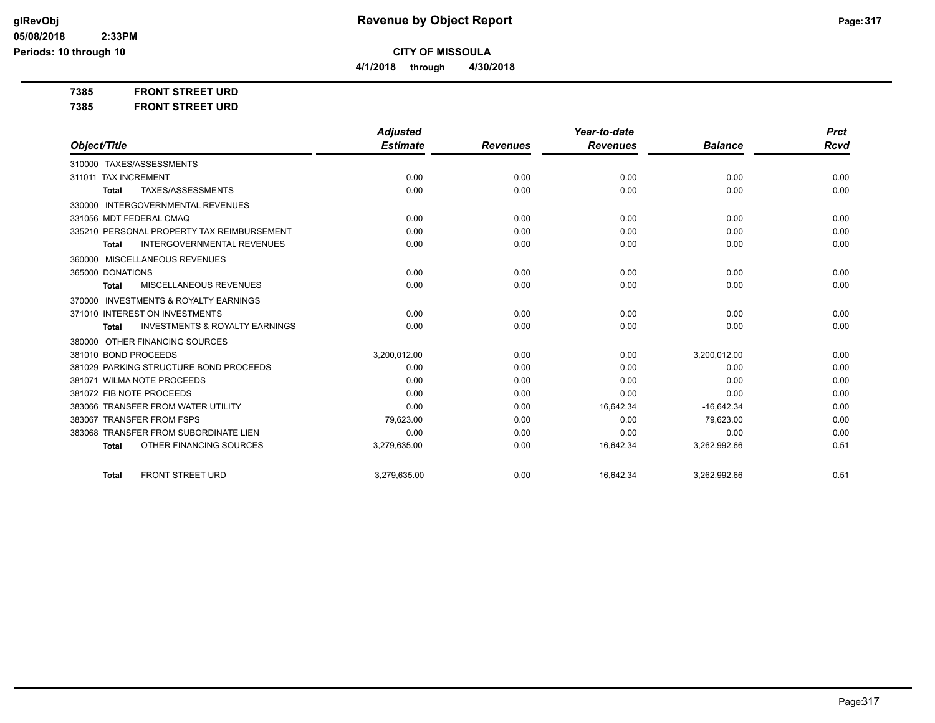**4/1/2018 through 4/30/2018**

**7385 FRONT STREET URD**

**7385 FRONT STREET URD**

|                                                    | <b>Adjusted</b> |                 | Year-to-date    |                | <b>Prct</b> |
|----------------------------------------------------|-----------------|-----------------|-----------------|----------------|-------------|
| Object/Title                                       | <b>Estimate</b> | <b>Revenues</b> | <b>Revenues</b> | <b>Balance</b> | <b>Rcvd</b> |
| 310000 TAXES/ASSESSMENTS                           |                 |                 |                 |                |             |
| 311011 TAX INCREMENT                               | 0.00            | 0.00            | 0.00            | 0.00           | 0.00        |
| TAXES/ASSESSMENTS<br><b>Total</b>                  | 0.00            | 0.00            | 0.00            | 0.00           | 0.00        |
| <b>INTERGOVERNMENTAL REVENUES</b><br>330000        |                 |                 |                 |                |             |
| 331056 MDT FEDERAL CMAQ                            | 0.00            | 0.00            | 0.00            | 0.00           | 0.00        |
| 335210 PERSONAL PROPERTY TAX REIMBURSEMENT         | 0.00            | 0.00            | 0.00            | 0.00           | 0.00        |
| <b>INTERGOVERNMENTAL REVENUES</b><br><b>Total</b>  | 0.00            | 0.00            | 0.00            | 0.00           | 0.00        |
| 360000 MISCELLANEOUS REVENUES                      |                 |                 |                 |                |             |
| 365000 DONATIONS                                   | 0.00            | 0.00            | 0.00            | 0.00           | 0.00        |
| MISCELLANEOUS REVENUES<br>Total                    | 0.00            | 0.00            | 0.00            | 0.00           | 0.00        |
| 370000 INVESTMENTS & ROYALTY EARNINGS              |                 |                 |                 |                |             |
| 371010 INTEREST ON INVESTMENTS                     | 0.00            | 0.00            | 0.00            | 0.00           | 0.00        |
| <b>INVESTMENTS &amp; ROYALTY EARNINGS</b><br>Total | 0.00            | 0.00            | 0.00            | 0.00           | 0.00        |
| 380000 OTHER FINANCING SOURCES                     |                 |                 |                 |                |             |
| 381010 BOND PROCEEDS                               | 3,200,012.00    | 0.00            | 0.00            | 3,200,012.00   | 0.00        |
| 381029 PARKING STRUCTURE BOND PROCEEDS             | 0.00            | 0.00            | 0.00            | 0.00           | 0.00        |
| 381071 WILMA NOTE PROCEEDS                         | 0.00            | 0.00            | 0.00            | 0.00           | 0.00        |
| 381072 FIB NOTE PROCEEDS                           | 0.00            | 0.00            | 0.00            | 0.00           | 0.00        |
| 383066 TRANSFER FROM WATER UTILITY                 | 0.00            | 0.00            | 16,642.34       | $-16,642.34$   | 0.00        |
| 383067 TRANSFER FROM FSPS                          | 79,623.00       | 0.00            | 0.00            | 79,623.00      | 0.00        |
| 383068 TRANSFER FROM SUBORDINATE LIEN              | 0.00            | 0.00            | 0.00            | 0.00           | 0.00        |
| OTHER FINANCING SOURCES<br><b>Total</b>            | 3,279,635.00    | 0.00            | 16,642.34       | 3,262,992.66   | 0.51        |
| <b>FRONT STREET URD</b><br><b>Total</b>            | 3,279,635.00    | 0.00            | 16,642.34       | 3,262,992.66   | 0.51        |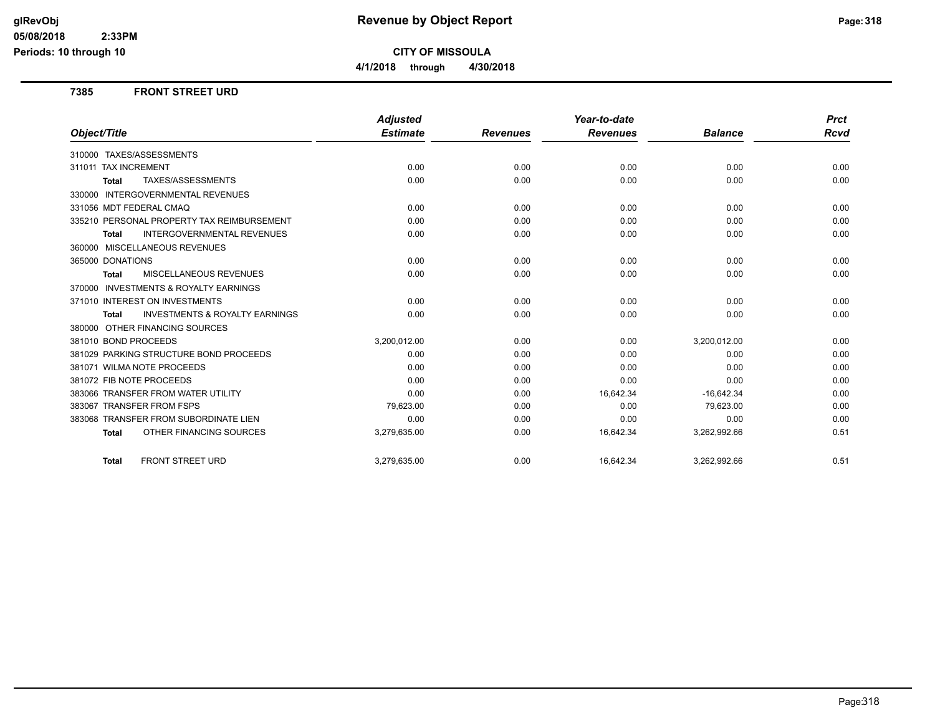**4/1/2018 through 4/30/2018**

#### **7385 FRONT STREET URD**

|                                                           | <b>Adjusted</b> |                 | Year-to-date    |                | <b>Prct</b> |
|-----------------------------------------------------------|-----------------|-----------------|-----------------|----------------|-------------|
| Object/Title                                              | <b>Estimate</b> | <b>Revenues</b> | <b>Revenues</b> | <b>Balance</b> | <b>Rcvd</b> |
| 310000 TAXES/ASSESSMENTS                                  |                 |                 |                 |                |             |
| 311011 TAX INCREMENT                                      | 0.00            | 0.00            | 0.00            | 0.00           | 0.00        |
| TAXES/ASSESSMENTS<br><b>Total</b>                         | 0.00            | 0.00            | 0.00            | 0.00           | 0.00        |
| 330000 INTERGOVERNMENTAL REVENUES                         |                 |                 |                 |                |             |
| 331056 MDT FEDERAL CMAQ                                   | 0.00            | 0.00            | 0.00            | 0.00           | 0.00        |
| 335210 PERSONAL PROPERTY TAX REIMBURSEMENT                | 0.00            | 0.00            | 0.00            | 0.00           | 0.00        |
| <b>INTERGOVERNMENTAL REVENUES</b><br><b>Total</b>         | 0.00            | 0.00            | 0.00            | 0.00           | 0.00        |
| 360000 MISCELLANEOUS REVENUES                             |                 |                 |                 |                |             |
| 365000 DONATIONS                                          | 0.00            | 0.00            | 0.00            | 0.00           | 0.00        |
| MISCELLANEOUS REVENUES<br><b>Total</b>                    | 0.00            | 0.00            | 0.00            | 0.00           | 0.00        |
| 370000 INVESTMENTS & ROYALTY EARNINGS                     |                 |                 |                 |                |             |
| 371010 INTEREST ON INVESTMENTS                            | 0.00            | 0.00            | 0.00            | 0.00           | 0.00        |
| <b>INVESTMENTS &amp; ROYALTY EARNINGS</b><br><b>Total</b> | 0.00            | 0.00            | 0.00            | 0.00           | 0.00        |
| 380000 OTHER FINANCING SOURCES                            |                 |                 |                 |                |             |
| 381010 BOND PROCEEDS                                      | 3,200,012.00    | 0.00            | 0.00            | 3,200,012.00   | 0.00        |
| 381029 PARKING STRUCTURE BOND PROCEEDS                    | 0.00            | 0.00            | 0.00            | 0.00           | 0.00        |
| 381071 WILMA NOTE PROCEEDS                                | 0.00            | 0.00            | 0.00            | 0.00           | 0.00        |
| 381072 FIB NOTE PROCEEDS                                  | 0.00            | 0.00            | 0.00            | 0.00           | 0.00        |
| 383066 TRANSFER FROM WATER UTILITY                        | 0.00            | 0.00            | 16,642.34       | $-16,642.34$   | 0.00        |
| 383067 TRANSFER FROM FSPS                                 | 79,623.00       | 0.00            | 0.00            | 79,623.00      | 0.00        |
| 383068 TRANSFER FROM SUBORDINATE LIEN                     | 0.00            | 0.00            | 0.00            | 0.00           | 0.00        |
| OTHER FINANCING SOURCES<br><b>Total</b>                   | 3,279,635.00    | 0.00            | 16,642.34       | 3,262,992.66   | 0.51        |
| <b>FRONT STREET URD</b><br><b>Total</b>                   | 3.279.635.00    | 0.00            | 16.642.34       | 3,262,992.66   | 0.51        |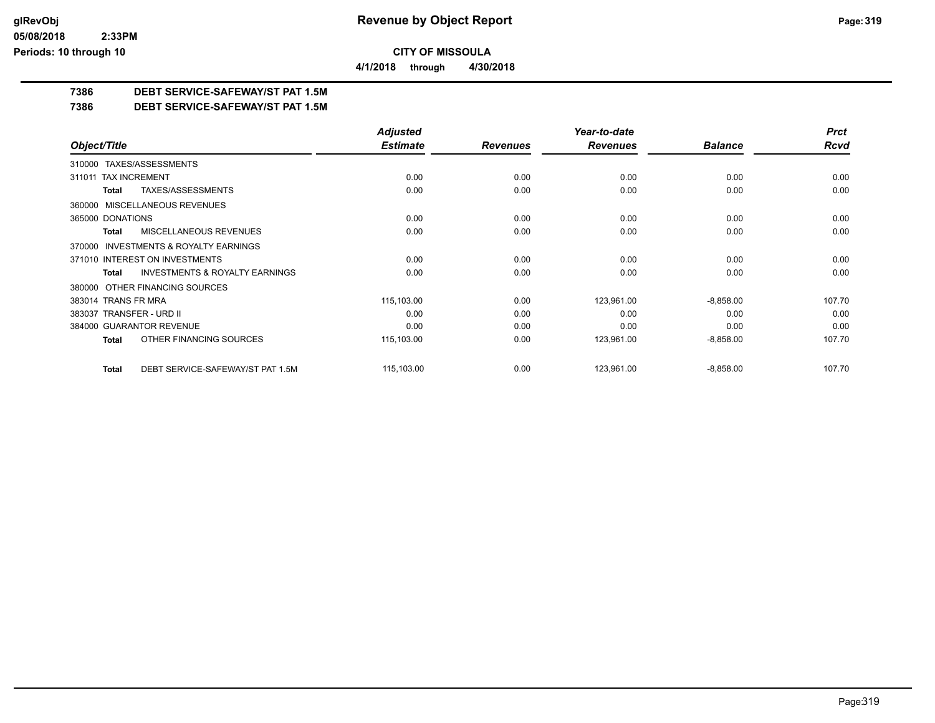**4/1/2018 through 4/30/2018**

## **7386 DEBT SERVICE-SAFEWAY/ST PAT 1.5M**

#### **7386 DEBT SERVICE-SAFEWAY/ST PAT 1.5M**

|                                                           | <b>Adjusted</b> |                 | Year-to-date    |                | <b>Prct</b> |
|-----------------------------------------------------------|-----------------|-----------------|-----------------|----------------|-------------|
| Object/Title                                              | <b>Estimate</b> | <b>Revenues</b> | <b>Revenues</b> | <b>Balance</b> | <b>Rcvd</b> |
| 310000 TAXES/ASSESSMENTS                                  |                 |                 |                 |                |             |
| <b>TAX INCREMENT</b><br>311011                            | 0.00            | 0.00            | 0.00            | 0.00           | 0.00        |
| TAXES/ASSESSMENTS<br>Total                                | 0.00            | 0.00            | 0.00            | 0.00           | 0.00        |
| 360000 MISCELLANEOUS REVENUES                             |                 |                 |                 |                |             |
| 365000 DONATIONS                                          | 0.00            | 0.00            | 0.00            | 0.00           | 0.00        |
| <b>MISCELLANEOUS REVENUES</b><br><b>Total</b>             | 0.00            | 0.00            | 0.00            | 0.00           | 0.00        |
| <b>INVESTMENTS &amp; ROYALTY EARNINGS</b><br>370000       |                 |                 |                 |                |             |
| 371010 INTEREST ON INVESTMENTS                            | 0.00            | 0.00            | 0.00            | 0.00           | 0.00        |
| <b>INVESTMENTS &amp; ROYALTY EARNINGS</b><br><b>Total</b> | 0.00            | 0.00            | 0.00            | 0.00           | 0.00        |
| 380000 OTHER FINANCING SOURCES                            |                 |                 |                 |                |             |
| 383014 TRANS FR MRA                                       | 115,103.00      | 0.00            | 123,961.00      | $-8,858.00$    | 107.70      |
| 383037 TRANSFER - URD II                                  | 0.00            | 0.00            | 0.00            | 0.00           | 0.00        |
| 384000 GUARANTOR REVENUE                                  | 0.00            | 0.00            | 0.00            | 0.00           | 0.00        |
| OTHER FINANCING SOURCES<br><b>Total</b>                   | 115,103.00      | 0.00            | 123,961.00      | $-8,858.00$    | 107.70      |
| DEBT SERVICE-SAFEWAY/ST PAT 1.5M<br><b>Total</b>          | 115,103.00      | 0.00            | 123,961.00      | $-8,858.00$    | 107.70      |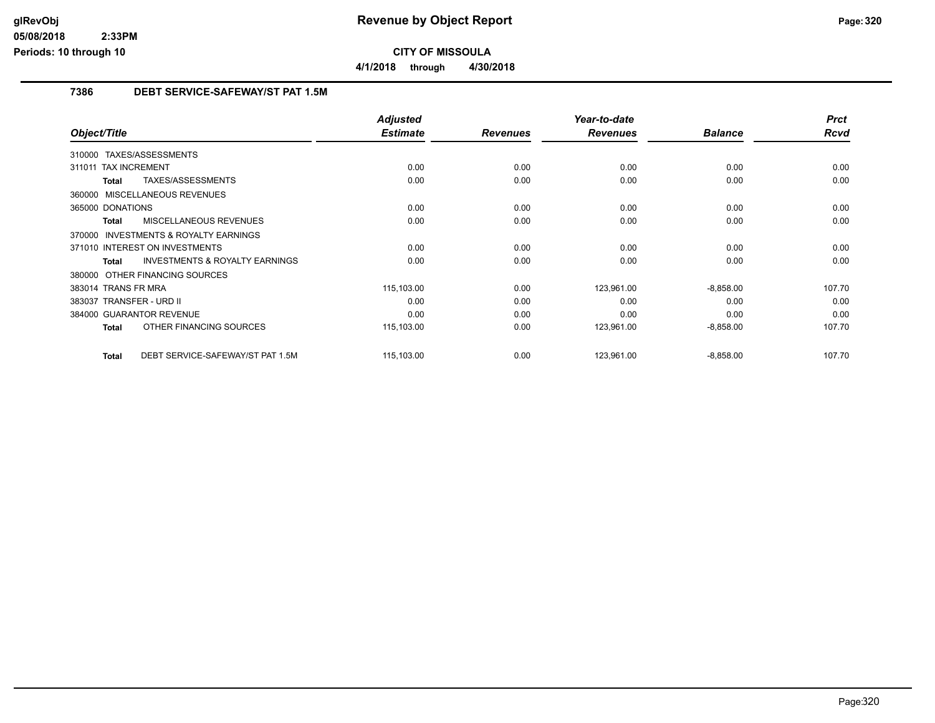**4/1/2018 through 4/30/2018**

### **7386 DEBT SERVICE-SAFEWAY/ST PAT 1.5M**

|                                                           | <b>Adjusted</b> |                 | Year-to-date    |                | <b>Prct</b> |
|-----------------------------------------------------------|-----------------|-----------------|-----------------|----------------|-------------|
| Object/Title                                              | <b>Estimate</b> | <b>Revenues</b> | <b>Revenues</b> | <b>Balance</b> | Rcvd        |
| TAXES/ASSESSMENTS<br>310000                               |                 |                 |                 |                |             |
| <b>TAX INCREMENT</b><br>311011                            | 0.00            | 0.00            | 0.00            | 0.00           | 0.00        |
| TAXES/ASSESSMENTS<br>Total                                | 0.00            | 0.00            | 0.00            | 0.00           | 0.00        |
| 360000 MISCELLANEOUS REVENUES                             |                 |                 |                 |                |             |
| 365000 DONATIONS                                          | 0.00            | 0.00            | 0.00            | 0.00           | 0.00        |
| <b>MISCELLANEOUS REVENUES</b><br><b>Total</b>             | 0.00            | 0.00            | 0.00            | 0.00           | 0.00        |
| <b>INVESTMENTS &amp; ROYALTY EARNINGS</b><br>370000       |                 |                 |                 |                |             |
| 371010 INTEREST ON INVESTMENTS                            | 0.00            | 0.00            | 0.00            | 0.00           | 0.00        |
| <b>INVESTMENTS &amp; ROYALTY EARNINGS</b><br><b>Total</b> | 0.00            | 0.00            | 0.00            | 0.00           | 0.00        |
| 380000 OTHER FINANCING SOURCES                            |                 |                 |                 |                |             |
| 383014 TRANS FR MRA                                       | 115,103.00      | 0.00            | 123,961.00      | $-8,858.00$    | 107.70      |
| 383037 TRANSFER - URD II                                  | 0.00            | 0.00            | 0.00            | 0.00           | 0.00        |
| 384000 GUARANTOR REVENUE                                  | 0.00            | 0.00            | 0.00            | 0.00           | 0.00        |
| OTHER FINANCING SOURCES<br>Total                          | 115,103.00      | 0.00            | 123,961.00      | $-8,858.00$    | 107.70      |
| DEBT SERVICE-SAFEWAY/ST PAT 1.5M<br><b>Total</b>          | 115,103.00      | 0.00            | 123,961.00      | $-8,858.00$    | 107.70      |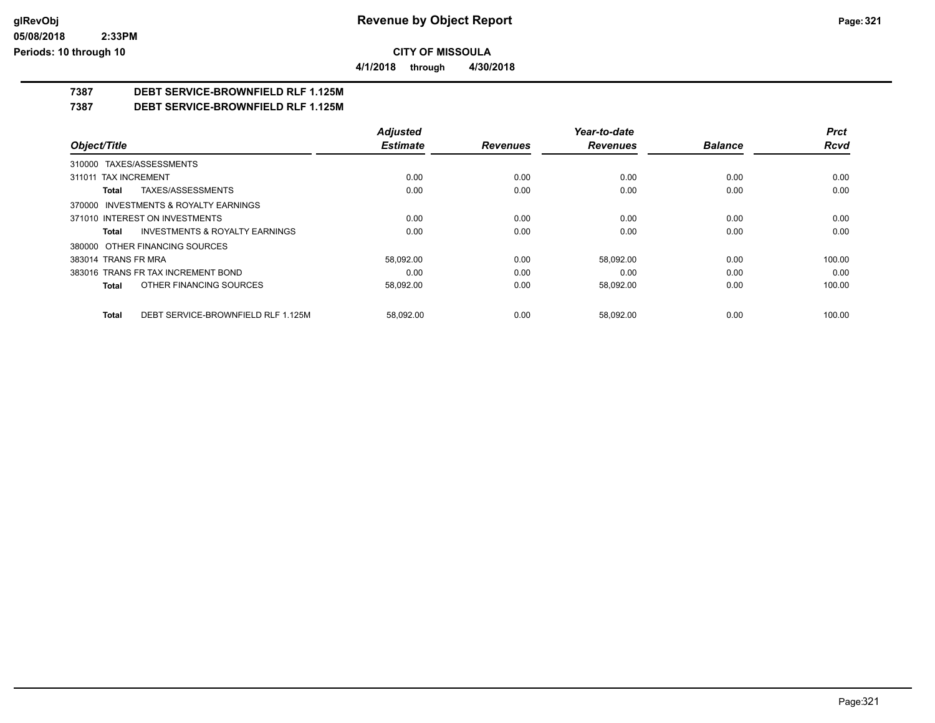**4/1/2018 through 4/30/2018**

# **7387 DEBT SERVICE-BROWNFIELD RLF 1.125M**

**7387 DEBT SERVICE-BROWNFIELD RLF 1.125M**

|                                                    | <b>Adjusted</b> |                 | Year-to-date    |                | <b>Prct</b> |
|----------------------------------------------------|-----------------|-----------------|-----------------|----------------|-------------|
| Object/Title                                       | <b>Estimate</b> | <b>Revenues</b> | <b>Revenues</b> | <b>Balance</b> | <b>Rcvd</b> |
| 310000 TAXES/ASSESSMENTS                           |                 |                 |                 |                |             |
| 311011 TAX INCREMENT                               | 0.00            | 0.00            | 0.00            | 0.00           | 0.00        |
| TAXES/ASSESSMENTS<br>Total                         | 0.00            | 0.00            | 0.00            | 0.00           | 0.00        |
| 370000 INVESTMENTS & ROYALTY EARNINGS              |                 |                 |                 |                |             |
| 371010 INTEREST ON INVESTMENTS                     | 0.00            | 0.00            | 0.00            | 0.00           | 0.00        |
| <b>INVESTMENTS &amp; ROYALTY EARNINGS</b><br>Total | 0.00            | 0.00            | 0.00            | 0.00           | 0.00        |
| 380000 OTHER FINANCING SOURCES                     |                 |                 |                 |                |             |
| 383014 TRANS FR MRA                                | 58,092.00       | 0.00            | 58,092.00       | 0.00           | 100.00      |
| 383016 TRANS FR TAX INCREMENT BOND                 | 0.00            | 0.00            | 0.00            | 0.00           | 0.00        |
| OTHER FINANCING SOURCES<br>Total                   | 58,092.00       | 0.00            | 58,092.00       | 0.00           | 100.00      |
| DEBT SERVICE-BROWNFIELD RLF 1.125M<br><b>Total</b> | 58.092.00       | 0.00            | 58.092.00       | 0.00           | 100.00      |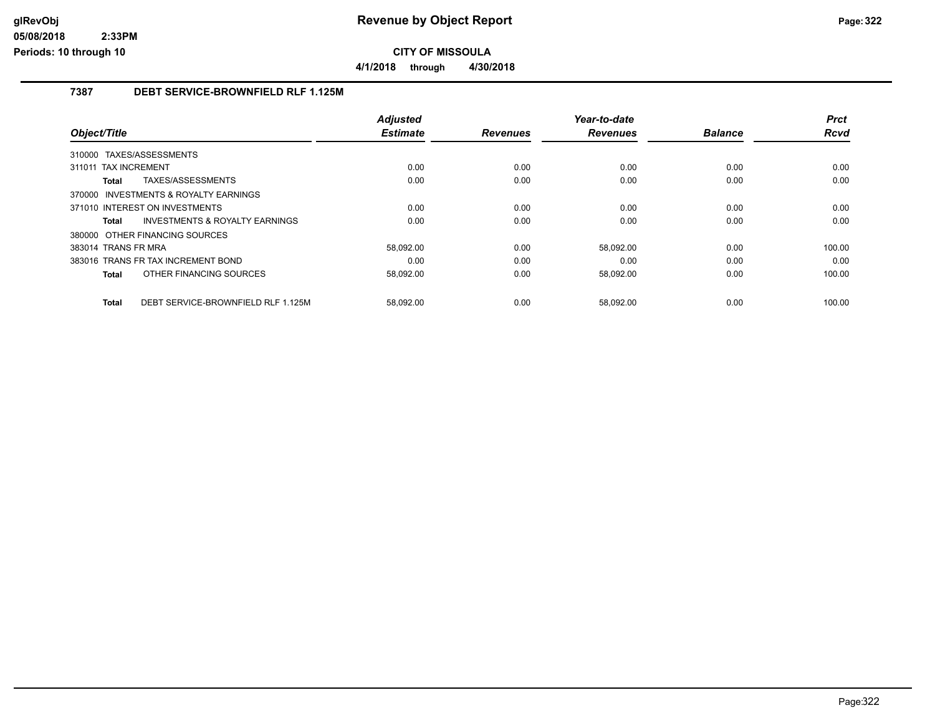**4/1/2018 through 4/30/2018**

### **7387 DEBT SERVICE-BROWNFIELD RLF 1.125M**

|                                                    | <b>Adjusted</b> |                 | Year-to-date    |                | <b>Prct</b> |
|----------------------------------------------------|-----------------|-----------------|-----------------|----------------|-------------|
| Object/Title                                       | <b>Estimate</b> | <b>Revenues</b> | <b>Revenues</b> | <b>Balance</b> | <b>Rcvd</b> |
| TAXES/ASSESSMENTS<br>310000                        |                 |                 |                 |                |             |
| 311011 TAX INCREMENT                               | 0.00            | 0.00            | 0.00            | 0.00           | 0.00        |
| TAXES/ASSESSMENTS<br>Total                         | 0.00            | 0.00            | 0.00            | 0.00           | 0.00        |
| 370000 INVESTMENTS & ROYALTY EARNINGS              |                 |                 |                 |                |             |
| 371010 INTEREST ON INVESTMENTS                     | 0.00            | 0.00            | 0.00            | 0.00           | 0.00        |
| <b>INVESTMENTS &amp; ROYALTY EARNINGS</b><br>Total | 0.00            | 0.00            | 0.00            | 0.00           | 0.00        |
| 380000 OTHER FINANCING SOURCES                     |                 |                 |                 |                |             |
| 383014 TRANS FR MRA                                | 58.092.00       | 0.00            | 58.092.00       | 0.00           | 100.00      |
| 383016 TRANS FR TAX INCREMENT BOND                 | 0.00            | 0.00            | 0.00            | 0.00           | 0.00        |
| OTHER FINANCING SOURCES<br><b>Total</b>            | 58,092.00       | 0.00            | 58,092.00       | 0.00           | 100.00      |
| DEBT SERVICE-BROWNFIELD RLF 1.125M<br><b>Total</b> | 58.092.00       | 0.00            | 58.092.00       | 0.00           | 100.00      |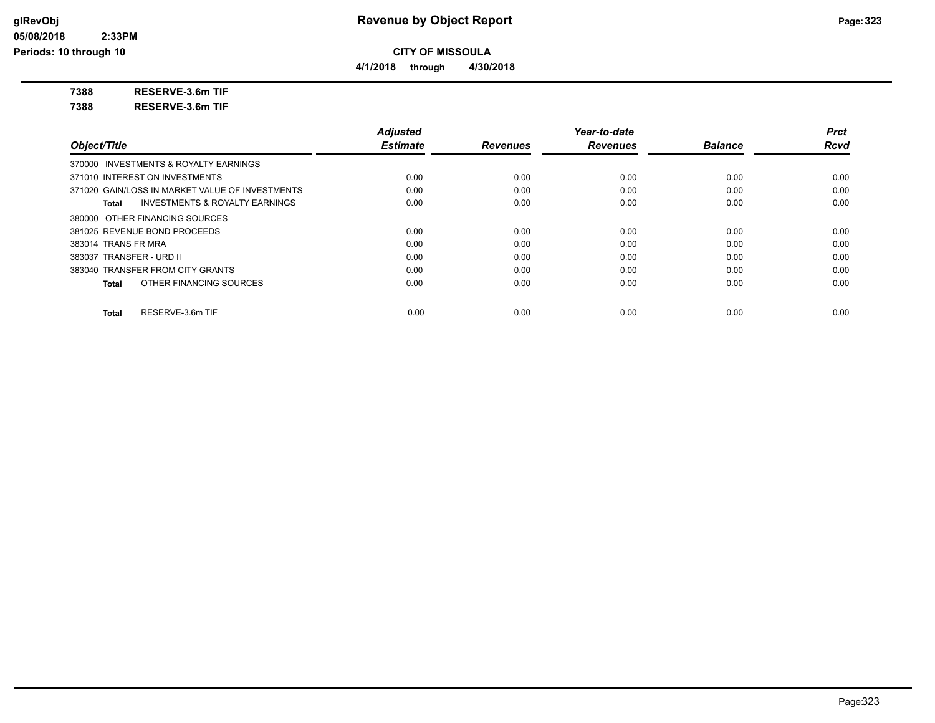**4/1/2018 through 4/30/2018**

**7388 RESERVE-3.6m TIF**

**7388 RESERVE-3.6m TIF**

|                                                    | <b>Adjusted</b> |                 | Year-to-date    |                | <b>Prct</b> |
|----------------------------------------------------|-----------------|-----------------|-----------------|----------------|-------------|
| Object/Title                                       | <b>Estimate</b> | <b>Revenues</b> | <b>Revenues</b> | <b>Balance</b> | <b>Rcvd</b> |
| 370000 INVESTMENTS & ROYALTY EARNINGS              |                 |                 |                 |                |             |
| 371010 INTEREST ON INVESTMENTS                     | 0.00            | 0.00            | 0.00            | 0.00           | 0.00        |
| 371020 GAIN/LOSS IN MARKET VALUE OF INVESTMENTS    | 0.00            | 0.00            | 0.00            | 0.00           | 0.00        |
| <b>INVESTMENTS &amp; ROYALTY EARNINGS</b><br>Total | 0.00            | 0.00            | 0.00            | 0.00           | 0.00        |
| 380000 OTHER FINANCING SOURCES                     |                 |                 |                 |                |             |
| 381025 REVENUE BOND PROCEEDS                       | 0.00            | 0.00            | 0.00            | 0.00           | 0.00        |
| 383014 TRANS FR MRA                                | 0.00            | 0.00            | 0.00            | 0.00           | 0.00        |
| 383037 TRANSFER - URD II                           | 0.00            | 0.00            | 0.00            | 0.00           | 0.00        |
| 383040 TRANSFER FROM CITY GRANTS                   | 0.00            | 0.00            | 0.00            | 0.00           | 0.00        |
| OTHER FINANCING SOURCES<br>Total                   | 0.00            | 0.00            | 0.00            | 0.00           | 0.00        |
|                                                    |                 |                 |                 |                |             |
| RESERVE-3.6m TIF<br>Total                          | 0.00            | 0.00            | 0.00            | 0.00           | 0.00        |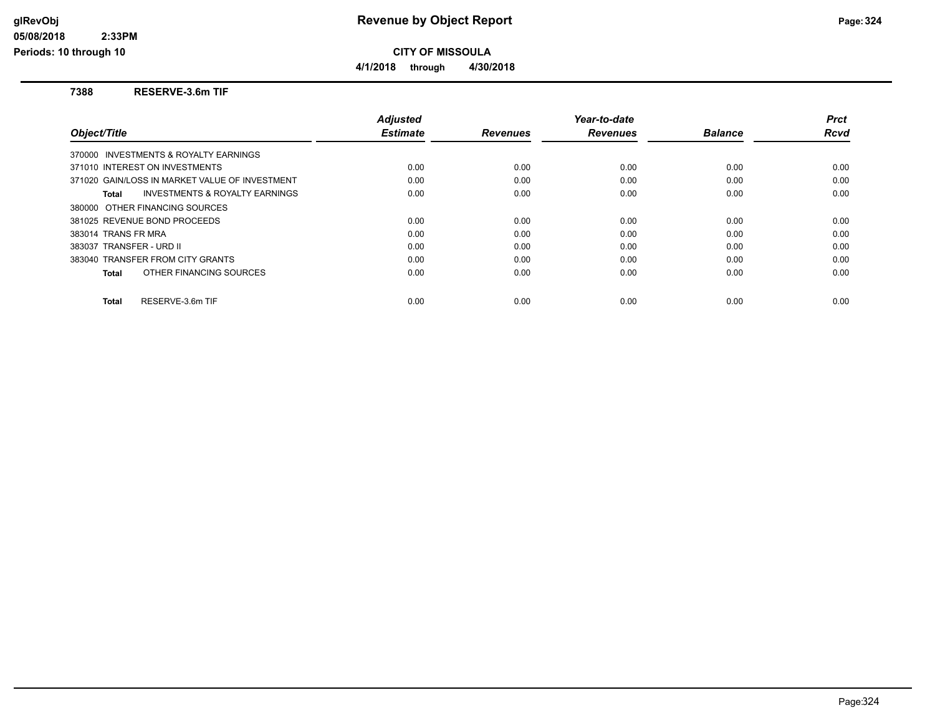**4/1/2018 through 4/30/2018**

#### **7388 RESERVE-3.6m TIF**

|                                                    | <b>Adjusted</b> |                 | Year-to-date    |                | <b>Prct</b> |
|----------------------------------------------------|-----------------|-----------------|-----------------|----------------|-------------|
| Object/Title                                       | <b>Estimate</b> | <b>Revenues</b> | <b>Revenues</b> | <b>Balance</b> | Rcvd        |
| 370000 INVESTMENTS & ROYALTY EARNINGS              |                 |                 |                 |                |             |
| 371010 INTEREST ON INVESTMENTS                     | 0.00            | 0.00            | 0.00            | 0.00           | 0.00        |
| 371020 GAIN/LOSS IN MARKET VALUE OF INVESTMENT     | 0.00            | 0.00            | 0.00            | 0.00           | 0.00        |
| <b>INVESTMENTS &amp; ROYALTY EARNINGS</b><br>Total | 0.00            | 0.00            | 0.00            | 0.00           | 0.00        |
| 380000 OTHER FINANCING SOURCES                     |                 |                 |                 |                |             |
| 381025 REVENUE BOND PROCEEDS                       | 0.00            | 0.00            | 0.00            | 0.00           | 0.00        |
| 383014 TRANS FR MRA                                | 0.00            | 0.00            | 0.00            | 0.00           | 0.00        |
| 383037 TRANSFER - URD II                           | 0.00            | 0.00            | 0.00            | 0.00           | 0.00        |
| 383040 TRANSFER FROM CITY GRANTS                   | 0.00            | 0.00            | 0.00            | 0.00           | 0.00        |
| OTHER FINANCING SOURCES<br>Total                   | 0.00            | 0.00            | 0.00            | 0.00           | 0.00        |
|                                                    |                 |                 |                 |                |             |
| RESERVE-3.6m TIF<br><b>Total</b>                   | 0.00            | 0.00            | 0.00            | 0.00           | 0.00        |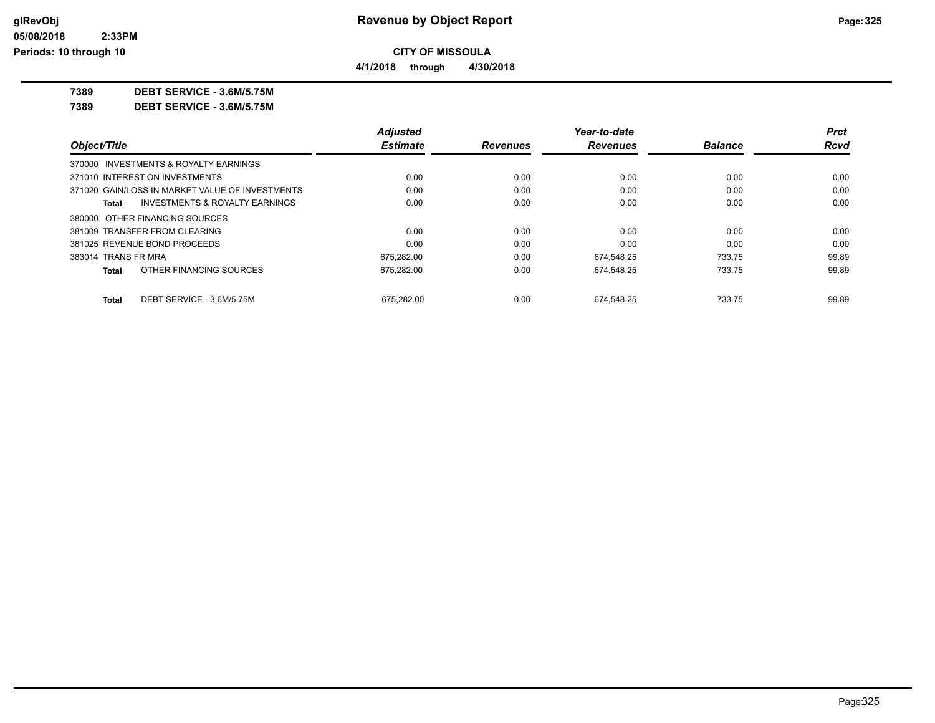**4/1/2018 through 4/30/2018**

**7389 DEBT SERVICE - 3.6M/5.75M**

**7389 DEBT SERVICE - 3.6M/5.75M**

|                                |                                                 | <b>Adjusted</b> |                 | Year-to-date    |                | Prct        |
|--------------------------------|-------------------------------------------------|-----------------|-----------------|-----------------|----------------|-------------|
| Object/Title                   |                                                 | <b>Estimate</b> | <b>Revenues</b> | <b>Revenues</b> | <b>Balance</b> | <b>Rcvd</b> |
|                                | 370000 INVESTMENTS & ROYALTY EARNINGS           |                 |                 |                 |                |             |
| 371010 INTEREST ON INVESTMENTS |                                                 | 0.00            | 0.00            | 0.00            | 0.00           | 0.00        |
|                                | 371020 GAIN/LOSS IN MARKET VALUE OF INVESTMENTS | 0.00            | 0.00            | 0.00            | 0.00           | 0.00        |
| <b>Total</b>                   | INVESTMENTS & ROYALTY EARNINGS                  | 0.00            | 0.00            | 0.00            | 0.00           | 0.00        |
| 380000 OTHER FINANCING SOURCES |                                                 |                 |                 |                 |                |             |
| 381009 TRANSFER FROM CLEARING  |                                                 | 0.00            | 0.00            | 0.00            | 0.00           | 0.00        |
| 381025 REVENUE BOND PROCEEDS   |                                                 | 0.00            | 0.00            | 0.00            | 0.00           | 0.00        |
| 383014 TRANS FR MRA            |                                                 | 675,282.00      | 0.00            | 674,548.25      | 733.75         | 99.89       |
| <b>Total</b>                   | OTHER FINANCING SOURCES                         | 675.282.00      | 0.00            | 674.548.25      | 733.75         | 99.89       |
| <b>Total</b>                   | DEBT SERVICE - 3.6M/5.75M                       | 675.282.00      | 0.00            | 674.548.25      | 733.75         | 99.89       |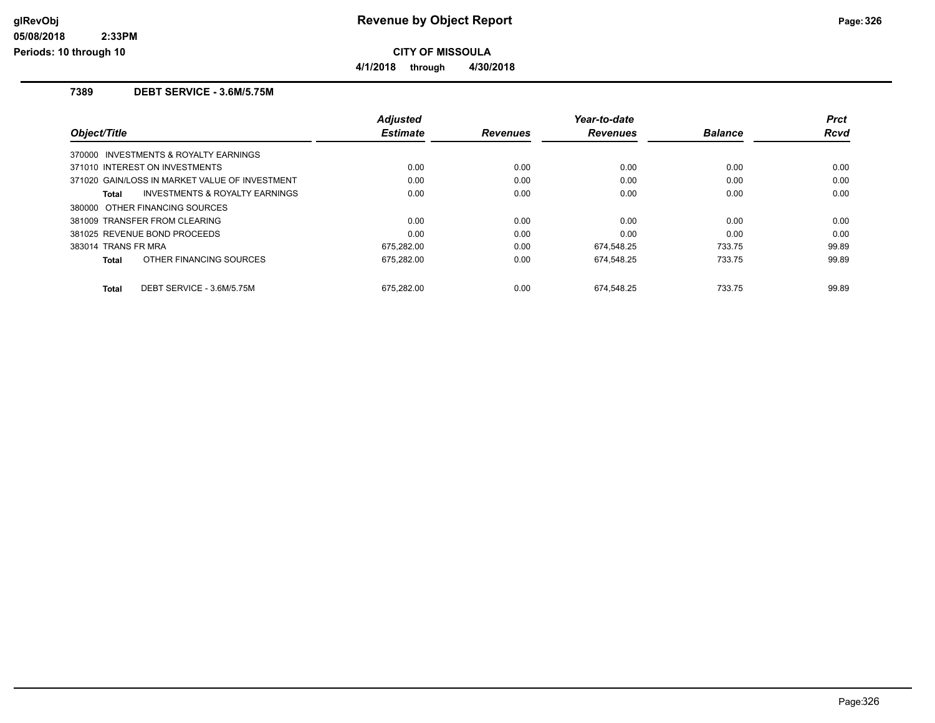**Periods: 10 through 10**

**CITY OF MISSOULA**

**4/1/2018 through 4/30/2018**

#### **7389 DEBT SERVICE - 3.6M/5.75M**

| Object/Title                                              | <b>Adjusted</b><br><b>Estimate</b> | <b>Revenues</b> | Year-to-date<br><b>Revenues</b> | <b>Balance</b> | <b>Prct</b><br><b>Rcvd</b> |
|-----------------------------------------------------------|------------------------------------|-----------------|---------------------------------|----------------|----------------------------|
| 370000 INVESTMENTS & ROYALTY EARNINGS                     |                                    |                 |                                 |                |                            |
| 371010 INTEREST ON INVESTMENTS                            | 0.00                               | 0.00            | 0.00                            | 0.00           | 0.00                       |
| 371020 GAIN/LOSS IN MARKET VALUE OF INVESTMENT            | 0.00                               | 0.00            | 0.00                            | 0.00           | 0.00                       |
| <b>INVESTMENTS &amp; ROYALTY EARNINGS</b><br><b>Total</b> | 0.00                               | 0.00            | 0.00                            | 0.00           | 0.00                       |
| 380000 OTHER FINANCING SOURCES                            |                                    |                 |                                 |                |                            |
| 381009 TRANSFER FROM CLEARING                             | 0.00                               | 0.00            | 0.00                            | 0.00           | 0.00                       |
| 381025 REVENUE BOND PROCEEDS                              | 0.00                               | 0.00            | 0.00                            | 0.00           | 0.00                       |
| 383014 TRANS FR MRA                                       | 675,282.00                         | 0.00            | 674.548.25                      | 733.75         | 99.89                      |
| OTHER FINANCING SOURCES<br><b>Total</b>                   | 675.282.00                         | 0.00            | 674.548.25                      | 733.75         | 99.89                      |
| DEBT SERVICE - 3.6M/5.75M<br><b>Total</b>                 | 675.282.00                         | 0.00            | 674.548.25                      | 733.75         | 99.89                      |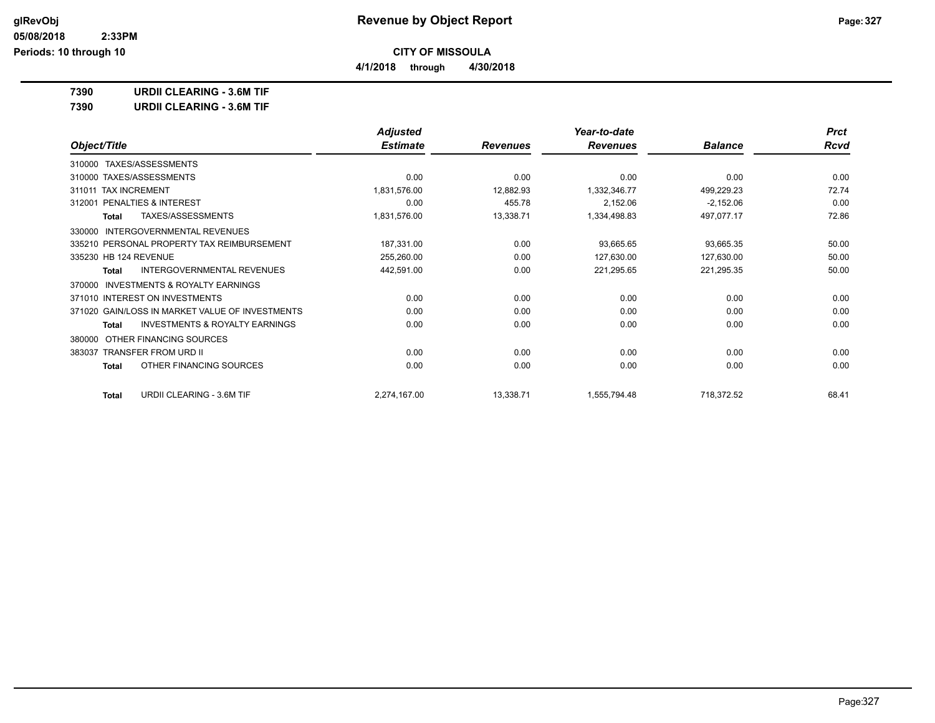**4/1/2018 through 4/30/2018**

**7390 URDII CLEARING - 3.6M TIF**

**7390 URDII CLEARING - 3.6M TIF**

|                                                           | <b>Adjusted</b> |                 | Year-to-date    |                | <b>Prct</b> |
|-----------------------------------------------------------|-----------------|-----------------|-----------------|----------------|-------------|
| Object/Title                                              | <b>Estimate</b> | <b>Revenues</b> | <b>Revenues</b> | <b>Balance</b> | <b>Rcvd</b> |
| TAXES/ASSESSMENTS<br>310000                               |                 |                 |                 |                |             |
| 310000 TAXES/ASSESSMENTS                                  | 0.00            | 0.00            | 0.00            | 0.00           | 0.00        |
| 311011 TAX INCREMENT                                      | 1,831,576.00    | 12,882.93       | 1,332,346.77    | 499,229.23     | 72.74       |
| PENALTIES & INTEREST<br>312001                            | 0.00            | 455.78          | 2,152.06        | $-2,152.06$    | 0.00        |
| TAXES/ASSESSMENTS<br><b>Total</b>                         | 1,831,576.00    | 13,338.71       | 1,334,498.83    | 497,077.17     | 72.86       |
| <b>INTERGOVERNMENTAL REVENUES</b><br>330000               |                 |                 |                 |                |             |
| 335210 PERSONAL PROPERTY TAX REIMBURSEMENT                | 187,331.00      | 0.00            | 93,665.65       | 93,665.35      | 50.00       |
| 335230 HB 124 REVENUE                                     | 255,260.00      | 0.00            | 127,630.00      | 127,630.00     | 50.00       |
| <b>INTERGOVERNMENTAL REVENUES</b><br>Total                | 442,591.00      | 0.00            | 221,295.65      | 221,295.35     | 50.00       |
| <b>INVESTMENTS &amp; ROYALTY EARNINGS</b><br>370000       |                 |                 |                 |                |             |
| 371010 INTEREST ON INVESTMENTS                            | 0.00            | 0.00            | 0.00            | 0.00           | 0.00        |
| 371020 GAIN/LOSS IN MARKET VALUE OF INVESTMENTS           | 0.00            | 0.00            | 0.00            | 0.00           | 0.00        |
| <b>INVESTMENTS &amp; ROYALTY EARNINGS</b><br><b>Total</b> | 0.00            | 0.00            | 0.00            | 0.00           | 0.00        |
| OTHER FINANCING SOURCES<br>380000                         |                 |                 |                 |                |             |
| 383037 TRANSFER FROM URD II                               | 0.00            | 0.00            | 0.00            | 0.00           | 0.00        |
| OTHER FINANCING SOURCES<br>Total                          | 0.00            | 0.00            | 0.00            | 0.00           | 0.00        |
| <b>URDII CLEARING - 3.6M TIF</b><br><b>Total</b>          | 2,274,167.00    | 13,338.71       | 1,555,794.48    | 718,372.52     | 68.41       |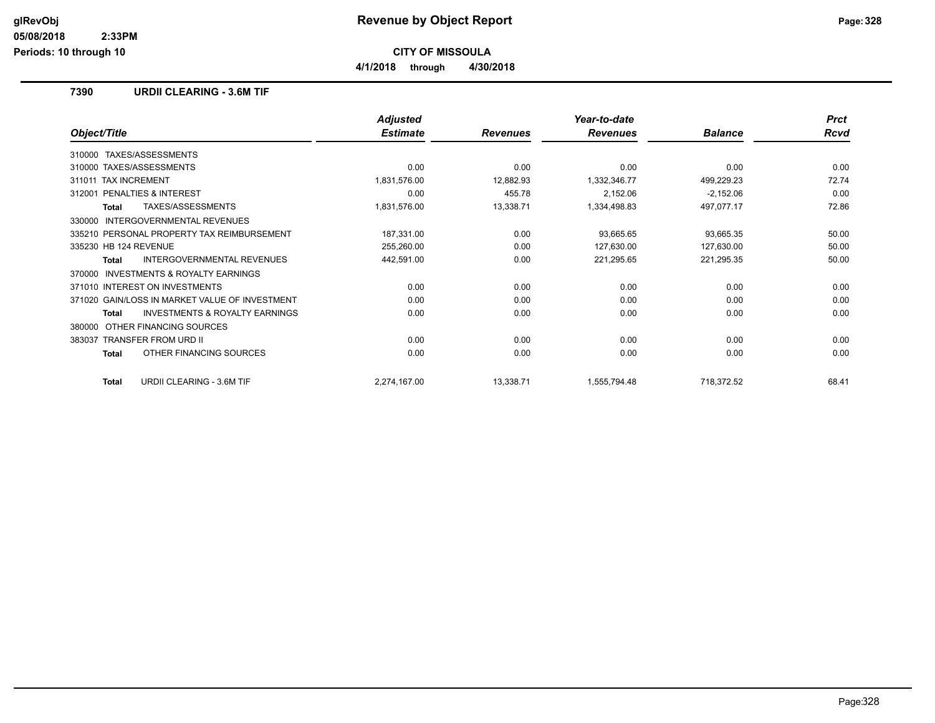**4/1/2018 through 4/30/2018**

#### **7390 URDII CLEARING - 3.6M TIF**

|                                                           | <b>Adjusted</b> |                 | Year-to-date    |                | <b>Prct</b> |
|-----------------------------------------------------------|-----------------|-----------------|-----------------|----------------|-------------|
| Object/Title                                              | <b>Estimate</b> | <b>Revenues</b> | <b>Revenues</b> | <b>Balance</b> | <b>Rcvd</b> |
| TAXES/ASSESSMENTS<br>310000                               |                 |                 |                 |                |             |
| 310000 TAXES/ASSESSMENTS                                  | 0.00            | 0.00            | 0.00            | 0.00           | 0.00        |
| 311011 TAX INCREMENT                                      | 1,831,576.00    | 12,882.93       | 1,332,346.77    | 499,229.23     | 72.74       |
| PENALTIES & INTEREST<br>312001                            | 0.00            | 455.78          | 2,152.06        | $-2,152.06$    | 0.00        |
| TAXES/ASSESSMENTS<br><b>Total</b>                         | 1,831,576.00    | 13,338.71       | 1,334,498.83    | 497,077.17     | 72.86       |
| INTERGOVERNMENTAL REVENUES<br>330000                      |                 |                 |                 |                |             |
| 335210 PERSONAL PROPERTY TAX REIMBURSEMENT                | 187,331.00      | 0.00            | 93,665.65       | 93,665.35      | 50.00       |
| 335230 HB 124 REVENUE                                     | 255,260.00      | 0.00            | 127,630.00      | 127,630.00     | 50.00       |
| <b>INTERGOVERNMENTAL REVENUES</b><br><b>Total</b>         | 442,591.00      | 0.00            | 221,295.65      | 221,295.35     | 50.00       |
| <b>INVESTMENTS &amp; ROYALTY EARNINGS</b><br>370000       |                 |                 |                 |                |             |
| 371010 INTEREST ON INVESTMENTS                            | 0.00            | 0.00            | 0.00            | 0.00           | 0.00        |
| 371020 GAIN/LOSS IN MARKET VALUE OF INVESTMENT            | 0.00            | 0.00            | 0.00            | 0.00           | 0.00        |
| <b>INVESTMENTS &amp; ROYALTY EARNINGS</b><br><b>Total</b> | 0.00            | 0.00            | 0.00            | 0.00           | 0.00        |
| OTHER FINANCING SOURCES<br>380000                         |                 |                 |                 |                |             |
| 383037 TRANSFER FROM URD II                               | 0.00            | 0.00            | 0.00            | 0.00           | 0.00        |
| OTHER FINANCING SOURCES<br><b>Total</b>                   | 0.00            | 0.00            | 0.00            | 0.00           | 0.00        |
| <b>URDII CLEARING - 3.6M TIF</b><br>Total                 | 2,274,167.00    | 13,338.71       | 1,555,794.48    | 718,372.52     | 68.41       |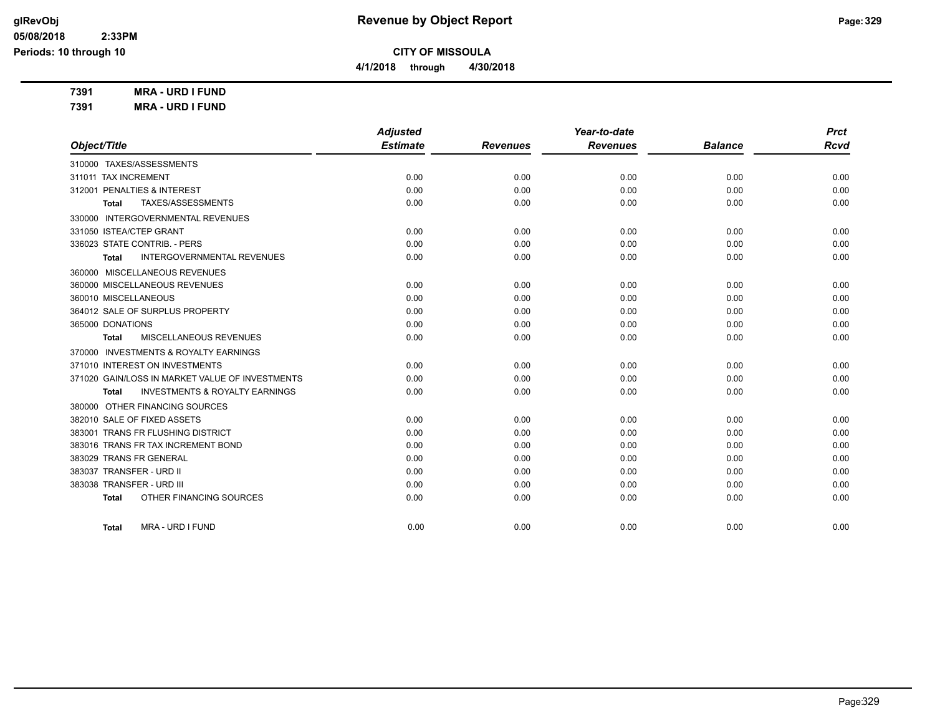**4/1/2018 through 4/30/2018**

**7391 MRA - URD I FUND**

**7391 MRA - URD I FUND**

|                                                    | <b>Adjusted</b> |                 | Year-to-date    |                | <b>Prct</b> |
|----------------------------------------------------|-----------------|-----------------|-----------------|----------------|-------------|
| Object/Title                                       | <b>Estimate</b> | <b>Revenues</b> | <b>Revenues</b> | <b>Balance</b> | <b>Rcvd</b> |
| 310000 TAXES/ASSESSMENTS                           |                 |                 |                 |                |             |
| 311011 TAX INCREMENT                               | 0.00            | 0.00            | 0.00            | 0.00           | 0.00        |
| 312001 PENALTIES & INTEREST                        | 0.00            | 0.00            | 0.00            | 0.00           | 0.00        |
| TAXES/ASSESSMENTS<br>Total                         | 0.00            | 0.00            | 0.00            | 0.00           | 0.00        |
| 330000 INTERGOVERNMENTAL REVENUES                  |                 |                 |                 |                |             |
| 331050 ISTEA/CTEP GRANT                            | 0.00            | 0.00            | 0.00            | 0.00           | 0.00        |
| 336023 STATE CONTRIB. - PERS                       | 0.00            | 0.00            | 0.00            | 0.00           | 0.00        |
| <b>INTERGOVERNMENTAL REVENUES</b><br><b>Total</b>  | 0.00            | 0.00            | 0.00            | 0.00           | 0.00        |
| 360000 MISCELLANEOUS REVENUES                      |                 |                 |                 |                |             |
| 360000 MISCELLANEOUS REVENUES                      | 0.00            | 0.00            | 0.00            | 0.00           | 0.00        |
| 360010 MISCELLANEOUS                               | 0.00            | 0.00            | 0.00            | 0.00           | 0.00        |
| 364012 SALE OF SURPLUS PROPERTY                    | 0.00            | 0.00            | 0.00            | 0.00           | 0.00        |
| 365000 DONATIONS                                   | 0.00            | 0.00            | 0.00            | 0.00           | 0.00        |
| MISCELLANEOUS REVENUES<br>Total                    | 0.00            | 0.00            | 0.00            | 0.00           | 0.00        |
| 370000 INVESTMENTS & ROYALTY EARNINGS              |                 |                 |                 |                |             |
| 371010 INTEREST ON INVESTMENTS                     | 0.00            | 0.00            | 0.00            | 0.00           | 0.00        |
| 371020 GAIN/LOSS IN MARKET VALUE OF INVESTMENTS    | 0.00            | 0.00            | 0.00            | 0.00           | 0.00        |
| <b>INVESTMENTS &amp; ROYALTY EARNINGS</b><br>Total | 0.00            | 0.00            | 0.00            | 0.00           | 0.00        |
| 380000 OTHER FINANCING SOURCES                     |                 |                 |                 |                |             |
| 382010 SALE OF FIXED ASSETS                        | 0.00            | 0.00            | 0.00            | 0.00           | 0.00        |
| 383001 TRANS FR FLUSHING DISTRICT                  | 0.00            | 0.00            | 0.00            | 0.00           | 0.00        |
| 383016 TRANS FR TAX INCREMENT BOND                 | 0.00            | 0.00            | 0.00            | 0.00           | 0.00        |
| 383029 TRANS FR GENERAL                            | 0.00            | 0.00            | 0.00            | 0.00           | 0.00        |
| 383037 TRANSFER - URD II                           | 0.00            | 0.00            | 0.00            | 0.00           | 0.00        |
| 383038 TRANSFER - URD III                          | 0.00            | 0.00            | 0.00            | 0.00           | 0.00        |
| OTHER FINANCING SOURCES<br><b>Total</b>            | 0.00            | 0.00            | 0.00            | 0.00           | 0.00        |
| MRA - URD I FUND<br><b>Total</b>                   | 0.00            | 0.00            | 0.00            | 0.00           | 0.00        |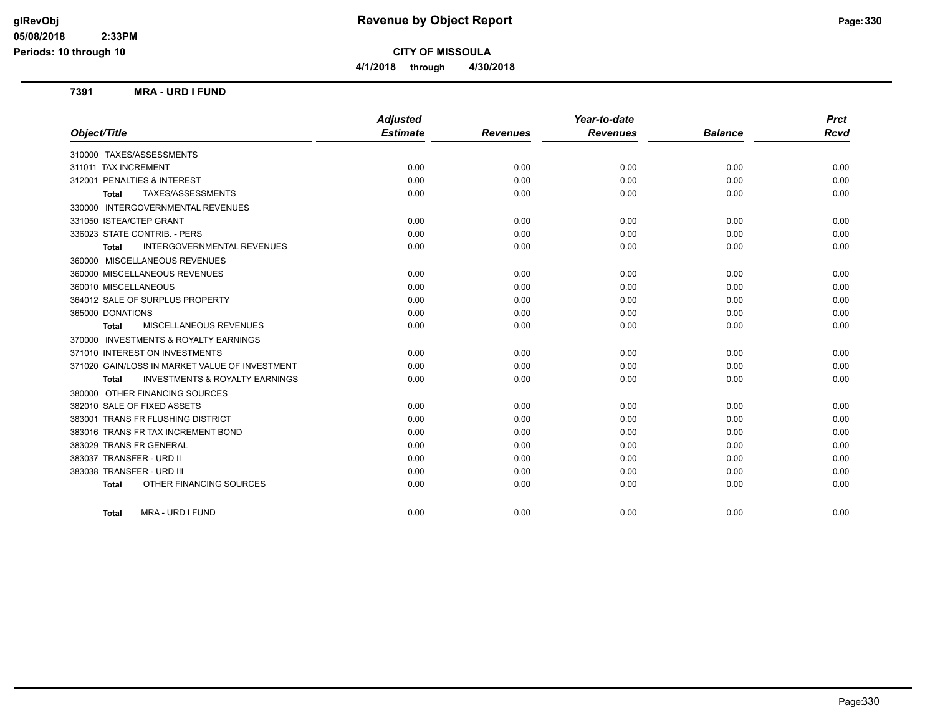**glRevObj Revenue by Object Report Page:330** 

**05/08/2018 2:33PM Periods: 10 through 10**

**CITY OF MISSOULA**

**4/1/2018 through 4/30/2018**

#### **7391 MRA - URD I FUND**

|                                                    | <b>Adjusted</b> |                 | Year-to-date    |                | <b>Prct</b> |
|----------------------------------------------------|-----------------|-----------------|-----------------|----------------|-------------|
| Object/Title                                       | <b>Estimate</b> | <b>Revenues</b> | <b>Revenues</b> | <b>Balance</b> | <b>Rcvd</b> |
| 310000 TAXES/ASSESSMENTS                           |                 |                 |                 |                |             |
| 311011 TAX INCREMENT                               | 0.00            | 0.00            | 0.00            | 0.00           | 0.00        |
| 312001 PENALTIES & INTEREST                        | 0.00            | 0.00            | 0.00            | 0.00           | 0.00        |
| TAXES/ASSESSMENTS<br><b>Total</b>                  | 0.00            | 0.00            | 0.00            | 0.00           | 0.00        |
| 330000 INTERGOVERNMENTAL REVENUES                  |                 |                 |                 |                |             |
| 331050 ISTEA/CTEP GRANT                            | 0.00            | 0.00            | 0.00            | 0.00           | 0.00        |
| 336023 STATE CONTRIB. - PERS                       | 0.00            | 0.00            | 0.00            | 0.00           | 0.00        |
| <b>INTERGOVERNMENTAL REVENUES</b><br><b>Total</b>  | 0.00            | 0.00            | 0.00            | 0.00           | 0.00        |
| 360000 MISCELLANEOUS REVENUES                      |                 |                 |                 |                |             |
| 360000 MISCELLANEOUS REVENUES                      | 0.00            | 0.00            | 0.00            | 0.00           | 0.00        |
| 360010 MISCELLANEOUS                               | 0.00            | 0.00            | 0.00            | 0.00           | 0.00        |
| 364012 SALE OF SURPLUS PROPERTY                    | 0.00            | 0.00            | 0.00            | 0.00           | 0.00        |
| 365000 DONATIONS                                   | 0.00            | 0.00            | 0.00            | 0.00           | 0.00        |
| MISCELLANEOUS REVENUES<br><b>Total</b>             | 0.00            | 0.00            | 0.00            | 0.00           | 0.00        |
| 370000 INVESTMENTS & ROYALTY EARNINGS              |                 |                 |                 |                |             |
| 371010 INTEREST ON INVESTMENTS                     | 0.00            | 0.00            | 0.00            | 0.00           | 0.00        |
| 371020 GAIN/LOSS IN MARKET VALUE OF INVESTMENT     | 0.00            | 0.00            | 0.00            | 0.00           | 0.00        |
| <b>INVESTMENTS &amp; ROYALTY EARNINGS</b><br>Total | 0.00            | 0.00            | 0.00            | 0.00           | 0.00        |
| 380000 OTHER FINANCING SOURCES                     |                 |                 |                 |                |             |
| 382010 SALE OF FIXED ASSETS                        | 0.00            | 0.00            | 0.00            | 0.00           | 0.00        |
| 383001 TRANS FR FLUSHING DISTRICT                  | 0.00            | 0.00            | 0.00            | 0.00           | 0.00        |
| 383016 TRANS FR TAX INCREMENT BOND                 | 0.00            | 0.00            | 0.00            | 0.00           | 0.00        |
| 383029 TRANS FR GENERAL                            | 0.00            | 0.00            | 0.00            | 0.00           | 0.00        |
| 383037 TRANSFER - URD II                           | 0.00            | 0.00            | 0.00            | 0.00           | 0.00        |
| 383038 TRANSFER - URD III                          | 0.00            | 0.00            | 0.00            | 0.00           | 0.00        |
| OTHER FINANCING SOURCES<br><b>Total</b>            | 0.00            | 0.00            | 0.00            | 0.00           | 0.00        |
| MRA - URD I FUND<br>Total                          | 0.00            | 0.00            | 0.00            | 0.00           | 0.00        |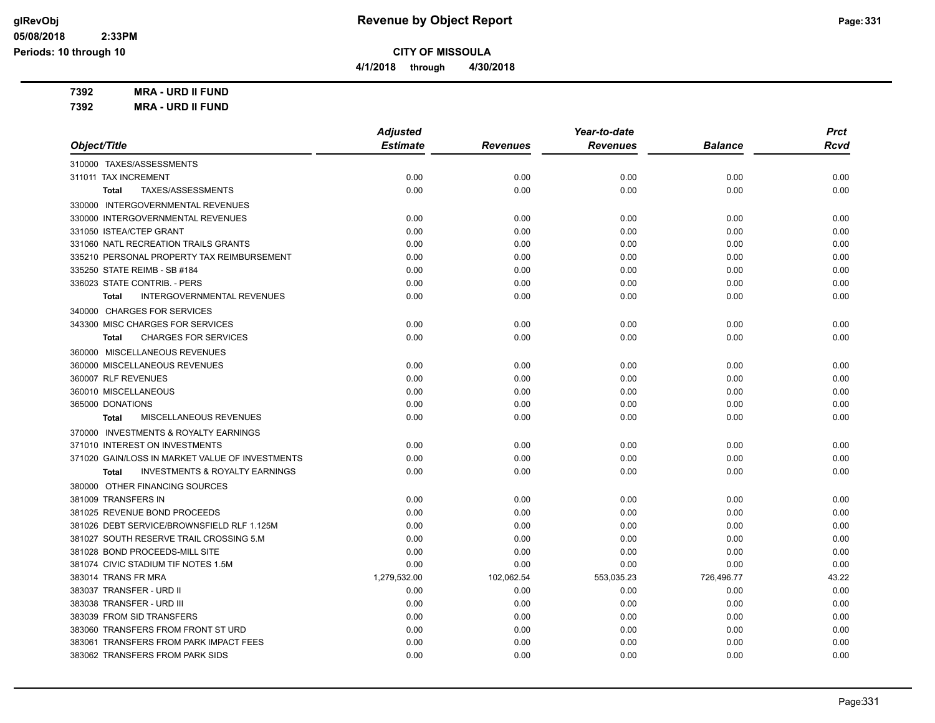**4/1/2018 through 4/30/2018**

**7392 MRA - URD II FUND**

**7392 MRA - URD II FUND**

|                                                           | <b>Adjusted</b> |                 | Year-to-date    |                | <b>Prct</b> |
|-----------------------------------------------------------|-----------------|-----------------|-----------------|----------------|-------------|
| Object/Title                                              | <b>Estimate</b> | <b>Revenues</b> | <b>Revenues</b> | <b>Balance</b> | Rcvd        |
| 310000 TAXES/ASSESSMENTS                                  |                 |                 |                 |                |             |
| 311011 TAX INCREMENT                                      | 0.00            | 0.00            | 0.00            | 0.00           | 0.00        |
| TAXES/ASSESSMENTS<br><b>Total</b>                         | 0.00            | 0.00            | 0.00            | 0.00           | 0.00        |
| 330000 INTERGOVERNMENTAL REVENUES                         |                 |                 |                 |                |             |
| 330000 INTERGOVERNMENTAL REVENUES                         | 0.00            | 0.00            | 0.00            | 0.00           | 0.00        |
| 331050 ISTEA/CTEP GRANT                                   | 0.00            | 0.00            | 0.00            | 0.00           | 0.00        |
| 331060 NATL RECREATION TRAILS GRANTS                      | 0.00            | 0.00            | 0.00            | 0.00           | 0.00        |
| 335210 PERSONAL PROPERTY TAX REIMBURSEMENT                | 0.00            | 0.00            | 0.00            | 0.00           | 0.00        |
| 335250 STATE REIMB - SB #184                              | 0.00            | 0.00            | 0.00            | 0.00           | 0.00        |
| 336023 STATE CONTRIB. - PERS                              | 0.00            | 0.00            | 0.00            | 0.00           | 0.00        |
| <b>INTERGOVERNMENTAL REVENUES</b><br><b>Total</b>         | 0.00            | 0.00            | 0.00            | 0.00           | 0.00        |
| 340000 CHARGES FOR SERVICES                               |                 |                 |                 |                |             |
| 343300 MISC CHARGES FOR SERVICES                          | 0.00            | 0.00            | 0.00            | 0.00           | 0.00        |
| <b>CHARGES FOR SERVICES</b><br>Total                      | 0.00            | 0.00            | 0.00            | 0.00           | 0.00        |
| 360000 MISCELLANEOUS REVENUES                             |                 |                 |                 |                |             |
| 360000 MISCELLANEOUS REVENUES                             | 0.00            | 0.00            | 0.00            | 0.00           | 0.00        |
| 360007 RLF REVENUES                                       | 0.00            | 0.00            | 0.00            | 0.00           | 0.00        |
| 360010 MISCELLANEOUS                                      | 0.00            | 0.00            | 0.00            | 0.00           | 0.00        |
| 365000 DONATIONS                                          | 0.00            | 0.00            | 0.00            | 0.00           | 0.00        |
| MISCELLANEOUS REVENUES<br><b>Total</b>                    | 0.00            | 0.00            | 0.00            | 0.00           | 0.00        |
| 370000 INVESTMENTS & ROYALTY EARNINGS                     |                 |                 |                 |                |             |
| 371010 INTEREST ON INVESTMENTS                            | 0.00            | 0.00            | 0.00            | 0.00           | 0.00        |
| 371020 GAIN/LOSS IN MARKET VALUE OF INVESTMENTS           | 0.00            | 0.00            | 0.00            | 0.00           | 0.00        |
| <b>INVESTMENTS &amp; ROYALTY EARNINGS</b><br><b>Total</b> | 0.00            | 0.00            | 0.00            | 0.00           | 0.00        |
| 380000 OTHER FINANCING SOURCES                            |                 |                 |                 |                |             |
| 381009 TRANSFERS IN                                       | 0.00            | 0.00            | 0.00            | 0.00           | 0.00        |
| 381025 REVENUE BOND PROCEEDS                              | 0.00            | 0.00            | 0.00            | 0.00           | 0.00        |
| 381026 DEBT SERVICE/BROWNSFIELD RLF 1.125M                | 0.00            | 0.00            | 0.00            | 0.00           | 0.00        |
| 381027 SOUTH RESERVE TRAIL CROSSING 5.M                   | 0.00            | 0.00            | 0.00            | 0.00           | 0.00        |
| 381028 BOND PROCEEDS-MILL SITE                            | 0.00            | 0.00            | 0.00            | 0.00           | 0.00        |
| 381074 CIVIC STADIUM TIF NOTES 1.5M                       | 0.00            | 0.00            | 0.00            | 0.00           | 0.00        |
| 383014 TRANS FR MRA                                       | 1,279,532.00    | 102,062.54      | 553,035.23      | 726,496.77     | 43.22       |
| 383037 TRANSFER - URD II                                  | 0.00            | 0.00            | 0.00            | 0.00           | 0.00        |
| 383038 TRANSFER - URD III                                 | 0.00            | 0.00            | 0.00            | 0.00           | 0.00        |
| 383039 FROM SID TRANSFERS                                 | 0.00            | 0.00            | 0.00            | 0.00           | 0.00        |
| 383060 TRANSFERS FROM FRONT ST URD                        | 0.00            | 0.00            | 0.00            | 0.00           | 0.00        |
| 383061 TRANSFERS FROM PARK IMPACT FEES                    | 0.00            | 0.00            | 0.00            | 0.00           | 0.00        |
| 383062 TRANSFERS FROM PARK SIDS                           | 0.00            | 0.00            | 0.00            | 0.00           | 0.00        |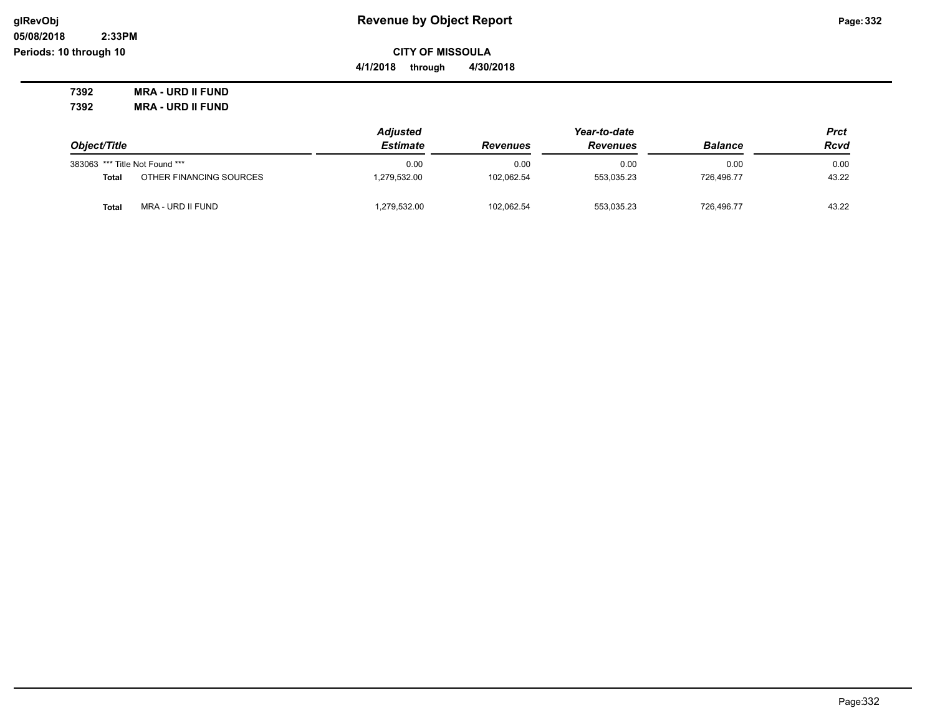**05/08/2018 2:33PM Periods: 10 through 10**

# **CITY OF MISSOULA**

**4/1/2018 through 4/30/2018**

**7392 MRA - URD II FUND 7392 MRA - URD II FUND**

|                                |                         | <b>Adjusted</b> | Year-to-date    |                |            | Prct  |
|--------------------------------|-------------------------|-----------------|-----------------|----------------|------------|-------|
| Object/Title                   | <b>Estimate</b>         | <b>Revenues</b> | <b>Revenues</b> | <b>Balance</b> | Rcvd       |       |
| 383063 *** Title Not Found *** |                         | 0.00            | 0.00            | 0.00           | 0.00       | 0.00  |
| Total                          | OTHER FINANCING SOURCES | 1,279,532.00    | 102.062.54      | 553,035.23     | 726.496.77 | 43.22 |
| <b>Total</b>                   | MRA - URD II FUND       | 1,279,532.00    | 102,062.54      | 553,035.23     | 726.496.77 | 43.22 |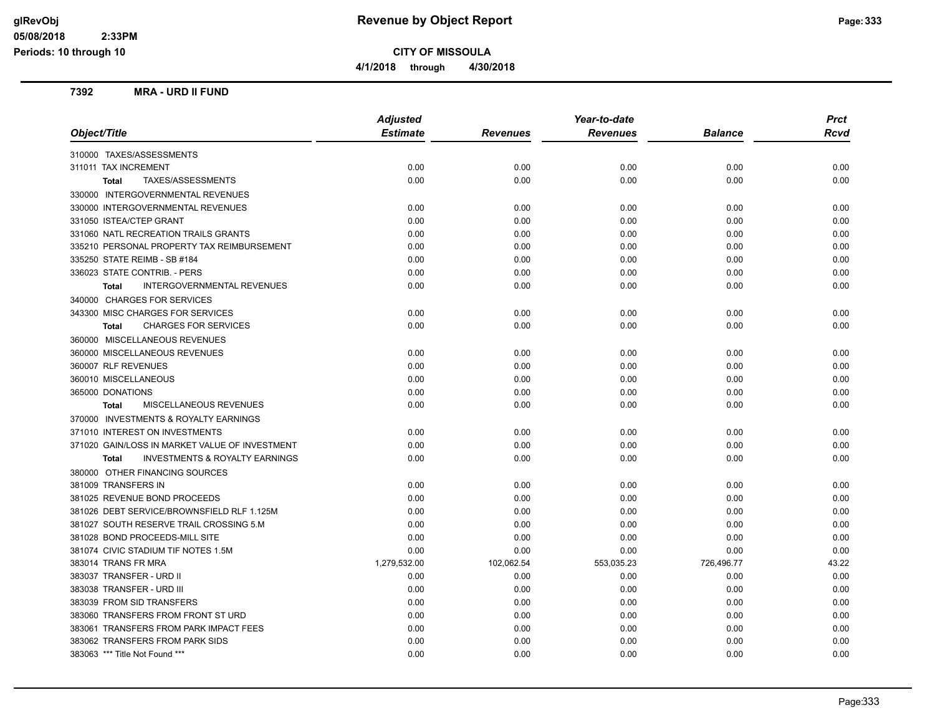**Periods: 10 through 10**

**CITY OF MISSOULA**

**4/1/2018 through 4/30/2018**

#### **7392 MRA - URD II FUND**

 **2:33PM**

|                                                    | <b>Adjusted</b> |                 | Year-to-date    |                | <b>Prct</b> |
|----------------------------------------------------|-----------------|-----------------|-----------------|----------------|-------------|
| Object/Title                                       | <b>Estimate</b> | <b>Revenues</b> | <b>Revenues</b> | <b>Balance</b> | Rcvd        |
| 310000 TAXES/ASSESSMENTS                           |                 |                 |                 |                |             |
| 311011 TAX INCREMENT                               | 0.00            | 0.00            | 0.00            | 0.00           | 0.00        |
| TAXES/ASSESSMENTS<br><b>Total</b>                  | 0.00            | 0.00            | 0.00            | 0.00           | 0.00        |
| 330000 INTERGOVERNMENTAL REVENUES                  |                 |                 |                 |                |             |
| 330000 INTERGOVERNMENTAL REVENUES                  | 0.00            | 0.00            | 0.00            | 0.00           | 0.00        |
| 331050 ISTEA/CTEP GRANT                            | 0.00            | 0.00            | 0.00            | 0.00           | 0.00        |
| 331060 NATL RECREATION TRAILS GRANTS               | 0.00            | 0.00            | 0.00            | 0.00           | 0.00        |
| 335210 PERSONAL PROPERTY TAX REIMBURSEMENT         | 0.00            | 0.00            | 0.00            | 0.00           | 0.00        |
| 335250 STATE REIMB - SB #184                       | 0.00            | 0.00            | 0.00            | 0.00           | 0.00        |
| 336023 STATE CONTRIB. - PERS                       | 0.00            | 0.00            | 0.00            | 0.00           | 0.00        |
| <b>INTERGOVERNMENTAL REVENUES</b><br>Total         | 0.00            | 0.00            | 0.00            | 0.00           | 0.00        |
| 340000 CHARGES FOR SERVICES                        |                 |                 |                 |                |             |
| 343300 MISC CHARGES FOR SERVICES                   | 0.00            | 0.00            | 0.00            | 0.00           | 0.00        |
| <b>CHARGES FOR SERVICES</b><br><b>Total</b>        | 0.00            | 0.00            | 0.00            | 0.00           | 0.00        |
| 360000 MISCELLANEOUS REVENUES                      |                 |                 |                 |                |             |
| 360000 MISCELLANEOUS REVENUES                      | 0.00            | 0.00            | 0.00            | 0.00           | 0.00        |
| 360007 RLF REVENUES                                | 0.00            | 0.00            | 0.00            | 0.00           | 0.00        |
| 360010 MISCELLANEOUS                               | 0.00            | 0.00            | 0.00            | 0.00           | 0.00        |
| 365000 DONATIONS                                   | 0.00            | 0.00            | 0.00            | 0.00           | 0.00        |
| MISCELLANEOUS REVENUES<br><b>Total</b>             | 0.00            | 0.00            | 0.00            | 0.00           | 0.00        |
| 370000 INVESTMENTS & ROYALTY EARNINGS              |                 |                 |                 |                |             |
| 371010 INTEREST ON INVESTMENTS                     | 0.00            | 0.00            | 0.00            | 0.00           | 0.00        |
| 371020 GAIN/LOSS IN MARKET VALUE OF INVESTMENT     | 0.00            | 0.00            | 0.00            | 0.00           | 0.00        |
| <b>INVESTMENTS &amp; ROYALTY EARNINGS</b><br>Total | 0.00            | 0.00            | 0.00            | 0.00           | 0.00        |
| 380000 OTHER FINANCING SOURCES                     |                 |                 |                 |                |             |
| 381009 TRANSFERS IN                                | 0.00            | 0.00            | 0.00            | 0.00           | 0.00        |
| 381025 REVENUE BOND PROCEEDS                       | 0.00            | 0.00            | 0.00            | 0.00           | 0.00        |
| 381026 DEBT SERVICE/BROWNSFIELD RLF 1.125M         | 0.00            | 0.00            | 0.00            | 0.00           | 0.00        |
| 381027 SOUTH RESERVE TRAIL CROSSING 5.M            | 0.00            | 0.00            | 0.00            | 0.00           | 0.00        |
| 381028 BOND PROCEEDS-MILL SITE                     | 0.00            | 0.00            | 0.00            | 0.00           | 0.00        |
| 381074 CIVIC STADIUM TIF NOTES 1.5M                | 0.00            | 0.00            | 0.00            | 0.00           | 0.00        |
| 383014 TRANS FR MRA                                | 1,279,532.00    | 102,062.54      | 553,035.23      | 726,496.77     | 43.22       |
| 383037 TRANSFER - URD II                           | 0.00            | 0.00            | 0.00            | 0.00           | 0.00        |
| 383038 TRANSFER - URD III                          | 0.00            | 0.00            | 0.00            | 0.00           | 0.00        |
| 383039 FROM SID TRANSFERS                          | 0.00            | 0.00            | 0.00            | 0.00           | 0.00        |
| 383060 TRANSFERS FROM FRONT ST URD                 | 0.00            | 0.00            | 0.00            | 0.00           | 0.00        |
| 383061 TRANSFERS FROM PARK IMPACT FEES             | 0.00            | 0.00            | 0.00            | 0.00           | 0.00        |
| 383062 TRANSFERS FROM PARK SIDS                    | 0.00            | 0.00            | 0.00            | 0.00           | 0.00        |
| 383063 *** Title Not Found ***                     | 0.00            | 0.00            | 0.00            | 0.00           | 0.00        |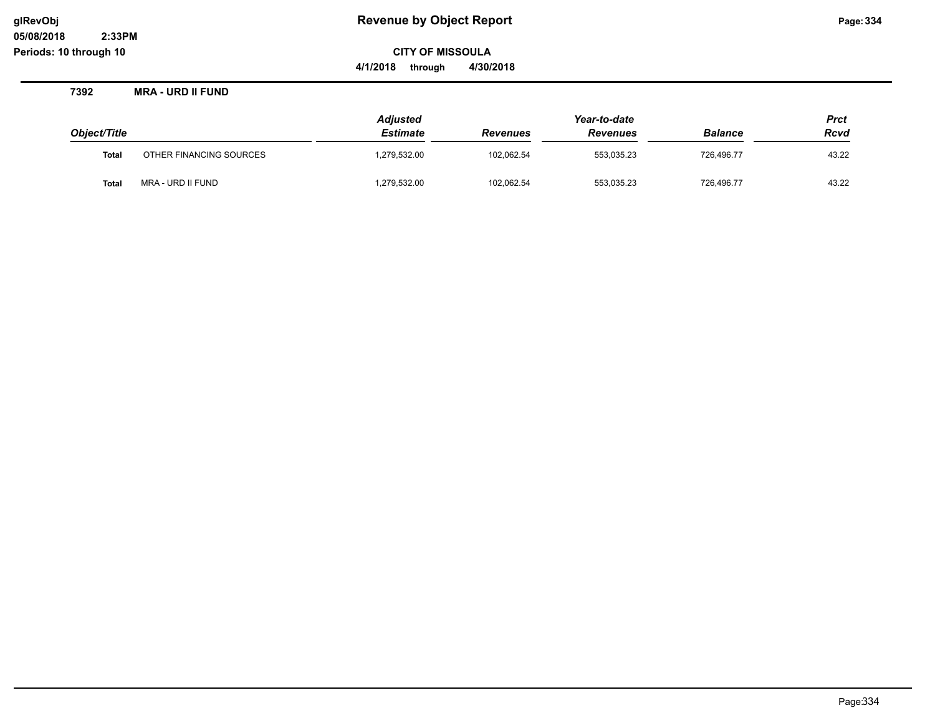**Periods: 10 through 10**

**CITY OF MISSOULA**

**4/1/2018 through 4/30/2018**

**7392 MRA - URD II FUND**

|              |                         | <b>Adjusted</b> |                 | Year-to-date   | <b>Prct</b> |       |
|--------------|-------------------------|-----------------|-----------------|----------------|-------------|-------|
| Object/Title | <b>Estimate</b>         | <b>Revenues</b> | <b>Revenues</b> | <b>Balance</b> | <b>Rcvd</b> |       |
| <b>Total</b> | OTHER FINANCING SOURCES | 1,279,532.00    | 102.062.54      | 553,035.23     | 726.496.77  | 43.22 |
| <b>Total</b> | MRA - URD II FUND       | 1,279,532.00    | 102.062.54      | 553,035.23     | 726.496.77  | 43.22 |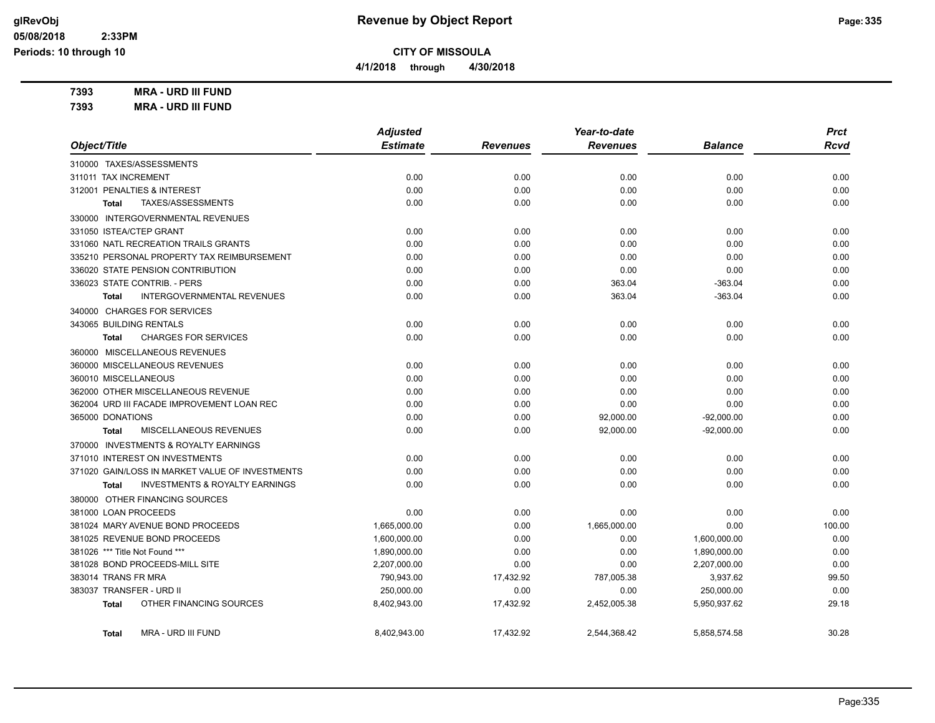**4/1/2018 through 4/30/2018**

**7393 MRA - URD III FUND**

**7393 MRA - URD III FUND**

|                                                           | <b>Adjusted</b> |                 | Year-to-date    |                | <b>Prct</b> |
|-----------------------------------------------------------|-----------------|-----------------|-----------------|----------------|-------------|
| Object/Title                                              | <b>Estimate</b> | <b>Revenues</b> | <b>Revenues</b> | <b>Balance</b> | Rcvd        |
| 310000 TAXES/ASSESSMENTS                                  |                 |                 |                 |                |             |
| 311011 TAX INCREMENT                                      | 0.00            | 0.00            | 0.00            | 0.00           | 0.00        |
| 312001 PENALTIES & INTEREST                               | 0.00            | 0.00            | 0.00            | 0.00           | 0.00        |
| TAXES/ASSESSMENTS<br><b>Total</b>                         | 0.00            | 0.00            | 0.00            | 0.00           | 0.00        |
| 330000 INTERGOVERNMENTAL REVENUES                         |                 |                 |                 |                |             |
| 331050 ISTEA/CTEP GRANT                                   | 0.00            | 0.00            | 0.00            | 0.00           | 0.00        |
| 331060 NATL RECREATION TRAILS GRANTS                      | 0.00            | 0.00            | 0.00            | 0.00           | 0.00        |
| 335210 PERSONAL PROPERTY TAX REIMBURSEMENT                | 0.00            | 0.00            | 0.00            | 0.00           | 0.00        |
| 336020 STATE PENSION CONTRIBUTION                         | 0.00            | 0.00            | 0.00            | 0.00           | 0.00        |
| 336023 STATE CONTRIB. - PERS                              | 0.00            | 0.00            | 363.04          | $-363.04$      | 0.00        |
| <b>INTERGOVERNMENTAL REVENUES</b><br><b>Total</b>         | 0.00            | 0.00            | 363.04          | $-363.04$      | 0.00        |
| 340000 CHARGES FOR SERVICES                               |                 |                 |                 |                |             |
| 343065 BUILDING RENTALS                                   | 0.00            | 0.00            | 0.00            | 0.00           | 0.00        |
| <b>CHARGES FOR SERVICES</b><br><b>Total</b>               | 0.00            | 0.00            | 0.00            | 0.00           | 0.00        |
| 360000 MISCELLANEOUS REVENUES                             |                 |                 |                 |                |             |
| 360000 MISCELLANEOUS REVENUES                             | 0.00            | 0.00            | 0.00            | 0.00           | 0.00        |
| 360010 MISCELLANEOUS                                      | 0.00            | 0.00            | 0.00            | 0.00           | 0.00        |
| 362000 OTHER MISCELLANEOUS REVENUE                        | 0.00            | 0.00            | 0.00            | 0.00           | 0.00        |
| 362004 URD III FACADE IMPROVEMENT LOAN REC                | 0.00            | 0.00            | 0.00            | 0.00           | 0.00        |
| 365000 DONATIONS                                          | 0.00            | 0.00            | 92,000.00       | $-92,000.00$   | 0.00        |
| MISCELLANEOUS REVENUES<br><b>Total</b>                    | 0.00            | 0.00            | 92,000.00       | $-92,000.00$   | 0.00        |
| 370000 INVESTMENTS & ROYALTY EARNINGS                     |                 |                 |                 |                |             |
| 371010 INTEREST ON INVESTMENTS                            | 0.00            | 0.00            | 0.00            | 0.00           | 0.00        |
| 371020 GAIN/LOSS IN MARKET VALUE OF INVESTMENTS           | 0.00            | 0.00            | 0.00            | 0.00           | 0.00        |
| <b>INVESTMENTS &amp; ROYALTY EARNINGS</b><br><b>Total</b> | 0.00            | 0.00            | 0.00            | 0.00           | 0.00        |
| 380000 OTHER FINANCING SOURCES                            |                 |                 |                 |                |             |
| 381000 LOAN PROCEEDS                                      | 0.00            | 0.00            | 0.00            | 0.00           | 0.00        |
| 381024 MARY AVENUE BOND PROCEEDS                          | 1,665,000.00    | 0.00            | 1,665,000.00    | 0.00           | 100.00      |
| 381025 REVENUE BOND PROCEEDS                              | 1,600,000.00    | 0.00            | 0.00            | 1,600,000.00   | 0.00        |
| 381026 *** Title Not Found ***                            | 1,890,000.00    | 0.00            | 0.00            | 1,890,000.00   | 0.00        |
| 381028 BOND PROCEEDS-MILL SITE                            | 2,207,000.00    | 0.00            | 0.00            | 2,207,000.00   | 0.00        |
| 383014 TRANS FR MRA                                       | 790,943.00      | 17,432.92       | 787,005.38      | 3,937.62       | 99.50       |
| 383037 TRANSFER - URD II                                  | 250,000.00      | 0.00            | 0.00            | 250,000.00     | 0.00        |
| OTHER FINANCING SOURCES<br><b>Total</b>                   | 8,402,943.00    | 17,432.92       | 2,452,005.38    | 5,950,937.62   | 29.18       |
| MRA - URD III FUND<br><b>Total</b>                        | 8,402,943.00    | 17,432.92       | 2,544,368.42    | 5,858,574.58   | 30.28       |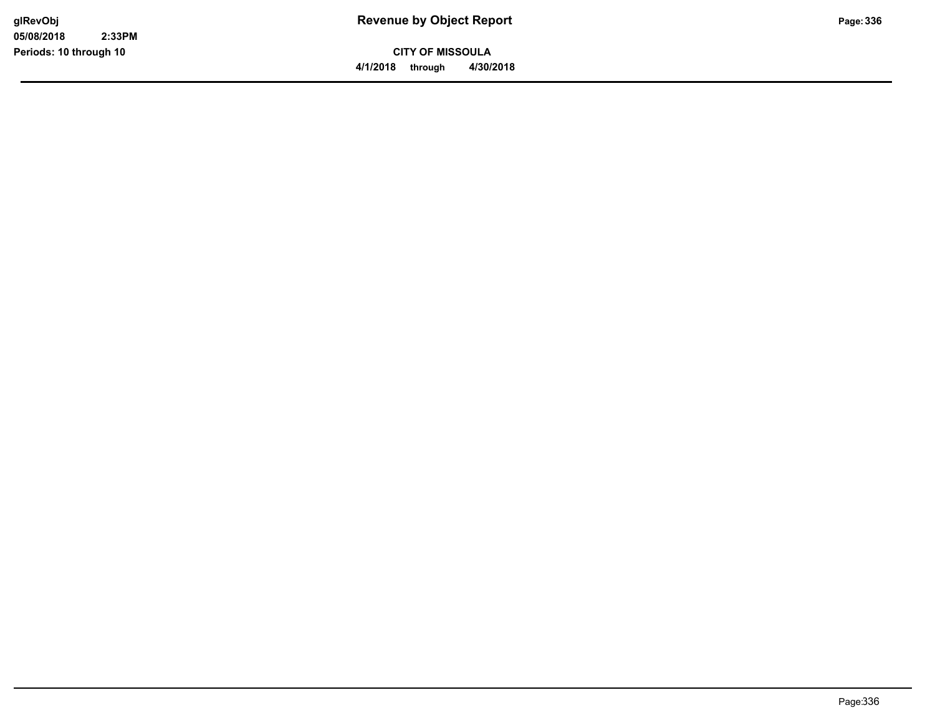**CITY OF MISSOULA 4/1/2018 through 4/30/2018**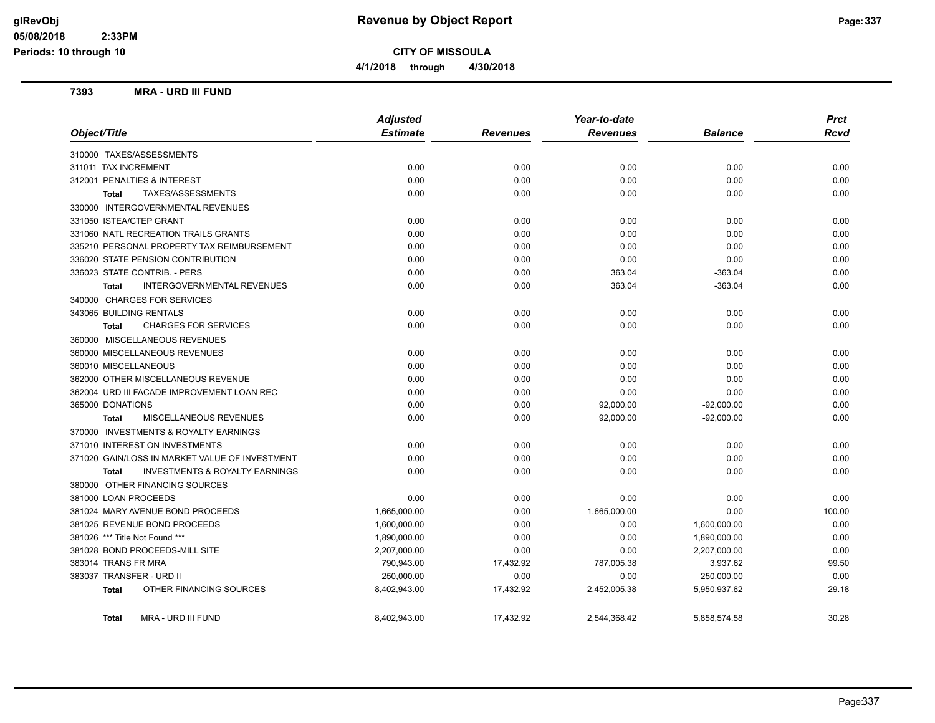**Periods: 10 through 10**

**CITY OF MISSOULA**

**4/1/2018 through 4/30/2018**

#### **7393 MRA - URD III FUND**

|                                                    | <b>Adjusted</b> |                 | Year-to-date    |                | <b>Prct</b> |
|----------------------------------------------------|-----------------|-----------------|-----------------|----------------|-------------|
| Object/Title                                       | <b>Estimate</b> | <b>Revenues</b> | <b>Revenues</b> | <b>Balance</b> | <b>Rcvd</b> |
| 310000 TAXES/ASSESSMENTS                           |                 |                 |                 |                |             |
| 311011 TAX INCREMENT                               | 0.00            | 0.00            | 0.00            | 0.00           | 0.00        |
| 312001 PENALTIES & INTEREST                        | 0.00            | 0.00            | 0.00            | 0.00           | 0.00        |
| TAXES/ASSESSMENTS<br><b>Total</b>                  | 0.00            | 0.00            | 0.00            | 0.00           | 0.00        |
| 330000 INTERGOVERNMENTAL REVENUES                  |                 |                 |                 |                |             |
| 331050 ISTEA/CTEP GRANT                            | 0.00            | 0.00            | 0.00            | 0.00           | 0.00        |
| 331060 NATL RECREATION TRAILS GRANTS               | 0.00            | 0.00            | 0.00            | 0.00           | 0.00        |
| 335210 PERSONAL PROPERTY TAX REIMBURSEMENT         | 0.00            | 0.00            | 0.00            | 0.00           | 0.00        |
| 336020 STATE PENSION CONTRIBUTION                  | 0.00            | 0.00            | 0.00            | 0.00           | 0.00        |
| 336023 STATE CONTRIB. - PERS                       | 0.00            | 0.00            | 363.04          | $-363.04$      | 0.00        |
| <b>INTERGOVERNMENTAL REVENUES</b><br><b>Total</b>  | 0.00            | 0.00            | 363.04          | $-363.04$      | 0.00        |
| 340000 CHARGES FOR SERVICES                        |                 |                 |                 |                |             |
| 343065 BUILDING RENTALS                            | 0.00            | 0.00            | 0.00            | 0.00           | 0.00        |
| <b>CHARGES FOR SERVICES</b><br>Total               | 0.00            | 0.00            | 0.00            | 0.00           | 0.00        |
| 360000 MISCELLANEOUS REVENUES                      |                 |                 |                 |                |             |
| 360000 MISCELLANEOUS REVENUES                      | 0.00            | 0.00            | 0.00            | 0.00           | 0.00        |
| 360010 MISCELLANEOUS                               | 0.00            | 0.00            | 0.00            | 0.00           | 0.00        |
| 362000 OTHER MISCELLANEOUS REVENUE                 | 0.00            | 0.00            | 0.00            | 0.00           | 0.00        |
| 362004 URD III FACADE IMPROVEMENT LOAN REC         | 0.00            | 0.00            | 0.00            | 0.00           | 0.00        |
| 365000 DONATIONS                                   | 0.00            | 0.00            | 92,000.00       | $-92,000.00$   | 0.00        |
| <b>MISCELLANEOUS REVENUES</b><br><b>Total</b>      | 0.00            | 0.00            | 92,000.00       | $-92,000.00$   | 0.00        |
| 370000 INVESTMENTS & ROYALTY EARNINGS              |                 |                 |                 |                |             |
| 371010 INTEREST ON INVESTMENTS                     | 0.00            | 0.00            | 0.00            | 0.00           | 0.00        |
| 371020 GAIN/LOSS IN MARKET VALUE OF INVESTMENT     | 0.00            | 0.00            | 0.00            | 0.00           | 0.00        |
| <b>INVESTMENTS &amp; ROYALTY EARNINGS</b><br>Total | 0.00            | 0.00            | 0.00            | 0.00           | 0.00        |
| 380000 OTHER FINANCING SOURCES                     |                 |                 |                 |                |             |
| 381000 LOAN PROCEEDS                               | 0.00            | 0.00            | 0.00            | 0.00           | 0.00        |
| 381024 MARY AVENUE BOND PROCEEDS                   | 1,665,000.00    | 0.00            | 1,665,000.00    | 0.00           | 100.00      |
| 381025 REVENUE BOND PROCEEDS                       | 1,600,000.00    | 0.00            | 0.00            | 1,600,000.00   | 0.00        |
| 381026 *** Title Not Found ***                     | 1,890,000.00    | 0.00            | 0.00            | 1,890,000.00   | 0.00        |
| 381028 BOND PROCEEDS-MILL SITE                     | 2,207,000.00    | 0.00            | 0.00            | 2,207,000.00   | 0.00        |
| 383014 TRANS FR MRA                                | 790,943.00      | 17,432.92       | 787,005.38      | 3,937.62       | 99.50       |
| 383037 TRANSFER - URD II                           | 250,000.00      | 0.00            | 0.00            | 250,000.00     | 0.00        |
| OTHER FINANCING SOURCES<br><b>Total</b>            | 8,402,943.00    | 17,432.92       | 2,452,005.38    | 5,950,937.62   | 29.18       |
| MRA - URD III FUND<br><b>Total</b>                 | 8.402.943.00    | 17,432.92       | 2,544,368.42    | 5,858,574.58   | 30.28       |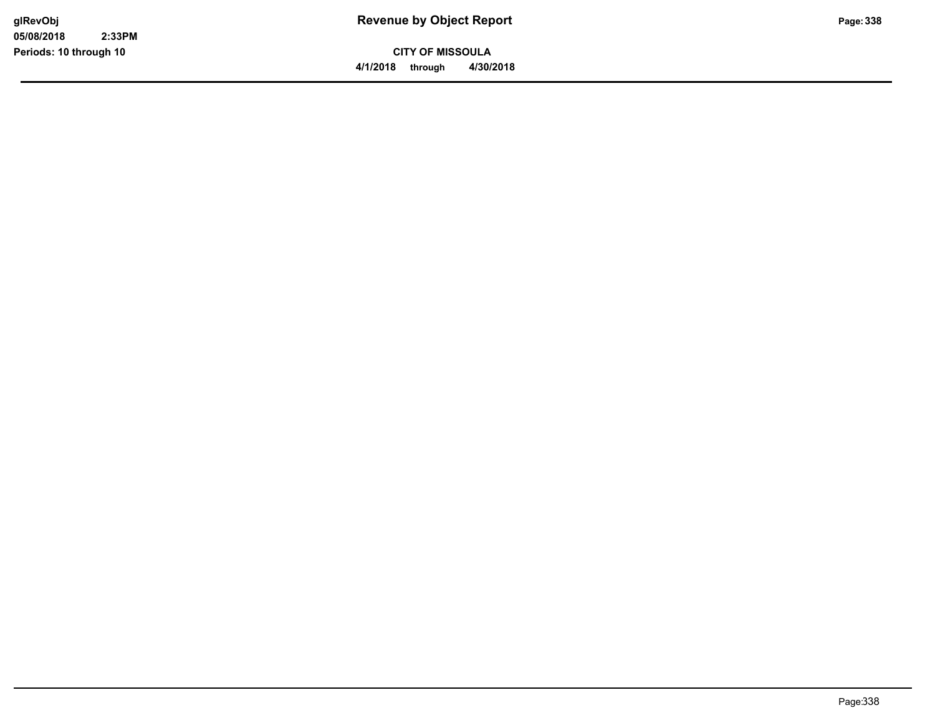**CITY OF MISSOULA 4/1/2018 through 4/30/2018**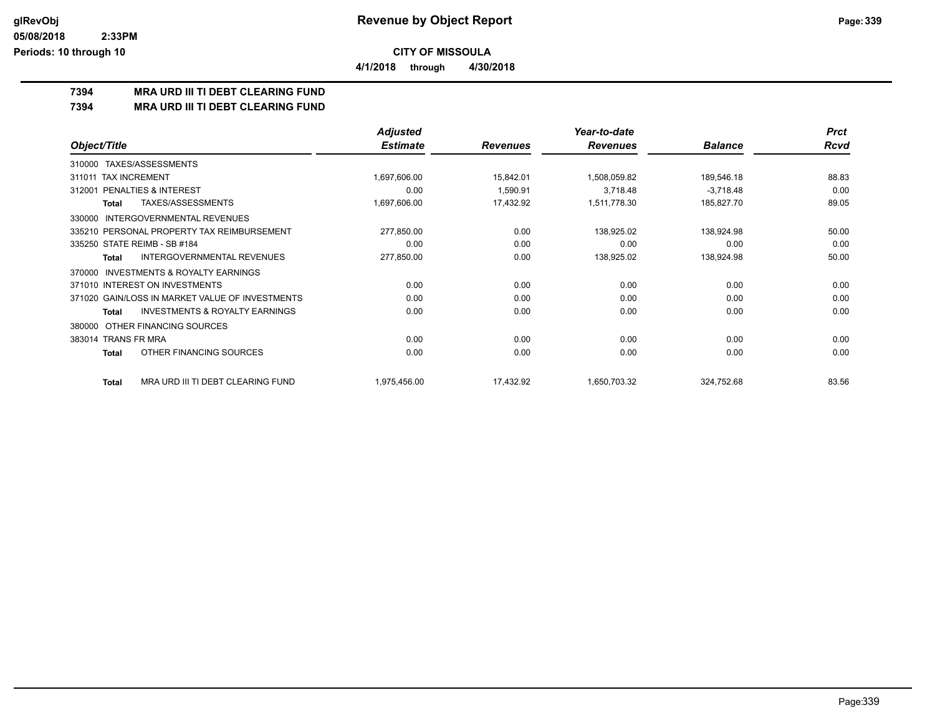**4/1/2018 through 4/30/2018**

## **7394 MRA URD III TI DEBT CLEARING FUND**

**7394 MRA URD III TI DEBT CLEARING FUND**

|                                                           | <b>Adjusted</b> |                 | Year-to-date    |                | <b>Prct</b> |
|-----------------------------------------------------------|-----------------|-----------------|-----------------|----------------|-------------|
| Object/Title                                              | <b>Estimate</b> | <b>Revenues</b> | <b>Revenues</b> | <b>Balance</b> | Rcvd        |
| TAXES/ASSESSMENTS<br>310000                               |                 |                 |                 |                |             |
| <b>TAX INCREMENT</b><br>311011                            | 1,697,606.00    | 15,842.01       | 1,508,059.82    | 189,546.18     | 88.83       |
| 312001 PENALTIES & INTEREST                               | 0.00            | 1,590.91        | 3.718.48        | $-3,718.48$    | 0.00        |
| TAXES/ASSESSMENTS<br><b>Total</b>                         | 1,697,606.00    | 17,432.92       | 1,511,778.30    | 185,827.70     | 89.05       |
| INTERGOVERNMENTAL REVENUES<br>330000                      |                 |                 |                 |                |             |
| 335210 PERSONAL PROPERTY TAX REIMBURSEMENT                | 277,850.00      | 0.00            | 138,925.02      | 138,924.98     | 50.00       |
| 335250 STATE REIMB - SB #184                              | 0.00            | 0.00            | 0.00            | 0.00           | 0.00        |
| INTERGOVERNMENTAL REVENUES<br>Total                       | 277,850.00      | 0.00            | 138,925.02      | 138,924.98     | 50.00       |
| <b>INVESTMENTS &amp; ROYALTY EARNINGS</b><br>370000       |                 |                 |                 |                |             |
| 371010 INTEREST ON INVESTMENTS                            | 0.00            | 0.00            | 0.00            | 0.00           | 0.00        |
| 371020 GAIN/LOSS IN MARKET VALUE OF INVESTMENTS           | 0.00            | 0.00            | 0.00            | 0.00           | 0.00        |
| <b>INVESTMENTS &amp; ROYALTY EARNINGS</b><br><b>Total</b> | 0.00            | 0.00            | 0.00            | 0.00           | 0.00        |
| OTHER FINANCING SOURCES<br>380000                         |                 |                 |                 |                |             |
| 383014 TRANS FR MRA                                       | 0.00            | 0.00            | 0.00            | 0.00           | 0.00        |
| OTHER FINANCING SOURCES<br><b>Total</b>                   | 0.00            | 0.00            | 0.00            | 0.00           | 0.00        |
| MRA URD III TI DEBT CLEARING FUND<br>Total                | 1,975,456.00    | 17,432.92       | 1,650,703.32    | 324,752.68     | 83.56       |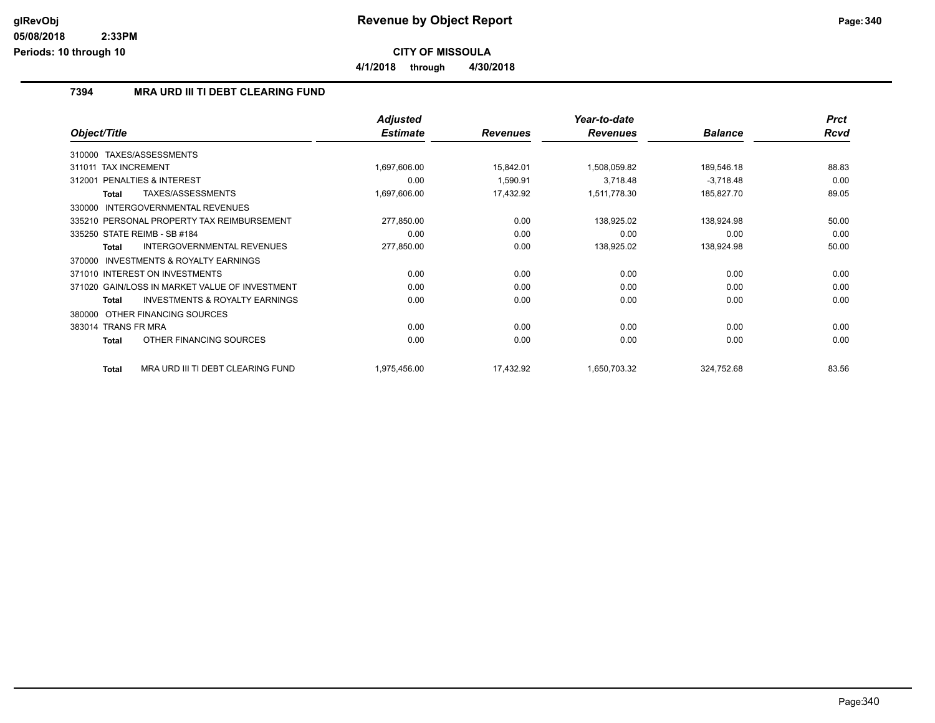**4/1/2018 through 4/30/2018**

#### **7394 MRA URD III TI DEBT CLEARING FUND**

|                                                     | <b>Adjusted</b> |                 | Year-to-date    |                | <b>Prct</b> |
|-----------------------------------------------------|-----------------|-----------------|-----------------|----------------|-------------|
| Object/Title                                        | <b>Estimate</b> | <b>Revenues</b> | <b>Revenues</b> | <b>Balance</b> | <b>Rcvd</b> |
| 310000 TAXES/ASSESSMENTS                            |                 |                 |                 |                |             |
| 311011 TAX INCREMENT                                | 1,697,606.00    | 15,842.01       | 1,508,059.82    | 189,546.18     | 88.83       |
| 312001 PENALTIES & INTEREST                         | 0.00            | 1,590.91        | 3,718.48        | $-3,718.48$    | 0.00        |
| TAXES/ASSESSMENTS<br><b>Total</b>                   | 1,697,606.00    | 17,432.92       | 1,511,778.30    | 185,827.70     | 89.05       |
| INTERGOVERNMENTAL REVENUES<br>330000                |                 |                 |                 |                |             |
| 335210 PERSONAL PROPERTY TAX REIMBURSEMENT          | 277,850.00      | 0.00            | 138,925.02      | 138,924.98     | 50.00       |
| 335250 STATE REIMB - SB #184                        | 0.00            | 0.00            | 0.00            | 0.00           | 0.00        |
| <b>INTERGOVERNMENTAL REVENUES</b><br>Total          | 277,850.00      | 0.00            | 138,925.02      | 138,924.98     | 50.00       |
| <b>INVESTMENTS &amp; ROYALTY EARNINGS</b><br>370000 |                 |                 |                 |                |             |
| 371010 INTEREST ON INVESTMENTS                      | 0.00            | 0.00            | 0.00            | 0.00           | 0.00        |
| 371020 GAIN/LOSS IN MARKET VALUE OF INVESTMENT      | 0.00            | 0.00            | 0.00            | 0.00           | 0.00        |
| <b>INVESTMENTS &amp; ROYALTY EARNINGS</b><br>Total  | 0.00            | 0.00            | 0.00            | 0.00           | 0.00        |
| 380000 OTHER FINANCING SOURCES                      |                 |                 |                 |                |             |
| 383014 TRANS FR MRA                                 | 0.00            | 0.00            | 0.00            | 0.00           | 0.00        |
| OTHER FINANCING SOURCES<br><b>Total</b>             | 0.00            | 0.00            | 0.00            | 0.00           | 0.00        |
| MRA URD III TI DEBT CLEARING FUND<br>Total          | 1,975,456.00    | 17,432.92       | 1,650,703.32    | 324,752.68     | 83.56       |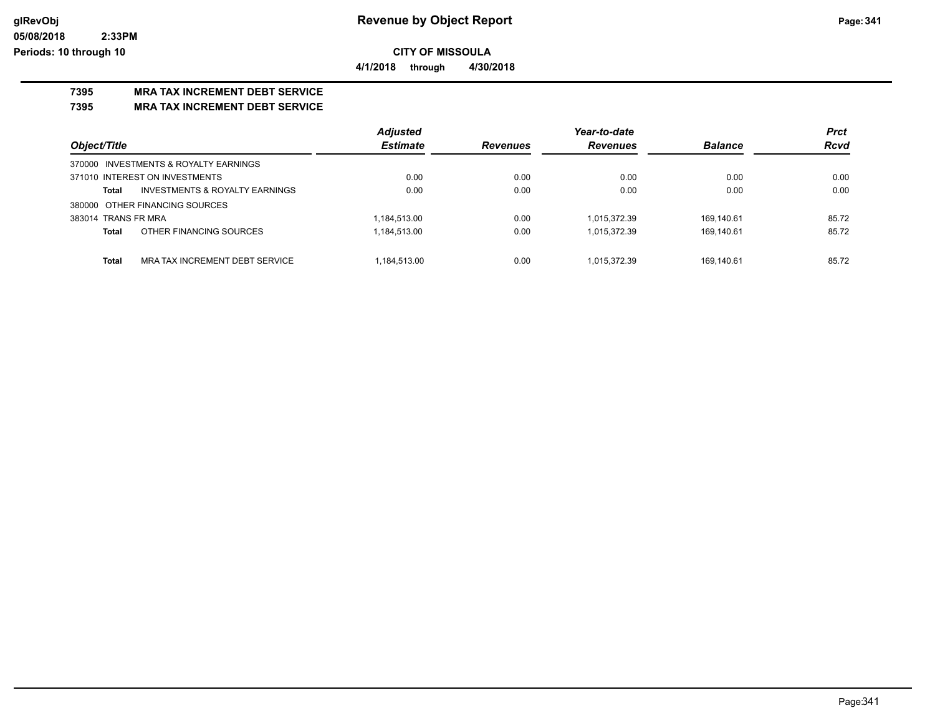**4/1/2018 through 4/30/2018**

## **7395 MRA TAX INCREMENT DEBT SERVICE**

## **7395 MRA TAX INCREMENT DEBT SERVICE**

|                                         | <b>Adjusted</b> |                 | Year-to-date    |                | <b>Prct</b> |
|-----------------------------------------|-----------------|-----------------|-----------------|----------------|-------------|
| Object/Title                            | <b>Estimate</b> | <b>Revenues</b> | <b>Revenues</b> | <b>Balance</b> | <b>Rcvd</b> |
| 370000 INVESTMENTS & ROYALTY EARNINGS   |                 |                 |                 |                |             |
| 371010 INTEREST ON INVESTMENTS          | 0.00            | 0.00            | 0.00            | 0.00           | 0.00        |
| INVESTMENTS & ROYALTY EARNINGS<br>Total | 0.00            | 0.00            | 0.00            | 0.00           | 0.00        |
| 380000 OTHER FINANCING SOURCES          |                 |                 |                 |                |             |
| 383014 TRANS FR MRA                     | 1,184,513.00    | 0.00            | 1.015.372.39    | 169,140.61     | 85.72       |
| OTHER FINANCING SOURCES<br>Total        | 1,184,513.00    | 0.00            | 1.015.372.39    | 169.140.61     | 85.72       |
|                                         |                 |                 |                 |                |             |
| MRA TAX INCREMENT DEBT SERVICE<br>Total | 1.184.513.00    | 0.00            | 1.015.372.39    | 169.140.61     | 85.72       |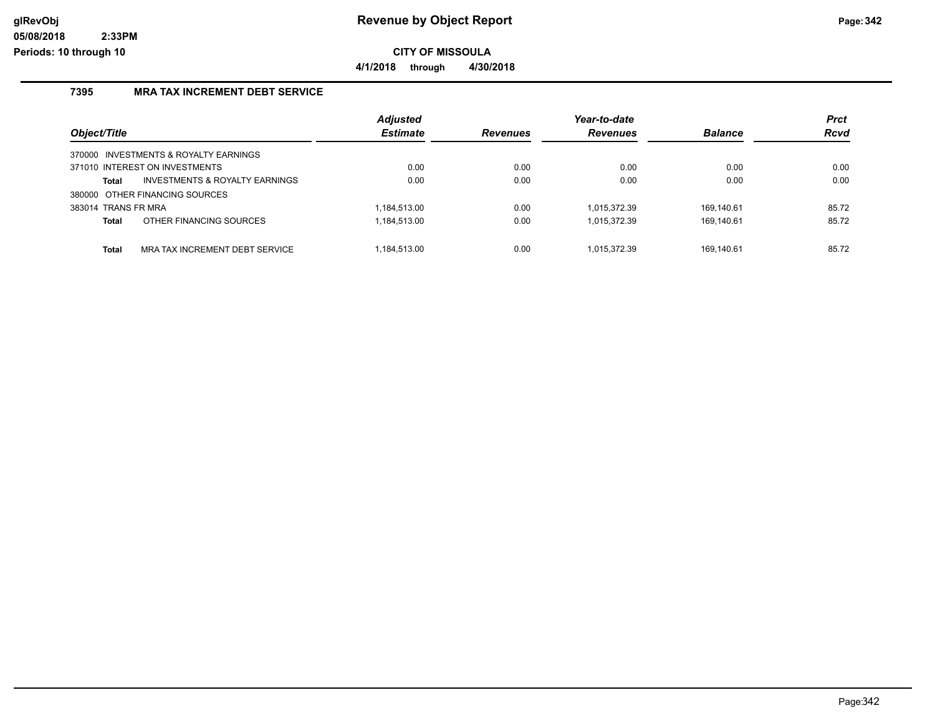**4/1/2018 through 4/30/2018**

#### **7395 MRA TAX INCREMENT DEBT SERVICE**

| Object/Title                                   | <b>Adjusted</b><br><b>Estimate</b> | <b>Revenues</b> | Year-to-date<br><b>Revenues</b> | <b>Balance</b> | <b>Prct</b><br><b>Rcvd</b> |
|------------------------------------------------|------------------------------------|-----------------|---------------------------------|----------------|----------------------------|
| 370000 INVESTMENTS & ROYALTY EARNINGS          |                                    |                 |                                 |                |                            |
| 371010 INTEREST ON INVESTMENTS                 | 0.00                               | 0.00            | 0.00                            | 0.00           | 0.00                       |
| INVESTMENTS & ROYALTY EARNINGS<br><b>Total</b> | 0.00                               | 0.00            | 0.00                            | 0.00           | 0.00                       |
| 380000 OTHER FINANCING SOURCES                 |                                    |                 |                                 |                |                            |
| 383014 TRANS FR MRA                            | 1,184,513.00                       | 0.00            | 1.015.372.39                    | 169,140.61     | 85.72                      |
| OTHER FINANCING SOURCES<br><b>Total</b>        | 1,184,513.00                       | 0.00            | 1,015,372.39                    | 169,140.61     | 85.72                      |
|                                                |                                    |                 |                                 |                |                            |
| MRA TAX INCREMENT DEBT SERVICE<br><b>Total</b> | 1.184.513.00                       | 0.00            | 1.015.372.39                    | 169.140.61     | 85.72                      |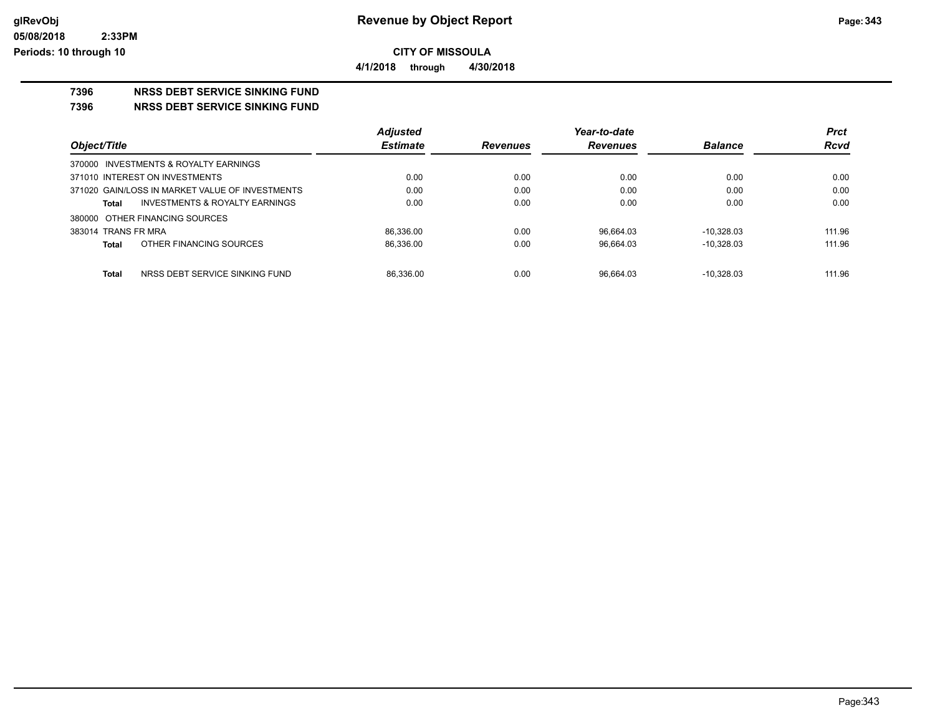**4/1/2018 through 4/30/2018**

## **7396 NRSS DEBT SERVICE SINKING FUND**

**7396 NRSS DEBT SERVICE SINKING FUND**

|                                                 | <b>Adjusted</b> |                 | Year-to-date    |                | <b>Prct</b> |
|-------------------------------------------------|-----------------|-----------------|-----------------|----------------|-------------|
| Object/Title                                    | <b>Estimate</b> | <b>Revenues</b> | <b>Revenues</b> | <b>Balance</b> | <b>Rcvd</b> |
| 370000 INVESTMENTS & ROYALTY EARNINGS           |                 |                 |                 |                |             |
| 371010 INTEREST ON INVESTMENTS                  | 0.00            | 0.00            | 0.00            | 0.00           | 0.00        |
| 371020 GAIN/LOSS IN MARKET VALUE OF INVESTMENTS | 0.00            | 0.00            | 0.00            | 0.00           | 0.00        |
| INVESTMENTS & ROYALTY EARNINGS<br>Total         | 0.00            | 0.00            | 0.00            | 0.00           | 0.00        |
| 380000 OTHER FINANCING SOURCES                  |                 |                 |                 |                |             |
| 383014 TRANS FR MRA                             | 86.336.00       | 0.00            | 96.664.03       | $-10.328.03$   | 111.96      |
| OTHER FINANCING SOURCES<br><b>Total</b>         | 86.336.00       | 0.00            | 96.664.03       | $-10.328.03$   | 111.96      |
|                                                 |                 |                 |                 |                |             |
| Total<br>NRSS DEBT SERVICE SINKING FUND         | 86.336.00       | 0.00            | 96.664.03       | $-10.328.03$   | 111.96      |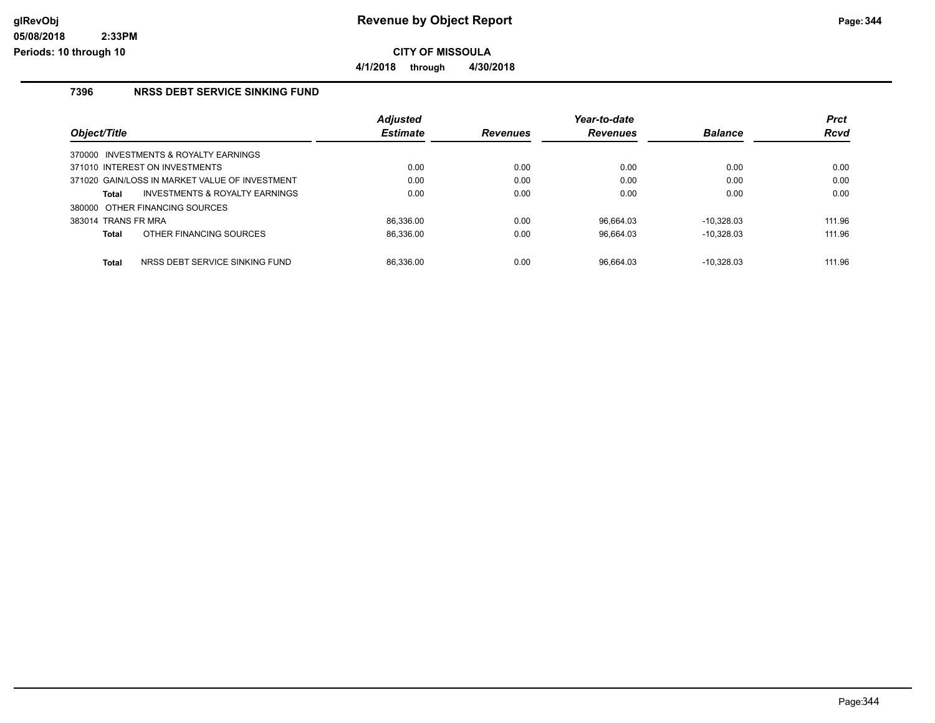**4/1/2018 through 4/30/2018**

#### **7396 NRSS DEBT SERVICE SINKING FUND**

|                                                           | <b>Adjusted</b> |                 | Year-to-date    |                | <b>Prct</b> |
|-----------------------------------------------------------|-----------------|-----------------|-----------------|----------------|-------------|
| Object/Title                                              | <b>Estimate</b> | <b>Revenues</b> | <b>Revenues</b> | <b>Balance</b> | <b>Rcvd</b> |
| 370000 INVESTMENTS & ROYALTY EARNINGS                     |                 |                 |                 |                |             |
| 371010 INTEREST ON INVESTMENTS                            | 0.00            | 0.00            | 0.00            | 0.00           | 0.00        |
| 371020 GAIN/LOSS IN MARKET VALUE OF INVESTMENT            | 0.00            | 0.00            | 0.00            | 0.00           | 0.00        |
| <b>INVESTMENTS &amp; ROYALTY EARNINGS</b><br><b>Total</b> | 0.00            | 0.00            | 0.00            | 0.00           | 0.00        |
| 380000 OTHER FINANCING SOURCES                            |                 |                 |                 |                |             |
| 383014 TRANS FR MRA                                       | 86.336.00       | 0.00            | 96.664.03       | $-10.328.03$   | 111.96      |
| OTHER FINANCING SOURCES<br><b>Total</b>                   | 86.336.00       | 0.00            | 96.664.03       | $-10.328.03$   | 111.96      |
|                                                           |                 |                 |                 |                |             |
| NRSS DEBT SERVICE SINKING FUND<br><b>Total</b>            | 86.336.00       | 0.00            | 96.664.03       | $-10.328.03$   | 111.96      |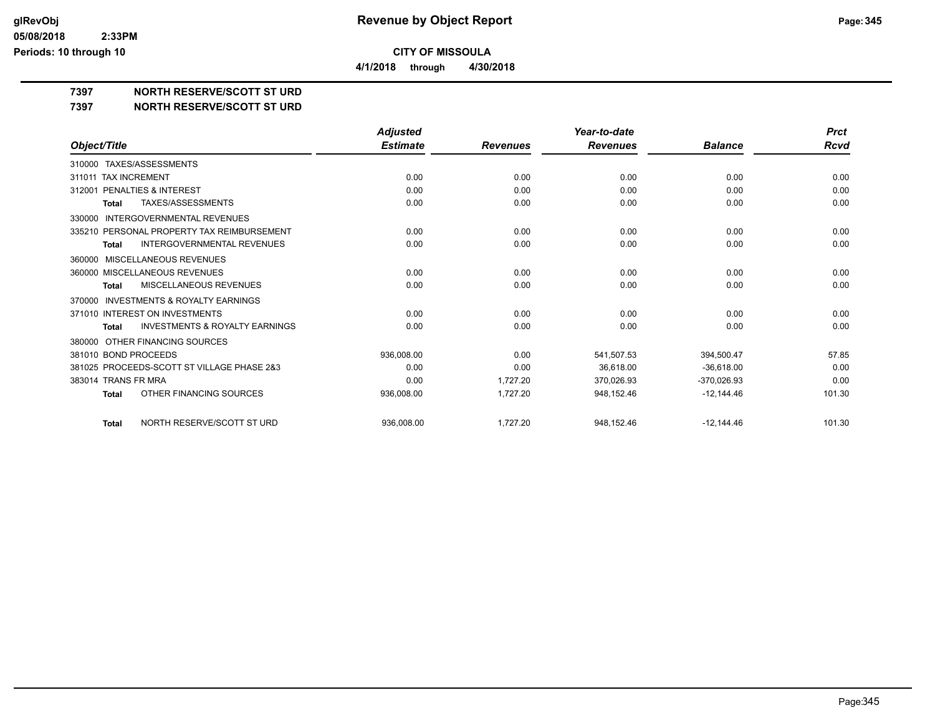**4/1/2018 through 4/30/2018**

**7397 NORTH RESERVE/SCOTT ST URD**

**7397 NORTH RESERVE/SCOTT ST URD**

|                                                           | <b>Adjusted</b> |                 | Year-to-date    |                | <b>Prct</b> |
|-----------------------------------------------------------|-----------------|-----------------|-----------------|----------------|-------------|
| Object/Title                                              | <b>Estimate</b> | <b>Revenues</b> | <b>Revenues</b> | <b>Balance</b> | <b>Rcvd</b> |
| 310000 TAXES/ASSESSMENTS                                  |                 |                 |                 |                |             |
| 311011 TAX INCREMENT                                      | 0.00            | 0.00            | 0.00            | 0.00           | 0.00        |
| PENALTIES & INTEREST<br>312001                            | 0.00            | 0.00            | 0.00            | 0.00           | 0.00        |
| <b>TAXES/ASSESSMENTS</b><br><b>Total</b>                  | 0.00            | 0.00            | 0.00            | 0.00           | 0.00        |
| <b>INTERGOVERNMENTAL REVENUES</b><br>330000               |                 |                 |                 |                |             |
| 335210 PERSONAL PROPERTY TAX REIMBURSEMENT                | 0.00            | 0.00            | 0.00            | 0.00           | 0.00        |
| <b>INTERGOVERNMENTAL REVENUES</b><br><b>Total</b>         | 0.00            | 0.00            | 0.00            | 0.00           | 0.00        |
| 360000 MISCELLANEOUS REVENUES                             |                 |                 |                 |                |             |
| 360000 MISCELLANEOUS REVENUES                             | 0.00            | 0.00            | 0.00            | 0.00           | 0.00        |
| <b>MISCELLANEOUS REVENUES</b><br><b>Total</b>             | 0.00            | 0.00            | 0.00            | 0.00           | 0.00        |
| 370000 INVESTMENTS & ROYALTY EARNINGS                     |                 |                 |                 |                |             |
| 371010 INTEREST ON INVESTMENTS                            | 0.00            | 0.00            | 0.00            | 0.00           | 0.00        |
| <b>INVESTMENTS &amp; ROYALTY EARNINGS</b><br><b>Total</b> | 0.00            | 0.00            | 0.00            | 0.00           | 0.00        |
| 380000 OTHER FINANCING SOURCES                            |                 |                 |                 |                |             |
| 381010 BOND PROCEEDS                                      | 936.008.00      | 0.00            | 541,507.53      | 394,500.47     | 57.85       |
| 381025 PROCEEDS-SCOTT ST VILLAGE PHASE 2&3                | 0.00            | 0.00            | 36.618.00       | $-36,618.00$   | 0.00        |
| 383014 TRANS FR MRA                                       | 0.00            | 1.727.20        | 370.026.93      | $-370,026.93$  | 0.00        |
| OTHER FINANCING SOURCES<br><b>Total</b>                   | 936,008.00      | 1,727.20        | 948,152.46      | $-12,144.46$   | 101.30      |
| NORTH RESERVE/SCOTT ST URD<br><b>Total</b>                | 936,008.00      | 1,727.20        | 948,152.46      | $-12,144.46$   | 101.30      |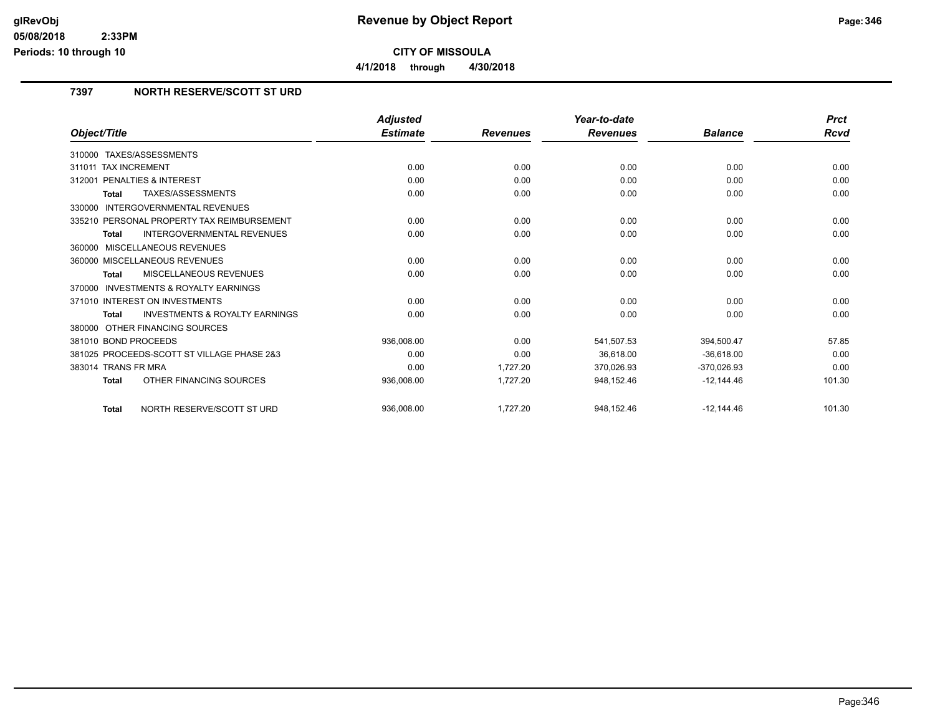**4/1/2018 through 4/30/2018**

#### **7397 NORTH RESERVE/SCOTT ST URD**

|                                                           | <b>Adjusted</b> |                 | Year-to-date    |                | <b>Prct</b> |
|-----------------------------------------------------------|-----------------|-----------------|-----------------|----------------|-------------|
| Object/Title                                              | <b>Estimate</b> | <b>Revenues</b> | <b>Revenues</b> | <b>Balance</b> | <b>Rcvd</b> |
| TAXES/ASSESSMENTS<br>310000                               |                 |                 |                 |                |             |
| <b>TAX INCREMENT</b><br>311011                            | 0.00            | 0.00            | 0.00            | 0.00           | 0.00        |
| 312001 PENALTIES & INTEREST                               | 0.00            | 0.00            | 0.00            | 0.00           | 0.00        |
| TAXES/ASSESSMENTS<br><b>Total</b>                         | 0.00            | 0.00            | 0.00            | 0.00           | 0.00        |
| INTERGOVERNMENTAL REVENUES<br>330000                      |                 |                 |                 |                |             |
| 335210 PERSONAL PROPERTY TAX REIMBURSEMENT                | 0.00            | 0.00            | 0.00            | 0.00           | 0.00        |
| INTERGOVERNMENTAL REVENUES<br><b>Total</b>                | 0.00            | 0.00            | 0.00            | 0.00           | 0.00        |
| 360000 MISCELLANEOUS REVENUES                             |                 |                 |                 |                |             |
| 360000 MISCELLANEOUS REVENUES                             | 0.00            | 0.00            | 0.00            | 0.00           | 0.00        |
| <b>MISCELLANEOUS REVENUES</b><br><b>Total</b>             | 0.00            | 0.00            | 0.00            | 0.00           | 0.00        |
| 370000 INVESTMENTS & ROYALTY EARNINGS                     |                 |                 |                 |                |             |
| 371010 INTEREST ON INVESTMENTS                            | 0.00            | 0.00            | 0.00            | 0.00           | 0.00        |
| <b>INVESTMENTS &amp; ROYALTY EARNINGS</b><br><b>Total</b> | 0.00            | 0.00            | 0.00            | 0.00           | 0.00        |
| 380000 OTHER FINANCING SOURCES                            |                 |                 |                 |                |             |
| 381010 BOND PROCEEDS                                      | 936,008.00      | 0.00            | 541,507.53      | 394,500.47     | 57.85       |
| 381025 PROCEEDS-SCOTT ST VILLAGE PHASE 2&3                | 0.00            | 0.00            | 36,618.00       | $-36,618.00$   | 0.00        |
| 383014 TRANS FR MRA                                       | 0.00            | 1.727.20        | 370,026.93      | $-370,026.93$  | 0.00        |
| OTHER FINANCING SOURCES<br><b>Total</b>                   | 936,008.00      | 1,727.20        | 948,152.46      | $-12,144.46$   | 101.30      |
| NORTH RESERVE/SCOTT ST URD<br><b>Total</b>                | 936,008.00      | 1,727.20        | 948,152.46      | $-12,144.46$   | 101.30      |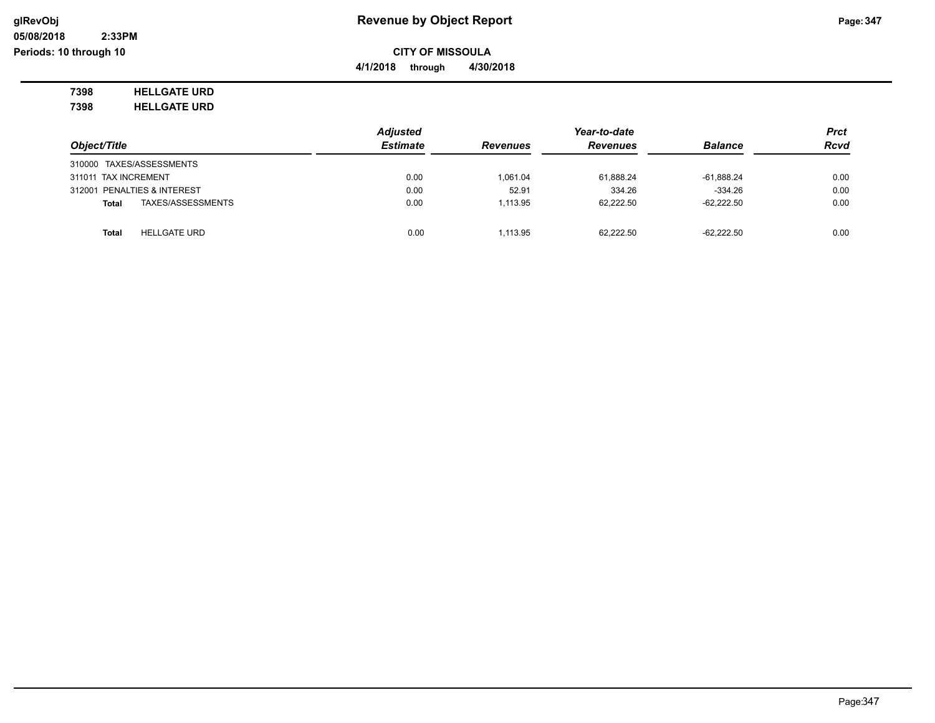**4/1/2018 through 4/30/2018**

**7398 HELLGATE URD**

**7398 HELLGATE URD**

|                      |                             | <b>Adjusted</b> |                 | Year-to-date   |              | <b>Prct</b> |
|----------------------|-----------------------------|-----------------|-----------------|----------------|--------------|-------------|
| Object/Title         | <b>Estimate</b>             | <b>Revenues</b> | <b>Revenues</b> | <b>Balance</b> | <b>Rcvd</b>  |             |
|                      | 310000 TAXES/ASSESSMENTS    |                 |                 |                |              |             |
| 311011 TAX INCREMENT |                             | 0.00            | 1.061.04        | 61,888.24      | $-61,888.24$ | 0.00        |
|                      | 312001 PENALTIES & INTEREST | 0.00            | 52.91           | 334.26         | $-334.26$    | 0.00        |
| <b>Total</b>         | TAXES/ASSESSMENTS           | 0.00            | 1.113.95        | 62.222.50      | $-62.222.50$ | 0.00        |
| <b>Total</b>         | <b>HELLGATE URD</b>         | 0.00            | 1.113.95        | 62.222.50      | $-62,222.50$ | 0.00        |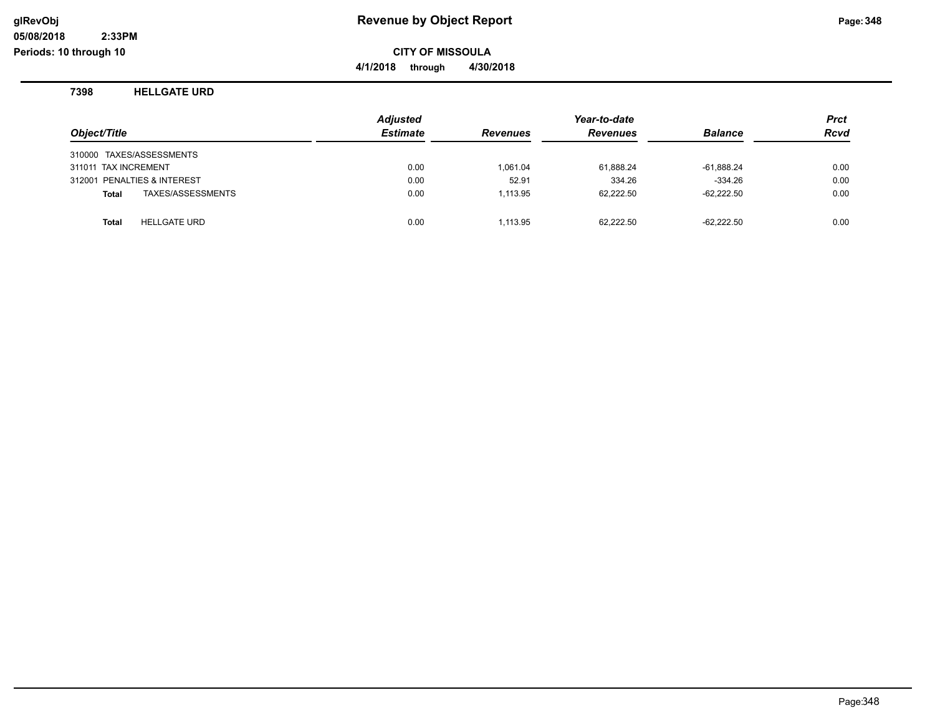**4/1/2018 through 4/30/2018**

#### **7398 HELLGATE URD**

|                                     | <b>Adjusted</b> |                 | Year-to-date    |                | <b>Prct</b> |
|-------------------------------------|-----------------|-----------------|-----------------|----------------|-------------|
| Object/Title                        | <b>Estimate</b> | <b>Revenues</b> | <b>Revenues</b> | <b>Balance</b> | <b>Rcvd</b> |
| 310000 TAXES/ASSESSMENTS            |                 |                 |                 |                |             |
| 311011 TAX INCREMENT                | 0.00            | 1.061.04        | 61.888.24       | $-61.888.24$   | 0.00        |
| 312001 PENALTIES & INTEREST         | 0.00            | 52.91           | 334.26          | $-334.26$      | 0.00        |
| TAXES/ASSESSMENTS<br><b>Total</b>   | 0.00            | 1.113.95        | 62.222.50       | $-62.222.50$   | 0.00        |
|                                     |                 |                 |                 |                |             |
| <b>HELLGATE URD</b><br><b>Total</b> | 0.00            | 1.113.95        | 62.222.50       | $-62.222.50$   | 0.00        |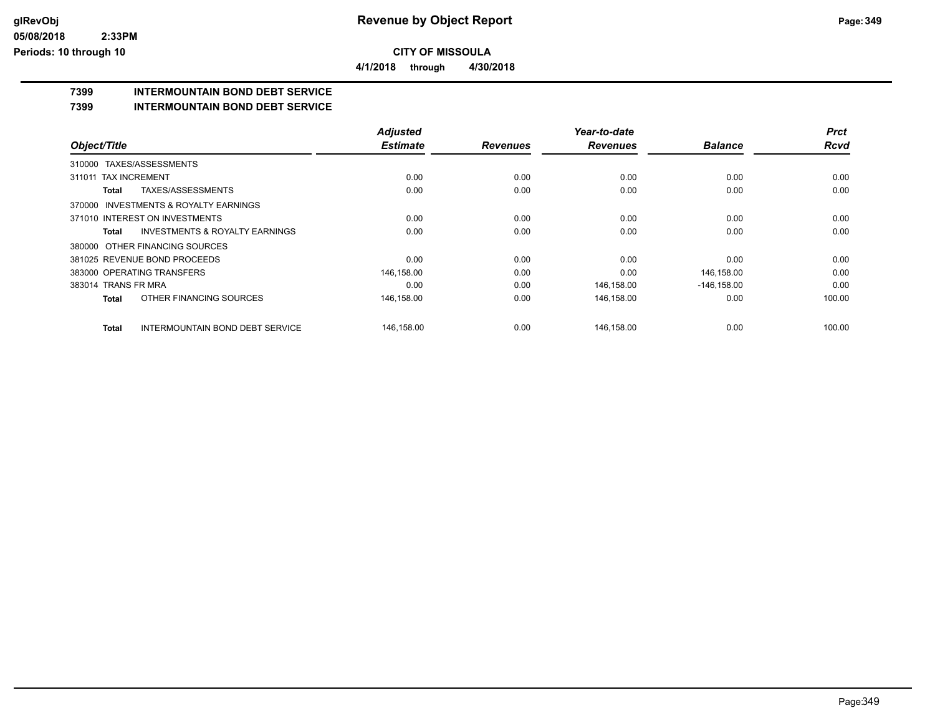**4/1/2018 through 4/30/2018**

## **7399 INTERMOUNTAIN BOND DEBT SERVICE**

#### **7399 INTERMOUNTAIN BOND DEBT SERVICE**

|                                                        | <b>Adjusted</b> |                 | Year-to-date    |                | <b>Prct</b> |
|--------------------------------------------------------|-----------------|-----------------|-----------------|----------------|-------------|
| Object/Title                                           | <b>Estimate</b> | <b>Revenues</b> | <b>Revenues</b> | <b>Balance</b> | <b>Rcvd</b> |
| TAXES/ASSESSMENTS<br>310000                            |                 |                 |                 |                |             |
| 311011 TAX INCREMENT                                   | 0.00            | 0.00            | 0.00            | 0.00           | 0.00        |
| TAXES/ASSESSMENTS<br>Total                             | 0.00            | 0.00            | 0.00            | 0.00           | 0.00        |
| INVESTMENTS & ROYALTY EARNINGS<br>370000               |                 |                 |                 |                |             |
| 371010 INTEREST ON INVESTMENTS                         | 0.00            | 0.00            | 0.00            | 0.00           | 0.00        |
| <b>INVESTMENTS &amp; ROYALTY EARNINGS</b><br>Total     | 0.00            | 0.00            | 0.00            | 0.00           | 0.00        |
| 380000 OTHER FINANCING SOURCES                         |                 |                 |                 |                |             |
| 381025 REVENUE BOND PROCEEDS                           | 0.00            | 0.00            | 0.00            | 0.00           | 0.00        |
| 383000 OPERATING TRANSFERS                             | 146,158.00      | 0.00            | 0.00            | 146,158.00     | 0.00        |
| 383014 TRANS FR MRA                                    | 0.00            | 0.00            | 146,158.00      | $-146, 158.00$ | 0.00        |
| OTHER FINANCING SOURCES<br><b>Total</b>                | 146,158.00      | 0.00            | 146,158.00      | 0.00           | 100.00      |
| <b>INTERMOUNTAIN BOND DEBT SERVICE</b><br><b>Total</b> | 146.158.00      | 0.00            | 146.158.00      | 0.00           | 100.00      |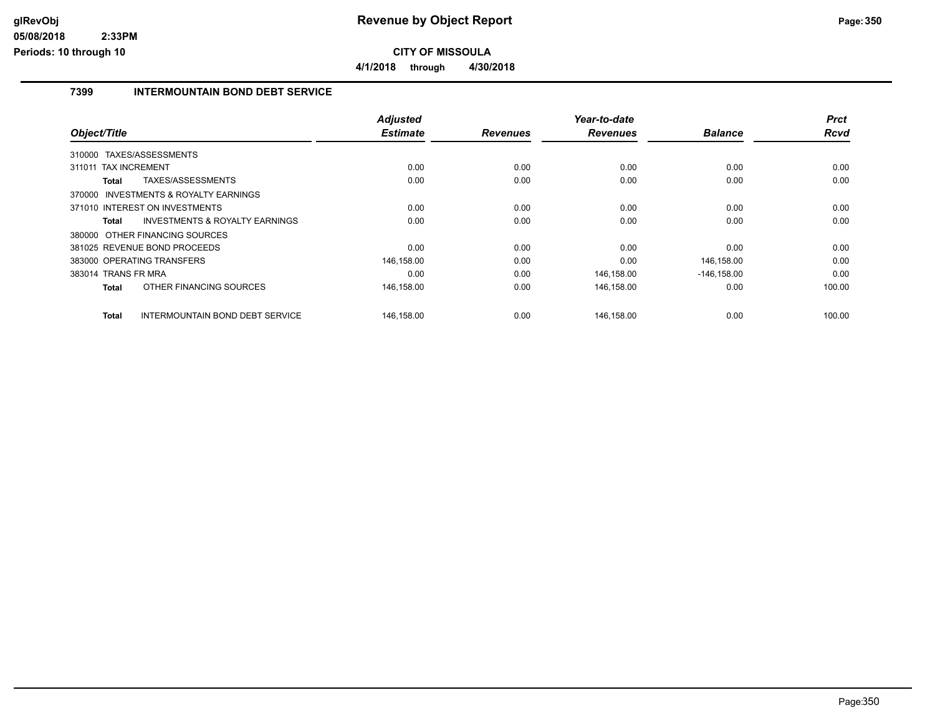**4/1/2018 through 4/30/2018**

#### **7399 INTERMOUNTAIN BOND DEBT SERVICE**

| Object/Title                                           | <b>Adjusted</b><br><b>Estimate</b> | <b>Revenues</b> | Year-to-date<br><b>Revenues</b> | <b>Balance</b> | <b>Prct</b><br>Rcvd |
|--------------------------------------------------------|------------------------------------|-----------------|---------------------------------|----------------|---------------------|
|                                                        |                                    |                 |                                 |                |                     |
| 310000 TAXES/ASSESSMENTS                               |                                    |                 |                                 |                |                     |
| 311011 TAX INCREMENT                                   | 0.00                               | 0.00            | 0.00                            | 0.00           | 0.00                |
| TAXES/ASSESSMENTS<br>Total                             | 0.00                               | 0.00            | 0.00                            | 0.00           | 0.00                |
| 370000 INVESTMENTS & ROYALTY EARNINGS                  |                                    |                 |                                 |                |                     |
| 371010 INTEREST ON INVESTMENTS                         | 0.00                               | 0.00            | 0.00                            | 0.00           | 0.00                |
| <b>INVESTMENTS &amp; ROYALTY EARNINGS</b><br>Total     | 0.00                               | 0.00            | 0.00                            | 0.00           | 0.00                |
| 380000 OTHER FINANCING SOURCES                         |                                    |                 |                                 |                |                     |
| 381025 REVENUE BOND PROCEEDS                           | 0.00                               | 0.00            | 0.00                            | 0.00           | 0.00                |
| 383000 OPERATING TRANSFERS                             | 146,158.00                         | 0.00            | 0.00                            | 146,158.00     | 0.00                |
| 383014 TRANS FR MRA                                    | 0.00                               | 0.00            | 146,158.00                      | $-146, 158.00$ | 0.00                |
| OTHER FINANCING SOURCES<br><b>Total</b>                | 146,158.00                         | 0.00            | 146,158.00                      | 0.00           | 100.00              |
| <b>INTERMOUNTAIN BOND DEBT SERVICE</b><br><b>Total</b> | 146,158.00                         | 0.00            | 146,158.00                      | 0.00           | 100.00              |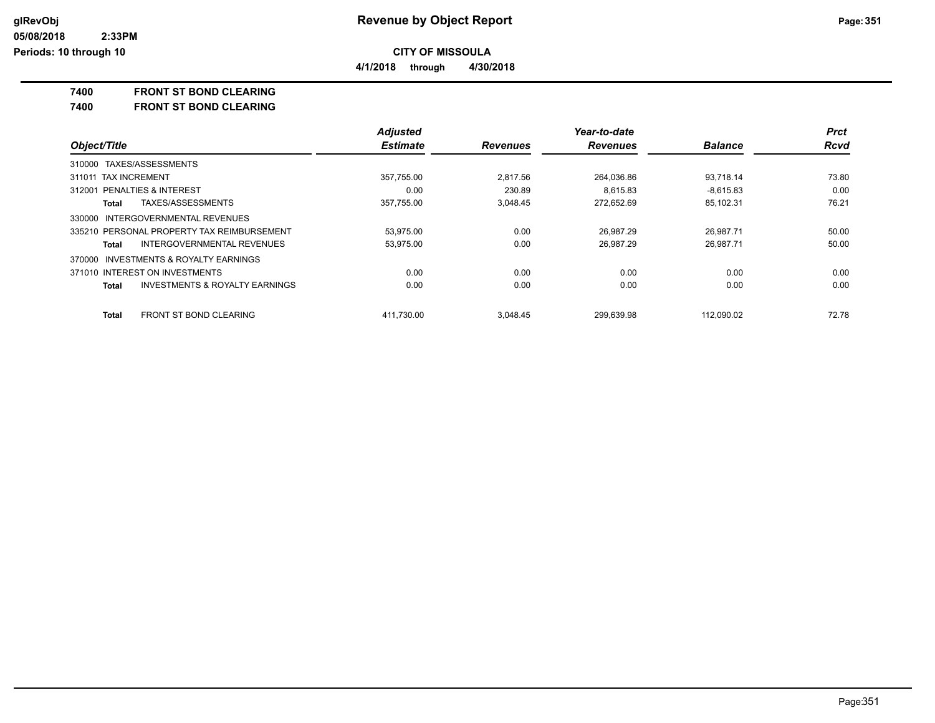**4/1/2018 through 4/30/2018**

**7400 FRONT ST BOND CLEARING**

**7400 FRONT ST BOND CLEARING**

|                                                    | <b>Adjusted</b> |                 | Year-to-date    | <b>Balance</b> | <b>Prct</b><br><b>Rcvd</b> |
|----------------------------------------------------|-----------------|-----------------|-----------------|----------------|----------------------------|
| Object/Title                                       | <b>Estimate</b> | <b>Revenues</b> | <b>Revenues</b> |                |                            |
| 310000 TAXES/ASSESSMENTS                           |                 |                 |                 |                |                            |
| 311011 TAX INCREMENT                               | 357,755.00      | 2.817.56        | 264,036.86      | 93,718.14      | 73.80                      |
| 312001 PENALTIES & INTEREST                        | 0.00            | 230.89          | 8.615.83        | $-8.615.83$    | 0.00                       |
| TAXES/ASSESSMENTS<br>Total                         | 357,755.00      | 3.048.45        | 272,652.69      | 85.102.31      | 76.21                      |
| 330000 INTERGOVERNMENTAL REVENUES                  |                 |                 |                 |                |                            |
| 335210 PERSONAL PROPERTY TAX REIMBURSEMENT         | 53,975.00       | 0.00            | 26.987.29       | 26,987.71      | 50.00                      |
| <b>INTERGOVERNMENTAL REVENUES</b><br>Total         | 53,975.00       | 0.00            | 26,987.29       | 26,987.71      | 50.00                      |
| 370000 INVESTMENTS & ROYALTY EARNINGS              |                 |                 |                 |                |                            |
| 371010 INTEREST ON INVESTMENTS                     | 0.00            | 0.00            | 0.00            | 0.00           | 0.00                       |
| <b>INVESTMENTS &amp; ROYALTY EARNINGS</b><br>Total | 0.00            | 0.00            | 0.00            | 0.00           | 0.00                       |
| <b>FRONT ST BOND CLEARING</b><br>Total             | 411.730.00      | 3.048.45        | 299.639.98      | 112.090.02     | 72.78                      |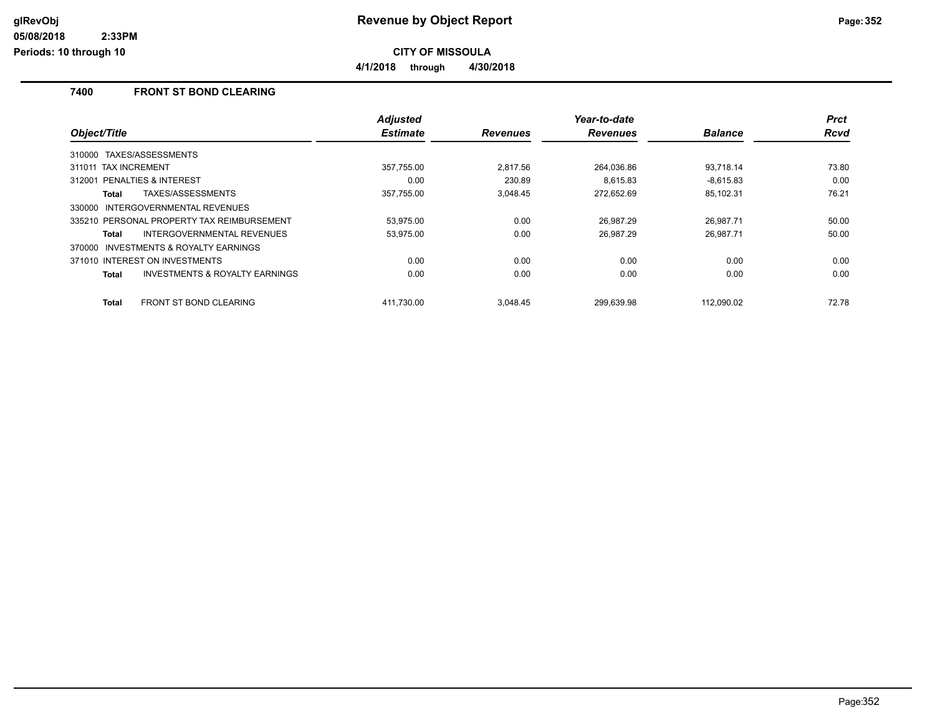**4/1/2018 through 4/30/2018**

#### **7400 FRONT ST BOND CLEARING**

|                                                    | <b>Adjusted</b> |                 | Year-to-date    |                | <b>Prct</b> |
|----------------------------------------------------|-----------------|-----------------|-----------------|----------------|-------------|
| Object/Title                                       | <b>Estimate</b> | <b>Revenues</b> | <b>Revenues</b> | <b>Balance</b> | Rcvd        |
| 310000 TAXES/ASSESSMENTS                           |                 |                 |                 |                |             |
| 311011 TAX INCREMENT                               | 357,755.00      | 2,817.56        | 264,036.86      | 93.718.14      | 73.80       |
| 312001 PENALTIES & INTEREST                        | 0.00            | 230.89          | 8.615.83        | $-8.615.83$    | 0.00        |
| TAXES/ASSESSMENTS<br>Total                         | 357,755.00      | 3,048.45        | 272,652.69      | 85,102.31      | 76.21       |
| INTERGOVERNMENTAL REVENUES<br>330000               |                 |                 |                 |                |             |
| 335210 PERSONAL PROPERTY TAX REIMBURSEMENT         | 53,975.00       | 0.00            | 26,987.29       | 26,987.71      | 50.00       |
| <b>INTERGOVERNMENTAL REVENUES</b><br>Total         | 53.975.00       | 0.00            | 26.987.29       | 26.987.71      | 50.00       |
| INVESTMENTS & ROYALTY EARNINGS<br>370000           |                 |                 |                 |                |             |
| 371010 INTEREST ON INVESTMENTS                     | 0.00            | 0.00            | 0.00            | 0.00           | 0.00        |
| <b>INVESTMENTS &amp; ROYALTY EARNINGS</b><br>Total | 0.00            | 0.00            | 0.00            | 0.00           | 0.00        |
| <b>FRONT ST BOND CLEARING</b><br><b>Total</b>      | 411.730.00      | 3.048.45        | 299.639.98      | 112.090.02     | 72.78       |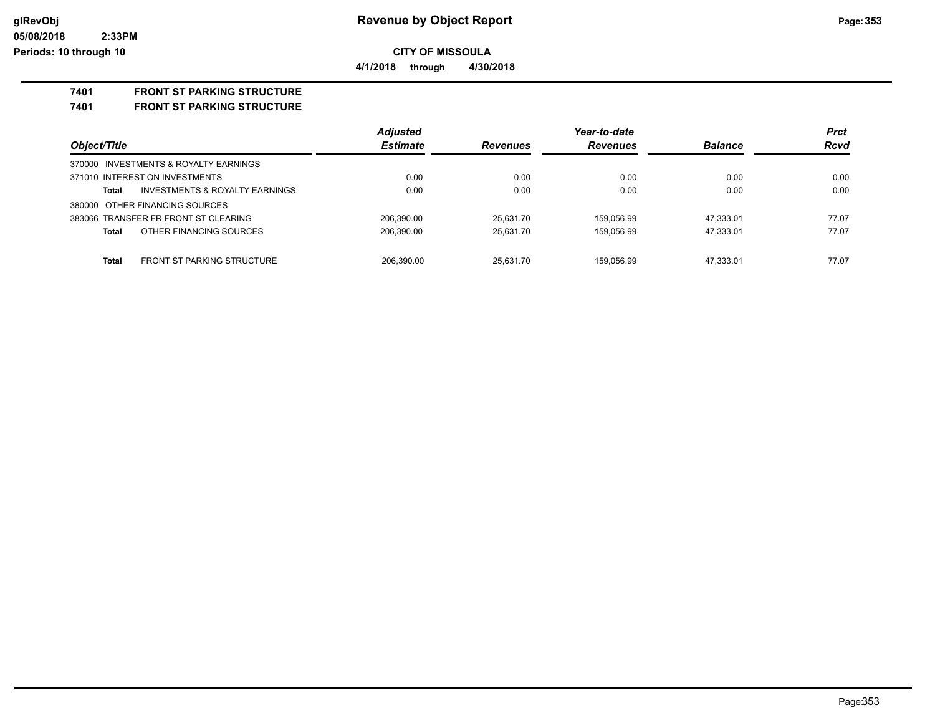**4/1/2018 through 4/30/2018**

## **7401 FRONT ST PARKING STRUCTURE**

**7401 FRONT ST PARKING STRUCTURE**

|                                                           | <b>Adjusted</b> |                 | Year-to-date    |                | <b>Prct</b> |
|-----------------------------------------------------------|-----------------|-----------------|-----------------|----------------|-------------|
| Object/Title                                              | <b>Estimate</b> | <b>Revenues</b> | <b>Revenues</b> | <b>Balance</b> | <b>Rcvd</b> |
| 370000 INVESTMENTS & ROYALTY EARNINGS                     |                 |                 |                 |                |             |
| 371010 INTEREST ON INVESTMENTS                            | 0.00            | 0.00            | 0.00            | 0.00           | 0.00        |
| <b>INVESTMENTS &amp; ROYALTY EARNINGS</b><br><b>Total</b> | 0.00            | 0.00            | 0.00            | 0.00           | 0.00        |
| 380000 OTHER FINANCING SOURCES                            |                 |                 |                 |                |             |
| 383066 TRANSFER FR FRONT ST CLEARING                      | 206.390.00      | 25.631.70       | 159.056.99      | 47.333.01      | 77.07       |
| OTHER FINANCING SOURCES<br><b>Total</b>                   | 206.390.00      | 25.631.70       | 159,056.99      | 47.333.01      | 77.07       |
|                                                           |                 |                 |                 |                |             |
| <b>FRONT ST PARKING STRUCTURE</b><br><b>Total</b>         | 206.390.00      | 25.631.70       | 159.056.99      | 47.333.01      | 77.07       |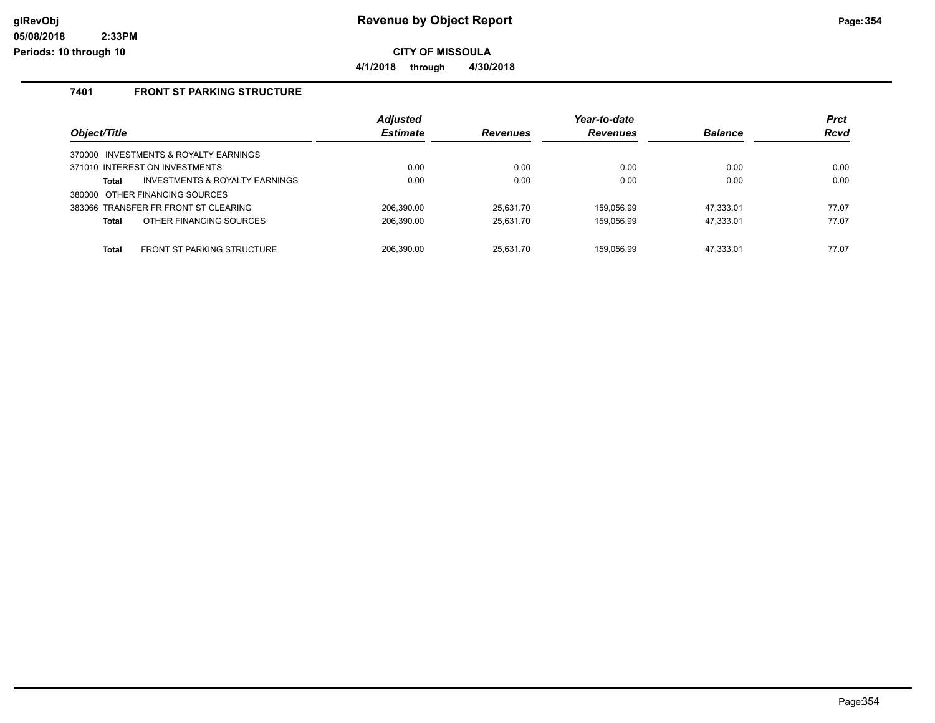**4/1/2018 through 4/30/2018**

#### **7401 FRONT ST PARKING STRUCTURE**

|              |                                           | <b>Adjusted</b> |                 | Year-to-date    |                | <b>Prct</b> |
|--------------|-------------------------------------------|-----------------|-----------------|-----------------|----------------|-------------|
| Object/Title |                                           | <b>Estimate</b> | <b>Revenues</b> | <b>Revenues</b> | <b>Balance</b> | <b>Rcvd</b> |
| 370000       | INVESTMENTS & ROYALTY EARNINGS            |                 |                 |                 |                |             |
|              | 371010 INTEREST ON INVESTMENTS            | 0.00            | 0.00            | 0.00            | 0.00           | 0.00        |
| Total        | <b>INVESTMENTS &amp; ROYALTY EARNINGS</b> | 0.00            | 0.00            | 0.00            | 0.00           | 0.00        |
|              | 380000 OTHER FINANCING SOURCES            |                 |                 |                 |                |             |
|              | 383066 TRANSFER FR FRONT ST CLEARING      | 206,390.00      | 25.631.70       | 159.056.99      | 47.333.01      | 77.07       |
| Total        | OTHER FINANCING SOURCES                   | 206,390.00      | 25,631.70       | 159,056.99      | 47,333.01      | 77.07       |
| Total        | <b>FRONT ST PARKING STRUCTURE</b>         | 206.390.00      | 25.631.70       | 159.056.99      | 47.333.01      | 77.07       |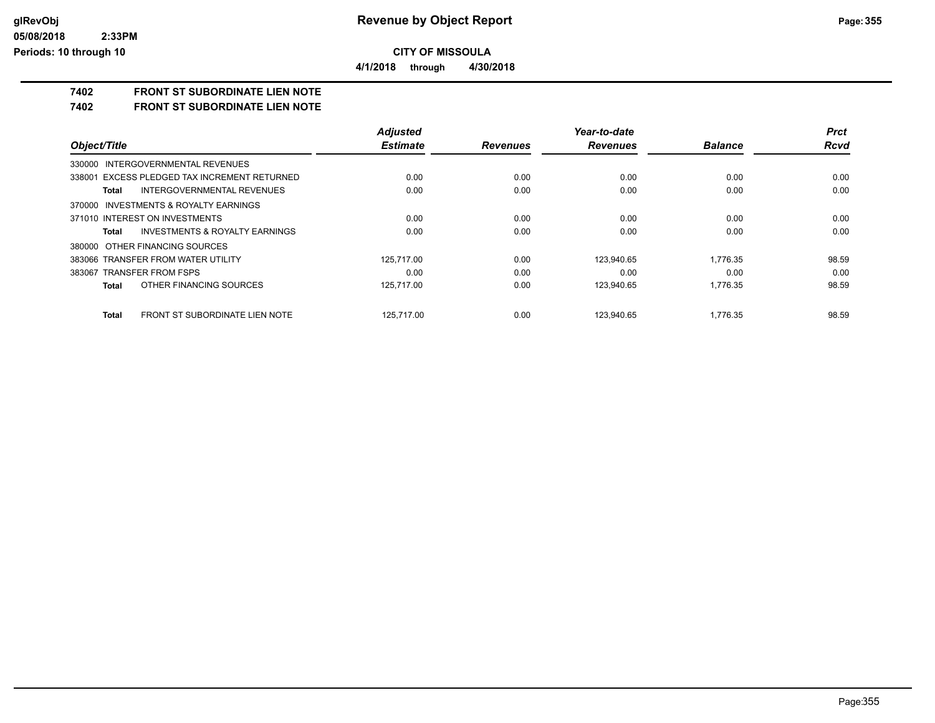**4/1/2018 through 4/30/2018**

## **7402 FRONT ST SUBORDINATE LIEN NOTE**

**7402 FRONT ST SUBORDINATE LIEN NOTE**

|                                                    | <b>Adjusted</b> |                 | Year-to-date    |                | <b>Prct</b> |
|----------------------------------------------------|-----------------|-----------------|-----------------|----------------|-------------|
| Object/Title                                       | <b>Estimate</b> | <b>Revenues</b> | <b>Revenues</b> | <b>Balance</b> | <b>Rcvd</b> |
| 330000 INTERGOVERNMENTAL REVENUES                  |                 |                 |                 |                |             |
| 338001 EXCESS PLEDGED TAX INCREMENT RETURNED       | 0.00            | 0.00            | 0.00            | 0.00           | 0.00        |
| <b>INTERGOVERNMENTAL REVENUES</b><br>Total         | 0.00            | 0.00            | 0.00            | 0.00           | 0.00        |
| 370000 INVESTMENTS & ROYALTY EARNINGS              |                 |                 |                 |                |             |
| 371010 INTEREST ON INVESTMENTS                     | 0.00            | 0.00            | 0.00            | 0.00           | 0.00        |
| <b>INVESTMENTS &amp; ROYALTY EARNINGS</b><br>Total | 0.00            | 0.00            | 0.00            | 0.00           | 0.00        |
| 380000 OTHER FINANCING SOURCES                     |                 |                 |                 |                |             |
| 383066 TRANSFER FROM WATER UTILITY                 | 125.717.00      | 0.00            | 123.940.65      | 1.776.35       | 98.59       |
| 383067 TRANSFER FROM FSPS                          | 0.00            | 0.00            | 0.00            | 0.00           | 0.00        |
| OTHER FINANCING SOURCES<br>Total                   | 125,717.00      | 0.00            | 123,940.65      | 1,776.35       | 98.59       |
| FRONT ST SUBORDINATE LIEN NOTE<br>Total            | 125.717.00      | 0.00            | 123.940.65      | 1.776.35       | 98.59       |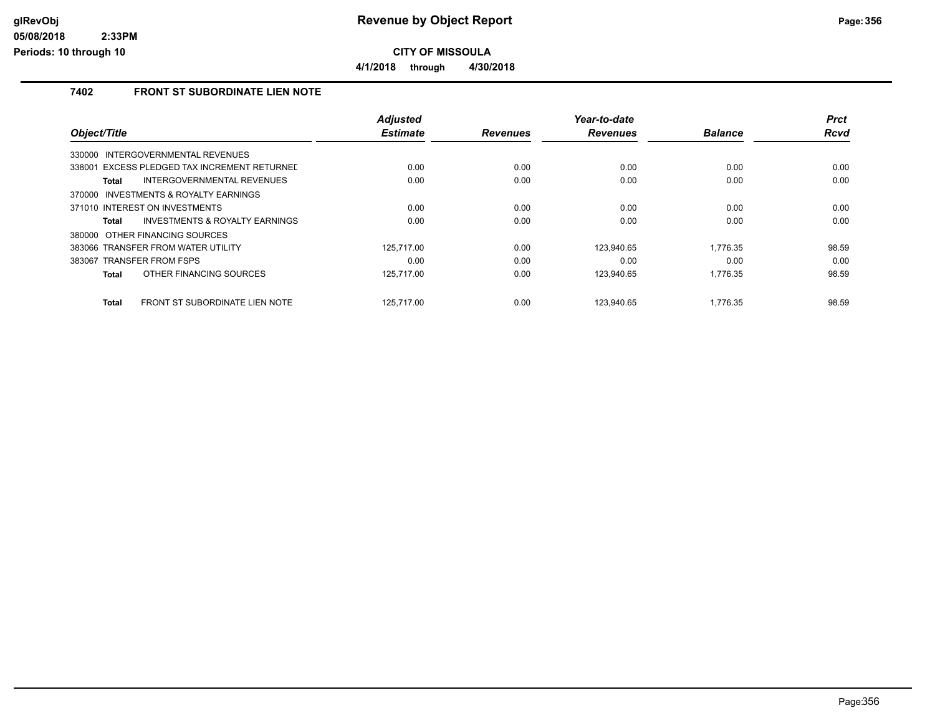**4/1/2018 through 4/30/2018**

#### **7402 FRONT ST SUBORDINATE LIEN NOTE**

|                                                     | <b>Adjusted</b> |                 | Year-to-date    |                | <b>Prct</b> |
|-----------------------------------------------------|-----------------|-----------------|-----------------|----------------|-------------|
| Object/Title                                        | <b>Estimate</b> | <b>Revenues</b> | <b>Revenues</b> | <b>Balance</b> | <b>Rcvd</b> |
| INTERGOVERNMENTAL REVENUES<br>330000                |                 |                 |                 |                |             |
| 338001 EXCESS PLEDGED TAX INCREMENT RETURNED        | 0.00            | 0.00            | 0.00            | 0.00           | 0.00        |
| INTERGOVERNMENTAL REVENUES<br>Total                 | 0.00            | 0.00            | 0.00            | 0.00           | 0.00        |
| <b>INVESTMENTS &amp; ROYALTY EARNINGS</b><br>370000 |                 |                 |                 |                |             |
| 371010 INTEREST ON INVESTMENTS                      | 0.00            | 0.00            | 0.00            | 0.00           | 0.00        |
| <b>INVESTMENTS &amp; ROYALTY EARNINGS</b><br>Total  | 0.00            | 0.00            | 0.00            | 0.00           | 0.00        |
| 380000 OTHER FINANCING SOURCES                      |                 |                 |                 |                |             |
| 383066 TRANSFER FROM WATER UTILITY                  | 125.717.00      | 0.00            | 123.940.65      | 1.776.35       | 98.59       |
| 383067 TRANSFER FROM FSPS                           | 0.00            | 0.00            | 0.00            | 0.00           | 0.00        |
| OTHER FINANCING SOURCES<br>Total                    | 125,717.00      | 0.00            | 123,940.65      | 1.776.35       | 98.59       |
| FRONT ST SUBORDINATE LIEN NOTE<br><b>Total</b>      | 125.717.00      | 0.00            | 123.940.65      | 1.776.35       | 98.59       |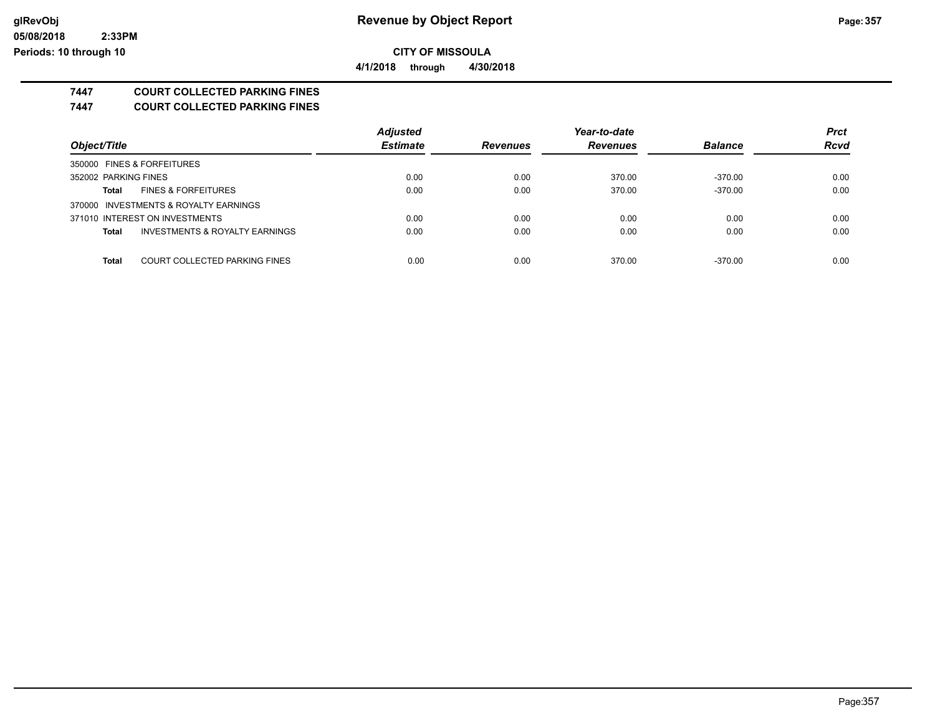**4/1/2018 through 4/30/2018**

## **7447 COURT COLLECTED PARKING FINES**

**7447 COURT COLLECTED PARKING FINES**

|                                                           | <b>Adjusted</b> |                 | Year-to-date    |                | <b>Prct</b> |
|-----------------------------------------------------------|-----------------|-----------------|-----------------|----------------|-------------|
| Object/Title                                              | <b>Estimate</b> | <b>Revenues</b> | <b>Revenues</b> | <b>Balance</b> | <b>Rcvd</b> |
| 350000 FINES & FORFEITURES                                |                 |                 |                 |                |             |
| 352002 PARKING FINES                                      | 0.00            | 0.00            | 370.00          | $-370.00$      | 0.00        |
| <b>FINES &amp; FORFEITURES</b><br><b>Total</b>            | 0.00            | 0.00            | 370.00          | $-370.00$      | 0.00        |
| 370000 INVESTMENTS & ROYALTY EARNINGS                     |                 |                 |                 |                |             |
| 371010 INTEREST ON INVESTMENTS                            | 0.00            | 0.00            | 0.00            | 0.00           | 0.00        |
| <b>INVESTMENTS &amp; ROYALTY EARNINGS</b><br><b>Total</b> | 0.00            | 0.00            | 0.00            | 0.00           | 0.00        |
|                                                           |                 |                 |                 |                |             |
| COURT COLLECTED PARKING FINES<br><b>Total</b>             | 0.00            | 0.00            | 370.00          | $-370.00$      | 0.00        |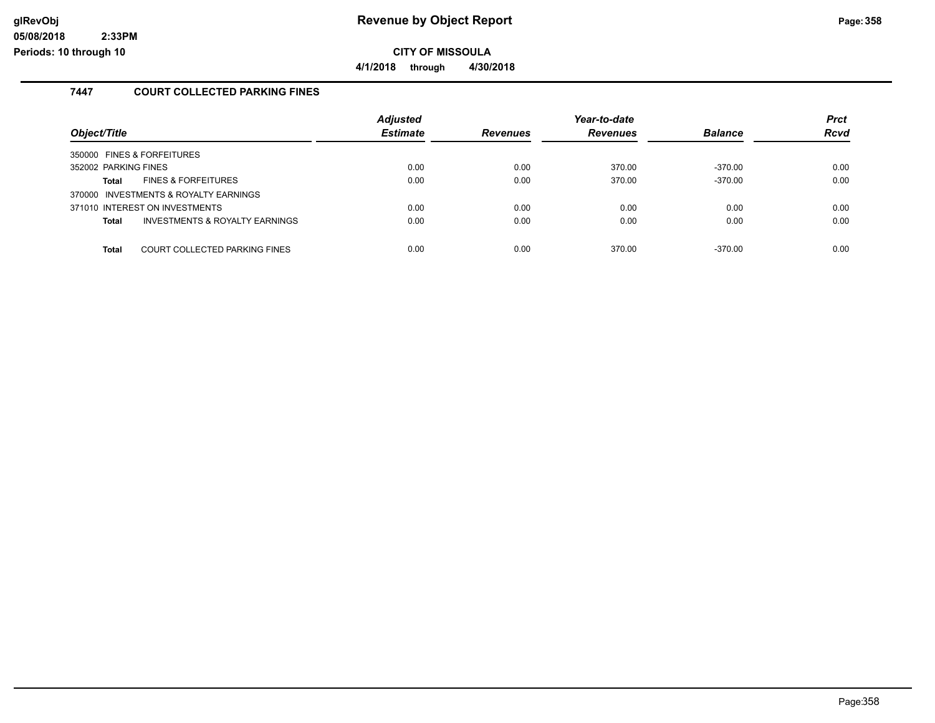**4/1/2018 through 4/30/2018**

#### **7447 COURT COLLECTED PARKING FINES**

| Object/Title                                              | <b>Adjusted</b><br><b>Estimate</b> | <b>Revenues</b> | Year-to-date<br><b>Revenues</b> | <b>Balance</b> | <b>Prct</b><br><b>Rcvd</b> |
|-----------------------------------------------------------|------------------------------------|-----------------|---------------------------------|----------------|----------------------------|
| 350000 FINES & FORFEITURES                                |                                    |                 |                                 |                |                            |
| 352002 PARKING FINES                                      | 0.00                               | 0.00            | 370.00                          | $-370.00$      | 0.00                       |
| <b>FINES &amp; FORFEITURES</b><br>Total                   | 0.00                               | 0.00            | 370.00                          | $-370.00$      | 0.00                       |
| 370000 INVESTMENTS & ROYALTY EARNINGS                     |                                    |                 |                                 |                |                            |
| 371010 INTEREST ON INVESTMENTS                            | 0.00                               | 0.00            | 0.00                            | 0.00           | 0.00                       |
| <b>INVESTMENTS &amp; ROYALTY EARNINGS</b><br><b>Total</b> | 0.00                               | 0.00            | 0.00                            | 0.00           | 0.00                       |
|                                                           |                                    |                 |                                 |                |                            |
| COURT COLLECTED PARKING FINES<br><b>Total</b>             | 0.00                               | 0.00            | 370.00                          | $-370.00$      | 0.00                       |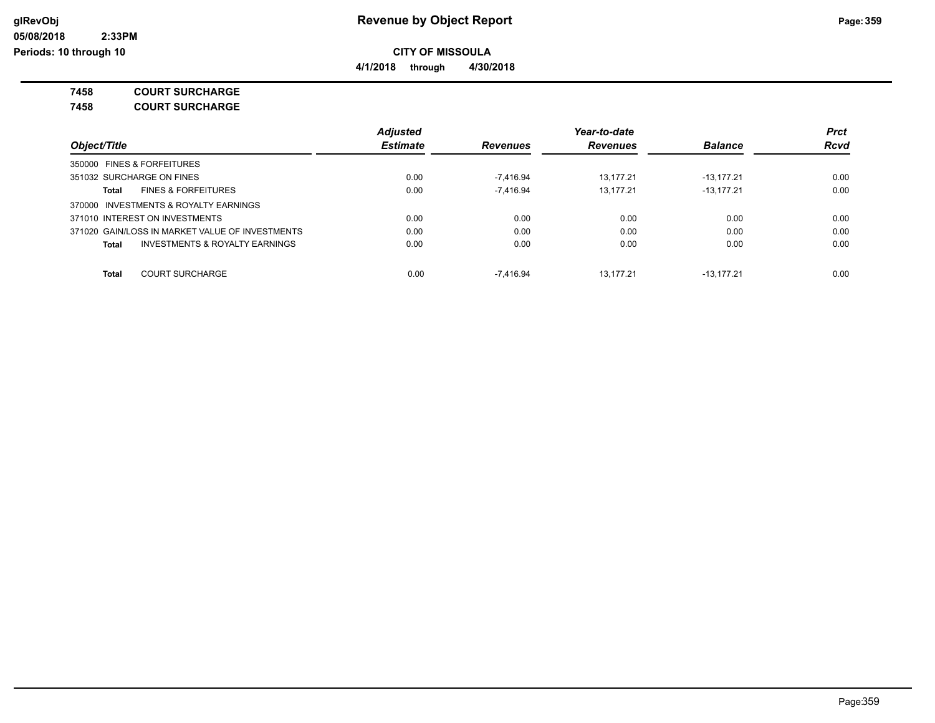**4/1/2018 through 4/30/2018**

**7458 COURT SURCHARGE**

**7458 COURT SURCHARGE**

|                                                    | <b>Adjusted</b> |                 | Year-to-date    |                | <b>Prct</b> |
|----------------------------------------------------|-----------------|-----------------|-----------------|----------------|-------------|
| Object/Title                                       | <b>Estimate</b> | <b>Revenues</b> | <b>Revenues</b> | <b>Balance</b> | <b>Rcvd</b> |
| 350000 FINES & FORFEITURES                         |                 |                 |                 |                |             |
| 351032 SURCHARGE ON FINES                          | 0.00            | $-7.416.94$     | 13.177.21       | $-13.177.21$   | 0.00        |
| <b>FINES &amp; FORFEITURES</b><br>Total            | 0.00            | $-7.416.94$     | 13.177.21       | $-13.177.21$   | 0.00        |
| 370000 INVESTMENTS & ROYALTY EARNINGS              |                 |                 |                 |                |             |
| 371010 INTEREST ON INVESTMENTS                     | 0.00            | 0.00            | 0.00            | 0.00           | 0.00        |
| 371020 GAIN/LOSS IN MARKET VALUE OF INVESTMENTS    | 0.00            | 0.00            | 0.00            | 0.00           | 0.00        |
| <b>INVESTMENTS &amp; ROYALTY EARNINGS</b><br>Total | 0.00            | 0.00            | 0.00            | 0.00           | 0.00        |
| <b>COURT SURCHARGE</b><br><b>Total</b>             | 0.00            | $-7.416.94$     | 13.177.21       | $-13.177.21$   | 0.00        |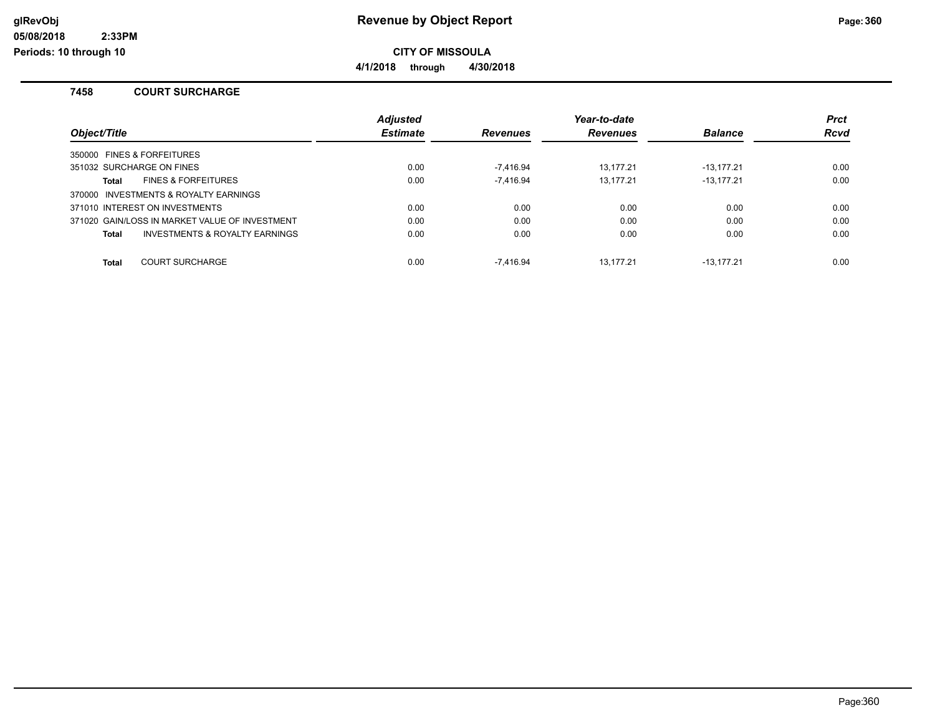**4/1/2018 through 4/30/2018**

#### **7458 COURT SURCHARGE**

|                                                | <b>Adjusted</b> |                 | Year-to-date    |                | <b>Prct</b> |
|------------------------------------------------|-----------------|-----------------|-----------------|----------------|-------------|
| Object/Title                                   | <b>Estimate</b> | <b>Revenues</b> | <b>Revenues</b> | <b>Balance</b> | <b>Rcvd</b> |
| 350000 FINES & FORFEITURES                     |                 |                 |                 |                |             |
| 351032 SURCHARGE ON FINES                      | 0.00            | $-7.416.94$     | 13.177.21       | $-13.177.21$   | 0.00        |
| <b>FINES &amp; FORFEITURES</b><br><b>Total</b> | 0.00            | $-7.416.94$     | 13.177.21       | $-13.177.21$   | 0.00        |
| 370000 INVESTMENTS & ROYALTY EARNINGS          |                 |                 |                 |                |             |
| 371010 INTEREST ON INVESTMENTS                 | 0.00            | 0.00            | 0.00            | 0.00           | 0.00        |
| 371020 GAIN/LOSS IN MARKET VALUE OF INVESTMENT | 0.00            | 0.00            | 0.00            | 0.00           | 0.00        |
| INVESTMENTS & ROYALTY EARNINGS<br><b>Total</b> | 0.00            | 0.00            | 0.00            | 0.00           | 0.00        |
|                                                |                 |                 |                 |                |             |
| <b>COURT SURCHARGE</b><br><b>Total</b>         | 0.00            | $-7.416.94$     | 13.177.21       | $-13.177.21$   | 0.00        |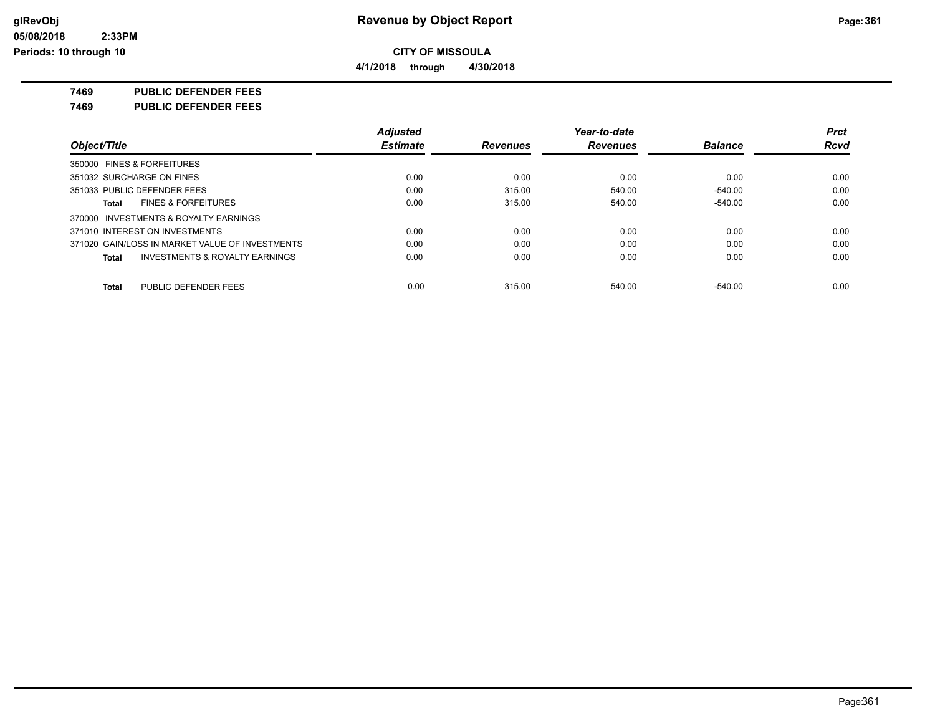**4/1/2018 through 4/30/2018**

**7469 PUBLIC DEFENDER FEES**

**7469 PUBLIC DEFENDER FEES**

|                                                    | <b>Adjusted</b> |                 | Year-to-date    |                | <b>Prct</b> |
|----------------------------------------------------|-----------------|-----------------|-----------------|----------------|-------------|
| Object/Title                                       | <b>Estimate</b> | <b>Revenues</b> | <b>Revenues</b> | <b>Balance</b> | <b>Rcvd</b> |
| 350000 FINES & FORFEITURES                         |                 |                 |                 |                |             |
| 351032 SURCHARGE ON FINES                          | 0.00            | 0.00            | 0.00            | 0.00           | 0.00        |
| 351033 PUBLIC DEFENDER FEES                        | 0.00            | 315.00          | 540.00          | $-540.00$      | 0.00        |
| <b>FINES &amp; FORFEITURES</b><br>Total            | 0.00            | 315.00          | 540.00          | $-540.00$      | 0.00        |
| 370000 INVESTMENTS & ROYALTY EARNINGS              |                 |                 |                 |                |             |
| 371010 INTEREST ON INVESTMENTS                     | 0.00            | 0.00            | 0.00            | 0.00           | 0.00        |
| 371020 GAIN/LOSS IN MARKET VALUE OF INVESTMENTS    | 0.00            | 0.00            | 0.00            | 0.00           | 0.00        |
| <b>INVESTMENTS &amp; ROYALTY EARNINGS</b><br>Total | 0.00            | 0.00            | 0.00            | 0.00           | 0.00        |
| PUBLIC DEFENDER FEES<br>Total                      | 0.00            | 315.00          | 540.00          | $-540.00$      | 0.00        |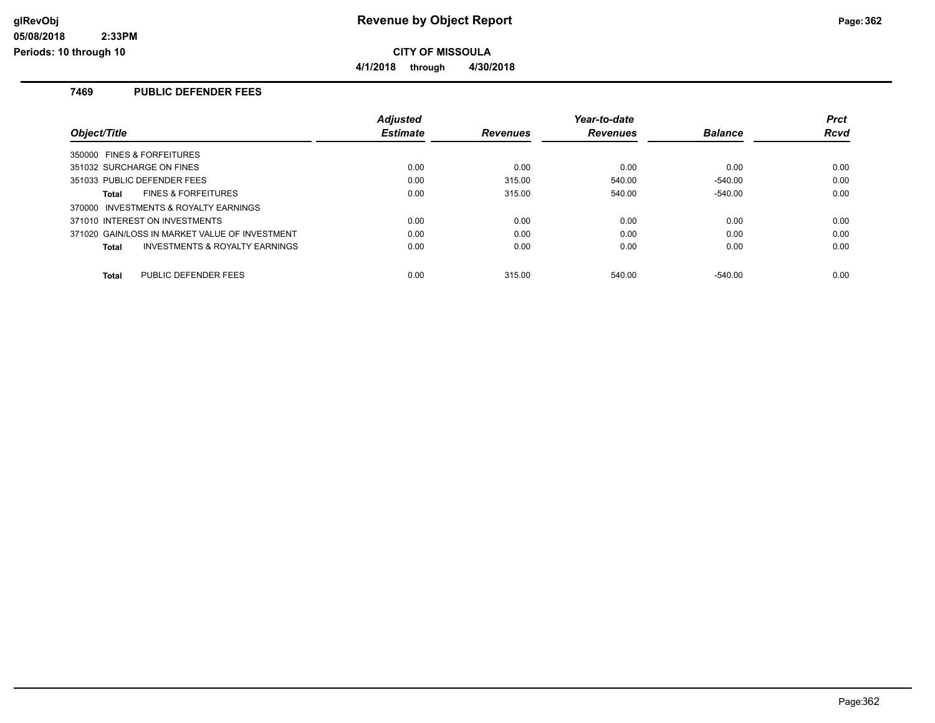**4/1/2018 through 4/30/2018**

#### **7469 PUBLIC DEFENDER FEES**

|                                                | <b>Adiusted</b> |                 | Year-to-date    |                | <b>Prct</b> |
|------------------------------------------------|-----------------|-----------------|-----------------|----------------|-------------|
| Obiect/Title                                   | <b>Estimate</b> | <b>Revenues</b> | <b>Revenues</b> | <b>Balance</b> | Rcvd        |
| 350000 FINES & FORFEITURES                     |                 |                 |                 |                |             |
| 351032 SURCHARGE ON FINES                      | 0.00            | 0.00            | 0.00            | 0.00           | 0.00        |
| 351033 PUBLIC DEFENDER FEES                    | 0.00            | 315.00          | 540.00          | $-540.00$      | 0.00        |
| <b>FINES &amp; FORFEITURES</b><br>Total        | 0.00            | 315.00          | 540.00          | $-540.00$      | 0.00        |
| 370000 INVESTMENTS & ROYALTY EARNINGS          |                 |                 |                 |                |             |
| 371010 INTEREST ON INVESTMENTS                 | 0.00            | 0.00            | 0.00            | 0.00           | 0.00        |
| 371020 GAIN/LOSS IN MARKET VALUE OF INVESTMENT | 0.00            | 0.00            | 0.00            | 0.00           | 0.00        |
| INVESTMENTS & ROYALTY EARNINGS<br>Total        | 0.00            | 0.00            | 0.00            | 0.00           | 0.00        |
| PUBLIC DEFENDER FEES<br><b>Total</b>           | 0.00            | 315.00          | 540.00          | $-540.00$      | 0.00        |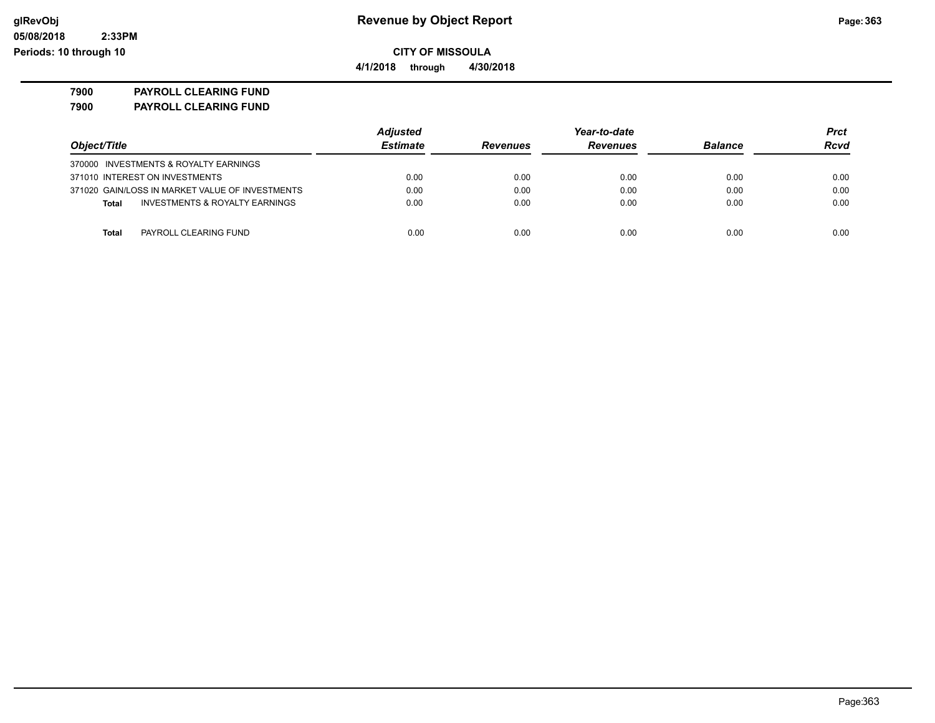**4/1/2018 through 4/30/2018**

**7900 PAYROLL CLEARING FUND**

**7900 PAYROLL CLEARING FUND**

|                                                           | <b>Adjusted</b> |                 | Year-to-date    |                | Prct |
|-----------------------------------------------------------|-----------------|-----------------|-----------------|----------------|------|
| Object/Title                                              | <b>Estimate</b> | <b>Revenues</b> | <b>Revenues</b> | <b>Balance</b> | Rcvd |
| 370000 INVESTMENTS & ROYALTY EARNINGS                     |                 |                 |                 |                |      |
| 371010 INTEREST ON INVESTMENTS                            | 0.00            | 0.00            | 0.00            | 0.00           | 0.00 |
| 371020 GAIN/LOSS IN MARKET VALUE OF INVESTMENTS           | 0.00            | 0.00            | 0.00            | 0.00           | 0.00 |
| <b>INVESTMENTS &amp; ROYALTY EARNINGS</b><br><b>Total</b> | 0.00            | 0.00            | 0.00            | 0.00           | 0.00 |
|                                                           |                 |                 |                 |                |      |
| <b>Total</b><br>PAYROLL CLEARING FUND                     | 0.00            | 0.00            | 0.00            | 0.00           | 0.00 |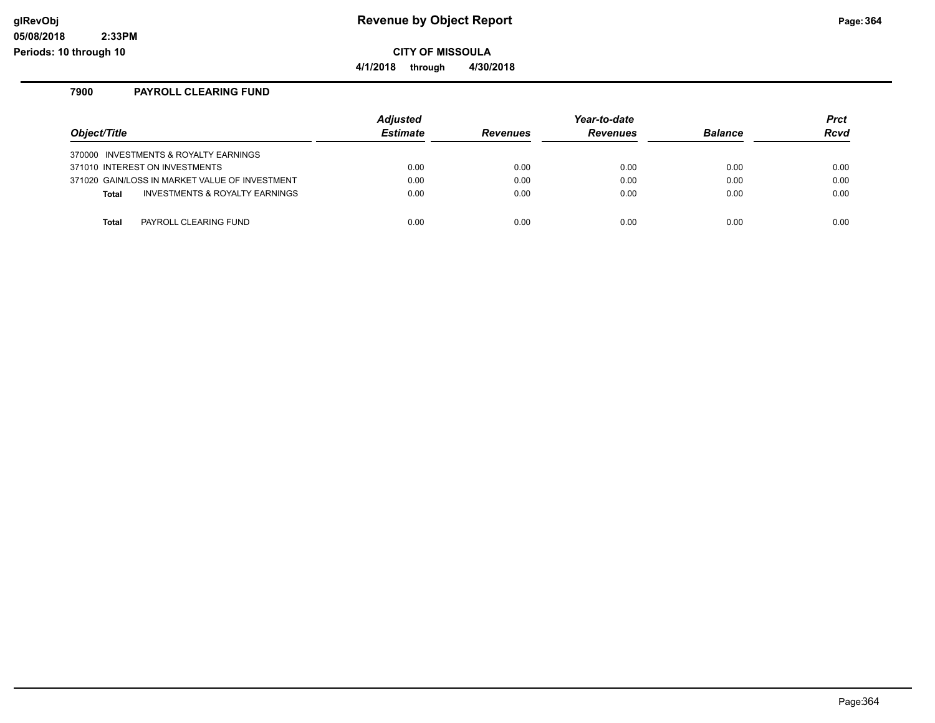**4/1/2018 through 4/30/2018**

#### **7900 PAYROLL CLEARING FUND**

| Object/Title                                              | <b>Adjusted</b><br><b>Estimate</b> | <b>Revenues</b> | Year-to-date<br><b>Revenues</b> | <b>Balance</b> | <b>Prct</b><br>Rcvd |
|-----------------------------------------------------------|------------------------------------|-----------------|---------------------------------|----------------|---------------------|
| 370000 INVESTMENTS & ROYALTY EARNINGS                     |                                    |                 |                                 |                |                     |
| 371010 INTEREST ON INVESTMENTS                            | 0.00                               | 0.00            | 0.00                            | 0.00           | 0.00                |
| 371020 GAIN/LOSS IN MARKET VALUE OF INVESTMENT            | 0.00                               | 0.00            | 0.00                            | 0.00           | 0.00                |
| <b>INVESTMENTS &amp; ROYALTY EARNINGS</b><br><b>Total</b> | 0.00                               | 0.00            | 0.00                            | 0.00           | 0.00                |
|                                                           |                                    |                 |                                 |                |                     |
| PAYROLL CLEARING FUND<br>Total                            | 0.00                               | 0.00            | 0.00                            | 0.00           | 0.00                |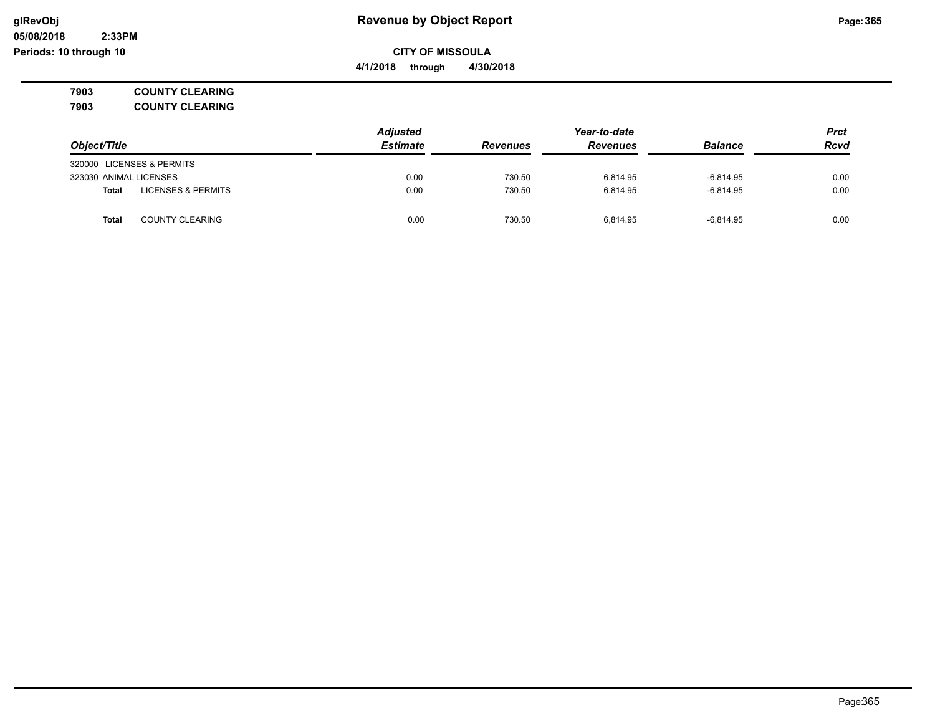**4/1/2018 through 4/30/2018**

**7903 COUNTY CLEARING**

**7903 COUNTY CLEARING**

|                                        | <b>Adjusted</b> |                 | Year-to-date    |                | <b>Prct</b> |  |
|----------------------------------------|-----------------|-----------------|-----------------|----------------|-------------|--|
| Object/Title                           | <b>Estimate</b> | <b>Revenues</b> | <b>Revenues</b> | <b>Balance</b> | <b>Rcvd</b> |  |
| 320000 LICENSES & PERMITS              |                 |                 |                 |                |             |  |
| 323030 ANIMAL LICENSES                 | 0.00            | 730.50          | 6.814.95        | $-6.814.95$    | 0.00        |  |
| <b>LICENSES &amp; PERMITS</b><br>Total | 0.00            | 730.50          | 6.814.95        | $-6.814.95$    | 0.00        |  |
| <b>COUNTY CLEARING</b><br><b>Total</b> | 0.00            | 730.50          | 6,814.95        | $-6.814.95$    | 0.00        |  |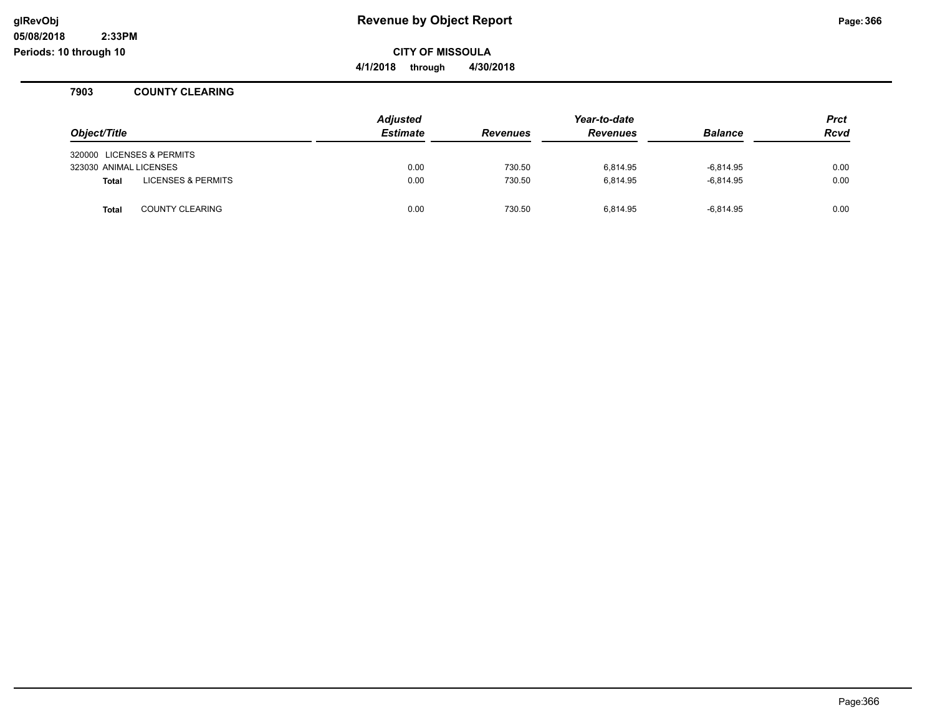**4/1/2018 through 4/30/2018**

#### **7903 COUNTY CLEARING**

| Object/Title           |                               | <b>Adjusted</b><br><b>Estimate</b> | <b>Revenues</b> | Year-to-date<br><b>Revenues</b> | <b>Balance</b> | <b>Prct</b><br><b>Rcvd</b> |
|------------------------|-------------------------------|------------------------------------|-----------------|---------------------------------|----------------|----------------------------|
|                        | 320000 LICENSES & PERMITS     |                                    |                 |                                 |                |                            |
| 323030 ANIMAL LICENSES |                               | 0.00                               | 730.50          | 6,814.95                        | $-6.814.95$    | 0.00                       |
| <b>Total</b>           | <b>LICENSES &amp; PERMITS</b> | 0.00                               | 730.50          | 6.814.95                        | $-6.814.95$    | 0.00                       |
| Total                  | <b>COUNTY CLEARING</b>        | 0.00                               | 730.50          | 6,814.95                        | $-6.814.95$    | 0.00                       |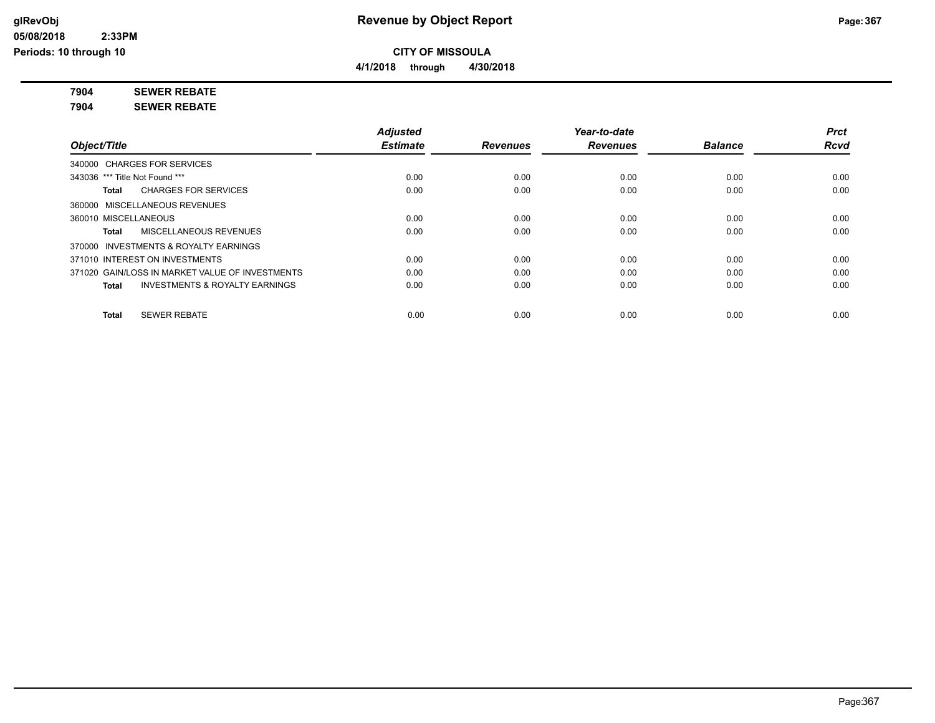**4/1/2018 through 4/30/2018**

**7904 SEWER REBATE**

**7904 SEWER REBATE**

|                                                 | <b>Adjusted</b> |                 | Year-to-date    |                | <b>Prct</b> |
|-------------------------------------------------|-----------------|-----------------|-----------------|----------------|-------------|
| Object/Title                                    | <b>Estimate</b> | <b>Revenues</b> | <b>Revenues</b> | <b>Balance</b> | <b>Rcvd</b> |
| 340000 CHARGES FOR SERVICES                     |                 |                 |                 |                |             |
| 343036 *** Title Not Found ***                  | 0.00            | 0.00            | 0.00            | 0.00           | 0.00        |
| <b>CHARGES FOR SERVICES</b><br>Total            | 0.00            | 0.00            | 0.00            | 0.00           | 0.00        |
| 360000 MISCELLANEOUS REVENUES                   |                 |                 |                 |                |             |
| 360010 MISCELLANEOUS                            | 0.00            | 0.00            | 0.00            | 0.00           | 0.00        |
| <b>MISCELLANEOUS REVENUES</b><br>Total          | 0.00            | 0.00            | 0.00            | 0.00           | 0.00        |
| 370000 INVESTMENTS & ROYALTY EARNINGS           |                 |                 |                 |                |             |
| 371010 INTEREST ON INVESTMENTS                  | 0.00            | 0.00            | 0.00            | 0.00           | 0.00        |
| 371020 GAIN/LOSS IN MARKET VALUE OF INVESTMENTS | 0.00            | 0.00            | 0.00            | 0.00           | 0.00        |
| INVESTMENTS & ROYALTY EARNINGS<br>Total         | 0.00            | 0.00            | 0.00            | 0.00           | 0.00        |
| <b>SEWER REBATE</b><br>Total                    | 0.00            | 0.00            | 0.00            | 0.00           | 0.00        |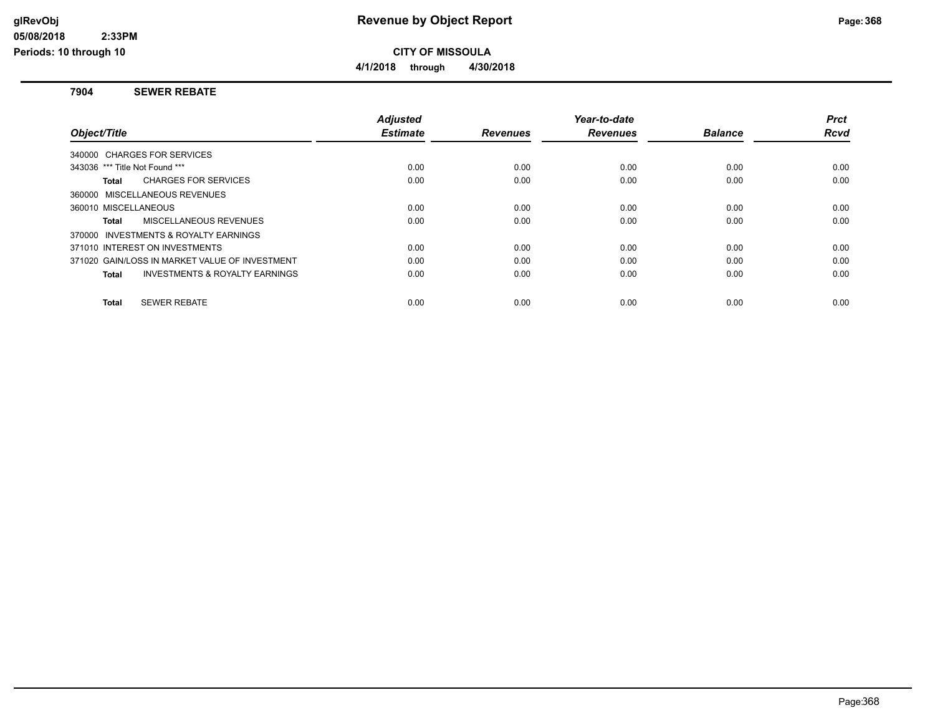**4/1/2018 through 4/30/2018**

#### **7904 SEWER REBATE**

| Object/Title                                       | <b>Adjusted</b><br><b>Estimate</b> | <b>Revenues</b> | Year-to-date<br><b>Revenues</b> | <b>Balance</b> | <b>Prct</b><br><b>Rcvd</b> |
|----------------------------------------------------|------------------------------------|-----------------|---------------------------------|----------------|----------------------------|
|                                                    |                                    |                 |                                 |                |                            |
| 340000 CHARGES FOR SERVICES                        |                                    |                 |                                 |                |                            |
| 343036 *** Title Not Found ***                     | 0.00                               | 0.00            | 0.00                            | 0.00           | 0.00                       |
| <b>CHARGES FOR SERVICES</b><br>Total               | 0.00                               | 0.00            | 0.00                            | 0.00           | 0.00                       |
| 360000 MISCELLANEOUS REVENUES                      |                                    |                 |                                 |                |                            |
| 360010 MISCELLANEOUS                               | 0.00                               | 0.00            | 0.00                            | 0.00           | 0.00                       |
| <b>MISCELLANEOUS REVENUES</b><br>Total             | 0.00                               | 0.00            | 0.00                            | 0.00           | 0.00                       |
| 370000 INVESTMENTS & ROYALTY EARNINGS              |                                    |                 |                                 |                |                            |
| 371010 INTEREST ON INVESTMENTS                     | 0.00                               | 0.00            | 0.00                            | 0.00           | 0.00                       |
| 371020 GAIN/LOSS IN MARKET VALUE OF INVESTMENT     | 0.00                               | 0.00            | 0.00                            | 0.00           | 0.00                       |
| <b>INVESTMENTS &amp; ROYALTY EARNINGS</b><br>Total | 0.00                               | 0.00            | 0.00                            | 0.00           | 0.00                       |
|                                                    |                                    |                 |                                 |                |                            |
| <b>SEWER REBATE</b><br>Total                       | 0.00                               | 0.00            | 0.00                            | 0.00           | 0.00                       |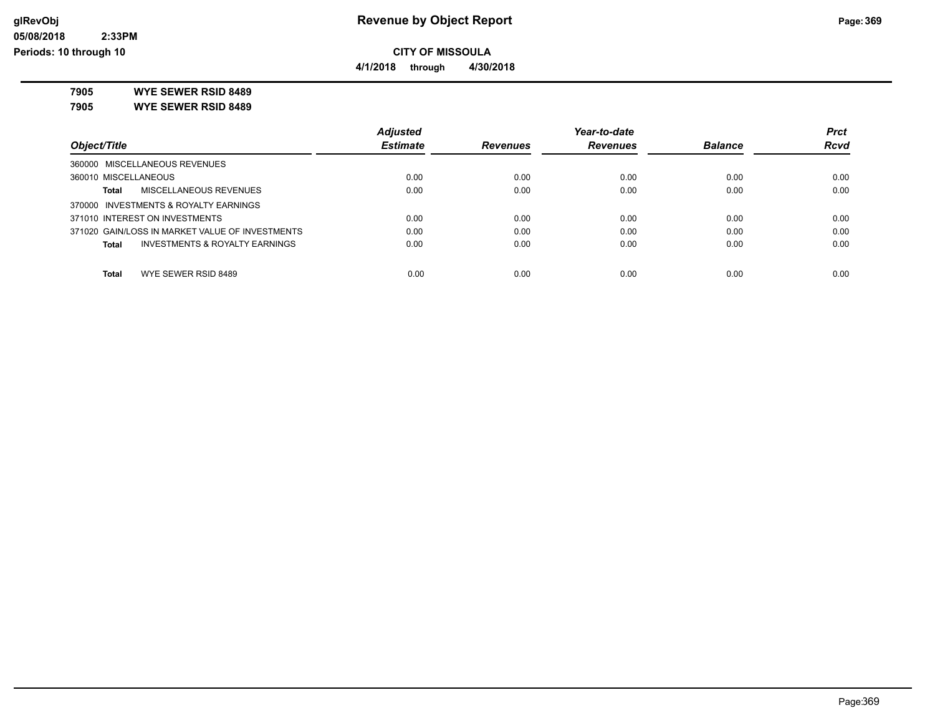**4/1/2018 through 4/30/2018**

**7905 WYE SEWER RSID 8489**

**7905 WYE SEWER RSID 8489**

|                                                 | <b>Adjusted</b> |                 | Year-to-date    |                | <b>Prct</b> |
|-------------------------------------------------|-----------------|-----------------|-----------------|----------------|-------------|
| Object/Title                                    | <b>Estimate</b> | <b>Revenues</b> | <b>Revenues</b> | <b>Balance</b> | <b>Rcvd</b> |
| 360000 MISCELLANEOUS REVENUES                   |                 |                 |                 |                |             |
| 360010 MISCELLANEOUS                            | 0.00            | 0.00            | 0.00            | 0.00           | 0.00        |
| MISCELLANEOUS REVENUES<br><b>Total</b>          | 0.00            | 0.00            | 0.00            | 0.00           | 0.00        |
| 370000 INVESTMENTS & ROYALTY EARNINGS           |                 |                 |                 |                |             |
| 371010 INTEREST ON INVESTMENTS                  | 0.00            | 0.00            | 0.00            | 0.00           | 0.00        |
| 371020 GAIN/LOSS IN MARKET VALUE OF INVESTMENTS | 0.00            | 0.00            | 0.00            | 0.00           | 0.00        |
| INVESTMENTS & ROYALTY EARNINGS<br><b>Total</b>  | 0.00            | 0.00            | 0.00            | 0.00           | 0.00        |
| WYE SEWER RSID 8489<br><b>Total</b>             | 0.00            | 0.00            | 0.00            | 0.00           | 0.00        |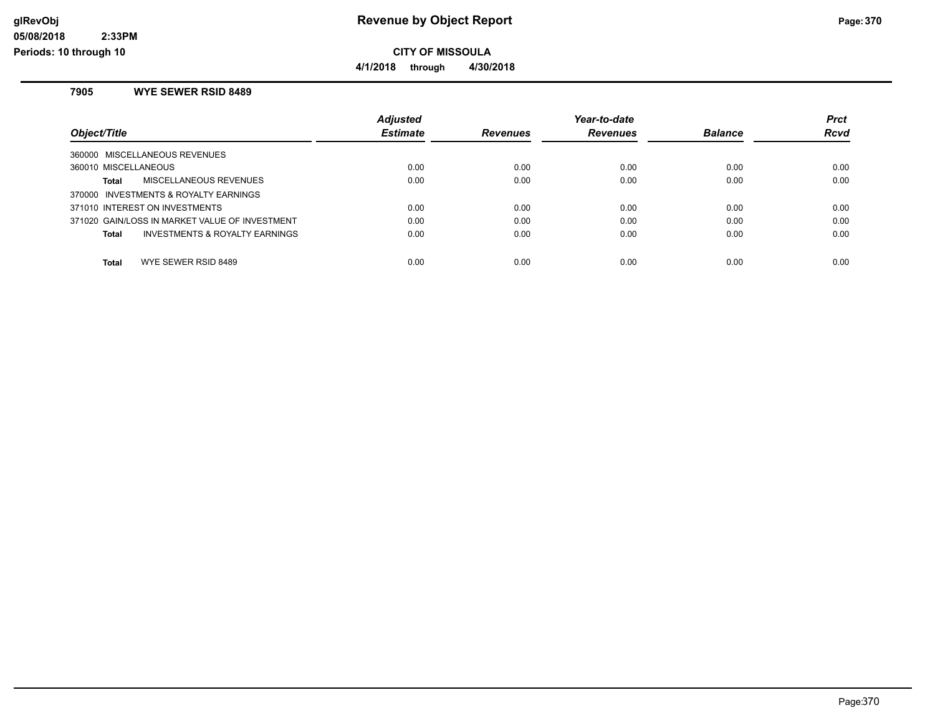**4/1/2018 through 4/30/2018**

#### **7905 WYE SEWER RSID 8489**

|                                                    | <b>Adjusted</b> |                 | Year-to-date    |                | <b>Prct</b> |
|----------------------------------------------------|-----------------|-----------------|-----------------|----------------|-------------|
| Object/Title                                       | <b>Estimate</b> | <b>Revenues</b> | <b>Revenues</b> | <b>Balance</b> | <b>Rcvd</b> |
| 360000 MISCELLANEOUS REVENUES                      |                 |                 |                 |                |             |
| 360010 MISCELLANEOUS                               | 0.00            | 0.00            | 0.00            | 0.00           | 0.00        |
| MISCELLANEOUS REVENUES<br>Total                    | 0.00            | 0.00            | 0.00            | 0.00           | 0.00        |
| 370000 INVESTMENTS & ROYALTY EARNINGS              |                 |                 |                 |                |             |
| 371010 INTEREST ON INVESTMENTS                     | 0.00            | 0.00            | 0.00            | 0.00           | 0.00        |
| 371020 GAIN/LOSS IN MARKET VALUE OF INVESTMENT     | 0.00            | 0.00            | 0.00            | 0.00           | 0.00        |
| <b>INVESTMENTS &amp; ROYALTY EARNINGS</b><br>Total | 0.00            | 0.00            | 0.00            | 0.00           | 0.00        |
| <b>Total</b><br>WYE SEWER RSID 8489                | 0.00            | 0.00            | 0.00            | 0.00           | 0.00        |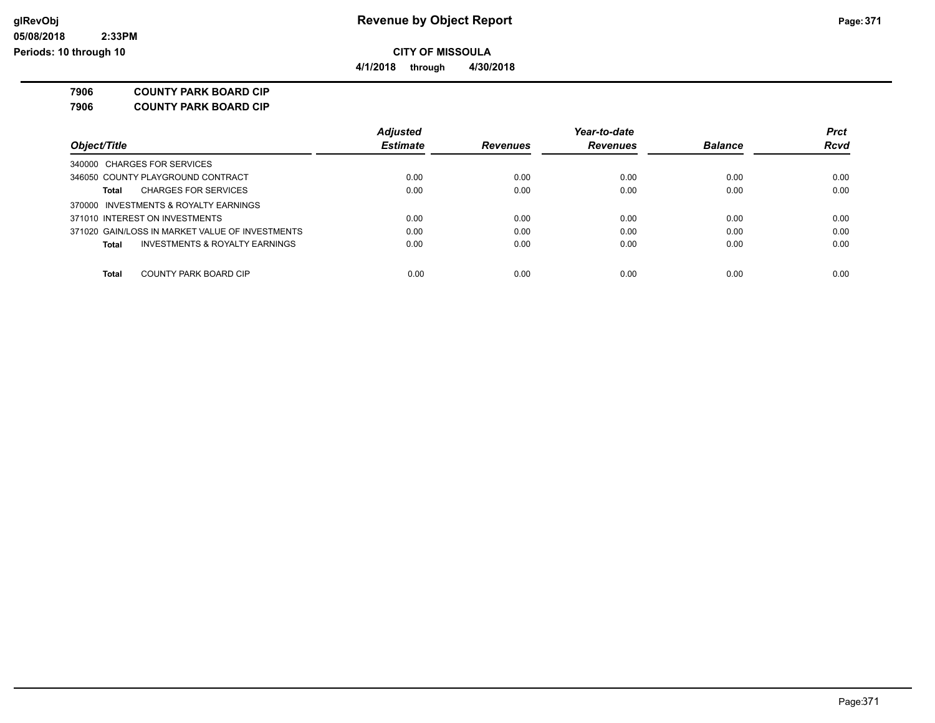**4/1/2018 through 4/30/2018**

**7906 COUNTY PARK BOARD CIP**

**7906 COUNTY PARK BOARD CIP**

|                                                 | <b>Adjusted</b> |                 | Year-to-date    |                | <b>Prct</b> |
|-------------------------------------------------|-----------------|-----------------|-----------------|----------------|-------------|
| Object/Title                                    | <b>Estimate</b> | <b>Revenues</b> | <b>Revenues</b> | <b>Balance</b> | <b>Rcvd</b> |
| 340000 CHARGES FOR SERVICES                     |                 |                 |                 |                |             |
| 346050 COUNTY PLAYGROUND CONTRACT               | 0.00            | 0.00            | 0.00            | 0.00           | 0.00        |
| <b>CHARGES FOR SERVICES</b><br>Total            | 0.00            | 0.00            | 0.00            | 0.00           | 0.00        |
| 370000 INVESTMENTS & ROYALTY EARNINGS           |                 |                 |                 |                |             |
| 371010 INTEREST ON INVESTMENTS                  | 0.00            | 0.00            | 0.00            | 0.00           | 0.00        |
| 371020 GAIN/LOSS IN MARKET VALUE OF INVESTMENTS | 0.00            | 0.00            | 0.00            | 0.00           | 0.00        |
| INVESTMENTS & ROYALTY EARNINGS<br>Total         | 0.00            | 0.00            | 0.00            | 0.00           | 0.00        |
|                                                 |                 |                 |                 |                |             |
| COUNTY PARK BOARD CIP<br>Total                  | 0.00            | 0.00            | 0.00            | 0.00           | 0.00        |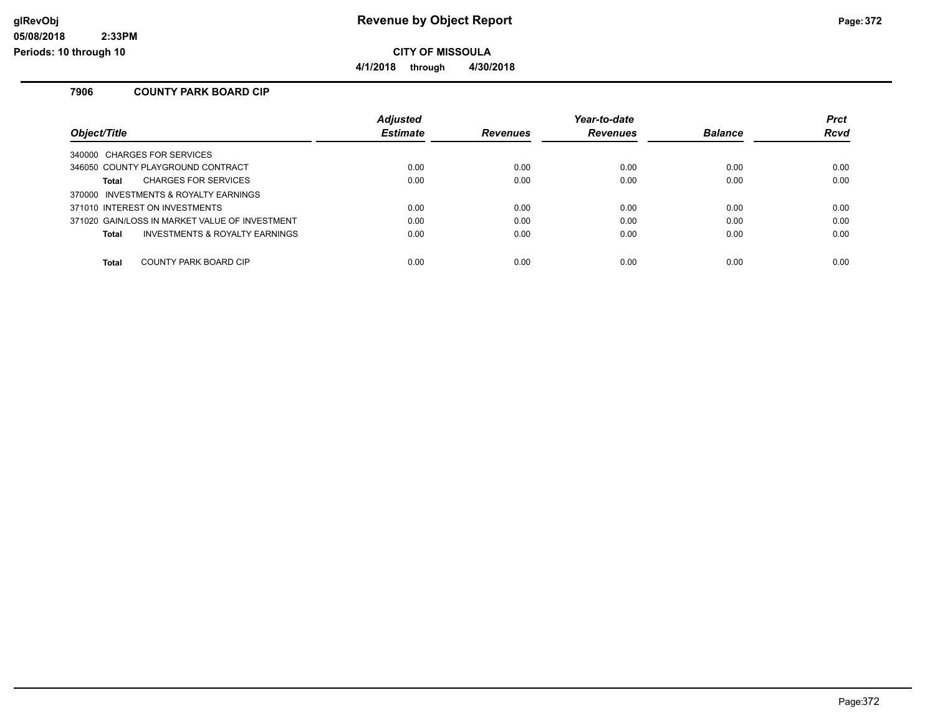**4/1/2018 through 4/30/2018**

#### **7906 COUNTY PARK BOARD CIP**

|                                                    | <b>Adjusted</b> |                 | Year-to-date    |                | <b>Prct</b> |
|----------------------------------------------------|-----------------|-----------------|-----------------|----------------|-------------|
| Object/Title                                       | <b>Estimate</b> | <b>Revenues</b> | <b>Revenues</b> | <b>Balance</b> | <b>Rcvd</b> |
| 340000 CHARGES FOR SERVICES                        |                 |                 |                 |                |             |
| 346050 COUNTY PLAYGROUND CONTRACT                  | 0.00            | 0.00            | 0.00            | 0.00           | 0.00        |
| <b>CHARGES FOR SERVICES</b><br>Total               | 0.00            | 0.00            | 0.00            | 0.00           | 0.00        |
| 370000 INVESTMENTS & ROYALTY EARNINGS              |                 |                 |                 |                |             |
| 371010 INTEREST ON INVESTMENTS                     | 0.00            | 0.00            | 0.00            | 0.00           | 0.00        |
| 371020 GAIN/LOSS IN MARKET VALUE OF INVESTMENT     | 0.00            | 0.00            | 0.00            | 0.00           | 0.00        |
| <b>INVESTMENTS &amp; ROYALTY EARNINGS</b><br>Total | 0.00            | 0.00            | 0.00            | 0.00           | 0.00        |
| Total<br>COUNTY PARK BOARD CIP                     | 0.00            | 0.00            | 0.00            | 0.00           | 0.00        |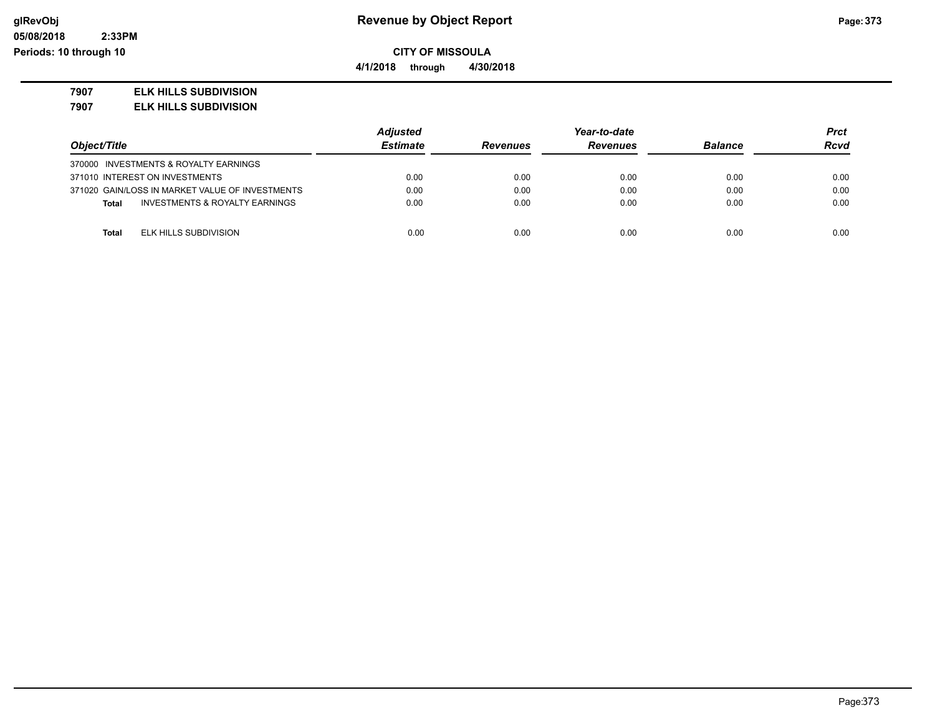**4/1/2018 through 4/30/2018**

#### **7907 ELK HILLS SUBDIVISION**

**7907 ELK HILLS SUBDIVISION**

|                                                           | <b>Adjusted</b> |                 | Year-to-date    |                | <b>Prct</b> |
|-----------------------------------------------------------|-----------------|-----------------|-----------------|----------------|-------------|
| Object/Title                                              | <b>Estimate</b> | <b>Revenues</b> | <b>Revenues</b> | <b>Balance</b> | <b>Rcvd</b> |
| 370000 INVESTMENTS & ROYALTY EARNINGS                     |                 |                 |                 |                |             |
| 371010 INTEREST ON INVESTMENTS                            | 0.00            | 0.00            | 0.00            | 0.00           | 0.00        |
| 371020 GAIN/LOSS IN MARKET VALUE OF INVESTMENTS           | 0.00            | 0.00            | 0.00            | 0.00           | 0.00        |
| <b>INVESTMENTS &amp; ROYALTY EARNINGS</b><br><b>Total</b> | 0.00            | 0.00            | 0.00            | 0.00           | 0.00        |
|                                                           |                 |                 |                 |                |             |
| Total<br>ELK HILLS SUBDIVISION                            | 0.00            | 0.00            | 0.00            | 0.00           | 0.00        |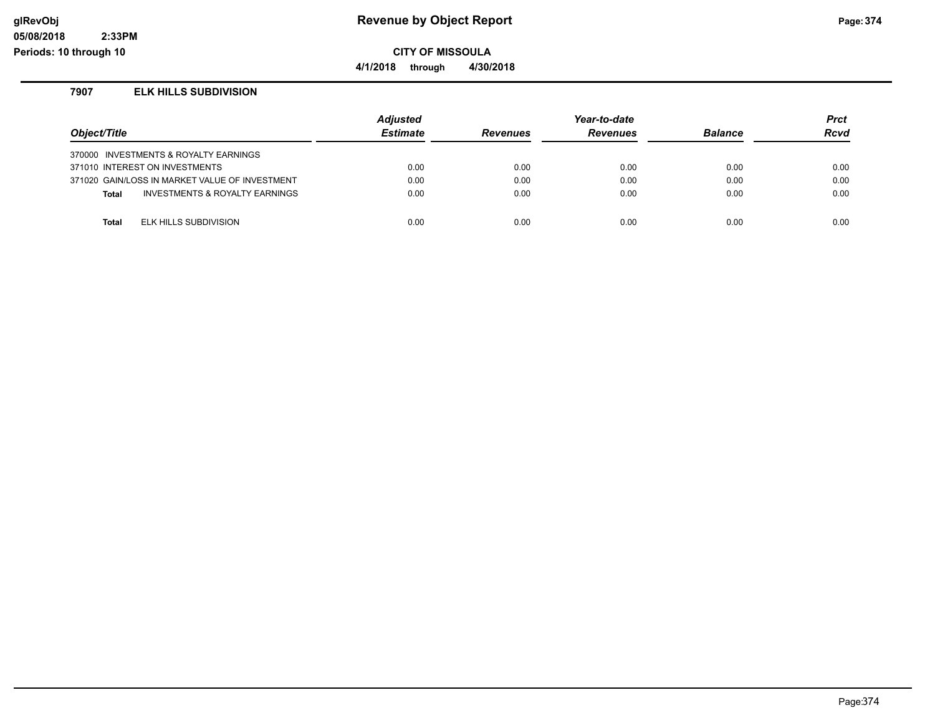**4/1/2018 through 4/30/2018**

#### **7907 ELK HILLS SUBDIVISION**

| Object/Title |                                                | <b>Adjusted</b><br><b>Estimate</b> | <b>Revenues</b> | Year-to-date<br><b>Revenues</b> | <b>Balance</b> | <b>Prct</b><br><b>Rcvd</b> |
|--------------|------------------------------------------------|------------------------------------|-----------------|---------------------------------|----------------|----------------------------|
|              | 370000 INVESTMENTS & ROYALTY EARNINGS          |                                    |                 |                                 |                |                            |
|              | 371010 INTEREST ON INVESTMENTS                 | 0.00                               | 0.00            | 0.00                            | 0.00           | 0.00                       |
|              | 371020 GAIN/LOSS IN MARKET VALUE OF INVESTMENT | 0.00                               | 0.00            | 0.00                            | 0.00           | 0.00                       |
| <b>Total</b> | INVESTMENTS & ROYALTY EARNINGS                 | 0.00                               | 0.00            | 0.00                            | 0.00           | 0.00                       |
|              |                                                |                                    |                 |                                 |                |                            |
| Total        | ELK HILLS SUBDIVISION                          | 0.00                               | 0.00            | 0.00                            | 0.00           | 0.00                       |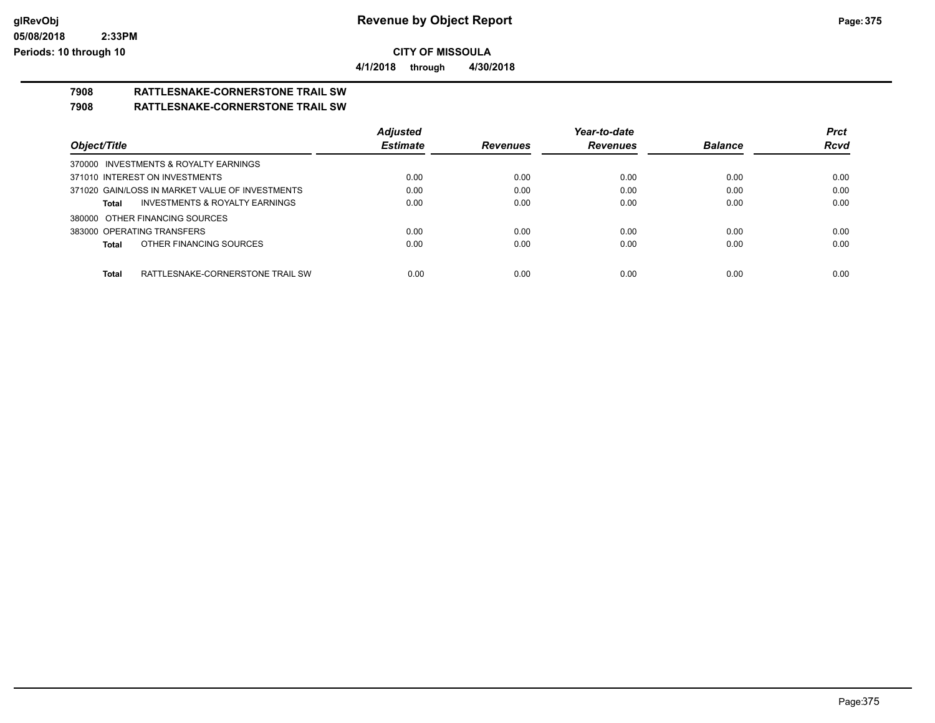**4/1/2018 through 4/30/2018**

# **7908 RATTLESNAKE-CORNERSTONE TRAIL SW**

### **7908 RATTLESNAKE-CORNERSTONE TRAIL SW**

|                                                  | <b>Adjusted</b> |                 | Year-to-date    |                | <b>Prct</b> |
|--------------------------------------------------|-----------------|-----------------|-----------------|----------------|-------------|
| Object/Title                                     | <b>Estimate</b> | <b>Revenues</b> | <b>Revenues</b> | <b>Balance</b> | <b>Rcvd</b> |
| 370000 INVESTMENTS & ROYALTY EARNINGS            |                 |                 |                 |                |             |
| 371010 INTEREST ON INVESTMENTS                   | 0.00            | 0.00            | 0.00            | 0.00           | 0.00        |
| 371020 GAIN/LOSS IN MARKET VALUE OF INVESTMENTS  | 0.00            | 0.00            | 0.00            | 0.00           | 0.00        |
| INVESTMENTS & ROYALTY EARNINGS<br>Total          | 0.00            | 0.00            | 0.00            | 0.00           | 0.00        |
| 380000 OTHER FINANCING SOURCES                   |                 |                 |                 |                |             |
| 383000 OPERATING TRANSFERS                       | 0.00            | 0.00            | 0.00            | 0.00           | 0.00        |
| OTHER FINANCING SOURCES<br>Total                 | 0.00            | 0.00            | 0.00            | 0.00           | 0.00        |
|                                                  |                 |                 |                 |                |             |
| <b>Total</b><br>RATTLESNAKE-CORNERSTONE TRAIL SW | 0.00            | 0.00            | 0.00            | 0.00           | 0.00        |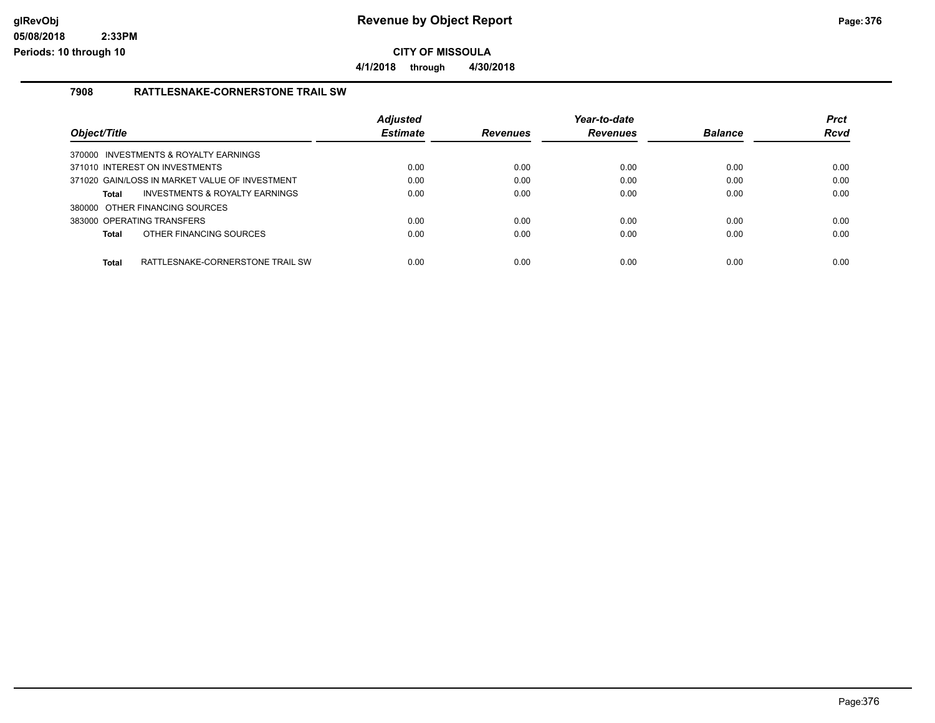**4/1/2018 through 4/30/2018**

#### **7908 RATTLESNAKE-CORNERSTONE TRAIL SW**

|              |                                                | <b>Adjusted</b> |                 | Year-to-date    |                | <b>Prct</b> |
|--------------|------------------------------------------------|-----------------|-----------------|-----------------|----------------|-------------|
| Object/Title |                                                | <b>Estimate</b> | <b>Revenues</b> | <b>Revenues</b> | <b>Balance</b> | <b>Rcvd</b> |
|              | 370000 INVESTMENTS & ROYALTY EARNINGS          |                 |                 |                 |                |             |
|              | 371010 INTEREST ON INVESTMENTS                 | 0.00            | 0.00            | 0.00            | 0.00           | 0.00        |
|              | 371020 GAIN/LOSS IN MARKET VALUE OF INVESTMENT | 0.00            | 0.00            | 0.00            | 0.00           | 0.00        |
| Total        | INVESTMENTS & ROYALTY EARNINGS                 | 0.00            | 0.00            | 0.00            | 0.00           | 0.00        |
|              | 380000 OTHER FINANCING SOURCES                 |                 |                 |                 |                |             |
|              | 383000 OPERATING TRANSFERS                     | 0.00            | 0.00            | 0.00            | 0.00           | 0.00        |
| Total        | OTHER FINANCING SOURCES                        | 0.00            | 0.00            | 0.00            | 0.00           | 0.00        |
| Total        | RATTLESNAKE-CORNERSTONE TRAIL SW               | 0.00            | 0.00            | 0.00            | 0.00           | 0.00        |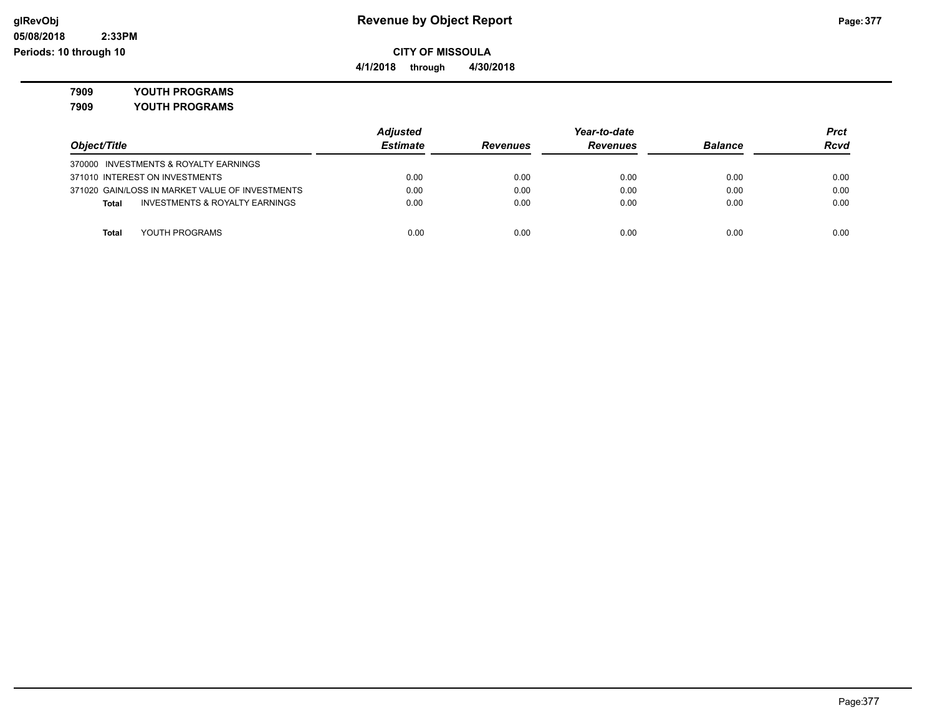**4/1/2018 through 4/30/2018**

### **7909 YOUTH PROGRAMS**

**7909 YOUTH PROGRAMS**

|                                                 | <b>Adjusted</b> |                 | Year-to-date    |                |             |
|-------------------------------------------------|-----------------|-----------------|-----------------|----------------|-------------|
| Object/Title                                    | <b>Estimate</b> | <b>Revenues</b> | <b>Revenues</b> | <b>Balance</b> | <b>Rcvd</b> |
| 370000 INVESTMENTS & ROYALTY EARNINGS           |                 |                 |                 |                |             |
| 371010 INTEREST ON INVESTMENTS                  | 0.00            | 0.00            | 0.00            | 0.00           | 0.00        |
| 371020 GAIN/LOSS IN MARKET VALUE OF INVESTMENTS | 0.00            | 0.00            | 0.00            | 0.00           | 0.00        |
| INVESTMENTS & ROYALTY EARNINGS<br>Total         | 0.00            | 0.00            | 0.00            | 0.00           | 0.00        |
|                                                 |                 |                 |                 |                |             |
| YOUTH PROGRAMS<br>Total                         | 0.00            | 0.00            | 0.00            | 0.00           | 0.00        |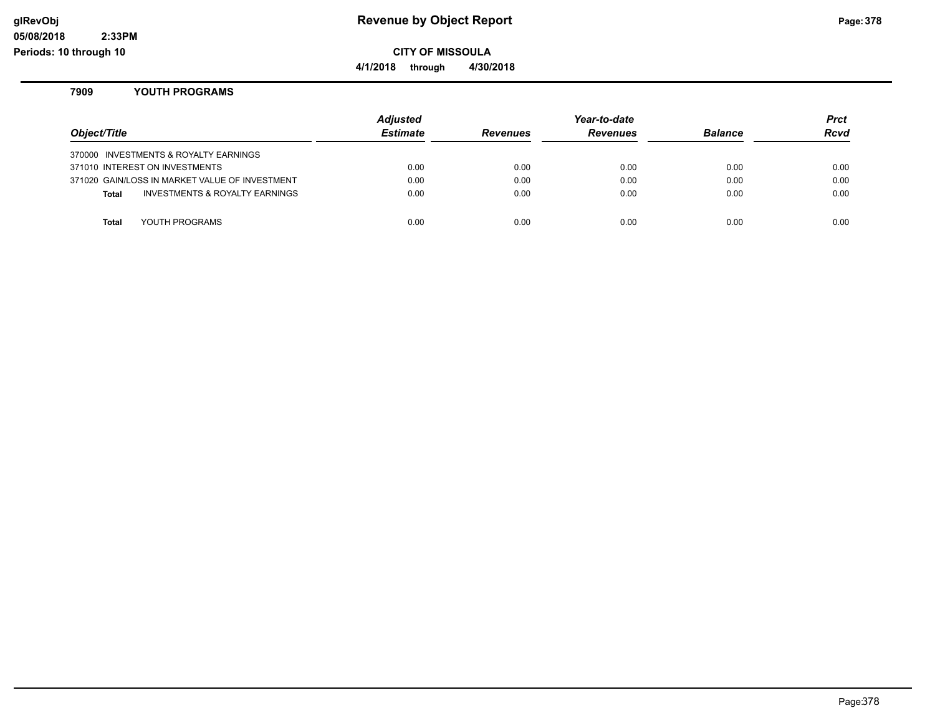**4/1/2018 through 4/30/2018**

#### **7909 YOUTH PROGRAMS**

| Object/Title                                   | Adjusted<br><b>Estimate</b> | <b>Revenues</b> | Year-to-date<br><b>Revenues</b> | <b>Balance</b> | <b>Prct</b><br><b>Rcvd</b> |
|------------------------------------------------|-----------------------------|-----------------|---------------------------------|----------------|----------------------------|
| 370000 INVESTMENTS & ROYALTY EARNINGS          |                             |                 |                                 |                |                            |
| 371010 INTEREST ON INVESTMENTS                 | 0.00                        | 0.00            | 0.00                            | 0.00           | 0.00                       |
| 371020 GAIN/LOSS IN MARKET VALUE OF INVESTMENT | 0.00                        | 0.00            | 0.00                            | 0.00           | 0.00                       |
| INVESTMENTS & ROYALTY EARNINGS<br><b>Total</b> | 0.00                        | 0.00            | 0.00                            | 0.00           | 0.00                       |
| YOUTH PROGRAMS<br>Total                        | 0.00                        | 0.00            | 0.00                            | 0.00           | 0.00                       |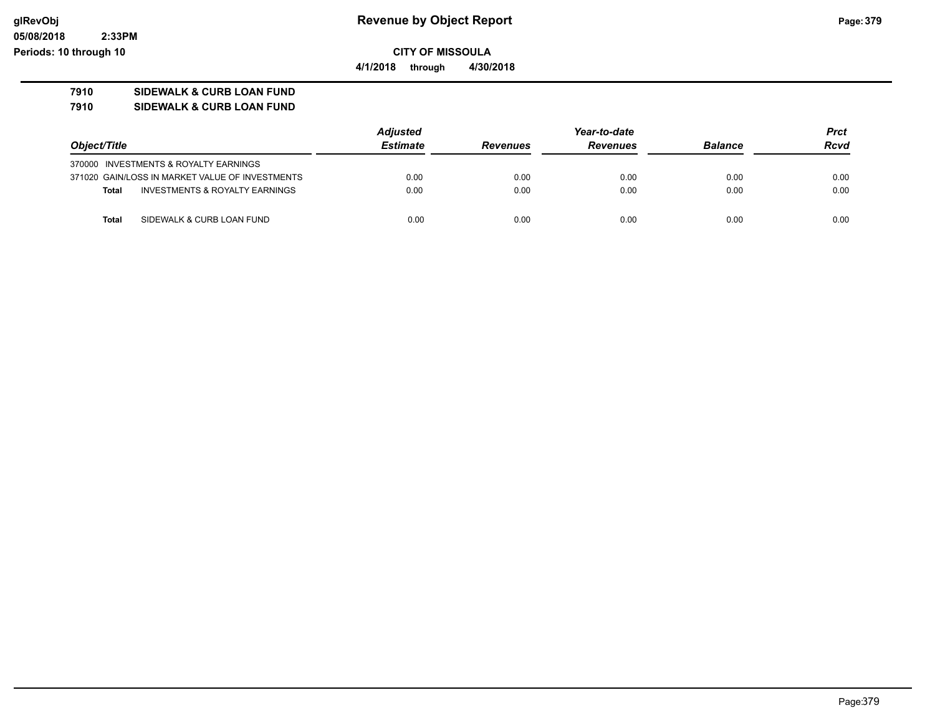**4/1/2018 through 4/30/2018**

## **7910 SIDEWALK & CURB LOAN FUND**

**7910 SIDEWALK & CURB LOAN FUND**

|              |                                                 | <b>Adjusted</b> |                 |                 | Prct           |      |
|--------------|-------------------------------------------------|-----------------|-----------------|-----------------|----------------|------|
| Object/Title |                                                 | <b>Estimate</b> | <b>Revenues</b> | <b>Revenues</b> | <b>Balance</b> | Rcvd |
|              | 370000 INVESTMENTS & ROYALTY EARNINGS           |                 |                 |                 |                |      |
|              | 371020 GAIN/LOSS IN MARKET VALUE OF INVESTMENTS | 0.00            | 0.00            | 0.00            | 0.00           | 0.00 |
| Total        | <b>INVESTMENTS &amp; ROYALTY EARNINGS</b>       | 0.00            | 0.00            | 0.00            | 0.00           | 0.00 |
| <b>Total</b> | SIDEWALK & CURB LOAN FUND                       | 0.00            | 0.00            | 0.00            | 0.00           | 0.00 |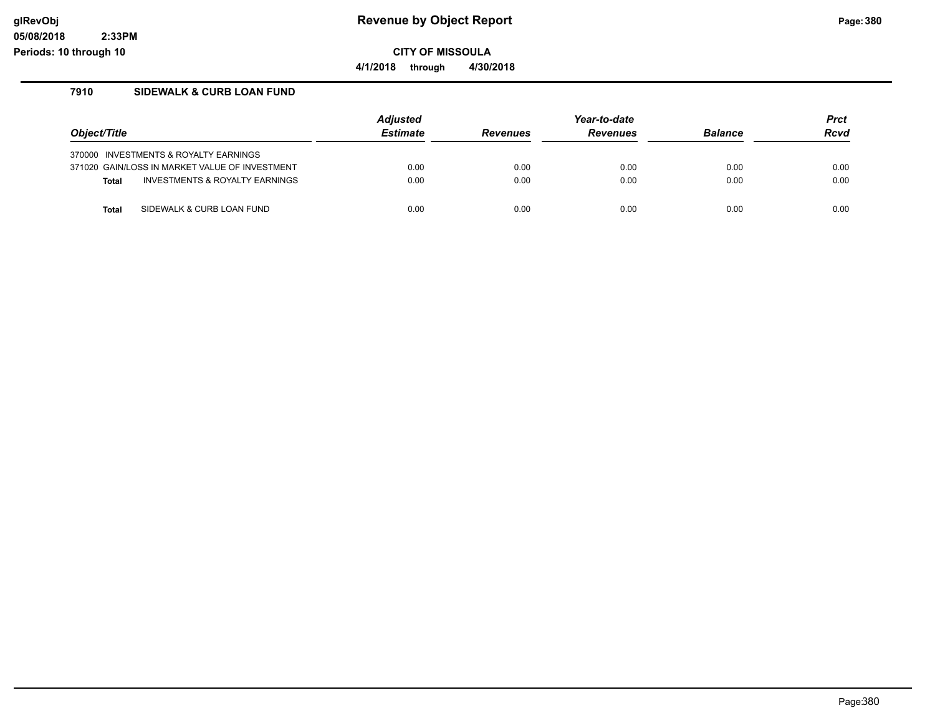**4/1/2018 through 4/30/2018**

#### **7910 SIDEWALK & CURB LOAN FUND**

|              |                                                | <b>Adjusted</b> |                 | Year-to-date    |                | <b>Prct</b> |
|--------------|------------------------------------------------|-----------------|-----------------|-----------------|----------------|-------------|
| Object/Title |                                                | <b>Estimate</b> | <b>Revenues</b> | <b>Revenues</b> | <b>Balance</b> | Rcvd        |
|              | 370000 INVESTMENTS & ROYALTY EARNINGS          |                 |                 |                 |                |             |
|              | 371020 GAIN/LOSS IN MARKET VALUE OF INVESTMENT | 0.00            | 0.00            | 0.00            | 0.00           | 0.00        |
| <b>Total</b> | INVESTMENTS & ROYALTY EARNINGS                 | 0.00            | 0.00            | 0.00            | 0.00           | 0.00        |
| <b>Total</b> | SIDEWALK & CURB LOAN FUND                      | 0.00            | 0.00            | 0.00            | 0.00           | 0.00        |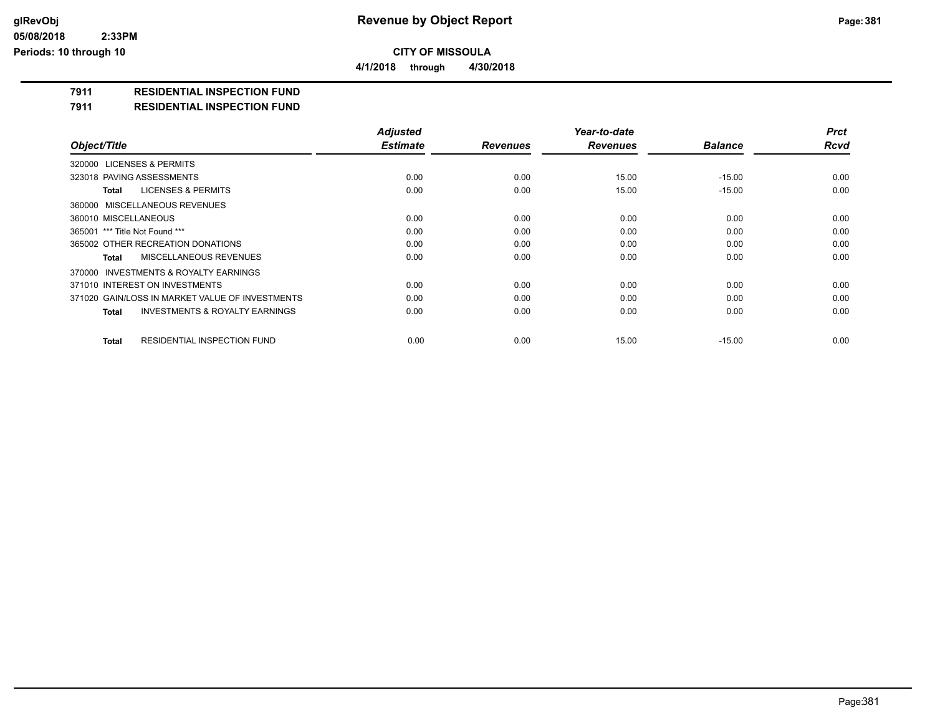**4/1/2018 through 4/30/2018**

**7911 RESIDENTIAL INSPECTION FUND**

**7911 RESIDENTIAL INSPECTION FUND**

|                                                    | <b>Adjusted</b> |                 | Year-to-date    |                | <b>Prct</b> |
|----------------------------------------------------|-----------------|-----------------|-----------------|----------------|-------------|
| Object/Title                                       | <b>Estimate</b> | <b>Revenues</b> | <b>Revenues</b> | <b>Balance</b> | <b>Rcvd</b> |
| 320000 LICENSES & PERMITS                          |                 |                 |                 |                |             |
| 323018 PAVING ASSESSMENTS                          | 0.00            | 0.00            | 15.00           | $-15.00$       | 0.00        |
| <b>LICENSES &amp; PERMITS</b><br>Total             | 0.00            | 0.00            | 15.00           | $-15.00$       | 0.00        |
| 360000 MISCELLANEOUS REVENUES                      |                 |                 |                 |                |             |
| 360010 MISCELLANEOUS                               | 0.00            | 0.00            | 0.00            | 0.00           | 0.00        |
| 365001 *** Title Not Found ***                     | 0.00            | 0.00            | 0.00            | 0.00           | 0.00        |
| 365002 OTHER RECREATION DONATIONS                  | 0.00            | 0.00            | 0.00            | 0.00           | 0.00        |
| MISCELLANEOUS REVENUES<br>Total                    | 0.00            | 0.00            | 0.00            | 0.00           | 0.00        |
| 370000 INVESTMENTS & ROYALTY EARNINGS              |                 |                 |                 |                |             |
| 371010 INTEREST ON INVESTMENTS                     | 0.00            | 0.00            | 0.00            | 0.00           | 0.00        |
| 371020 GAIN/LOSS IN MARKET VALUE OF INVESTMENTS    | 0.00            | 0.00            | 0.00            | 0.00           | 0.00        |
| <b>INVESTMENTS &amp; ROYALTY EARNINGS</b><br>Total | 0.00            | 0.00            | 0.00            | 0.00           | 0.00        |
| <b>RESIDENTIAL INSPECTION FUND</b><br>Total        | 0.00            | 0.00            | 15.00           | $-15.00$       | 0.00        |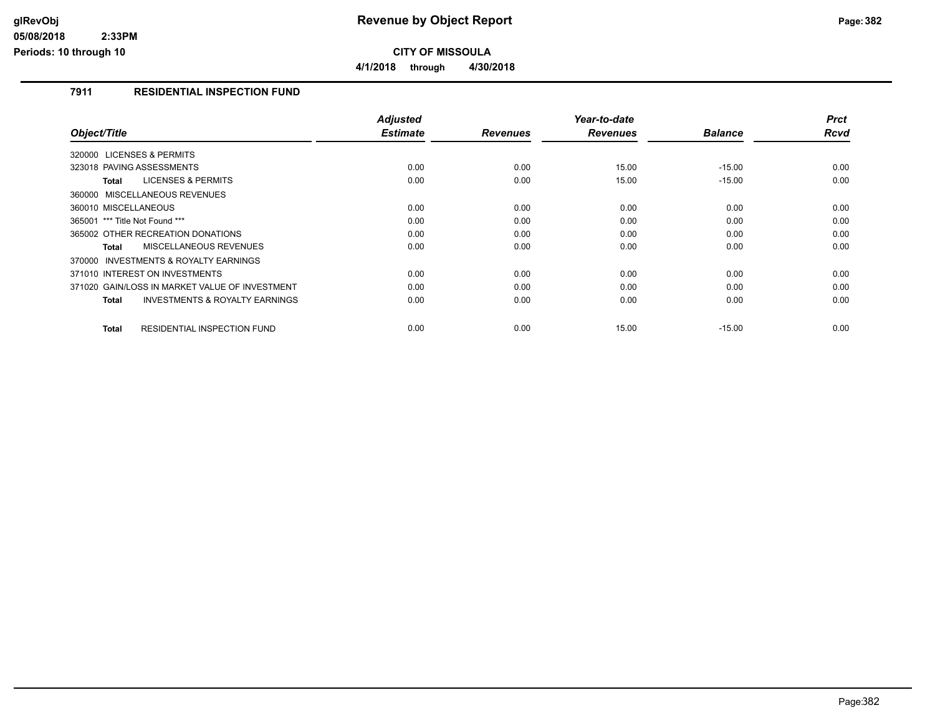**4/1/2018 through 4/30/2018**

#### **7911 RESIDENTIAL INSPECTION FUND**

| Object/Title                                              | <b>Adjusted</b><br><b>Estimate</b> | <b>Revenues</b> | Year-to-date<br><b>Revenues</b> | <b>Balance</b> | <b>Prct</b><br><b>Rcvd</b> |
|-----------------------------------------------------------|------------------------------------|-----------------|---------------------------------|----------------|----------------------------|
|                                                           |                                    |                 |                                 |                |                            |
| 320000 LICENSES & PERMITS                                 |                                    |                 |                                 |                |                            |
| 323018 PAVING ASSESSMENTS                                 | 0.00                               | 0.00            | 15.00                           | $-15.00$       | 0.00                       |
| <b>LICENSES &amp; PERMITS</b><br><b>Total</b>             | 0.00                               | 0.00            | 15.00                           | $-15.00$       | 0.00                       |
| 360000 MISCELLANEOUS REVENUES                             |                                    |                 |                                 |                |                            |
| 360010 MISCELLANEOUS                                      | 0.00                               | 0.00            | 0.00                            | 0.00           | 0.00                       |
| 365001 *** Title Not Found ***                            | 0.00                               | 0.00            | 0.00                            | 0.00           | 0.00                       |
| 365002 OTHER RECREATION DONATIONS                         | 0.00                               | 0.00            | 0.00                            | 0.00           | 0.00                       |
| <b>MISCELLANEOUS REVENUES</b><br><b>Total</b>             | 0.00                               | 0.00            | 0.00                            | 0.00           | 0.00                       |
| INVESTMENTS & ROYALTY EARNINGS<br>370000                  |                                    |                 |                                 |                |                            |
| 371010 INTEREST ON INVESTMENTS                            | 0.00                               | 0.00            | 0.00                            | 0.00           | 0.00                       |
| 371020 GAIN/LOSS IN MARKET VALUE OF INVESTMENT            | 0.00                               | 0.00            | 0.00                            | 0.00           | 0.00                       |
| <b>INVESTMENTS &amp; ROYALTY EARNINGS</b><br><b>Total</b> | 0.00                               | 0.00            | 0.00                            | 0.00           | 0.00                       |
| RESIDENTIAL INSPECTION FUND<br><b>Total</b>               | 0.00                               | 0.00            | 15.00                           | $-15.00$       | 0.00                       |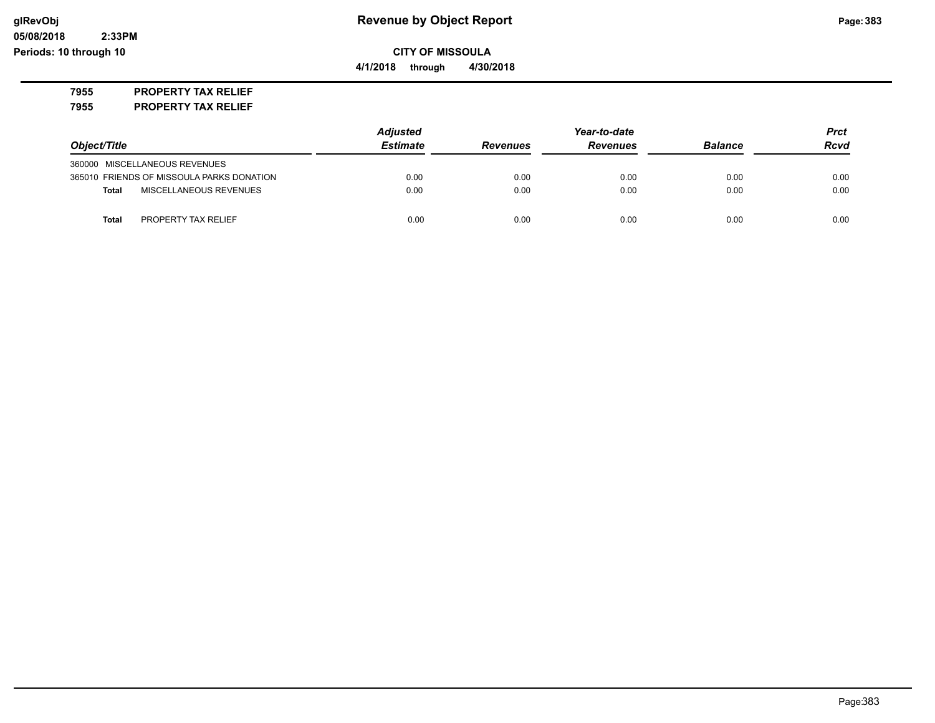**4/1/2018 through 4/30/2018**

**7955 PROPERTY TAX RELIEF**

**7955 PROPERTY TAX RELIEF**

|                                           | <b>Adjusted</b> |                 | Year-to-date    |                | <b>Prct</b> |
|-------------------------------------------|-----------------|-----------------|-----------------|----------------|-------------|
| Object/Title                              | <b>Estimate</b> | <b>Revenues</b> | <b>Revenues</b> | <b>Balance</b> | <b>Rcvd</b> |
| 360000 MISCELLANEOUS REVENUES             |                 |                 |                 |                |             |
| 365010 FRIENDS OF MISSOULA PARKS DONATION | 0.00            | 0.00            | 0.00            | 0.00           | 0.00        |
| MISCELLANEOUS REVENUES<br><b>Total</b>    | 0.00            | 0.00            | 0.00            | 0.00           | 0.00        |
| PROPERTY TAX RELIEF<br><b>Total</b>       | 0.00            | 0.00            | 0.00            | 0.00           | 0.00        |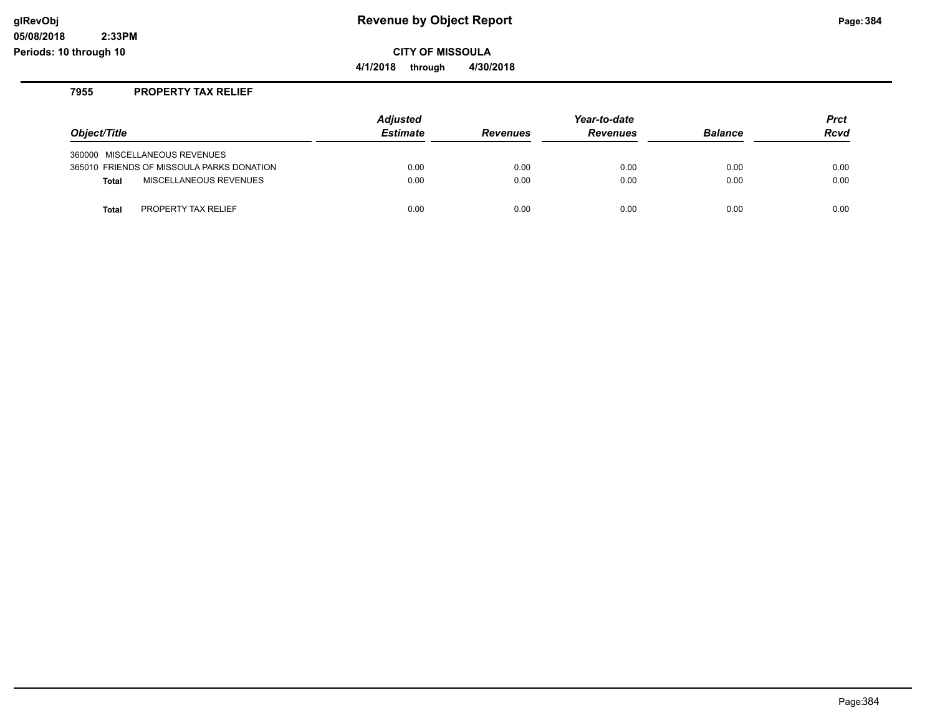**4/1/2018 through 4/30/2018**

#### **7955 PROPERTY TAX RELIEF**

| Object/Title                              | <b>Adjusted</b><br><b>Estimate</b> | <b>Revenues</b> | Year-to-date<br><b>Revenues</b> | <b>Balance</b> | <b>Prct</b><br><b>Rcvd</b> |
|-------------------------------------------|------------------------------------|-----------------|---------------------------------|----------------|----------------------------|
| 360000 MISCELLANEOUS REVENUES             |                                    |                 |                                 |                |                            |
| 365010 FRIENDS OF MISSOULA PARKS DONATION | 0.00                               | 0.00            | 0.00                            | 0.00           | 0.00                       |
| MISCELLANEOUS REVENUES<br><b>Total</b>    | 0.00                               | 0.00            | 0.00                            | 0.00           | 0.00                       |
| <b>Total</b><br>PROPERTY TAX RELIEF       | 0.00                               | 0.00            | 0.00                            | 0.00           | 0.00                       |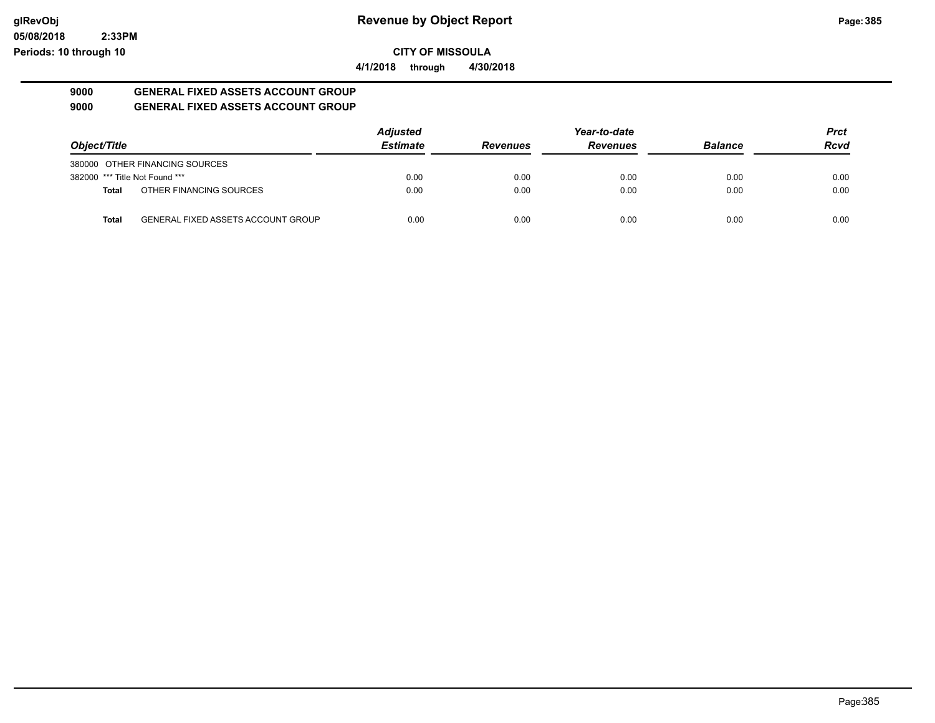#### **05/08/2018 2:33PM Periods: 10 through 10**

#### **CITY OF MISSOULA**

#### **4/1/2018 through 4/30/2018**

#### **9000 GENERAL FIXED ASSETS ACCOUNT GROUP 9000 GENERAL FIXED ASSETS ACCOUNT GROUP**

|                                |                                           | <b>Adjusted</b> |                 | Year-to-date    |                | <b>Prct</b> |
|--------------------------------|-------------------------------------------|-----------------|-----------------|-----------------|----------------|-------------|
| Object/Title                   |                                           | <b>Estimate</b> | <b>Revenues</b> | <b>Revenues</b> | <b>Balance</b> | <b>Rcvd</b> |
|                                | 380000 OTHER FINANCING SOURCES            |                 |                 |                 |                |             |
| 382000 *** Title Not Found *** |                                           | 0.00            | 0.00            | 0.00            | 0.00           | 0.00        |
| Total                          | OTHER FINANCING SOURCES                   | 0.00            | 0.00            | 0.00            | 0.00           | 0.00        |
| Total                          | <b>GENERAL FIXED ASSETS ACCOUNT GROUP</b> | 0.00            | 0.00            | 0.00            | 0.00           | 0.00        |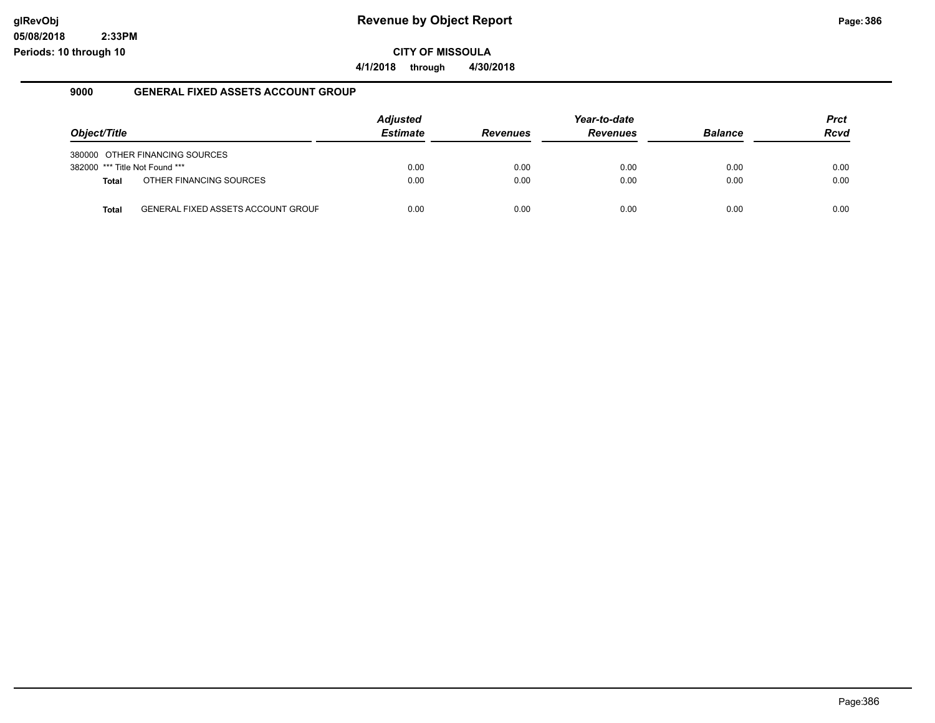**4/1/2018 through 4/30/2018**

#### **9000 GENERAL FIXED ASSETS ACCOUNT GROUP**

| Object/Title                   |                                           | <b>Adjusted</b><br><b>Estimate</b> | <b>Revenues</b> | Year-to-date<br><b>Revenues</b> | <b>Balance</b> | <b>Prct</b><br><b>Rcvd</b> |
|--------------------------------|-------------------------------------------|------------------------------------|-----------------|---------------------------------|----------------|----------------------------|
|                                | 380000 OTHER FINANCING SOURCES            |                                    |                 |                                 |                |                            |
| 382000 *** Title Not Found *** |                                           | 0.00                               | 0.00            | 0.00                            | 0.00           | 0.00                       |
| <b>Total</b>                   | OTHER FINANCING SOURCES                   | 0.00                               | 0.00            | 0.00                            | 0.00           | 0.00                       |
| <b>Total</b>                   | <b>GENERAL FIXED ASSETS ACCOUNT GROUF</b> | 0.00                               | 0.00            | 0.00                            | 0.00           | 0.00                       |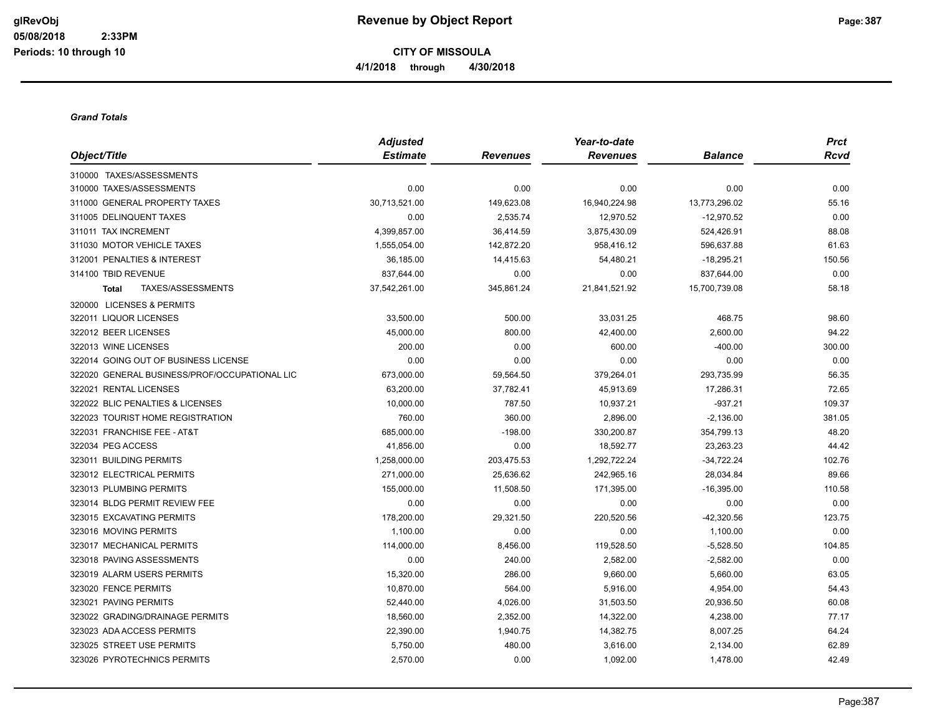**CITY OF MISSOULA 4/1/2018 through 4/30/2018**

#### *Grand Totals*

|                                               | <b>Adjusted</b> |                 | Year-to-date    |                | <b>Prct</b> |
|-----------------------------------------------|-----------------|-----------------|-----------------|----------------|-------------|
| Object/Title                                  | <b>Estimate</b> | <b>Revenues</b> | <b>Revenues</b> | <b>Balance</b> | <b>Rcvd</b> |
| 310000 TAXES/ASSESSMENTS                      |                 |                 |                 |                |             |
| 310000 TAXES/ASSESSMENTS                      | 0.00            | 0.00            | 0.00            | 0.00           | 0.00        |
| 311000 GENERAL PROPERTY TAXES                 | 30,713,521.00   | 149,623.08      | 16,940,224.98   | 13,773,296.02  | 55.16       |
| 311005 DELINQUENT TAXES                       | 0.00            | 2,535.74        | 12,970.52       | $-12,970.52$   | 0.00        |
| 311011 TAX INCREMENT                          | 4,399,857.00    | 36,414.59       | 3,875,430.09    | 524,426.91     | 88.08       |
| 311030 MOTOR VEHICLE TAXES                    | 1,555,054.00    | 142,872.20      | 958,416.12      | 596,637.88     | 61.63       |
| 312001 PENALTIES & INTEREST                   | 36,185.00       | 14,415.63       | 54,480.21       | $-18,295.21$   | 150.56      |
| 314100 TBID REVENUE                           | 837,644.00      | 0.00            | 0.00            | 837,644.00     | 0.00        |
| TAXES/ASSESSMENTS<br><b>Total</b>             | 37,542,261.00   | 345,861.24      | 21,841,521.92   | 15,700,739.08  | 58.18       |
| 320000 LICENSES & PERMITS                     |                 |                 |                 |                |             |
| 322011 LIQUOR LICENSES                        | 33,500.00       | 500.00          | 33,031.25       | 468.75         | 98.60       |
| 322012 BEER LICENSES                          | 45,000.00       | 800.00          | 42,400.00       | 2,600.00       | 94.22       |
| 322013 WINE LICENSES                          | 200.00          | 0.00            | 600.00          | $-400.00$      | 300.00      |
| 322014 GOING OUT OF BUSINESS LICENSE          | 0.00            | 0.00            | 0.00            | 0.00           | 0.00        |
| 322020 GENERAL BUSINESS/PROF/OCCUPATIONAL LIC | 673,000.00      | 59,564.50       | 379,264.01      | 293,735.99     | 56.35       |
| 322021 RENTAL LICENSES                        | 63,200.00       | 37,782.41       | 45,913.69       | 17,286.31      | 72.65       |
| 322022 BLIC PENALTIES & LICENSES              | 10,000.00       | 787.50          | 10,937.21       | $-937.21$      | 109.37      |
| 322023 TOURIST HOME REGISTRATION              | 760.00          | 360.00          | 2,896.00        | $-2,136.00$    | 381.05      |
| 322031 FRANCHISE FEE - AT&T                   | 685,000.00      | $-198.00$       | 330,200.87      | 354,799.13     | 48.20       |
| 322034 PEG ACCESS                             | 41,856.00       | 0.00            | 18,592.77       | 23,263.23      | 44.42       |
| 323011 BUILDING PERMITS                       | 1,258,000.00    | 203,475.53      | 1,292,722.24    | $-34,722.24$   | 102.76      |
| 323012 ELECTRICAL PERMITS                     | 271,000.00      | 25,636.62       | 242,965.16      | 28,034.84      | 89.66       |
| 323013 PLUMBING PERMITS                       | 155,000.00      | 11,508.50       | 171,395.00      | $-16,395.00$   | 110.58      |
| 323014 BLDG PERMIT REVIEW FEE                 | 0.00            | 0.00            | 0.00            | 0.00           | 0.00        |
| 323015 EXCAVATING PERMITS                     | 178,200.00      | 29,321.50       | 220,520.56      | $-42,320.56$   | 123.75      |
| 323016 MOVING PERMITS                         | 1,100.00        | 0.00            | 0.00            | 1,100.00       | 0.00        |
| 323017 MECHANICAL PERMITS                     | 114,000.00      | 8,456.00        | 119,528.50      | $-5,528.50$    | 104.85      |
| 323018 PAVING ASSESSMENTS                     | 0.00            | 240.00          | 2,582.00        | $-2,582.00$    | 0.00        |
| 323019 ALARM USERS PERMITS                    | 15,320.00       | 286.00          | 9,660.00        | 5,660.00       | 63.05       |
| 323020 FENCE PERMITS                          | 10,870.00       | 564.00          | 5,916.00        | 4,954.00       | 54.43       |
| 323021 PAVING PERMITS                         | 52,440.00       | 4,026.00        | 31,503.50       | 20,936.50      | 60.08       |
| 323022 GRADING/DRAINAGE PERMITS               | 18,560.00       | 2,352.00        | 14,322.00       | 4,238.00       | 77.17       |
| 323023 ADA ACCESS PERMITS                     | 22,390.00       | 1,940.75        | 14,382.75       | 8,007.25       | 64.24       |
| 323025 STREET USE PERMITS                     | 5,750.00        | 480.00          | 3,616.00        | 2,134.00       | 62.89       |
| 323026 PYROTECHNICS PERMITS                   | 2,570.00        | 0.00            | 1,092.00        | 1,478.00       | 42.49       |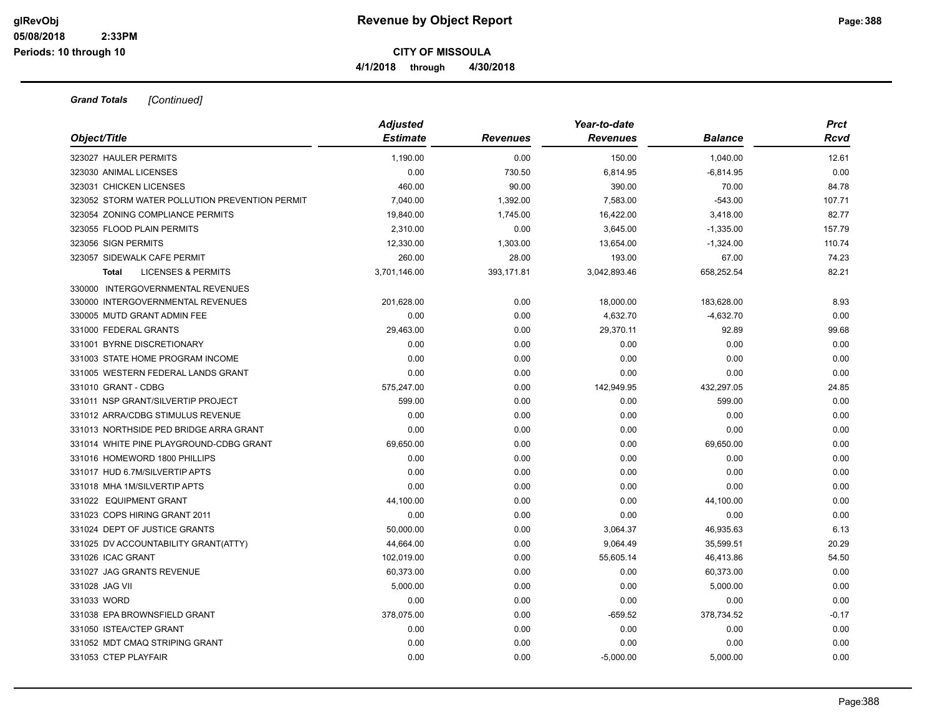**4/1/2018 through 4/30/2018**

| Object/Title                                   | <b>Adjusted</b><br><b>Estimate</b> | Revenues   | Year-to-date<br><b>Revenues</b> | <b>Balance</b> | <b>Prct</b><br>Rcvd |
|------------------------------------------------|------------------------------------|------------|---------------------------------|----------------|---------------------|
| 323027 HAULER PERMITS                          | 1,190.00                           | 0.00       | 150.00                          | 1,040.00       | 12.61               |
| 323030 ANIMAL LICENSES                         | 0.00                               | 730.50     | 6,814.95                        | $-6,814.95$    | 0.00                |
| 323031 CHICKEN LICENSES                        | 460.00                             | 90.00      | 390.00                          | 70.00          | 84.78               |
| 323052 STORM WATER POLLUTION PREVENTION PERMIT | 7,040.00                           | 1,392.00   | 7,583.00                        | $-543.00$      | 107.71              |
| 323054 ZONING COMPLIANCE PERMITS               | 19,840.00                          | 1,745.00   | 16,422.00                       | 3,418.00       | 82.77               |
| 323055 FLOOD PLAIN PERMITS                     | 2,310.00                           | 0.00       | 3,645.00                        | $-1,335.00$    | 157.79              |
| 323056 SIGN PERMITS                            | 12,330.00                          | 1,303.00   | 13,654.00                       | $-1,324.00$    | 110.74              |
| 323057 SIDEWALK CAFE PERMIT                    | 260.00                             | 28.00      | 193.00                          | 67.00          | 74.23               |
| <b>LICENSES &amp; PERMITS</b><br><b>Total</b>  | 3,701,146.00                       | 393,171.81 | 3,042,893.46                    | 658,252.54     | 82.21               |
| 330000 INTERGOVERNMENTAL REVENUES              |                                    |            |                                 |                |                     |
| 330000 INTERGOVERNMENTAL REVENUES              | 201,628.00                         | 0.00       | 18,000.00                       | 183,628.00     | 8.93                |
| 330005 MUTD GRANT ADMIN FEE                    | 0.00                               | 0.00       | 4,632.70                        | $-4,632.70$    | 0.00                |
| 331000 FEDERAL GRANTS                          | 29,463.00                          | 0.00       | 29,370.11                       | 92.89          | 99.68               |
| 331001 BYRNE DISCRETIONARY                     | 0.00                               | 0.00       | 0.00                            | 0.00           | 0.00                |
| 331003 STATE HOME PROGRAM INCOME               | 0.00                               | 0.00       | 0.00                            | 0.00           | 0.00                |
| 331005 WESTERN FEDERAL LANDS GRANT             | 0.00                               | 0.00       | 0.00                            | 0.00           | 0.00                |
| 331010 GRANT - CDBG                            | 575,247.00                         | 0.00       | 142,949.95                      | 432,297.05     | 24.85               |
| 331011 NSP GRANT/SILVERTIP PROJECT             | 599.00                             | 0.00       | 0.00                            | 599.00         | 0.00                |
| 331012 ARRA/CDBG STIMULUS REVENUE              | 0.00                               | 0.00       | 0.00                            | 0.00           | 0.00                |
| 331013 NORTHSIDE PED BRIDGE ARRA GRANT         | 0.00                               | 0.00       | 0.00                            | 0.00           | 0.00                |
| 331014 WHITE PINE PLAYGROUND-CDBG GRANT        | 69,650.00                          | 0.00       | 0.00                            | 69,650.00      | 0.00                |
| 331016 HOMEWORD 1800 PHILLIPS                  | 0.00                               | 0.00       | 0.00                            | 0.00           | 0.00                |
| 331017 HUD 6.7M/SILVERTIP APTS                 | 0.00                               | 0.00       | 0.00                            | 0.00           | 0.00                |
| 331018 MHA 1M/SILVERTIP APTS                   | 0.00                               | 0.00       | 0.00                            | 0.00           | 0.00                |
| 331022 EQUIPMENT GRANT                         | 44,100.00                          | 0.00       | 0.00                            | 44,100.00      | 0.00                |
| 331023 COPS HIRING GRANT 2011                  | 0.00                               | 0.00       | 0.00                            | 0.00           | 0.00                |
| 331024 DEPT OF JUSTICE GRANTS                  | 50,000.00                          | 0.00       | 3,064.37                        | 46,935.63      | 6.13                |
| 331025 DV ACCOUNTABILITY GRANT(ATTY)           | 44,664.00                          | 0.00       | 9,064.49                        | 35,599.51      | 20.29               |
| 331026 ICAC GRANT                              | 102,019.00                         | 0.00       | 55,605.14                       | 46,413.86      | 54.50               |
| 331027 JAG GRANTS REVENUE                      | 60,373.00                          | 0.00       | 0.00                            | 60,373.00      | 0.00                |
| 331028 JAG VII                                 | 5,000.00                           | 0.00       | 0.00                            | 5,000.00       | 0.00                |
| 331033 WORD                                    | 0.00                               | 0.00       | 0.00                            | 0.00           | 0.00                |
| 331038 EPA BROWNSFIELD GRANT                   | 378,075.00                         | 0.00       | $-659.52$                       | 378,734.52     | $-0.17$             |
| 331050 ISTEA/CTEP GRANT                        | 0.00                               | 0.00       | 0.00                            | 0.00           | 0.00                |
| 331052 MDT CMAQ STRIPING GRANT                 | 0.00                               | 0.00       | 0.00                            | 0.00           | 0.00                |
| 331053 CTEP PLAYFAIR                           | 0.00                               | 0.00       | $-5,000.00$                     | 5,000.00       | 0.00                |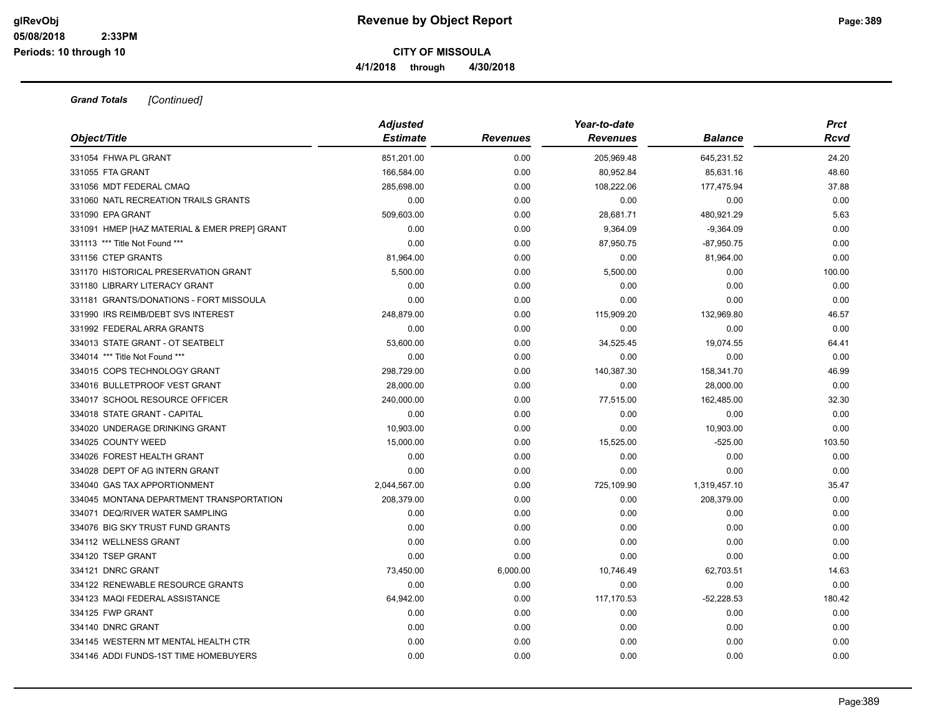**4/1/2018 through 4/30/2018**

|                                              | <b>Adjusted</b> |                 | Year-to-date    |                | <b>Prct</b><br>Rcvd |
|----------------------------------------------|-----------------|-----------------|-----------------|----------------|---------------------|
| Object/Title                                 | <b>Estimate</b> | <b>Revenues</b> | <b>Revenues</b> | <b>Balance</b> |                     |
| 331054 FHWA PL GRANT                         | 851,201.00      | 0.00            | 205,969.48      | 645,231.52     | 24.20               |
| 331055 FTA GRANT                             | 166,584.00      | 0.00            | 80,952.84       | 85,631.16      | 48.60               |
| 331056 MDT FEDERAL CMAQ                      | 285,698.00      | 0.00            | 108,222.06      | 177,475.94     | 37.88               |
| 331060 NATL RECREATION TRAILS GRANTS         | 0.00            | 0.00            | 0.00            | 0.00           | 0.00                |
| 331090 EPA GRANT                             | 509,603.00      | 0.00            | 28,681.71       | 480,921.29     | 5.63                |
| 331091 HMEP [HAZ MATERIAL & EMER PREP] GRANT | 0.00            | 0.00            | 9,364.09        | $-9,364.09$    | 0.00                |
| 331113 *** Title Not Found ***               | 0.00            | 0.00            | 87,950.75       | $-87,950.75$   | 0.00                |
| 331156 CTEP GRANTS                           | 81,964.00       | 0.00            | 0.00            | 81,964.00      | 0.00                |
| 331170 HISTORICAL PRESERVATION GRANT         | 5,500.00        | 0.00            | 5,500.00        | 0.00           | 100.00              |
| 331180 LIBRARY LITERACY GRANT                | 0.00            | 0.00            | 0.00            | 0.00           | 0.00                |
| 331181 GRANTS/DONATIONS - FORT MISSOULA      | 0.00            | 0.00            | 0.00            | 0.00           | 0.00                |
| 331990 IRS REIMB/DEBT SVS INTEREST           | 248,879.00      | 0.00            | 115,909.20      | 132,969.80     | 46.57               |
| 331992 FEDERAL ARRA GRANTS                   | 0.00            | 0.00            | 0.00            | 0.00           | 0.00                |
| 334013 STATE GRANT - OT SEATBELT             | 53,600.00       | 0.00            | 34,525.45       | 19,074.55      | 64.41               |
| 334014 *** Title Not Found ***               | 0.00            | 0.00            | 0.00            | 0.00           | 0.00                |
| 334015 COPS TECHNOLOGY GRANT                 | 298,729.00      | 0.00            | 140,387.30      | 158,341.70     | 46.99               |
| 334016 BULLETPROOF VEST GRANT                | 28,000.00       | 0.00            | 0.00            | 28,000.00      | 0.00                |
| 334017 SCHOOL RESOURCE OFFICER               | 240,000.00      | 0.00            | 77,515.00       | 162,485.00     | 32.30               |
| 334018 STATE GRANT - CAPITAL                 | 0.00            | 0.00            | 0.00            | 0.00           | 0.00                |
| 334020 UNDERAGE DRINKING GRANT               | 10,903.00       | 0.00            | 0.00            | 10,903.00      | 0.00                |
| 334025 COUNTY WEED                           | 15,000.00       | 0.00            | 15,525.00       | $-525.00$      | 103.50              |
| 334026 FOREST HEALTH GRANT                   | 0.00            | 0.00            | 0.00            | 0.00           | 0.00                |
| 334028 DEPT OF AG INTERN GRANT               | 0.00            | 0.00            | 0.00            | 0.00           | 0.00                |
| 334040 GAS TAX APPORTIONMENT                 | 2,044,567.00    | 0.00            | 725,109.90      | 1,319,457.10   | 35.47               |
| 334045 MONTANA DEPARTMENT TRANSPORTATION     | 208,379.00      | 0.00            | 0.00            | 208,379.00     | 0.00                |
| 334071 DEQ/RIVER WATER SAMPLING              | 0.00            | 0.00            | 0.00            | 0.00           | 0.00                |
| 334076 BIG SKY TRUST FUND GRANTS             | 0.00            | 0.00            | 0.00            | 0.00           | 0.00                |
| 334112 WELLNESS GRANT                        | 0.00            | 0.00            | 0.00            | 0.00           | 0.00                |
| 334120 TSEP GRANT                            | 0.00            | 0.00            | 0.00            | 0.00           | 0.00                |
| 334121 DNRC GRANT                            | 73,450.00       | 6,000.00        | 10,746.49       | 62,703.51      | 14.63               |
| 334122 RENEWABLE RESOURCE GRANTS             | 0.00            | 0.00            | 0.00            | 0.00           | 0.00                |
| 334123 MAQI FEDERAL ASSISTANCE               | 64,942.00       | 0.00            | 117,170.53      | $-52,228.53$   | 180.42              |
| 334125 FWP GRANT                             | 0.00            | 0.00            | 0.00            | 0.00           | 0.00                |
| 334140 DNRC GRANT                            | 0.00            | 0.00            | 0.00            | 0.00           | 0.00                |
| 334145 WESTERN MT MENTAL HEALTH CTR          | 0.00            | 0.00            | 0.00            | 0.00           | 0.00                |
| 334146 ADDI FUNDS-1ST TIME HOMEBUYERS        | 0.00            | 0.00            | 0.00            | 0.00           | 0.00                |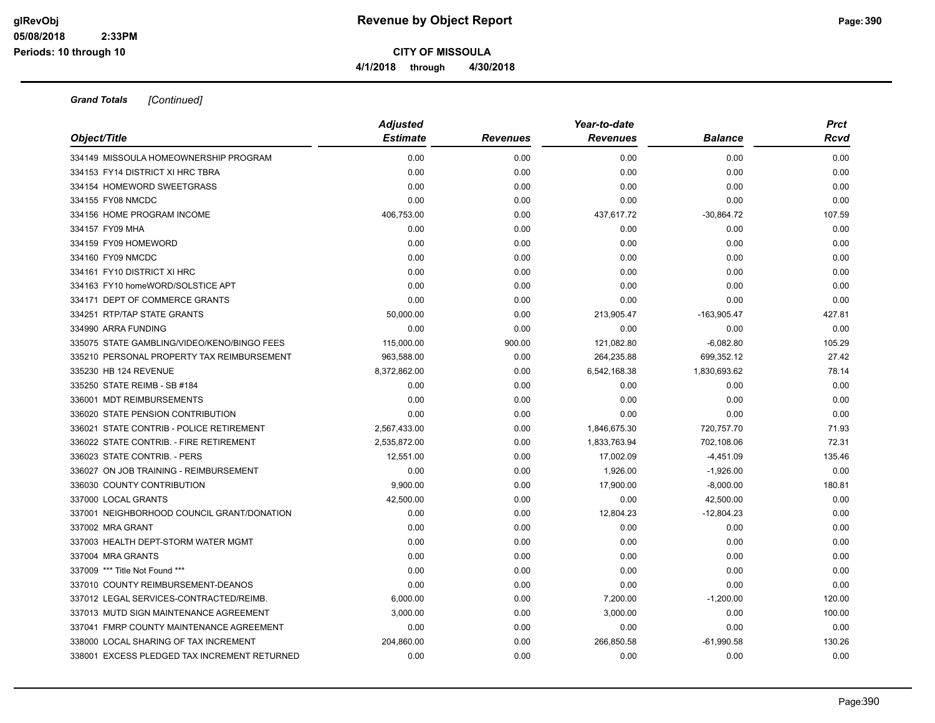**4/1/2018 through 4/30/2018**

| Object/Title                                 | <b>Adjusted</b><br><b>Estimate</b> | <b>Revenues</b> | Year-to-date<br><b>Revenues</b> | <b>Balance</b> | <b>Prct</b><br>Rcvd |
|----------------------------------------------|------------------------------------|-----------------|---------------------------------|----------------|---------------------|
| 334149 MISSOULA HOMEOWNERSHIP PROGRAM        | 0.00                               | 0.00            | 0.00                            | 0.00           | 0.00                |
| 334153 FY14 DISTRICT XI HRC TBRA             | 0.00                               | 0.00            | 0.00                            | 0.00           | 0.00                |
| 334154 HOMEWORD SWEETGRASS                   | 0.00                               | 0.00            | 0.00                            | 0.00           | 0.00                |
| 334155 FY08 NMCDC                            | 0.00                               | 0.00            | 0.00                            | 0.00           | 0.00                |
| 334156 HOME PROGRAM INCOME                   | 406,753.00                         | 0.00            | 437,617.72                      | $-30,864.72$   | 107.59              |
| 334157 FY09 MHA                              | 0.00                               | 0.00            | 0.00                            | 0.00           | 0.00                |
| 334159 FY09 HOMEWORD                         | 0.00                               | 0.00            | 0.00                            | 0.00           | 0.00                |
| 334160 FY09 NMCDC                            | 0.00                               | 0.00            | 0.00                            | 0.00           | 0.00                |
| 334161 FY10 DISTRICT XI HRC                  | 0.00                               | 0.00            | 0.00                            | 0.00           | 0.00                |
| 334163 FY10 homeWORD/SOLSTICE APT            | 0.00                               | 0.00            | 0.00                            | 0.00           | 0.00                |
| 334171 DEPT OF COMMERCE GRANTS               | 0.00                               | 0.00            | 0.00                            | 0.00           | 0.00                |
| 334251 RTP/TAP STATE GRANTS                  | 50,000.00                          | 0.00            | 213,905.47                      | $-163,905.47$  | 427.81              |
| 334990 ARRA FUNDING                          | 0.00                               | 0.00            | 0.00                            | 0.00           | 0.00                |
| 335075 STATE GAMBLING/VIDEO/KENO/BINGO FEES  | 115,000.00                         | 900.00          | 121,082.80                      | $-6,082.80$    | 105.29              |
| 335210 PERSONAL PROPERTY TAX REIMBURSEMENT   | 963,588.00                         | 0.00            | 264,235.88                      | 699,352.12     | 27.42               |
| 335230 HB 124 REVENUE                        | 8,372,862.00                       | 0.00            | 6,542,168.38                    | 1,830,693.62   | 78.14               |
| 335250 STATE REIMB - SB #184                 | 0.00                               | 0.00            | 0.00                            | 0.00           | 0.00                |
| 336001 MDT REIMBURSEMENTS                    | 0.00                               | 0.00            | 0.00                            | 0.00           | 0.00                |
| 336020 STATE PENSION CONTRIBUTION            | 0.00                               | 0.00            | 0.00                            | 0.00           | 0.00                |
| 336021 STATE CONTRIB - POLICE RETIREMENT     | 2,567,433.00                       | 0.00            | 1,846,675.30                    | 720,757.70     | 71.93               |
| 336022 STATE CONTRIB. - FIRE RETIREMENT      | 2,535,872.00                       | 0.00            | 1,833,763.94                    | 702,108.06     | 72.31               |
| 336023 STATE CONTRIB. - PERS                 | 12,551.00                          | 0.00            | 17,002.09                       | $-4,451.09$    | 135.46              |
| 336027 ON JOB TRAINING - REIMBURSEMENT       | 0.00                               | 0.00            | 1,926.00                        | $-1,926.00$    | 0.00                |
| 336030 COUNTY CONTRIBUTION                   | 9,900.00                           | 0.00            | 17,900.00                       | $-8,000.00$    | 180.81              |
| 337000 LOCAL GRANTS                          | 42,500.00                          | 0.00            | 0.00                            | 42,500.00      | 0.00                |
| 337001 NEIGHBORHOOD COUNCIL GRANT/DONATION   | 0.00                               | 0.00            | 12,804.23                       | $-12,804.23$   | 0.00                |
| 337002 MRA GRANT                             | 0.00                               | 0.00            | 0.00                            | 0.00           | 0.00                |
| 337003 HEALTH DEPT-STORM WATER MGMT          | 0.00                               | 0.00            | 0.00                            | 0.00           | 0.00                |
| 337004 MRA GRANTS                            | 0.00                               | 0.00            | 0.00                            | 0.00           | 0.00                |
| 337009 *** Title Not Found ***               | 0.00                               | 0.00            | 0.00                            | 0.00           | 0.00                |
| 337010 COUNTY REIMBURSEMENT-DEANOS           | 0.00                               | 0.00            | 0.00                            | 0.00           | 0.00                |
| 337012 LEGAL SERVICES-CONTRACTED/REIMB.      | 6,000.00                           | 0.00            | 7,200.00                        | $-1,200.00$    | 120.00              |
| 337013 MUTD SIGN MAINTENANCE AGREEMENT       | 3,000.00                           | 0.00            | 3,000.00                        | 0.00           | 100.00              |
| 337041 FMRP COUNTY MAINTENANCE AGREEMENT     | 0.00                               | 0.00            | 0.00                            | 0.00           | 0.00                |
| 338000 LOCAL SHARING OF TAX INCREMENT        | 204,860.00                         | 0.00            | 266,850.58                      | $-61,990.58$   | 130.26              |
| 338001 EXCESS PLEDGED TAX INCREMENT RETURNED | 0.00                               | 0.00            | 0.00                            | 0.00           | 0.00                |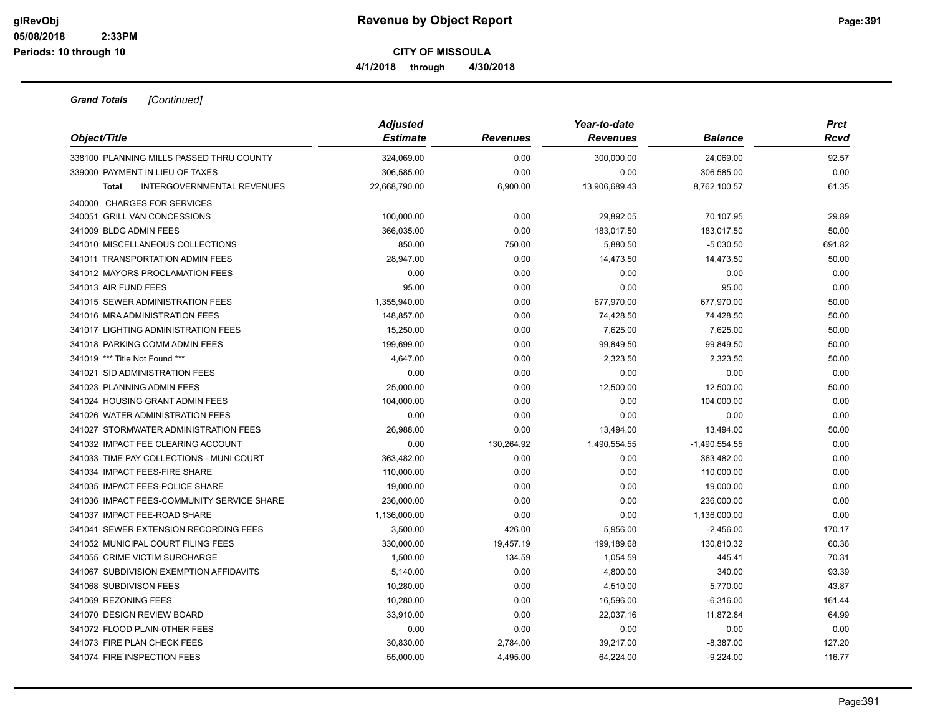**4/1/2018 through 4/30/2018**

| Object/Title                                      | <b>Adjusted</b><br><b>Estimate</b> | <b>Revenues</b> | Year-to-date<br><b>Revenues</b> | <b>Balance</b>  | <b>Prct</b><br>Rcvd |
|---------------------------------------------------|------------------------------------|-----------------|---------------------------------|-----------------|---------------------|
| 338100 PLANNING MILLS PASSED THRU COUNTY          | 324,069.00                         | 0.00            | 300,000.00                      | 24,069.00       | 92.57               |
| 339000 PAYMENT IN LIEU OF TAXES                   | 306,585.00                         | 0.00            | 0.00                            | 306,585.00      | 0.00                |
| <b>INTERGOVERNMENTAL REVENUES</b><br><b>Total</b> | 22,668,790.00                      | 6,900.00        | 13,906,689.43                   | 8,762,100.57    | 61.35               |
| 340000 CHARGES FOR SERVICES                       |                                    |                 |                                 |                 |                     |
| 340051 GRILL VAN CONCESSIONS                      | 100,000.00                         | 0.00            | 29,892.05                       | 70,107.95       | 29.89               |
| 341009 BLDG ADMIN FEES                            | 366,035.00                         | 0.00            | 183,017.50                      | 183,017.50      | 50.00               |
| 341010 MISCELLANEOUS COLLECTIONS                  | 850.00                             | 750.00          | 5,880.50                        | $-5,030.50$     | 691.82              |
| 341011 TRANSPORTATION ADMIN FEES                  | 28,947.00                          | 0.00            | 14,473.50                       | 14,473.50       | 50.00               |
| 341012 MAYORS PROCLAMATION FEES                   | 0.00                               | 0.00            | 0.00                            | 0.00            | 0.00                |
| 341013 AIR FUND FEES                              | 95.00                              | 0.00            | 0.00                            | 95.00           | 0.00                |
| 341015 SEWER ADMINISTRATION FEES                  | 1,355,940.00                       | 0.00            | 677,970.00                      | 677,970.00      | 50.00               |
| 341016 MRA ADMINISTRATION FEES                    | 148,857.00                         | 0.00            | 74,428.50                       | 74,428.50       | 50.00               |
| 341017 LIGHTING ADMINISTRATION FEES               | 15,250.00                          | 0.00            | 7,625.00                        | 7,625.00        | 50.00               |
| 341018 PARKING COMM ADMIN FEES                    | 199,699.00                         | 0.00            | 99,849.50                       | 99,849.50       | 50.00               |
| 341019 *** Title Not Found ***                    | 4,647.00                           | 0.00            | 2,323.50                        | 2,323.50        | 50.00               |
| 341021 SID ADMINISTRATION FEES                    | 0.00                               | 0.00            | 0.00                            | 0.00            | 0.00                |
| 341023 PLANNING ADMIN FEES                        | 25,000.00                          | 0.00            | 12,500.00                       | 12,500.00       | 50.00               |
| 341024 HOUSING GRANT ADMIN FEES                   | 104,000.00                         | 0.00            | 0.00                            | 104,000.00      | 0.00                |
| 341026 WATER ADMINISTRATION FEES                  | 0.00                               | 0.00            | 0.00                            | 0.00            | 0.00                |
| 341027 STORMWATER ADMINISTRATION FEES             | 26,988.00                          | 0.00            | 13,494.00                       | 13,494.00       | 50.00               |
| 341032 IMPACT FEE CLEARING ACCOUNT                | 0.00                               | 130,264.92      | 1,490,554.55                    | $-1,490,554.55$ | 0.00                |
| 341033 TIME PAY COLLECTIONS - MUNI COURT          | 363,482.00                         | 0.00            | 0.00                            | 363,482.00      | 0.00                |
| 341034 IMPACT FEES-FIRE SHARE                     | 110,000.00                         | 0.00            | 0.00                            | 110,000.00      | 0.00                |
| 341035 IMPACT FEES-POLICE SHARE                   | 19,000.00                          | 0.00            | 0.00                            | 19,000.00       | 0.00                |
| 341036 IMPACT FEES-COMMUNITY SERVICE SHARE        | 236,000.00                         | 0.00            | 0.00                            | 236,000.00      | 0.00                |
| 341037 IMPACT FEE-ROAD SHARE                      | 1,136,000.00                       | 0.00            | 0.00                            | 1,136,000.00    | 0.00                |
| 341041 SEWER EXTENSION RECORDING FEES             | 3,500.00                           | 426.00          | 5,956.00                        | $-2,456.00$     | 170.17              |
| 341052 MUNICIPAL COURT FILING FEES                | 330,000.00                         | 19,457.19       | 199,189.68                      | 130,810.32      | 60.36               |
| 341055 CRIME VICTIM SURCHARGE                     | 1,500.00                           | 134.59          | 1,054.59                        | 445.41          | 70.31               |
| 341067 SUBDIVISION EXEMPTION AFFIDAVITS           | 5,140.00                           | 0.00            | 4,800.00                        | 340.00          | 93.39               |
| 341068 SUBDIVISON FEES                            | 10,280.00                          | 0.00            | 4,510.00                        | 5,770.00        | 43.87               |
| 341069 REZONING FEES                              | 10,280.00                          | 0.00            | 16,596.00                       | $-6,316.00$     | 161.44              |
| 341070 DESIGN REVIEW BOARD                        | 33,910.00                          | 0.00            | 22,037.16                       | 11,872.84       | 64.99               |
| 341072 FLOOD PLAIN-0THER FEES                     | 0.00                               | 0.00            | 0.00                            | 0.00            | 0.00                |
| 341073 FIRE PLAN CHECK FEES                       | 30,830.00                          | 2,784.00        | 39,217.00                       | $-8,387.00$     | 127.20              |
| 341074 FIRE INSPECTION FEES                       | 55,000.00                          | 4,495.00        | 64,224.00                       | $-9,224.00$     | 116.77              |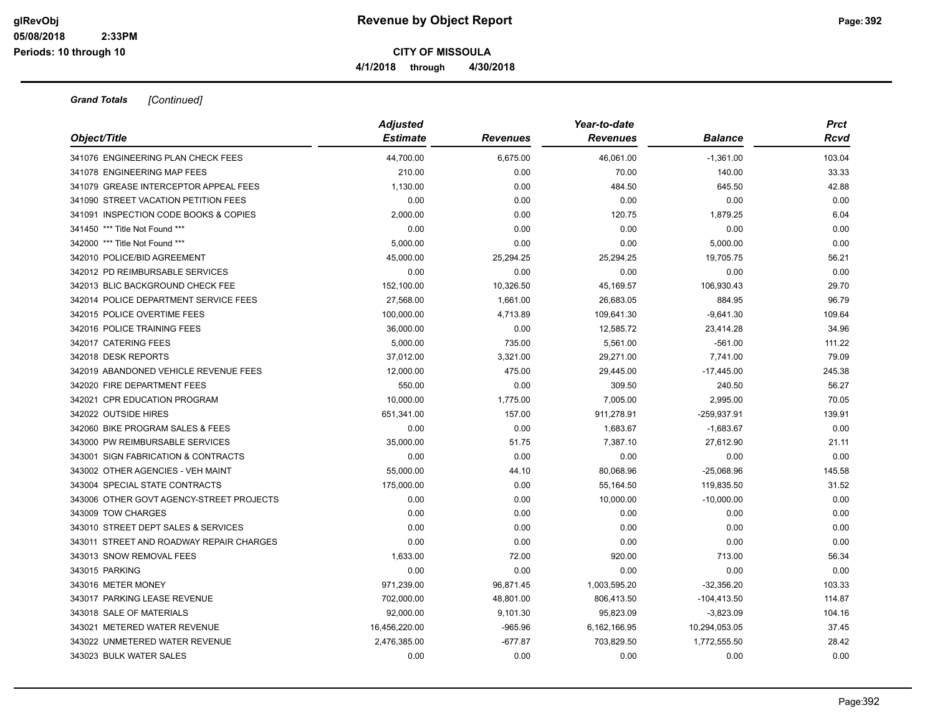**4/1/2018 through 4/30/2018**

| Object/Title                             | <b>Adjusted</b><br><b>Estimate</b> | <b>Revenues</b> | Year-to-date<br><b>Revenues</b> | <b>Balance</b> | <b>Prct</b><br>Rcvd |
|------------------------------------------|------------------------------------|-----------------|---------------------------------|----------------|---------------------|
| 341076 ENGINEERING PLAN CHECK FEES       | 44,700.00                          | 6,675.00        | 46,061.00                       | $-1,361.00$    | 103.04              |
| 341078 ENGINEERING MAP FEES              | 210.00                             | 0.00            | 70.00                           | 140.00         | 33.33               |
| 341079 GREASE INTERCEPTOR APPEAL FEES    | 1,130.00                           | 0.00            | 484.50                          | 645.50         | 42.88               |
| 341090 STREET VACATION PETITION FEES     | 0.00                               | 0.00            | 0.00                            | 0.00           | 0.00                |
| 341091 INSPECTION CODE BOOKS & COPIES    | 2,000.00                           | 0.00            | 120.75                          | 1,879.25       | 6.04                |
| 341450 *** Title Not Found ***           | 0.00                               | 0.00            | 0.00                            | 0.00           | 0.00                |
| 342000 *** Title Not Found ***           | 5,000.00                           | 0.00            | 0.00                            | 5,000.00       | 0.00                |
| 342010 POLICE/BID AGREEMENT              | 45,000.00                          | 25,294.25       | 25,294.25                       | 19,705.75      | 56.21               |
| 342012 PD REIMBURSABLE SERVICES          | 0.00                               | 0.00            | 0.00                            | 0.00           | 0.00                |
| 342013 BLIC BACKGROUND CHECK FEE         | 152,100.00                         | 10,326.50       | 45,169.57                       | 106,930.43     | 29.70               |
| 342014 POLICE DEPARTMENT SERVICE FEES    | 27,568.00                          | 1,661.00        | 26,683.05                       | 884.95         | 96.79               |
| 342015 POLICE OVERTIME FEES              | 100,000.00                         | 4,713.89        | 109,641.30                      | $-9,641.30$    | 109.64              |
| 342016 POLICE TRAINING FEES              | 36,000.00                          | 0.00            | 12,585.72                       | 23,414.28      | 34.96               |
| 342017 CATERING FEES                     | 5,000.00                           | 735.00          | 5,561.00                        | $-561.00$      | 111.22              |
| 342018 DESK REPORTS                      | 37,012.00                          | 3,321.00        | 29,271.00                       | 7,741.00       | 79.09               |
| 342019 ABANDONED VEHICLE REVENUE FEES    | 12,000.00                          | 475.00          | 29,445.00                       | $-17,445.00$   | 245.38              |
| 342020 FIRE DEPARTMENT FEES              | 550.00                             | 0.00            | 309.50                          | 240.50         | 56.27               |
| 342021 CPR EDUCATION PROGRAM             | 10,000.00                          | 1,775.00        | 7,005.00                        | 2,995.00       | 70.05               |
| 342022 OUTSIDE HIRES                     | 651,341.00                         | 157.00          | 911,278.91                      | $-259,937.91$  | 139.91              |
| 342060 BIKE PROGRAM SALES & FEES         | 0.00                               | 0.00            | 1,683.67                        | $-1,683.67$    | 0.00                |
| 343000 PW REIMBURSABLE SERVICES          | 35,000.00                          | 51.75           | 7,387.10                        | 27,612.90      | 21.11               |
| 343001 SIGN FABRICATION & CONTRACTS      | 0.00                               | 0.00            | 0.00                            | 0.00           | 0.00                |
| 343002 OTHER AGENCIES - VEH MAINT        | 55,000.00                          | 44.10           | 80,068.96                       | $-25,068.96$   | 145.58              |
| 343004 SPECIAL STATE CONTRACTS           | 175,000.00                         | 0.00            | 55,164.50                       | 119,835.50     | 31.52               |
| 343006 OTHER GOVT AGENCY-STREET PROJECTS | 0.00                               | 0.00            | 10,000.00                       | $-10,000.00$   | 0.00                |
| 343009 TOW CHARGES                       | 0.00                               | 0.00            | 0.00                            | 0.00           | 0.00                |
| 343010 STREET DEPT SALES & SERVICES      | 0.00                               | 0.00            | 0.00                            | 0.00           | 0.00                |
| 343011 STREET AND ROADWAY REPAIR CHARGES | 0.00                               | 0.00            | 0.00                            | 0.00           | 0.00                |
| 343013 SNOW REMOVAL FEES                 | 1,633.00                           | 72.00           | 920.00                          | 713.00         | 56.34               |
| 343015 PARKING                           | 0.00                               | 0.00            | 0.00                            | 0.00           | 0.00                |
| 343016 METER MONEY                       | 971,239.00                         | 96,871.45       | 1,003,595.20                    | $-32,356.20$   | 103.33              |
| 343017 PARKING LEASE REVENUE             | 702,000.00                         | 48,801.00       | 806,413.50                      | $-104,413.50$  | 114.87              |
| 343018 SALE OF MATERIALS                 | 92,000.00                          | 9,101.30        | 95,823.09                       | $-3,823.09$    | 104.16              |
| 343021 METERED WATER REVENUE             | 16,456,220.00                      | $-965.96$       | 6,162,166.95                    | 10,294,053.05  | 37.45               |
| 343022 UNMETERED WATER REVENUE           | 2,476,385.00                       | $-677.87$       | 703,829.50                      | 1,772,555.50   | 28.42               |
| 343023 BULK WATER SALES                  | 0.00                               | 0.00            | 0.00                            | 0.00           | 0.00                |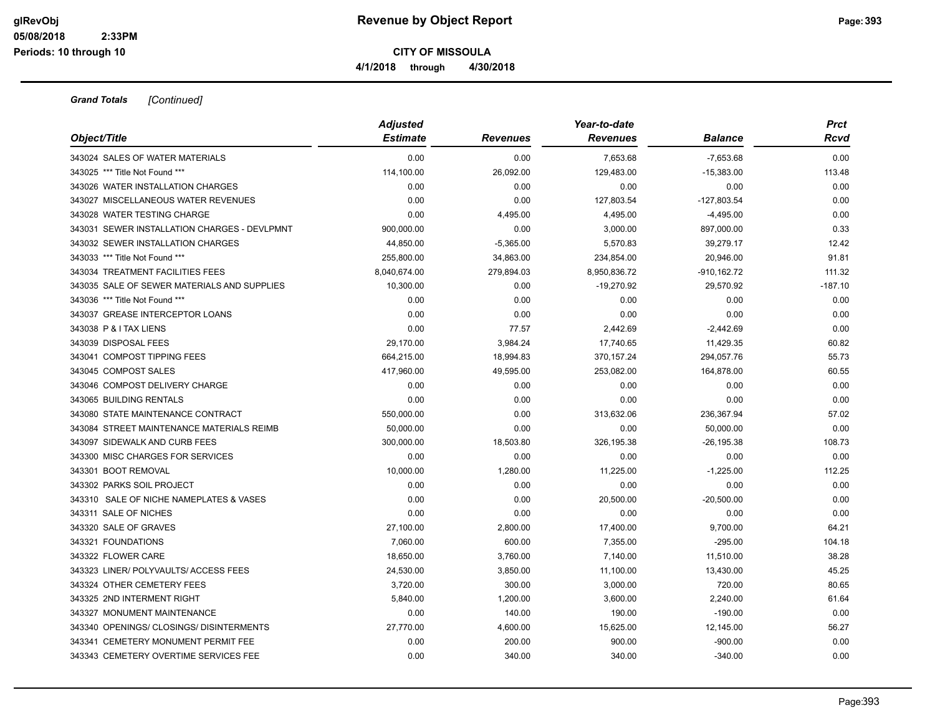**4/1/2018 through 4/30/2018**

|                                              | <b>Adjusted</b> |                 | Year-to-date    |                | <b>Prct</b> |  |
|----------------------------------------------|-----------------|-----------------|-----------------|----------------|-------------|--|
| Object/Title                                 | <b>Estimate</b> | <b>Revenues</b> | <b>Revenues</b> | <b>Balance</b> | Rcvd        |  |
| 343024 SALES OF WATER MATERIALS              | 0.00            | 0.00            | 7,653.68        | $-7,653.68$    | 0.00        |  |
| 343025 *** Title Not Found ***               | 114,100.00      | 26,092.00       | 129,483.00      | $-15,383.00$   | 113.48      |  |
| 343026 WATER INSTALLATION CHARGES            | 0.00            | 0.00            | 0.00            | 0.00           | 0.00        |  |
| 343027 MISCELLANEOUS WATER REVENUES          | 0.00            | 0.00            | 127,803.54      | $-127,803.54$  | 0.00        |  |
| 343028 WATER TESTING CHARGE                  | 0.00            | 4,495.00        | 4,495.00        | $-4,495.00$    | 0.00        |  |
| 343031 SEWER INSTALLATION CHARGES - DEVLPMNT | 900,000.00      | 0.00            | 3,000.00        | 897,000.00     | 0.33        |  |
| 343032 SEWER INSTALLATION CHARGES            | 44,850.00       | $-5,365.00$     | 5,570.83        | 39,279.17      | 12.42       |  |
| 343033 *** Title Not Found ***               | 255,800.00      | 34,863.00       | 234,854.00      | 20,946.00      | 91.81       |  |
| 343034 TREATMENT FACILITIES FEES             | 8,040,674.00    | 279,894.03      | 8,950,836.72    | $-910, 162.72$ | 111.32      |  |
| 343035 SALE OF SEWER MATERIALS AND SUPPLIES  | 10,300.00       | 0.00            | $-19,270.92$    | 29,570.92      | $-187.10$   |  |
| 343036 *** Title Not Found ***               | 0.00            | 0.00            | 0.00            | 0.00           | 0.00        |  |
| 343037 GREASE INTERCEPTOR LOANS              | 0.00            | 0.00            | 0.00            | 0.00           | 0.00        |  |
| 343038 P & I TAX LIENS                       | 0.00            | 77.57           | 2,442.69        | $-2,442.69$    | 0.00        |  |
| 343039 DISPOSAL FEES                         | 29,170.00       | 3,984.24        | 17,740.65       | 11,429.35      | 60.82       |  |
| 343041 COMPOST TIPPING FEES                  | 664,215.00      | 18,994.83       | 370, 157.24     | 294,057.76     | 55.73       |  |
| 343045 COMPOST SALES                         | 417,960.00      | 49,595.00       | 253,082.00      | 164,878.00     | 60.55       |  |
| 343046 COMPOST DELIVERY CHARGE               | 0.00            | 0.00            | 0.00            | 0.00           | 0.00        |  |
| 343065 BUILDING RENTALS                      | 0.00            | 0.00            | 0.00            | 0.00           | 0.00        |  |
| 343080 STATE MAINTENANCE CONTRACT            | 550,000.00      | 0.00            | 313,632.06      | 236,367.94     | 57.02       |  |
| 343084 STREET MAINTENANCE MATERIALS REIMB    | 50,000.00       | 0.00            | 0.00            | 50,000.00      | 0.00        |  |
| 343097 SIDEWALK AND CURB FEES                | 300,000.00      | 18,503.80       | 326,195.38      | $-26, 195.38$  | 108.73      |  |
| 343300 MISC CHARGES FOR SERVICES             | 0.00            | 0.00            | 0.00            | 0.00           | 0.00        |  |
| 343301 BOOT REMOVAL                          | 10,000.00       | 1,280.00        | 11,225.00       | $-1,225.00$    | 112.25      |  |
| 343302 PARKS SOIL PROJECT                    | 0.00            | 0.00            | 0.00            | 0.00           | 0.00        |  |
| 343310 SALE OF NICHE NAMEPLATES & VASES      | 0.00            | 0.00            | 20,500.00       | $-20,500.00$   | 0.00        |  |
| 343311 SALE OF NICHES                        | 0.00            | 0.00            | 0.00            | 0.00           | 0.00        |  |
| 343320 SALE OF GRAVES                        | 27,100.00       | 2,800.00        | 17,400.00       | 9,700.00       | 64.21       |  |
| 343321 FOUNDATIONS                           | 7,060.00        | 600.00          | 7,355.00        | $-295.00$      | 104.18      |  |
| 343322 FLOWER CARE                           | 18,650.00       | 3,760.00        | 7,140.00        | 11,510.00      | 38.28       |  |
| 343323 LINER/ POLYVAULTS/ ACCESS FEES        | 24,530.00       | 3,850.00        | 11,100.00       | 13,430.00      | 45.25       |  |
| 343324 OTHER CEMETERY FEES                   | 3,720.00        | 300.00          | 3,000.00        | 720.00         | 80.65       |  |
| 343325 2ND INTERMENT RIGHT                   | 5,840.00        | 1,200.00        | 3,600.00        | 2,240.00       | 61.64       |  |
| 343327 MONUMENT MAINTENANCE                  | 0.00            | 140.00          | 190.00          | $-190.00$      | 0.00        |  |
| 343340 OPENINGS/ CLOSINGS/ DISINTERMENTS     | 27,770.00       | 4,600.00        | 15,625.00       | 12,145.00      | 56.27       |  |
| 343341 CEMETERY MONUMENT PERMIT FEE          | 0.00            | 200.00          | 900.00          | $-900.00$      | 0.00        |  |
| 343343 CEMETERY OVERTIME SERVICES FEE        | 0.00            | 340.00          | 340.00          | $-340.00$      | 0.00        |  |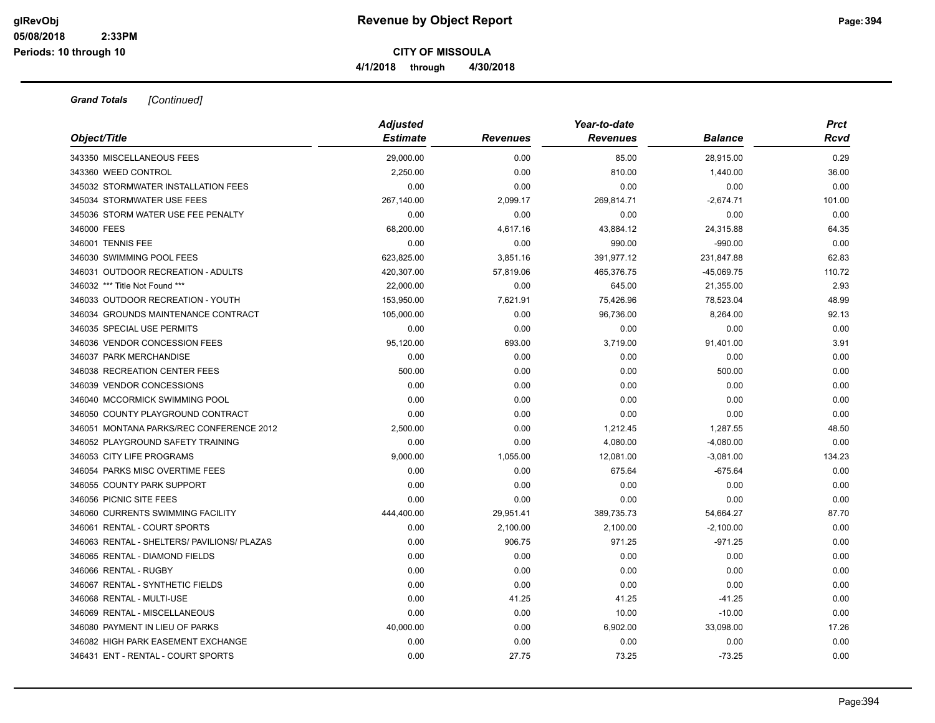**4/1/2018 through 4/30/2018**

|                                             | <b>Adjusted</b> |                 | Year-to-date    |                | <b>Prct</b> |
|---------------------------------------------|-----------------|-----------------|-----------------|----------------|-------------|
| Object/Title                                | <b>Estimate</b> | <b>Revenues</b> | <b>Revenues</b> | <b>Balance</b> | Rcvd        |
| 343350 MISCELLANEOUS FEES                   | 29,000.00       | 0.00            | 85.00           | 28,915.00      | 0.29        |
| 343360 WEED CONTROL                         | 2,250.00        | 0.00            | 810.00          | 1,440.00       | 36.00       |
| 345032 STORMWATER INSTALLATION FEES         | 0.00            | 0.00            | 0.00            | 0.00           | 0.00        |
| 345034 STORMWATER USE FEES                  | 267,140.00      | 2,099.17        | 269,814.71      | $-2,674.71$    | 101.00      |
| 345036 STORM WATER USE FEE PENALTY          | 0.00            | 0.00            | 0.00            | 0.00           | 0.00        |
| 346000 FEES                                 | 68,200.00       | 4,617.16        | 43,884.12       | 24,315.88      | 64.35       |
| 346001 TENNIS FEE                           | 0.00            | 0.00            | 990.00          | $-990.00$      | 0.00        |
| 346030 SWIMMING POOL FEES                   | 623,825.00      | 3,851.16        | 391,977.12      | 231,847.88     | 62.83       |
| 346031 OUTDOOR RECREATION - ADULTS          | 420,307.00      | 57,819.06       | 465,376.75      | $-45,069.75$   | 110.72      |
| 346032 *** Title Not Found ***              | 22,000.00       | 0.00            | 645.00          | 21,355.00      | 2.93        |
| 346033 OUTDOOR RECREATION - YOUTH           | 153,950.00      | 7,621.91        | 75,426.96       | 78,523.04      | 48.99       |
| 346034 GROUNDS MAINTENANCE CONTRACT         | 105,000.00      | 0.00            | 96,736.00       | 8,264.00       | 92.13       |
| 346035 SPECIAL USE PERMITS                  | 0.00            | 0.00            | 0.00            | 0.00           | 0.00        |
| 346036 VENDOR CONCESSION FEES               | 95,120.00       | 693.00          | 3,719.00        | 91,401.00      | 3.91        |
| 346037 PARK MERCHANDISE                     | 0.00            | 0.00            | 0.00            | 0.00           | 0.00        |
| 346038 RECREATION CENTER FEES               | 500.00          | 0.00            | 0.00            | 500.00         | 0.00        |
| 346039 VENDOR CONCESSIONS                   | 0.00            | 0.00            | 0.00            | 0.00           | 0.00        |
| 346040 MCCORMICK SWIMMING POOL              | 0.00            | 0.00            | 0.00            | 0.00           | 0.00        |
| 346050 COUNTY PLAYGROUND CONTRACT           | 0.00            | 0.00            | 0.00            | 0.00           | 0.00        |
| 346051 MONTANA PARKS/REC CONFERENCE 2012    | 2,500.00        | 0.00            | 1,212.45        | 1,287.55       | 48.50       |
| 346052 PLAYGROUND SAFETY TRAINING           | 0.00            | 0.00            | 4,080.00        | $-4,080.00$    | 0.00        |
| 346053 CITY LIFE PROGRAMS                   | 9,000.00        | 1,055.00        | 12,081.00       | $-3,081.00$    | 134.23      |
| 346054 PARKS MISC OVERTIME FEES             | 0.00            | 0.00            | 675.64          | $-675.64$      | 0.00        |
| 346055 COUNTY PARK SUPPORT                  | 0.00            | 0.00            | 0.00            | 0.00           | 0.00        |
| 346056 PICNIC SITE FEES                     | 0.00            | 0.00            | 0.00            | 0.00           | 0.00        |
| 346060 CURRENTS SWIMMING FACILITY           | 444,400.00      | 29,951.41       | 389,735.73      | 54,664.27      | 87.70       |
| 346061 RENTAL - COURT SPORTS                | 0.00            | 2,100.00        | 2,100.00        | $-2,100.00$    | 0.00        |
| 346063 RENTAL - SHELTERS/ PAVILIONS/ PLAZAS | 0.00            | 906.75          | 971.25          | $-971.25$      | 0.00        |
| 346065 RENTAL - DIAMOND FIELDS              | 0.00            | 0.00            | 0.00            | 0.00           | 0.00        |
| 346066 RENTAL - RUGBY                       | 0.00            | 0.00            | 0.00            | 0.00           | 0.00        |
| 346067 RENTAL - SYNTHETIC FIELDS            | 0.00            | 0.00            | 0.00            | 0.00           | 0.00        |
| 346068 RENTAL - MULTI-USE                   | 0.00            | 41.25           | 41.25           | $-41.25$       | 0.00        |
| 346069 RENTAL - MISCELLANEOUS               | 0.00            | 0.00            | 10.00           | $-10.00$       | 0.00        |
| 346080 PAYMENT IN LIEU OF PARKS             | 40,000.00       | 0.00            | 6,902.00        | 33,098.00      | 17.26       |
| 346082 HIGH PARK EASEMENT EXCHANGE          | 0.00            | 0.00            | 0.00            | 0.00           | 0.00        |
| 346431 ENT - RENTAL - COURT SPORTS          | 0.00            | 27.75           | 73.25           | $-73.25$       | 0.00        |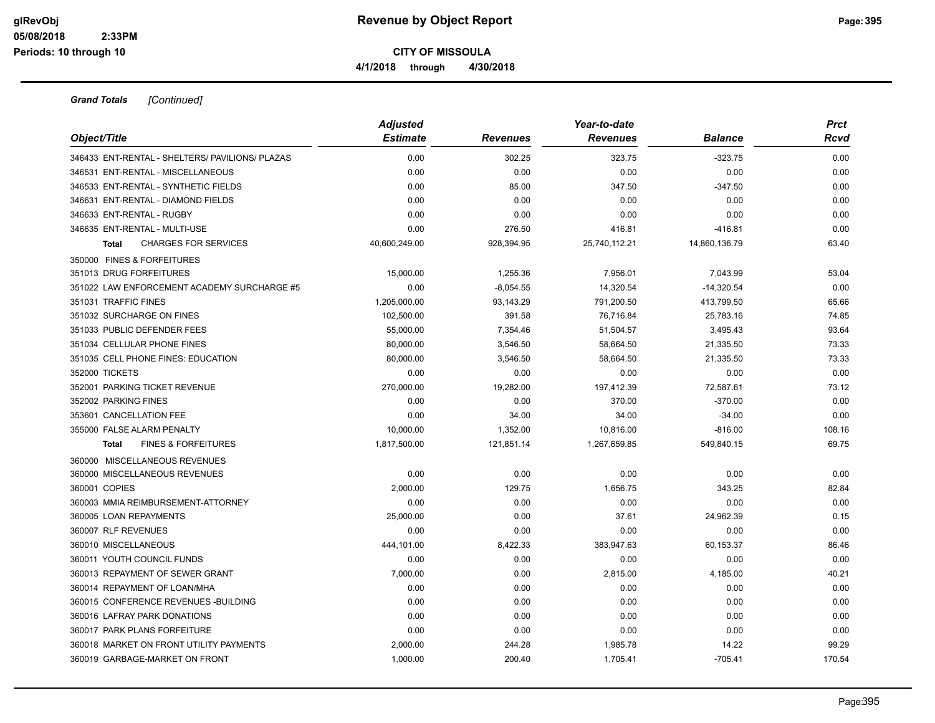**4/1/2018 through 4/30/2018**

| Object/Title                                    | <b>Adjusted</b><br><b>Estimate</b> | <b>Revenues</b> | Year-to-date<br><b>Revenues</b> | <b>Balance</b> | <b>Prct</b><br>Rcvd |
|-------------------------------------------------|------------------------------------|-----------------|---------------------------------|----------------|---------------------|
|                                                 |                                    |                 |                                 |                |                     |
| 346433 ENT-RENTAL - SHELTERS/ PAVILIONS/ PLAZAS | 0.00                               | 302.25          | 323.75                          | $-323.75$      | 0.00                |
| 346531 ENT-RENTAL - MISCELLANEOUS               | 0.00                               | 0.00            | 0.00                            | 0.00           | 0.00                |
| 346533 ENT-RENTAL - SYNTHETIC FIELDS            | 0.00                               | 85.00           | 347.50                          | $-347.50$      | 0.00                |
| 346631 ENT-RENTAL - DIAMOND FIELDS              | 0.00                               | 0.00            | 0.00                            | 0.00           | 0.00                |
| 346633 ENT-RENTAL - RUGBY                       | 0.00                               | 0.00            | 0.00                            | 0.00           | 0.00                |
| 346635 ENT-RENTAL - MULTI-USE                   | 0.00                               | 276.50          | 416.81                          | $-416.81$      | 0.00                |
| <b>CHARGES FOR SERVICES</b><br><b>Total</b>     | 40,600,249.00                      | 928,394.95      | 25,740,112.21                   | 14,860,136.79  | 63.40               |
| 350000 FINES & FORFEITURES                      |                                    |                 |                                 |                |                     |
| 351013 DRUG FORFEITURES                         | 15,000.00                          | 1,255.36        | 7,956.01                        | 7,043.99       | 53.04               |
| 351022 LAW ENFORCEMENT ACADEMY SURCHARGE #5     | 0.00                               | $-8,054.55$     | 14,320.54                       | $-14,320.54$   | 0.00                |
| 351031 TRAFFIC FINES                            | 1,205,000.00                       | 93,143.29       | 791,200.50                      | 413,799.50     | 65.66               |
| 351032 SURCHARGE ON FINES                       | 102,500.00                         | 391.58          | 76,716.84                       | 25,783.16      | 74.85               |
| 351033 PUBLIC DEFENDER FEES                     | 55,000.00                          | 7,354.46        | 51,504.57                       | 3,495.43       | 93.64               |
| 351034 CELLULAR PHONE FINES                     | 80,000.00                          | 3,546.50        | 58,664.50                       | 21,335.50      | 73.33               |
| 351035 CELL PHONE FINES: EDUCATION              | 80,000.00                          | 3,546.50        | 58,664.50                       | 21,335.50      | 73.33               |
| 352000 TICKETS                                  | 0.00                               | 0.00            | 0.00                            | 0.00           | 0.00                |
| 352001 PARKING TICKET REVENUE                   | 270,000.00                         | 19,282.00       | 197,412.39                      | 72,587.61      | 73.12               |
| 352002 PARKING FINES                            | 0.00                               | 0.00            | 370.00                          | $-370.00$      | 0.00                |
| 353601 CANCELLATION FEE                         | 0.00                               | 34.00           | 34.00                           | $-34.00$       | 0.00                |
| 355000 FALSE ALARM PENALTY                      | 10,000.00                          | 1,352.00        | 10,816.00                       | $-816.00$      | 108.16              |
| <b>FINES &amp; FORFEITURES</b><br><b>Total</b>  | 1,817,500.00                       | 121,851.14      | 1,267,659.85                    | 549,840.15     | 69.75               |
| 360000 MISCELLANEOUS REVENUES                   |                                    |                 |                                 |                |                     |
| 360000 MISCELLANEOUS REVENUES                   | 0.00                               | 0.00            | 0.00                            | 0.00           | 0.00                |
| 360001 COPIES                                   | 2,000.00                           | 129.75          | 1,656.75                        | 343.25         | 82.84               |
| 360003 MMIA REIMBURSEMENT-ATTORNEY              | 0.00                               | 0.00            | 0.00                            | 0.00           | 0.00                |
| 360005 LOAN REPAYMENTS                          | 25,000.00                          | 0.00            | 37.61                           | 24,962.39      | 0.15                |
| 360007 RLF REVENUES                             | 0.00                               | 0.00            | 0.00                            | 0.00           | 0.00                |
| 360010 MISCELLANEOUS                            | 444,101.00                         | 8,422.33        | 383,947.63                      | 60,153.37      | 86.46               |
| 360011 YOUTH COUNCIL FUNDS                      | 0.00                               | 0.00            | 0.00                            | 0.00           | 0.00                |
| 360013 REPAYMENT OF SEWER GRANT                 | 7,000.00                           | 0.00            | 2,815.00                        | 4,185.00       | 40.21               |
| 360014 REPAYMENT OF LOAN/MHA                    | 0.00                               | 0.00            | 0.00                            | 0.00           | 0.00                |
| 360015 CONFERENCE REVENUES - BUILDING           | 0.00                               | 0.00            | 0.00                            | 0.00           | 0.00                |
| 360016 LAFRAY PARK DONATIONS                    | 0.00                               | 0.00            | 0.00                            | 0.00           | 0.00                |
| 360017 PARK PLANS FORFEITURE                    | 0.00                               | 0.00            | 0.00                            | 0.00           | 0.00                |
| 360018 MARKET ON FRONT UTILITY PAYMENTS         | 2,000.00                           | 244.28          | 1,985.78                        | 14.22          | 99.29               |
| 360019 GARBAGE-MARKET ON FRONT                  | 1,000.00                           | 200.40          | 1,705.41                        | $-705.41$      | 170.54              |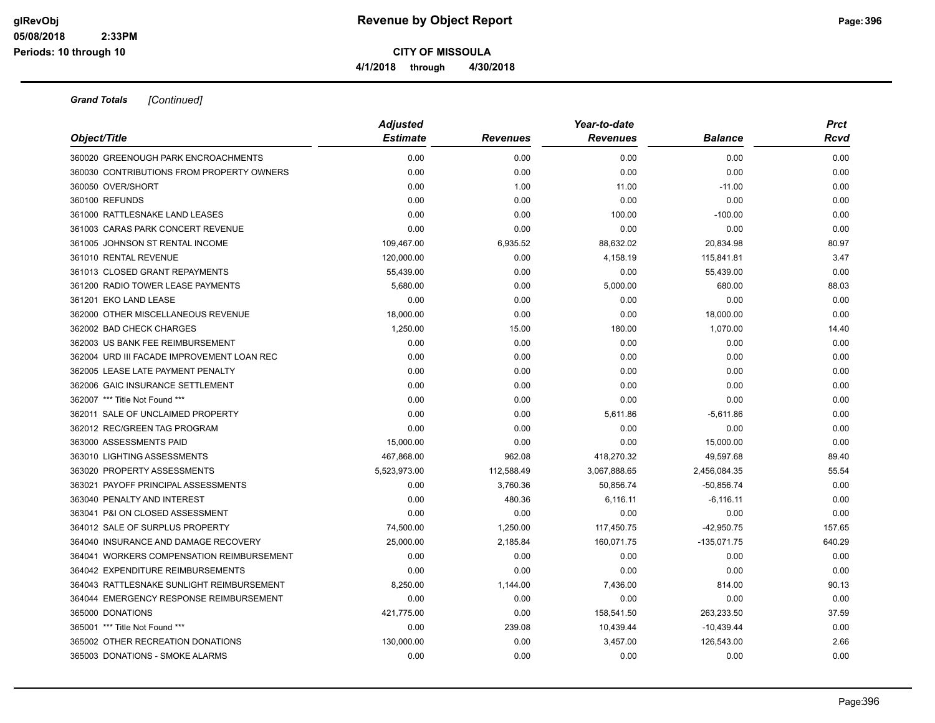**4/1/2018 through 4/30/2018**

|                                            | <b>Adjusted</b> |                 | Year-to-date    |                | <b>Prct</b> |  |
|--------------------------------------------|-----------------|-----------------|-----------------|----------------|-------------|--|
| Object/Title                               | <b>Estimate</b> | <b>Revenues</b> | <b>Revenues</b> | <b>Balance</b> | <b>Rcvd</b> |  |
| 360020 GREENOUGH PARK ENCROACHMENTS        | 0.00            | 0.00            | 0.00            | 0.00           | 0.00        |  |
| 360030 CONTRIBUTIONS FROM PROPERTY OWNERS  | 0.00            | 0.00            | 0.00            | 0.00           | 0.00        |  |
| 360050 OVER/SHORT                          | 0.00            | 1.00            | 11.00           | $-11.00$       | 0.00        |  |
| 360100 REFUNDS                             | 0.00            | 0.00            | 0.00            | 0.00           | 0.00        |  |
| 361000 RATTLESNAKE LAND LEASES             | 0.00            | 0.00            | 100.00          | $-100.00$      | 0.00        |  |
| 361003 CARAS PARK CONCERT REVENUE          | 0.00            | 0.00            | 0.00            | 0.00           | 0.00        |  |
| 361005 JOHNSON ST RENTAL INCOME            | 109,467.00      | 6,935.52        | 88,632.02       | 20,834.98      | 80.97       |  |
| 361010 RENTAL REVENUE                      | 120,000.00      | 0.00            | 4,158.19        | 115,841.81     | 3.47        |  |
| 361013 CLOSED GRANT REPAYMENTS             | 55,439.00       | 0.00            | 0.00            | 55,439.00      | 0.00        |  |
| 361200 RADIO TOWER LEASE PAYMENTS          | 5,680.00        | 0.00            | 5,000.00        | 680.00         | 88.03       |  |
| 361201 EKO LAND LEASE                      | 0.00            | 0.00            | 0.00            | 0.00           | 0.00        |  |
| 362000 OTHER MISCELLANEOUS REVENUE         | 18,000.00       | 0.00            | 0.00            | 18,000.00      | 0.00        |  |
| 362002 BAD CHECK CHARGES                   | 1,250.00        | 15.00           | 180.00          | 1,070.00       | 14.40       |  |
| 362003 US BANK FEE REIMBURSEMENT           | 0.00            | 0.00            | 0.00            | 0.00           | 0.00        |  |
| 362004 URD III FACADE IMPROVEMENT LOAN REC | 0.00            | 0.00            | 0.00            | 0.00           | 0.00        |  |
| 362005 LEASE LATE PAYMENT PENALTY          | 0.00            | 0.00            | 0.00            | 0.00           | 0.00        |  |
| 362006 GAIC INSURANCE SETTLEMENT           | 0.00            | 0.00            | 0.00            | 0.00           | 0.00        |  |
| 362007 *** Title Not Found ***             | 0.00            | 0.00            | 0.00            | 0.00           | 0.00        |  |
| 362011 SALE OF UNCLAIMED PROPERTY          | 0.00            | 0.00            | 5,611.86        | $-5,611.86$    | 0.00        |  |
| 362012 REC/GREEN TAG PROGRAM               | 0.00            | 0.00            | 0.00            | 0.00           | 0.00        |  |
| 363000 ASSESSMENTS PAID                    | 15,000.00       | 0.00            | 0.00            | 15,000.00      | 0.00        |  |
| 363010 LIGHTING ASSESSMENTS                | 467,868.00      | 962.08          | 418,270.32      | 49,597.68      | 89.40       |  |
| 363020 PROPERTY ASSESSMENTS                | 5,523,973.00    | 112,588.49      | 3,067,888.65    | 2,456,084.35   | 55.54       |  |
| 363021 PAYOFF PRINCIPAL ASSESSMENTS        | 0.00            | 3,760.36        | 50,856.74       | $-50,856.74$   | 0.00        |  |
| 363040 PENALTY AND INTEREST                | 0.00            | 480.36          | 6,116.11        | $-6, 116.11$   | 0.00        |  |
| 363041 P&I ON CLOSED ASSESSMENT            | 0.00            | 0.00            | 0.00            | 0.00           | 0.00        |  |
| 364012 SALE OF SURPLUS PROPERTY            | 74,500.00       | 1,250.00        | 117,450.75      | $-42,950.75$   | 157.65      |  |
| 364040 INSURANCE AND DAMAGE RECOVERY       | 25,000.00       | 2,185.84        | 160,071.75      | $-135,071.75$  | 640.29      |  |
| 364041 WORKERS COMPENSATION REIMBURSEMENT  | 0.00            | 0.00            | 0.00            | 0.00           | 0.00        |  |
| 364042 EXPENDITURE REIMBURSEMENTS          | 0.00            | 0.00            | 0.00            | 0.00           | 0.00        |  |
| 364043 RATTLESNAKE SUNLIGHT REIMBURSEMENT  | 8,250.00        | 1,144.00        | 7,436.00        | 814.00         | 90.13       |  |
| 364044 EMERGENCY RESPONSE REIMBURSEMENT    | 0.00            | 0.00            | 0.00            | 0.00           | 0.00        |  |
| 365000 DONATIONS                           | 421,775.00      | 0.00            | 158,541.50      | 263,233.50     | 37.59       |  |
| 365001 *** Title Not Found ***             | 0.00            | 239.08          | 10,439.44       | $-10,439.44$   | 0.00        |  |
| 365002 OTHER RECREATION DONATIONS          | 130,000.00      | 0.00            | 3,457.00        | 126,543.00     | 2.66        |  |
| 365003 DONATIONS - SMOKE ALARMS            | 0.00            | 0.00            | 0.00            | 0.00           | 0.00        |  |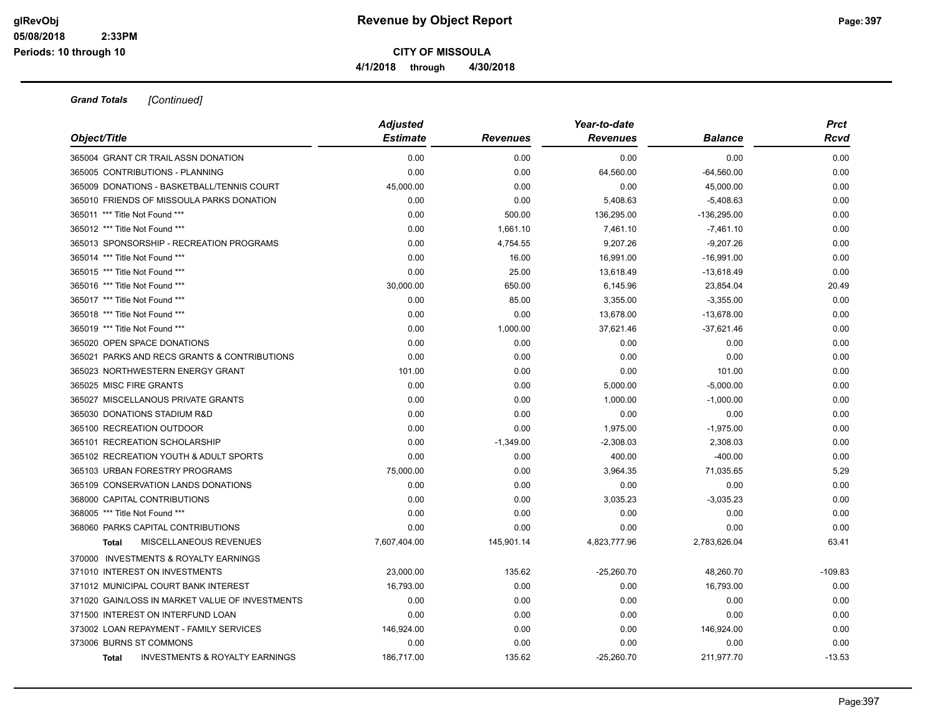**4/1/2018 through 4/30/2018**

| Object/Title                                              | <b>Adjusted</b> | Year-to-date    |                 |                | <b>Prct</b> |
|-----------------------------------------------------------|-----------------|-----------------|-----------------|----------------|-------------|
|                                                           | <b>Estimate</b> | <b>Revenues</b> | <b>Revenues</b> | <b>Balance</b> | <b>Rcvd</b> |
| 365004 GRANT CR TRAIL ASSN DONATION                       | 0.00            | 0.00            | 0.00            | 0.00           | 0.00        |
| 365005 CONTRIBUTIONS - PLANNING                           | 0.00            | 0.00            | 64,560.00       | $-64,560.00$   | 0.00        |
| 365009 DONATIONS - BASKETBALL/TENNIS COURT                | 45,000.00       | 0.00            | 0.00            | 45,000.00      | 0.00        |
| 365010 FRIENDS OF MISSOULA PARKS DONATION                 | 0.00            | 0.00            | 5,408.63        | $-5,408.63$    | 0.00        |
| 365011 *** Title Not Found ***                            | 0.00            | 500.00          | 136,295.00      | $-136,295.00$  | 0.00        |
| 365012 *** Title Not Found ***                            | 0.00            | 1,661.10        | 7,461.10        | $-7,461.10$    | 0.00        |
| 365013 SPONSORSHIP - RECREATION PROGRAMS                  | 0.00            | 4,754.55        | 9,207.26        | $-9,207.26$    | 0.00        |
| 365014 *** Title Not Found ***                            | 0.00            | 16.00           | 16,991.00       | $-16,991.00$   | 0.00        |
| 365015 *** Title Not Found ***                            | 0.00            | 25.00           | 13,618.49       | $-13,618.49$   | 0.00        |
| 365016 *** Title Not Found ***                            | 30,000.00       | 650.00          | 6,145.96        | 23,854.04      | 20.49       |
| 365017 *** Title Not Found ***                            | 0.00            | 85.00           | 3,355.00        | $-3,355.00$    | 0.00        |
| 365018 *** Title Not Found ***                            | 0.00            | 0.00            | 13,678.00       | $-13,678.00$   | 0.00        |
| 365019 *** Title Not Found ***                            | 0.00            | 1,000.00        | 37,621.46       | $-37,621.46$   | 0.00        |
| 365020 OPEN SPACE DONATIONS                               | 0.00            | 0.00            | 0.00            | 0.00           | 0.00        |
| 365021 PARKS AND RECS GRANTS & CONTRIBUTIONS              | 0.00            | 0.00            | 0.00            | 0.00           | 0.00        |
| 365023 NORTHWESTERN ENERGY GRANT                          | 101.00          | 0.00            | 0.00            | 101.00         | 0.00        |
| 365025 MISC FIRE GRANTS                                   | 0.00            | 0.00            | 5,000.00        | $-5,000.00$    | 0.00        |
| 365027 MISCELLANOUS PRIVATE GRANTS                        | 0.00            | 0.00            | 1,000.00        | $-1,000.00$    | 0.00        |
| 365030 DONATIONS STADIUM R&D                              | 0.00            | 0.00            | 0.00            | 0.00           | 0.00        |
| 365100 RECREATION OUTDOOR                                 | 0.00            | 0.00            | 1,975.00        | $-1,975.00$    | 0.00        |
| 365101 RECREATION SCHOLARSHIP                             | 0.00            | $-1,349.00$     | $-2,308.03$     | 2,308.03       | 0.00        |
| 365102 RECREATION YOUTH & ADULT SPORTS                    | 0.00            | 0.00            | 400.00          | $-400.00$      | 0.00        |
| 365103 URBAN FORESTRY PROGRAMS                            | 75,000.00       | 0.00            | 3,964.35        | 71,035.65      | 5.29        |
| 365109 CONSERVATION LANDS DONATIONS                       | 0.00            | 0.00            | 0.00            | 0.00           | 0.00        |
| 368000 CAPITAL CONTRIBUTIONS                              | 0.00            | 0.00            | 3,035.23        | $-3,035.23$    | 0.00        |
| 368005 *** Title Not Found ***                            | 0.00            | 0.00            | 0.00            | 0.00           | 0.00        |
| 368060 PARKS CAPITAL CONTRIBUTIONS                        | 0.00            | 0.00            | 0.00            | 0.00           | 0.00        |
| <b>MISCELLANEOUS REVENUES</b><br><b>Total</b>             | 7,607,404.00    | 145,901.14      | 4,823,777.96    | 2,783,626.04   | 63.41       |
| 370000 INVESTMENTS & ROYALTY EARNINGS                     |                 |                 |                 |                |             |
| 371010 INTEREST ON INVESTMENTS                            | 23,000.00       | 135.62          | $-25,260.70$    | 48,260.70      | $-109.83$   |
| 371012 MUNICIPAL COURT BANK INTEREST                      | 16,793.00       | 0.00            | 0.00            | 16,793.00      | 0.00        |
| 371020 GAIN/LOSS IN MARKET VALUE OF INVESTMENTS           | 0.00            | 0.00            | 0.00            | 0.00           | 0.00        |
| 371500 INTEREST ON INTERFUND LOAN                         | 0.00            | 0.00            | 0.00            | 0.00           | 0.00        |
| 373002 LOAN REPAYMENT - FAMILY SERVICES                   | 146,924.00      | 0.00            | 0.00            | 146,924.00     | 0.00        |
| 373006 BURNS ST COMMONS                                   | 0.00            | 0.00            | 0.00            | 0.00           | 0.00        |
| <b>INVESTMENTS &amp; ROYALTY EARNINGS</b><br><b>Total</b> | 186,717.00      | 135.62          | $-25,260.70$    | 211,977.70     | $-13.53$    |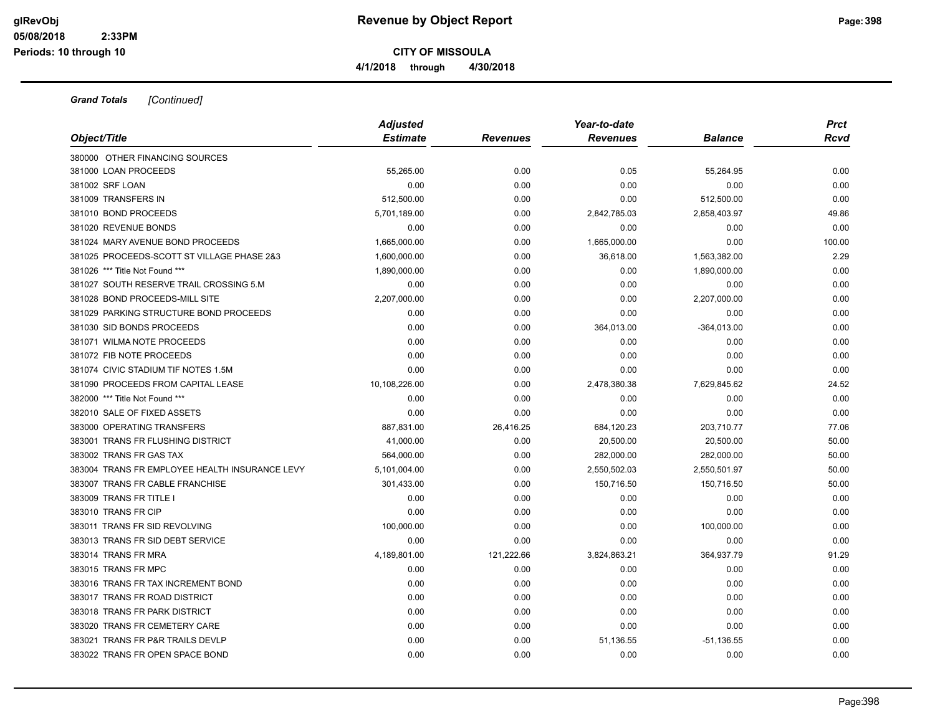**4/1/2018 through 4/30/2018**

| Object/Title                                   | <b>Adjusted</b> |                 | Year-to-date    |                | <b>Prct</b> |
|------------------------------------------------|-----------------|-----------------|-----------------|----------------|-------------|
|                                                | <b>Estimate</b> | <b>Revenues</b> | <b>Revenues</b> | <b>Balance</b> | Rcvd        |
| 380000 OTHER FINANCING SOURCES                 |                 |                 |                 |                |             |
| 381000 LOAN PROCEEDS                           | 55,265.00       | 0.00            | 0.05            | 55,264.95      | 0.00        |
| 381002 SRF LOAN                                | 0.00            | 0.00            | 0.00            | 0.00           | 0.00        |
| 381009 TRANSFERS IN                            | 512,500.00      | 0.00            | 0.00            | 512,500.00     | 0.00        |
| 381010 BOND PROCEEDS                           | 5,701,189.00    | 0.00            | 2,842,785.03    | 2,858,403.97   | 49.86       |
| 381020 REVENUE BONDS                           | 0.00            | 0.00            | 0.00            | 0.00           | 0.00        |
| 381024 MARY AVENUE BOND PROCEEDS               | 1,665,000.00    | 0.00            | 1,665,000.00    | 0.00           | 100.00      |
| 381025 PROCEEDS-SCOTT ST VILLAGE PHASE 2&3     | 1,600,000.00    | 0.00            | 36,618.00       | 1,563,382.00   | 2.29        |
| 381026 *** Title Not Found ***                 | 1,890,000.00    | 0.00            | 0.00            | 1,890,000.00   | 0.00        |
| 381027 SOUTH RESERVE TRAIL CROSSING 5.M        | 0.00            | 0.00            | 0.00            | 0.00           | 0.00        |
| 381028 BOND PROCEEDS-MILL SITE                 | 2,207,000.00    | 0.00            | 0.00            | 2,207,000.00   | 0.00        |
| 381029 PARKING STRUCTURE BOND PROCEEDS         | 0.00            | 0.00            | 0.00            | 0.00           | 0.00        |
| 381030 SID BONDS PROCEEDS                      | 0.00            | 0.00            | 364,013.00      | -364,013.00    | 0.00        |
| 381071 WILMA NOTE PROCEEDS                     | 0.00            | 0.00            | 0.00            | 0.00           | 0.00        |
| 381072 FIB NOTE PROCEEDS                       | 0.00            | 0.00            | 0.00            | 0.00           | 0.00        |
| 381074 CIVIC STADIUM TIF NOTES 1.5M            | 0.00            | 0.00            | 0.00            | 0.00           | 0.00        |
| 381090 PROCEEDS FROM CAPITAL LEASE             | 10,108,226.00   | 0.00            | 2,478,380.38    | 7,629,845.62   | 24.52       |
| 382000 *** Title Not Found ***                 | 0.00            | 0.00            | 0.00            | 0.00           | 0.00        |
| 382010 SALE OF FIXED ASSETS                    | 0.00            | 0.00            | 0.00            | 0.00           | 0.00        |
| 383000 OPERATING TRANSFERS                     | 887,831.00      | 26,416.25       | 684,120.23      | 203,710.77     | 77.06       |
| 383001 TRANS FR FLUSHING DISTRICT              | 41,000.00       | 0.00            | 20,500.00       | 20,500.00      | 50.00       |
| 383002 TRANS FR GAS TAX                        | 564.000.00      | 0.00            | 282.000.00      | 282.000.00     | 50.00       |
| 383004 TRANS FR EMPLOYEE HEALTH INSURANCE LEVY | 5,101,004.00    | 0.00            | 2,550,502.03    | 2,550,501.97   | 50.00       |
| 383007 TRANS FR CABLE FRANCHISE                | 301,433.00      | 0.00            | 150,716.50      | 150,716.50     | 50.00       |
| 383009 TRANS FR TITLE I                        | 0.00            | 0.00            | 0.00            | 0.00           | 0.00        |
| 383010 TRANS FR CIP                            | 0.00            | 0.00            | 0.00            | 0.00           | 0.00        |
| 383011 TRANS FR SID REVOLVING                  | 100,000.00      | 0.00            | 0.00            | 100,000.00     | 0.00        |
| 383013 TRANS FR SID DEBT SERVICE               | 0.00            | 0.00            | 0.00            | 0.00           | 0.00        |
| 383014 TRANS FR MRA                            | 4,189,801.00    | 121,222.66      | 3,824,863.21    | 364,937.79     | 91.29       |
| 383015 TRANS FR MPC                            | 0.00            | 0.00            | 0.00            | 0.00           | 0.00        |
| 383016 TRANS FR TAX INCREMENT BOND             | 0.00            | 0.00            | 0.00            | 0.00           | 0.00        |
| 383017 TRANS FR ROAD DISTRICT                  | 0.00            | 0.00            | 0.00            | 0.00           | 0.00        |
| 383018 TRANS FR PARK DISTRICT                  | 0.00            | 0.00            | 0.00            | 0.00           | 0.00        |
| 383020 TRANS FR CEMETERY CARE                  | 0.00            | 0.00            | 0.00            | 0.00           | 0.00        |
| 383021 TRANS FR P&R TRAILS DEVLP               | 0.00            | 0.00            | 51,136.55       | $-51, 136.55$  | 0.00        |
| 383022 TRANS FR OPEN SPACE BOND                | 0.00            | 0.00            | 0.00            | 0.00           | 0.00        |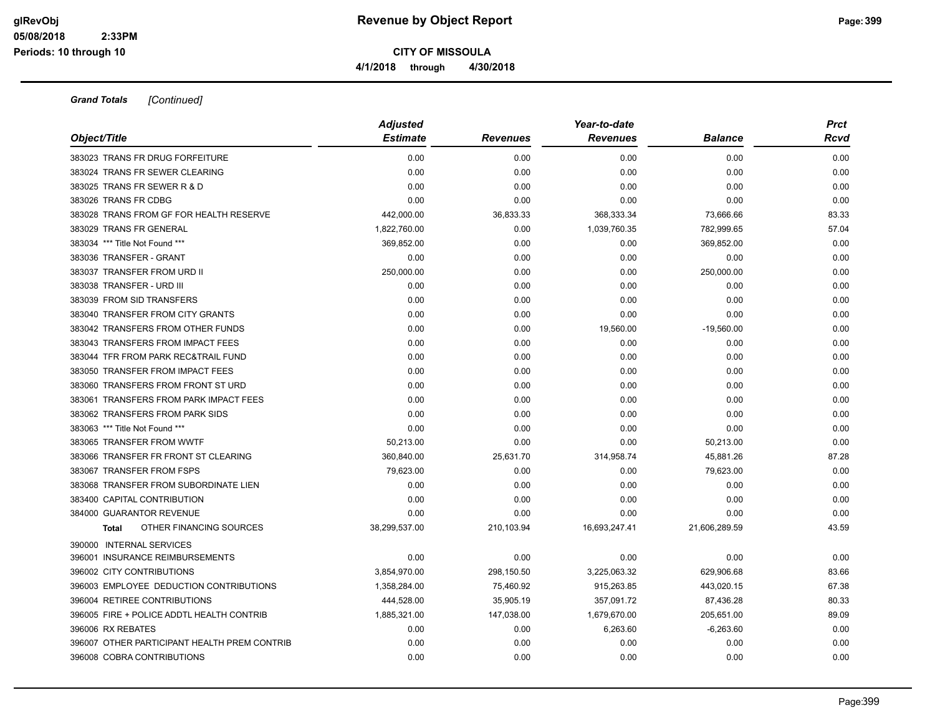**4/1/2018 through 4/30/2018**

| Object/Title                                 | <b>Adjusted</b> |                 | Year-to-date    |                | <b>Prct</b> |
|----------------------------------------------|-----------------|-----------------|-----------------|----------------|-------------|
|                                              | <b>Estimate</b> | <b>Revenues</b> | <b>Revenues</b> | <b>Balance</b> | Rcvd        |
| 383023 TRANS FR DRUG FORFEITURE              | 0.00            | 0.00            | 0.00            | 0.00           | 0.00        |
| 383024 TRANS FR SEWER CLEARING               | 0.00            | 0.00            | 0.00            | 0.00           | 0.00        |
| 383025 TRANS FR SEWER R & D                  | 0.00            | 0.00            | 0.00            | 0.00           | 0.00        |
| 383026 TRANS FR CDBG                         | 0.00            | 0.00            | 0.00            | 0.00           | 0.00        |
| 383028 TRANS FROM GF FOR HEALTH RESERVE      | 442,000.00      | 36,833.33       | 368,333.34      | 73,666.66      | 83.33       |
| 383029 TRANS FR GENERAL                      | 1,822,760.00    | 0.00            | 1,039,760.35    | 782,999.65     | 57.04       |
| 383034 *** Title Not Found ***               | 369,852.00      | 0.00            | 0.00            | 369,852.00     | 0.00        |
| 383036 TRANSFER - GRANT                      | 0.00            | 0.00            | 0.00            | 0.00           | 0.00        |
| 383037 TRANSFER FROM URD II                  | 250,000.00      | 0.00            | 0.00            | 250,000.00     | 0.00        |
| 383038 TRANSFER - URD III                    | 0.00            | 0.00            | 0.00            | 0.00           | 0.00        |
| 383039 FROM SID TRANSFERS                    | 0.00            | 0.00            | 0.00            | 0.00           | 0.00        |
| 383040 TRANSFER FROM CITY GRANTS             | 0.00            | 0.00            | 0.00            | 0.00           | 0.00        |
| 383042 TRANSFERS FROM OTHER FUNDS            | 0.00            | 0.00            | 19,560.00       | $-19,560.00$   | 0.00        |
| 383043 TRANSFERS FROM IMPACT FEES            | 0.00            | 0.00            | 0.00            | 0.00           | 0.00        |
| 383044 TFR FROM PARK REC&TRAIL FUND          | 0.00            | 0.00            | 0.00            | 0.00           | 0.00        |
| 383050 TRANSFER FROM IMPACT FEES             | 0.00            | 0.00            | 0.00            | 0.00           | 0.00        |
| 383060 TRANSFERS FROM FRONT ST URD           | 0.00            | 0.00            | 0.00            | 0.00           | 0.00        |
| 383061 TRANSFERS FROM PARK IMPACT FEES       | 0.00            | 0.00            | 0.00            | 0.00           | 0.00        |
| 383062 TRANSFERS FROM PARK SIDS              | 0.00            | 0.00            | 0.00            | 0.00           | 0.00        |
| 383063 *** Title Not Found ***               | 0.00            | 0.00            | 0.00            | 0.00           | 0.00        |
| 383065 TRANSFER FROM WWTF                    | 50,213.00       | 0.00            | 0.00            | 50,213.00      | 0.00        |
| 383066 TRANSFER FR FRONT ST CLEARING         | 360,840.00      | 25,631.70       | 314,958.74      | 45,881.26      | 87.28       |
| 383067 TRANSFER FROM FSPS                    | 79,623.00       | 0.00            | 0.00            | 79,623.00      | 0.00        |
| 383068 TRANSFER FROM SUBORDINATE LIEN        | 0.00            | 0.00            | 0.00            | 0.00           | 0.00        |
| 383400 CAPITAL CONTRIBUTION                  | 0.00            | 0.00            | 0.00            | 0.00           | 0.00        |
| 384000 GUARANTOR REVENUE                     | 0.00            | 0.00            | 0.00            | 0.00           | 0.00        |
| OTHER FINANCING SOURCES<br><b>Total</b>      | 38,299,537.00   | 210,103.94      | 16,693,247.41   | 21,606,289.59  | 43.59       |
| 390000 INTERNAL SERVICES                     |                 |                 |                 |                |             |
| 396001 INSURANCE REIMBURSEMENTS              | 0.00            | 0.00            | 0.00            | 0.00           | 0.00        |
| 396002 CITY CONTRIBUTIONS                    | 3,854,970.00    | 298,150.50      | 3,225,063.32    | 629,906.68     | 83.66       |
| 396003 EMPLOYEE DEDUCTION CONTRIBUTIONS      | 1,358,284.00    | 75,460.92       | 915,263.85      | 443,020.15     | 67.38       |
| 396004 RETIREE CONTRIBUTIONS                 | 444,528.00      | 35,905.19       | 357,091.72      | 87,436.28      | 80.33       |
| 396005 FIRE + POLICE ADDTL HEALTH CONTRIB    | 1,885,321.00    | 147,038.00      | 1,679,670.00    | 205,651.00     | 89.09       |
| 396006 RX REBATES                            | 0.00            | 0.00            | 6,263.60        | $-6,263.60$    | 0.00        |
| 396007 OTHER PARTICIPANT HEALTH PREM CONTRIB | 0.00            | 0.00            | 0.00            | 0.00           | 0.00        |
| 396008 COBRA CONTRIBUTIONS                   | 0.00            | 0.00            | 0.00            | 0.00           | 0.00        |